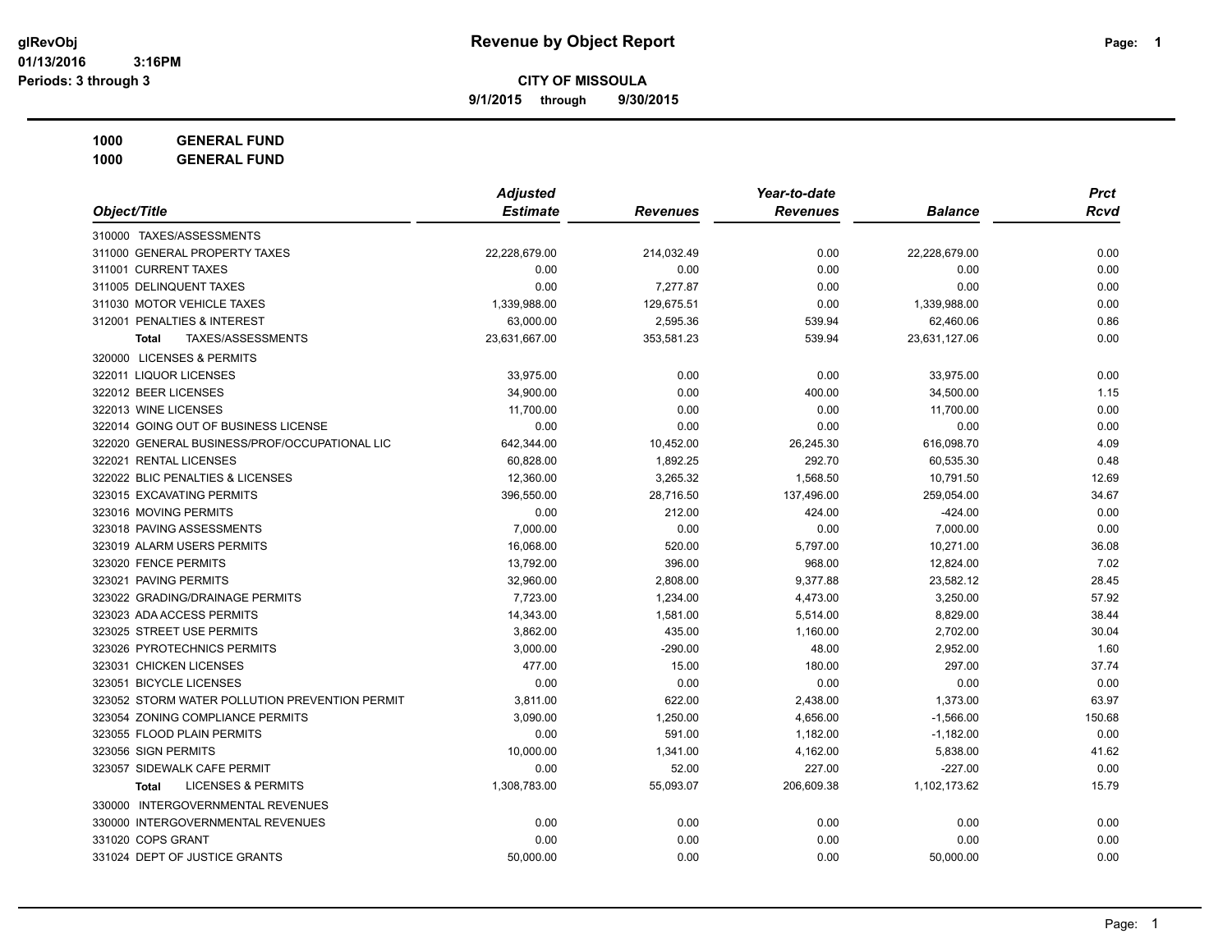**9/1/2015 through 9/30/2015**

**1000 GENERAL FUND**

|                                                | <b>Adjusted</b> |                 | Year-to-date    |                | <b>Prct</b> |
|------------------------------------------------|-----------------|-----------------|-----------------|----------------|-------------|
| Object/Title                                   | <b>Estimate</b> | <b>Revenues</b> | <b>Revenues</b> | <b>Balance</b> | <b>Rcvd</b> |
| 310000 TAXES/ASSESSMENTS                       |                 |                 |                 |                |             |
| 311000 GENERAL PROPERTY TAXES                  | 22,228,679.00   | 214,032.49      | 0.00            | 22,228,679.00  | 0.00        |
| 311001 CURRENT TAXES                           | 0.00            | 0.00            | 0.00            | 0.00           | 0.00        |
| 311005 DELINQUENT TAXES                        | 0.00            | 7,277.87        | 0.00            | 0.00           | 0.00        |
| 311030 MOTOR VEHICLE TAXES                     | 1,339,988.00    | 129,675.51      | 0.00            | 1,339,988.00   | 0.00        |
| 312001 PENALTIES & INTEREST                    | 63,000.00       | 2,595.36        | 539.94          | 62,460.06      | 0.86        |
| TAXES/ASSESSMENTS<br>Total                     | 23,631,667.00   | 353,581.23      | 539.94          | 23,631,127.06  | 0.00        |
| 320000 LICENSES & PERMITS                      |                 |                 |                 |                |             |
| 322011 LIQUOR LICENSES                         | 33,975.00       | 0.00            | 0.00            | 33,975.00      | 0.00        |
| 322012 BEER LICENSES                           | 34,900.00       | 0.00            | 400.00          | 34,500.00      | 1.15        |
| 322013 WINE LICENSES                           | 11,700.00       | 0.00            | 0.00            | 11,700.00      | 0.00        |
| 322014 GOING OUT OF BUSINESS LICENSE           | 0.00            | 0.00            | 0.00            | 0.00           | 0.00        |
| 322020 GENERAL BUSINESS/PROF/OCCUPATIONAL LIC  | 642,344.00      | 10,452.00       | 26,245.30       | 616,098.70     | 4.09        |
| 322021 RENTAL LICENSES                         | 60,828.00       | 1,892.25        | 292.70          | 60,535.30      | 0.48        |
| 322022 BLIC PENALTIES & LICENSES               | 12,360.00       | 3,265.32        | 1,568.50        | 10,791.50      | 12.69       |
| 323015 EXCAVATING PERMITS                      | 396,550.00      | 28,716.50       | 137,496.00      | 259,054.00     | 34.67       |
| 323016 MOVING PERMITS                          | 0.00            | 212.00          | 424.00          | $-424.00$      | 0.00        |
| 323018 PAVING ASSESSMENTS                      | 7,000.00        | 0.00            | 0.00            | 7,000.00       | 0.00        |
| 323019 ALARM USERS PERMITS                     | 16,068.00       | 520.00          | 5,797.00        | 10,271.00      | 36.08       |
| 323020 FENCE PERMITS                           | 13,792.00       | 396.00          | 968.00          | 12,824.00      | 7.02        |
| 323021 PAVING PERMITS                          | 32,960.00       | 2,808.00        | 9,377.88        | 23,582.12      | 28.45       |
| 323022 GRADING/DRAINAGE PERMITS                | 7,723.00        | 1,234.00        | 4,473.00        | 3,250.00       | 57.92       |
| 323023 ADA ACCESS PERMITS                      | 14,343.00       | 1,581.00        | 5,514.00        | 8,829.00       | 38.44       |
| 323025 STREET USE PERMITS                      | 3,862.00        | 435.00          | 1,160.00        | 2,702.00       | 30.04       |
| 323026 PYROTECHNICS PERMITS                    | 3,000.00        | $-290.00$       | 48.00           | 2,952.00       | 1.60        |
| 323031 CHICKEN LICENSES                        | 477.00          | 15.00           | 180.00          | 297.00         | 37.74       |
| 323051 BICYCLE LICENSES                        | 0.00            | 0.00            | 0.00            | 0.00           | 0.00        |
| 323052 STORM WATER POLLUTION PREVENTION PERMIT | 3,811.00        | 622.00          | 2,438.00        | 1,373.00       | 63.97       |
| 323054 ZONING COMPLIANCE PERMITS               | 3,090.00        | 1,250.00        | 4,656.00        | $-1,566.00$    | 150.68      |
| 323055 FLOOD PLAIN PERMITS                     | 0.00            | 591.00          | 1,182.00        | $-1,182.00$    | 0.00        |
| 323056 SIGN PERMITS                            | 10,000.00       | 1,341.00        | 4,162.00        | 5,838.00       | 41.62       |
| 323057 SIDEWALK CAFE PERMIT                    | 0.00            | 52.00           | 227.00          | $-227.00$      | 0.00        |
| <b>LICENSES &amp; PERMITS</b><br>Total         | 1,308,783.00    | 55,093.07       | 206,609.38      | 1,102,173.62   | 15.79       |
| 330000 INTERGOVERNMENTAL REVENUES              |                 |                 |                 |                |             |
| 330000 INTERGOVERNMENTAL REVENUES              | 0.00            | 0.00            | 0.00            | 0.00           | 0.00        |
| 331020 COPS GRANT                              | 0.00            | 0.00            | 0.00            | 0.00           | 0.00        |
| 331024 DEPT OF JUSTICE GRANTS                  | 50,000.00       | 0.00            | 0.00            | 50,000.00      | 0.00        |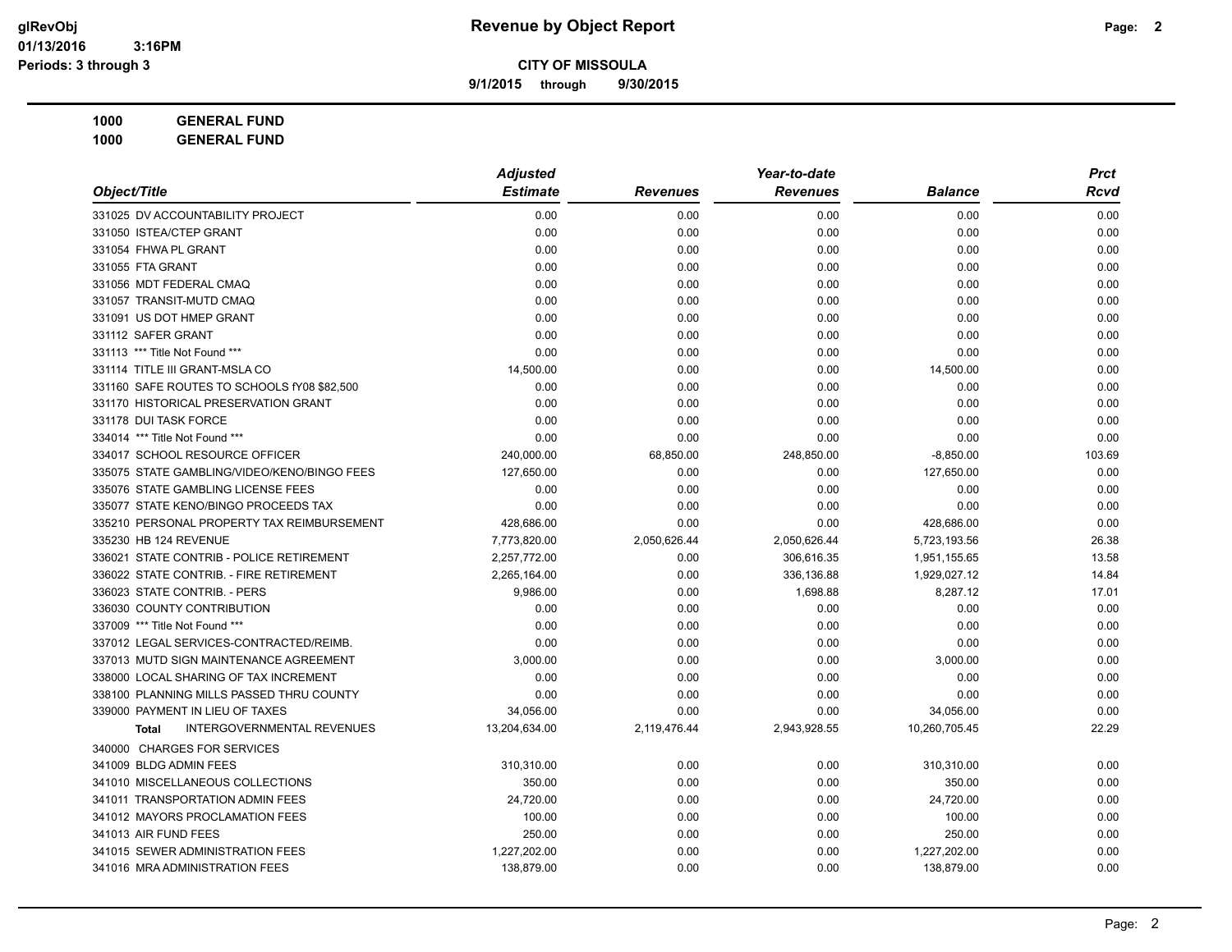**9/1/2015 through 9/30/2015**

**1000 GENERAL FUND 1000 GENERAL FUND**

|                                                   | <b>Adjusted</b> |                 |                 | <b>Prct</b>    |        |
|---------------------------------------------------|-----------------|-----------------|-----------------|----------------|--------|
| Object/Title                                      | <b>Estimate</b> | <b>Revenues</b> | <b>Revenues</b> | <b>Balance</b> | Rcvd   |
| 331025 DV ACCOUNTABILITY PROJECT                  | 0.00            | 0.00            | 0.00            | 0.00           | 0.00   |
| 331050 ISTEA/CTEP GRANT                           | 0.00            | 0.00            | 0.00            | 0.00           | 0.00   |
| 331054 FHWA PL GRANT                              | 0.00            | 0.00            | 0.00            | 0.00           | 0.00   |
| 331055 FTA GRANT                                  | 0.00            | 0.00            | 0.00            | 0.00           | 0.00   |
| 331056 MDT FEDERAL CMAQ                           | 0.00            | 0.00            | 0.00            | 0.00           | 0.00   |
| 331057 TRANSIT-MUTD CMAQ                          | 0.00            | 0.00            | 0.00            | 0.00           | 0.00   |
| 331091 US DOT HMEP GRANT                          | 0.00            | 0.00            | 0.00            | 0.00           | 0.00   |
| 331112 SAFER GRANT                                | 0.00            | 0.00            | 0.00            | 0.00           | 0.00   |
| 331113 *** Title Not Found ***                    | 0.00            | 0.00            | 0.00            | 0.00           | 0.00   |
| 331114 TITLE III GRANT-MSLA CO                    | 14,500.00       | 0.00            | 0.00            | 14,500.00      | 0.00   |
| 331160 SAFE ROUTES TO SCHOOLS fY08 \$82,500       | 0.00            | 0.00            | 0.00            | 0.00           | 0.00   |
| 331170 HISTORICAL PRESERVATION GRANT              | 0.00            | 0.00            | 0.00            | 0.00           | 0.00   |
| 331178 DUI TASK FORCE                             | 0.00            | 0.00            | 0.00            | 0.00           | 0.00   |
| 334014 *** Title Not Found ***                    | 0.00            | 0.00            | 0.00            | 0.00           | 0.00   |
| 334017 SCHOOL RESOURCE OFFICER                    | 240,000.00      | 68,850.00       | 248,850.00      | $-8,850.00$    | 103.69 |
| 335075 STATE GAMBLING/VIDEO/KENO/BINGO FEES       | 127,650.00      | 0.00            | 0.00            | 127,650.00     | 0.00   |
| 335076 STATE GAMBLING LICENSE FEES                | 0.00            | 0.00            | 0.00            | 0.00           | 0.00   |
| 335077 STATE KENO/BINGO PROCEEDS TAX              | 0.00            | 0.00            | 0.00            | 0.00           | 0.00   |
| 335210 PERSONAL PROPERTY TAX REIMBURSEMENT        | 428,686.00      | 0.00            | 0.00            | 428,686.00     | 0.00   |
| 335230 HB 124 REVENUE                             | 7,773,820.00    | 2,050,626.44    | 2,050,626.44    | 5,723,193.56   | 26.38  |
| 336021 STATE CONTRIB - POLICE RETIREMENT          | 2,257,772.00    | 0.00            | 306,616.35      | 1,951,155.65   | 13.58  |
| 336022 STATE CONTRIB. - FIRE RETIREMENT           | 2,265,164.00    | 0.00            | 336,136.88      | 1,929,027.12   | 14.84  |
| 336023 STATE CONTRIB. - PERS                      | 9,986.00        | 0.00            | 1,698.88        | 8,287.12       | 17.01  |
| 336030 COUNTY CONTRIBUTION                        | 0.00            | 0.00            | 0.00            | 0.00           | 0.00   |
| 337009 *** Title Not Found ***                    | 0.00            | 0.00            | 0.00            | 0.00           | 0.00   |
| 337012 LEGAL SERVICES-CONTRACTED/REIMB.           | 0.00            | 0.00            | 0.00            | 0.00           | 0.00   |
| 337013 MUTD SIGN MAINTENANCE AGREEMENT            | 3,000.00        | 0.00            | 0.00            | 3,000.00       | 0.00   |
| 338000 LOCAL SHARING OF TAX INCREMENT             | 0.00            | 0.00            | 0.00            | 0.00           | 0.00   |
| 338100 PLANNING MILLS PASSED THRU COUNTY          | 0.00            | 0.00            | 0.00            | 0.00           | 0.00   |
| 339000 PAYMENT IN LIEU OF TAXES                   | 34,056.00       | 0.00            | 0.00            | 34,056.00      | 0.00   |
| <b>INTERGOVERNMENTAL REVENUES</b><br><b>Total</b> | 13,204,634.00   | 2,119,476.44    | 2,943,928.55    | 10,260,705.45  | 22.29  |
| 340000 CHARGES FOR SERVICES                       |                 |                 |                 |                |        |
| 341009 BLDG ADMIN FEES                            | 310,310.00      | 0.00            | 0.00            | 310,310.00     | 0.00   |
| 341010 MISCELLANEOUS COLLECTIONS                  | 350.00          | 0.00            | 0.00            | 350.00         | 0.00   |
| 341011 TRANSPORTATION ADMIN FEES                  | 24,720.00       | 0.00            | 0.00            | 24,720.00      | 0.00   |
| 341012 MAYORS PROCLAMATION FEES                   | 100.00          | 0.00            | 0.00            | 100.00         | 0.00   |
| 341013 AIR FUND FEES                              | 250.00          | 0.00            | 0.00            | 250.00         | 0.00   |
| 341015 SEWER ADMINISTRATION FEES                  | 1,227,202.00    | 0.00            | 0.00            | 1,227,202.00   | 0.00   |
| 341016 MRA ADMINISTRATION FEES                    | 138,879.00      | 0.00            | 0.00            | 138,879.00     | 0.00   |
|                                                   |                 |                 |                 |                |        |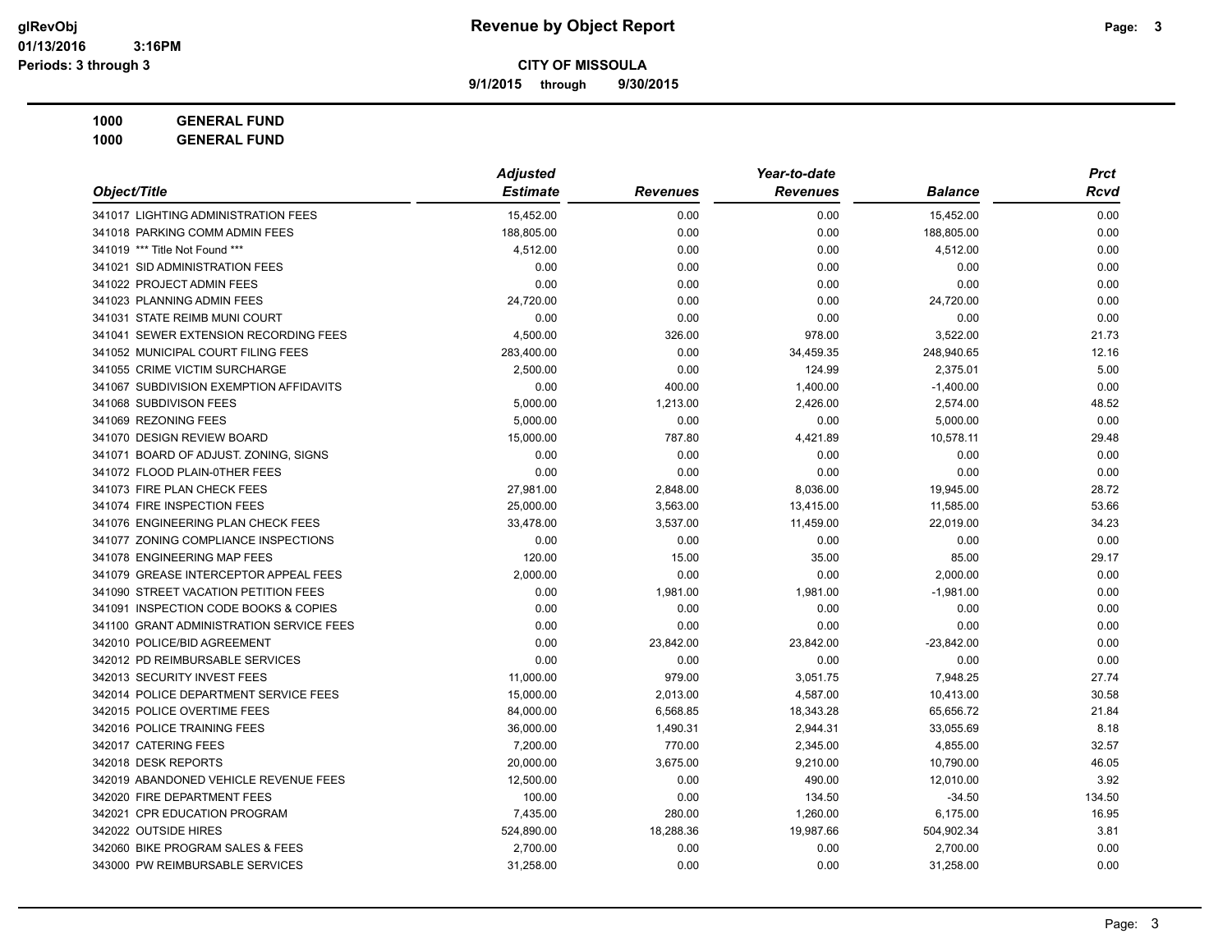**9/1/2015 through 9/30/2015**

**1000 GENERAL FUND 1000 GENERAL FUND**

|                                          | <b>Adjusted</b> |                 | Year-to-date    |                | <b>Prct</b> |
|------------------------------------------|-----------------|-----------------|-----------------|----------------|-------------|
| Object/Title                             | <b>Estimate</b> | <b>Revenues</b> | <b>Revenues</b> | <b>Balance</b> | Rcvd        |
| 341017 LIGHTING ADMINISTRATION FEES      | 15,452.00       | 0.00            | 0.00            | 15,452.00      | 0.00        |
| 341018 PARKING COMM ADMIN FEES           | 188,805.00      | 0.00            | 0.00            | 188,805.00     | 0.00        |
| 341019 *** Title Not Found ***           | 4,512.00        | 0.00            | 0.00            | 4,512.00       | 0.00        |
| 341021 SID ADMINISTRATION FEES           | 0.00            | 0.00            | 0.00            | 0.00           | 0.00        |
| 341022 PROJECT ADMIN FEES                | 0.00            | 0.00            | 0.00            | 0.00           | 0.00        |
| 341023 PLANNING ADMIN FEES               | 24,720.00       | 0.00            | 0.00            | 24,720.00      | 0.00        |
| 341031 STATE REIMB MUNI COURT            | 0.00            | 0.00            | 0.00            | 0.00           | 0.00        |
| 341041 SEWER EXTENSION RECORDING FEES    | 4,500.00        | 326.00          | 978.00          | 3,522.00       | 21.73       |
| 341052 MUNICIPAL COURT FILING FEES       | 283,400.00      | 0.00            | 34,459.35       | 248,940.65     | 12.16       |
| 341055 CRIME VICTIM SURCHARGE            | 2,500.00        | 0.00            | 124.99          | 2,375.01       | 5.00        |
| 341067 SUBDIVISION EXEMPTION AFFIDAVITS  | 0.00            | 400.00          | 1,400.00        | $-1,400.00$    | 0.00        |
| 341068 SUBDIVISON FEES                   | 5.000.00        | 1,213.00        | 2,426.00        | 2,574.00       | 48.52       |
| 341069 REZONING FEES                     | 5,000.00        | 0.00            | 0.00            | 5,000.00       | 0.00        |
| 341070 DESIGN REVIEW BOARD               | 15,000.00       | 787.80          | 4,421.89        | 10,578.11      | 29.48       |
| 341071 BOARD OF ADJUST. ZONING, SIGNS    | 0.00            | 0.00            | 0.00            | 0.00           | 0.00        |
| 341072 FLOOD PLAIN-0THER FEES            | 0.00            | 0.00            | 0.00            | 0.00           | 0.00        |
| 341073 FIRE PLAN CHECK FEES              | 27,981.00       | 2,848.00        | 8,036.00        | 19,945.00      | 28.72       |
| 341074 FIRE INSPECTION FEES              | 25,000.00       | 3,563.00        | 13,415.00       | 11,585.00      | 53.66       |
| 341076 ENGINEERING PLAN CHECK FEES       | 33,478.00       | 3,537.00        | 11,459.00       | 22,019.00      | 34.23       |
| 341077 ZONING COMPLIANCE INSPECTIONS     | 0.00            | 0.00            | 0.00            | 0.00           | 0.00        |
| 341078 ENGINEERING MAP FEES              | 120.00          | 15.00           | 35.00           | 85.00          | 29.17       |
| 341079 GREASE INTERCEPTOR APPEAL FEES    | 2,000.00        | 0.00            | 0.00            | 2,000.00       | 0.00        |
| 341090 STREET VACATION PETITION FEES     | 0.00            | 1,981.00        | 1,981.00        | $-1,981.00$    | 0.00        |
| 341091 INSPECTION CODE BOOKS & COPIES    | 0.00            | 0.00            | 0.00            | 0.00           | 0.00        |
| 341100 GRANT ADMINISTRATION SERVICE FEES | 0.00            | 0.00            | 0.00            | 0.00           | 0.00        |
| 342010 POLICE/BID AGREEMENT              | 0.00            | 23,842.00       | 23,842.00       | $-23,842.00$   | 0.00        |
| 342012 PD REIMBURSABLE SERVICES          | 0.00            | 0.00            | 0.00            | 0.00           | 0.00        |
| 342013 SECURITY INVEST FEES              | 11,000.00       | 979.00          | 3,051.75        | 7,948.25       | 27.74       |
| 342014 POLICE DEPARTMENT SERVICE FEES    | 15,000.00       | 2,013.00        | 4,587.00        | 10,413.00      | 30.58       |
| 342015 POLICE OVERTIME FEES              | 84,000.00       | 6,568.85        | 18,343.28       | 65,656.72      | 21.84       |
| 342016 POLICE TRAINING FEES              | 36,000.00       | 1,490.31        | 2,944.31        | 33,055.69      | 8.18        |
| 342017 CATERING FEES                     | 7,200.00        | 770.00          | 2,345.00        | 4,855.00       | 32.57       |
| 342018 DESK REPORTS                      | 20,000.00       | 3,675.00        | 9,210.00        | 10,790.00      | 46.05       |
| 342019 ABANDONED VEHICLE REVENUE FEES    | 12,500.00       | 0.00            | 490.00          | 12,010.00      | 3.92        |
| 342020 FIRE DEPARTMENT FEES              | 100.00          | 0.00            | 134.50          | $-34.50$       | 134.50      |
| 342021 CPR EDUCATION PROGRAM             | 7,435.00        | 280.00          | 1,260.00        | 6,175.00       | 16.95       |
| 342022 OUTSIDE HIRES                     | 524,890.00      | 18,288.36       | 19,987.66       | 504,902.34     | 3.81        |
| 342060 BIKE PROGRAM SALES & FEES         | 2,700.00        | 0.00            | 0.00            | 2,700.00       | 0.00        |
| 343000 PW REIMBURSABLE SERVICES          | 31,258.00       | 0.00            | 0.00            | 31,258.00      | 0.00        |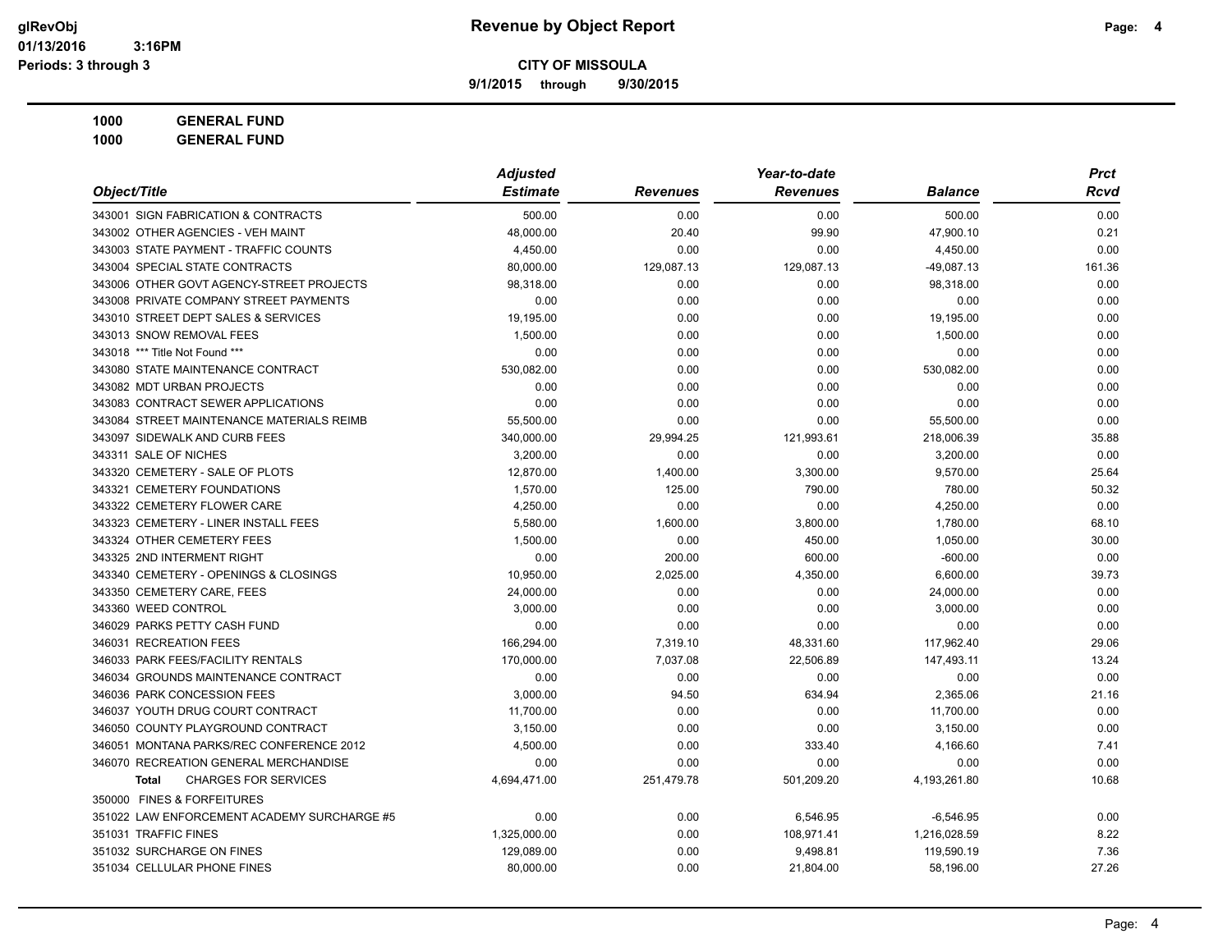**9/1/2015 through 9/30/2015**

|                                             | <b>Adjusted</b><br>Year-to-date |                 |                 |                | <b>Prct</b> |
|---------------------------------------------|---------------------------------|-----------------|-----------------|----------------|-------------|
| Object/Title                                | <b>Estimate</b>                 | <b>Revenues</b> | <b>Revenues</b> | <b>Balance</b> | <b>Rcvd</b> |
| 343001 SIGN FABRICATION & CONTRACTS         | 500.00                          | 0.00            | 0.00            | 500.00         | 0.00        |
| 343002 OTHER AGENCIES - VEH MAINT           | 48,000.00                       | 20.40           | 99.90           | 47,900.10      | 0.21        |
| 343003 STATE PAYMENT - TRAFFIC COUNTS       | 4,450.00                        | 0.00            | 0.00            | 4,450.00       | 0.00        |
| 343004 SPECIAL STATE CONTRACTS              | 80,000.00                       | 129,087.13      | 129,087.13      | $-49,087.13$   | 161.36      |
| 343006 OTHER GOVT AGENCY-STREET PROJECTS    | 98,318.00                       | 0.00            | 0.00            | 98,318.00      | 0.00        |
| 343008 PRIVATE COMPANY STREET PAYMENTS      | 0.00                            | 0.00            | 0.00            | 0.00           | 0.00        |
| 343010 STREET DEPT SALES & SERVICES         | 19,195.00                       | 0.00            | 0.00            | 19,195.00      | 0.00        |
| 343013 SNOW REMOVAL FEES                    | 1,500.00                        | 0.00            | 0.00            | 1,500.00       | 0.00        |
| 343018 *** Title Not Found ***              | 0.00                            | 0.00            | 0.00            | 0.00           | 0.00        |
| 343080 STATE MAINTENANCE CONTRACT           | 530,082.00                      | 0.00            | 0.00            | 530,082.00     | 0.00        |
| 343082 MDT URBAN PROJECTS                   | 0.00                            | 0.00            | 0.00            | 0.00           | 0.00        |
| 343083 CONTRACT SEWER APPLICATIONS          | 0.00                            | 0.00            | 0.00            | 0.00           | 0.00        |
| 343084 STREET MAINTENANCE MATERIALS REIMB   | 55,500.00                       | 0.00            | 0.00            | 55,500.00      | 0.00        |
| 343097 SIDEWALK AND CURB FEES               | 340,000.00                      | 29,994.25       | 121,993.61      | 218,006.39     | 35.88       |
| 343311 SALE OF NICHES                       | 3,200.00                        | 0.00            | 0.00            | 3,200.00       | 0.00        |
| 343320 CEMETERY - SALE OF PLOTS             | 12,870.00                       | 1,400.00        | 3,300.00        | 9,570.00       | 25.64       |
| 343321 CEMETERY FOUNDATIONS                 | 1,570.00                        | 125.00          | 790.00          | 780.00         | 50.32       |
| 343322 CEMETERY FLOWER CARE                 | 4.250.00                        | 0.00            | 0.00            | 4,250.00       | 0.00        |
| 343323 CEMETERY - LINER INSTALL FEES        | 5,580.00                        | 1,600.00        | 3,800.00        | 1,780.00       | 68.10       |
| 343324 OTHER CEMETERY FEES                  | 1,500.00                        | 0.00            | 450.00          | 1,050.00       | 30.00       |
| 343325 2ND INTERMENT RIGHT                  | 0.00                            | 200.00          | 600.00          | $-600.00$      | 0.00        |
| 343340 CEMETERY - OPENINGS & CLOSINGS       | 10,950.00                       | 2,025.00        | 4,350.00        | 6,600.00       | 39.73       |
| 343350 CEMETERY CARE, FEES                  | 24,000.00                       | 0.00            | 0.00            | 24,000.00      | 0.00        |
| 343360 WEED CONTROL                         | 3,000.00                        | 0.00            | 0.00            | 3,000.00       | 0.00        |
| 346029 PARKS PETTY CASH FUND                | 0.00                            | 0.00            | 0.00            | 0.00           | 0.00        |
| 346031 RECREATION FEES                      | 166,294.00                      | 7,319.10        | 48,331.60       | 117,962.40     | 29.06       |
| 346033 PARK FEES/FACILITY RENTALS           | 170,000.00                      | 7,037.08        | 22,506.89       | 147,493.11     | 13.24       |
| 346034 GROUNDS MAINTENANCE CONTRACT         | 0.00                            | 0.00            | 0.00            | 0.00           | 0.00        |
| 346036 PARK CONCESSION FEES                 | 3,000.00                        | 94.50           | 634.94          | 2,365.06       | 21.16       |
| 346037 YOUTH DRUG COURT CONTRACT            | 11,700.00                       | 0.00            | 0.00            | 11,700.00      | 0.00        |
| 346050 COUNTY PLAYGROUND CONTRACT           | 3,150.00                        | 0.00            | 0.00            | 3,150.00       | 0.00        |
| 346051 MONTANA PARKS/REC CONFERENCE 2012    | 4,500.00                        | 0.00            | 333.40          | 4,166.60       | 7.41        |
| 346070 RECREATION GENERAL MERCHANDISE       | 0.00                            | 0.00            | 0.00            | 0.00           | 0.00        |
| <b>CHARGES FOR SERVICES</b><br><b>Total</b> | 4,694,471.00                    | 251,479.78      | 501,209.20      | 4,193,261.80   | 10.68       |
| 350000 FINES & FORFEITURES                  |                                 |                 |                 |                |             |
| 351022 LAW ENFORCEMENT ACADEMY SURCHARGE #5 | 0.00                            | 0.00            | 6,546.95        | $-6,546.95$    | 0.00        |
| 351031 TRAFFIC FINES                        | 1,325,000.00                    | 0.00            | 108,971.41      | 1,216,028.59   | 8.22        |
| 351032 SURCHARGE ON FINES                   | 129,089.00                      | 0.00            | 9,498.81        | 119,590.19     | 7.36        |
| 351034 CELLULAR PHONE FINES                 | 80,000.00                       | 0.00            | 21,804.00       | 58,196.00      | 27.26       |
|                                             |                                 |                 |                 |                |             |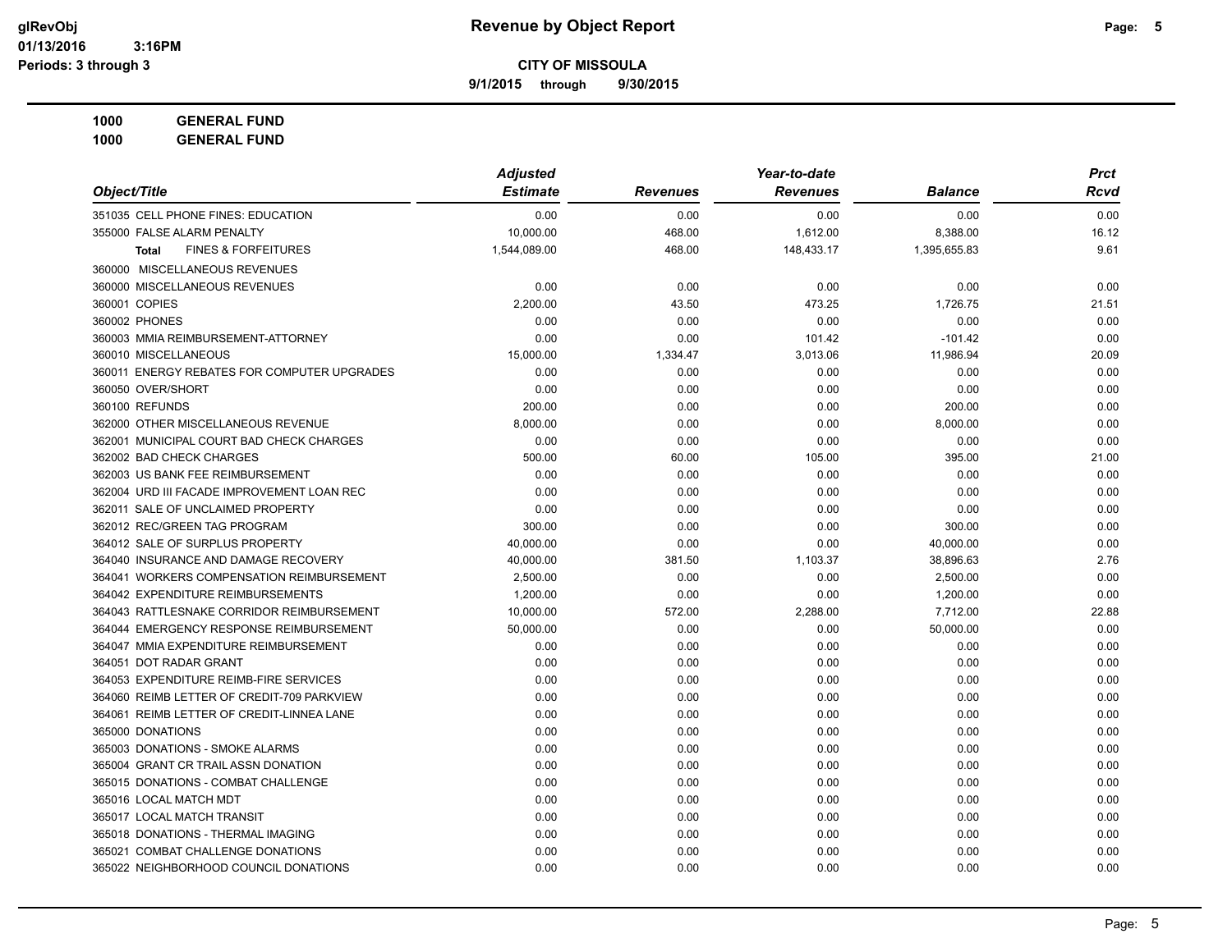**9/1/2015 through 9/30/2015**

| <b>GENERAL FUND</b><br>1000 |
|-----------------------------|
|-----------------------------|

|                                                | Year-to-date<br><b>Adjusted</b> |                 |                 |                |       |
|------------------------------------------------|---------------------------------|-----------------|-----------------|----------------|-------|
| Object/Title                                   | <b>Estimate</b>                 | <b>Revenues</b> | <b>Revenues</b> | <b>Balance</b> | Rcvd  |
| 351035 CELL PHONE FINES: EDUCATION             | 0.00                            | 0.00            | 0.00            | 0.00           | 0.00  |
| 355000 FALSE ALARM PENALTY                     | 10.000.00                       | 468.00          | 1,612.00        | 8,388.00       | 16.12 |
| <b>FINES &amp; FORFEITURES</b><br><b>Total</b> | 1,544,089.00                    | 468.00          | 148,433.17      | 1,395,655.83   | 9.61  |
| 360000 MISCELLANEOUS REVENUES                  |                                 |                 |                 |                |       |
| 360000 MISCELLANEOUS REVENUES                  | 0.00                            | 0.00            | 0.00            | 0.00           | 0.00  |
| 360001 COPIES                                  | 2,200.00                        | 43.50           | 473.25          | 1,726.75       | 21.51 |
| 360002 PHONES                                  | 0.00                            | 0.00            | 0.00            | 0.00           | 0.00  |
| 360003 MMIA REIMBURSEMENT-ATTORNEY             | 0.00                            | 0.00            | 101.42          | $-101.42$      | 0.00  |
| 360010 MISCELLANEOUS                           | 15,000.00                       | 1,334.47        | 3,013.06        | 11,986.94      | 20.09 |
| 360011 ENERGY REBATES FOR COMPUTER UPGRADES    | 0.00                            | 0.00            | 0.00            | 0.00           | 0.00  |
| 360050 OVER/SHORT                              | 0.00                            | 0.00            | 0.00            | 0.00           | 0.00  |
| 360100 REFUNDS                                 | 200.00                          | 0.00            | 0.00            | 200.00         | 0.00  |
| 362000 OTHER MISCELLANEOUS REVENUE             | 8.000.00                        | 0.00            | 0.00            | 8,000.00       | 0.00  |
| 362001 MUNICIPAL COURT BAD CHECK CHARGES       | 0.00                            | 0.00            | 0.00            | 0.00           | 0.00  |
| 362002 BAD CHECK CHARGES                       | 500.00                          | 60.00           | 105.00          | 395.00         | 21.00 |
| 362003 US BANK FEE REIMBURSEMENT               | 0.00                            | 0.00            | 0.00            | 0.00           | 0.00  |
| 362004 URD III FACADE IMPROVEMENT LOAN REC     | 0.00                            | 0.00            | 0.00            | 0.00           | 0.00  |
| 362011 SALE OF UNCLAIMED PROPERTY              | 0.00                            | 0.00            | 0.00            | 0.00           | 0.00  |
| 362012 REC/GREEN TAG PROGRAM                   | 300.00                          | 0.00            | 0.00            | 300.00         | 0.00  |
| 364012 SALE OF SURPLUS PROPERTY                | 40,000.00                       | 0.00            | 0.00            | 40,000.00      | 0.00  |
| 364040 INSURANCE AND DAMAGE RECOVERY           | 40,000.00                       | 381.50          | 1,103.37        | 38,896.63      | 2.76  |
| 364041 WORKERS COMPENSATION REIMBURSEMENT      | 2,500.00                        | 0.00            | 0.00            | 2,500.00       | 0.00  |
| 364042 EXPENDITURE REIMBURSEMENTS              | 1,200.00                        | 0.00            | 0.00            | 1,200.00       | 0.00  |
| 364043 RATTLESNAKE CORRIDOR REIMBURSEMENT      | 10,000.00                       | 572.00          | 2,288.00        | 7,712.00       | 22.88 |
| 364044 EMERGENCY RESPONSE REIMBURSEMENT        | 50,000.00                       | 0.00            | 0.00            | 50,000.00      | 0.00  |
| 364047 MMIA EXPENDITURE REIMBURSEMENT          | 0.00                            | 0.00            | 0.00            | 0.00           | 0.00  |
| 364051 DOT RADAR GRANT                         | 0.00                            | 0.00            | 0.00            | 0.00           | 0.00  |
| 364053 EXPENDITURE REIMB-FIRE SERVICES         | 0.00                            | 0.00            | 0.00            | 0.00           | 0.00  |
| 364060 REIMB LETTER OF CREDIT-709 PARKVIEW     | 0.00                            | 0.00            | 0.00            | 0.00           | 0.00  |
| 364061 REIMB LETTER OF CREDIT-LINNEA LANE      | 0.00                            | 0.00            | 0.00            | 0.00           | 0.00  |
| 365000 DONATIONS                               | 0.00                            | 0.00            | 0.00            | 0.00           | 0.00  |
| 365003 DONATIONS - SMOKE ALARMS                | 0.00                            | 0.00            | 0.00            | 0.00           | 0.00  |
| 365004 GRANT CR TRAIL ASSN DONATION            | 0.00                            | 0.00            | 0.00            | 0.00           | 0.00  |
| 365015 DONATIONS - COMBAT CHALLENGE            | 0.00                            | 0.00            | 0.00            | 0.00           | 0.00  |
| 365016 LOCAL MATCH MDT                         | 0.00                            | 0.00            | 0.00            | 0.00           | 0.00  |
| 365017 LOCAL MATCH TRANSIT                     | 0.00                            | 0.00            | 0.00            | 0.00           | 0.00  |
| 365018 DONATIONS - THERMAL IMAGING             | 0.00                            | 0.00            | 0.00            | 0.00           | 0.00  |
| 365021 COMBAT CHALLENGE DONATIONS              | 0.00                            | 0.00            | 0.00            | 0.00           | 0.00  |
| 365022 NEIGHBORHOOD COUNCIL DONATIONS          | 0.00                            | 0.00            | 0.00            | 0.00           | 0.00  |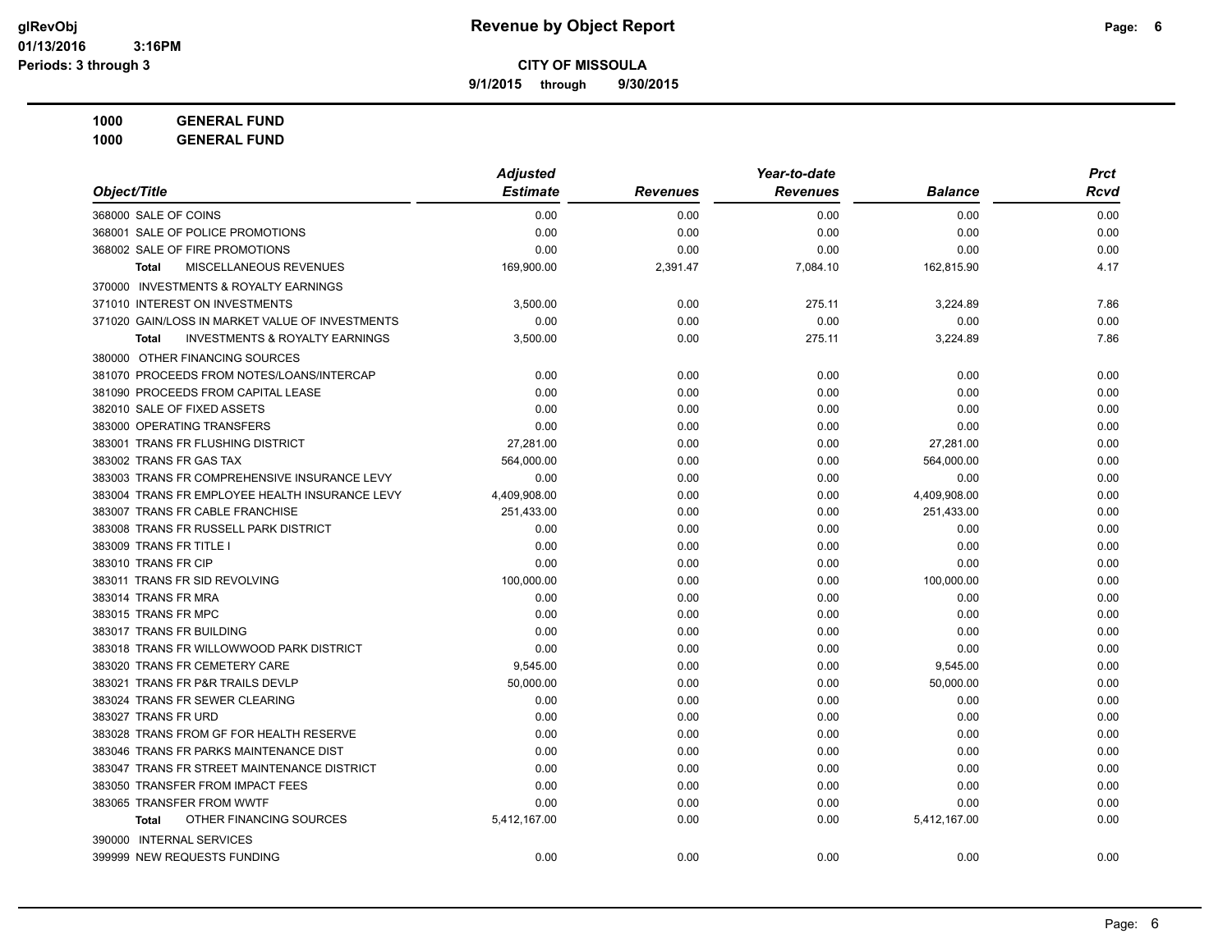**9/1/2015 through 9/30/2015**

**1000 GENERAL FUND 1000 GENERAL FUND**

|                                                           | <b>Adjusted</b> |                 | Year-to-date    |                | <b>Prct</b> |
|-----------------------------------------------------------|-----------------|-----------------|-----------------|----------------|-------------|
| Object/Title                                              | <b>Estimate</b> | <b>Revenues</b> | <b>Revenues</b> | <b>Balance</b> | <b>Rcvd</b> |
| 368000 SALE OF COINS                                      | 0.00            | 0.00            | 0.00            | 0.00           | 0.00        |
| 368001 SALE OF POLICE PROMOTIONS                          | 0.00            | 0.00            | 0.00            | 0.00           | 0.00        |
| 368002 SALE OF FIRE PROMOTIONS                            | 0.00            | 0.00            | 0.00            | 0.00           | 0.00        |
| MISCELLANEOUS REVENUES<br><b>Total</b>                    | 169,900.00      | 2,391.47        | 7,084.10        | 162,815.90     | 4.17        |
| 370000 INVESTMENTS & ROYALTY EARNINGS                     |                 |                 |                 |                |             |
| 371010 INTEREST ON INVESTMENTS                            | 3,500.00        | 0.00            | 275.11          | 3,224.89       | 7.86        |
| 371020 GAIN/LOSS IN MARKET VALUE OF INVESTMENTS           | 0.00            | 0.00            | 0.00            | 0.00           | 0.00        |
| <b>INVESTMENTS &amp; ROYALTY EARNINGS</b><br><b>Total</b> | 3,500.00        | 0.00            | 275.11          | 3,224.89       | 7.86        |
| 380000 OTHER FINANCING SOURCES                            |                 |                 |                 |                |             |
| 381070 PROCEEDS FROM NOTES/LOANS/INTERCAP                 | 0.00            | 0.00            | 0.00            | 0.00           | 0.00        |
| 381090 PROCEEDS FROM CAPITAL LEASE                        | 0.00            | 0.00            | 0.00            | 0.00           | 0.00        |
| 382010 SALE OF FIXED ASSETS                               | 0.00            | 0.00            | 0.00            | 0.00           | 0.00        |
| 383000 OPERATING TRANSFERS                                | 0.00            | 0.00            | 0.00            | 0.00           | 0.00        |
| 383001 TRANS FR FLUSHING DISTRICT                         | 27,281.00       | 0.00            | 0.00            | 27,281.00      | 0.00        |
| 383002 TRANS FR GAS TAX                                   | 564,000.00      | 0.00            | 0.00            | 564,000.00     | 0.00        |
| 383003 TRANS FR COMPREHENSIVE INSURANCE LEVY              | 0.00            | 0.00            | 0.00            | 0.00           | 0.00        |
| 383004 TRANS FR EMPLOYEE HEALTH INSURANCE LEVY            | 4,409,908.00    | 0.00            | 0.00            | 4,409,908.00   | 0.00        |
| 383007 TRANS FR CABLE FRANCHISE                           | 251,433.00      | 0.00            | 0.00            | 251,433.00     | 0.00        |
| 383008 TRANS FR RUSSELL PARK DISTRICT                     | 0.00            | 0.00            | 0.00            | 0.00           | 0.00        |
| 383009 TRANS FR TITLE I                                   | 0.00            | 0.00            | 0.00            | 0.00           | 0.00        |
| 383010 TRANS FR CIP                                       | 0.00            | 0.00            | 0.00            | 0.00           | 0.00        |
| 383011 TRANS FR SID REVOLVING                             | 100,000.00      | 0.00            | 0.00            | 100,000.00     | 0.00        |
| 383014 TRANS FR MRA                                       | 0.00            | 0.00            | 0.00            | 0.00           | 0.00        |
| 383015 TRANS FR MPC                                       | 0.00            | 0.00            | 0.00            | 0.00           | 0.00        |
| 383017 TRANS FR BUILDING                                  | 0.00            | 0.00            | 0.00            | 0.00           | 0.00        |
| 383018 TRANS FR WILLOWWOOD PARK DISTRICT                  | 0.00            | 0.00            | 0.00            | 0.00           | 0.00        |
| 383020 TRANS FR CEMETERY CARE                             | 9,545.00        | 0.00            | 0.00            | 9,545.00       | 0.00        |
| 383021 TRANS FR P&R TRAILS DEVLP                          | 50,000.00       | 0.00            | 0.00            | 50,000.00      | 0.00        |
| 383024 TRANS FR SEWER CLEARING                            | 0.00            | 0.00            | 0.00            | 0.00           | 0.00        |
| 383027 TRANS FR URD                                       | 0.00            | 0.00            | 0.00            | 0.00           | 0.00        |
| 383028 TRANS FROM GF FOR HEALTH RESERVE                   | 0.00            | 0.00            | 0.00            | 0.00           | 0.00        |
| 383046 TRANS FR PARKS MAINTENANCE DIST                    | 0.00            | 0.00            | 0.00            | 0.00           | 0.00        |
| 383047 TRANS FR STREET MAINTENANCE DISTRICT               | 0.00            | 0.00            | 0.00            | 0.00           | 0.00        |
| 383050 TRANSFER FROM IMPACT FEES                          | 0.00            | 0.00            | 0.00            | 0.00           | 0.00        |
| 383065 TRANSFER FROM WWTF                                 | 0.00            | 0.00            | 0.00            | 0.00           | 0.00        |
| OTHER FINANCING SOURCES<br><b>Total</b>                   | 5,412,167.00    | 0.00            | 0.00            | 5,412,167.00   | 0.00        |
| 390000 INTERNAL SERVICES                                  |                 |                 |                 |                |             |
| 399999 NEW REQUESTS FUNDING                               | 0.00            | 0.00            | 0.00            | 0.00           | 0.00        |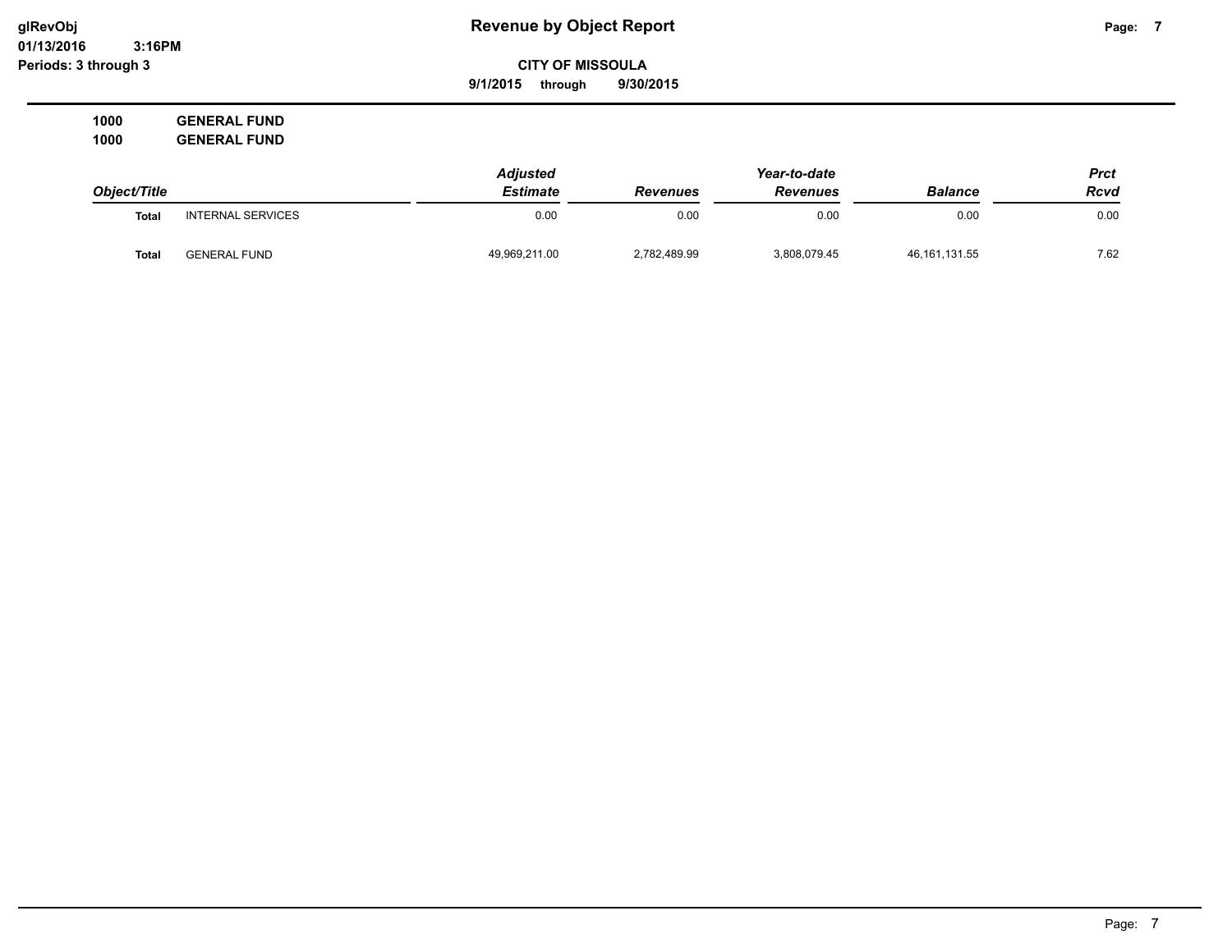**01/13/2016 3:16PM Periods: 3 through 3**

# **glRevObj Revenue by Object Report Page: 7**

**CITY OF MISSOULA**

**9/1/2015 through 9/30/2015**

**1000 GENERAL FUND 1000 GENERAL FUND**

|              |                          | <b>Adjusted</b> |                 | Year-to-date    |                 | Prct        |
|--------------|--------------------------|-----------------|-----------------|-----------------|-----------------|-------------|
| Object/Title |                          | <b>Estimate</b> | <b>Revenues</b> | <b>Revenues</b> | <b>Balance</b>  | <b>Rcvd</b> |
| <b>Total</b> | <b>INTERNAL SERVICES</b> | 0.00            | 0.00            | 0.00            | 0.00            | 0.00        |
| Total        | <b>GENERAL FUND</b>      | 49,969,211.00   | 2,782,489.99    | 3,808,079.45    | 46, 161, 131.55 | 7.62        |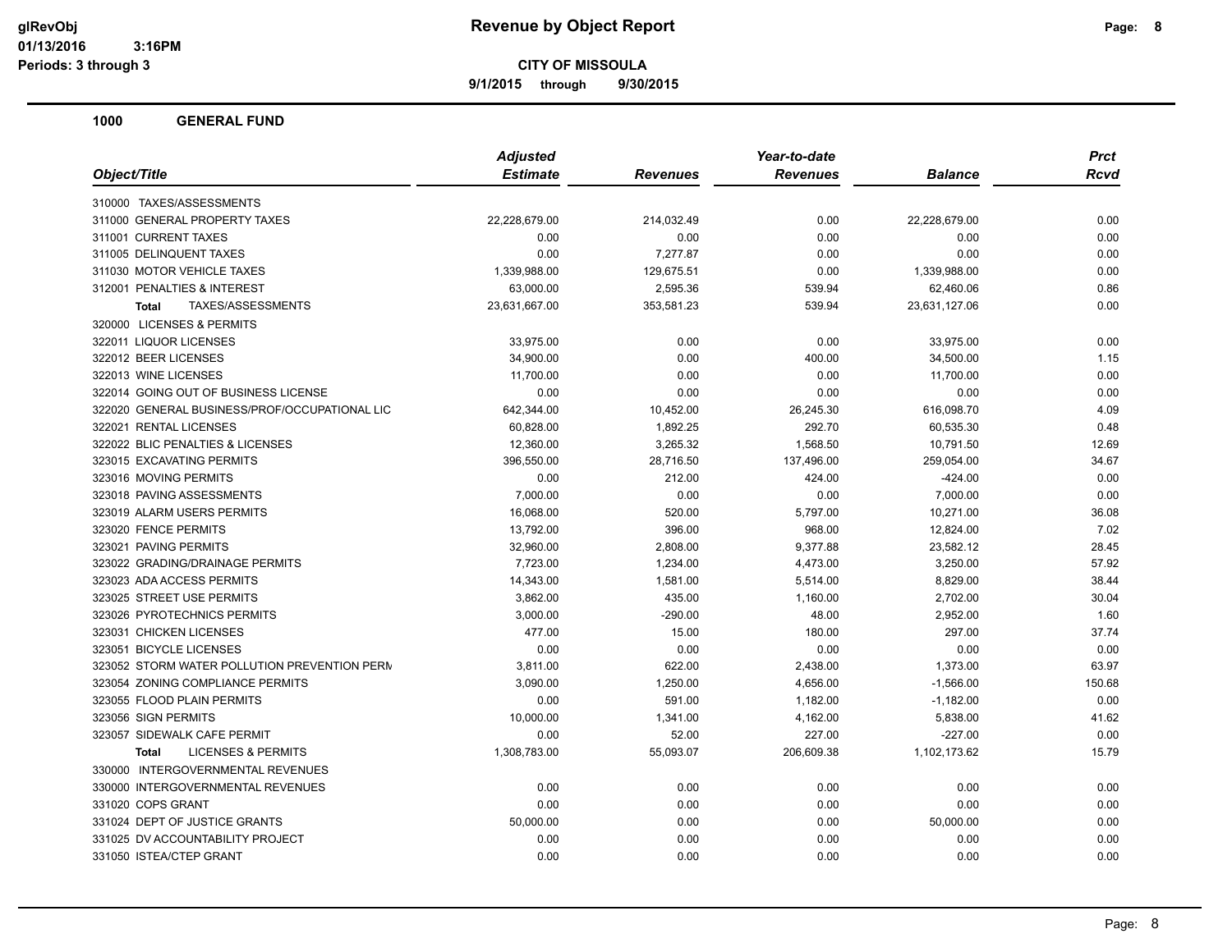**9/1/2015 through 9/30/2015**

| Object/Title<br><b>Estimate</b><br><b>Revenues</b><br><b>Balance</b><br><b>Revenues</b>                  | <b>Rcvd</b> |
|----------------------------------------------------------------------------------------------------------|-------------|
|                                                                                                          |             |
| 310000 TAXES/ASSESSMENTS                                                                                 |             |
| 311000 GENERAL PROPERTY TAXES<br>22,228,679.00<br>214,032.49<br>0.00<br>22,228,679.00                    | 0.00        |
| 311001 CURRENT TAXES<br>0.00<br>0.00<br>0.00<br>0.00                                                     | 0.00        |
| 311005 DELINQUENT TAXES<br>0.00<br>7,277.87<br>0.00<br>0.00                                              | 0.00        |
| 311030 MOTOR VEHICLE TAXES<br>129,675.51<br>1,339,988.00<br>0.00<br>1,339,988.00                         | 0.00        |
| 312001 PENALTIES & INTEREST<br>63,000.00<br>2,595.36<br>539.94<br>62,460.06                              | 0.86        |
| TAXES/ASSESSMENTS<br>23,631,667.00<br>353,581.23<br>539.94<br>23,631,127.06<br><b>Total</b>              | 0.00        |
| 320000 LICENSES & PERMITS                                                                                |             |
| 322011 LIQUOR LICENSES<br>33,975.00<br>0.00<br>0.00<br>33,975.00                                         | 0.00        |
| 322012 BEER LICENSES<br>0.00<br>400.00<br>34,900.00<br>34,500.00                                         | 1.15        |
| 322013 WINE LICENSES<br>0.00<br>11,700.00<br>0.00<br>11,700.00                                           | 0.00        |
| 322014 GOING OUT OF BUSINESS LICENSE<br>0.00<br>0.00<br>0.00<br>0.00                                     | 0.00        |
| 322020 GENERAL BUSINESS/PROF/OCCUPATIONAL LIC<br>616,098.70<br>642,344.00<br>10,452.00<br>26,245.30      | 4.09        |
| 322021 RENTAL LICENSES<br>292.70<br>60,828.00<br>1,892.25<br>60,535.30                                   | 0.48        |
| 322022 BLIC PENALTIES & LICENSES<br>12,360.00<br>3,265.32<br>1,568.50<br>10,791.50                       | 12.69       |
| 323015 EXCAVATING PERMITS<br>28,716.50<br>137,496.00<br>396,550.00<br>259,054.00                         | 34.67       |
| 323016 MOVING PERMITS<br>0.00<br>212.00<br>$-424.00$<br>424.00                                           | 0.00        |
| 323018 PAVING ASSESSMENTS<br>7,000.00<br>0.00<br>7,000.00<br>0.00                                        | 0.00        |
| 323019 ALARM USERS PERMITS<br>16,068.00<br>520.00<br>10,271.00<br>5,797.00                               | 36.08       |
| 323020 FENCE PERMITS<br>13,792.00<br>396.00<br>968.00<br>12,824.00                                       | 7.02        |
| 323021 PAVING PERMITS<br>9,377.88<br>23,582.12<br>32,960.00<br>2,808.00                                  | 28.45       |
| 323022 GRADING/DRAINAGE PERMITS<br>7,723.00<br>3,250.00<br>1,234.00<br>4,473.00                          | 57.92       |
| 323023 ADA ACCESS PERMITS<br>14,343.00<br>1,581.00<br>8,829.00<br>5,514.00                               | 38.44       |
| 323025 STREET USE PERMITS<br>3,862.00<br>435.00<br>1,160.00<br>2,702.00                                  | 30.04       |
| 323026 PYROTECHNICS PERMITS<br>3,000.00<br>$-290.00$<br>48.00<br>2,952.00                                | 1.60        |
| 323031 CHICKEN LICENSES<br>297.00<br>477.00<br>15.00<br>180.00                                           | 37.74       |
| 323051 BICYCLE LICENSES<br>0.00<br>0.00<br>0.00<br>0.00                                                  | 0.00        |
| 323052 STORM WATER POLLUTION PREVENTION PERM<br>622.00<br>1,373.00<br>3,811.00<br>2,438.00               | 63.97       |
| 323054 ZONING COMPLIANCE PERMITS<br>3,090.00<br>1,250.00<br>4,656.00<br>$-1,566.00$                      | 150.68      |
| 323055 FLOOD PLAIN PERMITS<br>0.00<br>591.00<br>1,182.00<br>$-1,182.00$                                  | 0.00        |
| 323056 SIGN PERMITS<br>10,000.00<br>4,162.00<br>5,838.00<br>1,341.00                                     | 41.62       |
| 323057 SIDEWALK CAFE PERMIT<br>0.00<br>52.00<br>227.00<br>$-227.00$                                      | 0.00        |
| <b>LICENSES &amp; PERMITS</b><br>1,308,783.00<br>55,093.07<br>206,609.38<br>1,102,173.62<br><b>Total</b> | 15.79       |
| 330000 INTERGOVERNMENTAL REVENUES                                                                        |             |
| 330000 INTERGOVERNMENTAL REVENUES<br>0.00<br>0.00<br>0.00<br>0.00                                        | 0.00        |
| 331020 COPS GRANT<br>0.00<br>0.00<br>0.00<br>0.00                                                        | 0.00        |
| 331024 DEPT OF JUSTICE GRANTS<br>50,000.00<br>0.00<br>0.00<br>50,000.00                                  | 0.00        |
| 331025 DV ACCOUNTABILITY PROJECT<br>0.00<br>0.00<br>0.00<br>0.00                                         | 0.00        |
| 331050 ISTEA/CTEP GRANT<br>0.00<br>0.00<br>0.00<br>0.00                                                  | 0.00        |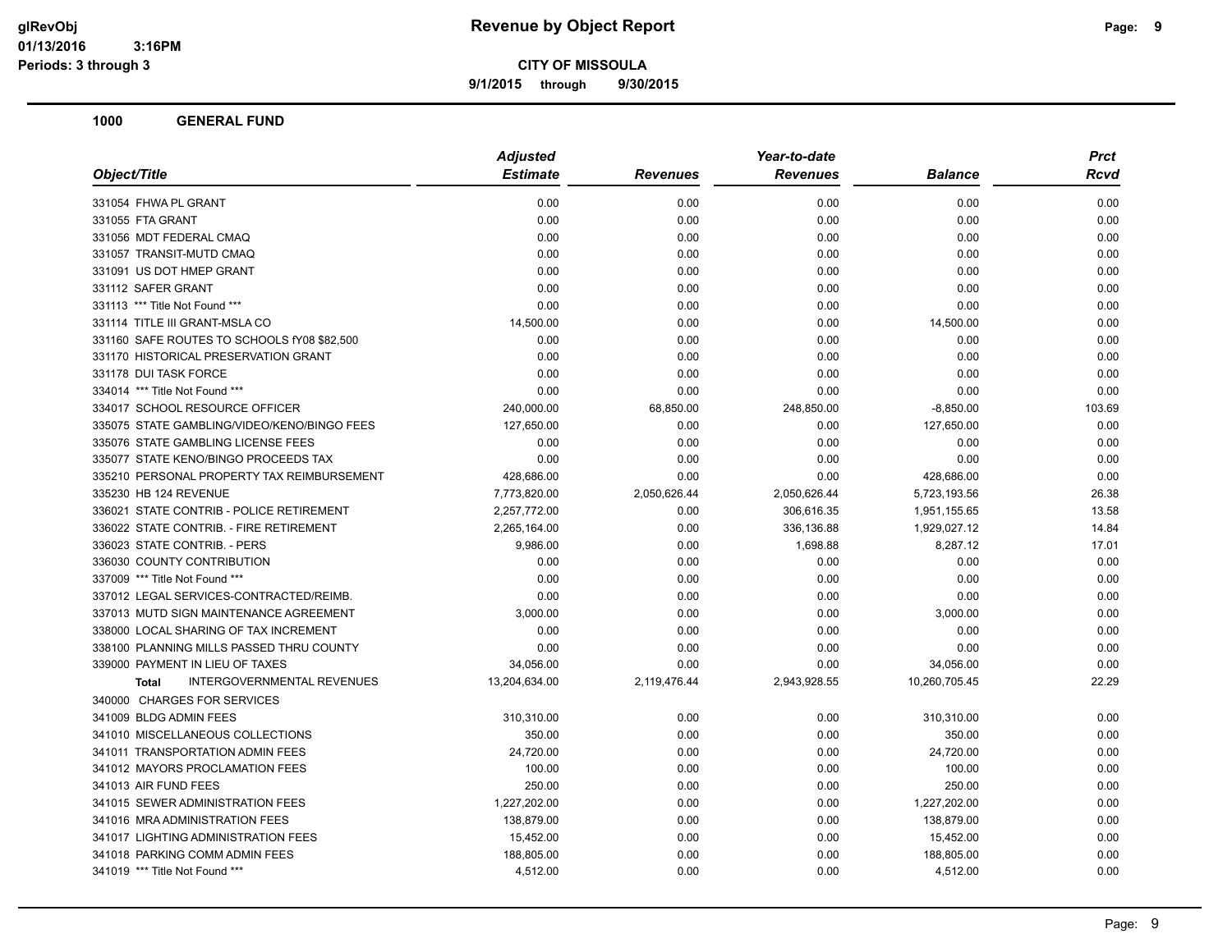**9/1/2015 through 9/30/2015**

| <b>Estimate</b><br><b>Revenues</b><br><b>Revenues</b><br><b>Balance</b><br>0.00<br>0.00<br>0.00<br>0.00<br>0.00<br>0.00<br>0.00<br>0.00<br>0.00<br>0.00<br>0.00<br>0.00<br>0.00<br>0.00<br>0.00<br>0.00<br>0.00<br>0.00<br>0.00<br>0.00<br>0.00<br>0.00<br>0.00<br>0.00<br>0.00<br>0.00<br>0.00<br>0.00<br>14,500.00<br>0.00<br>0.00<br>14,500.00<br>0.00<br>0.00<br>0.00<br>0.00<br>0.00<br>0.00<br>0.00<br>0.00<br>0.00<br>0.00<br>0.00<br>0.00<br>0.00<br>0.00<br>0.00<br>0.00<br>240,000.00<br>68,850.00<br>248,850.00<br>$-8,850.00$<br>127,650.00<br>0.00<br>0.00<br>127,650.00<br>0.00<br>0.00<br>0.00<br>0.00<br>0.00<br>0.00<br>0.00<br>0.00<br>428,686.00<br>0.00<br>0.00<br>428,686.00<br>7,773,820.00<br>2,050,626.44<br>2,050,626.44<br>5,723,193.56<br>2,257,772.00<br>0.00<br>306,616.35<br>1,951,155.65<br>2,265,164.00<br>0.00<br>336,136.88<br>1,929,027.12<br>9,986.00<br>0.00<br>1,698.88<br>8,287.12<br>0.00<br>0.00<br>0.00<br>0.00<br>0.00<br>0.00<br>0.00<br>0.00<br>0.00<br>0.00<br>0.00<br>0.00<br>3,000.00<br>0.00<br>0.00<br>3,000.00<br>0.00<br>0.00<br>0.00<br>0.00<br>0.00<br>0.00<br>0.00<br>0.00<br>34,056.00<br>0.00<br>0.00<br>34,056.00<br>INTERGOVERNMENTAL REVENUES<br>13,204,634.00<br>10,260,705.45<br>2,119,476.44<br>2,943,928.55<br><b>Total</b><br>310,310.00<br>0.00<br>0.00<br>310,310.00<br>350.00<br>0.00<br>0.00<br>350.00<br>24,720.00<br>0.00<br>0.00<br>24,720.00<br>100.00<br>0.00<br>0.00<br>100.00<br>250.00<br>0.00<br>0.00<br>250.00<br>1,227,202.00<br>1,227,202.00<br>0.00<br>0.00<br>138,879.00<br>138,879.00<br>0.00<br>0.00<br>15,452.00<br>0.00<br>0.00<br>15,452.00<br>188,805.00<br>0.00<br>0.00<br>188,805.00<br>4,512.00<br>4,512.00<br>0.00<br>0.00 |                                             | <b>Adjusted</b> |  | <b>Prct</b> |        |
|-------------------------------------------------------------------------------------------------------------------------------------------------------------------------------------------------------------------------------------------------------------------------------------------------------------------------------------------------------------------------------------------------------------------------------------------------------------------------------------------------------------------------------------------------------------------------------------------------------------------------------------------------------------------------------------------------------------------------------------------------------------------------------------------------------------------------------------------------------------------------------------------------------------------------------------------------------------------------------------------------------------------------------------------------------------------------------------------------------------------------------------------------------------------------------------------------------------------------------------------------------------------------------------------------------------------------------------------------------------------------------------------------------------------------------------------------------------------------------------------------------------------------------------------------------------------------------------------------------------------------------------------------------------------------------------------------------------------------|---------------------------------------------|-----------------|--|-------------|--------|
|                                                                                                                                                                                                                                                                                                                                                                                                                                                                                                                                                                                                                                                                                                                                                                                                                                                                                                                                                                                                                                                                                                                                                                                                                                                                                                                                                                                                                                                                                                                                                                                                                                                                                                                         | Object/Title                                |                 |  |             | Rcvd   |
|                                                                                                                                                                                                                                                                                                                                                                                                                                                                                                                                                                                                                                                                                                                                                                                                                                                                                                                                                                                                                                                                                                                                                                                                                                                                                                                                                                                                                                                                                                                                                                                                                                                                                                                         | 331054 FHWA PL GRANT                        |                 |  |             | 0.00   |
|                                                                                                                                                                                                                                                                                                                                                                                                                                                                                                                                                                                                                                                                                                                                                                                                                                                                                                                                                                                                                                                                                                                                                                                                                                                                                                                                                                                                                                                                                                                                                                                                                                                                                                                         | 331055 FTA GRANT                            |                 |  |             | 0.00   |
|                                                                                                                                                                                                                                                                                                                                                                                                                                                                                                                                                                                                                                                                                                                                                                                                                                                                                                                                                                                                                                                                                                                                                                                                                                                                                                                                                                                                                                                                                                                                                                                                                                                                                                                         | 331056 MDT FEDERAL CMAQ                     |                 |  |             | 0.00   |
|                                                                                                                                                                                                                                                                                                                                                                                                                                                                                                                                                                                                                                                                                                                                                                                                                                                                                                                                                                                                                                                                                                                                                                                                                                                                                                                                                                                                                                                                                                                                                                                                                                                                                                                         | 331057 TRANSIT-MUTD CMAQ                    |                 |  |             | 0.00   |
|                                                                                                                                                                                                                                                                                                                                                                                                                                                                                                                                                                                                                                                                                                                                                                                                                                                                                                                                                                                                                                                                                                                                                                                                                                                                                                                                                                                                                                                                                                                                                                                                                                                                                                                         | 331091 US DOT HMEP GRANT                    |                 |  |             | 0.00   |
|                                                                                                                                                                                                                                                                                                                                                                                                                                                                                                                                                                                                                                                                                                                                                                                                                                                                                                                                                                                                                                                                                                                                                                                                                                                                                                                                                                                                                                                                                                                                                                                                                                                                                                                         | 331112 SAFER GRANT                          |                 |  |             | 0.00   |
|                                                                                                                                                                                                                                                                                                                                                                                                                                                                                                                                                                                                                                                                                                                                                                                                                                                                                                                                                                                                                                                                                                                                                                                                                                                                                                                                                                                                                                                                                                                                                                                                                                                                                                                         | 331113 *** Title Not Found ***              |                 |  |             | 0.00   |
|                                                                                                                                                                                                                                                                                                                                                                                                                                                                                                                                                                                                                                                                                                                                                                                                                                                                                                                                                                                                                                                                                                                                                                                                                                                                                                                                                                                                                                                                                                                                                                                                                                                                                                                         | 331114 TITLE III GRANT-MSLA CO              |                 |  |             | 0.00   |
|                                                                                                                                                                                                                                                                                                                                                                                                                                                                                                                                                                                                                                                                                                                                                                                                                                                                                                                                                                                                                                                                                                                                                                                                                                                                                                                                                                                                                                                                                                                                                                                                                                                                                                                         | 331160 SAFE ROUTES TO SCHOOLS fY08 \$82,500 |                 |  |             | 0.00   |
|                                                                                                                                                                                                                                                                                                                                                                                                                                                                                                                                                                                                                                                                                                                                                                                                                                                                                                                                                                                                                                                                                                                                                                                                                                                                                                                                                                                                                                                                                                                                                                                                                                                                                                                         | 331170 HISTORICAL PRESERVATION GRANT        |                 |  |             | 0.00   |
|                                                                                                                                                                                                                                                                                                                                                                                                                                                                                                                                                                                                                                                                                                                                                                                                                                                                                                                                                                                                                                                                                                                                                                                                                                                                                                                                                                                                                                                                                                                                                                                                                                                                                                                         | 331178 DUI TASK FORCE                       |                 |  |             | 0.00   |
|                                                                                                                                                                                                                                                                                                                                                                                                                                                                                                                                                                                                                                                                                                                                                                                                                                                                                                                                                                                                                                                                                                                                                                                                                                                                                                                                                                                                                                                                                                                                                                                                                                                                                                                         | 334014 *** Title Not Found ***              |                 |  |             | 0.00   |
|                                                                                                                                                                                                                                                                                                                                                                                                                                                                                                                                                                                                                                                                                                                                                                                                                                                                                                                                                                                                                                                                                                                                                                                                                                                                                                                                                                                                                                                                                                                                                                                                                                                                                                                         | 334017 SCHOOL RESOURCE OFFICER              |                 |  |             | 103.69 |
|                                                                                                                                                                                                                                                                                                                                                                                                                                                                                                                                                                                                                                                                                                                                                                                                                                                                                                                                                                                                                                                                                                                                                                                                                                                                                                                                                                                                                                                                                                                                                                                                                                                                                                                         | 335075 STATE GAMBLING/VIDEO/KENO/BINGO FEES |                 |  |             | 0.00   |
|                                                                                                                                                                                                                                                                                                                                                                                                                                                                                                                                                                                                                                                                                                                                                                                                                                                                                                                                                                                                                                                                                                                                                                                                                                                                                                                                                                                                                                                                                                                                                                                                                                                                                                                         | 335076 STATE GAMBLING LICENSE FEES          |                 |  |             | 0.00   |
|                                                                                                                                                                                                                                                                                                                                                                                                                                                                                                                                                                                                                                                                                                                                                                                                                                                                                                                                                                                                                                                                                                                                                                                                                                                                                                                                                                                                                                                                                                                                                                                                                                                                                                                         | 335077 STATE KENO/BINGO PROCEEDS TAX        |                 |  |             | 0.00   |
|                                                                                                                                                                                                                                                                                                                                                                                                                                                                                                                                                                                                                                                                                                                                                                                                                                                                                                                                                                                                                                                                                                                                                                                                                                                                                                                                                                                                                                                                                                                                                                                                                                                                                                                         | 335210 PERSONAL PROPERTY TAX REIMBURSEMENT  |                 |  |             | 0.00   |
|                                                                                                                                                                                                                                                                                                                                                                                                                                                                                                                                                                                                                                                                                                                                                                                                                                                                                                                                                                                                                                                                                                                                                                                                                                                                                                                                                                                                                                                                                                                                                                                                                                                                                                                         | 335230 HB 124 REVENUE                       |                 |  |             | 26.38  |
|                                                                                                                                                                                                                                                                                                                                                                                                                                                                                                                                                                                                                                                                                                                                                                                                                                                                                                                                                                                                                                                                                                                                                                                                                                                                                                                                                                                                                                                                                                                                                                                                                                                                                                                         | 336021 STATE CONTRIB - POLICE RETIREMENT    |                 |  |             | 13.58  |
|                                                                                                                                                                                                                                                                                                                                                                                                                                                                                                                                                                                                                                                                                                                                                                                                                                                                                                                                                                                                                                                                                                                                                                                                                                                                                                                                                                                                                                                                                                                                                                                                                                                                                                                         | 336022 STATE CONTRIB. - FIRE RETIREMENT     |                 |  |             | 14.84  |
|                                                                                                                                                                                                                                                                                                                                                                                                                                                                                                                                                                                                                                                                                                                                                                                                                                                                                                                                                                                                                                                                                                                                                                                                                                                                                                                                                                                                                                                                                                                                                                                                                                                                                                                         | 336023 STATE CONTRIB. - PERS                |                 |  |             | 17.01  |
|                                                                                                                                                                                                                                                                                                                                                                                                                                                                                                                                                                                                                                                                                                                                                                                                                                                                                                                                                                                                                                                                                                                                                                                                                                                                                                                                                                                                                                                                                                                                                                                                                                                                                                                         | 336030 COUNTY CONTRIBUTION                  |                 |  |             | 0.00   |
|                                                                                                                                                                                                                                                                                                                                                                                                                                                                                                                                                                                                                                                                                                                                                                                                                                                                                                                                                                                                                                                                                                                                                                                                                                                                                                                                                                                                                                                                                                                                                                                                                                                                                                                         | 337009 *** Title Not Found ***              |                 |  |             | 0.00   |
|                                                                                                                                                                                                                                                                                                                                                                                                                                                                                                                                                                                                                                                                                                                                                                                                                                                                                                                                                                                                                                                                                                                                                                                                                                                                                                                                                                                                                                                                                                                                                                                                                                                                                                                         | 337012 LEGAL SERVICES-CONTRACTED/REIMB.     |                 |  |             | 0.00   |
|                                                                                                                                                                                                                                                                                                                                                                                                                                                                                                                                                                                                                                                                                                                                                                                                                                                                                                                                                                                                                                                                                                                                                                                                                                                                                                                                                                                                                                                                                                                                                                                                                                                                                                                         | 337013 MUTD SIGN MAINTENANCE AGREEMENT      |                 |  |             | 0.00   |
|                                                                                                                                                                                                                                                                                                                                                                                                                                                                                                                                                                                                                                                                                                                                                                                                                                                                                                                                                                                                                                                                                                                                                                                                                                                                                                                                                                                                                                                                                                                                                                                                                                                                                                                         | 338000 LOCAL SHARING OF TAX INCREMENT       |                 |  |             | 0.00   |
|                                                                                                                                                                                                                                                                                                                                                                                                                                                                                                                                                                                                                                                                                                                                                                                                                                                                                                                                                                                                                                                                                                                                                                                                                                                                                                                                                                                                                                                                                                                                                                                                                                                                                                                         | 338100 PLANNING MILLS PASSED THRU COUNTY    |                 |  |             | 0.00   |
|                                                                                                                                                                                                                                                                                                                                                                                                                                                                                                                                                                                                                                                                                                                                                                                                                                                                                                                                                                                                                                                                                                                                                                                                                                                                                                                                                                                                                                                                                                                                                                                                                                                                                                                         | 339000 PAYMENT IN LIEU OF TAXES             |                 |  |             | 0.00   |
|                                                                                                                                                                                                                                                                                                                                                                                                                                                                                                                                                                                                                                                                                                                                                                                                                                                                                                                                                                                                                                                                                                                                                                                                                                                                                                                                                                                                                                                                                                                                                                                                                                                                                                                         |                                             |                 |  |             | 22.29  |
|                                                                                                                                                                                                                                                                                                                                                                                                                                                                                                                                                                                                                                                                                                                                                                                                                                                                                                                                                                                                                                                                                                                                                                                                                                                                                                                                                                                                                                                                                                                                                                                                                                                                                                                         | 340000 CHARGES FOR SERVICES                 |                 |  |             |        |
|                                                                                                                                                                                                                                                                                                                                                                                                                                                                                                                                                                                                                                                                                                                                                                                                                                                                                                                                                                                                                                                                                                                                                                                                                                                                                                                                                                                                                                                                                                                                                                                                                                                                                                                         | 341009 BLDG ADMIN FEES                      |                 |  |             | 0.00   |
|                                                                                                                                                                                                                                                                                                                                                                                                                                                                                                                                                                                                                                                                                                                                                                                                                                                                                                                                                                                                                                                                                                                                                                                                                                                                                                                                                                                                                                                                                                                                                                                                                                                                                                                         | 341010 MISCELLANEOUS COLLECTIONS            |                 |  |             | 0.00   |
|                                                                                                                                                                                                                                                                                                                                                                                                                                                                                                                                                                                                                                                                                                                                                                                                                                                                                                                                                                                                                                                                                                                                                                                                                                                                                                                                                                                                                                                                                                                                                                                                                                                                                                                         | 341011 TRANSPORTATION ADMIN FEES            |                 |  |             | 0.00   |
|                                                                                                                                                                                                                                                                                                                                                                                                                                                                                                                                                                                                                                                                                                                                                                                                                                                                                                                                                                                                                                                                                                                                                                                                                                                                                                                                                                                                                                                                                                                                                                                                                                                                                                                         | 341012 MAYORS PROCLAMATION FEES             |                 |  |             | 0.00   |
|                                                                                                                                                                                                                                                                                                                                                                                                                                                                                                                                                                                                                                                                                                                                                                                                                                                                                                                                                                                                                                                                                                                                                                                                                                                                                                                                                                                                                                                                                                                                                                                                                                                                                                                         | 341013 AIR FUND FEES                        |                 |  |             | 0.00   |
|                                                                                                                                                                                                                                                                                                                                                                                                                                                                                                                                                                                                                                                                                                                                                                                                                                                                                                                                                                                                                                                                                                                                                                                                                                                                                                                                                                                                                                                                                                                                                                                                                                                                                                                         | 341015 SEWER ADMINISTRATION FEES            |                 |  |             | 0.00   |
|                                                                                                                                                                                                                                                                                                                                                                                                                                                                                                                                                                                                                                                                                                                                                                                                                                                                                                                                                                                                                                                                                                                                                                                                                                                                                                                                                                                                                                                                                                                                                                                                                                                                                                                         | 341016 MRA ADMINISTRATION FEES              |                 |  |             | 0.00   |
|                                                                                                                                                                                                                                                                                                                                                                                                                                                                                                                                                                                                                                                                                                                                                                                                                                                                                                                                                                                                                                                                                                                                                                                                                                                                                                                                                                                                                                                                                                                                                                                                                                                                                                                         | 341017 LIGHTING ADMINISTRATION FEES         |                 |  |             | 0.00   |
|                                                                                                                                                                                                                                                                                                                                                                                                                                                                                                                                                                                                                                                                                                                                                                                                                                                                                                                                                                                                                                                                                                                                                                                                                                                                                                                                                                                                                                                                                                                                                                                                                                                                                                                         | 341018 PARKING COMM ADMIN FEES              |                 |  |             | 0.00   |
|                                                                                                                                                                                                                                                                                                                                                                                                                                                                                                                                                                                                                                                                                                                                                                                                                                                                                                                                                                                                                                                                                                                                                                                                                                                                                                                                                                                                                                                                                                                                                                                                                                                                                                                         | 341019 *** Title Not Found ***              |                 |  |             | 0.00   |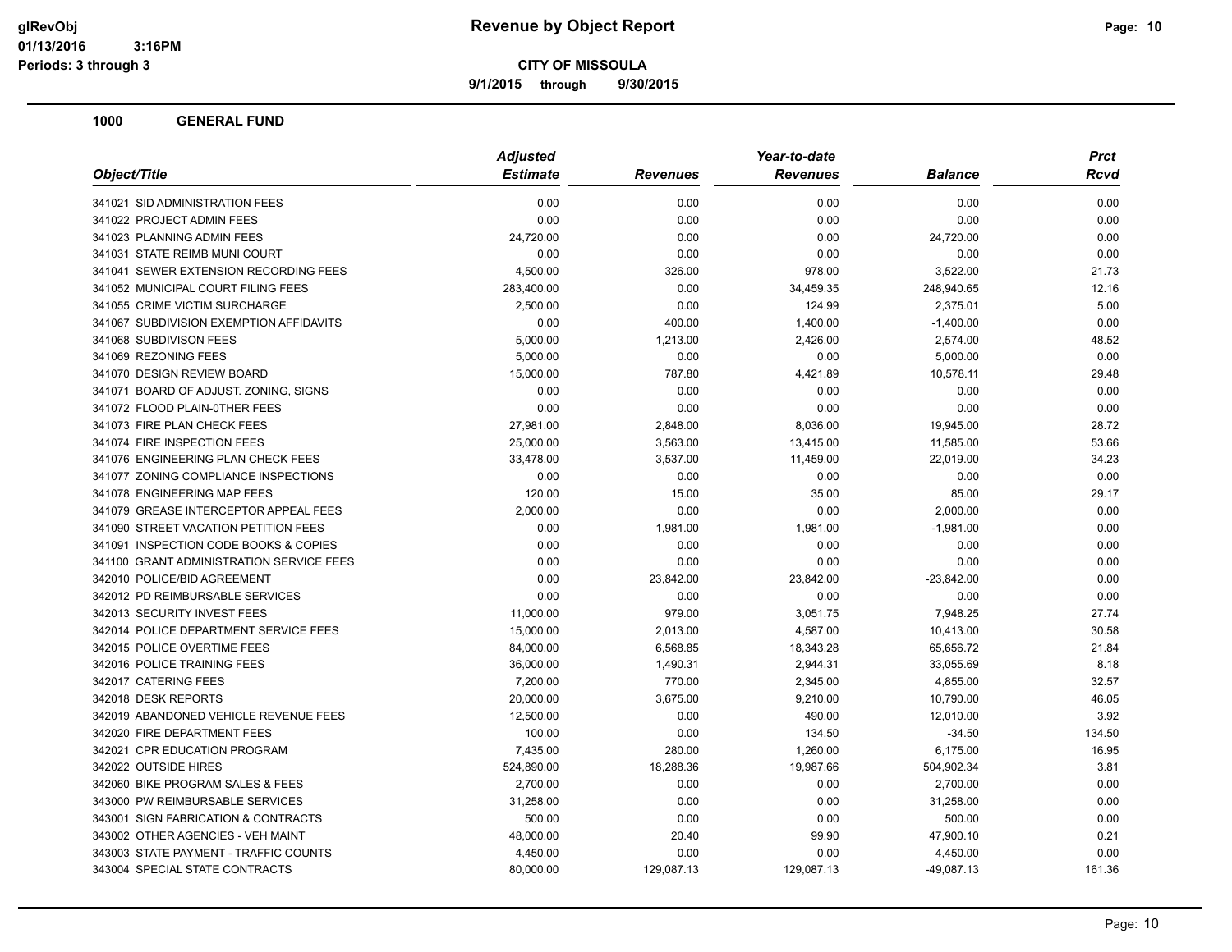**9/1/2015 through 9/30/2015**

|                                          | <b>Adjusted</b> | Year-to-date    |                 |                |        |
|------------------------------------------|-----------------|-----------------|-----------------|----------------|--------|
| Object/Title                             | <b>Estimate</b> | <b>Revenues</b> | <b>Revenues</b> | <b>Balance</b> | Rcvd   |
| 341021 SID ADMINISTRATION FEES           | 0.00            | 0.00            | 0.00            | 0.00           | 0.00   |
| 341022 PROJECT ADMIN FEES                | 0.00            | 0.00            | 0.00            | 0.00           | 0.00   |
| 341023 PLANNING ADMIN FEES               | 24,720.00       | 0.00            | 0.00            | 24,720.00      | 0.00   |
| 341031 STATE REIMB MUNI COURT            | 0.00            | 0.00            | 0.00            | 0.00           | 0.00   |
| 341041 SEWER EXTENSION RECORDING FEES    | 4,500.00        | 326.00          | 978.00          | 3,522.00       | 21.73  |
| 341052 MUNICIPAL COURT FILING FEES       | 283,400.00      | 0.00            | 34,459.35       | 248,940.65     | 12.16  |
| 341055 CRIME VICTIM SURCHARGE            | 2,500.00        | 0.00            | 124.99          | 2,375.01       | 5.00   |
| 341067 SUBDIVISION EXEMPTION AFFIDAVITS  | 0.00            | 400.00          | 1,400.00        | $-1,400.00$    | 0.00   |
| 341068 SUBDIVISON FEES                   | 5,000.00        | 1,213.00        | 2,426.00        | 2,574.00       | 48.52  |
| 341069 REZONING FEES                     | 5,000.00        | 0.00            | 0.00            | 5,000.00       | 0.00   |
| 341070 DESIGN REVIEW BOARD               | 15,000.00       | 787.80          | 4,421.89        | 10,578.11      | 29.48  |
| 341071 BOARD OF ADJUST. ZONING, SIGNS    | 0.00            | 0.00            | 0.00            | 0.00           | 0.00   |
| 341072 FLOOD PLAIN-0THER FEES            | 0.00            | 0.00            | 0.00            | 0.00           | 0.00   |
| 341073 FIRE PLAN CHECK FEES              | 27,981.00       | 2,848.00        | 8,036.00        | 19,945.00      | 28.72  |
| 341074 FIRE INSPECTION FEES              | 25,000.00       | 3,563.00        | 13,415.00       | 11,585.00      | 53.66  |
| 341076 ENGINEERING PLAN CHECK FEES       | 33,478.00       | 3,537.00        | 11,459.00       | 22,019.00      | 34.23  |
| 341077 ZONING COMPLIANCE INSPECTIONS     | 0.00            | 0.00            | 0.00            | 0.00           | 0.00   |
| 341078 ENGINEERING MAP FEES              | 120.00          | 15.00           | 35.00           | 85.00          | 29.17  |
| 341079 GREASE INTERCEPTOR APPEAL FEES    | 2,000.00        | 0.00            | 0.00            | 2,000.00       | 0.00   |
| 341090 STREET VACATION PETITION FEES     | 0.00            | 1,981.00        | 1,981.00        | $-1,981.00$    | 0.00   |
| 341091 INSPECTION CODE BOOKS & COPIES    | 0.00            | 0.00            | 0.00            | 0.00           | 0.00   |
| 341100 GRANT ADMINISTRATION SERVICE FEES | 0.00            | 0.00            | 0.00            | 0.00           | 0.00   |
| 342010 POLICE/BID AGREEMENT              | 0.00            | 23,842.00       | 23,842.00       | $-23,842.00$   | 0.00   |
| 342012 PD REIMBURSABLE SERVICES          | 0.00            | 0.00            | 0.00            | 0.00           | 0.00   |
| 342013 SECURITY INVEST FEES              | 11,000.00       | 979.00          | 3,051.75        | 7,948.25       | 27.74  |
| 342014 POLICE DEPARTMENT SERVICE FEES    | 15,000.00       | 2,013.00        | 4,587.00        | 10,413.00      | 30.58  |
| 342015 POLICE OVERTIME FEES              | 84,000.00       | 6,568.85        | 18,343.28       | 65,656.72      | 21.84  |
| 342016 POLICE TRAINING FEES              | 36,000.00       | 1,490.31        | 2,944.31        | 33,055.69      | 8.18   |
| 342017 CATERING FEES                     | 7,200.00        | 770.00          | 2,345.00        | 4,855.00       | 32.57  |
| 342018 DESK REPORTS                      | 20,000.00       | 3,675.00        | 9,210.00        | 10,790.00      | 46.05  |
| 342019 ABANDONED VEHICLE REVENUE FEES    | 12,500.00       | 0.00            | 490.00          | 12,010.00      | 3.92   |
| 342020 FIRE DEPARTMENT FEES              | 100.00          | 0.00            | 134.50          | $-34.50$       | 134.50 |
| 342021 CPR EDUCATION PROGRAM             | 7,435.00        | 280.00          | 1,260.00        | 6,175.00       | 16.95  |
| 342022 OUTSIDE HIRES                     | 524,890.00      | 18,288.36       | 19,987.66       | 504,902.34     | 3.81   |
| 342060 BIKE PROGRAM SALES & FEES         | 2,700.00        | 0.00            | 0.00            | 2,700.00       | 0.00   |
| 343000 PW REIMBURSABLE SERVICES          | 31,258.00       | 0.00            | 0.00            | 31,258.00      | 0.00   |
| 343001 SIGN FABRICATION & CONTRACTS      | 500.00          | 0.00            | 0.00            | 500.00         | 0.00   |
| 343002 OTHER AGENCIES - VEH MAINT        | 48,000.00       | 20.40           | 99.90           | 47,900.10      | 0.21   |
| 343003 STATE PAYMENT - TRAFFIC COUNTS    | 4,450.00        | 0.00            | 0.00            | 4,450.00       | 0.00   |
| 343004 SPECIAL STATE CONTRACTS           | 80,000.00       | 129,087.13      | 129,087.13      | $-49,087.13$   | 161.36 |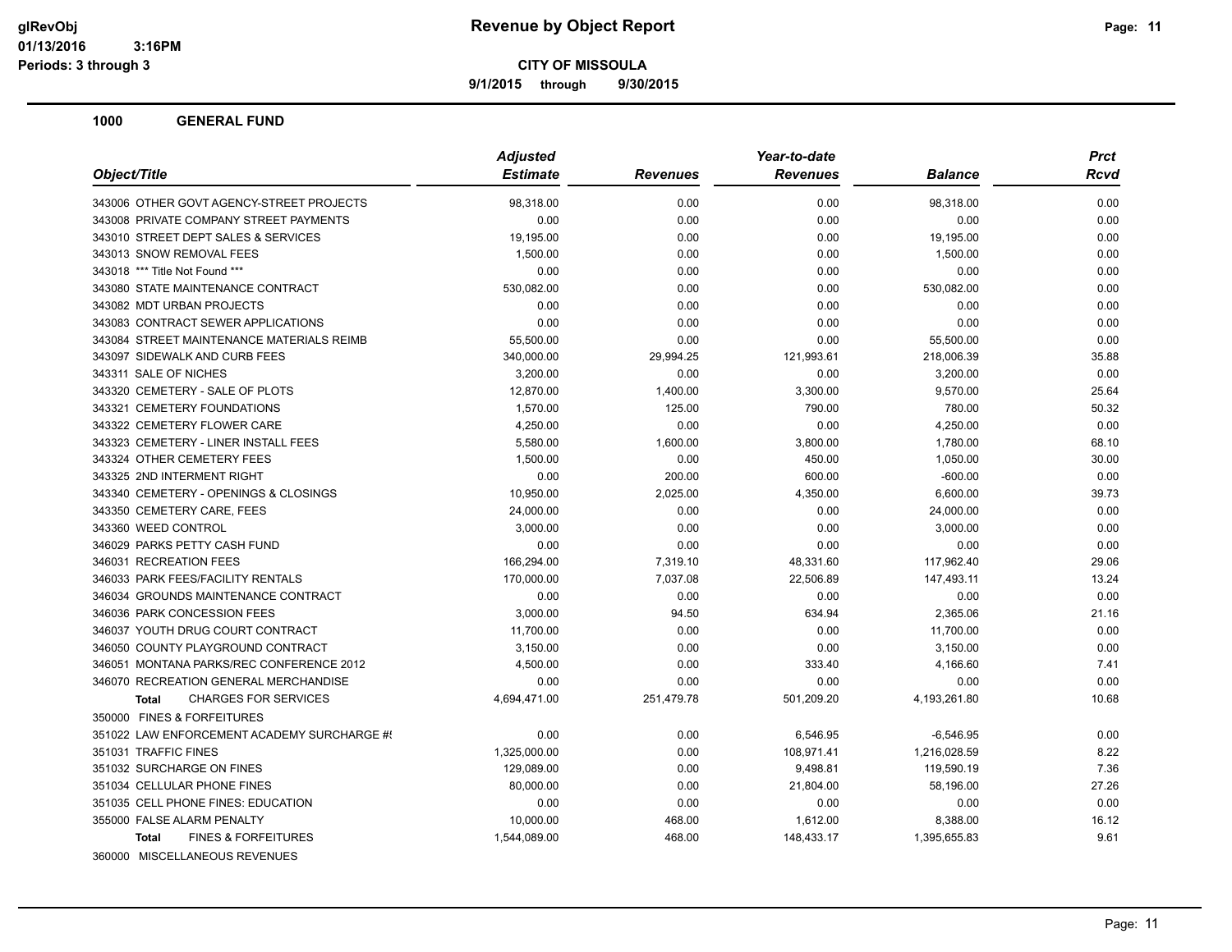**9/1/2015 through 9/30/2015**

| Object/Title                                   | <b>Adjusted</b> |                 | Year-to-date    |                | <b>Prct</b> |
|------------------------------------------------|-----------------|-----------------|-----------------|----------------|-------------|
|                                                | <b>Estimate</b> | <b>Revenues</b> | <b>Revenues</b> | <b>Balance</b> | <b>Rcvd</b> |
| 343006 OTHER GOVT AGENCY-STREET PROJECTS       | 98,318.00       | 0.00            | 0.00            | 98,318.00      | 0.00        |
| 343008 PRIVATE COMPANY STREET PAYMENTS         | 0.00            | 0.00            | 0.00            | 0.00           | 0.00        |
| 343010 STREET DEPT SALES & SERVICES            | 19,195.00       | 0.00            | 0.00            | 19,195.00      | 0.00        |
| 343013 SNOW REMOVAL FEES                       | 1,500.00        | 0.00            | 0.00            | 1,500.00       | 0.00        |
| 343018 *** Title Not Found ***                 | 0.00            | 0.00            | 0.00            | 0.00           | 0.00        |
| 343080 STATE MAINTENANCE CONTRACT              | 530,082.00      | 0.00            | 0.00            | 530,082.00     | 0.00        |
| 343082 MDT URBAN PROJECTS                      | 0.00            | 0.00            | 0.00            | 0.00           | 0.00        |
| 343083 CONTRACT SEWER APPLICATIONS             | 0.00            | 0.00            | 0.00            | 0.00           | 0.00        |
| 343084 STREET MAINTENANCE MATERIALS REIMB      | 55,500.00       | 0.00            | 0.00            | 55,500.00      | 0.00        |
| 343097 SIDEWALK AND CURB FEES                  | 340,000.00      | 29,994.25       | 121,993.61      | 218,006.39     | 35.88       |
| 343311 SALE OF NICHES                          | 3,200.00        | 0.00            | 0.00            | 3,200.00       | 0.00        |
| 343320 CEMETERY - SALE OF PLOTS                | 12,870.00       | 1,400.00        | 3,300.00        | 9,570.00       | 25.64       |
| 343321 CEMETERY FOUNDATIONS                    | 1,570.00        | 125.00          | 790.00          | 780.00         | 50.32       |
| 343322 CEMETERY FLOWER CARE                    | 4,250.00        | 0.00            | 0.00            | 4,250.00       | 0.00        |
| 343323 CEMETERY - LINER INSTALL FEES           | 5,580.00        | 1,600.00        | 3,800.00        | 1,780.00       | 68.10       |
| 343324 OTHER CEMETERY FEES                     | 1,500.00        | 0.00            | 450.00          | 1,050.00       | 30.00       |
| 343325 2ND INTERMENT RIGHT                     | 0.00            | 200.00          | 600.00          | $-600.00$      | 0.00        |
| 343340 CEMETERY - OPENINGS & CLOSINGS          | 10,950.00       | 2,025.00        | 4,350.00        | 6,600.00       | 39.73       |
| 343350 CEMETERY CARE, FEES                     | 24,000.00       | 0.00            | 0.00            | 24,000.00      | 0.00        |
| 343360 WEED CONTROL                            | 3,000.00        | 0.00            | 0.00            | 3,000.00       | 0.00        |
| 346029 PARKS PETTY CASH FUND                   | 0.00            | 0.00            | 0.00            | 0.00           | 0.00        |
| 346031 RECREATION FEES                         | 166,294.00      | 7,319.10        | 48,331.60       | 117,962.40     | 29.06       |
| 346033 PARK FEES/FACILITY RENTALS              | 170,000.00      | 7,037.08        | 22,506.89       | 147,493.11     | 13.24       |
| 346034 GROUNDS MAINTENANCE CONTRACT            | 0.00            | 0.00            | 0.00            | 0.00           | 0.00        |
| 346036 PARK CONCESSION FEES                    | 3,000.00        | 94.50           | 634.94          | 2,365.06       | 21.16       |
| 346037 YOUTH DRUG COURT CONTRACT               | 11,700.00       | 0.00            | 0.00            | 11,700.00      | 0.00        |
| 346050 COUNTY PLAYGROUND CONTRACT              | 3,150.00        | 0.00            | 0.00            | 3,150.00       | 0.00        |
| 346051 MONTANA PARKS/REC CONFERENCE 2012       | 4,500.00        | 0.00            | 333.40          | 4,166.60       | 7.41        |
| 346070 RECREATION GENERAL MERCHANDISE          | 0.00            | 0.00            | 0.00            | 0.00           | 0.00        |
| <b>CHARGES FOR SERVICES</b><br><b>Total</b>    | 4,694,471.00    | 251,479.78      | 501,209.20      | 4,193,261.80   | 10.68       |
| 350000 FINES & FORFEITURES                     |                 |                 |                 |                |             |
| 351022 LAW ENFORCEMENT ACADEMY SURCHARGE #!    | 0.00            | 0.00            | 6,546.95        | $-6,546.95$    | 0.00        |
| 351031 TRAFFIC FINES                           | 1,325,000.00    | 0.00            | 108,971.41      | 1,216,028.59   | 8.22        |
| 351032 SURCHARGE ON FINES                      | 129,089.00      | 0.00            | 9,498.81        | 119,590.19     | 7.36        |
| 351034 CELLULAR PHONE FINES                    | 80,000.00       | 0.00            | 21,804.00       | 58,196.00      | 27.26       |
| 351035 CELL PHONE FINES: EDUCATION             | 0.00            | 0.00            | 0.00            | 0.00           | 0.00        |
| 355000 FALSE ALARM PENALTY                     | 10,000.00       | 468.00          | 1,612.00        | 8,388.00       | 16.12       |
| <b>FINES &amp; FORFEITURES</b><br><b>Total</b> | 1,544,089.00    | 468.00          | 148,433.17      | 1,395,655.83   | 9.61        |
| 360000 MISCELLANEOUS REVENUES                  |                 |                 |                 |                |             |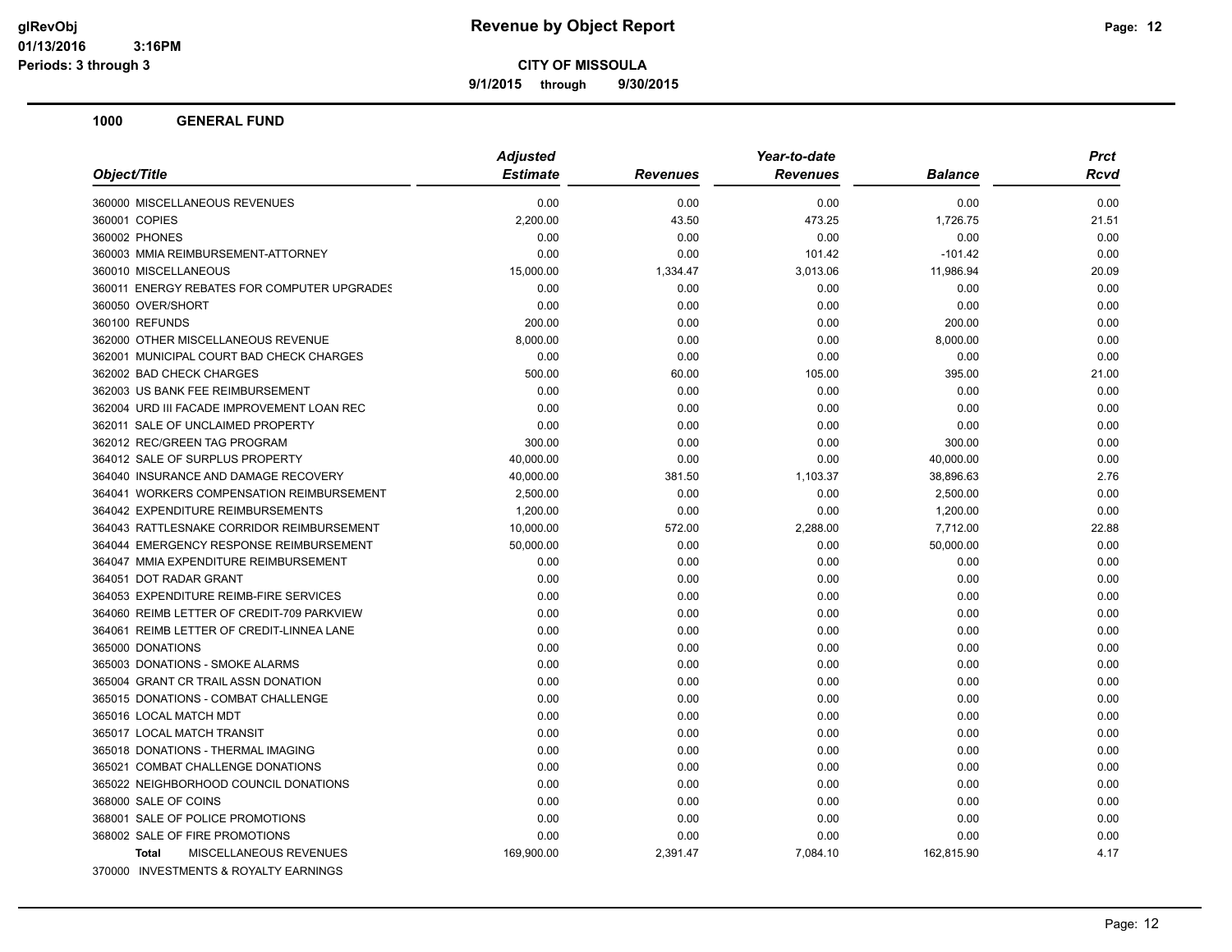**9/1/2015 through 9/30/2015**

| Object/Title                                                        | <b>Adjusted</b><br><b>Estimate</b> | <b>Revenues</b>  | Year-to-date<br><b>Revenues</b> | <b>Balance</b> | <b>Prct</b><br>Rcvd |
|---------------------------------------------------------------------|------------------------------------|------------------|---------------------------------|----------------|---------------------|
|                                                                     |                                    |                  |                                 |                |                     |
| 360000 MISCELLANEOUS REVENUES                                       | 0.00                               | 0.00             | 0.00                            | 0.00           | 0.00                |
| 360001 COPIES                                                       | 2,200.00                           | 43.50            | 473.25                          | 1,726.75       | 21.51               |
| 360002 PHONES                                                       | 0.00                               | 0.00             | 0.00                            | 0.00           | 0.00                |
| 360003 MMIA REIMBURSEMENT-ATTORNEY                                  | 0.00                               | 0.00             | 101.42                          | $-101.42$      | 0.00                |
| 360010 MISCELLANEOUS<br>360011 ENERGY REBATES FOR COMPUTER UPGRADES | 15,000.00<br>0.00                  | 1,334.47<br>0.00 | 3,013.06                        | 11,986.94      | 20.09<br>0.00       |
| 360050 OVER/SHORT                                                   | 0.00                               | 0.00             | 0.00<br>0.00                    | 0.00<br>0.00   | 0.00                |
| 360100 REFUNDS                                                      | 200.00                             | 0.00             | 0.00                            | 200.00         | 0.00                |
| 362000 OTHER MISCELLANEOUS REVENUE                                  | 8,000.00                           | 0.00             | 0.00                            | 8,000.00       | 0.00                |
| 362001 MUNICIPAL COURT BAD CHECK CHARGES                            |                                    |                  |                                 |                |                     |
|                                                                     | 0.00                               | 0.00             | 0.00                            | 0.00           | 0.00                |
| 362002 BAD CHECK CHARGES                                            | 500.00                             | 60.00            | 105.00                          | 395.00         | 21.00               |
| 362003 US BANK FEE REIMBURSEMENT                                    | 0.00                               | 0.00             | 0.00                            | 0.00           | 0.00                |
| 362004 URD III FACADE IMPROVEMENT LOAN REC                          | 0.00                               | 0.00             | 0.00                            | 0.00           | 0.00                |
| 362011 SALE OF UNCLAIMED PROPERTY                                   | 0.00                               | 0.00             | 0.00                            | 0.00           | 0.00                |
| 362012 REC/GREEN TAG PROGRAM                                        | 300.00                             | 0.00             | 0.00                            | 300.00         | 0.00                |
| 364012 SALE OF SURPLUS PROPERTY                                     | 40,000.00                          | 0.00             | 0.00                            | 40,000.00      | 0.00                |
| 364040 INSURANCE AND DAMAGE RECOVERY                                | 40,000.00                          | 381.50           | 1,103.37                        | 38,896.63      | 2.76                |
| 364041 WORKERS COMPENSATION REIMBURSEMENT                           | 2,500.00                           | 0.00             | 0.00                            | 2,500.00       | 0.00                |
| 364042 EXPENDITURE REIMBURSEMENTS                                   | 1,200.00                           | 0.00             | 0.00                            | 1,200.00       | 0.00                |
| 364043 RATTLESNAKE CORRIDOR REIMBURSEMENT                           | 10,000.00                          | 572.00           | 2,288.00                        | 7,712.00       | 22.88               |
| 364044 EMERGENCY RESPONSE REIMBURSEMENT                             | 50,000.00                          | 0.00             | 0.00                            | 50,000.00      | 0.00                |
| 364047 MMIA EXPENDITURE REIMBURSEMENT                               | 0.00                               | 0.00             | 0.00                            | 0.00           | 0.00                |
| 364051 DOT RADAR GRANT                                              | 0.00                               | 0.00             | 0.00                            | 0.00           | 0.00                |
| 364053 EXPENDITURE REIMB-FIRE SERVICES                              | 0.00                               | 0.00             | 0.00                            | 0.00           | 0.00                |
| 364060 REIMB LETTER OF CREDIT-709 PARKVIEW                          | 0.00                               | 0.00             | 0.00                            | 0.00           | 0.00                |
| 364061 REIMB LETTER OF CREDIT-LINNEA LANE                           | 0.00                               | 0.00             | 0.00                            | 0.00           | 0.00                |
| 365000 DONATIONS                                                    | 0.00                               | 0.00             | 0.00                            | 0.00           | 0.00                |
| 365003 DONATIONS - SMOKE ALARMS                                     | 0.00                               | 0.00             | 0.00                            | 0.00           | 0.00                |
| 365004 GRANT CR TRAIL ASSN DONATION                                 | 0.00                               | 0.00             | 0.00                            | 0.00           | 0.00                |
| 365015 DONATIONS - COMBAT CHALLENGE                                 | 0.00                               | 0.00             | 0.00                            | 0.00           | 0.00                |
| 365016 LOCAL MATCH MDT                                              | 0.00                               | 0.00             | 0.00                            | 0.00           | 0.00                |
| 365017 LOCAL MATCH TRANSIT                                          | 0.00                               | 0.00             | 0.00                            | 0.00           | 0.00                |
| 365018 DONATIONS - THERMAL IMAGING                                  | 0.00                               | 0.00             | 0.00                            | 0.00           | 0.00                |
| 365021 COMBAT CHALLENGE DONATIONS                                   | 0.00                               | 0.00             | 0.00                            | 0.00           | 0.00                |
| 365022 NEIGHBORHOOD COUNCIL DONATIONS                               | 0.00                               | 0.00             | 0.00                            | 0.00           | 0.00                |
| 368000 SALE OF COINS                                                | 0.00                               | 0.00             | 0.00                            | 0.00           | 0.00                |
| 368001 SALE OF POLICE PROMOTIONS                                    | 0.00                               | 0.00             | 0.00                            | 0.00           | 0.00                |
| 368002 SALE OF FIRE PROMOTIONS                                      | 0.00                               | 0.00             | 0.00                            | 0.00           | 0.00                |
| MISCELLANEOUS REVENUES<br><b>Total</b>                              | 169,900.00                         | 2,391.47         | 7,084.10                        | 162,815.90     | 4.17                |
| 370000 INVESTMENTS & ROYALTY EARNINGS                               |                                    |                  |                                 |                |                     |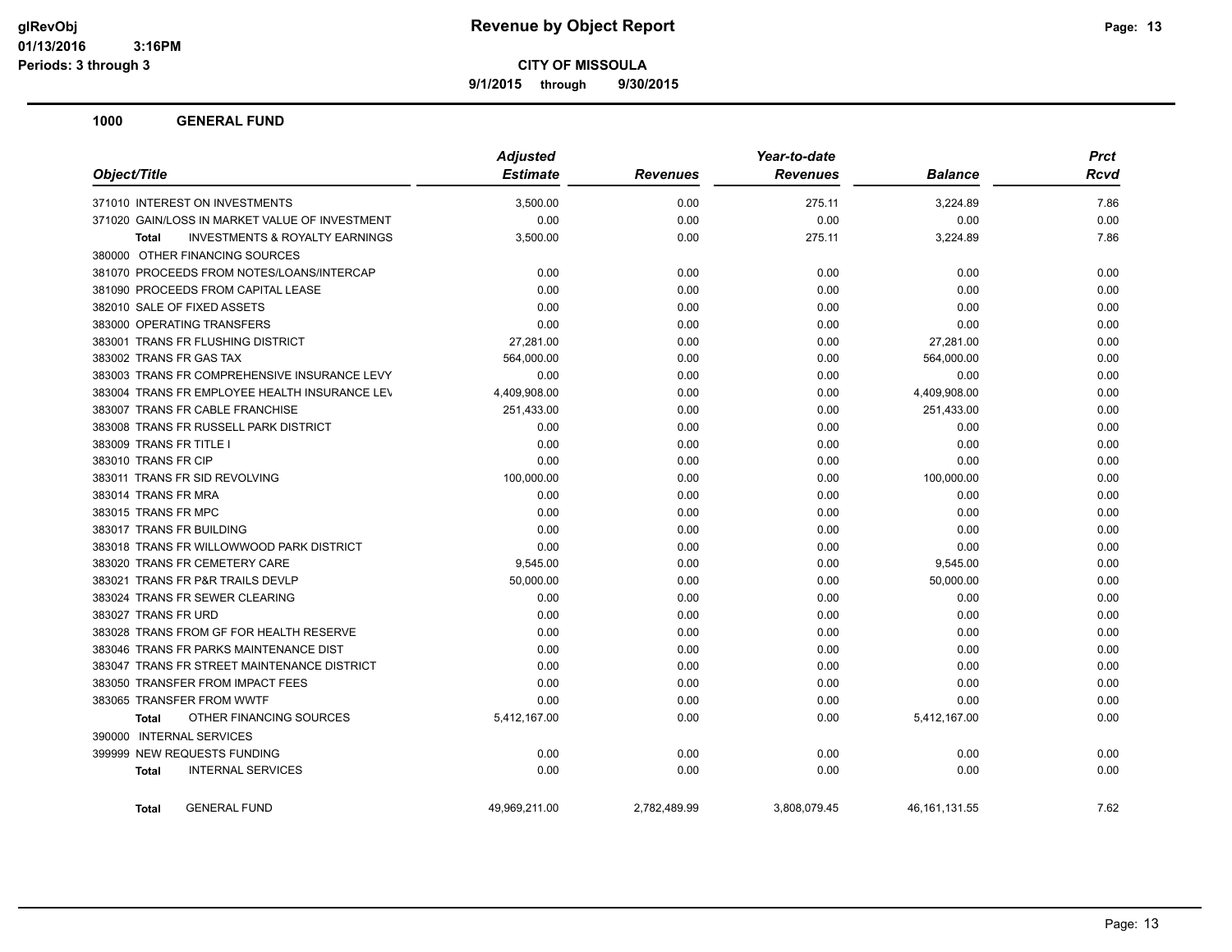**9/1/2015 through 9/30/2015**

| Object/Title                                              | <b>Adjusted</b> |                 |                 | <b>Prct</b>     |             |
|-----------------------------------------------------------|-----------------|-----------------|-----------------|-----------------|-------------|
|                                                           | <b>Estimate</b> | <b>Revenues</b> | <b>Revenues</b> | <b>Balance</b>  | <b>Rcvd</b> |
| 371010 INTEREST ON INVESTMENTS                            | 3,500.00        | 0.00            | 275.11          | 3,224.89        | 7.86        |
| 371020 GAIN/LOSS IN MARKET VALUE OF INVESTMENT            | 0.00            | 0.00            | 0.00            | 0.00            | 0.00        |
| <b>INVESTMENTS &amp; ROYALTY EARNINGS</b><br><b>Total</b> | 3,500.00        | 0.00            | 275.11          | 3,224.89        | 7.86        |
| 380000 OTHER FINANCING SOURCES                            |                 |                 |                 |                 |             |
| 381070 PROCEEDS FROM NOTES/LOANS/INTERCAP                 | 0.00            | 0.00            | 0.00            | 0.00            | 0.00        |
| 381090 PROCEEDS FROM CAPITAL LEASE                        | 0.00            | 0.00            | 0.00            | 0.00            | 0.00        |
| 382010 SALE OF FIXED ASSETS                               | 0.00            | 0.00            | 0.00            | 0.00            | 0.00        |
| 383000 OPERATING TRANSFERS                                | 0.00            | 0.00            | 0.00            | 0.00            | 0.00        |
| 383001 TRANS FR FLUSHING DISTRICT                         | 27,281.00       | 0.00            | 0.00            | 27,281.00       | 0.00        |
| 383002 TRANS FR GAS TAX                                   | 564,000.00      | 0.00            | 0.00            | 564,000.00      | 0.00        |
| 383003 TRANS FR COMPREHENSIVE INSURANCE LEVY              | 0.00            | 0.00            | 0.00            | 0.00            | 0.00        |
| 383004 TRANS FR EMPLOYEE HEALTH INSURANCE LEV             | 4,409,908.00    | 0.00            | 0.00            | 4,409,908.00    | 0.00        |
| 383007 TRANS FR CABLE FRANCHISE                           | 251,433.00      | 0.00            | 0.00            | 251,433.00      | 0.00        |
| 383008 TRANS FR RUSSELL PARK DISTRICT                     | 0.00            | 0.00            | 0.00            | 0.00            | 0.00        |
| 383009 TRANS FR TITLE I                                   | 0.00            | 0.00            | 0.00            | 0.00            | 0.00        |
| 383010 TRANS FR CIP                                       | 0.00            | 0.00            | 0.00            | 0.00            | 0.00        |
| 383011 TRANS FR SID REVOLVING                             | 100,000.00      | 0.00            | 0.00            | 100,000.00      | 0.00        |
| 383014 TRANS FR MRA                                       | 0.00            | 0.00            | 0.00            | 0.00            | 0.00        |
| 383015 TRANS FR MPC                                       | 0.00            | 0.00            | 0.00            | 0.00            | 0.00        |
| 383017 TRANS FR BUILDING                                  | 0.00            | 0.00            | 0.00            | 0.00            | 0.00        |
| 383018 TRANS FR WILLOWWOOD PARK DISTRICT                  | 0.00            | 0.00            | 0.00            | 0.00            | 0.00        |
| 383020 TRANS FR CEMETERY CARE                             | 9,545.00        | 0.00            | 0.00            | 9,545.00        | 0.00        |
| 383021 TRANS FR P&R TRAILS DEVLP                          | 50,000.00       | 0.00            | 0.00            | 50,000.00       | 0.00        |
| 383024 TRANS FR SEWER CLEARING                            | 0.00            | 0.00            | 0.00            | 0.00            | 0.00        |
| 383027 TRANS FR URD                                       | 0.00            | 0.00            | 0.00            | 0.00            | 0.00        |
| 383028 TRANS FROM GF FOR HEALTH RESERVE                   | 0.00            | 0.00            | 0.00            | 0.00            | 0.00        |
| 383046 TRANS FR PARKS MAINTENANCE DIST                    | 0.00            | 0.00            | 0.00            | 0.00            | 0.00        |
| 383047 TRANS FR STREET MAINTENANCE DISTRICT               | 0.00            | 0.00            | 0.00            | 0.00            | 0.00        |
| 383050 TRANSFER FROM IMPACT FEES                          | 0.00            | 0.00            | 0.00            | 0.00            | 0.00        |
| 383065 TRANSFER FROM WWTF                                 | 0.00            | 0.00            | 0.00            | 0.00            | 0.00        |
| OTHER FINANCING SOURCES<br><b>Total</b>                   | 5,412,167.00    | 0.00            | 0.00            | 5,412,167.00    | 0.00        |
| 390000 INTERNAL SERVICES                                  |                 |                 |                 |                 |             |
| 399999 NEW REQUESTS FUNDING                               | 0.00            | 0.00            | 0.00            | 0.00            | 0.00        |
| <b>INTERNAL SERVICES</b><br><b>Total</b>                  | 0.00            | 0.00            | 0.00            | 0.00            | 0.00        |
| <b>GENERAL FUND</b><br><b>Total</b>                       | 49,969,211.00   | 2,782,489.99    | 3,808,079.45    | 46, 161, 131.55 | 7.62        |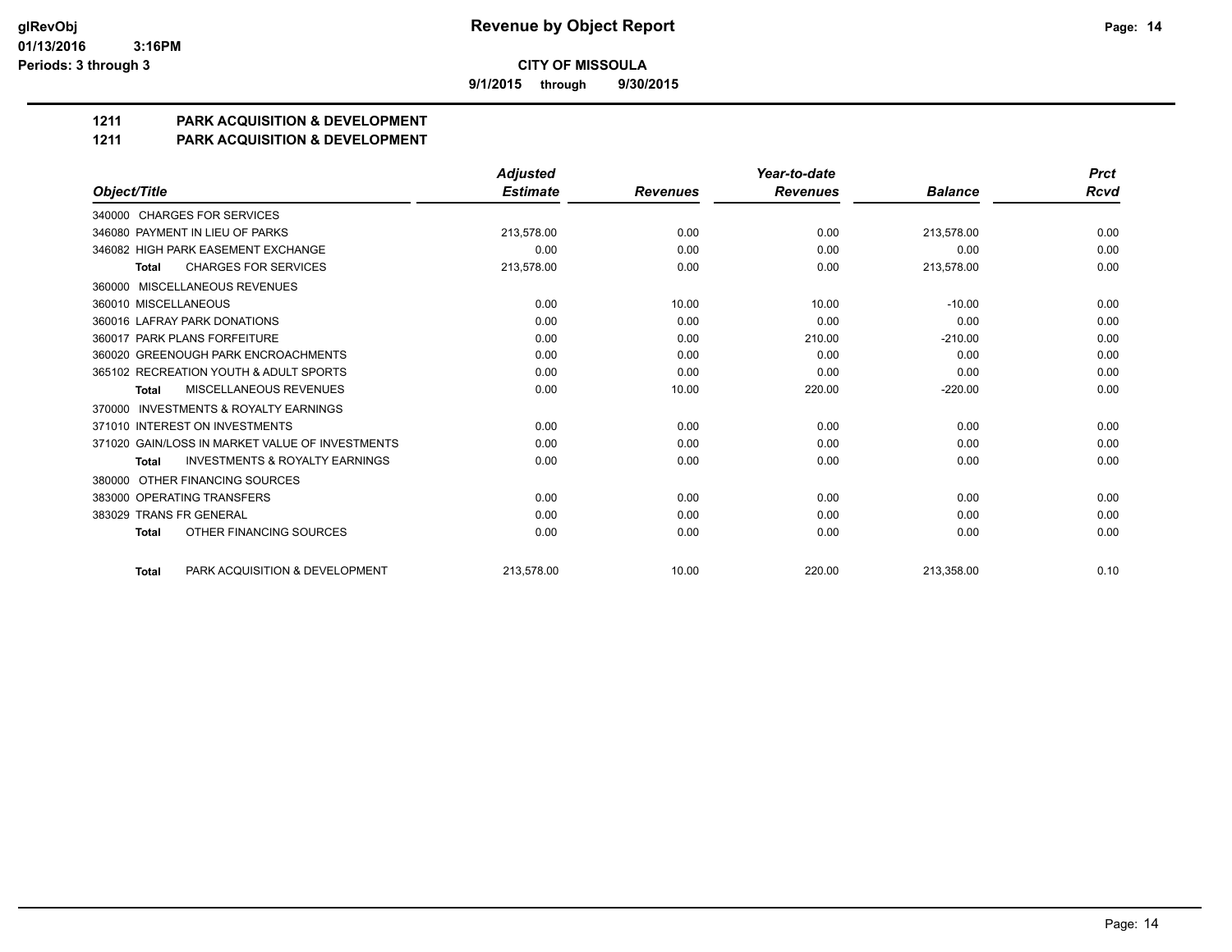**9/1/2015 through 9/30/2015**

# **1211 PARK ACQUISITION & DEVELOPMENT**

#### **1211 PARK ACQUISITION & DEVELOPMENT**

|                                                           | <b>Adjusted</b> |                 | Year-to-date    |                | <b>Prct</b> |
|-----------------------------------------------------------|-----------------|-----------------|-----------------|----------------|-------------|
| Object/Title                                              | <b>Estimate</b> | <b>Revenues</b> | <b>Revenues</b> | <b>Balance</b> | Rcvd        |
| 340000 CHARGES FOR SERVICES                               |                 |                 |                 |                |             |
| 346080 PAYMENT IN LIEU OF PARKS                           | 213,578.00      | 0.00            | 0.00            | 213,578.00     | 0.00        |
| 346082 HIGH PARK EASEMENT EXCHANGE                        | 0.00            | 0.00            | 0.00            | 0.00           | 0.00        |
| <b>CHARGES FOR SERVICES</b><br><b>Total</b>               | 213,578.00      | 0.00            | 0.00            | 213,578.00     | 0.00        |
| 360000 MISCELLANEOUS REVENUES                             |                 |                 |                 |                |             |
| 360010 MISCELLANEOUS                                      | 0.00            | 10.00           | 10.00           | $-10.00$       | 0.00        |
| 360016 LAFRAY PARK DONATIONS                              | 0.00            | 0.00            | 0.00            | 0.00           | 0.00        |
| 360017 PARK PLANS FORFEITURE                              | 0.00            | 0.00            | 210.00          | $-210.00$      | 0.00        |
| 360020 GREENOUGH PARK ENCROACHMENTS                       | 0.00            | 0.00            | 0.00            | 0.00           | 0.00        |
| 365102 RECREATION YOUTH & ADULT SPORTS                    | 0.00            | 0.00            | 0.00            | 0.00           | 0.00        |
| MISCELLANEOUS REVENUES<br><b>Total</b>                    | 0.00            | 10.00           | 220.00          | $-220.00$      | 0.00        |
| <b>INVESTMENTS &amp; ROYALTY EARNINGS</b><br>370000       |                 |                 |                 |                |             |
| 371010 INTEREST ON INVESTMENTS                            | 0.00            | 0.00            | 0.00            | 0.00           | 0.00        |
| 371020 GAIN/LOSS IN MARKET VALUE OF INVESTMENTS           | 0.00            | 0.00            | 0.00            | 0.00           | 0.00        |
| <b>INVESTMENTS &amp; ROYALTY EARNINGS</b><br><b>Total</b> | 0.00            | 0.00            | 0.00            | 0.00           | 0.00        |
| OTHER FINANCING SOURCES<br>380000                         |                 |                 |                 |                |             |
| 383000 OPERATING TRANSFERS                                | 0.00            | 0.00            | 0.00            | 0.00           | 0.00        |
| 383029 TRANS FR GENERAL                                   | 0.00            | 0.00            | 0.00            | 0.00           | 0.00        |
| OTHER FINANCING SOURCES<br><b>Total</b>                   | 0.00            | 0.00            | 0.00            | 0.00           | 0.00        |
| PARK ACQUISITION & DEVELOPMENT<br><b>Total</b>            | 213.578.00      | 10.00           | 220.00          | 213.358.00     | 0.10        |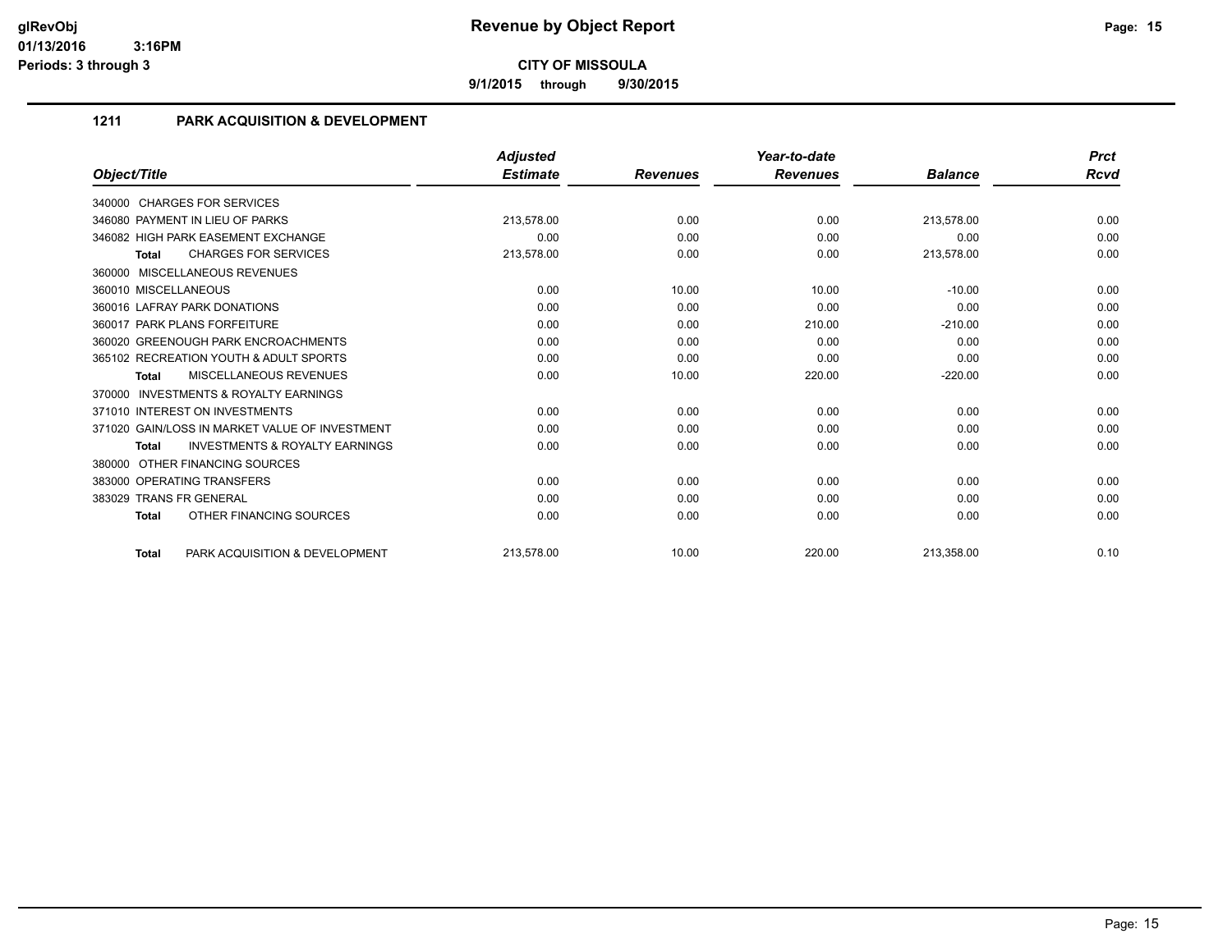**9/1/2015 through 9/30/2015**

# **1211 PARK ACQUISITION & DEVELOPMENT**

|                                                           | <b>Adjusted</b> |                 | Year-to-date    |                | <b>Prct</b> |
|-----------------------------------------------------------|-----------------|-----------------|-----------------|----------------|-------------|
| Object/Title                                              | <b>Estimate</b> | <b>Revenues</b> | <b>Revenues</b> | <b>Balance</b> | Rcvd        |
| 340000 CHARGES FOR SERVICES                               |                 |                 |                 |                |             |
| 346080 PAYMENT IN LIEU OF PARKS                           | 213,578.00      | 0.00            | 0.00            | 213,578.00     | 0.00        |
| 346082 HIGH PARK EASEMENT EXCHANGE                        | 0.00            | 0.00            | 0.00            | 0.00           | 0.00        |
| <b>CHARGES FOR SERVICES</b><br><b>Total</b>               | 213,578.00      | 0.00            | 0.00            | 213,578.00     | 0.00        |
| MISCELLANEOUS REVENUES<br>360000                          |                 |                 |                 |                |             |
| 360010 MISCELLANEOUS                                      | 0.00            | 10.00           | 10.00           | $-10.00$       | 0.00        |
| 360016 LAFRAY PARK DONATIONS                              | 0.00            | 0.00            | 0.00            | 0.00           | 0.00        |
| 360017 PARK PLANS FORFEITURE                              | 0.00            | 0.00            | 210.00          | $-210.00$      | 0.00        |
| 360020 GREENOUGH PARK ENCROACHMENTS                       | 0.00            | 0.00            | 0.00            | 0.00           | 0.00        |
| 365102 RECREATION YOUTH & ADULT SPORTS                    | 0.00            | 0.00            | 0.00            | 0.00           | 0.00        |
| <b>MISCELLANEOUS REVENUES</b><br><b>Total</b>             | 0.00            | 10.00           | 220.00          | $-220.00$      | 0.00        |
| <b>INVESTMENTS &amp; ROYALTY EARNINGS</b><br>370000       |                 |                 |                 |                |             |
| 371010 INTEREST ON INVESTMENTS                            | 0.00            | 0.00            | 0.00            | 0.00           | 0.00        |
| 371020 GAIN/LOSS IN MARKET VALUE OF INVESTMENT            | 0.00            | 0.00            | 0.00            | 0.00           | 0.00        |
| <b>INVESTMENTS &amp; ROYALTY EARNINGS</b><br><b>Total</b> | 0.00            | 0.00            | 0.00            | 0.00           | 0.00        |
| OTHER FINANCING SOURCES<br>380000                         |                 |                 |                 |                |             |
| 383000 OPERATING TRANSFERS                                | 0.00            | 0.00            | 0.00            | 0.00           | 0.00        |
| 383029 TRANS FR GENERAL                                   | 0.00            | 0.00            | 0.00            | 0.00           | 0.00        |
| OTHER FINANCING SOURCES<br><b>Total</b>                   | 0.00            | 0.00            | 0.00            | 0.00           | 0.00        |
| PARK ACQUISITION & DEVELOPMENT<br><b>Total</b>            | 213,578.00      | 10.00           | 220.00          | 213,358.00     | 0.10        |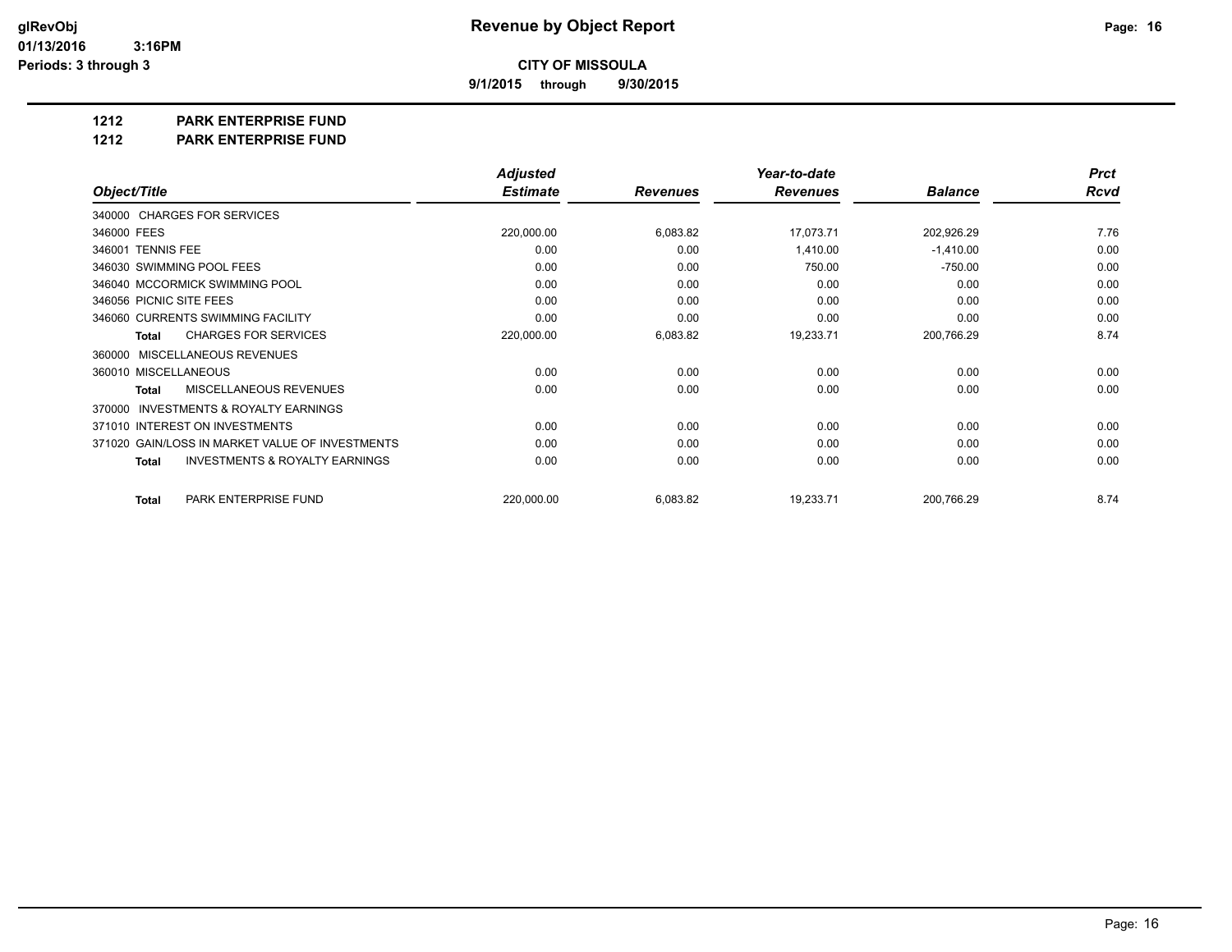**9/1/2015 through 9/30/2015**

**1212 PARK ENTERPRISE FUND**

**1212 PARK ENTERPRISE FUND**

|                                                           | <b>Adjusted</b> |                 | Year-to-date    |                | <b>Prct</b> |
|-----------------------------------------------------------|-----------------|-----------------|-----------------|----------------|-------------|
| Object/Title                                              | <b>Estimate</b> | <b>Revenues</b> | <b>Revenues</b> | <b>Balance</b> | <b>Rcvd</b> |
| 340000 CHARGES FOR SERVICES                               |                 |                 |                 |                |             |
| 346000 FEES                                               | 220,000.00      | 6,083.82        | 17,073.71       | 202,926.29     | 7.76        |
| 346001 TENNIS FEE                                         | 0.00            | 0.00            | 1,410.00        | $-1,410.00$    | 0.00        |
| 346030 SWIMMING POOL FEES                                 | 0.00            | 0.00            | 750.00          | $-750.00$      | 0.00        |
| 346040 MCCORMICK SWIMMING POOL                            | 0.00            | 0.00            | 0.00            | 0.00           | 0.00        |
| 346056 PICNIC SITE FEES                                   | 0.00            | 0.00            | 0.00            | 0.00           | 0.00        |
| 346060 CURRENTS SWIMMING FACILITY                         | 0.00            | 0.00            | 0.00            | 0.00           | 0.00        |
| <b>CHARGES FOR SERVICES</b><br>Total                      | 220,000.00      | 6,083.82        | 19,233.71       | 200,766.29     | 8.74        |
| MISCELLANEOUS REVENUES<br>360000                          |                 |                 |                 |                |             |
| 360010 MISCELLANEOUS                                      | 0.00            | 0.00            | 0.00            | 0.00           | 0.00        |
| MISCELLANEOUS REVENUES<br><b>Total</b>                    | 0.00            | 0.00            | 0.00            | 0.00           | 0.00        |
| <b>INVESTMENTS &amp; ROYALTY EARNINGS</b><br>370000       |                 |                 |                 |                |             |
| 371010 INTEREST ON INVESTMENTS                            | 0.00            | 0.00            | 0.00            | 0.00           | 0.00        |
| 371020 GAIN/LOSS IN MARKET VALUE OF INVESTMENTS           | 0.00            | 0.00            | 0.00            | 0.00           | 0.00        |
| <b>INVESTMENTS &amp; ROYALTY EARNINGS</b><br><b>Total</b> | 0.00            | 0.00            | 0.00            | 0.00           | 0.00        |
| PARK ENTERPRISE FUND<br><b>Total</b>                      | 220,000.00      | 6,083.82        | 19,233.71       | 200,766.29     | 8.74        |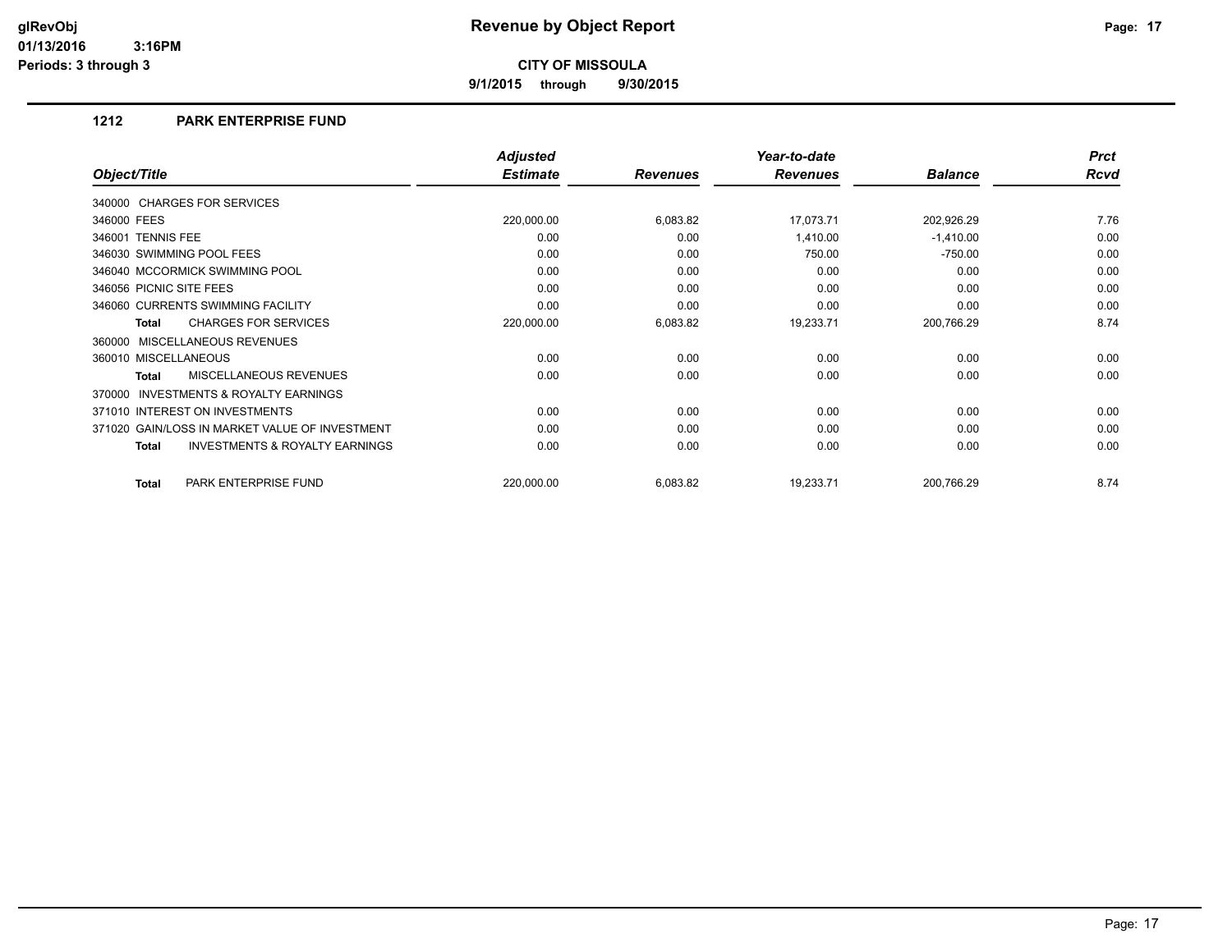**9/1/2015 through 9/30/2015**

# **1212 PARK ENTERPRISE FUND**

|                                                           | <b>Adjusted</b> |                 | Year-to-date    |                | <b>Prct</b> |
|-----------------------------------------------------------|-----------------|-----------------|-----------------|----------------|-------------|
| Object/Title                                              | <b>Estimate</b> | <b>Revenues</b> | <b>Revenues</b> | <b>Balance</b> | <b>Rcvd</b> |
| 340000 CHARGES FOR SERVICES                               |                 |                 |                 |                |             |
| 346000 FEES                                               | 220,000.00      | 6,083.82        | 17,073.71       | 202,926.29     | 7.76        |
| 346001 TENNIS FEE                                         | 0.00            | 0.00            | 1,410.00        | $-1,410.00$    | 0.00        |
| 346030 SWIMMING POOL FEES                                 | 0.00            | 0.00            | 750.00          | $-750.00$      | 0.00        |
| 346040 MCCORMICK SWIMMING POOL                            | 0.00            | 0.00            | 0.00            | 0.00           | 0.00        |
| 346056 PICNIC SITE FEES                                   | 0.00            | 0.00            | 0.00            | 0.00           | 0.00        |
| 346060 CURRENTS SWIMMING FACILITY                         | 0.00            | 0.00            | 0.00            | 0.00           | 0.00        |
| <b>CHARGES FOR SERVICES</b><br>Total                      | 220,000.00      | 6,083.82        | 19,233.71       | 200,766.29     | 8.74        |
| MISCELLANEOUS REVENUES<br>360000                          |                 |                 |                 |                |             |
| 360010 MISCELLANEOUS                                      | 0.00            | 0.00            | 0.00            | 0.00           | 0.00        |
| <b>MISCELLANEOUS REVENUES</b><br><b>Total</b>             | 0.00            | 0.00            | 0.00            | 0.00           | 0.00        |
| <b>INVESTMENTS &amp; ROYALTY EARNINGS</b><br>370000       |                 |                 |                 |                |             |
| 371010 INTEREST ON INVESTMENTS                            | 0.00            | 0.00            | 0.00            | 0.00           | 0.00        |
| 371020 GAIN/LOSS IN MARKET VALUE OF INVESTMENT            | 0.00            | 0.00            | 0.00            | 0.00           | 0.00        |
| <b>INVESTMENTS &amp; ROYALTY EARNINGS</b><br><b>Total</b> | 0.00            | 0.00            | 0.00            | 0.00           | 0.00        |
| PARK ENTERPRISE FUND<br><b>Total</b>                      | 220,000.00      | 6,083.82        | 19,233.71       | 200,766.29     | 8.74        |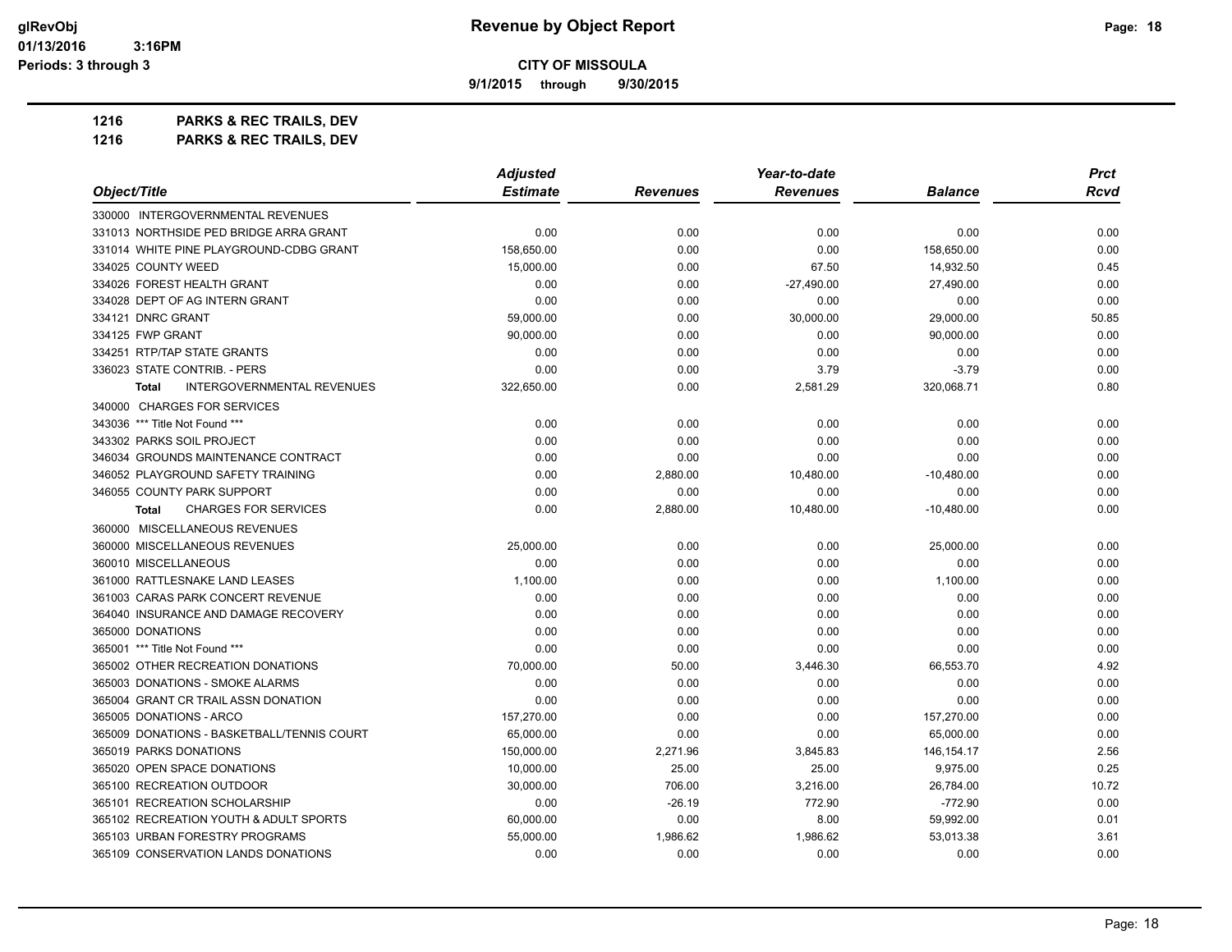**9/1/2015 through 9/30/2015**

**1216 PARKS & REC TRAILS, DEV 1216 PARKS & REC TRAILS, DEV**

|                                             | <b>Adjusted</b> |                 | Year-to-date    |                | <b>Prct</b> |
|---------------------------------------------|-----------------|-----------------|-----------------|----------------|-------------|
| Object/Title                                | <b>Estimate</b> | <b>Revenues</b> | <b>Revenues</b> | <b>Balance</b> | Rcvd        |
| 330000 INTERGOVERNMENTAL REVENUES           |                 |                 |                 |                |             |
| 331013 NORTHSIDE PED BRIDGE ARRA GRANT      | 0.00            | 0.00            | 0.00            | 0.00           | 0.00        |
| 331014 WHITE PINE PLAYGROUND-CDBG GRANT     | 158,650.00      | 0.00            | 0.00            | 158,650.00     | 0.00        |
| 334025 COUNTY WEED                          | 15,000.00       | 0.00            | 67.50           | 14,932.50      | 0.45        |
| 334026 FOREST HEALTH GRANT                  | 0.00            | 0.00            | $-27,490.00$    | 27,490.00      | 0.00        |
| 334028 DEPT OF AG INTERN GRANT              | 0.00            | 0.00            | 0.00            | 0.00           | 0.00        |
| 334121 DNRC GRANT                           | 59,000.00       | 0.00            | 30,000.00       | 29,000.00      | 50.85       |
| 334125 FWP GRANT                            | 90,000.00       | 0.00            | 0.00            | 90,000.00      | 0.00        |
| 334251 RTP/TAP STATE GRANTS                 | 0.00            | 0.00            | 0.00            | 0.00           | 0.00        |
| 336023 STATE CONTRIB. - PERS                | 0.00            | 0.00            | 3.79            | $-3.79$        | 0.00        |
| <b>INTERGOVERNMENTAL REVENUES</b><br>Total  | 322,650.00      | 0.00            | 2,581.29        | 320,068.71     | 0.80        |
| 340000 CHARGES FOR SERVICES                 |                 |                 |                 |                |             |
| 343036 *** Title Not Found ***              | 0.00            | 0.00            | 0.00            | 0.00           | 0.00        |
| 343302 PARKS SOIL PROJECT                   | 0.00            | 0.00            | 0.00            | 0.00           | 0.00        |
| 346034 GROUNDS MAINTENANCE CONTRACT         | 0.00            | 0.00            | 0.00            | 0.00           | 0.00        |
| 346052 PLAYGROUND SAFETY TRAINING           | 0.00            | 2,880.00        | 10,480.00       | $-10,480.00$   | 0.00        |
| 346055 COUNTY PARK SUPPORT                  | 0.00            | 0.00            | 0.00            | 0.00           | 0.00        |
| <b>CHARGES FOR SERVICES</b><br><b>Total</b> | 0.00            | 2,880.00        | 10,480.00       | $-10,480.00$   | 0.00        |
| 360000 MISCELLANEOUS REVENUES               |                 |                 |                 |                |             |
| 360000 MISCELLANEOUS REVENUES               | 25,000.00       | 0.00            | 0.00            | 25,000.00      | 0.00        |
| 360010 MISCELLANEOUS                        | 0.00            | 0.00            | 0.00            | 0.00           | 0.00        |
| 361000 RATTLESNAKE LAND LEASES              | 1,100.00        | 0.00            | 0.00            | 1,100.00       | 0.00        |
| 361003 CARAS PARK CONCERT REVENUE           | 0.00            | 0.00            | 0.00            | 0.00           | 0.00        |
| 364040 INSURANCE AND DAMAGE RECOVERY        | 0.00            | 0.00            | 0.00            | 0.00           | 0.00        |
| 365000 DONATIONS                            | 0.00            | 0.00            | 0.00            | 0.00           | 0.00        |
| 365001 *** Title Not Found ***              | 0.00            | 0.00            | 0.00            | 0.00           | 0.00        |
| 365002 OTHER RECREATION DONATIONS           | 70,000.00       | 50.00           | 3,446.30        | 66,553.70      | 4.92        |
| 365003 DONATIONS - SMOKE ALARMS             | 0.00            | 0.00            | 0.00            | 0.00           | 0.00        |
| 365004 GRANT CR TRAIL ASSN DONATION         | 0.00            | 0.00            | 0.00            | 0.00           | 0.00        |
| 365005 DONATIONS - ARCO                     | 157,270.00      | 0.00            | 0.00            | 157,270.00     | 0.00        |
| 365009 DONATIONS - BASKETBALL/TENNIS COURT  | 65,000.00       | 0.00            | 0.00            | 65,000.00      | 0.00        |
| 365019 PARKS DONATIONS                      | 150,000.00      | 2,271.96        | 3,845.83        | 146, 154. 17   | 2.56        |
| 365020 OPEN SPACE DONATIONS                 | 10,000.00       | 25.00           | 25.00           | 9,975.00       | 0.25        |
| 365100 RECREATION OUTDOOR                   | 30.000.00       | 706.00          | 3,216.00        | 26,784.00      | 10.72       |
| 365101 RECREATION SCHOLARSHIP               | 0.00            | $-26.19$        | 772.90          | $-772.90$      | 0.00        |
| 365102 RECREATION YOUTH & ADULT SPORTS      | 60,000.00       | 0.00            | 8.00            | 59,992.00      | 0.01        |
| 365103 URBAN FORESTRY PROGRAMS              | 55,000.00       | 1,986.62        | 1,986.62        | 53,013.38      | 3.61        |
| 365109 CONSERVATION LANDS DONATIONS         | 0.00            | 0.00            | 0.00            | 0.00           | 0.00        |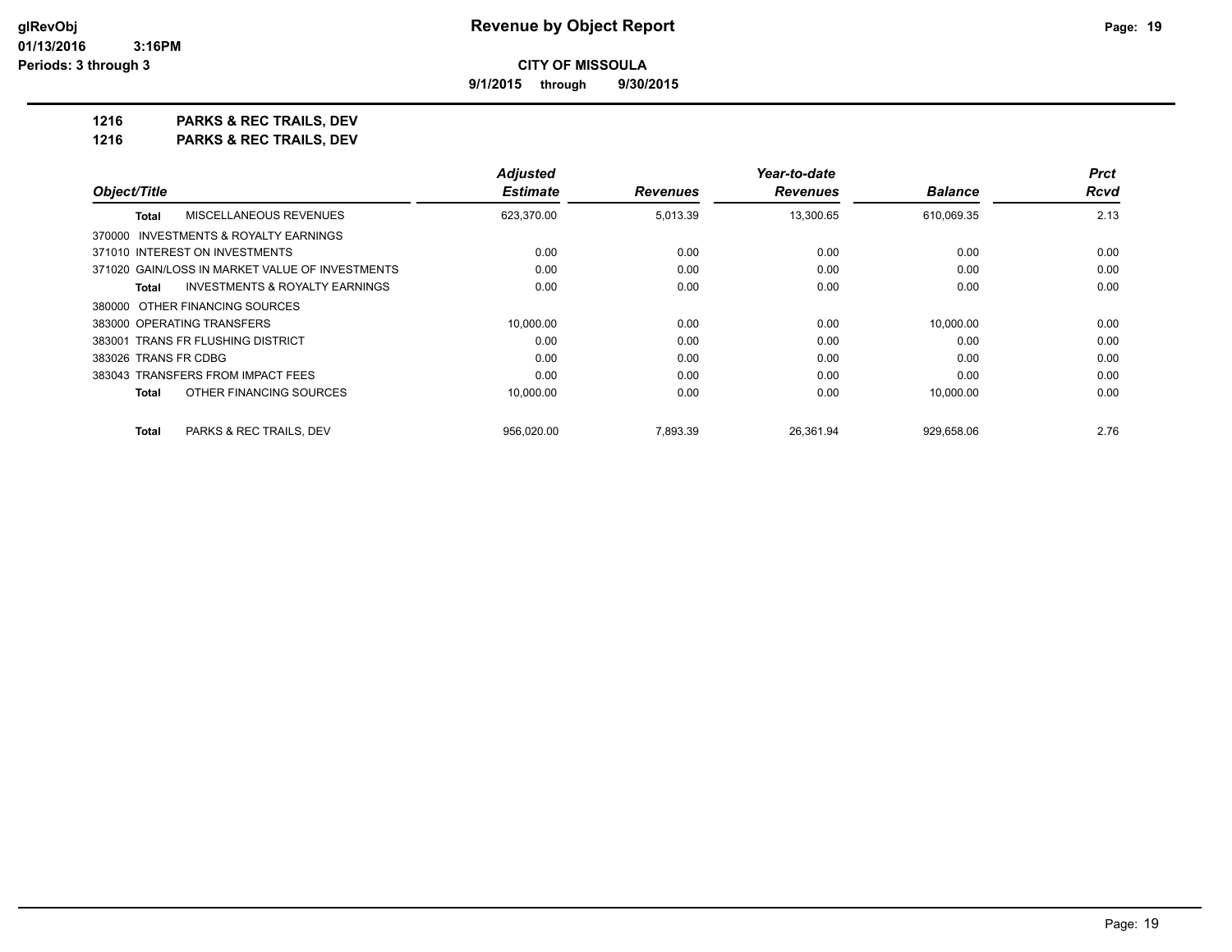**9/1/2015 through 9/30/2015**

**1216 PARKS & REC TRAILS, DEV 1216 PARKS & REC TRAILS, DEV**

|                                                           | <b>Adjusted</b> |                 | Year-to-date    |                |      |  |
|-----------------------------------------------------------|-----------------|-----------------|-----------------|----------------|------|--|
| Object/Title                                              | <b>Estimate</b> | <b>Revenues</b> | <b>Revenues</b> | <b>Balance</b> | Rcvd |  |
| MISCELLANEOUS REVENUES<br><b>Total</b>                    | 623,370.00      | 5,013.39        | 13,300.65       | 610,069.35     | 2.13 |  |
| 370000 INVESTMENTS & ROYALTY EARNINGS                     |                 |                 |                 |                |      |  |
| 371010 INTEREST ON INVESTMENTS                            | 0.00            | 0.00            | 0.00            | 0.00           | 0.00 |  |
| 371020 GAIN/LOSS IN MARKET VALUE OF INVESTMENTS           | 0.00            | 0.00            | 0.00            | 0.00           | 0.00 |  |
| <b>INVESTMENTS &amp; ROYALTY EARNINGS</b><br><b>Total</b> | 0.00            | 0.00            | 0.00            | 0.00           | 0.00 |  |
| 380000 OTHER FINANCING SOURCES                            |                 |                 |                 |                |      |  |
| 383000 OPERATING TRANSFERS                                | 10.000.00       | 0.00            | 0.00            | 10.000.00      | 0.00 |  |
| 383001 TRANS FR FLUSHING DISTRICT                         | 0.00            | 0.00            | 0.00            | 0.00           | 0.00 |  |
| 383026 TRANS FR CDBG                                      | 0.00            | 0.00            | 0.00            | 0.00           | 0.00 |  |
| 383043 TRANSFERS FROM IMPACT FEES                         | 0.00            | 0.00            | 0.00            | 0.00           | 0.00 |  |
| OTHER FINANCING SOURCES<br><b>Total</b>                   | 10,000.00       | 0.00            | 0.00            | 10,000.00      | 0.00 |  |
| <b>Total</b><br>PARKS & REC TRAILS, DEV                   | 956.020.00      | 7.893.39        | 26.361.94       | 929.658.06     | 2.76 |  |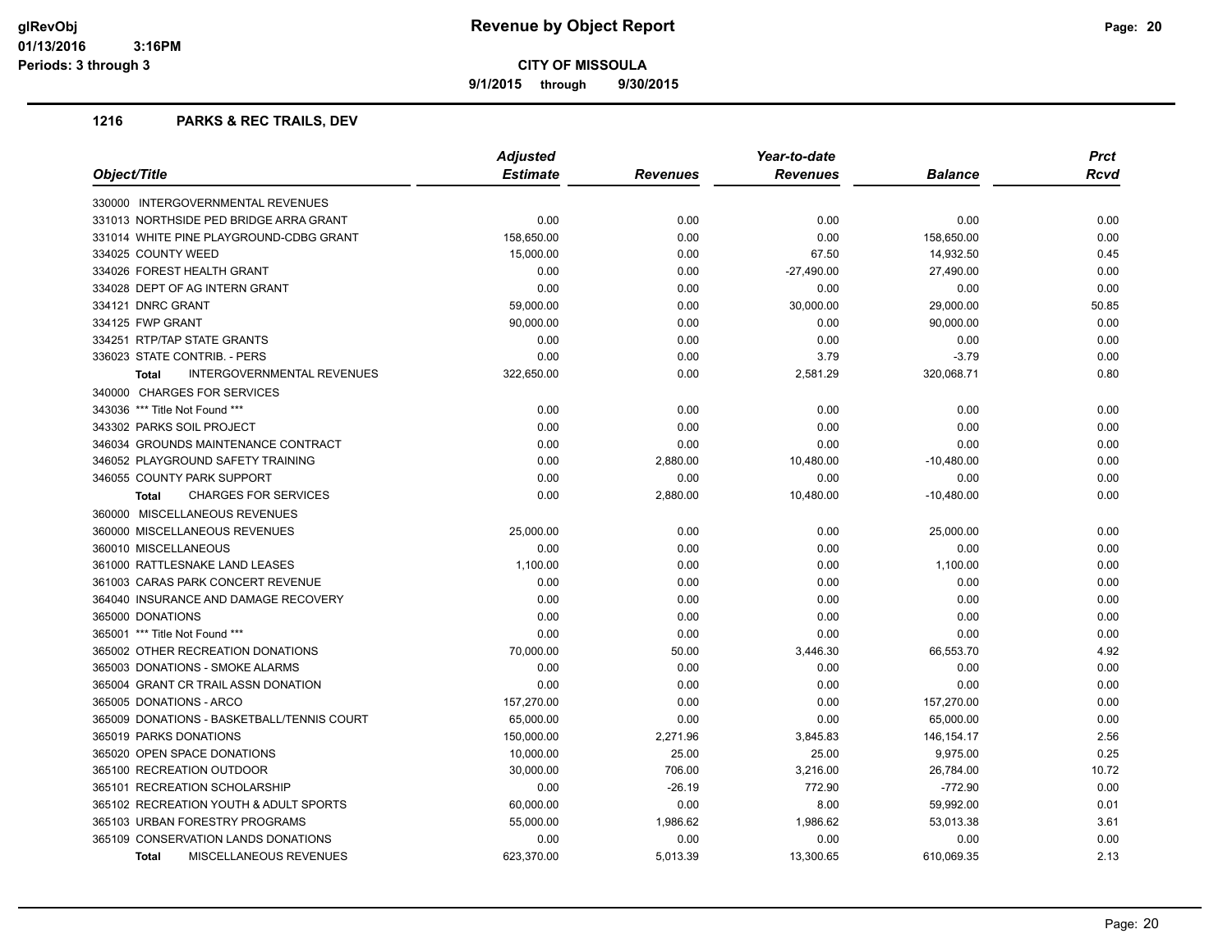**9/1/2015 through 9/30/2015**

# **1216 PARKS & REC TRAILS, DEV**

| Object/Title                                  | <b>Adjusted</b><br>Year-to-date |                 |                 |                | <b>Prct</b> |
|-----------------------------------------------|---------------------------------|-----------------|-----------------|----------------|-------------|
|                                               | <b>Estimate</b>                 | <b>Revenues</b> | <b>Revenues</b> | <b>Balance</b> | <b>Rcvd</b> |
| 330000 INTERGOVERNMENTAL REVENUES             |                                 |                 |                 |                |             |
| 331013 NORTHSIDE PED BRIDGE ARRA GRANT        | 0.00                            | 0.00            | 0.00            | 0.00           | 0.00        |
| 331014 WHITE PINE PLAYGROUND-CDBG GRANT       | 158,650.00                      | 0.00            | 0.00            | 158,650.00     | 0.00        |
| 334025 COUNTY WEED                            | 15,000.00                       | 0.00            | 67.50           | 14,932.50      | 0.45        |
| 334026 FOREST HEALTH GRANT                    | 0.00                            | 0.00            | $-27,490.00$    | 27,490.00      | 0.00        |
| 334028 DEPT OF AG INTERN GRANT                | 0.00                            | 0.00            | 0.00            | 0.00           | 0.00        |
| 334121 DNRC GRANT                             | 59,000.00                       | 0.00            | 30,000.00       | 29,000.00      | 50.85       |
| 334125 FWP GRANT                              | 90,000.00                       | 0.00            | 0.00            | 90,000.00      | 0.00        |
| 334251 RTP/TAP STATE GRANTS                   | 0.00                            | 0.00            | 0.00            | 0.00           | 0.00        |
| 336023 STATE CONTRIB. - PERS                  | 0.00                            | 0.00            | 3.79            | $-3.79$        | 0.00        |
| INTERGOVERNMENTAL REVENUES<br><b>Total</b>    | 322,650.00                      | 0.00            | 2,581.29        | 320,068.71     | 0.80        |
| 340000 CHARGES FOR SERVICES                   |                                 |                 |                 |                |             |
| 343036 *** Title Not Found ***                | 0.00                            | 0.00            | 0.00            | 0.00           | 0.00        |
| 343302 PARKS SOIL PROJECT                     | 0.00                            | 0.00            | 0.00            | 0.00           | 0.00        |
| 346034 GROUNDS MAINTENANCE CONTRACT           | 0.00                            | 0.00            | 0.00            | 0.00           | 0.00        |
| 346052 PLAYGROUND SAFETY TRAINING             | 0.00                            | 2,880.00        | 10,480.00       | $-10,480.00$   | 0.00        |
| 346055 COUNTY PARK SUPPORT                    | 0.00                            | 0.00            | 0.00            | 0.00           | 0.00        |
| <b>CHARGES FOR SERVICES</b><br><b>Total</b>   | 0.00                            | 2,880.00        | 10,480.00       | $-10,480.00$   | 0.00        |
| 360000 MISCELLANEOUS REVENUES                 |                                 |                 |                 |                |             |
| 360000 MISCELLANEOUS REVENUES                 | 25,000.00                       | 0.00            | 0.00            | 25,000.00      | 0.00        |
| 360010 MISCELLANEOUS                          | 0.00                            | 0.00            | 0.00            | 0.00           | 0.00        |
| 361000 RATTLESNAKE LAND LEASES                | 1,100.00                        | 0.00            | 0.00            | 1,100.00       | 0.00        |
| 361003 CARAS PARK CONCERT REVENUE             | 0.00                            | 0.00            | 0.00            | 0.00           | 0.00        |
| 364040 INSURANCE AND DAMAGE RECOVERY          | 0.00                            | 0.00            | 0.00            | 0.00           | 0.00        |
| 365000 DONATIONS                              | 0.00                            | 0.00            | 0.00            | 0.00           | 0.00        |
| 365001 *** Title Not Found ***                | 0.00                            | 0.00            | 0.00            | 0.00           | 0.00        |
| 365002 OTHER RECREATION DONATIONS             | 70,000.00                       | 50.00           | 3,446.30        | 66,553.70      | 4.92        |
| 365003 DONATIONS - SMOKE ALARMS               | 0.00                            | 0.00            | 0.00            | 0.00           | 0.00        |
| 365004 GRANT CR TRAIL ASSN DONATION           | 0.00                            | 0.00            | 0.00            | 0.00           | 0.00        |
| 365005 DONATIONS - ARCO                       | 157,270.00                      | 0.00            | 0.00            | 157,270.00     | 0.00        |
| 365009 DONATIONS - BASKETBALL/TENNIS COURT    | 65,000.00                       | 0.00            | 0.00            | 65,000.00      | 0.00        |
| 365019 PARKS DONATIONS                        | 150,000.00                      | 2,271.96        | 3,845.83        | 146, 154. 17   | 2.56        |
| 365020 OPEN SPACE DONATIONS                   | 10,000.00                       | 25.00           | 25.00           | 9,975.00       | 0.25        |
| 365100 RECREATION OUTDOOR                     | 30,000.00                       | 706.00          | 3,216.00        | 26,784.00      | 10.72       |
| 365101 RECREATION SCHOLARSHIP                 | 0.00                            | $-26.19$        | 772.90          | $-772.90$      | 0.00        |
| 365102 RECREATION YOUTH & ADULT SPORTS        | 60,000.00                       | 0.00            | 8.00            | 59,992.00      | 0.01        |
| 365103 URBAN FORESTRY PROGRAMS                | 55,000.00                       | 1,986.62        | 1,986.62        | 53,013.38      | 3.61        |
| 365109 CONSERVATION LANDS DONATIONS           | 0.00                            | 0.00            | 0.00            | 0.00           | 0.00        |
| <b>MISCELLANEOUS REVENUES</b><br><b>Total</b> | 623.370.00                      | 5.013.39        | 13.300.65       | 610.069.35     | 2.13        |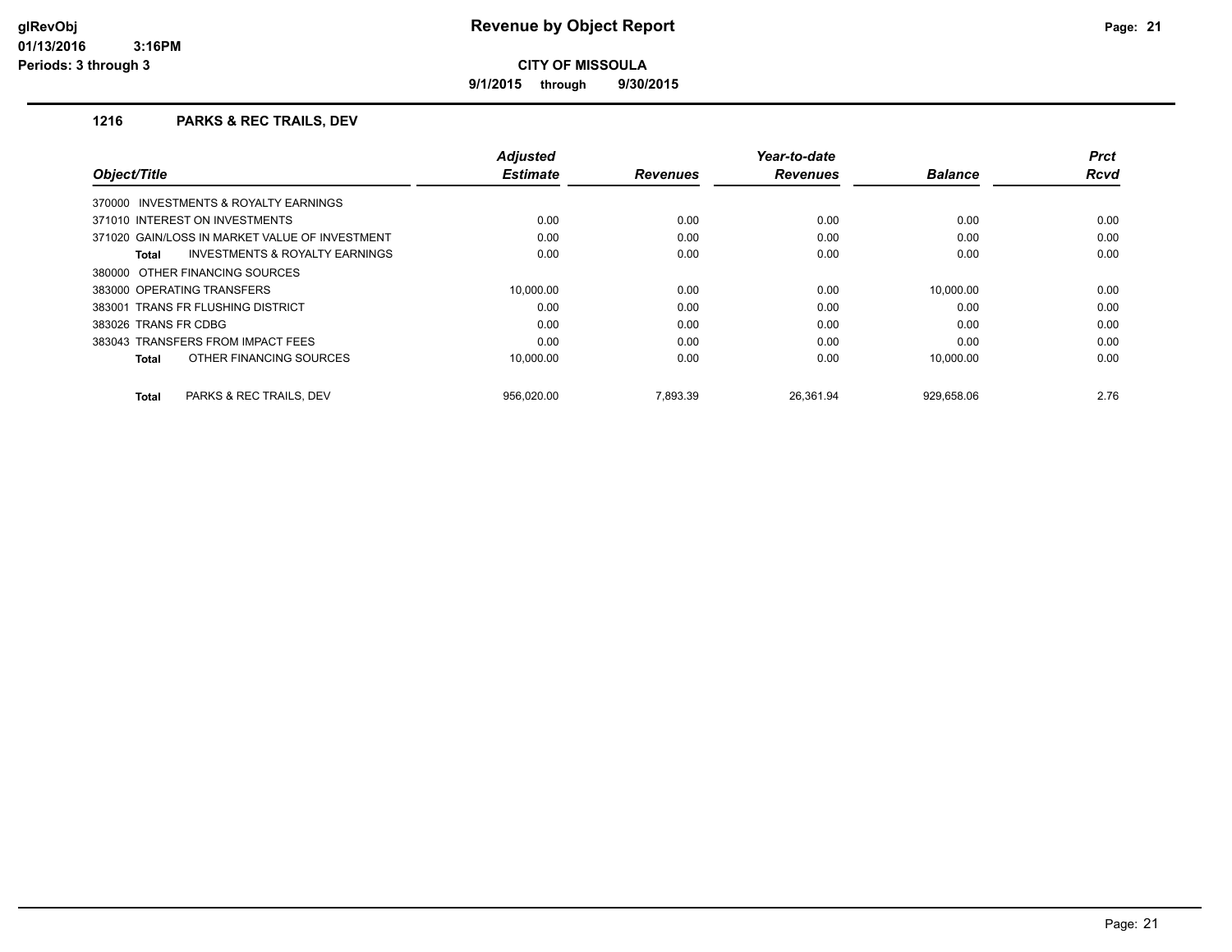**9/1/2015 through 9/30/2015**

# **1216 PARKS & REC TRAILS, DEV**

|                                                    | <b>Adjusted</b> |                 | Year-to-date    |                | <b>Prct</b> |
|----------------------------------------------------|-----------------|-----------------|-----------------|----------------|-------------|
| Object/Title                                       | <b>Estimate</b> | <b>Revenues</b> | <b>Revenues</b> | <b>Balance</b> | <b>Rcvd</b> |
| 370000 INVESTMENTS & ROYALTY EARNINGS              |                 |                 |                 |                |             |
| 371010 INTEREST ON INVESTMENTS                     | 0.00            | 0.00            | 0.00            | 0.00           | 0.00        |
| 371020 GAIN/LOSS IN MARKET VALUE OF INVESTMENT     | 0.00            | 0.00            | 0.00            | 0.00           | 0.00        |
| <b>INVESTMENTS &amp; ROYALTY EARNINGS</b><br>Total | 0.00            | 0.00            | 0.00            | 0.00           | 0.00        |
| 380000 OTHER FINANCING SOURCES                     |                 |                 |                 |                |             |
| 383000 OPERATING TRANSFERS                         | 10.000.00       | 0.00            | 0.00            | 10.000.00      | 0.00        |
| 383001 TRANS FR FLUSHING DISTRICT                  | 0.00            | 0.00            | 0.00            | 0.00           | 0.00        |
| 383026 TRANS FR CDBG                               | 0.00            | 0.00            | 0.00            | 0.00           | 0.00        |
| 383043 TRANSFERS FROM IMPACT FEES                  | 0.00            | 0.00            | 0.00            | 0.00           | 0.00        |
| OTHER FINANCING SOURCES<br>Total                   | 10.000.00       | 0.00            | 0.00            | 10.000.00      | 0.00        |
| PARKS & REC TRAILS, DEV<br><b>Total</b>            | 956.020.00      | 7.893.39        | 26.361.94       | 929.658.06     | 2.76        |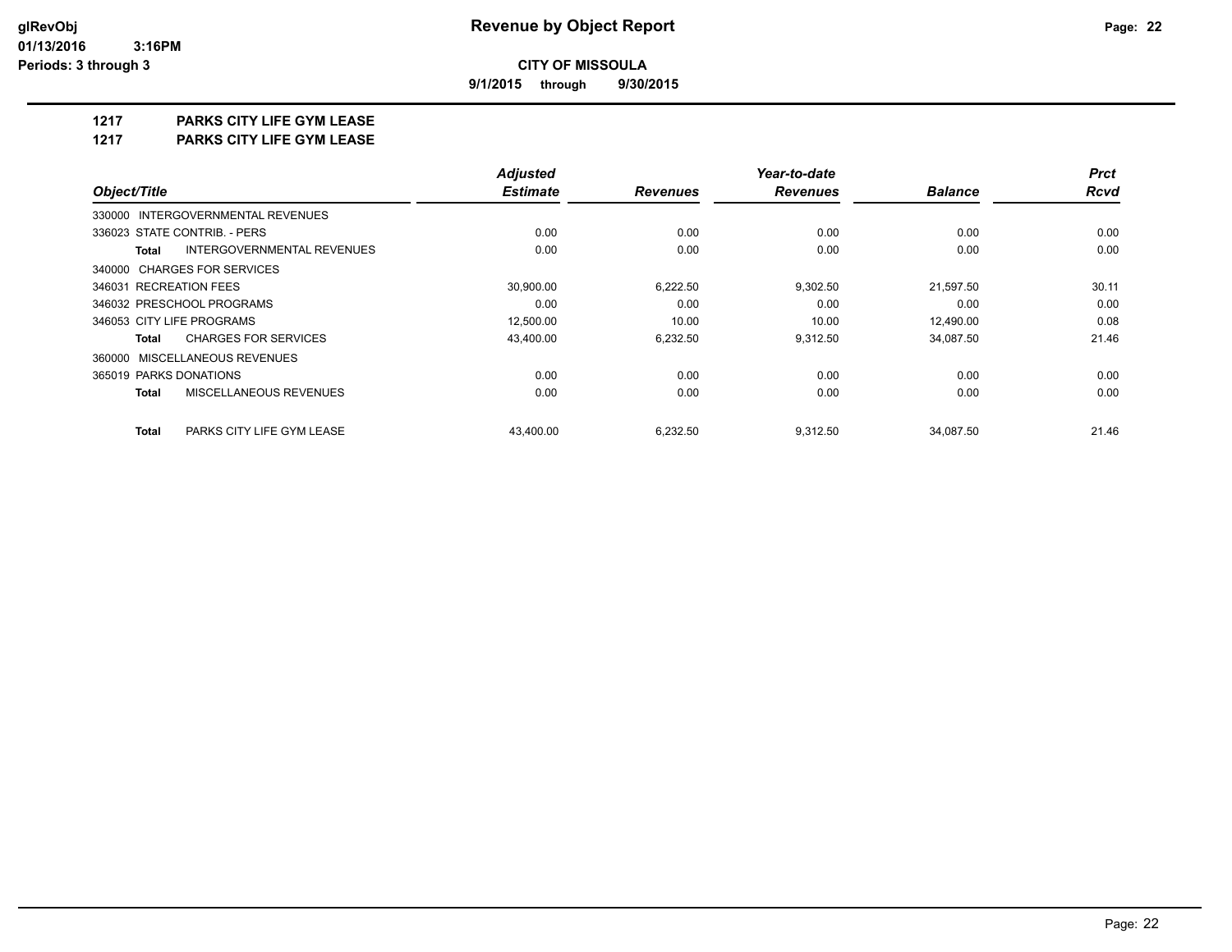**9/1/2015 through 9/30/2015**

# **1217 PARKS CITY LIFE GYM LEASE**

**1217 PARKS CITY LIFE GYM LEASE**

|                                            | <b>Adjusted</b> |                 | Year-to-date    |                | <b>Prct</b> |
|--------------------------------------------|-----------------|-----------------|-----------------|----------------|-------------|
| Object/Title                               | <b>Estimate</b> | <b>Revenues</b> | <b>Revenues</b> | <b>Balance</b> | <b>Rcvd</b> |
| 330000 INTERGOVERNMENTAL REVENUES          |                 |                 |                 |                |             |
| 336023 STATE CONTRIB. - PERS               | 0.00            | 0.00            | 0.00            | 0.00           | 0.00        |
| INTERGOVERNMENTAL REVENUES<br><b>Total</b> | 0.00            | 0.00            | 0.00            | 0.00           | 0.00        |
| 340000 CHARGES FOR SERVICES                |                 |                 |                 |                |             |
| 346031 RECREATION FEES                     | 30,900.00       | 6,222.50        | 9,302.50        | 21,597.50      | 30.11       |
| 346032 PRESCHOOL PROGRAMS                  | 0.00            | 0.00            | 0.00            | 0.00           | 0.00        |
| 346053 CITY LIFE PROGRAMS                  | 12,500.00       | 10.00           | 10.00           | 12,490.00      | 0.08        |
| <b>CHARGES FOR SERVICES</b><br>Total       | 43,400.00       | 6,232.50        | 9,312.50        | 34,087.50      | 21.46       |
| 360000 MISCELLANEOUS REVENUES              |                 |                 |                 |                |             |
| 365019 PARKS DONATIONS                     | 0.00            | 0.00            | 0.00            | 0.00           | 0.00        |
| MISCELLANEOUS REVENUES<br><b>Total</b>     | 0.00            | 0.00            | 0.00            | 0.00           | 0.00        |
| <b>Total</b><br>PARKS CITY LIFE GYM LEASE  | 43.400.00       | 6.232.50        | 9,312.50        | 34.087.50      | 21.46       |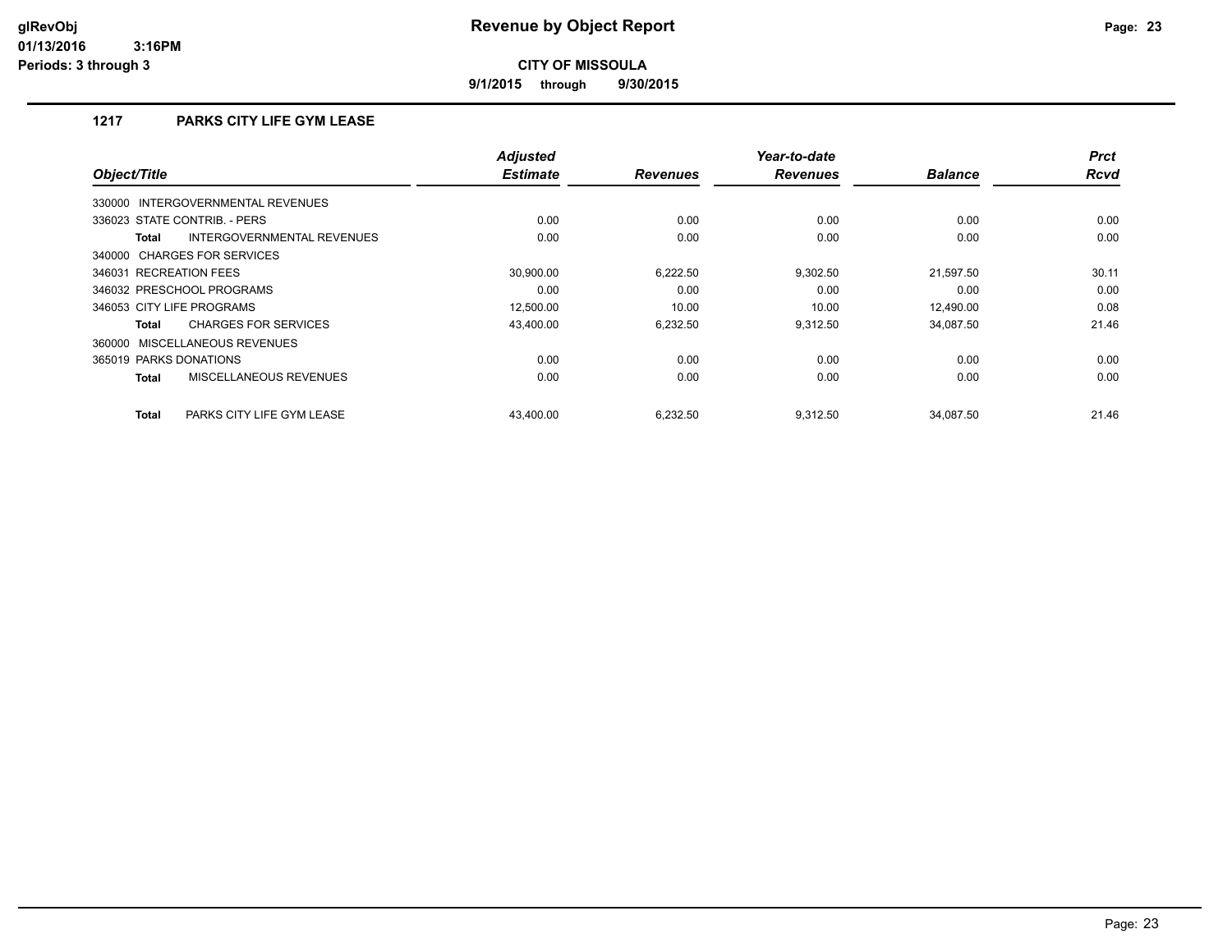**9/1/2015 through 9/30/2015**

# **1217 PARKS CITY LIFE GYM LEASE**

| Object/Title                               | <b>Adjusted</b><br><b>Estimate</b> | <b>Revenues</b> | Year-to-date<br><b>Revenues</b> | <b>Balance</b> | <b>Prct</b><br><b>Rcvd</b> |
|--------------------------------------------|------------------------------------|-----------------|---------------------------------|----------------|----------------------------|
| 330000 INTERGOVERNMENTAL REVENUES          |                                    |                 |                                 |                |                            |
| 336023 STATE CONTRIB. - PERS               | 0.00                               | 0.00            | 0.00                            | 0.00           | 0.00                       |
| INTERGOVERNMENTAL REVENUES<br><b>Total</b> | 0.00                               | 0.00            | 0.00                            | 0.00           | 0.00                       |
| 340000 CHARGES FOR SERVICES                |                                    |                 |                                 |                |                            |
| 346031 RECREATION FEES                     | 30.900.00                          | 6,222.50        | 9,302.50                        | 21.597.50      | 30.11                      |
| 346032 PRESCHOOL PROGRAMS                  | 0.00                               | 0.00            | 0.00                            | 0.00           | 0.00                       |
| 346053 CITY LIFE PROGRAMS                  | 12,500.00                          | 10.00           | 10.00                           | 12.490.00      | 0.08                       |
| <b>CHARGES FOR SERVICES</b><br>Total       | 43,400.00                          | 6,232.50        | 9.312.50                        | 34,087.50      | 21.46                      |
| 360000 MISCELLANEOUS REVENUES              |                                    |                 |                                 |                |                            |
| 365019 PARKS DONATIONS                     | 0.00                               | 0.00            | 0.00                            | 0.00           | 0.00                       |
| MISCELLANEOUS REVENUES<br><b>Total</b>     | 0.00                               | 0.00            | 0.00                            | 0.00           | 0.00                       |
| <b>Total</b><br>PARKS CITY LIFE GYM LEASE  | 43.400.00                          | 6.232.50        | 9.312.50                        | 34.087.50      | 21.46                      |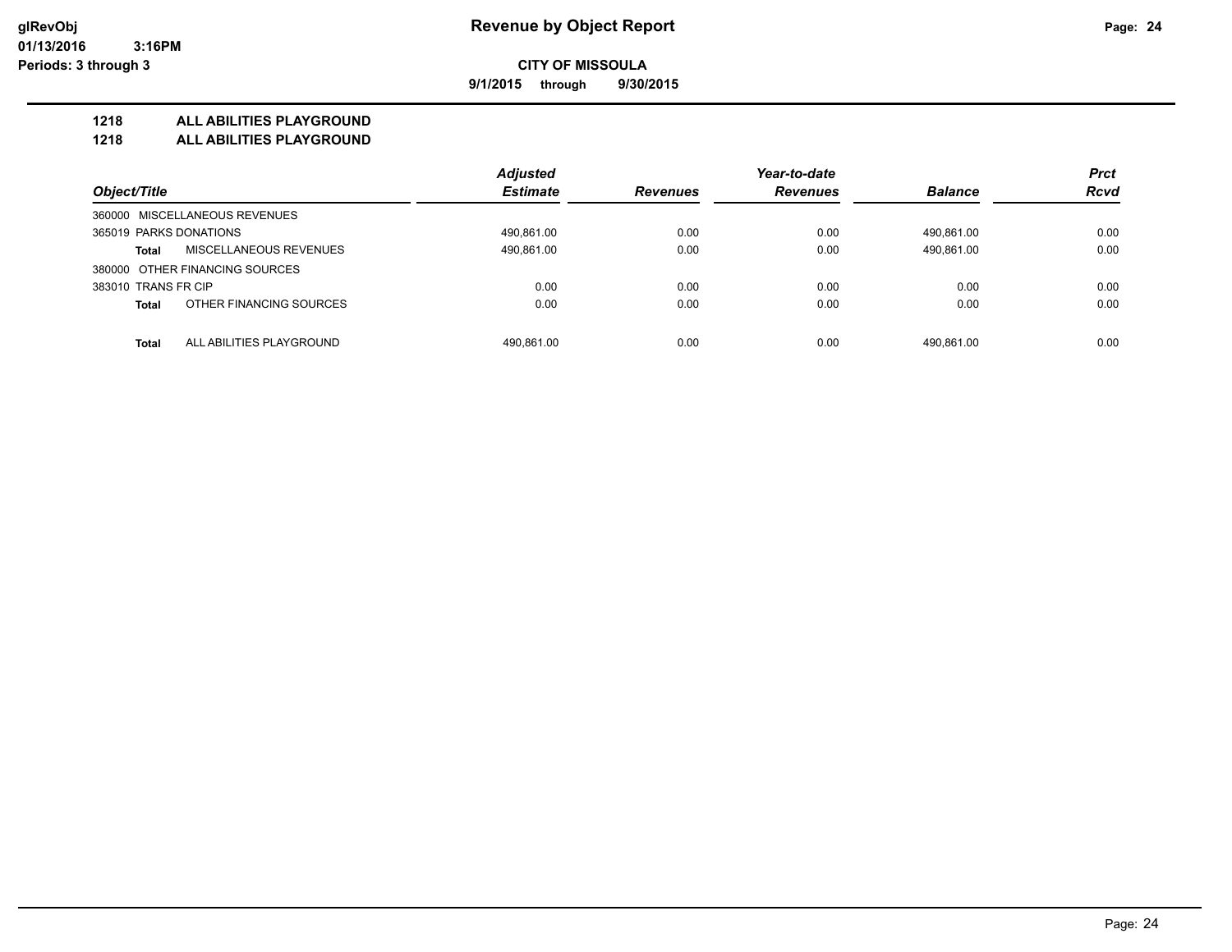**9/1/2015 through 9/30/2015**

# **1218 ALL ABILITIES PLAYGROUND**

**1218 ALL ABILITIES PLAYGROUND**

|                                               | <b>Adjusted</b> |                 | Year-to-date    |                | <b>Prct</b> |
|-----------------------------------------------|-----------------|-----------------|-----------------|----------------|-------------|
| Object/Title                                  | <b>Estimate</b> | <b>Revenues</b> | <b>Revenues</b> | <b>Balance</b> | <b>Rcvd</b> |
| 360000 MISCELLANEOUS REVENUES                 |                 |                 |                 |                |             |
| 365019 PARKS DONATIONS                        | 490,861.00      | 0.00            | 0.00            | 490.861.00     | 0.00        |
| <b>MISCELLANEOUS REVENUES</b><br><b>Total</b> | 490,861.00      | 0.00            | 0.00            | 490.861.00     | 0.00        |
| 380000 OTHER FINANCING SOURCES                |                 |                 |                 |                |             |
| 383010 TRANS FR CIP                           | 0.00            | 0.00            | 0.00            | 0.00           | 0.00        |
| OTHER FINANCING SOURCES<br><b>Total</b>       | 0.00            | 0.00            | 0.00            | 0.00           | 0.00        |
|                                               |                 |                 |                 |                |             |
| ALL ABILITIES PLAYGROUND<br><b>Total</b>      | 490.861.00      | 0.00            | 0.00            | 490.861.00     | 0.00        |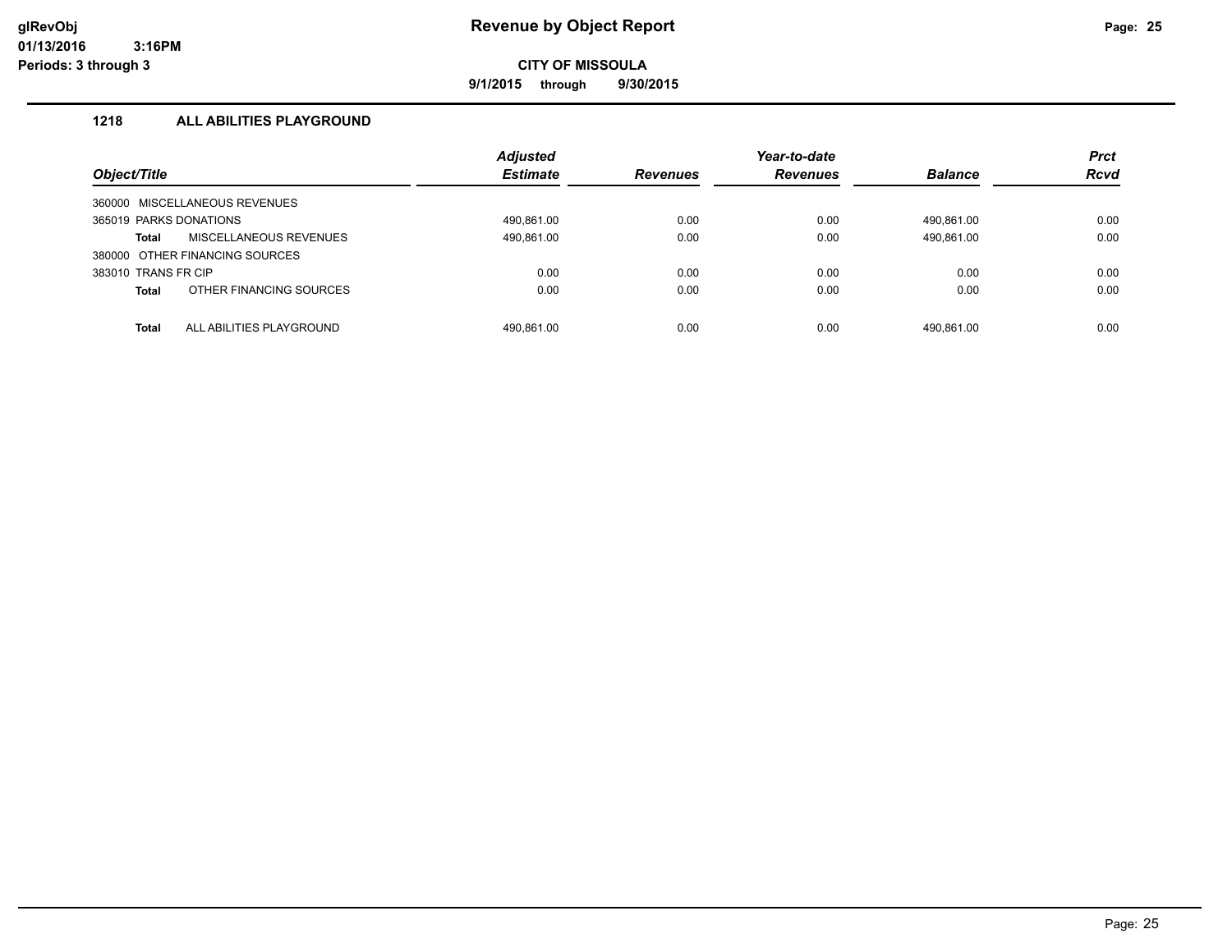**9/1/2015 through 9/30/2015**

# **1218 ALL ABILITIES PLAYGROUND**

| Object/Title                             | <b>Adjusted</b><br><b>Estimate</b> | <b>Revenues</b> | Year-to-date<br><b>Revenues</b> | <b>Balance</b> | <b>Prct</b><br><b>Rcvd</b> |
|------------------------------------------|------------------------------------|-----------------|---------------------------------|----------------|----------------------------|
| 360000 MISCELLANEOUS REVENUES            |                                    |                 |                                 |                |                            |
| 365019 PARKS DONATIONS                   | 490.861.00                         | 0.00            | 0.00                            | 490.861.00     | 0.00                       |
| MISCELLANEOUS REVENUES<br>Total          | 490,861.00                         | 0.00            | 0.00                            | 490,861.00     | 0.00                       |
| 380000 OTHER FINANCING SOURCES           |                                    |                 |                                 |                |                            |
| 383010 TRANS FR CIP                      | 0.00                               | 0.00            | 0.00                            | 0.00           | 0.00                       |
| OTHER FINANCING SOURCES<br><b>Total</b>  | 0.00                               | 0.00            | 0.00                            | 0.00           | 0.00                       |
|                                          |                                    |                 |                                 |                |                            |
| ALL ABILITIES PLAYGROUND<br><b>Total</b> | 490.861.00                         | 0.00            | 0.00                            | 490.861.00     | 0.00                       |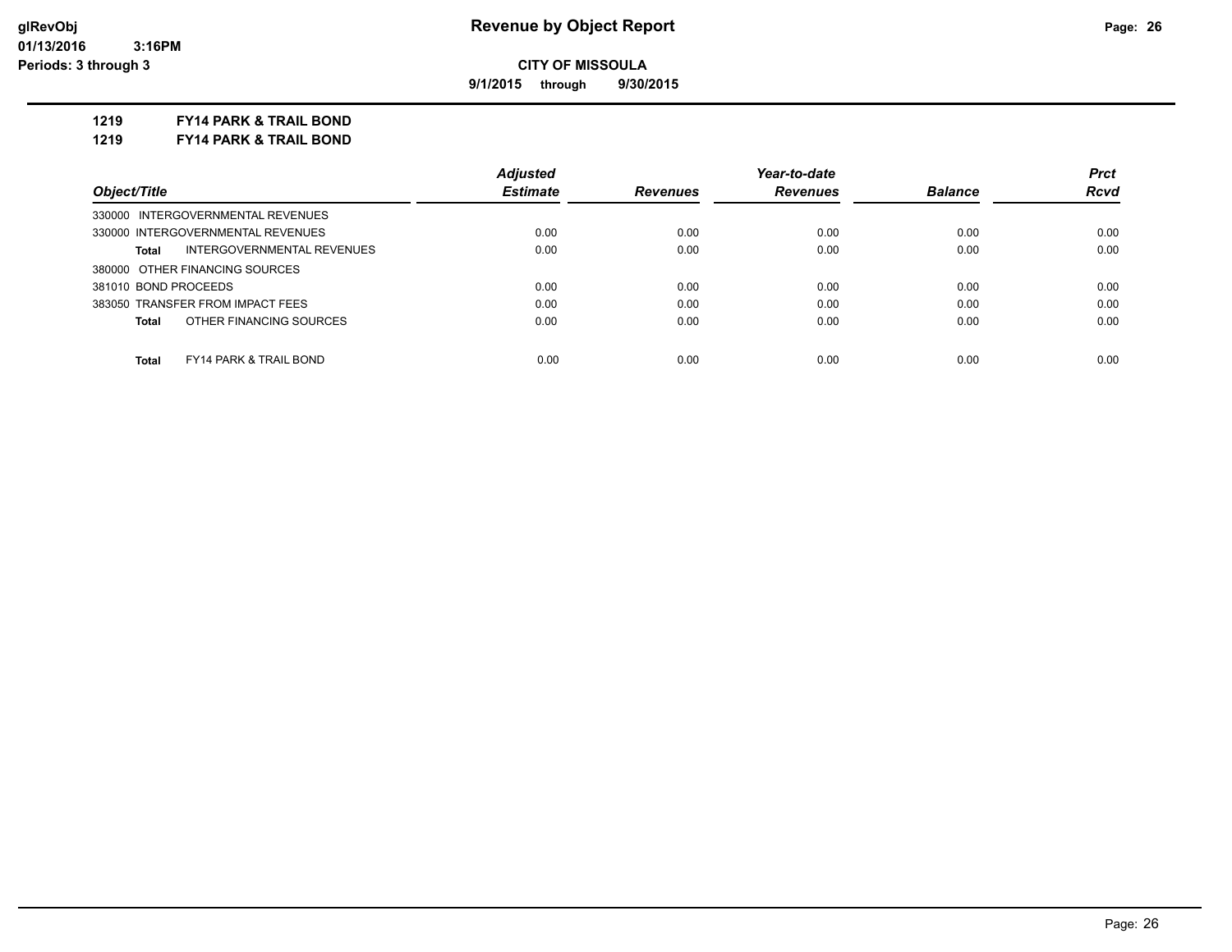**9/1/2015 through 9/30/2015**

**1219 FY14 PARK & TRAIL BOND**

**1219 FY14 PARK & TRAIL BOND**

|                                            | <b>Adjusted</b> |          | Year-to-date    |                | <b>Prct</b> |
|--------------------------------------------|-----------------|----------|-----------------|----------------|-------------|
| Object/Title                               | <b>Estimate</b> | Revenues | <b>Revenues</b> | <b>Balance</b> | <b>Rcvd</b> |
| 330000 INTERGOVERNMENTAL REVENUES          |                 |          |                 |                |             |
| 330000 INTERGOVERNMENTAL REVENUES          | 0.00            | 0.00     | 0.00            | 0.00           | 0.00        |
| INTERGOVERNMENTAL REVENUES<br>Total        | 0.00            | 0.00     | 0.00            | 0.00           | 0.00        |
| 380000 OTHER FINANCING SOURCES             |                 |          |                 |                |             |
| 381010 BOND PROCEEDS                       | 0.00            | 0.00     | 0.00            | 0.00           | 0.00        |
| 383050 TRANSFER FROM IMPACT FEES           | 0.00            | 0.00     | 0.00            | 0.00           | 0.00        |
| OTHER FINANCING SOURCES<br>Total           | 0.00            | 0.00     | 0.00            | 0.00           | 0.00        |
|                                            |                 |          |                 |                |             |
| <b>FY14 PARK &amp; TRAIL BOND</b><br>Total | 0.00            | 0.00     | 0.00            | 0.00           | 0.00        |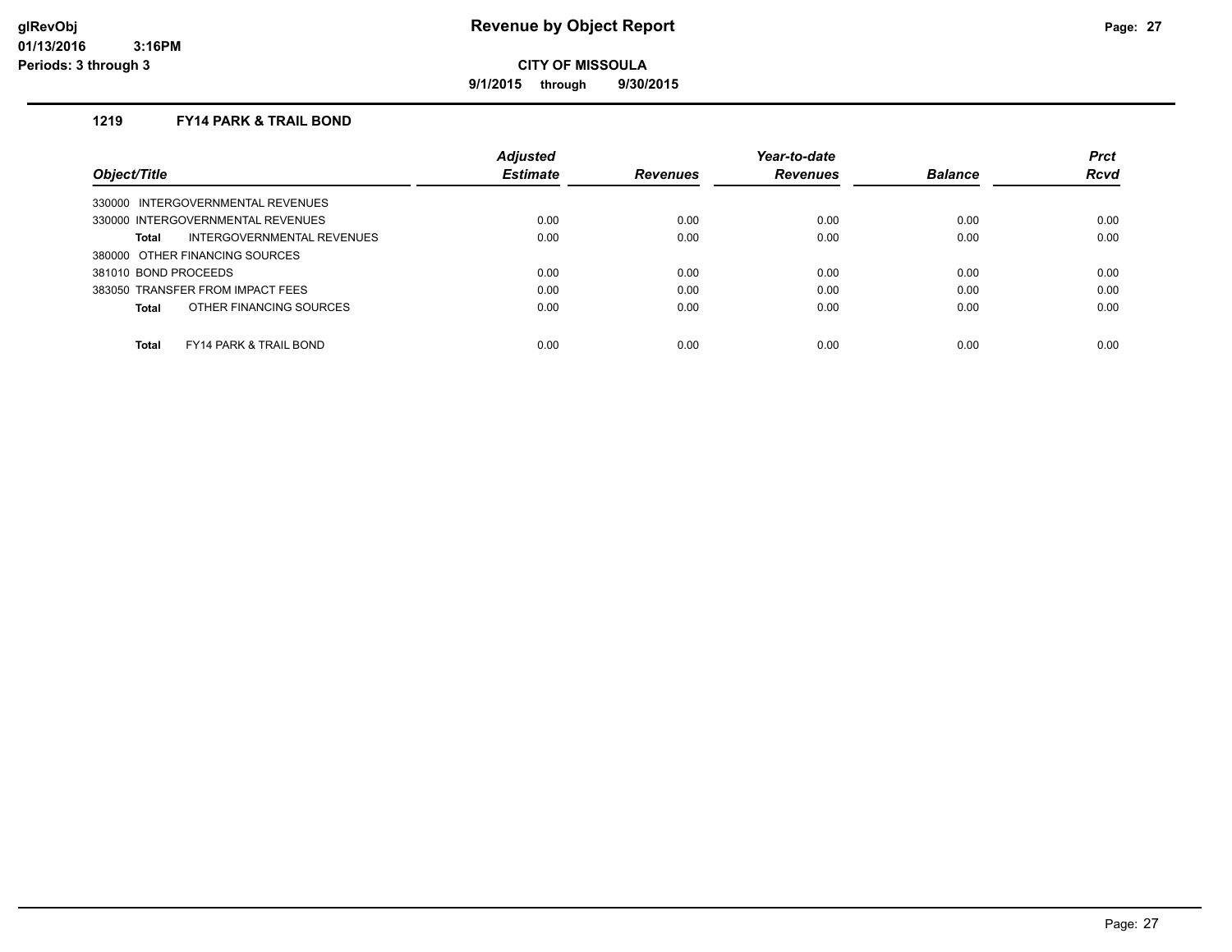**9/1/2015 through 9/30/2015**

## **1219 FY14 PARK & TRAIL BOND**

|                                            | <b>Adjusted</b> |                 | Year-to-date    |                | <b>Prct</b> |
|--------------------------------------------|-----------------|-----------------|-----------------|----------------|-------------|
| Object/Title                               | <b>Estimate</b> | <b>Revenues</b> | <b>Revenues</b> | <b>Balance</b> | Rcvd        |
| 330000 INTERGOVERNMENTAL REVENUES          |                 |                 |                 |                |             |
| 330000 INTERGOVERNMENTAL REVENUES          | 0.00            | 0.00            | 0.00            | 0.00           | 0.00        |
| INTERGOVERNMENTAL REVENUES<br>Total        | 0.00            | 0.00            | 0.00            | 0.00           | 0.00        |
| 380000 OTHER FINANCING SOURCES             |                 |                 |                 |                |             |
| 381010 BOND PROCEEDS                       | 0.00            | 0.00            | 0.00            | 0.00           | 0.00        |
| 383050 TRANSFER FROM IMPACT FEES           | 0.00            | 0.00            | 0.00            | 0.00           | 0.00        |
| OTHER FINANCING SOURCES<br>Total           | 0.00            | 0.00            | 0.00            | 0.00           | 0.00        |
|                                            |                 |                 |                 |                |             |
| Total<br><b>FY14 PARK &amp; TRAIL BOND</b> | 0.00            | 0.00            | 0.00            | 0.00           | 0.00        |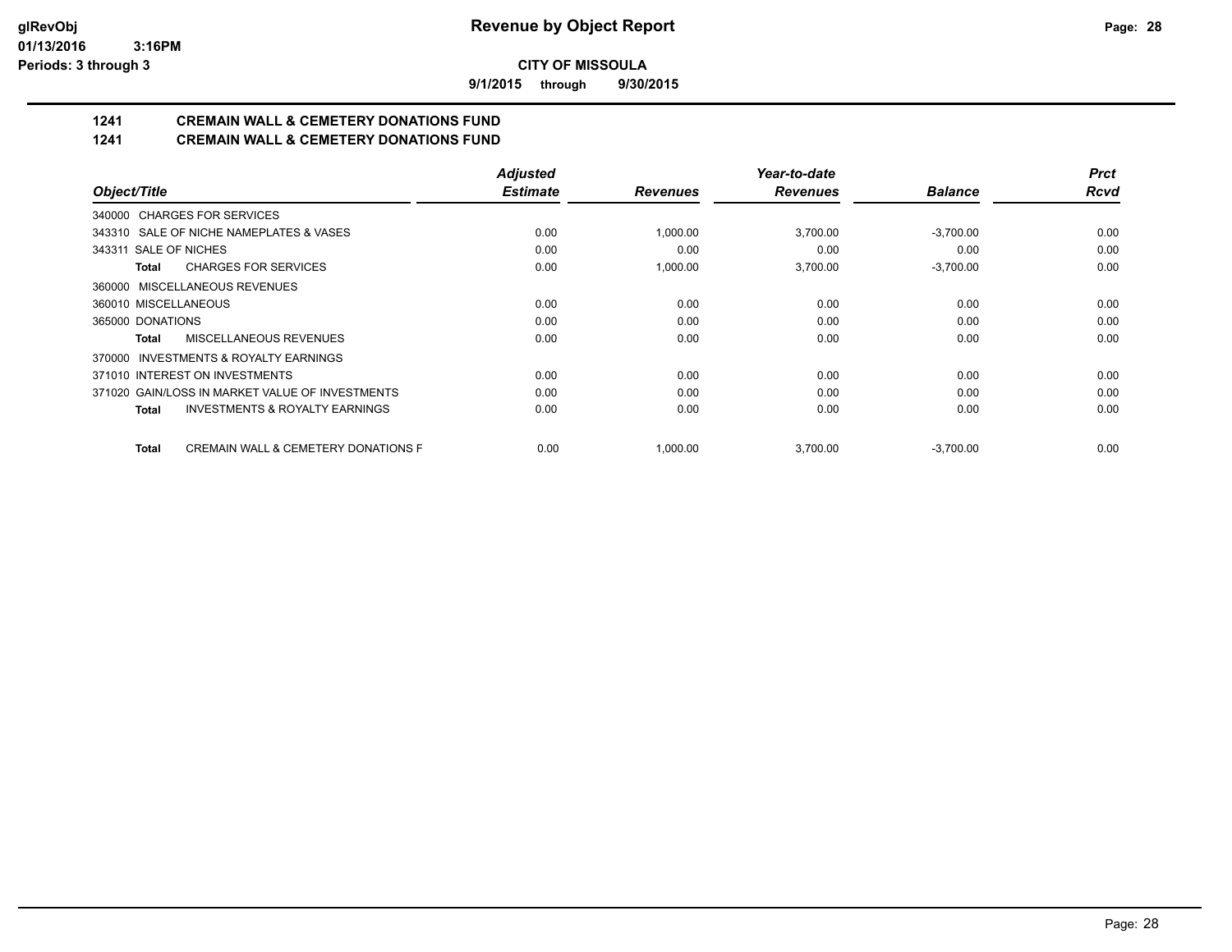**9/1/2015 through 9/30/2015**

# **1241 CREMAIN WALL & CEMETERY DONATIONS FUND**

# **1241 CREMAIN WALL & CEMETERY DONATIONS FUND**

|                                                         | <b>Adjusted</b> |                 | Year-to-date    |                | <b>Prct</b> |
|---------------------------------------------------------|-----------------|-----------------|-----------------|----------------|-------------|
| Object/Title                                            | <b>Estimate</b> | <b>Revenues</b> | <b>Revenues</b> | <b>Balance</b> | <b>Rcvd</b> |
| 340000 CHARGES FOR SERVICES                             |                 |                 |                 |                |             |
| 343310 SALE OF NICHE NAMEPLATES & VASES                 | 0.00            | 1,000.00        | 3,700.00        | $-3.700.00$    | 0.00        |
| 343311 SALE OF NICHES                                   | 0.00            | 0.00            | 0.00            | 0.00           | 0.00        |
| <b>CHARGES FOR SERVICES</b><br>Total                    | 0.00            | 1,000.00        | 3,700.00        | $-3,700.00$    | 0.00        |
| MISCELLANEOUS REVENUES<br>360000                        |                 |                 |                 |                |             |
| 360010 MISCELLANEOUS                                    | 0.00            | 0.00            | 0.00            | 0.00           | 0.00        |
| 365000 DONATIONS                                        | 0.00            | 0.00            | 0.00            | 0.00           | 0.00        |
| MISCELLANEOUS REVENUES<br>Total                         | 0.00            | 0.00            | 0.00            | 0.00           | 0.00        |
| INVESTMENTS & ROYALTY EARNINGS<br>370000                |                 |                 |                 |                |             |
| 371010 INTEREST ON INVESTMENTS                          | 0.00            | 0.00            | 0.00            | 0.00           | 0.00        |
| 371020 GAIN/LOSS IN MARKET VALUE OF INVESTMENTS         | 0.00            | 0.00            | 0.00            | 0.00           | 0.00        |
| <b>INVESTMENTS &amp; ROYALTY EARNINGS</b><br>Total      | 0.00            | 0.00            | 0.00            | 0.00           | 0.00        |
| <b>CREMAIN WALL &amp; CEMETERY DONATIONS F</b><br>Total | 0.00            | 1,000.00        | 3,700.00        | $-3,700.00$    | 0.00        |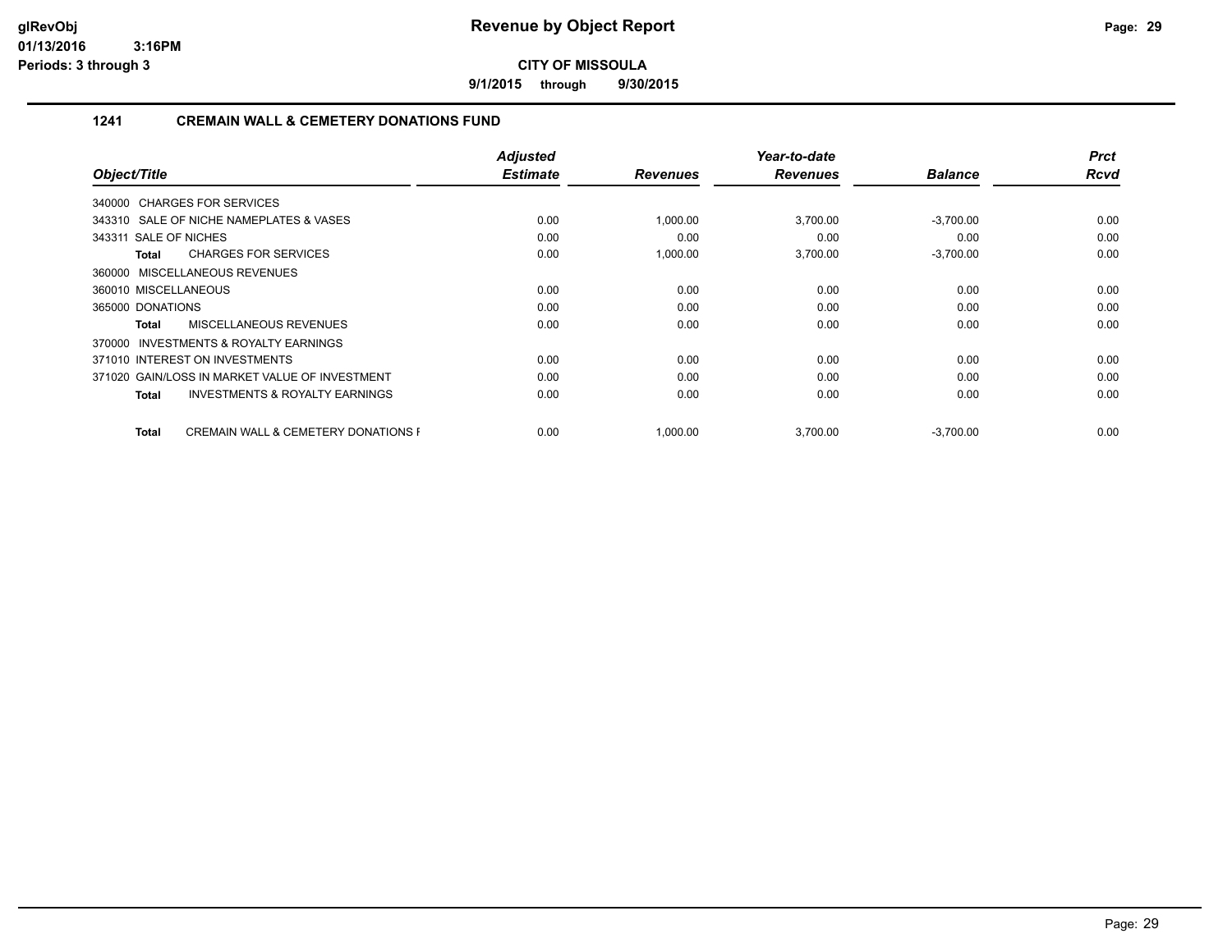**9/1/2015 through 9/30/2015**

# **1241 CREMAIN WALL & CEMETERY DONATIONS FUND**

|                                                         | <b>Adjusted</b> |                 | Year-to-date    |                | <b>Prct</b> |
|---------------------------------------------------------|-----------------|-----------------|-----------------|----------------|-------------|
| Object/Title                                            | <b>Estimate</b> | <b>Revenues</b> | <b>Revenues</b> | <b>Balance</b> | <b>Rcvd</b> |
| 340000 CHARGES FOR SERVICES                             |                 |                 |                 |                |             |
| 343310 SALE OF NICHE NAMEPLATES & VASES                 | 0.00            | 1,000.00        | 3,700.00        | $-3,700.00$    | 0.00        |
| 343311 SALE OF NICHES                                   | 0.00            | 0.00            | 0.00            | 0.00           | 0.00        |
| <b>CHARGES FOR SERVICES</b><br>Total                    | 0.00            | 1,000.00        | 3,700.00        | $-3,700.00$    | 0.00        |
| 360000 MISCELLANEOUS REVENUES                           |                 |                 |                 |                |             |
| 360010 MISCELLANEOUS                                    | 0.00            | 0.00            | 0.00            | 0.00           | 0.00        |
| 365000 DONATIONS                                        | 0.00            | 0.00            | 0.00            | 0.00           | 0.00        |
| MISCELLANEOUS REVENUES<br>Total                         | 0.00            | 0.00            | 0.00            | 0.00           | 0.00        |
| INVESTMENTS & ROYALTY EARNINGS<br>370000                |                 |                 |                 |                |             |
| 371010 INTEREST ON INVESTMENTS                          | 0.00            | 0.00            | 0.00            | 0.00           | 0.00        |
| 371020 GAIN/LOSS IN MARKET VALUE OF INVESTMENT          | 0.00            | 0.00            | 0.00            | 0.00           | 0.00        |
| <b>INVESTMENTS &amp; ROYALTY EARNINGS</b><br>Total      | 0.00            | 0.00            | 0.00            | 0.00           | 0.00        |
| <b>CREMAIN WALL &amp; CEMETERY DONATIONS F</b><br>Total | 0.00            | 1,000.00        | 3,700.00        | $-3,700.00$    | 0.00        |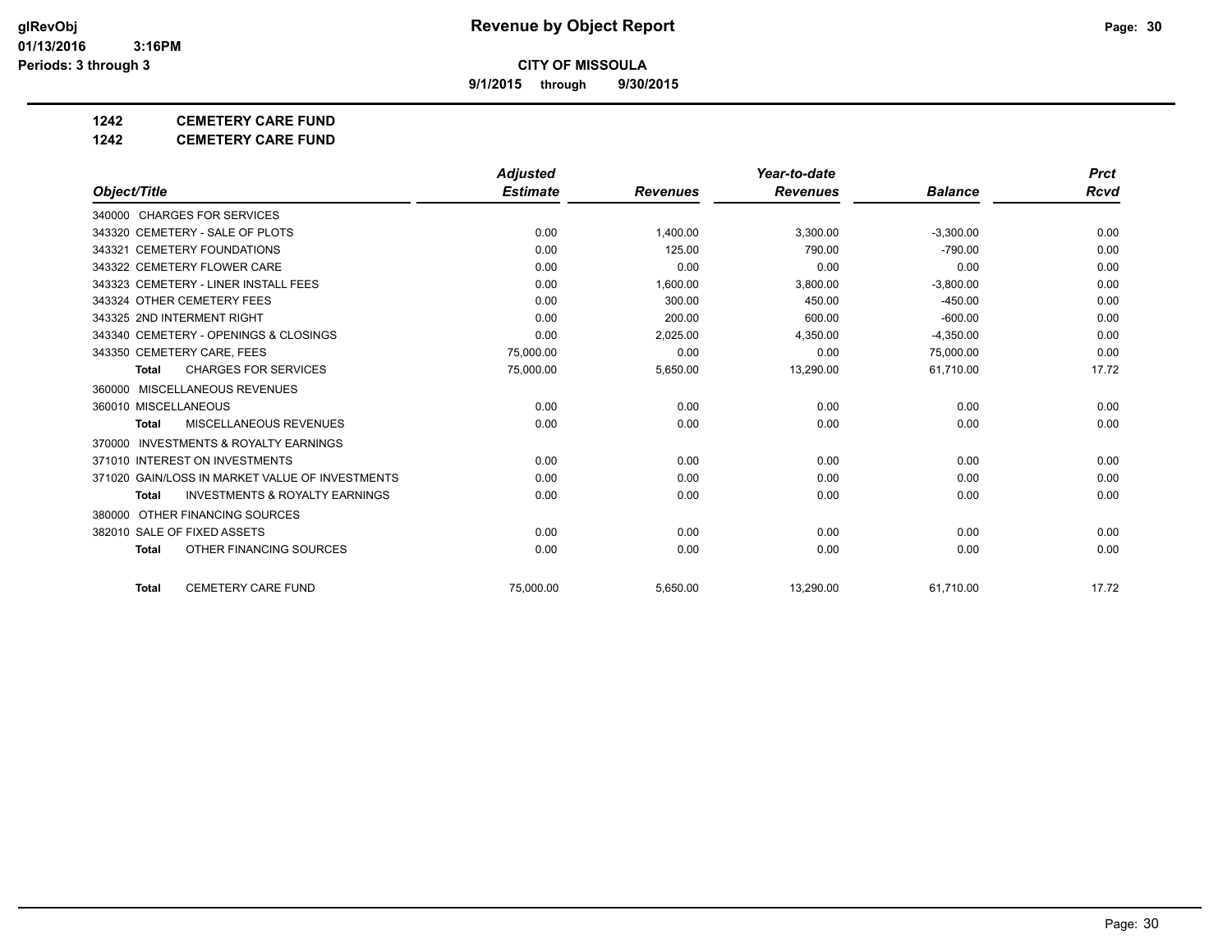**9/1/2015 through 9/30/2015**

# **1242 CEMETERY CARE FUND**

**1242 CEMETERY CARE FUND**

|                                                     | <b>Adjusted</b> |                 | Year-to-date    |                | <b>Prct</b> |
|-----------------------------------------------------|-----------------|-----------------|-----------------|----------------|-------------|
| Object/Title                                        | <b>Estimate</b> | <b>Revenues</b> | <b>Revenues</b> | <b>Balance</b> | Rcvd        |
| 340000 CHARGES FOR SERVICES                         |                 |                 |                 |                |             |
| 343320 CEMETERY - SALE OF PLOTS                     | 0.00            | 1,400.00        | 3,300.00        | $-3,300.00$    | 0.00        |
| 343321 CEMETERY FOUNDATIONS                         | 0.00            | 125.00          | 790.00          | $-790.00$      | 0.00        |
| 343322 CEMETERY FLOWER CARE                         | 0.00            | 0.00            | 0.00            | 0.00           | 0.00        |
| 343323 CEMETERY - LINER INSTALL FEES                | 0.00            | 1,600.00        | 3,800.00        | $-3,800.00$    | 0.00        |
| 343324 OTHER CEMETERY FEES                          | 0.00            | 300.00          | 450.00          | $-450.00$      | 0.00        |
| 343325 2ND INTERMENT RIGHT                          | 0.00            | 200.00          | 600.00          | $-600.00$      | 0.00        |
| 343340 CEMETERY - OPENINGS & CLOSINGS               | 0.00            | 2,025.00        | 4,350.00        | $-4,350.00$    | 0.00        |
| 343350 CEMETERY CARE, FEES                          | 75,000.00       | 0.00            | 0.00            | 75,000.00      | 0.00        |
| <b>CHARGES FOR SERVICES</b><br><b>Total</b>         | 75,000.00       | 5,650.00        | 13,290.00       | 61,710.00      | 17.72       |
| MISCELLANEOUS REVENUES<br>360000                    |                 |                 |                 |                |             |
| 360010 MISCELLANEOUS                                | 0.00            | 0.00            | 0.00            | 0.00           | 0.00        |
| MISCELLANEOUS REVENUES<br><b>Total</b>              | 0.00            | 0.00            | 0.00            | 0.00           | 0.00        |
| <b>INVESTMENTS &amp; ROYALTY EARNINGS</b><br>370000 |                 |                 |                 |                |             |
| 371010 INTEREST ON INVESTMENTS                      | 0.00            | 0.00            | 0.00            | 0.00           | 0.00        |
| 371020 GAIN/LOSS IN MARKET VALUE OF INVESTMENTS     | 0.00            | 0.00            | 0.00            | 0.00           | 0.00        |
| <b>INVESTMENTS &amp; ROYALTY EARNINGS</b><br>Total  | 0.00            | 0.00            | 0.00            | 0.00           | 0.00        |
| 380000 OTHER FINANCING SOURCES                      |                 |                 |                 |                |             |
| 382010 SALE OF FIXED ASSETS                         | 0.00            | 0.00            | 0.00            | 0.00           | 0.00        |
| OTHER FINANCING SOURCES<br><b>Total</b>             | 0.00            | 0.00            | 0.00            | 0.00           | 0.00        |
| <b>CEMETERY CARE FUND</b><br><b>Total</b>           | 75.000.00       | 5,650.00        | 13,290.00       | 61,710.00      | 17.72       |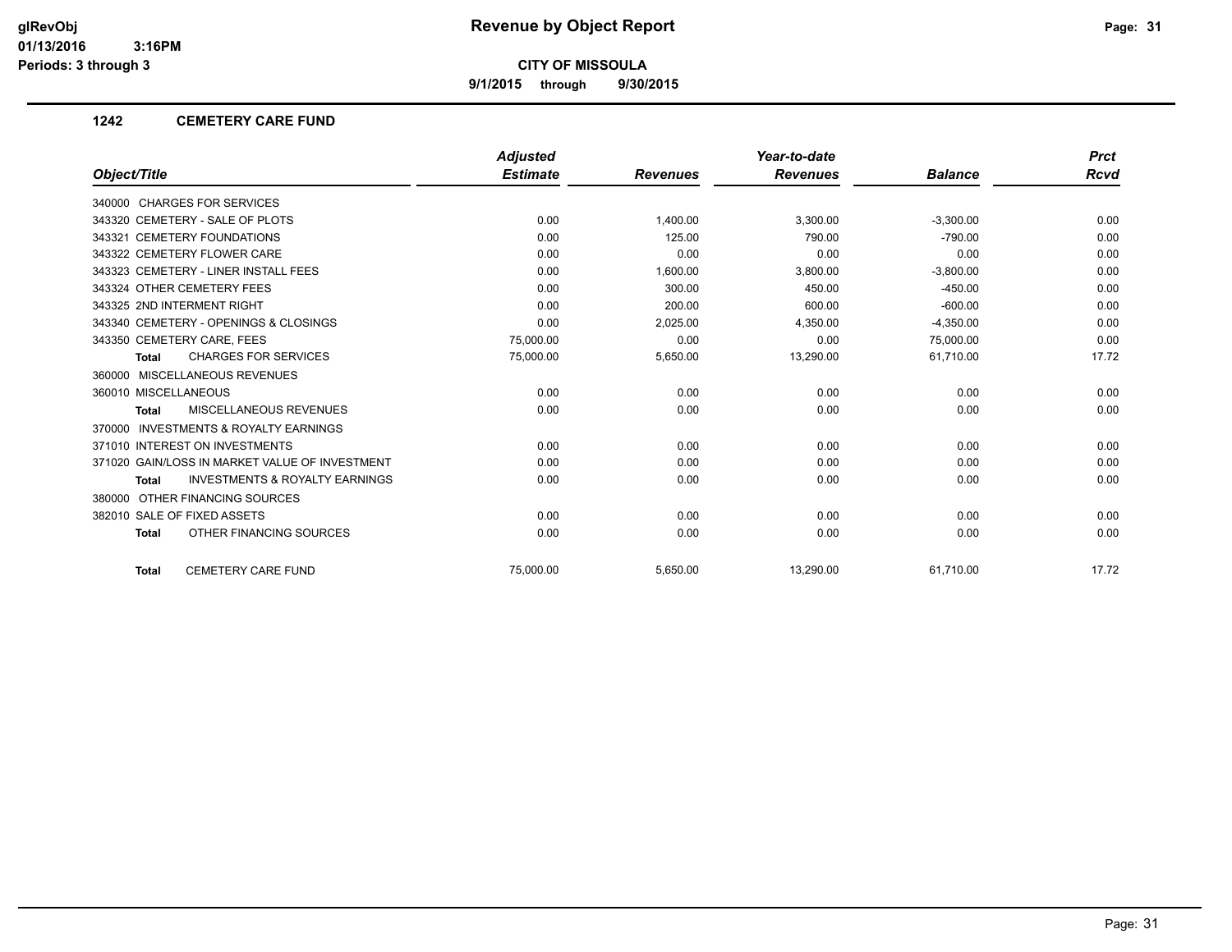**9/1/2015 through 9/30/2015**

## **1242 CEMETERY CARE FUND**

|                                                           | <b>Adjusted</b> |                 | Year-to-date    |                | <b>Prct</b> |
|-----------------------------------------------------------|-----------------|-----------------|-----------------|----------------|-------------|
| Object/Title                                              | <b>Estimate</b> | <b>Revenues</b> | <b>Revenues</b> | <b>Balance</b> | Rcvd        |
| 340000 CHARGES FOR SERVICES                               |                 |                 |                 |                |             |
| 343320 CEMETERY - SALE OF PLOTS                           | 0.00            | 1,400.00        | 3,300.00        | $-3,300.00$    | 0.00        |
| 343321 CEMETERY FOUNDATIONS                               | 0.00            | 125.00          | 790.00          | $-790.00$      | 0.00        |
| 343322 CEMETERY FLOWER CARE                               | 0.00            | 0.00            | 0.00            | 0.00           | 0.00        |
| 343323 CEMETERY - LINER INSTALL FEES                      | 0.00            | 1,600.00        | 3,800.00        | $-3,800.00$    | 0.00        |
| 343324 OTHER CEMETERY FEES                                | 0.00            | 300.00          | 450.00          | $-450.00$      | 0.00        |
| 343325 2ND INTERMENT RIGHT                                | 0.00            | 200.00          | 600.00          | $-600.00$      | 0.00        |
| 343340 CEMETERY - OPENINGS & CLOSINGS                     | 0.00            | 2,025.00        | 4,350.00        | $-4,350.00$    | 0.00        |
| 343350 CEMETERY CARE, FEES                                | 75,000.00       | 0.00            | 0.00            | 75,000.00      | 0.00        |
| <b>CHARGES FOR SERVICES</b><br><b>Total</b>               | 75,000.00       | 5,650.00        | 13,290.00       | 61,710.00      | 17.72       |
| 360000 MISCELLANEOUS REVENUES                             |                 |                 |                 |                |             |
| 360010 MISCELLANEOUS                                      | 0.00            | 0.00            | 0.00            | 0.00           | 0.00        |
| <b>MISCELLANEOUS REVENUES</b><br><b>Total</b>             | 0.00            | 0.00            | 0.00            | 0.00           | 0.00        |
| 370000 INVESTMENTS & ROYALTY EARNINGS                     |                 |                 |                 |                |             |
| 371010 INTEREST ON INVESTMENTS                            | 0.00            | 0.00            | 0.00            | 0.00           | 0.00        |
| 371020 GAIN/LOSS IN MARKET VALUE OF INVESTMENT            | 0.00            | 0.00            | 0.00            | 0.00           | 0.00        |
| <b>INVESTMENTS &amp; ROYALTY EARNINGS</b><br><b>Total</b> | 0.00            | 0.00            | 0.00            | 0.00           | 0.00        |
| 380000 OTHER FINANCING SOURCES                            |                 |                 |                 |                |             |
| 382010 SALE OF FIXED ASSETS                               | 0.00            | 0.00            | 0.00            | 0.00           | 0.00        |
| OTHER FINANCING SOURCES<br><b>Total</b>                   | 0.00            | 0.00            | 0.00            | 0.00           | 0.00        |
| <b>CEMETERY CARE FUND</b><br><b>Total</b>                 | 75.000.00       | 5,650.00        | 13,290.00       | 61.710.00      | 17.72       |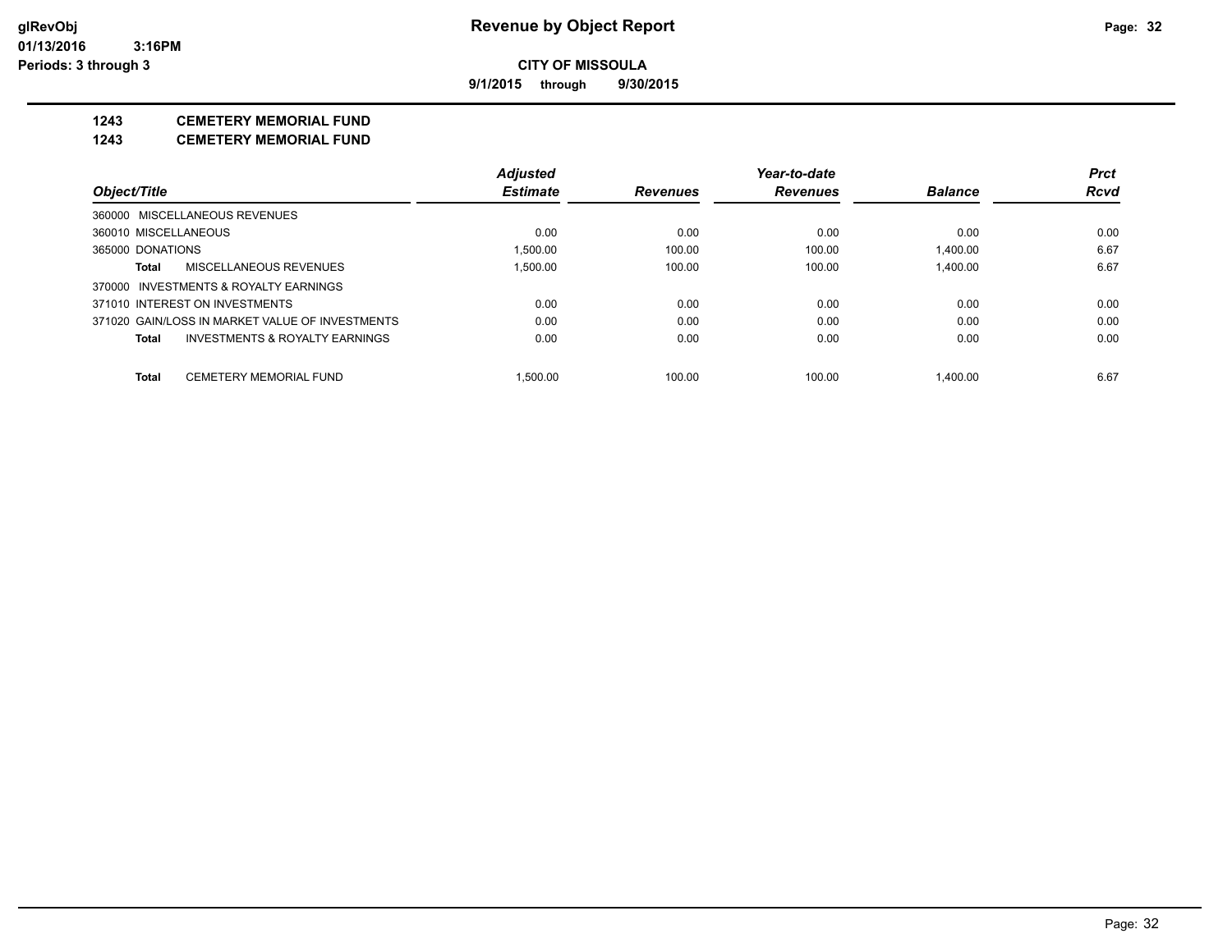**9/1/2015 through 9/30/2015**

# **1243 CEMETERY MEMORIAL FUND**

**1243 CEMETERY MEMORIAL FUND**

|                      |                                                 | <b>Adjusted</b> |                 | Year-to-date    |                | <b>Prct</b> |
|----------------------|-------------------------------------------------|-----------------|-----------------|-----------------|----------------|-------------|
| Object/Title         |                                                 | <b>Estimate</b> | <b>Revenues</b> | <b>Revenues</b> | <b>Balance</b> | <b>Rcvd</b> |
|                      | 360000 MISCELLANEOUS REVENUES                   |                 |                 |                 |                |             |
| 360010 MISCELLANEOUS |                                                 | 0.00            | 0.00            | 0.00            | 0.00           | 0.00        |
| 365000 DONATIONS     |                                                 | 1.500.00        | 100.00          | 100.00          | 1.400.00       | 6.67        |
| Total                | MISCELLANEOUS REVENUES                          | 1.500.00        | 100.00          | 100.00          | 1.400.00       | 6.67        |
|                      | 370000 INVESTMENTS & ROYALTY EARNINGS           |                 |                 |                 |                |             |
|                      | 371010 INTEREST ON INVESTMENTS                  | 0.00            | 0.00            | 0.00            | 0.00           | 0.00        |
|                      | 371020 GAIN/LOSS IN MARKET VALUE OF INVESTMENTS | 0.00            | 0.00            | 0.00            | 0.00           | 0.00        |
| Total                | INVESTMENTS & ROYALTY EARNINGS                  | 0.00            | 0.00            | 0.00            | 0.00           | 0.00        |
| <b>Total</b>         | <b>CEMETERY MEMORIAL FUND</b>                   | 1.500.00        | 100.00          | 100.00          | 1.400.00       | 6.67        |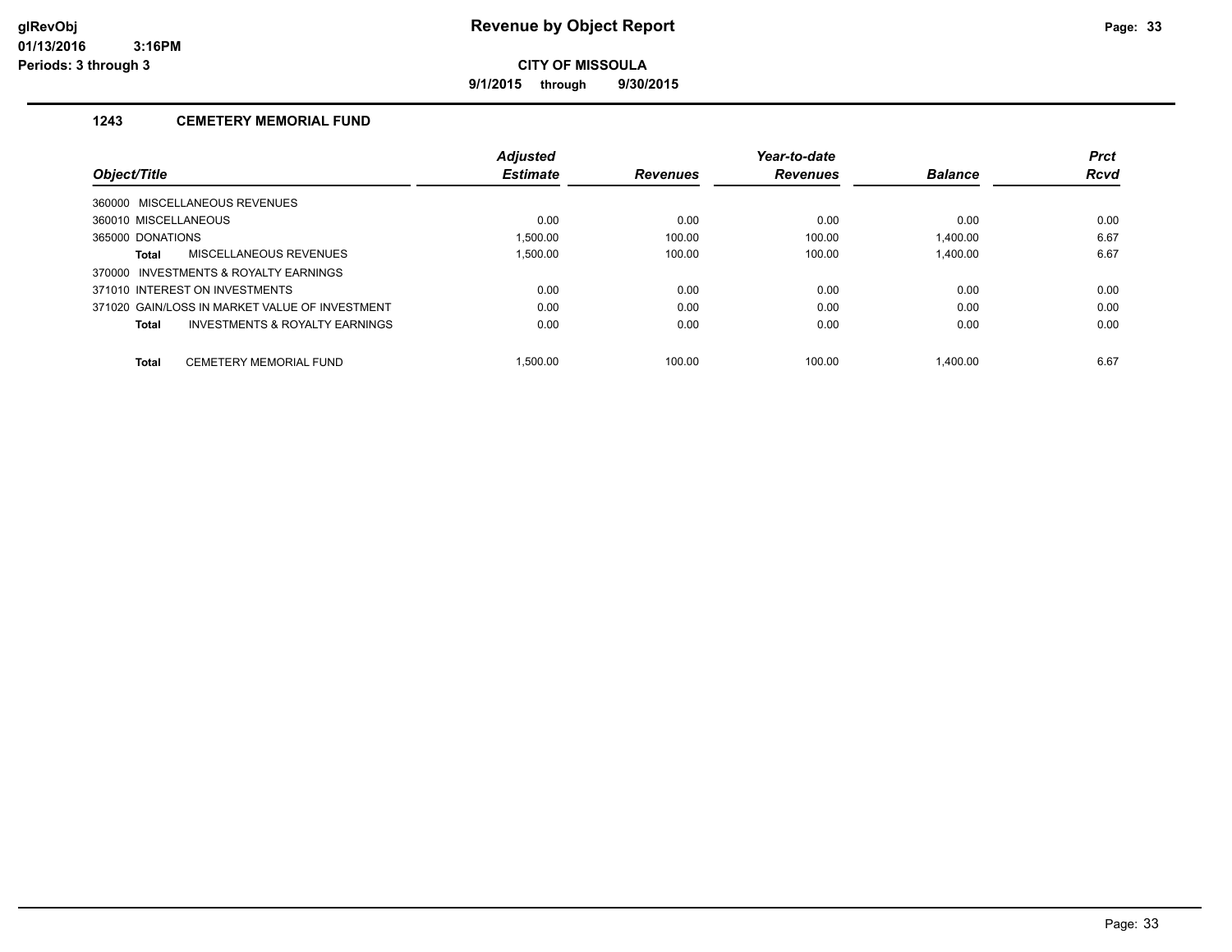**9/1/2015 through 9/30/2015**

# **1243 CEMETERY MEMORIAL FUND**

|                      |                                                | <b>Adjusted</b> |                 | Year-to-date    |                | <b>Prct</b> |
|----------------------|------------------------------------------------|-----------------|-----------------|-----------------|----------------|-------------|
| Object/Title         |                                                | <b>Estimate</b> | <b>Revenues</b> | <b>Revenues</b> | <b>Balance</b> | <b>Rcvd</b> |
|                      | 360000 MISCELLANEOUS REVENUES                  |                 |                 |                 |                |             |
| 360010 MISCELLANEOUS |                                                | 0.00            | 0.00            | 0.00            | 0.00           | 0.00        |
| 365000 DONATIONS     |                                                | 1.500.00        | 100.00          | 100.00          | 1.400.00       | 6.67        |
| Total                | MISCELLANEOUS REVENUES                         | 1.500.00        | 100.00          | 100.00          | 1.400.00       | 6.67        |
| 370000               | INVESTMENTS & ROYALTY EARNINGS                 |                 |                 |                 |                |             |
|                      | 371010 INTEREST ON INVESTMENTS                 | 0.00            | 0.00            | 0.00            | 0.00           | 0.00        |
|                      | 371020 GAIN/LOSS IN MARKET VALUE OF INVESTMENT | 0.00            | 0.00            | 0.00            | 0.00           | 0.00        |
| <b>Total</b>         | INVESTMENTS & ROYALTY EARNINGS                 | 0.00            | 0.00            | 0.00            | 0.00           | 0.00        |
| <b>Total</b>         | CEMETERY MEMORIAL FUND                         | 1.500.00        | 100.00          | 100.00          | 1.400.00       | 6.67        |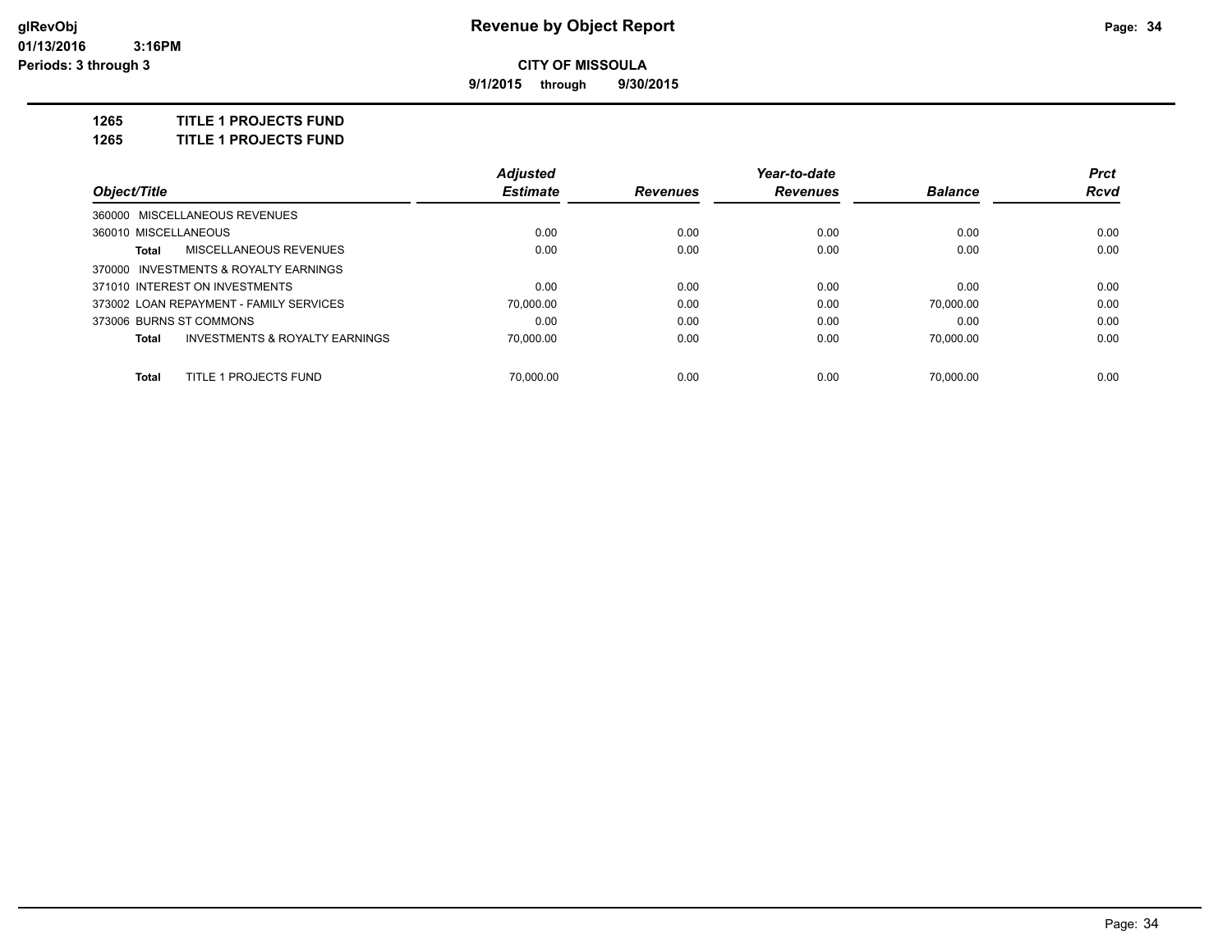**9/1/2015 through 9/30/2015**

**1265 TITLE 1 PROJECTS FUND**

**1265 TITLE 1 PROJECTS FUND**

|                                                    | <b>Adjusted</b> |                 | Year-to-date    |                | <b>Prct</b> |
|----------------------------------------------------|-----------------|-----------------|-----------------|----------------|-------------|
| Object/Title                                       | <b>Estimate</b> | <b>Revenues</b> | <b>Revenues</b> | <b>Balance</b> | Rcvd        |
| 360000 MISCELLANEOUS REVENUES                      |                 |                 |                 |                |             |
| 360010 MISCELLANEOUS                               | 0.00            | 0.00            | 0.00            | 0.00           | 0.00        |
| MISCELLANEOUS REVENUES<br>Total                    | 0.00            | 0.00            | 0.00            | 0.00           | 0.00        |
| 370000 INVESTMENTS & ROYALTY EARNINGS              |                 |                 |                 |                |             |
| 371010 INTEREST ON INVESTMENTS                     | 0.00            | 0.00            | 0.00            | 0.00           | 0.00        |
| 373002 LOAN REPAYMENT - FAMILY SERVICES            | 70.000.00       | 0.00            | 0.00            | 70.000.00      | 0.00        |
| 373006 BURNS ST COMMONS                            | 0.00            | 0.00            | 0.00            | 0.00           | 0.00        |
| <b>INVESTMENTS &amp; ROYALTY EARNINGS</b><br>Total | 70.000.00       | 0.00            | 0.00            | 70.000.00      | 0.00        |
| TITLE 1 PROJECTS FUND<br>Total                     | 70.000.00       | 0.00            | 0.00            | 70.000.00      | 0.00        |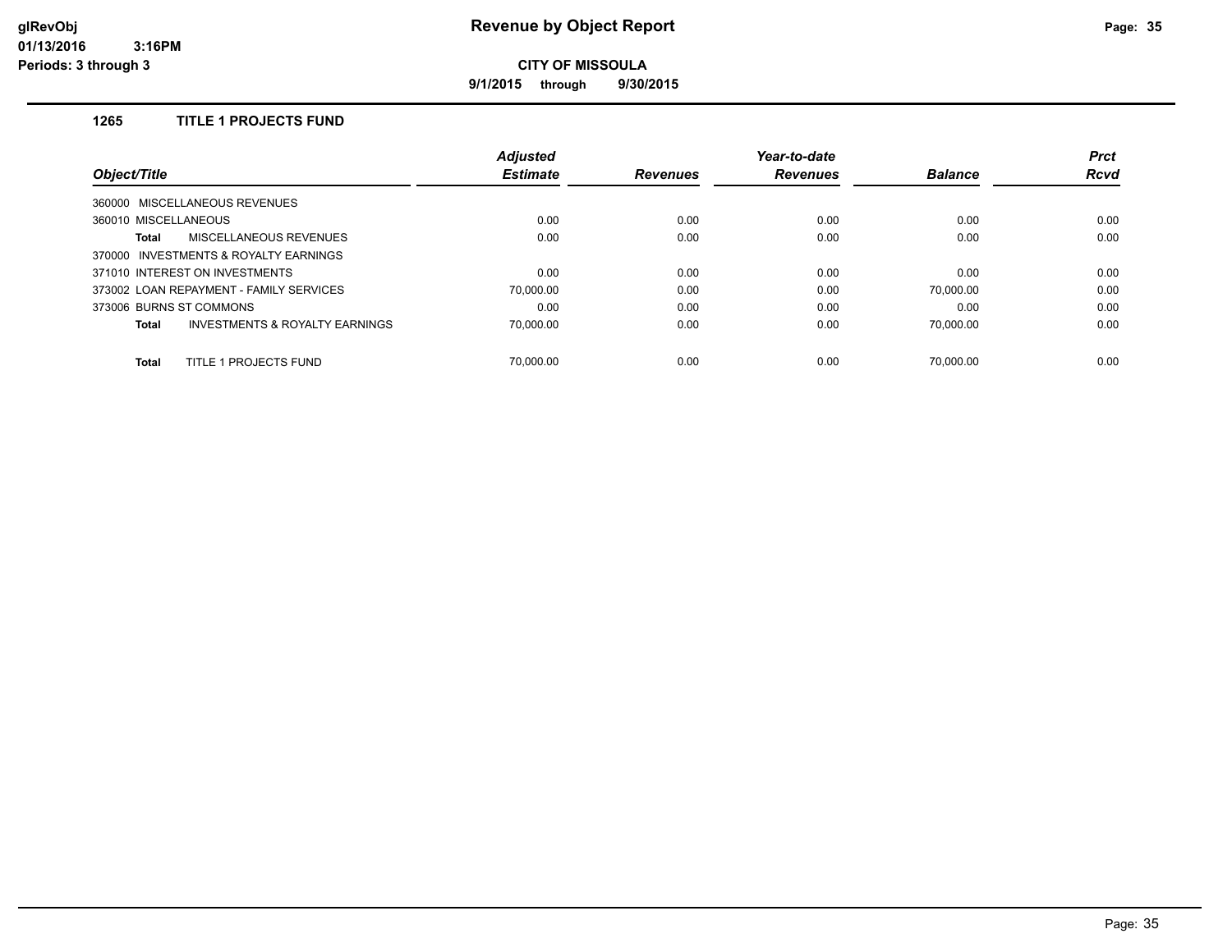**9/1/2015 through 9/30/2015**

# **1265 TITLE 1 PROJECTS FUND**

| Object/Title                                       | <b>Adjusted</b> |                 | Year-to-date    |                | <b>Prct</b> |
|----------------------------------------------------|-----------------|-----------------|-----------------|----------------|-------------|
|                                                    | <b>Estimate</b> | <b>Revenues</b> | <b>Revenues</b> | <b>Balance</b> | <b>Rcvd</b> |
| 360000 MISCELLANEOUS REVENUES                      |                 |                 |                 |                |             |
| 360010 MISCELLANEOUS                               | 0.00            | 0.00            | 0.00            | 0.00           | 0.00        |
| <b>MISCELLANEOUS REVENUES</b><br>Total             | 0.00            | 0.00            | 0.00            | 0.00           | 0.00        |
| 370000 INVESTMENTS & ROYALTY EARNINGS              |                 |                 |                 |                |             |
| 371010 INTEREST ON INVESTMENTS                     | 0.00            | 0.00            | 0.00            | 0.00           | 0.00        |
| 373002 LOAN REPAYMENT - FAMILY SERVICES            | 70.000.00       | 0.00            | 0.00            | 70.000.00      | 0.00        |
| 373006 BURNS ST COMMONS                            | 0.00            | 0.00            | 0.00            | 0.00           | 0.00        |
| <b>INVESTMENTS &amp; ROYALTY EARNINGS</b><br>Total | 70.000.00       | 0.00            | 0.00            | 70.000.00      | 0.00        |
| TITLE 1 PROJECTS FUND<br><b>Total</b>              | 70.000.00       | 0.00            | 0.00            | 70.000.00      | 0.00        |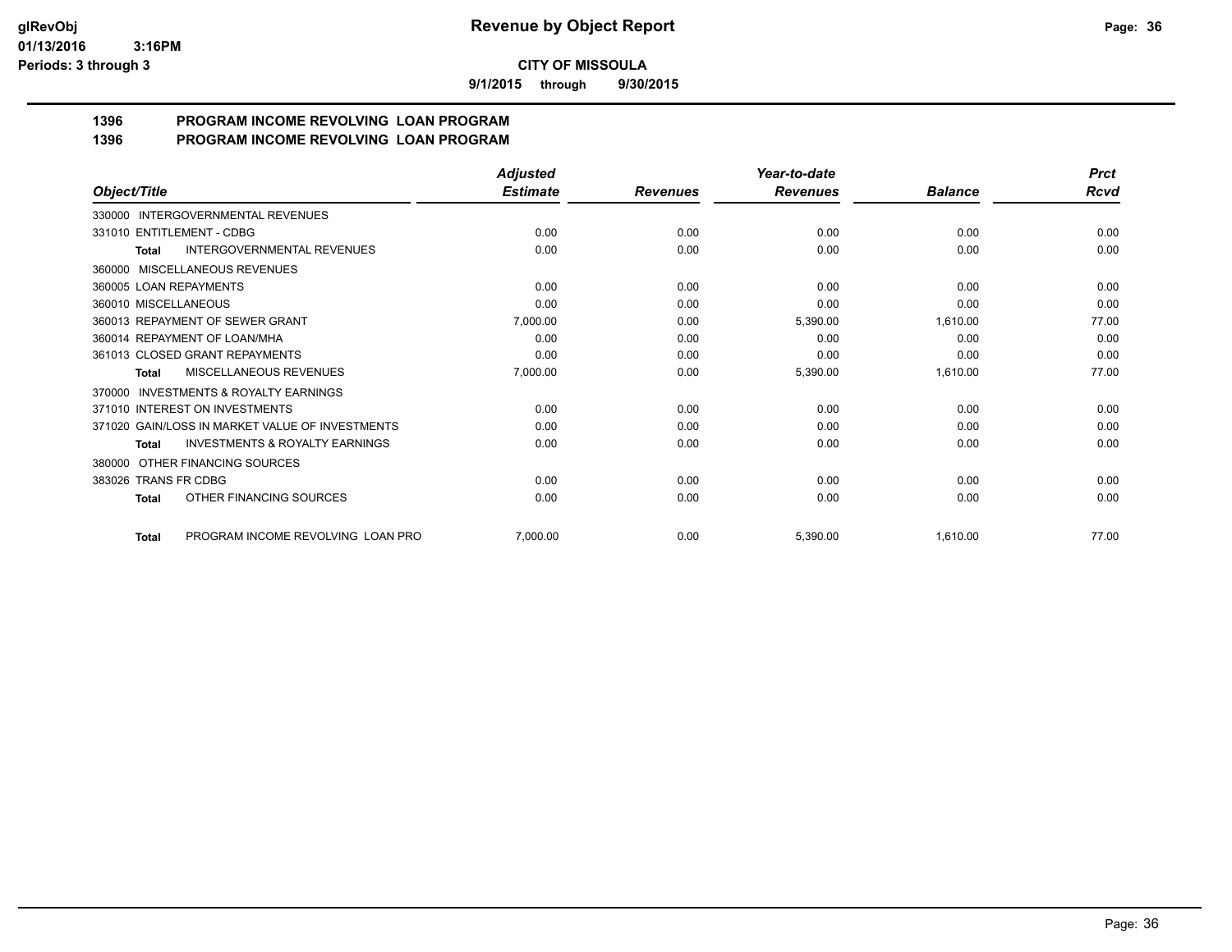**9/1/2015 through 9/30/2015**

#### **1396 PROGRAM INCOME REVOLVING LOAN PROGRAM 1396 PROGRAM INCOME REVOLVING LOAN PROGRAM**

| Object/Title                                       | <b>Adjusted</b> |                 | Year-to-date<br><b>Revenues</b> | <b>Balance</b> | <b>Prct</b><br>Rcvd |
|----------------------------------------------------|-----------------|-----------------|---------------------------------|----------------|---------------------|
|                                                    | <b>Estimate</b> | <b>Revenues</b> |                                 |                |                     |
| 330000 INTERGOVERNMENTAL REVENUES                  |                 |                 |                                 |                |                     |
| 331010 ENTITLEMENT - CDBG                          | 0.00            | 0.00            | 0.00                            | 0.00           | 0.00                |
| <b>INTERGOVERNMENTAL REVENUES</b><br><b>Total</b>  | 0.00            | 0.00            | 0.00                            | 0.00           | 0.00                |
| 360000 MISCELLANEOUS REVENUES                      |                 |                 |                                 |                |                     |
| 360005 LOAN REPAYMENTS                             | 0.00            | 0.00            | 0.00                            | 0.00           | 0.00                |
| 360010 MISCELLANEOUS                               | 0.00            | 0.00            | 0.00                            | 0.00           | 0.00                |
| 360013 REPAYMENT OF SEWER GRANT                    | 7,000.00        | 0.00            | 5,390.00                        | 1,610.00       | 77.00               |
| 360014 REPAYMENT OF LOAN/MHA                       | 0.00            | 0.00            | 0.00                            | 0.00           | 0.00                |
| 361013 CLOSED GRANT REPAYMENTS                     | 0.00            | 0.00            | 0.00                            | 0.00           | 0.00                |
| <b>MISCELLANEOUS REVENUES</b><br>Total             | 7,000.00        | 0.00            | 5,390.00                        | 1,610.00       | 77.00               |
| 370000 INVESTMENTS & ROYALTY EARNINGS              |                 |                 |                                 |                |                     |
| 371010 INTEREST ON INVESTMENTS                     | 0.00            | 0.00            | 0.00                            | 0.00           | 0.00                |
| 371020 GAIN/LOSS IN MARKET VALUE OF INVESTMENTS    | 0.00            | 0.00            | 0.00                            | 0.00           | 0.00                |
| <b>INVESTMENTS &amp; ROYALTY EARNINGS</b><br>Total | 0.00            | 0.00            | 0.00                            | 0.00           | 0.00                |
| 380000 OTHER FINANCING SOURCES                     |                 |                 |                                 |                |                     |
| 383026 TRANS FR CDBG                               | 0.00            | 0.00            | 0.00                            | 0.00           | 0.00                |
| OTHER FINANCING SOURCES<br>Total                   | 0.00            | 0.00            | 0.00                            | 0.00           | 0.00                |
| PROGRAM INCOME REVOLVING LOAN PRO<br><b>Total</b>  | 7,000.00        | 0.00            | 5,390.00                        | 1,610.00       | 77.00               |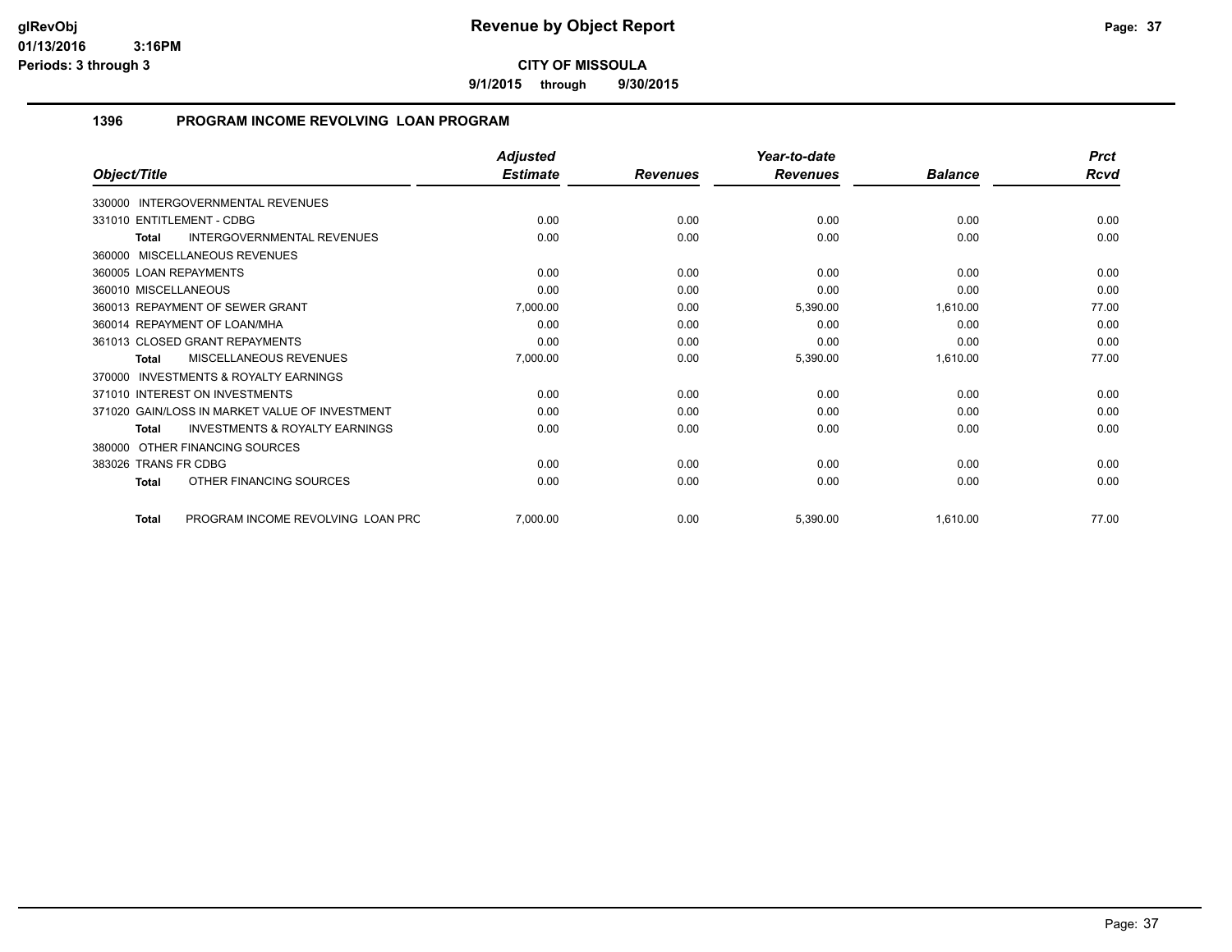**9/1/2015 through 9/30/2015**

#### **1396 PROGRAM INCOME REVOLVING LOAN PROGRAM**

|                                                           | <b>Adjusted</b> |                 | Year-to-date    |                | <b>Prct</b> |
|-----------------------------------------------------------|-----------------|-----------------|-----------------|----------------|-------------|
| Object/Title                                              | <b>Estimate</b> | <b>Revenues</b> | <b>Revenues</b> | <b>Balance</b> | <b>Rcvd</b> |
| 330000 INTERGOVERNMENTAL REVENUES                         |                 |                 |                 |                |             |
| 331010 ENTITLEMENT - CDBG                                 | 0.00            | 0.00            | 0.00            | 0.00           | 0.00        |
| <b>INTERGOVERNMENTAL REVENUES</b><br>Total                | 0.00            | 0.00            | 0.00            | 0.00           | 0.00        |
| 360000 MISCELLANEOUS REVENUES                             |                 |                 |                 |                |             |
| 360005 LOAN REPAYMENTS                                    | 0.00            | 0.00            | 0.00            | 0.00           | 0.00        |
| 360010 MISCELLANEOUS                                      | 0.00            | 0.00            | 0.00            | 0.00           | 0.00        |
| 360013 REPAYMENT OF SEWER GRANT                           | 7,000.00        | 0.00            | 5,390.00        | 1,610.00       | 77.00       |
| 360014 REPAYMENT OF LOAN/MHA                              | 0.00            | 0.00            | 0.00            | 0.00           | 0.00        |
| 361013 CLOSED GRANT REPAYMENTS                            | 0.00            | 0.00            | 0.00            | 0.00           | 0.00        |
| MISCELLANEOUS REVENUES<br>Total                           | 7,000.00        | 0.00            | 5,390.00        | 1,610.00       | 77.00       |
| <b>INVESTMENTS &amp; ROYALTY EARNINGS</b><br>370000       |                 |                 |                 |                |             |
| 371010 INTEREST ON INVESTMENTS                            | 0.00            | 0.00            | 0.00            | 0.00           | 0.00        |
| 371020 GAIN/LOSS IN MARKET VALUE OF INVESTMENT            | 0.00            | 0.00            | 0.00            | 0.00           | 0.00        |
| <b>INVESTMENTS &amp; ROYALTY EARNINGS</b><br><b>Total</b> | 0.00            | 0.00            | 0.00            | 0.00           | 0.00        |
| 380000 OTHER FINANCING SOURCES                            |                 |                 |                 |                |             |
| 383026 TRANS FR CDBG                                      | 0.00            | 0.00            | 0.00            | 0.00           | 0.00        |
| OTHER FINANCING SOURCES<br>Total                          | 0.00            | 0.00            | 0.00            | 0.00           | 0.00        |
| PROGRAM INCOME REVOLVING LOAN PRC<br><b>Total</b>         | 7,000.00        | 0.00            | 5,390.00        | 1,610.00       | 77.00       |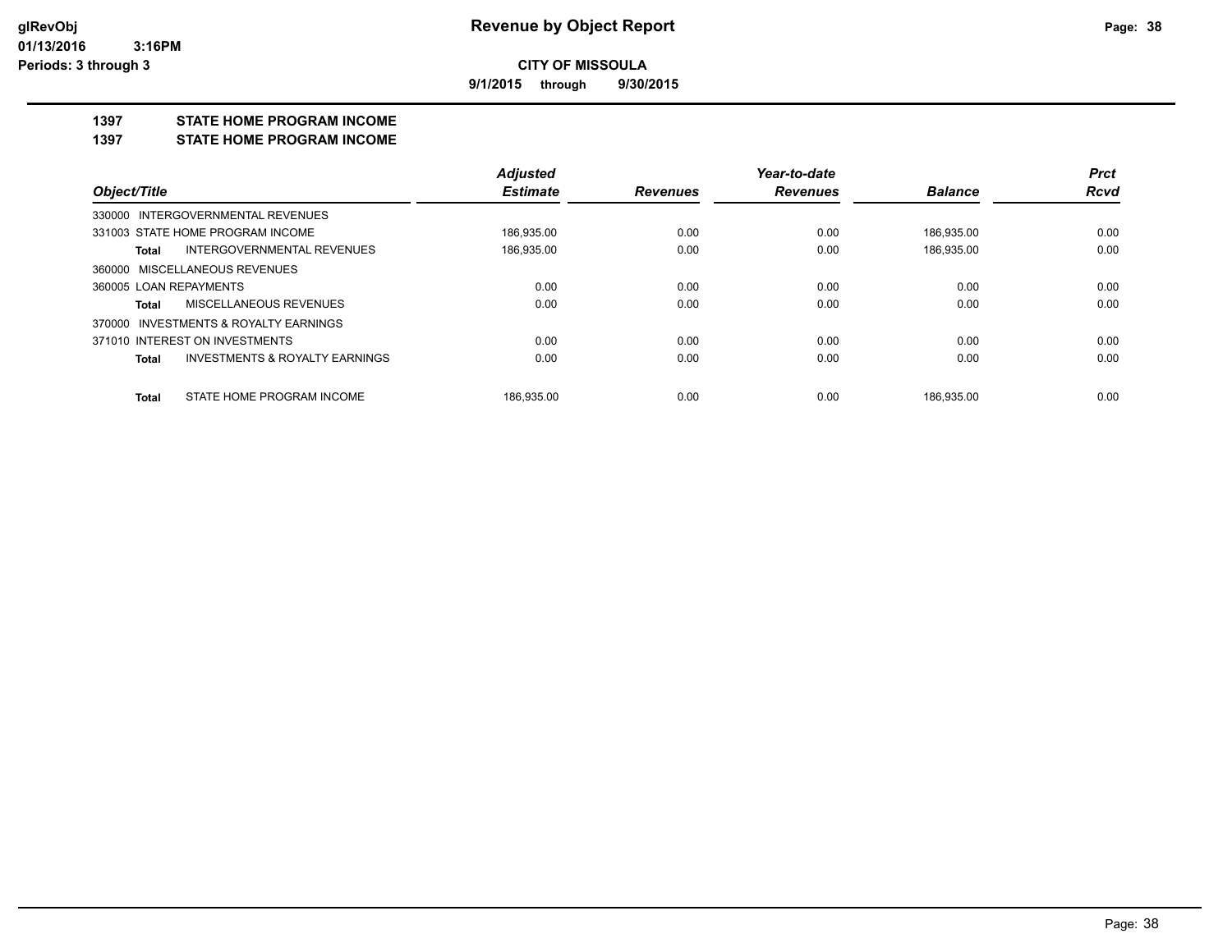**9/1/2015 through 9/30/2015**

#### **1397 STATE HOME PROGRAM INCOME**

**1397 STATE HOME PROGRAM INCOME**

|                                         | <b>Adjusted</b> |                 | Year-to-date    |                | <b>Prct</b> |
|-----------------------------------------|-----------------|-----------------|-----------------|----------------|-------------|
| Object/Title                            | <b>Estimate</b> | <b>Revenues</b> | <b>Revenues</b> | <b>Balance</b> | <b>Rcvd</b> |
| 330000 INTERGOVERNMENTAL REVENUES       |                 |                 |                 |                |             |
| 331003 STATE HOME PROGRAM INCOME        | 186.935.00      | 0.00            | 0.00            | 186.935.00     | 0.00        |
| INTERGOVERNMENTAL REVENUES<br>Total     | 186,935.00      | 0.00            | 0.00            | 186,935.00     | 0.00        |
| 360000 MISCELLANEOUS REVENUES           |                 |                 |                 |                |             |
| 360005 LOAN REPAYMENTS                  | 0.00            | 0.00            | 0.00            | 0.00           | 0.00        |
| MISCELLANEOUS REVENUES<br>Total         | 0.00            | 0.00            | 0.00            | 0.00           | 0.00        |
| 370000 INVESTMENTS & ROYALTY EARNINGS   |                 |                 |                 |                |             |
| 371010 INTEREST ON INVESTMENTS          | 0.00            | 0.00            | 0.00            | 0.00           | 0.00        |
| INVESTMENTS & ROYALTY EARNINGS<br>Total | 0.00            | 0.00            | 0.00            | 0.00           | 0.00        |
| STATE HOME PROGRAM INCOME<br>Total      | 186.935.00      | 0.00            | 0.00            | 186.935.00     | 0.00        |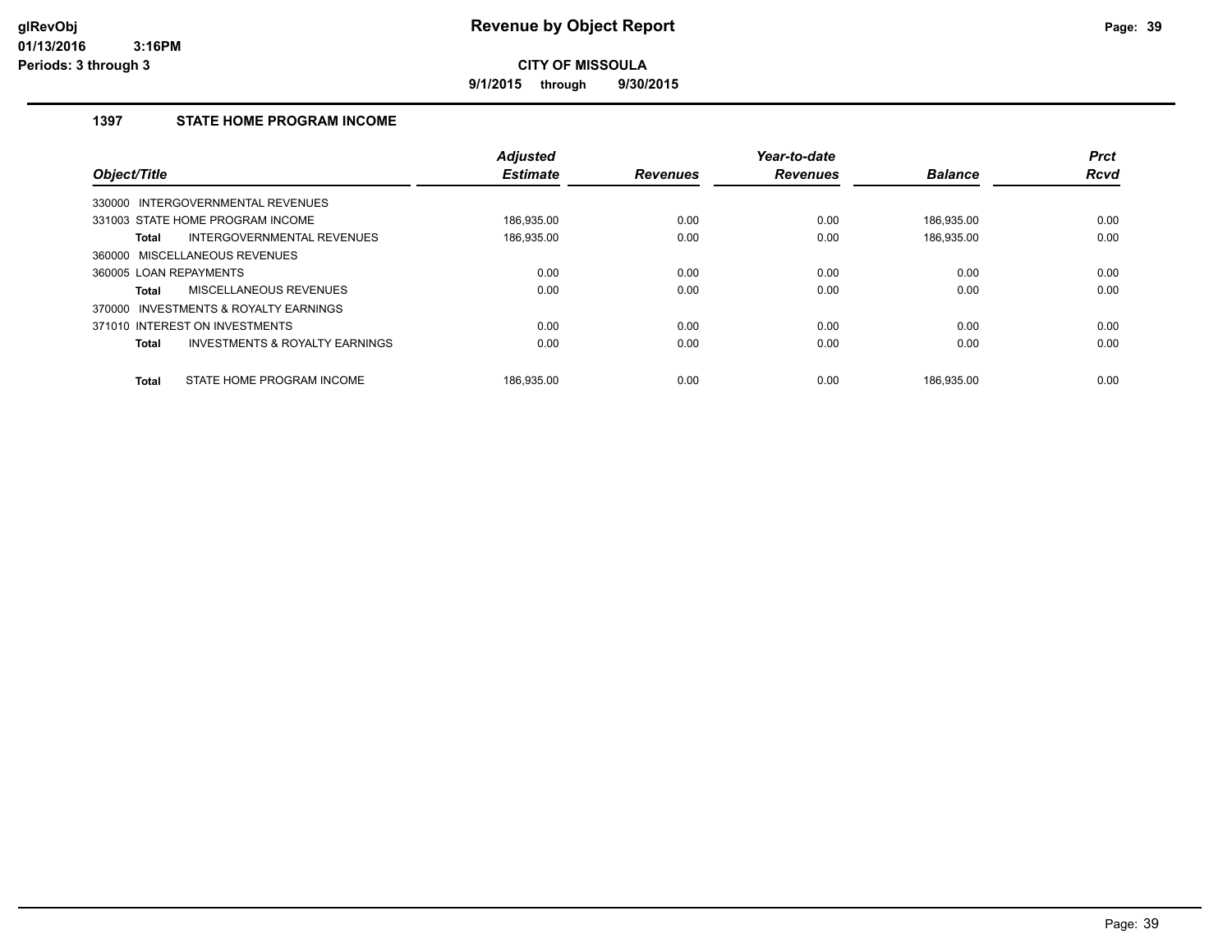**9/1/2015 through 9/30/2015**

#### **1397 STATE HOME PROGRAM INCOME**

| Object/Title           |                                           | <b>Adjusted</b><br><b>Estimate</b> | <b>Revenues</b> | Year-to-date<br><b>Revenues</b> | <b>Balance</b> | <b>Prct</b><br><b>Rcvd</b> |
|------------------------|-------------------------------------------|------------------------------------|-----------------|---------------------------------|----------------|----------------------------|
| 330000                 | <b>INTERGOVERNMENTAL REVENUES</b>         |                                    |                 |                                 |                |                            |
|                        | 331003 STATE HOME PROGRAM INCOME          | 186.935.00                         | 0.00            | 0.00                            | 186,935.00     | 0.00                       |
| Total                  | INTERGOVERNMENTAL REVENUES                | 186,935.00                         | 0.00            | 0.00                            | 186,935.00     | 0.00                       |
| 360000                 | MISCELLANEOUS REVENUES                    |                                    |                 |                                 |                |                            |
| 360005 LOAN REPAYMENTS |                                           | 0.00                               | 0.00            | 0.00                            | 0.00           | 0.00                       |
| <b>Total</b>           | MISCELLANEOUS REVENUES                    | 0.00                               | 0.00            | 0.00                            | 0.00           | 0.00                       |
| 370000                 | INVESTMENTS & ROYALTY EARNINGS            |                                    |                 |                                 |                |                            |
|                        | 371010 INTEREST ON INVESTMENTS            | 0.00                               | 0.00            | 0.00                            | 0.00           | 0.00                       |
| <b>Total</b>           | <b>INVESTMENTS &amp; ROYALTY EARNINGS</b> | 0.00                               | 0.00            | 0.00                            | 0.00           | 0.00                       |
| <b>Total</b>           | STATE HOME PROGRAM INCOME                 | 186.935.00                         | 0.00            | 0.00                            | 186.935.00     | 0.00                       |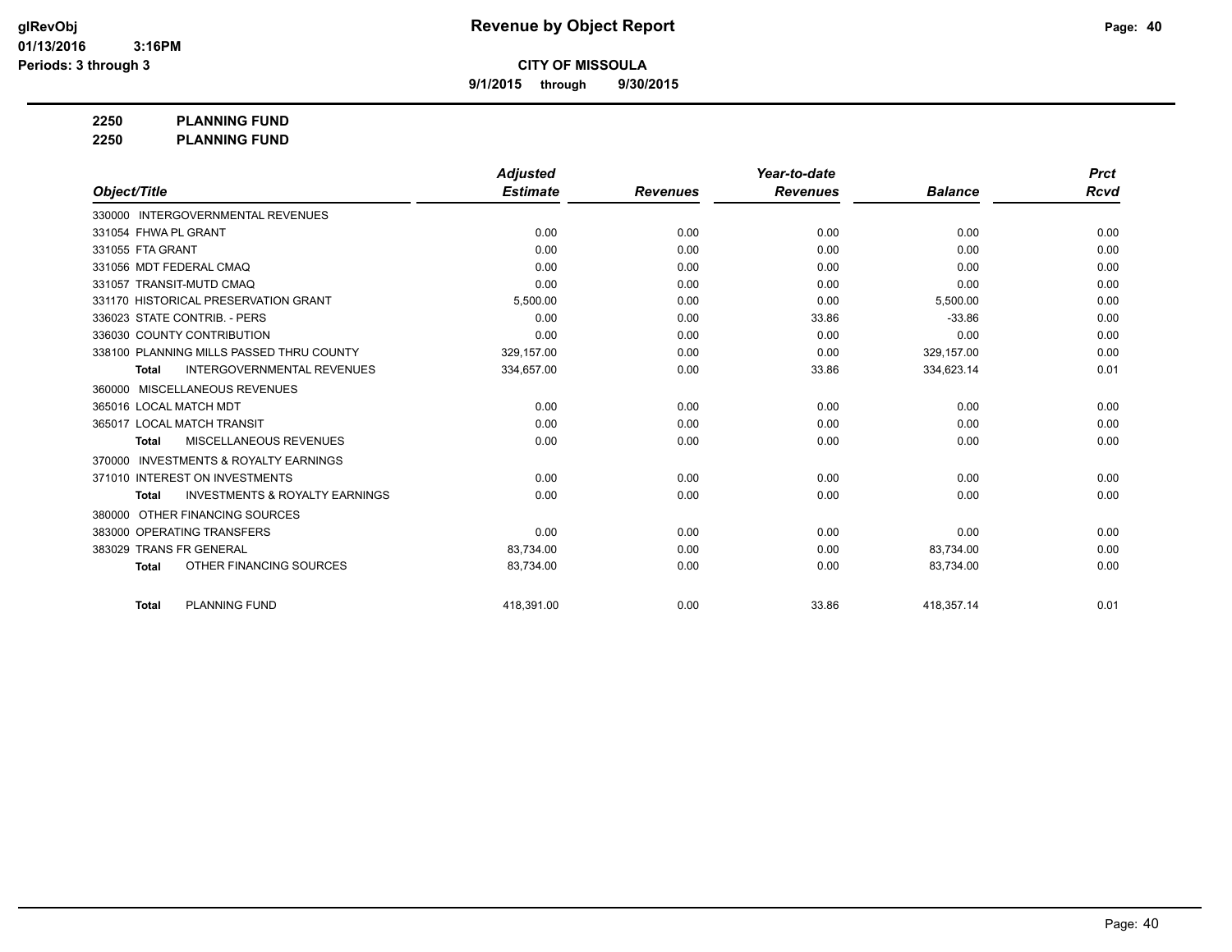**9/1/2015 through 9/30/2015**

**2250 PLANNING FUND**

**2250 PLANNING FUND**

|                                                           | <b>Adjusted</b> |                 | Year-to-date    |                | <b>Prct</b> |
|-----------------------------------------------------------|-----------------|-----------------|-----------------|----------------|-------------|
| Object/Title                                              | <b>Estimate</b> | <b>Revenues</b> | <b>Revenues</b> | <b>Balance</b> | Rcvd        |
| 330000 INTERGOVERNMENTAL REVENUES                         |                 |                 |                 |                |             |
| 331054 FHWA PL GRANT                                      | 0.00            | 0.00            | 0.00            | 0.00           | 0.00        |
| 331055 FTA GRANT                                          | 0.00            | 0.00            | 0.00            | 0.00           | 0.00        |
| 331056 MDT FEDERAL CMAQ                                   | 0.00            | 0.00            | 0.00            | 0.00           | 0.00        |
| 331057 TRANSIT-MUTD CMAQ                                  | 0.00            | 0.00            | 0.00            | 0.00           | 0.00        |
| 331170 HISTORICAL PRESERVATION GRANT                      | 5,500.00        | 0.00            | 0.00            | 5,500.00       | 0.00        |
| 336023 STATE CONTRIB. - PERS                              | 0.00            | 0.00            | 33.86           | $-33.86$       | 0.00        |
| 336030 COUNTY CONTRIBUTION                                | 0.00            | 0.00            | 0.00            | 0.00           | 0.00        |
| 338100 PLANNING MILLS PASSED THRU COUNTY                  | 329,157.00      | 0.00            | 0.00            | 329,157.00     | 0.00        |
| <b>INTERGOVERNMENTAL REVENUES</b><br><b>Total</b>         | 334,657.00      | 0.00            | 33.86           | 334,623.14     | 0.01        |
| <b>MISCELLANEOUS REVENUES</b><br>360000                   |                 |                 |                 |                |             |
| 365016 LOCAL MATCH MDT                                    | 0.00            | 0.00            | 0.00            | 0.00           | 0.00        |
| 365017 LOCAL MATCH TRANSIT                                | 0.00            | 0.00            | 0.00            | 0.00           | 0.00        |
| MISCELLANEOUS REVENUES<br><b>Total</b>                    | 0.00            | 0.00            | 0.00            | 0.00           | 0.00        |
| <b>INVESTMENTS &amp; ROYALTY EARNINGS</b><br>370000       |                 |                 |                 |                |             |
| 371010 INTEREST ON INVESTMENTS                            | 0.00            | 0.00            | 0.00            | 0.00           | 0.00        |
| <b>INVESTMENTS &amp; ROYALTY EARNINGS</b><br><b>Total</b> | 0.00            | 0.00            | 0.00            | 0.00           | 0.00        |
| OTHER FINANCING SOURCES<br>380000                         |                 |                 |                 |                |             |
| 383000 OPERATING TRANSFERS                                | 0.00            | 0.00            | 0.00            | 0.00           | 0.00        |
| 383029 TRANS FR GENERAL                                   | 83,734.00       | 0.00            | 0.00            | 83,734.00      | 0.00        |
| OTHER FINANCING SOURCES<br><b>Total</b>                   | 83,734.00       | 0.00            | 0.00            | 83,734.00      | 0.00        |
| <b>PLANNING FUND</b><br><b>Total</b>                      | 418,391.00      | 0.00            | 33.86           | 418,357.14     | 0.01        |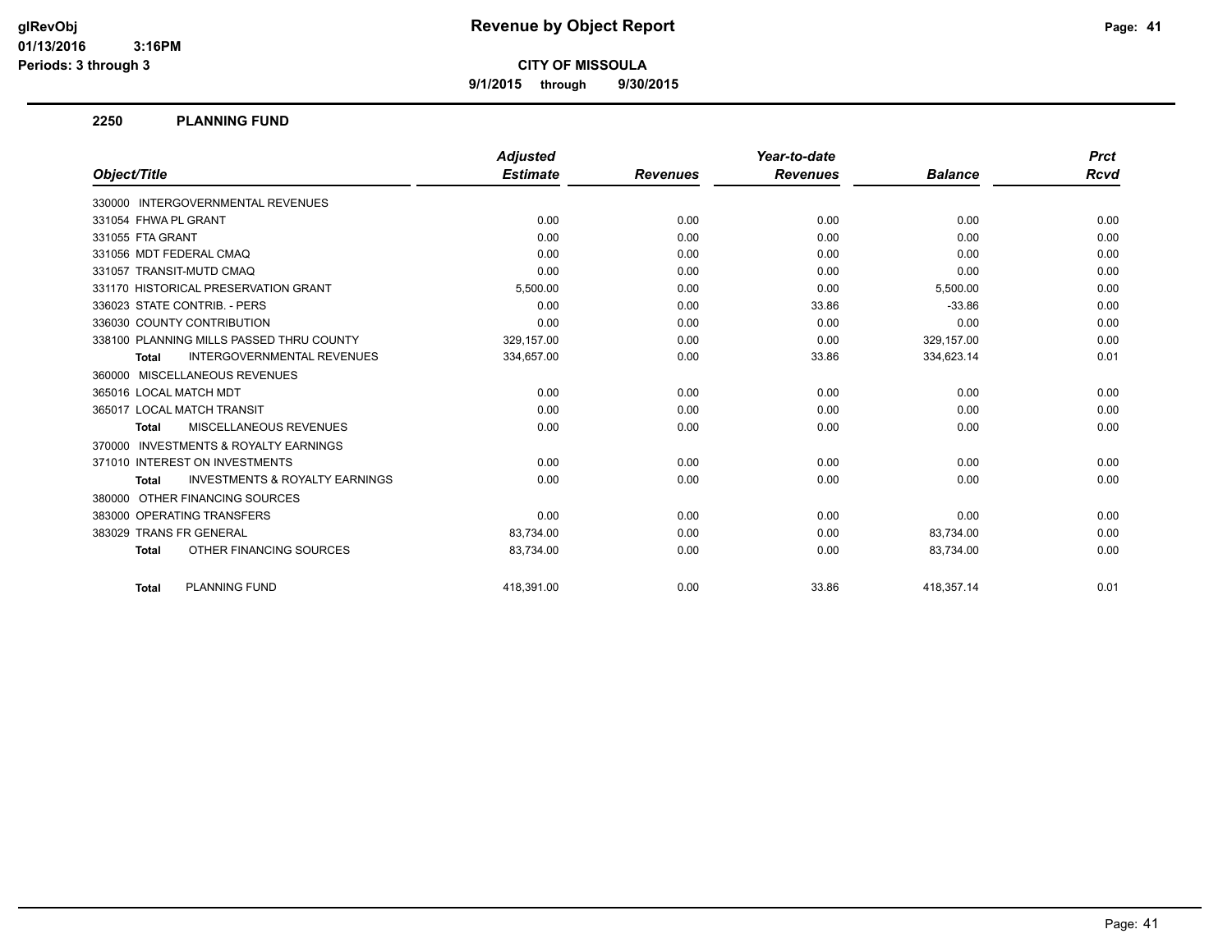**9/1/2015 through 9/30/2015**

#### **2250 PLANNING FUND**

|                                                           | <b>Adjusted</b> |                 | Year-to-date    |                | <b>Prct</b> |
|-----------------------------------------------------------|-----------------|-----------------|-----------------|----------------|-------------|
| Object/Title                                              | <b>Estimate</b> | <b>Revenues</b> | <b>Revenues</b> | <b>Balance</b> | Rcvd        |
| 330000 INTERGOVERNMENTAL REVENUES                         |                 |                 |                 |                |             |
| 331054 FHWA PL GRANT                                      | 0.00            | 0.00            | 0.00            | 0.00           | 0.00        |
| 331055 FTA GRANT                                          | 0.00            | 0.00            | 0.00            | 0.00           | 0.00        |
| 331056 MDT FEDERAL CMAQ                                   | 0.00            | 0.00            | 0.00            | 0.00           | 0.00        |
| 331057 TRANSIT-MUTD CMAQ                                  | 0.00            | 0.00            | 0.00            | 0.00           | 0.00        |
| 331170 HISTORICAL PRESERVATION GRANT                      | 5,500.00        | 0.00            | 0.00            | 5,500.00       | 0.00        |
| 336023 STATE CONTRIB. - PERS                              | 0.00            | 0.00            | 33.86           | $-33.86$       | 0.00        |
| 336030 COUNTY CONTRIBUTION                                | 0.00            | 0.00            | 0.00            | 0.00           | 0.00        |
| 338100 PLANNING MILLS PASSED THRU COUNTY                  | 329,157.00      | 0.00            | 0.00            | 329,157.00     | 0.00        |
| <b>INTERGOVERNMENTAL REVENUES</b><br><b>Total</b>         | 334,657.00      | 0.00            | 33.86           | 334,623.14     | 0.01        |
| 360000 MISCELLANEOUS REVENUES                             |                 |                 |                 |                |             |
| 365016 LOCAL MATCH MDT                                    | 0.00            | 0.00            | 0.00            | 0.00           | 0.00        |
| 365017 LOCAL MATCH TRANSIT                                | 0.00            | 0.00            | 0.00            | 0.00           | 0.00        |
| <b>MISCELLANEOUS REVENUES</b><br><b>Total</b>             | 0.00            | 0.00            | 0.00            | 0.00           | 0.00        |
| 370000 INVESTMENTS & ROYALTY EARNINGS                     |                 |                 |                 |                |             |
| 371010 INTEREST ON INVESTMENTS                            | 0.00            | 0.00            | 0.00            | 0.00           | 0.00        |
| <b>INVESTMENTS &amp; ROYALTY EARNINGS</b><br><b>Total</b> | 0.00            | 0.00            | 0.00            | 0.00           | 0.00        |
| 380000 OTHER FINANCING SOURCES                            |                 |                 |                 |                |             |
| 383000 OPERATING TRANSFERS                                | 0.00            | 0.00            | 0.00            | 0.00           | 0.00        |
| 383029 TRANS FR GENERAL                                   | 83,734.00       | 0.00            | 0.00            | 83,734.00      | 0.00        |
| OTHER FINANCING SOURCES<br><b>Total</b>                   | 83,734.00       | 0.00            | 0.00            | 83,734.00      | 0.00        |
| <b>PLANNING FUND</b><br><b>Total</b>                      | 418.391.00      | 0.00            | 33.86           | 418.357.14     | 0.01        |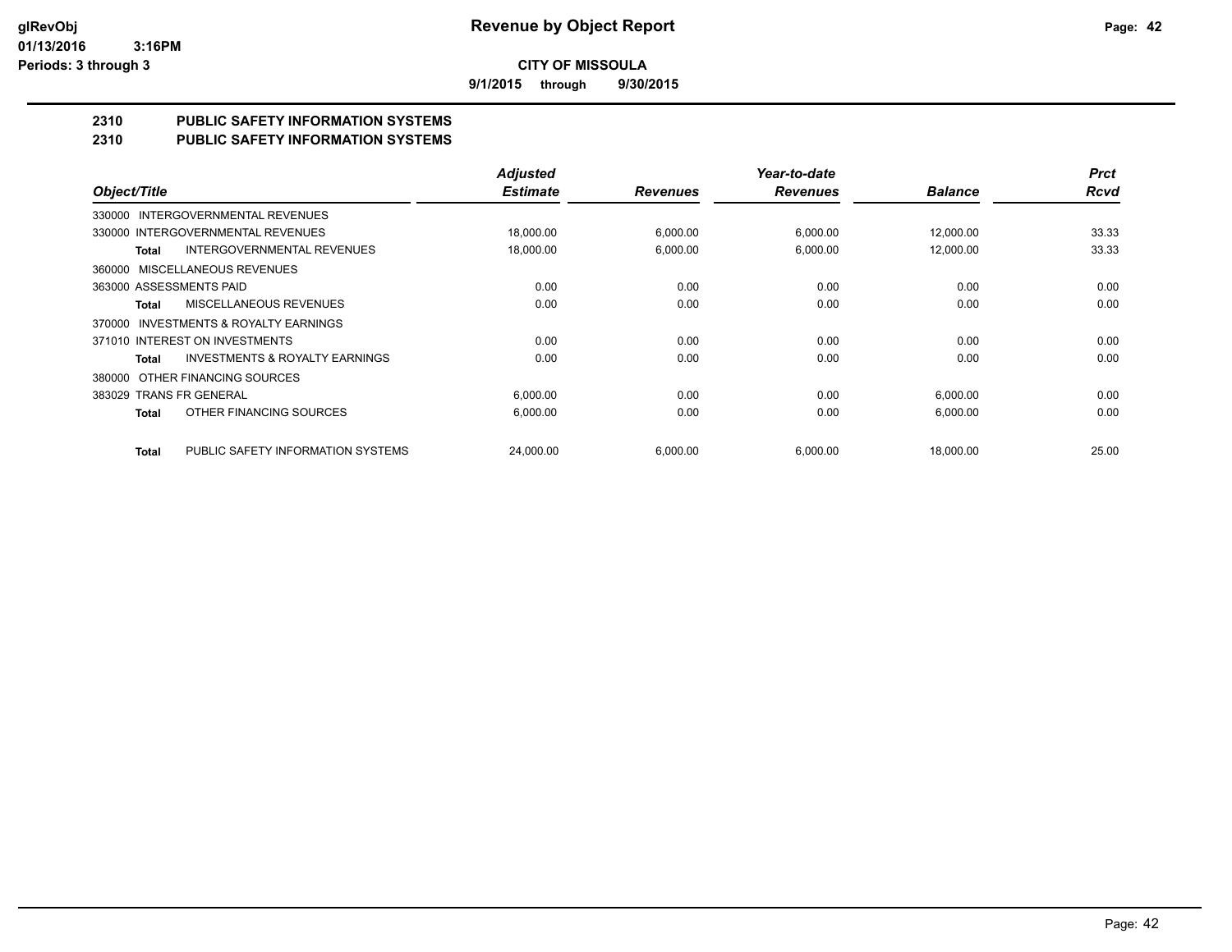**9/1/2015 through 9/30/2015**

# **2310 PUBLIC SAFETY INFORMATION SYSTEMS**

#### **2310 PUBLIC SAFETY INFORMATION SYSTEMS**

|                                                     | <b>Adjusted</b> |                 | Year-to-date    |                | <b>Prct</b> |
|-----------------------------------------------------|-----------------|-----------------|-----------------|----------------|-------------|
| Object/Title                                        | <b>Estimate</b> | <b>Revenues</b> | <b>Revenues</b> | <b>Balance</b> | <b>Rcvd</b> |
| INTERGOVERNMENTAL REVENUES<br>330000                |                 |                 |                 |                |             |
| 330000 INTERGOVERNMENTAL REVENUES                   | 18,000.00       | 6,000.00        | 6,000.00        | 12,000.00      | 33.33       |
| <b>INTERGOVERNMENTAL REVENUES</b><br>Total          | 18,000.00       | 6,000.00        | 6,000.00        | 12,000.00      | 33.33       |
| MISCELLANEOUS REVENUES<br>360000                    |                 |                 |                 |                |             |
| 363000 ASSESSMENTS PAID                             | 0.00            | 0.00            | 0.00            | 0.00           | 0.00        |
| MISCELLANEOUS REVENUES<br>Total                     | 0.00            | 0.00            | 0.00            | 0.00           | 0.00        |
| <b>INVESTMENTS &amp; ROYALTY EARNINGS</b><br>370000 |                 |                 |                 |                |             |
| 371010 INTEREST ON INVESTMENTS                      | 0.00            | 0.00            | 0.00            | 0.00           | 0.00        |
| <b>INVESTMENTS &amp; ROYALTY EARNINGS</b><br>Total  | 0.00            | 0.00            | 0.00            | 0.00           | 0.00        |
| OTHER FINANCING SOURCES<br>380000                   |                 |                 |                 |                |             |
| 383029 TRANS FR GENERAL                             | 6,000.00        | 0.00            | 0.00            | 6,000.00       | 0.00        |
| OTHER FINANCING SOURCES<br><b>Total</b>             | 6,000.00        | 0.00            | 0.00            | 6,000.00       | 0.00        |
| PUBLIC SAFETY INFORMATION SYSTEMS<br><b>Total</b>   | 24,000.00       | 6,000.00        | 6,000.00        | 18,000.00      | 25.00       |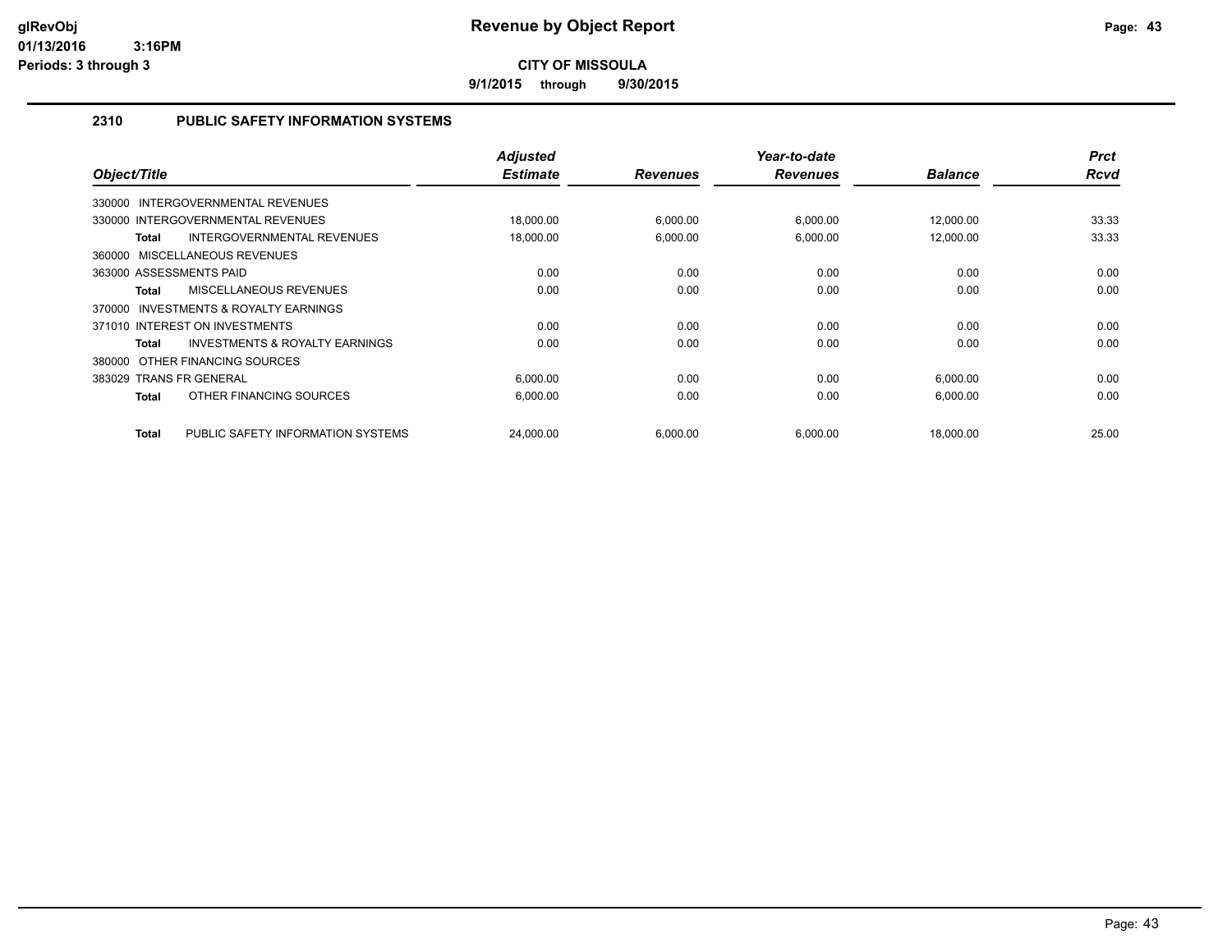**9/1/2015 through 9/30/2015**

#### **2310 PUBLIC SAFETY INFORMATION SYSTEMS**

| Object/Title                                       | <b>Adjusted</b><br><b>Estimate</b> | <b>Revenues</b> | Year-to-date<br><b>Revenues</b> | <b>Balance</b> | <b>Prct</b><br><b>Rcvd</b> |
|----------------------------------------------------|------------------------------------|-----------------|---------------------------------|----------------|----------------------------|
| 330000 INTERGOVERNMENTAL REVENUES                  |                                    |                 |                                 |                |                            |
| 330000 INTERGOVERNMENTAL REVENUES                  | 18,000.00                          | 6,000.00        | 6,000.00                        | 12,000.00      | 33.33                      |
|                                                    |                                    |                 |                                 |                |                            |
| INTERGOVERNMENTAL REVENUES<br>Total                | 18,000.00                          | 6,000.00        | 6,000.00                        | 12,000.00      | 33.33                      |
| 360000 MISCELLANEOUS REVENUES                      |                                    |                 |                                 |                |                            |
| 363000 ASSESSMENTS PAID                            | 0.00                               | 0.00            | 0.00                            | 0.00           | 0.00                       |
| MISCELLANEOUS REVENUES<br><b>Total</b>             | 0.00                               | 0.00            | 0.00                            | 0.00           | 0.00                       |
| INVESTMENTS & ROYALTY EARNINGS<br>370000           |                                    |                 |                                 |                |                            |
| 371010 INTEREST ON INVESTMENTS                     | 0.00                               | 0.00            | 0.00                            | 0.00           | 0.00                       |
| <b>INVESTMENTS &amp; ROYALTY EARNINGS</b><br>Total | 0.00                               | 0.00            | 0.00                            | 0.00           | 0.00                       |
| 380000 OTHER FINANCING SOURCES                     |                                    |                 |                                 |                |                            |
| 383029 TRANS FR GENERAL                            | 6,000.00                           | 0.00            | 0.00                            | 6,000.00       | 0.00                       |
| OTHER FINANCING SOURCES<br><b>Total</b>            | 6,000.00                           | 0.00            | 0.00                            | 6,000.00       | 0.00                       |
| PUBLIC SAFETY INFORMATION SYSTEMS<br>Total         | 24,000.00                          | 6,000.00        | 6,000.00                        | 18,000.00      | 25.00                      |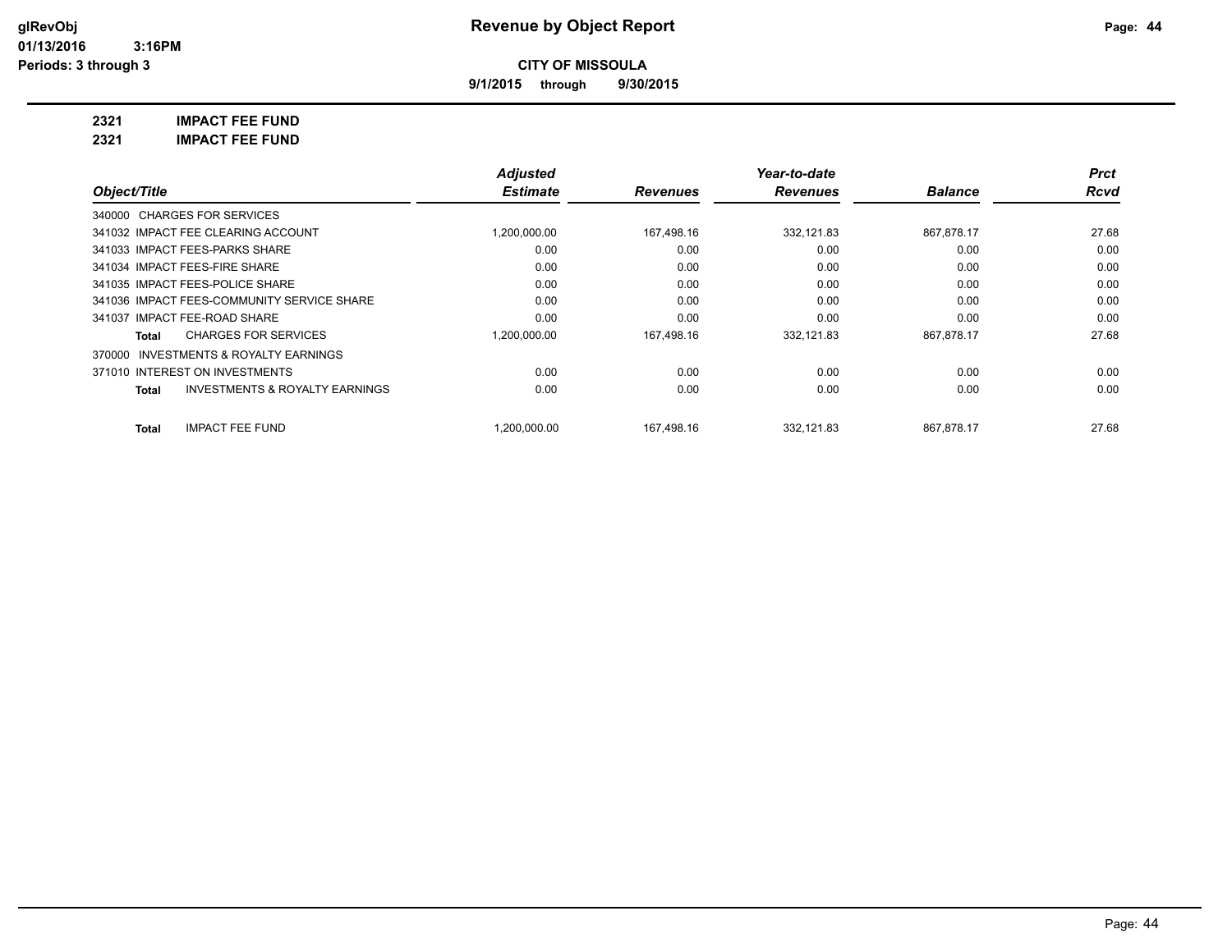**9/1/2015 through 9/30/2015**

**2321 IMPACT FEE FUND**

| <b>IMPACT FEE FUND</b><br>2321 |
|--------------------------------|
|--------------------------------|

|                                                           | <b>Adjusted</b> |                 | Year-to-date    |                | <b>Prct</b> |
|-----------------------------------------------------------|-----------------|-----------------|-----------------|----------------|-------------|
| Object/Title                                              | <b>Estimate</b> | <b>Revenues</b> | <b>Revenues</b> | <b>Balance</b> | Rcvd        |
| 340000 CHARGES FOR SERVICES                               |                 |                 |                 |                |             |
| 341032 IMPACT FEE CLEARING ACCOUNT                        | 1,200,000.00    | 167,498.16      | 332.121.83      | 867,878.17     | 27.68       |
| 341033 IMPACT FEES-PARKS SHARE                            | 0.00            | 0.00            | 0.00            | 0.00           | 0.00        |
| 341034 IMPACT FEES-FIRE SHARE                             | 0.00            | 0.00            | 0.00            | 0.00           | 0.00        |
| 341035 IMPACT FEES-POLICE SHARE                           | 0.00            | 0.00            | 0.00            | 0.00           | 0.00        |
| 341036 IMPACT FEES-COMMUNITY SERVICE SHARE                | 0.00            | 0.00            | 0.00            | 0.00           | 0.00        |
| 341037 IMPACT FEE-ROAD SHARE                              | 0.00            | 0.00            | 0.00            | 0.00           | 0.00        |
| <b>CHARGES FOR SERVICES</b><br>Total                      | 1,200,000.00    | 167,498.16      | 332,121.83      | 867,878.17     | 27.68       |
| INVESTMENTS & ROYALTY EARNINGS<br>370000                  |                 |                 |                 |                |             |
| 371010 INTEREST ON INVESTMENTS                            | 0.00            | 0.00            | 0.00            | 0.00           | 0.00        |
| <b>INVESTMENTS &amp; ROYALTY EARNINGS</b><br><b>Total</b> | 0.00            | 0.00            | 0.00            | 0.00           | 0.00        |
| <b>IMPACT FEE FUND</b><br>Total                           | 1.200.000.00    | 167.498.16      | 332.121.83      | 867.878.17     | 27.68       |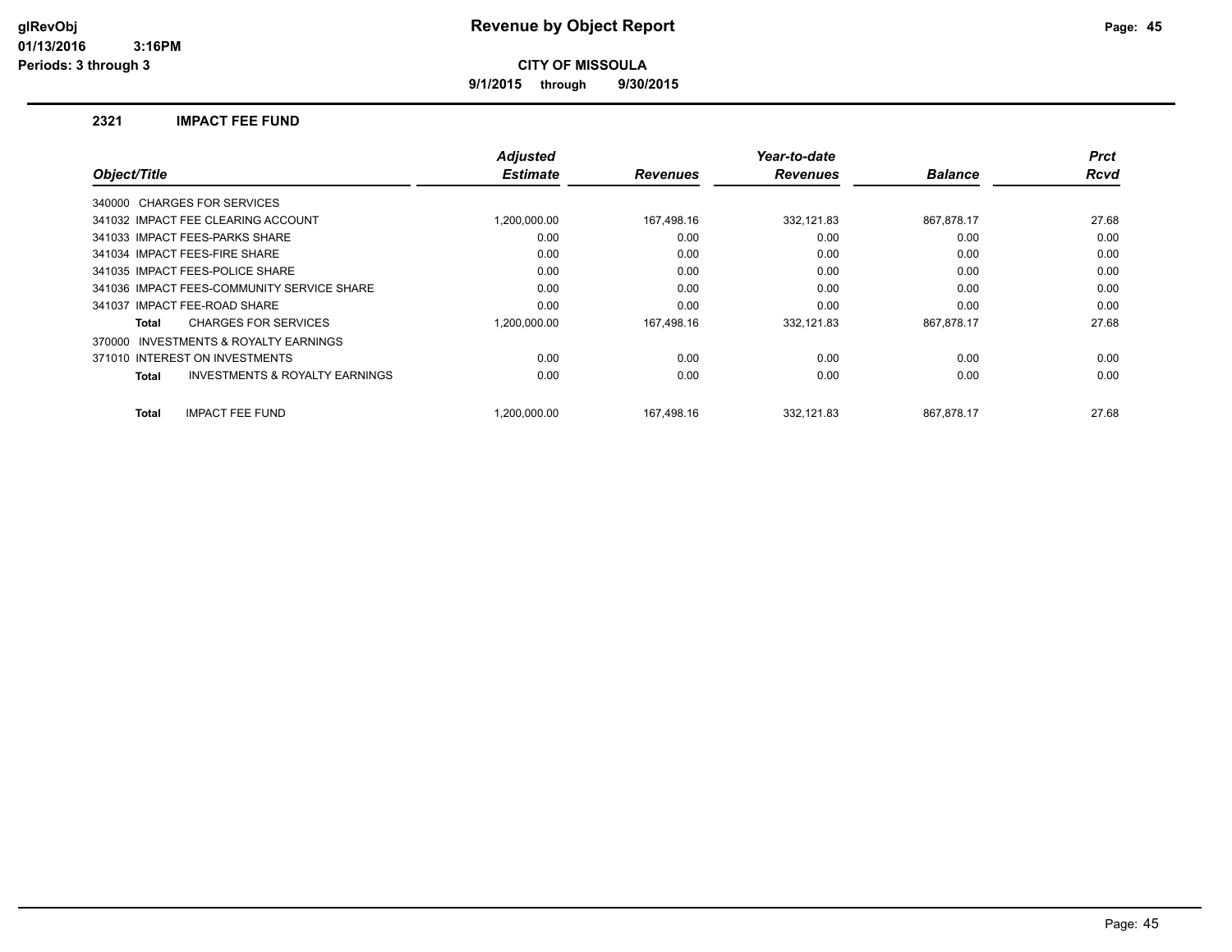**9/1/2015 through 9/30/2015**

#### **2321 IMPACT FEE FUND**

|                                                           | <b>Adjusted</b> |                 | Year-to-date    |                | <b>Prct</b> |
|-----------------------------------------------------------|-----------------|-----------------|-----------------|----------------|-------------|
| Object/Title                                              | <b>Estimate</b> | <b>Revenues</b> | <b>Revenues</b> | <b>Balance</b> | <b>Rcvd</b> |
| 340000 CHARGES FOR SERVICES                               |                 |                 |                 |                |             |
| 341032 IMPACT FEE CLEARING ACCOUNT                        | 1.200.000.00    | 167,498.16      | 332,121.83      | 867,878.17     | 27.68       |
| 341033 IMPACT FEES-PARKS SHARE                            | 0.00            | 0.00            | 0.00            | 0.00           | 0.00        |
| 341034 IMPACT FEES-FIRE SHARE                             | 0.00            | 0.00            | 0.00            | 0.00           | 0.00        |
| 341035 IMPACT FEES-POLICE SHARE                           | 0.00            | 0.00            | 0.00            | 0.00           | 0.00        |
| 341036 IMPACT FEES-COMMUNITY SERVICE SHARE                | 0.00            | 0.00            | 0.00            | 0.00           | 0.00        |
| 341037 IMPACT FEE-ROAD SHARE                              | 0.00            | 0.00            | 0.00            | 0.00           | 0.00        |
| <b>CHARGES FOR SERVICES</b><br>Total                      | 1.200.000.00    | 167,498.16      | 332.121.83      | 867,878.17     | 27.68       |
| <b>INVESTMENTS &amp; ROYALTY EARNINGS</b><br>370000       |                 |                 |                 |                |             |
| 371010 INTEREST ON INVESTMENTS                            | 0.00            | 0.00            | 0.00            | 0.00           | 0.00        |
| <b>INVESTMENTS &amp; ROYALTY EARNINGS</b><br><b>Total</b> | 0.00            | 0.00            | 0.00            | 0.00           | 0.00        |
| <b>IMPACT FEE FUND</b><br><b>Total</b>                    | 1.200.000.00    | 167.498.16      | 332.121.83      | 867.878.17     | 27.68       |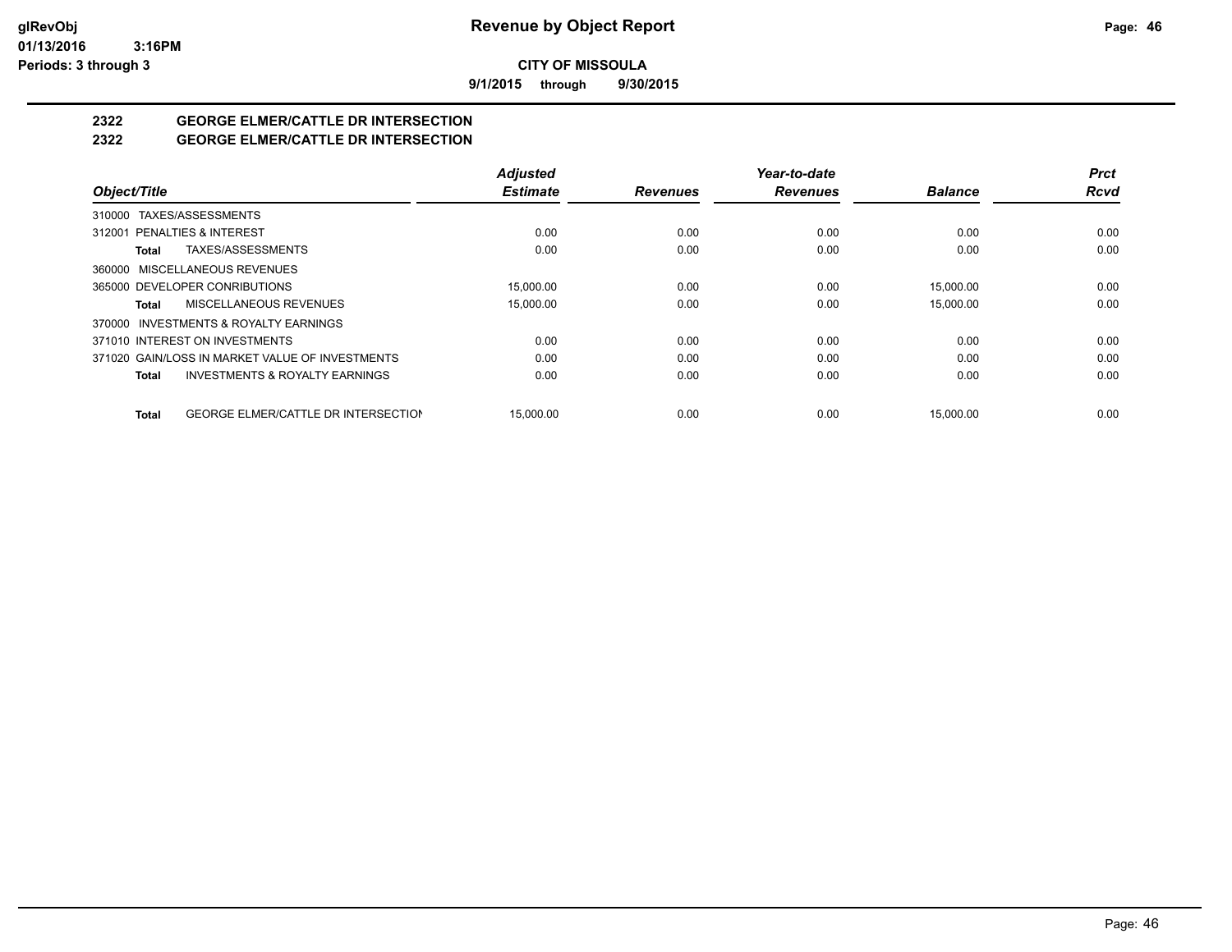**9/1/2015 through 9/30/2015**

# **2322 GEORGE ELMER/CATTLE DR INTERSECTION**

#### **2322 GEORGE ELMER/CATTLE DR INTERSECTION**

|                                                           | <b>Adjusted</b> |                 | Year-to-date    |                | <b>Prct</b> |
|-----------------------------------------------------------|-----------------|-----------------|-----------------|----------------|-------------|
| Object/Title                                              | <b>Estimate</b> | <b>Revenues</b> | <b>Revenues</b> | <b>Balance</b> | <b>Rcvd</b> |
| TAXES/ASSESSMENTS<br>310000                               |                 |                 |                 |                |             |
| 312001 PENALTIES & INTEREST                               | 0.00            | 0.00            | 0.00            | 0.00           | 0.00        |
| TAXES/ASSESSMENTS<br>Total                                | 0.00            | 0.00            | 0.00            | 0.00           | 0.00        |
| 360000 MISCELLANEOUS REVENUES                             |                 |                 |                 |                |             |
| 365000 DEVELOPER CONRIBUTIONS                             | 15.000.00       | 0.00            | 0.00            | 15,000.00      | 0.00        |
| MISCELLANEOUS REVENUES<br><b>Total</b>                    | 15.000.00       | 0.00            | 0.00            | 15.000.00      | 0.00        |
| 370000 INVESTMENTS & ROYALTY EARNINGS                     |                 |                 |                 |                |             |
| 371010 INTEREST ON INVESTMENTS                            | 0.00            | 0.00            | 0.00            | 0.00           | 0.00        |
| 371020 GAIN/LOSS IN MARKET VALUE OF INVESTMENTS           | 0.00            | 0.00            | 0.00            | 0.00           | 0.00        |
| <b>INVESTMENTS &amp; ROYALTY EARNINGS</b><br><b>Total</b> | 0.00            | 0.00            | 0.00            | 0.00           | 0.00        |
| <b>GEORGE ELMER/CATTLE DR INTERSECTION</b><br>Total       | 15.000.00       | 0.00            | 0.00            | 15.000.00      | 0.00        |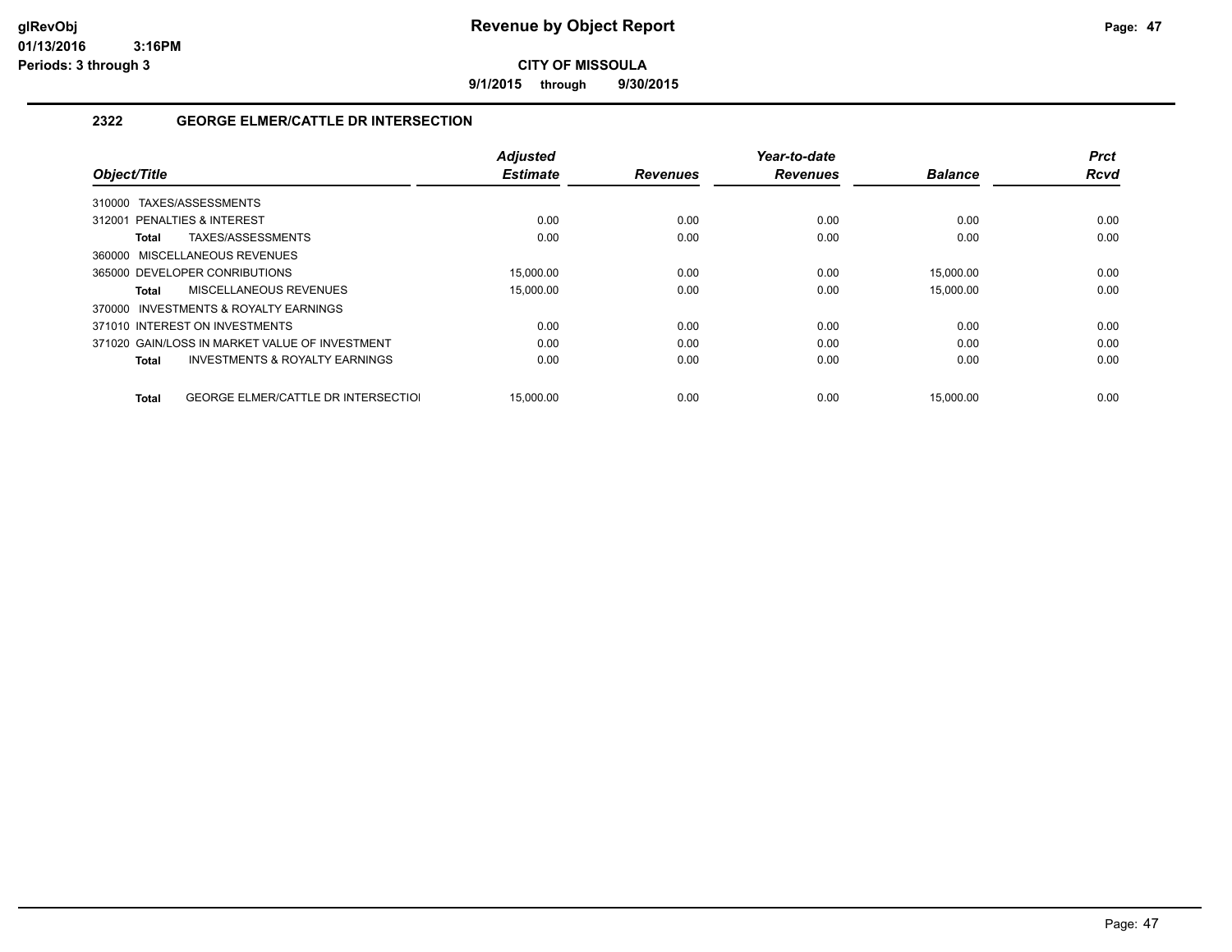**9/1/2015 through 9/30/2015**

#### **2322 GEORGE ELMER/CATTLE DR INTERSECTION**

|                                                     | <b>Adjusted</b> |                 | Year-to-date    |                | <b>Prct</b> |
|-----------------------------------------------------|-----------------|-----------------|-----------------|----------------|-------------|
| Object/Title                                        | <b>Estimate</b> | <b>Revenues</b> | <b>Revenues</b> | <b>Balance</b> | <b>Rcvd</b> |
| TAXES/ASSESSMENTS<br>310000                         |                 |                 |                 |                |             |
| 312001 PENALTIES & INTEREST                         | 0.00            | 0.00            | 0.00            | 0.00           | 0.00        |
| TAXES/ASSESSMENTS<br>Total                          | 0.00            | 0.00            | 0.00            | 0.00           | 0.00        |
| 360000 MISCELLANEOUS REVENUES                       |                 |                 |                 |                |             |
| 365000 DEVELOPER CONRIBUTIONS                       | 15.000.00       | 0.00            | 0.00            | 15.000.00      | 0.00        |
| MISCELLANEOUS REVENUES<br>Total                     | 15,000.00       | 0.00            | 0.00            | 15,000.00      | 0.00        |
| 370000 INVESTMENTS & ROYALTY EARNINGS               |                 |                 |                 |                |             |
| 371010 INTEREST ON INVESTMENTS                      | 0.00            | 0.00            | 0.00            | 0.00           | 0.00        |
| 371020 GAIN/LOSS IN MARKET VALUE OF INVESTMENT      | 0.00            | 0.00            | 0.00            | 0.00           | 0.00        |
| <b>INVESTMENTS &amp; ROYALTY EARNINGS</b><br>Total  | 0.00            | 0.00            | 0.00            | 0.00           | 0.00        |
|                                                     |                 |                 |                 |                |             |
| <b>GEORGE ELMER/CATTLE DR INTERSECTIOL</b><br>Total | 15.000.00       | 0.00            | 0.00            | 15.000.00      | 0.00        |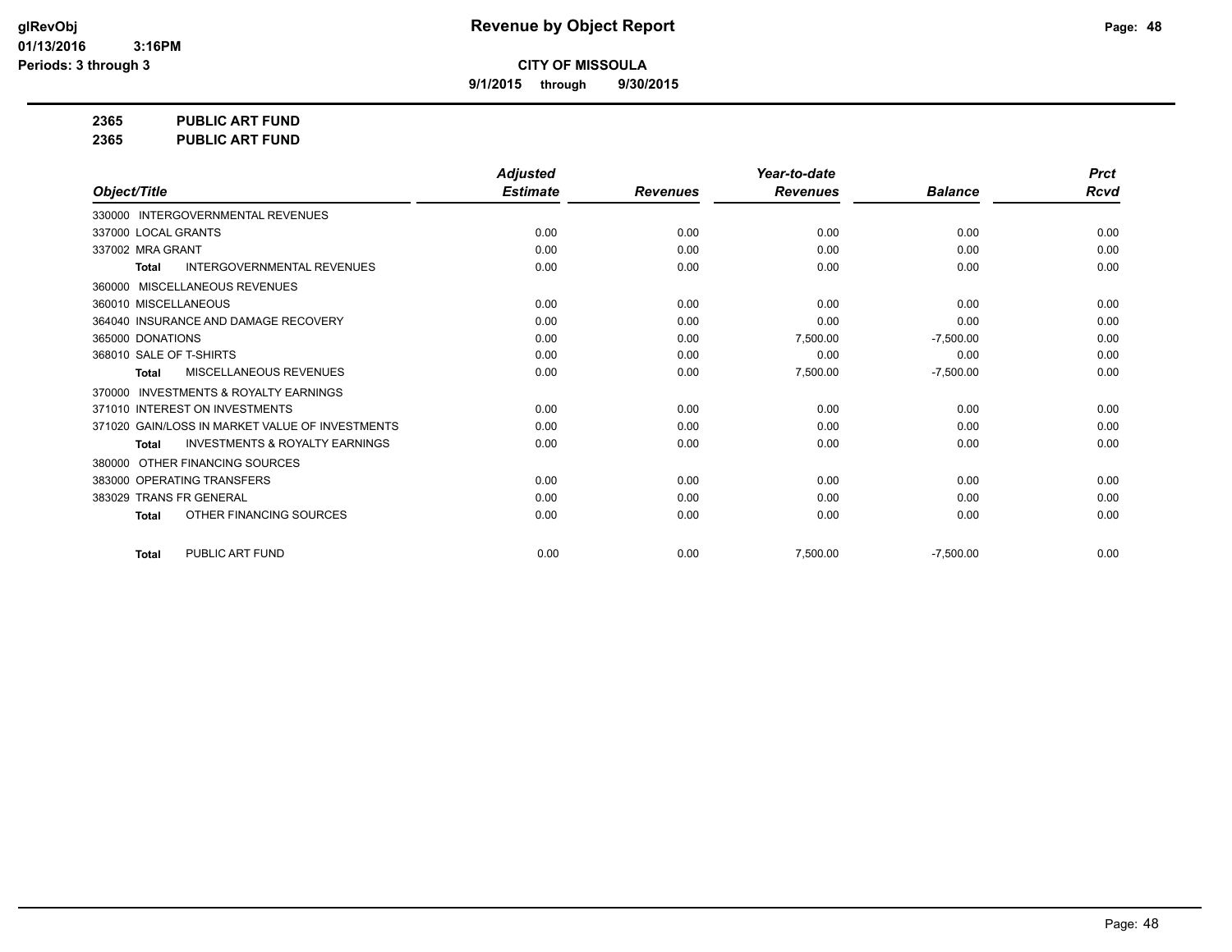**9/1/2015 through 9/30/2015**

**2365 PUBLIC ART FUND**

**2365 PUBLIC ART FUND**

|                                                           | <b>Adjusted</b> |                 | Year-to-date    |                | <b>Prct</b> |
|-----------------------------------------------------------|-----------------|-----------------|-----------------|----------------|-------------|
| Object/Title                                              | <b>Estimate</b> | <b>Revenues</b> | <b>Revenues</b> | <b>Balance</b> | <b>Rcvd</b> |
| 330000 INTERGOVERNMENTAL REVENUES                         |                 |                 |                 |                |             |
| 337000 LOCAL GRANTS                                       | 0.00            | 0.00            | 0.00            | 0.00           | 0.00        |
| 337002 MRA GRANT                                          | 0.00            | 0.00            | 0.00            | 0.00           | 0.00        |
| <b>INTERGOVERNMENTAL REVENUES</b><br><b>Total</b>         | 0.00            | 0.00            | 0.00            | 0.00           | 0.00        |
| 360000 MISCELLANEOUS REVENUES                             |                 |                 |                 |                |             |
| 360010 MISCELLANEOUS                                      | 0.00            | 0.00            | 0.00            | 0.00           | 0.00        |
| 364040 INSURANCE AND DAMAGE RECOVERY                      | 0.00            | 0.00            | 0.00            | 0.00           | 0.00        |
| 365000 DONATIONS                                          | 0.00            | 0.00            | 7,500.00        | $-7,500.00$    | 0.00        |
| 368010 SALE OF T-SHIRTS                                   | 0.00            | 0.00            | 0.00            | 0.00           | 0.00        |
| <b>MISCELLANEOUS REVENUES</b><br><b>Total</b>             | 0.00            | 0.00            | 7,500.00        | $-7,500.00$    | 0.00        |
| <b>INVESTMENTS &amp; ROYALTY EARNINGS</b><br>370000       |                 |                 |                 |                |             |
| 371010 INTEREST ON INVESTMENTS                            | 0.00            | 0.00            | 0.00            | 0.00           | 0.00        |
| 371020 GAIN/LOSS IN MARKET VALUE OF INVESTMENTS           | 0.00            | 0.00            | 0.00            | 0.00           | 0.00        |
| <b>INVESTMENTS &amp; ROYALTY EARNINGS</b><br><b>Total</b> | 0.00            | 0.00            | 0.00            | 0.00           | 0.00        |
| OTHER FINANCING SOURCES<br>380000                         |                 |                 |                 |                |             |
| 383000 OPERATING TRANSFERS                                | 0.00            | 0.00            | 0.00            | 0.00           | 0.00        |
| 383029 TRANS FR GENERAL                                   | 0.00            | 0.00            | 0.00            | 0.00           | 0.00        |
| OTHER FINANCING SOURCES<br><b>Total</b>                   | 0.00            | 0.00            | 0.00            | 0.00           | 0.00        |
| PUBLIC ART FUND<br><b>Total</b>                           | 0.00            | 0.00            | 7,500.00        | $-7,500.00$    | 0.00        |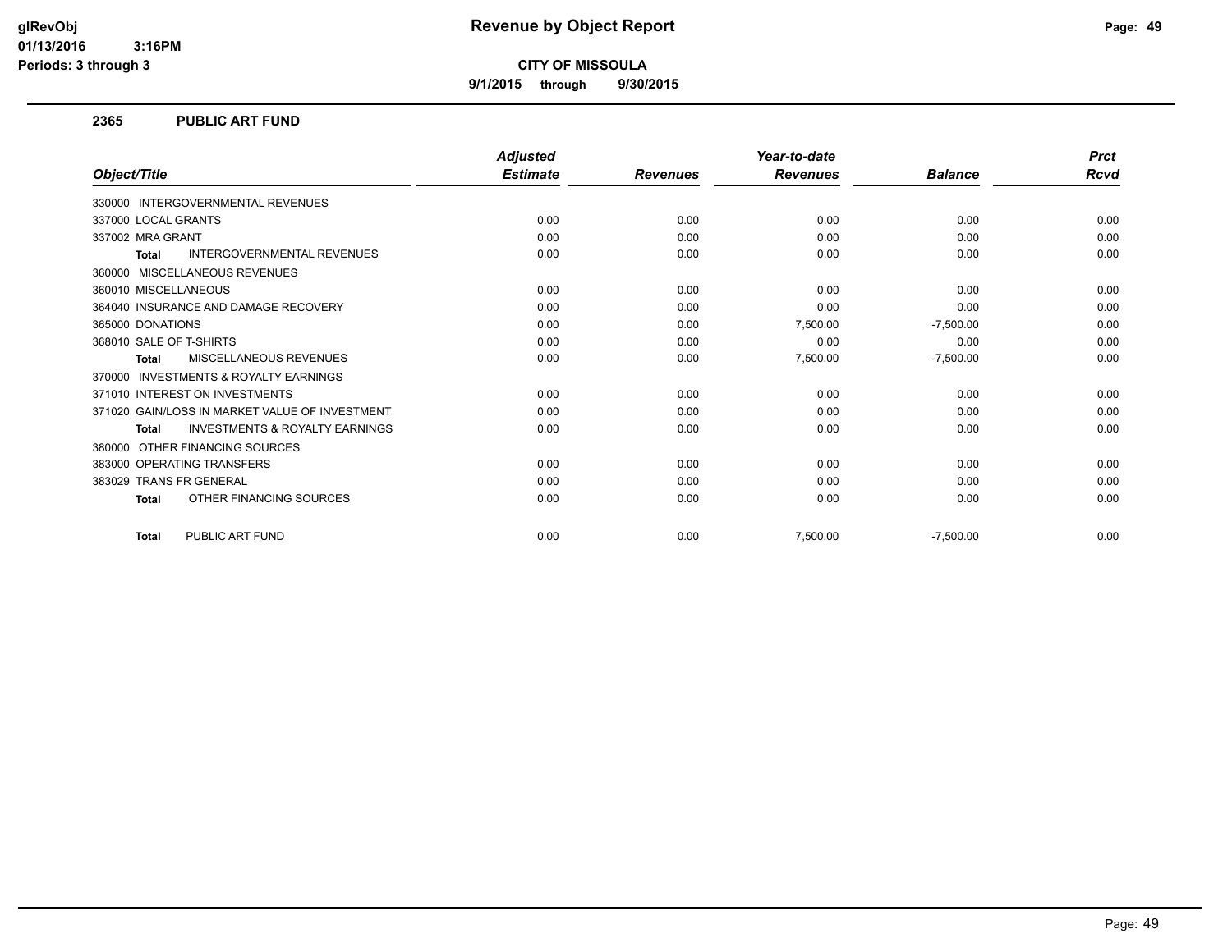**9/1/2015 through 9/30/2015**

#### **2365 PUBLIC ART FUND**

|                                                           | <b>Adjusted</b> |                 | Year-to-date    |                | <b>Prct</b> |
|-----------------------------------------------------------|-----------------|-----------------|-----------------|----------------|-------------|
| Object/Title                                              | <b>Estimate</b> | <b>Revenues</b> | <b>Revenues</b> | <b>Balance</b> | <b>Rcvd</b> |
| <b>INTERGOVERNMENTAL REVENUES</b><br>330000               |                 |                 |                 |                |             |
| 337000 LOCAL GRANTS                                       | 0.00            | 0.00            | 0.00            | 0.00           | 0.00        |
| 337002 MRA GRANT                                          | 0.00            | 0.00            | 0.00            | 0.00           | 0.00        |
| <b>INTERGOVERNMENTAL REVENUES</b><br><b>Total</b>         | 0.00            | 0.00            | 0.00            | 0.00           | 0.00        |
| MISCELLANEOUS REVENUES<br>360000                          |                 |                 |                 |                |             |
| 360010 MISCELLANEOUS                                      | 0.00            | 0.00            | 0.00            | 0.00           | 0.00        |
| 364040 INSURANCE AND DAMAGE RECOVERY                      | 0.00            | 0.00            | 0.00            | 0.00           | 0.00        |
| 365000 DONATIONS                                          | 0.00            | 0.00            | 7,500.00        | $-7,500.00$    | 0.00        |
| 368010 SALE OF T-SHIRTS                                   | 0.00            | 0.00            | 0.00            | 0.00           | 0.00        |
| <b>MISCELLANEOUS REVENUES</b><br><b>Total</b>             | 0.00            | 0.00            | 7,500.00        | $-7,500.00$    | 0.00        |
| <b>INVESTMENTS &amp; ROYALTY EARNINGS</b><br>370000       |                 |                 |                 |                |             |
| 371010 INTEREST ON INVESTMENTS                            | 0.00            | 0.00            | 0.00            | 0.00           | 0.00        |
| 371020 GAIN/LOSS IN MARKET VALUE OF INVESTMENT            | 0.00            | 0.00            | 0.00            | 0.00           | 0.00        |
| <b>INVESTMENTS &amp; ROYALTY EARNINGS</b><br><b>Total</b> | 0.00            | 0.00            | 0.00            | 0.00           | 0.00        |
| OTHER FINANCING SOURCES<br>380000                         |                 |                 |                 |                |             |
| 383000 OPERATING TRANSFERS                                | 0.00            | 0.00            | 0.00            | 0.00           | 0.00        |
| 383029 TRANS FR GENERAL                                   | 0.00            | 0.00            | 0.00            | 0.00           | 0.00        |
| OTHER FINANCING SOURCES<br><b>Total</b>                   | 0.00            | 0.00            | 0.00            | 0.00           | 0.00        |
|                                                           |                 |                 |                 |                |             |
| PUBLIC ART FUND<br><b>Total</b>                           | 0.00            | 0.00            | 7,500.00        | $-7,500.00$    | 0.00        |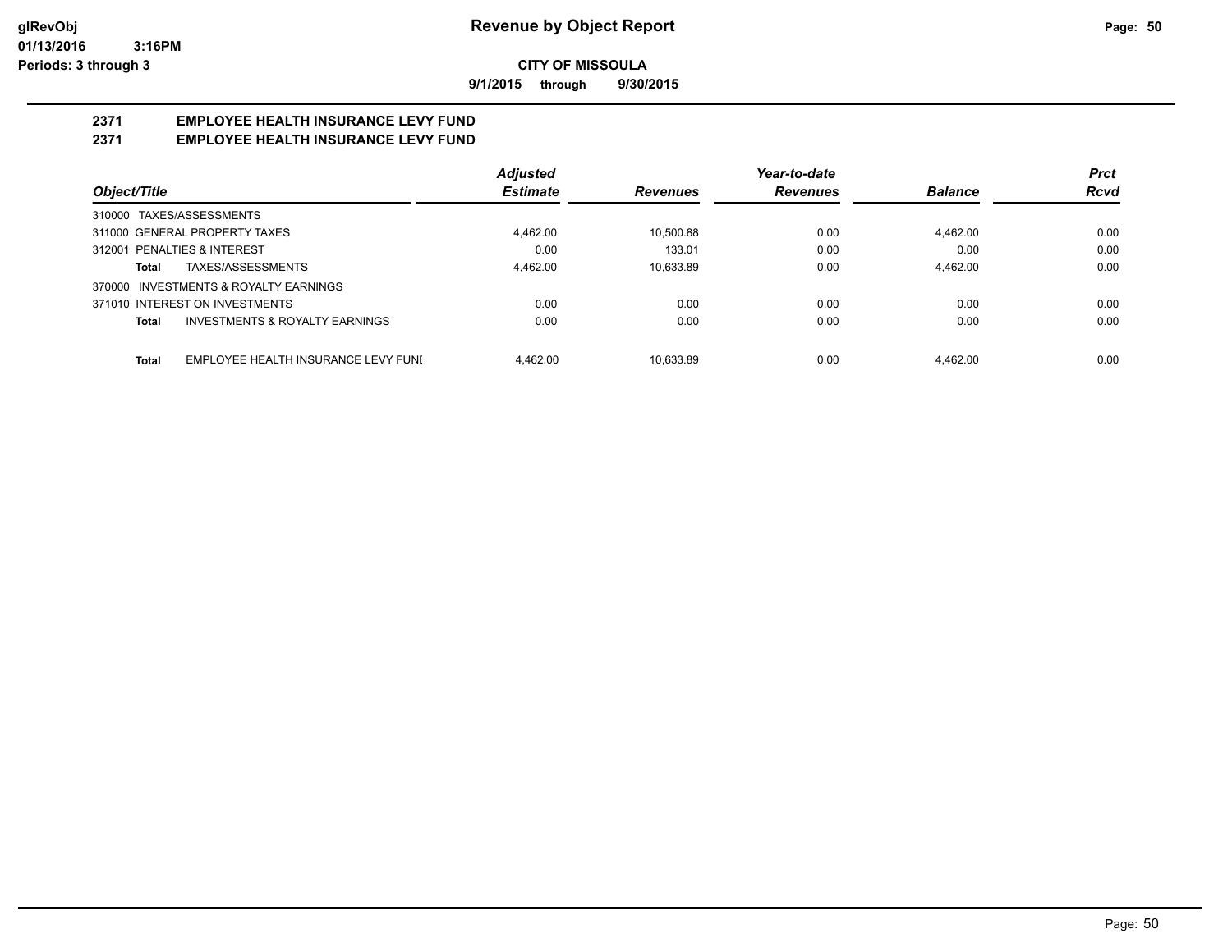**9/1/2015 through 9/30/2015**

## **2371 EMPLOYEE HEALTH INSURANCE LEVY FUND**

#### **2371 EMPLOYEE HEALTH INSURANCE LEVY FUND**

|                                                     | <b>Adjusted</b> |                 | Year-to-date    |                | <b>Prct</b> |
|-----------------------------------------------------|-----------------|-----------------|-----------------|----------------|-------------|
| Object/Title                                        | <b>Estimate</b> | <b>Revenues</b> | <b>Revenues</b> | <b>Balance</b> | <b>Rcvd</b> |
| 310000 TAXES/ASSESSMENTS                            |                 |                 |                 |                |             |
| 311000 GENERAL PROPERTY TAXES                       | 4.462.00        | 10.500.88       | 0.00            | 4.462.00       | 0.00        |
| 312001 PENALTIES & INTEREST                         | 0.00            | 133.01          | 0.00            | 0.00           | 0.00        |
| TAXES/ASSESSMENTS<br>Total                          | 4,462.00        | 10.633.89       | 0.00            | 4.462.00       | 0.00        |
| 370000 INVESTMENTS & ROYALTY EARNINGS               |                 |                 |                 |                |             |
| 371010 INTEREST ON INVESTMENTS                      | 0.00            | 0.00            | 0.00            | 0.00           | 0.00        |
| INVESTMENTS & ROYALTY EARNINGS<br><b>Total</b>      | 0.00            | 0.00            | 0.00            | 0.00           | 0.00        |
| EMPLOYEE HEALTH INSURANCE LEVY FUNI<br><b>Total</b> | 4.462.00        | 10.633.89       | 0.00            | 4.462.00       | 0.00        |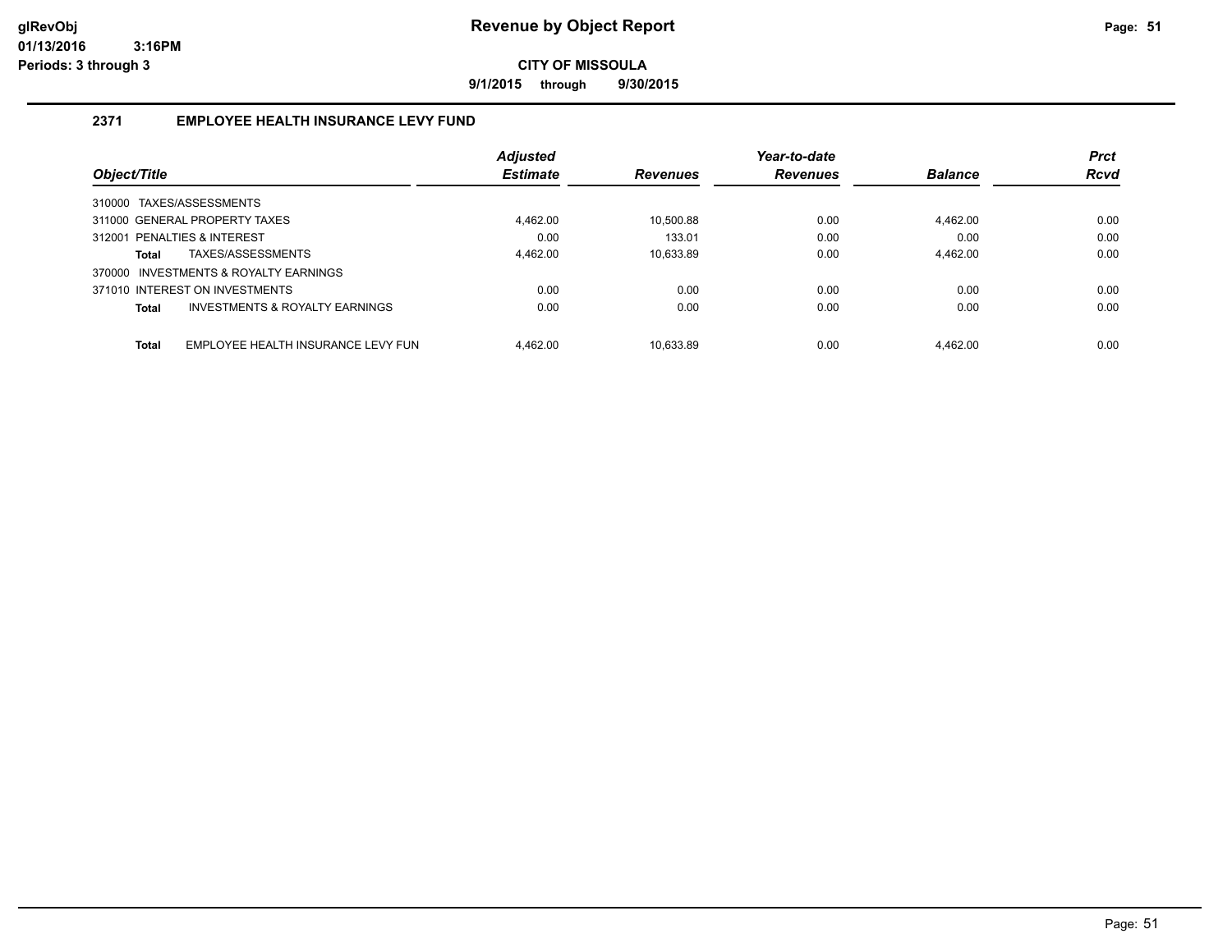**9/1/2015 through 9/30/2015**

#### **2371 EMPLOYEE HEALTH INSURANCE LEVY FUND**

|              |                                       | <b>Adjusted</b> |                 | Year-to-date    |                | <b>Prct</b> |
|--------------|---------------------------------------|-----------------|-----------------|-----------------|----------------|-------------|
| Object/Title |                                       | <b>Estimate</b> | <b>Revenues</b> | <b>Revenues</b> | <b>Balance</b> | <b>Rcvd</b> |
|              | 310000 TAXES/ASSESSMENTS              |                 |                 |                 |                |             |
|              | 311000 GENERAL PROPERTY TAXES         | 4.462.00        | 10.500.88       | 0.00            | 4.462.00       | 0.00        |
|              | 312001 PENALTIES & INTEREST           | 0.00            | 133.01          | 0.00            | 0.00           | 0.00        |
| Total        | TAXES/ASSESSMENTS                     | 4.462.00        | 10.633.89       | 0.00            | 4.462.00       | 0.00        |
|              | 370000 INVESTMENTS & ROYALTY EARNINGS |                 |                 |                 |                |             |
|              | 371010 INTEREST ON INVESTMENTS        | 0.00            | 0.00            | 0.00            | 0.00           | 0.00        |
| Total        | INVESTMENTS & ROYALTY EARNINGS        | 0.00            | 0.00            | 0.00            | 0.00           | 0.00        |
| <b>Total</b> | EMPLOYEE HEALTH INSURANCE LEVY FUN    | 4.462.00        | 10.633.89       | 0.00            | 4.462.00       | 0.00        |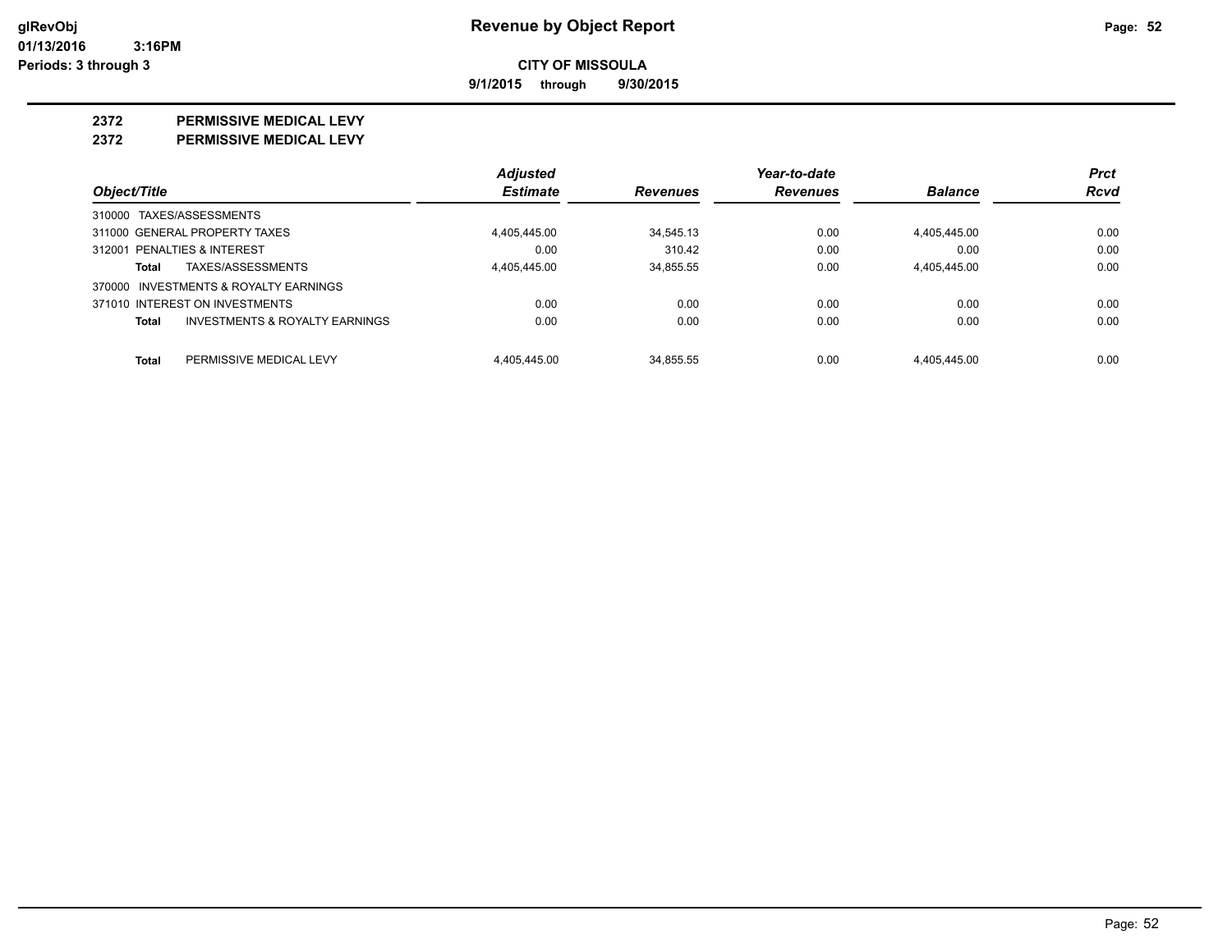**9/1/2015 through 9/30/2015**

#### **2372 PERMISSIVE MEDICAL LEVY**

**2372 PERMISSIVE MEDICAL LEVY**

|                                                    | <b>Adjusted</b> |                                    | Year-to-date    |                | <b>Prct</b> |
|----------------------------------------------------|-----------------|------------------------------------|-----------------|----------------|-------------|
| Object/Title                                       |                 | <b>Estimate</b><br><b>Revenues</b> | <b>Revenues</b> | <b>Balance</b> | Rcvd        |
| 310000 TAXES/ASSESSMENTS                           |                 |                                    |                 |                |             |
| 311000 GENERAL PROPERTY TAXES                      | 4,405,445.00    | 34.545.13                          | 0.00            | 4,405,445.00   | 0.00        |
| 312001 PENALTIES & INTEREST                        |                 | 310.42<br>0.00                     | 0.00            | 0.00           | 0.00        |
| TAXES/ASSESSMENTS<br>Total                         | 4.405.445.00    | 34.855.55                          | 0.00            | 4.405.445.00   | 0.00        |
| 370000 INVESTMENTS & ROYALTY EARNINGS              |                 |                                    |                 |                |             |
| 371010 INTEREST ON INVESTMENTS                     |                 | 0.00                               | 0.00<br>0.00    | 0.00           | 0.00        |
| <b>INVESTMENTS &amp; ROYALTY EARNINGS</b><br>Total |                 | 0.00                               | 0.00<br>0.00    | 0.00           | 0.00        |
| Total<br>PERMISSIVE MEDICAL LEVY                   | 4.405.445.00    | 34.855.55                          | 0.00            | 4.405.445.00   | 0.00        |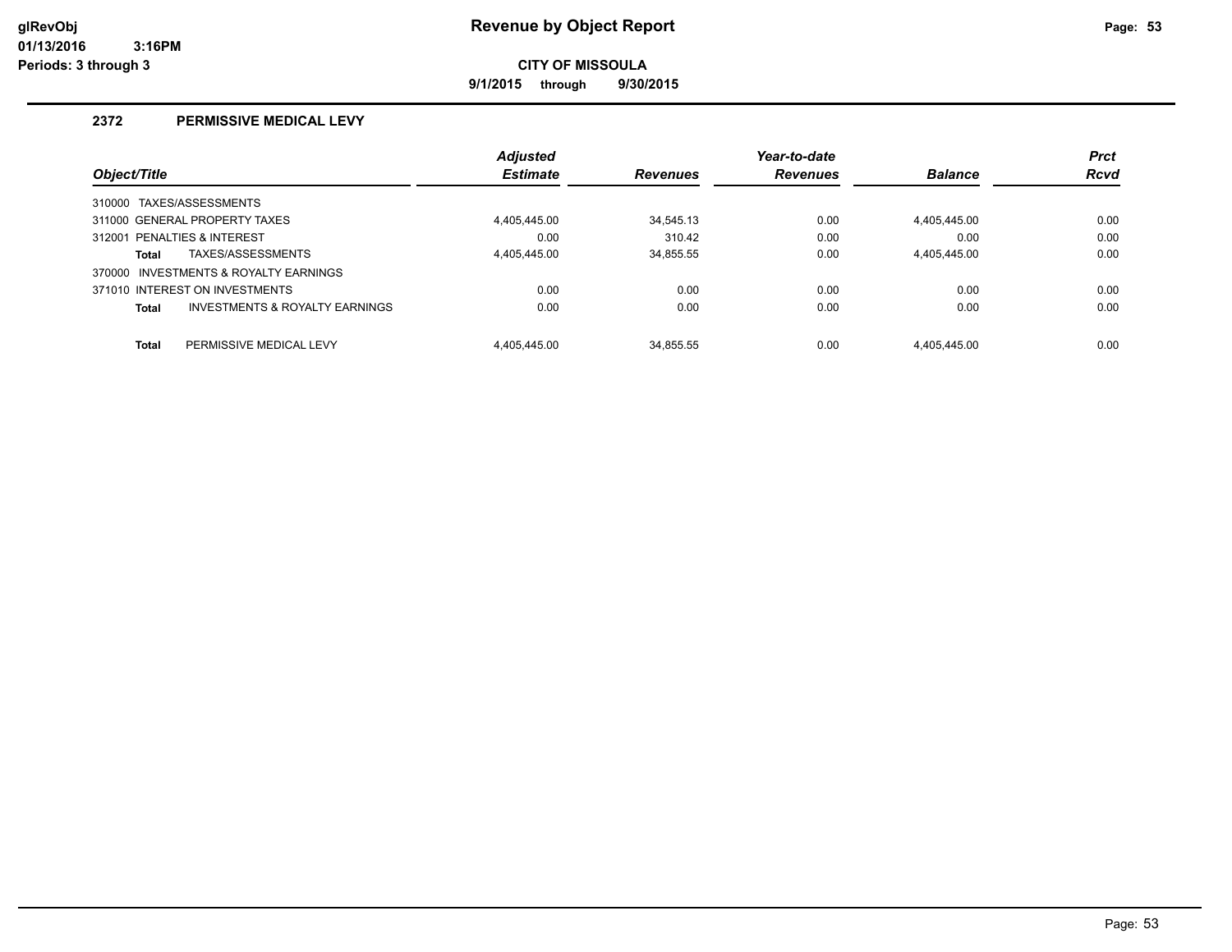**9/1/2015 through 9/30/2015**

#### **2372 PERMISSIVE MEDICAL LEVY**

|                                |                                       | <b>Adjusted</b> |                 | Year-to-date    |                | <b>Prct</b> |
|--------------------------------|---------------------------------------|-----------------|-----------------|-----------------|----------------|-------------|
| Object/Title                   |                                       | <b>Estimate</b> | <b>Revenues</b> | <b>Revenues</b> | <b>Balance</b> | <b>Rcvd</b> |
| 310000 TAXES/ASSESSMENTS       |                                       |                 |                 |                 |                |             |
| 311000 GENERAL PROPERTY TAXES  |                                       | 4.405.445.00    | 34.545.13       | 0.00            | 4.405.445.00   | 0.00        |
| 312001 PENALTIES & INTEREST    |                                       | 0.00            | 310.42          | 0.00            | 0.00           | 0.00        |
| <b>Total</b>                   | TAXES/ASSESSMENTS                     | 4.405.445.00    | 34,855.55       | 0.00            | 4.405.445.00   | 0.00        |
|                                | 370000 INVESTMENTS & ROYALTY EARNINGS |                 |                 |                 |                |             |
| 371010 INTEREST ON INVESTMENTS |                                       | 0.00            | 0.00            | 0.00            | 0.00           | 0.00        |
| <b>Total</b>                   | INVESTMENTS & ROYALTY EARNINGS        | 0.00            | 0.00            | 0.00            | 0.00           | 0.00        |
|                                |                                       |                 |                 |                 |                |             |
| <b>Total</b>                   | PERMISSIVE MEDICAL LEVY               | 4.405.445.00    | 34.855.55       | 0.00            | 4.405.445.00   | 0.00        |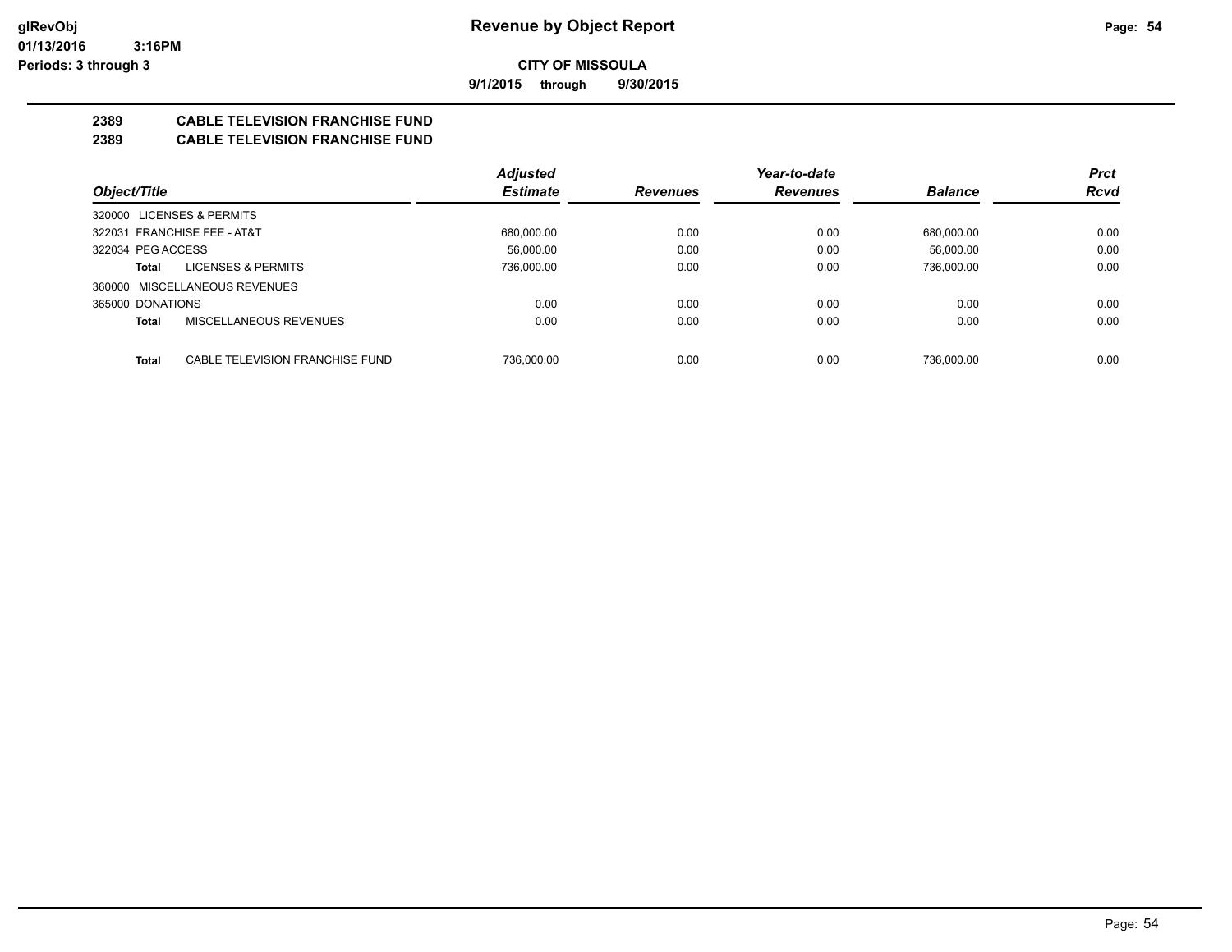**9/1/2015 through 9/30/2015**

### **2389 CABLE TELEVISION FRANCHISE FUND**

#### **2389 CABLE TELEVISION FRANCHISE FUND**

|                                                 | Adjusted        |                 | Year-to-date    |                | <b>Prct</b> |
|-------------------------------------------------|-----------------|-----------------|-----------------|----------------|-------------|
| Object/Title                                    | <b>Estimate</b> | <b>Revenues</b> | <b>Revenues</b> | <b>Balance</b> | <b>Rcvd</b> |
| 320000 LICENSES & PERMITS                       |                 |                 |                 |                |             |
| 322031 FRANCHISE FEE - AT&T                     | 680,000.00      | 0.00            | 0.00            | 680,000.00     | 0.00        |
| 322034 PEG ACCESS                               | 56.000.00       | 0.00            | 0.00            | 56.000.00      | 0.00        |
| <b>LICENSES &amp; PERMITS</b><br>Total          | 736.000.00      | 0.00            | 0.00            | 736.000.00     | 0.00        |
| 360000 MISCELLANEOUS REVENUES                   |                 |                 |                 |                |             |
| 365000 DONATIONS                                | 0.00            | 0.00            | 0.00            | 0.00           | 0.00        |
| MISCELLANEOUS REVENUES<br><b>Total</b>          | 0.00            | 0.00            | 0.00            | 0.00           | 0.00        |
|                                                 |                 |                 |                 |                |             |
| <b>Total</b><br>CABLE TELEVISION FRANCHISE FUND | 736.000.00      | 0.00            | 0.00            | 736.000.00     | 0.00        |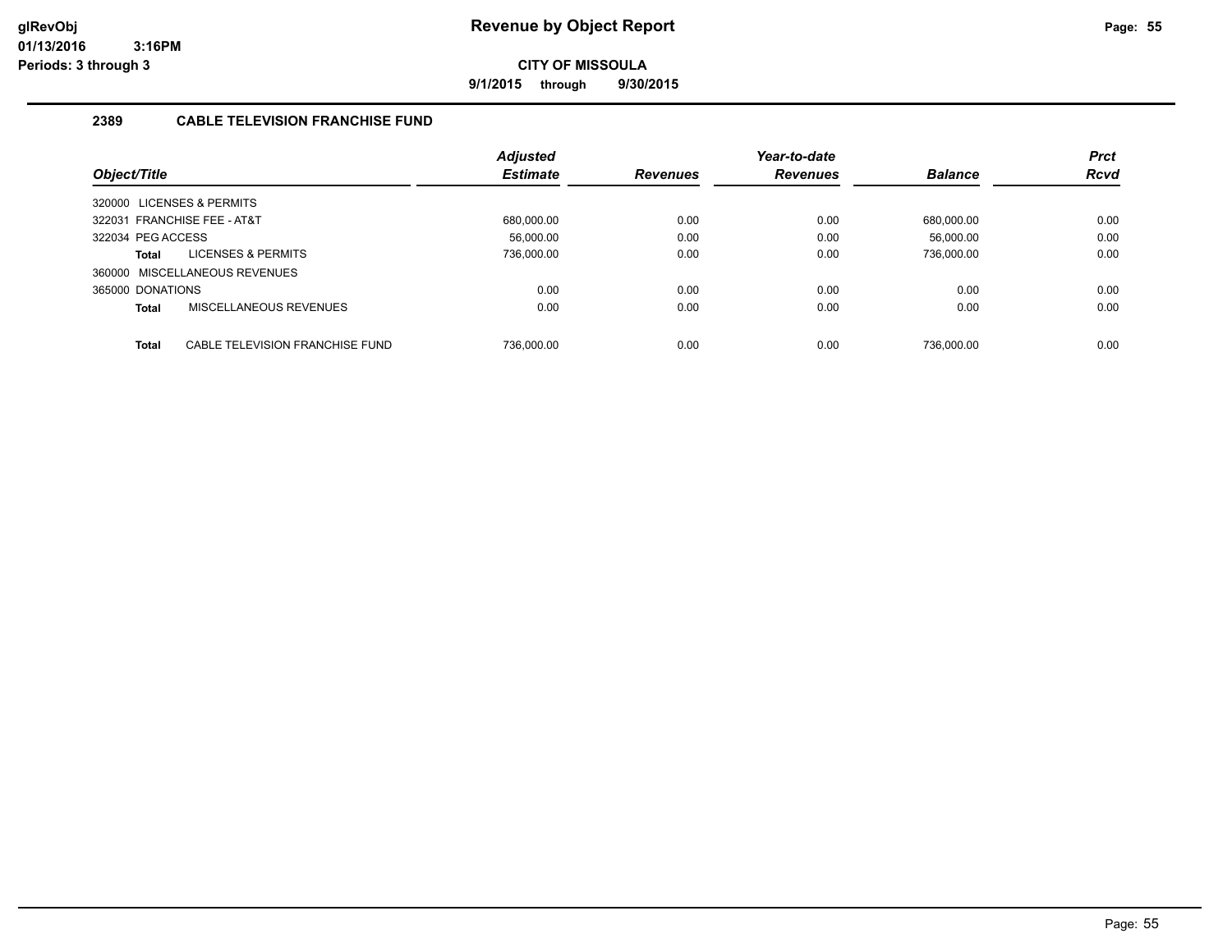**9/1/2015 through 9/30/2015**

#### **2389 CABLE TELEVISION FRANCHISE FUND**

|                           |                                 | <b>Adjusted</b> |                 | Year-to-date    |                | <b>Prct</b> |
|---------------------------|---------------------------------|-----------------|-----------------|-----------------|----------------|-------------|
| Object/Title              |                                 | <b>Estimate</b> | <b>Revenues</b> | <b>Revenues</b> | <b>Balance</b> | <b>Rcvd</b> |
| 320000 LICENSES & PERMITS |                                 |                 |                 |                 |                |             |
|                           | 322031 FRANCHISE FEE - AT&T     | 680.000.00      | 0.00            | 0.00            | 680.000.00     | 0.00        |
| 322034 PEG ACCESS         |                                 | 56.000.00       | 0.00            | 0.00            | 56.000.00      | 0.00        |
| Total                     | <b>LICENSES &amp; PERMITS</b>   | 736,000.00      | 0.00            | 0.00            | 736,000.00     | 0.00        |
|                           | 360000 MISCELLANEOUS REVENUES   |                 |                 |                 |                |             |
| 365000 DONATIONS          |                                 | 0.00            | 0.00            | 0.00            | 0.00           | 0.00        |
| Total                     | MISCELLANEOUS REVENUES          | 0.00            | 0.00            | 0.00            | 0.00           | 0.00        |
|                           |                                 |                 |                 |                 |                |             |
| <b>Total</b>              | CABLE TELEVISION FRANCHISE FUND | 736.000.00      | 0.00            | 0.00            | 736.000.00     | 0.00        |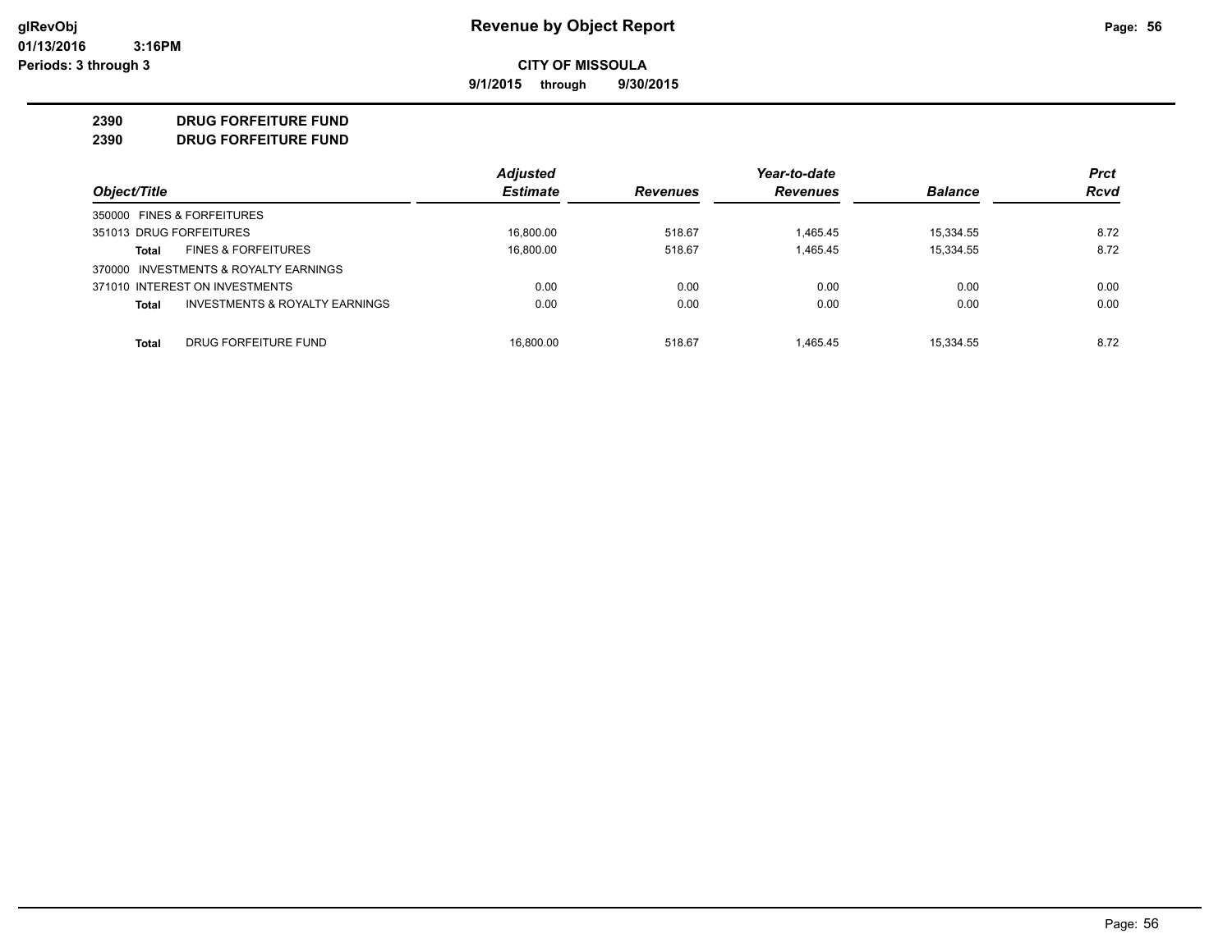**9/1/2015 through 9/30/2015**

#### **2390 DRUG FORFEITURE FUND**

**2390 DRUG FORFEITURE FUND**

|                                         | <b>Adjusted</b> |                 | Year-to-date    |                | <b>Prct</b> |
|-----------------------------------------|-----------------|-----------------|-----------------|----------------|-------------|
| Object/Title                            | <b>Estimate</b> | <b>Revenues</b> | <b>Revenues</b> | <b>Balance</b> | <b>Rcvd</b> |
| 350000 FINES & FORFEITURES              |                 |                 |                 |                |             |
| 351013 DRUG FORFEITURES                 | 16.800.00       | 518.67          | 1.465.45        | 15.334.55      | 8.72        |
| <b>FINES &amp; FORFEITURES</b><br>Total | 16,800.00       | 518.67          | 1,465.45        | 15,334.55      | 8.72        |
| 370000 INVESTMENTS & ROYALTY EARNINGS   |                 |                 |                 |                |             |
| 371010 INTEREST ON INVESTMENTS          | 0.00            | 0.00            | 0.00            | 0.00           | 0.00        |
| INVESTMENTS & ROYALTY EARNINGS<br>Total | 0.00            | 0.00            | 0.00            | 0.00           | 0.00        |
| DRUG FORFEITURE FUND<br>Total           | 16.800.00       | 518.67          | 1.465.45        | 15.334.55      | 8.72        |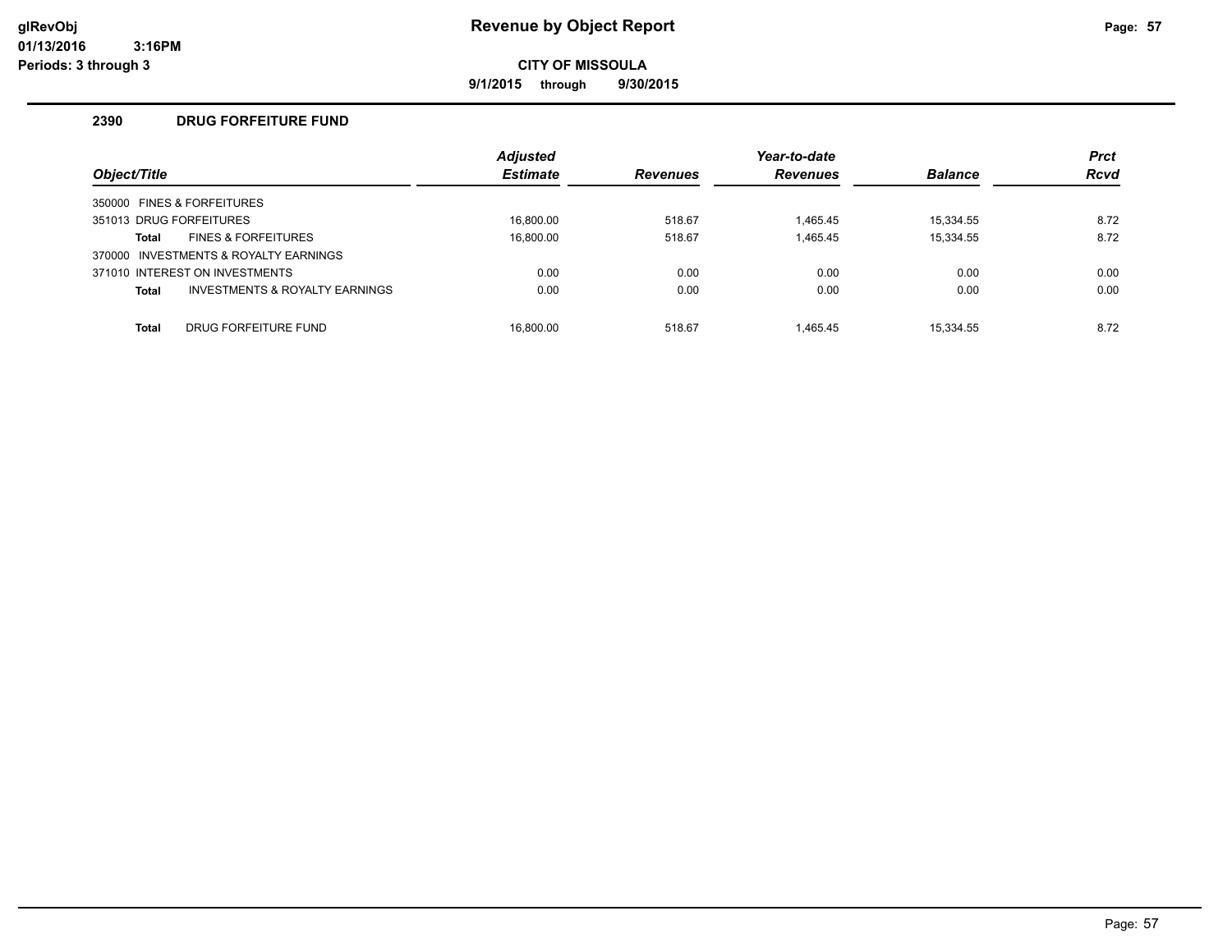**9/1/2015 through 9/30/2015**

#### **2390 DRUG FORFEITURE FUND**

| Object/Title |                                           | <b>Adjusted</b><br><b>Estimate</b> | <b>Revenues</b> | Year-to-date<br><b>Revenues</b> | <b>Balance</b> | <b>Prct</b><br><b>Rcvd</b> |
|--------------|-------------------------------------------|------------------------------------|-----------------|---------------------------------|----------------|----------------------------|
|              | 350000 FINES & FORFEITURES                |                                    |                 |                                 |                |                            |
|              | 351013 DRUG FORFEITURES                   | 16.800.00                          | 518.67          | 1.465.45                        | 15.334.55      | 8.72                       |
| Total        | <b>FINES &amp; FORFEITURES</b>            | 16.800.00                          | 518.67          | 1,465.45                        | 15.334.55      | 8.72                       |
|              | 370000 INVESTMENTS & ROYALTY EARNINGS     |                                    |                 |                                 |                |                            |
|              | 371010 INTEREST ON INVESTMENTS            | 0.00                               | 0.00            | 0.00                            | 0.00           | 0.00                       |
| <b>Total</b> | <b>INVESTMENTS &amp; ROYALTY EARNINGS</b> | 0.00                               | 0.00            | 0.00                            | 0.00           | 0.00                       |
| <b>Total</b> | DRUG FORFEITURE FUND                      | 16.800.00                          | 518.67          | 1.465.45                        | 15.334.55      | 8.72                       |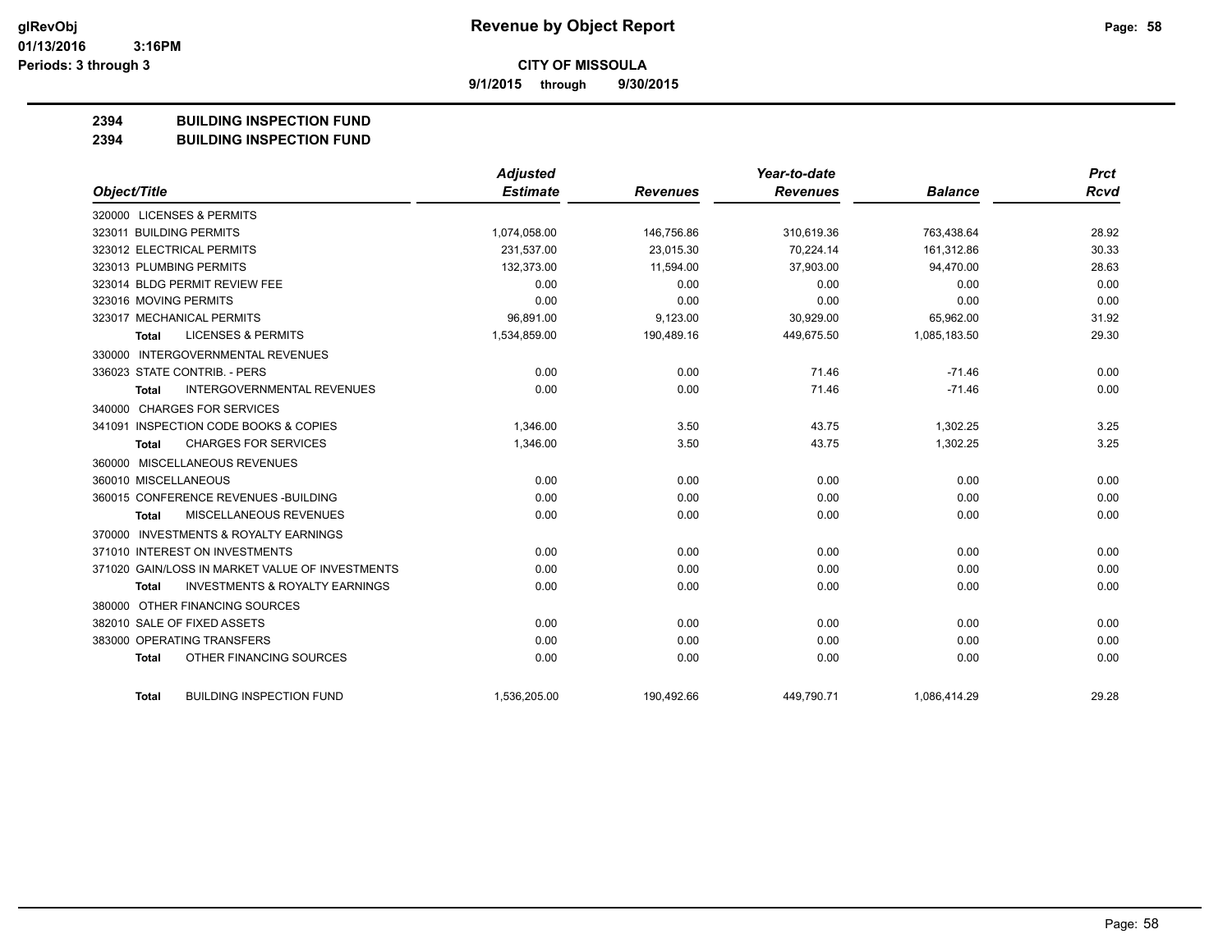**9/1/2015 through 9/30/2015**

#### **2394 BUILDING INSPECTION FUND**

**2394 BUILDING INSPECTION FUND**

|                                                           | <b>Adjusted</b> |                 | Year-to-date    |                | <b>Prct</b> |
|-----------------------------------------------------------|-----------------|-----------------|-----------------|----------------|-------------|
| Object/Title                                              | <b>Estimate</b> | <b>Revenues</b> | <b>Revenues</b> | <b>Balance</b> | <b>Rcvd</b> |
| 320000 LICENSES & PERMITS                                 |                 |                 |                 |                |             |
| 323011 BUILDING PERMITS                                   | 1,074,058.00    | 146,756.86      | 310,619.36      | 763,438.64     | 28.92       |
| 323012 ELECTRICAL PERMITS                                 | 231,537.00      | 23,015.30       | 70.224.14       | 161,312.86     | 30.33       |
| 323013 PLUMBING PERMITS                                   | 132,373.00      | 11,594.00       | 37,903.00       | 94,470.00      | 28.63       |
| 323014 BLDG PERMIT REVIEW FEE                             | 0.00            | 0.00            | 0.00            | 0.00           | 0.00        |
| 323016 MOVING PERMITS                                     | 0.00            | 0.00            | 0.00            | 0.00           | 0.00        |
| 323017 MECHANICAL PERMITS                                 | 96,891.00       | 9,123.00        | 30,929.00       | 65,962.00      | 31.92       |
| <b>LICENSES &amp; PERMITS</b><br><b>Total</b>             | 1,534,859.00    | 190,489.16      | 449,675.50      | 1,085,183.50   | 29.30       |
| 330000 INTERGOVERNMENTAL REVENUES                         |                 |                 |                 |                |             |
| 336023 STATE CONTRIB. - PERS                              | 0.00            | 0.00            | 71.46           | $-71.46$       | 0.00        |
| <b>INTERGOVERNMENTAL REVENUES</b><br><b>Total</b>         | 0.00            | 0.00            | 71.46           | $-71.46$       | 0.00        |
| 340000 CHARGES FOR SERVICES                               |                 |                 |                 |                |             |
| 341091 INSPECTION CODE BOOKS & COPIES                     | 1,346.00        | 3.50            | 43.75           | 1,302.25       | 3.25        |
| <b>CHARGES FOR SERVICES</b><br><b>Total</b>               | 1,346.00        | 3.50            | 43.75           | 1,302.25       | 3.25        |
| 360000 MISCELLANEOUS REVENUES                             |                 |                 |                 |                |             |
| 360010 MISCELLANEOUS                                      | 0.00            | 0.00            | 0.00            | 0.00           | 0.00        |
| 360015 CONFERENCE REVENUES - BUILDING                     | 0.00            | 0.00            | 0.00            | 0.00           | 0.00        |
| MISCELLANEOUS REVENUES<br><b>Total</b>                    | 0.00            | 0.00            | 0.00            | 0.00           | 0.00        |
| 370000 INVESTMENTS & ROYALTY EARNINGS                     |                 |                 |                 |                |             |
| 371010 INTEREST ON INVESTMENTS                            | 0.00            | 0.00            | 0.00            | 0.00           | 0.00        |
| 371020 GAIN/LOSS IN MARKET VALUE OF INVESTMENTS           | 0.00            | 0.00            | 0.00            | 0.00           | 0.00        |
| <b>INVESTMENTS &amp; ROYALTY EARNINGS</b><br><b>Total</b> | 0.00            | 0.00            | 0.00            | 0.00           | 0.00        |
| 380000 OTHER FINANCING SOURCES                            |                 |                 |                 |                |             |
| 382010 SALE OF FIXED ASSETS                               | 0.00            | 0.00            | 0.00            | 0.00           | 0.00        |
| 383000 OPERATING TRANSFERS                                | 0.00            | 0.00            | 0.00            | 0.00           | 0.00        |
| OTHER FINANCING SOURCES<br><b>Total</b>                   | 0.00            | 0.00            | 0.00            | 0.00           | 0.00        |
| <b>BUILDING INSPECTION FUND</b><br>Total                  | 1,536,205.00    | 190,492.66      | 449,790.71      | 1,086,414.29   | 29.28       |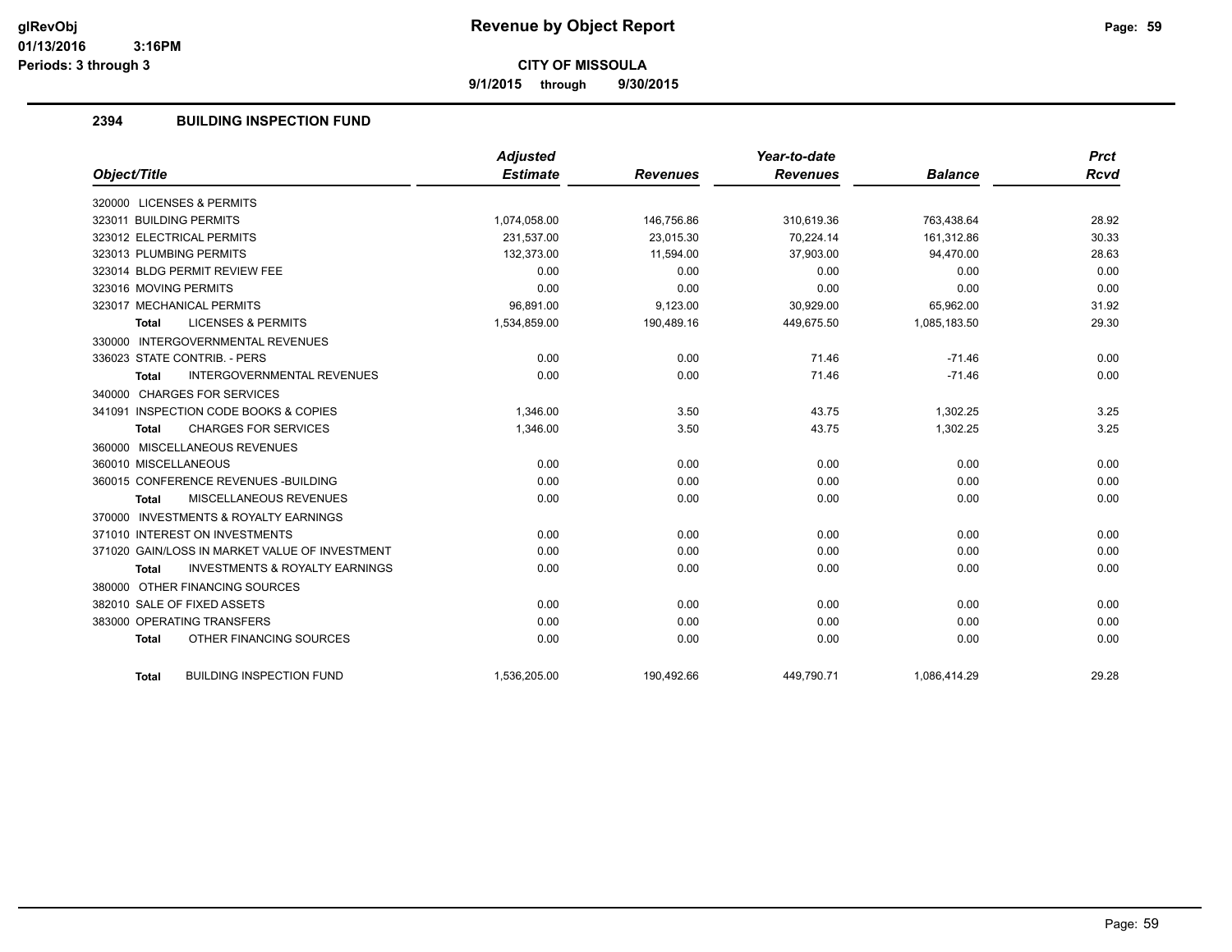**9/1/2015 through 9/30/2015**

#### **2394 BUILDING INSPECTION FUND**

|                                                           | <b>Adjusted</b> |                 | Year-to-date    |                | <b>Prct</b> |
|-----------------------------------------------------------|-----------------|-----------------|-----------------|----------------|-------------|
| Object/Title                                              | <b>Estimate</b> | <b>Revenues</b> | <b>Revenues</b> | <b>Balance</b> | Rcvd        |
| 320000 LICENSES & PERMITS                                 |                 |                 |                 |                |             |
| 323011 BUILDING PERMITS                                   | 1,074,058.00    | 146,756.86      | 310,619.36      | 763,438.64     | 28.92       |
| 323012 ELECTRICAL PERMITS                                 | 231.537.00      | 23.015.30       | 70.224.14       | 161.312.86     | 30.33       |
| 323013 PLUMBING PERMITS                                   | 132,373.00      | 11,594.00       | 37,903.00       | 94,470.00      | 28.63       |
| 323014 BLDG PERMIT REVIEW FEE                             | 0.00            | 0.00            | 0.00            | 0.00           | 0.00        |
| 323016 MOVING PERMITS                                     | 0.00            | 0.00            | 0.00            | 0.00           | 0.00        |
| 323017 MECHANICAL PERMITS                                 | 96,891.00       | 9,123.00        | 30,929.00       | 65,962.00      | 31.92       |
| <b>LICENSES &amp; PERMITS</b><br><b>Total</b>             | 1,534,859.00    | 190,489.16      | 449,675.50      | 1,085,183.50   | 29.30       |
| 330000 INTERGOVERNMENTAL REVENUES                         |                 |                 |                 |                |             |
| 336023 STATE CONTRIB. - PERS                              | 0.00            | 0.00            | 71.46           | $-71.46$       | 0.00        |
| <b>INTERGOVERNMENTAL REVENUES</b><br><b>Total</b>         | 0.00            | 0.00            | 71.46           | $-71.46$       | 0.00        |
| 340000 CHARGES FOR SERVICES                               |                 |                 |                 |                |             |
| 341091 INSPECTION CODE BOOKS & COPIES                     | 1,346.00        | 3.50            | 43.75           | 1,302.25       | 3.25        |
| <b>CHARGES FOR SERVICES</b><br><b>Total</b>               | 1,346.00        | 3.50            | 43.75           | 1,302.25       | 3.25        |
| 360000 MISCELLANEOUS REVENUES                             |                 |                 |                 |                |             |
| 360010 MISCELLANEOUS                                      | 0.00            | 0.00            | 0.00            | 0.00           | 0.00        |
| 360015 CONFERENCE REVENUES - BUILDING                     | 0.00            | 0.00            | 0.00            | 0.00           | 0.00        |
| MISCELLANEOUS REVENUES<br><b>Total</b>                    | 0.00            | 0.00            | 0.00            | 0.00           | 0.00        |
| 370000 INVESTMENTS & ROYALTY EARNINGS                     |                 |                 |                 |                |             |
| 371010 INTEREST ON INVESTMENTS                            | 0.00            | 0.00            | 0.00            | 0.00           | 0.00        |
| 371020 GAIN/LOSS IN MARKET VALUE OF INVESTMENT            | 0.00            | 0.00            | 0.00            | 0.00           | 0.00        |
| <b>INVESTMENTS &amp; ROYALTY EARNINGS</b><br><b>Total</b> | 0.00            | 0.00            | 0.00            | 0.00           | 0.00        |
| 380000 OTHER FINANCING SOURCES                            |                 |                 |                 |                |             |
| 382010 SALE OF FIXED ASSETS                               | 0.00            | 0.00            | 0.00            | 0.00           | 0.00        |
| 383000 OPERATING TRANSFERS                                | 0.00            | 0.00            | 0.00            | 0.00           | 0.00        |
| OTHER FINANCING SOURCES<br><b>Total</b>                   | 0.00            | 0.00            | 0.00            | 0.00           | 0.00        |
| <b>BUILDING INSPECTION FUND</b><br><b>Total</b>           | 1,536,205.00    | 190,492.66      | 449,790.71      | 1,086,414.29   | 29.28       |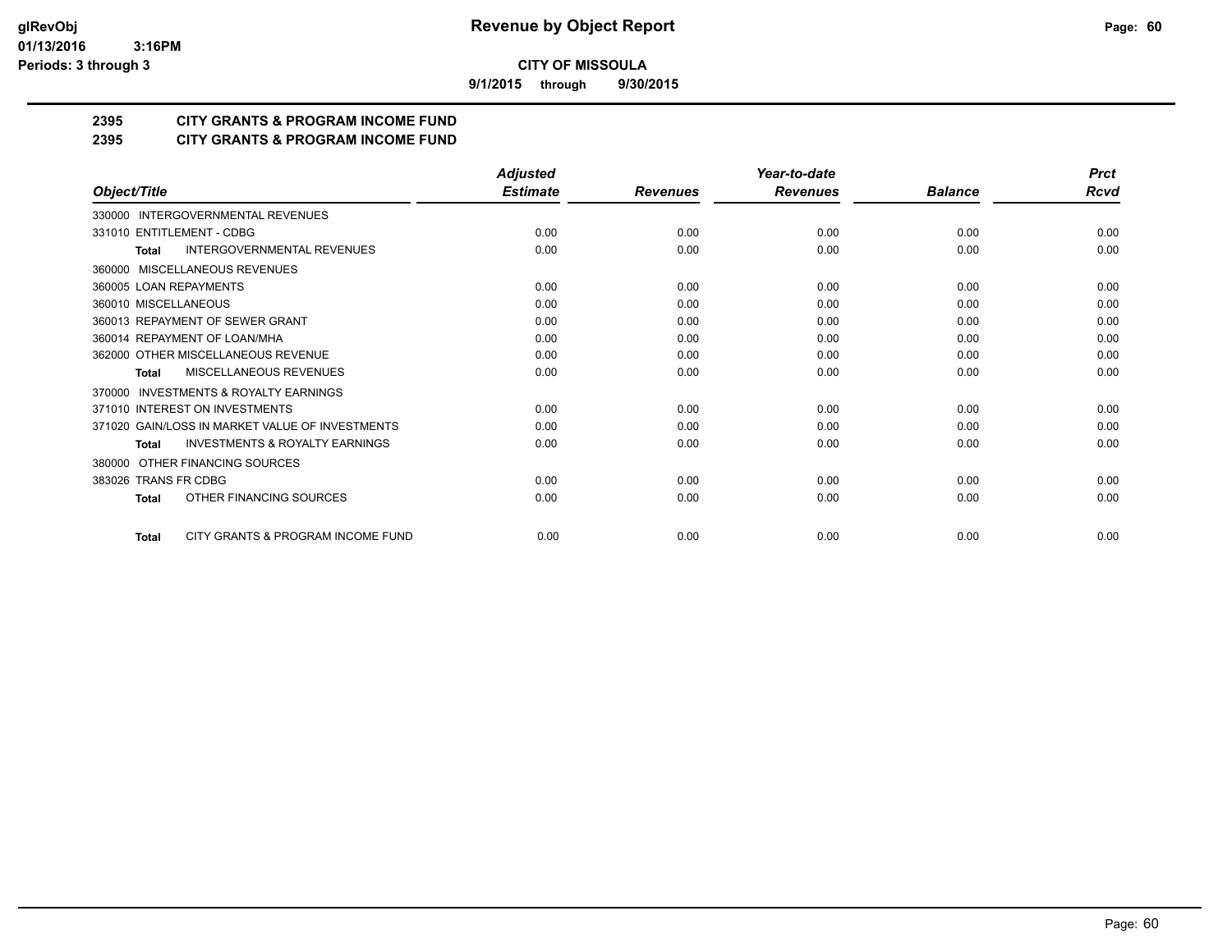**9/1/2015 through 9/30/2015**

### **2395 CITY GRANTS & PROGRAM INCOME FUND**

#### **2395 CITY GRANTS & PROGRAM INCOME FUND**

|                                                    | <b>Adjusted</b> |                 | Year-to-date    |                | <b>Prct</b> |
|----------------------------------------------------|-----------------|-----------------|-----------------|----------------|-------------|
| Object/Title                                       | <b>Estimate</b> | <b>Revenues</b> | <b>Revenues</b> | <b>Balance</b> | Rcvd        |
| 330000 INTERGOVERNMENTAL REVENUES                  |                 |                 |                 |                |             |
| 331010 ENTITLEMENT - CDBG                          | 0.00            | 0.00            | 0.00            | 0.00           | 0.00        |
| INTERGOVERNMENTAL REVENUES<br><b>Total</b>         | 0.00            | 0.00            | 0.00            | 0.00           | 0.00        |
| 360000 MISCELLANEOUS REVENUES                      |                 |                 |                 |                |             |
| 360005 LOAN REPAYMENTS                             | 0.00            | 0.00            | 0.00            | 0.00           | 0.00        |
| 360010 MISCELLANEOUS                               | 0.00            | 0.00            | 0.00            | 0.00           | 0.00        |
| 360013 REPAYMENT OF SEWER GRANT                    | 0.00            | 0.00            | 0.00            | 0.00           | 0.00        |
| 360014 REPAYMENT OF LOAN/MHA                       | 0.00            | 0.00            | 0.00            | 0.00           | 0.00        |
| 362000 OTHER MISCELLANEOUS REVENUE                 | 0.00            | 0.00            | 0.00            | 0.00           | 0.00        |
| MISCELLANEOUS REVENUES<br>Total                    | 0.00            | 0.00            | 0.00            | 0.00           | 0.00        |
| INVESTMENTS & ROYALTY EARNINGS<br>370000           |                 |                 |                 |                |             |
| 371010 INTEREST ON INVESTMENTS                     | 0.00            | 0.00            | 0.00            | 0.00           | 0.00        |
| 371020 GAIN/LOSS IN MARKET VALUE OF INVESTMENTS    | 0.00            | 0.00            | 0.00            | 0.00           | 0.00        |
| <b>INVESTMENTS &amp; ROYALTY EARNINGS</b><br>Total | 0.00            | 0.00            | 0.00            | 0.00           | 0.00        |
| 380000 OTHER FINANCING SOURCES                     |                 |                 |                 |                |             |
| 383026 TRANS FR CDBG                               | 0.00            | 0.00            | 0.00            | 0.00           | 0.00        |
| OTHER FINANCING SOURCES<br><b>Total</b>            | 0.00            | 0.00            | 0.00            | 0.00           | 0.00        |
| CITY GRANTS & PROGRAM INCOME FUND<br><b>Total</b>  | 0.00            | 0.00            | 0.00            | 0.00           | 0.00        |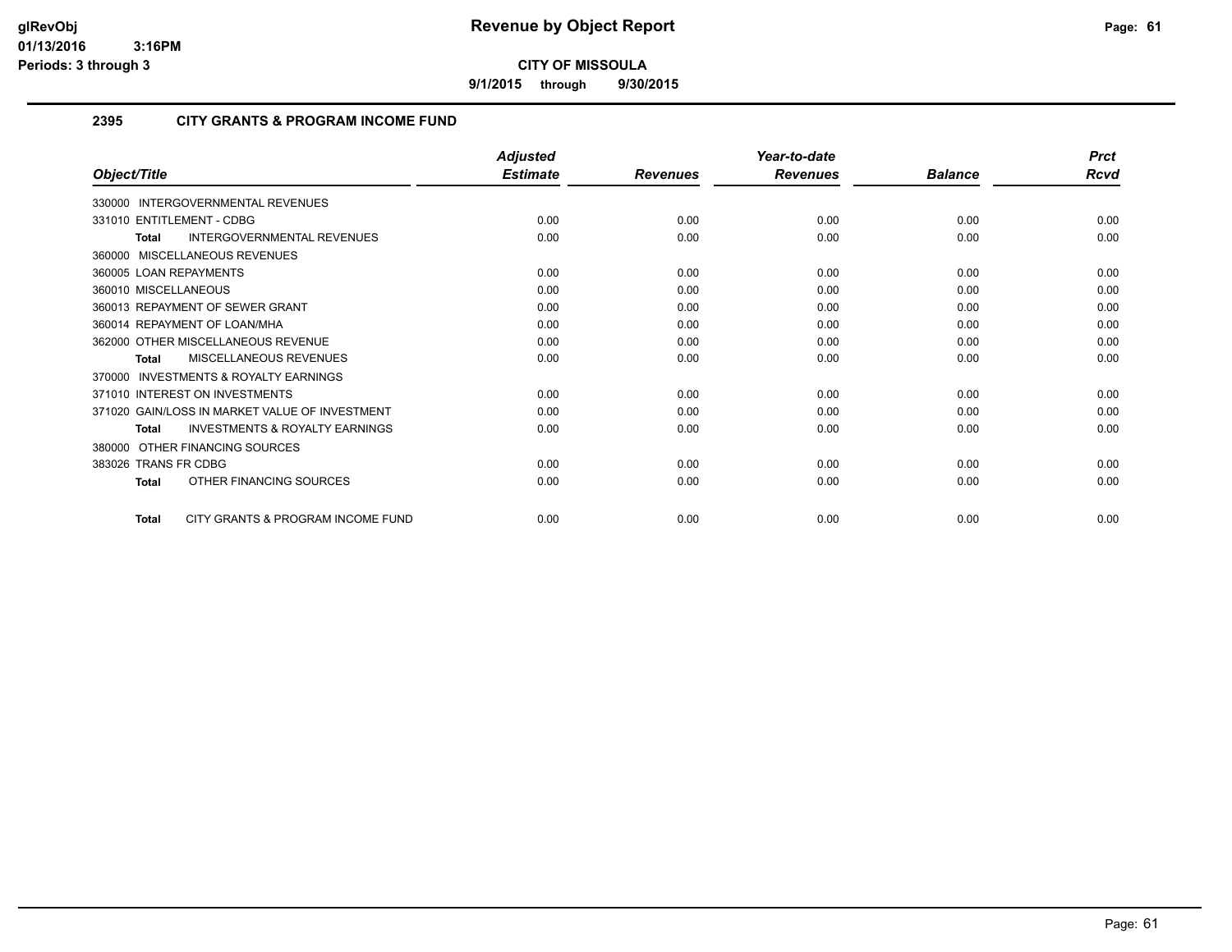**9/1/2015 through 9/30/2015**

#### **2395 CITY GRANTS & PROGRAM INCOME FUND**

|                                                           | <b>Adjusted</b> |                 | Year-to-date    |                | <b>Prct</b> |
|-----------------------------------------------------------|-----------------|-----------------|-----------------|----------------|-------------|
| Object/Title                                              | <b>Estimate</b> | <b>Revenues</b> | <b>Revenues</b> | <b>Balance</b> | <b>Rcvd</b> |
| 330000 INTERGOVERNMENTAL REVENUES                         |                 |                 |                 |                |             |
| 331010 ENTITLEMENT - CDBG                                 | 0.00            | 0.00            | 0.00            | 0.00           | 0.00        |
| INTERGOVERNMENTAL REVENUES<br><b>Total</b>                | 0.00            | 0.00            | 0.00            | 0.00           | 0.00        |
| 360000 MISCELLANEOUS REVENUES                             |                 |                 |                 |                |             |
| 360005 LOAN REPAYMENTS                                    | 0.00            | 0.00            | 0.00            | 0.00           | 0.00        |
| 360010 MISCELLANEOUS                                      | 0.00            | 0.00            | 0.00            | 0.00           | 0.00        |
| 360013 REPAYMENT OF SEWER GRANT                           | 0.00            | 0.00            | 0.00            | 0.00           | 0.00        |
| 360014 REPAYMENT OF LOAN/MHA                              | 0.00            | 0.00            | 0.00            | 0.00           | 0.00        |
| 362000 OTHER MISCELLANEOUS REVENUE                        | 0.00            | 0.00            | 0.00            | 0.00           | 0.00        |
| <b>MISCELLANEOUS REVENUES</b><br><b>Total</b>             | 0.00            | 0.00            | 0.00            | 0.00           | 0.00        |
| 370000 INVESTMENTS & ROYALTY EARNINGS                     |                 |                 |                 |                |             |
| 371010 INTEREST ON INVESTMENTS                            | 0.00            | 0.00            | 0.00            | 0.00           | 0.00        |
| 371020 GAIN/LOSS IN MARKET VALUE OF INVESTMENT            | 0.00            | 0.00            | 0.00            | 0.00           | 0.00        |
| <b>INVESTMENTS &amp; ROYALTY EARNINGS</b><br><b>Total</b> | 0.00            | 0.00            | 0.00            | 0.00           | 0.00        |
| 380000 OTHER FINANCING SOURCES                            |                 |                 |                 |                |             |
| 383026 TRANS FR CDBG                                      | 0.00            | 0.00            | 0.00            | 0.00           | 0.00        |
| OTHER FINANCING SOURCES<br><b>Total</b>                   | 0.00            | 0.00            | 0.00            | 0.00           | 0.00        |
| CITY GRANTS & PROGRAM INCOME FUND<br><b>Total</b>         | 0.00            | 0.00            | 0.00            | 0.00           | 0.00        |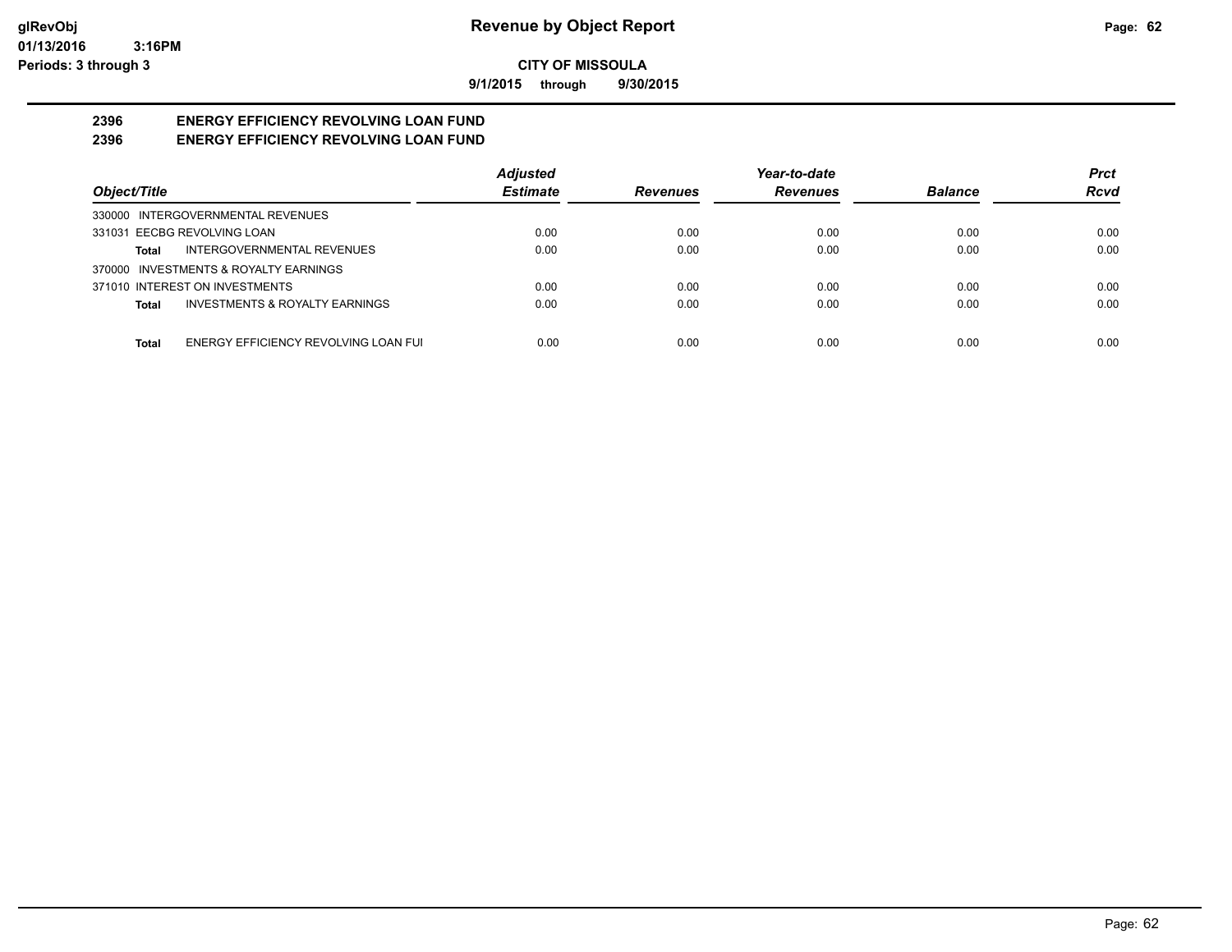**9/1/2015 through 9/30/2015**

#### **2396 ENERGY EFFICIENCY REVOLVING LOAN FUND 2396 ENERGY EFFICIENCY REVOLVING LOAN FUND**

|                                                    | <b>Adjusted</b> |                 | Year-to-date    |                | <b>Prct</b> |
|----------------------------------------------------|-----------------|-----------------|-----------------|----------------|-------------|
| Object/Title                                       | <b>Estimate</b> | <b>Revenues</b> | <b>Revenues</b> | <b>Balance</b> | Rcvd        |
| 330000 INTERGOVERNMENTAL REVENUES                  |                 |                 |                 |                |             |
| 331031 EECBG REVOLVING LOAN                        | 0.00            | 0.00            | 0.00            | 0.00           | 0.00        |
| INTERGOVERNMENTAL REVENUES<br>Total                | 0.00            | 0.00            | 0.00            | 0.00           | 0.00        |
| 370000 INVESTMENTS & ROYALTY EARNINGS              |                 |                 |                 |                |             |
| 371010 INTEREST ON INVESTMENTS                     | 0.00            | 0.00            | 0.00            | 0.00           | 0.00        |
| <b>INVESTMENTS &amp; ROYALTY EARNINGS</b><br>Total | 0.00            | 0.00            | 0.00            | 0.00           | 0.00        |
| ENERGY EFFICIENCY REVOLVING LOAN FUI<br>Total      | 0.00            | 0.00            | 0.00            | 0.00           | 0.00        |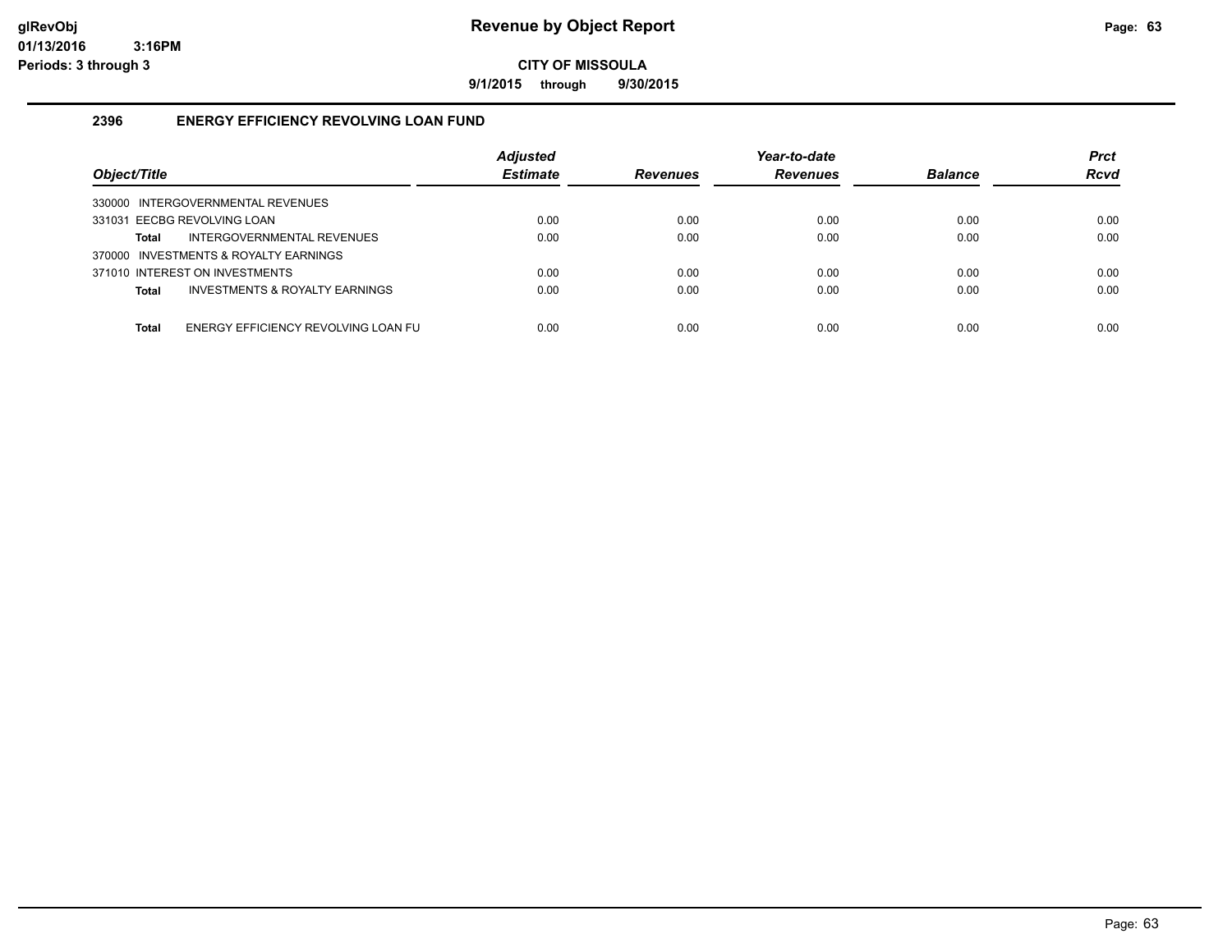**9/1/2015 through 9/30/2015**

#### **2396 ENERGY EFFICIENCY REVOLVING LOAN FUND**

| Object/Title                                   | <b>Adjusted</b><br><b>Estimate</b> | <b>Revenues</b> | Year-to-date<br><b>Revenues</b> | <b>Balance</b> | <b>Prct</b><br><b>Rcvd</b> |
|------------------------------------------------|------------------------------------|-----------------|---------------------------------|----------------|----------------------------|
| 330000 INTERGOVERNMENTAL REVENUES              |                                    |                 |                                 |                |                            |
| 331031 EECBG REVOLVING LOAN                    | 0.00                               | 0.00            | 0.00                            | 0.00           | 0.00                       |
| INTERGOVERNMENTAL REVENUES<br>Total            | 0.00                               | 0.00            | 0.00                            | 0.00           | 0.00                       |
| 370000 INVESTMENTS & ROYALTY EARNINGS          |                                    |                 |                                 |                |                            |
| 371010 INTEREST ON INVESTMENTS                 | 0.00                               | 0.00            | 0.00                            | 0.00           | 0.00                       |
| INVESTMENTS & ROYALTY EARNINGS<br><b>Total</b> | 0.00                               | 0.00            | 0.00                            | 0.00           | 0.00                       |
|                                                |                                    |                 |                                 |                |                            |
| ENERGY EFFICIENCY REVOLVING LOAN FU<br>Total   | 0.00                               | 0.00            | 0.00                            | 0.00           | 0.00                       |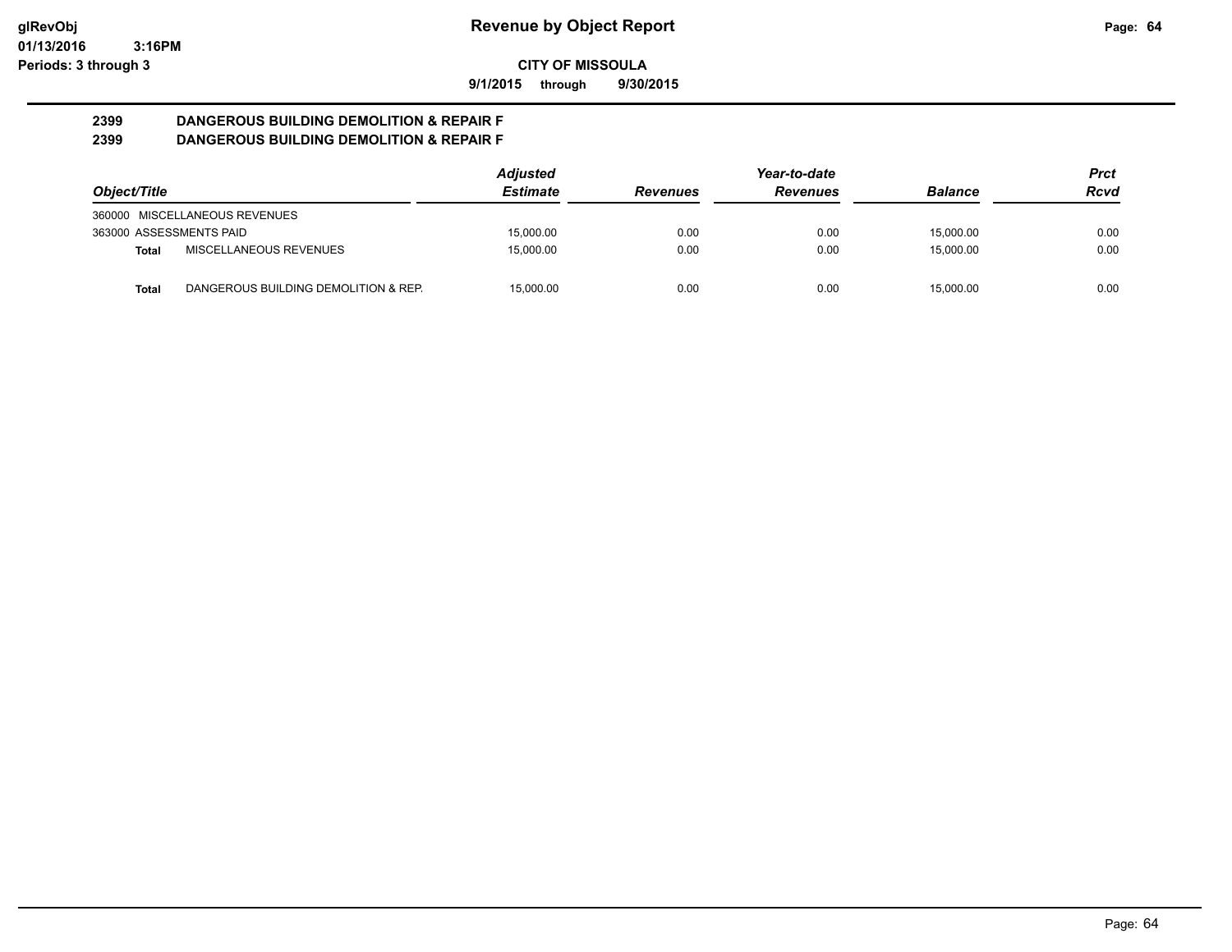**9/1/2015 through 9/30/2015**

#### **2399 DANGEROUS BUILDING DEMOLITION & REPAIR F 2399 DANGEROUS BUILDING DEMOLITION & REPAIR F**

|                         |                                      | <b>Adjusted</b> |                 | Year-to-date    |                |      |
|-------------------------|--------------------------------------|-----------------|-----------------|-----------------|----------------|------|
| Object/Title            |                                      | <b>Estimate</b> | <b>Revenues</b> | <b>Revenues</b> | <b>Balance</b> | Rcvd |
|                         | 360000 MISCELLANEOUS REVENUES        |                 |                 |                 |                |      |
| 363000 ASSESSMENTS PAID |                                      | 15.000.00       | 0.00            | 0.00            | 15.000.00      | 0.00 |
| Total                   | MISCELLANEOUS REVENUES               | 15.000.00       | 0.00            | 0.00            | 15.000.00      | 0.00 |
| Total                   | DANGEROUS BUILDING DEMOLITION & REP. | 15.000.00       | 0.00            | 0.00            | 15.000.00      | 0.00 |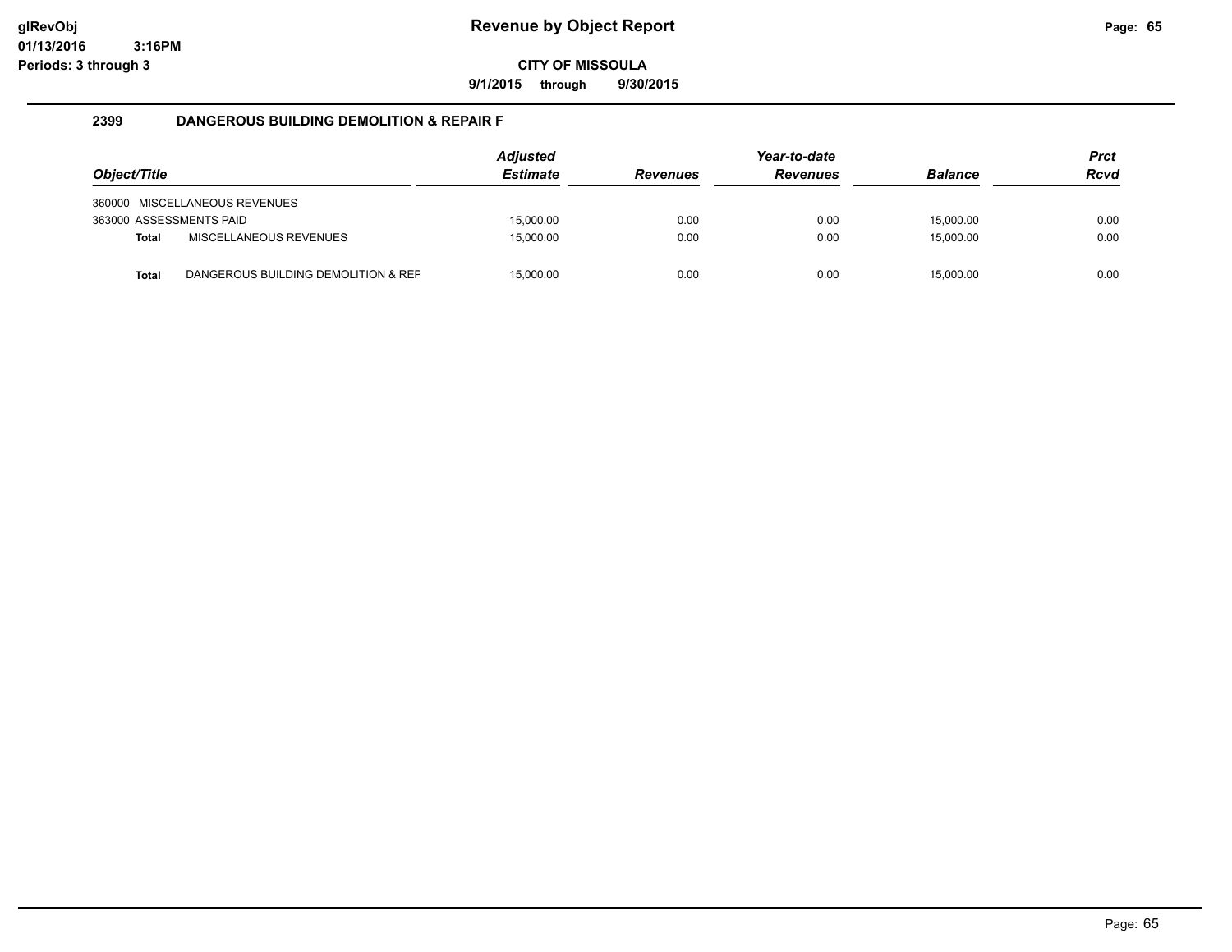**9/1/2015 through 9/30/2015**

#### **2399 DANGEROUS BUILDING DEMOLITION & REPAIR F**

|                         |                                     | <b>Adjusted</b> |                 | Year-to-date    |                | <b>Prct</b> |
|-------------------------|-------------------------------------|-----------------|-----------------|-----------------|----------------|-------------|
| Object/Title            |                                     | <b>Estimate</b> | <b>Revenues</b> | <b>Revenues</b> | <b>Balance</b> | <b>Rcvd</b> |
|                         | 360000 MISCELLANEOUS REVENUES       |                 |                 |                 |                |             |
| 363000 ASSESSMENTS PAID |                                     | 15.000.00       | 0.00            | 0.00            | 15.000.00      | 0.00        |
| <b>Total</b>            | <b>MISCELLANEOUS REVENUES</b>       | 15.000.00       | 0.00            | 0.00            | 15.000.00      | 0.00        |
| Total                   | DANGEROUS BUILDING DEMOLITION & REF | 15.000.00       | 0.00            | 0.00            | 15,000.00      | 0.00        |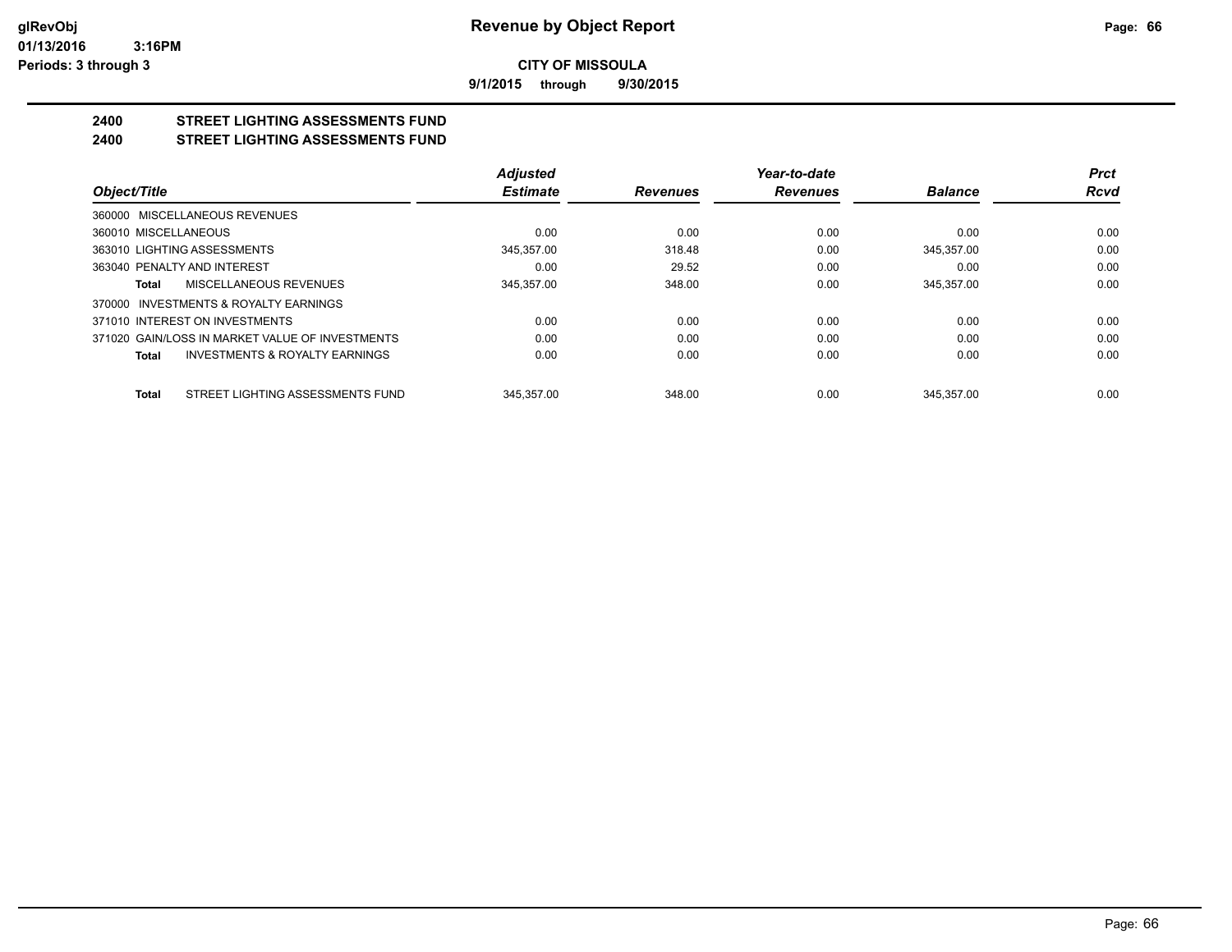**9/1/2015 through 9/30/2015**

#### **2400 STREET LIGHTING ASSESSMENTS FUND 2400 STREET LIGHTING ASSESSMENTS FUND**

|                                                    | <b>Adjusted</b> |                 | Year-to-date    |                | <b>Prct</b> |
|----------------------------------------------------|-----------------|-----------------|-----------------|----------------|-------------|
| Object/Title                                       | <b>Estimate</b> | <b>Revenues</b> | <b>Revenues</b> | <b>Balance</b> | Rcvd        |
| 360000 MISCELLANEOUS REVENUES                      |                 |                 |                 |                |             |
| 360010 MISCELLANEOUS                               | 0.00            | 0.00            | 0.00            | 0.00           | 0.00        |
| 363010 LIGHTING ASSESSMENTS                        | 345.357.00      | 318.48          | 0.00            | 345.357.00     | 0.00        |
| 363040 PENALTY AND INTEREST                        | 0.00            | 29.52           | 0.00            | 0.00           | 0.00        |
| MISCELLANEOUS REVENUES<br>Total                    | 345,357.00      | 348.00          | 0.00            | 345,357.00     | 0.00        |
| 370000 INVESTMENTS & ROYALTY EARNINGS              |                 |                 |                 |                |             |
| 371010 INTEREST ON INVESTMENTS                     | 0.00            | 0.00            | 0.00            | 0.00           | 0.00        |
| 371020 GAIN/LOSS IN MARKET VALUE OF INVESTMENTS    | 0.00            | 0.00            | 0.00            | 0.00           | 0.00        |
| <b>INVESTMENTS &amp; ROYALTY EARNINGS</b><br>Total | 0.00            | 0.00            | 0.00            | 0.00           | 0.00        |
| STREET LIGHTING ASSESSMENTS FUND<br><b>Total</b>   | 345.357.00      | 348.00          | 0.00            | 345.357.00     | 0.00        |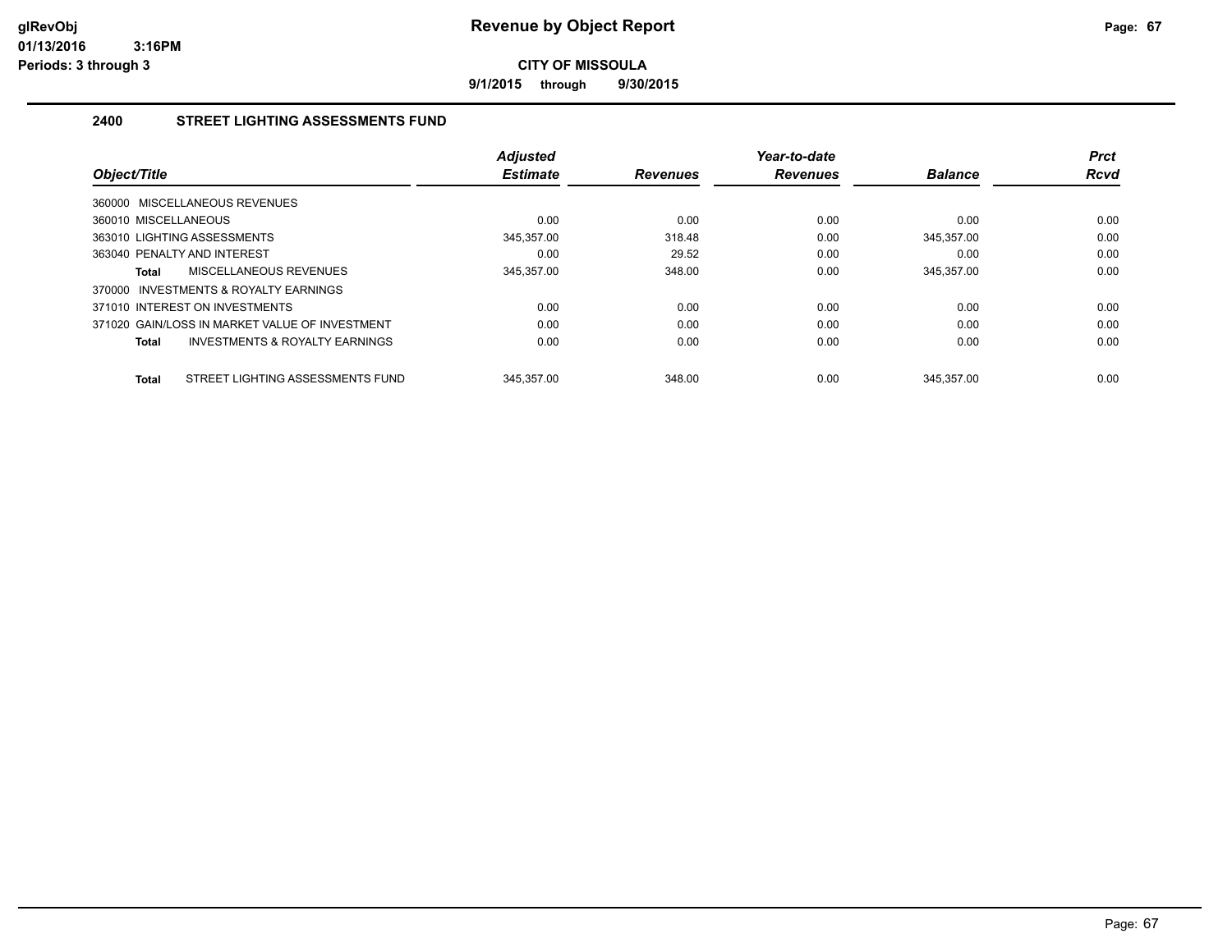**9/1/2015 through 9/30/2015**

#### **2400 STREET LIGHTING ASSESSMENTS FUND**

| Object/Title                                       | <b>Adjusted</b><br><b>Estimate</b> | <b>Revenues</b> | Year-to-date<br><b>Revenues</b> | <b>Balance</b> | <b>Prct</b><br><b>Rcvd</b> |
|----------------------------------------------------|------------------------------------|-----------------|---------------------------------|----------------|----------------------------|
| 360000 MISCELLANEOUS REVENUES                      |                                    |                 |                                 |                |                            |
| 360010 MISCELLANEOUS                               | 0.00                               | 0.00            | 0.00                            | 0.00           | 0.00                       |
| 363010 LIGHTING ASSESSMENTS                        | 345.357.00                         | 318.48          | 0.00                            | 345.357.00     | 0.00                       |
| 363040 PENALTY AND INTEREST                        | 0.00                               | 29.52           | 0.00                            | 0.00           | 0.00                       |
| MISCELLANEOUS REVENUES<br>Total                    | 345,357.00                         | 348.00          | 0.00                            | 345,357.00     | 0.00                       |
| INVESTMENTS & ROYALTY EARNINGS<br>370000           |                                    |                 |                                 |                |                            |
| 371010 INTEREST ON INVESTMENTS                     | 0.00                               | 0.00            | 0.00                            | 0.00           | 0.00                       |
| 371020 GAIN/LOSS IN MARKET VALUE OF INVESTMENT     | 0.00                               | 0.00            | 0.00                            | 0.00           | 0.00                       |
| <b>INVESTMENTS &amp; ROYALTY EARNINGS</b><br>Total | 0.00                               | 0.00            | 0.00                            | 0.00           | 0.00                       |
| STREET LIGHTING ASSESSMENTS FUND<br>Total          | 345.357.00                         | 348.00          | 0.00                            | 345.357.00     | 0.00                       |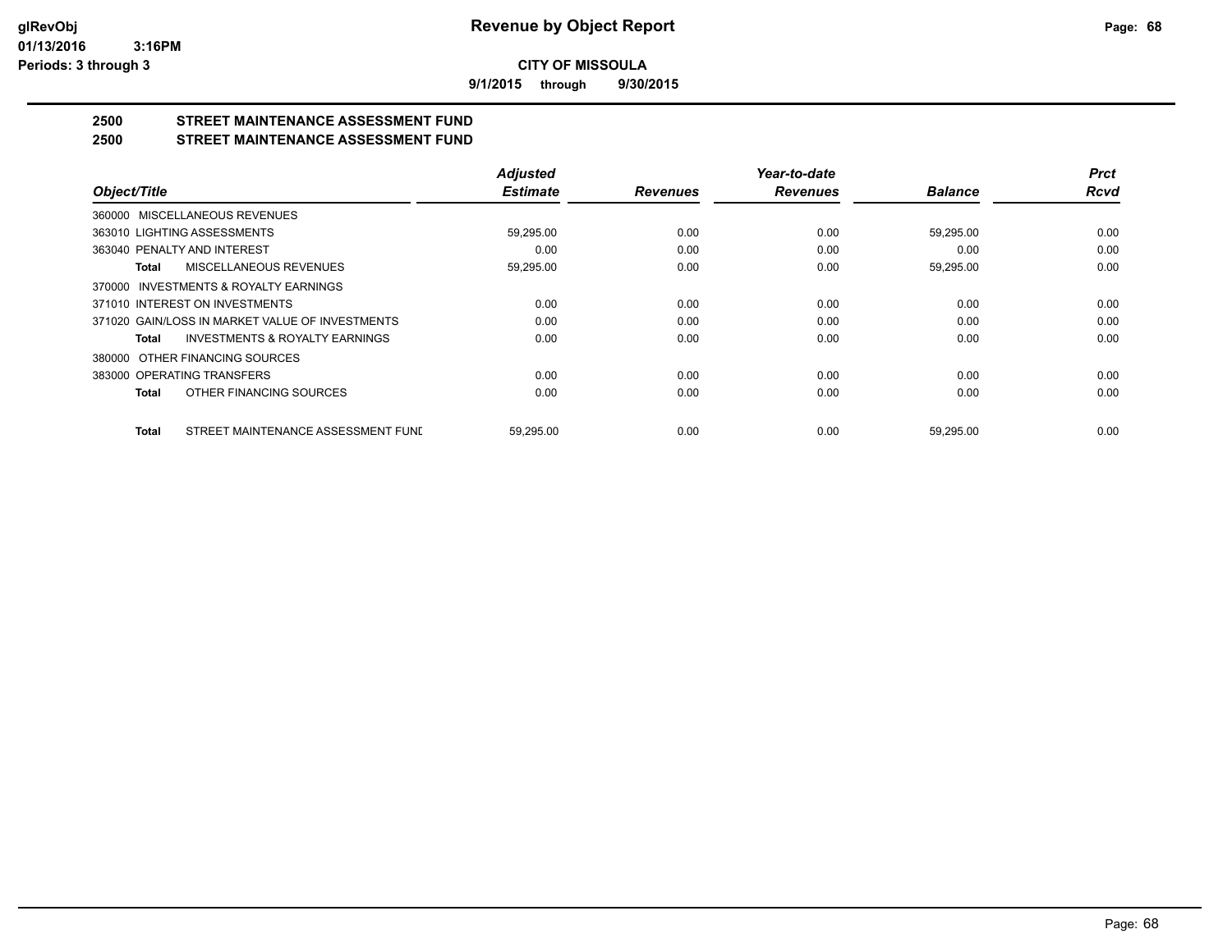**9/1/2015 through 9/30/2015**

### **2500 STREET MAINTENANCE ASSESSMENT FUND**

#### **2500 STREET MAINTENANCE ASSESSMENT FUND**

|                                                    | <b>Adjusted</b> |                 | Year-to-date    |                | <b>Prct</b> |
|----------------------------------------------------|-----------------|-----------------|-----------------|----------------|-------------|
| Object/Title                                       | <b>Estimate</b> | <b>Revenues</b> | <b>Revenues</b> | <b>Balance</b> | <b>Rcvd</b> |
| 360000 MISCELLANEOUS REVENUES                      |                 |                 |                 |                |             |
| 363010 LIGHTING ASSESSMENTS                        | 59,295.00       | 0.00            | 0.00            | 59,295.00      | 0.00        |
| 363040 PENALTY AND INTEREST                        | 0.00            | 0.00            | 0.00            | 0.00           | 0.00        |
| <b>MISCELLANEOUS REVENUES</b><br>Total             | 59,295.00       | 0.00            | 0.00            | 59,295.00      | 0.00        |
| 370000 INVESTMENTS & ROYALTY EARNINGS              |                 |                 |                 |                |             |
| 371010 INTEREST ON INVESTMENTS                     | 0.00            | 0.00            | 0.00            | 0.00           | 0.00        |
| 371020 GAIN/LOSS IN MARKET VALUE OF INVESTMENTS    | 0.00            | 0.00            | 0.00            | 0.00           | 0.00        |
| <b>INVESTMENTS &amp; ROYALTY EARNINGS</b><br>Total | 0.00            | 0.00            | 0.00            | 0.00           | 0.00        |
| OTHER FINANCING SOURCES<br>380000                  |                 |                 |                 |                |             |
| 383000 OPERATING TRANSFERS                         | 0.00            | 0.00            | 0.00            | 0.00           | 0.00        |
| OTHER FINANCING SOURCES<br>Total                   | 0.00            | 0.00            | 0.00            | 0.00           | 0.00        |
| STREET MAINTENANCE ASSESSMENT FUND<br><b>Total</b> | 59.295.00       | 0.00            | 0.00            | 59.295.00      | 0.00        |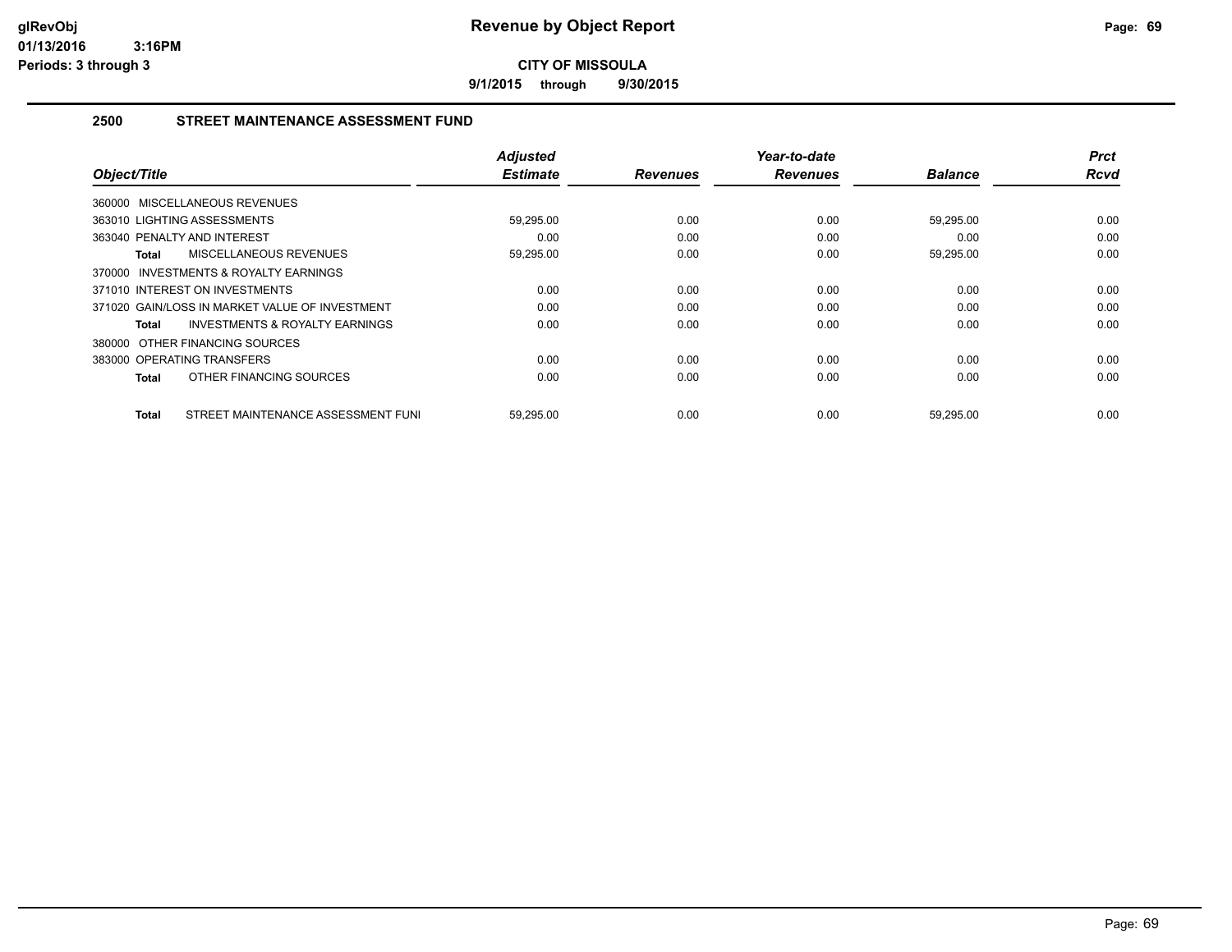**9/1/2015 through 9/30/2015**

#### **2500 STREET MAINTENANCE ASSESSMENT FUND**

| Object/Title                                       | <b>Adjusted</b><br><b>Estimate</b> | <b>Revenues</b> | Year-to-date<br><b>Revenues</b> | <b>Balance</b> | <b>Prct</b><br><b>Rcvd</b> |
|----------------------------------------------------|------------------------------------|-----------------|---------------------------------|----------------|----------------------------|
| 360000 MISCELLANEOUS REVENUES                      |                                    |                 |                                 |                |                            |
| 363010 LIGHTING ASSESSMENTS                        | 59,295.00                          | 0.00            | 0.00                            | 59,295.00      | 0.00                       |
| 363040 PENALTY AND INTEREST                        | 0.00                               | 0.00            | 0.00                            | 0.00           | 0.00                       |
| MISCELLANEOUS REVENUES<br>Total                    | 59,295.00                          | 0.00            | 0.00                            | 59,295.00      | 0.00                       |
| 370000 INVESTMENTS & ROYALTY EARNINGS              |                                    |                 |                                 |                |                            |
| 371010 INTEREST ON INVESTMENTS                     | 0.00                               | 0.00            | 0.00                            | 0.00           | 0.00                       |
| 371020 GAIN/LOSS IN MARKET VALUE OF INVESTMENT     | 0.00                               | 0.00            | 0.00                            | 0.00           | 0.00                       |
| <b>INVESTMENTS &amp; ROYALTY EARNINGS</b><br>Total | 0.00                               | 0.00            | 0.00                            | 0.00           | 0.00                       |
| 380000 OTHER FINANCING SOURCES                     |                                    |                 |                                 |                |                            |
| 383000 OPERATING TRANSFERS                         | 0.00                               | 0.00            | 0.00                            | 0.00           | 0.00                       |
| OTHER FINANCING SOURCES<br><b>Total</b>            | 0.00                               | 0.00            | 0.00                            | 0.00           | 0.00                       |
| STREET MAINTENANCE ASSESSMENT FUNI<br>Total        | 59,295.00                          | 0.00            | 0.00                            | 59,295.00      | 0.00                       |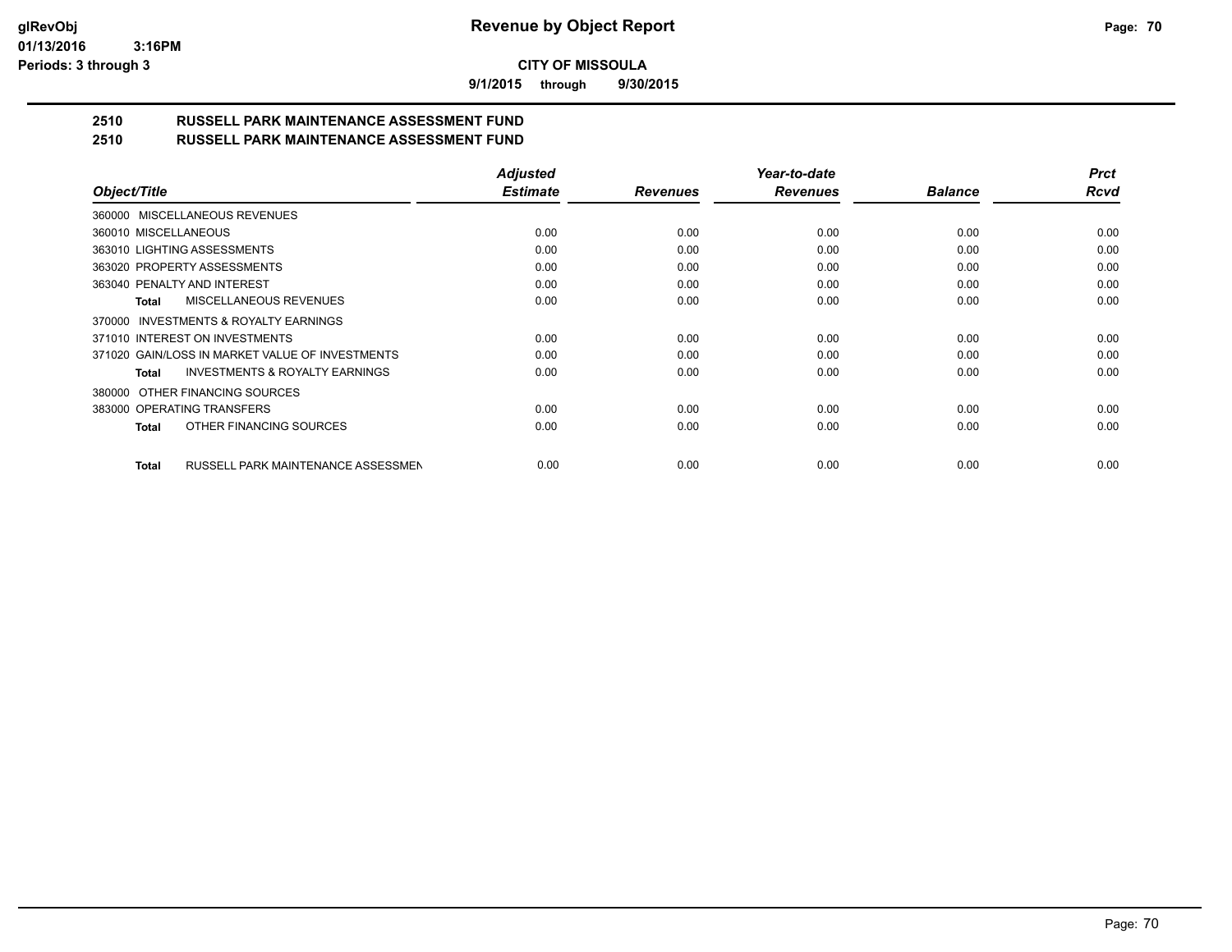**9/1/2015 through 9/30/2015**

# **2510 RUSSELL PARK MAINTENANCE ASSESSMENT FUND**

| 2510 | <b>RUSSELL PARK MAINTENANCE ASSESSMENT FUND</b> |
|------|-------------------------------------------------|
|------|-------------------------------------------------|

|                                                    | <b>Adjusted</b> |                 | Year-to-date    |                | Prct |
|----------------------------------------------------|-----------------|-----------------|-----------------|----------------|------|
| Object/Title                                       | <b>Estimate</b> | <b>Revenues</b> | <b>Revenues</b> | <b>Balance</b> | Rcvd |
| 360000 MISCELLANEOUS REVENUES                      |                 |                 |                 |                |      |
| 360010 MISCELLANEOUS                               | 0.00            | 0.00            | 0.00            | 0.00           | 0.00 |
| 363010 LIGHTING ASSESSMENTS                        | 0.00            | 0.00            | 0.00            | 0.00           | 0.00 |
| 363020 PROPERTY ASSESSMENTS                        | 0.00            | 0.00            | 0.00            | 0.00           | 0.00 |
| 363040 PENALTY AND INTEREST                        | 0.00            | 0.00            | 0.00            | 0.00           | 0.00 |
| MISCELLANEOUS REVENUES<br>Total                    | 0.00            | 0.00            | 0.00            | 0.00           | 0.00 |
| 370000 INVESTMENTS & ROYALTY EARNINGS              |                 |                 |                 |                |      |
| 371010 INTEREST ON INVESTMENTS                     | 0.00            | 0.00            | 0.00            | 0.00           | 0.00 |
| 371020 GAIN/LOSS IN MARKET VALUE OF INVESTMENTS    | 0.00            | 0.00            | 0.00            | 0.00           | 0.00 |
| <b>INVESTMENTS &amp; ROYALTY EARNINGS</b><br>Total | 0.00            | 0.00            | 0.00            | 0.00           | 0.00 |
| 380000 OTHER FINANCING SOURCES                     |                 |                 |                 |                |      |
| 383000 OPERATING TRANSFERS                         | 0.00            | 0.00            | 0.00            | 0.00           | 0.00 |
| OTHER FINANCING SOURCES<br>Total                   | 0.00            | 0.00            | 0.00            | 0.00           | 0.00 |
| RUSSELL PARK MAINTENANCE ASSESSMEN<br>Total        | 0.00            | 0.00            | 0.00            | 0.00           | 0.00 |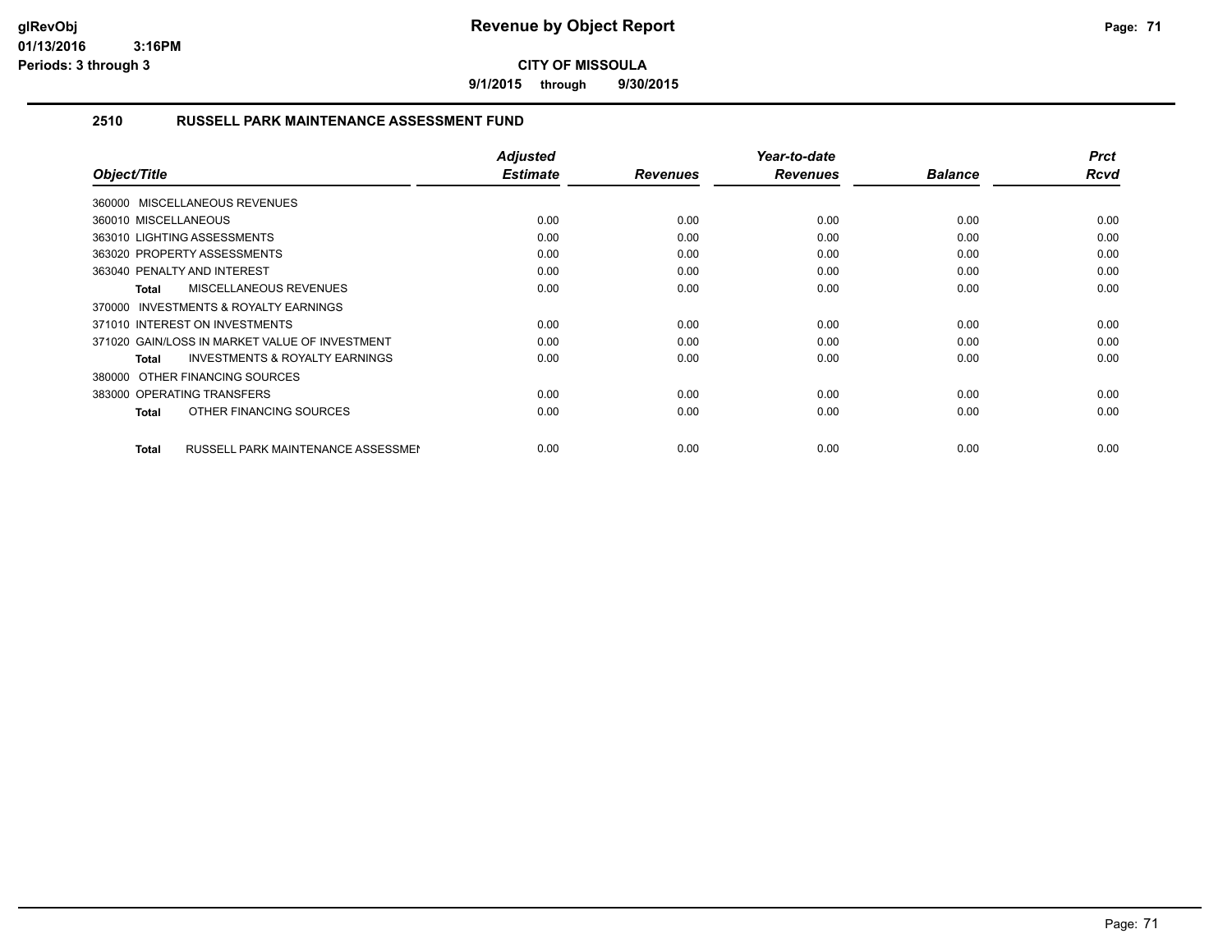**9/1/2015 through 9/30/2015**

#### **2510 RUSSELL PARK MAINTENANCE ASSESSMENT FUND**

| Object/Title                                       | <b>Adjusted</b><br><b>Estimate</b> | <b>Revenues</b> | Year-to-date<br><b>Revenues</b> | <b>Balance</b> | <b>Prct</b><br>Rcvd |
|----------------------------------------------------|------------------------------------|-----------------|---------------------------------|----------------|---------------------|
| 360000 MISCELLANEOUS REVENUES                      |                                    |                 |                                 |                |                     |
| 360010 MISCELLANEOUS                               | 0.00                               | 0.00            | 0.00                            | 0.00           | 0.00                |
| 363010 LIGHTING ASSESSMENTS                        | 0.00                               | 0.00            | 0.00                            | 0.00           | 0.00                |
| 363020 PROPERTY ASSESSMENTS                        | 0.00                               | 0.00            | 0.00                            | 0.00           | 0.00                |
| 363040 PENALTY AND INTEREST                        | 0.00                               | 0.00            | 0.00                            | 0.00           | 0.00                |
| <b>MISCELLANEOUS REVENUES</b><br>Total             | 0.00                               | 0.00            | 0.00                            | 0.00           | 0.00                |
| 370000 INVESTMENTS & ROYALTY EARNINGS              |                                    |                 |                                 |                |                     |
| 371010 INTEREST ON INVESTMENTS                     | 0.00                               | 0.00            | 0.00                            | 0.00           | 0.00                |
| 371020 GAIN/LOSS IN MARKET VALUE OF INVESTMENT     | 0.00                               | 0.00            | 0.00                            | 0.00           | 0.00                |
| <b>INVESTMENTS &amp; ROYALTY EARNINGS</b><br>Total | 0.00                               | 0.00            | 0.00                            | 0.00           | 0.00                |
| 380000 OTHER FINANCING SOURCES                     |                                    |                 |                                 |                |                     |
| 383000 OPERATING TRANSFERS                         | 0.00                               | 0.00            | 0.00                            | 0.00           | 0.00                |
| OTHER FINANCING SOURCES<br>Total                   | 0.00                               | 0.00            | 0.00                            | 0.00           | 0.00                |
|                                                    |                                    |                 |                                 |                |                     |
| RUSSELL PARK MAINTENANCE ASSESSMEN<br>Total        | 0.00                               | 0.00            | 0.00                            | 0.00           | 0.00                |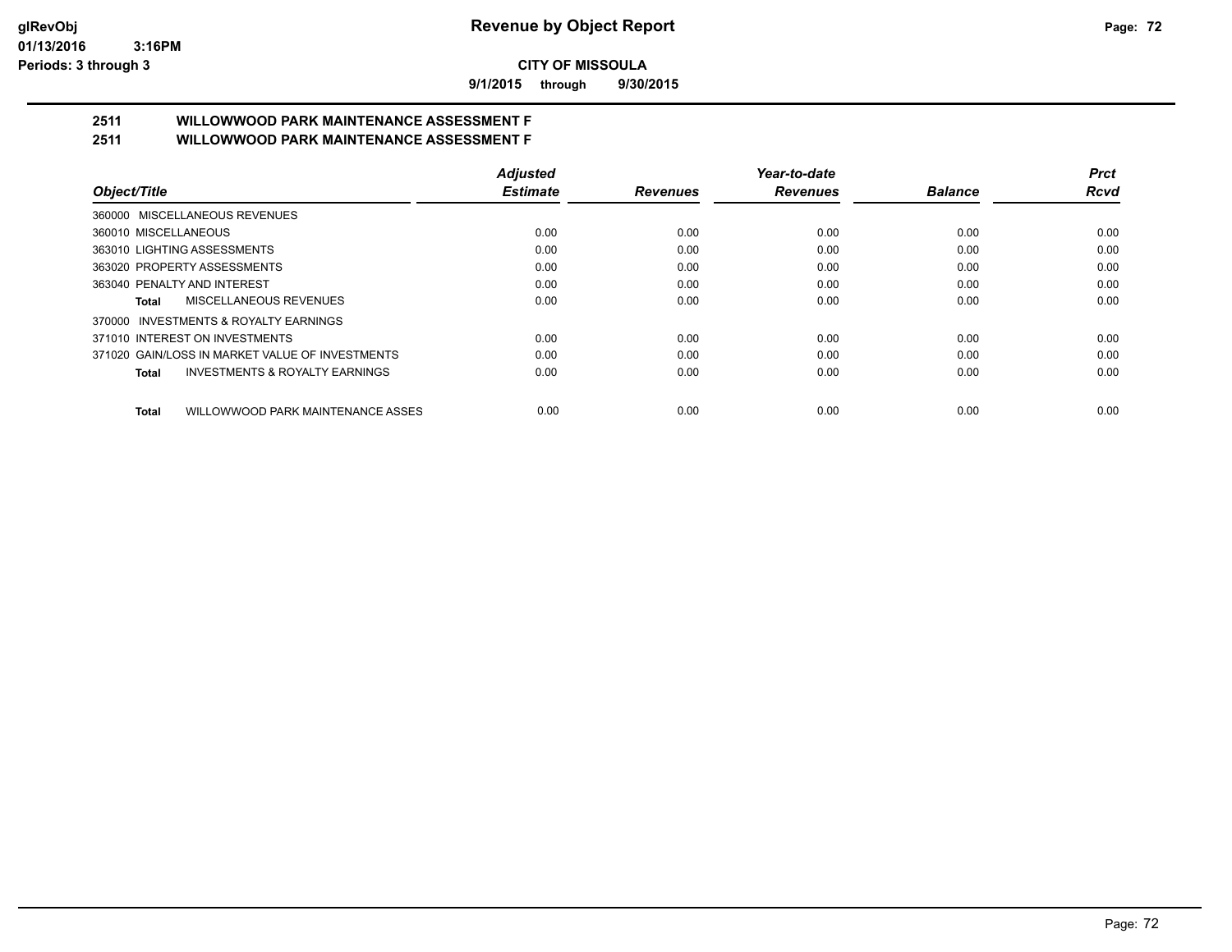**9/1/2015 through 9/30/2015**

# **2511 WILLOWWOOD PARK MAINTENANCE ASSESSMENT F**

**2511 WILLOWWOOD PARK MAINTENANCE ASSESSMENT F**

| Object/Title                                       | <b>Adjusted</b> |                 | Year-to-date    |                | Prct |
|----------------------------------------------------|-----------------|-----------------|-----------------|----------------|------|
|                                                    | <b>Estimate</b> | <b>Revenues</b> | <b>Revenues</b> | <b>Balance</b> | Rcvd |
| 360000 MISCELLANEOUS REVENUES                      |                 |                 |                 |                |      |
| 360010 MISCELLANEOUS                               | 0.00            | 0.00            | 0.00            | 0.00           | 0.00 |
| 363010 LIGHTING ASSESSMENTS                        | 0.00            | 0.00            | 0.00            | 0.00           | 0.00 |
| 363020 PROPERTY ASSESSMENTS                        | 0.00            | 0.00            | 0.00            | 0.00           | 0.00 |
| 363040 PENALTY AND INTEREST                        | 0.00            | 0.00            | 0.00            | 0.00           | 0.00 |
| MISCELLANEOUS REVENUES<br>Total                    | 0.00            | 0.00            | 0.00            | 0.00           | 0.00 |
| 370000 INVESTMENTS & ROYALTY EARNINGS              |                 |                 |                 |                |      |
| 371010 INTEREST ON INVESTMENTS                     | 0.00            | 0.00            | 0.00            | 0.00           | 0.00 |
| 371020 GAIN/LOSS IN MARKET VALUE OF INVESTMENTS    | 0.00            | 0.00            | 0.00            | 0.00           | 0.00 |
| <b>INVESTMENTS &amp; ROYALTY EARNINGS</b><br>Total | 0.00            | 0.00            | 0.00            | 0.00           | 0.00 |
| WILLOWWOOD PARK MAINTENANCE ASSES<br><b>Total</b>  | 0.00            | 0.00            | 0.00            | 0.00           | 0.00 |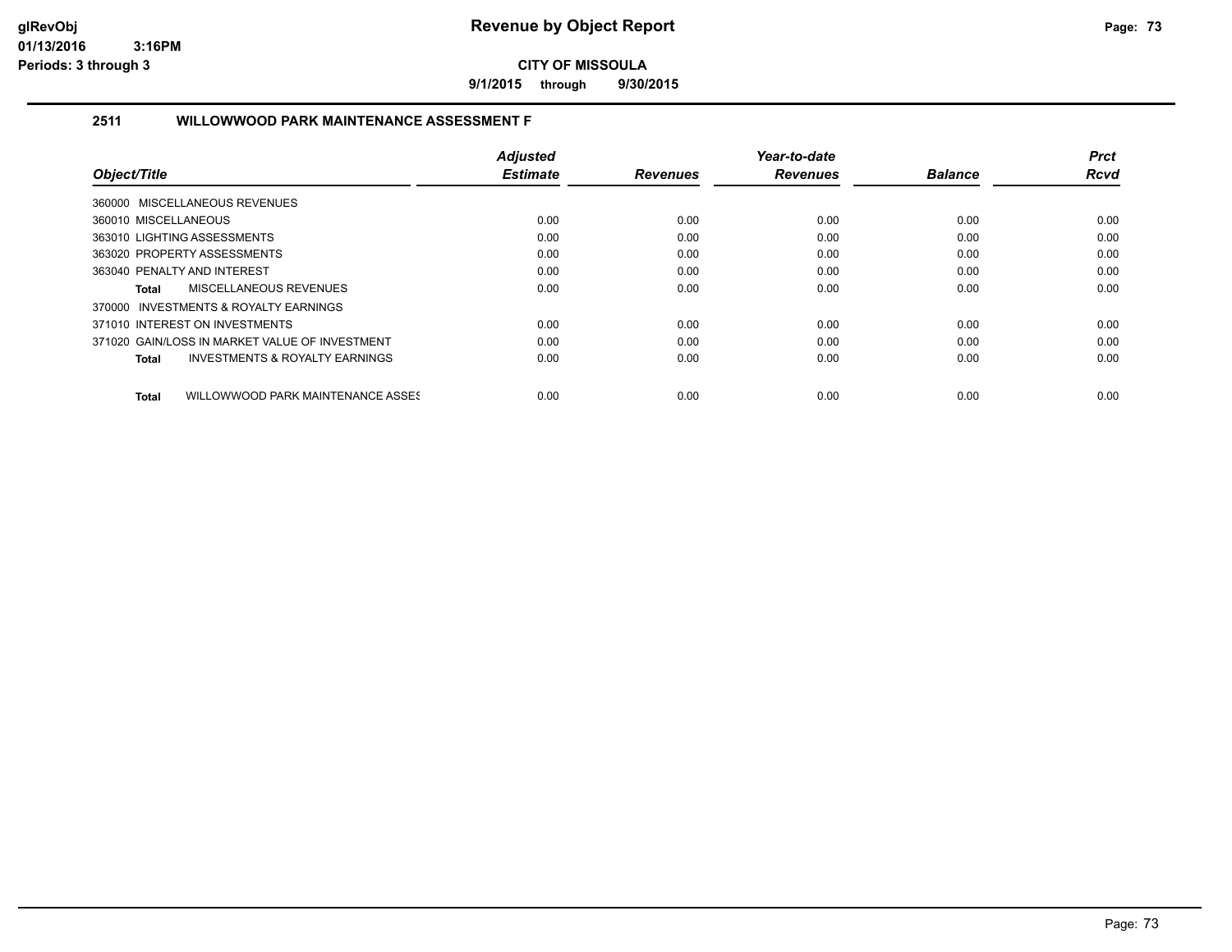**9/1/2015 through 9/30/2015**

# **2511 WILLOWWOOD PARK MAINTENANCE ASSESSMENT F**

|                                                    | <b>Adjusted</b> |                 | Year-to-date    |                | <b>Prct</b> |
|----------------------------------------------------|-----------------|-----------------|-----------------|----------------|-------------|
| Object/Title                                       | <b>Estimate</b> | <b>Revenues</b> | <b>Revenues</b> | <b>Balance</b> | <b>Rcvd</b> |
| 360000 MISCELLANEOUS REVENUES                      |                 |                 |                 |                |             |
| 360010 MISCELLANEOUS                               | 0.00            | 0.00            | 0.00            | 0.00           | 0.00        |
| 363010 LIGHTING ASSESSMENTS                        | 0.00            | 0.00            | 0.00            | 0.00           | 0.00        |
| 363020 PROPERTY ASSESSMENTS                        | 0.00            | 0.00            | 0.00            | 0.00           | 0.00        |
| 363040 PENALTY AND INTEREST                        | 0.00            | 0.00            | 0.00            | 0.00           | 0.00        |
| MISCELLANEOUS REVENUES<br>Total                    | 0.00            | 0.00            | 0.00            | 0.00           | 0.00        |
| 370000 INVESTMENTS & ROYALTY EARNINGS              |                 |                 |                 |                |             |
| 371010 INTEREST ON INVESTMENTS                     | 0.00            | 0.00            | 0.00            | 0.00           | 0.00        |
| 371020 GAIN/LOSS IN MARKET VALUE OF INVESTMENT     | 0.00            | 0.00            | 0.00            | 0.00           | 0.00        |
| <b>INVESTMENTS &amp; ROYALTY EARNINGS</b><br>Total | 0.00            | 0.00            | 0.00            | 0.00           | 0.00        |
|                                                    |                 |                 |                 |                |             |
| WILLOWWOOD PARK MAINTENANCE ASSES<br><b>Total</b>  | 0.00            | 0.00            | 0.00            | 0.00           | 0.00        |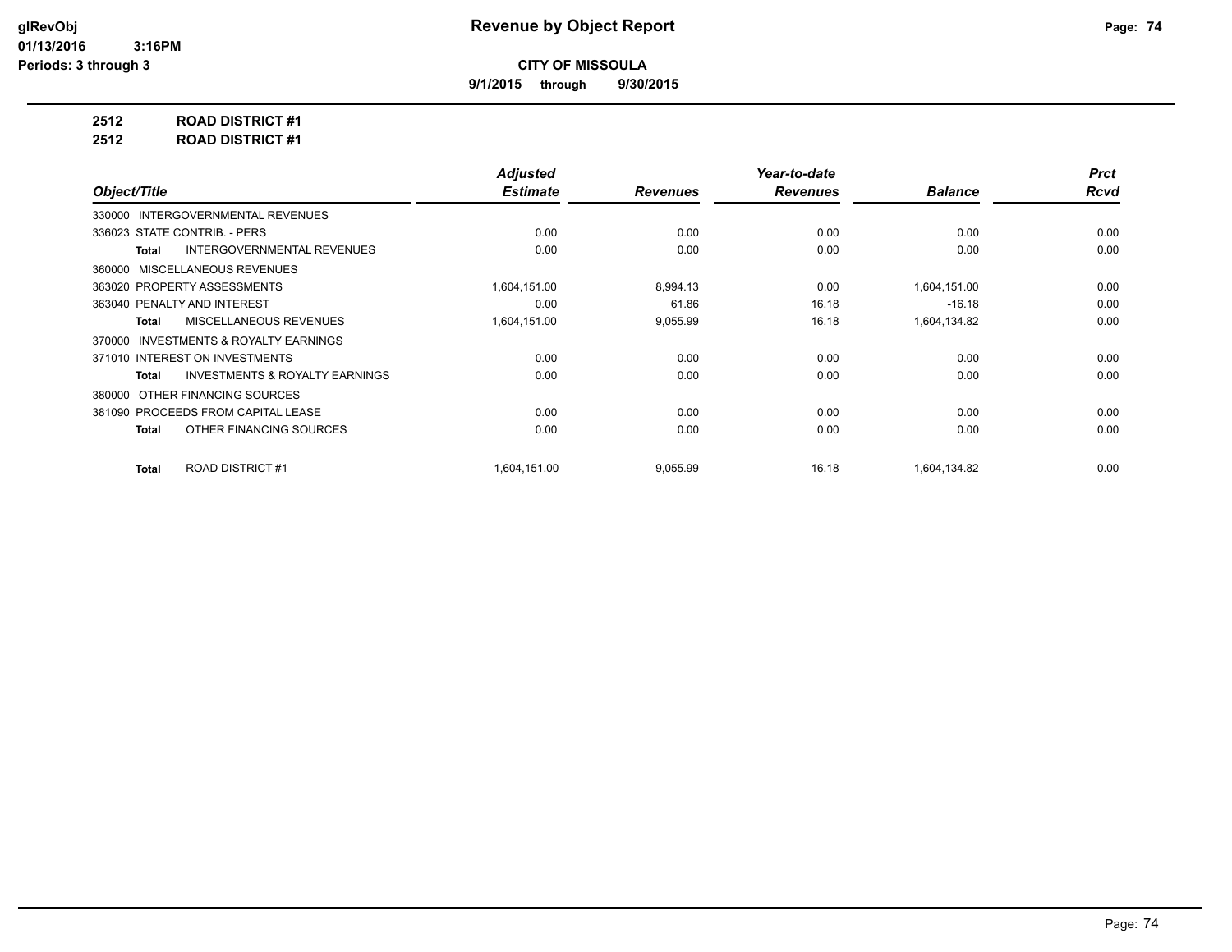**9/1/2015 through 9/30/2015**

**2512 ROAD DISTRICT #1**

**2512 ROAD DISTRICT #1**

|                                                           | <b>Adjusted</b> |                 | Year-to-date    |                | <b>Prct</b> |
|-----------------------------------------------------------|-----------------|-----------------|-----------------|----------------|-------------|
| Object/Title                                              | <b>Estimate</b> | <b>Revenues</b> | <b>Revenues</b> | <b>Balance</b> | <b>Rcvd</b> |
| 330000 INTERGOVERNMENTAL REVENUES                         |                 |                 |                 |                |             |
| 336023 STATE CONTRIB. - PERS                              | 0.00            | 0.00            | 0.00            | 0.00           | 0.00        |
| <b>INTERGOVERNMENTAL REVENUES</b><br><b>Total</b>         | 0.00            | 0.00            | 0.00            | 0.00           | 0.00        |
| 360000 MISCELLANEOUS REVENUES                             |                 |                 |                 |                |             |
| 363020 PROPERTY ASSESSMENTS                               | 1,604,151.00    | 8,994.13        | 0.00            | 1,604,151.00   | 0.00        |
| 363040 PENALTY AND INTEREST                               | 0.00            | 61.86           | 16.18           | $-16.18$       | 0.00        |
| MISCELLANEOUS REVENUES<br><b>Total</b>                    | 1,604,151.00    | 9,055.99        | 16.18           | 1,604,134.82   | 0.00        |
| INVESTMENTS & ROYALTY EARNINGS<br>370000                  |                 |                 |                 |                |             |
| 371010 INTEREST ON INVESTMENTS                            | 0.00            | 0.00            | 0.00            | 0.00           | 0.00        |
| <b>INVESTMENTS &amp; ROYALTY EARNINGS</b><br><b>Total</b> | 0.00            | 0.00            | 0.00            | 0.00           | 0.00        |
| OTHER FINANCING SOURCES<br>380000                         |                 |                 |                 |                |             |
| 381090 PROCEEDS FROM CAPITAL LEASE                        | 0.00            | 0.00            | 0.00            | 0.00           | 0.00        |
| OTHER FINANCING SOURCES<br><b>Total</b>                   | 0.00            | 0.00            | 0.00            | 0.00           | 0.00        |
|                                                           |                 |                 |                 |                |             |
| <b>ROAD DISTRICT #1</b><br><b>Total</b>                   | 1,604,151.00    | 9,055.99        | 16.18           | 1,604,134.82   | 0.00        |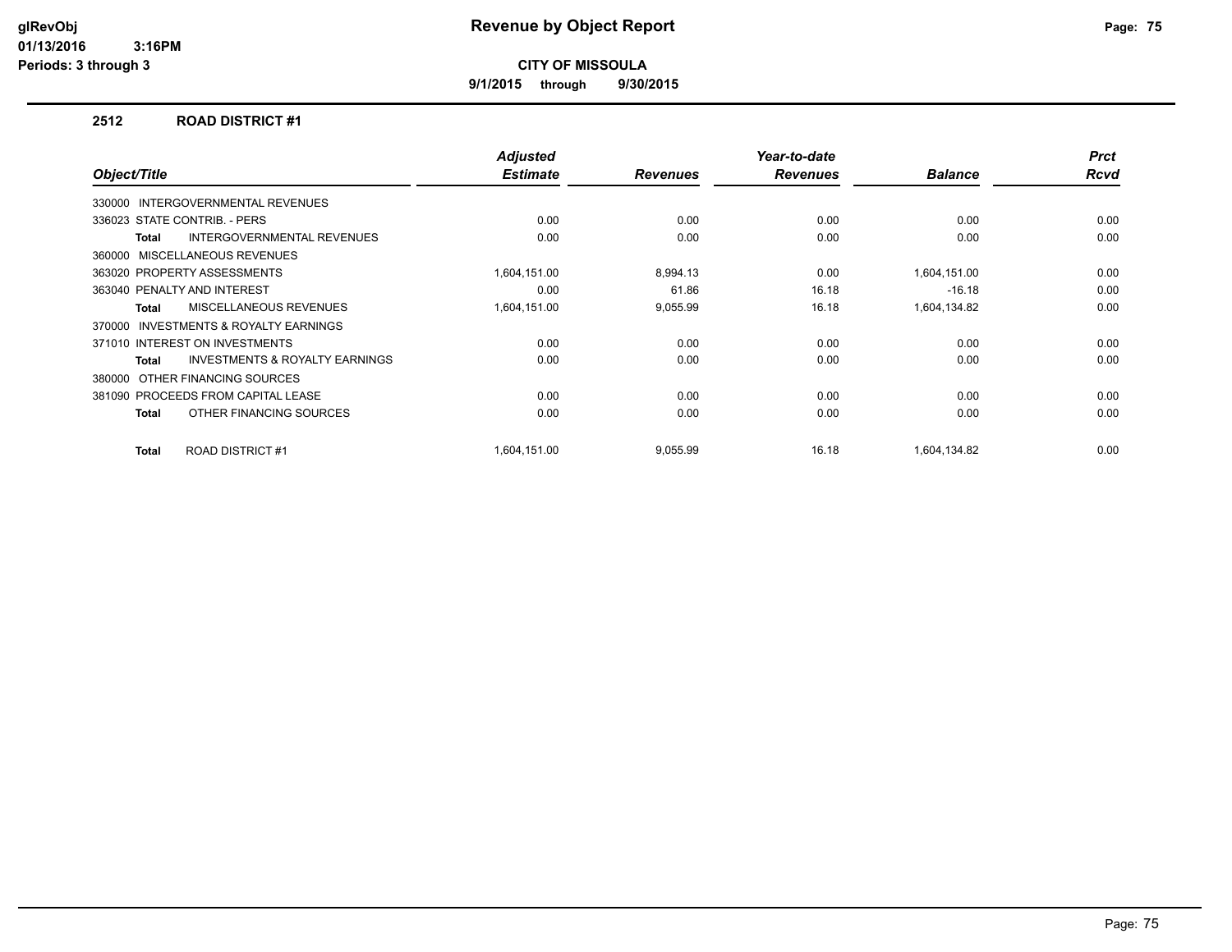**9/1/2015 through 9/30/2015**

## **2512 ROAD DISTRICT #1**

| Object/Title                                              | <b>Adjusted</b><br><b>Estimate</b> | <b>Revenues</b> | Year-to-date<br><b>Revenues</b> | <b>Balance</b> | <b>Prct</b><br><b>Rcvd</b> |
|-----------------------------------------------------------|------------------------------------|-----------------|---------------------------------|----------------|----------------------------|
| 330000 INTERGOVERNMENTAL REVENUES                         |                                    |                 |                                 |                |                            |
| 336023 STATE CONTRIB. - PERS                              | 0.00                               | 0.00            | 0.00                            | 0.00           | 0.00                       |
| <b>INTERGOVERNMENTAL REVENUES</b><br><b>Total</b>         | 0.00                               | 0.00            | 0.00                            | 0.00           | 0.00                       |
| MISCELLANEOUS REVENUES<br>360000                          |                                    |                 |                                 |                |                            |
| 363020 PROPERTY ASSESSMENTS                               | 1,604,151.00                       | 8,994.13        | 0.00                            | 1,604,151.00   | 0.00                       |
| 363040 PENALTY AND INTEREST                               | 0.00                               | 61.86           | 16.18                           | $-16.18$       | 0.00                       |
| <b>MISCELLANEOUS REVENUES</b><br>Total                    | 1,604,151.00                       | 9,055.99        | 16.18                           | 1,604,134.82   | 0.00                       |
| <b>INVESTMENTS &amp; ROYALTY EARNINGS</b><br>370000       |                                    |                 |                                 |                |                            |
| 371010 INTEREST ON INVESTMENTS                            | 0.00                               | 0.00            | 0.00                            | 0.00           | 0.00                       |
| <b>INVESTMENTS &amp; ROYALTY EARNINGS</b><br><b>Total</b> | 0.00                               | 0.00            | 0.00                            | 0.00           | 0.00                       |
| 380000 OTHER FINANCING SOURCES                            |                                    |                 |                                 |                |                            |
| 381090 PROCEEDS FROM CAPITAL LEASE                        | 0.00                               | 0.00            | 0.00                            | 0.00           | 0.00                       |
| OTHER FINANCING SOURCES<br><b>Total</b>                   | 0.00                               | 0.00            | 0.00                            | 0.00           | 0.00                       |
|                                                           |                                    |                 |                                 |                |                            |
| <b>ROAD DISTRICT #1</b><br>Total                          | 1,604,151.00                       | 9,055.99        | 16.18                           | 1,604,134.82   | 0.00                       |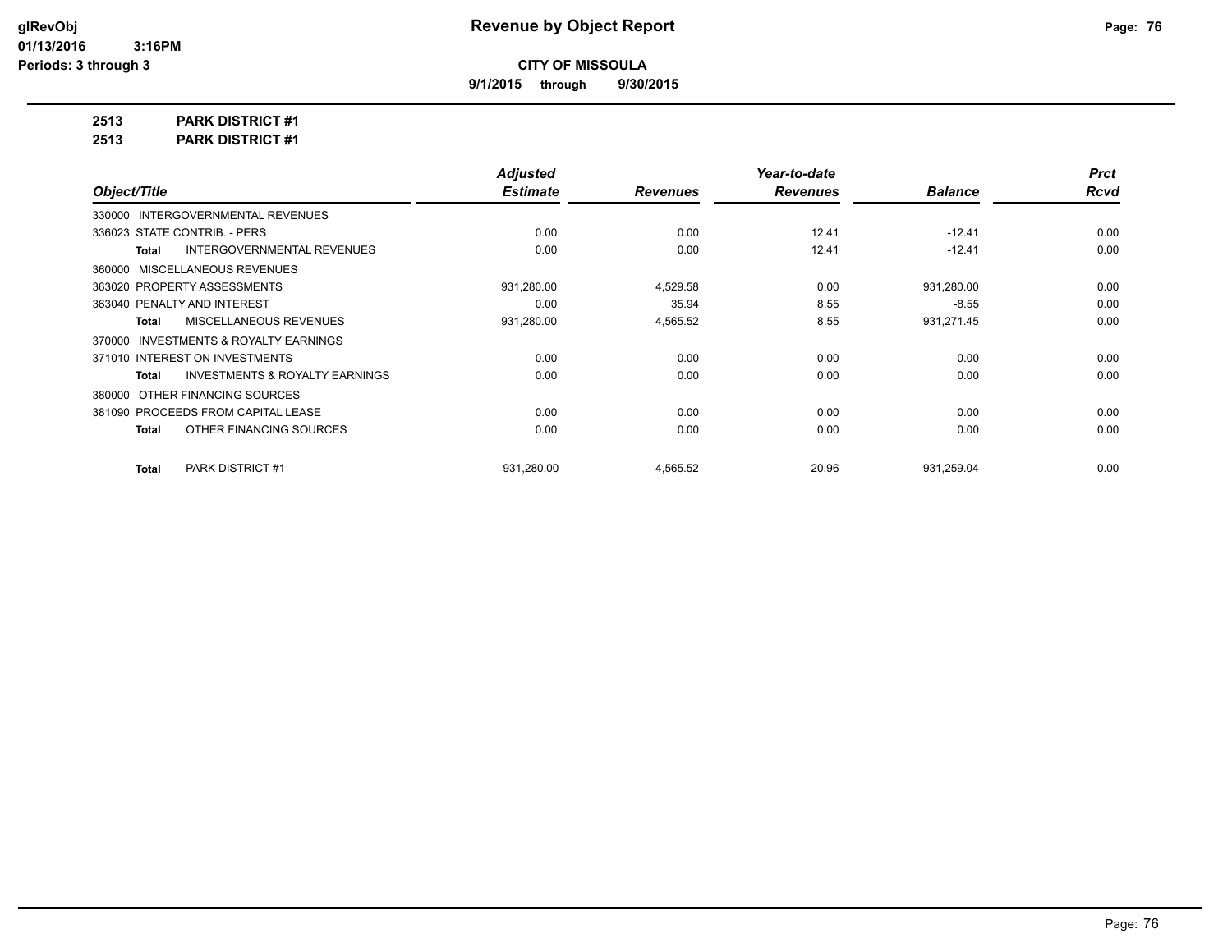**9/1/2015 through 9/30/2015**

**2513 PARK DISTRICT #1**

**2513 PARK DISTRICT #1**

|                                                    | <b>Adjusted</b> |                 | Year-to-date    |                | <b>Prct</b> |
|----------------------------------------------------|-----------------|-----------------|-----------------|----------------|-------------|
| Object/Title                                       | <b>Estimate</b> | <b>Revenues</b> | <b>Revenues</b> | <b>Balance</b> | <b>Rcvd</b> |
| 330000 INTERGOVERNMENTAL REVENUES                  |                 |                 |                 |                |             |
| 336023 STATE CONTRIB. - PERS                       | 0.00            | 0.00            | 12.41           | $-12.41$       | 0.00        |
| <b>INTERGOVERNMENTAL REVENUES</b><br>Total         | 0.00            | 0.00            | 12.41           | $-12.41$       | 0.00        |
| 360000 MISCELLANEOUS REVENUES                      |                 |                 |                 |                |             |
| 363020 PROPERTY ASSESSMENTS                        | 931,280.00      | 4,529.58        | 0.00            | 931,280.00     | 0.00        |
| 363040 PENALTY AND INTEREST                        | 0.00            | 35.94           | 8.55            | $-8.55$        | 0.00        |
| MISCELLANEOUS REVENUES<br>Total                    | 931,280.00      | 4,565.52        | 8.55            | 931,271.45     | 0.00        |
| 370000 INVESTMENTS & ROYALTY EARNINGS              |                 |                 |                 |                |             |
| 371010 INTEREST ON INVESTMENTS                     | 0.00            | 0.00            | 0.00            | 0.00           | 0.00        |
| <b>INVESTMENTS &amp; ROYALTY EARNINGS</b><br>Total | 0.00            | 0.00            | 0.00            | 0.00           | 0.00        |
| 380000 OTHER FINANCING SOURCES                     |                 |                 |                 |                |             |
| 381090 PROCEEDS FROM CAPITAL LEASE                 | 0.00            | 0.00            | 0.00            | 0.00           | 0.00        |
| OTHER FINANCING SOURCES<br>Total                   | 0.00            | 0.00            | 0.00            | 0.00           | 0.00        |
|                                                    |                 |                 |                 |                |             |
| <b>PARK DISTRICT #1</b><br><b>Total</b>            | 931,280.00      | 4,565.52        | 20.96           | 931,259.04     | 0.00        |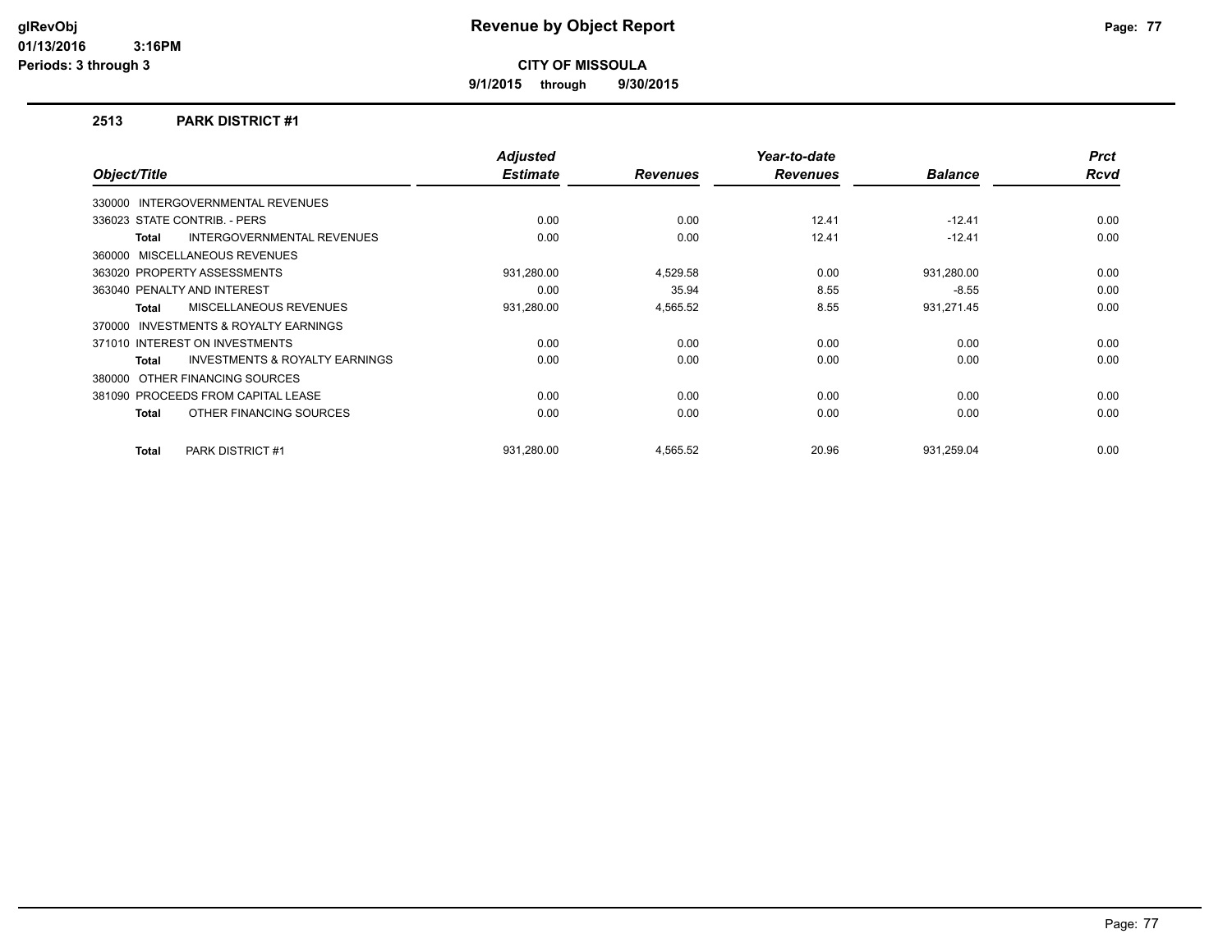**9/1/2015 through 9/30/2015**

## **2513 PARK DISTRICT #1**

|              |                                           | <b>Adjusted</b> |                 | Year-to-date    |                | <b>Prct</b> |
|--------------|-------------------------------------------|-----------------|-----------------|-----------------|----------------|-------------|
| Object/Title |                                           | <b>Estimate</b> | <b>Revenues</b> | <b>Revenues</b> | <b>Balance</b> | <b>Rcvd</b> |
|              | 330000 INTERGOVERNMENTAL REVENUES         |                 |                 |                 |                |             |
|              | 336023 STATE CONTRIB. - PERS              | 0.00            | 0.00            | 12.41           | $-12.41$       | 0.00        |
| Total        | <b>INTERGOVERNMENTAL REVENUES</b>         | 0.00            | 0.00            | 12.41           | $-12.41$       | 0.00        |
|              | 360000 MISCELLANEOUS REVENUES             |                 |                 |                 |                |             |
|              | 363020 PROPERTY ASSESSMENTS               | 931,280.00      | 4,529.58        | 0.00            | 931,280.00     | 0.00        |
|              | 363040 PENALTY AND INTEREST               | 0.00            | 35.94           | 8.55            | $-8.55$        | 0.00        |
| Total        | MISCELLANEOUS REVENUES                    | 931,280.00      | 4,565.52        | 8.55            | 931,271.45     | 0.00        |
|              | 370000 INVESTMENTS & ROYALTY EARNINGS     |                 |                 |                 |                |             |
|              | 371010 INTEREST ON INVESTMENTS            | 0.00            | 0.00            | 0.00            | 0.00           | 0.00        |
| Total        | <b>INVESTMENTS &amp; ROYALTY EARNINGS</b> | 0.00            | 0.00            | 0.00            | 0.00           | 0.00        |
|              | 380000 OTHER FINANCING SOURCES            |                 |                 |                 |                |             |
|              | 381090 PROCEEDS FROM CAPITAL LEASE        | 0.00            | 0.00            | 0.00            | 0.00           | 0.00        |
| Total        | OTHER FINANCING SOURCES                   | 0.00            | 0.00            | 0.00            | 0.00           | 0.00        |
| Total        | <b>PARK DISTRICT #1</b>                   | 931.280.00      | 4,565.52        | 20.96           | 931.259.04     | 0.00        |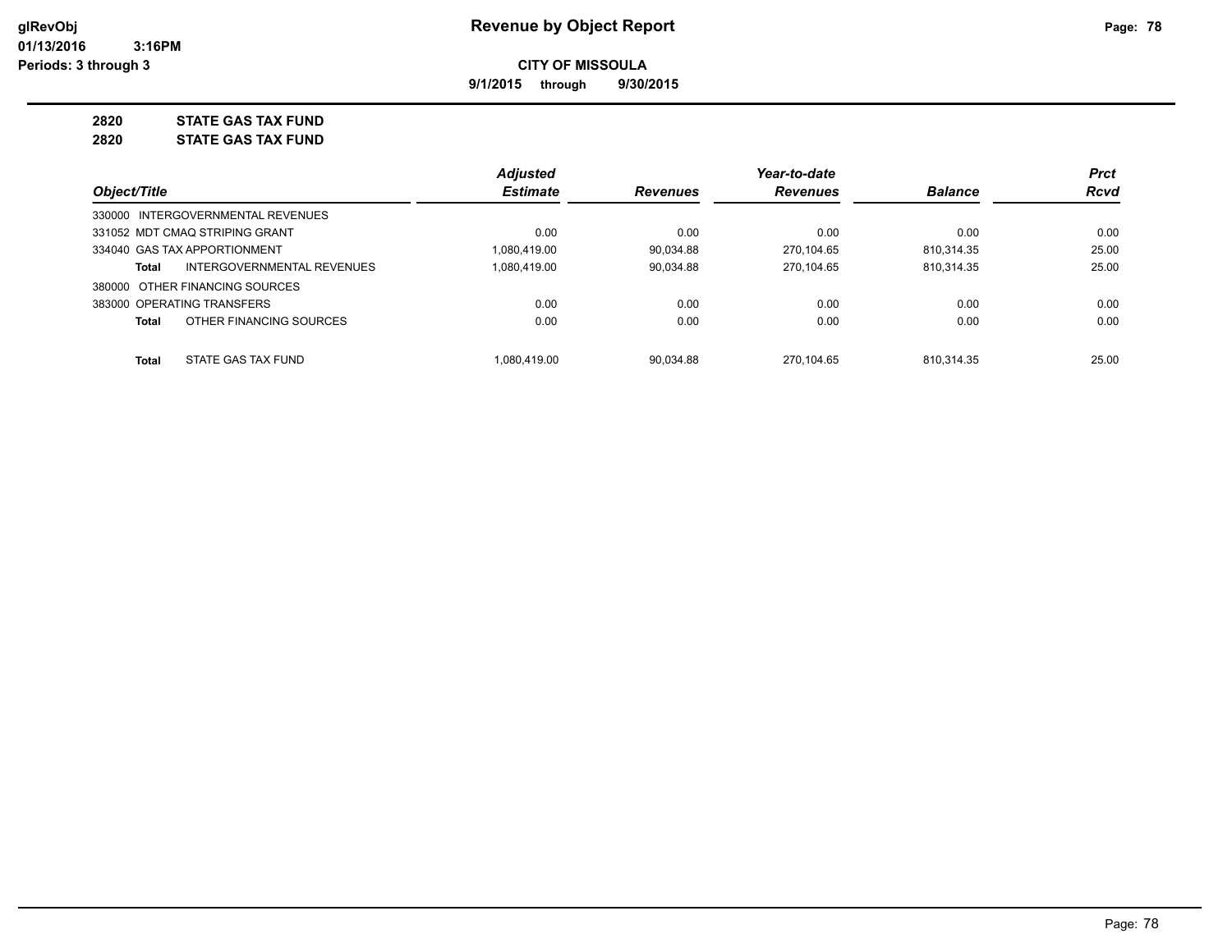**9/1/2015 through 9/30/2015**

**2820 STATE GAS TAX FUND**

**2820 STATE GAS TAX FUND**

|              |                                   | <b>Adjusted</b> |                 | Year-to-date    |                | <b>Prct</b> |
|--------------|-----------------------------------|-----------------|-----------------|-----------------|----------------|-------------|
| Object/Title |                                   | <b>Estimate</b> | <b>Revenues</b> | <b>Revenues</b> | <b>Balance</b> | <b>Rcvd</b> |
|              | 330000 INTERGOVERNMENTAL REVENUES |                 |                 |                 |                |             |
|              | 331052 MDT CMAQ STRIPING GRANT    | 0.00            | 0.00            | 0.00            | 0.00           | 0.00        |
|              | 334040 GAS TAX APPORTIONMENT      | 1.080.419.00    | 90.034.88       | 270.104.65      | 810.314.35     | 25.00       |
| Total        | INTERGOVERNMENTAL REVENUES        | 1.080.419.00    | 90.034.88       | 270.104.65      | 810,314.35     | 25.00       |
|              | 380000 OTHER FINANCING SOURCES    |                 |                 |                 |                |             |
|              | 383000 OPERATING TRANSFERS        | 0.00            | 0.00            | 0.00            | 0.00           | 0.00        |
| Total        | OTHER FINANCING SOURCES           | 0.00            | 0.00            | 0.00            | 0.00           | 0.00        |
| Total        | STATE GAS TAX FUND                | 1.080.419.00    | 90.034.88       | 270.104.65      | 810.314.35     | 25.00       |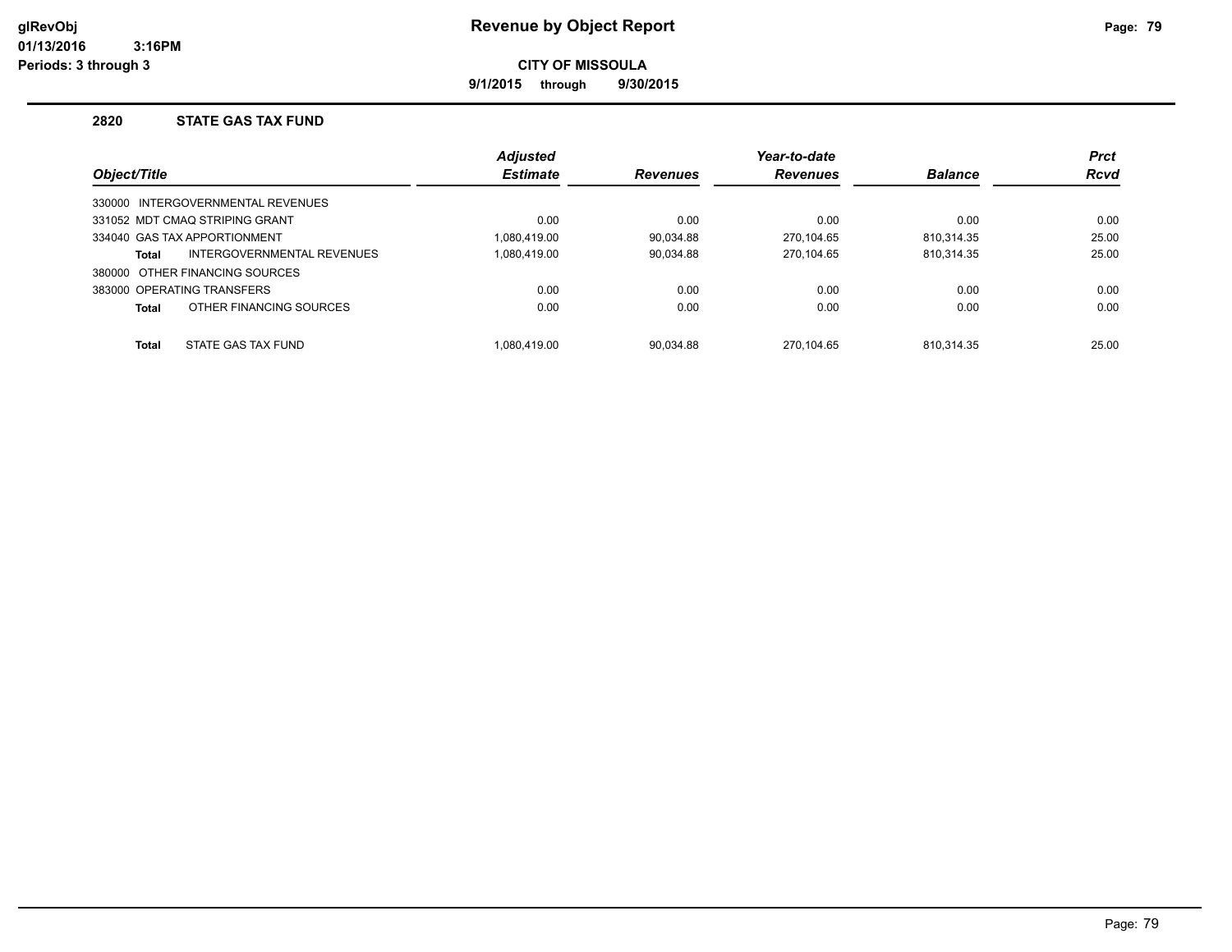**9/1/2015 through 9/30/2015**

## **2820 STATE GAS TAX FUND**

|              |                                   | <b>Adjusted</b> |                 | Year-to-date    |                | <b>Prct</b> |
|--------------|-----------------------------------|-----------------|-----------------|-----------------|----------------|-------------|
| Object/Title |                                   | <b>Estimate</b> | <b>Revenues</b> | <b>Revenues</b> | <b>Balance</b> | <b>Rcvd</b> |
|              | 330000 INTERGOVERNMENTAL REVENUES |                 |                 |                 |                |             |
|              | 331052 MDT CMAQ STRIPING GRANT    | 0.00            | 0.00            | 0.00            | 0.00           | 0.00        |
|              | 334040 GAS TAX APPORTIONMENT      | 1.080.419.00    | 90.034.88       | 270.104.65      | 810.314.35     | 25.00       |
| Total        | INTERGOVERNMENTAL REVENUES        | 1.080.419.00    | 90,034.88       | 270.104.65      | 810,314.35     | 25.00       |
|              | 380000 OTHER FINANCING SOURCES    |                 |                 |                 |                |             |
|              | 383000 OPERATING TRANSFERS        | 0.00            | 0.00            | 0.00            | 0.00           | 0.00        |
| Total        | OTHER FINANCING SOURCES           | 0.00            | 0.00            | 0.00            | 0.00           | 0.00        |
| <b>Total</b> | STATE GAS TAX FUND                | 1.080.419.00    | 90.034.88       | 270.104.65      | 810.314.35     | 25.00       |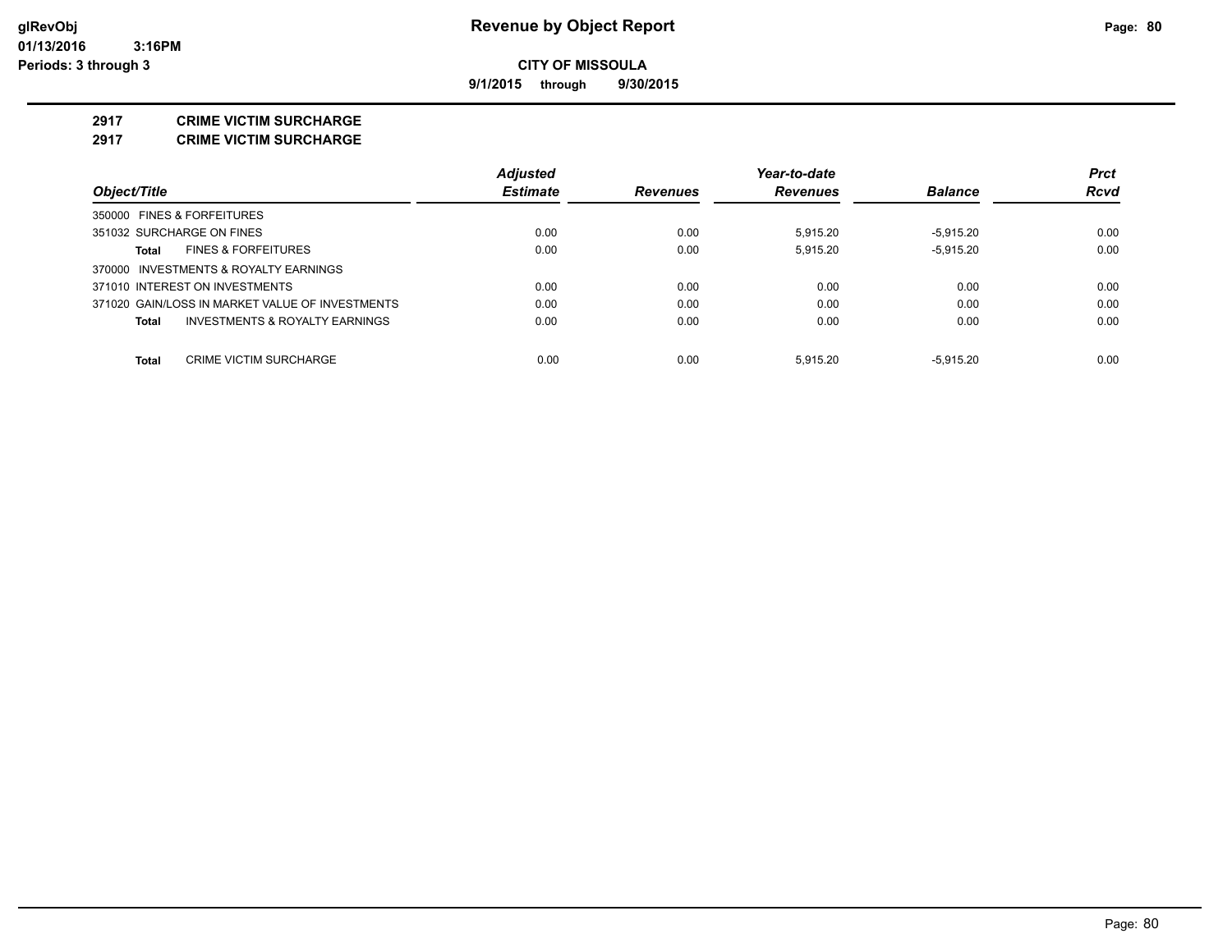**9/1/2015 through 9/30/2015**

#### **2917 CRIME VICTIM SURCHARGE**

**2917 CRIME VICTIM SURCHARGE**

|                                                    | <b>Adjusted</b> |                 | Year-to-date    |                | <b>Prct</b> |
|----------------------------------------------------|-----------------|-----------------|-----------------|----------------|-------------|
| Object/Title                                       | <b>Estimate</b> | <b>Revenues</b> | <b>Revenues</b> | <b>Balance</b> | Rcvd        |
| 350000 FINES & FORFEITURES                         |                 |                 |                 |                |             |
| 351032 SURCHARGE ON FINES                          | 0.00            | 0.00            | 5.915.20        | $-5.915.20$    | 0.00        |
| <b>FINES &amp; FORFEITURES</b><br>Total            | 0.00            | 0.00            | 5.915.20        | $-5.915.20$    | 0.00        |
| 370000 INVESTMENTS & ROYALTY EARNINGS              |                 |                 |                 |                |             |
| 371010 INTEREST ON INVESTMENTS                     | 0.00            | 0.00            | 0.00            | 0.00           | 0.00        |
| 371020 GAIN/LOSS IN MARKET VALUE OF INVESTMENTS    | 0.00            | 0.00            | 0.00            | 0.00           | 0.00        |
| <b>INVESTMENTS &amp; ROYALTY EARNINGS</b><br>Total | 0.00            | 0.00            | 0.00            | 0.00           | 0.00        |
| Total<br><b>CRIME VICTIM SURCHARGE</b>             | 0.00            | 0.00            | 5.915.20        | $-5.915.20$    | 0.00        |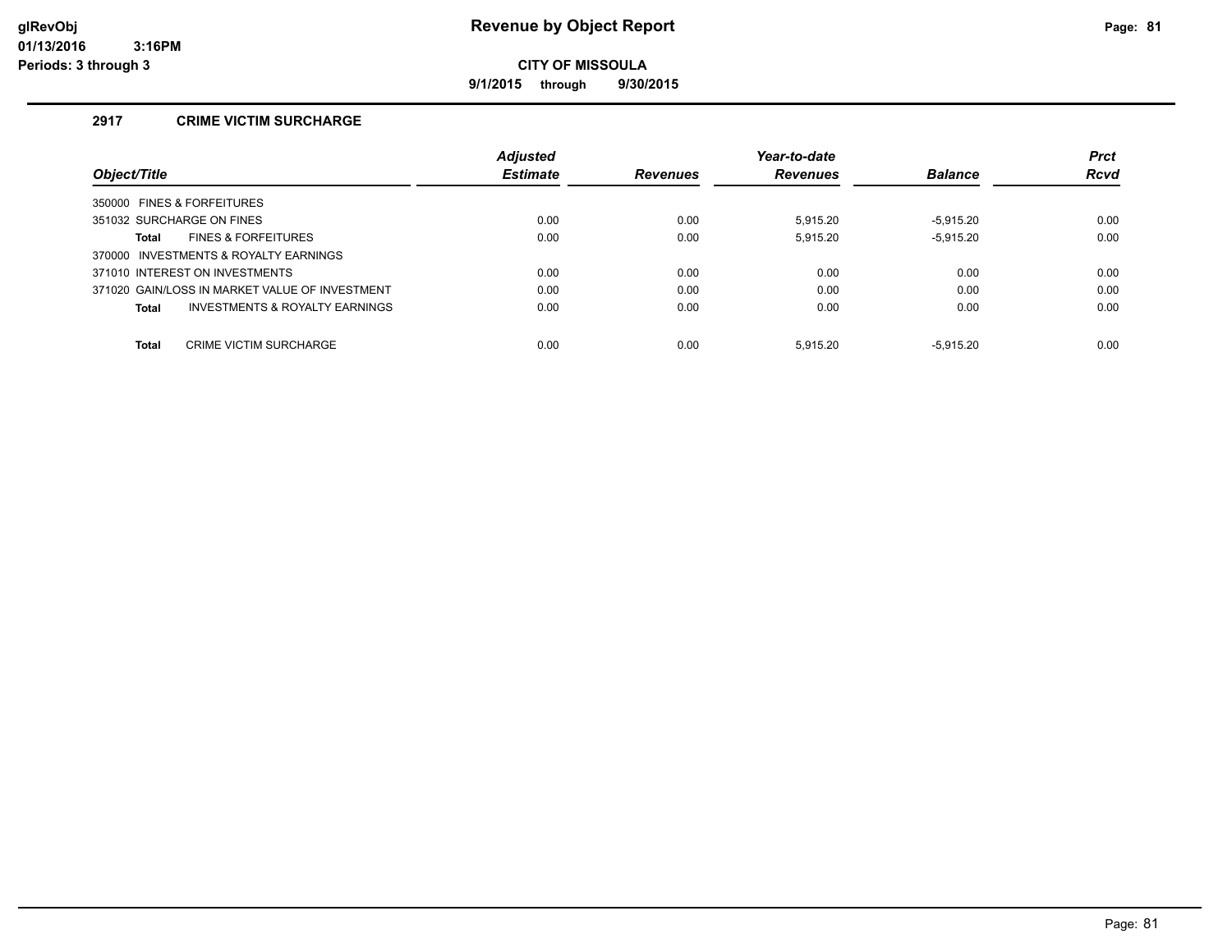**9/1/2015 through 9/30/2015**

# **2917 CRIME VICTIM SURCHARGE**

|                                                | Adjusted        |                 | Year-to-date    |                | <b>Prct</b> |
|------------------------------------------------|-----------------|-----------------|-----------------|----------------|-------------|
| Object/Title                                   | <b>Estimate</b> | <b>Revenues</b> | <b>Revenues</b> | <b>Balance</b> | <b>Rcvd</b> |
| 350000 FINES & FORFEITURES                     |                 |                 |                 |                |             |
| 351032 SURCHARGE ON FINES                      | 0.00            | 0.00            | 5.915.20        | $-5.915.20$    | 0.00        |
| <b>FINES &amp; FORFEITURES</b><br><b>Total</b> | 0.00            | 0.00            | 5.915.20        | $-5.915.20$    | 0.00        |
| 370000 INVESTMENTS & ROYALTY EARNINGS          |                 |                 |                 |                |             |
| 371010 INTEREST ON INVESTMENTS                 | 0.00            | 0.00            | 0.00            | 0.00           | 0.00        |
| 371020 GAIN/LOSS IN MARKET VALUE OF INVESTMENT | 0.00            | 0.00            | 0.00            | 0.00           | 0.00        |
| INVESTMENTS & ROYALTY EARNINGS<br><b>Total</b> | 0.00            | 0.00            | 0.00            | 0.00           | 0.00        |
|                                                |                 |                 |                 |                |             |
| CRIME VICTIM SURCHARGE<br><b>Total</b>         | 0.00            | 0.00            | 5.915.20        | $-5.915.20$    | 0.00        |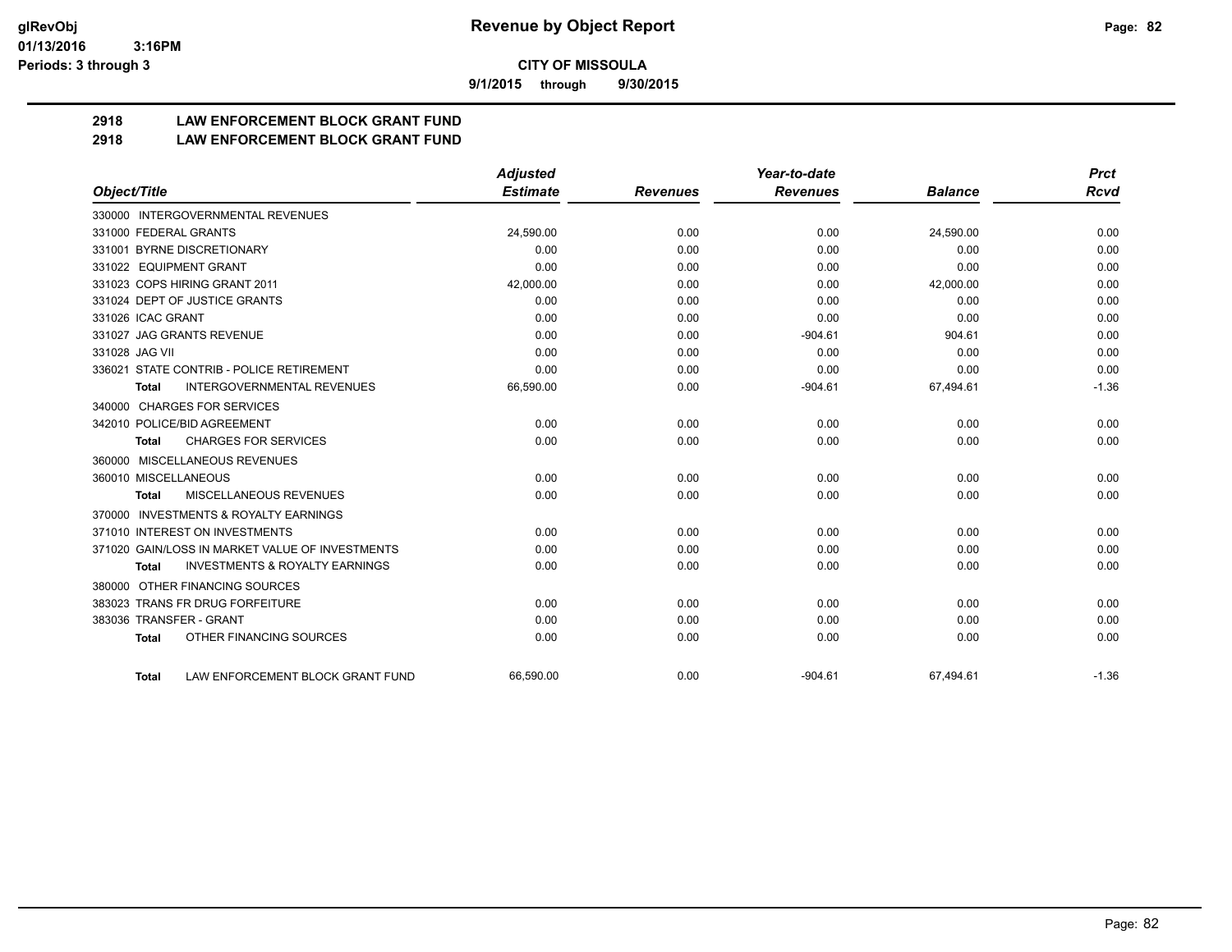**9/1/2015 through 9/30/2015**

# **2918 LAW ENFORCEMENT BLOCK GRANT FUND**

**2918 LAW ENFORCEMENT BLOCK GRANT FUND**

|                                                           | <b>Adjusted</b> |                 | Year-to-date    |                | <b>Prct</b> |
|-----------------------------------------------------------|-----------------|-----------------|-----------------|----------------|-------------|
| Object/Title                                              | <b>Estimate</b> | <b>Revenues</b> | <b>Revenues</b> | <b>Balance</b> | <b>Rcvd</b> |
| 330000 INTERGOVERNMENTAL REVENUES                         |                 |                 |                 |                |             |
| 331000 FEDERAL GRANTS                                     | 24,590.00       | 0.00            | 0.00            | 24,590.00      | 0.00        |
| 331001 BYRNE DISCRETIONARY                                | 0.00            | 0.00            | 0.00            | 0.00           | 0.00        |
| 331022 EQUIPMENT GRANT                                    | 0.00            | 0.00            | 0.00            | 0.00           | 0.00        |
| 331023 COPS HIRING GRANT 2011                             | 42,000.00       | 0.00            | 0.00            | 42,000.00      | 0.00        |
| 331024 DEPT OF JUSTICE GRANTS                             | 0.00            | 0.00            | 0.00            | 0.00           | 0.00        |
| 331026 ICAC GRANT                                         | 0.00            | 0.00            | 0.00            | 0.00           | 0.00        |
| 331027 JAG GRANTS REVENUE                                 | 0.00            | 0.00            | $-904.61$       | 904.61         | 0.00        |
| 331028 JAG VII                                            | 0.00            | 0.00            | 0.00            | 0.00           | 0.00        |
| 336021 STATE CONTRIB - POLICE RETIREMENT                  | 0.00            | 0.00            | 0.00            | 0.00           | 0.00        |
| <b>INTERGOVERNMENTAL REVENUES</b><br><b>Total</b>         | 66,590.00       | 0.00            | $-904.61$       | 67,494.61      | $-1.36$     |
| 340000 CHARGES FOR SERVICES                               |                 |                 |                 |                |             |
| 342010 POLICE/BID AGREEMENT                               | 0.00            | 0.00            | 0.00            | 0.00           | 0.00        |
| <b>CHARGES FOR SERVICES</b><br><b>Total</b>               | 0.00            | 0.00            | 0.00            | 0.00           | 0.00        |
| 360000 MISCELLANEOUS REVENUES                             |                 |                 |                 |                |             |
| 360010 MISCELLANEOUS                                      | 0.00            | 0.00            | 0.00            | 0.00           | 0.00        |
| <b>MISCELLANEOUS REVENUES</b><br><b>Total</b>             | 0.00            | 0.00            | 0.00            | 0.00           | 0.00        |
| 370000 INVESTMENTS & ROYALTY EARNINGS                     |                 |                 |                 |                |             |
| 371010 INTEREST ON INVESTMENTS                            | 0.00            | 0.00            | 0.00            | 0.00           | 0.00        |
| 371020 GAIN/LOSS IN MARKET VALUE OF INVESTMENTS           | 0.00            | 0.00            | 0.00            | 0.00           | 0.00        |
| <b>INVESTMENTS &amp; ROYALTY EARNINGS</b><br><b>Total</b> | 0.00            | 0.00            | 0.00            | 0.00           | 0.00        |
| 380000 OTHER FINANCING SOURCES                            |                 |                 |                 |                |             |
| 383023 TRANS FR DRUG FORFEITURE                           | 0.00            | 0.00            | 0.00            | 0.00           | 0.00        |
| 383036 TRANSFER - GRANT                                   | 0.00            | 0.00            | 0.00            | 0.00           | 0.00        |
| OTHER FINANCING SOURCES<br><b>Total</b>                   | 0.00            | 0.00            | 0.00            | 0.00           | 0.00        |
| LAW ENFORCEMENT BLOCK GRANT FUND<br><b>Total</b>          | 66,590.00       | 0.00            | $-904.61$       | 67,494.61      | $-1.36$     |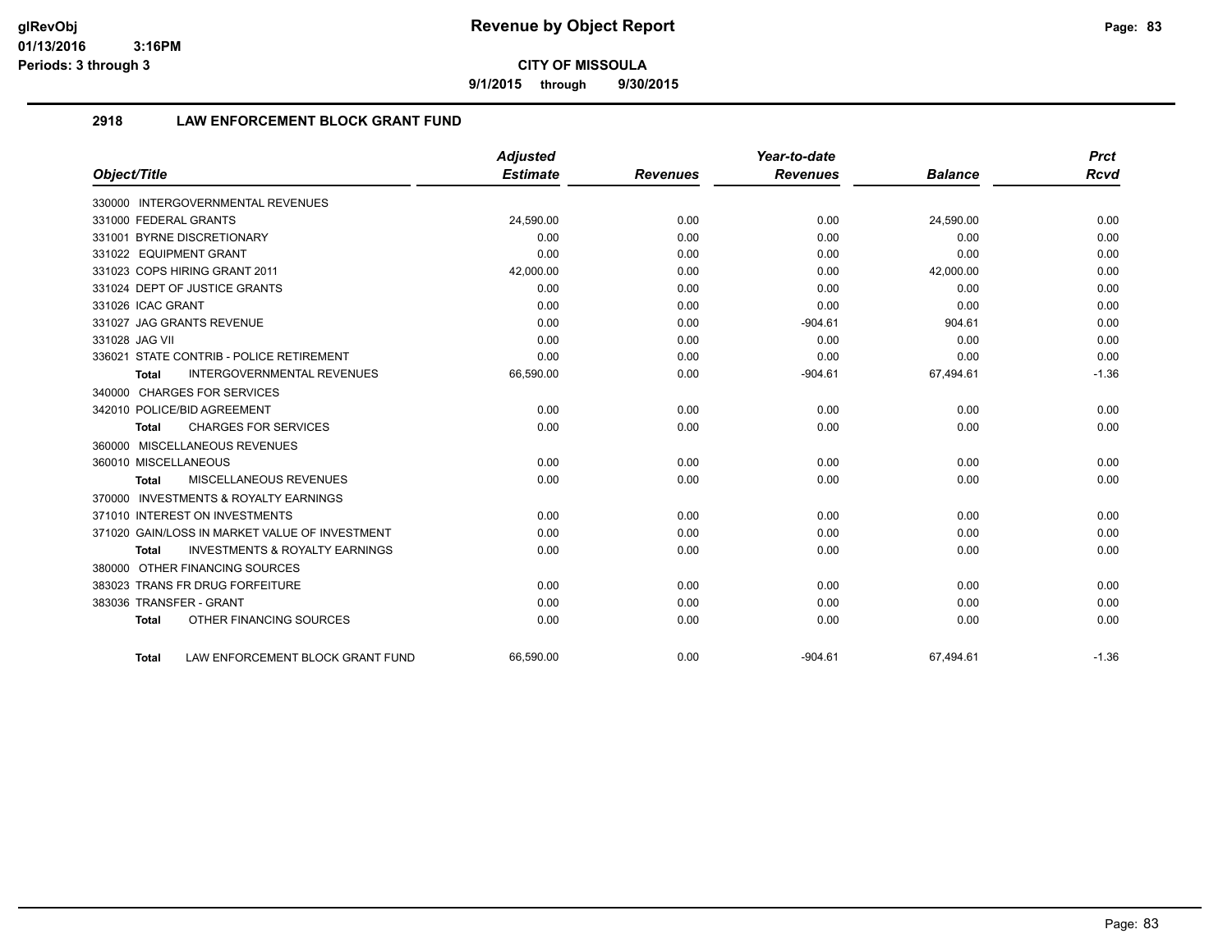**9/1/2015 through 9/30/2015**

# **2918 LAW ENFORCEMENT BLOCK GRANT FUND**

|                                                    | <b>Adjusted</b> |                 | Year-to-date    |                | <b>Prct</b> |
|----------------------------------------------------|-----------------|-----------------|-----------------|----------------|-------------|
| Object/Title                                       | <b>Estimate</b> | <b>Revenues</b> | <b>Revenues</b> | <b>Balance</b> | <b>Rcvd</b> |
| 330000 INTERGOVERNMENTAL REVENUES                  |                 |                 |                 |                |             |
| 331000 FEDERAL GRANTS                              | 24.590.00       | 0.00            | 0.00            | 24,590.00      | 0.00        |
| 331001 BYRNE DISCRETIONARY                         | 0.00            | 0.00            | 0.00            | 0.00           | 0.00        |
| 331022 EQUIPMENT GRANT                             | 0.00            | 0.00            | 0.00            | 0.00           | 0.00        |
| 331023 COPS HIRING GRANT 2011                      | 42,000.00       | 0.00            | 0.00            | 42,000.00      | 0.00        |
| 331024 DEPT OF JUSTICE GRANTS                      | 0.00            | 0.00            | 0.00            | 0.00           | 0.00        |
| 331026 ICAC GRANT                                  | 0.00            | 0.00            | 0.00            | 0.00           | 0.00        |
| 331027 JAG GRANTS REVENUE                          | 0.00            | 0.00            | $-904.61$       | 904.61         | 0.00        |
| 331028 JAG VII                                     | 0.00            | 0.00            | 0.00            | 0.00           | 0.00        |
| 336021 STATE CONTRIB - POLICE RETIREMENT           | 0.00            | 0.00            | 0.00            | 0.00           | 0.00        |
| <b>INTERGOVERNMENTAL REVENUES</b><br>Total         | 66,590.00       | 0.00            | $-904.61$       | 67,494.61      | $-1.36$     |
| 340000 CHARGES FOR SERVICES                        |                 |                 |                 |                |             |
| 342010 POLICE/BID AGREEMENT                        | 0.00            | 0.00            | 0.00            | 0.00           | 0.00        |
| <b>CHARGES FOR SERVICES</b><br><b>Total</b>        | 0.00            | 0.00            | 0.00            | 0.00           | 0.00        |
| 360000 MISCELLANEOUS REVENUES                      |                 |                 |                 |                |             |
| 360010 MISCELLANEOUS                               | 0.00            | 0.00            | 0.00            | 0.00           | 0.00        |
| MISCELLANEOUS REVENUES<br><b>Total</b>             | 0.00            | 0.00            | 0.00            | 0.00           | 0.00        |
| 370000 INVESTMENTS & ROYALTY EARNINGS              |                 |                 |                 |                |             |
| 371010 INTEREST ON INVESTMENTS                     | 0.00            | 0.00            | 0.00            | 0.00           | 0.00        |
| 371020 GAIN/LOSS IN MARKET VALUE OF INVESTMENT     | 0.00            | 0.00            | 0.00            | 0.00           | 0.00        |
| <b>INVESTMENTS &amp; ROYALTY EARNINGS</b><br>Total | 0.00            | 0.00            | 0.00            | 0.00           | 0.00        |
| 380000 OTHER FINANCING SOURCES                     |                 |                 |                 |                |             |
| 383023 TRANS FR DRUG FORFEITURE                    | 0.00            | 0.00            | 0.00            | 0.00           | 0.00        |
| 383036 TRANSFER - GRANT                            | 0.00            | 0.00            | 0.00            | 0.00           | 0.00        |
| OTHER FINANCING SOURCES<br><b>Total</b>            | 0.00            | 0.00            | 0.00            | 0.00           | 0.00        |
| LAW ENFORCEMENT BLOCK GRANT FUND<br>Total          | 66.590.00       | 0.00            | $-904.61$       | 67.494.61      | $-1.36$     |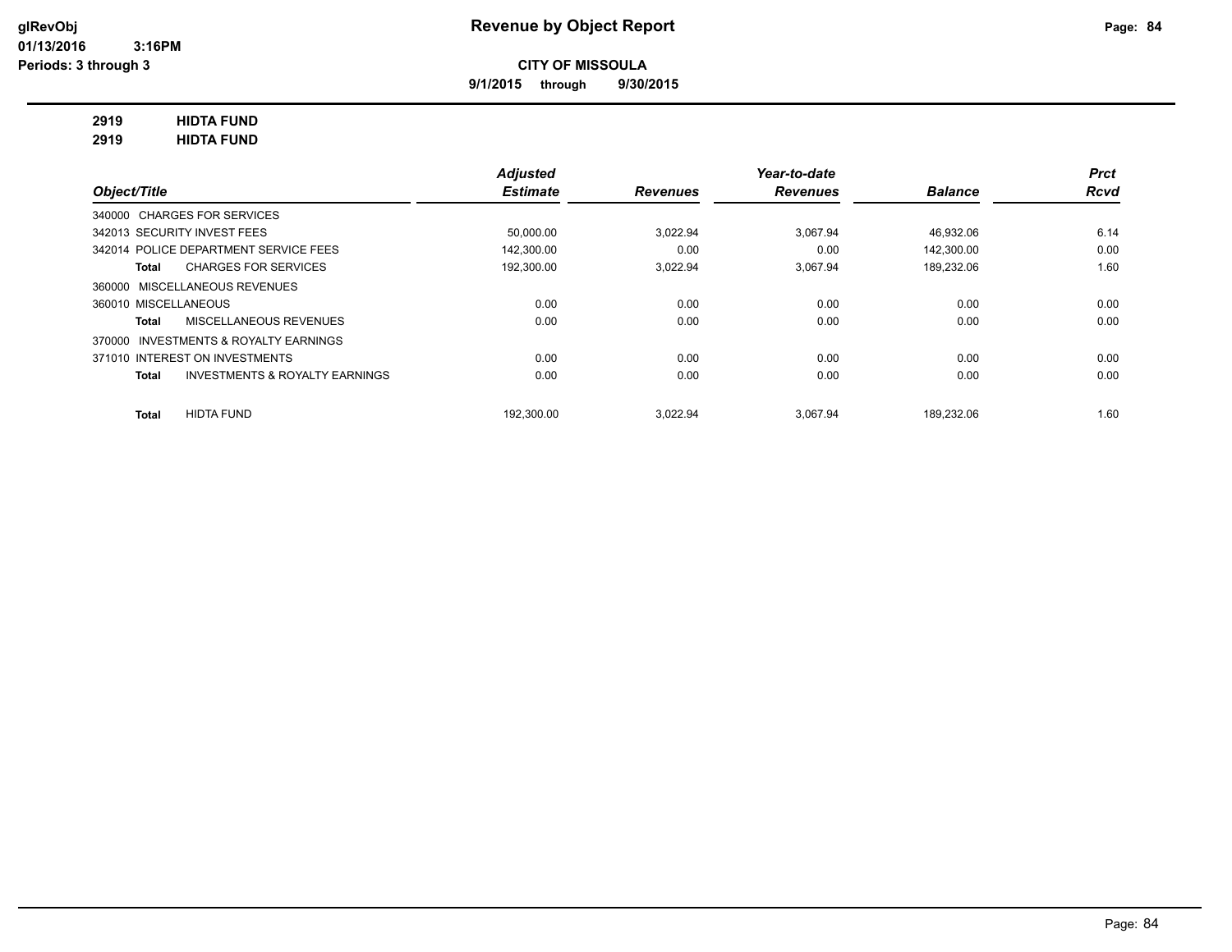**9/1/2015 through 9/30/2015**

# **2919 HIDTA FUND**

**2919 HIDTA FUND**

|                                                    | <b>Adjusted</b> |                 | Year-to-date    |                | <b>Prct</b> |
|----------------------------------------------------|-----------------|-----------------|-----------------|----------------|-------------|
| Object/Title                                       | <b>Estimate</b> | <b>Revenues</b> | <b>Revenues</b> | <b>Balance</b> | <b>Rcvd</b> |
| 340000 CHARGES FOR SERVICES                        |                 |                 |                 |                |             |
| 342013 SECURITY INVEST FEES                        | 50,000.00       | 3.022.94        | 3.067.94        | 46.932.06      | 6.14        |
| 342014 POLICE DEPARTMENT SERVICE FEES              | 142.300.00      | 0.00            | 0.00            | 142.300.00     | 0.00        |
| <b>CHARGES FOR SERVICES</b><br>Total               | 192,300.00      | 3.022.94        | 3.067.94        | 189,232.06     | 1.60        |
| 360000 MISCELLANEOUS REVENUES                      |                 |                 |                 |                |             |
| 360010 MISCELLANEOUS                               | 0.00            | 0.00            | 0.00            | 0.00           | 0.00        |
| MISCELLANEOUS REVENUES<br>Total                    | 0.00            | 0.00            | 0.00            | 0.00           | 0.00        |
| INVESTMENTS & ROYALTY EARNINGS<br>370000           |                 |                 |                 |                |             |
| 371010 INTEREST ON INVESTMENTS                     | 0.00            | 0.00            | 0.00            | 0.00           | 0.00        |
| <b>INVESTMENTS &amp; ROYALTY EARNINGS</b><br>Total | 0.00            | 0.00            | 0.00            | 0.00           | 0.00        |
| <b>HIDTA FUND</b><br><b>Total</b>                  | 192.300.00      | 3.022.94        | 3.067.94        | 189.232.06     | 1.60        |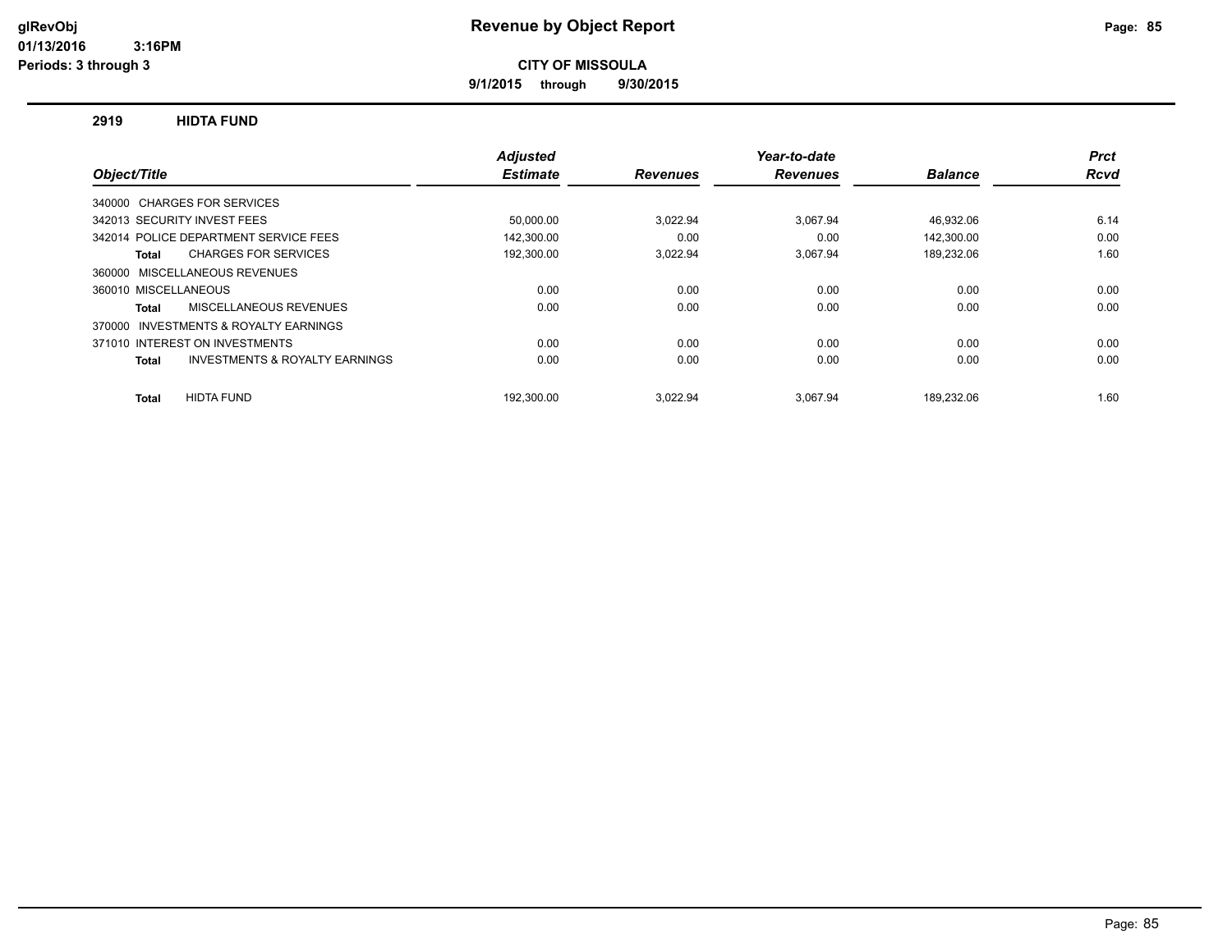**9/1/2015 through 9/30/2015**

## **2919 HIDTA FUND**

|                                                    | <b>Adjusted</b> |                 | Year-to-date    |                | <b>Prct</b> |
|----------------------------------------------------|-----------------|-----------------|-----------------|----------------|-------------|
| Object/Title                                       | <b>Estimate</b> | <b>Revenues</b> | <b>Revenues</b> | <b>Balance</b> | <b>Rcvd</b> |
| 340000 CHARGES FOR SERVICES                        |                 |                 |                 |                |             |
| 342013 SECURITY INVEST FEES                        | 50,000.00       | 3,022.94        | 3.067.94        | 46,932.06      | 6.14        |
| 342014 POLICE DEPARTMENT SERVICE FEES              | 142.300.00      | 0.00            | 0.00            | 142.300.00     | 0.00        |
| <b>CHARGES FOR SERVICES</b><br>Total               | 192,300.00      | 3,022.94        | 3.067.94        | 189,232.06     | 1.60        |
| 360000 MISCELLANEOUS REVENUES                      |                 |                 |                 |                |             |
| 360010 MISCELLANEOUS                               | 0.00            | 0.00            | 0.00            | 0.00           | 0.00        |
| MISCELLANEOUS REVENUES<br><b>Total</b>             | 0.00            | 0.00            | 0.00            | 0.00           | 0.00        |
| 370000 INVESTMENTS & ROYALTY EARNINGS              |                 |                 |                 |                |             |
| 371010 INTEREST ON INVESTMENTS                     | 0.00            | 0.00            | 0.00            | 0.00           | 0.00        |
| <b>INVESTMENTS &amp; ROYALTY EARNINGS</b><br>Total | 0.00            | 0.00            | 0.00            | 0.00           | 0.00        |
| <b>HIDTA FUND</b><br><b>Total</b>                  | 192.300.00      | 3.022.94        | 3.067.94        | 189.232.06     | 1.60        |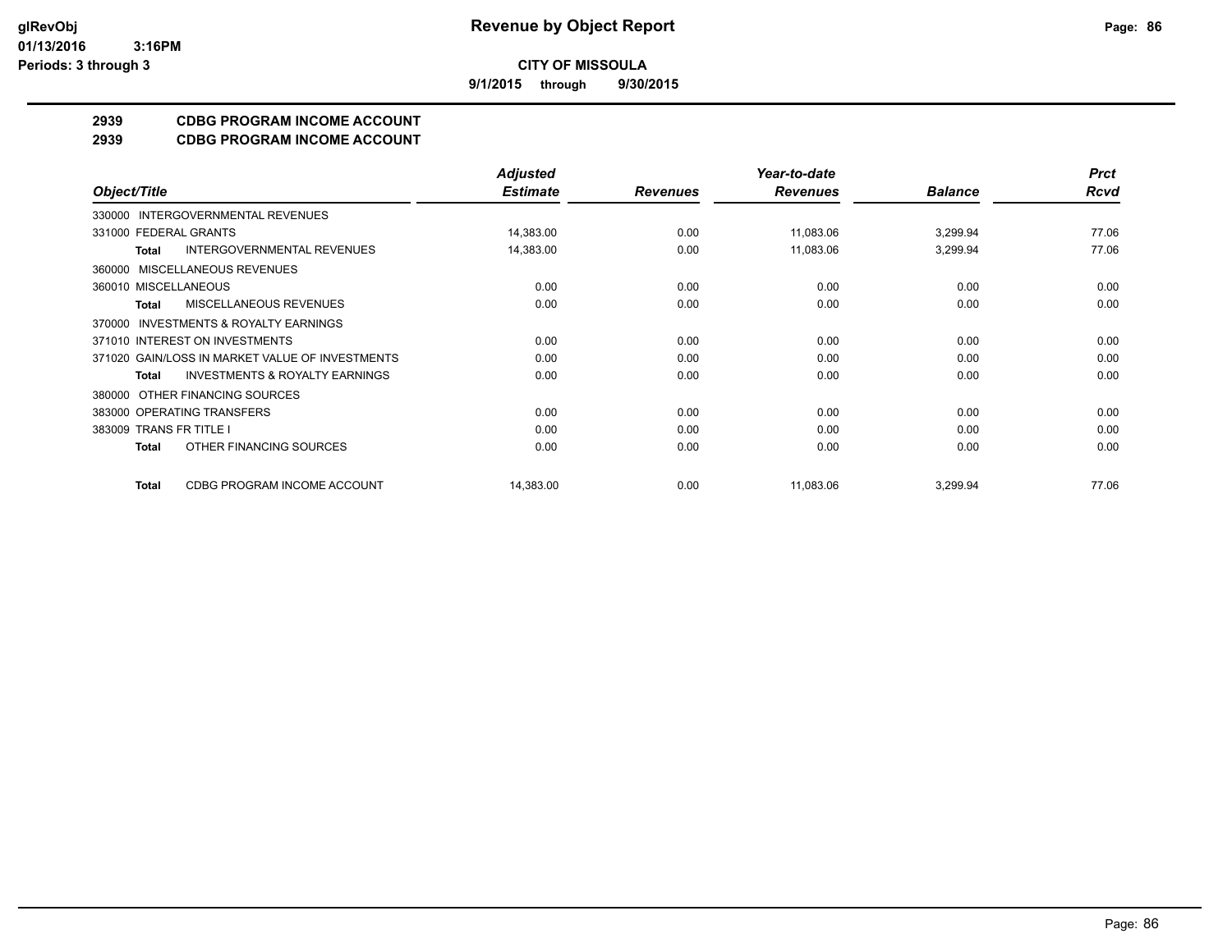**9/1/2015 through 9/30/2015**

# **2939 CDBG PROGRAM INCOME ACCOUNT**

**2939 CDBG PROGRAM INCOME ACCOUNT**

|                                                           | <b>Adjusted</b> |                 | Year-to-date    |                | <b>Prct</b> |
|-----------------------------------------------------------|-----------------|-----------------|-----------------|----------------|-------------|
| Object/Title                                              | <b>Estimate</b> | <b>Revenues</b> | <b>Revenues</b> | <b>Balance</b> | <b>Rcvd</b> |
| INTERGOVERNMENTAL REVENUES<br>330000                      |                 |                 |                 |                |             |
| 331000 FEDERAL GRANTS                                     | 14,383.00       | 0.00            | 11,083.06       | 3,299.94       | 77.06       |
| <b>INTERGOVERNMENTAL REVENUES</b><br><b>Total</b>         | 14,383.00       | 0.00            | 11,083.06       | 3,299.94       | 77.06       |
| MISCELLANEOUS REVENUES<br>360000                          |                 |                 |                 |                |             |
| 360010 MISCELLANEOUS                                      | 0.00            | 0.00            | 0.00            | 0.00           | 0.00        |
| MISCELLANEOUS REVENUES<br>Total                           | 0.00            | 0.00            | 0.00            | 0.00           | 0.00        |
| INVESTMENTS & ROYALTY EARNINGS<br>370000                  |                 |                 |                 |                |             |
| 371010 INTEREST ON INVESTMENTS                            | 0.00            | 0.00            | 0.00            | 0.00           | 0.00        |
| 371020 GAIN/LOSS IN MARKET VALUE OF INVESTMENTS           | 0.00            | 0.00            | 0.00            | 0.00           | 0.00        |
| <b>INVESTMENTS &amp; ROYALTY EARNINGS</b><br><b>Total</b> | 0.00            | 0.00            | 0.00            | 0.00           | 0.00        |
| OTHER FINANCING SOURCES<br>380000                         |                 |                 |                 |                |             |
| 383000 OPERATING TRANSFERS                                | 0.00            | 0.00            | 0.00            | 0.00           | 0.00        |
| 383009 TRANS FR TITLE I                                   | 0.00            | 0.00            | 0.00            | 0.00           | 0.00        |
| OTHER FINANCING SOURCES<br><b>Total</b>                   | 0.00            | 0.00            | 0.00            | 0.00           | 0.00        |
| CDBG PROGRAM INCOME ACCOUNT<br><b>Total</b>               | 14,383.00       | 0.00            | 11,083.06       | 3,299.94       | 77.06       |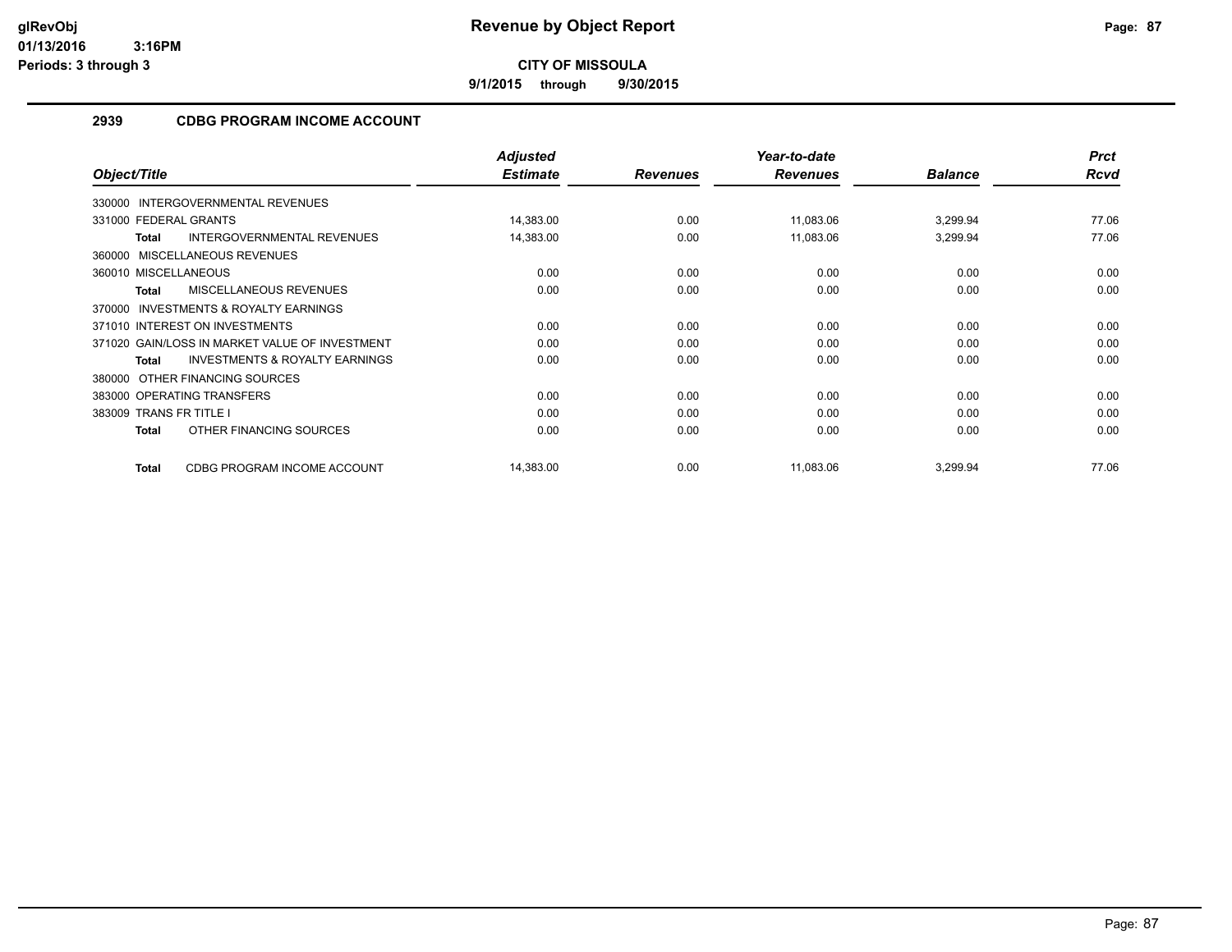**9/1/2015 through 9/30/2015**

# **2939 CDBG PROGRAM INCOME ACCOUNT**

|                                                           | <b>Adjusted</b> |                 | Year-to-date    |                | <b>Prct</b> |
|-----------------------------------------------------------|-----------------|-----------------|-----------------|----------------|-------------|
| Object/Title                                              | <b>Estimate</b> | <b>Revenues</b> | <b>Revenues</b> | <b>Balance</b> | Rcvd        |
| 330000 INTERGOVERNMENTAL REVENUES                         |                 |                 |                 |                |             |
| 331000 FEDERAL GRANTS                                     | 14,383.00       | 0.00            | 11,083.06       | 3,299.94       | 77.06       |
| <b>INTERGOVERNMENTAL REVENUES</b><br><b>Total</b>         | 14,383.00       | 0.00            | 11,083.06       | 3,299.94       | 77.06       |
| 360000 MISCELLANEOUS REVENUES                             |                 |                 |                 |                |             |
| 360010 MISCELLANEOUS                                      | 0.00            | 0.00            | 0.00            | 0.00           | 0.00        |
| MISCELLANEOUS REVENUES<br><b>Total</b>                    | 0.00            | 0.00            | 0.00            | 0.00           | 0.00        |
| <b>INVESTMENTS &amp; ROYALTY EARNINGS</b><br>370000       |                 |                 |                 |                |             |
| 371010 INTEREST ON INVESTMENTS                            | 0.00            | 0.00            | 0.00            | 0.00           | 0.00        |
| 371020 GAIN/LOSS IN MARKET VALUE OF INVESTMENT            | 0.00            | 0.00            | 0.00            | 0.00           | 0.00        |
| <b>INVESTMENTS &amp; ROYALTY EARNINGS</b><br><b>Total</b> | 0.00            | 0.00            | 0.00            | 0.00           | 0.00        |
| OTHER FINANCING SOURCES<br>380000                         |                 |                 |                 |                |             |
| 383000 OPERATING TRANSFERS                                | 0.00            | 0.00            | 0.00            | 0.00           | 0.00        |
| 383009 TRANS FR TITLE I                                   | 0.00            | 0.00            | 0.00            | 0.00           | 0.00        |
| OTHER FINANCING SOURCES<br>Total                          | 0.00            | 0.00            | 0.00            | 0.00           | 0.00        |
| CDBG PROGRAM INCOME ACCOUNT<br><b>Total</b>               | 14,383.00       | 0.00            | 11,083.06       | 3,299.94       | 77.06       |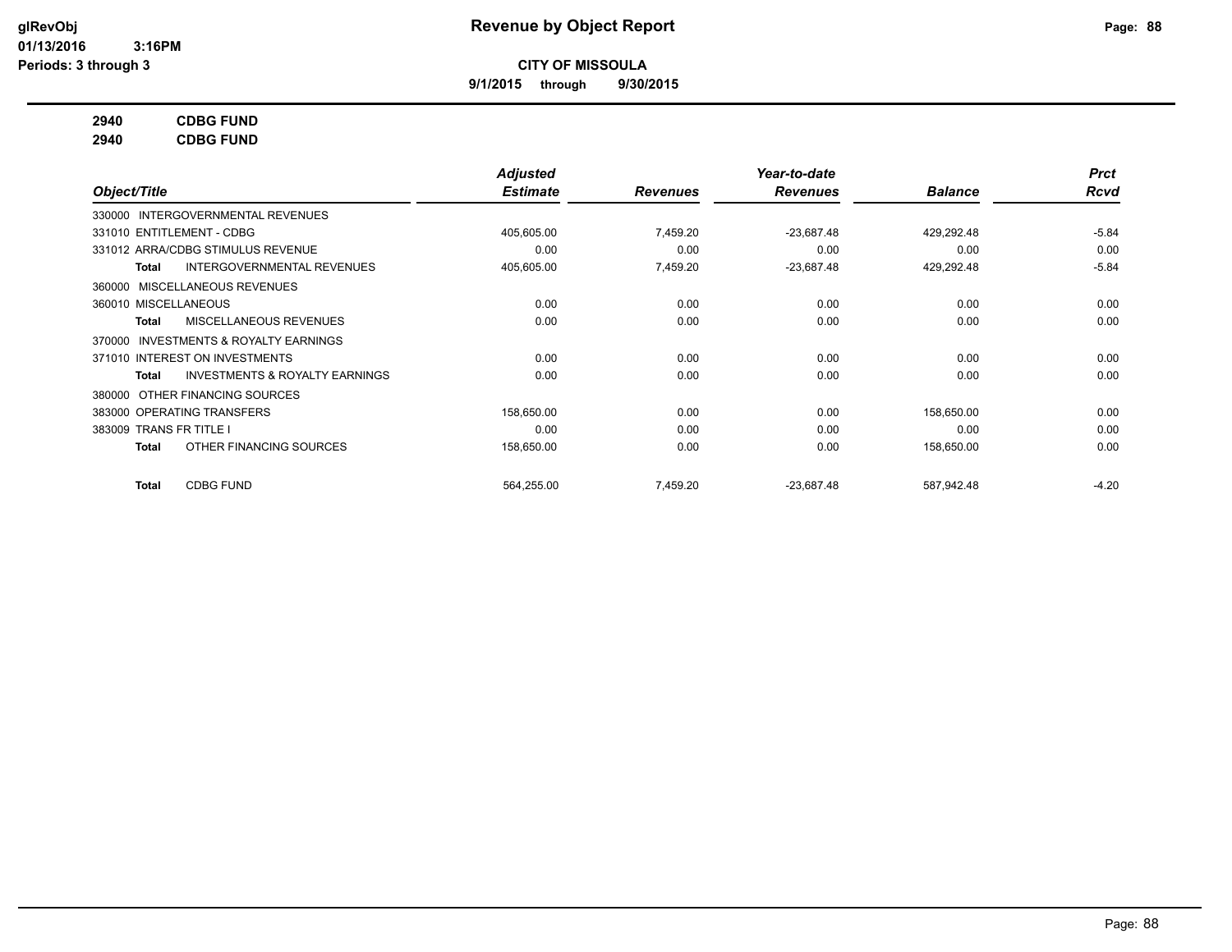**9/1/2015 through 9/30/2015**

## **2940 CDBG FUND**

**2940 CDBG FUND**

|                         |                                           | Adjusted        |                 | Year-to-date    |                | <b>Prct</b> |
|-------------------------|-------------------------------------------|-----------------|-----------------|-----------------|----------------|-------------|
| Object/Title            |                                           | <b>Estimate</b> | <b>Revenues</b> | <b>Revenues</b> | <b>Balance</b> | <b>Rcvd</b> |
|                         | 330000 INTERGOVERNMENTAL REVENUES         |                 |                 |                 |                |             |
|                         | 331010 ENTITLEMENT - CDBG                 | 405,605.00      | 7,459.20        | $-23,687.48$    | 429,292.48     | $-5.84$     |
|                         | 331012 ARRA/CDBG STIMULUS REVENUE         | 0.00            | 0.00            | 0.00            | 0.00           | 0.00        |
| Total                   | <b>INTERGOVERNMENTAL REVENUES</b>         | 405,605.00      | 7,459.20        | $-23,687.48$    | 429,292.48     | $-5.84$     |
| 360000                  | MISCELLANEOUS REVENUES                    |                 |                 |                 |                |             |
| 360010 MISCELLANEOUS    |                                           | 0.00            | 0.00            | 0.00            | 0.00           | 0.00        |
| Total                   | MISCELLANEOUS REVENUES                    | 0.00            | 0.00            | 0.00            | 0.00           | 0.00        |
| 370000                  | <b>INVESTMENTS &amp; ROYALTY EARNINGS</b> |                 |                 |                 |                |             |
|                         | 371010 INTEREST ON INVESTMENTS            | 0.00            | 0.00            | 0.00            | 0.00           | 0.00        |
| Total                   | <b>INVESTMENTS &amp; ROYALTY EARNINGS</b> | 0.00            | 0.00            | 0.00            | 0.00           | 0.00        |
| 380000                  | OTHER FINANCING SOURCES                   |                 |                 |                 |                |             |
|                         | 383000 OPERATING TRANSFERS                | 158.650.00      | 0.00            | 0.00            | 158.650.00     | 0.00        |
| 383009 TRANS FR TITLE I |                                           | 0.00            | 0.00            | 0.00            | 0.00           | 0.00        |
| Total                   | OTHER FINANCING SOURCES                   | 158,650.00      | 0.00            | 0.00            | 158,650.00     | 0.00        |
| Total                   | <b>CDBG FUND</b>                          | 564,255.00      | 7,459.20        | $-23,687.48$    | 587,942.48     | $-4.20$     |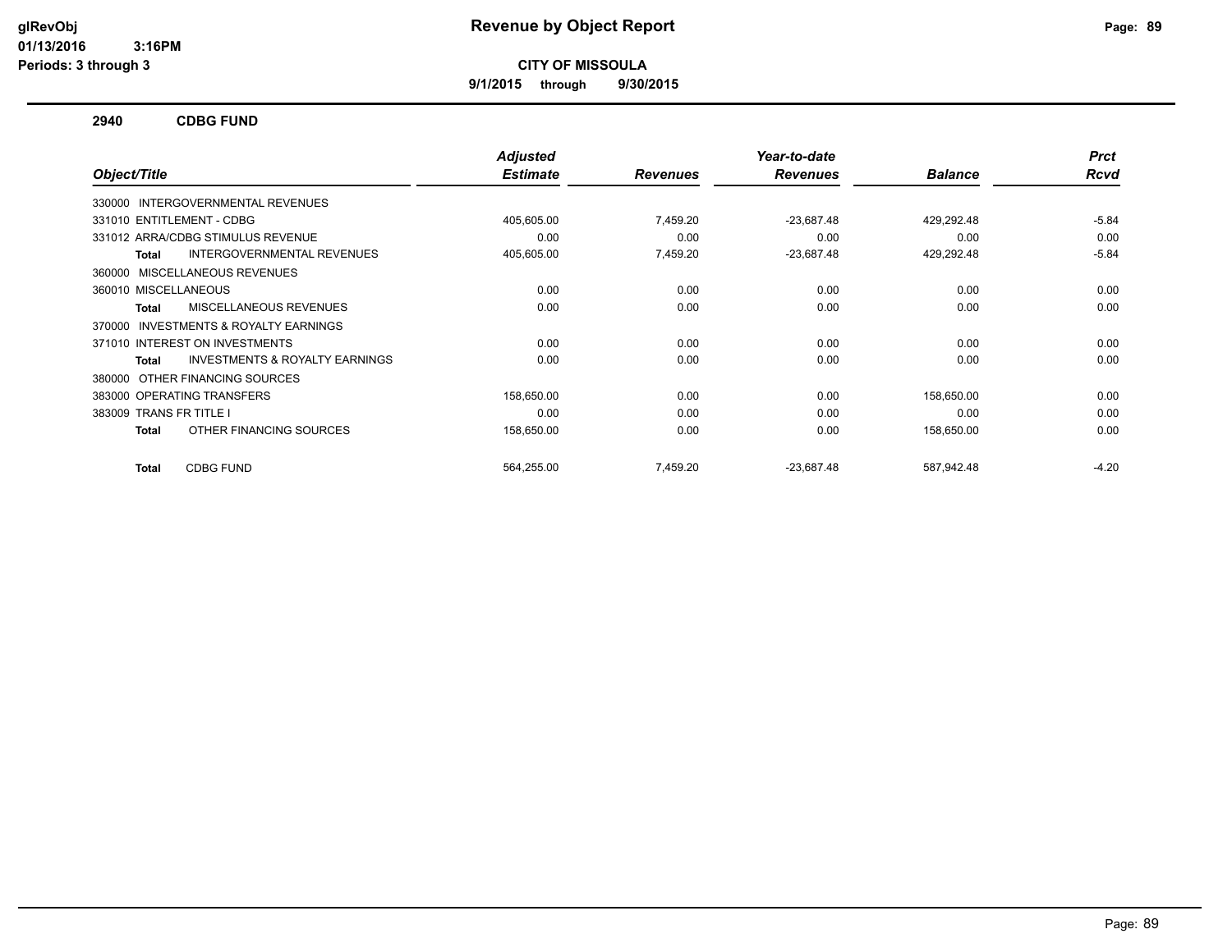**9/1/2015 through 9/30/2015**

## **2940 CDBG FUND**

|                                                           | <b>Adjusted</b> |                 | Year-to-date    |                | <b>Prct</b> |
|-----------------------------------------------------------|-----------------|-----------------|-----------------|----------------|-------------|
| Object/Title                                              | <b>Estimate</b> | <b>Revenues</b> | <b>Revenues</b> | <b>Balance</b> | <b>Rcvd</b> |
| 330000 INTERGOVERNMENTAL REVENUES                         |                 |                 |                 |                |             |
| 331010 ENTITLEMENT - CDBG                                 | 405,605.00      | 7,459.20        | $-23,687.48$    | 429,292.48     | $-5.84$     |
| 331012 ARRA/CDBG STIMULUS REVENUE                         | 0.00            | 0.00            | 0.00            | 0.00           | 0.00        |
| INTERGOVERNMENTAL REVENUES<br><b>Total</b>                | 405,605.00      | 7,459.20        | $-23,687.48$    | 429,292.48     | $-5.84$     |
| 360000 MISCELLANEOUS REVENUES                             |                 |                 |                 |                |             |
| 360010 MISCELLANEOUS                                      | 0.00            | 0.00            | 0.00            | 0.00           | 0.00        |
| MISCELLANEOUS REVENUES<br><b>Total</b>                    | 0.00            | 0.00            | 0.00            | 0.00           | 0.00        |
| 370000 INVESTMENTS & ROYALTY EARNINGS                     |                 |                 |                 |                |             |
| 371010 INTEREST ON INVESTMENTS                            | 0.00            | 0.00            | 0.00            | 0.00           | 0.00        |
| <b>INVESTMENTS &amp; ROYALTY EARNINGS</b><br><b>Total</b> | 0.00            | 0.00            | 0.00            | 0.00           | 0.00        |
| 380000 OTHER FINANCING SOURCES                            |                 |                 |                 |                |             |
| 383000 OPERATING TRANSFERS                                | 158,650.00      | 0.00            | 0.00            | 158,650.00     | 0.00        |
| 383009 TRANS FR TITLE I                                   | 0.00            | 0.00            | 0.00            | 0.00           | 0.00        |
| OTHER FINANCING SOURCES<br><b>Total</b>                   | 158,650.00      | 0.00            | 0.00            | 158,650.00     | 0.00        |
| <b>CDBG FUND</b><br><b>Total</b>                          | 564,255.00      | 7.459.20        | $-23.687.48$    | 587,942.48     | $-4.20$     |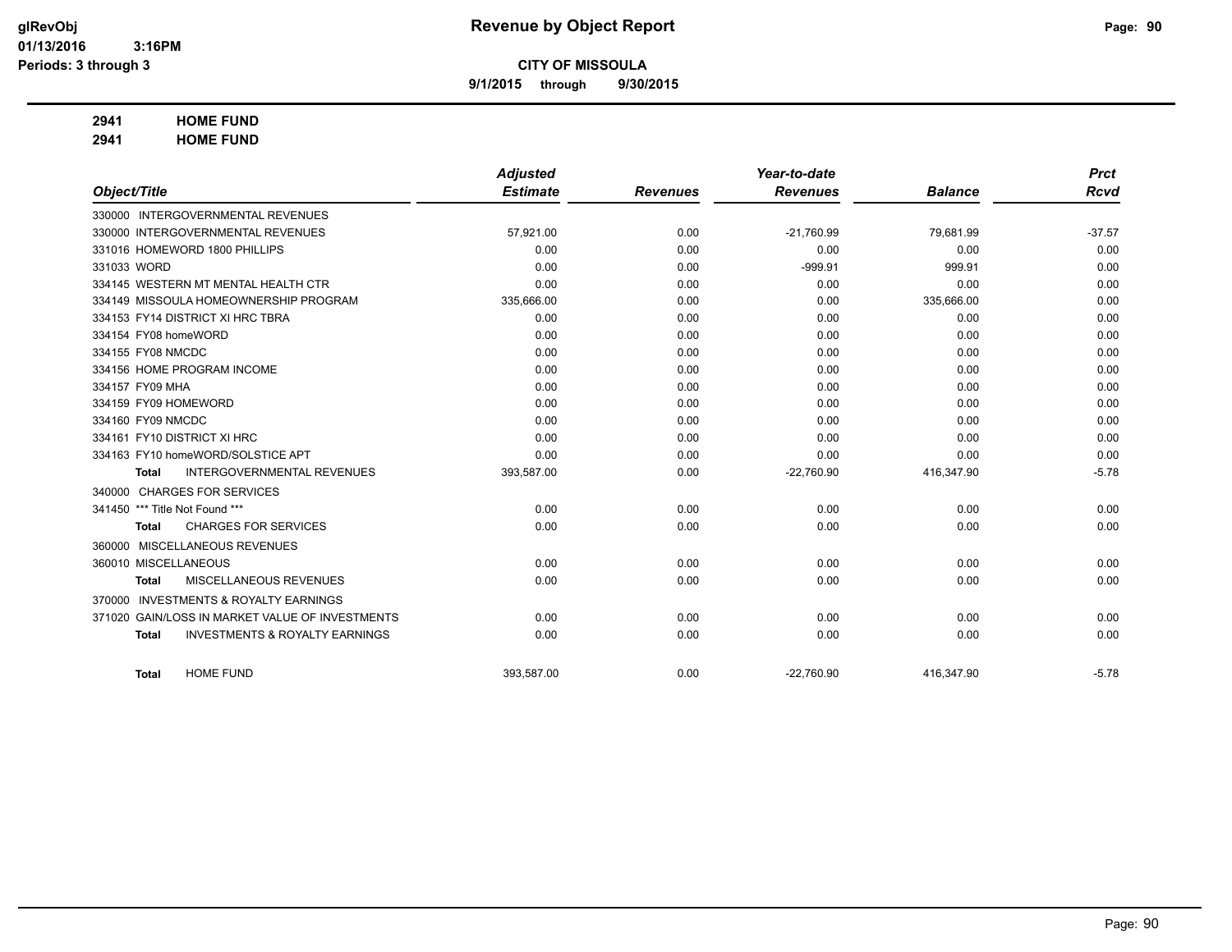**9/1/2015 through 9/30/2015**

# **2941 HOME FUND**

**2941 HOME FUND**

|                                |                                                 | <b>Adjusted</b> |                 | Year-to-date    |                | <b>Prct</b> |
|--------------------------------|-------------------------------------------------|-----------------|-----------------|-----------------|----------------|-------------|
| Object/Title                   |                                                 | <b>Estimate</b> | <b>Revenues</b> | <b>Revenues</b> | <b>Balance</b> | <b>Rcvd</b> |
|                                | 330000 INTERGOVERNMENTAL REVENUES               |                 |                 |                 |                |             |
|                                | 330000 INTERGOVERNMENTAL REVENUES               | 57,921.00       | 0.00            | $-21,760.99$    | 79,681.99      | $-37.57$    |
|                                | 331016 HOMEWORD 1800 PHILLIPS                   | 0.00            | 0.00            | 0.00            | 0.00           | 0.00        |
| 331033 WORD                    |                                                 | 0.00            | 0.00            | $-999.91$       | 999.91         | 0.00        |
|                                | 334145 WESTERN MT MENTAL HEALTH CTR             | 0.00            | 0.00            | 0.00            | 0.00           | 0.00        |
|                                | 334149 MISSOULA HOMEOWNERSHIP PROGRAM           | 335,666.00      | 0.00            | 0.00            | 335,666.00     | 0.00        |
|                                | 334153 FY14 DISTRICT XI HRC TBRA                | 0.00            | 0.00            | 0.00            | 0.00           | 0.00        |
| 334154 FY08 homeWORD           |                                                 | 0.00            | 0.00            | 0.00            | 0.00           | 0.00        |
| 334155 FY08 NMCDC              |                                                 | 0.00            | 0.00            | 0.00            | 0.00           | 0.00        |
|                                | 334156 HOME PROGRAM INCOME                      | 0.00            | 0.00            | 0.00            | 0.00           | 0.00        |
| 334157 FY09 MHA                |                                                 | 0.00            | 0.00            | 0.00            | 0.00           | 0.00        |
| 334159 FY09 HOMEWORD           |                                                 | 0.00            | 0.00            | 0.00            | 0.00           | 0.00        |
| 334160 FY09 NMCDC              |                                                 | 0.00            | 0.00            | 0.00            | 0.00           | 0.00        |
|                                | 334161 FY10 DISTRICT XI HRC                     | 0.00            | 0.00            | 0.00            | 0.00           | 0.00        |
|                                | 334163 FY10 homeWORD/SOLSTICE APT               | 0.00            | 0.00            | 0.00            | 0.00           | 0.00        |
| <b>Total</b>                   | <b>INTERGOVERNMENTAL REVENUES</b>               | 393,587.00      | 0.00            | $-22,760.90$    | 416,347.90     | $-5.78$     |
|                                | 340000 CHARGES FOR SERVICES                     |                 |                 |                 |                |             |
| 341450 *** Title Not Found *** |                                                 | 0.00            | 0.00            | 0.00            | 0.00           | 0.00        |
| <b>Total</b>                   | <b>CHARGES FOR SERVICES</b>                     | 0.00            | 0.00            | 0.00            | 0.00           | 0.00        |
|                                | 360000 MISCELLANEOUS REVENUES                   |                 |                 |                 |                |             |
| 360010 MISCELLANEOUS           |                                                 | 0.00            | 0.00            | 0.00            | 0.00           | 0.00        |
| <b>Total</b>                   | MISCELLANEOUS REVENUES                          | 0.00            | 0.00            | 0.00            | 0.00           | 0.00        |
| 370000                         | <b>INVESTMENTS &amp; ROYALTY EARNINGS</b>       |                 |                 |                 |                |             |
|                                | 371020 GAIN/LOSS IN MARKET VALUE OF INVESTMENTS | 0.00            | 0.00            | 0.00            | 0.00           | 0.00        |
| <b>Total</b>                   | <b>INVESTMENTS &amp; ROYALTY EARNINGS</b>       | 0.00            | 0.00            | 0.00            | 0.00           | 0.00        |
|                                |                                                 |                 |                 |                 |                |             |
| <b>Total</b>                   | <b>HOME FUND</b>                                | 393,587.00      | 0.00            | $-22,760.90$    | 416,347.90     | $-5.78$     |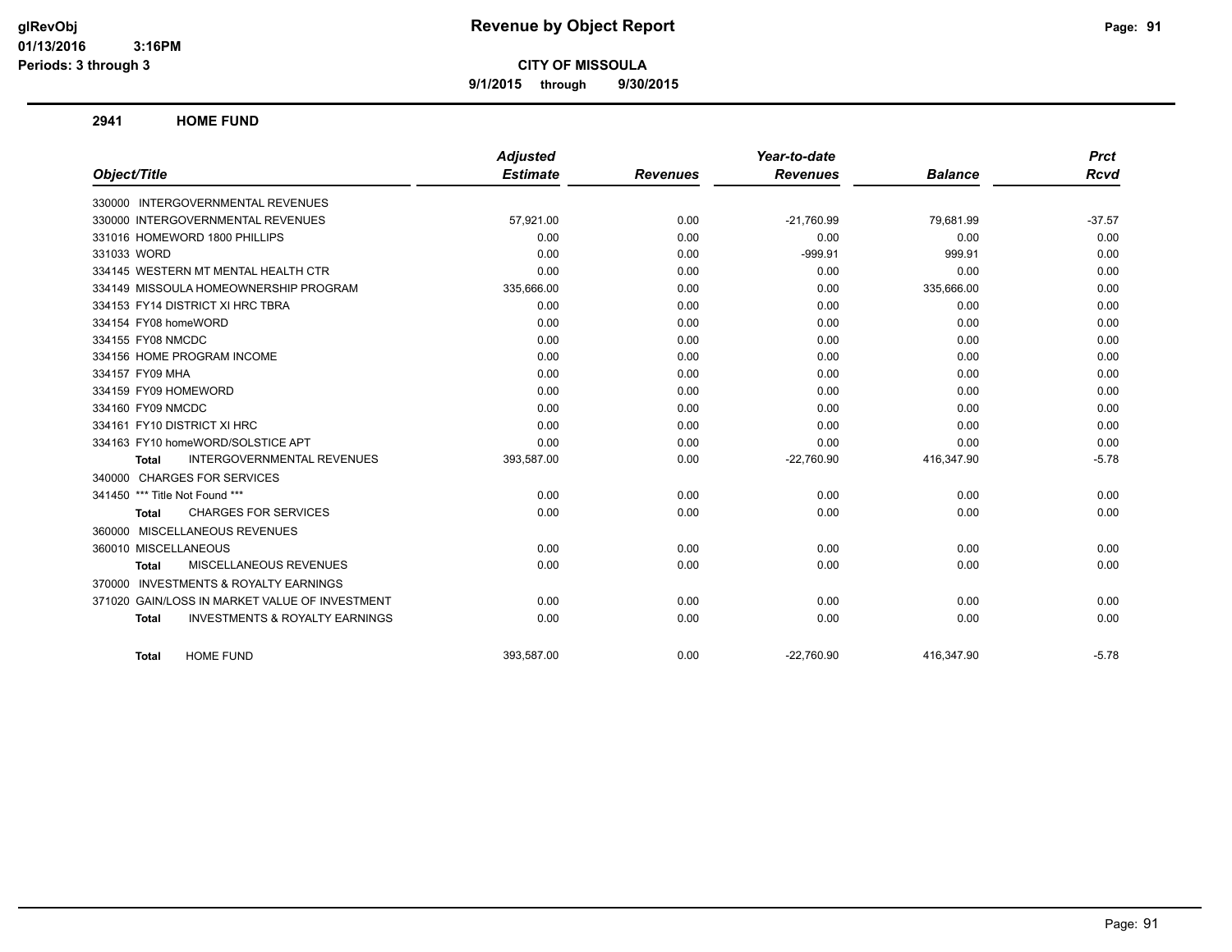**9/1/2015 through 9/30/2015**

**2941 HOME FUND**

|                                                           | <b>Adjusted</b> |                 | Year-to-date    |                | <b>Prct</b> |
|-----------------------------------------------------------|-----------------|-----------------|-----------------|----------------|-------------|
| Object/Title                                              | <b>Estimate</b> | <b>Revenues</b> | <b>Revenues</b> | <b>Balance</b> | <b>Rcvd</b> |
| 330000 INTERGOVERNMENTAL REVENUES                         |                 |                 |                 |                |             |
| 330000 INTERGOVERNMENTAL REVENUES                         | 57,921.00       | 0.00            | $-21,760.99$    | 79.681.99      | $-37.57$    |
| 331016 HOMEWORD 1800 PHILLIPS                             | 0.00            | 0.00            | 0.00            | 0.00           | 0.00        |
| 331033 WORD                                               | 0.00            | 0.00            | $-999.91$       | 999.91         | 0.00        |
| 334145 WESTERN MT MENTAL HEALTH CTR                       | 0.00            | 0.00            | 0.00            | 0.00           | 0.00        |
| 334149 MISSOULA HOMEOWNERSHIP PROGRAM                     | 335,666.00      | 0.00            | 0.00            | 335,666.00     | 0.00        |
| 334153 FY14 DISTRICT XI HRC TBRA                          | 0.00            | 0.00            | 0.00            | 0.00           | 0.00        |
| 334154 FY08 homeWORD                                      | 0.00            | 0.00            | 0.00            | 0.00           | 0.00        |
| 334155 FY08 NMCDC                                         | 0.00            | 0.00            | 0.00            | 0.00           | 0.00        |
| 334156 HOME PROGRAM INCOME                                | 0.00            | 0.00            | 0.00            | 0.00           | 0.00        |
| 334157 FY09 MHA                                           | 0.00            | 0.00            | 0.00            | 0.00           | 0.00        |
| 334159 FY09 HOMEWORD                                      | 0.00            | 0.00            | 0.00            | 0.00           | 0.00        |
| 334160 FY09 NMCDC                                         | 0.00            | 0.00            | 0.00            | 0.00           | 0.00        |
| 334161 FY10 DISTRICT XI HRC                               | 0.00            | 0.00            | 0.00            | 0.00           | 0.00        |
| 334163 FY10 homeWORD/SOLSTICE APT                         | 0.00            | 0.00            | 0.00            | 0.00           | 0.00        |
| <b>INTERGOVERNMENTAL REVENUES</b><br>Total                | 393,587.00      | 0.00            | $-22,760.90$    | 416,347.90     | $-5.78$     |
| 340000 CHARGES FOR SERVICES                               |                 |                 |                 |                |             |
| 341450 *** Title Not Found ***                            | 0.00            | 0.00            | 0.00            | 0.00           | 0.00        |
| <b>CHARGES FOR SERVICES</b><br>Total                      | 0.00            | 0.00            | 0.00            | 0.00           | 0.00        |
| 360000 MISCELLANEOUS REVENUES                             |                 |                 |                 |                |             |
| 360010 MISCELLANEOUS                                      | 0.00            | 0.00            | 0.00            | 0.00           | 0.00        |
| MISCELLANEOUS REVENUES<br><b>Total</b>                    | 0.00            | 0.00            | 0.00            | 0.00           | 0.00        |
| 370000 INVESTMENTS & ROYALTY EARNINGS                     |                 |                 |                 |                |             |
| 371020 GAIN/LOSS IN MARKET VALUE OF INVESTMENT            | 0.00            | 0.00            | 0.00            | 0.00           | 0.00        |
| <b>INVESTMENTS &amp; ROYALTY EARNINGS</b><br><b>Total</b> | 0.00            | 0.00            | 0.00            | 0.00           | 0.00        |
| <b>HOME FUND</b><br>Total                                 | 393.587.00      | 0.00            | $-22,760.90$    | 416,347.90     | $-5.78$     |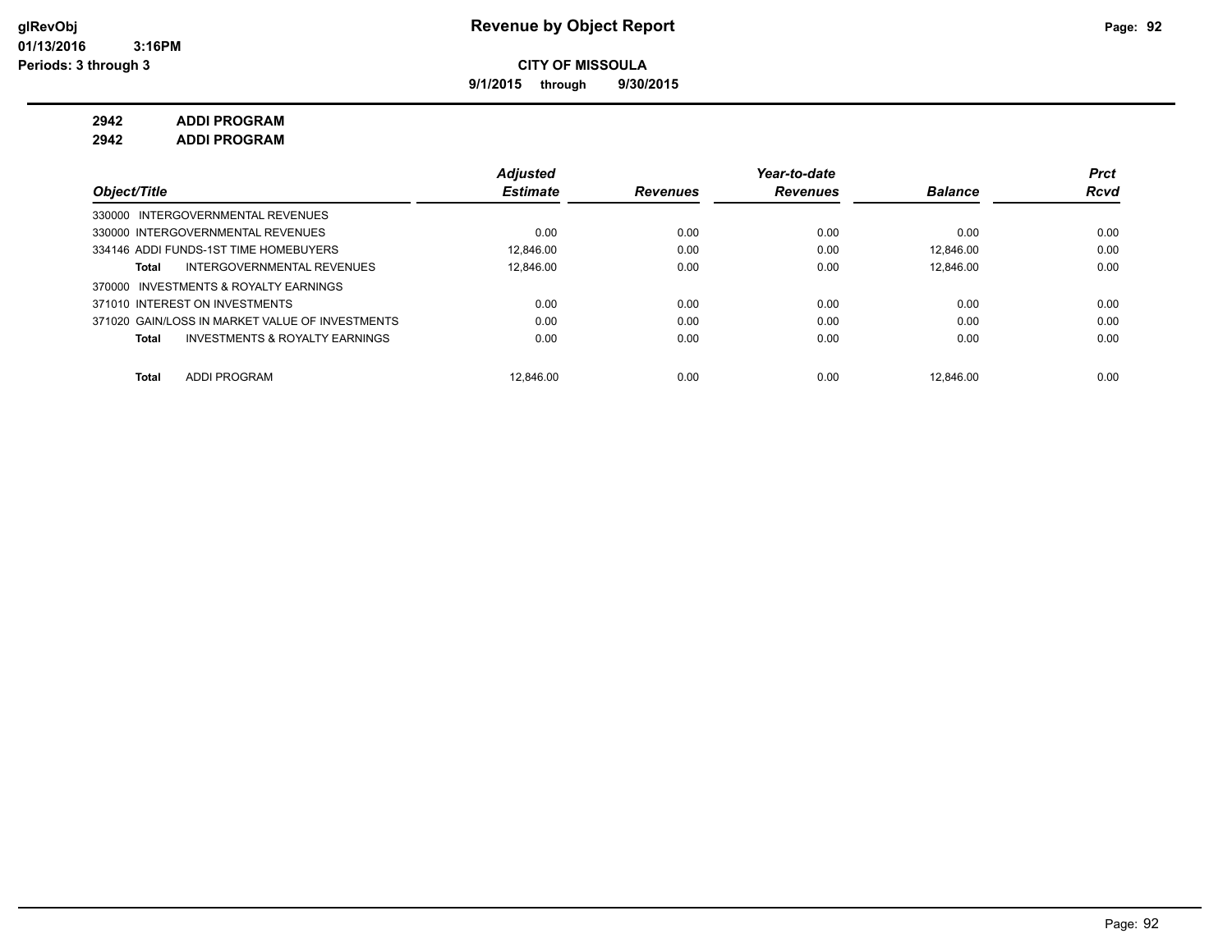**9/1/2015 through 9/30/2015**

**2942 ADDI PROGRAM**

**2942 ADDI PROGRAM**

|                                                    | <b>Adjusted</b> |                 | Year-to-date    |                | <b>Prct</b> |
|----------------------------------------------------|-----------------|-----------------|-----------------|----------------|-------------|
| Object/Title                                       | <b>Estimate</b> | <b>Revenues</b> | <b>Revenues</b> | <b>Balance</b> | <b>Rcvd</b> |
| 330000 INTERGOVERNMENTAL REVENUES                  |                 |                 |                 |                |             |
| 330000 INTERGOVERNMENTAL REVENUES                  | 0.00            | 0.00            | 0.00            | 0.00           | 0.00        |
| 334146 ADDI FUNDS-1ST TIME HOMEBUYERS              | 12.846.00       | 0.00            | 0.00            | 12.846.00      | 0.00        |
| INTERGOVERNMENTAL REVENUES<br>Total                | 12.846.00       | 0.00            | 0.00            | 12.846.00      | 0.00        |
| INVESTMENTS & ROYALTY EARNINGS<br>370000           |                 |                 |                 |                |             |
| 371010 INTEREST ON INVESTMENTS                     | 0.00            | 0.00            | 0.00            | 0.00           | 0.00        |
| 371020 GAIN/LOSS IN MARKET VALUE OF INVESTMENTS    | 0.00            | 0.00            | 0.00            | 0.00           | 0.00        |
| <b>INVESTMENTS &amp; ROYALTY EARNINGS</b><br>Total | 0.00            | 0.00            | 0.00            | 0.00           | 0.00        |
|                                                    |                 |                 |                 |                |             |
| <b>ADDI PROGRAM</b><br><b>Total</b>                | 12.846.00       | 0.00            | 0.00            | 12.846.00      | 0.00        |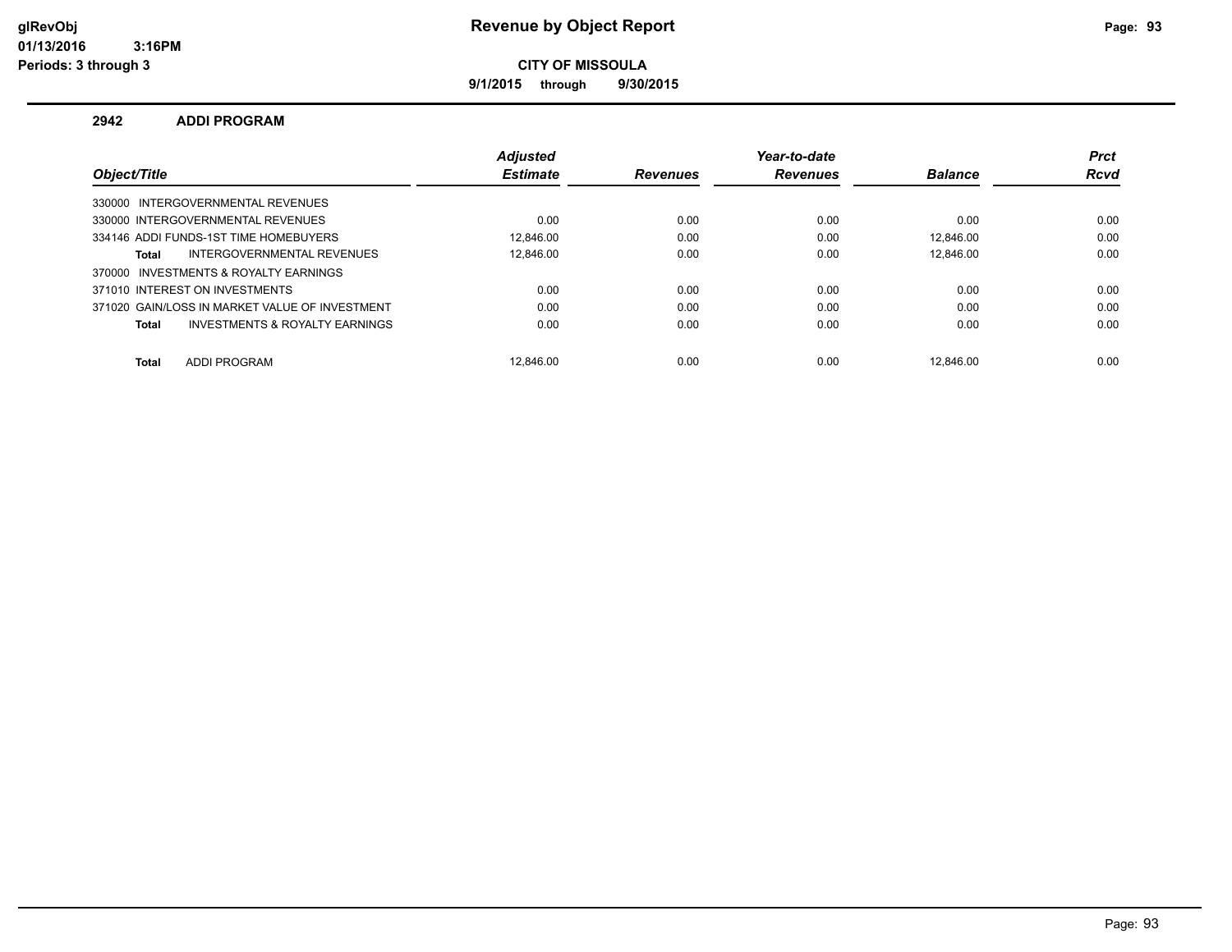**9/1/2015 through 9/30/2015**

## **2942 ADDI PROGRAM**

|                                                | <b>Adjusted</b> |                 | Year-to-date    |                | <b>Prct</b> |
|------------------------------------------------|-----------------|-----------------|-----------------|----------------|-------------|
| Object/Title                                   | <b>Estimate</b> | <b>Revenues</b> | <b>Revenues</b> | <b>Balance</b> | <b>Rcvd</b> |
| 330000 INTERGOVERNMENTAL REVENUES              |                 |                 |                 |                |             |
| 330000 INTERGOVERNMENTAL REVENUES              | 0.00            | 0.00            | 0.00            | 0.00           | 0.00        |
| 334146 ADDI FUNDS-1ST TIME HOMEBUYERS          | 12.846.00       | 0.00            | 0.00            | 12.846.00      | 0.00        |
| INTERGOVERNMENTAL REVENUES<br>Total            | 12.846.00       | 0.00            | 0.00            | 12.846.00      | 0.00        |
| 370000 INVESTMENTS & ROYALTY EARNINGS          |                 |                 |                 |                |             |
| 371010 INTEREST ON INVESTMENTS                 | 0.00            | 0.00            | 0.00            | 0.00           | 0.00        |
| 371020 GAIN/LOSS IN MARKET VALUE OF INVESTMENT | 0.00            | 0.00            | 0.00            | 0.00           | 0.00        |
| INVESTMENTS & ROYALTY EARNINGS<br>Total        | 0.00            | 0.00            | 0.00            | 0.00           | 0.00        |
|                                                |                 |                 |                 |                |             |
| ADDI PROGRAM<br>Total                          | 12.846.00       | 0.00            | 0.00            | 12.846.00      | 0.00        |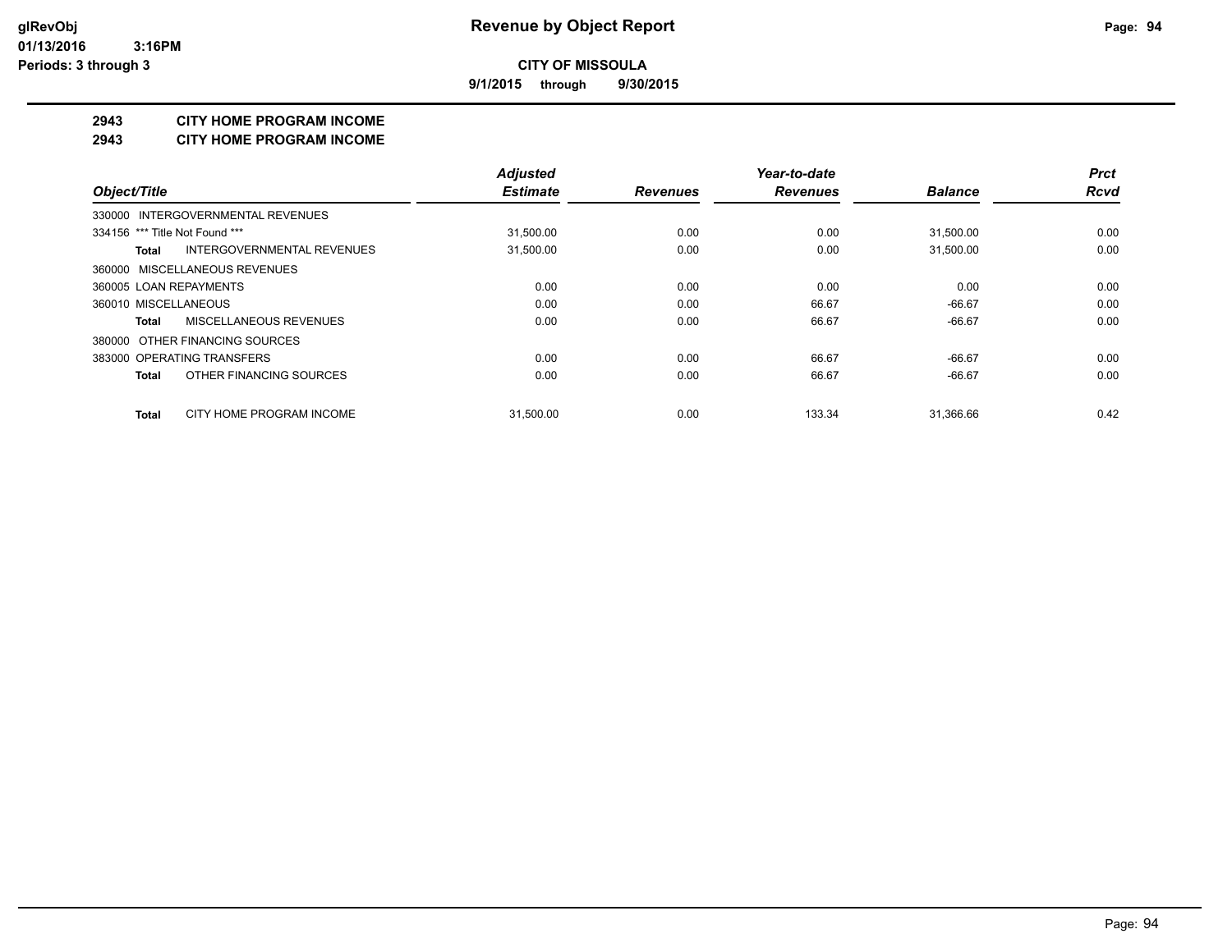**9/1/2015 through 9/30/2015**

## **2943 CITY HOME PROGRAM INCOME**

#### **2943 CITY HOME PROGRAM INCOME**

|                                          | <b>Adjusted</b> |                 | Year-to-date    |                | <b>Prct</b> |
|------------------------------------------|-----------------|-----------------|-----------------|----------------|-------------|
| Object/Title                             | <b>Estimate</b> | <b>Revenues</b> | <b>Revenues</b> | <b>Balance</b> | <b>Rcvd</b> |
| 330000 INTERGOVERNMENTAL REVENUES        |                 |                 |                 |                |             |
| 334156 *** Title Not Found ***           | 31,500.00       | 0.00            | 0.00            | 31,500.00      | 0.00        |
| INTERGOVERNMENTAL REVENUES<br>Total      | 31,500.00       | 0.00            | 0.00            | 31,500.00      | 0.00        |
| 360000 MISCELLANEOUS REVENUES            |                 |                 |                 |                |             |
| 360005 LOAN REPAYMENTS                   | 0.00            | 0.00            | 0.00            | 0.00           | 0.00        |
| 360010 MISCELLANEOUS                     | 0.00            | 0.00            | 66.67           | $-66.67$       | 0.00        |
| MISCELLANEOUS REVENUES<br>Total          | 0.00            | 0.00            | 66.67           | $-66.67$       | 0.00        |
| 380000 OTHER FINANCING SOURCES           |                 |                 |                 |                |             |
| 383000 OPERATING TRANSFERS               | 0.00            | 0.00            | 66.67           | $-66.67$       | 0.00        |
| OTHER FINANCING SOURCES<br>Total         | 0.00            | 0.00            | 66.67           | $-66.67$       | 0.00        |
| CITY HOME PROGRAM INCOME<br><b>Total</b> | 31.500.00       | 0.00            | 133.34          | 31.366.66      | 0.42        |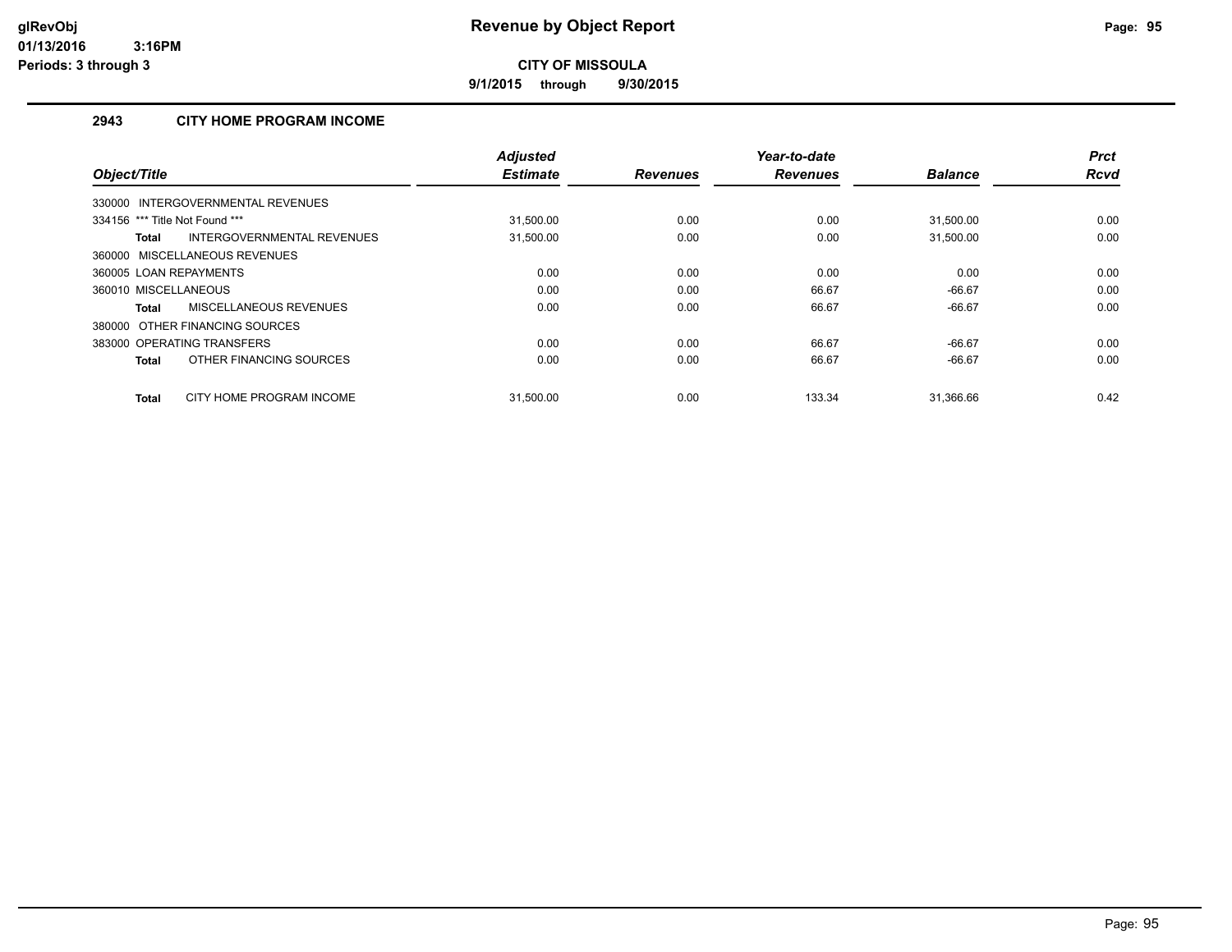**9/1/2015 through 9/30/2015**

# **2943 CITY HOME PROGRAM INCOME**

|                                            | <b>Adjusted</b> |                 | Year-to-date    |                | <b>Prct</b> |
|--------------------------------------------|-----------------|-----------------|-----------------|----------------|-------------|
| Object/Title                               | <b>Estimate</b> | <b>Revenues</b> | <b>Revenues</b> | <b>Balance</b> | <b>Rcvd</b> |
| 330000 INTERGOVERNMENTAL REVENUES          |                 |                 |                 |                |             |
| 334156 *** Title Not Found ***             | 31.500.00       | 0.00            | 0.00            | 31.500.00      | 0.00        |
| INTERGOVERNMENTAL REVENUES<br><b>Total</b> | 31.500.00       | 0.00            | 0.00            | 31.500.00      | 0.00        |
| 360000 MISCELLANEOUS REVENUES              |                 |                 |                 |                |             |
| 360005 LOAN REPAYMENTS                     | 0.00            | 0.00            | 0.00            | 0.00           | 0.00        |
| 360010 MISCELLANEOUS                       | 0.00            | 0.00            | 66.67           | $-66.67$       | 0.00        |
| MISCELLANEOUS REVENUES<br><b>Total</b>     | 0.00            | 0.00            | 66.67           | $-66.67$       | 0.00        |
| 380000 OTHER FINANCING SOURCES             |                 |                 |                 |                |             |
| 383000 OPERATING TRANSFERS                 | 0.00            | 0.00            | 66.67           | $-66.67$       | 0.00        |
| OTHER FINANCING SOURCES<br><b>Total</b>    | 0.00            | 0.00            | 66.67           | $-66.67$       | 0.00        |
| CITY HOME PROGRAM INCOME<br><b>Total</b>   | 31.500.00       | 0.00            | 133.34          | 31.366.66      | 0.42        |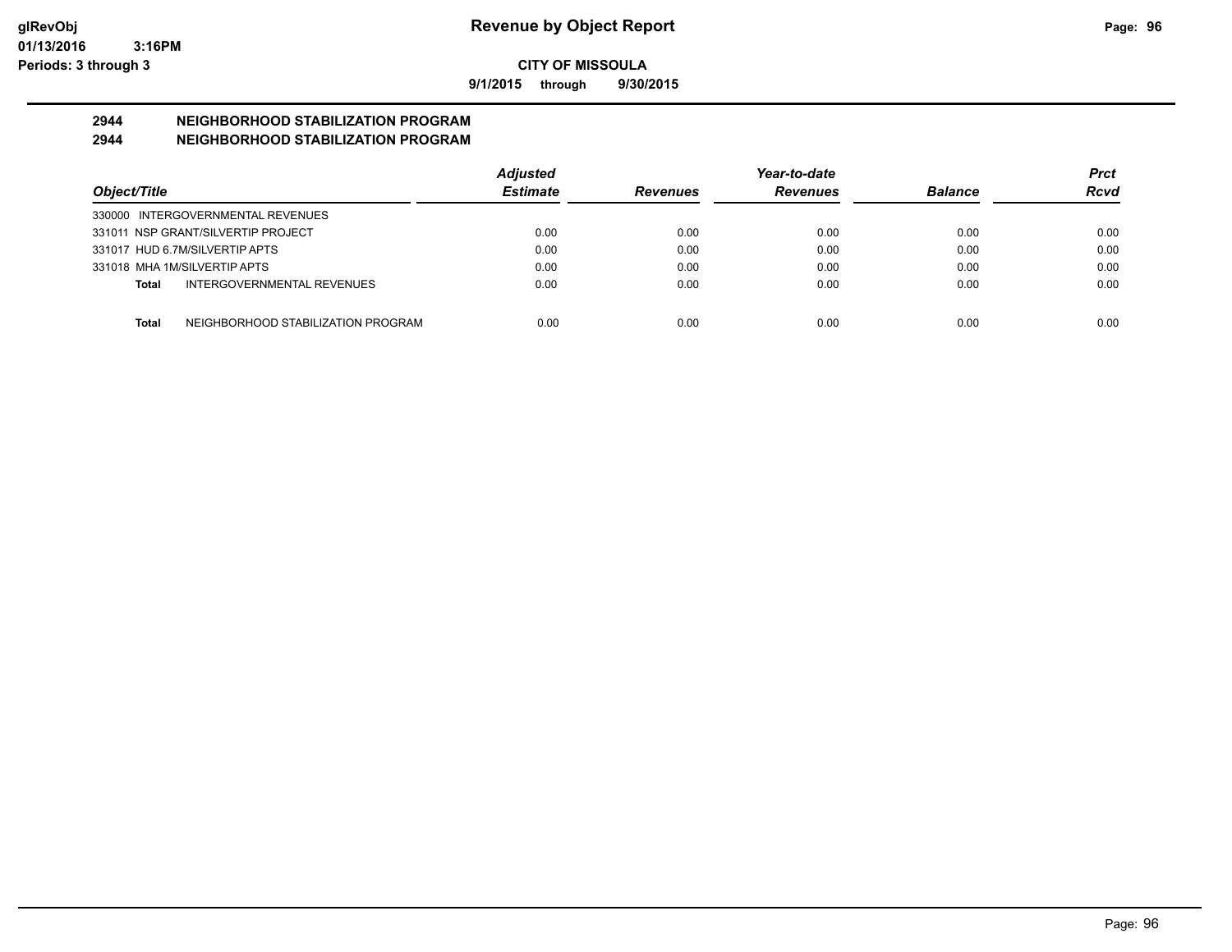**9/1/2015 through 9/30/2015**

# **2944 NEIGHBORHOOD STABILIZATION PROGRAM**

# **2944 NEIGHBORHOOD STABILIZATION PROGRAM**

|                                                    | <b>Adjusted</b> |                 | Year-to-date    |                | Prct |
|----------------------------------------------------|-----------------|-----------------|-----------------|----------------|------|
| Object/Title                                       | <b>Estimate</b> | <b>Revenues</b> | <b>Revenues</b> | <b>Balance</b> | Rcvd |
| 330000 INTERGOVERNMENTAL REVENUES                  |                 |                 |                 |                |      |
| 331011 NSP GRANT/SILVERTIP PROJECT                 | 0.00            | 0.00            | 0.00            | 0.00           | 0.00 |
| 331017 HUD 6.7M/SILVERTIP APTS                     | 0.00            | 0.00            | 0.00            | 0.00           | 0.00 |
| 331018 MHA 1M/SILVERTIP APTS                       | 0.00            | 0.00            | 0.00            | 0.00           | 0.00 |
| INTERGOVERNMENTAL REVENUES<br>Total                | 0.00            | 0.00            | 0.00            | 0.00           | 0.00 |
|                                                    |                 |                 |                 |                |      |
| NEIGHBORHOOD STABILIZATION PROGRAM<br><b>Total</b> | 0.00            | 0.00            | 0.00            | 0.00           | 0.00 |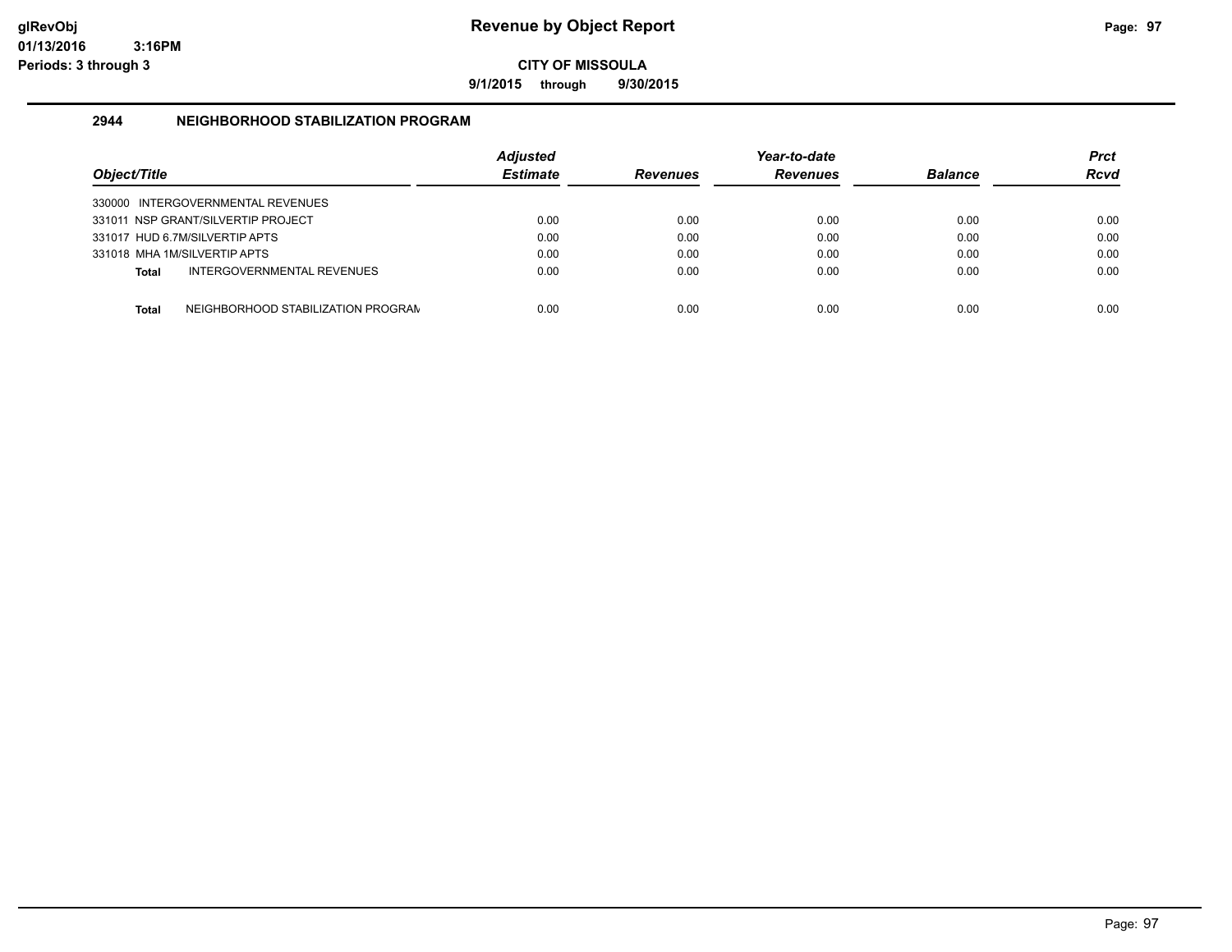**9/1/2015 through 9/30/2015**

## **2944 NEIGHBORHOOD STABILIZATION PROGRAM**

| Obiect/Title |                                    | <b>Adjusted</b><br><b>Estimate</b> | <b>Revenues</b> | Year-to-date<br><b>Revenues</b> | <b>Balance</b> | Prct<br><b>Rcvd</b> |
|--------------|------------------------------------|------------------------------------|-----------------|---------------------------------|----------------|---------------------|
|              | 330000 INTERGOVERNMENTAL REVENUES  |                                    |                 |                                 |                |                     |
|              | 331011 NSP GRANT/SILVERTIP PROJECT | 0.00                               | 0.00            | 0.00                            | 0.00           | 0.00                |
|              | 331017 HUD 6.7M/SILVERTIP APTS     | 0.00                               | 0.00            | 0.00                            | 0.00           | 0.00                |
|              | 331018 MHA 1M/SILVERTIP APTS       | 0.00                               | 0.00            | 0.00                            | 0.00           | 0.00                |
| Total        | INTERGOVERNMENTAL REVENUES         | 0.00                               | 0.00            | 0.00                            | 0.00           | 0.00                |
| Total        | NEIGHBORHOOD STABILIZATION PROGRAN | 0.00                               | 0.00            | 0.00                            | 0.00           | 0.00                |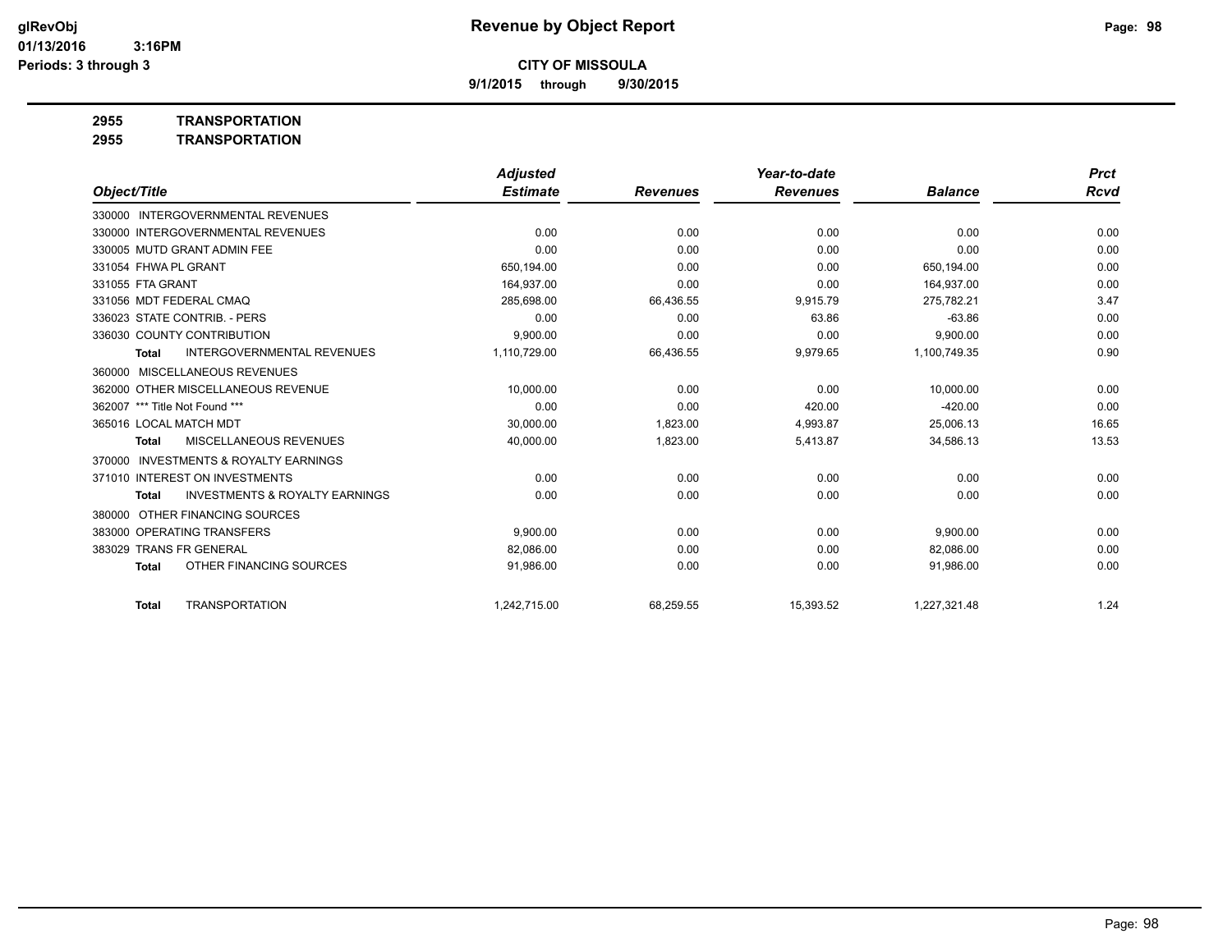**9/1/2015 through 9/30/2015**

**2955 TRANSPORTATION**

|                                                           | <b>Adjusted</b> |                 | Year-to-date    |                | <b>Prct</b> |
|-----------------------------------------------------------|-----------------|-----------------|-----------------|----------------|-------------|
| Object/Title                                              | <b>Estimate</b> | <b>Revenues</b> | <b>Revenues</b> | <b>Balance</b> | <b>Rcvd</b> |
| 330000 INTERGOVERNMENTAL REVENUES                         |                 |                 |                 |                |             |
| 330000 INTERGOVERNMENTAL REVENUES                         | 0.00            | 0.00            | 0.00            | 0.00           | 0.00        |
| 330005 MUTD GRANT ADMIN FEE                               | 0.00            | 0.00            | 0.00            | 0.00           | 0.00        |
| 331054 FHWA PL GRANT                                      | 650,194.00      | 0.00            | 0.00            | 650,194.00     | 0.00        |
| 331055 FTA GRANT                                          | 164,937.00      | 0.00            | 0.00            | 164,937.00     | 0.00        |
| 331056 MDT FEDERAL CMAQ                                   | 285.698.00      | 66,436.55       | 9,915.79        | 275.782.21     | 3.47        |
| 336023 STATE CONTRIB. - PERS                              | 0.00            | 0.00            | 63.86           | $-63.86$       | 0.00        |
| 336030 COUNTY CONTRIBUTION                                | 9,900.00        | 0.00            | 0.00            | 9,900.00       | 0.00        |
| <b>INTERGOVERNMENTAL REVENUES</b><br><b>Total</b>         | 1,110,729.00    | 66,436.55       | 9,979.65        | 1,100,749.35   | 0.90        |
| <b>MISCELLANEOUS REVENUES</b><br>360000                   |                 |                 |                 |                |             |
| 362000 OTHER MISCELLANEOUS REVENUE                        | 10,000.00       | 0.00            | 0.00            | 10,000.00      | 0.00        |
| 362007 *** Title Not Found ***                            | 0.00            | 0.00            | 420.00          | $-420.00$      | 0.00        |
| 365016 LOCAL MATCH MDT                                    | 30.000.00       | 1.823.00        | 4,993.87        | 25.006.13      | 16.65       |
| MISCELLANEOUS REVENUES<br>Total                           | 40,000.00       | 1,823.00        | 5,413.87        | 34,586.13      | 13.53       |
| <b>INVESTMENTS &amp; ROYALTY EARNINGS</b><br>370000       |                 |                 |                 |                |             |
| 371010 INTEREST ON INVESTMENTS                            | 0.00            | 0.00            | 0.00            | 0.00           | 0.00        |
| <b>INVESTMENTS &amp; ROYALTY EARNINGS</b><br><b>Total</b> | 0.00            | 0.00            | 0.00            | 0.00           | 0.00        |
| OTHER FINANCING SOURCES<br>380000                         |                 |                 |                 |                |             |
| 383000 OPERATING TRANSFERS                                | 9.900.00        | 0.00            | 0.00            | 9,900.00       | 0.00        |
| <b>TRANS FR GENERAL</b><br>383029                         | 82,086.00       | 0.00            | 0.00            | 82,086.00      | 0.00        |
| OTHER FINANCING SOURCES<br><b>Total</b>                   | 91,986.00       | 0.00            | 0.00            | 91,986.00      | 0.00        |
| <b>TRANSPORTATION</b><br><b>Total</b>                     | 1.242.715.00    | 68,259.55       | 15,393.52       | 1,227,321.48   | 1.24        |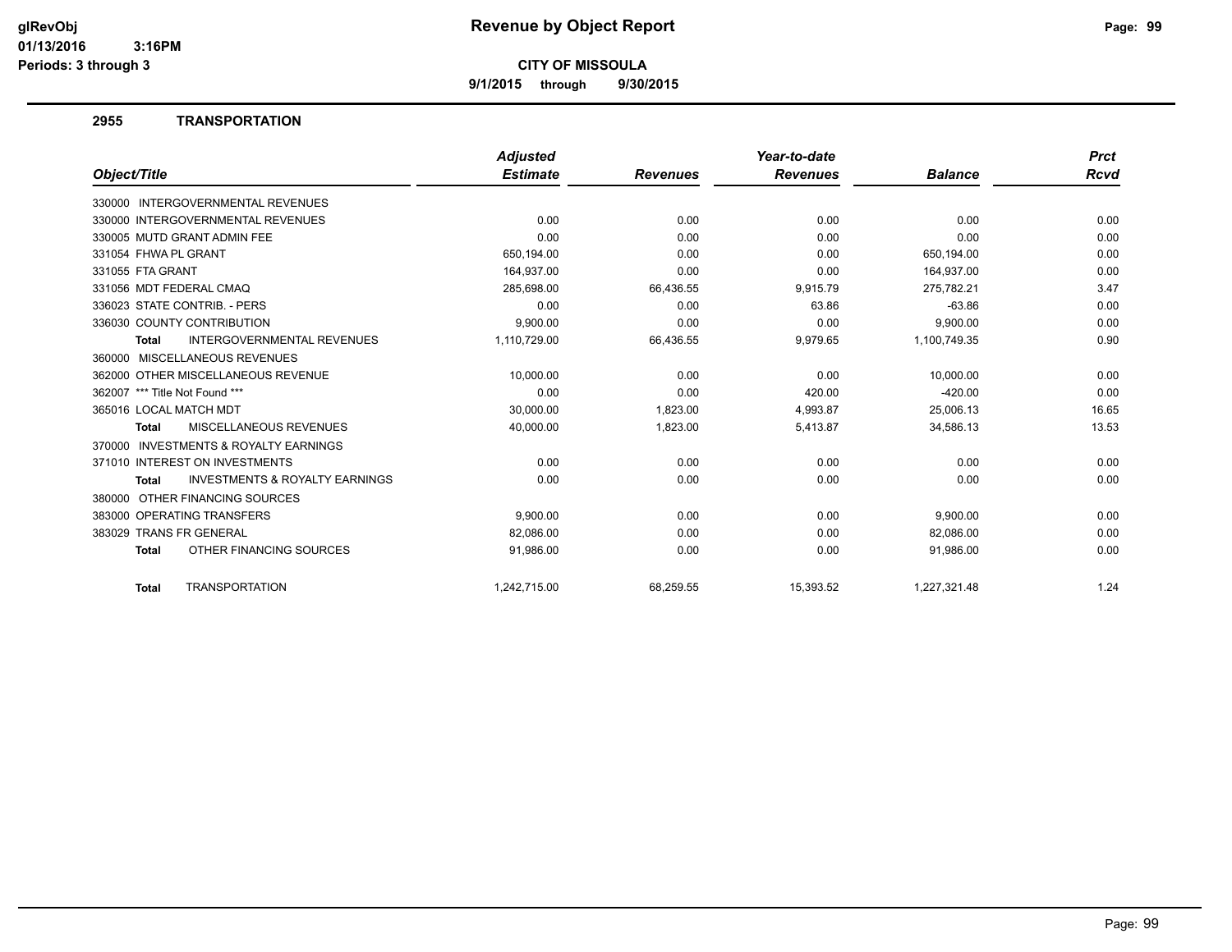**9/1/2015 through 9/30/2015**

## **2955 TRANSPORTATION**

|                                                           | <b>Adjusted</b> |                 | Year-to-date    |                | <b>Prct</b> |
|-----------------------------------------------------------|-----------------|-----------------|-----------------|----------------|-------------|
| Object/Title                                              | <b>Estimate</b> | <b>Revenues</b> | <b>Revenues</b> | <b>Balance</b> | Rcvd        |
| 330000 INTERGOVERNMENTAL REVENUES                         |                 |                 |                 |                |             |
| 330000 INTERGOVERNMENTAL REVENUES                         | 0.00            | 0.00            | 0.00            | 0.00           | 0.00        |
| 330005 MUTD GRANT ADMIN FEE                               | 0.00            | 0.00            | 0.00            | 0.00           | 0.00        |
| 331054 FHWA PL GRANT                                      | 650,194.00      | 0.00            | 0.00            | 650,194.00     | 0.00        |
| 331055 FTA GRANT                                          | 164,937.00      | 0.00            | 0.00            | 164,937.00     | 0.00        |
| 331056 MDT FEDERAL CMAQ                                   | 285,698.00      | 66,436.55       | 9,915.79        | 275,782.21     | 3.47        |
| 336023 STATE CONTRIB. - PERS                              | 0.00            | 0.00            | 63.86           | $-63.86$       | 0.00        |
| 336030 COUNTY CONTRIBUTION                                | 9,900.00        | 0.00            | 0.00            | 9,900.00       | 0.00        |
| <b>INTERGOVERNMENTAL REVENUES</b><br><b>Total</b>         | 1,110,729.00    | 66,436.55       | 9,979.65        | 1,100,749.35   | 0.90        |
| 360000 MISCELLANEOUS REVENUES                             |                 |                 |                 |                |             |
| 362000 OTHER MISCELLANEOUS REVENUE                        | 10.000.00       | 0.00            | 0.00            | 10.000.00      | 0.00        |
| 362007 *** Title Not Found ***                            | 0.00            | 0.00            | 420.00          | $-420.00$      | 0.00        |
| 365016 LOCAL MATCH MDT                                    | 30,000.00       | 1,823.00        | 4,993.87        | 25,006.13      | 16.65       |
| MISCELLANEOUS REVENUES<br><b>Total</b>                    | 40,000.00       | 1,823.00        | 5,413.87        | 34,586.13      | 13.53       |
| <b>INVESTMENTS &amp; ROYALTY EARNINGS</b><br>370000       |                 |                 |                 |                |             |
| 371010 INTEREST ON INVESTMENTS                            | 0.00            | 0.00            | 0.00            | 0.00           | 0.00        |
| <b>INVESTMENTS &amp; ROYALTY EARNINGS</b><br><b>Total</b> | 0.00            | 0.00            | 0.00            | 0.00           | 0.00        |
| 380000 OTHER FINANCING SOURCES                            |                 |                 |                 |                |             |
| 383000 OPERATING TRANSFERS                                | 9,900.00        | 0.00            | 0.00            | 9,900.00       | 0.00        |
| 383029 TRANS FR GENERAL                                   | 82,086.00       | 0.00            | 0.00            | 82,086.00      | 0.00        |
| OTHER FINANCING SOURCES<br><b>Total</b>                   | 91,986.00       | 0.00            | 0.00            | 91,986.00      | 0.00        |
| <b>TRANSPORTATION</b><br><b>Total</b>                     | 1.242,715.00    | 68,259.55       | 15,393.52       | 1.227.321.48   | 1.24        |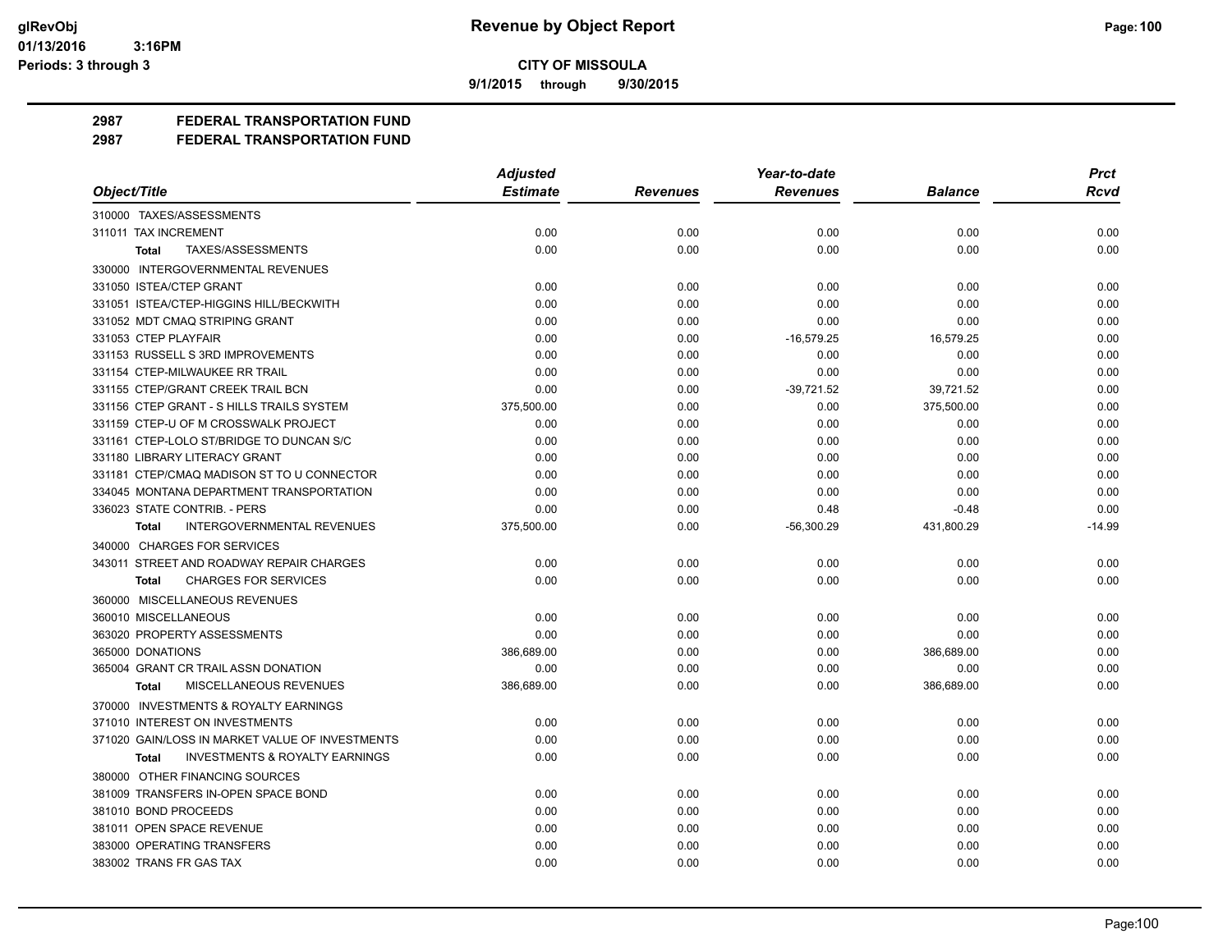**9/1/2015 through 9/30/2015**

# **2987 FEDERAL TRANSPORTATION FUND**

|                                                           | <b>Adjusted</b> |                 | Year-to-date    |                | <b>Prct</b> |
|-----------------------------------------------------------|-----------------|-----------------|-----------------|----------------|-------------|
| Object/Title                                              | <b>Estimate</b> | <b>Revenues</b> | <b>Revenues</b> | <b>Balance</b> | Rcvd        |
| 310000 TAXES/ASSESSMENTS                                  |                 |                 |                 |                |             |
| 311011 TAX INCREMENT                                      | 0.00            | 0.00            | 0.00            | 0.00           | 0.00        |
| TAXES/ASSESSMENTS<br>Total                                | 0.00            | 0.00            | 0.00            | 0.00           | 0.00        |
| 330000 INTERGOVERNMENTAL REVENUES                         |                 |                 |                 |                |             |
| 331050 ISTEA/CTEP GRANT                                   | 0.00            | 0.00            | 0.00            | 0.00           | 0.00        |
| 331051 ISTEA/CTEP-HIGGINS HILL/BECKWITH                   | 0.00            | 0.00            | 0.00            | 0.00           | 0.00        |
| 331052 MDT CMAQ STRIPING GRANT                            | 0.00            | 0.00            | 0.00            | 0.00           | 0.00        |
| 331053 CTEP PLAYFAIR                                      | 0.00            | 0.00            | $-16,579.25$    | 16,579.25      | 0.00        |
| 331153 RUSSELL S 3RD IMPROVEMENTS                         | 0.00            | 0.00            | 0.00            | 0.00           | 0.00        |
| 331154 CTEP-MILWAUKEE RR TRAIL                            | 0.00            | 0.00            | 0.00            | 0.00           | 0.00        |
| 331155 CTEP/GRANT CREEK TRAIL BCN                         | 0.00            | 0.00            | $-39,721.52$    | 39,721.52      | 0.00        |
| 331156 CTEP GRANT - S HILLS TRAILS SYSTEM                 | 375,500.00      | 0.00            | 0.00            | 375,500.00     | 0.00        |
| 331159 CTEP-U OF M CROSSWALK PROJECT                      | 0.00            | 0.00            | 0.00            | 0.00           | 0.00        |
| 331161 CTEP-LOLO ST/BRIDGE TO DUNCAN S/C                  | 0.00            | 0.00            | 0.00            | 0.00           | 0.00        |
| 331180 LIBRARY LITERACY GRANT                             | 0.00            | 0.00            | 0.00            | 0.00           | 0.00        |
| 331181 CTEP/CMAQ MADISON ST TO U CONNECTOR                | 0.00            | 0.00            | 0.00            | 0.00           | 0.00        |
| 334045 MONTANA DEPARTMENT TRANSPORTATION                  | 0.00            | 0.00            | 0.00            | 0.00           | 0.00        |
| 336023 STATE CONTRIB. - PERS                              | 0.00            | 0.00            | 0.48            | $-0.48$        | 0.00        |
| <b>INTERGOVERNMENTAL REVENUES</b><br><b>Total</b>         | 375,500.00      | 0.00            | $-56,300.29$    | 431,800.29     | $-14.99$    |
| 340000 CHARGES FOR SERVICES                               |                 |                 |                 |                |             |
| 343011 STREET AND ROADWAY REPAIR CHARGES                  | 0.00            | 0.00            | 0.00            | 0.00           | 0.00        |
| <b>CHARGES FOR SERVICES</b><br><b>Total</b>               | 0.00            | 0.00            | 0.00            | 0.00           | 0.00        |
| 360000 MISCELLANEOUS REVENUES                             |                 |                 |                 |                |             |
| 360010 MISCELLANEOUS                                      | 0.00            | 0.00            | 0.00            | 0.00           | 0.00        |
| 363020 PROPERTY ASSESSMENTS                               | 0.00            | 0.00            | 0.00            | 0.00           | 0.00        |
| 365000 DONATIONS                                          | 386,689.00      | 0.00            | 0.00            | 386,689.00     | 0.00        |
| 365004 GRANT CR TRAIL ASSN DONATION                       | 0.00            | 0.00            | 0.00            | 0.00           | 0.00        |
| MISCELLANEOUS REVENUES<br>Total                           | 386,689.00      | 0.00            | 0.00            | 386,689.00     | 0.00        |
| 370000 INVESTMENTS & ROYALTY EARNINGS                     |                 |                 |                 |                |             |
| 371010 INTEREST ON INVESTMENTS                            | 0.00            | 0.00            | 0.00            | 0.00           | 0.00        |
| 371020 GAIN/LOSS IN MARKET VALUE OF INVESTMENTS           | 0.00            | 0.00            | 0.00            | 0.00           | 0.00        |
| <b>INVESTMENTS &amp; ROYALTY EARNINGS</b><br><b>Total</b> | 0.00            | 0.00            | 0.00            | 0.00           | 0.00        |
| 380000 OTHER FINANCING SOURCES                            |                 |                 |                 |                |             |
| 381009 TRANSFERS IN-OPEN SPACE BOND                       | 0.00            | 0.00            | 0.00            | 0.00           | 0.00        |
| 381010 BOND PROCEEDS                                      | 0.00            | 0.00            | 0.00            | 0.00           | 0.00        |
| 381011 OPEN SPACE REVENUE                                 | 0.00            | 0.00            | 0.00            | 0.00           | 0.00        |
| 383000 OPERATING TRANSFERS                                | 0.00            | 0.00            | 0.00            | 0.00           | 0.00        |
| 383002 TRANS FR GAS TAX                                   | 0.00            | 0.00            | 0.00            | 0.00           | 0.00        |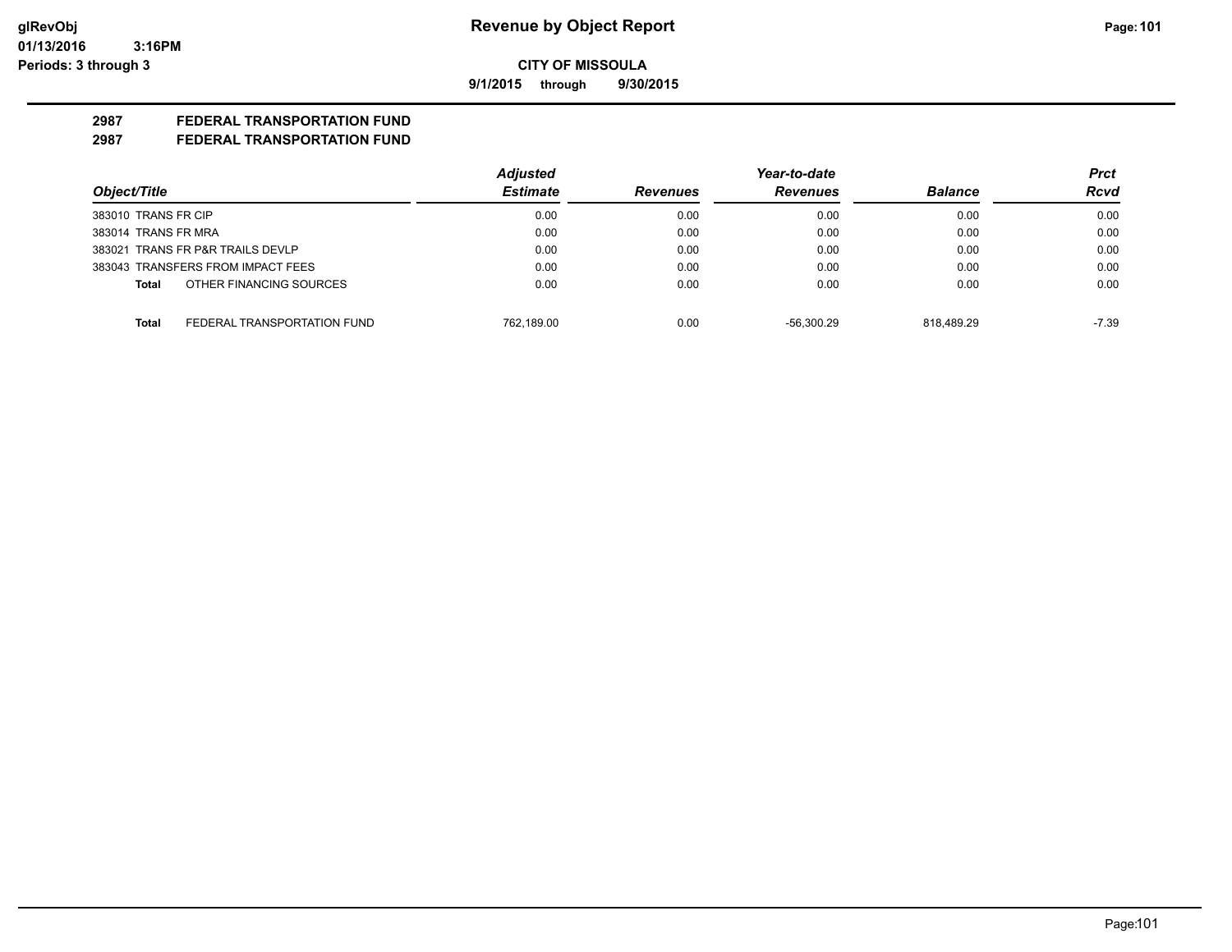**9/1/2015 through 9/30/2015**

# **2987 FEDERAL TRANSPORTATION FUND**

|                                         | <b>Adjusted</b> |                 | Year-to-date    |                | <b>Prct</b> |
|-----------------------------------------|-----------------|-----------------|-----------------|----------------|-------------|
| Object/Title                            | <b>Estimate</b> | <b>Revenues</b> | <b>Revenues</b> | <b>Balance</b> | Rcvd        |
| 383010 TRANS FR CIP                     | 0.00            | 0.00            | 0.00            | 0.00           | 0.00        |
| 383014 TRANS FR MRA                     | 0.00            | 0.00            | 0.00            | 0.00           | 0.00        |
| 383021 TRANS FR P&R TRAILS DEVLP        | 0.00            | 0.00            | 0.00            | 0.00           | 0.00        |
| 383043 TRANSFERS FROM IMPACT FEES       | 0.00            | 0.00            | 0.00            | 0.00           | 0.00        |
| OTHER FINANCING SOURCES<br><b>Total</b> | 0.00            | 0.00            | 0.00            | 0.00           | 0.00        |
| FEDERAL TRANSPORTATION FUND<br>Total    | 762.189.00      | 0.00            | $-56.300.29$    | 818.489.29     | $-7.39$     |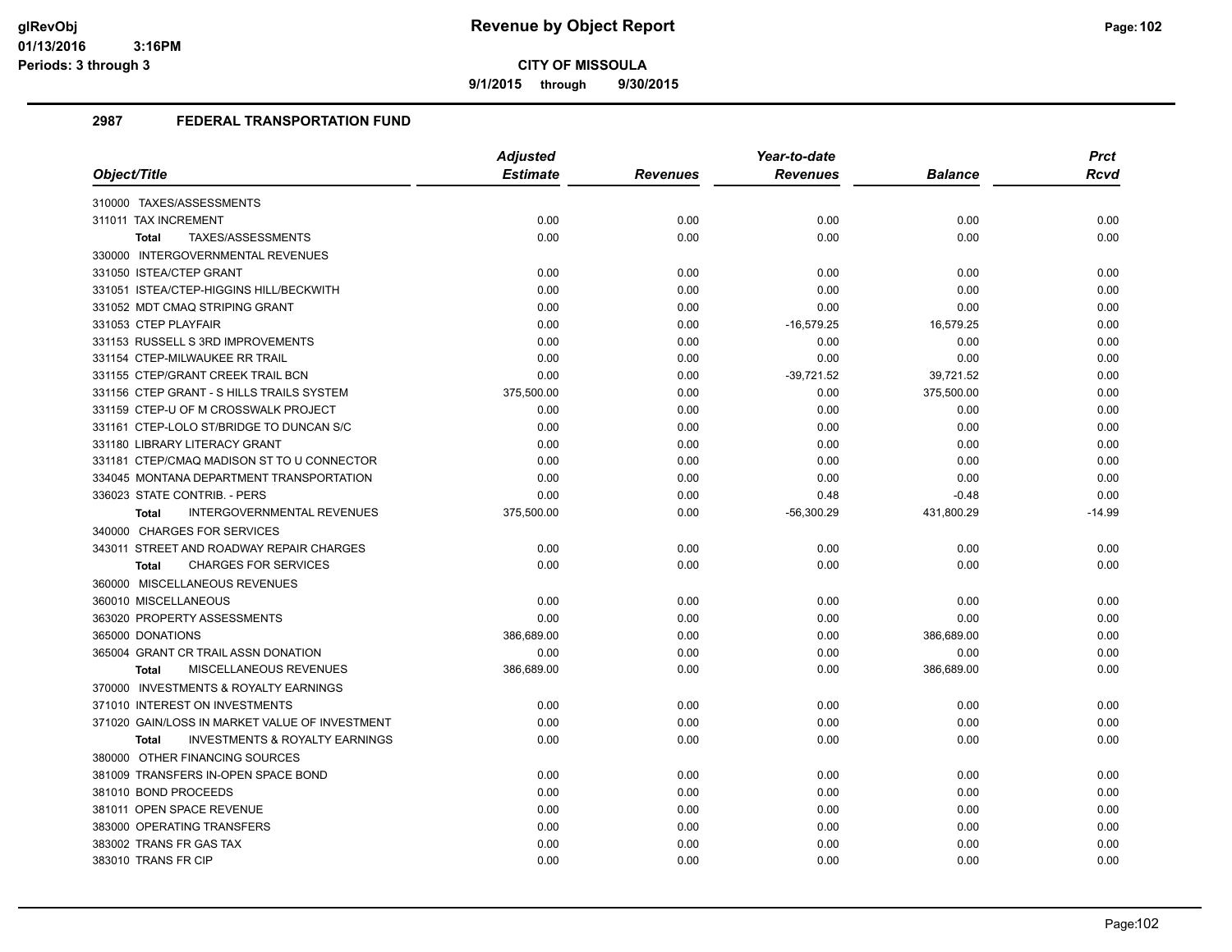**9/1/2015 through 9/30/2015**

|                                                           | <b>Adjusted</b> |                 | Year-to-date    |            | <b>Prct</b> |
|-----------------------------------------------------------|-----------------|-----------------|-----------------|------------|-------------|
| Object/Title                                              | <b>Estimate</b> | <b>Revenues</b> | <b>Revenues</b> | Balance    | Rcvd        |
| 310000 TAXES/ASSESSMENTS                                  |                 |                 |                 |            |             |
| 311011 TAX INCREMENT                                      | 0.00            | 0.00            | 0.00            | 0.00       | 0.00        |
| TAXES/ASSESSMENTS<br><b>Total</b>                         | 0.00            | 0.00            | 0.00            | 0.00       | 0.00        |
| 330000 INTERGOVERNMENTAL REVENUES                         |                 |                 |                 |            |             |
| 331050 ISTEA/CTEP GRANT                                   | 0.00            | 0.00            | 0.00            | 0.00       | 0.00        |
| 331051 ISTEA/CTEP-HIGGINS HILL/BECKWITH                   | 0.00            | 0.00            | 0.00            | 0.00       | 0.00        |
| 331052 MDT CMAQ STRIPING GRANT                            | 0.00            | 0.00            | 0.00            | 0.00       | 0.00        |
| 331053 CTEP PLAYFAIR                                      | 0.00            | 0.00            | $-16,579.25$    | 16,579.25  | 0.00        |
| 331153 RUSSELL S 3RD IMPROVEMENTS                         | 0.00            | 0.00            | 0.00            | 0.00       | 0.00        |
| 331154 CTEP-MILWAUKEE RR TRAIL                            | 0.00            | 0.00            | 0.00            | 0.00       | 0.00        |
| 331155 CTEP/GRANT CREEK TRAIL BCN                         | 0.00            | 0.00            | $-39,721.52$    | 39,721.52  | 0.00        |
| 331156 CTEP GRANT - S HILLS TRAILS SYSTEM                 | 375,500.00      | 0.00            | 0.00            | 375,500.00 | 0.00        |
| 331159 CTEP-U OF M CROSSWALK PROJECT                      | 0.00            | 0.00            | 0.00            | 0.00       | 0.00        |
| 331161 CTEP-LOLO ST/BRIDGE TO DUNCAN S/C                  | 0.00            | 0.00            | 0.00            | 0.00       | 0.00        |
| 331180 LIBRARY LITERACY GRANT                             | 0.00            | 0.00            | 0.00            | 0.00       | 0.00        |
| 331181 CTEP/CMAQ MADISON ST TO U CONNECTOR                | 0.00            | 0.00            | 0.00            | 0.00       | 0.00        |
| 334045 MONTANA DEPARTMENT TRANSPORTATION                  | 0.00            | 0.00            | 0.00            | 0.00       | 0.00        |
| 336023 STATE CONTRIB. - PERS                              | 0.00            | 0.00            | 0.48            | $-0.48$    | 0.00        |
| INTERGOVERNMENTAL REVENUES<br>Total                       | 375,500.00      | 0.00            | -56,300.29      | 431,800.29 | $-14.99$    |
| 340000 CHARGES FOR SERVICES                               |                 |                 |                 |            |             |
| 343011 STREET AND ROADWAY REPAIR CHARGES                  | 0.00            | 0.00            | 0.00            | 0.00       | 0.00        |
| <b>CHARGES FOR SERVICES</b><br><b>Total</b>               | 0.00            | 0.00            | 0.00            | 0.00       | 0.00        |
| 360000 MISCELLANEOUS REVENUES                             |                 |                 |                 |            |             |
| 360010 MISCELLANEOUS                                      | 0.00            | 0.00            | 0.00            | 0.00       | 0.00        |
| 363020 PROPERTY ASSESSMENTS                               | 0.00            | 0.00            | 0.00            | 0.00       | 0.00        |
| 365000 DONATIONS                                          | 386,689.00      | 0.00            | 0.00            | 386,689.00 | 0.00        |
| 365004 GRANT CR TRAIL ASSN DONATION                       | 0.00            | 0.00            | 0.00            | 0.00       | 0.00        |
| <b>MISCELLANEOUS REVENUES</b><br><b>Total</b>             | 386,689.00      | 0.00            | 0.00            | 386,689.00 | 0.00        |
| 370000 INVESTMENTS & ROYALTY EARNINGS                     |                 |                 |                 |            |             |
| 371010 INTEREST ON INVESTMENTS                            | 0.00            | 0.00            | 0.00            | 0.00       | 0.00        |
| 371020 GAIN/LOSS IN MARKET VALUE OF INVESTMENT            | 0.00            | 0.00            | 0.00            | 0.00       | 0.00        |
| <b>INVESTMENTS &amp; ROYALTY EARNINGS</b><br><b>Total</b> | 0.00            | 0.00            | 0.00            | 0.00       | 0.00        |
| 380000 OTHER FINANCING SOURCES                            |                 |                 |                 |            |             |
| 381009 TRANSFERS IN-OPEN SPACE BOND                       | 0.00            | 0.00            | 0.00            | 0.00       | 0.00        |
| 381010 BOND PROCEEDS                                      | 0.00            | 0.00            | 0.00            | 0.00       | 0.00        |
| 381011 OPEN SPACE REVENUE                                 | 0.00            | 0.00            | 0.00            | 0.00       | 0.00        |
| 383000 OPERATING TRANSFERS                                | 0.00            | 0.00            | 0.00            | 0.00       | 0.00        |
| 383002 TRANS FR GAS TAX                                   | 0.00            | 0.00            | 0.00            | 0.00       | 0.00        |
| 383010 TRANS FR CIP                                       | 0.00            | 0.00            | 0.00            | 0.00       | 0.00        |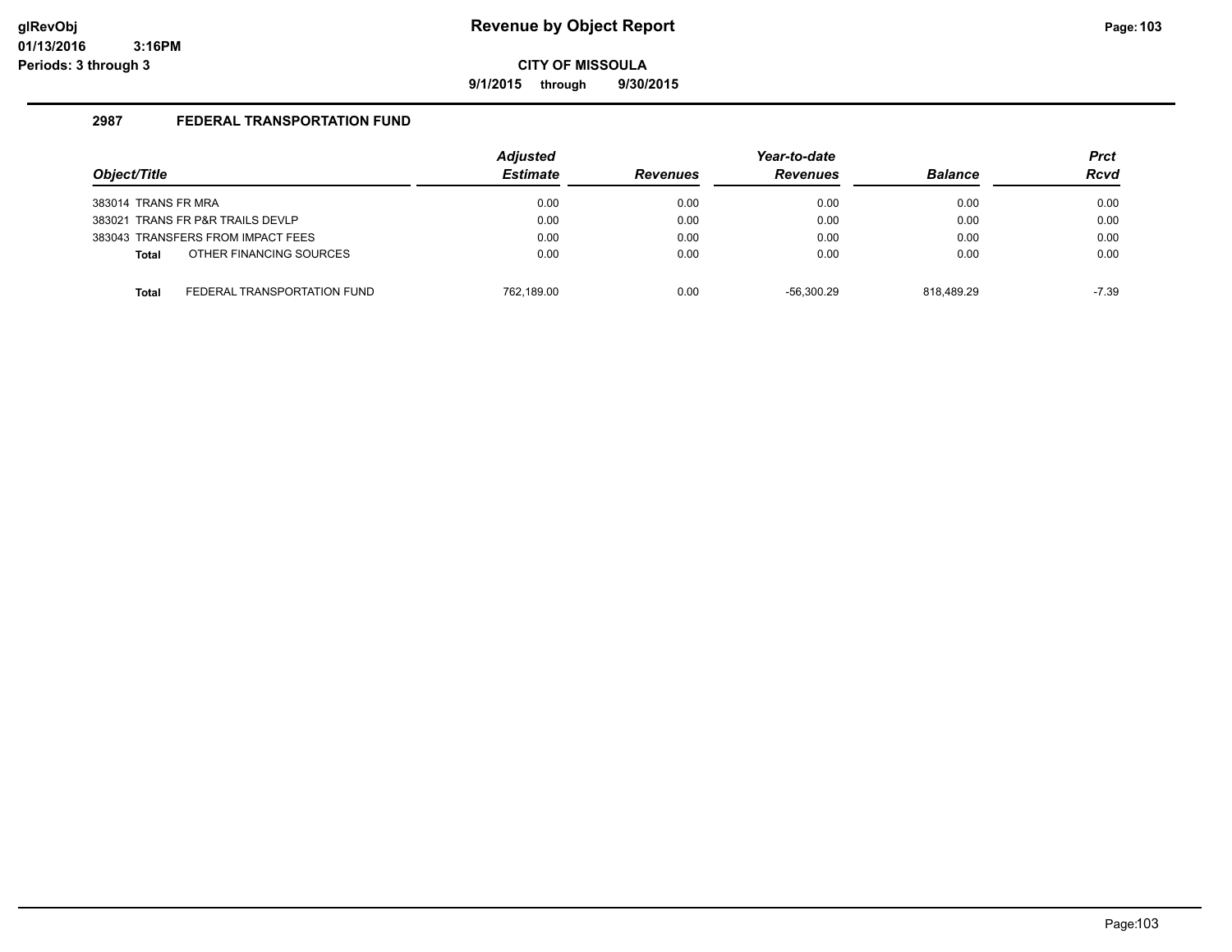**9/1/2015 through 9/30/2015**

|                                             | <b>Adjusted</b> |                 | Year-to-date    |                | <b>Prct</b> |
|---------------------------------------------|-----------------|-----------------|-----------------|----------------|-------------|
| Object/Title                                | <b>Estimate</b> | <b>Revenues</b> | <b>Revenues</b> | <b>Balance</b> | <b>Rcvd</b> |
| 383014 TRANS FR MRA                         | 0.00            | 0.00            | 0.00            | 0.00           | 0.00        |
| 383021 TRANS FR P&R TRAILS DEVLP            | 0.00            | 0.00            | 0.00            | 0.00           | 0.00        |
| 383043 TRANSFERS FROM IMPACT FEES           | 0.00            | 0.00            | 0.00            | 0.00           | 0.00        |
| OTHER FINANCING SOURCES<br><b>Total</b>     | 0.00            | 0.00            | 0.00            | 0.00           | 0.00        |
|                                             |                 |                 |                 |                |             |
| FEDERAL TRANSPORTATION FUND<br><b>Total</b> | 762.189.00      | 0.00            | $-56.300.29$    | 818.489.29     | -7.39       |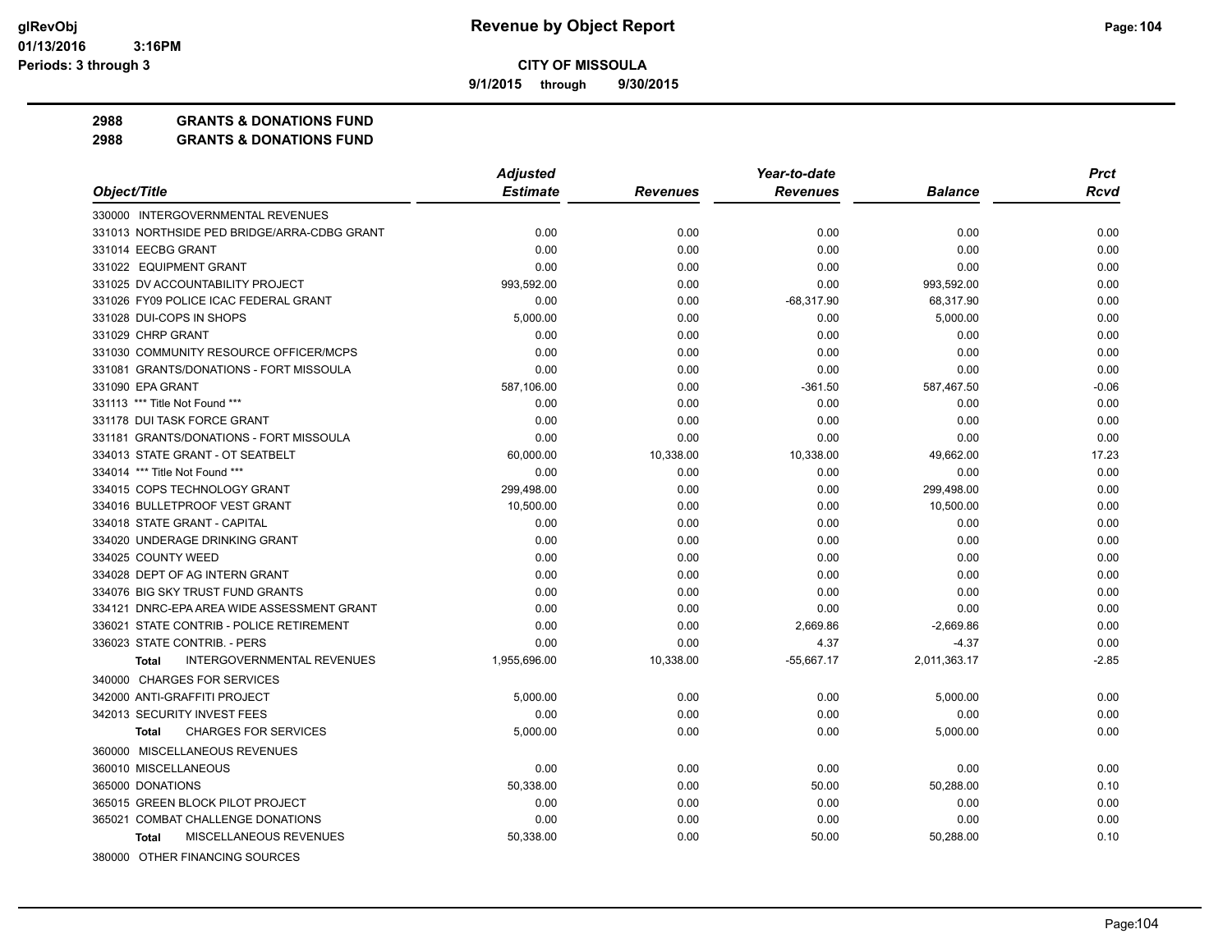**9/1/2015 through 9/30/2015**

## **2988 GRANTS & DONATIONS FUND**

| <b>Estimate</b><br>Object/Title<br><b>Revenues</b><br><b>Balance</b><br><b>Rcvd</b><br><b>Revenues</b><br>330000 INTERGOVERNMENTAL REVENUES<br>331013 NORTHSIDE PED BRIDGE/ARRA-CDBG GRANT<br>0.00<br>0.00<br>0.00<br>0.00<br>0.00<br>331014 EECBG GRANT<br>0.00<br>0.00<br>0.00<br>0.00<br>0.00<br>331022 EQUIPMENT GRANT<br>0.00<br>0.00<br>0.00<br>0.00<br>0.00<br>331025 DV ACCOUNTABILITY PROJECT<br>993,592.00<br>0.00<br>0.00<br>993,592.00<br>0.00<br>331026 FY09 POLICE ICAC FEDERAL GRANT<br>0.00<br>0.00<br>$-68,317.90$<br>68,317.90<br>0.00<br>331028 DUI-COPS IN SHOPS<br>5,000.00<br>0.00<br>5,000.00<br>0.00<br>0.00<br>331029 CHRP GRANT<br>0.00<br>0.00<br>0.00<br>0.00<br>0.00<br>331030 COMMUNITY RESOURCE OFFICER/MCPS<br>0.00<br>0.00<br>0.00<br>0.00<br>0.00<br>331081 GRANTS/DONATIONS - FORT MISSOULA<br>0.00<br>0.00<br>0.00<br>0.00<br>0.00<br>331090 EPA GRANT<br>587,106.00<br>0.00<br>$-361.50$<br>587,467.50<br>$-0.06$<br>0.00<br>331113 *** Title Not Found ***<br>0.00<br>0.00<br>0.00<br>0.00<br>331178 DUI TASK FORCE GRANT<br>0.00<br>0.00<br>0.00<br>0.00<br>0.00<br>0.00<br>0.00<br>331181 GRANTS/DONATIONS - FORT MISSOULA<br>0.00<br>0.00<br>0.00<br>334013 STATE GRANT - OT SEATBELT<br>17.23<br>60,000.00<br>10,338.00<br>10,338.00<br>49,662.00<br>334014 *** Title Not Found ***<br>0.00<br>0.00<br>0.00<br>0.00<br>0.00<br>299,498.00<br>334015 COPS TECHNOLOGY GRANT<br>0.00<br>0.00<br>299,498.00<br>0.00<br>334016 BULLETPROOF VEST GRANT<br>10,500.00<br>0.00<br>0.00<br>10,500.00<br>0.00<br>334018 STATE GRANT - CAPITAL<br>0.00<br>0.00<br>0.00<br>0.00<br>0.00<br>334020 UNDERAGE DRINKING GRANT<br>0.00<br>0.00<br>0.00<br>0.00<br>0.00<br>334025 COUNTY WEED<br>0.00<br>0.00<br>0.00<br>0.00<br>0.00<br>334028 DEPT OF AG INTERN GRANT<br>0.00<br>0.00<br>0.00<br>0.00<br>0.00<br>334076 BIG SKY TRUST FUND GRANTS<br>0.00<br>0.00<br>0.00<br>0.00<br>0.00<br>0.00<br>0.00<br>0.00<br>0.00<br>334121 DNRC-EPA AREA WIDE ASSESSMENT GRANT<br>0.00<br>336021 STATE CONTRIB - POLICE RETIREMENT<br>0.00<br>0.00<br>2,669.86<br>$-2,669.86$<br>0.00<br>0.00<br>336023 STATE CONTRIB. - PERS<br>0.00<br>4.37<br>$-4.37$<br>0.00<br><b>INTERGOVERNMENTAL REVENUES</b><br>$-55,667.17$<br>2,011,363.17<br>$-2.85$<br>1,955,696.00<br>10,338.00<br><b>Total</b><br>340000 CHARGES FOR SERVICES<br>342000 ANTI-GRAFFITI PROJECT<br>5,000.00<br>0.00<br>0.00<br>5,000.00<br>0.00<br>342013 SECURITY INVEST FEES<br>0.00<br>0.00<br>0.00<br>0.00<br>0.00<br><b>CHARGES FOR SERVICES</b><br>5,000.00<br>0.00<br>0.00<br>5,000.00<br>0.00<br><b>Total</b><br>360000 MISCELLANEOUS REVENUES<br>360010 MISCELLANEOUS<br>0.00<br>0.00<br>0.00<br>0.00<br>0.00<br>365000 DONATIONS<br>50,338.00<br>0.00<br>50.00<br>50,288.00<br>0.10<br>365015 GREEN BLOCK PILOT PROJECT<br>0.00<br>0.00<br>0.00<br>0.00<br>0.00<br>365021 COMBAT CHALLENGE DONATIONS<br>0.00<br>0.00<br>0.00<br>0.00<br>0.00<br>MISCELLANEOUS REVENUES<br>0.00<br>50,288.00<br>0.10<br>50,338.00<br>50.00<br><b>Total</b> |                                | <b>Adjusted</b> | Year-to-date | <b>Prct</b> |
|------------------------------------------------------------------------------------------------------------------------------------------------------------------------------------------------------------------------------------------------------------------------------------------------------------------------------------------------------------------------------------------------------------------------------------------------------------------------------------------------------------------------------------------------------------------------------------------------------------------------------------------------------------------------------------------------------------------------------------------------------------------------------------------------------------------------------------------------------------------------------------------------------------------------------------------------------------------------------------------------------------------------------------------------------------------------------------------------------------------------------------------------------------------------------------------------------------------------------------------------------------------------------------------------------------------------------------------------------------------------------------------------------------------------------------------------------------------------------------------------------------------------------------------------------------------------------------------------------------------------------------------------------------------------------------------------------------------------------------------------------------------------------------------------------------------------------------------------------------------------------------------------------------------------------------------------------------------------------------------------------------------------------------------------------------------------------------------------------------------------------------------------------------------------------------------------------------------------------------------------------------------------------------------------------------------------------------------------------------------------------------------------------------------------------------------------------------------------------------------------------------------------------------------------------------------------------------------------------------------------------------------------------------------------------------------------------------------------------------------------------------------------------------------------------------------------------------------------------------------------------------------------------------------------------------------------------------------------------------------------------------------------------------|--------------------------------|-----------------|--------------|-------------|
|                                                                                                                                                                                                                                                                                                                                                                                                                                                                                                                                                                                                                                                                                                                                                                                                                                                                                                                                                                                                                                                                                                                                                                                                                                                                                                                                                                                                                                                                                                                                                                                                                                                                                                                                                                                                                                                                                                                                                                                                                                                                                                                                                                                                                                                                                                                                                                                                                                                                                                                                                                                                                                                                                                                                                                                                                                                                                                                                                                                                                                    |                                |                 |              |             |
|                                                                                                                                                                                                                                                                                                                                                                                                                                                                                                                                                                                                                                                                                                                                                                                                                                                                                                                                                                                                                                                                                                                                                                                                                                                                                                                                                                                                                                                                                                                                                                                                                                                                                                                                                                                                                                                                                                                                                                                                                                                                                                                                                                                                                                                                                                                                                                                                                                                                                                                                                                                                                                                                                                                                                                                                                                                                                                                                                                                                                                    |                                |                 |              |             |
|                                                                                                                                                                                                                                                                                                                                                                                                                                                                                                                                                                                                                                                                                                                                                                                                                                                                                                                                                                                                                                                                                                                                                                                                                                                                                                                                                                                                                                                                                                                                                                                                                                                                                                                                                                                                                                                                                                                                                                                                                                                                                                                                                                                                                                                                                                                                                                                                                                                                                                                                                                                                                                                                                                                                                                                                                                                                                                                                                                                                                                    |                                |                 |              |             |
|                                                                                                                                                                                                                                                                                                                                                                                                                                                                                                                                                                                                                                                                                                                                                                                                                                                                                                                                                                                                                                                                                                                                                                                                                                                                                                                                                                                                                                                                                                                                                                                                                                                                                                                                                                                                                                                                                                                                                                                                                                                                                                                                                                                                                                                                                                                                                                                                                                                                                                                                                                                                                                                                                                                                                                                                                                                                                                                                                                                                                                    |                                |                 |              |             |
|                                                                                                                                                                                                                                                                                                                                                                                                                                                                                                                                                                                                                                                                                                                                                                                                                                                                                                                                                                                                                                                                                                                                                                                                                                                                                                                                                                                                                                                                                                                                                                                                                                                                                                                                                                                                                                                                                                                                                                                                                                                                                                                                                                                                                                                                                                                                                                                                                                                                                                                                                                                                                                                                                                                                                                                                                                                                                                                                                                                                                                    |                                |                 |              |             |
|                                                                                                                                                                                                                                                                                                                                                                                                                                                                                                                                                                                                                                                                                                                                                                                                                                                                                                                                                                                                                                                                                                                                                                                                                                                                                                                                                                                                                                                                                                                                                                                                                                                                                                                                                                                                                                                                                                                                                                                                                                                                                                                                                                                                                                                                                                                                                                                                                                                                                                                                                                                                                                                                                                                                                                                                                                                                                                                                                                                                                                    |                                |                 |              |             |
|                                                                                                                                                                                                                                                                                                                                                                                                                                                                                                                                                                                                                                                                                                                                                                                                                                                                                                                                                                                                                                                                                                                                                                                                                                                                                                                                                                                                                                                                                                                                                                                                                                                                                                                                                                                                                                                                                                                                                                                                                                                                                                                                                                                                                                                                                                                                                                                                                                                                                                                                                                                                                                                                                                                                                                                                                                                                                                                                                                                                                                    |                                |                 |              |             |
|                                                                                                                                                                                                                                                                                                                                                                                                                                                                                                                                                                                                                                                                                                                                                                                                                                                                                                                                                                                                                                                                                                                                                                                                                                                                                                                                                                                                                                                                                                                                                                                                                                                                                                                                                                                                                                                                                                                                                                                                                                                                                                                                                                                                                                                                                                                                                                                                                                                                                                                                                                                                                                                                                                                                                                                                                                                                                                                                                                                                                                    |                                |                 |              |             |
|                                                                                                                                                                                                                                                                                                                                                                                                                                                                                                                                                                                                                                                                                                                                                                                                                                                                                                                                                                                                                                                                                                                                                                                                                                                                                                                                                                                                                                                                                                                                                                                                                                                                                                                                                                                                                                                                                                                                                                                                                                                                                                                                                                                                                                                                                                                                                                                                                                                                                                                                                                                                                                                                                                                                                                                                                                                                                                                                                                                                                                    |                                |                 |              |             |
|                                                                                                                                                                                                                                                                                                                                                                                                                                                                                                                                                                                                                                                                                                                                                                                                                                                                                                                                                                                                                                                                                                                                                                                                                                                                                                                                                                                                                                                                                                                                                                                                                                                                                                                                                                                                                                                                                                                                                                                                                                                                                                                                                                                                                                                                                                                                                                                                                                                                                                                                                                                                                                                                                                                                                                                                                                                                                                                                                                                                                                    |                                |                 |              |             |
|                                                                                                                                                                                                                                                                                                                                                                                                                                                                                                                                                                                                                                                                                                                                                                                                                                                                                                                                                                                                                                                                                                                                                                                                                                                                                                                                                                                                                                                                                                                                                                                                                                                                                                                                                                                                                                                                                                                                                                                                                                                                                                                                                                                                                                                                                                                                                                                                                                                                                                                                                                                                                                                                                                                                                                                                                                                                                                                                                                                                                                    |                                |                 |              |             |
|                                                                                                                                                                                                                                                                                                                                                                                                                                                                                                                                                                                                                                                                                                                                                                                                                                                                                                                                                                                                                                                                                                                                                                                                                                                                                                                                                                                                                                                                                                                                                                                                                                                                                                                                                                                                                                                                                                                                                                                                                                                                                                                                                                                                                                                                                                                                                                                                                                                                                                                                                                                                                                                                                                                                                                                                                                                                                                                                                                                                                                    |                                |                 |              |             |
|                                                                                                                                                                                                                                                                                                                                                                                                                                                                                                                                                                                                                                                                                                                                                                                                                                                                                                                                                                                                                                                                                                                                                                                                                                                                                                                                                                                                                                                                                                                                                                                                                                                                                                                                                                                                                                                                                                                                                                                                                                                                                                                                                                                                                                                                                                                                                                                                                                                                                                                                                                                                                                                                                                                                                                                                                                                                                                                                                                                                                                    |                                |                 |              |             |
|                                                                                                                                                                                                                                                                                                                                                                                                                                                                                                                                                                                                                                                                                                                                                                                                                                                                                                                                                                                                                                                                                                                                                                                                                                                                                                                                                                                                                                                                                                                                                                                                                                                                                                                                                                                                                                                                                                                                                                                                                                                                                                                                                                                                                                                                                                                                                                                                                                                                                                                                                                                                                                                                                                                                                                                                                                                                                                                                                                                                                                    |                                |                 |              |             |
|                                                                                                                                                                                                                                                                                                                                                                                                                                                                                                                                                                                                                                                                                                                                                                                                                                                                                                                                                                                                                                                                                                                                                                                                                                                                                                                                                                                                                                                                                                                                                                                                                                                                                                                                                                                                                                                                                                                                                                                                                                                                                                                                                                                                                                                                                                                                                                                                                                                                                                                                                                                                                                                                                                                                                                                                                                                                                                                                                                                                                                    |                                |                 |              |             |
|                                                                                                                                                                                                                                                                                                                                                                                                                                                                                                                                                                                                                                                                                                                                                                                                                                                                                                                                                                                                                                                                                                                                                                                                                                                                                                                                                                                                                                                                                                                                                                                                                                                                                                                                                                                                                                                                                                                                                                                                                                                                                                                                                                                                                                                                                                                                                                                                                                                                                                                                                                                                                                                                                                                                                                                                                                                                                                                                                                                                                                    |                                |                 |              |             |
|                                                                                                                                                                                                                                                                                                                                                                                                                                                                                                                                                                                                                                                                                                                                                                                                                                                                                                                                                                                                                                                                                                                                                                                                                                                                                                                                                                                                                                                                                                                                                                                                                                                                                                                                                                                                                                                                                                                                                                                                                                                                                                                                                                                                                                                                                                                                                                                                                                                                                                                                                                                                                                                                                                                                                                                                                                                                                                                                                                                                                                    |                                |                 |              |             |
|                                                                                                                                                                                                                                                                                                                                                                                                                                                                                                                                                                                                                                                                                                                                                                                                                                                                                                                                                                                                                                                                                                                                                                                                                                                                                                                                                                                                                                                                                                                                                                                                                                                                                                                                                                                                                                                                                                                                                                                                                                                                                                                                                                                                                                                                                                                                                                                                                                                                                                                                                                                                                                                                                                                                                                                                                                                                                                                                                                                                                                    |                                |                 |              |             |
|                                                                                                                                                                                                                                                                                                                                                                                                                                                                                                                                                                                                                                                                                                                                                                                                                                                                                                                                                                                                                                                                                                                                                                                                                                                                                                                                                                                                                                                                                                                                                                                                                                                                                                                                                                                                                                                                                                                                                                                                                                                                                                                                                                                                                                                                                                                                                                                                                                                                                                                                                                                                                                                                                                                                                                                                                                                                                                                                                                                                                                    |                                |                 |              |             |
|                                                                                                                                                                                                                                                                                                                                                                                                                                                                                                                                                                                                                                                                                                                                                                                                                                                                                                                                                                                                                                                                                                                                                                                                                                                                                                                                                                                                                                                                                                                                                                                                                                                                                                                                                                                                                                                                                                                                                                                                                                                                                                                                                                                                                                                                                                                                                                                                                                                                                                                                                                                                                                                                                                                                                                                                                                                                                                                                                                                                                                    |                                |                 |              |             |
|                                                                                                                                                                                                                                                                                                                                                                                                                                                                                                                                                                                                                                                                                                                                                                                                                                                                                                                                                                                                                                                                                                                                                                                                                                                                                                                                                                                                                                                                                                                                                                                                                                                                                                                                                                                                                                                                                                                                                                                                                                                                                                                                                                                                                                                                                                                                                                                                                                                                                                                                                                                                                                                                                                                                                                                                                                                                                                                                                                                                                                    |                                |                 |              |             |
|                                                                                                                                                                                                                                                                                                                                                                                                                                                                                                                                                                                                                                                                                                                                                                                                                                                                                                                                                                                                                                                                                                                                                                                                                                                                                                                                                                                                                                                                                                                                                                                                                                                                                                                                                                                                                                                                                                                                                                                                                                                                                                                                                                                                                                                                                                                                                                                                                                                                                                                                                                                                                                                                                                                                                                                                                                                                                                                                                                                                                                    |                                |                 |              |             |
|                                                                                                                                                                                                                                                                                                                                                                                                                                                                                                                                                                                                                                                                                                                                                                                                                                                                                                                                                                                                                                                                                                                                                                                                                                                                                                                                                                                                                                                                                                                                                                                                                                                                                                                                                                                                                                                                                                                                                                                                                                                                                                                                                                                                                                                                                                                                                                                                                                                                                                                                                                                                                                                                                                                                                                                                                                                                                                                                                                                                                                    |                                |                 |              |             |
|                                                                                                                                                                                                                                                                                                                                                                                                                                                                                                                                                                                                                                                                                                                                                                                                                                                                                                                                                                                                                                                                                                                                                                                                                                                                                                                                                                                                                                                                                                                                                                                                                                                                                                                                                                                                                                                                                                                                                                                                                                                                                                                                                                                                                                                                                                                                                                                                                                                                                                                                                                                                                                                                                                                                                                                                                                                                                                                                                                                                                                    |                                |                 |              |             |
|                                                                                                                                                                                                                                                                                                                                                                                                                                                                                                                                                                                                                                                                                                                                                                                                                                                                                                                                                                                                                                                                                                                                                                                                                                                                                                                                                                                                                                                                                                                                                                                                                                                                                                                                                                                                                                                                                                                                                                                                                                                                                                                                                                                                                                                                                                                                                                                                                                                                                                                                                                                                                                                                                                                                                                                                                                                                                                                                                                                                                                    |                                |                 |              |             |
|                                                                                                                                                                                                                                                                                                                                                                                                                                                                                                                                                                                                                                                                                                                                                                                                                                                                                                                                                                                                                                                                                                                                                                                                                                                                                                                                                                                                                                                                                                                                                                                                                                                                                                                                                                                                                                                                                                                                                                                                                                                                                                                                                                                                                                                                                                                                                                                                                                                                                                                                                                                                                                                                                                                                                                                                                                                                                                                                                                                                                                    |                                |                 |              |             |
|                                                                                                                                                                                                                                                                                                                                                                                                                                                                                                                                                                                                                                                                                                                                                                                                                                                                                                                                                                                                                                                                                                                                                                                                                                                                                                                                                                                                                                                                                                                                                                                                                                                                                                                                                                                                                                                                                                                                                                                                                                                                                                                                                                                                                                                                                                                                                                                                                                                                                                                                                                                                                                                                                                                                                                                                                                                                                                                                                                                                                                    |                                |                 |              |             |
|                                                                                                                                                                                                                                                                                                                                                                                                                                                                                                                                                                                                                                                                                                                                                                                                                                                                                                                                                                                                                                                                                                                                                                                                                                                                                                                                                                                                                                                                                                                                                                                                                                                                                                                                                                                                                                                                                                                                                                                                                                                                                                                                                                                                                                                                                                                                                                                                                                                                                                                                                                                                                                                                                                                                                                                                                                                                                                                                                                                                                                    |                                |                 |              |             |
|                                                                                                                                                                                                                                                                                                                                                                                                                                                                                                                                                                                                                                                                                                                                                                                                                                                                                                                                                                                                                                                                                                                                                                                                                                                                                                                                                                                                                                                                                                                                                                                                                                                                                                                                                                                                                                                                                                                                                                                                                                                                                                                                                                                                                                                                                                                                                                                                                                                                                                                                                                                                                                                                                                                                                                                                                                                                                                                                                                                                                                    |                                |                 |              |             |
|                                                                                                                                                                                                                                                                                                                                                                                                                                                                                                                                                                                                                                                                                                                                                                                                                                                                                                                                                                                                                                                                                                                                                                                                                                                                                                                                                                                                                                                                                                                                                                                                                                                                                                                                                                                                                                                                                                                                                                                                                                                                                                                                                                                                                                                                                                                                                                                                                                                                                                                                                                                                                                                                                                                                                                                                                                                                                                                                                                                                                                    |                                |                 |              |             |
|                                                                                                                                                                                                                                                                                                                                                                                                                                                                                                                                                                                                                                                                                                                                                                                                                                                                                                                                                                                                                                                                                                                                                                                                                                                                                                                                                                                                                                                                                                                                                                                                                                                                                                                                                                                                                                                                                                                                                                                                                                                                                                                                                                                                                                                                                                                                                                                                                                                                                                                                                                                                                                                                                                                                                                                                                                                                                                                                                                                                                                    |                                |                 |              |             |
|                                                                                                                                                                                                                                                                                                                                                                                                                                                                                                                                                                                                                                                                                                                                                                                                                                                                                                                                                                                                                                                                                                                                                                                                                                                                                                                                                                                                                                                                                                                                                                                                                                                                                                                                                                                                                                                                                                                                                                                                                                                                                                                                                                                                                                                                                                                                                                                                                                                                                                                                                                                                                                                                                                                                                                                                                                                                                                                                                                                                                                    |                                |                 |              |             |
|                                                                                                                                                                                                                                                                                                                                                                                                                                                                                                                                                                                                                                                                                                                                                                                                                                                                                                                                                                                                                                                                                                                                                                                                                                                                                                                                                                                                                                                                                                                                                                                                                                                                                                                                                                                                                                                                                                                                                                                                                                                                                                                                                                                                                                                                                                                                                                                                                                                                                                                                                                                                                                                                                                                                                                                                                                                                                                                                                                                                                                    |                                |                 |              |             |
|                                                                                                                                                                                                                                                                                                                                                                                                                                                                                                                                                                                                                                                                                                                                                                                                                                                                                                                                                                                                                                                                                                                                                                                                                                                                                                                                                                                                                                                                                                                                                                                                                                                                                                                                                                                                                                                                                                                                                                                                                                                                                                                                                                                                                                                                                                                                                                                                                                                                                                                                                                                                                                                                                                                                                                                                                                                                                                                                                                                                                                    |                                |                 |              |             |
|                                                                                                                                                                                                                                                                                                                                                                                                                                                                                                                                                                                                                                                                                                                                                                                                                                                                                                                                                                                                                                                                                                                                                                                                                                                                                                                                                                                                                                                                                                                                                                                                                                                                                                                                                                                                                                                                                                                                                                                                                                                                                                                                                                                                                                                                                                                                                                                                                                                                                                                                                                                                                                                                                                                                                                                                                                                                                                                                                                                                                                    |                                |                 |              |             |
|                                                                                                                                                                                                                                                                                                                                                                                                                                                                                                                                                                                                                                                                                                                                                                                                                                                                                                                                                                                                                                                                                                                                                                                                                                                                                                                                                                                                                                                                                                                                                                                                                                                                                                                                                                                                                                                                                                                                                                                                                                                                                                                                                                                                                                                                                                                                                                                                                                                                                                                                                                                                                                                                                                                                                                                                                                                                                                                                                                                                                                    |                                |                 |              |             |
|                                                                                                                                                                                                                                                                                                                                                                                                                                                                                                                                                                                                                                                                                                                                                                                                                                                                                                                                                                                                                                                                                                                                                                                                                                                                                                                                                                                                                                                                                                                                                                                                                                                                                                                                                                                                                                                                                                                                                                                                                                                                                                                                                                                                                                                                                                                                                                                                                                                                                                                                                                                                                                                                                                                                                                                                                                                                                                                                                                                                                                    |                                |                 |              |             |
|                                                                                                                                                                                                                                                                                                                                                                                                                                                                                                                                                                                                                                                                                                                                                                                                                                                                                                                                                                                                                                                                                                                                                                                                                                                                                                                                                                                                                                                                                                                                                                                                                                                                                                                                                                                                                                                                                                                                                                                                                                                                                                                                                                                                                                                                                                                                                                                                                                                                                                                                                                                                                                                                                                                                                                                                                                                                                                                                                                                                                                    |                                |                 |              |             |
|                                                                                                                                                                                                                                                                                                                                                                                                                                                                                                                                                                                                                                                                                                                                                                                                                                                                                                                                                                                                                                                                                                                                                                                                                                                                                                                                                                                                                                                                                                                                                                                                                                                                                                                                                                                                                                                                                                                                                                                                                                                                                                                                                                                                                                                                                                                                                                                                                                                                                                                                                                                                                                                                                                                                                                                                                                                                                                                                                                                                                                    | 380000 OTHER FINANCING SOURCES |                 |              |             |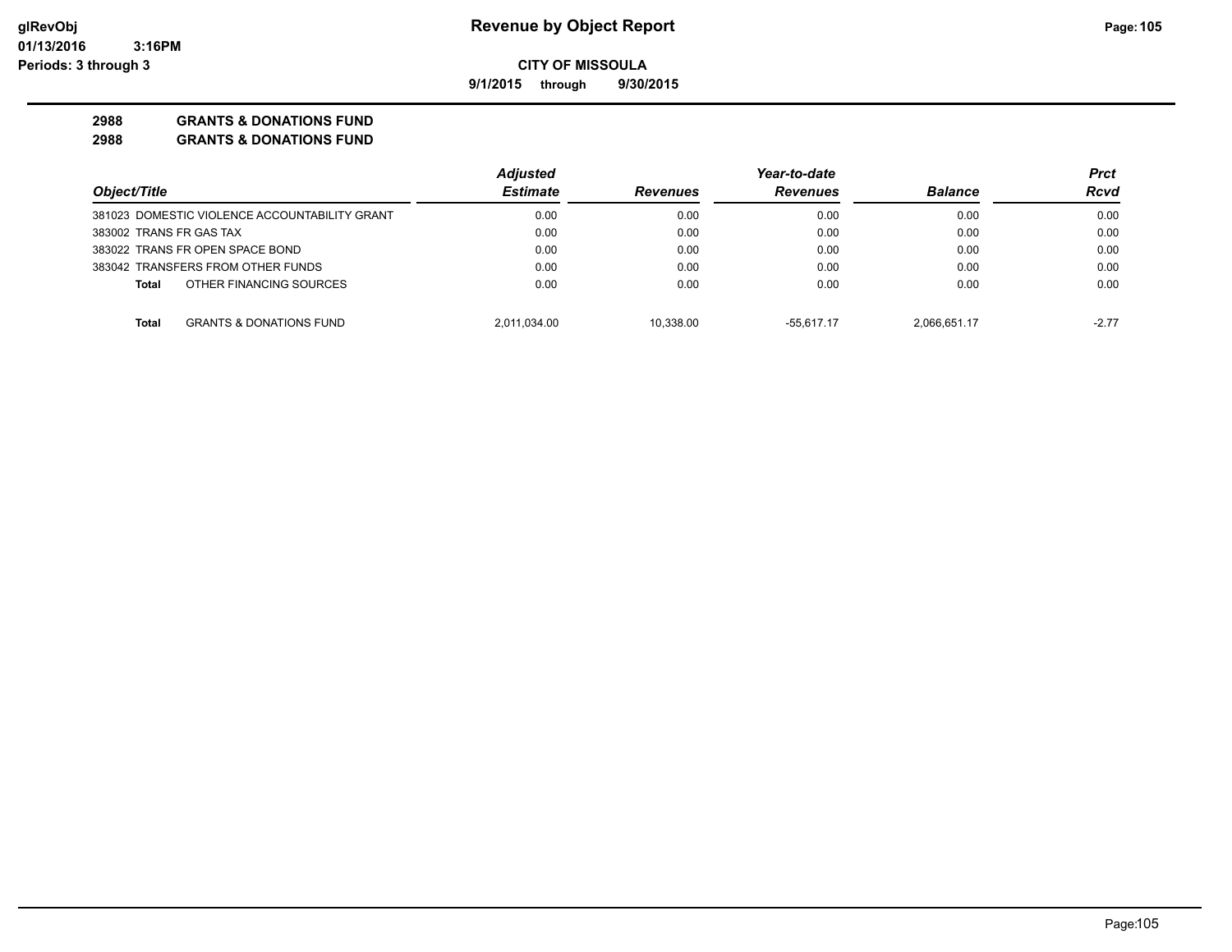**9/1/2015 through 9/30/2015**

# **2988 GRANTS & DONATIONS FUND**

|                                                    | <b>Adjusted</b> |                 | Year-to-date    |                | Prct    |
|----------------------------------------------------|-----------------|-----------------|-----------------|----------------|---------|
| Object/Title                                       | <b>Estimate</b> | <b>Revenues</b> | <b>Revenues</b> | <b>Balance</b> | Rcvd    |
| 381023 DOMESTIC VIOLENCE ACCOUNTABILITY GRANT      | 0.00            | 0.00            | 0.00            | 0.00           | 0.00    |
| 383002 TRANS FR GAS TAX                            | 0.00            | 0.00            | 0.00            | 0.00           | 0.00    |
| 383022 TRANS FR OPEN SPACE BOND                    | 0.00            | 0.00            | 0.00            | 0.00           | 0.00    |
| 383042 TRANSFERS FROM OTHER FUNDS                  | 0.00            | 0.00            | 0.00            | 0.00           | 0.00    |
| OTHER FINANCING SOURCES<br>Total                   | 0.00            | 0.00            | 0.00            | 0.00           | 0.00    |
| <b>GRANTS &amp; DONATIONS FUND</b><br><b>Total</b> | 2,011,034.00    | 10.338.00       | $-55.617.17$    | 2.066.651.17   | $-2.77$ |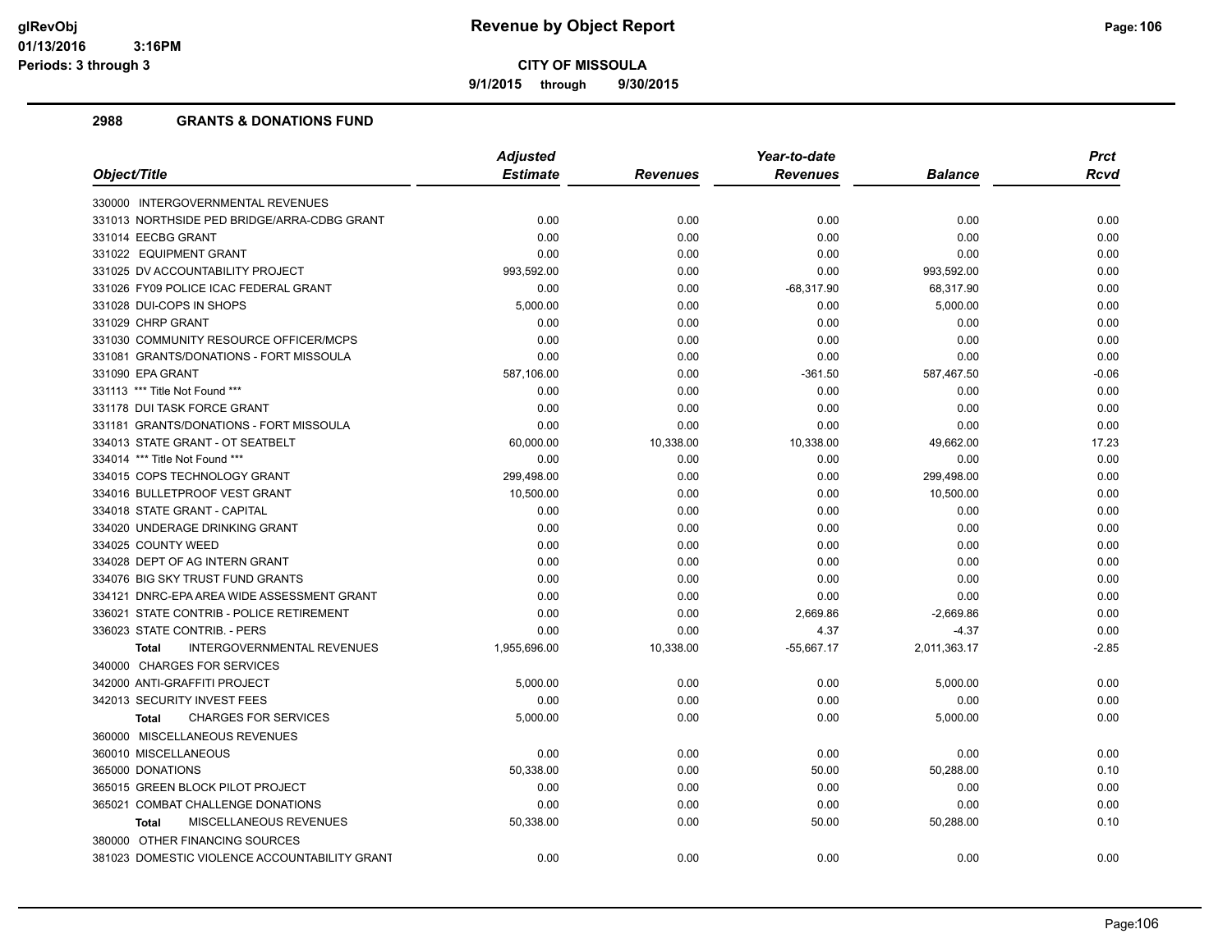**9/1/2015 through 9/30/2015**

|                                                   | <b>Adjusted</b> |                 | Year-to-date    |                | <b>Prct</b> |
|---------------------------------------------------|-----------------|-----------------|-----------------|----------------|-------------|
| Object/Title                                      | <b>Estimate</b> | <b>Revenues</b> | <b>Revenues</b> | <b>Balance</b> | <b>Rcvd</b> |
| 330000 INTERGOVERNMENTAL REVENUES                 |                 |                 |                 |                |             |
| 331013 NORTHSIDE PED BRIDGE/ARRA-CDBG GRANT       | 0.00            | 0.00            | 0.00            | 0.00           | 0.00        |
| 331014 EECBG GRANT                                | 0.00            | 0.00            | 0.00            | 0.00           | 0.00        |
| 331022 EQUIPMENT GRANT                            | 0.00            | 0.00            | 0.00            | 0.00           | 0.00        |
| 331025 DV ACCOUNTABILITY PROJECT                  | 993,592.00      | 0.00            | 0.00            | 993,592.00     | 0.00        |
| 331026 FY09 POLICE ICAC FEDERAL GRANT             | 0.00            | 0.00            | $-68,317.90$    | 68,317.90      | 0.00        |
| 331028 DUI-COPS IN SHOPS                          | 5,000.00        | 0.00            | 0.00            | 5,000.00       | 0.00        |
| 331029 CHRP GRANT                                 | 0.00            | 0.00            | 0.00            | 0.00           | 0.00        |
| 331030 COMMUNITY RESOURCE OFFICER/MCPS            | 0.00            | 0.00            | 0.00            | 0.00           | 0.00        |
| 331081 GRANTS/DONATIONS - FORT MISSOULA           | 0.00            | 0.00            | 0.00            | 0.00           | 0.00        |
| 331090 EPA GRANT                                  | 587,106.00      | 0.00            | $-361.50$       | 587,467.50     | $-0.06$     |
| 331113 *** Title Not Found ***                    | 0.00            | 0.00            | 0.00            | 0.00           | 0.00        |
| 331178 DUI TASK FORCE GRANT                       | 0.00            | 0.00            | 0.00            | 0.00           | 0.00        |
| 331181 GRANTS/DONATIONS - FORT MISSOULA           | 0.00            | 0.00            | 0.00            | 0.00           | 0.00        |
| 334013 STATE GRANT - OT SEATBELT                  | 60,000.00       | 10,338.00       | 10,338.00       | 49,662.00      | 17.23       |
| 334014 *** Title Not Found ***                    | 0.00            | 0.00            | 0.00            | 0.00           | 0.00        |
| 334015 COPS TECHNOLOGY GRANT                      | 299,498.00      | 0.00            | 0.00            | 299,498.00     | 0.00        |
| 334016 BULLETPROOF VEST GRANT                     | 10,500.00       | 0.00            | 0.00            | 10,500.00      | 0.00        |
| 334018 STATE GRANT - CAPITAL                      | 0.00            | 0.00            | 0.00            | 0.00           | 0.00        |
| 334020 UNDERAGE DRINKING GRANT                    | 0.00            | 0.00            | 0.00            | 0.00           | 0.00        |
| 334025 COUNTY WEED                                | 0.00            | 0.00            | 0.00            | 0.00           | 0.00        |
| 334028 DEPT OF AG INTERN GRANT                    | 0.00            | 0.00            | 0.00            | 0.00           | 0.00        |
| 334076 BIG SKY TRUST FUND GRANTS                  | 0.00            | 0.00            | 0.00            | 0.00           | 0.00        |
| 334121 DNRC-EPA AREA WIDE ASSESSMENT GRANT        | 0.00            | 0.00            | 0.00            | 0.00           | 0.00        |
| 336021 STATE CONTRIB - POLICE RETIREMENT          | 0.00            | 0.00            | 2,669.86        | $-2,669.86$    | 0.00        |
| 336023 STATE CONTRIB. - PERS                      | 0.00            | 0.00            | 4.37            | $-4.37$        | 0.00        |
| <b>INTERGOVERNMENTAL REVENUES</b><br><b>Total</b> | 1,955,696.00    | 10,338.00       | $-55,667.17$    | 2,011,363.17   | $-2.85$     |
| 340000 CHARGES FOR SERVICES                       |                 |                 |                 |                |             |
| 342000 ANTI-GRAFFITI PROJECT                      | 5,000.00        | 0.00            | 0.00            | 5,000.00       | 0.00        |
| 342013 SECURITY INVEST FEES                       | 0.00            | 0.00            | 0.00            | 0.00           | 0.00        |
| <b>CHARGES FOR SERVICES</b><br><b>Total</b>       | 5,000.00        | 0.00            | 0.00            | 5,000.00       | 0.00        |
| 360000 MISCELLANEOUS REVENUES                     |                 |                 |                 |                |             |
| 360010 MISCELLANEOUS                              | 0.00            | 0.00            | 0.00            | 0.00           | 0.00        |
| 365000 DONATIONS                                  | 50,338.00       | 0.00            | 50.00           | 50,288.00      | 0.10        |
| 365015 GREEN BLOCK PILOT PROJECT                  | 0.00            | 0.00            | 0.00            | 0.00           | 0.00        |
| 365021 COMBAT CHALLENGE DONATIONS                 | 0.00            | 0.00            | 0.00            | 0.00           | 0.00        |
| MISCELLANEOUS REVENUES<br><b>Total</b>            | 50,338.00       | 0.00            | 50.00           | 50,288.00      | 0.10        |
| 380000 OTHER FINANCING SOURCES                    |                 |                 |                 |                |             |
| 381023 DOMESTIC VIOLENCE ACCOUNTABILITY GRANT     | 0.00            | 0.00            | 0.00            | 0.00           | 0.00        |
|                                                   |                 |                 |                 |                |             |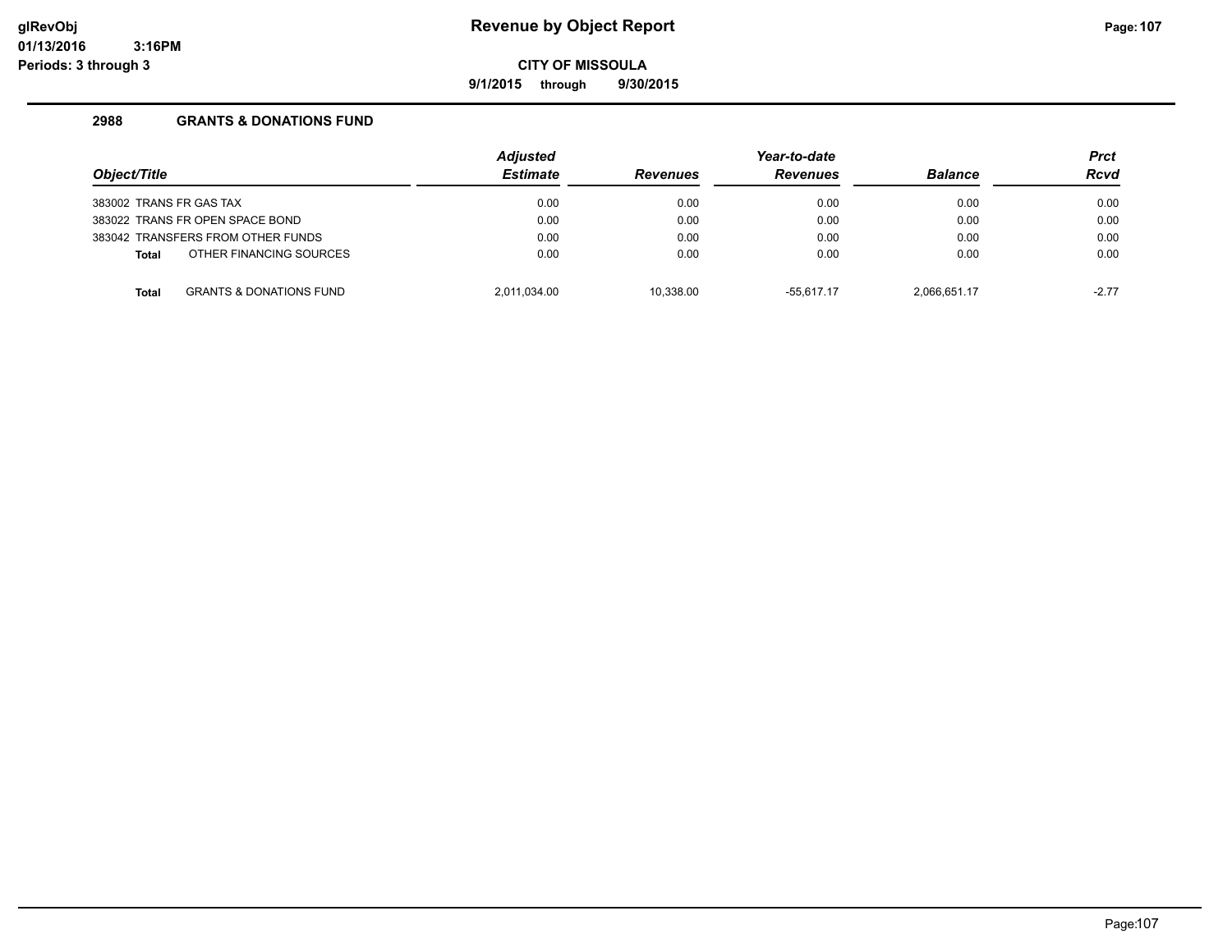**9/1/2015 through 9/30/2015**

| Object/Title                      |                                    | <b>Adjusted</b><br><b>Estimate</b> | <b>Revenues</b> | Year-to-date<br><b>Revenues</b> | <b>Balance</b> | <b>Prct</b><br><b>Rcvd</b> |
|-----------------------------------|------------------------------------|------------------------------------|-----------------|---------------------------------|----------------|----------------------------|
|                                   |                                    |                                    |                 |                                 |                |                            |
| 383002 TRANS FR GAS TAX           |                                    | 0.00                               | 0.00            | 0.00                            | 0.00           | 0.00                       |
| 383022 TRANS FR OPEN SPACE BOND   |                                    | 0.00                               | 0.00            | 0.00                            | 0.00           | 0.00                       |
| 383042 TRANSFERS FROM OTHER FUNDS |                                    | 0.00                               | 0.00            | 0.00                            | 0.00           | 0.00                       |
| <b>Total</b>                      | OTHER FINANCING SOURCES            | 0.00                               | 0.00            | 0.00                            | 0.00           | 0.00                       |
| <b>Total</b>                      | <b>GRANTS &amp; DONATIONS FUND</b> | 2.011.034.00                       | 10.338.00       | $-55.617.17$                    | 2.066.651.17   | $-2.77$                    |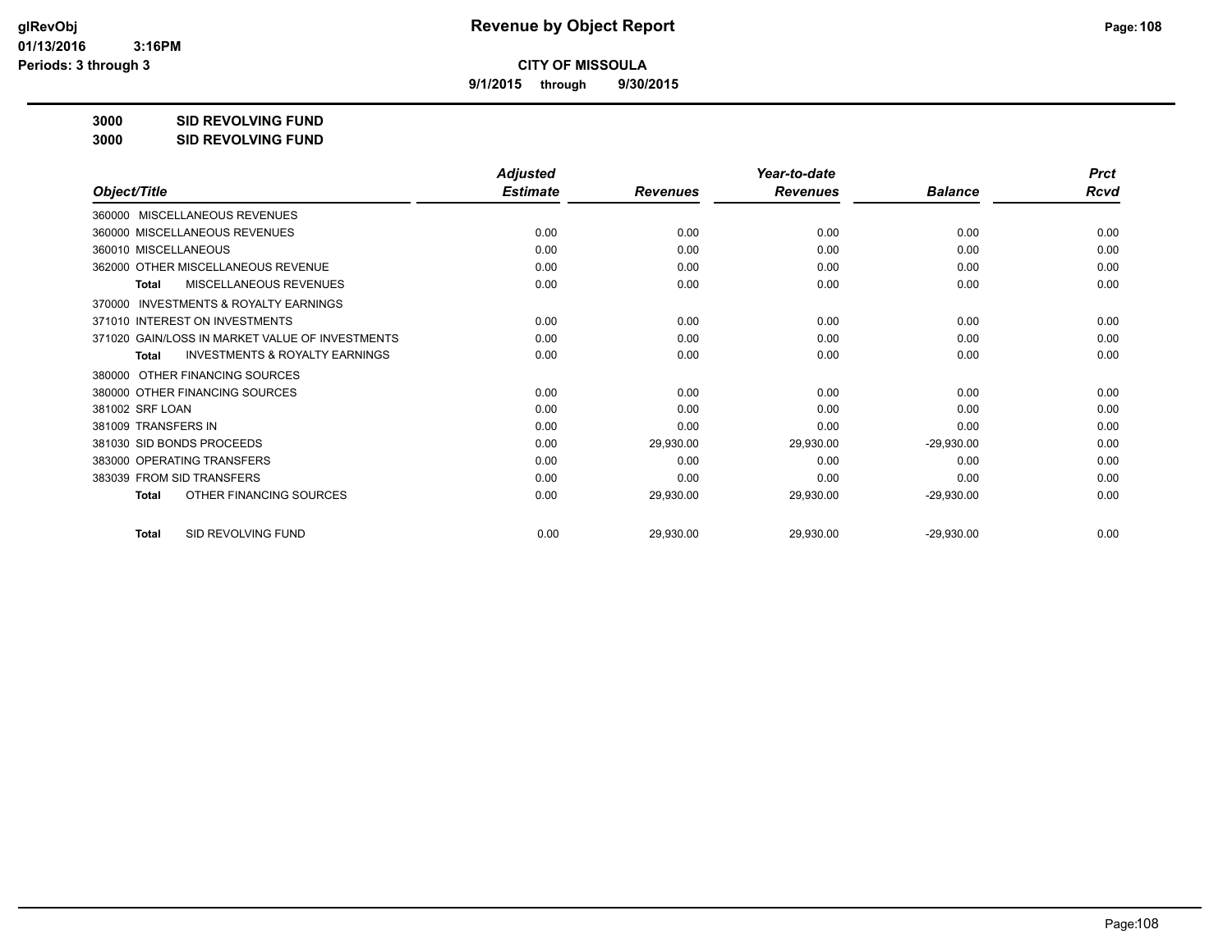**9/1/2015 through 9/30/2015**

**3000 SID REVOLVING FUND**

**3000 SID REVOLVING FUND**

| Object/Title                                              | <b>Adjusted</b><br><b>Estimate</b> |                 | Year-to-date<br><b>Revenues</b> | <b>Balance</b> | <b>Prct</b><br>Rcvd |
|-----------------------------------------------------------|------------------------------------|-----------------|---------------------------------|----------------|---------------------|
|                                                           |                                    | <b>Revenues</b> |                                 |                |                     |
| MISCELLANEOUS REVENUES<br>360000                          |                                    |                 |                                 |                |                     |
| 360000 MISCELLANEOUS REVENUES                             | 0.00                               | 0.00            | 0.00                            | 0.00           | 0.00                |
| 360010 MISCELLANEOUS                                      | 0.00                               | 0.00            | 0.00                            | 0.00           | 0.00                |
| 362000 OTHER MISCELLANEOUS REVENUE                        | 0.00                               | 0.00            | 0.00                            | 0.00           | 0.00                |
| MISCELLANEOUS REVENUES<br><b>Total</b>                    | 0.00                               | 0.00            | 0.00                            | 0.00           | 0.00                |
| <b>INVESTMENTS &amp; ROYALTY EARNINGS</b><br>370000       |                                    |                 |                                 |                |                     |
| 371010 INTEREST ON INVESTMENTS                            | 0.00                               | 0.00            | 0.00                            | 0.00           | 0.00                |
| 371020 GAIN/LOSS IN MARKET VALUE OF INVESTMENTS           | 0.00                               | 0.00            | 0.00                            | 0.00           | 0.00                |
| <b>INVESTMENTS &amp; ROYALTY EARNINGS</b><br><b>Total</b> | 0.00                               | 0.00            | 0.00                            | 0.00           | 0.00                |
| OTHER FINANCING SOURCES<br>380000                         |                                    |                 |                                 |                |                     |
| 380000 OTHER FINANCING SOURCES                            | 0.00                               | 0.00            | 0.00                            | 0.00           | 0.00                |
| 381002 SRF LOAN                                           | 0.00                               | 0.00            | 0.00                            | 0.00           | 0.00                |
| 381009 TRANSFERS IN                                       | 0.00                               | 0.00            | 0.00                            | 0.00           | 0.00                |
| 381030 SID BONDS PROCEEDS                                 | 0.00                               | 29,930.00       | 29,930.00                       | $-29,930.00$   | 0.00                |
| 383000 OPERATING TRANSFERS                                | 0.00                               | 0.00            | 0.00                            | 0.00           | 0.00                |
| 383039 FROM SID TRANSFERS                                 | 0.00                               | 0.00            | 0.00                            | 0.00           | 0.00                |
| OTHER FINANCING SOURCES<br><b>Total</b>                   | 0.00                               | 29,930.00       | 29,930.00                       | $-29,930.00$   | 0.00                |
| SID REVOLVING FUND<br><b>Total</b>                        | 0.00                               | 29,930.00       | 29,930.00                       | $-29,930.00$   | 0.00                |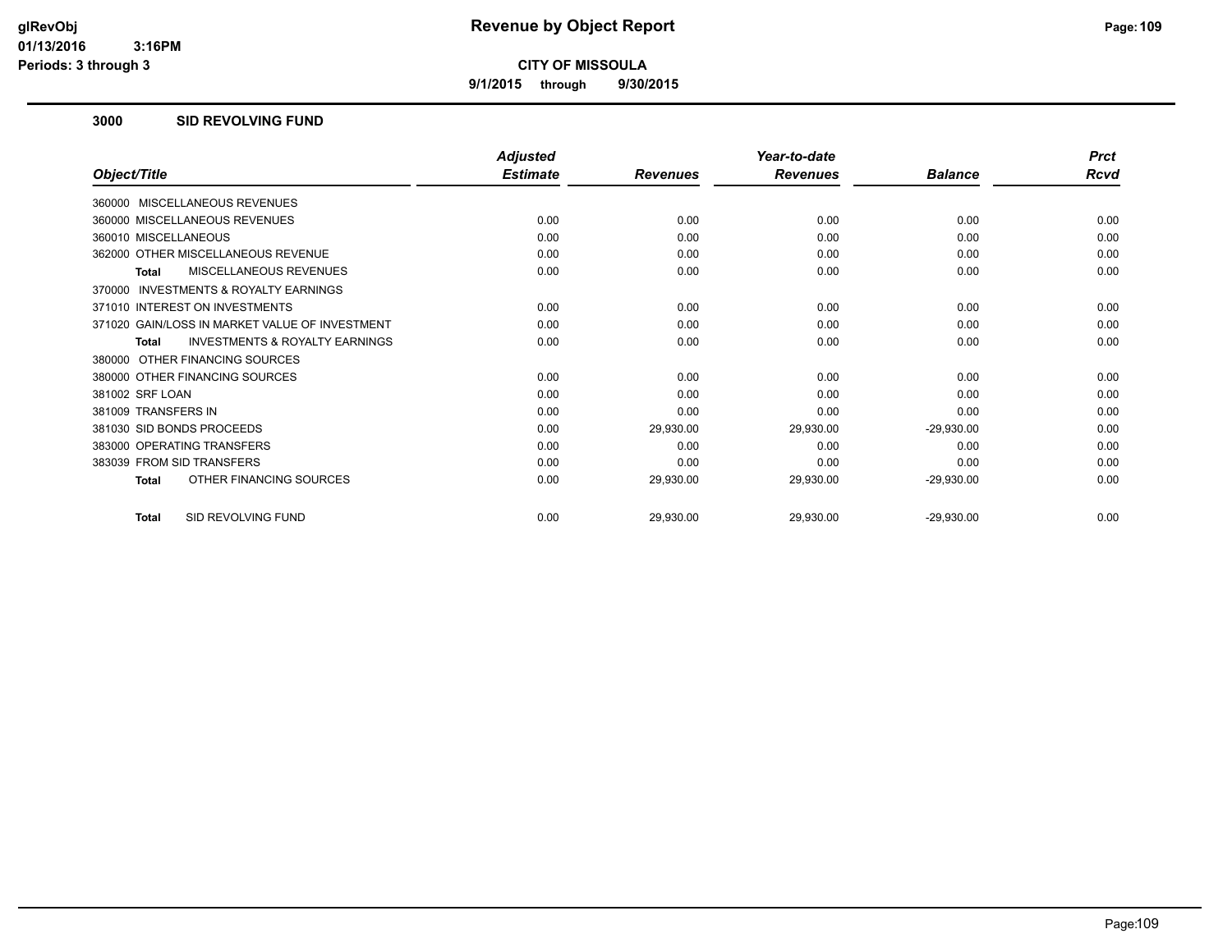**9/1/2015 through 9/30/2015**

#### **3000 SID REVOLVING FUND**

|                                                     | <b>Adjusted</b> |                 | Year-to-date    |                | <b>Prct</b> |
|-----------------------------------------------------|-----------------|-----------------|-----------------|----------------|-------------|
| Object/Title                                        | <b>Estimate</b> | <b>Revenues</b> | <b>Revenues</b> | <b>Balance</b> | Rcvd        |
| 360000 MISCELLANEOUS REVENUES                       |                 |                 |                 |                |             |
| 360000 MISCELLANEOUS REVENUES                       | 0.00            | 0.00            | 0.00            | 0.00           | 0.00        |
| 360010 MISCELLANEOUS                                | 0.00            | 0.00            | 0.00            | 0.00           | 0.00        |
| 362000 OTHER MISCELLANEOUS REVENUE                  | 0.00            | 0.00            | 0.00            | 0.00           | 0.00        |
| MISCELLANEOUS REVENUES<br>Total                     | 0.00            | 0.00            | 0.00            | 0.00           | 0.00        |
| <b>INVESTMENTS &amp; ROYALTY EARNINGS</b><br>370000 |                 |                 |                 |                |             |
| 371010 INTEREST ON INVESTMENTS                      | 0.00            | 0.00            | 0.00            | 0.00           | 0.00        |
| 371020 GAIN/LOSS IN MARKET VALUE OF INVESTMENT      | 0.00            | 0.00            | 0.00            | 0.00           | 0.00        |
| <b>INVESTMENTS &amp; ROYALTY EARNINGS</b><br>Total  | 0.00            | 0.00            | 0.00            | 0.00           | 0.00        |
| 380000 OTHER FINANCING SOURCES                      |                 |                 |                 |                |             |
| 380000 OTHER FINANCING SOURCES                      | 0.00            | 0.00            | 0.00            | 0.00           | 0.00        |
| 381002 SRF LOAN                                     | 0.00            | 0.00            | 0.00            | 0.00           | 0.00        |
| 381009 TRANSFERS IN                                 | 0.00            | 0.00            | 0.00            | 0.00           | 0.00        |
| 381030 SID BONDS PROCEEDS                           | 0.00            | 29,930.00       | 29,930.00       | $-29,930.00$   | 0.00        |
| 383000 OPERATING TRANSFERS                          | 0.00            | 0.00            | 0.00            | 0.00           | 0.00        |
| 383039 FROM SID TRANSFERS                           | 0.00            | 0.00            | 0.00            | 0.00           | 0.00        |
| OTHER FINANCING SOURCES<br><b>Total</b>             | 0.00            | 29,930.00       | 29,930.00       | $-29,930.00$   | 0.00        |
| SID REVOLVING FUND<br><b>Total</b>                  | 0.00            | 29,930.00       | 29,930.00       | $-29,930.00$   | 0.00        |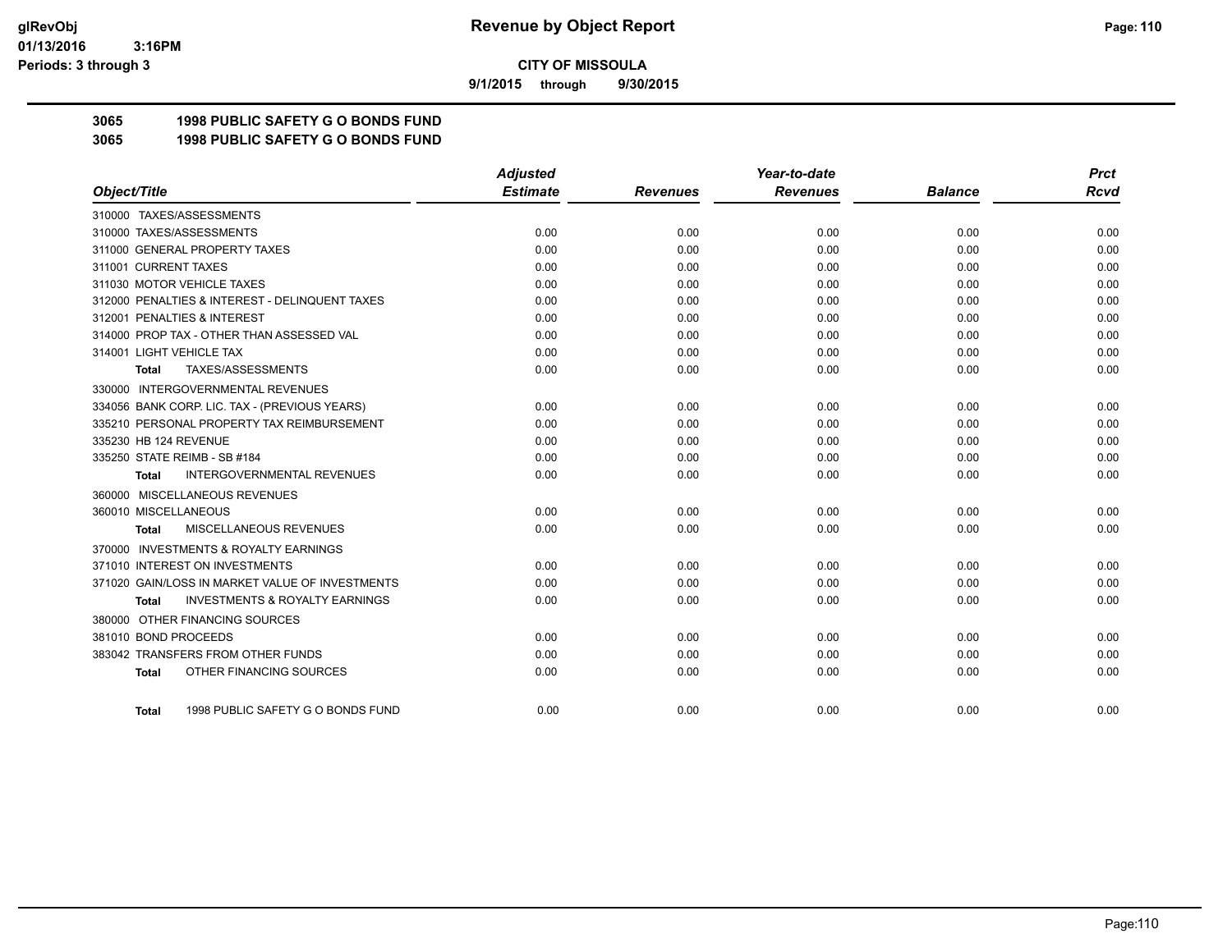**9/1/2015 through 9/30/2015**

# **3065 1998 PUBLIC SAFETY G O BONDS FUND**

**3065 1998 PUBLIC SAFETY G O BONDS FUND**

|                                                     | <b>Adjusted</b> |                 | Year-to-date    |                | <b>Prct</b> |
|-----------------------------------------------------|-----------------|-----------------|-----------------|----------------|-------------|
| Object/Title                                        | <b>Estimate</b> | <b>Revenues</b> | <b>Revenues</b> | <b>Balance</b> | Rcvd        |
| 310000 TAXES/ASSESSMENTS                            |                 |                 |                 |                |             |
| 310000 TAXES/ASSESSMENTS                            | 0.00            | 0.00            | 0.00            | 0.00           | 0.00        |
| 311000 GENERAL PROPERTY TAXES                       | 0.00            | 0.00            | 0.00            | 0.00           | 0.00        |
| 311001 CURRENT TAXES                                | 0.00            | 0.00            | 0.00            | 0.00           | 0.00        |
| 311030 MOTOR VEHICLE TAXES                          | 0.00            | 0.00            | 0.00            | 0.00           | 0.00        |
| 312000 PENALTIES & INTEREST - DELINQUENT TAXES      | 0.00            | 0.00            | 0.00            | 0.00           | 0.00        |
| 312001 PENALTIES & INTEREST                         | 0.00            | 0.00            | 0.00            | 0.00           | 0.00        |
| 314000 PROP TAX - OTHER THAN ASSESSED VAL           | 0.00            | 0.00            | 0.00            | 0.00           | 0.00        |
| 314001 LIGHT VEHICLE TAX                            | 0.00            | 0.00            | 0.00            | 0.00           | 0.00        |
| TAXES/ASSESSMENTS<br>Total                          | 0.00            | 0.00            | 0.00            | 0.00           | 0.00        |
| 330000 INTERGOVERNMENTAL REVENUES                   |                 |                 |                 |                |             |
| 334056 BANK CORP. LIC. TAX - (PREVIOUS YEARS)       | 0.00            | 0.00            | 0.00            | 0.00           | 0.00        |
| 335210 PERSONAL PROPERTY TAX REIMBURSEMENT          | 0.00            | 0.00            | 0.00            | 0.00           | 0.00        |
| 335230 HB 124 REVENUE                               | 0.00            | 0.00            | 0.00            | 0.00           | 0.00        |
| 335250 STATE REIMB - SB #184                        | 0.00            | 0.00            | 0.00            | 0.00           | 0.00        |
| <b>INTERGOVERNMENTAL REVENUES</b><br><b>Total</b>   | 0.00            | 0.00            | 0.00            | 0.00           | 0.00        |
| 360000 MISCELLANEOUS REVENUES                       |                 |                 |                 |                |             |
| 360010 MISCELLANEOUS                                | 0.00            | 0.00            | 0.00            | 0.00           | 0.00        |
| <b>MISCELLANEOUS REVENUES</b><br>Total              | 0.00            | 0.00            | 0.00            | 0.00           | 0.00        |
| <b>INVESTMENTS &amp; ROYALTY EARNINGS</b><br>370000 |                 |                 |                 |                |             |
| 371010 INTEREST ON INVESTMENTS                      | 0.00            | 0.00            | 0.00            | 0.00           | 0.00        |
| 371020 GAIN/LOSS IN MARKET VALUE OF INVESTMENTS     | 0.00            | 0.00            | 0.00            | 0.00           | 0.00        |
| <b>INVESTMENTS &amp; ROYALTY EARNINGS</b><br>Total  | 0.00            | 0.00            | 0.00            | 0.00           | 0.00        |
| 380000 OTHER FINANCING SOURCES                      |                 |                 |                 |                |             |
| 381010 BOND PROCEEDS                                | 0.00            | 0.00            | 0.00            | 0.00           | 0.00        |
| 383042 TRANSFERS FROM OTHER FUNDS                   | 0.00            | 0.00            | 0.00            | 0.00           | 0.00        |
| OTHER FINANCING SOURCES<br><b>Total</b>             | 0.00            | 0.00            | 0.00            | 0.00           | 0.00        |
| 1998 PUBLIC SAFETY G O BONDS FUND<br>Total          | 0.00            | 0.00            | 0.00            | 0.00           | 0.00        |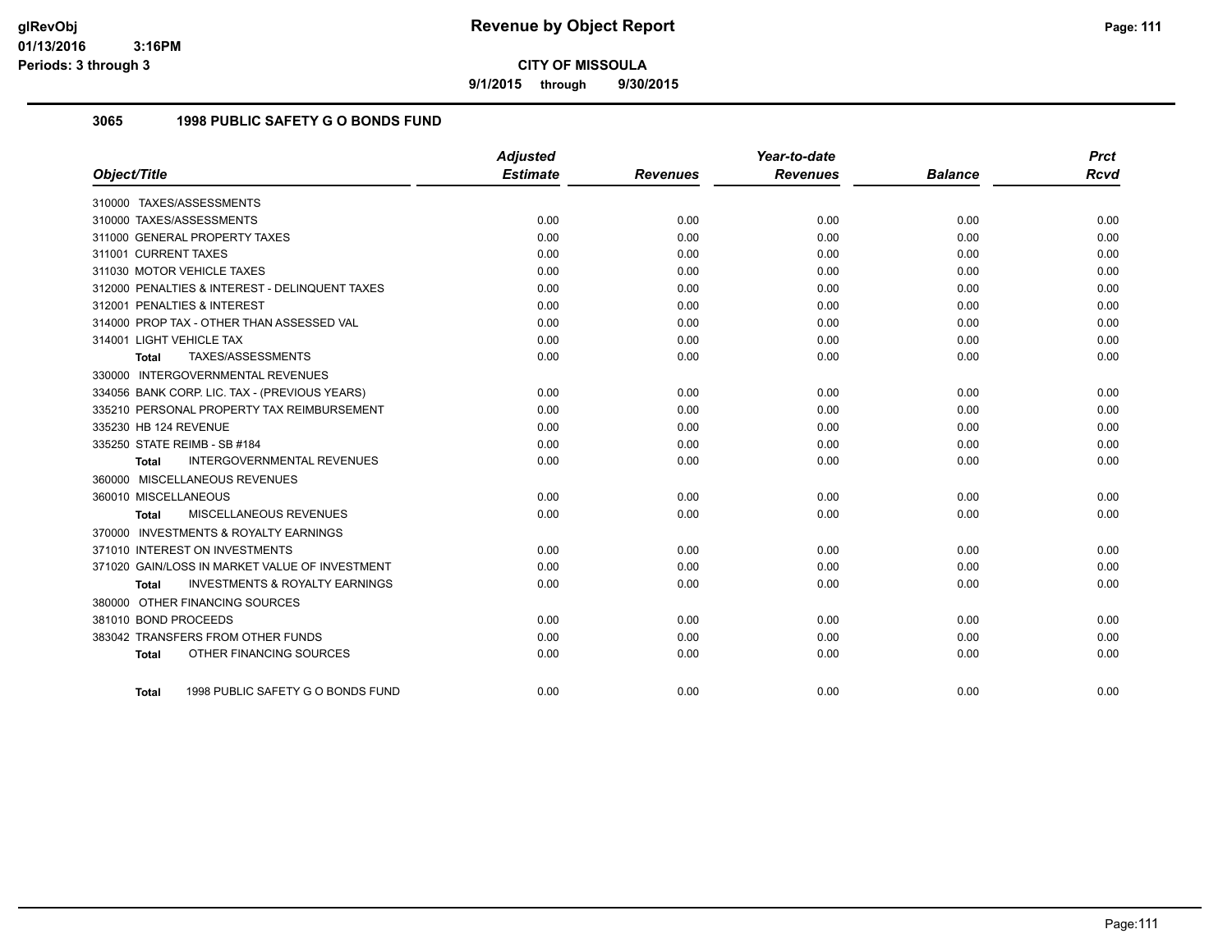**9/1/2015 through 9/30/2015**

## **3065 1998 PUBLIC SAFETY G O BONDS FUND**

|                                                    | <b>Adjusted</b> |                 | Year-to-date    |                | <b>Prct</b> |
|----------------------------------------------------|-----------------|-----------------|-----------------|----------------|-------------|
| Object/Title                                       | <b>Estimate</b> | <b>Revenues</b> | <b>Revenues</b> | <b>Balance</b> | <b>Rcvd</b> |
| 310000 TAXES/ASSESSMENTS                           |                 |                 |                 |                |             |
| 310000 TAXES/ASSESSMENTS                           | 0.00            | 0.00            | 0.00            | 0.00           | 0.00        |
| 311000 GENERAL PROPERTY TAXES                      | 0.00            | 0.00            | 0.00            | 0.00           | 0.00        |
| 311001 CURRENT TAXES                               | 0.00            | 0.00            | 0.00            | 0.00           | 0.00        |
| 311030 MOTOR VEHICLE TAXES                         | 0.00            | 0.00            | 0.00            | 0.00           | 0.00        |
| 312000 PENALTIES & INTEREST - DELINQUENT TAXES     | 0.00            | 0.00            | 0.00            | 0.00           | 0.00        |
| 312001 PENALTIES & INTEREST                        | 0.00            | 0.00            | 0.00            | 0.00           | 0.00        |
| 314000 PROP TAX - OTHER THAN ASSESSED VAL          | 0.00            | 0.00            | 0.00            | 0.00           | 0.00        |
| 314001 LIGHT VEHICLE TAX                           | 0.00            | 0.00            | 0.00            | 0.00           | 0.00        |
| TAXES/ASSESSMENTS<br>Total                         | 0.00            | 0.00            | 0.00            | 0.00           | 0.00        |
| 330000 INTERGOVERNMENTAL REVENUES                  |                 |                 |                 |                |             |
| 334056 BANK CORP. LIC. TAX - (PREVIOUS YEARS)      | 0.00            | 0.00            | 0.00            | 0.00           | 0.00        |
| 335210 PERSONAL PROPERTY TAX REIMBURSEMENT         | 0.00            | 0.00            | 0.00            | 0.00           | 0.00        |
| 335230 HB 124 REVENUE                              | 0.00            | 0.00            | 0.00            | 0.00           | 0.00        |
| 335250 STATE REIMB - SB #184                       | 0.00            | 0.00            | 0.00            | 0.00           | 0.00        |
| INTERGOVERNMENTAL REVENUES<br><b>Total</b>         | 0.00            | 0.00            | 0.00            | 0.00           | 0.00        |
| 360000 MISCELLANEOUS REVENUES                      |                 |                 |                 |                |             |
| 360010 MISCELLANEOUS                               | 0.00            | 0.00            | 0.00            | 0.00           | 0.00        |
| <b>MISCELLANEOUS REVENUES</b><br>Total             | 0.00            | 0.00            | 0.00            | 0.00           | 0.00        |
| 370000 INVESTMENTS & ROYALTY EARNINGS              |                 |                 |                 |                |             |
| 371010 INTEREST ON INVESTMENTS                     | 0.00            | 0.00            | 0.00            | 0.00           | 0.00        |
| 371020 GAIN/LOSS IN MARKET VALUE OF INVESTMENT     | 0.00            | 0.00            | 0.00            | 0.00           | 0.00        |
| <b>INVESTMENTS &amp; ROYALTY EARNINGS</b><br>Total | 0.00            | 0.00            | 0.00            | 0.00           | 0.00        |
| 380000 OTHER FINANCING SOURCES                     |                 |                 |                 |                |             |
| 381010 BOND PROCEEDS                               | 0.00            | 0.00            | 0.00            | 0.00           | 0.00        |
| 383042 TRANSFERS FROM OTHER FUNDS                  | 0.00            | 0.00            | 0.00            | 0.00           | 0.00        |
| OTHER FINANCING SOURCES<br><b>Total</b>            | 0.00            | 0.00            | 0.00            | 0.00           | 0.00        |
| 1998 PUBLIC SAFETY G O BONDS FUND<br>Total         | 0.00            | 0.00            | 0.00            | 0.00           | 0.00        |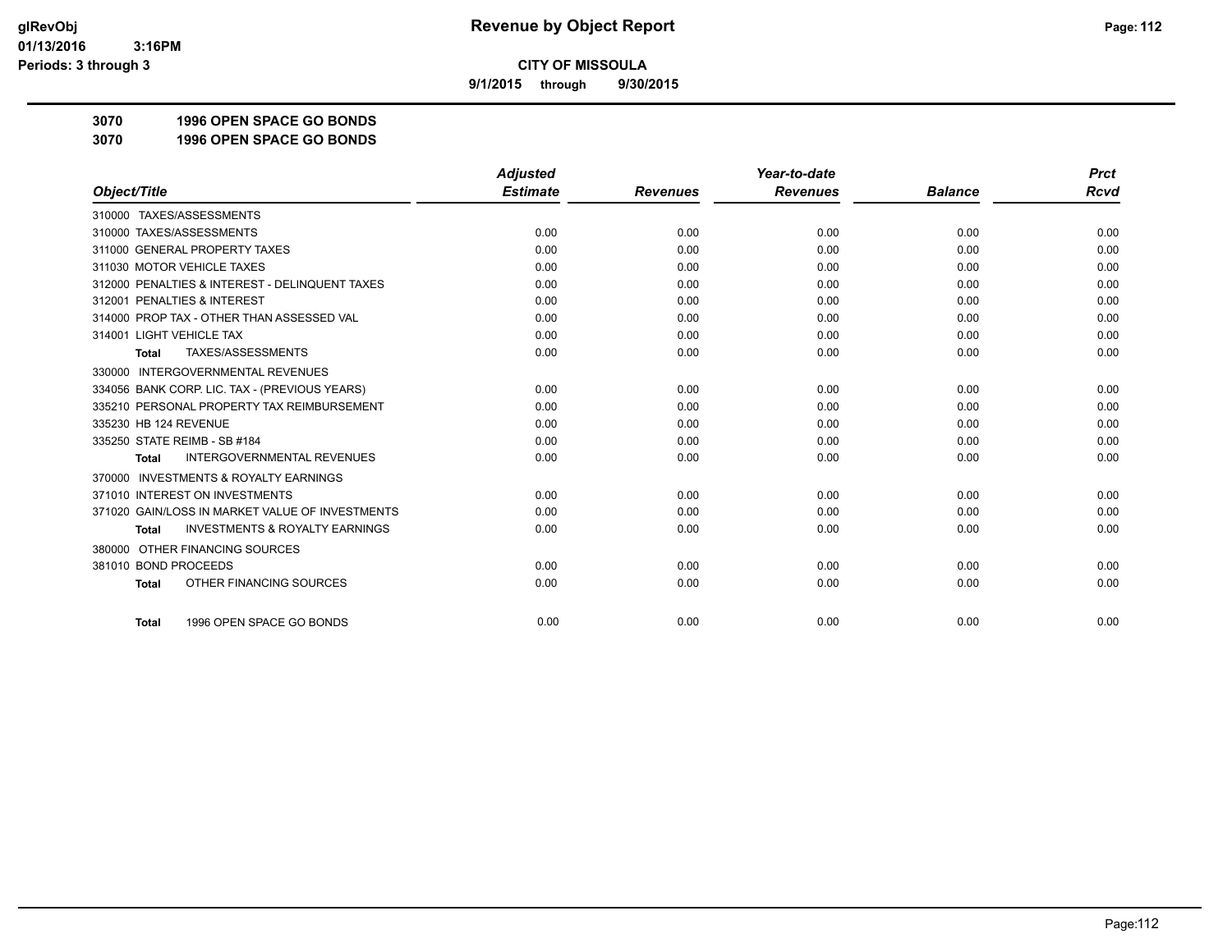**9/1/2015 through 9/30/2015**

**3070 1996 OPEN SPACE GO BONDS**

**3070 1996 OPEN SPACE GO BONDS**

|                                                           | <b>Adjusted</b> |                 | Year-to-date    |                | <b>Prct</b> |
|-----------------------------------------------------------|-----------------|-----------------|-----------------|----------------|-------------|
| Object/Title                                              | <b>Estimate</b> | <b>Revenues</b> | <b>Revenues</b> | <b>Balance</b> | Rcvd        |
| 310000 TAXES/ASSESSMENTS                                  |                 |                 |                 |                |             |
| 310000 TAXES/ASSESSMENTS                                  | 0.00            | 0.00            | 0.00            | 0.00           | 0.00        |
| 311000 GENERAL PROPERTY TAXES                             | 0.00            | 0.00            | 0.00            | 0.00           | 0.00        |
| 311030 MOTOR VEHICLE TAXES                                | 0.00            | 0.00            | 0.00            | 0.00           | 0.00        |
| 312000 PENALTIES & INTEREST - DELINQUENT TAXES            | 0.00            | 0.00            | 0.00            | 0.00           | 0.00        |
| 312001 PENALTIES & INTEREST                               | 0.00            | 0.00            | 0.00            | 0.00           | 0.00        |
| 314000 PROP TAX - OTHER THAN ASSESSED VAL                 | 0.00            | 0.00            | 0.00            | 0.00           | 0.00        |
| 314001 LIGHT VEHICLE TAX                                  | 0.00            | 0.00            | 0.00            | 0.00           | 0.00        |
| TAXES/ASSESSMENTS<br><b>Total</b>                         | 0.00            | 0.00            | 0.00            | 0.00           | 0.00        |
| 330000 INTERGOVERNMENTAL REVENUES                         |                 |                 |                 |                |             |
| 334056 BANK CORP. LIC. TAX - (PREVIOUS YEARS)             | 0.00            | 0.00            | 0.00            | 0.00           | 0.00        |
| 335210 PERSONAL PROPERTY TAX REIMBURSEMENT                | 0.00            | 0.00            | 0.00            | 0.00           | 0.00        |
| 335230 HB 124 REVENUE                                     | 0.00            | 0.00            | 0.00            | 0.00           | 0.00        |
| 335250 STATE REIMB - SB #184                              | 0.00            | 0.00            | 0.00            | 0.00           | 0.00        |
| <b>INTERGOVERNMENTAL REVENUES</b><br><b>Total</b>         | 0.00            | 0.00            | 0.00            | 0.00           | 0.00        |
| <b>INVESTMENTS &amp; ROYALTY EARNINGS</b><br>370000       |                 |                 |                 |                |             |
| 371010 INTEREST ON INVESTMENTS                            | 0.00            | 0.00            | 0.00            | 0.00           | 0.00        |
| 371020 GAIN/LOSS IN MARKET VALUE OF INVESTMENTS           | 0.00            | 0.00            | 0.00            | 0.00           | 0.00        |
| <b>INVESTMENTS &amp; ROYALTY EARNINGS</b><br><b>Total</b> | 0.00            | 0.00            | 0.00            | 0.00           | 0.00        |
| OTHER FINANCING SOURCES<br>380000                         |                 |                 |                 |                |             |
| 381010 BOND PROCEEDS                                      | 0.00            | 0.00            | 0.00            | 0.00           | 0.00        |
| OTHER FINANCING SOURCES<br><b>Total</b>                   | 0.00            | 0.00            | 0.00            | 0.00           | 0.00        |
| 1996 OPEN SPACE GO BONDS<br><b>Total</b>                  | 0.00            | 0.00            | 0.00            | 0.00           | 0.00        |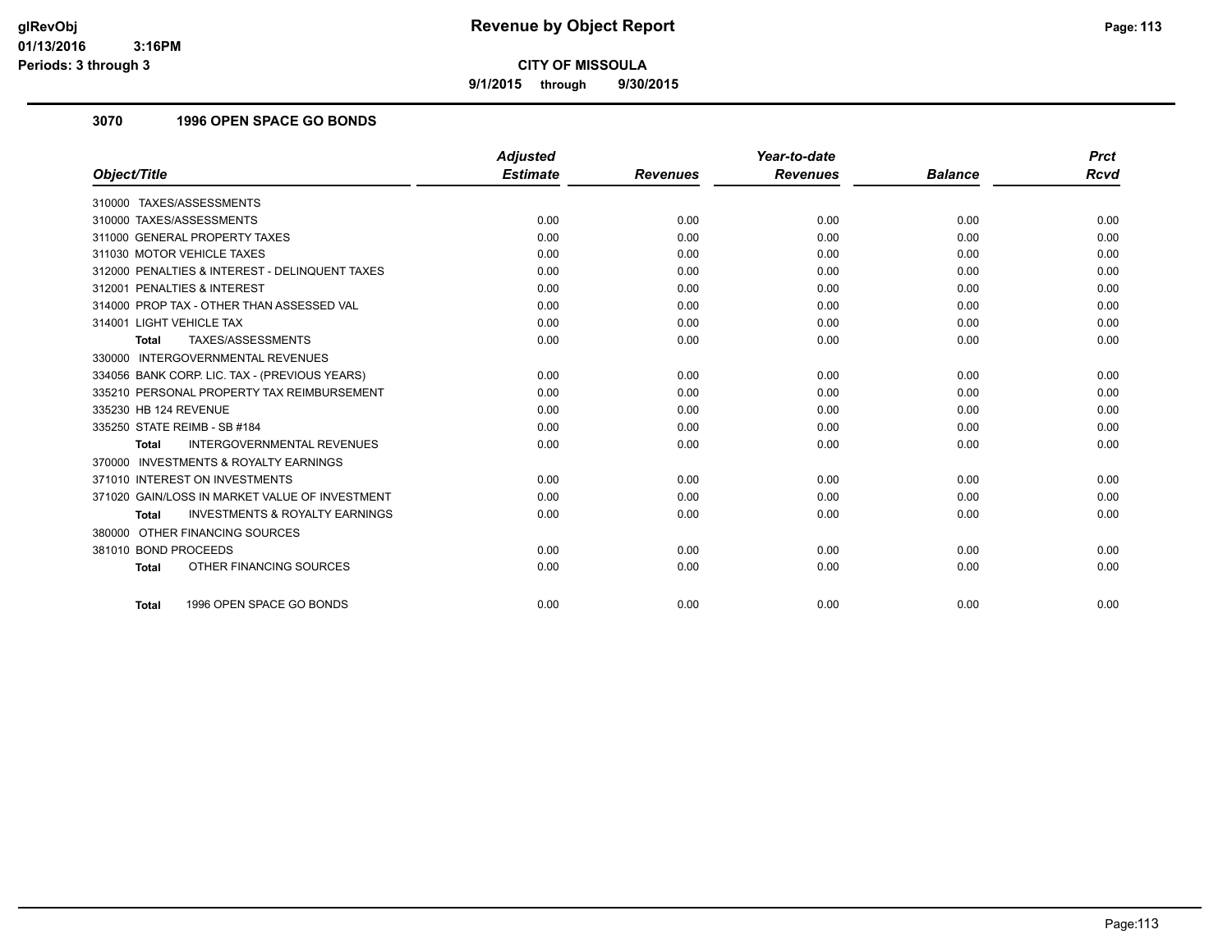**9/1/2015 through 9/30/2015**

# **3070 1996 OPEN SPACE GO BONDS**

|                                                           | <b>Adjusted</b> |                 | Year-to-date    |                | <b>Prct</b> |
|-----------------------------------------------------------|-----------------|-----------------|-----------------|----------------|-------------|
| Object/Title                                              | <b>Estimate</b> | <b>Revenues</b> | <b>Revenues</b> | <b>Balance</b> | <b>Rcvd</b> |
| 310000 TAXES/ASSESSMENTS                                  |                 |                 |                 |                |             |
| 310000 TAXES/ASSESSMENTS                                  | 0.00            | 0.00            | 0.00            | 0.00           | 0.00        |
| 311000 GENERAL PROPERTY TAXES                             | 0.00            | 0.00            | 0.00            | 0.00           | 0.00        |
| 311030 MOTOR VEHICLE TAXES                                | 0.00            | 0.00            | 0.00            | 0.00           | 0.00        |
| 312000 PENALTIES & INTEREST - DELINQUENT TAXES            | 0.00            | 0.00            | 0.00            | 0.00           | 0.00        |
| 312001 PENALTIES & INTEREST                               | 0.00            | 0.00            | 0.00            | 0.00           | 0.00        |
| 314000 PROP TAX - OTHER THAN ASSESSED VAL                 | 0.00            | 0.00            | 0.00            | 0.00           | 0.00        |
| 314001 LIGHT VEHICLE TAX                                  | 0.00            | 0.00            | 0.00            | 0.00           | 0.00        |
| TAXES/ASSESSMENTS<br>Total                                | 0.00            | 0.00            | 0.00            | 0.00           | 0.00        |
| 330000 INTERGOVERNMENTAL REVENUES                         |                 |                 |                 |                |             |
| 334056 BANK CORP. LIC. TAX - (PREVIOUS YEARS)             | 0.00            | 0.00            | 0.00            | 0.00           | 0.00        |
| 335210 PERSONAL PROPERTY TAX REIMBURSEMENT                | 0.00            | 0.00            | 0.00            | 0.00           | 0.00        |
| 335230 HB 124 REVENUE                                     | 0.00            | 0.00            | 0.00            | 0.00           | 0.00        |
| 335250 STATE REIMB - SB #184                              | 0.00            | 0.00            | 0.00            | 0.00           | 0.00        |
| <b>INTERGOVERNMENTAL REVENUES</b><br><b>Total</b>         | 0.00            | 0.00            | 0.00            | 0.00           | 0.00        |
| 370000 INVESTMENTS & ROYALTY EARNINGS                     |                 |                 |                 |                |             |
| 371010 INTEREST ON INVESTMENTS                            | 0.00            | 0.00            | 0.00            | 0.00           | 0.00        |
| 371020 GAIN/LOSS IN MARKET VALUE OF INVESTMENT            | 0.00            | 0.00            | 0.00            | 0.00           | 0.00        |
| <b>INVESTMENTS &amp; ROYALTY EARNINGS</b><br><b>Total</b> | 0.00            | 0.00            | 0.00            | 0.00           | 0.00        |
| 380000 OTHER FINANCING SOURCES                            |                 |                 |                 |                |             |
| 381010 BOND PROCEEDS                                      | 0.00            | 0.00            | 0.00            | 0.00           | 0.00        |
| OTHER FINANCING SOURCES<br><b>Total</b>                   | 0.00            | 0.00            | 0.00            | 0.00           | 0.00        |
|                                                           |                 |                 |                 |                |             |
| 1996 OPEN SPACE GO BONDS<br><b>Total</b>                  | 0.00            | 0.00            | 0.00            | 0.00           | 0.00        |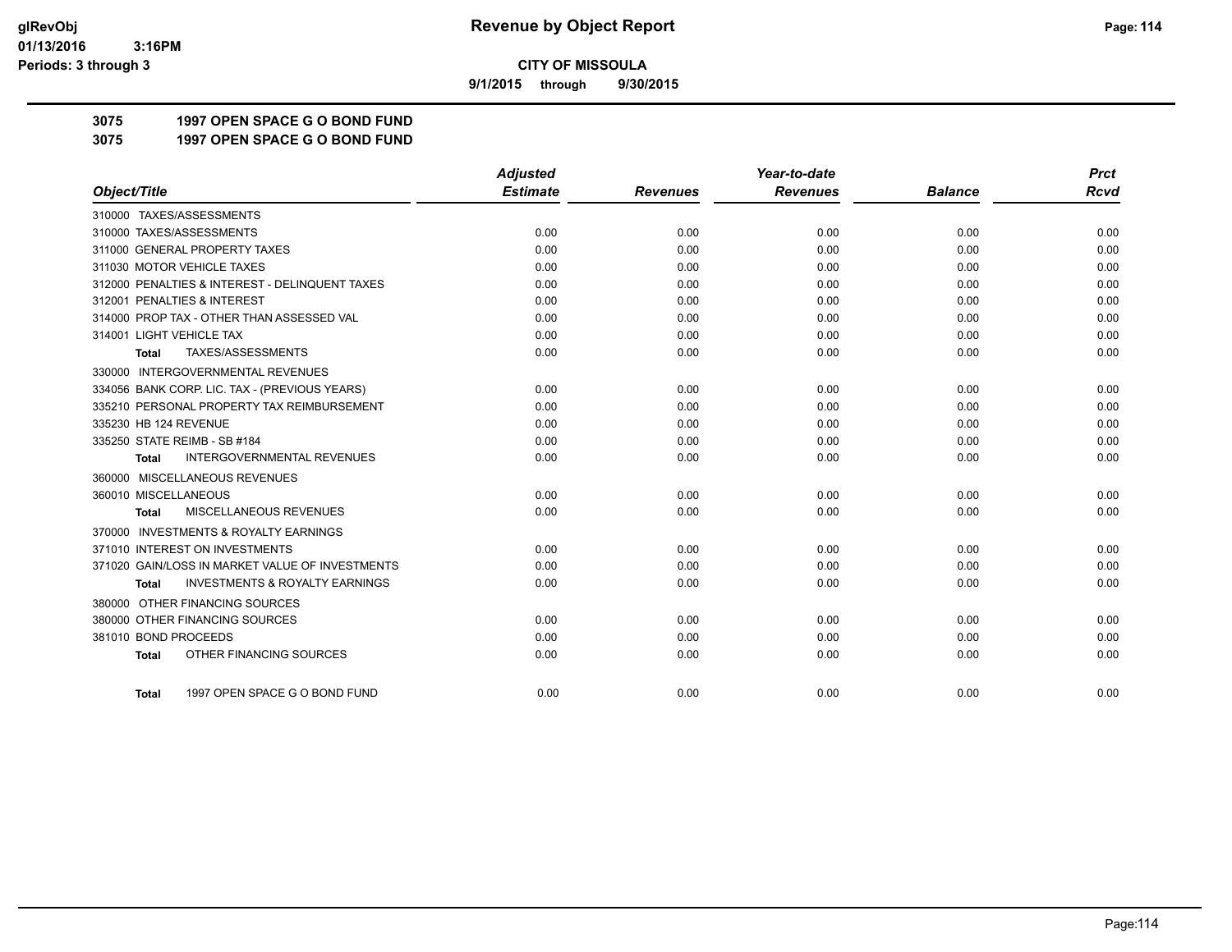**9/1/2015 through 9/30/2015**

**3075 1997 OPEN SPACE G O BOND FUND**

**3075 1997 OPEN SPACE G O BOND FUND**

|                                                           | <b>Adjusted</b> |                 | Year-to-date    |                | <b>Prct</b> |
|-----------------------------------------------------------|-----------------|-----------------|-----------------|----------------|-------------|
| Object/Title                                              | <b>Estimate</b> | <b>Revenues</b> | <b>Revenues</b> | <b>Balance</b> | <b>Rcvd</b> |
| 310000 TAXES/ASSESSMENTS                                  |                 |                 |                 |                |             |
| 310000 TAXES/ASSESSMENTS                                  | 0.00            | 0.00            | 0.00            | 0.00           | 0.00        |
| 311000 GENERAL PROPERTY TAXES                             | 0.00            | 0.00            | 0.00            | 0.00           | 0.00        |
| 311030 MOTOR VEHICLE TAXES                                | 0.00            | 0.00            | 0.00            | 0.00           | 0.00        |
| 312000 PENALTIES & INTEREST - DELINQUENT TAXES            | 0.00            | 0.00            | 0.00            | 0.00           | 0.00        |
| 312001 PENALTIES & INTEREST                               | 0.00            | 0.00            | 0.00            | 0.00           | 0.00        |
| 314000 PROP TAX - OTHER THAN ASSESSED VAL                 | 0.00            | 0.00            | 0.00            | 0.00           | 0.00        |
| 314001 LIGHT VEHICLE TAX                                  | 0.00            | 0.00            | 0.00            | 0.00           | 0.00        |
| TAXES/ASSESSMENTS<br>Total                                | 0.00            | 0.00            | 0.00            | 0.00           | 0.00        |
| 330000 INTERGOVERNMENTAL REVENUES                         |                 |                 |                 |                |             |
| 334056 BANK CORP. LIC. TAX - (PREVIOUS YEARS)             | 0.00            | 0.00            | 0.00            | 0.00           | 0.00        |
| 335210 PERSONAL PROPERTY TAX REIMBURSEMENT                | 0.00            | 0.00            | 0.00            | 0.00           | 0.00        |
| 335230 HB 124 REVENUE                                     | 0.00            | 0.00            | 0.00            | 0.00           | 0.00        |
| 335250 STATE REIMB - SB #184                              | 0.00            | 0.00            | 0.00            | 0.00           | 0.00        |
| <b>INTERGOVERNMENTAL REVENUES</b><br>Total                | 0.00            | 0.00            | 0.00            | 0.00           | 0.00        |
| 360000 MISCELLANEOUS REVENUES                             |                 |                 |                 |                |             |
| 360010 MISCELLANEOUS                                      | 0.00            | 0.00            | 0.00            | 0.00           | 0.00        |
| MISCELLANEOUS REVENUES<br>Total                           | 0.00            | 0.00            | 0.00            | 0.00           | 0.00        |
| 370000 INVESTMENTS & ROYALTY EARNINGS                     |                 |                 |                 |                |             |
| 371010 INTEREST ON INVESTMENTS                            | 0.00            | 0.00            | 0.00            | 0.00           | 0.00        |
| 371020 GAIN/LOSS IN MARKET VALUE OF INVESTMENTS           | 0.00            | 0.00            | 0.00            | 0.00           | 0.00        |
| <b>INVESTMENTS &amp; ROYALTY EARNINGS</b><br><b>Total</b> | 0.00            | 0.00            | 0.00            | 0.00           | 0.00        |
| 380000 OTHER FINANCING SOURCES                            |                 |                 |                 |                |             |
| 380000 OTHER FINANCING SOURCES                            | 0.00            | 0.00            | 0.00            | 0.00           | 0.00        |
| 381010 BOND PROCEEDS                                      | 0.00            | 0.00            | 0.00            | 0.00           | 0.00        |
| OTHER FINANCING SOURCES<br>Total                          | 0.00            | 0.00            | 0.00            | 0.00           | 0.00        |
|                                                           |                 |                 |                 |                |             |
| 1997 OPEN SPACE G O BOND FUND<br><b>Total</b>             | 0.00            | 0.00            | 0.00            | 0.00           | 0.00        |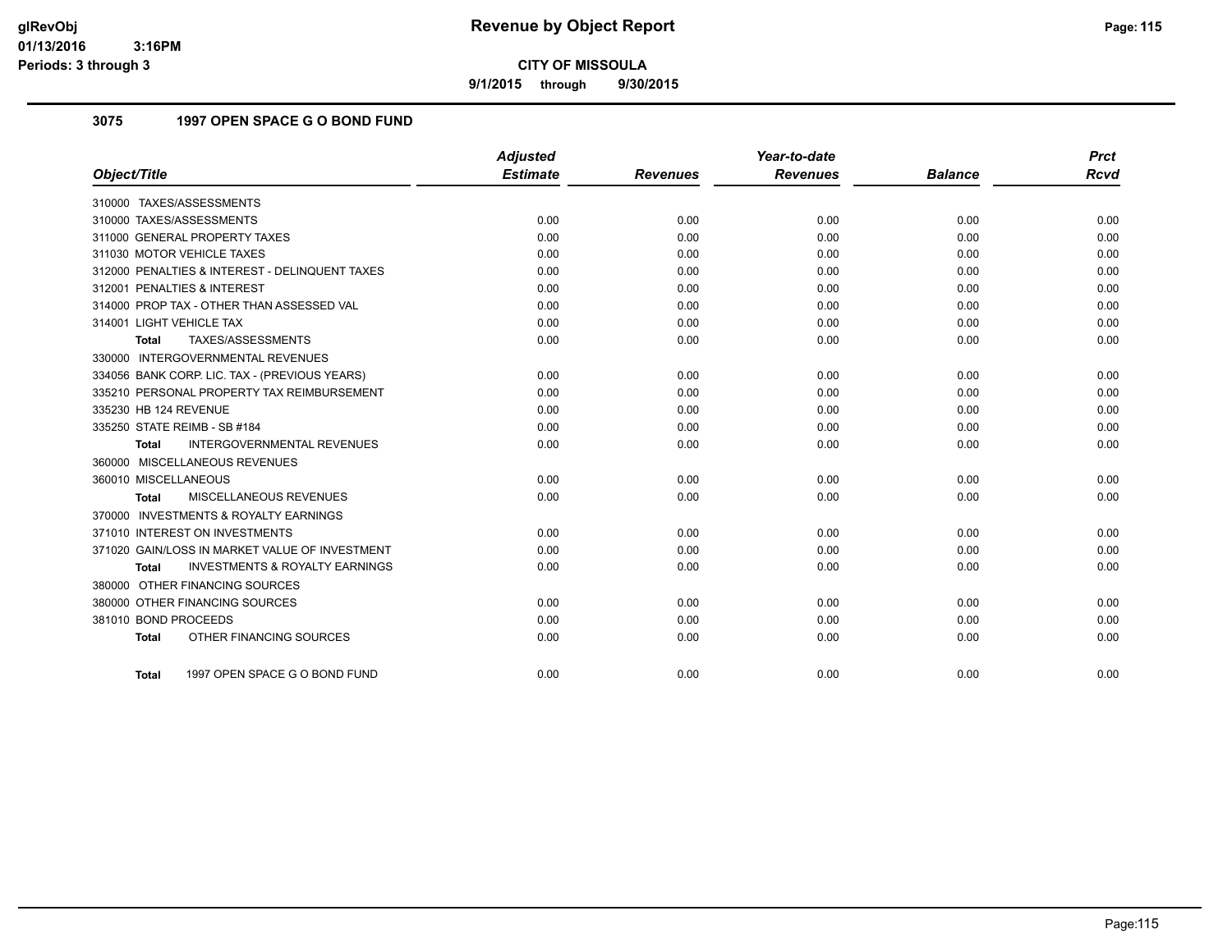**9/1/2015 through 9/30/2015**

# **3075 1997 OPEN SPACE G O BOND FUND**

|                                                           | <b>Adjusted</b> |                 | Year-to-date    |                | <b>Prct</b> |
|-----------------------------------------------------------|-----------------|-----------------|-----------------|----------------|-------------|
| Object/Title                                              | <b>Estimate</b> | <b>Revenues</b> | <b>Revenues</b> | <b>Balance</b> | <b>Rcvd</b> |
| 310000 TAXES/ASSESSMENTS                                  |                 |                 |                 |                |             |
| 310000 TAXES/ASSESSMENTS                                  | 0.00            | 0.00            | 0.00            | 0.00           | 0.00        |
| 311000 GENERAL PROPERTY TAXES                             | 0.00            | 0.00            | 0.00            | 0.00           | 0.00        |
| 311030 MOTOR VEHICLE TAXES                                | 0.00            | 0.00            | 0.00            | 0.00           | 0.00        |
| 312000 PENALTIES & INTEREST - DELINQUENT TAXES            | 0.00            | 0.00            | 0.00            | 0.00           | 0.00        |
| 312001 PENALTIES & INTEREST                               | 0.00            | 0.00            | 0.00            | 0.00           | 0.00        |
| 314000 PROP TAX - OTHER THAN ASSESSED VAL                 | 0.00            | 0.00            | 0.00            | 0.00           | 0.00        |
| 314001 LIGHT VEHICLE TAX                                  | 0.00            | 0.00            | 0.00            | 0.00           | 0.00        |
| TAXES/ASSESSMENTS<br><b>Total</b>                         | 0.00            | 0.00            | 0.00            | 0.00           | 0.00        |
| 330000 INTERGOVERNMENTAL REVENUES                         |                 |                 |                 |                |             |
| 334056 BANK CORP. LIC. TAX - (PREVIOUS YEARS)             | 0.00            | 0.00            | 0.00            | 0.00           | 0.00        |
| 335210 PERSONAL PROPERTY TAX REIMBURSEMENT                | 0.00            | 0.00            | 0.00            | 0.00           | 0.00        |
| 335230 HB 124 REVENUE                                     | 0.00            | 0.00            | 0.00            | 0.00           | 0.00        |
| 335250 STATE REIMB - SB #184                              | 0.00            | 0.00            | 0.00            | 0.00           | 0.00        |
| <b>INTERGOVERNMENTAL REVENUES</b><br><b>Total</b>         | 0.00            | 0.00            | 0.00            | 0.00           | 0.00        |
| 360000 MISCELLANEOUS REVENUES                             |                 |                 |                 |                |             |
| 360010 MISCELLANEOUS                                      | 0.00            | 0.00            | 0.00            | 0.00           | 0.00        |
| <b>MISCELLANEOUS REVENUES</b><br>Total                    | 0.00            | 0.00            | 0.00            | 0.00           | 0.00        |
| 370000 INVESTMENTS & ROYALTY EARNINGS                     |                 |                 |                 |                |             |
| 371010 INTEREST ON INVESTMENTS                            | 0.00            | 0.00            | 0.00            | 0.00           | 0.00        |
| 371020 GAIN/LOSS IN MARKET VALUE OF INVESTMENT            | 0.00            | 0.00            | 0.00            | 0.00           | 0.00        |
| <b>INVESTMENTS &amp; ROYALTY EARNINGS</b><br><b>Total</b> | 0.00            | 0.00            | 0.00            | 0.00           | 0.00        |
| 380000 OTHER FINANCING SOURCES                            |                 |                 |                 |                |             |
| 380000 OTHER FINANCING SOURCES                            | 0.00            | 0.00            | 0.00            | 0.00           | 0.00        |
| 381010 BOND PROCEEDS                                      | 0.00            | 0.00            | 0.00            | 0.00           | 0.00        |
| OTHER FINANCING SOURCES<br><b>Total</b>                   | 0.00            | 0.00            | 0.00            | 0.00           | 0.00        |
|                                                           |                 |                 |                 |                |             |
| 1997 OPEN SPACE G O BOND FUND<br><b>Total</b>             | 0.00            | 0.00            | 0.00            | 0.00           | 0.00        |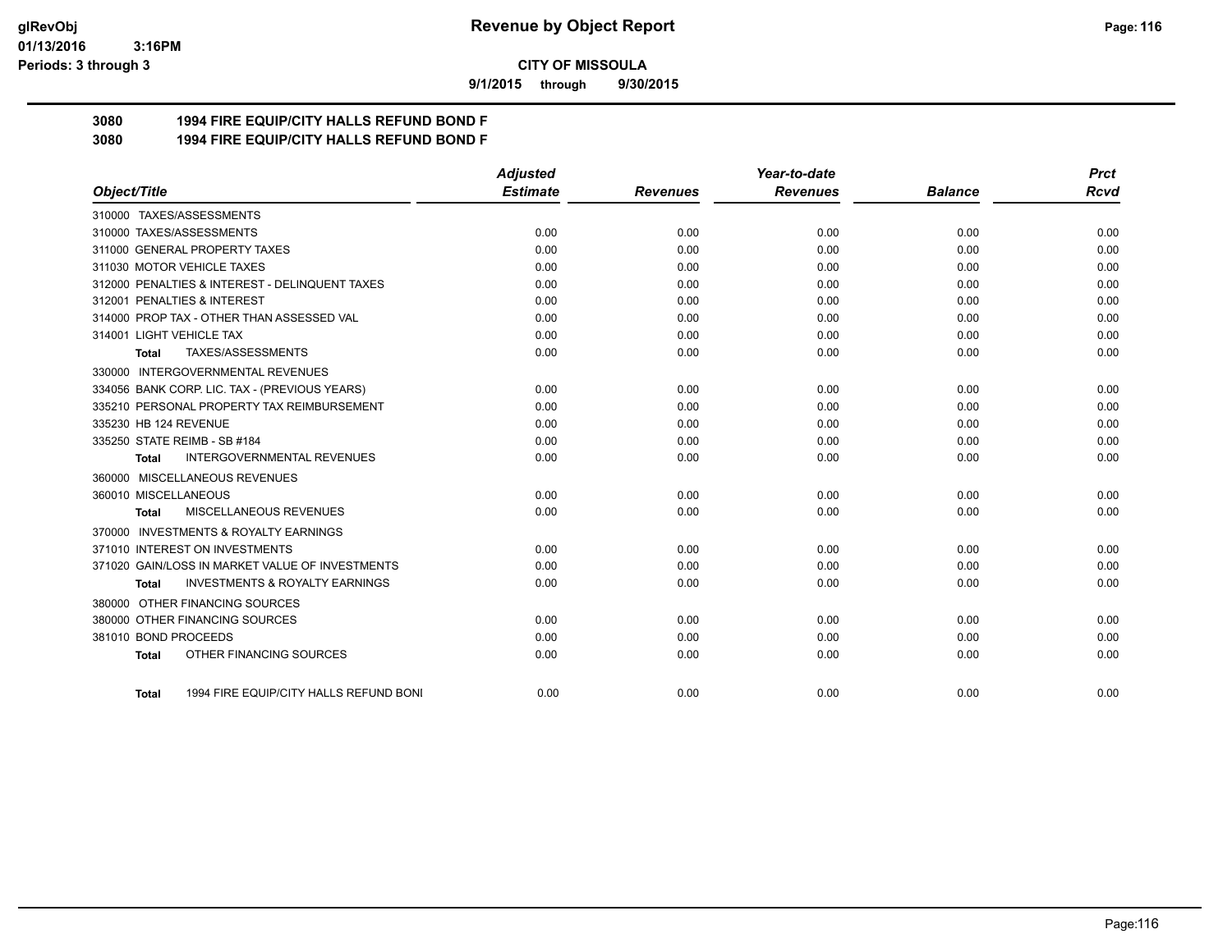#### **01/13/2016 3:16PM Periods: 3 through 3**

**CITY OF MISSOULA**

**9/1/2015 through 9/30/2015**

# **3080 1994 FIRE EQUIP/CITY HALLS REFUND BOND F**

**3080 1994 FIRE EQUIP/CITY HALLS REFUND BOND F**

|                                                           | <b>Adjusted</b> |                 | Year-to-date    |                | <b>Prct</b> |
|-----------------------------------------------------------|-----------------|-----------------|-----------------|----------------|-------------|
| Object/Title                                              | <b>Estimate</b> | <b>Revenues</b> | <b>Revenues</b> | <b>Balance</b> | <b>Rcvd</b> |
| 310000 TAXES/ASSESSMENTS                                  |                 |                 |                 |                |             |
| 310000 TAXES/ASSESSMENTS                                  | 0.00            | 0.00            | 0.00            | 0.00           | 0.00        |
| 311000 GENERAL PROPERTY TAXES                             | 0.00            | 0.00            | 0.00            | 0.00           | 0.00        |
| 311030 MOTOR VEHICLE TAXES                                | 0.00            | 0.00            | 0.00            | 0.00           | 0.00        |
| 312000 PENALTIES & INTEREST - DELINQUENT TAXES            | 0.00            | 0.00            | 0.00            | 0.00           | 0.00        |
| 312001 PENALTIES & INTEREST                               | 0.00            | 0.00            | 0.00            | 0.00           | 0.00        |
| 314000 PROP TAX - OTHER THAN ASSESSED VAL                 | 0.00            | 0.00            | 0.00            | 0.00           | 0.00        |
| 314001 LIGHT VEHICLE TAX                                  | 0.00            | 0.00            | 0.00            | 0.00           | 0.00        |
| TAXES/ASSESSMENTS<br>Total                                | 0.00            | 0.00            | 0.00            | 0.00           | 0.00        |
| 330000 INTERGOVERNMENTAL REVENUES                         |                 |                 |                 |                |             |
| 334056 BANK CORP. LIC. TAX - (PREVIOUS YEARS)             | 0.00            | 0.00            | 0.00            | 0.00           | 0.00        |
| 335210 PERSONAL PROPERTY TAX REIMBURSEMENT                | 0.00            | 0.00            | 0.00            | 0.00           | 0.00        |
| 335230 HB 124 REVENUE                                     | 0.00            | 0.00            | 0.00            | 0.00           | 0.00        |
| 335250 STATE REIMB - SB #184                              | 0.00            | 0.00            | 0.00            | 0.00           | 0.00        |
| <b>INTERGOVERNMENTAL REVENUES</b><br><b>Total</b>         | 0.00            | 0.00            | 0.00            | 0.00           | 0.00        |
| 360000 MISCELLANEOUS REVENUES                             |                 |                 |                 |                |             |
| 360010 MISCELLANEOUS                                      | 0.00            | 0.00            | 0.00            | 0.00           | 0.00        |
| MISCELLANEOUS REVENUES<br>Total                           | 0.00            | 0.00            | 0.00            | 0.00           | 0.00        |
| 370000 INVESTMENTS & ROYALTY EARNINGS                     |                 |                 |                 |                |             |
| 371010 INTEREST ON INVESTMENTS                            | 0.00            | 0.00            | 0.00            | 0.00           | 0.00        |
| 371020 GAIN/LOSS IN MARKET VALUE OF INVESTMENTS           | 0.00            | 0.00            | 0.00            | 0.00           | 0.00        |
| <b>INVESTMENTS &amp; ROYALTY EARNINGS</b><br><b>Total</b> | 0.00            | 0.00            | 0.00            | 0.00           | 0.00        |
| 380000 OTHER FINANCING SOURCES                            |                 |                 |                 |                |             |
| 380000 OTHER FINANCING SOURCES                            | 0.00            | 0.00            | 0.00            | 0.00           | 0.00        |
| 381010 BOND PROCEEDS                                      | 0.00            | 0.00            | 0.00            | 0.00           | 0.00        |
| OTHER FINANCING SOURCES<br><b>Total</b>                   | 0.00            | 0.00            | 0.00            | 0.00           | 0.00        |
| 1994 FIRE EQUIP/CITY HALLS REFUND BONI<br><b>Total</b>    | 0.00            | 0.00            | 0.00            | 0.00           | 0.00        |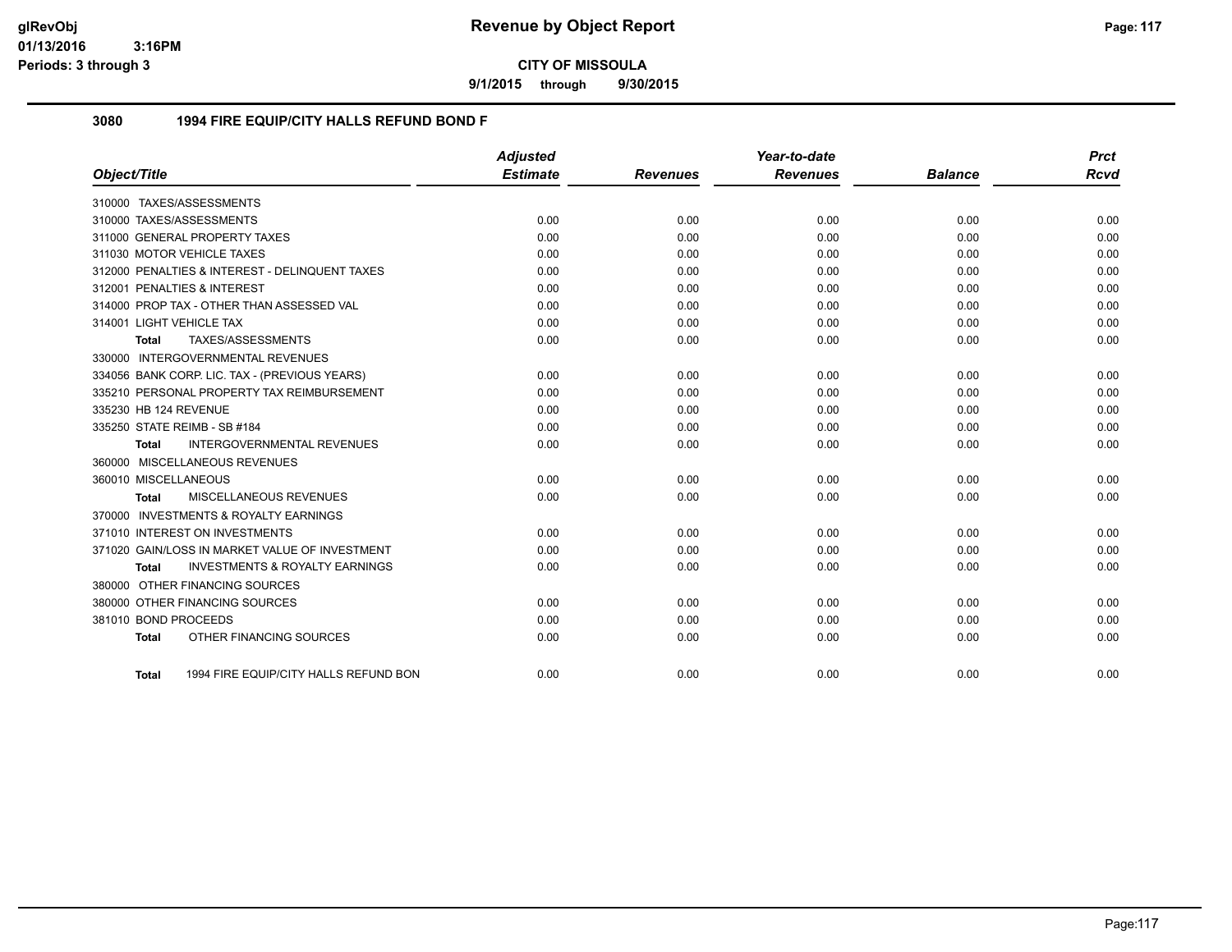**9/1/2015 through 9/30/2015**

#### **3080 1994 FIRE EQUIP/CITY HALLS REFUND BOND F**

|                                                    | <b>Adjusted</b> |                 | Year-to-date    |                | <b>Prct</b> |
|----------------------------------------------------|-----------------|-----------------|-----------------|----------------|-------------|
| Object/Title                                       | <b>Estimate</b> | <b>Revenues</b> | <b>Revenues</b> | <b>Balance</b> | <b>Rcvd</b> |
| 310000 TAXES/ASSESSMENTS                           |                 |                 |                 |                |             |
| 310000 TAXES/ASSESSMENTS                           | 0.00            | 0.00            | 0.00            | 0.00           | 0.00        |
| 311000 GENERAL PROPERTY TAXES                      | 0.00            | 0.00            | 0.00            | 0.00           | 0.00        |
| 311030 MOTOR VEHICLE TAXES                         | 0.00            | 0.00            | 0.00            | 0.00           | 0.00        |
| 312000 PENALTIES & INTEREST - DELINQUENT TAXES     | 0.00            | 0.00            | 0.00            | 0.00           | 0.00        |
| 312001 PENALTIES & INTEREST                        | 0.00            | 0.00            | 0.00            | 0.00           | 0.00        |
| 314000 PROP TAX - OTHER THAN ASSESSED VAL          | 0.00            | 0.00            | 0.00            | 0.00           | 0.00        |
| 314001 LIGHT VEHICLE TAX                           | 0.00            | 0.00            | 0.00            | 0.00           | 0.00        |
| TAXES/ASSESSMENTS<br><b>Total</b>                  | 0.00            | 0.00            | 0.00            | 0.00           | 0.00        |
| 330000 INTERGOVERNMENTAL REVENUES                  |                 |                 |                 |                |             |
| 334056 BANK CORP. LIC. TAX - (PREVIOUS YEARS)      | 0.00            | 0.00            | 0.00            | 0.00           | 0.00        |
| 335210 PERSONAL PROPERTY TAX REIMBURSEMENT         | 0.00            | 0.00            | 0.00            | 0.00           | 0.00        |
| 335230 HB 124 REVENUE                              | 0.00            | 0.00            | 0.00            | 0.00           | 0.00        |
| 335250 STATE REIMB - SB #184                       | 0.00            | 0.00            | 0.00            | 0.00           | 0.00        |
| INTERGOVERNMENTAL REVENUES<br><b>Total</b>         | 0.00            | 0.00            | 0.00            | 0.00           | 0.00        |
| 360000 MISCELLANEOUS REVENUES                      |                 |                 |                 |                |             |
| 360010 MISCELLANEOUS                               | 0.00            | 0.00            | 0.00            | 0.00           | 0.00        |
| MISCELLANEOUS REVENUES<br>Total                    | 0.00            | 0.00            | 0.00            | 0.00           | 0.00        |
| 370000 INVESTMENTS & ROYALTY EARNINGS              |                 |                 |                 |                |             |
| 371010 INTEREST ON INVESTMENTS                     | 0.00            | 0.00            | 0.00            | 0.00           | 0.00        |
| 371020 GAIN/LOSS IN MARKET VALUE OF INVESTMENT     | 0.00            | 0.00            | 0.00            | 0.00           | 0.00        |
| <b>INVESTMENTS &amp; ROYALTY EARNINGS</b><br>Total | 0.00            | 0.00            | 0.00            | 0.00           | 0.00        |
| 380000 OTHER FINANCING SOURCES                     |                 |                 |                 |                |             |
| 380000 OTHER FINANCING SOURCES                     | 0.00            | 0.00            | 0.00            | 0.00           | 0.00        |
| 381010 BOND PROCEEDS                               | 0.00            | 0.00            | 0.00            | 0.00           | 0.00        |
| OTHER FINANCING SOURCES<br><b>Total</b>            | 0.00            | 0.00            | 0.00            | 0.00           | 0.00        |
| 1994 FIRE EQUIP/CITY HALLS REFUND BON<br>Total     | 0.00            | 0.00            | 0.00            | 0.00           | 0.00        |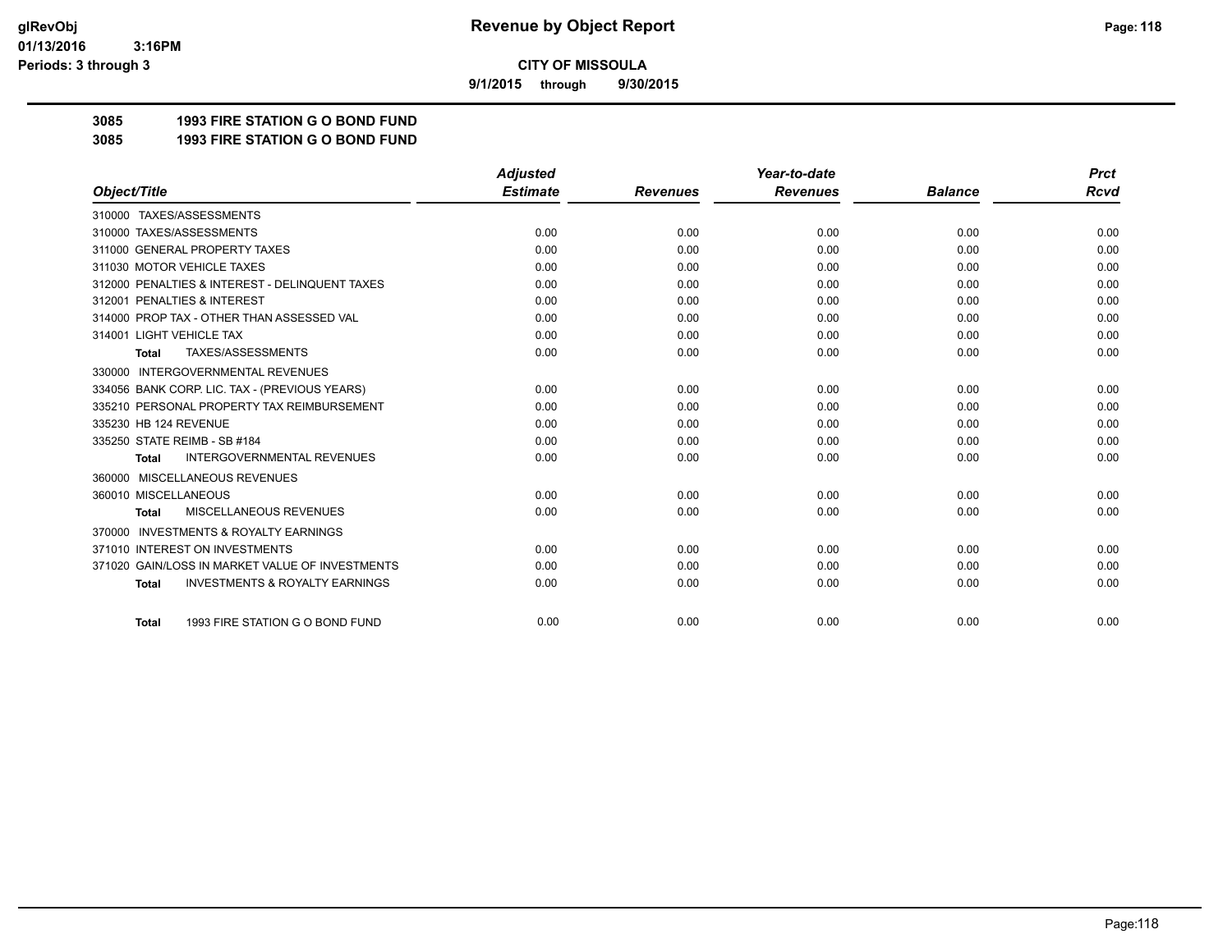**9/1/2015 through 9/30/2015**

# **3085 1993 FIRE STATION G O BOND FUND**

**3085 1993 FIRE STATION G O BOND FUND**

|                                                           | <b>Adjusted</b> |                 | Year-to-date    |                | <b>Prct</b> |
|-----------------------------------------------------------|-----------------|-----------------|-----------------|----------------|-------------|
| Object/Title                                              | <b>Estimate</b> | <b>Revenues</b> | <b>Revenues</b> | <b>Balance</b> | <b>Rcvd</b> |
| 310000 TAXES/ASSESSMENTS                                  |                 |                 |                 |                |             |
| 310000 TAXES/ASSESSMENTS                                  | 0.00            | 0.00            | 0.00            | 0.00           | 0.00        |
| 311000 GENERAL PROPERTY TAXES                             | 0.00            | 0.00            | 0.00            | 0.00           | 0.00        |
| 311030 MOTOR VEHICLE TAXES                                | 0.00            | 0.00            | 0.00            | 0.00           | 0.00        |
| 312000 PENALTIES & INTEREST - DELINQUENT TAXES            | 0.00            | 0.00            | 0.00            | 0.00           | 0.00        |
| 312001 PENALTIES & INTEREST                               | 0.00            | 0.00            | 0.00            | 0.00           | 0.00        |
| 314000 PROP TAX - OTHER THAN ASSESSED VAL                 | 0.00            | 0.00            | 0.00            | 0.00           | 0.00        |
| 314001 LIGHT VEHICLE TAX                                  | 0.00            | 0.00            | 0.00            | 0.00           | 0.00        |
| TAXES/ASSESSMENTS<br><b>Total</b>                         | 0.00            | 0.00            | 0.00            | 0.00           | 0.00        |
| <b>INTERGOVERNMENTAL REVENUES</b><br>330000               |                 |                 |                 |                |             |
| 334056 BANK CORP. LIC. TAX - (PREVIOUS YEARS)             | 0.00            | 0.00            | 0.00            | 0.00           | 0.00        |
| 335210 PERSONAL PROPERTY TAX REIMBURSEMENT                | 0.00            | 0.00            | 0.00            | 0.00           | 0.00        |
| 335230 HB 124 REVENUE                                     | 0.00            | 0.00            | 0.00            | 0.00           | 0.00        |
| 335250 STATE REIMB - SB #184                              | 0.00            | 0.00            | 0.00            | 0.00           | 0.00        |
| <b>INTERGOVERNMENTAL REVENUES</b><br><b>Total</b>         | 0.00            | 0.00            | 0.00            | 0.00           | 0.00        |
| MISCELLANEOUS REVENUES<br>360000                          |                 |                 |                 |                |             |
| 360010 MISCELLANEOUS                                      | 0.00            | 0.00            | 0.00            | 0.00           | 0.00        |
| <b>MISCELLANEOUS REVENUES</b><br><b>Total</b>             | 0.00            | 0.00            | 0.00            | 0.00           | 0.00        |
| <b>INVESTMENTS &amp; ROYALTY EARNINGS</b><br>370000       |                 |                 |                 |                |             |
| 371010 INTEREST ON INVESTMENTS                            | 0.00            | 0.00            | 0.00            | 0.00           | 0.00        |
| 371020 GAIN/LOSS IN MARKET VALUE OF INVESTMENTS           | 0.00            | 0.00            | 0.00            | 0.00           | 0.00        |
| <b>INVESTMENTS &amp; ROYALTY EARNINGS</b><br><b>Total</b> | 0.00            | 0.00            | 0.00            | 0.00           | 0.00        |
|                                                           |                 |                 |                 |                |             |
| 1993 FIRE STATION G O BOND FUND<br><b>Total</b>           | 0.00            | 0.00            | 0.00            | 0.00           | 0.00        |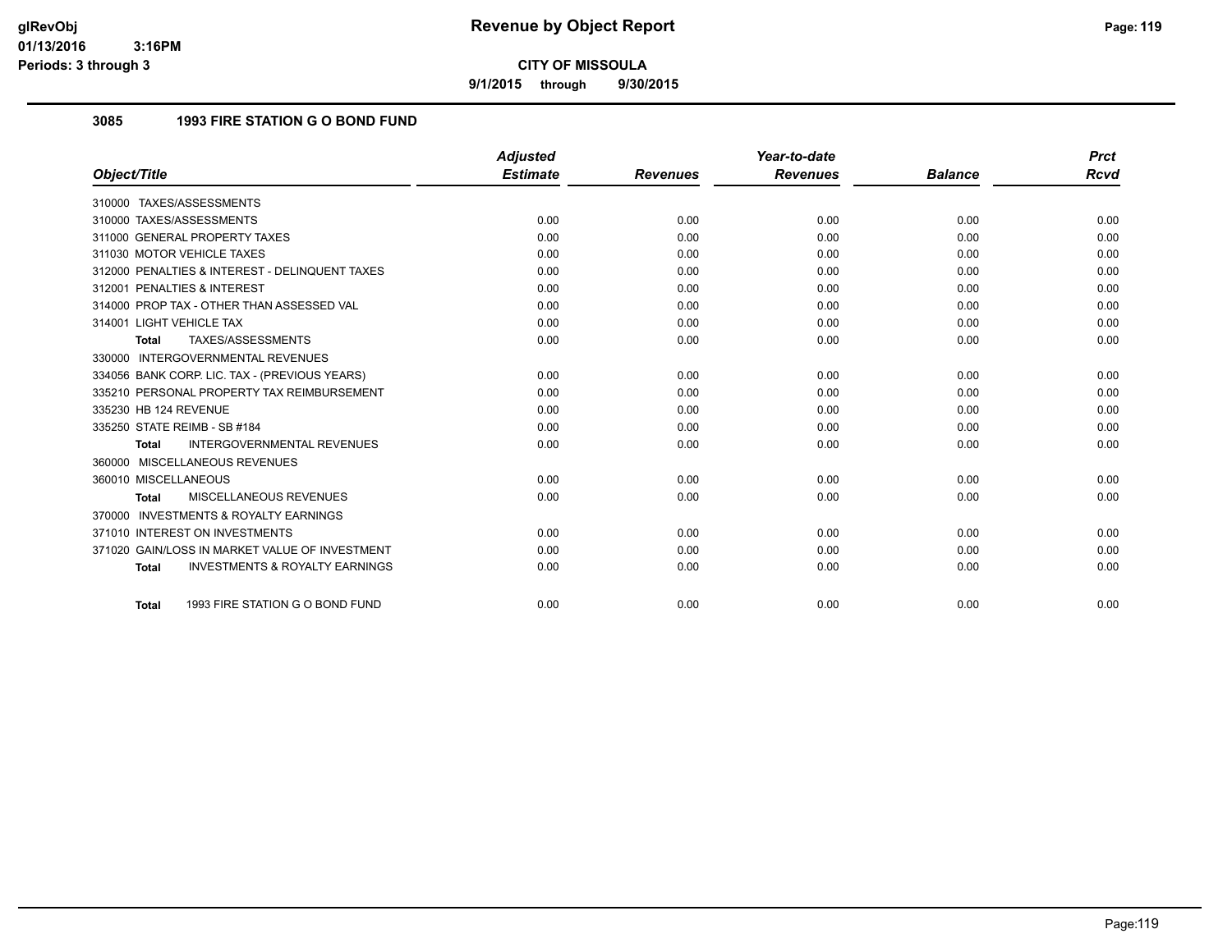**9/1/2015 through 9/30/2015**

## **3085 1993 FIRE STATION G O BOND FUND**

|                                                           | <b>Adjusted</b> |                 | Year-to-date    |                | <b>Prct</b> |
|-----------------------------------------------------------|-----------------|-----------------|-----------------|----------------|-------------|
| Object/Title                                              | <b>Estimate</b> | <b>Revenues</b> | <b>Revenues</b> | <b>Balance</b> | Rcvd        |
| 310000 TAXES/ASSESSMENTS                                  |                 |                 |                 |                |             |
| 310000 TAXES/ASSESSMENTS                                  | 0.00            | 0.00            | 0.00            | 0.00           | 0.00        |
| 311000 GENERAL PROPERTY TAXES                             | 0.00            | 0.00            | 0.00            | 0.00           | 0.00        |
| 311030 MOTOR VEHICLE TAXES                                | 0.00            | 0.00            | 0.00            | 0.00           | 0.00        |
| 312000 PENALTIES & INTEREST - DELINQUENT TAXES            | 0.00            | 0.00            | 0.00            | 0.00           | 0.00        |
| 312001 PENALTIES & INTEREST                               | 0.00            | 0.00            | 0.00            | 0.00           | 0.00        |
| 314000 PROP TAX - OTHER THAN ASSESSED VAL                 | 0.00            | 0.00            | 0.00            | 0.00           | 0.00        |
| 314001 LIGHT VEHICLE TAX                                  | 0.00            | 0.00            | 0.00            | 0.00           | 0.00        |
| TAXES/ASSESSMENTS<br><b>Total</b>                         | 0.00            | 0.00            | 0.00            | 0.00           | 0.00        |
| 330000 INTERGOVERNMENTAL REVENUES                         |                 |                 |                 |                |             |
| 334056 BANK CORP. LIC. TAX - (PREVIOUS YEARS)             | 0.00            | 0.00            | 0.00            | 0.00           | 0.00        |
| 335210 PERSONAL PROPERTY TAX REIMBURSEMENT                | 0.00            | 0.00            | 0.00            | 0.00           | 0.00        |
| 335230 HB 124 REVENUE                                     | 0.00            | 0.00            | 0.00            | 0.00           | 0.00        |
| 335250 STATE REIMB - SB #184                              | 0.00            | 0.00            | 0.00            | 0.00           | 0.00        |
| <b>INTERGOVERNMENTAL REVENUES</b><br><b>Total</b>         | 0.00            | 0.00            | 0.00            | 0.00           | 0.00        |
| 360000 MISCELLANEOUS REVENUES                             |                 |                 |                 |                |             |
| 360010 MISCELLANEOUS                                      | 0.00            | 0.00            | 0.00            | 0.00           | 0.00        |
| MISCELLANEOUS REVENUES<br><b>Total</b>                    | 0.00            | 0.00            | 0.00            | 0.00           | 0.00        |
| 370000 INVESTMENTS & ROYALTY EARNINGS                     |                 |                 |                 |                |             |
| 371010 INTEREST ON INVESTMENTS                            | 0.00            | 0.00            | 0.00            | 0.00           | 0.00        |
| 371020 GAIN/LOSS IN MARKET VALUE OF INVESTMENT            | 0.00            | 0.00            | 0.00            | 0.00           | 0.00        |
| <b>INVESTMENTS &amp; ROYALTY EARNINGS</b><br><b>Total</b> | 0.00            | 0.00            | 0.00            | 0.00           | 0.00        |
| 1993 FIRE STATION G O BOND FUND<br><b>Total</b>           | 0.00            | 0.00            | 0.00            | 0.00           | 0.00        |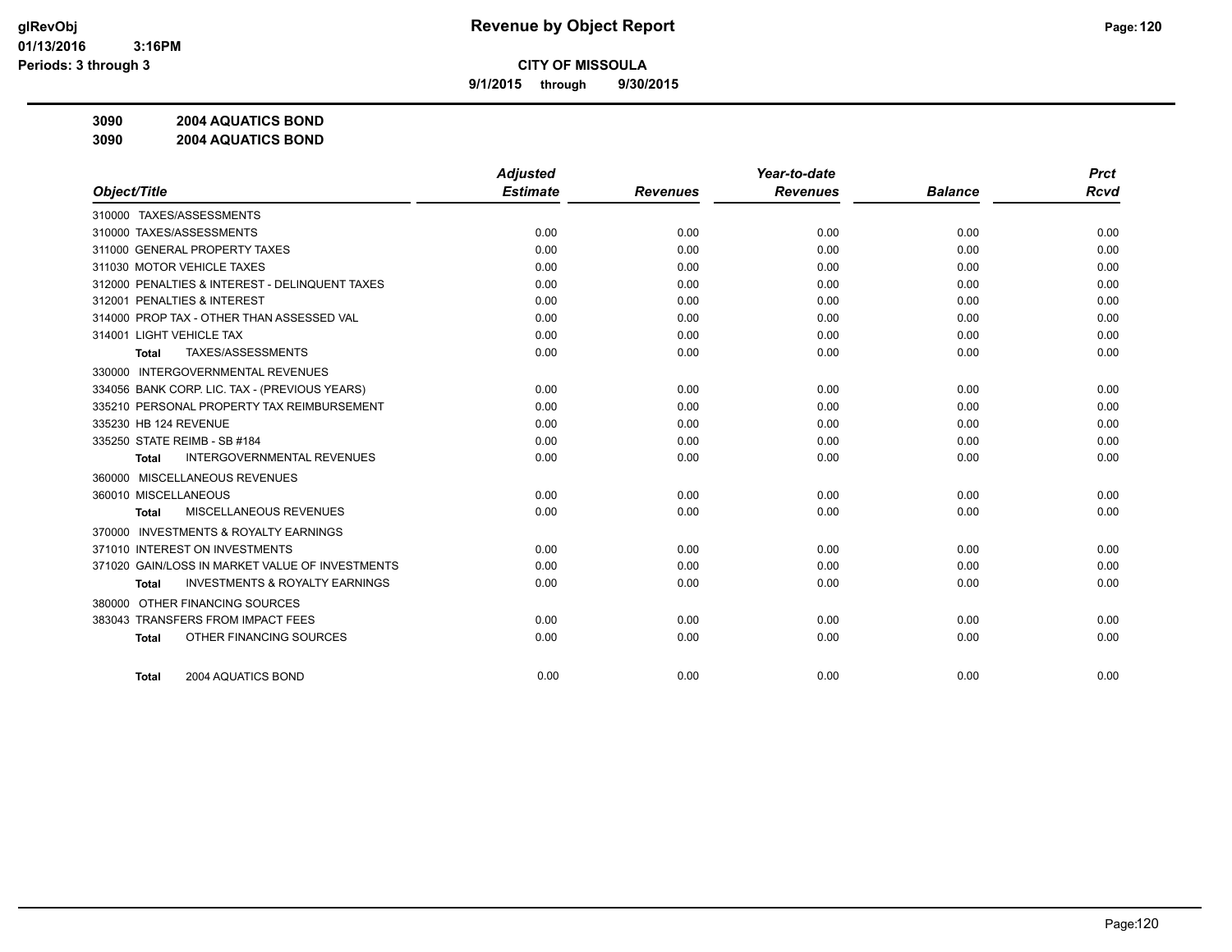**9/1/2015 through 9/30/2015**

**3090 2004 AQUATICS BOND**

**3090 2004 AQUATICS BOND**

|                                                           | <b>Adjusted</b> |                 | Year-to-date    |                | <b>Prct</b> |
|-----------------------------------------------------------|-----------------|-----------------|-----------------|----------------|-------------|
| Object/Title                                              | <b>Estimate</b> | <b>Revenues</b> | <b>Revenues</b> | <b>Balance</b> | <b>Rcvd</b> |
| 310000 TAXES/ASSESSMENTS                                  |                 |                 |                 |                |             |
| 310000 TAXES/ASSESSMENTS                                  | 0.00            | 0.00            | 0.00            | 0.00           | 0.00        |
| 311000 GENERAL PROPERTY TAXES                             | 0.00            | 0.00            | 0.00            | 0.00           | 0.00        |
| 311030 MOTOR VEHICLE TAXES                                | 0.00            | 0.00            | 0.00            | 0.00           | 0.00        |
| 312000 PENALTIES & INTEREST - DELINQUENT TAXES            | 0.00            | 0.00            | 0.00            | 0.00           | 0.00        |
| 312001 PENALTIES & INTEREST                               | 0.00            | 0.00            | 0.00            | 0.00           | 0.00        |
| 314000 PROP TAX - OTHER THAN ASSESSED VAL                 | 0.00            | 0.00            | 0.00            | 0.00           | 0.00        |
| 314001 LIGHT VEHICLE TAX                                  | 0.00            | 0.00            | 0.00            | 0.00           | 0.00        |
| TAXES/ASSESSMENTS<br><b>Total</b>                         | 0.00            | 0.00            | 0.00            | 0.00           | 0.00        |
| <b>INTERGOVERNMENTAL REVENUES</b><br>330000               |                 |                 |                 |                |             |
| 334056 BANK CORP. LIC. TAX - (PREVIOUS YEARS)             | 0.00            | 0.00            | 0.00            | 0.00           | 0.00        |
| 335210 PERSONAL PROPERTY TAX REIMBURSEMENT                | 0.00            | 0.00            | 0.00            | 0.00           | 0.00        |
| 335230 HB 124 REVENUE                                     | 0.00            | 0.00            | 0.00            | 0.00           | 0.00        |
| 335250 STATE REIMB - SB #184                              | 0.00            | 0.00            | 0.00            | 0.00           | 0.00        |
| <b>INTERGOVERNMENTAL REVENUES</b><br>Total                | 0.00            | 0.00            | 0.00            | 0.00           | 0.00        |
| 360000 MISCELLANEOUS REVENUES                             |                 |                 |                 |                |             |
| 360010 MISCELLANEOUS                                      | 0.00            | 0.00            | 0.00            | 0.00           | 0.00        |
| <b>MISCELLANEOUS REVENUES</b><br>Total                    | 0.00            | 0.00            | 0.00            | 0.00           | 0.00        |
| <b>INVESTMENTS &amp; ROYALTY EARNINGS</b><br>370000       |                 |                 |                 |                |             |
| 371010 INTEREST ON INVESTMENTS                            | 0.00            | 0.00            | 0.00            | 0.00           | 0.00        |
| 371020 GAIN/LOSS IN MARKET VALUE OF INVESTMENTS           | 0.00            | 0.00            | 0.00            | 0.00           | 0.00        |
| <b>INVESTMENTS &amp; ROYALTY EARNINGS</b><br><b>Total</b> | 0.00            | 0.00            | 0.00            | 0.00           | 0.00        |
| 380000 OTHER FINANCING SOURCES                            |                 |                 |                 |                |             |
| 383043 TRANSFERS FROM IMPACT FEES                         | 0.00            | 0.00            | 0.00            | 0.00           | 0.00        |
| OTHER FINANCING SOURCES<br><b>Total</b>                   | 0.00            | 0.00            | 0.00            | 0.00           | 0.00        |
|                                                           |                 |                 |                 |                |             |
| 2004 AQUATICS BOND<br><b>Total</b>                        | 0.00            | 0.00            | 0.00            | 0.00           | 0.00        |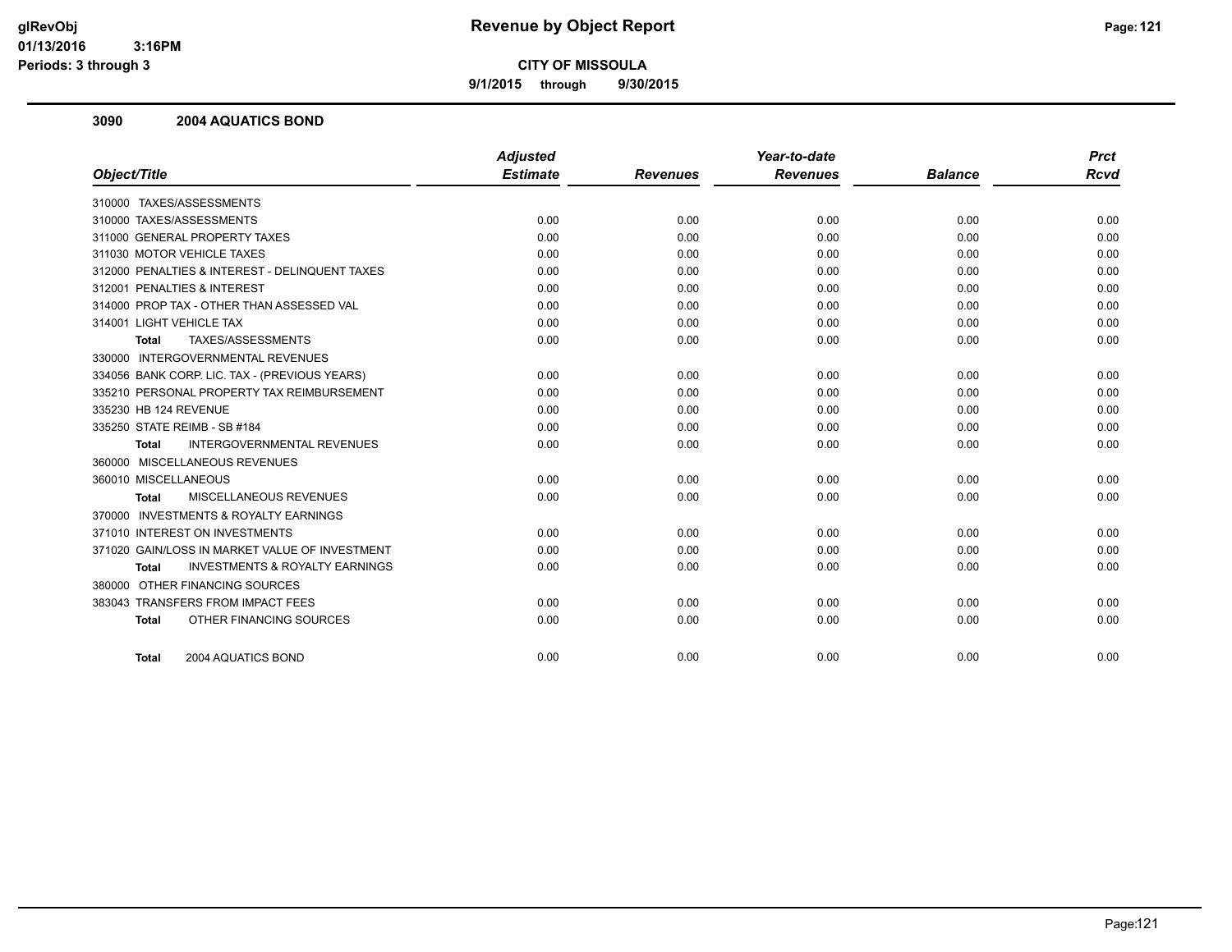**9/1/2015 through 9/30/2015**

#### **3090 2004 AQUATICS BOND**

|                                                           | <b>Adjusted</b> |                 | Year-to-date    |                | <b>Prct</b> |
|-----------------------------------------------------------|-----------------|-----------------|-----------------|----------------|-------------|
| Object/Title                                              | <b>Estimate</b> | <b>Revenues</b> | <b>Revenues</b> | <b>Balance</b> | <b>Rcvd</b> |
| 310000 TAXES/ASSESSMENTS                                  |                 |                 |                 |                |             |
| 310000 TAXES/ASSESSMENTS                                  | 0.00            | 0.00            | 0.00            | 0.00           | 0.00        |
| 311000 GENERAL PROPERTY TAXES                             | 0.00            | 0.00            | 0.00            | 0.00           | 0.00        |
| 311030 MOTOR VEHICLE TAXES                                | 0.00            | 0.00            | 0.00            | 0.00           | 0.00        |
| 312000 PENALTIES & INTEREST - DELINQUENT TAXES            | 0.00            | 0.00            | 0.00            | 0.00           | 0.00        |
| 312001 PENALTIES & INTEREST                               | 0.00            | 0.00            | 0.00            | 0.00           | 0.00        |
| 314000 PROP TAX - OTHER THAN ASSESSED VAL                 | 0.00            | 0.00            | 0.00            | 0.00           | 0.00        |
| 314001 LIGHT VEHICLE TAX                                  | 0.00            | 0.00            | 0.00            | 0.00           | 0.00        |
| TAXES/ASSESSMENTS<br><b>Total</b>                         | 0.00            | 0.00            | 0.00            | 0.00           | 0.00        |
| 330000 INTERGOVERNMENTAL REVENUES                         |                 |                 |                 |                |             |
| 334056 BANK CORP. LIC. TAX - (PREVIOUS YEARS)             | 0.00            | 0.00            | 0.00            | 0.00           | 0.00        |
| 335210 PERSONAL PROPERTY TAX REIMBURSEMENT                | 0.00            | 0.00            | 0.00            | 0.00           | 0.00        |
| 335230 HB 124 REVENUE                                     | 0.00            | 0.00            | 0.00            | 0.00           | 0.00        |
| 335250 STATE REIMB - SB #184                              | 0.00            | 0.00            | 0.00            | 0.00           | 0.00        |
| <b>INTERGOVERNMENTAL REVENUES</b><br><b>Total</b>         | 0.00            | 0.00            | 0.00            | 0.00           | 0.00        |
| 360000 MISCELLANEOUS REVENUES                             |                 |                 |                 |                |             |
| 360010 MISCELLANEOUS                                      | 0.00            | 0.00            | 0.00            | 0.00           | 0.00        |
| MISCELLANEOUS REVENUES<br>Total                           | 0.00            | 0.00            | 0.00            | 0.00           | 0.00        |
| 370000 INVESTMENTS & ROYALTY EARNINGS                     |                 |                 |                 |                |             |
| 371010 INTEREST ON INVESTMENTS                            | 0.00            | 0.00            | 0.00            | 0.00           | 0.00        |
| 371020 GAIN/LOSS IN MARKET VALUE OF INVESTMENT            | 0.00            | 0.00            | 0.00            | 0.00           | 0.00        |
| <b>INVESTMENTS &amp; ROYALTY EARNINGS</b><br><b>Total</b> | 0.00            | 0.00            | 0.00            | 0.00           | 0.00        |
| 380000 OTHER FINANCING SOURCES                            |                 |                 |                 |                |             |
| 383043 TRANSFERS FROM IMPACT FEES                         | 0.00            | 0.00            | 0.00            | 0.00           | 0.00        |
| OTHER FINANCING SOURCES<br><b>Total</b>                   | 0.00            | 0.00            | 0.00            | 0.00           | 0.00        |
| 2004 AQUATICS BOND<br>Total                               | 0.00            | 0.00            | 0.00            | 0.00           | 0.00        |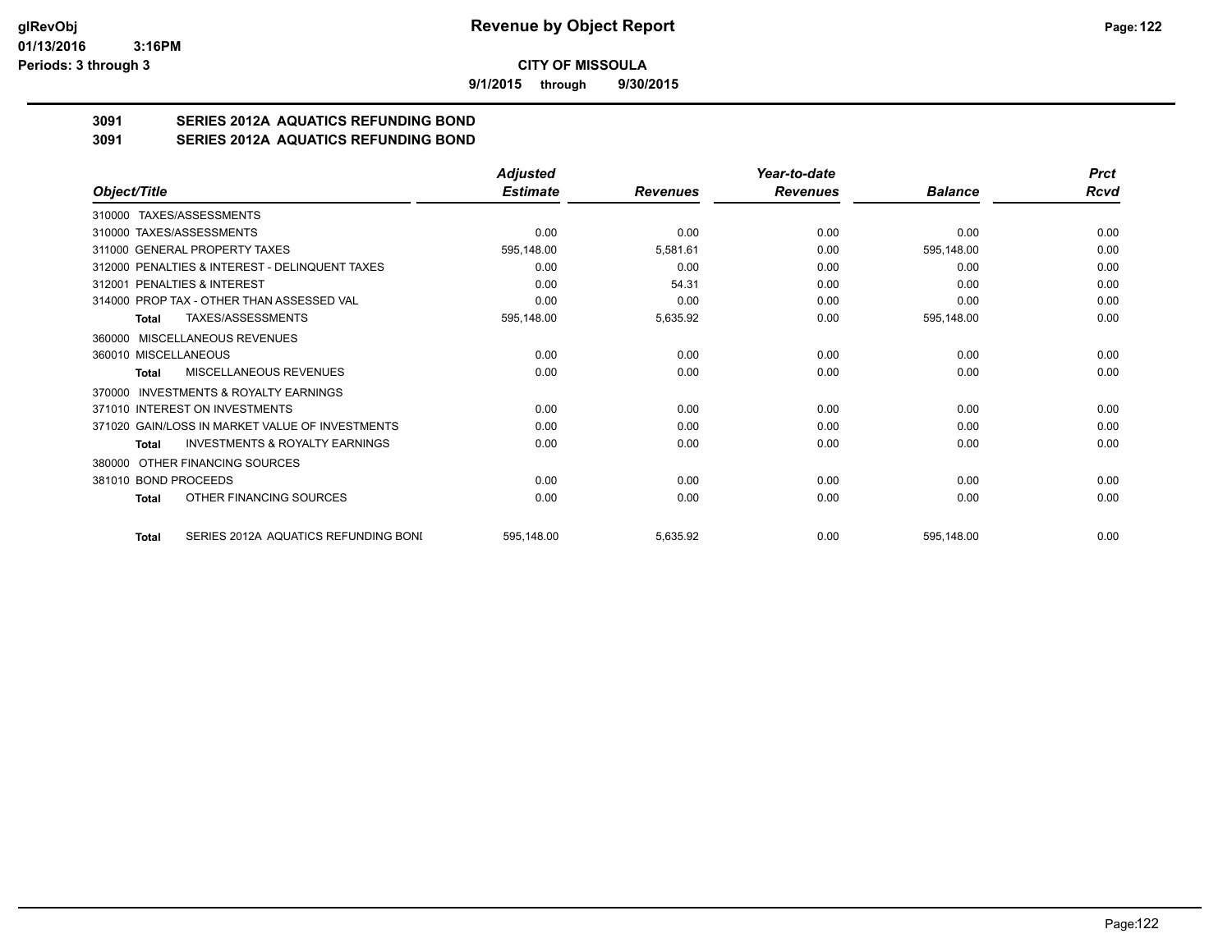**9/1/2015 through 9/30/2015**

# **3091 SERIES 2012A AQUATICS REFUNDING BOND**

**3091 SERIES 2012A AQUATICS REFUNDING BOND**

|                                                           | <b>Adjusted</b> |                 | Year-to-date    |                | <b>Prct</b> |
|-----------------------------------------------------------|-----------------|-----------------|-----------------|----------------|-------------|
| Object/Title                                              | <b>Estimate</b> | <b>Revenues</b> | <b>Revenues</b> | <b>Balance</b> | Rcvd        |
| 310000 TAXES/ASSESSMENTS                                  |                 |                 |                 |                |             |
| 310000 TAXES/ASSESSMENTS                                  | 0.00            | 0.00            | 0.00            | 0.00           | 0.00        |
| 311000 GENERAL PROPERTY TAXES                             | 595,148.00      | 5,581.61        | 0.00            | 595,148.00     | 0.00        |
| 312000 PENALTIES & INTEREST - DELINQUENT TAXES            | 0.00            | 0.00            | 0.00            | 0.00           | 0.00        |
| 312001 PENALTIES & INTEREST                               | 0.00            | 54.31           | 0.00            | 0.00           | 0.00        |
| 314000 PROP TAX - OTHER THAN ASSESSED VAL                 | 0.00            | 0.00            | 0.00            | 0.00           | 0.00        |
| TAXES/ASSESSMENTS<br>Total                                | 595,148.00      | 5,635.92        | 0.00            | 595,148.00     | 0.00        |
| 360000 MISCELLANEOUS REVENUES                             |                 |                 |                 |                |             |
| 360010 MISCELLANEOUS                                      | 0.00            | 0.00            | 0.00            | 0.00           | 0.00        |
| MISCELLANEOUS REVENUES<br>Total                           | 0.00            | 0.00            | 0.00            | 0.00           | 0.00        |
| INVESTMENTS & ROYALTY EARNINGS<br>370000                  |                 |                 |                 |                |             |
| 371010 INTEREST ON INVESTMENTS                            | 0.00            | 0.00            | 0.00            | 0.00           | 0.00        |
| 371020 GAIN/LOSS IN MARKET VALUE OF INVESTMENTS           | 0.00            | 0.00            | 0.00            | 0.00           | 0.00        |
| <b>INVESTMENTS &amp; ROYALTY EARNINGS</b><br><b>Total</b> | 0.00            | 0.00            | 0.00            | 0.00           | 0.00        |
| OTHER FINANCING SOURCES<br>380000                         |                 |                 |                 |                |             |
| 381010 BOND PROCEEDS                                      | 0.00            | 0.00            | 0.00            | 0.00           | 0.00        |
| OTHER FINANCING SOURCES<br>Total                          | 0.00            | 0.00            | 0.00            | 0.00           | 0.00        |
| SERIES 2012A AQUATICS REFUNDING BONI<br>Total             | 595,148.00      | 5,635.92        | 0.00            | 595,148.00     | 0.00        |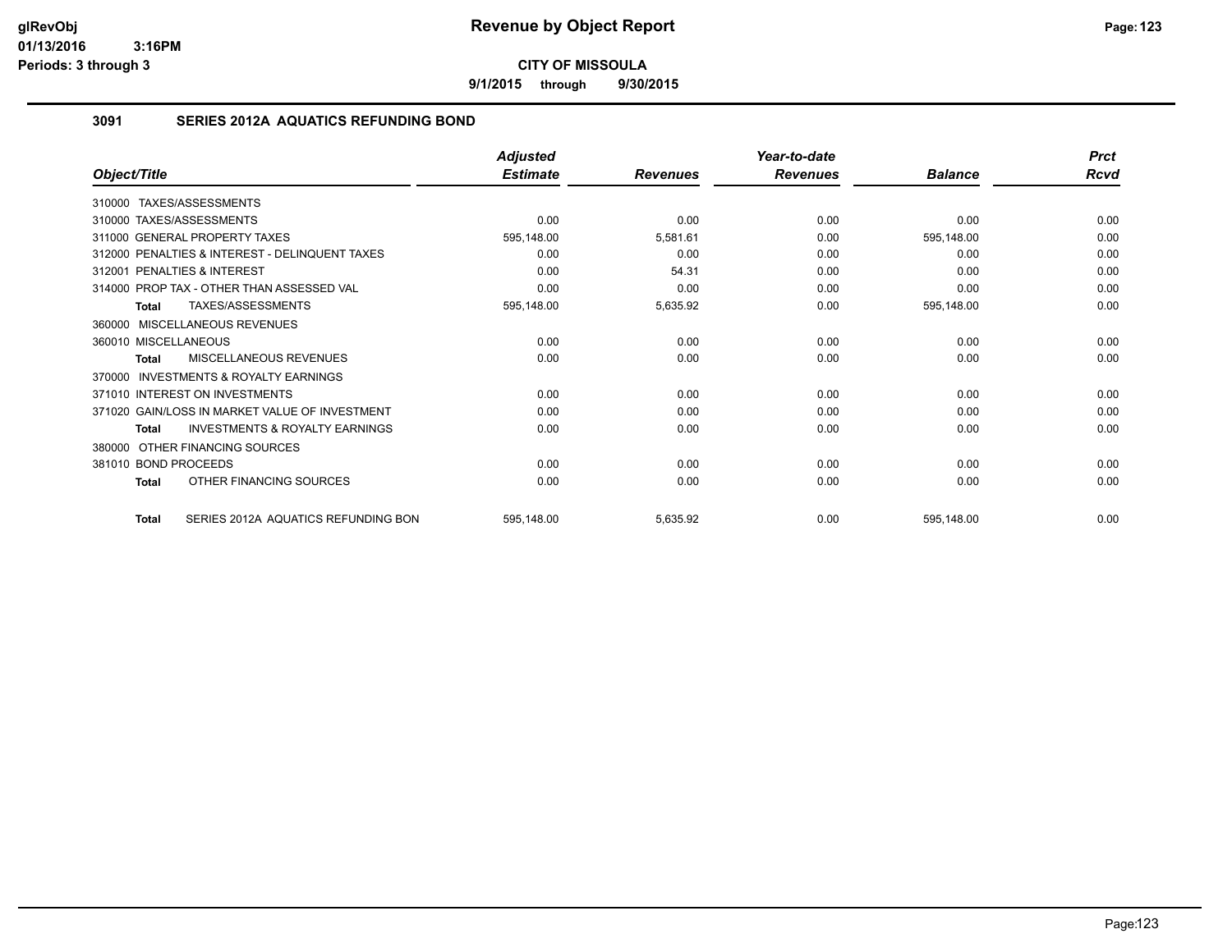**9/1/2015 through 9/30/2015**

## **3091 SERIES 2012A AQUATICS REFUNDING BOND**

|                                                           | <b>Adjusted</b> |                 | Year-to-date    |                | <b>Prct</b> |
|-----------------------------------------------------------|-----------------|-----------------|-----------------|----------------|-------------|
| Object/Title                                              | <b>Estimate</b> | <b>Revenues</b> | <b>Revenues</b> | <b>Balance</b> | Rcvd        |
| 310000 TAXES/ASSESSMENTS                                  |                 |                 |                 |                |             |
| 310000 TAXES/ASSESSMENTS                                  | 0.00            | 0.00            | 0.00            | 0.00           | 0.00        |
| 311000 GENERAL PROPERTY TAXES                             | 595,148.00      | 5,581.61        | 0.00            | 595,148.00     | 0.00        |
| 312000 PENALTIES & INTEREST - DELINQUENT TAXES            | 0.00            | 0.00            | 0.00            | 0.00           | 0.00        |
| 312001 PENALTIES & INTEREST                               | 0.00            | 54.31           | 0.00            | 0.00           | 0.00        |
| 314000 PROP TAX - OTHER THAN ASSESSED VAL                 | 0.00            | 0.00            | 0.00            | 0.00           | 0.00        |
| <b>TAXES/ASSESSMENTS</b><br><b>Total</b>                  | 595,148.00      | 5,635.92        | 0.00            | 595,148.00     | 0.00        |
| 360000 MISCELLANEOUS REVENUES                             |                 |                 |                 |                |             |
| 360010 MISCELLANEOUS                                      | 0.00            | 0.00            | 0.00            | 0.00           | 0.00        |
| MISCELLANEOUS REVENUES<br><b>Total</b>                    | 0.00            | 0.00            | 0.00            | 0.00           | 0.00        |
| 370000 INVESTMENTS & ROYALTY EARNINGS                     |                 |                 |                 |                |             |
| 371010 INTEREST ON INVESTMENTS                            | 0.00            | 0.00            | 0.00            | 0.00           | 0.00        |
| 371020 GAIN/LOSS IN MARKET VALUE OF INVESTMENT            | 0.00            | 0.00            | 0.00            | 0.00           | 0.00        |
| <b>INVESTMENTS &amp; ROYALTY EARNINGS</b><br><b>Total</b> | 0.00            | 0.00            | 0.00            | 0.00           | 0.00        |
| OTHER FINANCING SOURCES<br>380000                         |                 |                 |                 |                |             |
| 381010 BOND PROCEEDS                                      | 0.00            | 0.00            | 0.00            | 0.00           | 0.00        |
| OTHER FINANCING SOURCES<br><b>Total</b>                   | 0.00            | 0.00            | 0.00            | 0.00           | 0.00        |
| SERIES 2012A AQUATICS REFUNDING BON<br><b>Total</b>       | 595,148.00      | 5,635.92        | 0.00            | 595,148.00     | 0.00        |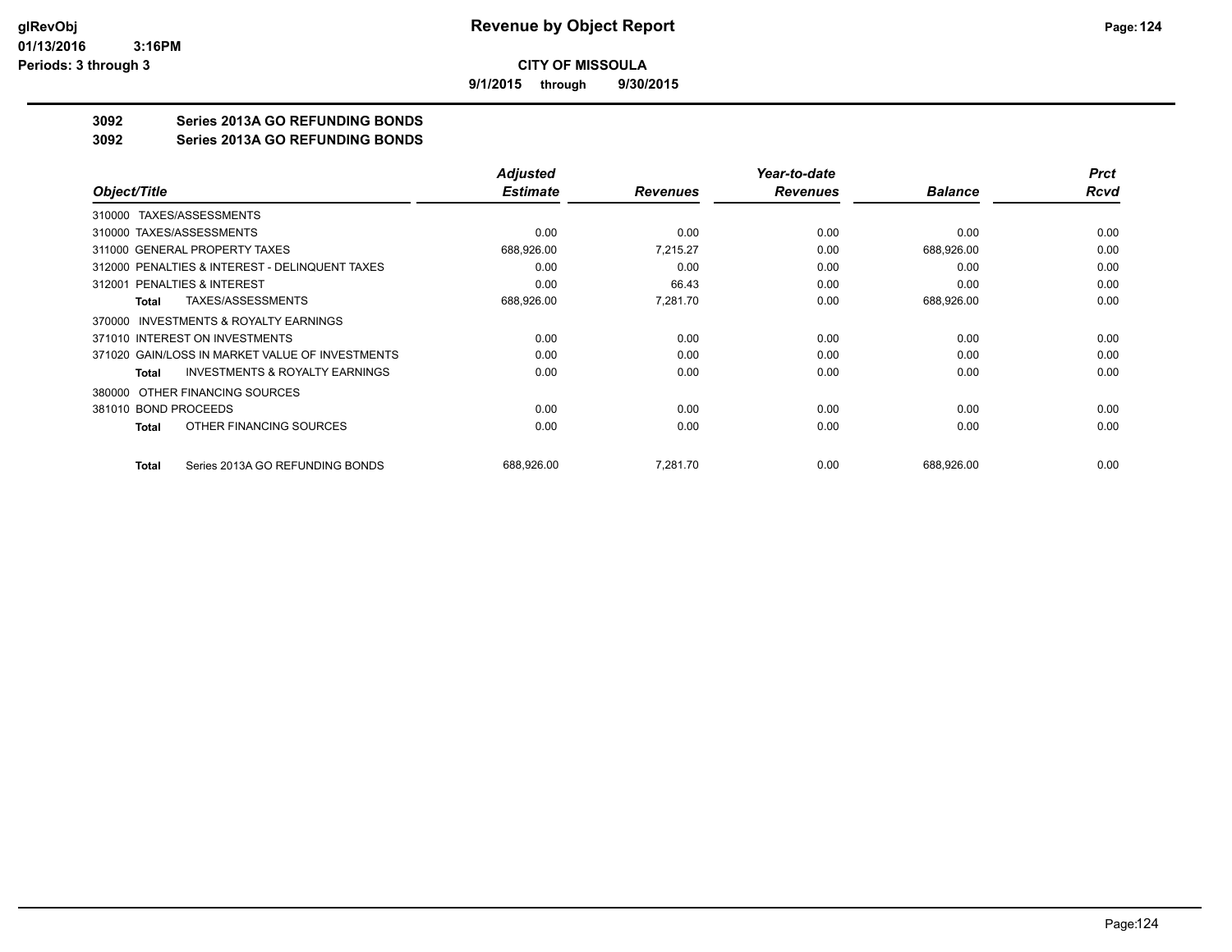**9/1/2015 through 9/30/2015**

# **3092 Series 2013A GO REFUNDING BONDS**

**3092 Series 2013A GO REFUNDING BONDS**

|                                                     | <b>Adjusted</b> |                 | Year-to-date    |                | <b>Prct</b> |
|-----------------------------------------------------|-----------------|-----------------|-----------------|----------------|-------------|
| Object/Title                                        | <b>Estimate</b> | <b>Revenues</b> | <b>Revenues</b> | <b>Balance</b> | Rcvd        |
| 310000 TAXES/ASSESSMENTS                            |                 |                 |                 |                |             |
| 310000 TAXES/ASSESSMENTS                            | 0.00            | 0.00            | 0.00            | 0.00           | 0.00        |
| 311000 GENERAL PROPERTY TAXES                       | 688,926.00      | 7.215.27        | 0.00            | 688,926.00     | 0.00        |
| 312000 PENALTIES & INTEREST - DELINQUENT TAXES      | 0.00            | 0.00            | 0.00            | 0.00           | 0.00        |
| 312001 PENALTIES & INTEREST                         | 0.00            | 66.43           | 0.00            | 0.00           | 0.00        |
| TAXES/ASSESSMENTS<br>Total                          | 688,926.00      | 7,281.70        | 0.00            | 688,926.00     | 0.00        |
| <b>INVESTMENTS &amp; ROYALTY EARNINGS</b><br>370000 |                 |                 |                 |                |             |
| 371010 INTEREST ON INVESTMENTS                      | 0.00            | 0.00            | 0.00            | 0.00           | 0.00        |
| 371020 GAIN/LOSS IN MARKET VALUE OF INVESTMENTS     | 0.00            | 0.00            | 0.00            | 0.00           | 0.00        |
| <b>INVESTMENTS &amp; ROYALTY EARNINGS</b><br>Total  | 0.00            | 0.00            | 0.00            | 0.00           | 0.00        |
| OTHER FINANCING SOURCES<br>380000                   |                 |                 |                 |                |             |
| 381010 BOND PROCEEDS                                | 0.00            | 0.00            | 0.00            | 0.00           | 0.00        |
| OTHER FINANCING SOURCES<br>Total                    | 0.00            | 0.00            | 0.00            | 0.00           | 0.00        |
| Series 2013A GO REFUNDING BONDS<br><b>Total</b>     | 688,926.00      | 7,281.70        | 0.00            | 688,926.00     | 0.00        |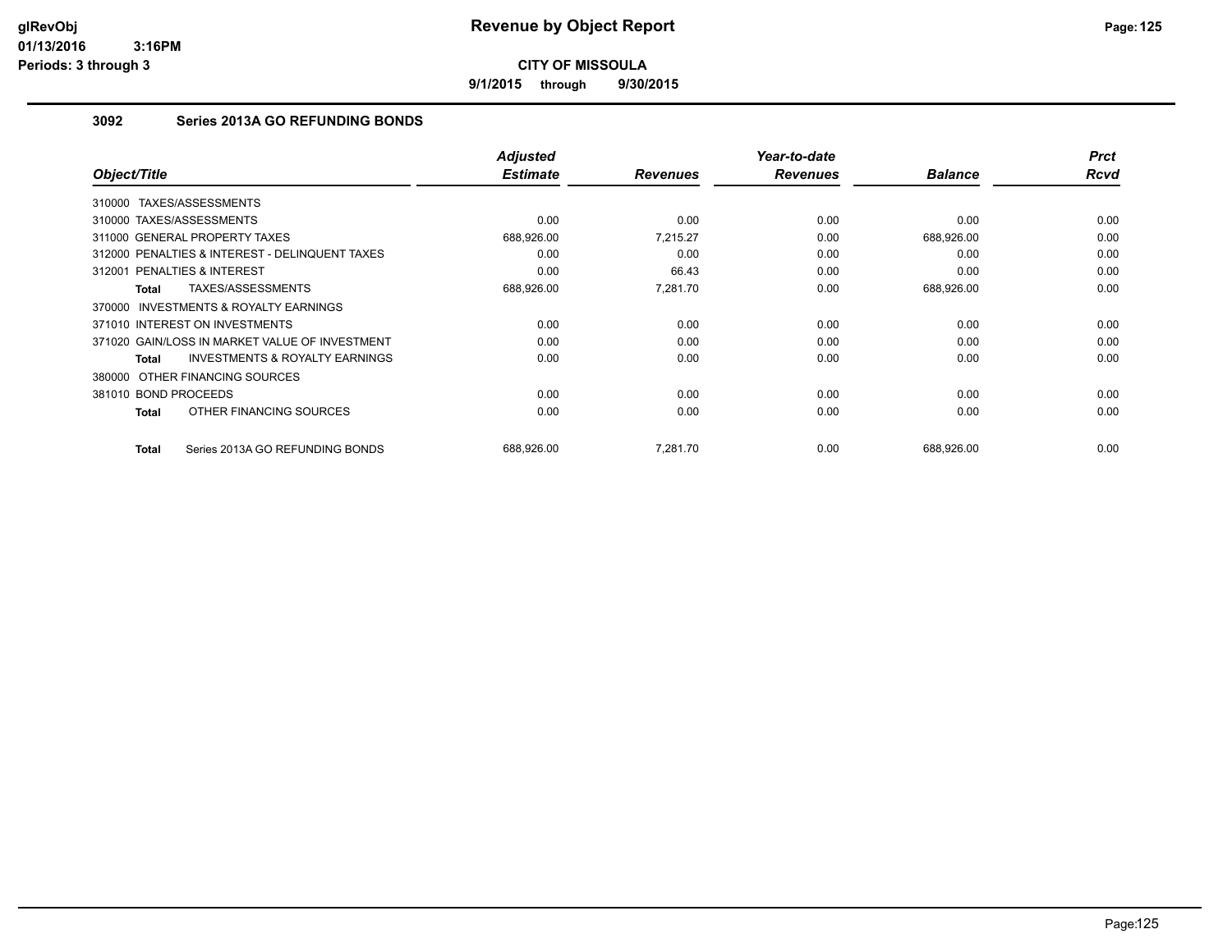**9/1/2015 through 9/30/2015**

# **3092 Series 2013A GO REFUNDING BONDS**

| Object/Title             |                                                | <b>Adjusted</b><br><b>Estimate</b> | <b>Revenues</b> | Year-to-date<br><b>Revenues</b> | <b>Balance</b> | <b>Prct</b><br><b>Rcvd</b> |
|--------------------------|------------------------------------------------|------------------------------------|-----------------|---------------------------------|----------------|----------------------------|
| 310000                   | TAXES/ASSESSMENTS                              |                                    |                 |                                 |                |                            |
| 310000 TAXES/ASSESSMENTS |                                                | 0.00                               | 0.00            | 0.00                            | 0.00           | 0.00                       |
|                          | 311000 GENERAL PROPERTY TAXES                  | 688,926.00                         | 7.215.27        | 0.00                            | 688,926.00     | 0.00                       |
|                          | 312000 PENALTIES & INTEREST - DELINQUENT TAXES | 0.00                               | 0.00            | 0.00                            | 0.00           | 0.00                       |
| 312001                   | <b>PENALTIES &amp; INTEREST</b>                | 0.00                               | 66.43           | 0.00                            | 0.00           | 0.00                       |
| Total                    | TAXES/ASSESSMENTS                              | 688,926.00                         | 7,281.70        | 0.00                            | 688,926.00     | 0.00                       |
| 370000                   | <b>INVESTMENTS &amp; ROYALTY EARNINGS</b>      |                                    |                 |                                 |                |                            |
|                          | 371010 INTEREST ON INVESTMENTS                 | 0.00                               | 0.00            | 0.00                            | 0.00           | 0.00                       |
|                          | 371020 GAIN/LOSS IN MARKET VALUE OF INVESTMENT | 0.00                               | 0.00            | 0.00                            | 0.00           | 0.00                       |
| <b>Total</b>             | <b>INVESTMENTS &amp; ROYALTY EARNINGS</b>      | 0.00                               | 0.00            | 0.00                            | 0.00           | 0.00                       |
|                          | 380000 OTHER FINANCING SOURCES                 |                                    |                 |                                 |                |                            |
| 381010 BOND PROCEEDS     |                                                | 0.00                               | 0.00            | 0.00                            | 0.00           | 0.00                       |
| Total                    | OTHER FINANCING SOURCES                        | 0.00                               | 0.00            | 0.00                            | 0.00           | 0.00                       |
| <b>Total</b>             | Series 2013A GO REFUNDING BONDS                | 688,926.00                         | 7,281.70        | 0.00                            | 688,926.00     | 0.00                       |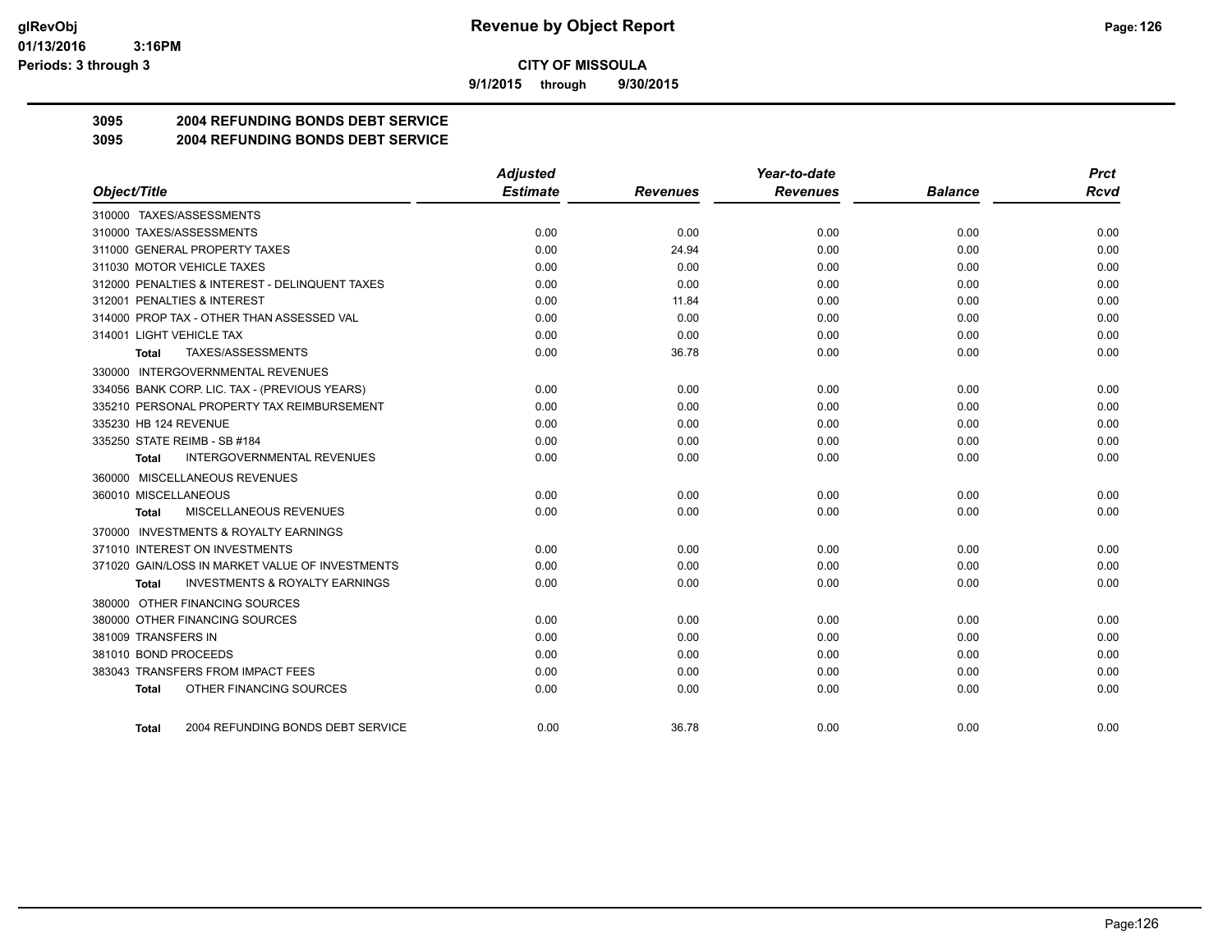**9/1/2015 through 9/30/2015**

# **3095 2004 REFUNDING BONDS DEBT SERVICE**

#### **3095 2004 REFUNDING BONDS DEBT SERVICE**

|                                                    | <b>Adjusted</b> |                 | Year-to-date    |                | <b>Prct</b> |
|----------------------------------------------------|-----------------|-----------------|-----------------|----------------|-------------|
| Object/Title                                       | <b>Estimate</b> | <b>Revenues</b> | <b>Revenues</b> | <b>Balance</b> | <b>Rcvd</b> |
| 310000 TAXES/ASSESSMENTS                           |                 |                 |                 |                |             |
| 310000 TAXES/ASSESSMENTS                           | 0.00            | 0.00            | 0.00            | 0.00           | 0.00        |
| 311000 GENERAL PROPERTY TAXES                      | 0.00            | 24.94           | 0.00            | 0.00           | 0.00        |
| 311030 MOTOR VEHICLE TAXES                         | 0.00            | 0.00            | 0.00            | 0.00           | 0.00        |
| 312000 PENALTIES & INTEREST - DELINQUENT TAXES     | 0.00            | 0.00            | 0.00            | 0.00           | 0.00        |
| 312001 PENALTIES & INTEREST                        | 0.00            | 11.84           | 0.00            | 0.00           | 0.00        |
| 314000 PROP TAX - OTHER THAN ASSESSED VAL          | 0.00            | 0.00            | 0.00            | 0.00           | 0.00        |
| 314001 LIGHT VEHICLE TAX                           | 0.00            | 0.00            | 0.00            | 0.00           | 0.00        |
| TAXES/ASSESSMENTS<br>Total                         | 0.00            | 36.78           | 0.00            | 0.00           | 0.00        |
| 330000 INTERGOVERNMENTAL REVENUES                  |                 |                 |                 |                |             |
| 334056 BANK CORP. LIC. TAX - (PREVIOUS YEARS)      | 0.00            | 0.00            | 0.00            | 0.00           | 0.00        |
| 335210 PERSONAL PROPERTY TAX REIMBURSEMENT         | 0.00            | 0.00            | 0.00            | 0.00           | 0.00        |
| 335230 HB 124 REVENUE                              | 0.00            | 0.00            | 0.00            | 0.00           | 0.00        |
| 335250 STATE REIMB - SB #184                       | 0.00            | 0.00            | 0.00            | 0.00           | 0.00        |
| <b>INTERGOVERNMENTAL REVENUES</b><br>Total         | 0.00            | 0.00            | 0.00            | 0.00           | 0.00        |
| 360000 MISCELLANEOUS REVENUES                      |                 |                 |                 |                |             |
| 360010 MISCELLANEOUS                               | 0.00            | 0.00            | 0.00            | 0.00           | 0.00        |
| MISCELLANEOUS REVENUES<br>Total                    | 0.00            | 0.00            | 0.00            | 0.00           | 0.00        |
| 370000 INVESTMENTS & ROYALTY EARNINGS              |                 |                 |                 |                |             |
| 371010 INTEREST ON INVESTMENTS                     | 0.00            | 0.00            | 0.00            | 0.00           | 0.00        |
| 371020 GAIN/LOSS IN MARKET VALUE OF INVESTMENTS    | 0.00            | 0.00            | 0.00            | 0.00           | 0.00        |
| <b>INVESTMENTS &amp; ROYALTY EARNINGS</b><br>Total | 0.00            | 0.00            | 0.00            | 0.00           | 0.00        |
| 380000 OTHER FINANCING SOURCES                     |                 |                 |                 |                |             |
| 380000 OTHER FINANCING SOURCES                     | 0.00            | 0.00            | 0.00            | 0.00           | 0.00        |
| 381009 TRANSFERS IN                                | 0.00            | 0.00            | 0.00            | 0.00           | 0.00        |
| 381010 BOND PROCEEDS                               | 0.00            | 0.00            | 0.00            | 0.00           | 0.00        |
| 383043 TRANSFERS FROM IMPACT FEES                  | 0.00            | 0.00            | 0.00            | 0.00           | 0.00        |
| OTHER FINANCING SOURCES<br><b>Total</b>            | 0.00            | 0.00            | 0.00            | 0.00           | 0.00        |
| 2004 REFUNDING BONDS DEBT SERVICE<br><b>Total</b>  | 0.00            | 36.78           | 0.00            | 0.00           | 0.00        |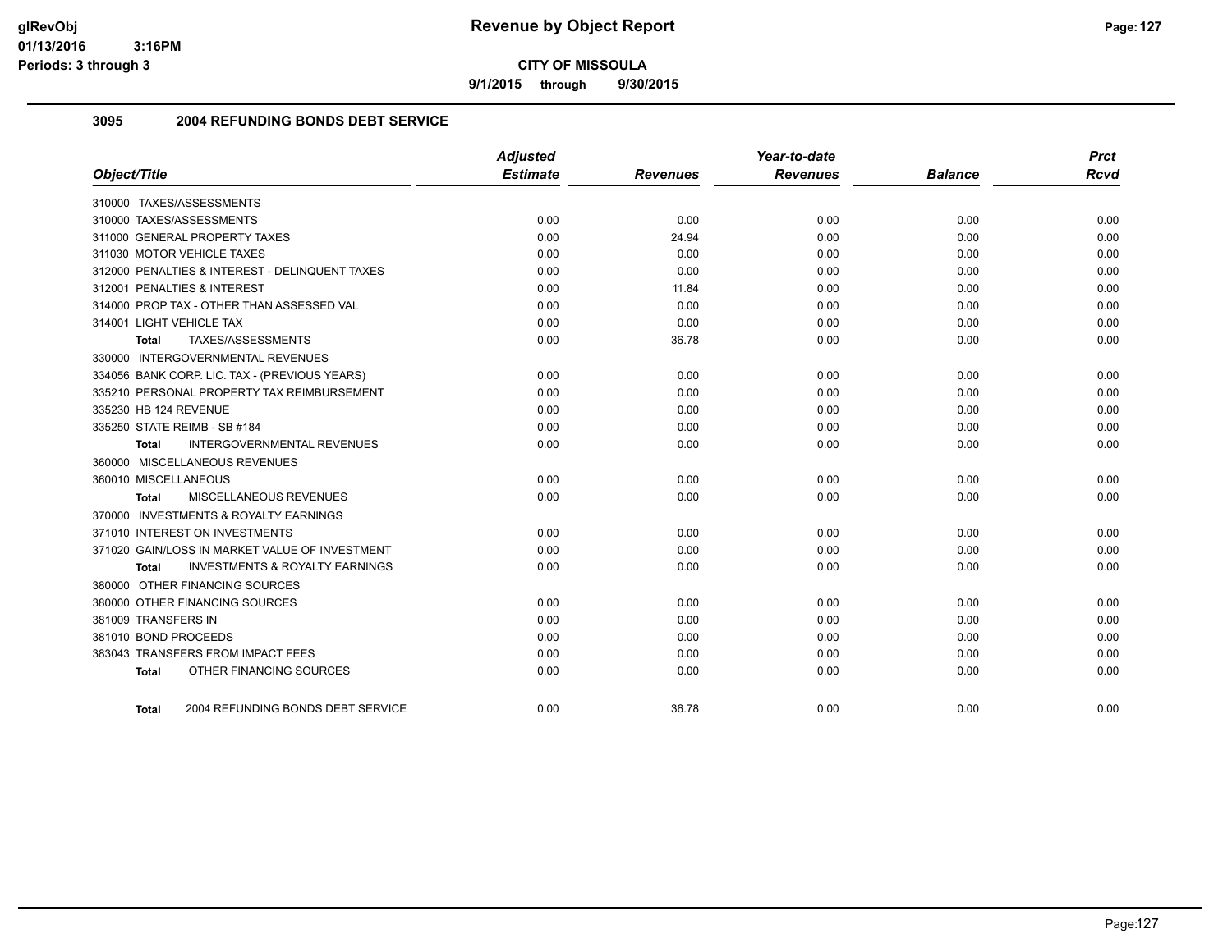**9/1/2015 through 9/30/2015**

## **3095 2004 REFUNDING BONDS DEBT SERVICE**

|                                                    | <b>Adjusted</b> |                 | Year-to-date    |                | <b>Prct</b> |
|----------------------------------------------------|-----------------|-----------------|-----------------|----------------|-------------|
| Object/Title                                       | <b>Estimate</b> | <b>Revenues</b> | <b>Revenues</b> | <b>Balance</b> | <b>Rcvd</b> |
| 310000 TAXES/ASSESSMENTS                           |                 |                 |                 |                |             |
| 310000 TAXES/ASSESSMENTS                           | 0.00            | 0.00            | 0.00            | 0.00           | 0.00        |
| 311000 GENERAL PROPERTY TAXES                      | 0.00            | 24.94           | 0.00            | 0.00           | 0.00        |
| 311030 MOTOR VEHICLE TAXES                         | 0.00            | 0.00            | 0.00            | 0.00           | 0.00        |
| 312000 PENALTIES & INTEREST - DELINQUENT TAXES     | 0.00            | 0.00            | 0.00            | 0.00           | 0.00        |
| 312001 PENALTIES & INTEREST                        | 0.00            | 11.84           | 0.00            | 0.00           | 0.00        |
| 314000 PROP TAX - OTHER THAN ASSESSED VAL          | 0.00            | 0.00            | 0.00            | 0.00           | 0.00        |
| 314001 LIGHT VEHICLE TAX                           | 0.00            | 0.00            | 0.00            | 0.00           | 0.00        |
| TAXES/ASSESSMENTS<br>Total                         | 0.00            | 36.78           | 0.00            | 0.00           | 0.00        |
| 330000 INTERGOVERNMENTAL REVENUES                  |                 |                 |                 |                |             |
| 334056 BANK CORP. LIC. TAX - (PREVIOUS YEARS)      | 0.00            | 0.00            | 0.00            | 0.00           | 0.00        |
| 335210 PERSONAL PROPERTY TAX REIMBURSEMENT         | 0.00            | 0.00            | 0.00            | 0.00           | 0.00        |
| 335230 HB 124 REVENUE                              | 0.00            | 0.00            | 0.00            | 0.00           | 0.00        |
| 335250 STATE REIMB - SB #184                       | 0.00            | 0.00            | 0.00            | 0.00           | 0.00        |
| <b>INTERGOVERNMENTAL REVENUES</b><br>Total         | 0.00            | 0.00            | 0.00            | 0.00           | 0.00        |
| 360000 MISCELLANEOUS REVENUES                      |                 |                 |                 |                |             |
| 360010 MISCELLANEOUS                               | 0.00            | 0.00            | 0.00            | 0.00           | 0.00        |
| MISCELLANEOUS REVENUES<br>Total                    | 0.00            | 0.00            | 0.00            | 0.00           | 0.00        |
| 370000 INVESTMENTS & ROYALTY EARNINGS              |                 |                 |                 |                |             |
| 371010 INTEREST ON INVESTMENTS                     | 0.00            | 0.00            | 0.00            | 0.00           | 0.00        |
| 371020 GAIN/LOSS IN MARKET VALUE OF INVESTMENT     | 0.00            | 0.00            | 0.00            | 0.00           | 0.00        |
| <b>INVESTMENTS &amp; ROYALTY EARNINGS</b><br>Total | 0.00            | 0.00            | 0.00            | 0.00           | 0.00        |
| 380000 OTHER FINANCING SOURCES                     |                 |                 |                 |                |             |
| 380000 OTHER FINANCING SOURCES                     | 0.00            | 0.00            | 0.00            | 0.00           | 0.00        |
| 381009 TRANSFERS IN                                | 0.00            | 0.00            | 0.00            | 0.00           | 0.00        |
| 381010 BOND PROCEEDS                               | 0.00            | 0.00            | 0.00            | 0.00           | 0.00        |
| 383043 TRANSFERS FROM IMPACT FEES                  | 0.00            | 0.00            | 0.00            | 0.00           | 0.00        |
| OTHER FINANCING SOURCES<br><b>Total</b>            | 0.00            | 0.00            | 0.00            | 0.00           | 0.00        |
| 2004 REFUNDING BONDS DEBT SERVICE<br>Total         | 0.00            | 36.78           | 0.00            | 0.00           | 0.00        |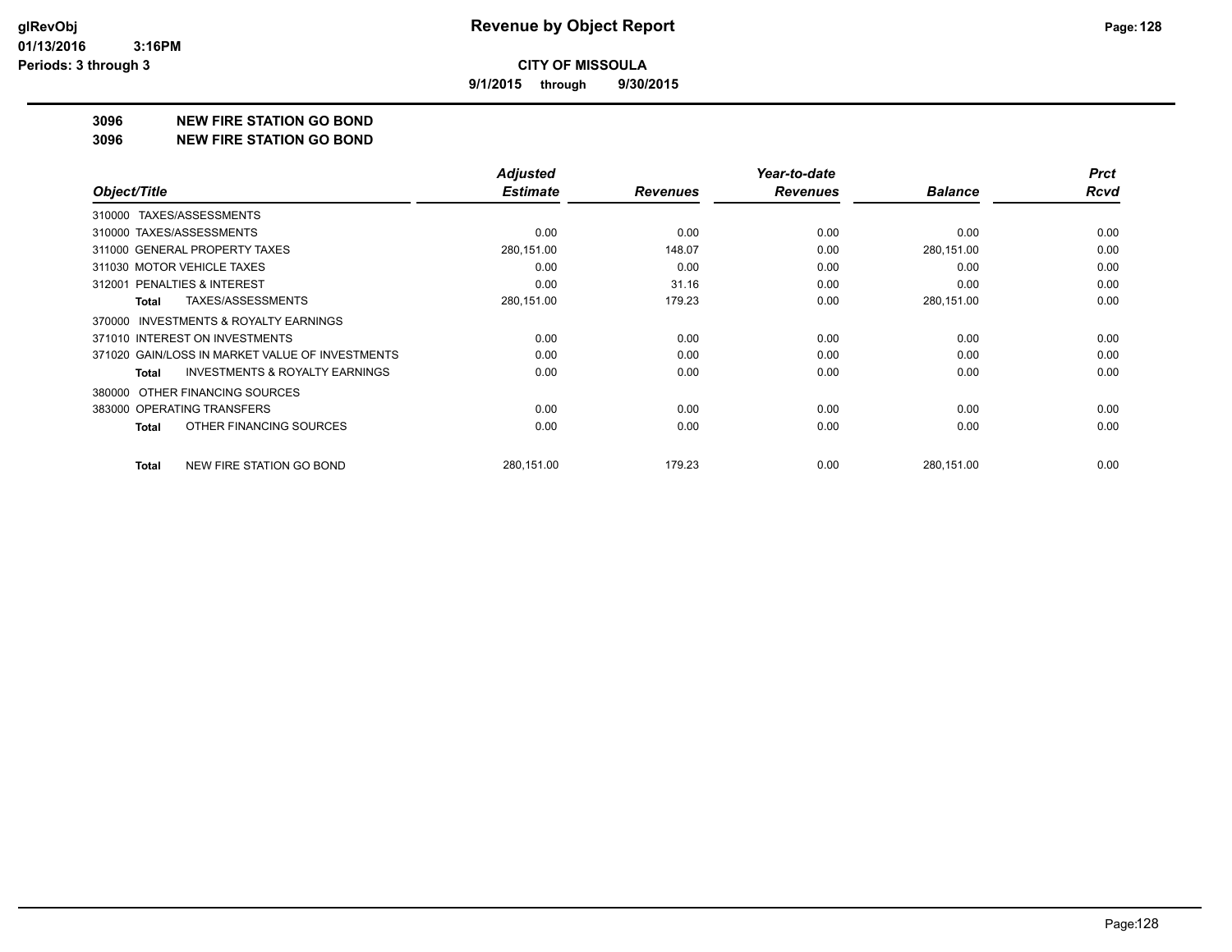**9/1/2015 through 9/30/2015**

#### **3096 NEW FIRE STATION GO BOND**

#### **3096 NEW FIRE STATION GO BOND**

|                                                     | <b>Adjusted</b> |                 | Year-to-date    |                | <b>Prct</b> |
|-----------------------------------------------------|-----------------|-----------------|-----------------|----------------|-------------|
| Object/Title                                        | <b>Estimate</b> | <b>Revenues</b> | <b>Revenues</b> | <b>Balance</b> | <b>Rcvd</b> |
| TAXES/ASSESSMENTS<br>310000                         |                 |                 |                 |                |             |
| 310000 TAXES/ASSESSMENTS                            | 0.00            | 0.00            | 0.00            | 0.00           | 0.00        |
| 311000 GENERAL PROPERTY TAXES                       | 280,151.00      | 148.07          | 0.00            | 280,151.00     | 0.00        |
| 311030 MOTOR VEHICLE TAXES                          | 0.00            | 0.00            | 0.00            | 0.00           | 0.00        |
| 312001 PENALTIES & INTEREST                         | 0.00            | 31.16           | 0.00            | 0.00           | 0.00        |
| <b>TAXES/ASSESSMENTS</b><br>Total                   | 280,151.00      | 179.23          | 0.00            | 280,151.00     | 0.00        |
| <b>INVESTMENTS &amp; ROYALTY EARNINGS</b><br>370000 |                 |                 |                 |                |             |
| 371010 INTEREST ON INVESTMENTS                      | 0.00            | 0.00            | 0.00            | 0.00           | 0.00        |
| 371020 GAIN/LOSS IN MARKET VALUE OF INVESTMENTS     | 0.00            | 0.00            | 0.00            | 0.00           | 0.00        |
| <b>INVESTMENTS &amp; ROYALTY EARNINGS</b><br>Total  | 0.00            | 0.00            | 0.00            | 0.00           | 0.00        |
| OTHER FINANCING SOURCES<br>380000                   |                 |                 |                 |                |             |
| 383000 OPERATING TRANSFERS                          | 0.00            | 0.00            | 0.00            | 0.00           | 0.00        |
| OTHER FINANCING SOURCES<br>Total                    | 0.00            | 0.00            | 0.00            | 0.00           | 0.00        |
| NEW FIRE STATION GO BOND<br>Total                   | 280,151.00      | 179.23          | 0.00            | 280,151.00     | 0.00        |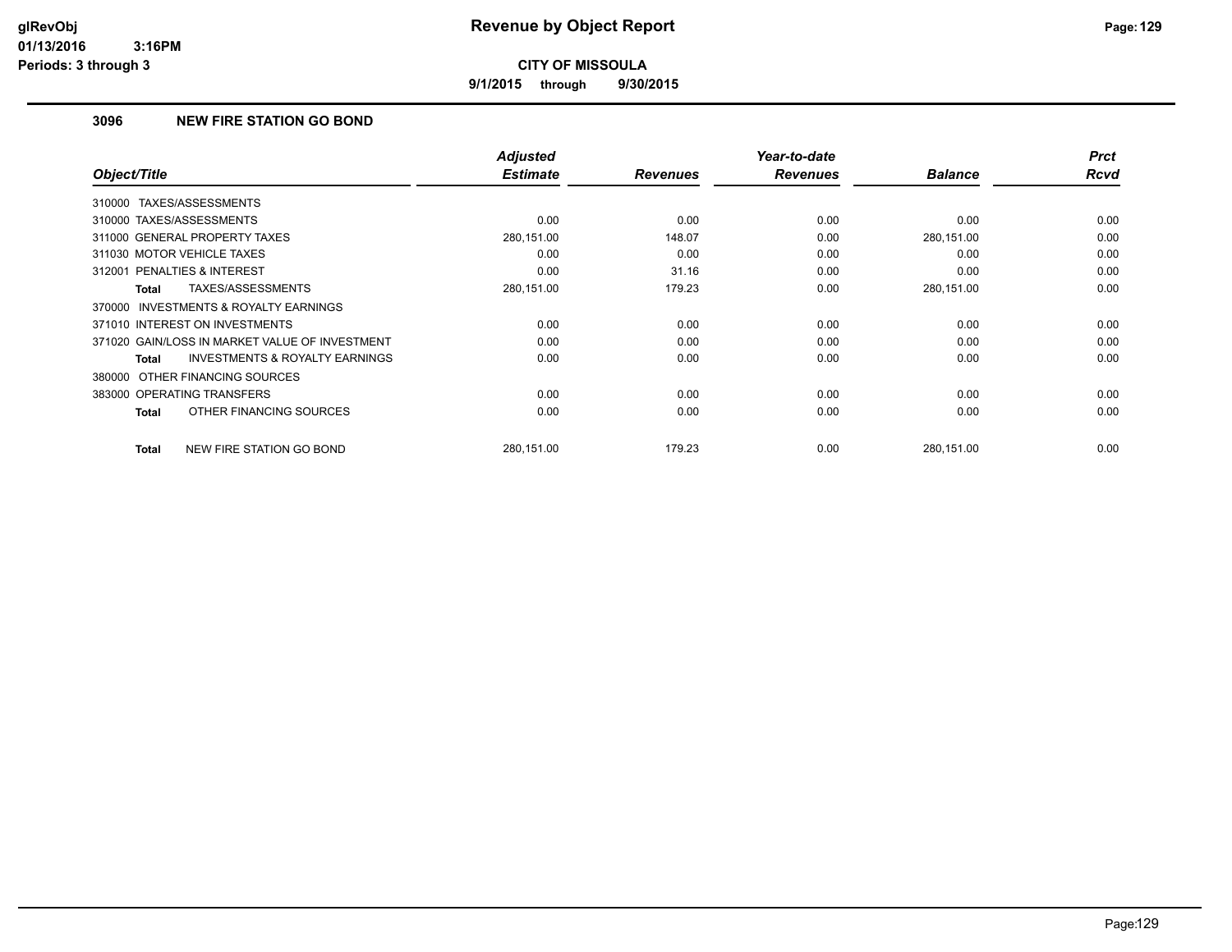**9/1/2015 through 9/30/2015**

# **3096 NEW FIRE STATION GO BOND**

|                                                    | <b>Adjusted</b> |                 | Year-to-date    |                | <b>Prct</b> |
|----------------------------------------------------|-----------------|-----------------|-----------------|----------------|-------------|
| Object/Title                                       | <b>Estimate</b> | <b>Revenues</b> | <b>Revenues</b> | <b>Balance</b> | <b>Rcvd</b> |
| 310000 TAXES/ASSESSMENTS                           |                 |                 |                 |                |             |
| 310000 TAXES/ASSESSMENTS                           | 0.00            | 0.00            | 0.00            | 0.00           | 0.00        |
| 311000 GENERAL PROPERTY TAXES                      | 280,151.00      | 148.07          | 0.00            | 280,151.00     | 0.00        |
| 311030 MOTOR VEHICLE TAXES                         | 0.00            | 0.00            | 0.00            | 0.00           | 0.00        |
| 312001 PENALTIES & INTEREST                        | 0.00            | 31.16           | 0.00            | 0.00           | 0.00        |
| TAXES/ASSESSMENTS<br>Total                         | 280,151.00      | 179.23          | 0.00            | 280,151.00     | 0.00        |
| 370000 INVESTMENTS & ROYALTY EARNINGS              |                 |                 |                 |                |             |
| 371010 INTEREST ON INVESTMENTS                     | 0.00            | 0.00            | 0.00            | 0.00           | 0.00        |
| 371020 GAIN/LOSS IN MARKET VALUE OF INVESTMENT     | 0.00            | 0.00            | 0.00            | 0.00           | 0.00        |
| <b>INVESTMENTS &amp; ROYALTY EARNINGS</b><br>Total | 0.00            | 0.00            | 0.00            | 0.00           | 0.00        |
| 380000 OTHER FINANCING SOURCES                     |                 |                 |                 |                |             |
| 383000 OPERATING TRANSFERS                         | 0.00            | 0.00            | 0.00            | 0.00           | 0.00        |
| OTHER FINANCING SOURCES<br>Total                   | 0.00            | 0.00            | 0.00            | 0.00           | 0.00        |
| NEW FIRE STATION GO BOND<br>Total                  | 280,151.00      | 179.23          | 0.00            | 280,151.00     | 0.00        |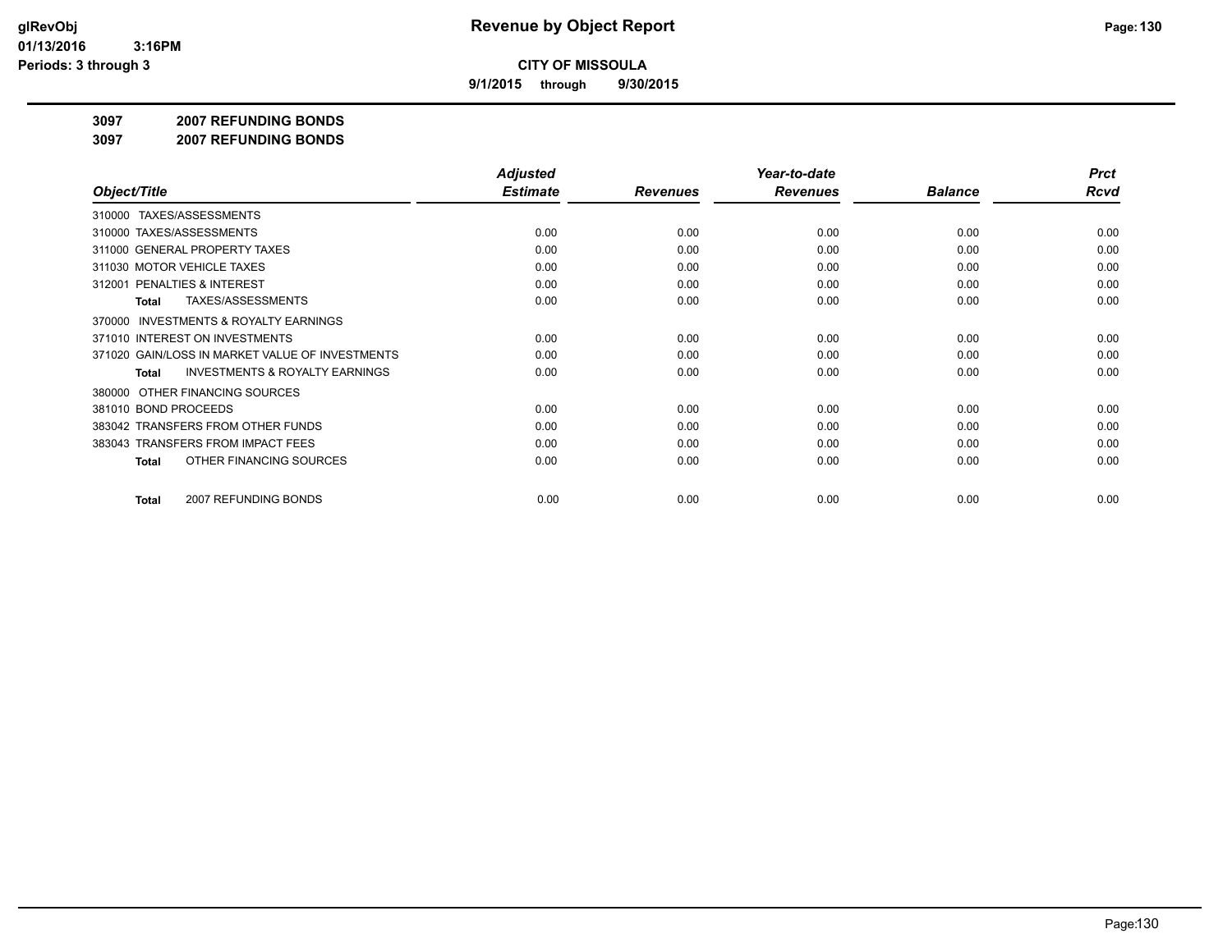**9/1/2015 through 9/30/2015**

#### **3097 2007 REFUNDING BONDS**

**3097 2007 REFUNDING BONDS**

|                                                           | <b>Adjusted</b> |                 | Year-to-date    |                | <b>Prct</b> |
|-----------------------------------------------------------|-----------------|-----------------|-----------------|----------------|-------------|
| Object/Title                                              | <b>Estimate</b> | <b>Revenues</b> | <b>Revenues</b> | <b>Balance</b> | <b>Rcvd</b> |
| 310000 TAXES/ASSESSMENTS                                  |                 |                 |                 |                |             |
| 310000 TAXES/ASSESSMENTS                                  | 0.00            | 0.00            | 0.00            | 0.00           | 0.00        |
| 311000 GENERAL PROPERTY TAXES                             | 0.00            | 0.00            | 0.00            | 0.00           | 0.00        |
| 311030 MOTOR VEHICLE TAXES                                | 0.00            | 0.00            | 0.00            | 0.00           | 0.00        |
| 312001 PENALTIES & INTEREST                               | 0.00            | 0.00            | 0.00            | 0.00           | 0.00        |
| <b>TAXES/ASSESSMENTS</b><br>Total                         | 0.00            | 0.00            | 0.00            | 0.00           | 0.00        |
| <b>INVESTMENTS &amp; ROYALTY EARNINGS</b><br>370000       |                 |                 |                 |                |             |
| 371010 INTEREST ON INVESTMENTS                            | 0.00            | 0.00            | 0.00            | 0.00           | 0.00        |
| 371020 GAIN/LOSS IN MARKET VALUE OF INVESTMENTS           | 0.00            | 0.00            | 0.00            | 0.00           | 0.00        |
| <b>INVESTMENTS &amp; ROYALTY EARNINGS</b><br><b>Total</b> | 0.00            | 0.00            | 0.00            | 0.00           | 0.00        |
| OTHER FINANCING SOURCES<br>380000                         |                 |                 |                 |                |             |
| 381010 BOND PROCEEDS                                      | 0.00            | 0.00            | 0.00            | 0.00           | 0.00        |
| 383042 TRANSFERS FROM OTHER FUNDS                         | 0.00            | 0.00            | 0.00            | 0.00           | 0.00        |
| 383043 TRANSFERS FROM IMPACT FEES                         | 0.00            | 0.00            | 0.00            | 0.00           | 0.00        |
| OTHER FINANCING SOURCES<br>Total                          | 0.00            | 0.00            | 0.00            | 0.00           | 0.00        |
|                                                           |                 |                 |                 |                | 0.00        |
| 2007 REFUNDING BONDS<br>Total                             | 0.00            | 0.00            | 0.00            | 0.00           |             |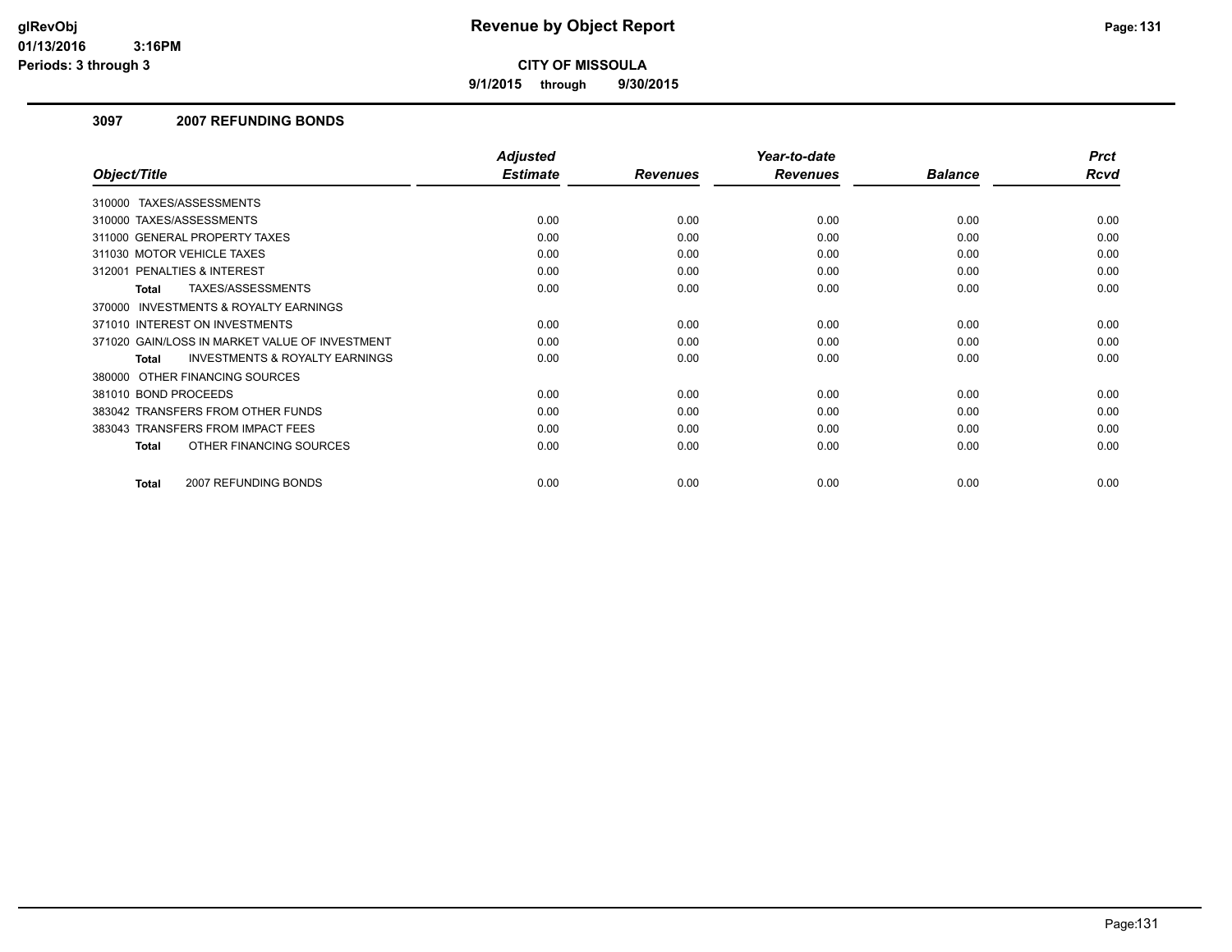**9/1/2015 through 9/30/2015**

### **3097 2007 REFUNDING BONDS**

|                                                     | <b>Adjusted</b> |                 | Year-to-date    |                | <b>Prct</b> |
|-----------------------------------------------------|-----------------|-----------------|-----------------|----------------|-------------|
| Object/Title                                        | <b>Estimate</b> | <b>Revenues</b> | <b>Revenues</b> | <b>Balance</b> | Rcvd        |
| TAXES/ASSESSMENTS<br>310000                         |                 |                 |                 |                |             |
| 310000 TAXES/ASSESSMENTS                            | 0.00            | 0.00            | 0.00            | 0.00           | 0.00        |
| 311000 GENERAL PROPERTY TAXES                       | 0.00            | 0.00            | 0.00            | 0.00           | 0.00        |
| 311030 MOTOR VEHICLE TAXES                          | 0.00            | 0.00            | 0.00            | 0.00           | 0.00        |
| 312001 PENALTIES & INTEREST                         | 0.00            | 0.00            | 0.00            | 0.00           | 0.00        |
| TAXES/ASSESSMENTS<br>Total                          | 0.00            | 0.00            | 0.00            | 0.00           | 0.00        |
| <b>INVESTMENTS &amp; ROYALTY EARNINGS</b><br>370000 |                 |                 |                 |                |             |
| 371010 INTEREST ON INVESTMENTS                      | 0.00            | 0.00            | 0.00            | 0.00           | 0.00        |
| 371020 GAIN/LOSS IN MARKET VALUE OF INVESTMENT      | 0.00            | 0.00            | 0.00            | 0.00           | 0.00        |
| <b>INVESTMENTS &amp; ROYALTY EARNINGS</b><br>Total  | 0.00            | 0.00            | 0.00            | 0.00           | 0.00        |
| 380000 OTHER FINANCING SOURCES                      |                 |                 |                 |                |             |
| 381010 BOND PROCEEDS                                | 0.00            | 0.00            | 0.00            | 0.00           | 0.00        |
| 383042 TRANSFERS FROM OTHER FUNDS                   | 0.00            | 0.00            | 0.00            | 0.00           | 0.00        |
| 383043 TRANSFERS FROM IMPACT FEES                   | 0.00            | 0.00            | 0.00            | 0.00           | 0.00        |
| OTHER FINANCING SOURCES<br>Total                    | 0.00            | 0.00            | 0.00            | 0.00           | 0.00        |
|                                                     |                 |                 |                 |                |             |
| 2007 REFUNDING BONDS<br>Total                       | 0.00            | 0.00            | 0.00            | 0.00           | 0.00        |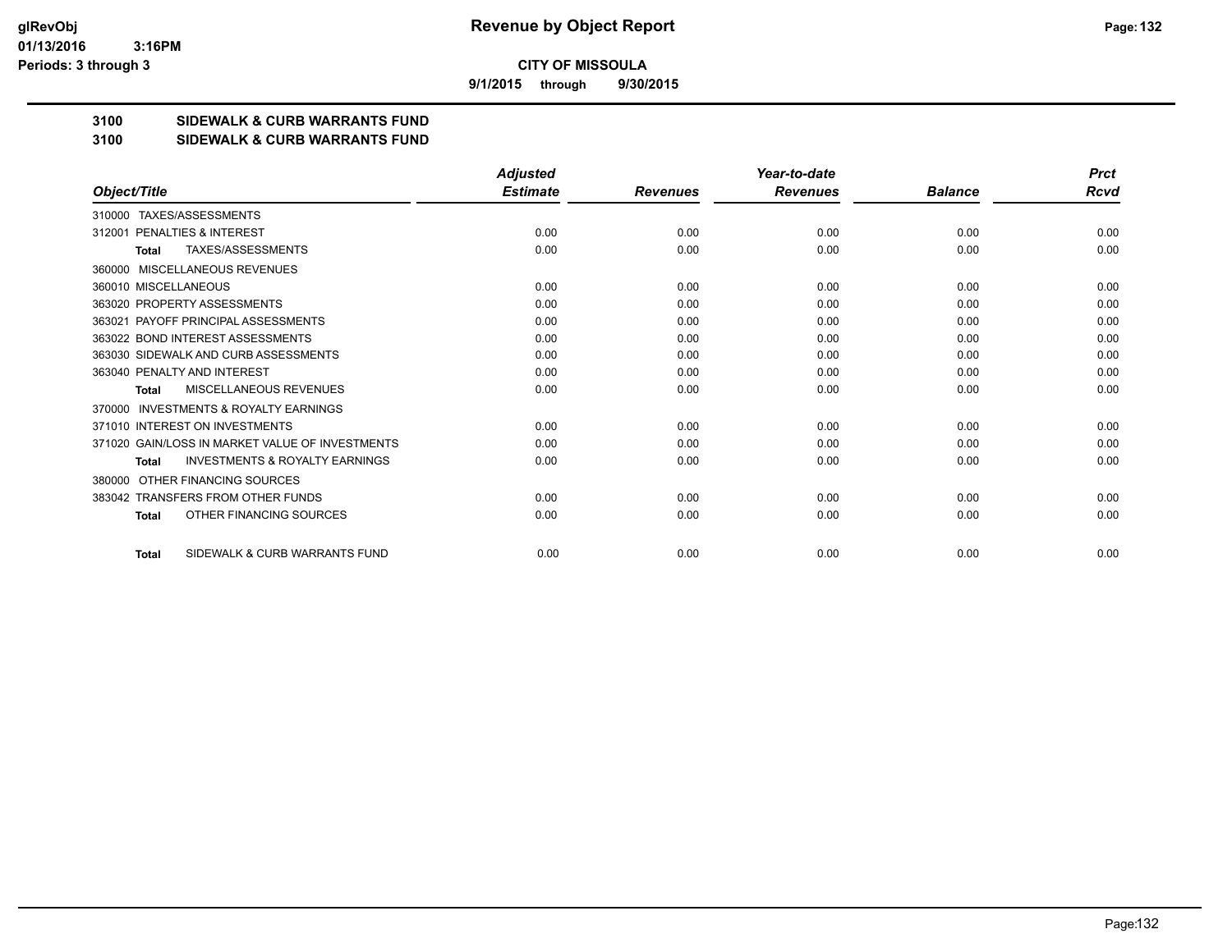**9/1/2015 through 9/30/2015**

# **3100 SIDEWALK & CURB WARRANTS FUND**

#### **3100 SIDEWALK & CURB WARRANTS FUND**

|                                                           | <b>Adjusted</b> |                 | Year-to-date    |                | <b>Prct</b> |
|-----------------------------------------------------------|-----------------|-----------------|-----------------|----------------|-------------|
| Object/Title                                              | <b>Estimate</b> | <b>Revenues</b> | <b>Revenues</b> | <b>Balance</b> | Rcvd        |
| TAXES/ASSESSMENTS<br>310000                               |                 |                 |                 |                |             |
| PENALTIES & INTEREST<br>312001                            | 0.00            | 0.00            | 0.00            | 0.00           | 0.00        |
| TAXES/ASSESSMENTS<br><b>Total</b>                         | 0.00            | 0.00            | 0.00            | 0.00           | 0.00        |
| MISCELLANEOUS REVENUES<br>360000                          |                 |                 |                 |                |             |
| 360010 MISCELLANEOUS                                      | 0.00            | 0.00            | 0.00            | 0.00           | 0.00        |
| 363020 PROPERTY ASSESSMENTS                               | 0.00            | 0.00            | 0.00            | 0.00           | 0.00        |
| 363021 PAYOFF PRINCIPAL ASSESSMENTS                       | 0.00            | 0.00            | 0.00            | 0.00           | 0.00        |
| 363022 BOND INTEREST ASSESSMENTS                          | 0.00            | 0.00            | 0.00            | 0.00           | 0.00        |
| 363030 SIDEWALK AND CURB ASSESSMENTS                      | 0.00            | 0.00            | 0.00            | 0.00           | 0.00        |
| 363040 PENALTY AND INTEREST                               | 0.00            | 0.00            | 0.00            | 0.00           | 0.00        |
| MISCELLANEOUS REVENUES<br><b>Total</b>                    | 0.00            | 0.00            | 0.00            | 0.00           | 0.00        |
| <b>INVESTMENTS &amp; ROYALTY EARNINGS</b><br>370000       |                 |                 |                 |                |             |
| 371010 INTEREST ON INVESTMENTS                            | 0.00            | 0.00            | 0.00            | 0.00           | 0.00        |
| 371020 GAIN/LOSS IN MARKET VALUE OF INVESTMENTS           | 0.00            | 0.00            | 0.00            | 0.00           | 0.00        |
| <b>INVESTMENTS &amp; ROYALTY EARNINGS</b><br><b>Total</b> | 0.00            | 0.00            | 0.00            | 0.00           | 0.00        |
| OTHER FINANCING SOURCES<br>380000                         |                 |                 |                 |                |             |
| 383042 TRANSFERS FROM OTHER FUNDS                         | 0.00            | 0.00            | 0.00            | 0.00           | 0.00        |
| OTHER FINANCING SOURCES<br><b>Total</b>                   | 0.00            | 0.00            | 0.00            | 0.00           | 0.00        |
| SIDEWALK & CURB WARRANTS FUND<br><b>Total</b>             | 0.00            | 0.00            | 0.00            | 0.00           | 0.00        |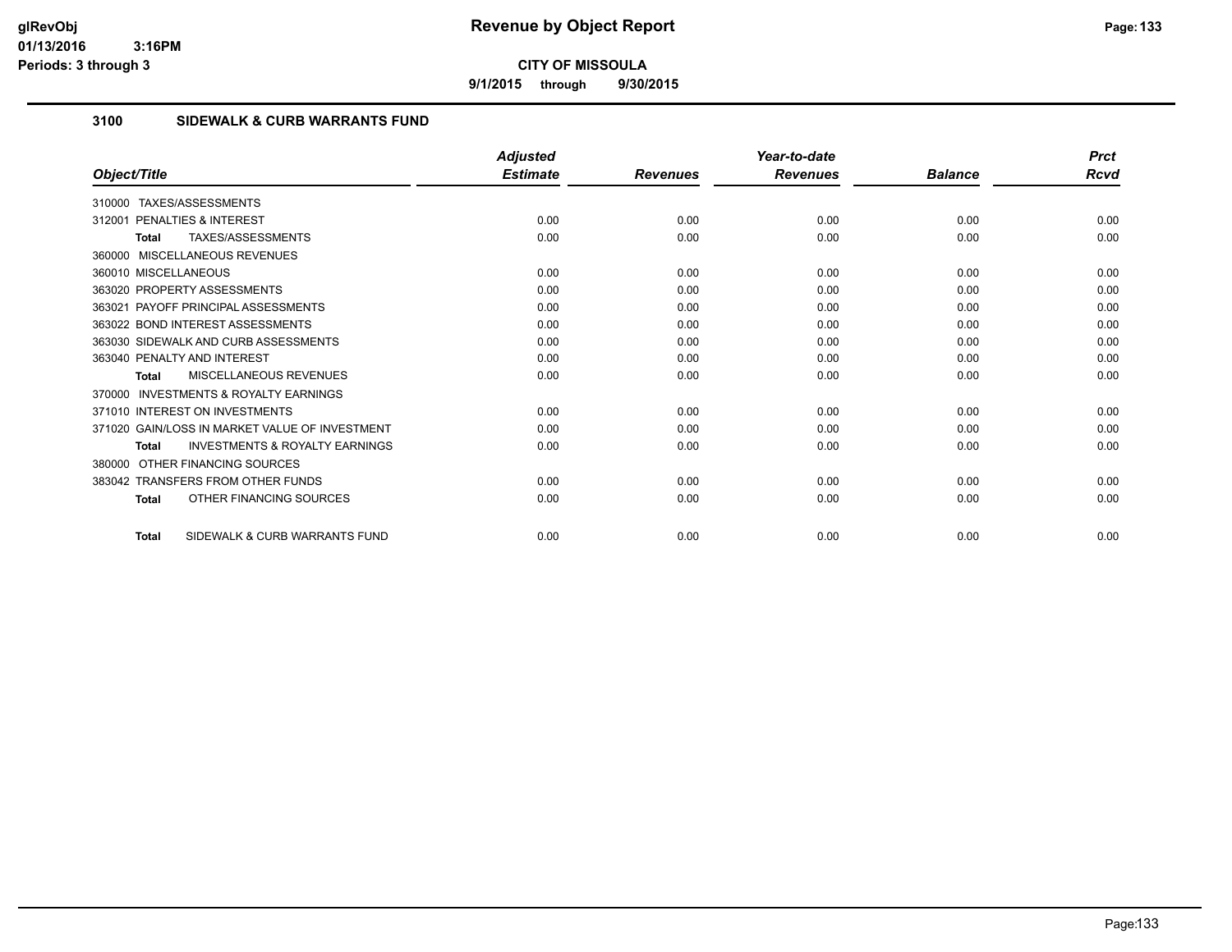**9/1/2015 through 9/30/2015**

# **3100 SIDEWALK & CURB WARRANTS FUND**

|                                                           | <b>Adjusted</b> |                 | Year-to-date    |                | <b>Prct</b> |
|-----------------------------------------------------------|-----------------|-----------------|-----------------|----------------|-------------|
| Object/Title                                              | <b>Estimate</b> | <b>Revenues</b> | <b>Revenues</b> | <b>Balance</b> | Rcvd        |
| TAXES/ASSESSMENTS<br>310000                               |                 |                 |                 |                |             |
| <b>PENALTIES &amp; INTEREST</b><br>312001                 | 0.00            | 0.00            | 0.00            | 0.00           | 0.00        |
| TAXES/ASSESSMENTS<br>Total                                | 0.00            | 0.00            | 0.00            | 0.00           | 0.00        |
| 360000 MISCELLANEOUS REVENUES                             |                 |                 |                 |                |             |
| 360010 MISCELLANEOUS                                      | 0.00            | 0.00            | 0.00            | 0.00           | 0.00        |
| 363020 PROPERTY ASSESSMENTS                               | 0.00            | 0.00            | 0.00            | 0.00           | 0.00        |
| 363021 PAYOFF PRINCIPAL ASSESSMENTS                       | 0.00            | 0.00            | 0.00            | 0.00           | 0.00        |
| 363022 BOND INTEREST ASSESSMENTS                          | 0.00            | 0.00            | 0.00            | 0.00           | 0.00        |
| 363030 SIDEWALK AND CURB ASSESSMENTS                      | 0.00            | 0.00            | 0.00            | 0.00           | 0.00        |
| 363040 PENALTY AND INTEREST                               | 0.00            | 0.00            | 0.00            | 0.00           | 0.00        |
| MISCELLANEOUS REVENUES<br><b>Total</b>                    | 0.00            | 0.00            | 0.00            | 0.00           | 0.00        |
| <b>INVESTMENTS &amp; ROYALTY EARNINGS</b><br>370000       |                 |                 |                 |                |             |
| 371010 INTEREST ON INVESTMENTS                            | 0.00            | 0.00            | 0.00            | 0.00           | 0.00        |
| 371020 GAIN/LOSS IN MARKET VALUE OF INVESTMENT            | 0.00            | 0.00            | 0.00            | 0.00           | 0.00        |
| <b>INVESTMENTS &amp; ROYALTY EARNINGS</b><br><b>Total</b> | 0.00            | 0.00            | 0.00            | 0.00           | 0.00        |
| OTHER FINANCING SOURCES<br>380000                         |                 |                 |                 |                |             |
| 383042 TRANSFERS FROM OTHER FUNDS                         | 0.00            | 0.00            | 0.00            | 0.00           | 0.00        |
| OTHER FINANCING SOURCES<br>Total                          | 0.00            | 0.00            | 0.00            | 0.00           | 0.00        |
| SIDEWALK & CURB WARRANTS FUND<br><b>Total</b>             | 0.00            | 0.00            | 0.00            | 0.00           | 0.00        |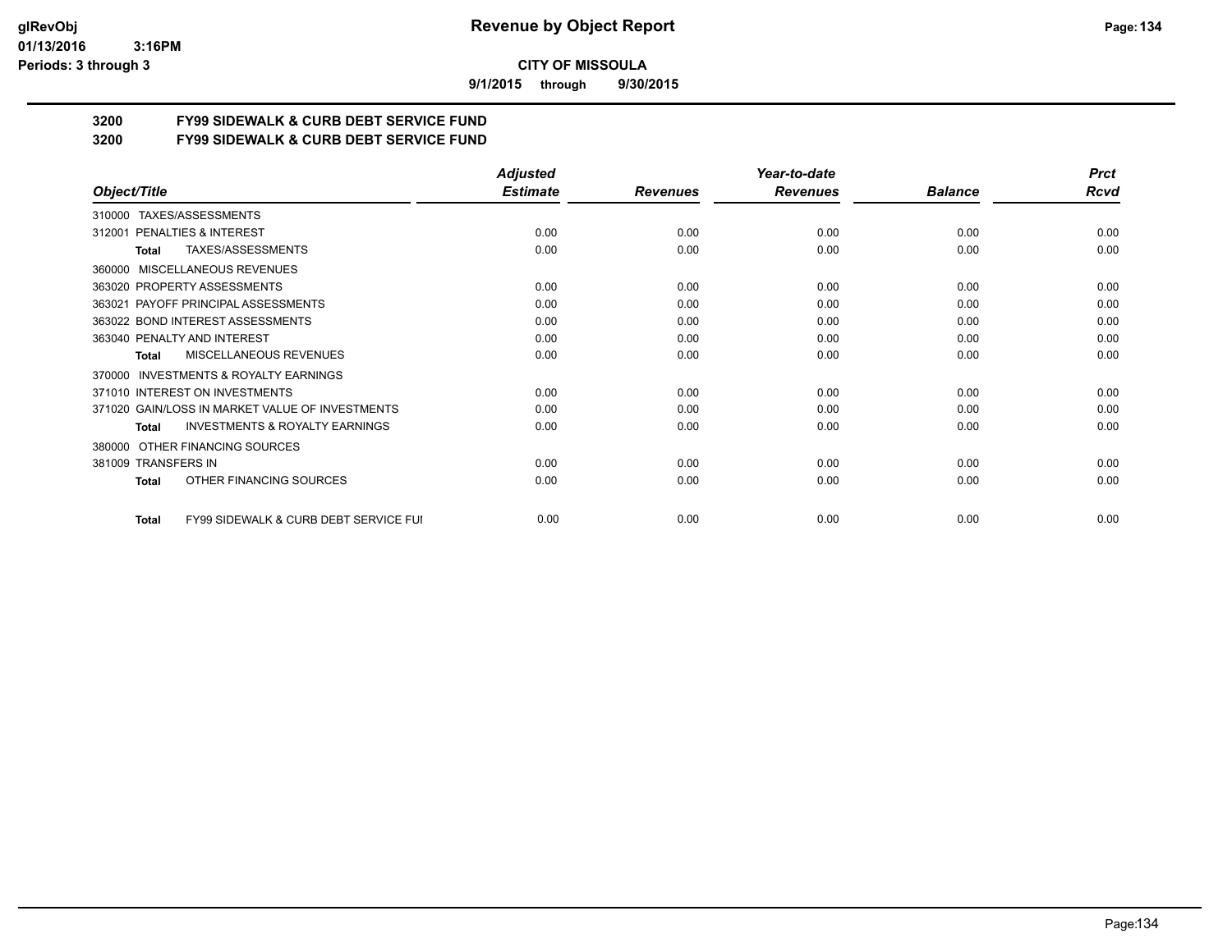**9/1/2015 through 9/30/2015**

# **3200 FY99 SIDEWALK & CURB DEBT SERVICE FUND**

**3200 FY99 SIDEWALK & CURB DEBT SERVICE FUND**

|                                                                  | <b>Adjusted</b> |                 | Year-to-date    |                | <b>Prct</b> |
|------------------------------------------------------------------|-----------------|-----------------|-----------------|----------------|-------------|
| Object/Title                                                     | <b>Estimate</b> | <b>Revenues</b> | <b>Revenues</b> | <b>Balance</b> | <b>Rcvd</b> |
| TAXES/ASSESSMENTS<br>310000                                      |                 |                 |                 |                |             |
| PENALTIES & INTEREST<br>312001                                   | 0.00            | 0.00            | 0.00            | 0.00           | 0.00        |
| TAXES/ASSESSMENTS<br>Total                                       | 0.00            | 0.00            | 0.00            | 0.00           | 0.00        |
| <b>MISCELLANEOUS REVENUES</b><br>360000                          |                 |                 |                 |                |             |
| 363020 PROPERTY ASSESSMENTS                                      | 0.00            | 0.00            | 0.00            | 0.00           | 0.00        |
| 363021 PAYOFF PRINCIPAL ASSESSMENTS                              | 0.00            | 0.00            | 0.00            | 0.00           | 0.00        |
| 363022 BOND INTEREST ASSESSMENTS                                 | 0.00            | 0.00            | 0.00            | 0.00           | 0.00        |
| 363040 PENALTY AND INTEREST                                      | 0.00            | 0.00            | 0.00            | 0.00           | 0.00        |
| MISCELLANEOUS REVENUES<br>Total                                  | 0.00            | 0.00            | 0.00            | 0.00           | 0.00        |
| INVESTMENTS & ROYALTY EARNINGS<br>370000                         |                 |                 |                 |                |             |
| 371010 INTEREST ON INVESTMENTS                                   | 0.00            | 0.00            | 0.00            | 0.00           | 0.00        |
| 371020 GAIN/LOSS IN MARKET VALUE OF INVESTMENTS                  | 0.00            | 0.00            | 0.00            | 0.00           | 0.00        |
| <b>INVESTMENTS &amp; ROYALTY EARNINGS</b><br><b>Total</b>        | 0.00            | 0.00            | 0.00            | 0.00           | 0.00        |
| OTHER FINANCING SOURCES<br>380000                                |                 |                 |                 |                |             |
| 381009 TRANSFERS IN                                              | 0.00            | 0.00            | 0.00            | 0.00           | 0.00        |
| OTHER FINANCING SOURCES<br><b>Total</b>                          | 0.00            | 0.00            | 0.00            | 0.00           | 0.00        |
| <b>FY99 SIDEWALK &amp; CURB DEBT SERVICE FUI</b><br><b>Total</b> | 0.00            | 0.00            | 0.00            | 0.00           | 0.00        |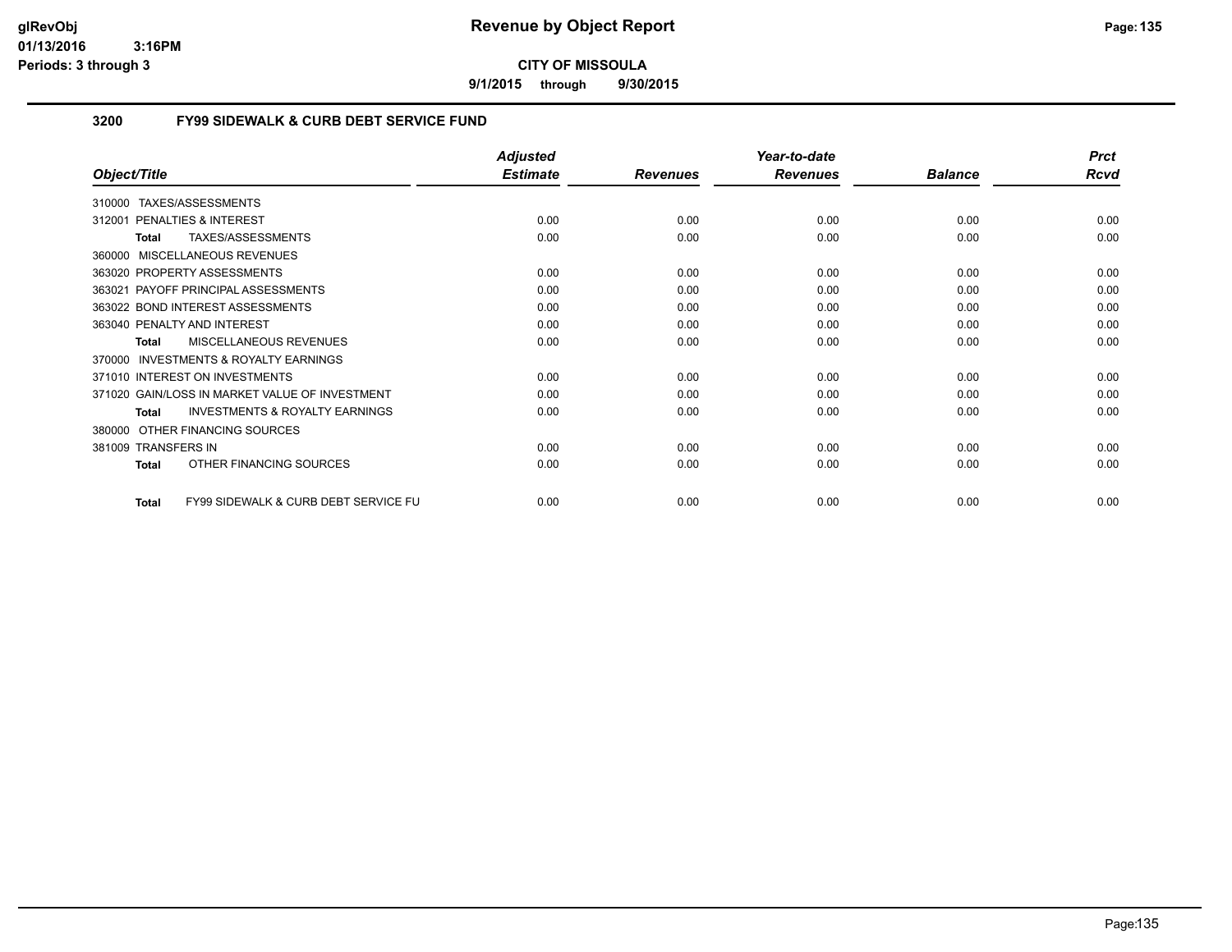**9/1/2015 through 9/30/2015**

# **3200 FY99 SIDEWALK & CURB DEBT SERVICE FUND**

|                                                           | <b>Adjusted</b> |                 | Year-to-date    |                | <b>Prct</b> |
|-----------------------------------------------------------|-----------------|-----------------|-----------------|----------------|-------------|
| Object/Title                                              | <b>Estimate</b> | <b>Revenues</b> | <b>Revenues</b> | <b>Balance</b> | <b>Rcvd</b> |
| TAXES/ASSESSMENTS<br>310000                               |                 |                 |                 |                |             |
| <b>PENALTIES &amp; INTEREST</b><br>312001                 | 0.00            | 0.00            | 0.00            | 0.00           | 0.00        |
| TAXES/ASSESSMENTS<br><b>Total</b>                         | 0.00            | 0.00            | 0.00            | 0.00           | 0.00        |
| 360000 MISCELLANEOUS REVENUES                             |                 |                 |                 |                |             |
| 363020 PROPERTY ASSESSMENTS                               | 0.00            | 0.00            | 0.00            | 0.00           | 0.00        |
| 363021 PAYOFF PRINCIPAL ASSESSMENTS                       | 0.00            | 0.00            | 0.00            | 0.00           | 0.00        |
| 363022 BOND INTEREST ASSESSMENTS                          | 0.00            | 0.00            | 0.00            | 0.00           | 0.00        |
| 363040 PENALTY AND INTEREST                               | 0.00            | 0.00            | 0.00            | 0.00           | 0.00        |
| <b>MISCELLANEOUS REVENUES</b><br><b>Total</b>             | 0.00            | 0.00            | 0.00            | 0.00           | 0.00        |
| <b>INVESTMENTS &amp; ROYALTY EARNINGS</b><br>370000       |                 |                 |                 |                |             |
| 371010 INTEREST ON INVESTMENTS                            | 0.00            | 0.00            | 0.00            | 0.00           | 0.00        |
| 371020 GAIN/LOSS IN MARKET VALUE OF INVESTMENT            | 0.00            | 0.00            | 0.00            | 0.00           | 0.00        |
| <b>INVESTMENTS &amp; ROYALTY EARNINGS</b><br><b>Total</b> | 0.00            | 0.00            | 0.00            | 0.00           | 0.00        |
| OTHER FINANCING SOURCES<br>380000                         |                 |                 |                 |                |             |
| 381009 TRANSFERS IN                                       | 0.00            | 0.00            | 0.00            | 0.00           | 0.00        |
| OTHER FINANCING SOURCES<br><b>Total</b>                   | 0.00            | 0.00            | 0.00            | 0.00           | 0.00        |
|                                                           |                 |                 |                 |                |             |
| FY99 SIDEWALK & CURB DEBT SERVICE FU<br><b>Total</b>      | 0.00            | 0.00            | 0.00            | 0.00           | 0.00        |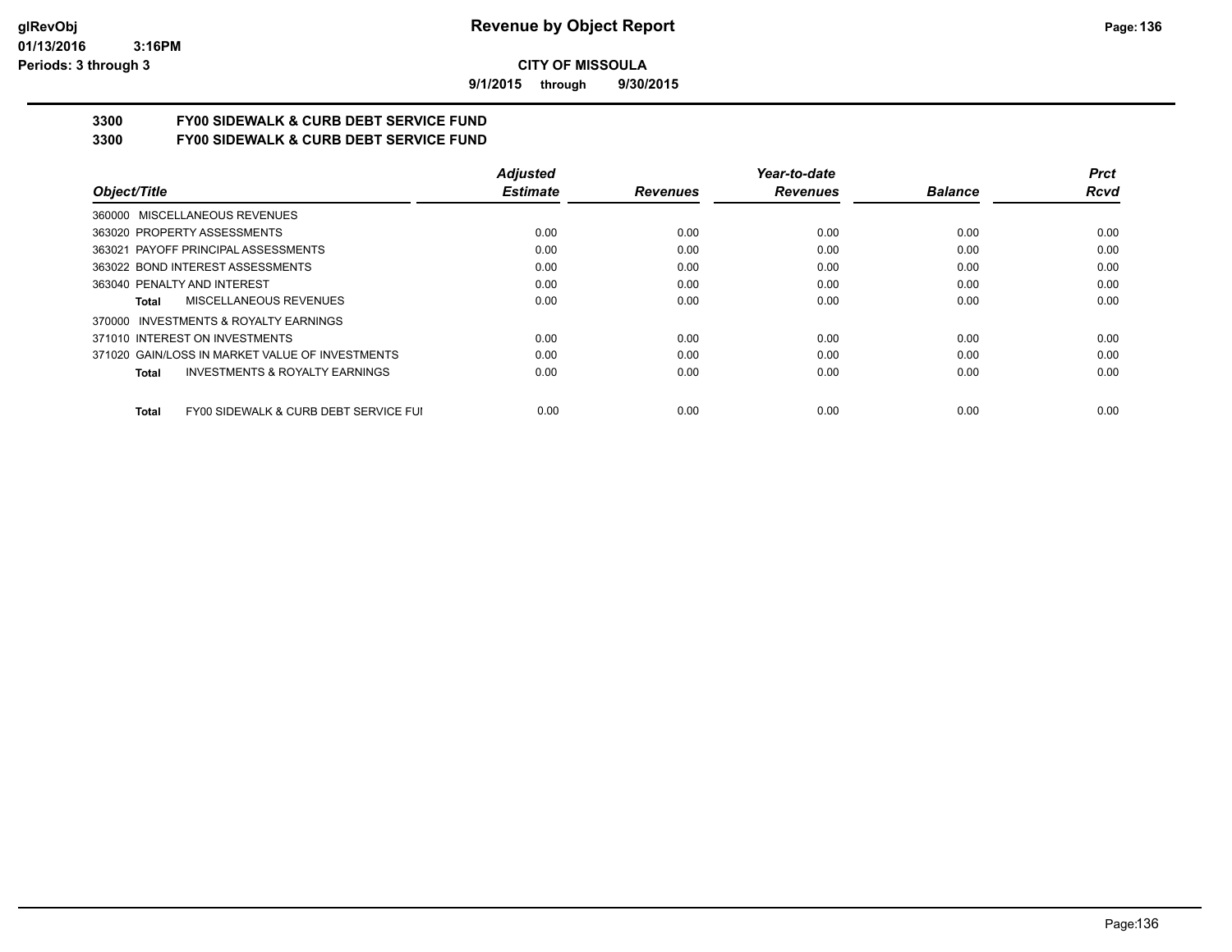**9/1/2015 through 9/30/2015**

# **3300 FY00 SIDEWALK & CURB DEBT SERVICE FUND**

**3300 FY00 SIDEWALK & CURB DEBT SERVICE FUND**

|                                                           | <b>Adjusted</b> |                 | Year-to-date    |                | <b>Prct</b> |
|-----------------------------------------------------------|-----------------|-----------------|-----------------|----------------|-------------|
| Object/Title                                              | <b>Estimate</b> | <b>Revenues</b> | <b>Revenues</b> | <b>Balance</b> | Rcvd        |
| 360000 MISCELLANEOUS REVENUES                             |                 |                 |                 |                |             |
| 363020 PROPERTY ASSESSMENTS                               | 0.00            | 0.00            | 0.00            | 0.00           | 0.00        |
| 363021 PAYOFF PRINCIPAL ASSESSMENTS                       | 0.00            | 0.00            | 0.00            | 0.00           | 0.00        |
| 363022 BOND INTEREST ASSESSMENTS                          | 0.00            | 0.00            | 0.00            | 0.00           | 0.00        |
| 363040 PENALTY AND INTEREST                               | 0.00            | 0.00            | 0.00            | 0.00           | 0.00        |
| MISCELLANEOUS REVENUES<br>Total                           | 0.00            | 0.00            | 0.00            | 0.00           | 0.00        |
| INVESTMENTS & ROYALTY EARNINGS<br>370000                  |                 |                 |                 |                |             |
| 371010 INTEREST ON INVESTMENTS                            | 0.00            | 0.00            | 0.00            | 0.00           | 0.00        |
| 371020 GAIN/LOSS IN MARKET VALUE OF INVESTMENTS           | 0.00            | 0.00            | 0.00            | 0.00           | 0.00        |
| <b>INVESTMENTS &amp; ROYALTY EARNINGS</b><br><b>Total</b> | 0.00            | 0.00            | 0.00            | 0.00           | 0.00        |
| FY00 SIDEWALK & CURB DEBT SERVICE FUI<br><b>Total</b>     | 0.00            | 0.00            | 0.00            | 0.00           | 0.00        |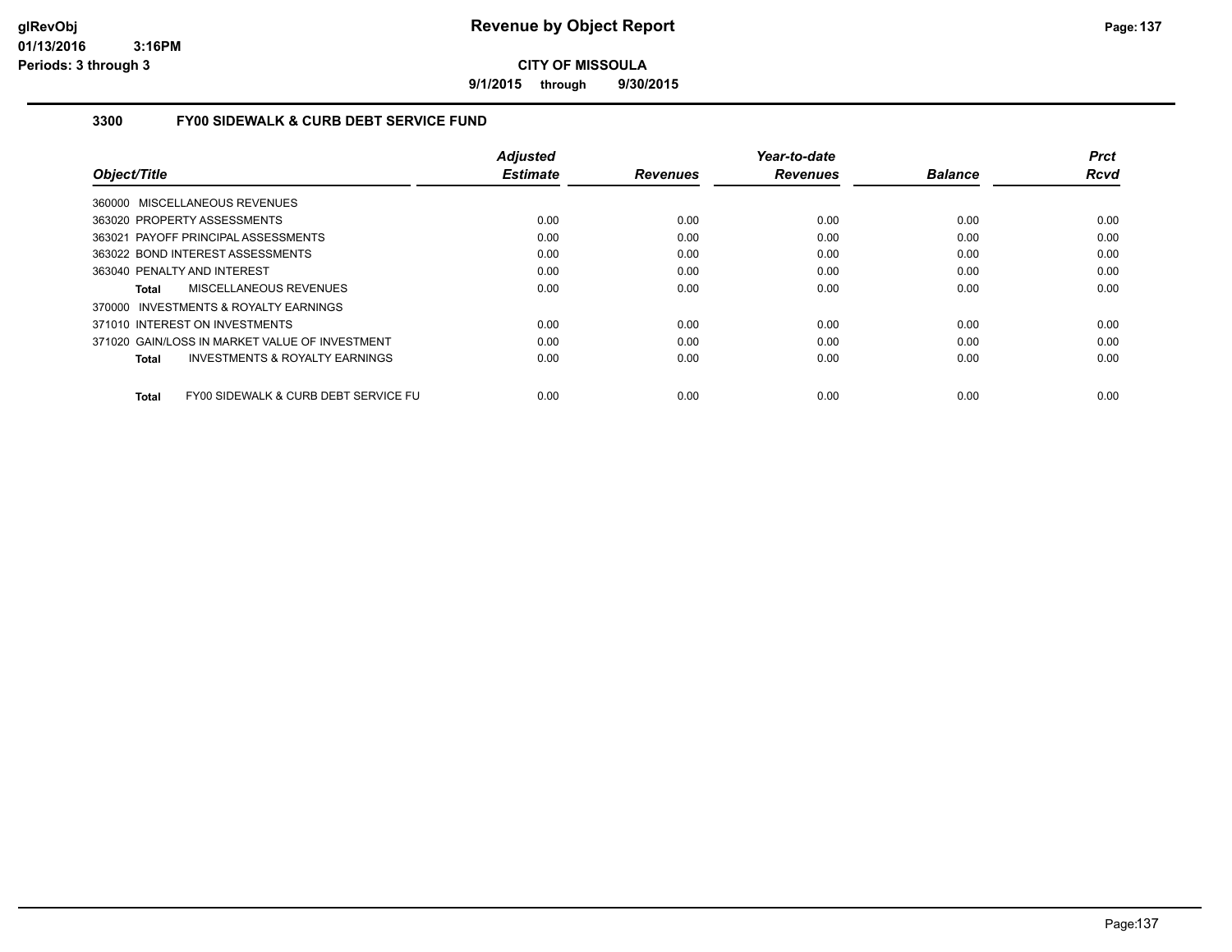**9/1/2015 through 9/30/2015**

# **3300 FY00 SIDEWALK & CURB DEBT SERVICE FUND**

|                                                    | <b>Adjusted</b> |                 | Year-to-date    |                | <b>Prct</b> |
|----------------------------------------------------|-----------------|-----------------|-----------------|----------------|-------------|
| Object/Title                                       | <b>Estimate</b> | <b>Revenues</b> | <b>Revenues</b> | <b>Balance</b> | Rcvd        |
| 360000 MISCELLANEOUS REVENUES                      |                 |                 |                 |                |             |
| 363020 PROPERTY ASSESSMENTS                        | 0.00            | 0.00            | 0.00            | 0.00           | 0.00        |
| 363021 PAYOFF PRINCIPAL ASSESSMENTS                | 0.00            | 0.00            | 0.00            | 0.00           | 0.00        |
| 363022 BOND INTEREST ASSESSMENTS                   | 0.00            | 0.00            | 0.00            | 0.00           | 0.00        |
| 363040 PENALTY AND INTEREST                        | 0.00            | 0.00            | 0.00            | 0.00           | 0.00        |
| MISCELLANEOUS REVENUES<br>Total                    | 0.00            | 0.00            | 0.00            | 0.00           | 0.00        |
| 370000 INVESTMENTS & ROYALTY EARNINGS              |                 |                 |                 |                |             |
| 371010 INTEREST ON INVESTMENTS                     | 0.00            | 0.00            | 0.00            | 0.00           | 0.00        |
| 371020 GAIN/LOSS IN MARKET VALUE OF INVESTMENT     | 0.00            | 0.00            | 0.00            | 0.00           | 0.00        |
| <b>INVESTMENTS &amp; ROYALTY EARNINGS</b><br>Total | 0.00            | 0.00            | 0.00            | 0.00           | 0.00        |
| FY00 SIDEWALK & CURB DEBT SERVICE FU<br>Total      | 0.00            | 0.00            | 0.00            | 0.00           | 0.00        |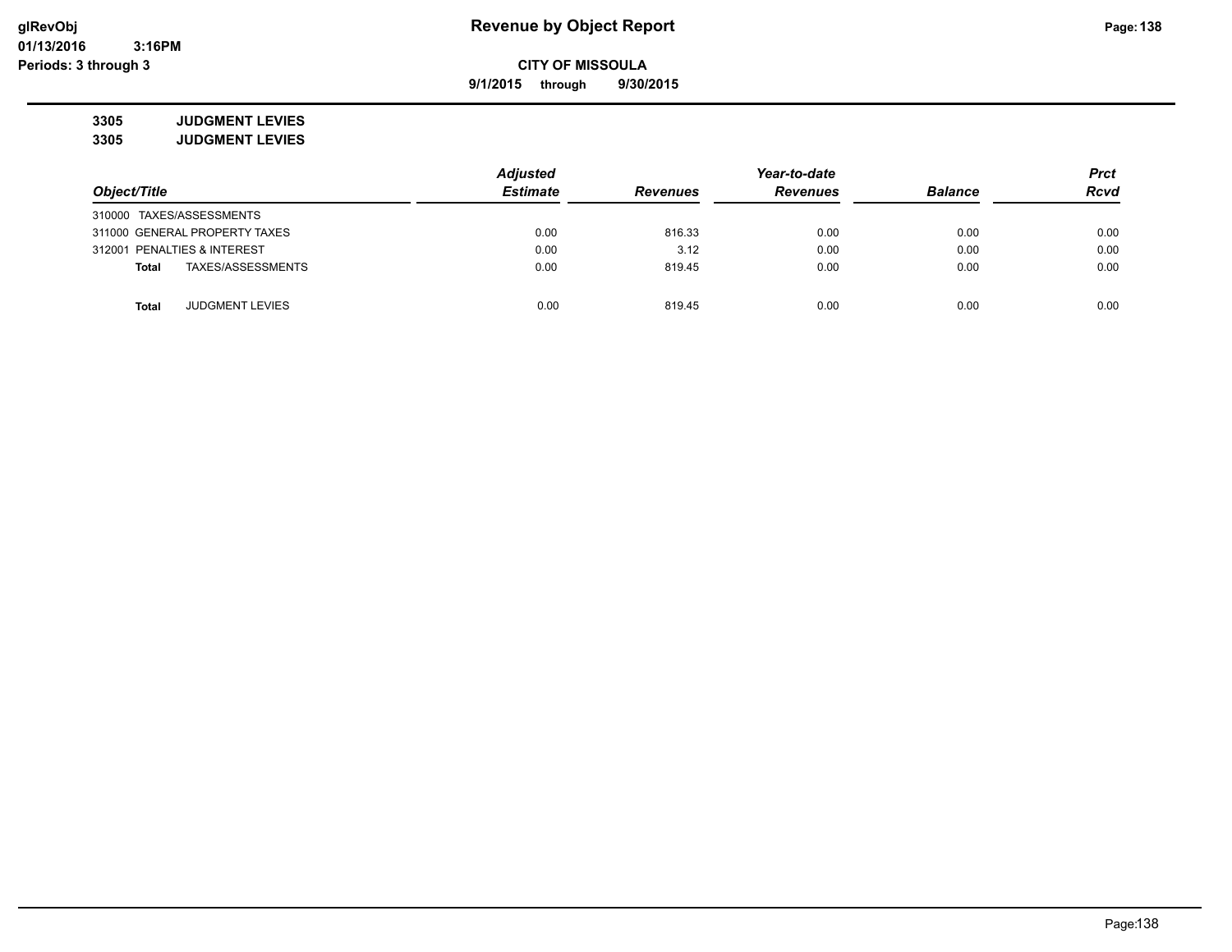**9/1/2015 through 9/30/2015**

**3305 JUDGMENT LEVIES 3305 JUDGMENT LEVIES**

|                             |                               | <b>Adjusted</b> | Year-to-date    |                 |                | <b>Prct</b> |
|-----------------------------|-------------------------------|-----------------|-----------------|-----------------|----------------|-------------|
| Object/Title                |                               | <b>Estimate</b> | <b>Revenues</b> | <b>Revenues</b> | <b>Balance</b> | <b>Rcvd</b> |
| 310000 TAXES/ASSESSMENTS    |                               |                 |                 |                 |                |             |
|                             | 311000 GENERAL PROPERTY TAXES | 0.00            | 816.33          | 0.00            | 0.00           | 0.00        |
| 312001 PENALTIES & INTEREST |                               | 0.00            | 3.12            | 0.00            | 0.00           | 0.00        |
| <b>Total</b>                | TAXES/ASSESSMENTS             | 0.00            | 819.45          | 0.00            | 0.00           | 0.00        |
| <b>Total</b>                | <b>JUDGMENT LEVIES</b>        | 0.00            | 819.45          | 0.00            | 0.00           | 0.00        |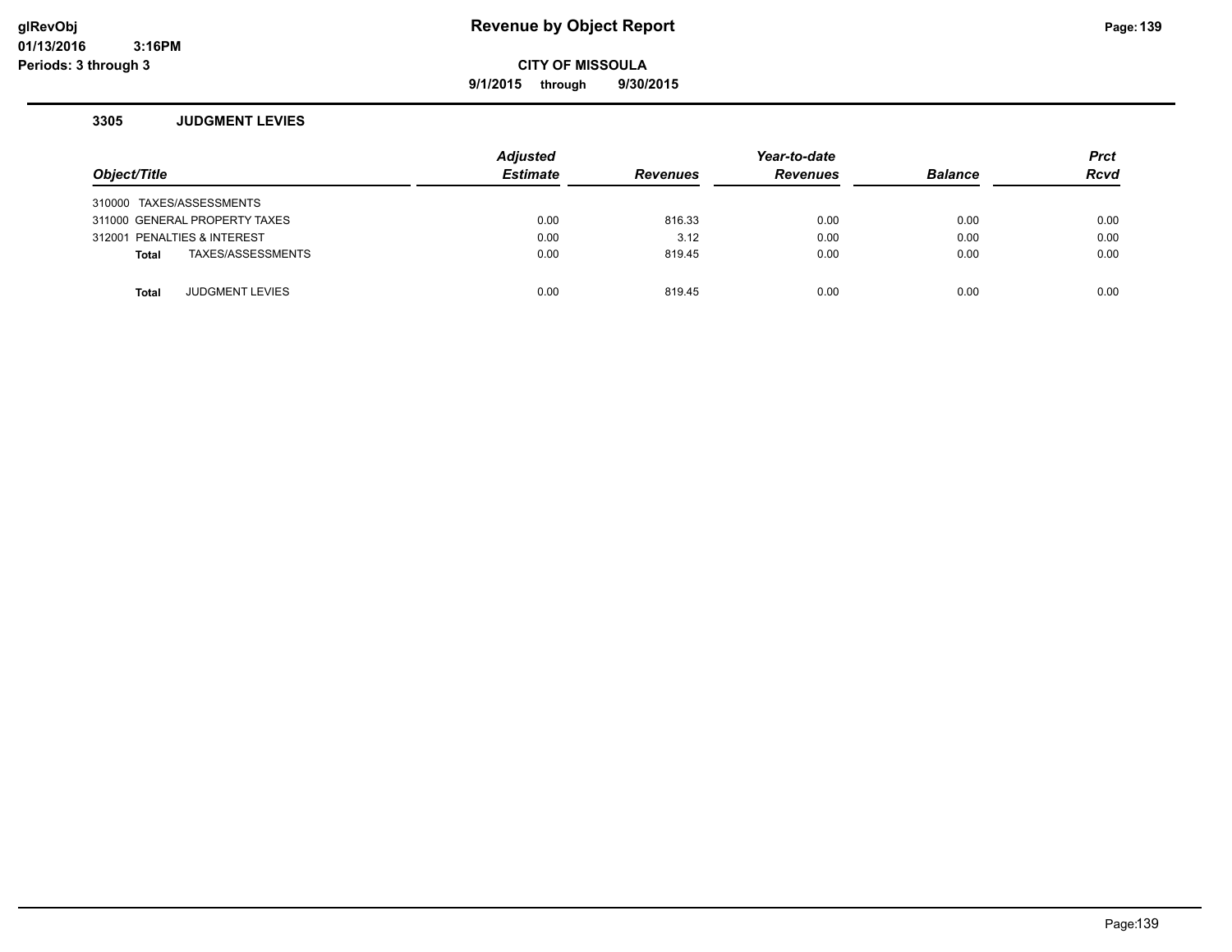**9/1/2015 through 9/30/2015**

#### **3305 JUDGMENT LEVIES**

| Object/Title                           | <b>Adjusted</b><br><b>Estimate</b> | <b>Revenues</b> | Year-to-date<br><b>Revenues</b> | <b>Balance</b> | <b>Prct</b><br><b>Rcvd</b> |
|----------------------------------------|------------------------------------|-----------------|---------------------------------|----------------|----------------------------|
| 310000 TAXES/ASSESSMENTS               |                                    |                 |                                 |                |                            |
| 311000 GENERAL PROPERTY TAXES          | 0.00                               | 816.33          | 0.00                            | 0.00           | 0.00                       |
| 312001 PENALTIES & INTEREST            | 0.00                               | 3.12            | 0.00                            | 0.00           | 0.00                       |
| TAXES/ASSESSMENTS<br><b>Total</b>      | 0.00                               | 819.45          | 0.00                            | 0.00           | 0.00                       |
|                                        |                                    |                 |                                 |                |                            |
| <b>JUDGMENT LEVIES</b><br><b>Total</b> | 0.00                               | 819.45          | 0.00                            | 0.00           | 0.00                       |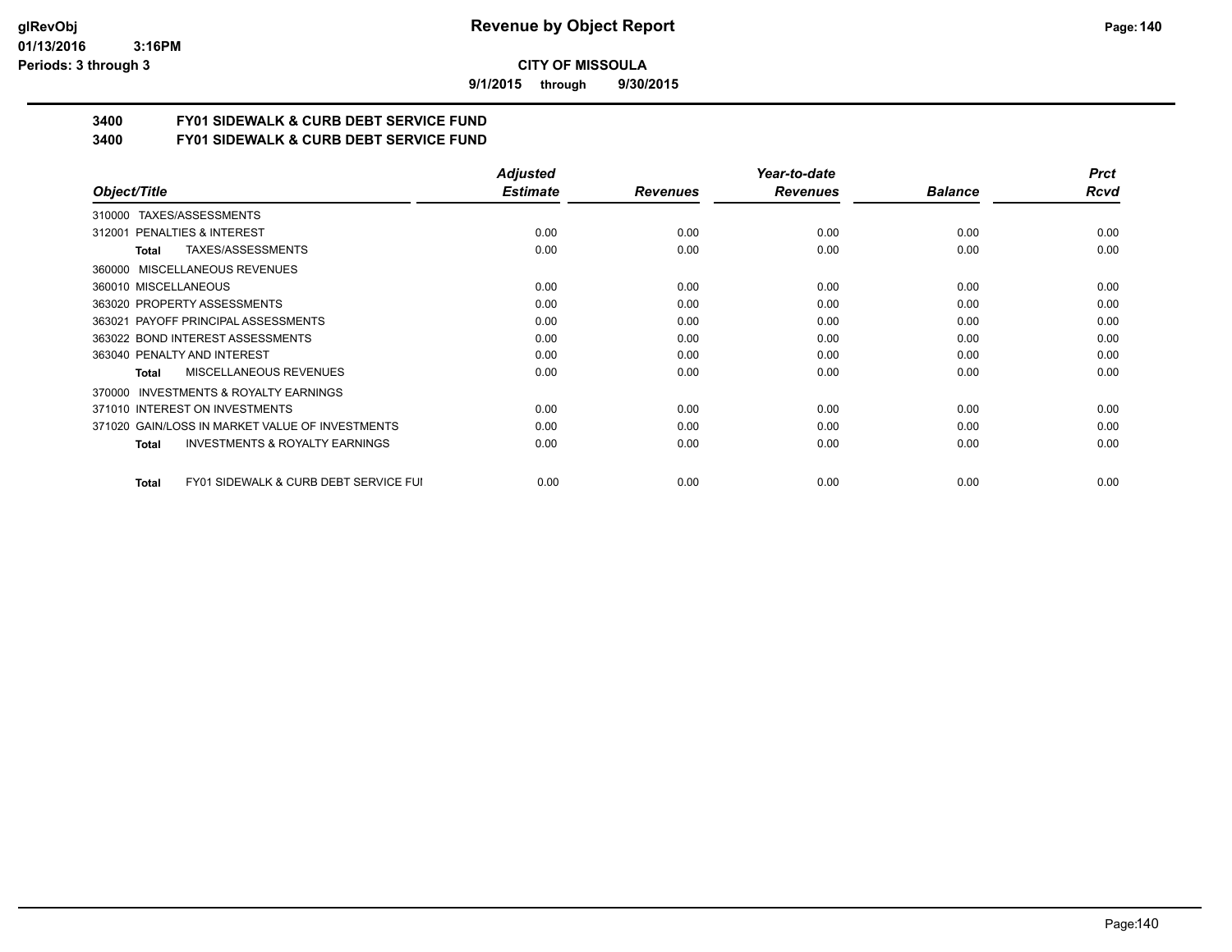#### **01/13/2016 3:16PM Periods: 3 through 3**

**CITY OF MISSOULA**

**9/1/2015 through 9/30/2015**

# **3400 FY01 SIDEWALK & CURB DEBT SERVICE FUND**

**3400 FY01 SIDEWALK & CURB DEBT SERVICE FUND**

|                                                           | <b>Adjusted</b> |                 | Year-to-date    |                | <b>Prct</b> |
|-----------------------------------------------------------|-----------------|-----------------|-----------------|----------------|-------------|
| Object/Title                                              | <b>Estimate</b> | <b>Revenues</b> | <b>Revenues</b> | <b>Balance</b> | <b>Rcvd</b> |
| TAXES/ASSESSMENTS<br>310000                               |                 |                 |                 |                |             |
| 312001 PENALTIES & INTEREST                               | 0.00            | 0.00            | 0.00            | 0.00           | 0.00        |
| TAXES/ASSESSMENTS<br>Total                                | 0.00            | 0.00            | 0.00            | 0.00           | 0.00        |
| MISCELLANEOUS REVENUES<br>360000                          |                 |                 |                 |                |             |
| 360010 MISCELLANEOUS                                      | 0.00            | 0.00            | 0.00            | 0.00           | 0.00        |
| 363020 PROPERTY ASSESSMENTS                               | 0.00            | 0.00            | 0.00            | 0.00           | 0.00        |
| 363021 PAYOFF PRINCIPAL ASSESSMENTS                       | 0.00            | 0.00            | 0.00            | 0.00           | 0.00        |
| 363022 BOND INTEREST ASSESSMENTS                          | 0.00            | 0.00            | 0.00            | 0.00           | 0.00        |
| 363040 PENALTY AND INTEREST                               | 0.00            | 0.00            | 0.00            | 0.00           | 0.00        |
| MISCELLANEOUS REVENUES<br>Total                           | 0.00            | 0.00            | 0.00            | 0.00           | 0.00        |
| <b>INVESTMENTS &amp; ROYALTY EARNINGS</b><br>370000       |                 |                 |                 |                |             |
| 371010 INTEREST ON INVESTMENTS                            | 0.00            | 0.00            | 0.00            | 0.00           | 0.00        |
| 371020 GAIN/LOSS IN MARKET VALUE OF INVESTMENTS           | 0.00            | 0.00            | 0.00            | 0.00           | 0.00        |
| <b>INVESTMENTS &amp; ROYALTY EARNINGS</b><br>Total        | 0.00            | 0.00            | 0.00            | 0.00           | 0.00        |
| <b>FY01 SIDEWALK &amp; CURB DEBT SERVICE FUI</b><br>Total | 0.00            | 0.00            | 0.00            | 0.00           | 0.00        |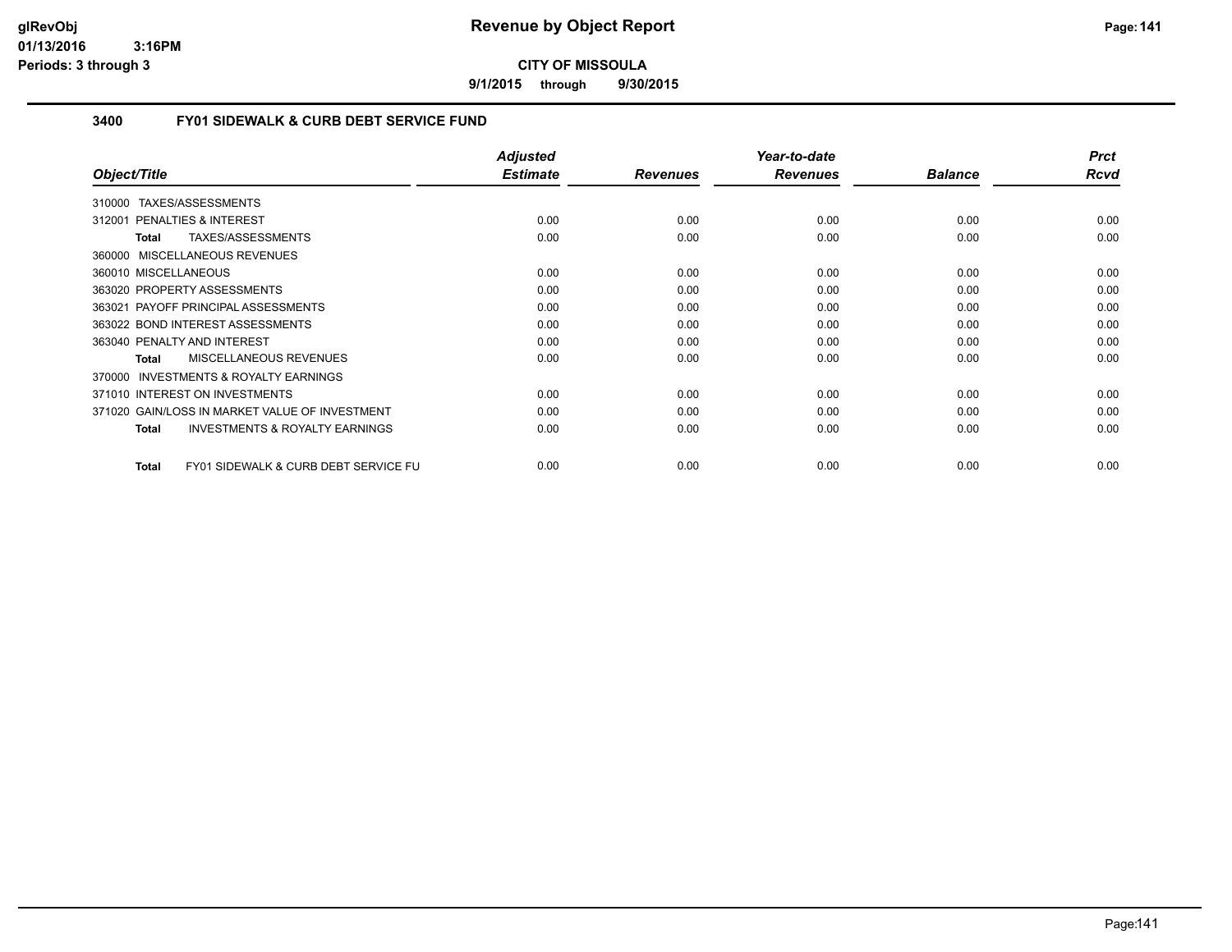**9/1/2015 through 9/30/2015**

# **3400 FY01 SIDEWALK & CURB DEBT SERVICE FUND**

|                                                                 | <b>Adjusted</b> |                 | Year-to-date    |                | <b>Prct</b> |
|-----------------------------------------------------------------|-----------------|-----------------|-----------------|----------------|-------------|
| Object/Title                                                    | <b>Estimate</b> | <b>Revenues</b> | <b>Revenues</b> | <b>Balance</b> | Rcvd        |
| 310000 TAXES/ASSESSMENTS                                        |                 |                 |                 |                |             |
| 312001 PENALTIES & INTEREST                                     | 0.00            | 0.00            | 0.00            | 0.00           | 0.00        |
| TAXES/ASSESSMENTS<br>Total                                      | 0.00            | 0.00            | 0.00            | 0.00           | 0.00        |
| 360000 MISCELLANEOUS REVENUES                                   |                 |                 |                 |                |             |
| 360010 MISCELLANEOUS                                            | 0.00            | 0.00            | 0.00            | 0.00           | 0.00        |
| 363020 PROPERTY ASSESSMENTS                                     | 0.00            | 0.00            | 0.00            | 0.00           | 0.00        |
| 363021 PAYOFF PRINCIPAL ASSESSMENTS                             | 0.00            | 0.00            | 0.00            | 0.00           | 0.00        |
| 363022 BOND INTEREST ASSESSMENTS                                | 0.00            | 0.00            | 0.00            | 0.00           | 0.00        |
| 363040 PENALTY AND INTEREST                                     | 0.00            | 0.00            | 0.00            | 0.00           | 0.00        |
| <b>MISCELLANEOUS REVENUES</b><br><b>Total</b>                   | 0.00            | 0.00            | 0.00            | 0.00           | 0.00        |
| <b>INVESTMENTS &amp; ROYALTY EARNINGS</b><br>370000             |                 |                 |                 |                |             |
| 371010 INTEREST ON INVESTMENTS                                  | 0.00            | 0.00            | 0.00            | 0.00           | 0.00        |
| 371020 GAIN/LOSS IN MARKET VALUE OF INVESTMENT                  | 0.00            | 0.00            | 0.00            | 0.00           | 0.00        |
| <b>INVESTMENTS &amp; ROYALTY EARNINGS</b><br><b>Total</b>       | 0.00            | 0.00            | 0.00            | 0.00           | 0.00        |
| <b>FY01 SIDEWALK &amp; CURB DEBT SERVICE FU</b><br><b>Total</b> | 0.00            | 0.00            | 0.00            | 0.00           | 0.00        |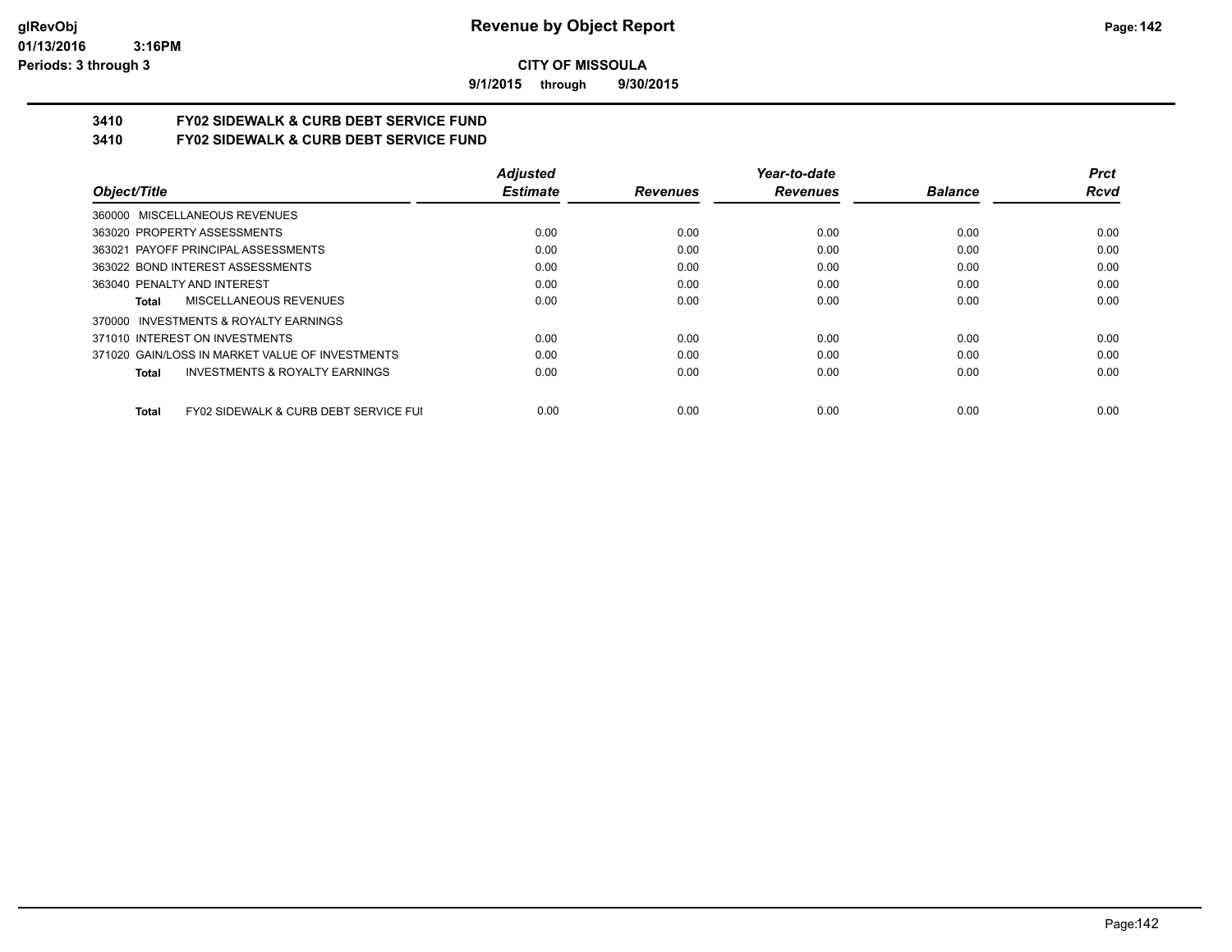**9/1/2015 through 9/30/2015**

# **3410 FY02 SIDEWALK & CURB DEBT SERVICE FUND**

**3410 FY02 SIDEWALK & CURB DEBT SERVICE FUND**

|                                                           | <b>Adjusted</b> |                 | Year-to-date    |                | <b>Prct</b> |
|-----------------------------------------------------------|-----------------|-----------------|-----------------|----------------|-------------|
| Object/Title                                              | <b>Estimate</b> | <b>Revenues</b> | <b>Revenues</b> | <b>Balance</b> | Rcvd        |
| 360000 MISCELLANEOUS REVENUES                             |                 |                 |                 |                |             |
| 363020 PROPERTY ASSESSMENTS                               | 0.00            | 0.00            | 0.00            | 0.00           | 0.00        |
| 363021 PAYOFF PRINCIPAL ASSESSMENTS                       | 0.00            | 0.00            | 0.00            | 0.00           | 0.00        |
| 363022 BOND INTEREST ASSESSMENTS                          | 0.00            | 0.00            | 0.00            | 0.00           | 0.00        |
| 363040 PENALTY AND INTEREST                               | 0.00            | 0.00            | 0.00            | 0.00           | 0.00        |
| MISCELLANEOUS REVENUES<br>Total                           | 0.00            | 0.00            | 0.00            | 0.00           | 0.00        |
| 370000 INVESTMENTS & ROYALTY EARNINGS                     |                 |                 |                 |                |             |
| 371010 INTEREST ON INVESTMENTS                            | 0.00            | 0.00            | 0.00            | 0.00           | 0.00        |
| 371020 GAIN/LOSS IN MARKET VALUE OF INVESTMENTS           | 0.00            | 0.00            | 0.00            | 0.00           | 0.00        |
| <b>INVESTMENTS &amp; ROYALTY EARNINGS</b><br><b>Total</b> | 0.00            | 0.00            | 0.00            | 0.00           | 0.00        |
| FY02 SIDEWALK & CURB DEBT SERVICE FUI<br><b>Total</b>     | 0.00            | 0.00            | 0.00            | 0.00           | 0.00        |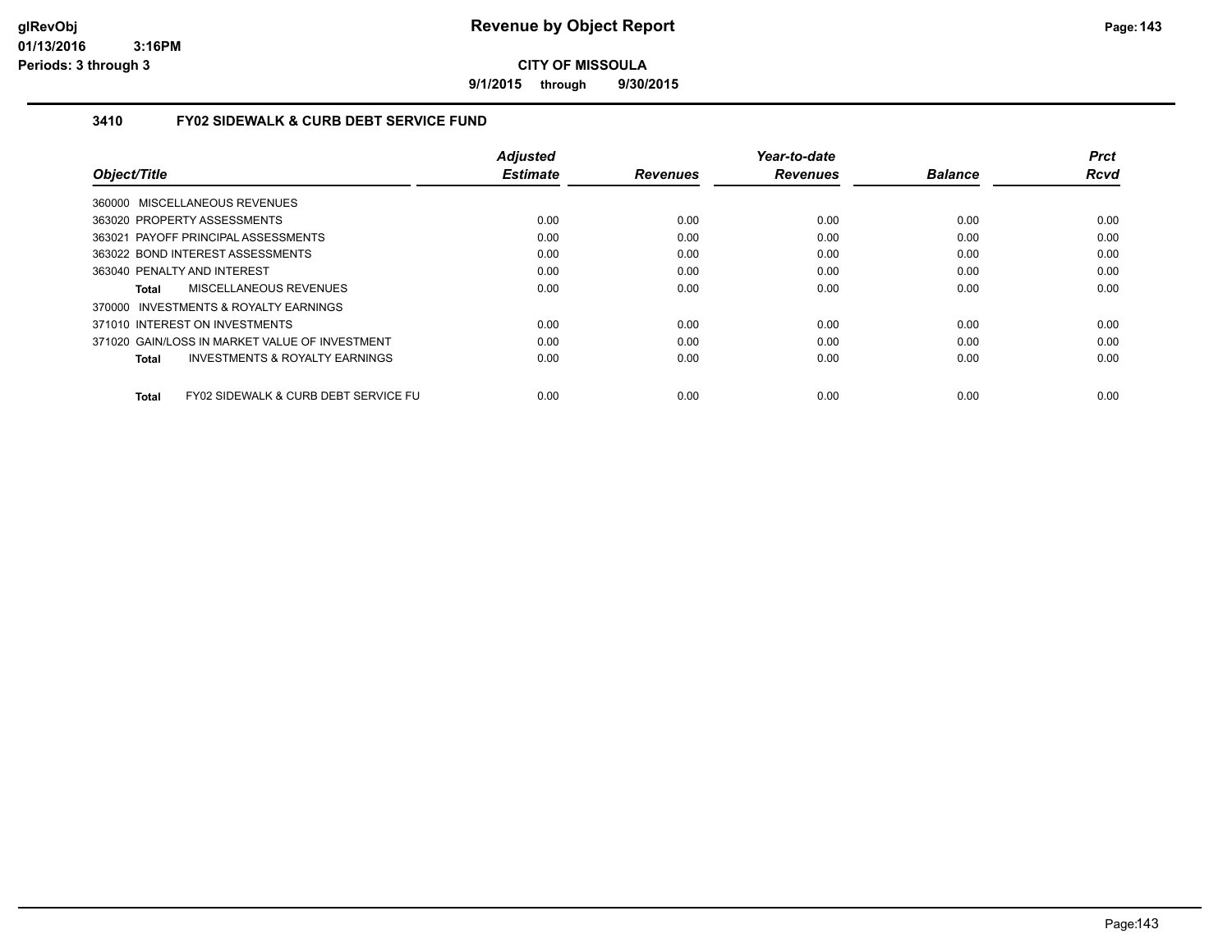**9/1/2015 through 9/30/2015**

## **3410 FY02 SIDEWALK & CURB DEBT SERVICE FUND**

|                                                      | <b>Adjusted</b> |                 | Year-to-date    |                | <b>Prct</b> |
|------------------------------------------------------|-----------------|-----------------|-----------------|----------------|-------------|
| Object/Title                                         | <b>Estimate</b> | <b>Revenues</b> | <b>Revenues</b> | <b>Balance</b> | <b>Rcvd</b> |
| 360000 MISCELLANEOUS REVENUES                        |                 |                 |                 |                |             |
| 363020 PROPERTY ASSESSMENTS                          | 0.00            | 0.00            | 0.00            | 0.00           | 0.00        |
| 363021 PAYOFF PRINCIPAL ASSESSMENTS                  | 0.00            | 0.00            | 0.00            | 0.00           | 0.00        |
| 363022 BOND INTEREST ASSESSMENTS                     | 0.00            | 0.00            | 0.00            | 0.00           | 0.00        |
| 363040 PENALTY AND INTEREST                          | 0.00            | 0.00            | 0.00            | 0.00           | 0.00        |
| MISCELLANEOUS REVENUES<br>Total                      | 0.00            | 0.00            | 0.00            | 0.00           | 0.00        |
| 370000 INVESTMENTS & ROYALTY EARNINGS                |                 |                 |                 |                |             |
| 371010 INTEREST ON INVESTMENTS                       | 0.00            | 0.00            | 0.00            | 0.00           | 0.00        |
| 371020 GAIN/LOSS IN MARKET VALUE OF INVESTMENT       | 0.00            | 0.00            | 0.00            | 0.00           | 0.00        |
| <b>INVESTMENTS &amp; ROYALTY EARNINGS</b><br>Total   | 0.00            | 0.00            | 0.00            | 0.00           | 0.00        |
| FY02 SIDEWALK & CURB DEBT SERVICE FU<br><b>Total</b> | 0.00            | 0.00            | 0.00            | 0.00           | 0.00        |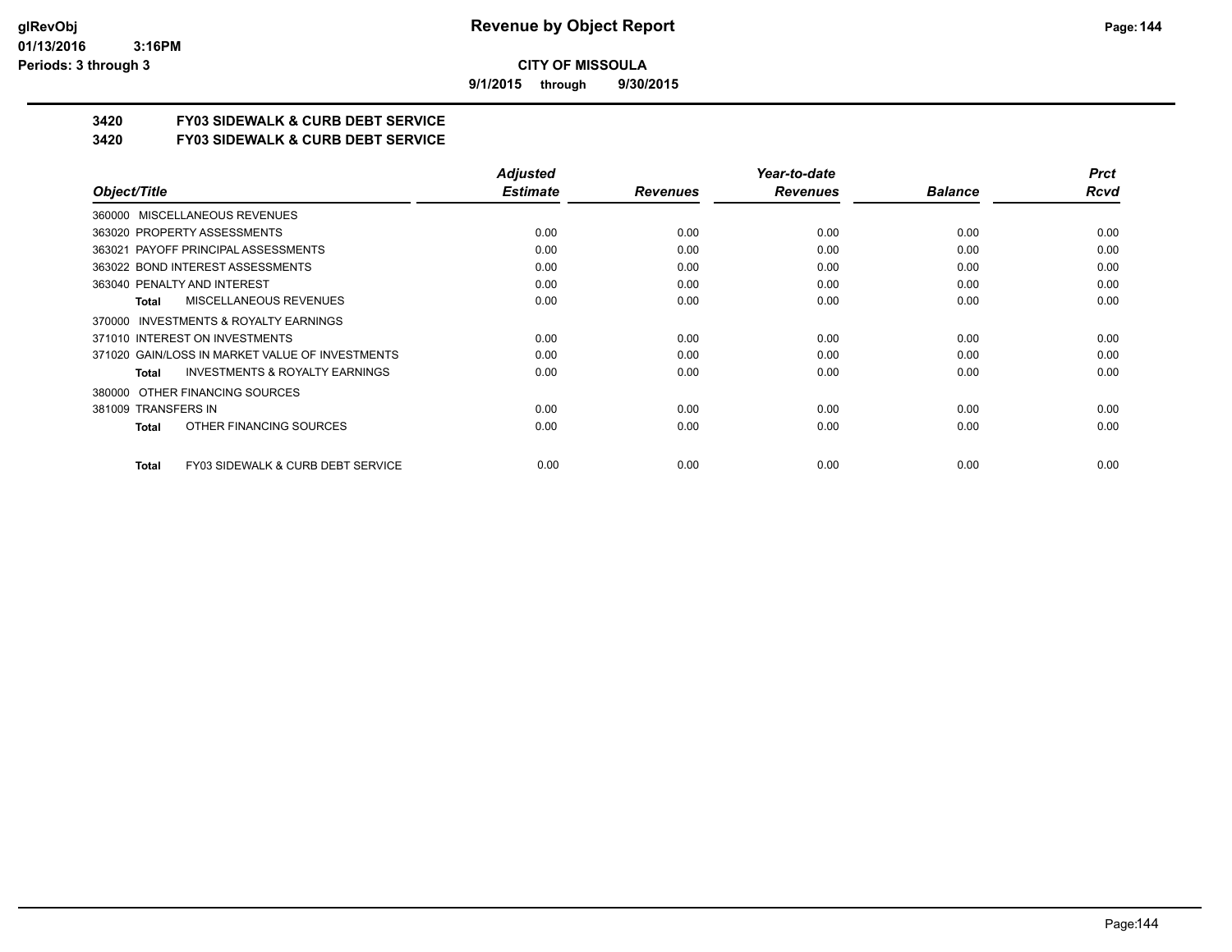**9/1/2015 through 9/30/2015**

# **3420 FY03 SIDEWALK & CURB DEBT SERVICE**

**3420 FY03 SIDEWALK & CURB DEBT SERVICE**

|                                                    | <b>Adjusted</b> |                 | Year-to-date    |                | <b>Prct</b> |
|----------------------------------------------------|-----------------|-----------------|-----------------|----------------|-------------|
| Object/Title                                       | <b>Estimate</b> | <b>Revenues</b> | <b>Revenues</b> | <b>Balance</b> | Rcvd        |
| 360000 MISCELLANEOUS REVENUES                      |                 |                 |                 |                |             |
| 363020 PROPERTY ASSESSMENTS                        | 0.00            | 0.00            | 0.00            | 0.00           | 0.00        |
| 363021 PAYOFF PRINCIPAL ASSESSMENTS                | 0.00            | 0.00            | 0.00            | 0.00           | 0.00        |
| 363022 BOND INTEREST ASSESSMENTS                   | 0.00            | 0.00            | 0.00            | 0.00           | 0.00        |
| 363040 PENALTY AND INTEREST                        | 0.00            | 0.00            | 0.00            | 0.00           | 0.00        |
| MISCELLANEOUS REVENUES<br><b>Total</b>             | 0.00            | 0.00            | 0.00            | 0.00           | 0.00        |
| 370000 INVESTMENTS & ROYALTY EARNINGS              |                 |                 |                 |                |             |
| 371010 INTEREST ON INVESTMENTS                     | 0.00            | 0.00            | 0.00            | 0.00           | 0.00        |
| 371020 GAIN/LOSS IN MARKET VALUE OF INVESTMENTS    | 0.00            | 0.00            | 0.00            | 0.00           | 0.00        |
| <b>INVESTMENTS &amp; ROYALTY EARNINGS</b><br>Total | 0.00            | 0.00            | 0.00            | 0.00           | 0.00        |
| OTHER FINANCING SOURCES<br>380000                  |                 |                 |                 |                |             |
| 381009 TRANSFERS IN                                | 0.00            | 0.00            | 0.00            | 0.00           | 0.00        |
| OTHER FINANCING SOURCES<br><b>Total</b>            | 0.00            | 0.00            | 0.00            | 0.00           | 0.00        |
| FY03 SIDEWALK & CURB DEBT SERVICE<br><b>Total</b>  | 0.00            | 0.00            | 0.00            | 0.00           | 0.00        |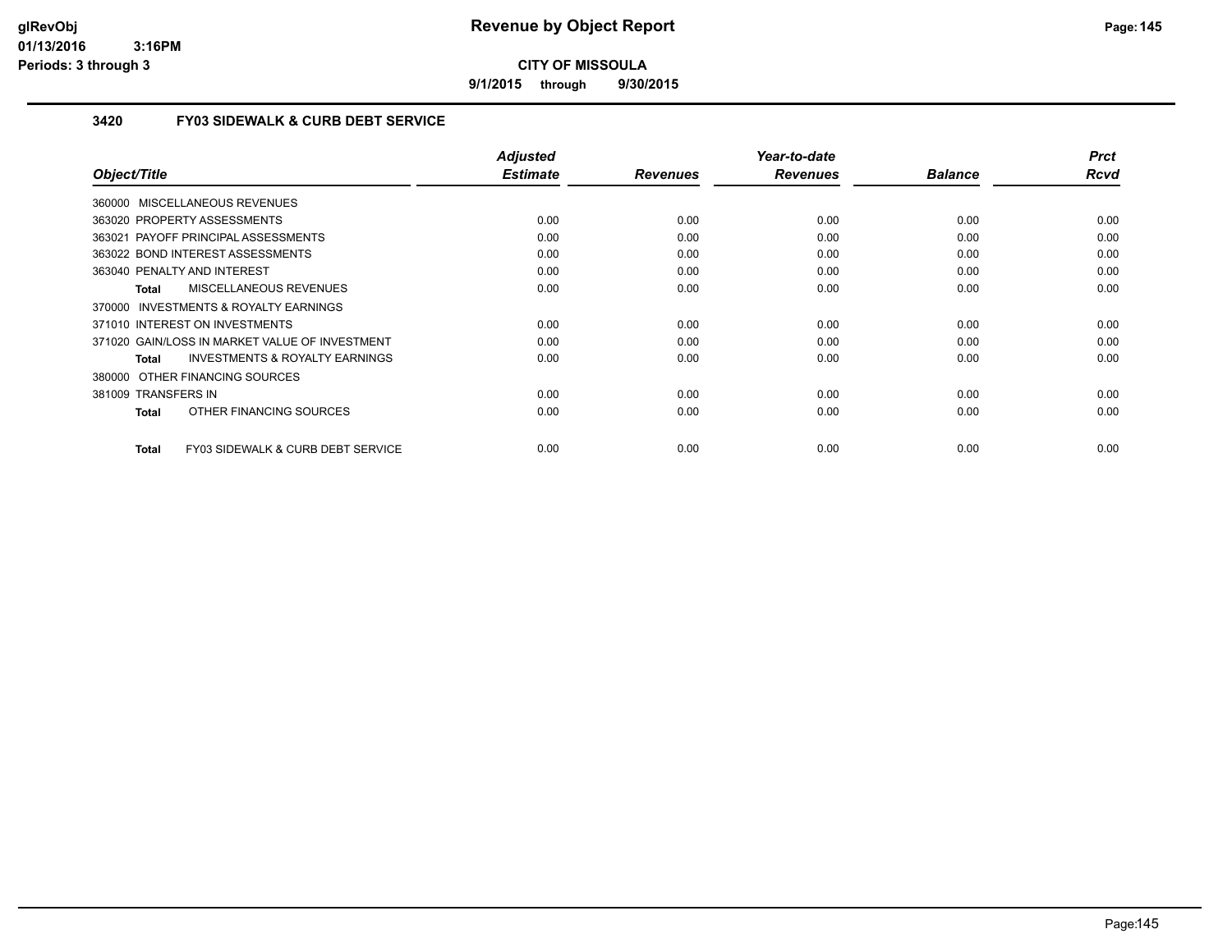**9/1/2015 through 9/30/2015**

#### **3420 FY03 SIDEWALK & CURB DEBT SERVICE**

| Object/Title                                       | <b>Adjusted</b><br><b>Estimate</b> | <b>Revenues</b> | Year-to-date<br><b>Revenues</b> | <b>Balance</b> | <b>Prct</b><br><b>Rcvd</b> |
|----------------------------------------------------|------------------------------------|-----------------|---------------------------------|----------------|----------------------------|
|                                                    |                                    |                 |                                 |                |                            |
| 360000 MISCELLANEOUS REVENUES                      |                                    |                 |                                 |                |                            |
| 363020 PROPERTY ASSESSMENTS                        | 0.00                               | 0.00            | 0.00                            | 0.00           | 0.00                       |
| 363021 PAYOFF PRINCIPAL ASSESSMENTS                | 0.00                               | 0.00            | 0.00                            | 0.00           | 0.00                       |
| 363022 BOND INTEREST ASSESSMENTS                   | 0.00                               | 0.00            | 0.00                            | 0.00           | 0.00                       |
| 363040 PENALTY AND INTEREST                        | 0.00                               | 0.00            | 0.00                            | 0.00           | 0.00                       |
| MISCELLANEOUS REVENUES<br>Total                    | 0.00                               | 0.00            | 0.00                            | 0.00           | 0.00                       |
| 370000 INVESTMENTS & ROYALTY EARNINGS              |                                    |                 |                                 |                |                            |
| 371010 INTEREST ON INVESTMENTS                     | 0.00                               | 0.00            | 0.00                            | 0.00           | 0.00                       |
| 371020 GAIN/LOSS IN MARKET VALUE OF INVESTMENT     | 0.00                               | 0.00            | 0.00                            | 0.00           | 0.00                       |
| <b>INVESTMENTS &amp; ROYALTY EARNINGS</b><br>Total | 0.00                               | 0.00            | 0.00                            | 0.00           | 0.00                       |
| 380000 OTHER FINANCING SOURCES                     |                                    |                 |                                 |                |                            |
| 381009 TRANSFERS IN                                | 0.00                               | 0.00            | 0.00                            | 0.00           | 0.00                       |
| OTHER FINANCING SOURCES<br><b>Total</b>            | 0.00                               | 0.00            | 0.00                            | 0.00           | 0.00                       |
|                                                    |                                    |                 |                                 |                |                            |
| FY03 SIDEWALK & CURB DEBT SERVICE<br>Total         | 0.00                               | 0.00            | 0.00                            | 0.00           | 0.00                       |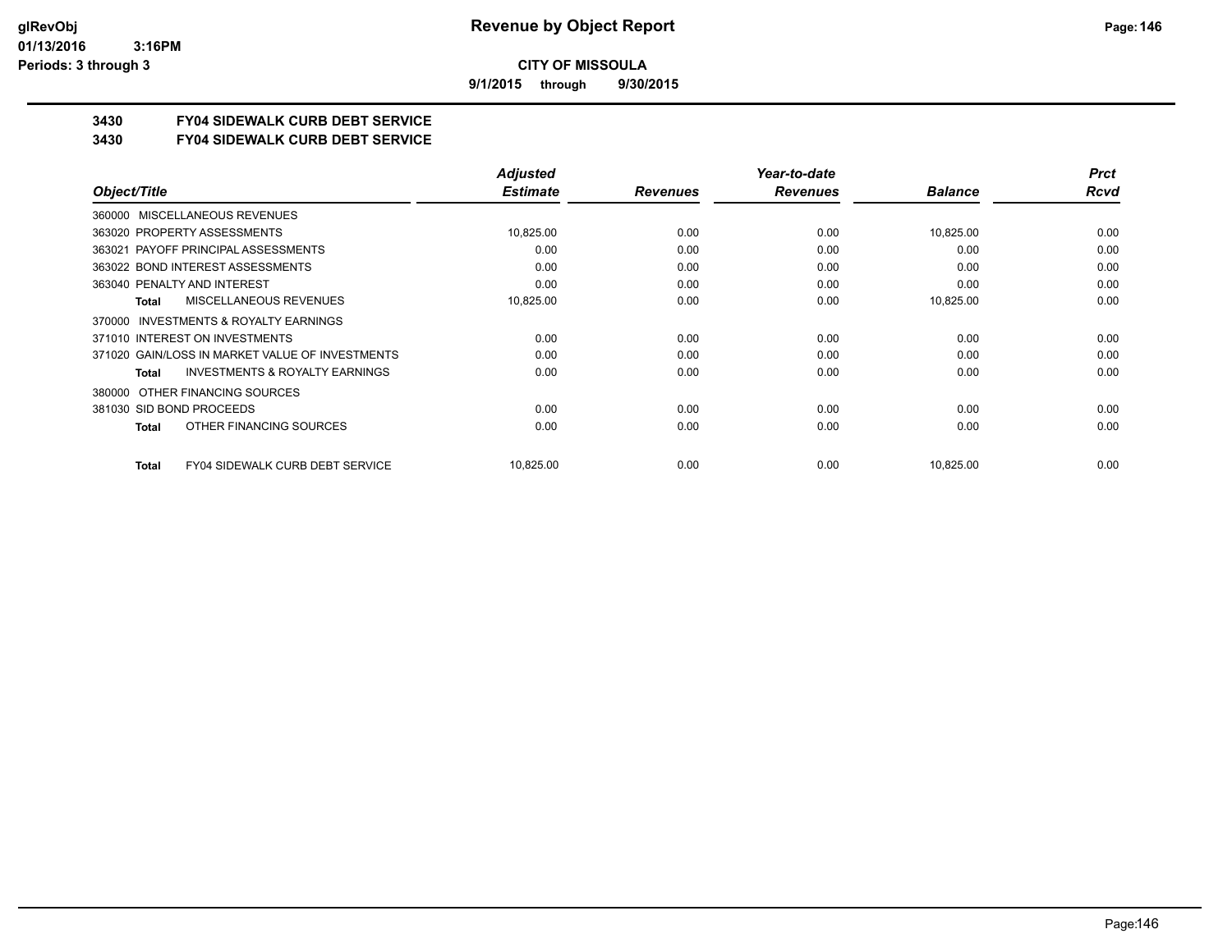**9/1/2015 through 9/30/2015**

# **3430 FY04 SIDEWALK CURB DEBT SERVICE**

#### **3430 FY04 SIDEWALK CURB DEBT SERVICE**

|                                                           | <b>Adjusted</b> |                 | Year-to-date    |                | <b>Prct</b> |
|-----------------------------------------------------------|-----------------|-----------------|-----------------|----------------|-------------|
| Object/Title                                              | <b>Estimate</b> | <b>Revenues</b> | <b>Revenues</b> | <b>Balance</b> | Rcvd        |
| MISCELLANEOUS REVENUES<br>360000                          |                 |                 |                 |                |             |
| 363020 PROPERTY ASSESSMENTS                               | 10,825.00       | 0.00            | 0.00            | 10,825.00      | 0.00        |
| 363021 PAYOFF PRINCIPAL ASSESSMENTS                       | 0.00            | 0.00            | 0.00            | 0.00           | 0.00        |
| 363022 BOND INTEREST ASSESSMENTS                          | 0.00            | 0.00            | 0.00            | 0.00           | 0.00        |
| 363040 PENALTY AND INTEREST                               | 0.00            | 0.00            | 0.00            | 0.00           | 0.00        |
| MISCELLANEOUS REVENUES<br><b>Total</b>                    | 10,825.00       | 0.00            | 0.00            | 10,825.00      | 0.00        |
| INVESTMENTS & ROYALTY EARNINGS<br>370000                  |                 |                 |                 |                |             |
| 371010 INTEREST ON INVESTMENTS                            | 0.00            | 0.00            | 0.00            | 0.00           | 0.00        |
| 371020 GAIN/LOSS IN MARKET VALUE OF INVESTMENTS           | 0.00            | 0.00            | 0.00            | 0.00           | 0.00        |
| <b>INVESTMENTS &amp; ROYALTY EARNINGS</b><br><b>Total</b> | 0.00            | 0.00            | 0.00            | 0.00           | 0.00        |
| OTHER FINANCING SOURCES<br>380000                         |                 |                 |                 |                |             |
| 381030 SID BOND PROCEEDS                                  | 0.00            | 0.00            | 0.00            | 0.00           | 0.00        |
| OTHER FINANCING SOURCES<br><b>Total</b>                   | 0.00            | 0.00            | 0.00            | 0.00           | 0.00        |
| <b>FY04 SIDEWALK CURB DEBT SERVICE</b><br><b>Total</b>    | 10,825.00       | 0.00            | 0.00            | 10,825.00      | 0.00        |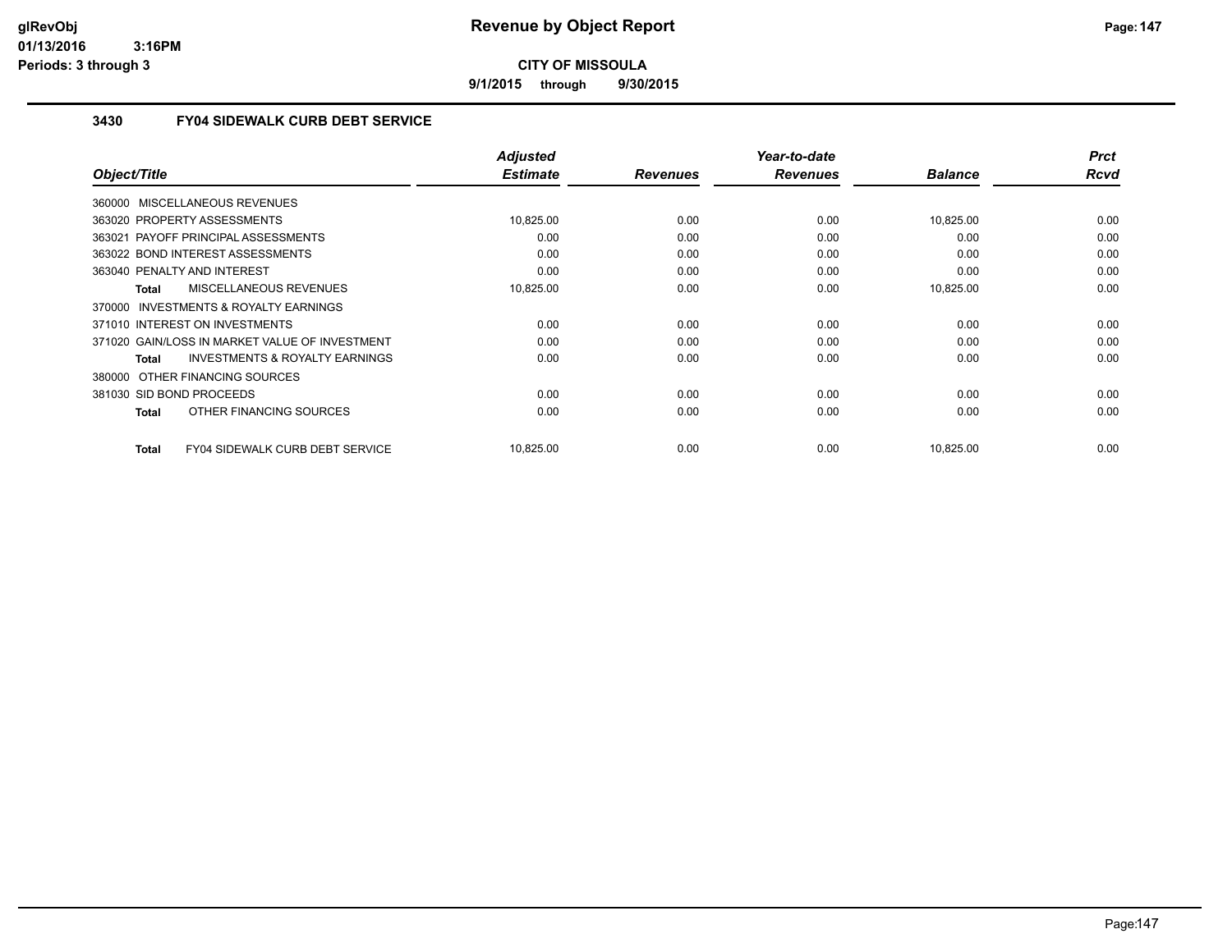**9/1/2015 through 9/30/2015**

### **3430 FY04 SIDEWALK CURB DEBT SERVICE**

|                                                    | <b>Adjusted</b> |                 | Year-to-date    |                | <b>Prct</b> |
|----------------------------------------------------|-----------------|-----------------|-----------------|----------------|-------------|
| Object/Title                                       | <b>Estimate</b> | <b>Revenues</b> | <b>Revenues</b> | <b>Balance</b> | <b>Rcvd</b> |
| 360000 MISCELLANEOUS REVENUES                      |                 |                 |                 |                |             |
| 363020 PROPERTY ASSESSMENTS                        | 10,825.00       | 0.00            | 0.00            | 10,825.00      | 0.00        |
| 363021 PAYOFF PRINCIPAL ASSESSMENTS                | 0.00            | 0.00            | 0.00            | 0.00           | 0.00        |
| 363022 BOND INTEREST ASSESSMENTS                   | 0.00            | 0.00            | 0.00            | 0.00           | 0.00        |
| 363040 PENALTY AND INTEREST                        | 0.00            | 0.00            | 0.00            | 0.00           | 0.00        |
| MISCELLANEOUS REVENUES<br>Total                    | 10,825.00       | 0.00            | 0.00            | 10,825.00      | 0.00        |
| 370000 INVESTMENTS & ROYALTY EARNINGS              |                 |                 |                 |                |             |
| 371010 INTEREST ON INVESTMENTS                     | 0.00            | 0.00            | 0.00            | 0.00           | 0.00        |
| 371020 GAIN/LOSS IN MARKET VALUE OF INVESTMENT     | 0.00            | 0.00            | 0.00            | 0.00           | 0.00        |
| <b>INVESTMENTS &amp; ROYALTY EARNINGS</b><br>Total | 0.00            | 0.00            | 0.00            | 0.00           | 0.00        |
| 380000 OTHER FINANCING SOURCES                     |                 |                 |                 |                |             |
| 381030 SID BOND PROCEEDS                           | 0.00            | 0.00            | 0.00            | 0.00           | 0.00        |
| OTHER FINANCING SOURCES<br>Total                   | 0.00            | 0.00            | 0.00            | 0.00           | 0.00        |
|                                                    |                 |                 |                 |                |             |
| FY04 SIDEWALK CURB DEBT SERVICE<br><b>Total</b>    | 10,825.00       | 0.00            | 0.00            | 10,825.00      | 0.00        |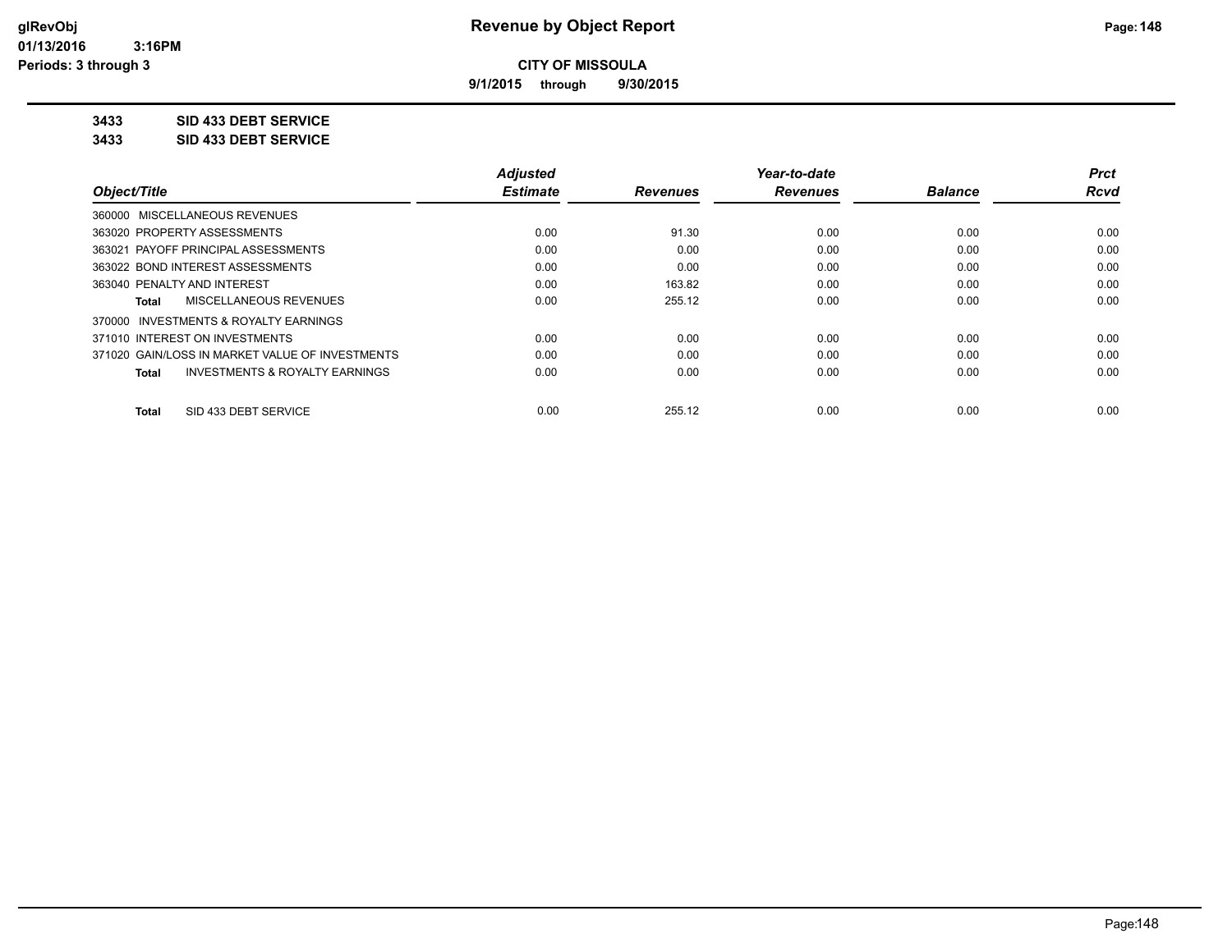**9/1/2015 through 9/30/2015**

**3433 SID 433 DEBT SERVICE**

**3433 SID 433 DEBT SERVICE**

|                                                    | <b>Adjusted</b> |                 | Year-to-date    |                | <b>Prct</b> |
|----------------------------------------------------|-----------------|-----------------|-----------------|----------------|-------------|
| Object/Title                                       | <b>Estimate</b> | <b>Revenues</b> | <b>Revenues</b> | <b>Balance</b> | Rcvd        |
| 360000 MISCELLANEOUS REVENUES                      |                 |                 |                 |                |             |
| 363020 PROPERTY ASSESSMENTS                        | 0.00            | 91.30           | 0.00            | 0.00           | 0.00        |
| 363021 PAYOFF PRINCIPAL ASSESSMENTS                | 0.00            | 0.00            | 0.00            | 0.00           | 0.00        |
| 363022 BOND INTEREST ASSESSMENTS                   | 0.00            | 0.00            | 0.00            | 0.00           | 0.00        |
| 363040 PENALTY AND INTEREST                        | 0.00            | 163.82          | 0.00            | 0.00           | 0.00        |
| MISCELLANEOUS REVENUES<br>Total                    | 0.00            | 255.12          | 0.00            | 0.00           | 0.00        |
| INVESTMENTS & ROYALTY EARNINGS<br>370000           |                 |                 |                 |                |             |
| 371010 INTEREST ON INVESTMENTS                     | 0.00            | 0.00            | 0.00            | 0.00           | 0.00        |
| 371020 GAIN/LOSS IN MARKET VALUE OF INVESTMENTS    | 0.00            | 0.00            | 0.00            | 0.00           | 0.00        |
| <b>INVESTMENTS &amp; ROYALTY EARNINGS</b><br>Total | 0.00            | 0.00            | 0.00            | 0.00           | 0.00        |
| SID 433 DEBT SERVICE<br><b>Total</b>               | 0.00            | 255.12          | 0.00            | 0.00           | 0.00        |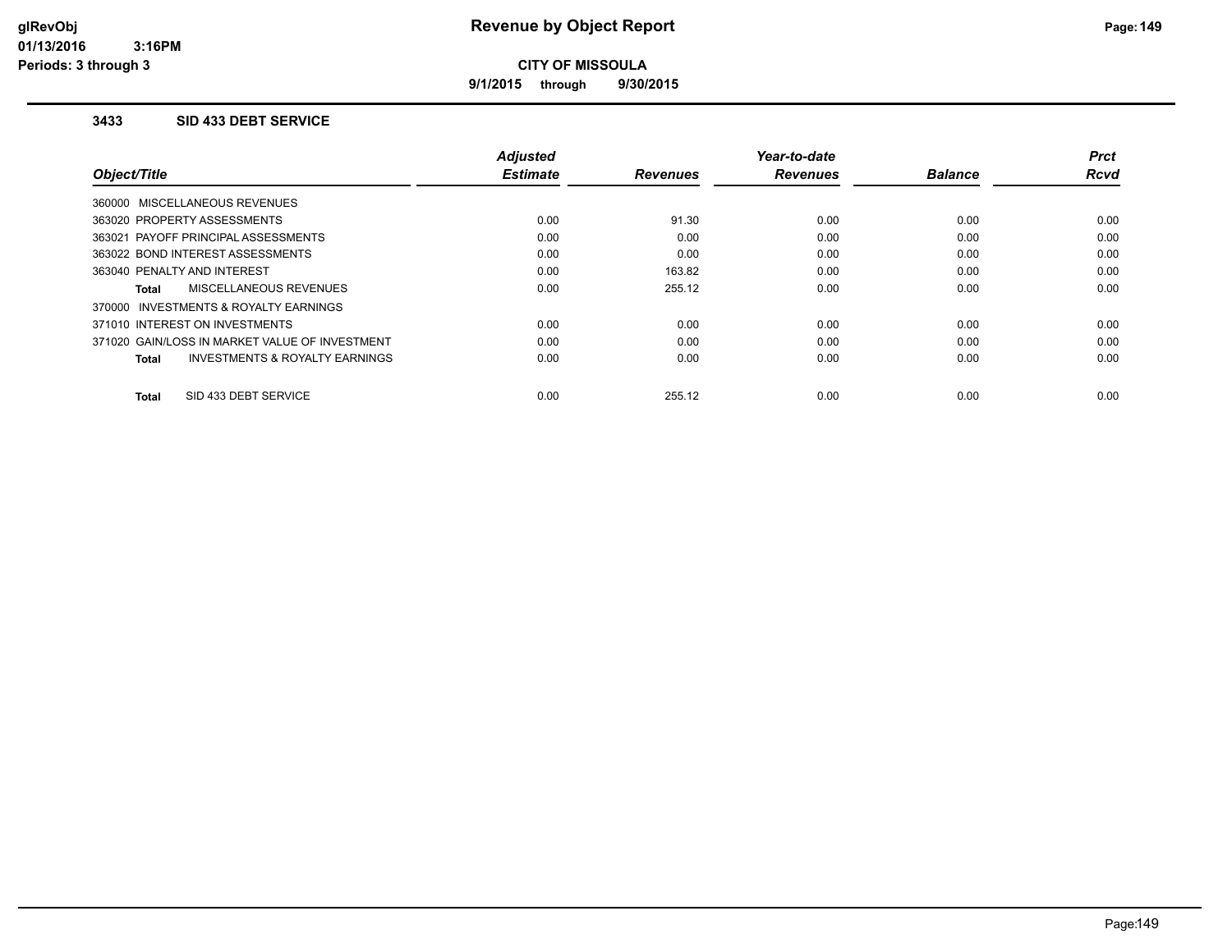**9/1/2015 through 9/30/2015**

#### **3433 SID 433 DEBT SERVICE**

|                                                    | <b>Adjusted</b> |                 | Year-to-date    |                | <b>Prct</b> |
|----------------------------------------------------|-----------------|-----------------|-----------------|----------------|-------------|
| Object/Title                                       | <b>Estimate</b> | <b>Revenues</b> | <b>Revenues</b> | <b>Balance</b> | <b>Rcvd</b> |
| 360000 MISCELLANEOUS REVENUES                      |                 |                 |                 |                |             |
| 363020 PROPERTY ASSESSMENTS                        | 0.00            | 91.30           | 0.00            | 0.00           | 0.00        |
| 363021 PAYOFF PRINCIPAL ASSESSMENTS                | 0.00            | 0.00            | 0.00            | 0.00           | 0.00        |
| 363022 BOND INTEREST ASSESSMENTS                   | 0.00            | 0.00            | 0.00            | 0.00           | 0.00        |
| 363040 PENALTY AND INTEREST                        | 0.00            | 163.82          | 0.00            | 0.00           | 0.00        |
| MISCELLANEOUS REVENUES<br>Total                    | 0.00            | 255.12          | 0.00            | 0.00           | 0.00        |
| 370000 INVESTMENTS & ROYALTY EARNINGS              |                 |                 |                 |                |             |
| 371010 INTEREST ON INVESTMENTS                     | 0.00            | 0.00            | 0.00            | 0.00           | 0.00        |
| 371020 GAIN/LOSS IN MARKET VALUE OF INVESTMENT     | 0.00            | 0.00            | 0.00            | 0.00           | 0.00        |
| <b>INVESTMENTS &amp; ROYALTY EARNINGS</b><br>Total | 0.00            | 0.00            | 0.00            | 0.00           | 0.00        |
| SID 433 DEBT SERVICE<br><b>Total</b>               | 0.00            | 255.12          | 0.00            | 0.00           | 0.00        |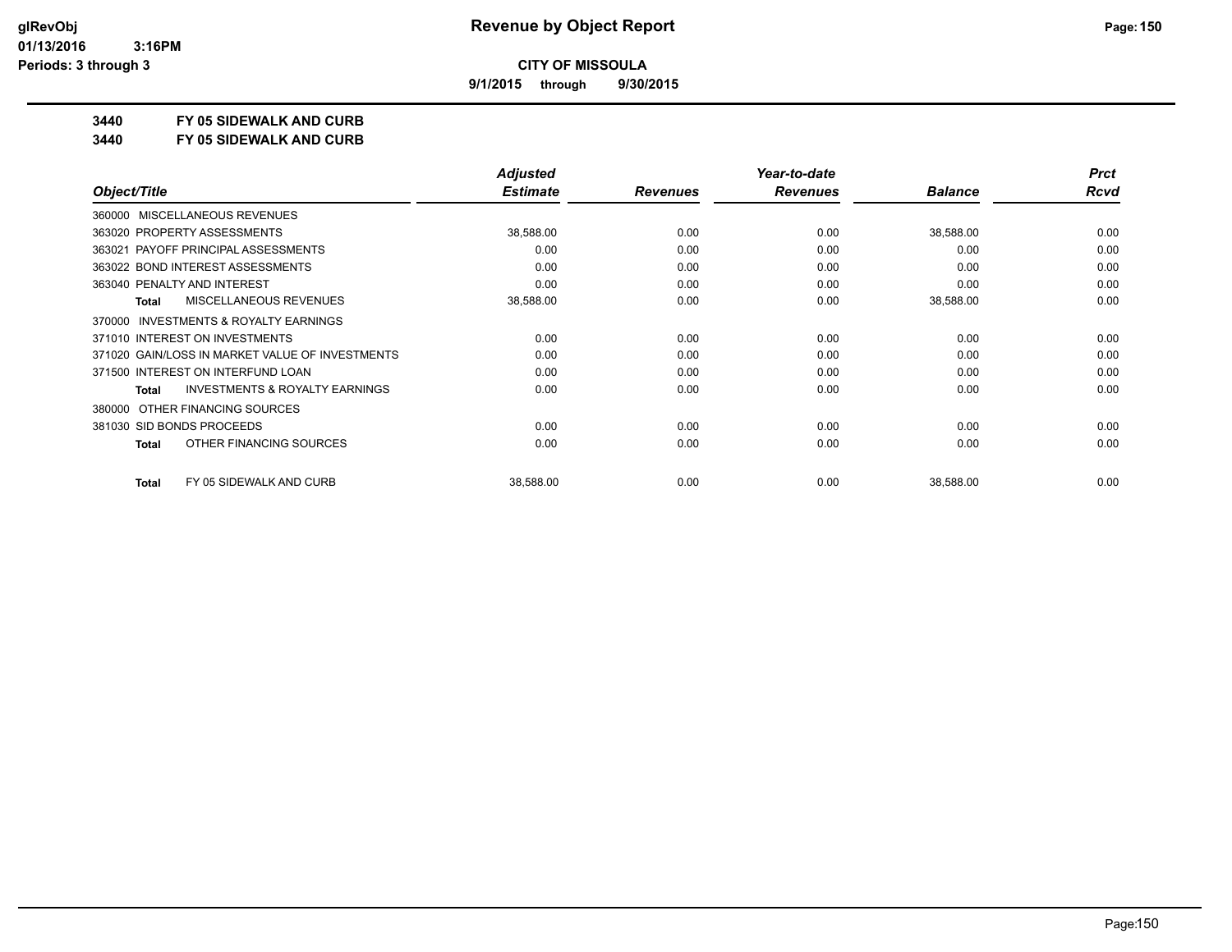**9/1/2015 through 9/30/2015**

### **3440 FY 05 SIDEWALK AND CURB**

**3440 FY 05 SIDEWALK AND CURB**

|                                                           | <b>Adjusted</b> |                 | Year-to-date    |                | <b>Prct</b> |
|-----------------------------------------------------------|-----------------|-----------------|-----------------|----------------|-------------|
| Object/Title                                              | <b>Estimate</b> | <b>Revenues</b> | <b>Revenues</b> | <b>Balance</b> | Rcvd        |
| 360000 MISCELLANEOUS REVENUES                             |                 |                 |                 |                |             |
| 363020 PROPERTY ASSESSMENTS                               | 38,588.00       | 0.00            | 0.00            | 38,588.00      | 0.00        |
| 363021 PAYOFF PRINCIPAL ASSESSMENTS                       | 0.00            | 0.00            | 0.00            | 0.00           | 0.00        |
| 363022 BOND INTEREST ASSESSMENTS                          | 0.00            | 0.00            | 0.00            | 0.00           | 0.00        |
| 363040 PENALTY AND INTEREST                               | 0.00            | 0.00            | 0.00            | 0.00           | 0.00        |
| <b>MISCELLANEOUS REVENUES</b><br><b>Total</b>             | 38,588.00       | 0.00            | 0.00            | 38,588.00      | 0.00        |
| INVESTMENTS & ROYALTY EARNINGS<br>370000                  |                 |                 |                 |                |             |
| 371010 INTEREST ON INVESTMENTS                            | 0.00            | 0.00            | 0.00            | 0.00           | 0.00        |
| 371020 GAIN/LOSS IN MARKET VALUE OF INVESTMENTS           | 0.00            | 0.00            | 0.00            | 0.00           | 0.00        |
| 371500 INTEREST ON INTERFUND LOAN                         | 0.00            | 0.00            | 0.00            | 0.00           | 0.00        |
| <b>INVESTMENTS &amp; ROYALTY EARNINGS</b><br><b>Total</b> | 0.00            | 0.00            | 0.00            | 0.00           | 0.00        |
| 380000 OTHER FINANCING SOURCES                            |                 |                 |                 |                |             |
| 381030 SID BONDS PROCEEDS                                 | 0.00            | 0.00            | 0.00            | 0.00           | 0.00        |
| OTHER FINANCING SOURCES<br>Total                          | 0.00            | 0.00            | 0.00            | 0.00           | 0.00        |
| FY 05 SIDEWALK AND CURB<br><b>Total</b>                   | 38,588.00       | 0.00            | 0.00            | 38,588.00      | 0.00        |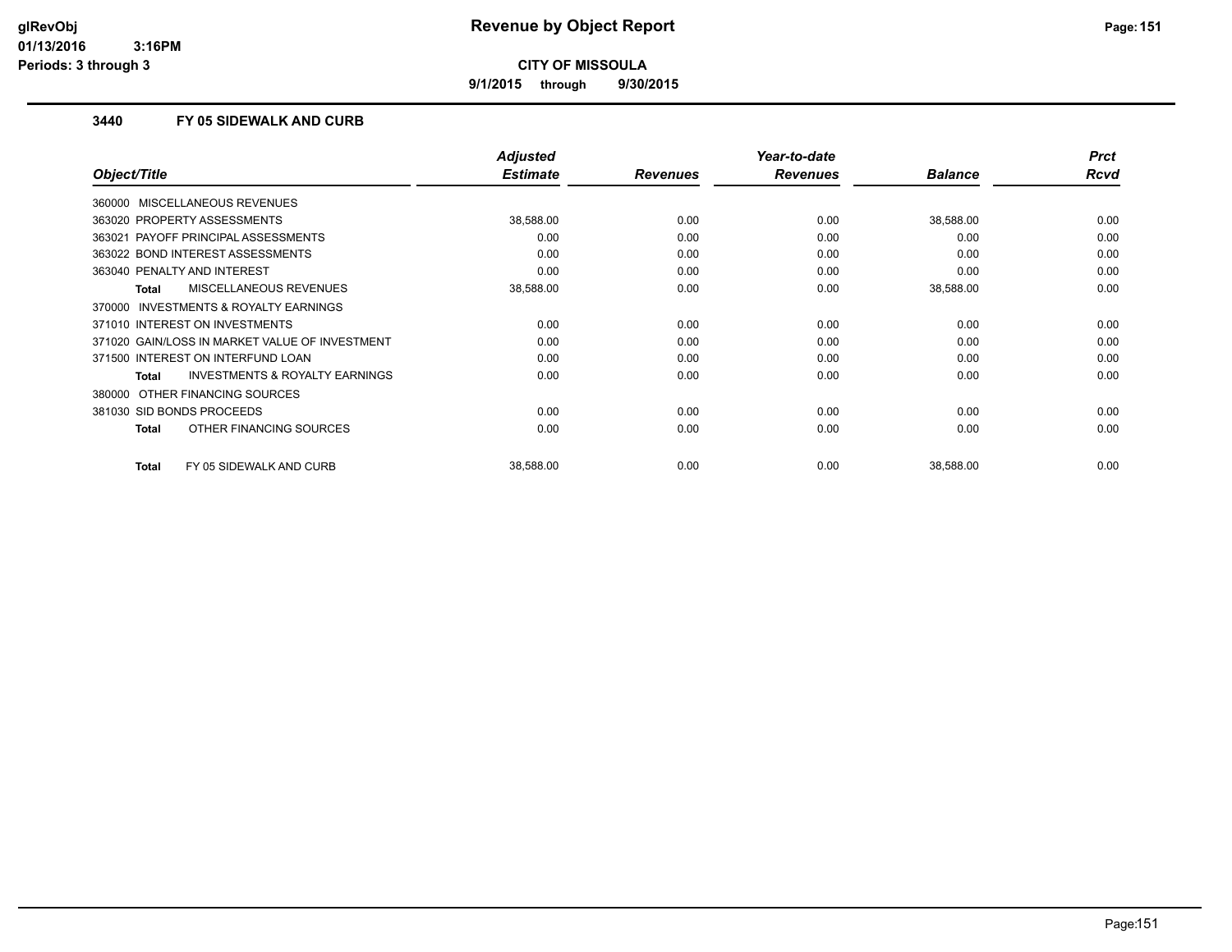**9/1/2015 through 9/30/2015**

#### **3440 FY 05 SIDEWALK AND CURB**

|                                                     | <b>Adjusted</b> |                 | Year-to-date    |                | <b>Prct</b> |
|-----------------------------------------------------|-----------------|-----------------|-----------------|----------------|-------------|
| Object/Title                                        | <b>Estimate</b> | <b>Revenues</b> | <b>Revenues</b> | <b>Balance</b> | Rcvd        |
| 360000 MISCELLANEOUS REVENUES                       |                 |                 |                 |                |             |
| 363020 PROPERTY ASSESSMENTS                         | 38,588.00       | 0.00            | 0.00            | 38,588.00      | 0.00        |
| 363021 PAYOFF PRINCIPAL ASSESSMENTS                 | 0.00            | 0.00            | 0.00            | 0.00           | 0.00        |
| 363022 BOND INTEREST ASSESSMENTS                    | 0.00            | 0.00            | 0.00            | 0.00           | 0.00        |
| 363040 PENALTY AND INTEREST                         | 0.00            | 0.00            | 0.00            | 0.00           | 0.00        |
| MISCELLANEOUS REVENUES<br>Total                     | 38,588.00       | 0.00            | 0.00            | 38,588.00      | 0.00        |
| <b>INVESTMENTS &amp; ROYALTY EARNINGS</b><br>370000 |                 |                 |                 |                |             |
| 371010 INTEREST ON INVESTMENTS                      | 0.00            | 0.00            | 0.00            | 0.00           | 0.00        |
| 371020 GAIN/LOSS IN MARKET VALUE OF INVESTMENT      | 0.00            | 0.00            | 0.00            | 0.00           | 0.00        |
| 371500 INTEREST ON INTERFUND LOAN                   | 0.00            | 0.00            | 0.00            | 0.00           | 0.00        |
| <b>INVESTMENTS &amp; ROYALTY EARNINGS</b><br>Total  | 0.00            | 0.00            | 0.00            | 0.00           | 0.00        |
| 380000 OTHER FINANCING SOURCES                      |                 |                 |                 |                |             |
| 381030 SID BONDS PROCEEDS                           | 0.00            | 0.00            | 0.00            | 0.00           | 0.00        |
| OTHER FINANCING SOURCES<br>Total                    | 0.00            | 0.00            | 0.00            | 0.00           | 0.00        |
| FY 05 SIDEWALK AND CURB<br>Total                    | 38,588.00       | 0.00            | 0.00            | 38,588.00      | 0.00        |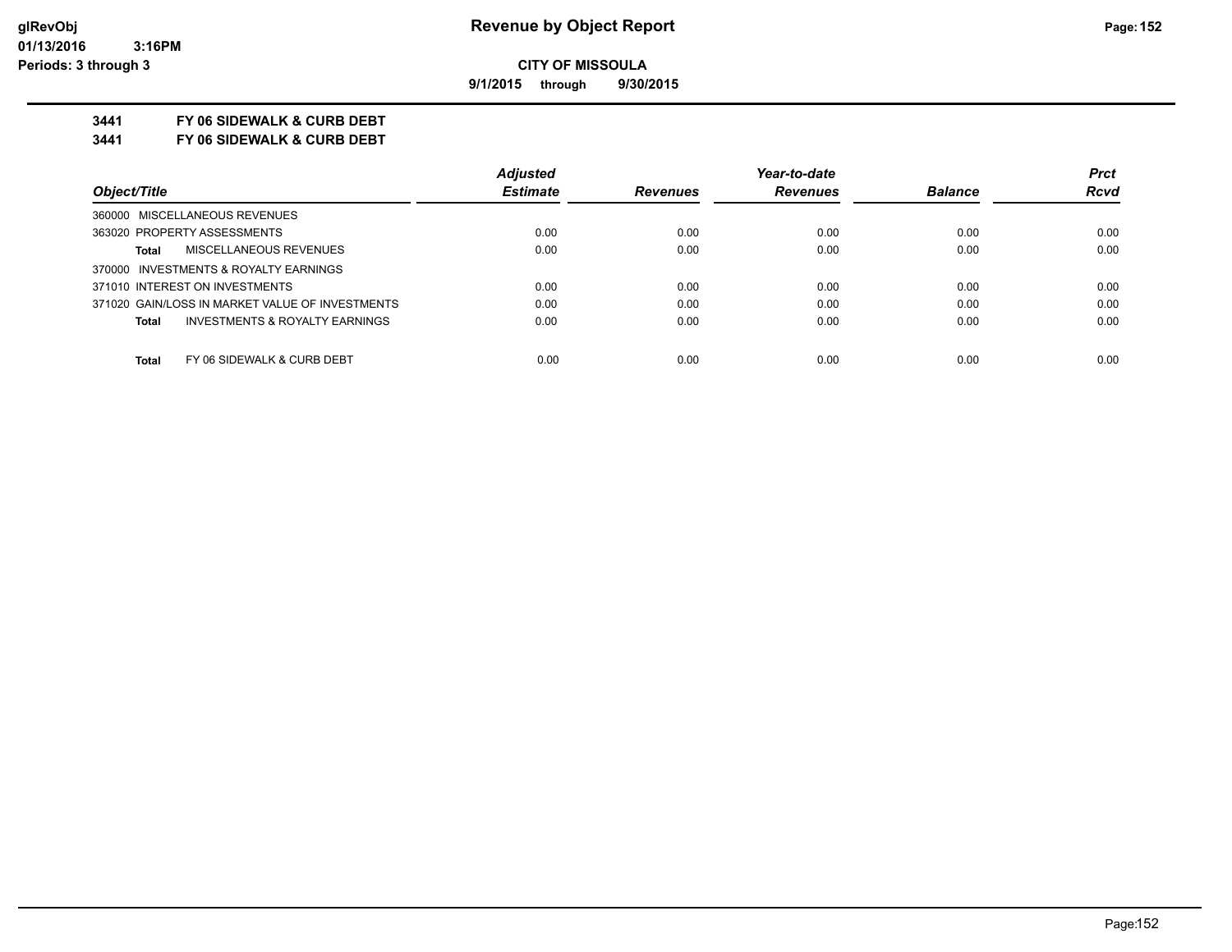**9/1/2015 through 9/30/2015**

### **3441 FY 06 SIDEWALK & CURB DEBT**

**3441 FY 06 SIDEWALK & CURB DEBT**

|                                                 | <b>Adjusted</b> |                 | Year-to-date    |                | <b>Prct</b> |
|-------------------------------------------------|-----------------|-----------------|-----------------|----------------|-------------|
| Object/Title                                    | <b>Estimate</b> | <b>Revenues</b> | <b>Revenues</b> | <b>Balance</b> | <b>Rcvd</b> |
| 360000 MISCELLANEOUS REVENUES                   |                 |                 |                 |                |             |
| 363020 PROPERTY ASSESSMENTS                     | 0.00            | 0.00            | 0.00            | 0.00           | 0.00        |
| MISCELLANEOUS REVENUES<br><b>Total</b>          | 0.00            | 0.00            | 0.00            | 0.00           | 0.00        |
| 370000 INVESTMENTS & ROYALTY EARNINGS           |                 |                 |                 |                |             |
| 371010 INTEREST ON INVESTMENTS                  | 0.00            | 0.00            | 0.00            | 0.00           | 0.00        |
| 371020 GAIN/LOSS IN MARKET VALUE OF INVESTMENTS | 0.00            | 0.00            | 0.00            | 0.00           | 0.00        |
| INVESTMENTS & ROYALTY EARNINGS<br>Total         | 0.00            | 0.00            | 0.00            | 0.00           | 0.00        |
| Total<br>FY 06 SIDEWALK & CURB DEBT             | 0.00            | 0.00            | 0.00            | 0.00           | 0.00        |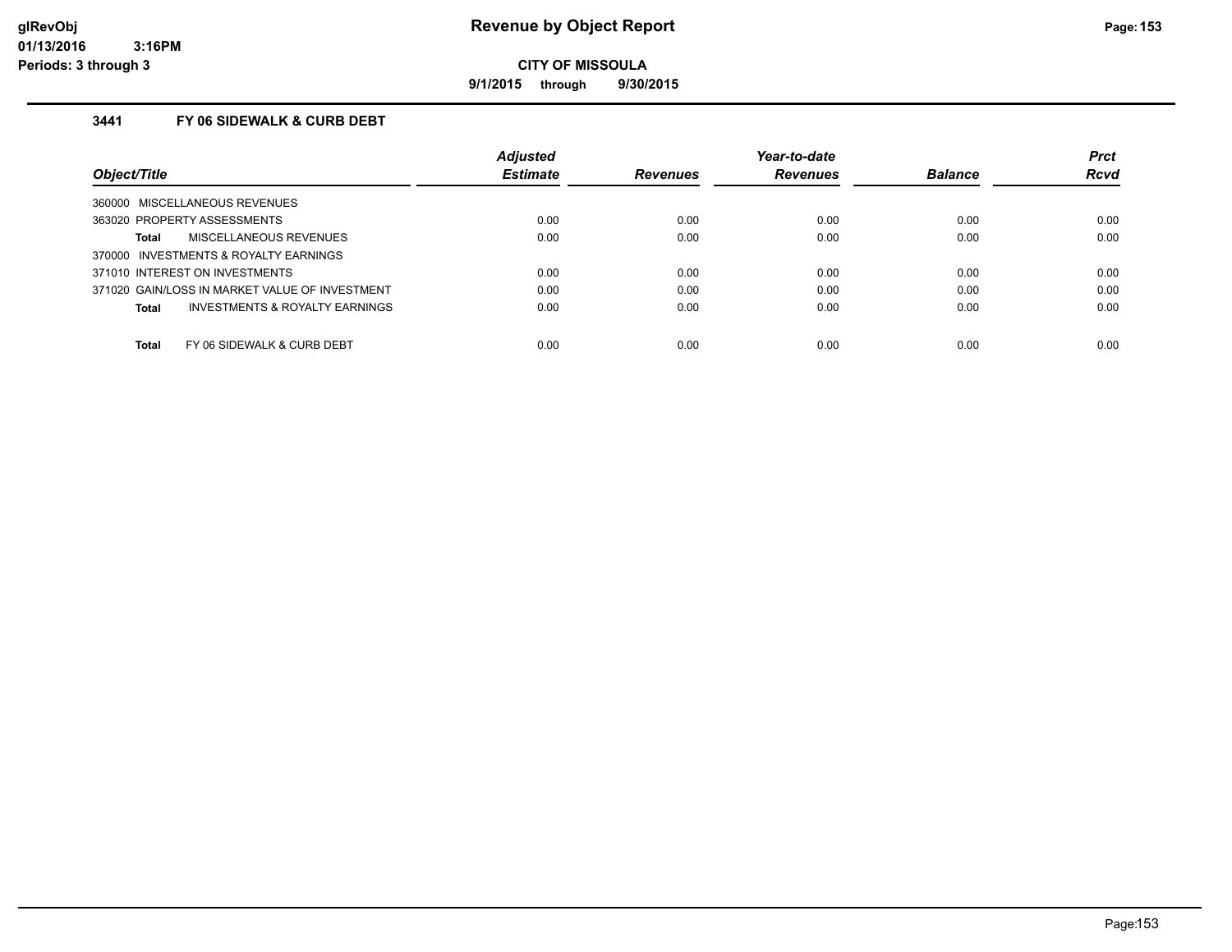**9/1/2015 through 9/30/2015**

### **3441 FY 06 SIDEWALK & CURB DEBT**

|                                                    | <b>Adjusted</b> |                 | Year-to-date    |                | <b>Prct</b> |
|----------------------------------------------------|-----------------|-----------------|-----------------|----------------|-------------|
| Object/Title                                       | <b>Estimate</b> | <b>Revenues</b> | <b>Revenues</b> | <b>Balance</b> | <b>Rcvd</b> |
| 360000 MISCELLANEOUS REVENUES                      |                 |                 |                 |                |             |
| 363020 PROPERTY ASSESSMENTS                        | 0.00            | 0.00            | 0.00            | 0.00           | 0.00        |
| MISCELLANEOUS REVENUES<br>Total                    | 0.00            | 0.00            | 0.00            | 0.00           | 0.00        |
| 370000 INVESTMENTS & ROYALTY EARNINGS              |                 |                 |                 |                |             |
| 371010 INTEREST ON INVESTMENTS                     | 0.00            | 0.00            | 0.00            | 0.00           | 0.00        |
| 371020 GAIN/LOSS IN MARKET VALUE OF INVESTMENT     | 0.00            | 0.00            | 0.00            | 0.00           | 0.00        |
| <b>INVESTMENTS &amp; ROYALTY EARNINGS</b><br>Total | 0.00            | 0.00            | 0.00            | 0.00           | 0.00        |
|                                                    |                 |                 |                 |                |             |
| <b>Total</b><br>FY 06 SIDEWALK & CURB DEBT         | 0.00            | 0.00            | 0.00            | 0.00           | 0.00        |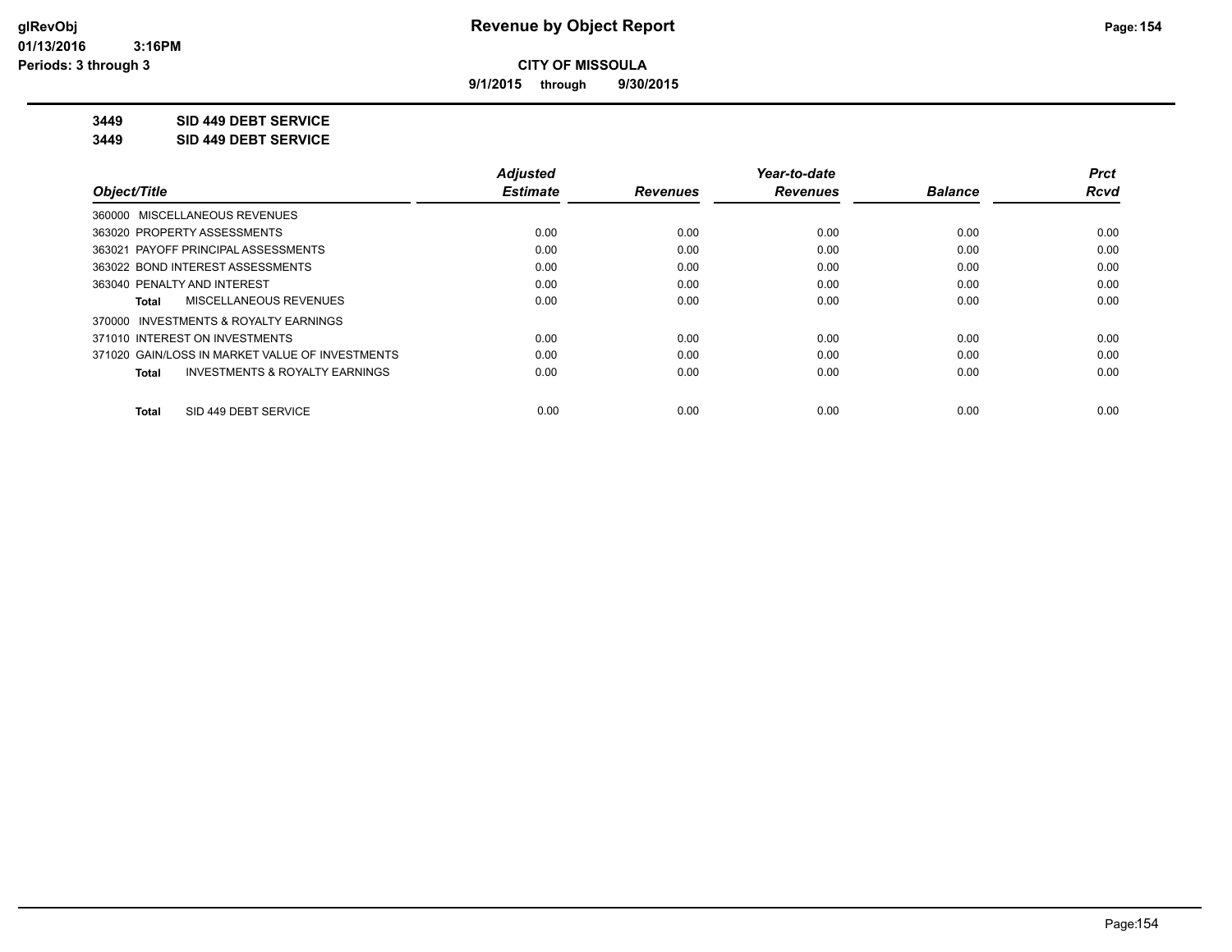**9/1/2015 through 9/30/2015**

**3449 SID 449 DEBT SERVICE**

**3449 SID 449 DEBT SERVICE**

|                                                    | <b>Adjusted</b> |                 | Year-to-date    |                | <b>Prct</b> |
|----------------------------------------------------|-----------------|-----------------|-----------------|----------------|-------------|
| Object/Title                                       | <b>Estimate</b> | <b>Revenues</b> | <b>Revenues</b> | <b>Balance</b> | <b>Rcvd</b> |
| 360000 MISCELLANEOUS REVENUES                      |                 |                 |                 |                |             |
| 363020 PROPERTY ASSESSMENTS                        | 0.00            | 0.00            | 0.00            | 0.00           | 0.00        |
| 363021 PAYOFF PRINCIPAL ASSESSMENTS                | 0.00            | 0.00            | 0.00            | 0.00           | 0.00        |
| 363022 BOND INTEREST ASSESSMENTS                   | 0.00            | 0.00            | 0.00            | 0.00           | 0.00        |
| 363040 PENALTY AND INTEREST                        | 0.00            | 0.00            | 0.00            | 0.00           | 0.00        |
| MISCELLANEOUS REVENUES<br>Total                    | 0.00            | 0.00            | 0.00            | 0.00           | 0.00        |
| INVESTMENTS & ROYALTY EARNINGS<br>370000           |                 |                 |                 |                |             |
| 371010 INTEREST ON INVESTMENTS                     | 0.00            | 0.00            | 0.00            | 0.00           | 0.00        |
| 371020 GAIN/LOSS IN MARKET VALUE OF INVESTMENTS    | 0.00            | 0.00            | 0.00            | 0.00           | 0.00        |
| <b>INVESTMENTS &amp; ROYALTY EARNINGS</b><br>Total | 0.00            | 0.00            | 0.00            | 0.00           | 0.00        |
| SID 449 DEBT SERVICE<br><b>Total</b>               | 0.00            | 0.00            | 0.00            | 0.00           | 0.00        |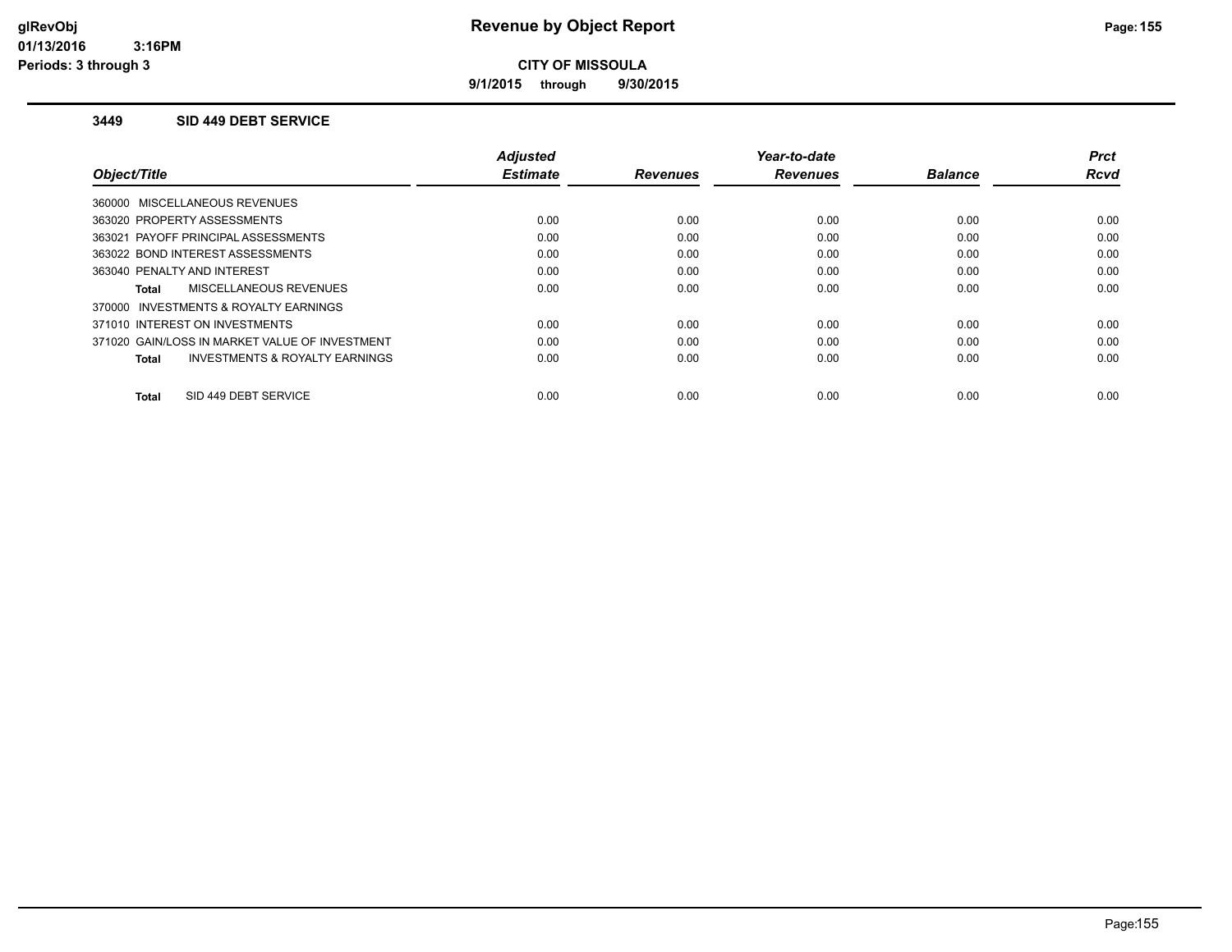**9/1/2015 through 9/30/2015**

#### **3449 SID 449 DEBT SERVICE**

|                                                    | <b>Adjusted</b> |                 | Year-to-date    |                | <b>Prct</b> |
|----------------------------------------------------|-----------------|-----------------|-----------------|----------------|-------------|
| Object/Title                                       | <b>Estimate</b> | <b>Revenues</b> | <b>Revenues</b> | <b>Balance</b> | <b>Rcvd</b> |
| 360000 MISCELLANEOUS REVENUES                      |                 |                 |                 |                |             |
| 363020 PROPERTY ASSESSMENTS                        | 0.00            | 0.00            | 0.00            | 0.00           | 0.00        |
| 363021 PAYOFF PRINCIPAL ASSESSMENTS                | 0.00            | 0.00            | 0.00            | 0.00           | 0.00        |
| 363022 BOND INTEREST ASSESSMENTS                   | 0.00            | 0.00            | 0.00            | 0.00           | 0.00        |
| 363040 PENALTY AND INTEREST                        | 0.00            | 0.00            | 0.00            | 0.00           | 0.00        |
| MISCELLANEOUS REVENUES<br>Total                    | 0.00            | 0.00            | 0.00            | 0.00           | 0.00        |
| 370000 INVESTMENTS & ROYALTY EARNINGS              |                 |                 |                 |                |             |
| 371010 INTEREST ON INVESTMENTS                     | 0.00            | 0.00            | 0.00            | 0.00           | 0.00        |
| 371020 GAIN/LOSS IN MARKET VALUE OF INVESTMENT     | 0.00            | 0.00            | 0.00            | 0.00           | 0.00        |
| <b>INVESTMENTS &amp; ROYALTY EARNINGS</b><br>Total | 0.00            | 0.00            | 0.00            | 0.00           | 0.00        |
|                                                    |                 |                 |                 |                |             |
| SID 449 DEBT SERVICE<br>Total                      | 0.00            | 0.00            | 0.00            | 0.00           | 0.00        |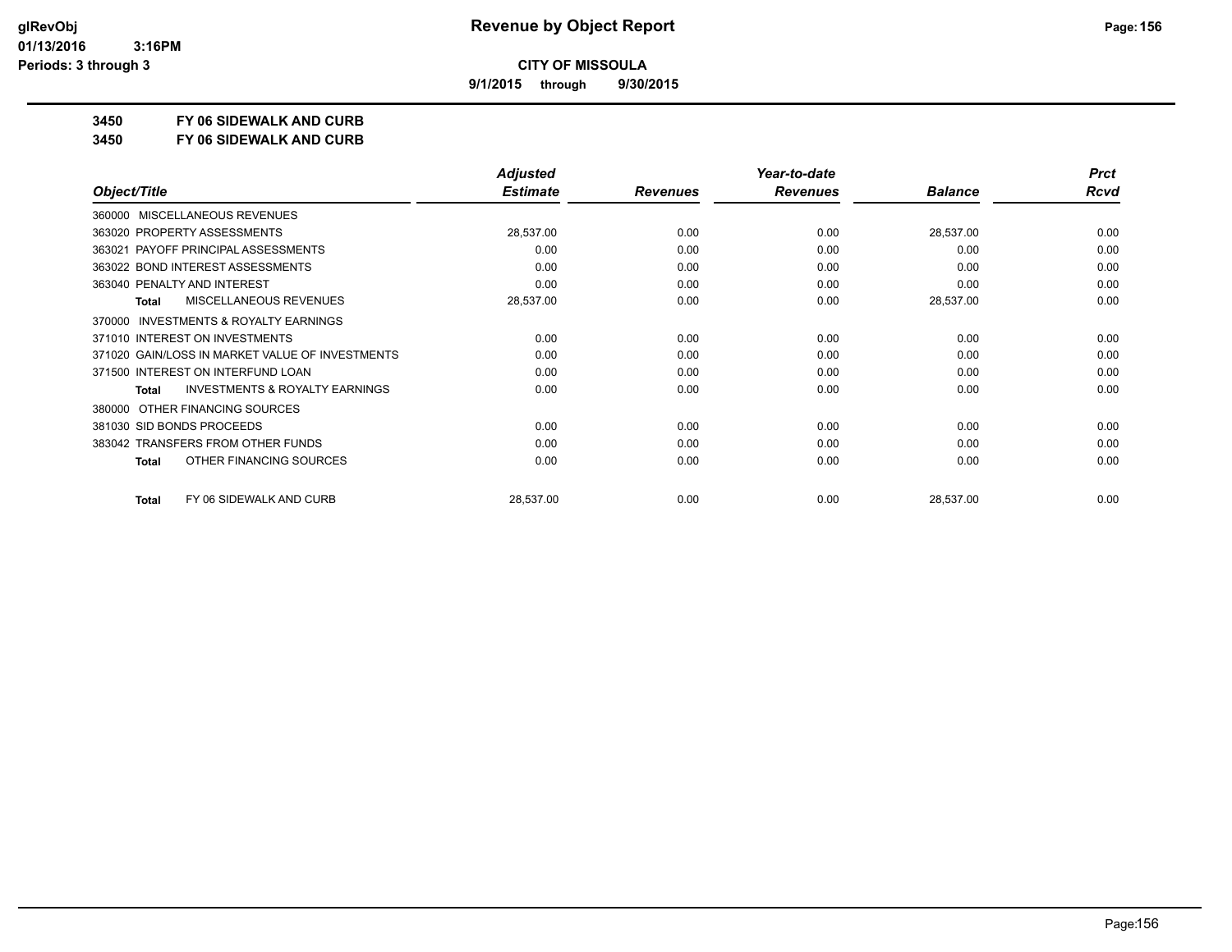**9/1/2015 through 9/30/2015**

**3450 FY 06 SIDEWALK AND CURB**

**3450 FY 06 SIDEWALK AND CURB**

|                                                           | <b>Adjusted</b> |                 | Year-to-date    |                | <b>Prct</b> |
|-----------------------------------------------------------|-----------------|-----------------|-----------------|----------------|-------------|
| Object/Title                                              | <b>Estimate</b> | <b>Revenues</b> | <b>Revenues</b> | <b>Balance</b> | <b>Rcvd</b> |
| MISCELLANEOUS REVENUES<br>360000                          |                 |                 |                 |                |             |
| 363020 PROPERTY ASSESSMENTS                               | 28,537.00       | 0.00            | 0.00            | 28,537.00      | 0.00        |
| 363021 PAYOFF PRINCIPAL ASSESSMENTS                       | 0.00            | 0.00            | 0.00            | 0.00           | 0.00        |
| 363022 BOND INTEREST ASSESSMENTS                          | 0.00            | 0.00            | 0.00            | 0.00           | 0.00        |
| 363040 PENALTY AND INTEREST                               | 0.00            | 0.00            | 0.00            | 0.00           | 0.00        |
| MISCELLANEOUS REVENUES<br><b>Total</b>                    | 28,537.00       | 0.00            | 0.00            | 28,537.00      | 0.00        |
| <b>INVESTMENTS &amp; ROYALTY EARNINGS</b><br>370000       |                 |                 |                 |                |             |
| 371010 INTEREST ON INVESTMENTS                            | 0.00            | 0.00            | 0.00            | 0.00           | 0.00        |
| 371020 GAIN/LOSS IN MARKET VALUE OF INVESTMENTS           | 0.00            | 0.00            | 0.00            | 0.00           | 0.00        |
| 371500 INTEREST ON INTERFUND LOAN                         | 0.00            | 0.00            | 0.00            | 0.00           | 0.00        |
| <b>INVESTMENTS &amp; ROYALTY EARNINGS</b><br><b>Total</b> | 0.00            | 0.00            | 0.00            | 0.00           | 0.00        |
| OTHER FINANCING SOURCES<br>380000                         |                 |                 |                 |                |             |
| 381030 SID BONDS PROCEEDS                                 | 0.00            | 0.00            | 0.00            | 0.00           | 0.00        |
| 383042 TRANSFERS FROM OTHER FUNDS                         | 0.00            | 0.00            | 0.00            | 0.00           | 0.00        |
| OTHER FINANCING SOURCES<br>Total                          | 0.00            | 0.00            | 0.00            | 0.00           | 0.00        |
| FY 06 SIDEWALK AND CURB<br>Total                          | 28,537.00       | 0.00            | 0.00            | 28,537.00      | 0.00        |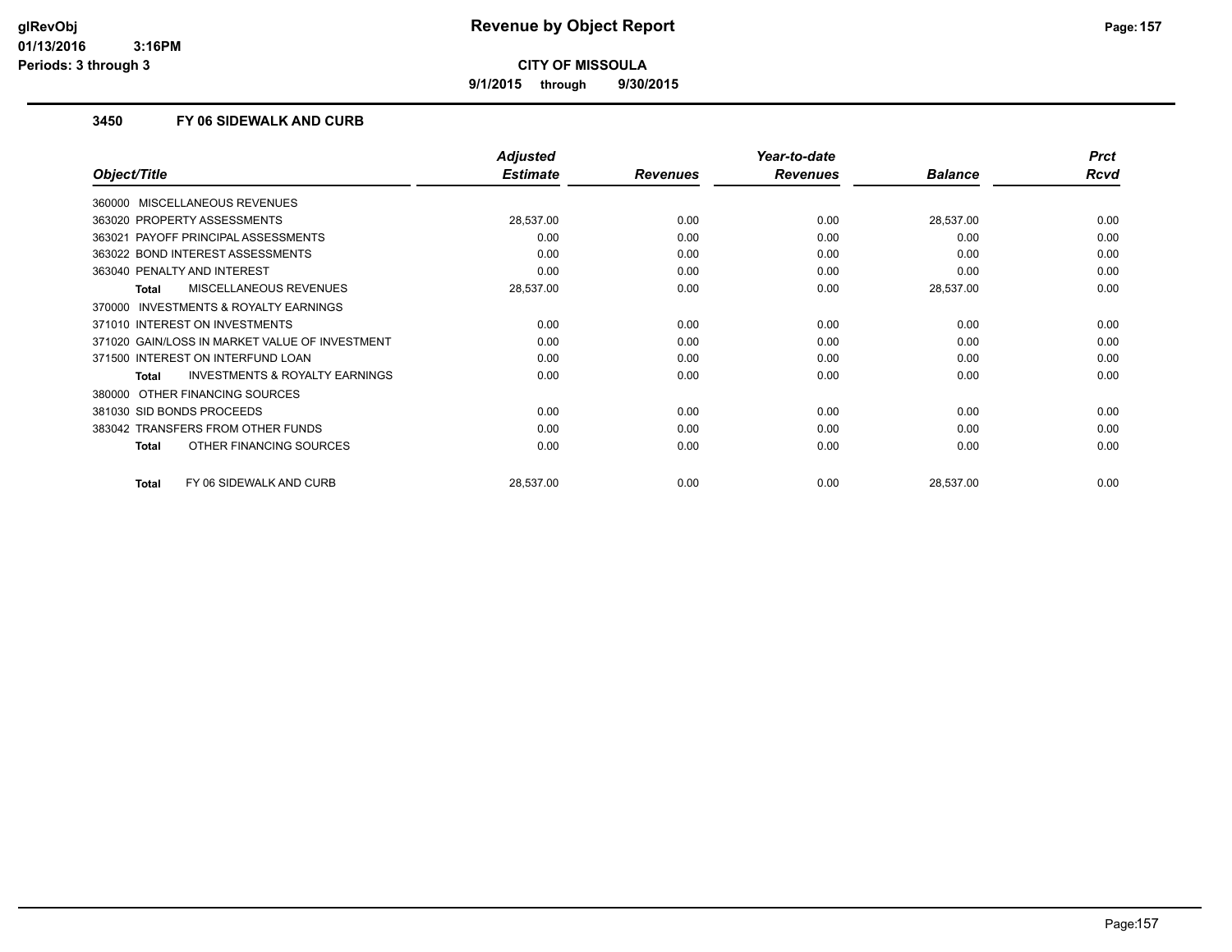**9/1/2015 through 9/30/2015**

#### **3450 FY 06 SIDEWALK AND CURB**

|                                                    | <b>Adjusted</b> |                 | Year-to-date    |                | <b>Prct</b> |
|----------------------------------------------------|-----------------|-----------------|-----------------|----------------|-------------|
| Object/Title                                       | <b>Estimate</b> | <b>Revenues</b> | <b>Revenues</b> | <b>Balance</b> | <b>Rcvd</b> |
| 360000 MISCELLANEOUS REVENUES                      |                 |                 |                 |                |             |
| 363020 PROPERTY ASSESSMENTS                        | 28,537.00       | 0.00            | 0.00            | 28,537.00      | 0.00        |
| PAYOFF PRINCIPAL ASSESSMENTS<br>363021             | 0.00            | 0.00            | 0.00            | 0.00           | 0.00        |
| 363022 BOND INTEREST ASSESSMENTS                   | 0.00            | 0.00            | 0.00            | 0.00           | 0.00        |
| 363040 PENALTY AND INTEREST                        | 0.00            | 0.00            | 0.00            | 0.00           | 0.00        |
| MISCELLANEOUS REVENUES<br>Total                    | 28,537.00       | 0.00            | 0.00            | 28,537.00      | 0.00        |
| 370000 INVESTMENTS & ROYALTY EARNINGS              |                 |                 |                 |                |             |
| 371010 INTEREST ON INVESTMENTS                     | 0.00            | 0.00            | 0.00            | 0.00           | 0.00        |
| 371020 GAIN/LOSS IN MARKET VALUE OF INVESTMENT     | 0.00            | 0.00            | 0.00            | 0.00           | 0.00        |
| 371500 INTEREST ON INTERFUND LOAN                  | 0.00            | 0.00            | 0.00            | 0.00           | 0.00        |
| <b>INVESTMENTS &amp; ROYALTY EARNINGS</b><br>Total | 0.00            | 0.00            | 0.00            | 0.00           | 0.00        |
| OTHER FINANCING SOURCES<br>380000                  |                 |                 |                 |                |             |
| 381030 SID BONDS PROCEEDS                          | 0.00            | 0.00            | 0.00            | 0.00           | 0.00        |
| 383042 TRANSFERS FROM OTHER FUNDS                  | 0.00            | 0.00            | 0.00            | 0.00           | 0.00        |
| OTHER FINANCING SOURCES<br><b>Total</b>            | 0.00            | 0.00            | 0.00            | 0.00           | 0.00        |
| FY 06 SIDEWALK AND CURB<br><b>Total</b>            | 28,537.00       | 0.00            | 0.00            | 28,537.00      | 0.00        |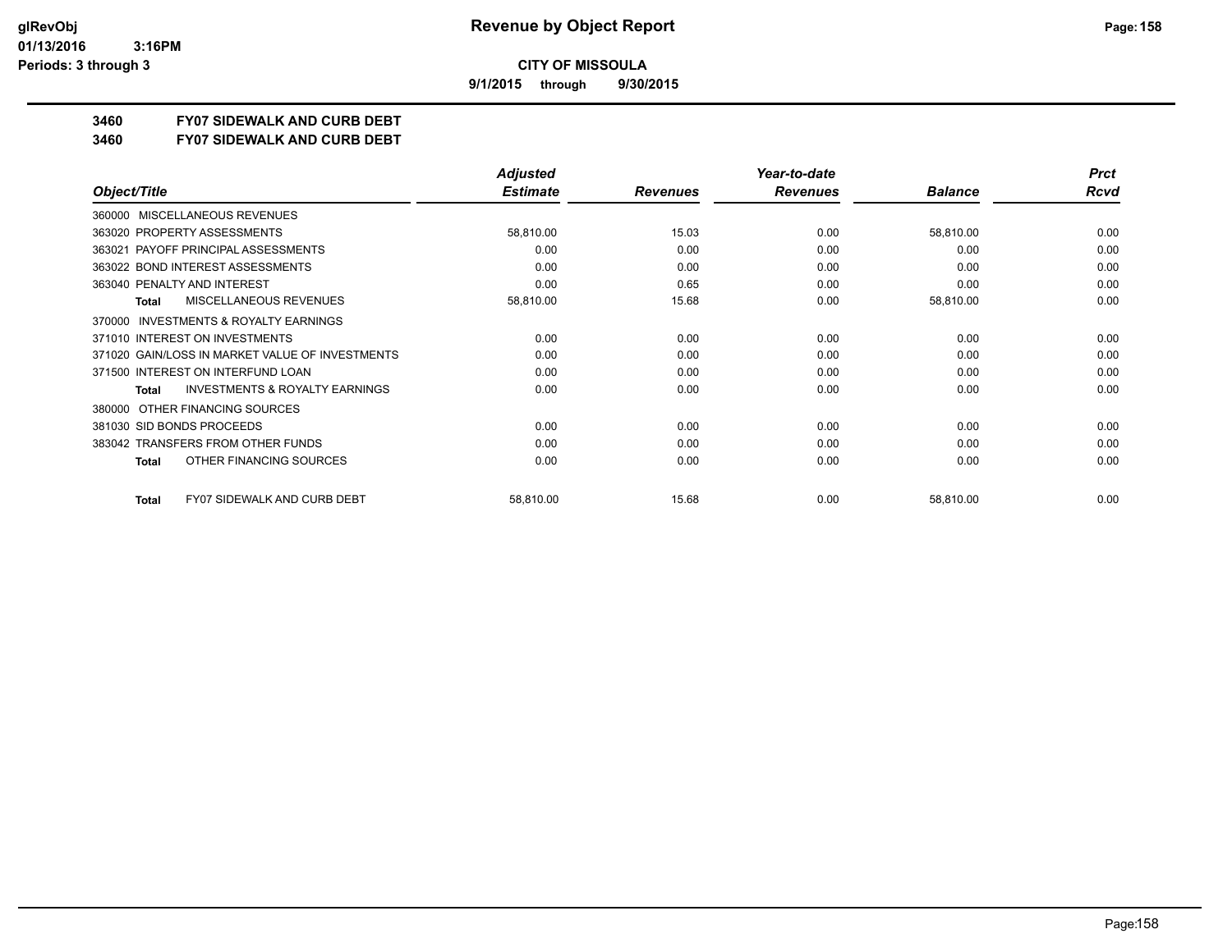**9/1/2015 through 9/30/2015**

# **3460 FY07 SIDEWALK AND CURB DEBT**

#### **3460 FY07 SIDEWALK AND CURB DEBT**

|                                                     | <b>Adjusted</b> |                 | Year-to-date    |                | <b>Prct</b> |
|-----------------------------------------------------|-----------------|-----------------|-----------------|----------------|-------------|
| Object/Title                                        | <b>Estimate</b> | <b>Revenues</b> | <b>Revenues</b> | <b>Balance</b> | <b>Rcvd</b> |
| MISCELLANEOUS REVENUES<br>360000                    |                 |                 |                 |                |             |
| 363020 PROPERTY ASSESSMENTS                         | 58,810.00       | 15.03           | 0.00            | 58,810.00      | 0.00        |
| 363021 PAYOFF PRINCIPAL ASSESSMENTS                 | 0.00            | 0.00            | 0.00            | 0.00           | 0.00        |
| 363022 BOND INTEREST ASSESSMENTS                    | 0.00            | 0.00            | 0.00            | 0.00           | 0.00        |
| 363040 PENALTY AND INTEREST                         | 0.00            | 0.65            | 0.00            | 0.00           | 0.00        |
| MISCELLANEOUS REVENUES<br><b>Total</b>              | 58,810.00       | 15.68           | 0.00            | 58,810.00      | 0.00        |
| <b>INVESTMENTS &amp; ROYALTY EARNINGS</b><br>370000 |                 |                 |                 |                |             |
| 371010 INTEREST ON INVESTMENTS                      | 0.00            | 0.00            | 0.00            | 0.00           | 0.00        |
| 371020 GAIN/LOSS IN MARKET VALUE OF INVESTMENTS     | 0.00            | 0.00            | 0.00            | 0.00           | 0.00        |
| 371500 INTEREST ON INTERFUND LOAN                   | 0.00            | 0.00            | 0.00            | 0.00           | 0.00        |
| <b>INVESTMENTS &amp; ROYALTY EARNINGS</b><br>Total  | 0.00            | 0.00            | 0.00            | 0.00           | 0.00        |
| OTHER FINANCING SOURCES<br>380000                   |                 |                 |                 |                |             |
| 381030 SID BONDS PROCEEDS                           | 0.00            | 0.00            | 0.00            | 0.00           | 0.00        |
| 383042 TRANSFERS FROM OTHER FUNDS                   | 0.00            | 0.00            | 0.00            | 0.00           | 0.00        |
| OTHER FINANCING SOURCES<br>Total                    | 0.00            | 0.00            | 0.00            | 0.00           | 0.00        |
| <b>FY07 SIDEWALK AND CURB DEBT</b><br><b>Total</b>  | 58,810.00       | 15.68           | 0.00            | 58,810.00      | 0.00        |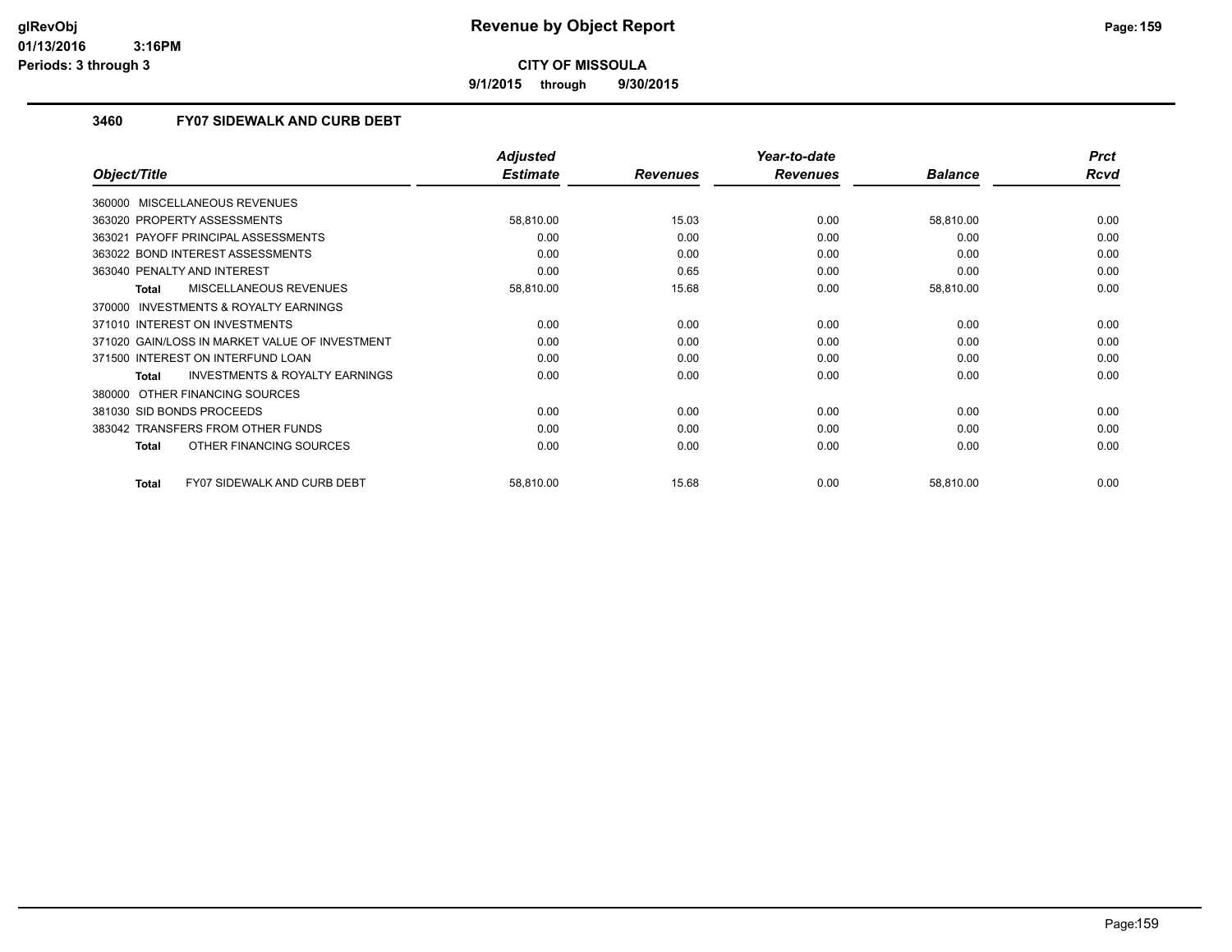**9/1/2015 through 9/30/2015**

#### **3460 FY07 SIDEWALK AND CURB DEBT**

|                                                    | <b>Adjusted</b> |                 | Year-to-date    |                | <b>Prct</b> |
|----------------------------------------------------|-----------------|-----------------|-----------------|----------------|-------------|
| Object/Title                                       | <b>Estimate</b> | <b>Revenues</b> | <b>Revenues</b> | <b>Balance</b> | <b>Rcvd</b> |
| 360000 MISCELLANEOUS REVENUES                      |                 |                 |                 |                |             |
| 363020 PROPERTY ASSESSMENTS                        | 58,810.00       | 15.03           | 0.00            | 58,810.00      | 0.00        |
| PAYOFF PRINCIPAL ASSESSMENTS<br>363021             | 0.00            | 0.00            | 0.00            | 0.00           | 0.00        |
| 363022 BOND INTEREST ASSESSMENTS                   | 0.00            | 0.00            | 0.00            | 0.00           | 0.00        |
| 363040 PENALTY AND INTEREST                        | 0.00            | 0.65            | 0.00            | 0.00           | 0.00        |
| MISCELLANEOUS REVENUES<br>Total                    | 58,810.00       | 15.68           | 0.00            | 58,810.00      | 0.00        |
| 370000 INVESTMENTS & ROYALTY EARNINGS              |                 |                 |                 |                |             |
| 371010 INTEREST ON INVESTMENTS                     | 0.00            | 0.00            | 0.00            | 0.00           | 0.00        |
| 371020 GAIN/LOSS IN MARKET VALUE OF INVESTMENT     | 0.00            | 0.00            | 0.00            | 0.00           | 0.00        |
| 371500 INTEREST ON INTERFUND LOAN                  | 0.00            | 0.00            | 0.00            | 0.00           | 0.00        |
| <b>INVESTMENTS &amp; ROYALTY EARNINGS</b><br>Total | 0.00            | 0.00            | 0.00            | 0.00           | 0.00        |
| OTHER FINANCING SOURCES<br>380000                  |                 |                 |                 |                |             |
| 381030 SID BONDS PROCEEDS                          | 0.00            | 0.00            | 0.00            | 0.00           | 0.00        |
| 383042 TRANSFERS FROM OTHER FUNDS                  | 0.00            | 0.00            | 0.00            | 0.00           | 0.00        |
| OTHER FINANCING SOURCES<br><b>Total</b>            | 0.00            | 0.00            | 0.00            | 0.00           | 0.00        |
| <b>FY07 SIDEWALK AND CURB DEBT</b><br><b>Total</b> | 58,810.00       | 15.68           | 0.00            | 58,810.00      | 0.00        |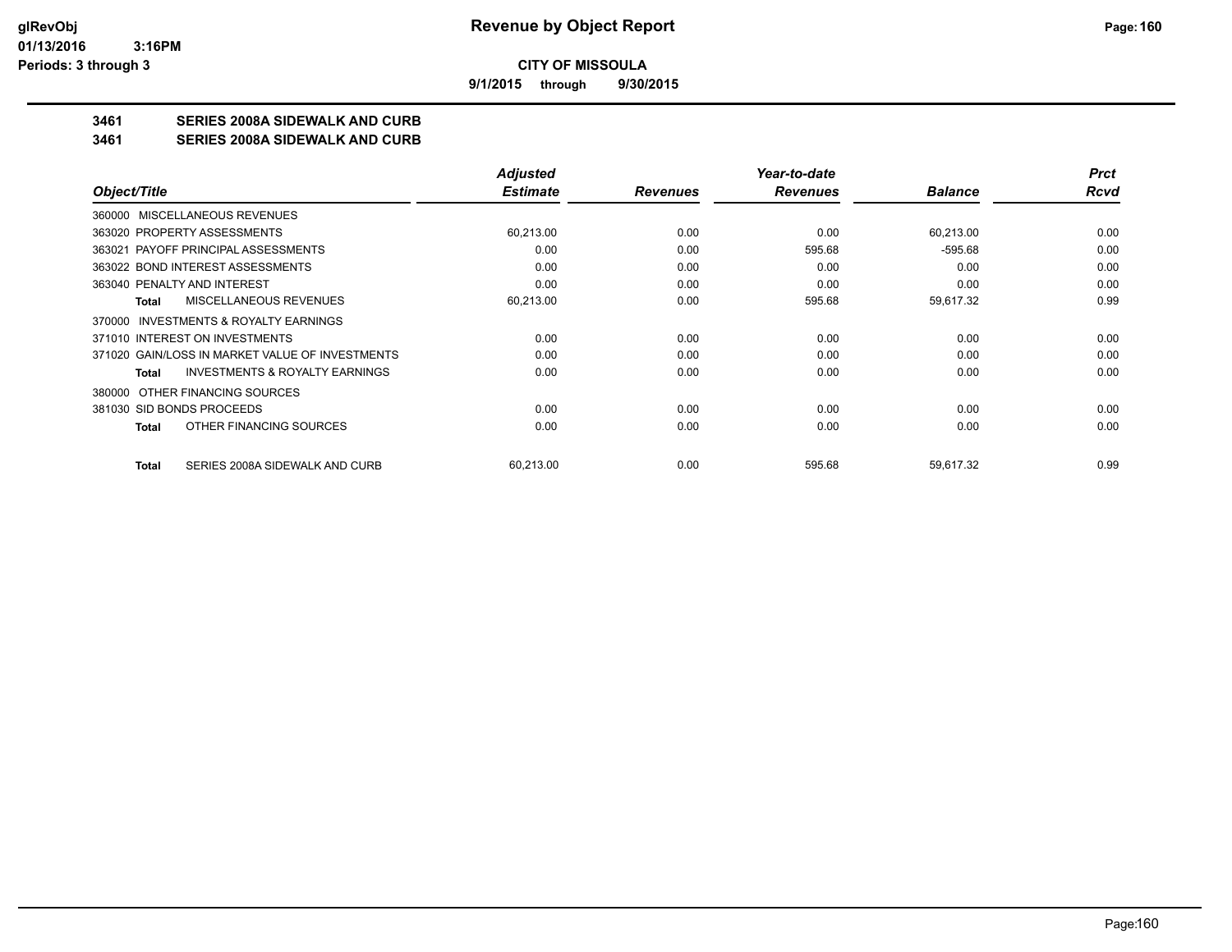**9/1/2015 through 9/30/2015**

### **3461 SERIES 2008A SIDEWALK AND CURB**

**3461 SERIES 2008A SIDEWALK AND CURB**

|                                                           | <b>Adjusted</b> |                 | Year-to-date    |                | <b>Prct</b> |
|-----------------------------------------------------------|-----------------|-----------------|-----------------|----------------|-------------|
| Object/Title                                              | <b>Estimate</b> | <b>Revenues</b> | <b>Revenues</b> | <b>Balance</b> | Rcvd        |
| 360000 MISCELLANEOUS REVENUES                             |                 |                 |                 |                |             |
| 363020 PROPERTY ASSESSMENTS                               | 60,213.00       | 0.00            | 0.00            | 60,213.00      | 0.00        |
| 363021 PAYOFF PRINCIPAL ASSESSMENTS                       | 0.00            | 0.00            | 595.68          | $-595.68$      | 0.00        |
| 363022 BOND INTEREST ASSESSMENTS                          | 0.00            | 0.00            | 0.00            | 0.00           | 0.00        |
| 363040 PENALTY AND INTEREST                               | 0.00            | 0.00            | 0.00            | 0.00           | 0.00        |
| MISCELLANEOUS REVENUES<br><b>Total</b>                    | 60,213.00       | 0.00            | 595.68          | 59,617.32      | 0.99        |
| INVESTMENTS & ROYALTY EARNINGS<br>370000                  |                 |                 |                 |                |             |
| 371010 INTEREST ON INVESTMENTS                            | 0.00            | 0.00            | 0.00            | 0.00           | 0.00        |
| 371020 GAIN/LOSS IN MARKET VALUE OF INVESTMENTS           | 0.00            | 0.00            | 0.00            | 0.00           | 0.00        |
| <b>INVESTMENTS &amp; ROYALTY EARNINGS</b><br><b>Total</b> | 0.00            | 0.00            | 0.00            | 0.00           | 0.00        |
| OTHER FINANCING SOURCES<br>380000                         |                 |                 |                 |                |             |
| 381030 SID BONDS PROCEEDS                                 | 0.00            | 0.00            | 0.00            | 0.00           | 0.00        |
| OTHER FINANCING SOURCES<br><b>Total</b>                   | 0.00            | 0.00            | 0.00            | 0.00           | 0.00        |
| SERIES 2008A SIDEWALK AND CURB<br><b>Total</b>            | 60,213.00       | 0.00            | 595.68          | 59,617.32      | 0.99        |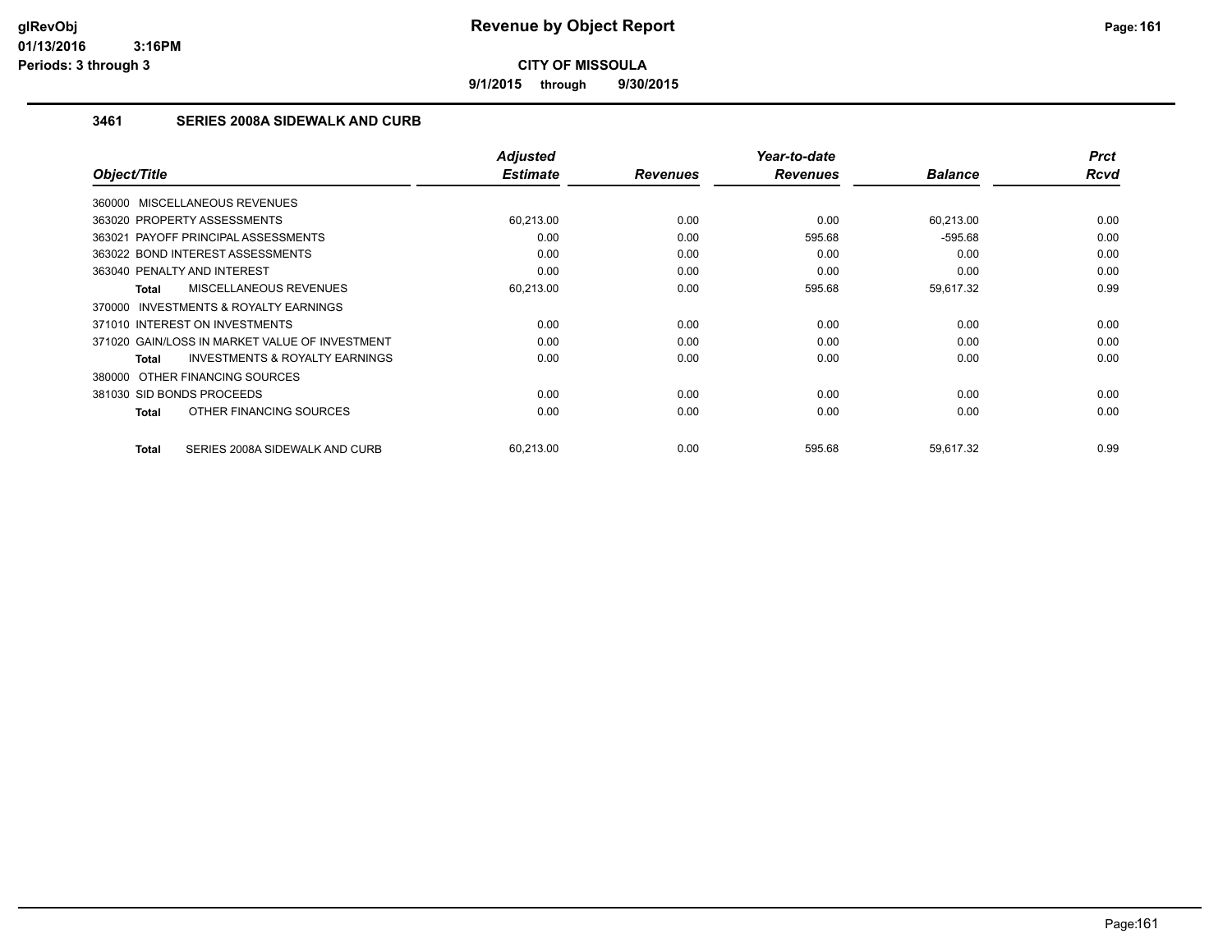**9/1/2015 through 9/30/2015**

### **3461 SERIES 2008A SIDEWALK AND CURB**

| Object/Title                   |                                                | <b>Adjusted</b><br><b>Estimate</b> | <b>Revenues</b> | Year-to-date<br><b>Revenues</b> | <b>Balance</b> | <b>Prct</b><br>Rcvd |
|--------------------------------|------------------------------------------------|------------------------------------|-----------------|---------------------------------|----------------|---------------------|
|                                |                                                |                                    |                 |                                 |                |                     |
| 360000 MISCELLANEOUS REVENUES  |                                                |                                    |                 |                                 |                |                     |
| 363020 PROPERTY ASSESSMENTS    |                                                | 60.213.00                          | 0.00            | 0.00                            | 60,213.00      | 0.00                |
|                                | 363021 PAYOFF PRINCIPAL ASSESSMENTS            | 0.00                               | 0.00            | 595.68                          | $-595.68$      | 0.00                |
|                                | 363022 BOND INTEREST ASSESSMENTS               | 0.00                               | 0.00            | 0.00                            | 0.00           | 0.00                |
| 363040 PENALTY AND INTEREST    |                                                | 0.00                               | 0.00            | 0.00                            | 0.00           | 0.00                |
| Total                          | MISCELLANEOUS REVENUES                         | 60,213.00                          | 0.00            | 595.68                          | 59,617.32      | 0.99                |
|                                | 370000 INVESTMENTS & ROYALTY EARNINGS          |                                    |                 |                                 |                |                     |
| 371010 INTEREST ON INVESTMENTS |                                                | 0.00                               | 0.00            | 0.00                            | 0.00           | 0.00                |
|                                | 371020 GAIN/LOSS IN MARKET VALUE OF INVESTMENT | 0.00                               | 0.00            | 0.00                            | 0.00           | 0.00                |
| Total                          | <b>INVESTMENTS &amp; ROYALTY EARNINGS</b>      | 0.00                               | 0.00            | 0.00                            | 0.00           | 0.00                |
| 380000 OTHER FINANCING SOURCES |                                                |                                    |                 |                                 |                |                     |
| 381030 SID BONDS PROCEEDS      |                                                | 0.00                               | 0.00            | 0.00                            | 0.00           | 0.00                |
| Total                          | OTHER FINANCING SOURCES                        | 0.00                               | 0.00            | 0.00                            | 0.00           | 0.00                |
| Total                          | SERIES 2008A SIDEWALK AND CURB                 | 60,213.00                          | 0.00            | 595.68                          | 59,617.32      | 0.99                |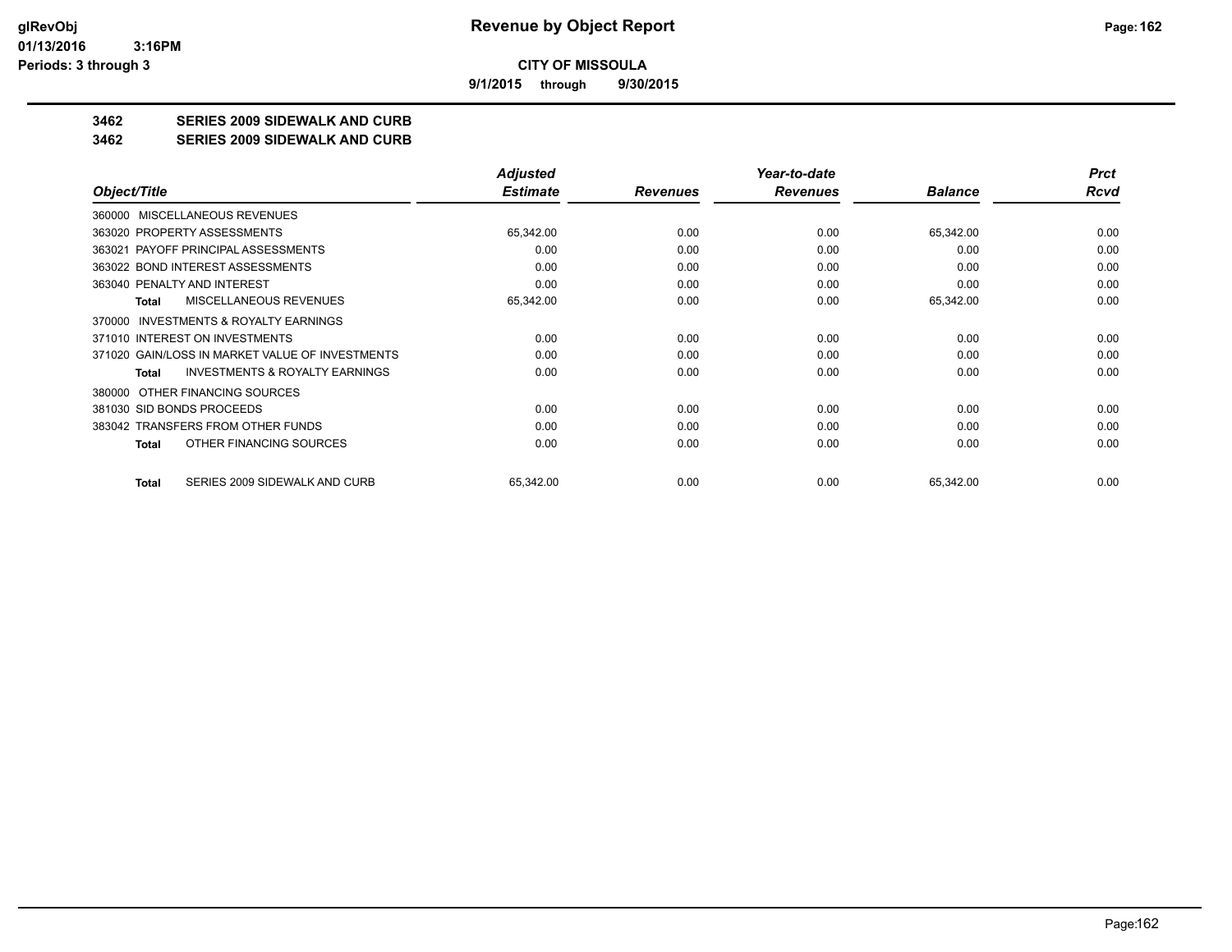**9/1/2015 through 9/30/2015**

### **3462 SERIES 2009 SIDEWALK AND CURB**

**3462 SERIES 2009 SIDEWALK AND CURB**

|                                                    | <b>Adjusted</b> |                 | Year-to-date    |                | <b>Prct</b> |
|----------------------------------------------------|-----------------|-----------------|-----------------|----------------|-------------|
| Object/Title                                       | <b>Estimate</b> | <b>Revenues</b> | <b>Revenues</b> | <b>Balance</b> | Rcvd        |
| MISCELLANEOUS REVENUES<br>360000                   |                 |                 |                 |                |             |
| 363020 PROPERTY ASSESSMENTS                        | 65,342.00       | 0.00            | 0.00            | 65,342.00      | 0.00        |
| 363021 PAYOFF PRINCIPAL ASSESSMENTS                | 0.00            | 0.00            | 0.00            | 0.00           | 0.00        |
| 363022 BOND INTEREST ASSESSMENTS                   | 0.00            | 0.00            | 0.00            | 0.00           | 0.00        |
| 363040 PENALTY AND INTEREST                        | 0.00            | 0.00            | 0.00            | 0.00           | 0.00        |
| MISCELLANEOUS REVENUES<br><b>Total</b>             | 65,342.00       | 0.00            | 0.00            | 65,342.00      | 0.00        |
| INVESTMENTS & ROYALTY EARNINGS<br>370000           |                 |                 |                 |                |             |
| 371010 INTEREST ON INVESTMENTS                     | 0.00            | 0.00            | 0.00            | 0.00           | 0.00        |
| 371020 GAIN/LOSS IN MARKET VALUE OF INVESTMENTS    | 0.00            | 0.00            | 0.00            | 0.00           | 0.00        |
| <b>INVESTMENTS &amp; ROYALTY EARNINGS</b><br>Total | 0.00            | 0.00            | 0.00            | 0.00           | 0.00        |
| OTHER FINANCING SOURCES<br>380000                  |                 |                 |                 |                |             |
| 381030 SID BONDS PROCEEDS                          | 0.00            | 0.00            | 0.00            | 0.00           | 0.00        |
| 383042 TRANSFERS FROM OTHER FUNDS                  | 0.00            | 0.00            | 0.00            | 0.00           | 0.00        |
| OTHER FINANCING SOURCES<br><b>Total</b>            | 0.00            | 0.00            | 0.00            | 0.00           | 0.00        |
| SERIES 2009 SIDEWALK AND CURB<br><b>Total</b>      | 65,342.00       | 0.00            | 0.00            | 65,342.00      | 0.00        |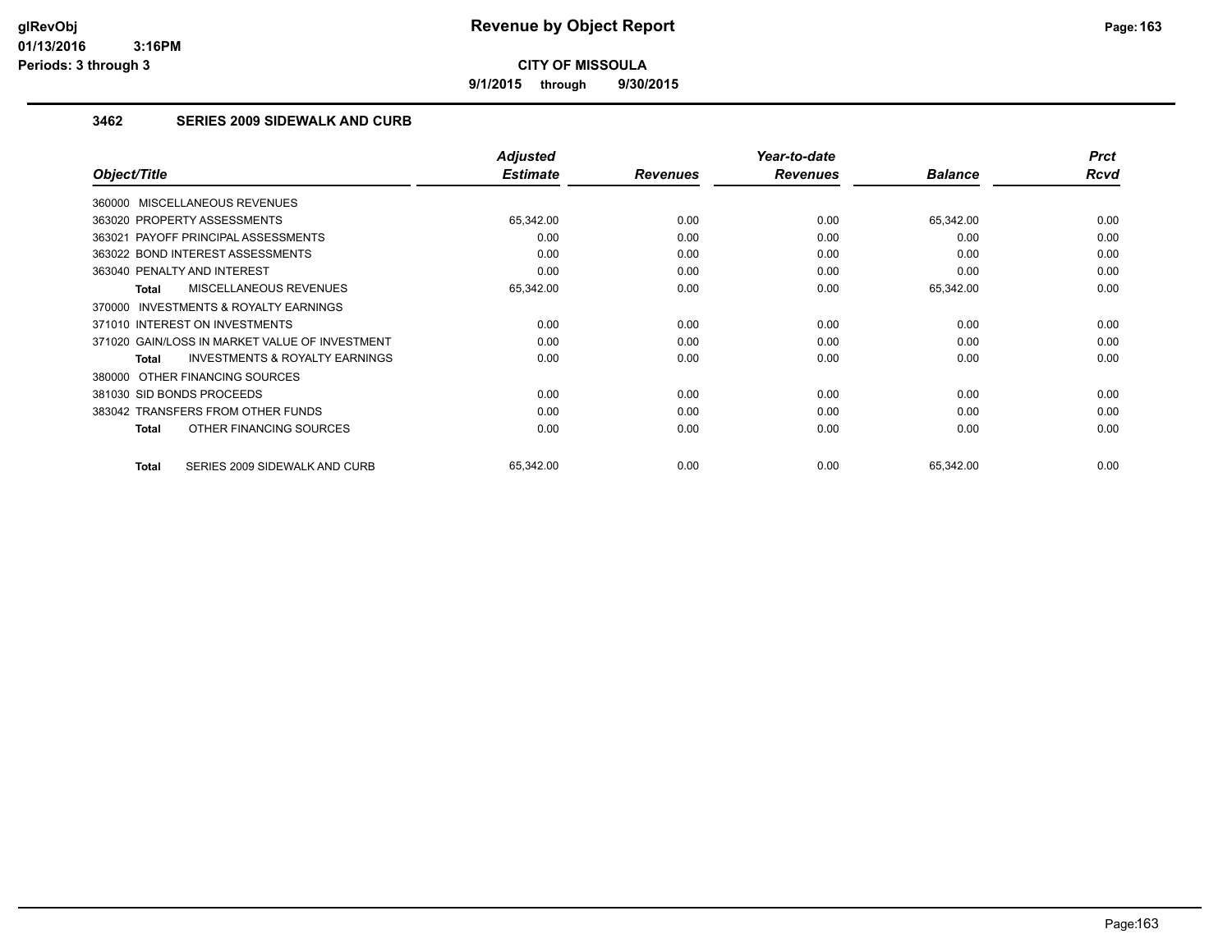**9/1/2015 through 9/30/2015**

### **3462 SERIES 2009 SIDEWALK AND CURB**

|                                                     | <b>Adjusted</b> |                 | Year-to-date    |                | <b>Prct</b> |
|-----------------------------------------------------|-----------------|-----------------|-----------------|----------------|-------------|
| Object/Title                                        | <b>Estimate</b> | <b>Revenues</b> | <b>Revenues</b> | <b>Balance</b> | Rcvd        |
| 360000 MISCELLANEOUS REVENUES                       |                 |                 |                 |                |             |
| 363020 PROPERTY ASSESSMENTS                         | 65,342.00       | 0.00            | 0.00            | 65,342.00      | 0.00        |
| 363021 PAYOFF PRINCIPAL ASSESSMENTS                 | 0.00            | 0.00            | 0.00            | 0.00           | 0.00        |
| 363022 BOND INTEREST ASSESSMENTS                    | 0.00            | 0.00            | 0.00            | 0.00           | 0.00        |
| 363040 PENALTY AND INTEREST                         | 0.00            | 0.00            | 0.00            | 0.00           | 0.00        |
| <b>MISCELLANEOUS REVENUES</b><br>Total              | 65,342.00       | 0.00            | 0.00            | 65,342.00      | 0.00        |
| <b>INVESTMENTS &amp; ROYALTY EARNINGS</b><br>370000 |                 |                 |                 |                |             |
| 371010 INTEREST ON INVESTMENTS                      | 0.00            | 0.00            | 0.00            | 0.00           | 0.00        |
| 371020 GAIN/LOSS IN MARKET VALUE OF INVESTMENT      | 0.00            | 0.00            | 0.00            | 0.00           | 0.00        |
| <b>INVESTMENTS &amp; ROYALTY EARNINGS</b><br>Total  | 0.00            | 0.00            | 0.00            | 0.00           | 0.00        |
| 380000 OTHER FINANCING SOURCES                      |                 |                 |                 |                |             |
| 381030 SID BONDS PROCEEDS                           | 0.00            | 0.00            | 0.00            | 0.00           | 0.00        |
| 383042 TRANSFERS FROM OTHER FUNDS                   | 0.00            | 0.00            | 0.00            | 0.00           | 0.00        |
| OTHER FINANCING SOURCES<br>Total                    | 0.00            | 0.00            | 0.00            | 0.00           | 0.00        |
|                                                     |                 |                 |                 |                |             |
| SERIES 2009 SIDEWALK AND CURB<br>Total              | 65,342.00       | 0.00            | 0.00            | 65,342.00      | 0.00        |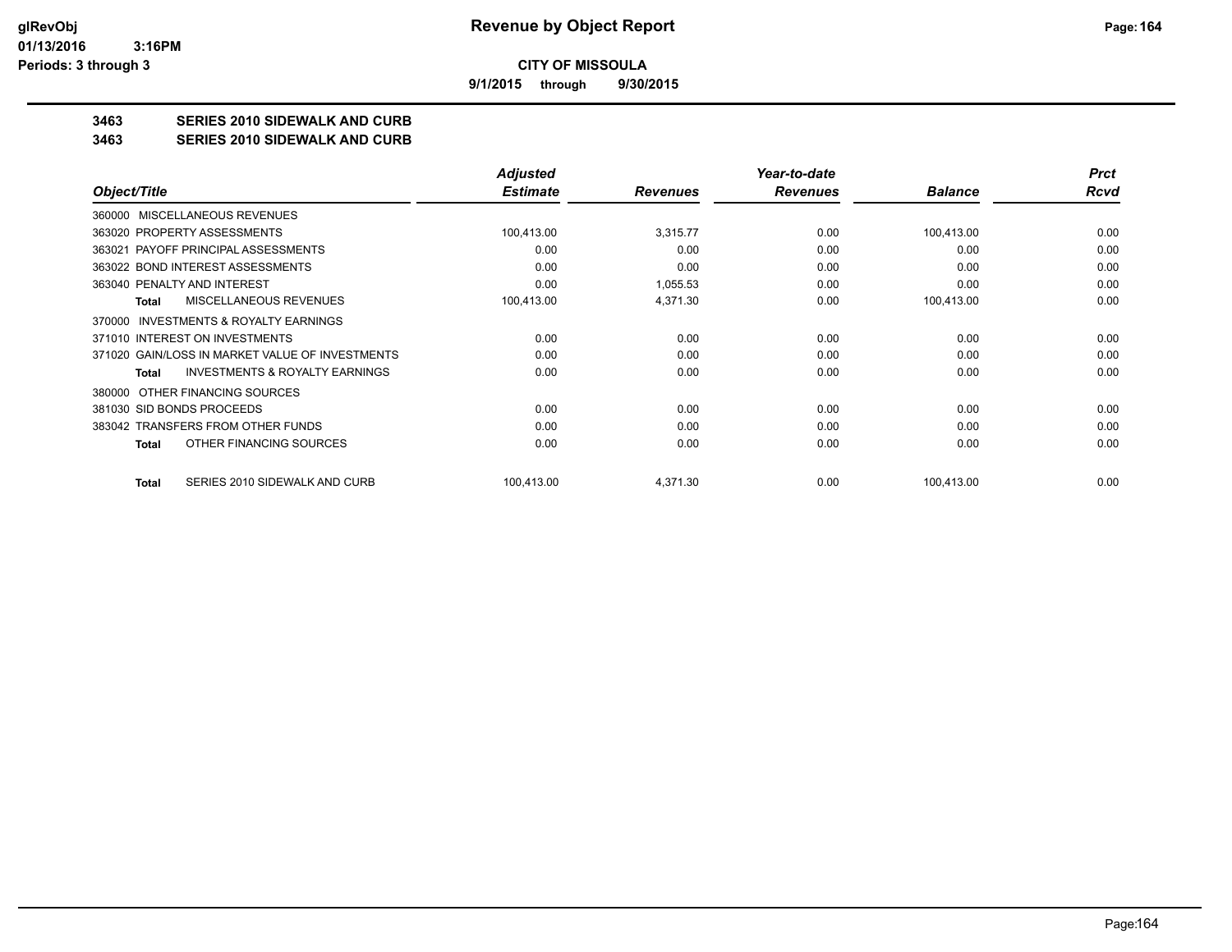**9/1/2015 through 9/30/2015**

## **3463 SERIES 2010 SIDEWALK AND CURB**

#### **3463 SERIES 2010 SIDEWALK AND CURB**

|                                                           | <b>Adjusted</b> |                 | Year-to-date    |                | <b>Prct</b> |
|-----------------------------------------------------------|-----------------|-----------------|-----------------|----------------|-------------|
| Object/Title                                              | <b>Estimate</b> | <b>Revenues</b> | <b>Revenues</b> | <b>Balance</b> | <b>Rcvd</b> |
| MISCELLANEOUS REVENUES<br>360000                          |                 |                 |                 |                |             |
| 363020 PROPERTY ASSESSMENTS                               | 100,413.00      | 3,315.77        | 0.00            | 100,413.00     | 0.00        |
| 363021 PAYOFF PRINCIPAL ASSESSMENTS                       | 0.00            | 0.00            | 0.00            | 0.00           | 0.00        |
| 363022 BOND INTEREST ASSESSMENTS                          | 0.00            | 0.00            | 0.00            | 0.00           | 0.00        |
| 363040 PENALTY AND INTEREST                               | 0.00            | 1,055.53        | 0.00            | 0.00           | 0.00        |
| <b>MISCELLANEOUS REVENUES</b><br>Total                    | 100,413.00      | 4,371.30        | 0.00            | 100,413.00     | 0.00        |
| INVESTMENTS & ROYALTY EARNINGS<br>370000                  |                 |                 |                 |                |             |
| 371010 INTEREST ON INVESTMENTS                            | 0.00            | 0.00            | 0.00            | 0.00           | 0.00        |
| 371020 GAIN/LOSS IN MARKET VALUE OF INVESTMENTS           | 0.00            | 0.00            | 0.00            | 0.00           | 0.00        |
| <b>INVESTMENTS &amp; ROYALTY EARNINGS</b><br><b>Total</b> | 0.00            | 0.00            | 0.00            | 0.00           | 0.00        |
| OTHER FINANCING SOURCES<br>380000                         |                 |                 |                 |                |             |
| 381030 SID BONDS PROCEEDS                                 | 0.00            | 0.00            | 0.00            | 0.00           | 0.00        |
| 383042 TRANSFERS FROM OTHER FUNDS                         | 0.00            | 0.00            | 0.00            | 0.00           | 0.00        |
| OTHER FINANCING SOURCES<br><b>Total</b>                   | 0.00            | 0.00            | 0.00            | 0.00           | 0.00        |
| SERIES 2010 SIDEWALK AND CURB<br><b>Total</b>             | 100,413.00      | 4,371.30        | 0.00            | 100,413.00     | 0.00        |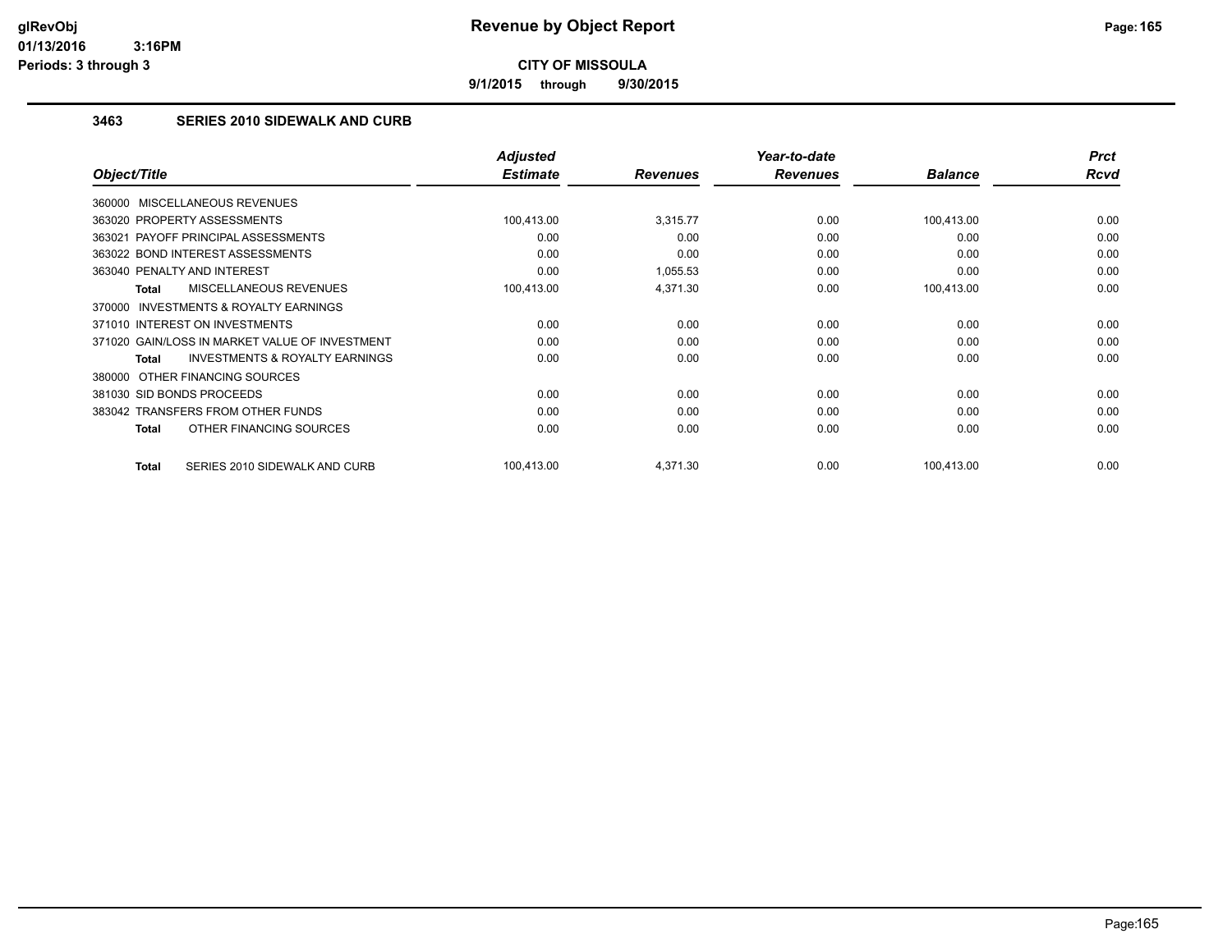**9/1/2015 through 9/30/2015**

### **3463 SERIES 2010 SIDEWALK AND CURB**

|                                                     | <b>Adjusted</b> |                 | Year-to-date    |                | <b>Prct</b> |
|-----------------------------------------------------|-----------------|-----------------|-----------------|----------------|-------------|
| Object/Title                                        | <b>Estimate</b> | <b>Revenues</b> | <b>Revenues</b> | <b>Balance</b> | Rcvd        |
| 360000 MISCELLANEOUS REVENUES                       |                 |                 |                 |                |             |
| 363020 PROPERTY ASSESSMENTS                         | 100,413.00      | 3,315.77        | 0.00            | 100,413.00     | 0.00        |
| 363021 PAYOFF PRINCIPAL ASSESSMENTS                 | 0.00            | 0.00            | 0.00            | 0.00           | 0.00        |
| 363022 BOND INTEREST ASSESSMENTS                    | 0.00            | 0.00            | 0.00            | 0.00           | 0.00        |
| 363040 PENALTY AND INTEREST                         | 0.00            | 1,055.53        | 0.00            | 0.00           | 0.00        |
| MISCELLANEOUS REVENUES<br>Total                     | 100,413.00      | 4,371.30        | 0.00            | 100,413.00     | 0.00        |
| <b>INVESTMENTS &amp; ROYALTY EARNINGS</b><br>370000 |                 |                 |                 |                |             |
| 371010 INTEREST ON INVESTMENTS                      | 0.00            | 0.00            | 0.00            | 0.00           | 0.00        |
| 371020 GAIN/LOSS IN MARKET VALUE OF INVESTMENT      | 0.00            | 0.00            | 0.00            | 0.00           | 0.00        |
| <b>INVESTMENTS &amp; ROYALTY EARNINGS</b><br>Total  | 0.00            | 0.00            | 0.00            | 0.00           | 0.00        |
| 380000 OTHER FINANCING SOURCES                      |                 |                 |                 |                |             |
| 381030 SID BONDS PROCEEDS                           | 0.00            | 0.00            | 0.00            | 0.00           | 0.00        |
| 383042 TRANSFERS FROM OTHER FUNDS                   | 0.00            | 0.00            | 0.00            | 0.00           | 0.00        |
| OTHER FINANCING SOURCES<br>Total                    | 0.00            | 0.00            | 0.00            | 0.00           | 0.00        |
|                                                     |                 |                 |                 |                |             |
| SERIES 2010 SIDEWALK AND CURB<br>Total              | 100,413.00      | 4,371.30        | 0.00            | 100,413.00     | 0.00        |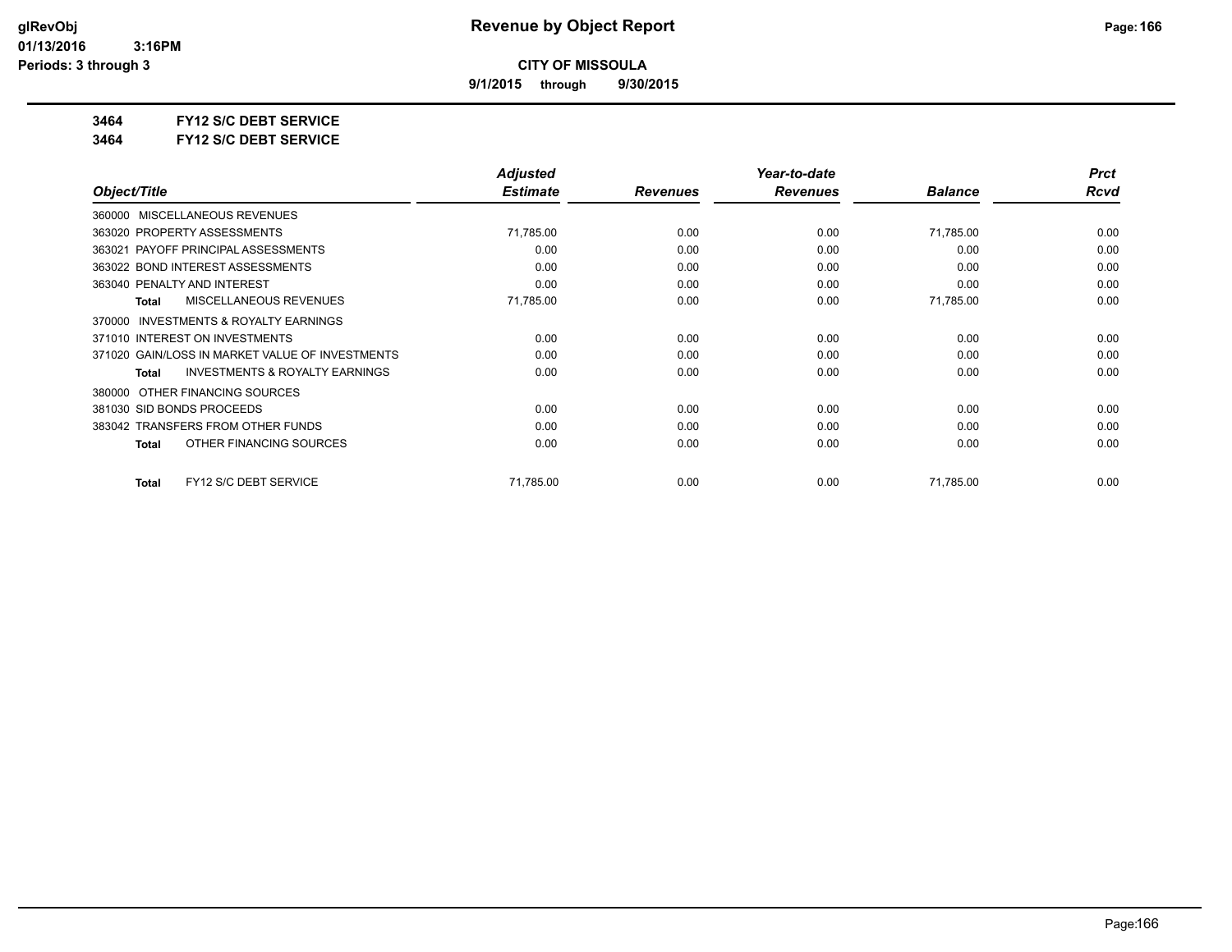**9/1/2015 through 9/30/2015**

**3464 FY12 S/C DEBT SERVICE**

**3464 FY12 S/C DEBT SERVICE**

|                                                           | <b>Adjusted</b> |                 | Year-to-date    |                | <b>Prct</b> |
|-----------------------------------------------------------|-----------------|-----------------|-----------------|----------------|-------------|
| Object/Title                                              | <b>Estimate</b> | <b>Revenues</b> | <b>Revenues</b> | <b>Balance</b> | Rcvd        |
| MISCELLANEOUS REVENUES<br>360000                          |                 |                 |                 |                |             |
| 363020 PROPERTY ASSESSMENTS                               | 71,785.00       | 0.00            | 0.00            | 71,785.00      | 0.00        |
| 363021 PAYOFF PRINCIPAL ASSESSMENTS                       | 0.00            | 0.00            | 0.00            | 0.00           | 0.00        |
| 363022 BOND INTEREST ASSESSMENTS                          | 0.00            | 0.00            | 0.00            | 0.00           | 0.00        |
| 363040 PENALTY AND INTEREST                               | 0.00            | 0.00            | 0.00            | 0.00           | 0.00        |
| MISCELLANEOUS REVENUES<br><b>Total</b>                    | 71,785.00       | 0.00            | 0.00            | 71,785.00      | 0.00        |
| INVESTMENTS & ROYALTY EARNINGS<br>370000                  |                 |                 |                 |                |             |
| 371010 INTEREST ON INVESTMENTS                            | 0.00            | 0.00            | 0.00            | 0.00           | 0.00        |
| 371020 GAIN/LOSS IN MARKET VALUE OF INVESTMENTS           | 0.00            | 0.00            | 0.00            | 0.00           | 0.00        |
| <b>INVESTMENTS &amp; ROYALTY EARNINGS</b><br><b>Total</b> | 0.00            | 0.00            | 0.00            | 0.00           | 0.00        |
| OTHER FINANCING SOURCES<br>380000                         |                 |                 |                 |                |             |
| 381030 SID BONDS PROCEEDS                                 | 0.00            | 0.00            | 0.00            | 0.00           | 0.00        |
| 383042 TRANSFERS FROM OTHER FUNDS                         | 0.00            | 0.00            | 0.00            | 0.00           | 0.00        |
| OTHER FINANCING SOURCES<br><b>Total</b>                   | 0.00            | 0.00            | 0.00            | 0.00           | 0.00        |
| FY12 S/C DEBT SERVICE<br>Total                            | 71,785.00       | 0.00            | 0.00            | 71,785.00      | 0.00        |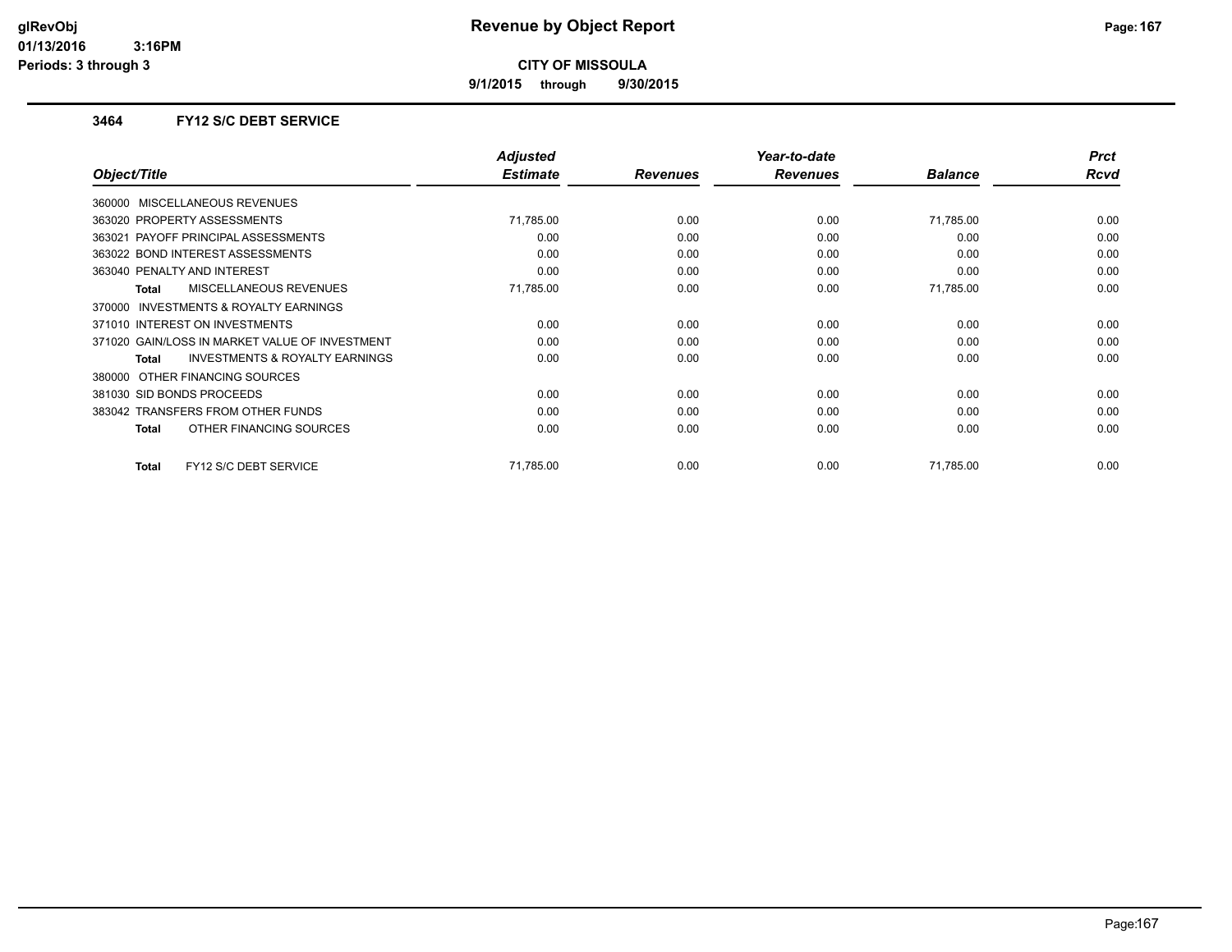**9/1/2015 through 9/30/2015**

#### **3464 FY12 S/C DEBT SERVICE**

| Object/Title                                       | <b>Adjusted</b><br><b>Estimate</b> | <b>Revenues</b> | Year-to-date<br><b>Revenues</b> | <b>Balance</b> | <b>Prct</b><br>Rcvd |
|----------------------------------------------------|------------------------------------|-----------------|---------------------------------|----------------|---------------------|
| 360000 MISCELLANEOUS REVENUES                      |                                    |                 |                                 |                |                     |
| 363020 PROPERTY ASSESSMENTS                        | 71,785.00                          | 0.00            | 0.00                            | 71,785.00      | 0.00                |
| 363021 PAYOFF PRINCIPAL ASSESSMENTS                | 0.00                               | 0.00            | 0.00                            | 0.00           | 0.00                |
| 363022 BOND INTEREST ASSESSMENTS                   | 0.00                               | 0.00            | 0.00                            | 0.00           | 0.00                |
| 363040 PENALTY AND INTEREST                        | 0.00                               | 0.00            | 0.00                            | 0.00           | 0.00                |
| <b>MISCELLANEOUS REVENUES</b><br><b>Total</b>      | 71,785.00                          | 0.00            | 0.00                            | 71,785.00      | 0.00                |
| INVESTMENTS & ROYALTY EARNINGS<br>370000           |                                    |                 |                                 |                |                     |
| 371010 INTEREST ON INVESTMENTS                     | 0.00                               | 0.00            | 0.00                            | 0.00           | 0.00                |
| 371020 GAIN/LOSS IN MARKET VALUE OF INVESTMENT     | 0.00                               | 0.00            | 0.00                            | 0.00           | 0.00                |
| <b>INVESTMENTS &amp; ROYALTY EARNINGS</b><br>Total | 0.00                               | 0.00            | 0.00                            | 0.00           | 0.00                |
| OTHER FINANCING SOURCES<br>380000                  |                                    |                 |                                 |                |                     |
| 381030 SID BONDS PROCEEDS                          | 0.00                               | 0.00            | 0.00                            | 0.00           | 0.00                |
| 383042 TRANSFERS FROM OTHER FUNDS                  | 0.00                               | 0.00            | 0.00                            | 0.00           | 0.00                |
| OTHER FINANCING SOURCES<br>Total                   | 0.00                               | 0.00            | 0.00                            | 0.00           | 0.00                |
|                                                    |                                    |                 |                                 |                |                     |
| FY12 S/C DEBT SERVICE<br><b>Total</b>              | 71.785.00                          | 0.00            | 0.00                            | 71.785.00      | 0.00                |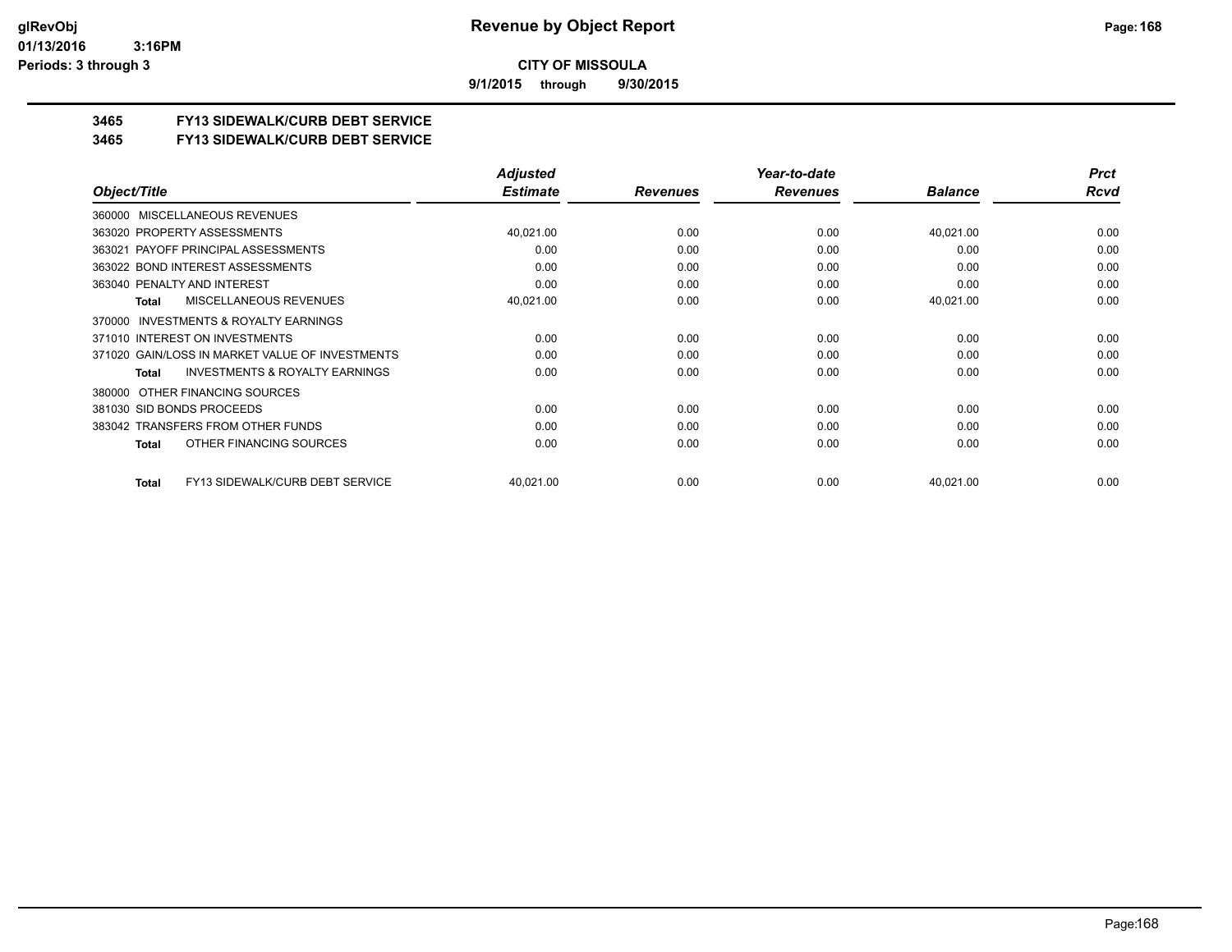**9/1/2015 through 9/30/2015**

### **3465 FY13 SIDEWALK/CURB DEBT SERVICE**

#### **3465 FY13 SIDEWALK/CURB DEBT SERVICE**

|                                                           | <b>Adjusted</b> |                 | Year-to-date    |                | <b>Prct</b> |
|-----------------------------------------------------------|-----------------|-----------------|-----------------|----------------|-------------|
| Object/Title                                              | <b>Estimate</b> | <b>Revenues</b> | <b>Revenues</b> | <b>Balance</b> | Rcvd        |
| 360000 MISCELLANEOUS REVENUES                             |                 |                 |                 |                |             |
| 363020 PROPERTY ASSESSMENTS                               | 40,021.00       | 0.00            | 0.00            | 40,021.00      | 0.00        |
| PAYOFF PRINCIPAL ASSESSMENTS<br>363021                    | 0.00            | 0.00            | 0.00            | 0.00           | 0.00        |
| 363022 BOND INTEREST ASSESSMENTS                          | 0.00            | 0.00            | 0.00            | 0.00           | 0.00        |
| 363040 PENALTY AND INTEREST                               | 0.00            | 0.00            | 0.00            | 0.00           | 0.00        |
| <b>MISCELLANEOUS REVENUES</b><br><b>Total</b>             | 40,021.00       | 0.00            | 0.00            | 40,021.00      | 0.00        |
| <b>INVESTMENTS &amp; ROYALTY EARNINGS</b><br>370000       |                 |                 |                 |                |             |
| 371010 INTEREST ON INVESTMENTS                            | 0.00            | 0.00            | 0.00            | 0.00           | 0.00        |
| 371020 GAIN/LOSS IN MARKET VALUE OF INVESTMENTS           | 0.00            | 0.00            | 0.00            | 0.00           | 0.00        |
| <b>INVESTMENTS &amp; ROYALTY EARNINGS</b><br><b>Total</b> | 0.00            | 0.00            | 0.00            | 0.00           | 0.00        |
| 380000 OTHER FINANCING SOURCES                            |                 |                 |                 |                |             |
| 381030 SID BONDS PROCEEDS                                 | 0.00            | 0.00            | 0.00            | 0.00           | 0.00        |
| 383042 TRANSFERS FROM OTHER FUNDS                         | 0.00            | 0.00            | 0.00            | 0.00           | 0.00        |
| OTHER FINANCING SOURCES<br>Total                          | 0.00            | 0.00            | 0.00            | 0.00           | 0.00        |
| FY13 SIDEWALK/CURB DEBT SERVICE<br>Total                  | 40,021.00       | 0.00            | 0.00            | 40,021.00      | 0.00        |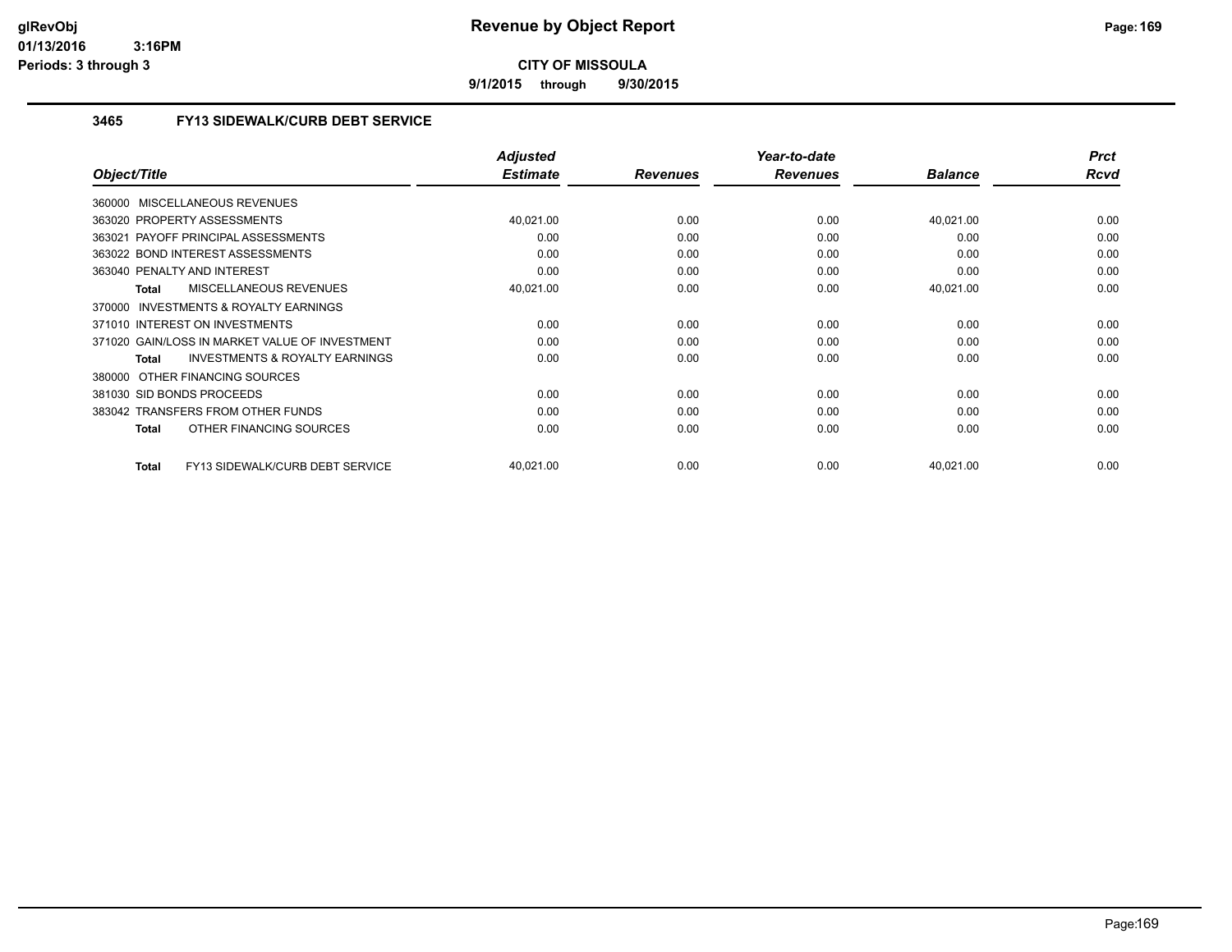**9/1/2015 through 9/30/2015**

### **3465 FY13 SIDEWALK/CURB DEBT SERVICE**

|                                                    | <b>Adjusted</b> |                 | Year-to-date    |                | <b>Prct</b> |
|----------------------------------------------------|-----------------|-----------------|-----------------|----------------|-------------|
| Object/Title                                       | <b>Estimate</b> | <b>Revenues</b> | <b>Revenues</b> | <b>Balance</b> | Rcvd        |
| 360000 MISCELLANEOUS REVENUES                      |                 |                 |                 |                |             |
| 363020 PROPERTY ASSESSMENTS                        | 40,021.00       | 0.00            | 0.00            | 40,021.00      | 0.00        |
| 363021 PAYOFF PRINCIPAL ASSESSMENTS                | 0.00            | 0.00            | 0.00            | 0.00           | 0.00        |
| 363022 BOND INTEREST ASSESSMENTS                   | 0.00            | 0.00            | 0.00            | 0.00           | 0.00        |
| 363040 PENALTY AND INTEREST                        | 0.00            | 0.00            | 0.00            | 0.00           | 0.00        |
| <b>MISCELLANEOUS REVENUES</b><br><b>Total</b>      | 40,021.00       | 0.00            | 0.00            | 40,021.00      | 0.00        |
| 370000 INVESTMENTS & ROYALTY EARNINGS              |                 |                 |                 |                |             |
| 371010 INTEREST ON INVESTMENTS                     | 0.00            | 0.00            | 0.00            | 0.00           | 0.00        |
| 371020 GAIN/LOSS IN MARKET VALUE OF INVESTMENT     | 0.00            | 0.00            | 0.00            | 0.00           | 0.00        |
| <b>INVESTMENTS &amp; ROYALTY EARNINGS</b><br>Total | 0.00            | 0.00            | 0.00            | 0.00           | 0.00        |
| OTHER FINANCING SOURCES<br>380000                  |                 |                 |                 |                |             |
| 381030 SID BONDS PROCEEDS                          | 0.00            | 0.00            | 0.00            | 0.00           | 0.00        |
| 383042 TRANSFERS FROM OTHER FUNDS                  | 0.00            | 0.00            | 0.00            | 0.00           | 0.00        |
| OTHER FINANCING SOURCES<br><b>Total</b>            | 0.00            | 0.00            | 0.00            | 0.00           | 0.00        |
|                                                    |                 |                 |                 |                |             |
| FY13 SIDEWALK/CURB DEBT SERVICE<br><b>Total</b>    | 40,021.00       | 0.00            | 0.00            | 40,021.00      | 0.00        |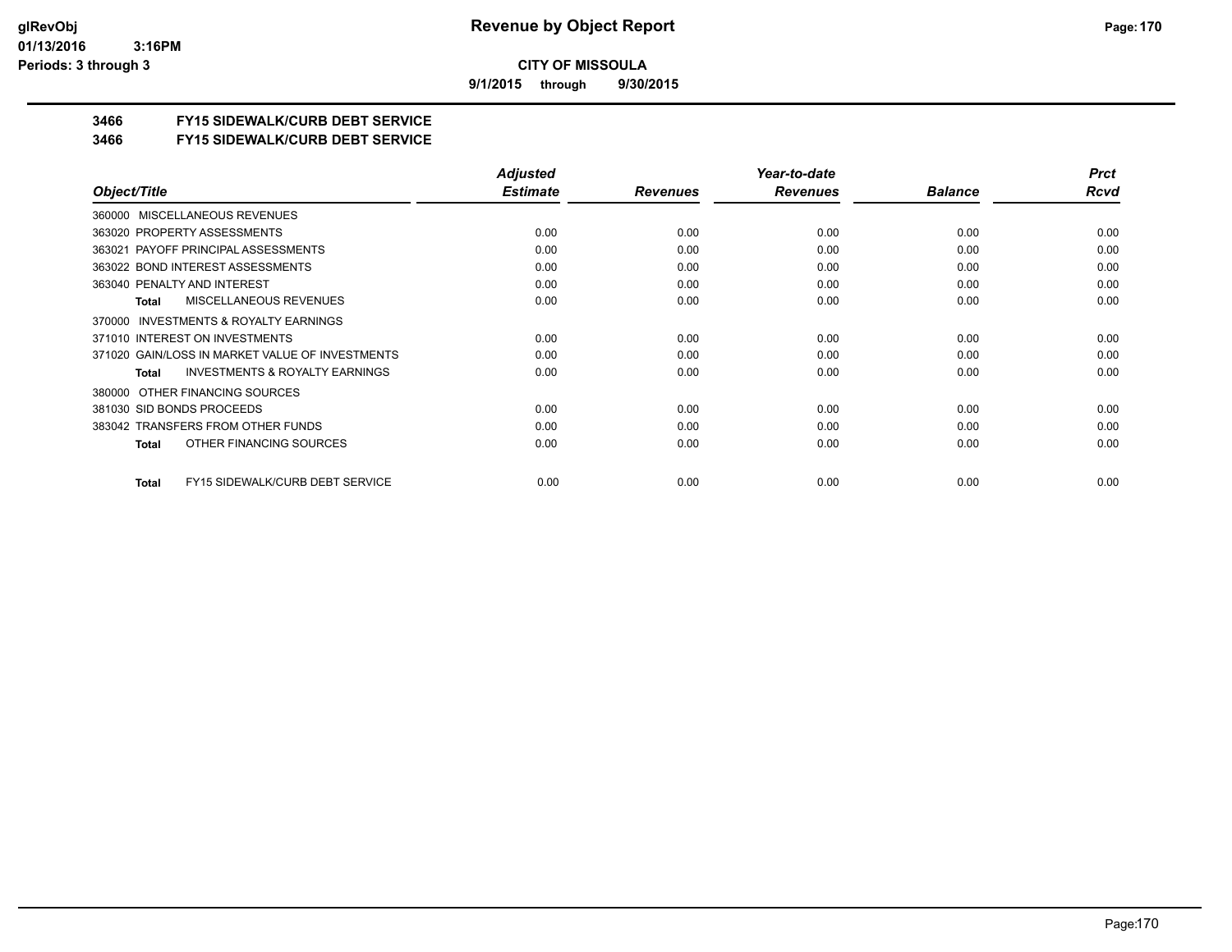**9/1/2015 through 9/30/2015**

### **3466 FY15 SIDEWALK/CURB DEBT SERVICE**

#### **3466 FY15 SIDEWALK/CURB DEBT SERVICE**

|                                                           | <b>Adjusted</b> |                 | Year-to-date    |                | <b>Prct</b> |
|-----------------------------------------------------------|-----------------|-----------------|-----------------|----------------|-------------|
| Object/Title                                              | <b>Estimate</b> | <b>Revenues</b> | <b>Revenues</b> | <b>Balance</b> | Rcvd        |
| MISCELLANEOUS REVENUES<br>360000                          |                 |                 |                 |                |             |
| 363020 PROPERTY ASSESSMENTS                               | 0.00            | 0.00            | 0.00            | 0.00           | 0.00        |
| 363021 PAYOFF PRINCIPAL ASSESSMENTS                       | 0.00            | 0.00            | 0.00            | 0.00           | 0.00        |
| 363022 BOND INTEREST ASSESSMENTS                          | 0.00            | 0.00            | 0.00            | 0.00           | 0.00        |
| 363040 PENALTY AND INTEREST                               | 0.00            | 0.00            | 0.00            | 0.00           | 0.00        |
| <b>MISCELLANEOUS REVENUES</b><br>Total                    | 0.00            | 0.00            | 0.00            | 0.00           | 0.00        |
| INVESTMENTS & ROYALTY EARNINGS<br>370000                  |                 |                 |                 |                |             |
| 371010 INTEREST ON INVESTMENTS                            | 0.00            | 0.00            | 0.00            | 0.00           | 0.00        |
| 371020 GAIN/LOSS IN MARKET VALUE OF INVESTMENTS           | 0.00            | 0.00            | 0.00            | 0.00           | 0.00        |
| <b>INVESTMENTS &amp; ROYALTY EARNINGS</b><br><b>Total</b> | 0.00            | 0.00            | 0.00            | 0.00           | 0.00        |
| OTHER FINANCING SOURCES<br>380000                         |                 |                 |                 |                |             |
| 381030 SID BONDS PROCEEDS                                 | 0.00            | 0.00            | 0.00            | 0.00           | 0.00        |
| 383042 TRANSFERS FROM OTHER FUNDS                         | 0.00            | 0.00            | 0.00            | 0.00           | 0.00        |
| OTHER FINANCING SOURCES<br>Total                          | 0.00            | 0.00            | 0.00            | 0.00           | 0.00        |
| FY15 SIDEWALK/CURB DEBT SERVICE<br>Total                  | 0.00            | 0.00            | 0.00            | 0.00           | 0.00        |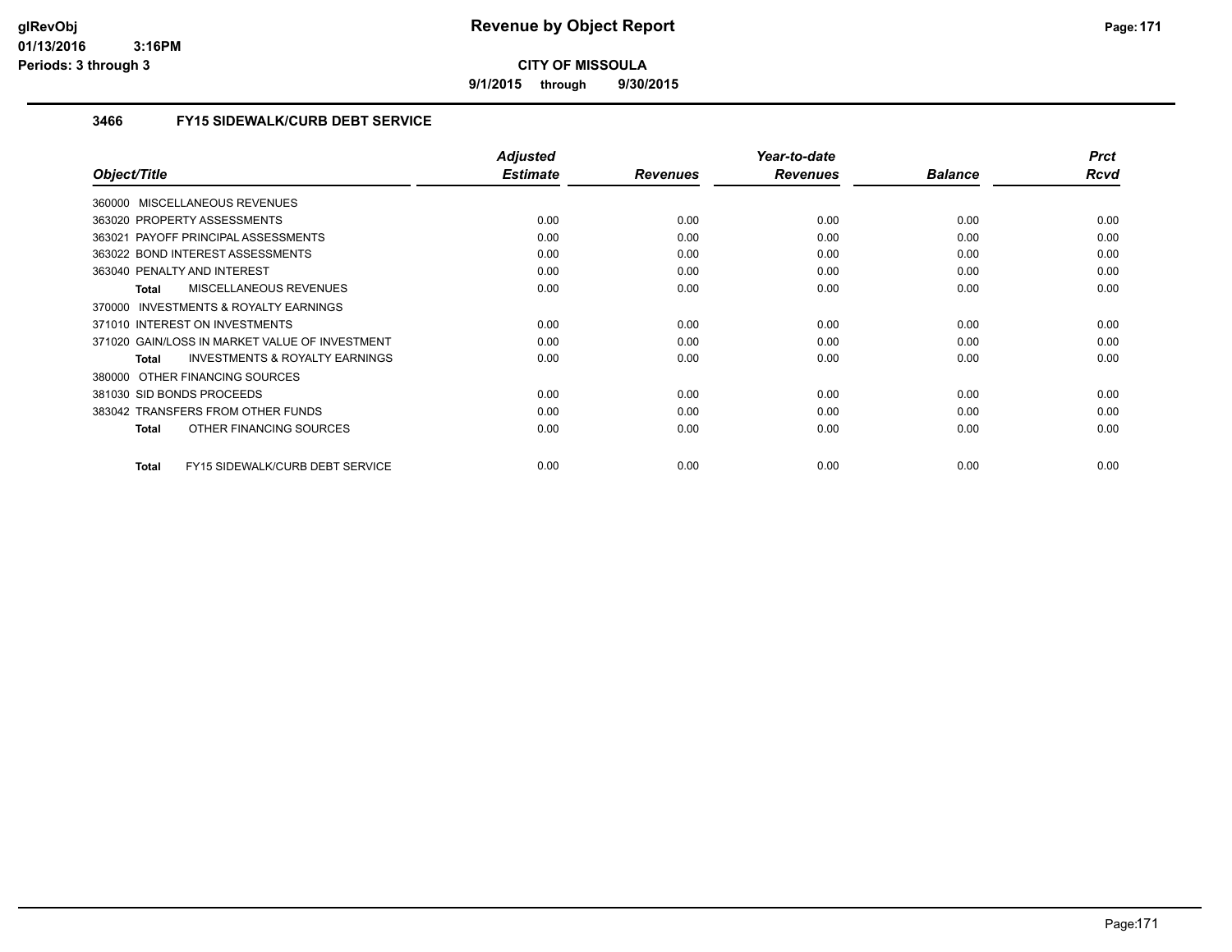**9/1/2015 through 9/30/2015**

### **3466 FY15 SIDEWALK/CURB DEBT SERVICE**

|                                                           | <b>Adjusted</b> |                 | Year-to-date    |                | <b>Prct</b> |
|-----------------------------------------------------------|-----------------|-----------------|-----------------|----------------|-------------|
| Object/Title                                              | <b>Estimate</b> | <b>Revenues</b> | <b>Revenues</b> | <b>Balance</b> | Rcvd        |
| 360000 MISCELLANEOUS REVENUES                             |                 |                 |                 |                |             |
| 363020 PROPERTY ASSESSMENTS                               | 0.00            | 0.00            | 0.00            | 0.00           | 0.00        |
| 363021 PAYOFF PRINCIPAL ASSESSMENTS                       | 0.00            | 0.00            | 0.00            | 0.00           | 0.00        |
| 363022 BOND INTEREST ASSESSMENTS                          | 0.00            | 0.00            | 0.00            | 0.00           | 0.00        |
| 363040 PENALTY AND INTEREST                               | 0.00            | 0.00            | 0.00            | 0.00           | 0.00        |
| <b>MISCELLANEOUS REVENUES</b><br><b>Total</b>             | 0.00            | 0.00            | 0.00            | 0.00           | 0.00        |
| 370000 INVESTMENTS & ROYALTY EARNINGS                     |                 |                 |                 |                |             |
| 371010 INTEREST ON INVESTMENTS                            | 0.00            | 0.00            | 0.00            | 0.00           | 0.00        |
| 371020 GAIN/LOSS IN MARKET VALUE OF INVESTMENT            | 0.00            | 0.00            | 0.00            | 0.00           | 0.00        |
| <b>INVESTMENTS &amp; ROYALTY EARNINGS</b><br><b>Total</b> | 0.00            | 0.00            | 0.00            | 0.00           | 0.00        |
| OTHER FINANCING SOURCES<br>380000                         |                 |                 |                 |                |             |
| 381030 SID BONDS PROCEEDS                                 | 0.00            | 0.00            | 0.00            | 0.00           | 0.00        |
| 383042 TRANSFERS FROM OTHER FUNDS                         | 0.00            | 0.00            | 0.00            | 0.00           | 0.00        |
| OTHER FINANCING SOURCES<br><b>Total</b>                   | 0.00            | 0.00            | 0.00            | 0.00           | 0.00        |
|                                                           |                 |                 |                 |                |             |
| FY15 SIDEWALK/CURB DEBT SERVICE<br><b>Total</b>           | 0.00            | 0.00            | 0.00            | 0.00           | 0.00        |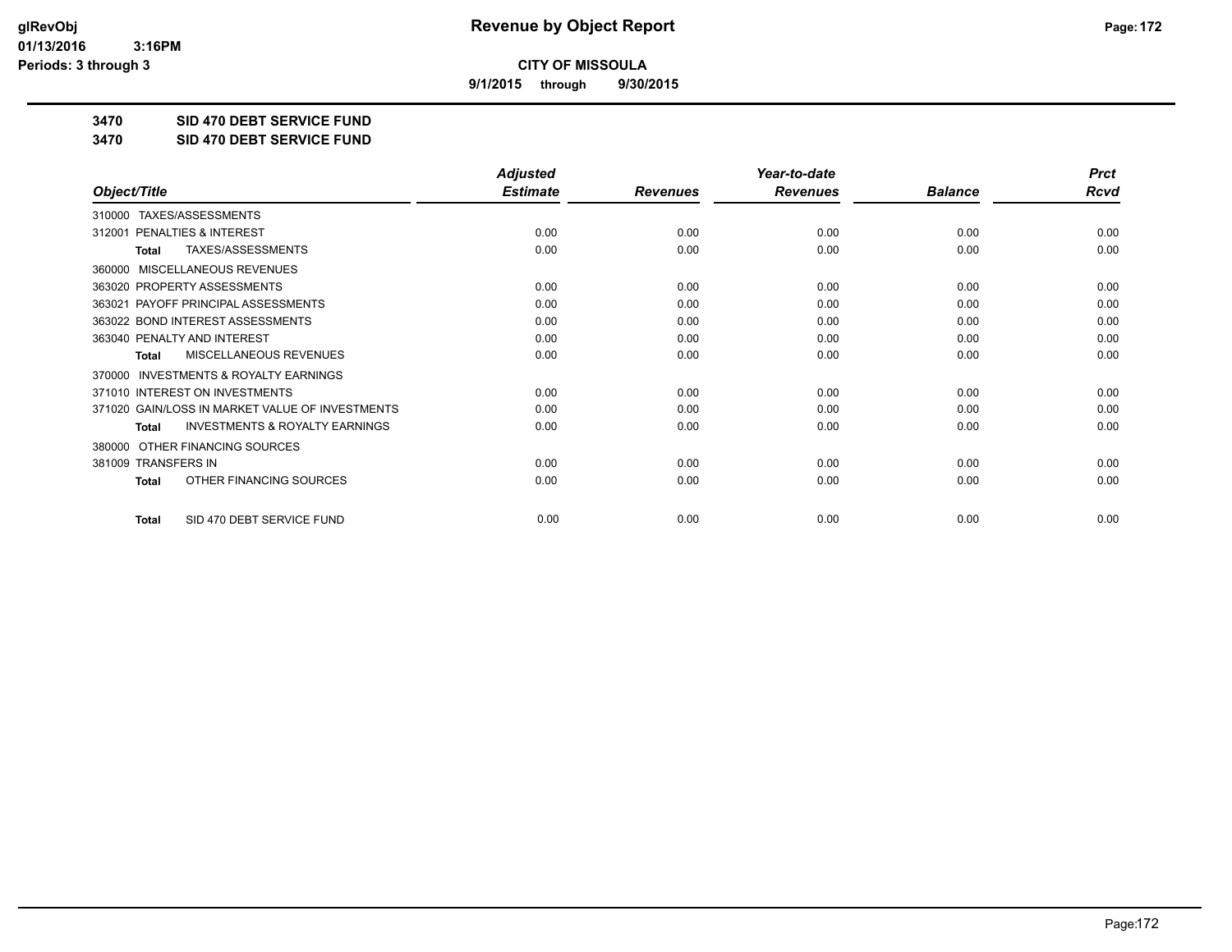**9/1/2015 through 9/30/2015**

**3470 SID 470 DEBT SERVICE FUND**

**3470 SID 470 DEBT SERVICE FUND**

|                                                           | <b>Adjusted</b> |                 | Year-to-date    |                | <b>Prct</b> |
|-----------------------------------------------------------|-----------------|-----------------|-----------------|----------------|-------------|
| Object/Title                                              | <b>Estimate</b> | <b>Revenues</b> | <b>Revenues</b> | <b>Balance</b> | <b>Rcvd</b> |
| TAXES/ASSESSMENTS<br>310000                               |                 |                 |                 |                |             |
| PENALTIES & INTEREST<br>312001                            | 0.00            | 0.00            | 0.00            | 0.00           | 0.00        |
| TAXES/ASSESSMENTS<br>Total                                | 0.00            | 0.00            | 0.00            | 0.00           | 0.00        |
| MISCELLANEOUS REVENUES<br>360000                          |                 |                 |                 |                |             |
| 363020 PROPERTY ASSESSMENTS                               | 0.00            | 0.00            | 0.00            | 0.00           | 0.00        |
| PAYOFF PRINCIPAL ASSESSMENTS<br>363021                    | 0.00            | 0.00            | 0.00            | 0.00           | 0.00        |
| 363022 BOND INTEREST ASSESSMENTS                          | 0.00            | 0.00            | 0.00            | 0.00           | 0.00        |
| 363040 PENALTY AND INTEREST                               | 0.00            | 0.00            | 0.00            | 0.00           | 0.00        |
| MISCELLANEOUS REVENUES<br>Total                           | 0.00            | 0.00            | 0.00            | 0.00           | 0.00        |
| <b>INVESTMENTS &amp; ROYALTY EARNINGS</b><br>370000       |                 |                 |                 |                |             |
| 371010 INTEREST ON INVESTMENTS                            | 0.00            | 0.00            | 0.00            | 0.00           | 0.00        |
| 371020 GAIN/LOSS IN MARKET VALUE OF INVESTMENTS           | 0.00            | 0.00            | 0.00            | 0.00           | 0.00        |
| <b>INVESTMENTS &amp; ROYALTY EARNINGS</b><br><b>Total</b> | 0.00            | 0.00            | 0.00            | 0.00           | 0.00        |
| OTHER FINANCING SOURCES<br>380000                         |                 |                 |                 |                |             |
| 381009 TRANSFERS IN                                       | 0.00            | 0.00            | 0.00            | 0.00           | 0.00        |
| OTHER FINANCING SOURCES<br><b>Total</b>                   | 0.00            | 0.00            | 0.00            | 0.00           | 0.00        |
| SID 470 DEBT SERVICE FUND<br><b>Total</b>                 | 0.00            | 0.00            | 0.00            | 0.00           | 0.00        |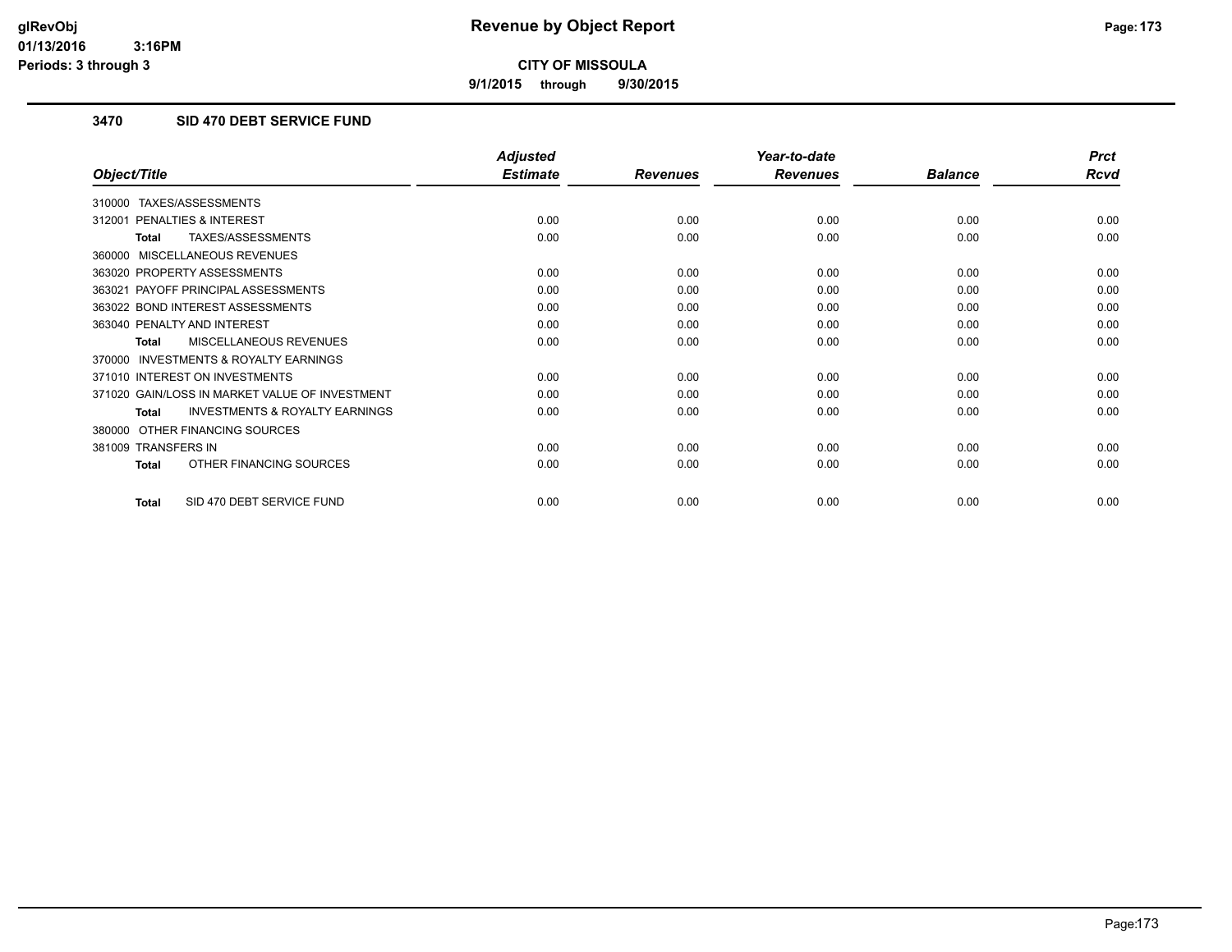**9/1/2015 through 9/30/2015**

### **3470 SID 470 DEBT SERVICE FUND**

|                                                           | <b>Adjusted</b> |                 | Year-to-date    |                | <b>Prct</b> |
|-----------------------------------------------------------|-----------------|-----------------|-----------------|----------------|-------------|
| Object/Title                                              | <b>Estimate</b> | <b>Revenues</b> | <b>Revenues</b> | <b>Balance</b> | <b>Rcvd</b> |
| TAXES/ASSESSMENTS<br>310000                               |                 |                 |                 |                |             |
| PENALTIES & INTEREST<br>312001                            | 0.00            | 0.00            | 0.00            | 0.00           | 0.00        |
| TAXES/ASSESSMENTS<br><b>Total</b>                         | 0.00            | 0.00            | 0.00            | 0.00           | 0.00        |
| 360000 MISCELLANEOUS REVENUES                             |                 |                 |                 |                |             |
| 363020 PROPERTY ASSESSMENTS                               | 0.00            | 0.00            | 0.00            | 0.00           | 0.00        |
| 363021 PAYOFF PRINCIPAL ASSESSMENTS                       | 0.00            | 0.00            | 0.00            | 0.00           | 0.00        |
| 363022 BOND INTEREST ASSESSMENTS                          | 0.00            | 0.00            | 0.00            | 0.00           | 0.00        |
| 363040 PENALTY AND INTEREST                               | 0.00            | 0.00            | 0.00            | 0.00           | 0.00        |
| MISCELLANEOUS REVENUES<br><b>Total</b>                    | 0.00            | 0.00            | 0.00            | 0.00           | 0.00        |
| <b>INVESTMENTS &amp; ROYALTY EARNINGS</b><br>370000       |                 |                 |                 |                |             |
| 371010 INTEREST ON INVESTMENTS                            | 0.00            | 0.00            | 0.00            | 0.00           | 0.00        |
| 371020 GAIN/LOSS IN MARKET VALUE OF INVESTMENT            | 0.00            | 0.00            | 0.00            | 0.00           | 0.00        |
| <b>INVESTMENTS &amp; ROYALTY EARNINGS</b><br><b>Total</b> | 0.00            | 0.00            | 0.00            | 0.00           | 0.00        |
| OTHER FINANCING SOURCES<br>380000                         |                 |                 |                 |                |             |
| 381009 TRANSFERS IN                                       | 0.00            | 0.00            | 0.00            | 0.00           | 0.00        |
| OTHER FINANCING SOURCES<br><b>Total</b>                   | 0.00            | 0.00            | 0.00            | 0.00           | 0.00        |
| SID 470 DEBT SERVICE FUND<br><b>Total</b>                 | 0.00            | 0.00            | 0.00            | 0.00           | 0.00        |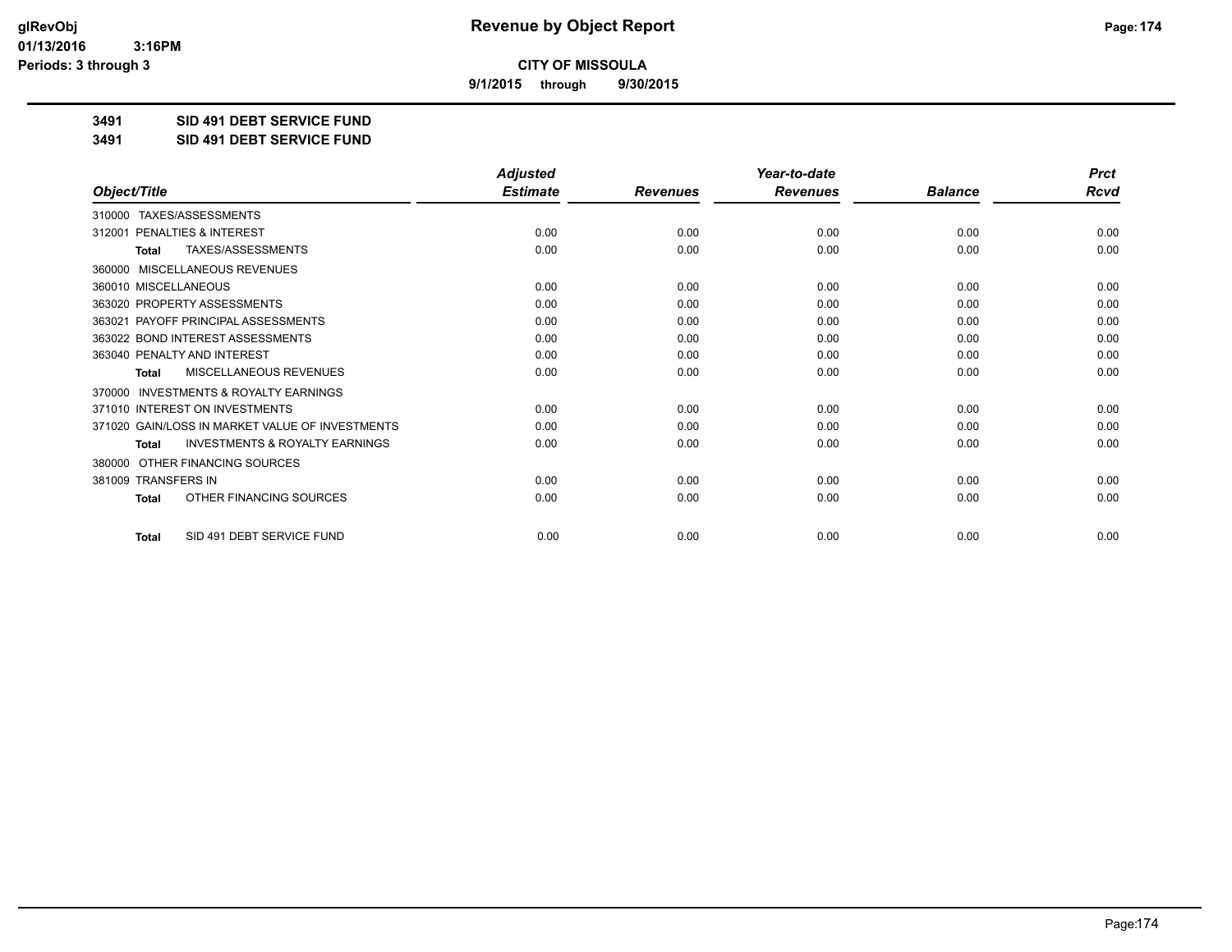**9/1/2015 through 9/30/2015**

**3491 SID 491 DEBT SERVICE FUND**

**3491 SID 491 DEBT SERVICE FUND**

|                                                     | <b>Adjusted</b> |                 | Year-to-date    |                | <b>Prct</b> |
|-----------------------------------------------------|-----------------|-----------------|-----------------|----------------|-------------|
| Object/Title                                        | <b>Estimate</b> | <b>Revenues</b> | <b>Revenues</b> | <b>Balance</b> | <b>Rcvd</b> |
| 310000 TAXES/ASSESSMENTS                            |                 |                 |                 |                |             |
| <b>PENALTIES &amp; INTEREST</b><br>312001           | 0.00            | 0.00            | 0.00            | 0.00           | 0.00        |
| TAXES/ASSESSMENTS<br><b>Total</b>                   | 0.00            | 0.00            | 0.00            | 0.00           | 0.00        |
| MISCELLANEOUS REVENUES<br>360000                    |                 |                 |                 |                |             |
| 360010 MISCELLANEOUS                                | 0.00            | 0.00            | 0.00            | 0.00           | 0.00        |
| 363020 PROPERTY ASSESSMENTS                         | 0.00            | 0.00            | 0.00            | 0.00           | 0.00        |
| 363021 PAYOFF PRINCIPAL ASSESSMENTS                 | 0.00            | 0.00            | 0.00            | 0.00           | 0.00        |
| 363022 BOND INTEREST ASSESSMENTS                    | 0.00            | 0.00            | 0.00            | 0.00           | 0.00        |
| 363040 PENALTY AND INTEREST                         | 0.00            | 0.00            | 0.00            | 0.00           | 0.00        |
| MISCELLANEOUS REVENUES<br><b>Total</b>              | 0.00            | 0.00            | 0.00            | 0.00           | 0.00        |
| <b>INVESTMENTS &amp; ROYALTY EARNINGS</b><br>370000 |                 |                 |                 |                |             |
| 371010 INTEREST ON INVESTMENTS                      | 0.00            | 0.00            | 0.00            | 0.00           | 0.00        |
| 371020 GAIN/LOSS IN MARKET VALUE OF INVESTMENTS     | 0.00            | 0.00            | 0.00            | 0.00           | 0.00        |
| <b>INVESTMENTS &amp; ROYALTY EARNINGS</b><br>Total  | 0.00            | 0.00            | 0.00            | 0.00           | 0.00        |
| OTHER FINANCING SOURCES<br>380000                   |                 |                 |                 |                |             |
| 381009 TRANSFERS IN                                 | 0.00            | 0.00            | 0.00            | 0.00           | 0.00        |
| OTHER FINANCING SOURCES<br>Total                    | 0.00            | 0.00            | 0.00            | 0.00           | 0.00        |
| SID 491 DEBT SERVICE FUND<br><b>Total</b>           | 0.00            | 0.00            | 0.00            | 0.00           | 0.00        |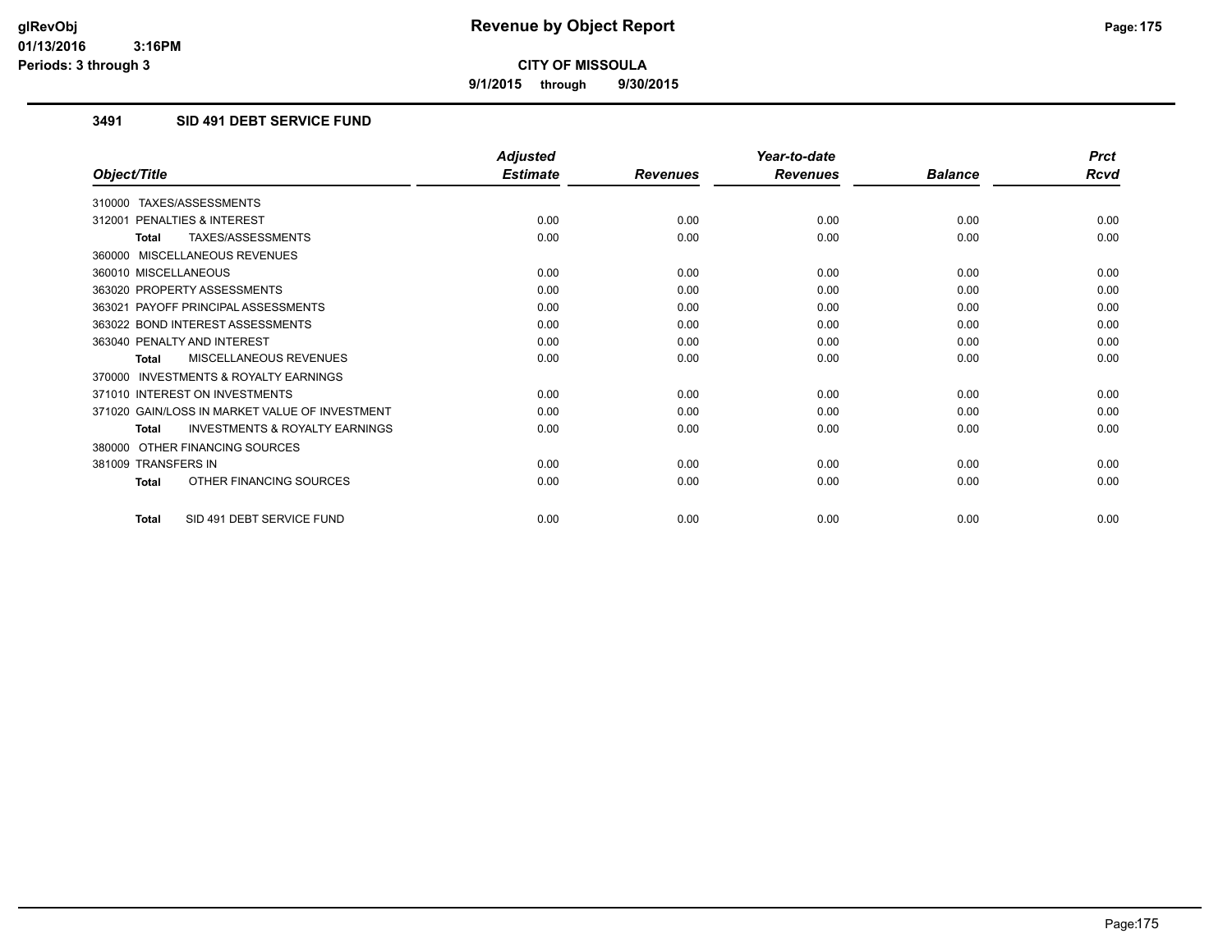**9/1/2015 through 9/30/2015**

### **3491 SID 491 DEBT SERVICE FUND**

|                                                           | <b>Adjusted</b> |                 | Year-to-date    |                | <b>Prct</b> |
|-----------------------------------------------------------|-----------------|-----------------|-----------------|----------------|-------------|
| Object/Title                                              | <b>Estimate</b> | <b>Revenues</b> | <b>Revenues</b> | <b>Balance</b> | <b>Rcvd</b> |
| 310000 TAXES/ASSESSMENTS                                  |                 |                 |                 |                |             |
| PENALTIES & INTEREST<br>312001                            | 0.00            | 0.00            | 0.00            | 0.00           | 0.00        |
| TAXES/ASSESSMENTS<br><b>Total</b>                         | 0.00            | 0.00            | 0.00            | 0.00           | 0.00        |
| 360000 MISCELLANEOUS REVENUES                             |                 |                 |                 |                |             |
| 360010 MISCELLANEOUS                                      | 0.00            | 0.00            | 0.00            | 0.00           | 0.00        |
| 363020 PROPERTY ASSESSMENTS                               | 0.00            | 0.00            | 0.00            | 0.00           | 0.00        |
| 363021 PAYOFF PRINCIPAL ASSESSMENTS                       | 0.00            | 0.00            | 0.00            | 0.00           | 0.00        |
| 363022 BOND INTEREST ASSESSMENTS                          | 0.00            | 0.00            | 0.00            | 0.00           | 0.00        |
| 363040 PENALTY AND INTEREST                               | 0.00            | 0.00            | 0.00            | 0.00           | 0.00        |
| MISCELLANEOUS REVENUES<br><b>Total</b>                    | 0.00            | 0.00            | 0.00            | 0.00           | 0.00        |
| <b>INVESTMENTS &amp; ROYALTY EARNINGS</b><br>370000       |                 |                 |                 |                |             |
| 371010 INTEREST ON INVESTMENTS                            | 0.00            | 0.00            | 0.00            | 0.00           | 0.00        |
| 371020 GAIN/LOSS IN MARKET VALUE OF INVESTMENT            | 0.00            | 0.00            | 0.00            | 0.00           | 0.00        |
| <b>INVESTMENTS &amp; ROYALTY EARNINGS</b><br><b>Total</b> | 0.00            | 0.00            | 0.00            | 0.00           | 0.00        |
| OTHER FINANCING SOURCES<br>380000                         |                 |                 |                 |                |             |
| 381009 TRANSFERS IN                                       | 0.00            | 0.00            | 0.00            | 0.00           | 0.00        |
| OTHER FINANCING SOURCES<br><b>Total</b>                   | 0.00            | 0.00            | 0.00            | 0.00           | 0.00        |
| SID 491 DEBT SERVICE FUND<br><b>Total</b>                 | 0.00            | 0.00            | 0.00            | 0.00           | 0.00        |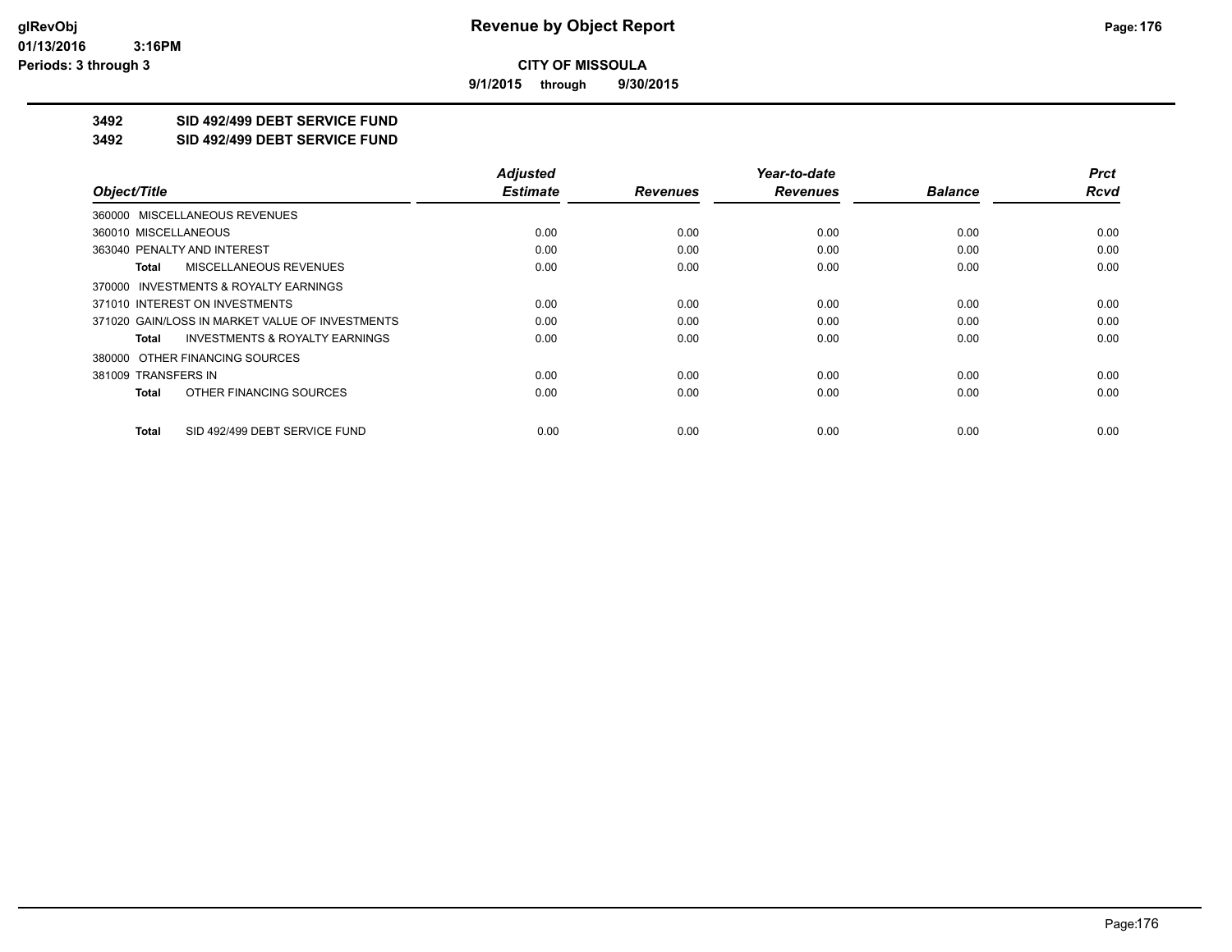**9/1/2015 through 9/30/2015**

# **3492 SID 492/499 DEBT SERVICE FUND**

**3492 SID 492/499 DEBT SERVICE FUND**

|                                                    | <b>Adjusted</b> |                 | Year-to-date    |                | <b>Prct</b> |
|----------------------------------------------------|-----------------|-----------------|-----------------|----------------|-------------|
| Object/Title                                       | <b>Estimate</b> | <b>Revenues</b> | <b>Revenues</b> | <b>Balance</b> | <b>Rcvd</b> |
| 360000 MISCELLANEOUS REVENUES                      |                 |                 |                 |                |             |
| 360010 MISCELLANEOUS                               | 0.00            | 0.00            | 0.00            | 0.00           | 0.00        |
| 363040 PENALTY AND INTEREST                        | 0.00            | 0.00            | 0.00            | 0.00           | 0.00        |
| <b>MISCELLANEOUS REVENUES</b><br>Total             | 0.00            | 0.00            | 0.00            | 0.00           | 0.00        |
| 370000 INVESTMENTS & ROYALTY EARNINGS              |                 |                 |                 |                |             |
| 371010 INTEREST ON INVESTMENTS                     | 0.00            | 0.00            | 0.00            | 0.00           | 0.00        |
| 371020 GAIN/LOSS IN MARKET VALUE OF INVESTMENTS    | 0.00            | 0.00            | 0.00            | 0.00           | 0.00        |
| <b>INVESTMENTS &amp; ROYALTY EARNINGS</b><br>Total | 0.00            | 0.00            | 0.00            | 0.00           | 0.00        |
| 380000 OTHER FINANCING SOURCES                     |                 |                 |                 |                |             |
| 381009 TRANSFERS IN                                | 0.00            | 0.00            | 0.00            | 0.00           | 0.00        |
| OTHER FINANCING SOURCES<br>Total                   | 0.00            | 0.00            | 0.00            | 0.00           | 0.00        |
| SID 492/499 DEBT SERVICE FUND<br>Total             | 0.00            | 0.00            | 0.00            | 0.00           | 0.00        |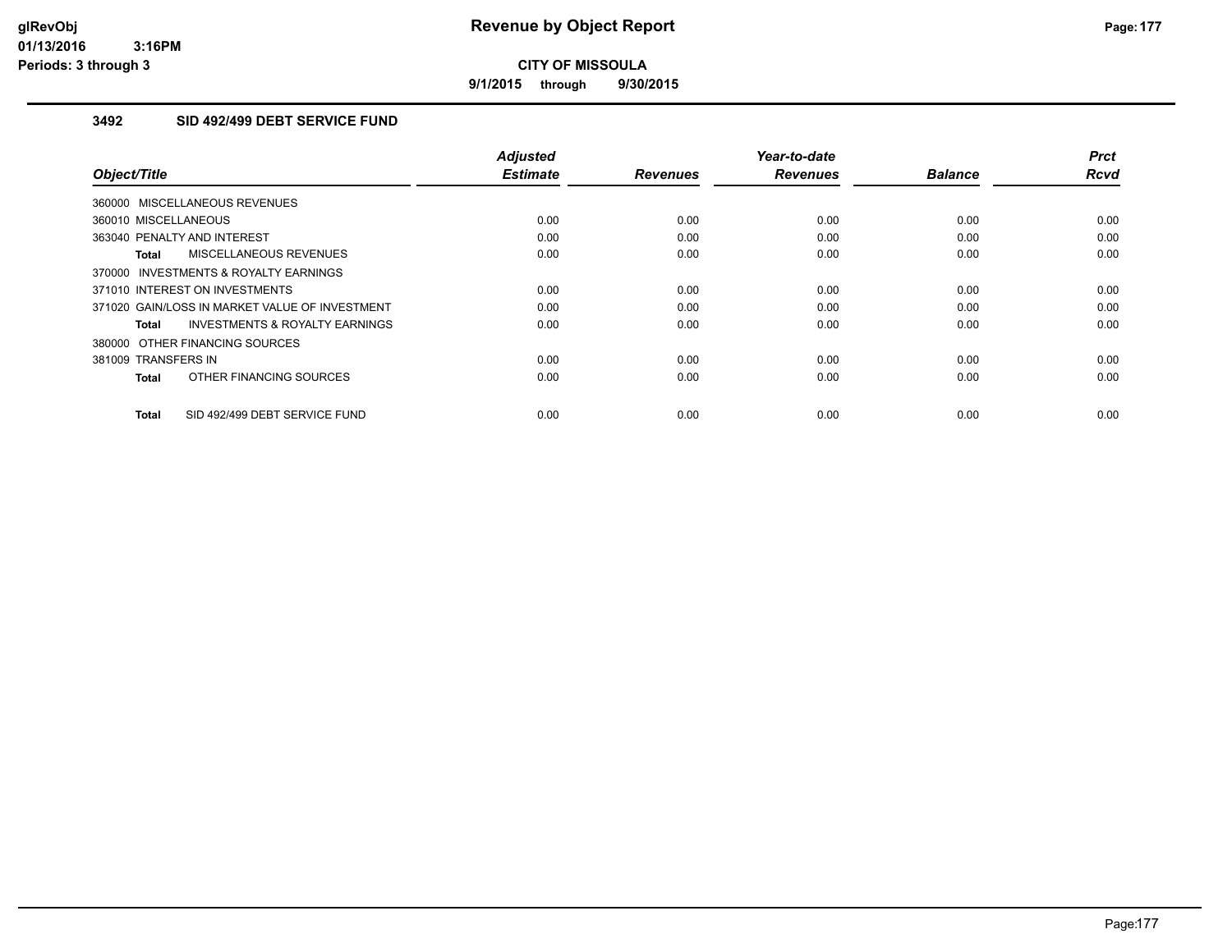**9/1/2015 through 9/30/2015**

### **3492 SID 492/499 DEBT SERVICE FUND**

| Object/Title                                        | <b>Adjusted</b><br><b>Estimate</b> | <b>Revenues</b> | Year-to-date<br><b>Revenues</b> | <b>Balance</b> | <b>Prct</b><br><b>Rcvd</b> |
|-----------------------------------------------------|------------------------------------|-----------------|---------------------------------|----------------|----------------------------|
| 360000 MISCELLANEOUS REVENUES                       |                                    |                 |                                 |                |                            |
| 360010 MISCELLANEOUS                                | 0.00                               | 0.00            | 0.00                            | 0.00           | 0.00                       |
| 363040 PENALTY AND INTEREST                         | 0.00                               | 0.00            | 0.00                            | 0.00           | 0.00                       |
| MISCELLANEOUS REVENUES<br>Total                     | 0.00                               | 0.00            | 0.00                            | 0.00           | 0.00                       |
| <b>INVESTMENTS &amp; ROYALTY EARNINGS</b><br>370000 |                                    |                 |                                 |                |                            |
| 371010 INTEREST ON INVESTMENTS                      | 0.00                               | 0.00            | 0.00                            | 0.00           | 0.00                       |
| 371020 GAIN/LOSS IN MARKET VALUE OF INVESTMENT      | 0.00                               | 0.00            | 0.00                            | 0.00           | 0.00                       |
| <b>INVESTMENTS &amp; ROYALTY EARNINGS</b><br>Total  | 0.00                               | 0.00            | 0.00                            | 0.00           | 0.00                       |
| 380000 OTHER FINANCING SOURCES                      |                                    |                 |                                 |                |                            |
| 381009 TRANSFERS IN                                 | 0.00                               | 0.00            | 0.00                            | 0.00           | 0.00                       |
| OTHER FINANCING SOURCES<br><b>Total</b>             | 0.00                               | 0.00            | 0.00                            | 0.00           | 0.00                       |
| SID 492/499 DEBT SERVICE FUND<br><b>Total</b>       | 0.00                               | 0.00            | 0.00                            | 0.00           | 0.00                       |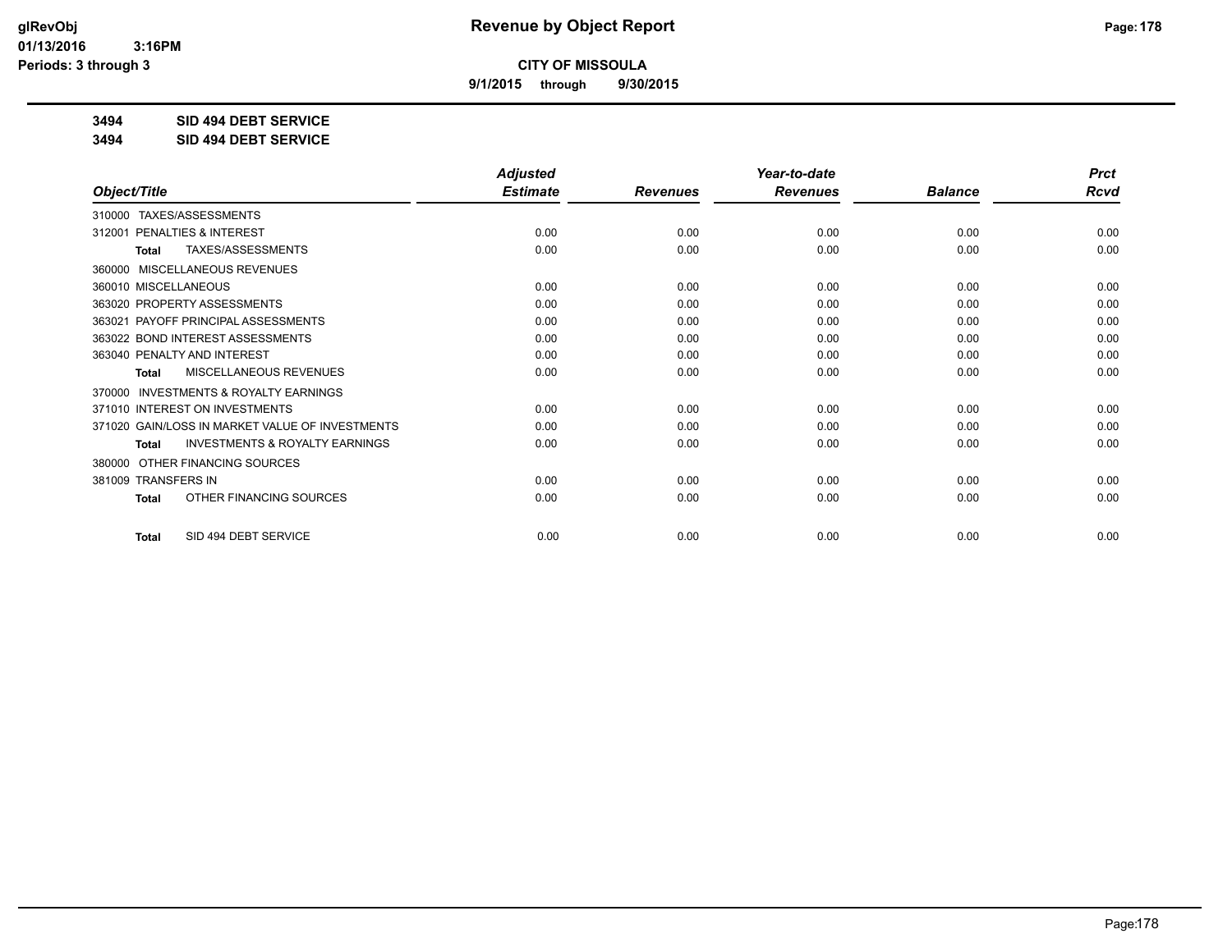**9/1/2015 through 9/30/2015**

**3494 SID 494 DEBT SERVICE**

**3494 SID 494 DEBT SERVICE**

|                                                           | <b>Adjusted</b> |                 | Year-to-date    |                | <b>Prct</b> |
|-----------------------------------------------------------|-----------------|-----------------|-----------------|----------------|-------------|
| Object/Title                                              | <b>Estimate</b> | <b>Revenues</b> | <b>Revenues</b> | <b>Balance</b> | <b>Rcvd</b> |
| 310000 TAXES/ASSESSMENTS                                  |                 |                 |                 |                |             |
| 312001 PENALTIES & INTEREST                               | 0.00            | 0.00            | 0.00            | 0.00           | 0.00        |
| TAXES/ASSESSMENTS<br><b>Total</b>                         | 0.00            | 0.00            | 0.00            | 0.00           | 0.00        |
| MISCELLANEOUS REVENUES<br>360000                          |                 |                 |                 |                |             |
| 360010 MISCELLANEOUS                                      | 0.00            | 0.00            | 0.00            | 0.00           | 0.00        |
| 363020 PROPERTY ASSESSMENTS                               | 0.00            | 0.00            | 0.00            | 0.00           | 0.00        |
| 363021 PAYOFF PRINCIPAL ASSESSMENTS                       | 0.00            | 0.00            | 0.00            | 0.00           | 0.00        |
| 363022 BOND INTEREST ASSESSMENTS                          | 0.00            | 0.00            | 0.00            | 0.00           | 0.00        |
| 363040 PENALTY AND INTEREST                               | 0.00            | 0.00            | 0.00            | 0.00           | 0.00        |
| MISCELLANEOUS REVENUES<br><b>Total</b>                    | 0.00            | 0.00            | 0.00            | 0.00           | 0.00        |
| <b>INVESTMENTS &amp; ROYALTY EARNINGS</b><br>370000       |                 |                 |                 |                |             |
| 371010 INTEREST ON INVESTMENTS                            | 0.00            | 0.00            | 0.00            | 0.00           | 0.00        |
| 371020 GAIN/LOSS IN MARKET VALUE OF INVESTMENTS           | 0.00            | 0.00            | 0.00            | 0.00           | 0.00        |
| <b>INVESTMENTS &amp; ROYALTY EARNINGS</b><br><b>Total</b> | 0.00            | 0.00            | 0.00            | 0.00           | 0.00        |
| OTHER FINANCING SOURCES<br>380000                         |                 |                 |                 |                |             |
| 381009 TRANSFERS IN                                       | 0.00            | 0.00            | 0.00            | 0.00           | 0.00        |
| OTHER FINANCING SOURCES<br><b>Total</b>                   | 0.00            | 0.00            | 0.00            | 0.00           | 0.00        |
| SID 494 DEBT SERVICE<br><b>Total</b>                      | 0.00            | 0.00            | 0.00            | 0.00           | 0.00        |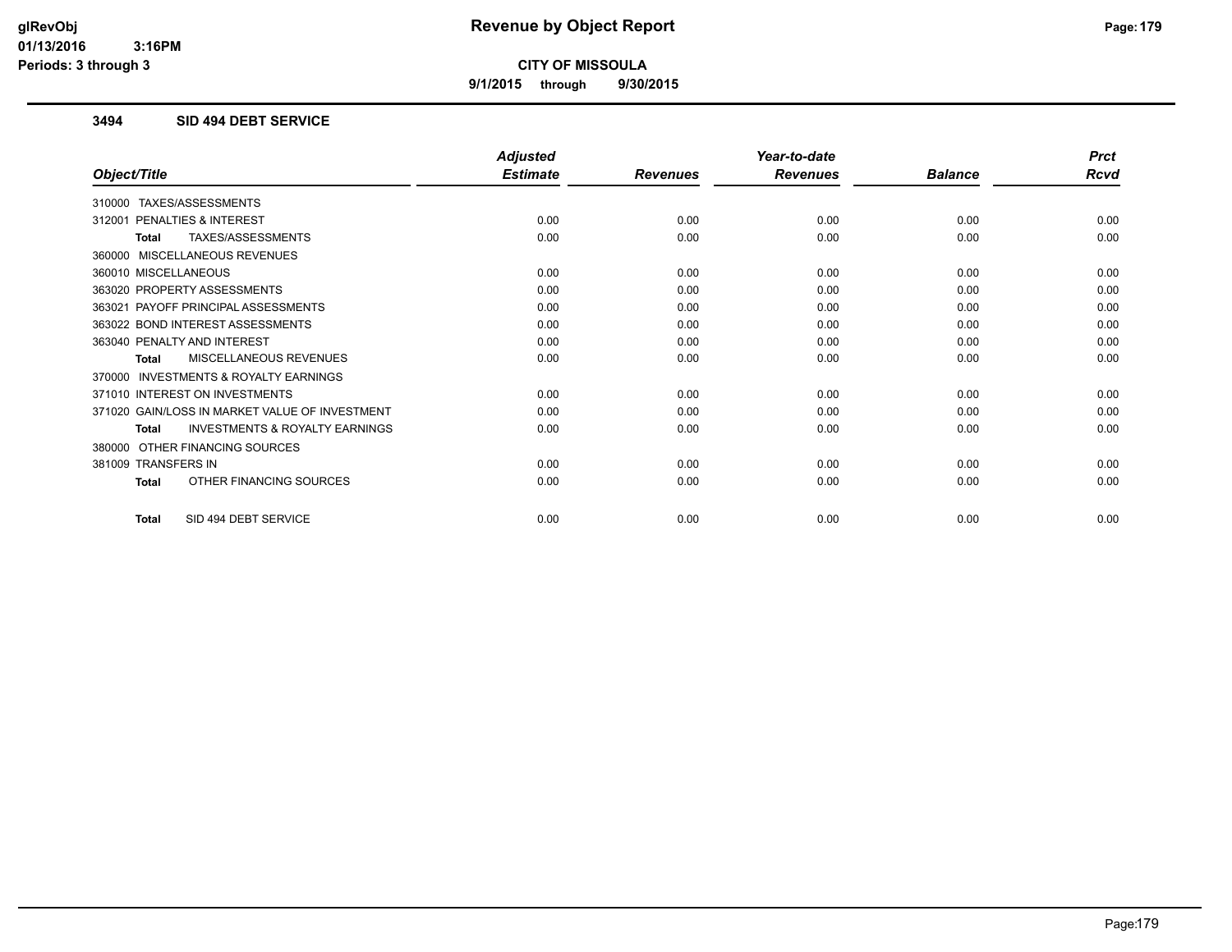**9/1/2015 through 9/30/2015**

#### **3494 SID 494 DEBT SERVICE**

|                                                           | <b>Adjusted</b> |                 | Year-to-date    |                | <b>Prct</b> |
|-----------------------------------------------------------|-----------------|-----------------|-----------------|----------------|-------------|
| Object/Title                                              | <b>Estimate</b> | <b>Revenues</b> | <b>Revenues</b> | <b>Balance</b> | <b>Rcvd</b> |
| 310000 TAXES/ASSESSMENTS                                  |                 |                 |                 |                |             |
| PENALTIES & INTEREST<br>312001                            | 0.00            | 0.00            | 0.00            | 0.00           | 0.00        |
| TAXES/ASSESSMENTS<br>Total                                | 0.00            | 0.00            | 0.00            | 0.00           | 0.00        |
| 360000 MISCELLANEOUS REVENUES                             |                 |                 |                 |                |             |
| 360010 MISCELLANEOUS                                      | 0.00            | 0.00            | 0.00            | 0.00           | 0.00        |
| 363020 PROPERTY ASSESSMENTS                               | 0.00            | 0.00            | 0.00            | 0.00           | 0.00        |
| PAYOFF PRINCIPAL ASSESSMENTS<br>363021                    | 0.00            | 0.00            | 0.00            | 0.00           | 0.00        |
| 363022 BOND INTEREST ASSESSMENTS                          | 0.00            | 0.00            | 0.00            | 0.00           | 0.00        |
| 363040 PENALTY AND INTEREST                               | 0.00            | 0.00            | 0.00            | 0.00           | 0.00        |
| <b>MISCELLANEOUS REVENUES</b><br>Total                    | 0.00            | 0.00            | 0.00            | 0.00           | 0.00        |
| 370000 INVESTMENTS & ROYALTY EARNINGS                     |                 |                 |                 |                |             |
| 371010 INTEREST ON INVESTMENTS                            | 0.00            | 0.00            | 0.00            | 0.00           | 0.00        |
| 371020 GAIN/LOSS IN MARKET VALUE OF INVESTMENT            | 0.00            | 0.00            | 0.00            | 0.00           | 0.00        |
| <b>INVESTMENTS &amp; ROYALTY EARNINGS</b><br><b>Total</b> | 0.00            | 0.00            | 0.00            | 0.00           | 0.00        |
| OTHER FINANCING SOURCES<br>380000                         |                 |                 |                 |                |             |
| 381009 TRANSFERS IN                                       | 0.00            | 0.00            | 0.00            | 0.00           | 0.00        |
| OTHER FINANCING SOURCES<br><b>Total</b>                   | 0.00            | 0.00            | 0.00            | 0.00           | 0.00        |
| SID 494 DEBT SERVICE<br><b>Total</b>                      | 0.00            | 0.00            | 0.00            | 0.00           | 0.00        |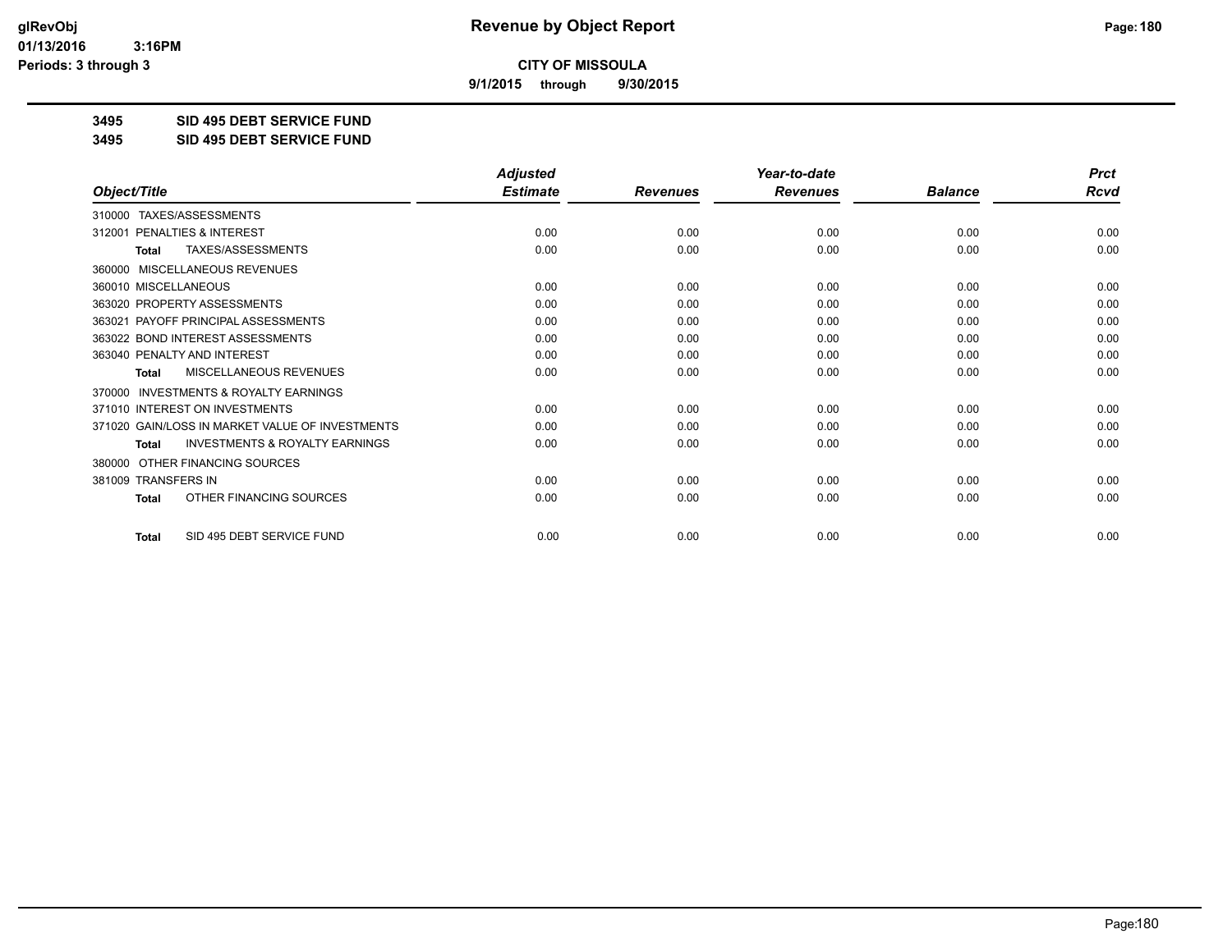**9/1/2015 through 9/30/2015**

**3495 SID 495 DEBT SERVICE FUND**

**3495 SID 495 DEBT SERVICE FUND**

|                                                           | <b>Adjusted</b> |                 | Year-to-date    |                | <b>Prct</b> |
|-----------------------------------------------------------|-----------------|-----------------|-----------------|----------------|-------------|
| Object/Title                                              | <b>Estimate</b> | <b>Revenues</b> | <b>Revenues</b> | <b>Balance</b> | <b>Rcvd</b> |
| 310000 TAXES/ASSESSMENTS                                  |                 |                 |                 |                |             |
| 312001 PENALTIES & INTEREST                               | 0.00            | 0.00            | 0.00            | 0.00           | 0.00        |
| TAXES/ASSESSMENTS<br><b>Total</b>                         | 0.00            | 0.00            | 0.00            | 0.00           | 0.00        |
| MISCELLANEOUS REVENUES<br>360000                          |                 |                 |                 |                |             |
| 360010 MISCELLANEOUS                                      | 0.00            | 0.00            | 0.00            | 0.00           | 0.00        |
| 363020 PROPERTY ASSESSMENTS                               | 0.00            | 0.00            | 0.00            | 0.00           | 0.00        |
| 363021 PAYOFF PRINCIPAL ASSESSMENTS                       | 0.00            | 0.00            | 0.00            | 0.00           | 0.00        |
| 363022 BOND INTEREST ASSESSMENTS                          | 0.00            | 0.00            | 0.00            | 0.00           | 0.00        |
| 363040 PENALTY AND INTEREST                               | 0.00            | 0.00            | 0.00            | 0.00           | 0.00        |
| MISCELLANEOUS REVENUES<br><b>Total</b>                    | 0.00            | 0.00            | 0.00            | 0.00           | 0.00        |
| <b>INVESTMENTS &amp; ROYALTY EARNINGS</b><br>370000       |                 |                 |                 |                |             |
| 371010 INTEREST ON INVESTMENTS                            | 0.00            | 0.00            | 0.00            | 0.00           | 0.00        |
| 371020 GAIN/LOSS IN MARKET VALUE OF INVESTMENTS           | 0.00            | 0.00            | 0.00            | 0.00           | 0.00        |
| <b>INVESTMENTS &amp; ROYALTY EARNINGS</b><br><b>Total</b> | 0.00            | 0.00            | 0.00            | 0.00           | 0.00        |
| OTHER FINANCING SOURCES<br>380000                         |                 |                 |                 |                |             |
| 381009 TRANSFERS IN                                       | 0.00            | 0.00            | 0.00            | 0.00           | 0.00        |
| OTHER FINANCING SOURCES<br><b>Total</b>                   | 0.00            | 0.00            | 0.00            | 0.00           | 0.00        |
| SID 495 DEBT SERVICE FUND<br><b>Total</b>                 | 0.00            | 0.00            | 0.00            | 0.00           | 0.00        |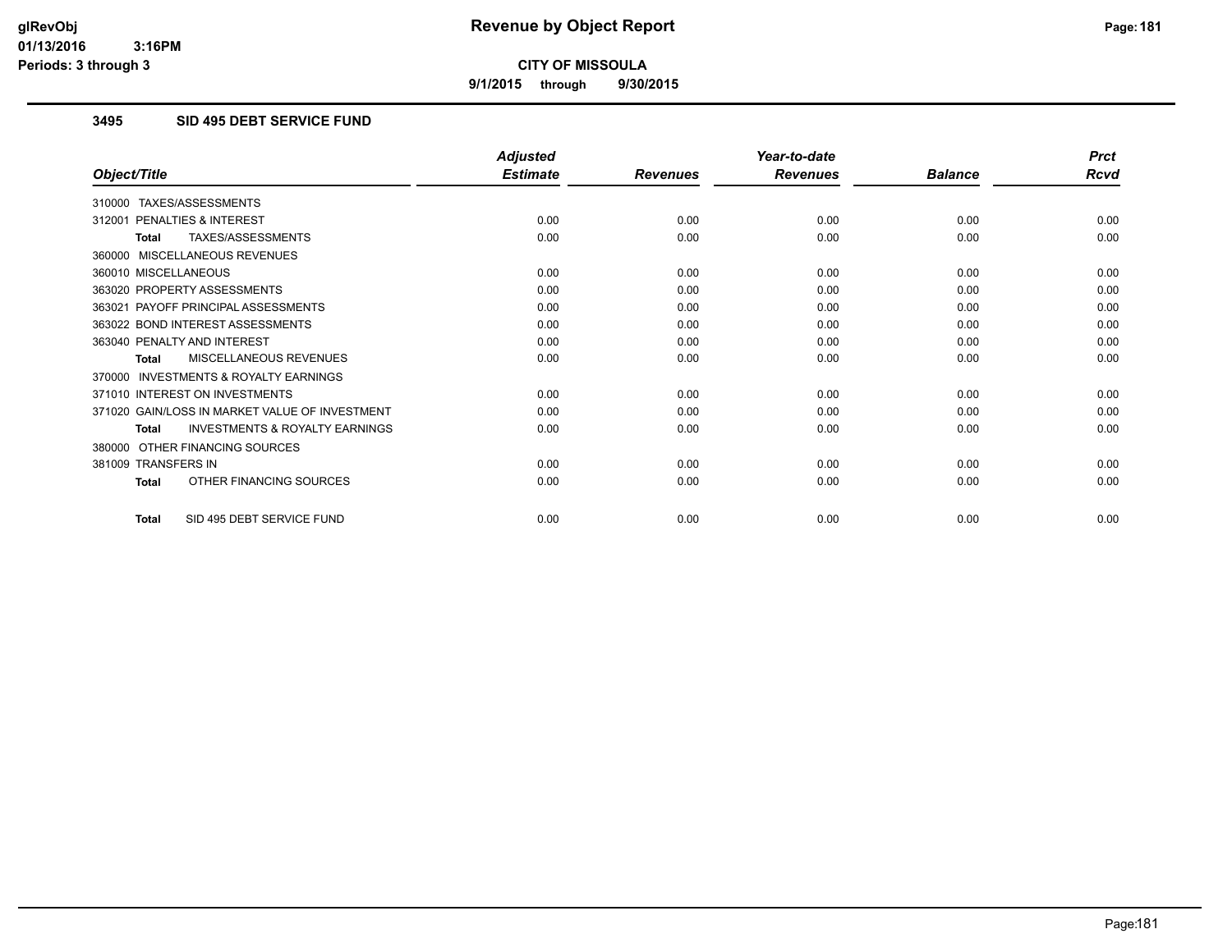**9/1/2015 through 9/30/2015**

## **3495 SID 495 DEBT SERVICE FUND**

|                                                           | <b>Adjusted</b> |                 | Year-to-date    |                | <b>Prct</b> |
|-----------------------------------------------------------|-----------------|-----------------|-----------------|----------------|-------------|
| Object/Title                                              | <b>Estimate</b> | <b>Revenues</b> | <b>Revenues</b> | <b>Balance</b> | <b>Rcvd</b> |
| 310000 TAXES/ASSESSMENTS                                  |                 |                 |                 |                |             |
| 312001 PENALTIES & INTEREST                               | 0.00            | 0.00            | 0.00            | 0.00           | 0.00        |
| TAXES/ASSESSMENTS<br><b>Total</b>                         | 0.00            | 0.00            | 0.00            | 0.00           | 0.00        |
| 360000 MISCELLANEOUS REVENUES                             |                 |                 |                 |                |             |
| 360010 MISCELLANEOUS                                      | 0.00            | 0.00            | 0.00            | 0.00           | 0.00        |
| 363020 PROPERTY ASSESSMENTS                               | 0.00            | 0.00            | 0.00            | 0.00           | 0.00        |
| 363021 PAYOFF PRINCIPAL ASSESSMENTS                       | 0.00            | 0.00            | 0.00            | 0.00           | 0.00        |
| 363022 BOND INTEREST ASSESSMENTS                          | 0.00            | 0.00            | 0.00            | 0.00           | 0.00        |
| 363040 PENALTY AND INTEREST                               | 0.00            | 0.00            | 0.00            | 0.00           | 0.00        |
| MISCELLANEOUS REVENUES<br><b>Total</b>                    | 0.00            | 0.00            | 0.00            | 0.00           | 0.00        |
| <b>INVESTMENTS &amp; ROYALTY EARNINGS</b><br>370000       |                 |                 |                 |                |             |
| 371010 INTEREST ON INVESTMENTS                            | 0.00            | 0.00            | 0.00            | 0.00           | 0.00        |
| 371020 GAIN/LOSS IN MARKET VALUE OF INVESTMENT            | 0.00            | 0.00            | 0.00            | 0.00           | 0.00        |
| <b>INVESTMENTS &amp; ROYALTY EARNINGS</b><br><b>Total</b> | 0.00            | 0.00            | 0.00            | 0.00           | 0.00        |
| 380000 OTHER FINANCING SOURCES                            |                 |                 |                 |                |             |
| 381009 TRANSFERS IN                                       | 0.00            | 0.00            | 0.00            | 0.00           | 0.00        |
| OTHER FINANCING SOURCES<br><b>Total</b>                   | 0.00            | 0.00            | 0.00            | 0.00           | 0.00        |
| SID 495 DEBT SERVICE FUND<br>Total                        | 0.00            | 0.00            | 0.00            | 0.00           | 0.00        |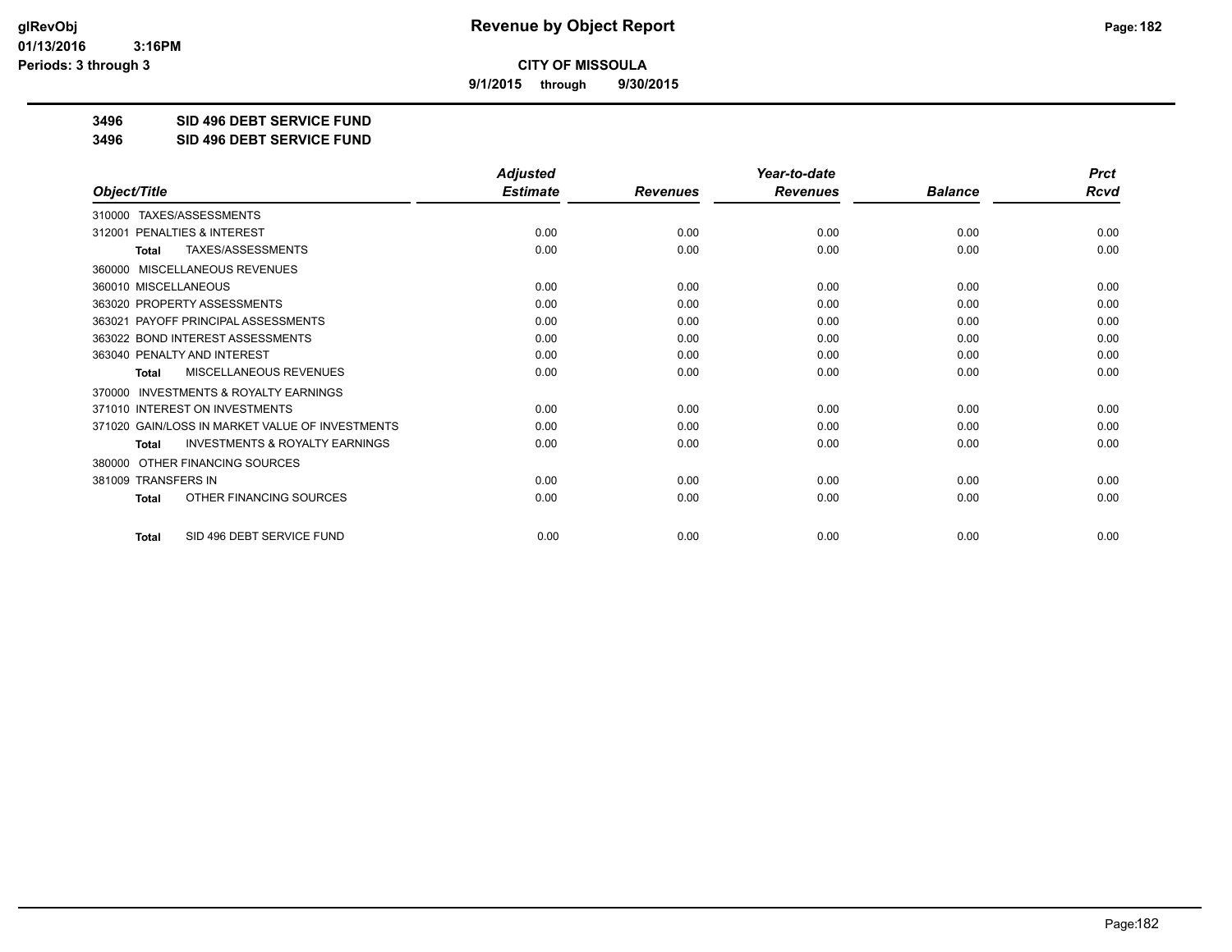**9/1/2015 through 9/30/2015**

**3496 SID 496 DEBT SERVICE FUND**

**3496 SID 496 DEBT SERVICE FUND**

|                                                     | <b>Adjusted</b> |                 | Year-to-date    |                | <b>Prct</b> |
|-----------------------------------------------------|-----------------|-----------------|-----------------|----------------|-------------|
| Object/Title                                        | <b>Estimate</b> | <b>Revenues</b> | <b>Revenues</b> | <b>Balance</b> | <b>Rcvd</b> |
| 310000 TAXES/ASSESSMENTS                            |                 |                 |                 |                |             |
| <b>PENALTIES &amp; INTEREST</b><br>312001           | 0.00            | 0.00            | 0.00            | 0.00           | 0.00        |
| TAXES/ASSESSMENTS<br><b>Total</b>                   | 0.00            | 0.00            | 0.00            | 0.00           | 0.00        |
| MISCELLANEOUS REVENUES<br>360000                    |                 |                 |                 |                |             |
| 360010 MISCELLANEOUS                                | 0.00            | 0.00            | 0.00            | 0.00           | 0.00        |
| 363020 PROPERTY ASSESSMENTS                         | 0.00            | 0.00            | 0.00            | 0.00           | 0.00        |
| 363021 PAYOFF PRINCIPAL ASSESSMENTS                 | 0.00            | 0.00            | 0.00            | 0.00           | 0.00        |
| 363022 BOND INTEREST ASSESSMENTS                    | 0.00            | 0.00            | 0.00            | 0.00           | 0.00        |
| 363040 PENALTY AND INTEREST                         | 0.00            | 0.00            | 0.00            | 0.00           | 0.00        |
| MISCELLANEOUS REVENUES<br><b>Total</b>              | 0.00            | 0.00            | 0.00            | 0.00           | 0.00        |
| <b>INVESTMENTS &amp; ROYALTY EARNINGS</b><br>370000 |                 |                 |                 |                |             |
| 371010 INTEREST ON INVESTMENTS                      | 0.00            | 0.00            | 0.00            | 0.00           | 0.00        |
| 371020 GAIN/LOSS IN MARKET VALUE OF INVESTMENTS     | 0.00            | 0.00            | 0.00            | 0.00           | 0.00        |
| <b>INVESTMENTS &amp; ROYALTY EARNINGS</b><br>Total  | 0.00            | 0.00            | 0.00            | 0.00           | 0.00        |
| OTHER FINANCING SOURCES<br>380000                   |                 |                 |                 |                |             |
| 381009 TRANSFERS IN                                 | 0.00            | 0.00            | 0.00            | 0.00           | 0.00        |
| OTHER FINANCING SOURCES<br>Total                    | 0.00            | 0.00            | 0.00            | 0.00           | 0.00        |
| SID 496 DEBT SERVICE FUND<br><b>Total</b>           | 0.00            | 0.00            | 0.00            | 0.00           | 0.00        |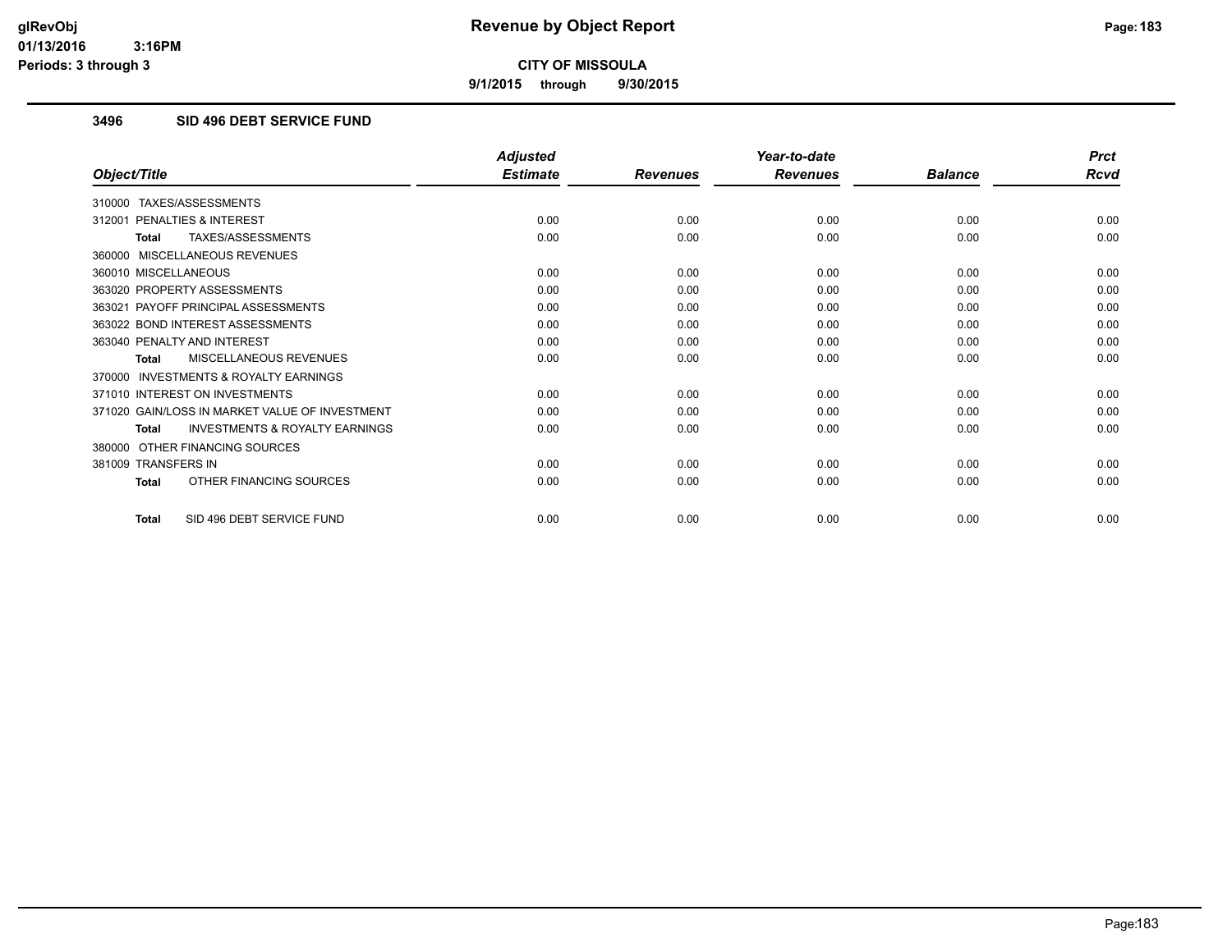**9/1/2015 through 9/30/2015**

## **3496 SID 496 DEBT SERVICE FUND**

|                                                           | <b>Adjusted</b> |                 | Year-to-date    |                | <b>Prct</b> |
|-----------------------------------------------------------|-----------------|-----------------|-----------------|----------------|-------------|
| Object/Title                                              | <b>Estimate</b> | <b>Revenues</b> | <b>Revenues</b> | <b>Balance</b> | <b>Rcvd</b> |
| 310000 TAXES/ASSESSMENTS                                  |                 |                 |                 |                |             |
| 312001 PENALTIES & INTEREST                               | 0.00            | 0.00            | 0.00            | 0.00           | 0.00        |
| TAXES/ASSESSMENTS<br><b>Total</b>                         | 0.00            | 0.00            | 0.00            | 0.00           | 0.00        |
| 360000 MISCELLANEOUS REVENUES                             |                 |                 |                 |                |             |
| 360010 MISCELLANEOUS                                      | 0.00            | 0.00            | 0.00            | 0.00           | 0.00        |
| 363020 PROPERTY ASSESSMENTS                               | 0.00            | 0.00            | 0.00            | 0.00           | 0.00        |
| 363021 PAYOFF PRINCIPAL ASSESSMENTS                       | 0.00            | 0.00            | 0.00            | 0.00           | 0.00        |
| 363022 BOND INTEREST ASSESSMENTS                          | 0.00            | 0.00            | 0.00            | 0.00           | 0.00        |
| 363040 PENALTY AND INTEREST                               | 0.00            | 0.00            | 0.00            | 0.00           | 0.00        |
| MISCELLANEOUS REVENUES<br><b>Total</b>                    | 0.00            | 0.00            | 0.00            | 0.00           | 0.00        |
| <b>INVESTMENTS &amp; ROYALTY EARNINGS</b><br>370000       |                 |                 |                 |                |             |
| 371010 INTEREST ON INVESTMENTS                            | 0.00            | 0.00            | 0.00            | 0.00           | 0.00        |
| 371020 GAIN/LOSS IN MARKET VALUE OF INVESTMENT            | 0.00            | 0.00            | 0.00            | 0.00           | 0.00        |
| <b>INVESTMENTS &amp; ROYALTY EARNINGS</b><br><b>Total</b> | 0.00            | 0.00            | 0.00            | 0.00           | 0.00        |
| 380000 OTHER FINANCING SOURCES                            |                 |                 |                 |                |             |
| 381009 TRANSFERS IN                                       | 0.00            | 0.00            | 0.00            | 0.00           | 0.00        |
| OTHER FINANCING SOURCES<br>Total                          | 0.00            | 0.00            | 0.00            | 0.00           | 0.00        |
| SID 496 DEBT SERVICE FUND<br>Total                        | 0.00            | 0.00            | 0.00            | 0.00           | 0.00        |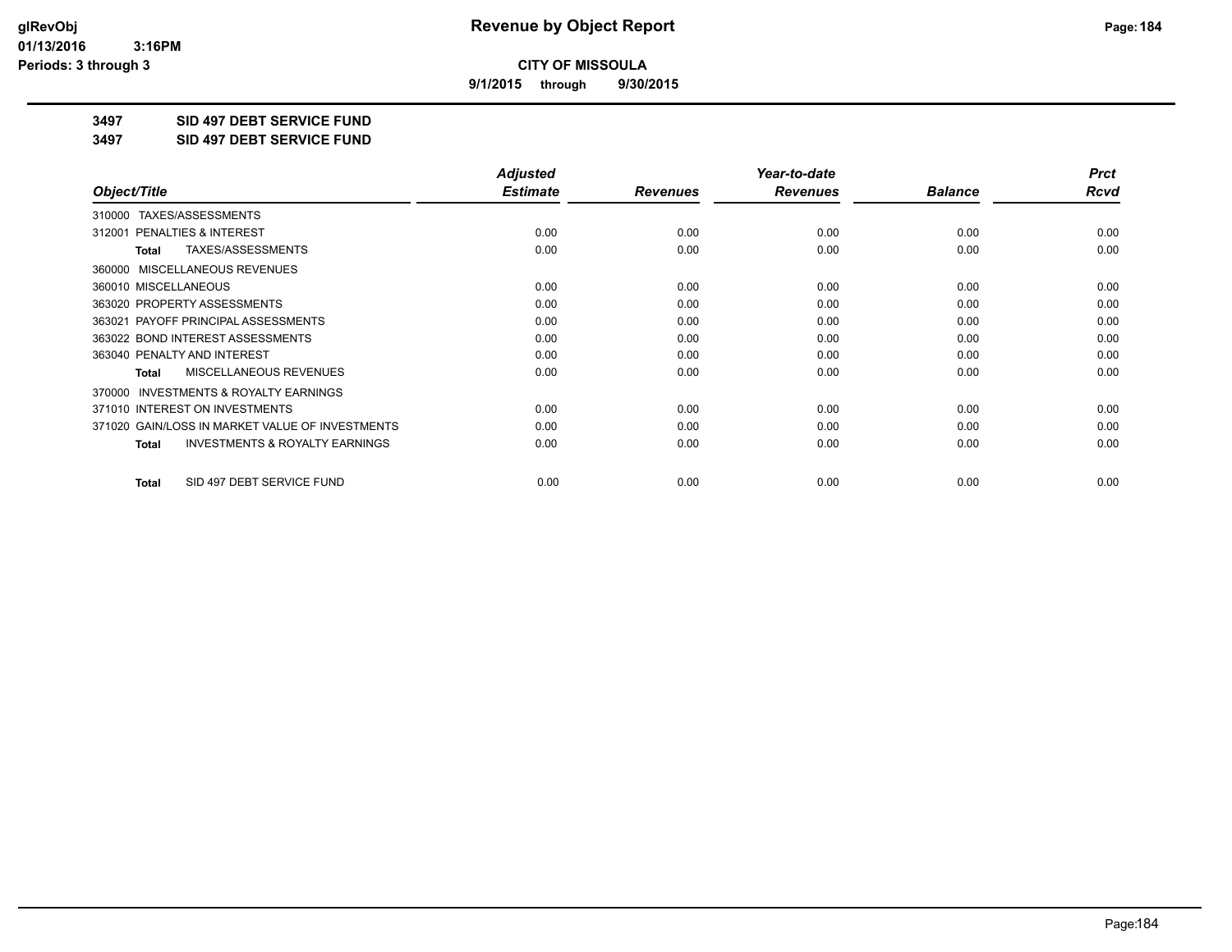**9/1/2015 through 9/30/2015**

**3497 SID 497 DEBT SERVICE FUND**

**3497 SID 497 DEBT SERVICE FUND**

|                                                           | <b>Adjusted</b> |                 | Year-to-date    |                | <b>Prct</b> |
|-----------------------------------------------------------|-----------------|-----------------|-----------------|----------------|-------------|
| Object/Title                                              | <b>Estimate</b> | <b>Revenues</b> | <b>Revenues</b> | <b>Balance</b> | Rcvd        |
| TAXES/ASSESSMENTS<br>310000                               |                 |                 |                 |                |             |
| 312001 PENALTIES & INTEREST                               | 0.00            | 0.00            | 0.00            | 0.00           | 0.00        |
| TAXES/ASSESSMENTS<br>Total                                | 0.00            | 0.00            | 0.00            | 0.00           | 0.00        |
| MISCELLANEOUS REVENUES<br>360000                          |                 |                 |                 |                |             |
| 360010 MISCELLANEOUS                                      | 0.00            | 0.00            | 0.00            | 0.00           | 0.00        |
| 363020 PROPERTY ASSESSMENTS                               | 0.00            | 0.00            | 0.00            | 0.00           | 0.00        |
| 363021 PAYOFF PRINCIPAL ASSESSMENTS                       | 0.00            | 0.00            | 0.00            | 0.00           | 0.00        |
| 363022 BOND INTEREST ASSESSMENTS                          | 0.00            | 0.00            | 0.00            | 0.00           | 0.00        |
| 363040 PENALTY AND INTEREST                               | 0.00            | 0.00            | 0.00            | 0.00           | 0.00        |
| MISCELLANEOUS REVENUES<br><b>Total</b>                    | 0.00            | 0.00            | 0.00            | 0.00           | 0.00        |
| <b>INVESTMENTS &amp; ROYALTY EARNINGS</b><br>370000       |                 |                 |                 |                |             |
| 371010 INTEREST ON INVESTMENTS                            | 0.00            | 0.00            | 0.00            | 0.00           | 0.00        |
| 371020 GAIN/LOSS IN MARKET VALUE OF INVESTMENTS           | 0.00            | 0.00            | 0.00            | 0.00           | 0.00        |
| <b>INVESTMENTS &amp; ROYALTY EARNINGS</b><br><b>Total</b> | 0.00            | 0.00            | 0.00            | 0.00           | 0.00        |
| SID 497 DEBT SERVICE FUND<br><b>Total</b>                 | 0.00            | 0.00            | 0.00            | 0.00           | 0.00        |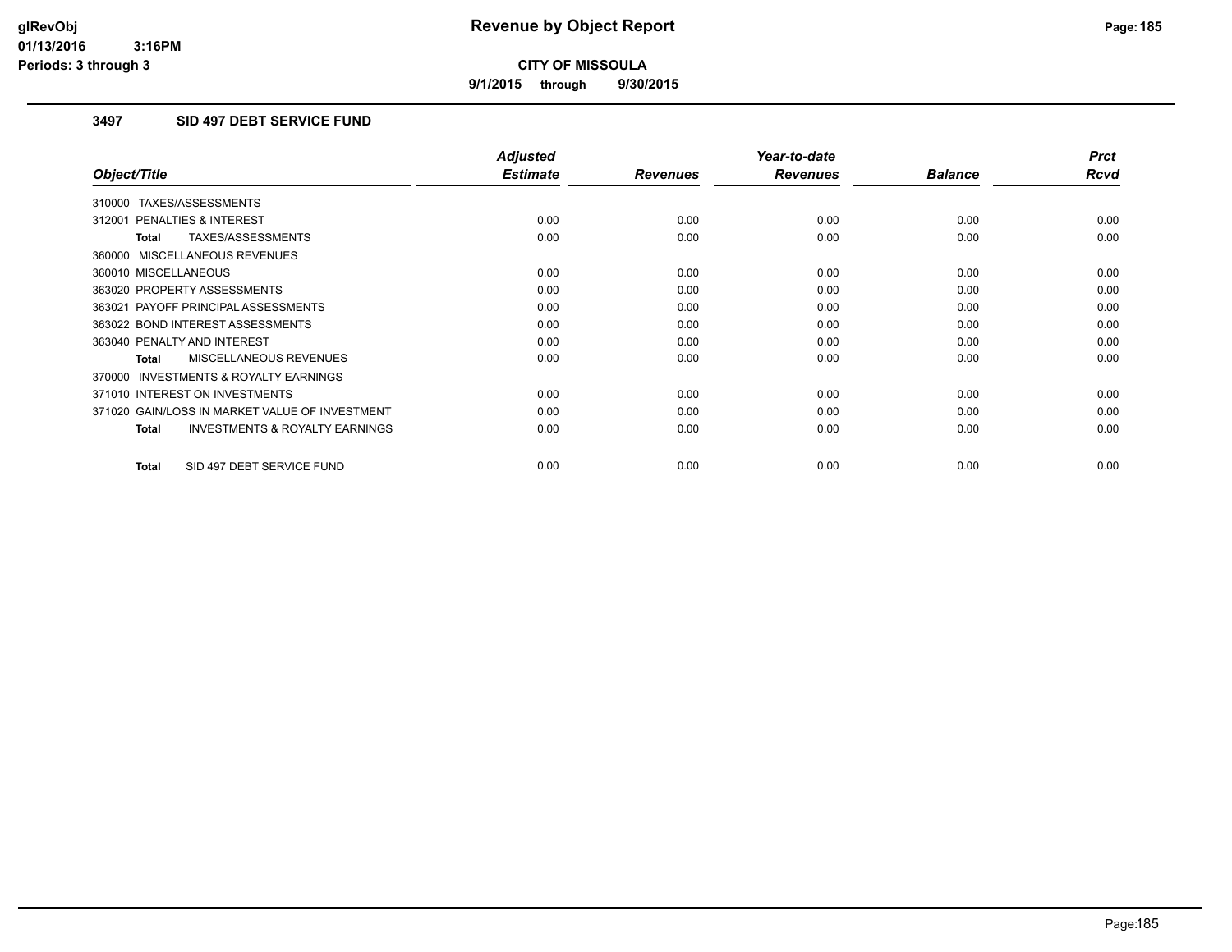**9/1/2015 through 9/30/2015**

## **3497 SID 497 DEBT SERVICE FUND**

|                                                     | <b>Adjusted</b> |                 | Year-to-date    |                | <b>Prct</b> |
|-----------------------------------------------------|-----------------|-----------------|-----------------|----------------|-------------|
| Object/Title                                        | <b>Estimate</b> | <b>Revenues</b> | <b>Revenues</b> | <b>Balance</b> | <b>Rcvd</b> |
| 310000 TAXES/ASSESSMENTS                            |                 |                 |                 |                |             |
| 312001 PENALTIES & INTEREST                         | 0.00            | 0.00            | 0.00            | 0.00           | 0.00        |
| TAXES/ASSESSMENTS<br><b>Total</b>                   | 0.00            | 0.00            | 0.00            | 0.00           | 0.00        |
| 360000 MISCELLANEOUS REVENUES                       |                 |                 |                 |                |             |
| 360010 MISCELLANEOUS                                | 0.00            | 0.00            | 0.00            | 0.00           | 0.00        |
| 363020 PROPERTY ASSESSMENTS                         | 0.00            | 0.00            | 0.00            | 0.00           | 0.00        |
| 363021 PAYOFF PRINCIPAL ASSESSMENTS                 | 0.00            | 0.00            | 0.00            | 0.00           | 0.00        |
| 363022 BOND INTEREST ASSESSMENTS                    | 0.00            | 0.00            | 0.00            | 0.00           | 0.00        |
| 363040 PENALTY AND INTEREST                         | 0.00            | 0.00            | 0.00            | 0.00           | 0.00        |
| <b>MISCELLANEOUS REVENUES</b><br>Total              | 0.00            | 0.00            | 0.00            | 0.00           | 0.00        |
| <b>INVESTMENTS &amp; ROYALTY EARNINGS</b><br>370000 |                 |                 |                 |                |             |
| 371010 INTEREST ON INVESTMENTS                      | 0.00            | 0.00            | 0.00            | 0.00           | 0.00        |
| 371020 GAIN/LOSS IN MARKET VALUE OF INVESTMENT      | 0.00            | 0.00            | 0.00            | 0.00           | 0.00        |
| <b>INVESTMENTS &amp; ROYALTY EARNINGS</b><br>Total  | 0.00            | 0.00            | 0.00            | 0.00           | 0.00        |
| SID 497 DEBT SERVICE FUND<br><b>Total</b>           | 0.00            | 0.00            | 0.00            | 0.00           | 0.00        |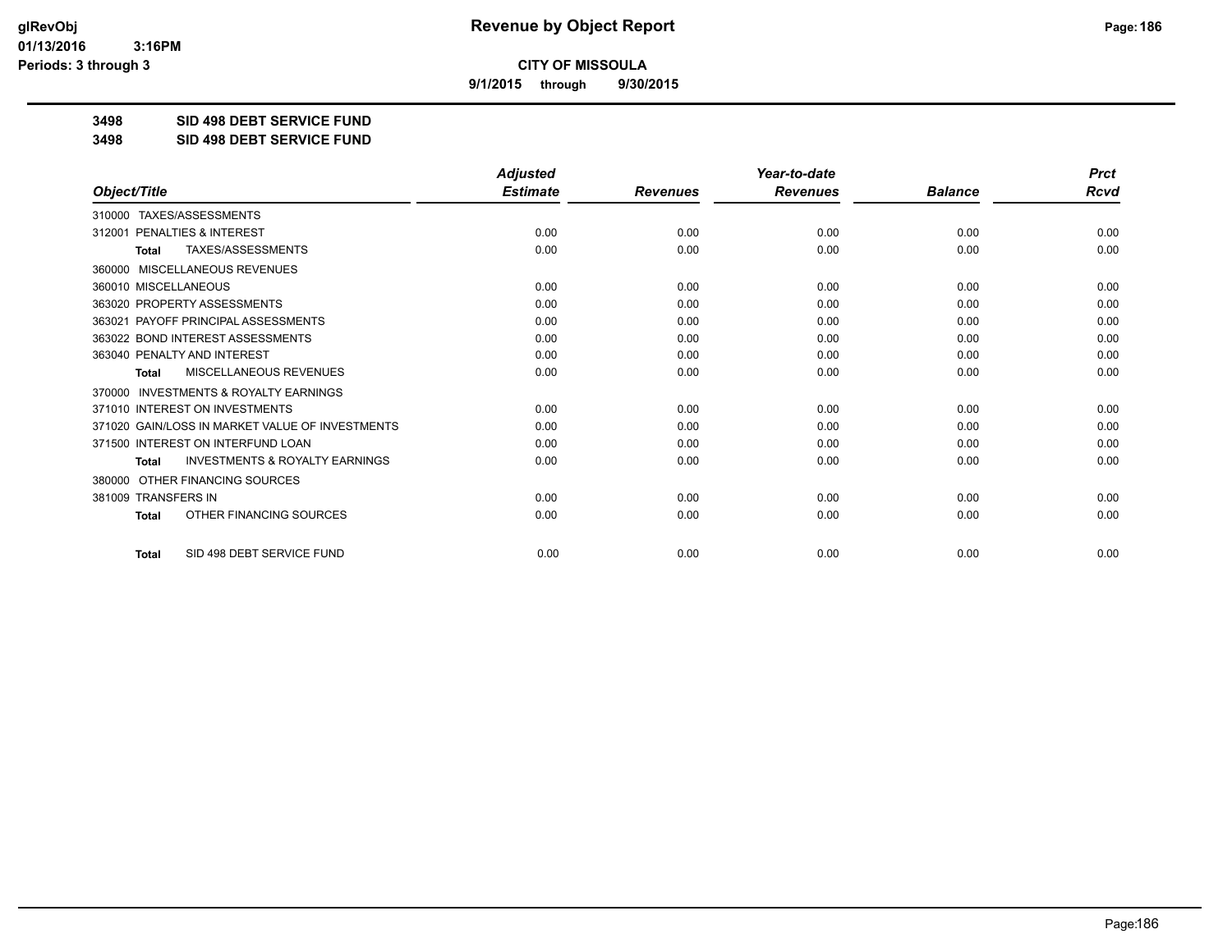**9/1/2015 through 9/30/2015**

**3498 SID 498 DEBT SERVICE FUND**

**3498 SID 498 DEBT SERVICE FUND**

|                                                           | <b>Adjusted</b> |                 | Year-to-date    |                | <b>Prct</b> |
|-----------------------------------------------------------|-----------------|-----------------|-----------------|----------------|-------------|
| Object/Title                                              | <b>Estimate</b> | <b>Revenues</b> | <b>Revenues</b> | <b>Balance</b> | Rcvd        |
| 310000 TAXES/ASSESSMENTS                                  |                 |                 |                 |                |             |
| PENALTIES & INTEREST<br>312001                            | 0.00            | 0.00            | 0.00            | 0.00           | 0.00        |
| TAXES/ASSESSMENTS<br><b>Total</b>                         | 0.00            | 0.00            | 0.00            | 0.00           | 0.00        |
| MISCELLANEOUS REVENUES<br>360000                          |                 |                 |                 |                |             |
| 360010 MISCELLANEOUS                                      | 0.00            | 0.00            | 0.00            | 0.00           | 0.00        |
| 363020 PROPERTY ASSESSMENTS                               | 0.00            | 0.00            | 0.00            | 0.00           | 0.00        |
| 363021 PAYOFF PRINCIPAL ASSESSMENTS                       | 0.00            | 0.00            | 0.00            | 0.00           | 0.00        |
| 363022 BOND INTEREST ASSESSMENTS                          | 0.00            | 0.00            | 0.00            | 0.00           | 0.00        |
| 363040 PENALTY AND INTEREST                               | 0.00            | 0.00            | 0.00            | 0.00           | 0.00        |
| MISCELLANEOUS REVENUES<br><b>Total</b>                    | 0.00            | 0.00            | 0.00            | 0.00           | 0.00        |
| INVESTMENTS & ROYALTY EARNINGS<br>370000                  |                 |                 |                 |                |             |
| 371010 INTEREST ON INVESTMENTS                            | 0.00            | 0.00            | 0.00            | 0.00           | 0.00        |
| 371020 GAIN/LOSS IN MARKET VALUE OF INVESTMENTS           | 0.00            | 0.00            | 0.00            | 0.00           | 0.00        |
| 371500 INTEREST ON INTERFUND LOAN                         | 0.00            | 0.00            | 0.00            | 0.00           | 0.00        |
| <b>INVESTMENTS &amp; ROYALTY EARNINGS</b><br><b>Total</b> | 0.00            | 0.00            | 0.00            | 0.00           | 0.00        |
| OTHER FINANCING SOURCES<br>380000                         |                 |                 |                 |                |             |
| 381009 TRANSFERS IN                                       | 0.00            | 0.00            | 0.00            | 0.00           | 0.00        |
| OTHER FINANCING SOURCES<br><b>Total</b>                   | 0.00            | 0.00            | 0.00            | 0.00           | 0.00        |
| SID 498 DEBT SERVICE FUND<br><b>Total</b>                 | 0.00            | 0.00            | 0.00            | 0.00           | 0.00        |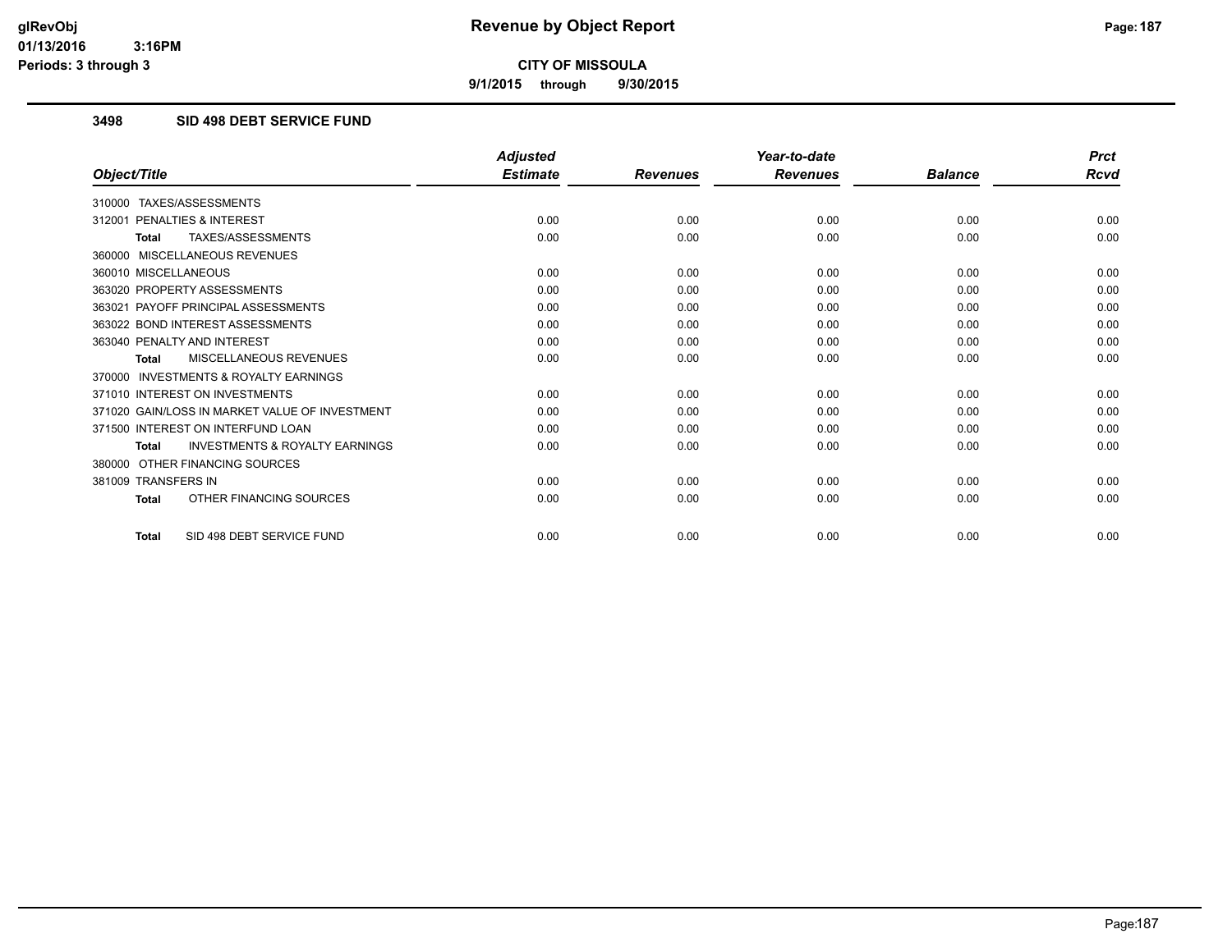**9/1/2015 through 9/30/2015**

## **3498 SID 498 DEBT SERVICE FUND**

|                                                           | <b>Adjusted</b> |                 | Year-to-date    |                | <b>Prct</b> |
|-----------------------------------------------------------|-----------------|-----------------|-----------------|----------------|-------------|
| Object/Title                                              | <b>Estimate</b> | <b>Revenues</b> | <b>Revenues</b> | <b>Balance</b> | Rcvd        |
| TAXES/ASSESSMENTS<br>310000                               |                 |                 |                 |                |             |
| 312001 PENALTIES & INTEREST                               | 0.00            | 0.00            | 0.00            | 0.00           | 0.00        |
| <b>TAXES/ASSESSMENTS</b><br><b>Total</b>                  | 0.00            | 0.00            | 0.00            | 0.00           | 0.00        |
| 360000 MISCELLANEOUS REVENUES                             |                 |                 |                 |                |             |
| 360010 MISCELLANEOUS                                      | 0.00            | 0.00            | 0.00            | 0.00           | 0.00        |
| 363020 PROPERTY ASSESSMENTS                               | 0.00            | 0.00            | 0.00            | 0.00           | 0.00        |
| 363021 PAYOFF PRINCIPAL ASSESSMENTS                       | 0.00            | 0.00            | 0.00            | 0.00           | 0.00        |
| 363022 BOND INTEREST ASSESSMENTS                          | 0.00            | 0.00            | 0.00            | 0.00           | 0.00        |
| 363040 PENALTY AND INTEREST                               | 0.00            | 0.00            | 0.00            | 0.00           | 0.00        |
| MISCELLANEOUS REVENUES<br><b>Total</b>                    | 0.00            | 0.00            | 0.00            | 0.00           | 0.00        |
| <b>INVESTMENTS &amp; ROYALTY EARNINGS</b><br>370000       |                 |                 |                 |                |             |
| 371010 INTEREST ON INVESTMENTS                            | 0.00            | 0.00            | 0.00            | 0.00           | 0.00        |
| 371020 GAIN/LOSS IN MARKET VALUE OF INVESTMENT            | 0.00            | 0.00            | 0.00            | 0.00           | 0.00        |
| 371500 INTEREST ON INTERFUND LOAN                         | 0.00            | 0.00            | 0.00            | 0.00           | 0.00        |
| <b>INVESTMENTS &amp; ROYALTY EARNINGS</b><br><b>Total</b> | 0.00            | 0.00            | 0.00            | 0.00           | 0.00        |
| OTHER FINANCING SOURCES<br>380000                         |                 |                 |                 |                |             |
| 381009 TRANSFERS IN                                       | 0.00            | 0.00            | 0.00            | 0.00           | 0.00        |
| OTHER FINANCING SOURCES<br>Total                          | 0.00            | 0.00            | 0.00            | 0.00           | 0.00        |
| SID 498 DEBT SERVICE FUND<br>Total                        | 0.00            | 0.00            | 0.00            | 0.00           | 0.00        |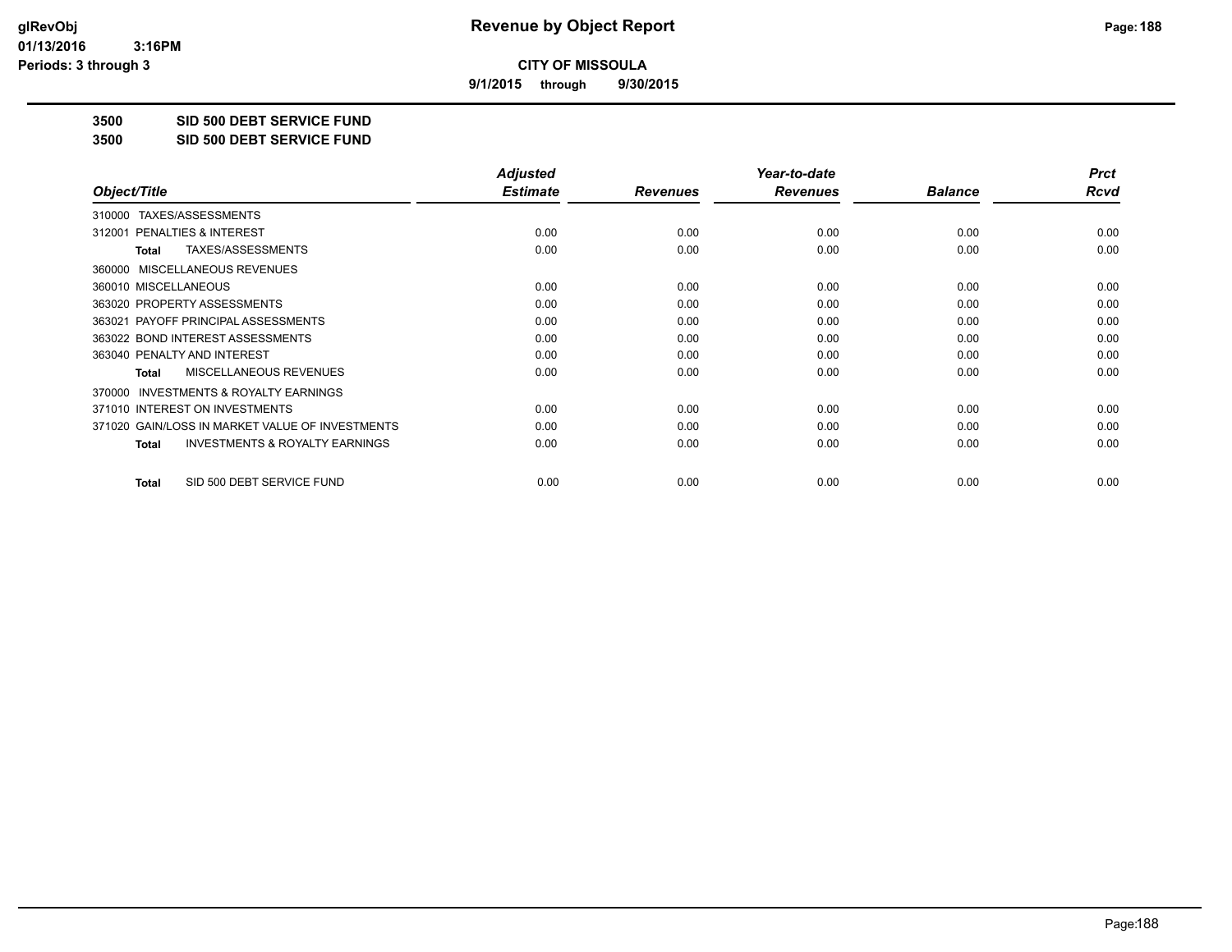**9/1/2015 through 9/30/2015**

**3500 SID 500 DEBT SERVICE FUND**

**3500 SID 500 DEBT SERVICE FUND**

|                                                           | <b>Adjusted</b> |                 | Year-to-date    |                | <b>Prct</b> |
|-----------------------------------------------------------|-----------------|-----------------|-----------------|----------------|-------------|
| Object/Title                                              | <b>Estimate</b> | <b>Revenues</b> | <b>Revenues</b> | <b>Balance</b> | Rcvd        |
| TAXES/ASSESSMENTS<br>310000                               |                 |                 |                 |                |             |
| 312001 PENALTIES & INTEREST                               | 0.00            | 0.00            | 0.00            | 0.00           | 0.00        |
| TAXES/ASSESSMENTS<br>Total                                | 0.00            | 0.00            | 0.00            | 0.00           | 0.00        |
| MISCELLANEOUS REVENUES<br>360000                          |                 |                 |                 |                |             |
| 360010 MISCELLANEOUS                                      | 0.00            | 0.00            | 0.00            | 0.00           | 0.00        |
| 363020 PROPERTY ASSESSMENTS                               | 0.00            | 0.00            | 0.00            | 0.00           | 0.00        |
| 363021 PAYOFF PRINCIPAL ASSESSMENTS                       | 0.00            | 0.00            | 0.00            | 0.00           | 0.00        |
| 363022 BOND INTEREST ASSESSMENTS                          | 0.00            | 0.00            | 0.00            | 0.00           | 0.00        |
| 363040 PENALTY AND INTEREST                               | 0.00            | 0.00            | 0.00            | 0.00           | 0.00        |
| MISCELLANEOUS REVENUES<br><b>Total</b>                    | 0.00            | 0.00            | 0.00            | 0.00           | 0.00        |
| <b>INVESTMENTS &amp; ROYALTY EARNINGS</b><br>370000       |                 |                 |                 |                |             |
| 371010 INTEREST ON INVESTMENTS                            | 0.00            | 0.00            | 0.00            | 0.00           | 0.00        |
| 371020 GAIN/LOSS IN MARKET VALUE OF INVESTMENTS           | 0.00            | 0.00            | 0.00            | 0.00           | 0.00        |
| <b>INVESTMENTS &amp; ROYALTY EARNINGS</b><br><b>Total</b> | 0.00            | 0.00            | 0.00            | 0.00           | 0.00        |
| SID 500 DEBT SERVICE FUND<br><b>Total</b>                 | 0.00            | 0.00            | 0.00            | 0.00           | 0.00        |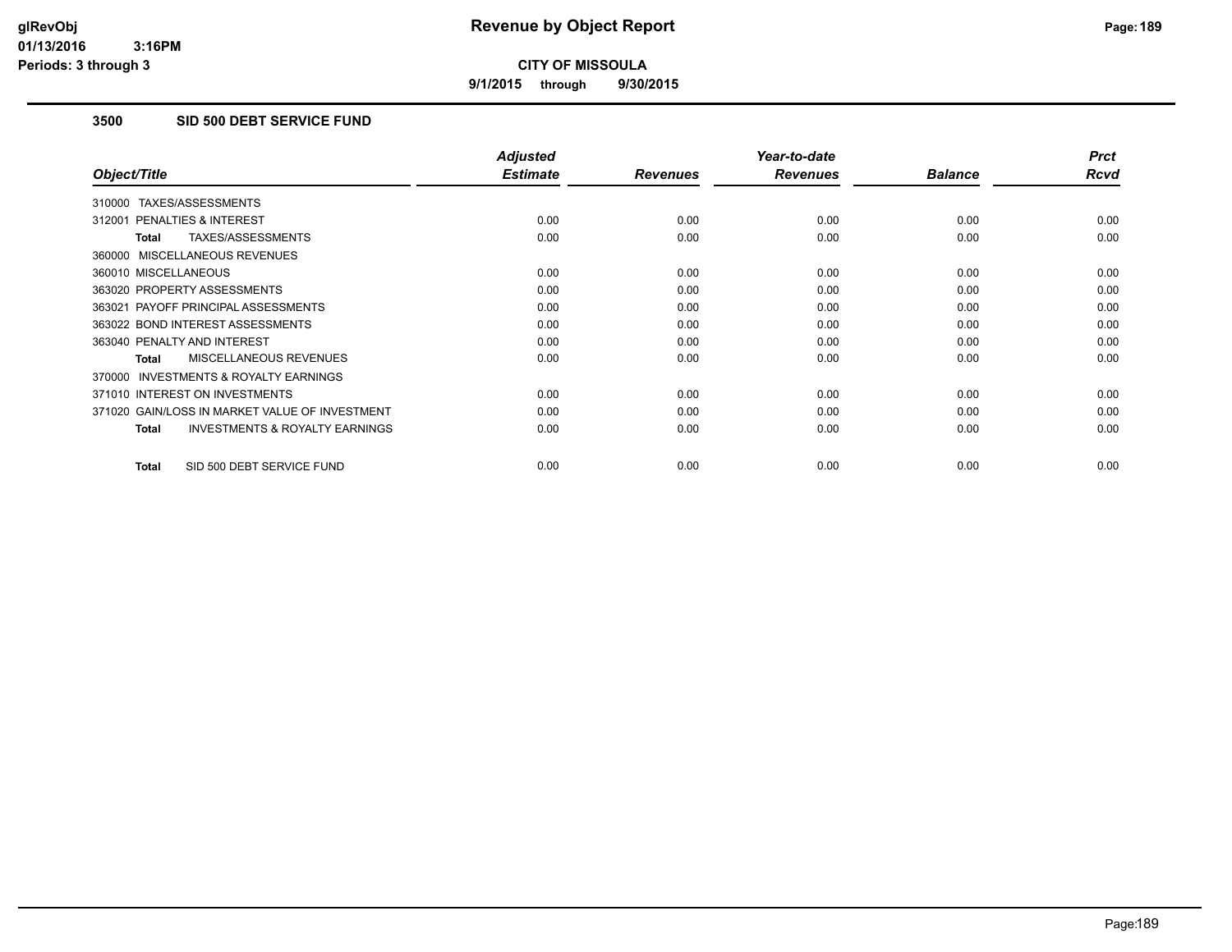**9/1/2015 through 9/30/2015**

## **3500 SID 500 DEBT SERVICE FUND**

|                                                           | <b>Adjusted</b> |                 | Year-to-date    |                | <b>Prct</b> |
|-----------------------------------------------------------|-----------------|-----------------|-----------------|----------------|-------------|
| Object/Title                                              | <b>Estimate</b> | <b>Revenues</b> | <b>Revenues</b> | <b>Balance</b> | <b>Rcvd</b> |
| 310000 TAXES/ASSESSMENTS                                  |                 |                 |                 |                |             |
| 312001 PENALTIES & INTEREST                               | 0.00            | 0.00            | 0.00            | 0.00           | 0.00        |
| TAXES/ASSESSMENTS<br><b>Total</b>                         | 0.00            | 0.00            | 0.00            | 0.00           | 0.00        |
| 360000 MISCELLANEOUS REVENUES                             |                 |                 |                 |                |             |
| 360010 MISCELLANEOUS                                      | 0.00            | 0.00            | 0.00            | 0.00           | 0.00        |
| 363020 PROPERTY ASSESSMENTS                               | 0.00            | 0.00            | 0.00            | 0.00           | 0.00        |
| 363021 PAYOFF PRINCIPAL ASSESSMENTS                       | 0.00            | 0.00            | 0.00            | 0.00           | 0.00        |
| 363022 BOND INTEREST ASSESSMENTS                          | 0.00            | 0.00            | 0.00            | 0.00           | 0.00        |
| 363040 PENALTY AND INTEREST                               | 0.00            | 0.00            | 0.00            | 0.00           | 0.00        |
| MISCELLANEOUS REVENUES<br>Total                           | 0.00            | 0.00            | 0.00            | 0.00           | 0.00        |
| <b>INVESTMENTS &amp; ROYALTY EARNINGS</b><br>370000       |                 |                 |                 |                |             |
| 371010 INTEREST ON INVESTMENTS                            | 0.00            | 0.00            | 0.00            | 0.00           | 0.00        |
| 371020 GAIN/LOSS IN MARKET VALUE OF INVESTMENT            | 0.00            | 0.00            | 0.00            | 0.00           | 0.00        |
| <b>INVESTMENTS &amp; ROYALTY EARNINGS</b><br><b>Total</b> | 0.00            | 0.00            | 0.00            | 0.00           | 0.00        |
| SID 500 DEBT SERVICE FUND<br><b>Total</b>                 | 0.00            | 0.00            | 0.00            | 0.00           | 0.00        |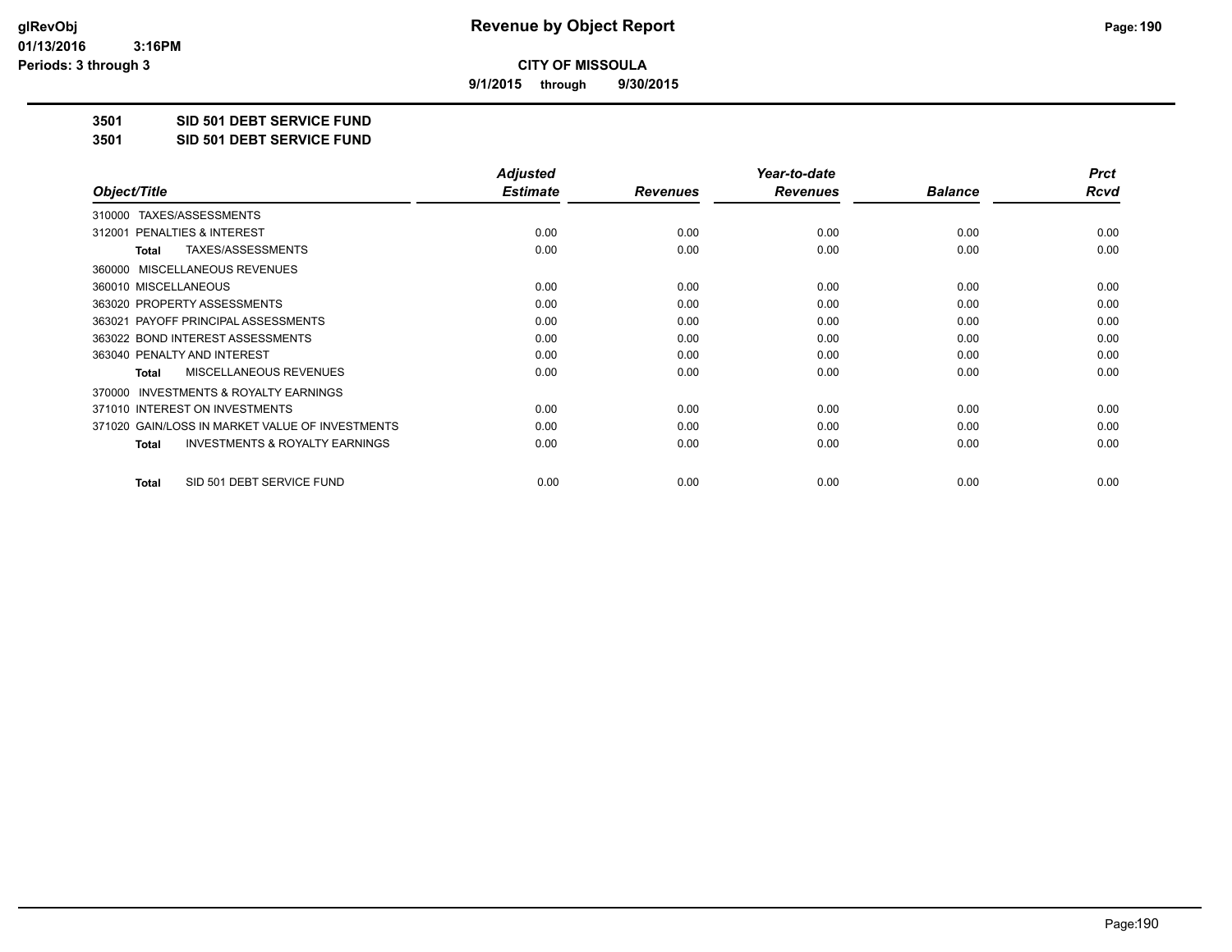**9/1/2015 through 9/30/2015**

**3501 SID 501 DEBT SERVICE FUND**

**3501 SID 501 DEBT SERVICE FUND**

|                                                           | <b>Adjusted</b> |                 | Year-to-date    |                | <b>Prct</b> |
|-----------------------------------------------------------|-----------------|-----------------|-----------------|----------------|-------------|
| Object/Title                                              | <b>Estimate</b> | <b>Revenues</b> | <b>Revenues</b> | <b>Balance</b> | Rcvd        |
| TAXES/ASSESSMENTS<br>310000                               |                 |                 |                 |                |             |
| 312001 PENALTIES & INTEREST                               | 0.00            | 0.00            | 0.00            | 0.00           | 0.00        |
| TAXES/ASSESSMENTS<br>Total                                | 0.00            | 0.00            | 0.00            | 0.00           | 0.00        |
| MISCELLANEOUS REVENUES<br>360000                          |                 |                 |                 |                |             |
| 360010 MISCELLANEOUS                                      | 0.00            | 0.00            | 0.00            | 0.00           | 0.00        |
| 363020 PROPERTY ASSESSMENTS                               | 0.00            | 0.00            | 0.00            | 0.00           | 0.00        |
| 363021 PAYOFF PRINCIPAL ASSESSMENTS                       | 0.00            | 0.00            | 0.00            | 0.00           | 0.00        |
| 363022 BOND INTEREST ASSESSMENTS                          | 0.00            | 0.00            | 0.00            | 0.00           | 0.00        |
| 363040 PENALTY AND INTEREST                               | 0.00            | 0.00            | 0.00            | 0.00           | 0.00        |
| MISCELLANEOUS REVENUES<br><b>Total</b>                    | 0.00            | 0.00            | 0.00            | 0.00           | 0.00        |
| <b>INVESTMENTS &amp; ROYALTY EARNINGS</b><br>370000       |                 |                 |                 |                |             |
| 371010 INTEREST ON INVESTMENTS                            | 0.00            | 0.00            | 0.00            | 0.00           | 0.00        |
| 371020 GAIN/LOSS IN MARKET VALUE OF INVESTMENTS           | 0.00            | 0.00            | 0.00            | 0.00           | 0.00        |
| <b>INVESTMENTS &amp; ROYALTY EARNINGS</b><br><b>Total</b> | 0.00            | 0.00            | 0.00            | 0.00           | 0.00        |
| SID 501 DEBT SERVICE FUND<br><b>Total</b>                 | 0.00            | 0.00            | 0.00            | 0.00           | 0.00        |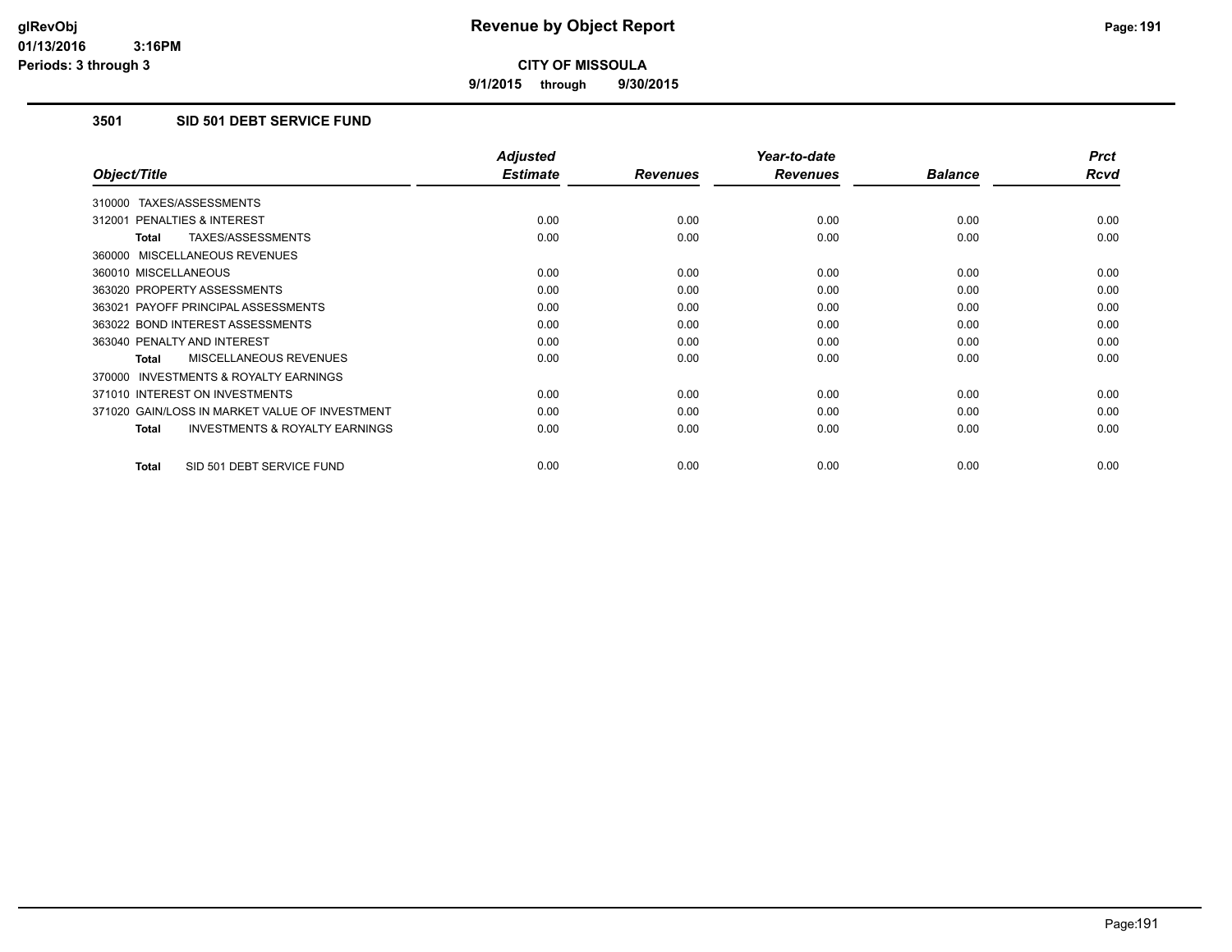**9/1/2015 through 9/30/2015**

# **3501 SID 501 DEBT SERVICE FUND**

|                                                           | <b>Adjusted</b> |                 | Year-to-date    |                | <b>Prct</b> |
|-----------------------------------------------------------|-----------------|-----------------|-----------------|----------------|-------------|
| Object/Title                                              | <b>Estimate</b> | <b>Revenues</b> | <b>Revenues</b> | <b>Balance</b> | <b>Rcvd</b> |
| 310000 TAXES/ASSESSMENTS                                  |                 |                 |                 |                |             |
| 312001 PENALTIES & INTEREST                               | 0.00            | 0.00            | 0.00            | 0.00           | 0.00        |
| TAXES/ASSESSMENTS<br><b>Total</b>                         | 0.00            | 0.00            | 0.00            | 0.00           | 0.00        |
| 360000 MISCELLANEOUS REVENUES                             |                 |                 |                 |                |             |
| 360010 MISCELLANEOUS                                      | 0.00            | 0.00            | 0.00            | 0.00           | 0.00        |
| 363020 PROPERTY ASSESSMENTS                               | 0.00            | 0.00            | 0.00            | 0.00           | 0.00        |
| 363021 PAYOFF PRINCIPAL ASSESSMENTS                       | 0.00            | 0.00            | 0.00            | 0.00           | 0.00        |
| 363022 BOND INTEREST ASSESSMENTS                          | 0.00            | 0.00            | 0.00            | 0.00           | 0.00        |
| 363040 PENALTY AND INTEREST                               | 0.00            | 0.00            | 0.00            | 0.00           | 0.00        |
| <b>MISCELLANEOUS REVENUES</b><br><b>Total</b>             | 0.00            | 0.00            | 0.00            | 0.00           | 0.00        |
| <b>INVESTMENTS &amp; ROYALTY EARNINGS</b><br>370000       |                 |                 |                 |                |             |
| 371010 INTEREST ON INVESTMENTS                            | 0.00            | 0.00            | 0.00            | 0.00           | 0.00        |
| 371020 GAIN/LOSS IN MARKET VALUE OF INVESTMENT            | 0.00            | 0.00            | 0.00            | 0.00           | 0.00        |
| <b>INVESTMENTS &amp; ROYALTY EARNINGS</b><br><b>Total</b> | 0.00            | 0.00            | 0.00            | 0.00           | 0.00        |
| SID 501 DEBT SERVICE FUND<br><b>Total</b>                 | 0.00            | 0.00            | 0.00            | 0.00           | 0.00        |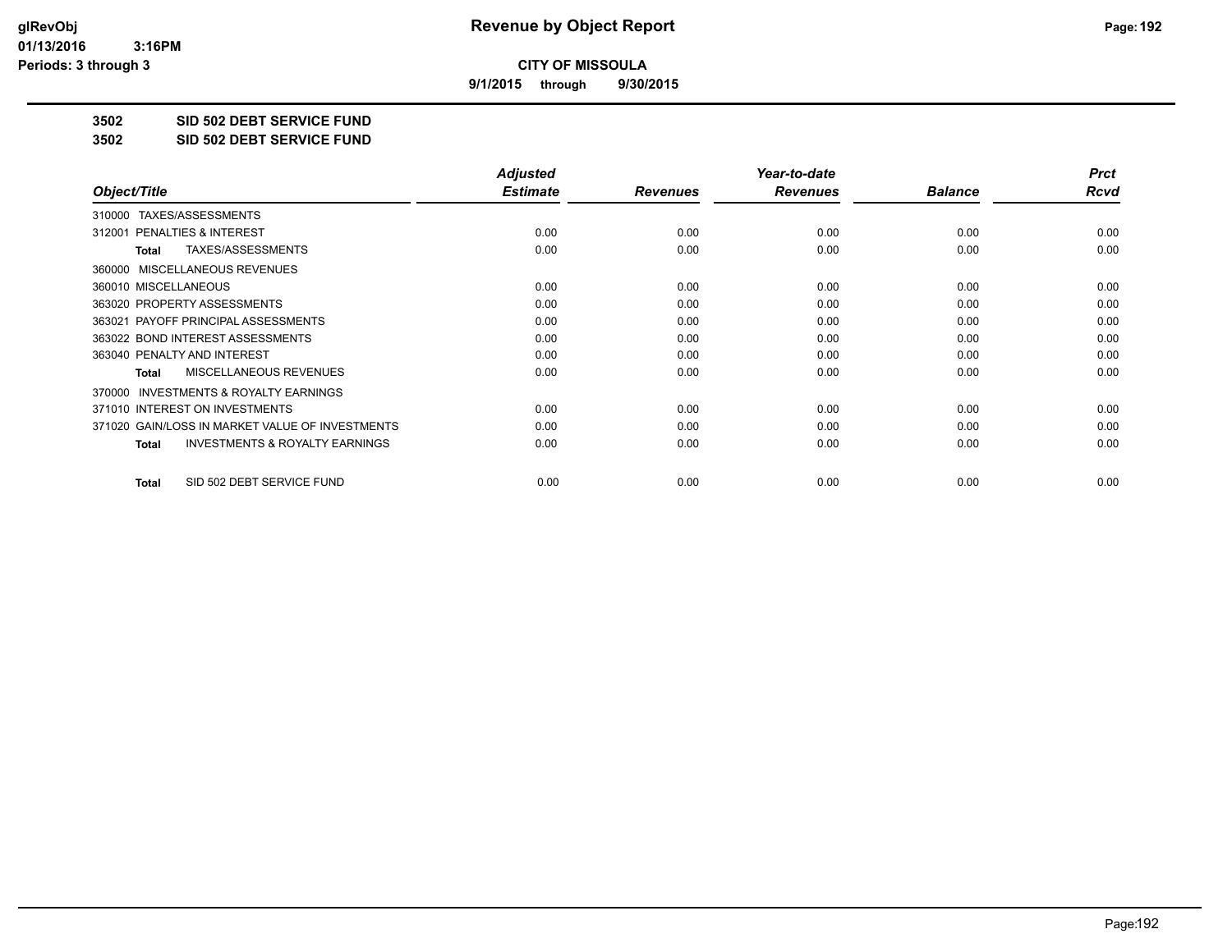**9/1/2015 through 9/30/2015**

**3502 SID 502 DEBT SERVICE FUND**

**3502 SID 502 DEBT SERVICE FUND**

|                                                           | <b>Adjusted</b> |                 | Year-to-date    |                | <b>Prct</b> |
|-----------------------------------------------------------|-----------------|-----------------|-----------------|----------------|-------------|
| Object/Title                                              | <b>Estimate</b> | <b>Revenues</b> | <b>Revenues</b> | <b>Balance</b> | Rcvd        |
| TAXES/ASSESSMENTS<br>310000                               |                 |                 |                 |                |             |
| 312001 PENALTIES & INTEREST                               | 0.00            | 0.00            | 0.00            | 0.00           | 0.00        |
| TAXES/ASSESSMENTS<br>Total                                | 0.00            | 0.00            | 0.00            | 0.00           | 0.00        |
| MISCELLANEOUS REVENUES<br>360000                          |                 |                 |                 |                |             |
| 360010 MISCELLANEOUS                                      | 0.00            | 0.00            | 0.00            | 0.00           | 0.00        |
| 363020 PROPERTY ASSESSMENTS                               | 0.00            | 0.00            | 0.00            | 0.00           | 0.00        |
| 363021 PAYOFF PRINCIPAL ASSESSMENTS                       | 0.00            | 0.00            | 0.00            | 0.00           | 0.00        |
| 363022 BOND INTEREST ASSESSMENTS                          | 0.00            | 0.00            | 0.00            | 0.00           | 0.00        |
| 363040 PENALTY AND INTEREST                               | 0.00            | 0.00            | 0.00            | 0.00           | 0.00        |
| <b>MISCELLANEOUS REVENUES</b><br>Total                    | 0.00            | 0.00            | 0.00            | 0.00           | 0.00        |
| <b>INVESTMENTS &amp; ROYALTY EARNINGS</b><br>370000       |                 |                 |                 |                |             |
| 371010 INTEREST ON INVESTMENTS                            | 0.00            | 0.00            | 0.00            | 0.00           | 0.00        |
| 371020 GAIN/LOSS IN MARKET VALUE OF INVESTMENTS           | 0.00            | 0.00            | 0.00            | 0.00           | 0.00        |
| <b>INVESTMENTS &amp; ROYALTY EARNINGS</b><br><b>Total</b> | 0.00            | 0.00            | 0.00            | 0.00           | 0.00        |
| SID 502 DEBT SERVICE FUND<br>Total                        | 0.00            | 0.00            | 0.00            | 0.00           | 0.00        |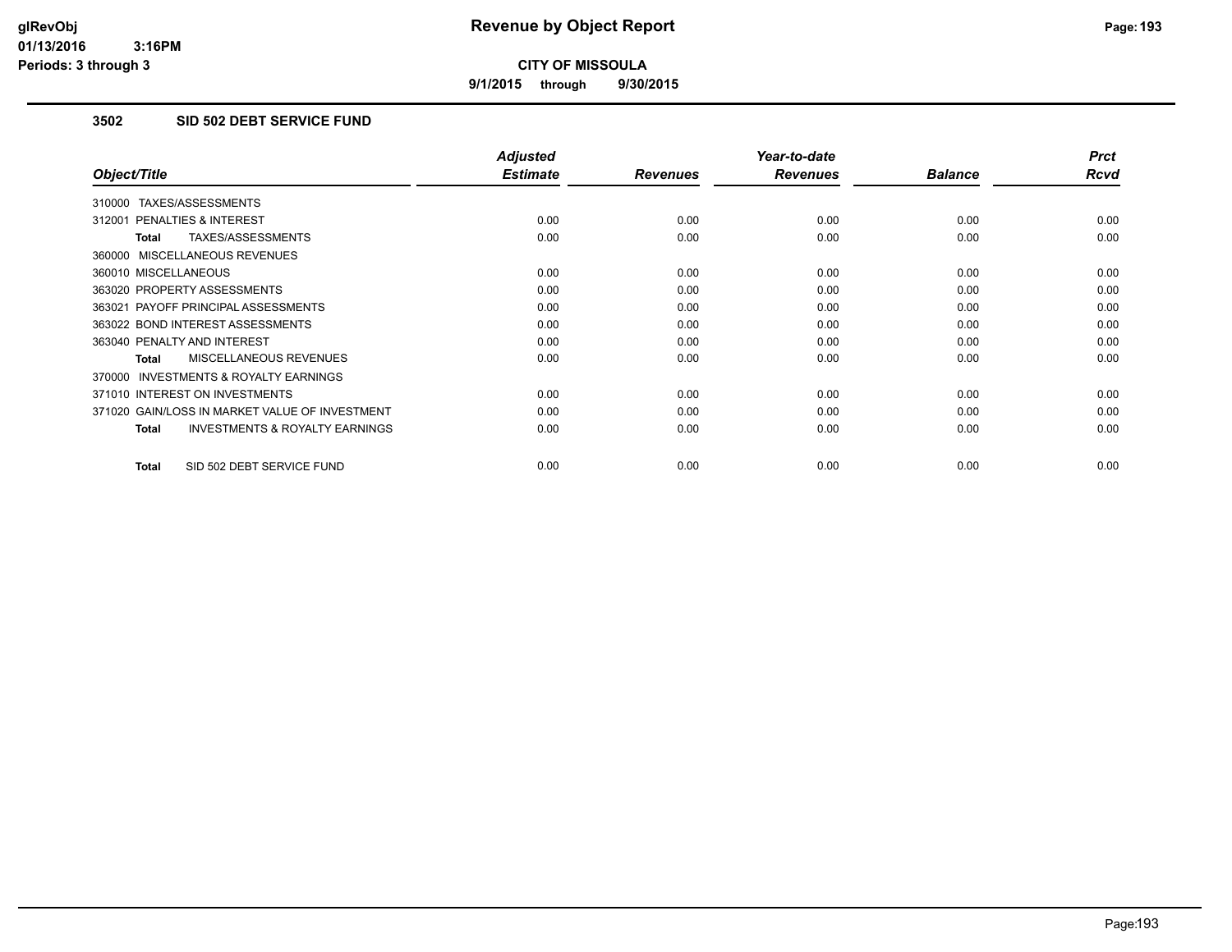**9/1/2015 through 9/30/2015**

## **3502 SID 502 DEBT SERVICE FUND**

|                                                     | <b>Adjusted</b> |                 | Year-to-date    |                | <b>Prct</b> |
|-----------------------------------------------------|-----------------|-----------------|-----------------|----------------|-------------|
| Object/Title                                        | <b>Estimate</b> | <b>Revenues</b> | <b>Revenues</b> | <b>Balance</b> | <b>Rcvd</b> |
| 310000 TAXES/ASSESSMENTS                            |                 |                 |                 |                |             |
| 312001 PENALTIES & INTEREST                         | 0.00            | 0.00            | 0.00            | 0.00           | 0.00        |
| TAXES/ASSESSMENTS<br><b>Total</b>                   | 0.00            | 0.00            | 0.00            | 0.00           | 0.00        |
| 360000 MISCELLANEOUS REVENUES                       |                 |                 |                 |                |             |
| 360010 MISCELLANEOUS                                | 0.00            | 0.00            | 0.00            | 0.00           | 0.00        |
| 363020 PROPERTY ASSESSMENTS                         | 0.00            | 0.00            | 0.00            | 0.00           | 0.00        |
| 363021 PAYOFF PRINCIPAL ASSESSMENTS                 | 0.00            | 0.00            | 0.00            | 0.00           | 0.00        |
| 363022 BOND INTEREST ASSESSMENTS                    | 0.00            | 0.00            | 0.00            | 0.00           | 0.00        |
| 363040 PENALTY AND INTEREST                         | 0.00            | 0.00            | 0.00            | 0.00           | 0.00        |
| <b>MISCELLANEOUS REVENUES</b><br>Total              | 0.00            | 0.00            | 0.00            | 0.00           | 0.00        |
| <b>INVESTMENTS &amp; ROYALTY EARNINGS</b><br>370000 |                 |                 |                 |                |             |
| 371010 INTEREST ON INVESTMENTS                      | 0.00            | 0.00            | 0.00            | 0.00           | 0.00        |
| 371020 GAIN/LOSS IN MARKET VALUE OF INVESTMENT      | 0.00            | 0.00            | 0.00            | 0.00           | 0.00        |
| <b>INVESTMENTS &amp; ROYALTY EARNINGS</b><br>Total  | 0.00            | 0.00            | 0.00            | 0.00           | 0.00        |
| SID 502 DEBT SERVICE FUND<br><b>Total</b>           | 0.00            | 0.00            | 0.00            | 0.00           | 0.00        |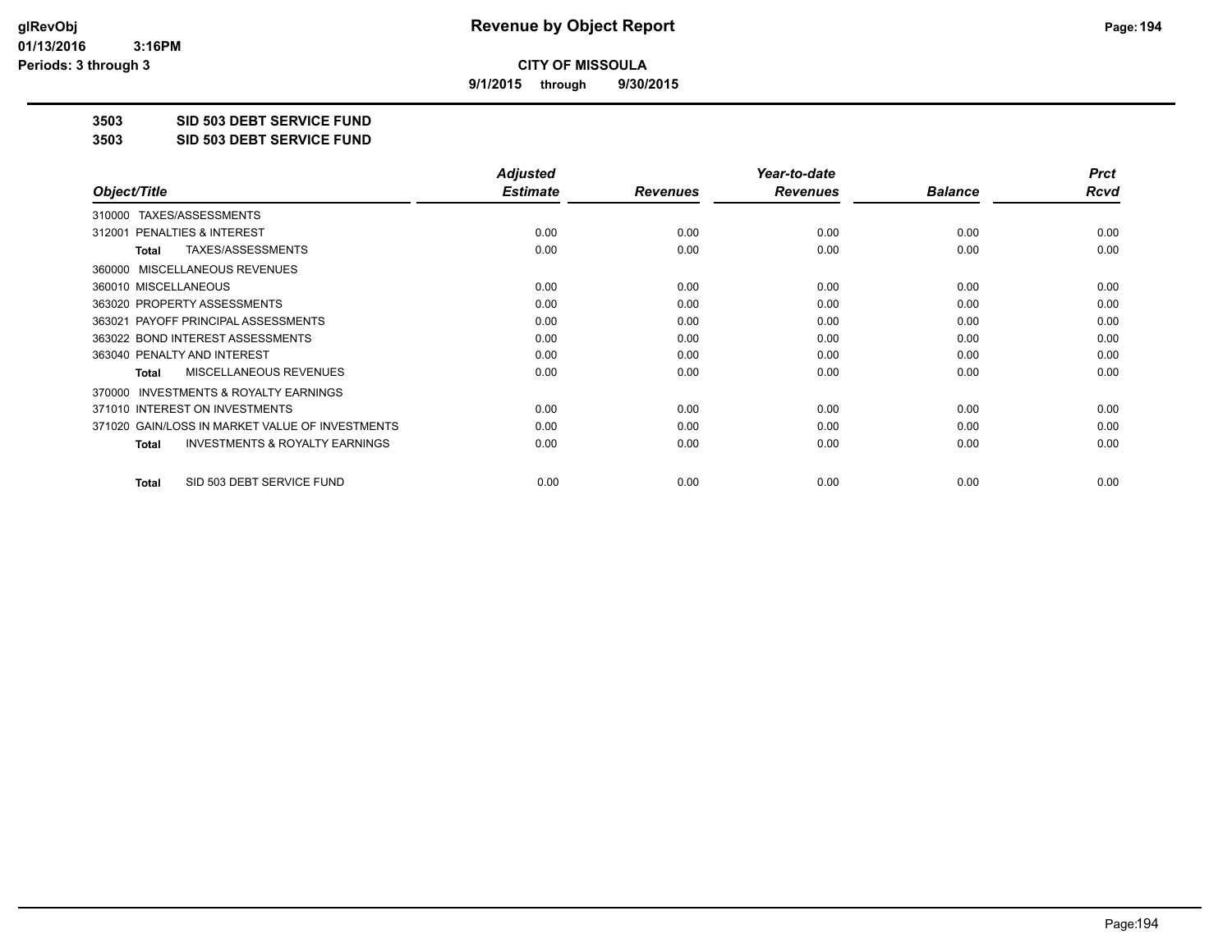**9/1/2015 through 9/30/2015**

**3503 SID 503 DEBT SERVICE FUND**

**3503 SID 503 DEBT SERVICE FUND**

|                                                           | <b>Adjusted</b> |                 | Year-to-date    |                | <b>Prct</b> |
|-----------------------------------------------------------|-----------------|-----------------|-----------------|----------------|-------------|
| Object/Title                                              | <b>Estimate</b> | <b>Revenues</b> | <b>Revenues</b> | <b>Balance</b> | Rcvd        |
| TAXES/ASSESSMENTS<br>310000                               |                 |                 |                 |                |             |
| 312001 PENALTIES & INTEREST                               | 0.00            | 0.00            | 0.00            | 0.00           | 0.00        |
| TAXES/ASSESSMENTS<br>Total                                | 0.00            | 0.00            | 0.00            | 0.00           | 0.00        |
| MISCELLANEOUS REVENUES<br>360000                          |                 |                 |                 |                |             |
| 360010 MISCELLANEOUS                                      | 0.00            | 0.00            | 0.00            | 0.00           | 0.00        |
| 363020 PROPERTY ASSESSMENTS                               | 0.00            | 0.00            | 0.00            | 0.00           | 0.00        |
| 363021 PAYOFF PRINCIPAL ASSESSMENTS                       | 0.00            | 0.00            | 0.00            | 0.00           | 0.00        |
| 363022 BOND INTEREST ASSESSMENTS                          | 0.00            | 0.00            | 0.00            | 0.00           | 0.00        |
| 363040 PENALTY AND INTEREST                               | 0.00            | 0.00            | 0.00            | 0.00           | 0.00        |
| <b>MISCELLANEOUS REVENUES</b><br><b>Total</b>             | 0.00            | 0.00            | 0.00            | 0.00           | 0.00        |
| 370000 INVESTMENTS & ROYALTY EARNINGS                     |                 |                 |                 |                |             |
| 371010 INTEREST ON INVESTMENTS                            | 0.00            | 0.00            | 0.00            | 0.00           | 0.00        |
| 371020 GAIN/LOSS IN MARKET VALUE OF INVESTMENTS           | 0.00            | 0.00            | 0.00            | 0.00           | 0.00        |
| <b>INVESTMENTS &amp; ROYALTY EARNINGS</b><br><b>Total</b> | 0.00            | 0.00            | 0.00            | 0.00           | 0.00        |
| SID 503 DEBT SERVICE FUND<br><b>Total</b>                 | 0.00            | 0.00            | 0.00            | 0.00           | 0.00        |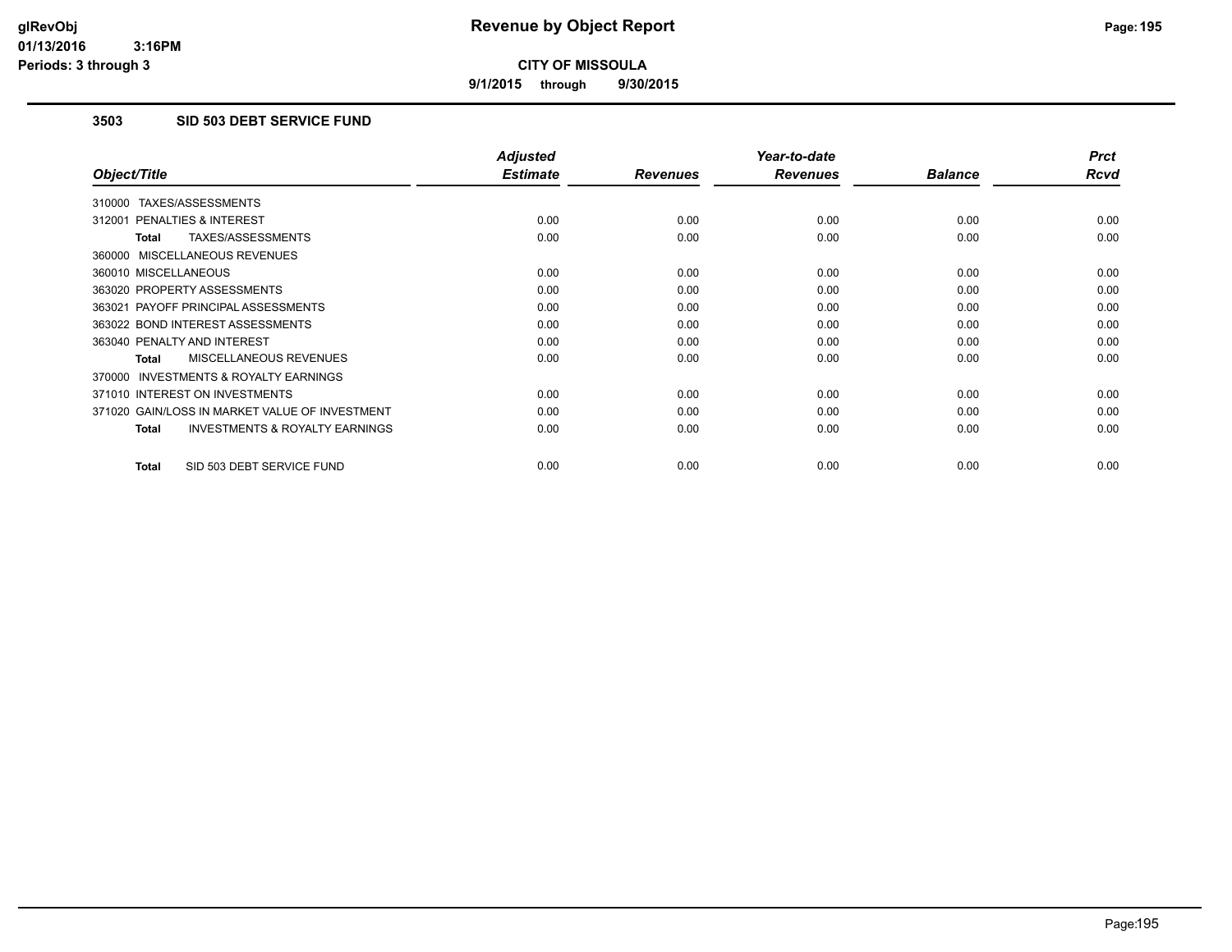**9/1/2015 through 9/30/2015**

# **3503 SID 503 DEBT SERVICE FUND**

| <b>Adjusted</b> |                         | Year-to-date            |                         | <b>Prct</b>            |
|-----------------|-------------------------|-------------------------|-------------------------|------------------------|
|                 |                         |                         |                         | <b>Rcvd</b>            |
|                 |                         |                         |                         |                        |
| 0.00            | 0.00                    | 0.00                    | 0.00                    | 0.00                   |
| 0.00            | 0.00                    | 0.00                    | 0.00                    | 0.00                   |
|                 |                         |                         |                         |                        |
| 0.00            | 0.00                    | 0.00                    | 0.00                    | 0.00                   |
| 0.00            | 0.00                    | 0.00                    | 0.00                    | 0.00                   |
| 0.00            | 0.00                    | 0.00                    | 0.00                    | 0.00                   |
| 0.00            | 0.00                    | 0.00                    | 0.00                    | 0.00                   |
| 0.00            | 0.00                    | 0.00                    | 0.00                    | 0.00                   |
| 0.00            | 0.00                    | 0.00                    | 0.00                    | 0.00                   |
|                 |                         |                         |                         |                        |
| 0.00            | 0.00                    | 0.00                    | 0.00                    | 0.00                   |
| 0.00            | 0.00                    | 0.00                    | 0.00                    | 0.00                   |
| 0.00            | 0.00                    | 0.00                    | 0.00                    | 0.00                   |
|                 |                         |                         |                         | 0.00                   |
|                 | <b>Estimate</b><br>0.00 | <b>Revenues</b><br>0.00 | <b>Revenues</b><br>0.00 | <b>Balance</b><br>0.00 |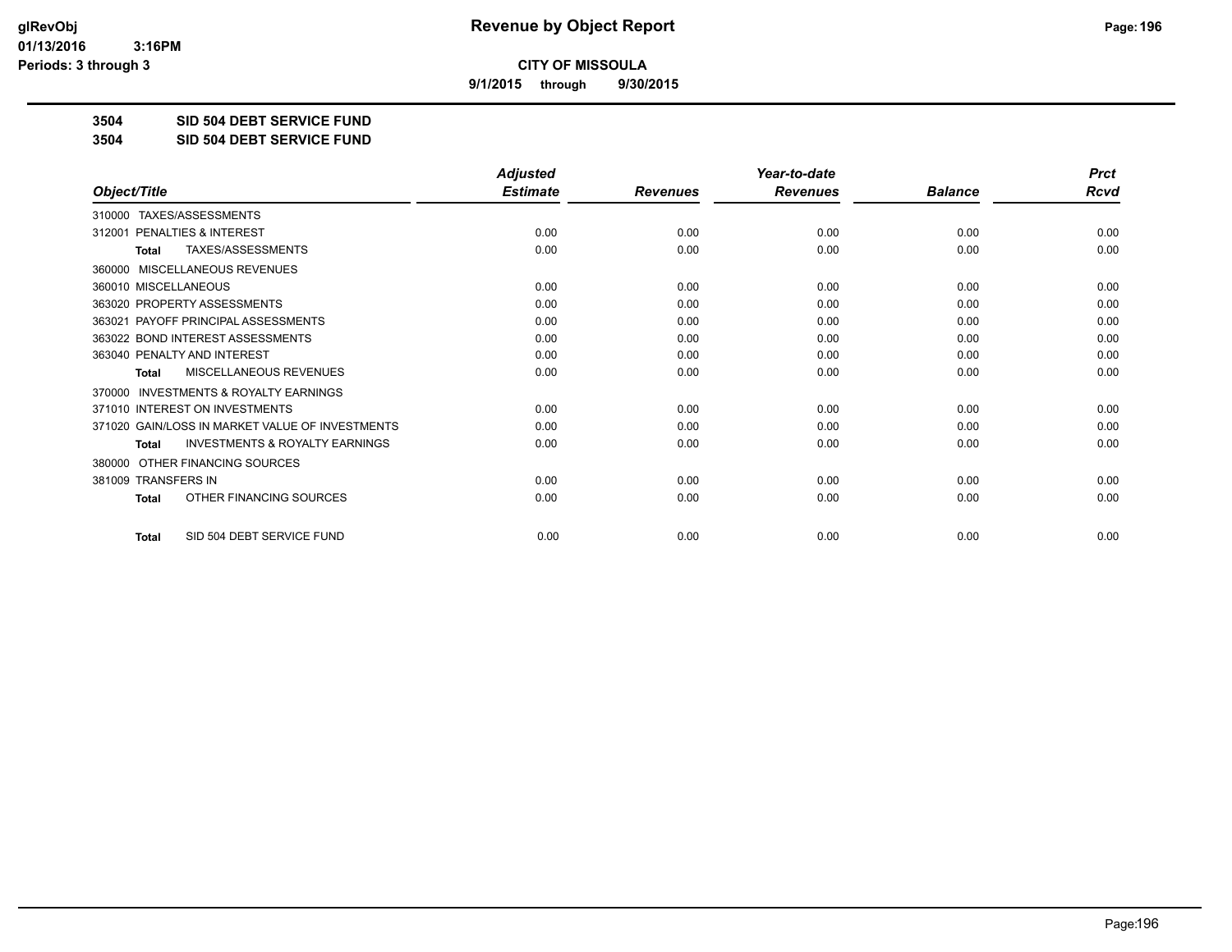**9/1/2015 through 9/30/2015**

**3504 SID 504 DEBT SERVICE FUND**

**3504 SID 504 DEBT SERVICE FUND**

|                                                           | <b>Adjusted</b> |                 | Year-to-date    |                |             |
|-----------------------------------------------------------|-----------------|-----------------|-----------------|----------------|-------------|
| Object/Title                                              | <b>Estimate</b> | <b>Revenues</b> | <b>Revenues</b> | <b>Balance</b> | <b>Rcvd</b> |
| TAXES/ASSESSMENTS<br>310000                               |                 |                 |                 |                |             |
| 312001 PENALTIES & INTEREST                               | 0.00            | 0.00            | 0.00            | 0.00           | 0.00        |
| TAXES/ASSESSMENTS<br><b>Total</b>                         | 0.00            | 0.00            | 0.00            | 0.00           | 0.00        |
| MISCELLANEOUS REVENUES<br>360000                          |                 |                 |                 |                |             |
| 360010 MISCELLANEOUS                                      | 0.00            | 0.00            | 0.00            | 0.00           | 0.00        |
| 363020 PROPERTY ASSESSMENTS                               | 0.00            | 0.00            | 0.00            | 0.00           | 0.00        |
| 363021 PAYOFF PRINCIPAL ASSESSMENTS                       | 0.00            | 0.00            | 0.00            | 0.00           | 0.00        |
| 363022 BOND INTEREST ASSESSMENTS                          | 0.00            | 0.00            | 0.00            | 0.00           | 0.00        |
| 363040 PENALTY AND INTEREST                               | 0.00            | 0.00            | 0.00            | 0.00           | 0.00        |
| <b>MISCELLANEOUS REVENUES</b><br><b>Total</b>             | 0.00            | 0.00            | 0.00            | 0.00           | 0.00        |
| <b>INVESTMENTS &amp; ROYALTY EARNINGS</b><br>370000       |                 |                 |                 |                |             |
| 371010 INTEREST ON INVESTMENTS                            | 0.00            | 0.00            | 0.00            | 0.00           | 0.00        |
| 371020 GAIN/LOSS IN MARKET VALUE OF INVESTMENTS           | 0.00            | 0.00            | 0.00            | 0.00           | 0.00        |
| <b>INVESTMENTS &amp; ROYALTY EARNINGS</b><br><b>Total</b> | 0.00            | 0.00            | 0.00            | 0.00           | 0.00        |
| OTHER FINANCING SOURCES<br>380000                         |                 |                 |                 |                |             |
| 381009 TRANSFERS IN                                       | 0.00            | 0.00            | 0.00            | 0.00           | 0.00        |
| OTHER FINANCING SOURCES<br>Total                          | 0.00            | 0.00            | 0.00            | 0.00           | 0.00        |
| SID 504 DEBT SERVICE FUND<br><b>Total</b>                 | 0.00            | 0.00            | 0.00            | 0.00           | 0.00        |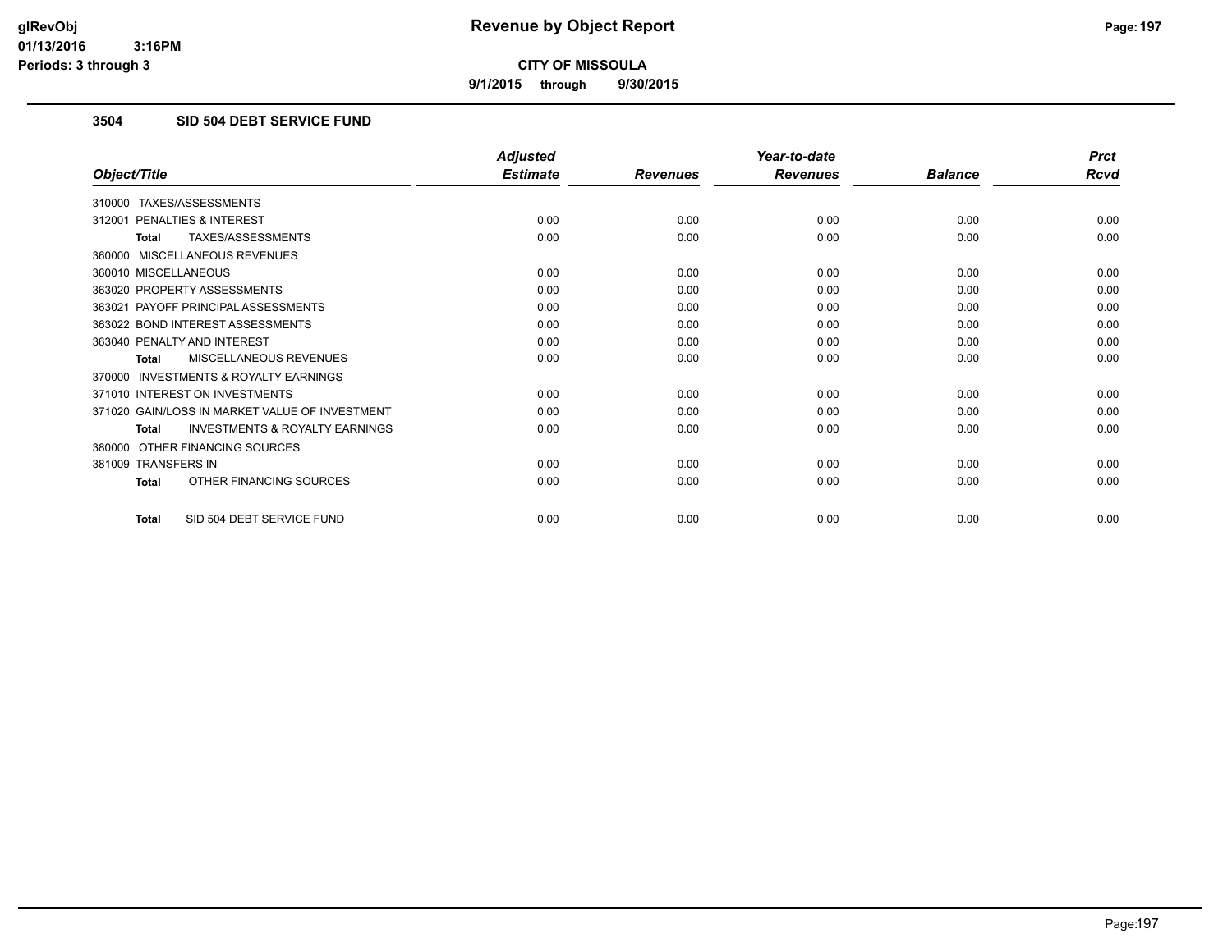**9/1/2015 through 9/30/2015**

## **3504 SID 504 DEBT SERVICE FUND**

|                                                           | <b>Adjusted</b> |                 | Year-to-date    |                | <b>Prct</b> |
|-----------------------------------------------------------|-----------------|-----------------|-----------------|----------------|-------------|
| Object/Title                                              | <b>Estimate</b> | <b>Revenues</b> | <b>Revenues</b> | <b>Balance</b> | <b>Rcvd</b> |
| 310000 TAXES/ASSESSMENTS                                  |                 |                 |                 |                |             |
| 312001 PENALTIES & INTEREST                               | 0.00            | 0.00            | 0.00            | 0.00           | 0.00        |
| TAXES/ASSESSMENTS<br><b>Total</b>                         | 0.00            | 0.00            | 0.00            | 0.00           | 0.00        |
| 360000 MISCELLANEOUS REVENUES                             |                 |                 |                 |                |             |
| 360010 MISCELLANEOUS                                      | 0.00            | 0.00            | 0.00            | 0.00           | 0.00        |
| 363020 PROPERTY ASSESSMENTS                               | 0.00            | 0.00            | 0.00            | 0.00           | 0.00        |
| 363021 PAYOFF PRINCIPAL ASSESSMENTS                       | 0.00            | 0.00            | 0.00            | 0.00           | 0.00        |
| 363022 BOND INTEREST ASSESSMENTS                          | 0.00            | 0.00            | 0.00            | 0.00           | 0.00        |
| 363040 PENALTY AND INTEREST                               | 0.00            | 0.00            | 0.00            | 0.00           | 0.00        |
| MISCELLANEOUS REVENUES<br><b>Total</b>                    | 0.00            | 0.00            | 0.00            | 0.00           | 0.00        |
| <b>INVESTMENTS &amp; ROYALTY EARNINGS</b><br>370000       |                 |                 |                 |                |             |
| 371010 INTEREST ON INVESTMENTS                            | 0.00            | 0.00            | 0.00            | 0.00           | 0.00        |
| 371020 GAIN/LOSS IN MARKET VALUE OF INVESTMENT            | 0.00            | 0.00            | 0.00            | 0.00           | 0.00        |
| <b>INVESTMENTS &amp; ROYALTY EARNINGS</b><br><b>Total</b> | 0.00            | 0.00            | 0.00            | 0.00           | 0.00        |
| 380000 OTHER FINANCING SOURCES                            |                 |                 |                 |                |             |
| 381009 TRANSFERS IN                                       | 0.00            | 0.00            | 0.00            | 0.00           | 0.00        |
| OTHER FINANCING SOURCES<br><b>Total</b>                   | 0.00            | 0.00            | 0.00            | 0.00           | 0.00        |
| SID 504 DEBT SERVICE FUND<br>Total                        | 0.00            | 0.00            | 0.00            | 0.00           | 0.00        |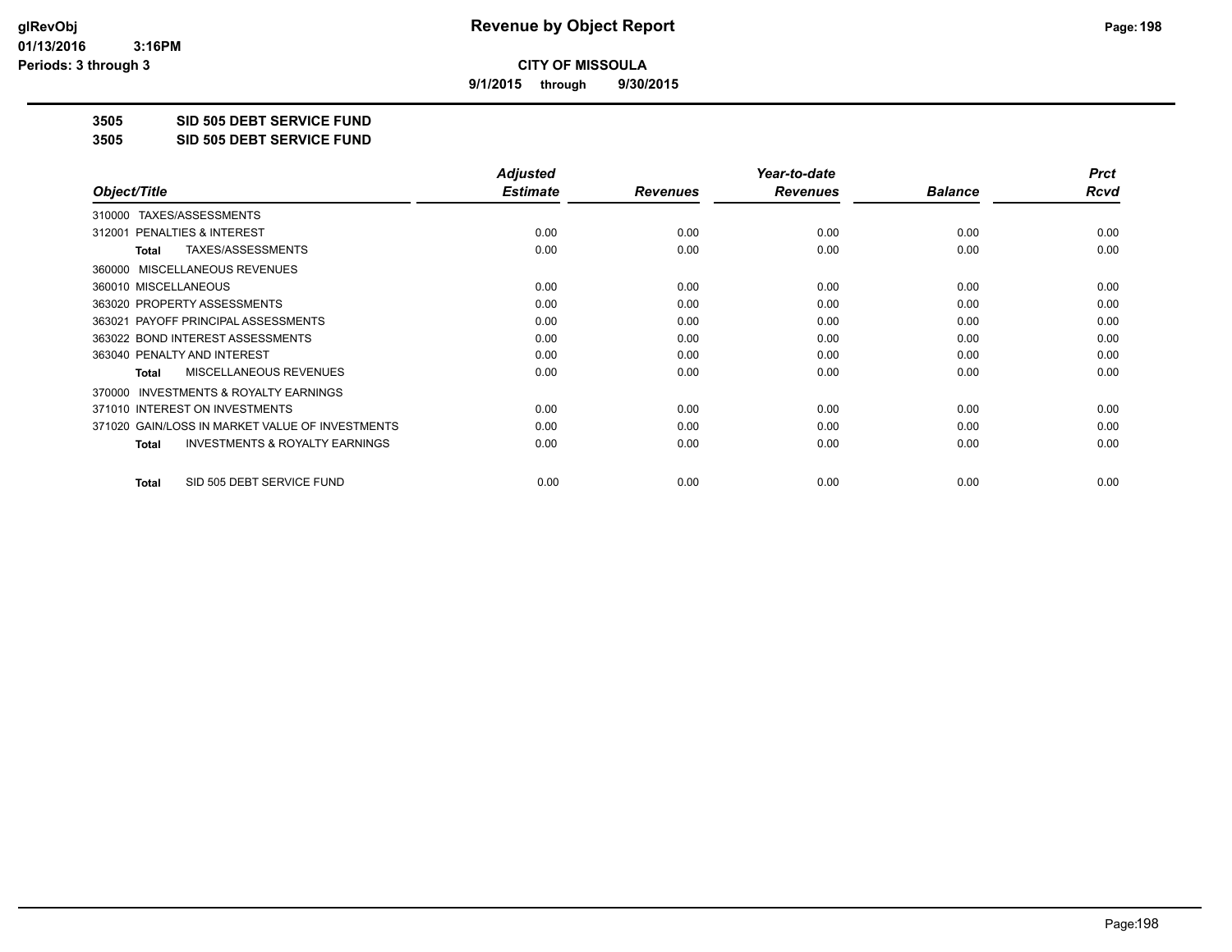**9/1/2015 through 9/30/2015**

**3505 SID 505 DEBT SERVICE FUND**

**3505 SID 505 DEBT SERVICE FUND**

|                                                           | <b>Adjusted</b> |                 | Year-to-date    |                | <b>Prct</b> |
|-----------------------------------------------------------|-----------------|-----------------|-----------------|----------------|-------------|
| Object/Title                                              | <b>Estimate</b> | <b>Revenues</b> | <b>Revenues</b> | <b>Balance</b> | Rcvd        |
| TAXES/ASSESSMENTS<br>310000                               |                 |                 |                 |                |             |
| 312001 PENALTIES & INTEREST                               | 0.00            | 0.00            | 0.00            | 0.00           | 0.00        |
| TAXES/ASSESSMENTS<br>Total                                | 0.00            | 0.00            | 0.00            | 0.00           | 0.00        |
| MISCELLANEOUS REVENUES<br>360000                          |                 |                 |                 |                |             |
| 360010 MISCELLANEOUS                                      | 0.00            | 0.00            | 0.00            | 0.00           | 0.00        |
| 363020 PROPERTY ASSESSMENTS                               | 0.00            | 0.00            | 0.00            | 0.00           | 0.00        |
| 363021 PAYOFF PRINCIPAL ASSESSMENTS                       | 0.00            | 0.00            | 0.00            | 0.00           | 0.00        |
| 363022 BOND INTEREST ASSESSMENTS                          | 0.00            | 0.00            | 0.00            | 0.00           | 0.00        |
| 363040 PENALTY AND INTEREST                               | 0.00            | 0.00            | 0.00            | 0.00           | 0.00        |
| MISCELLANEOUS REVENUES<br><b>Total</b>                    | 0.00            | 0.00            | 0.00            | 0.00           | 0.00        |
| <b>INVESTMENTS &amp; ROYALTY EARNINGS</b><br>370000       |                 |                 |                 |                |             |
| 371010 INTEREST ON INVESTMENTS                            | 0.00            | 0.00            | 0.00            | 0.00           | 0.00        |
| 371020 GAIN/LOSS IN MARKET VALUE OF INVESTMENTS           | 0.00            | 0.00            | 0.00            | 0.00           | 0.00        |
| <b>INVESTMENTS &amp; ROYALTY EARNINGS</b><br><b>Total</b> | 0.00            | 0.00            | 0.00            | 0.00           | 0.00        |
| SID 505 DEBT SERVICE FUND<br><b>Total</b>                 | 0.00            | 0.00            | 0.00            | 0.00           | 0.00        |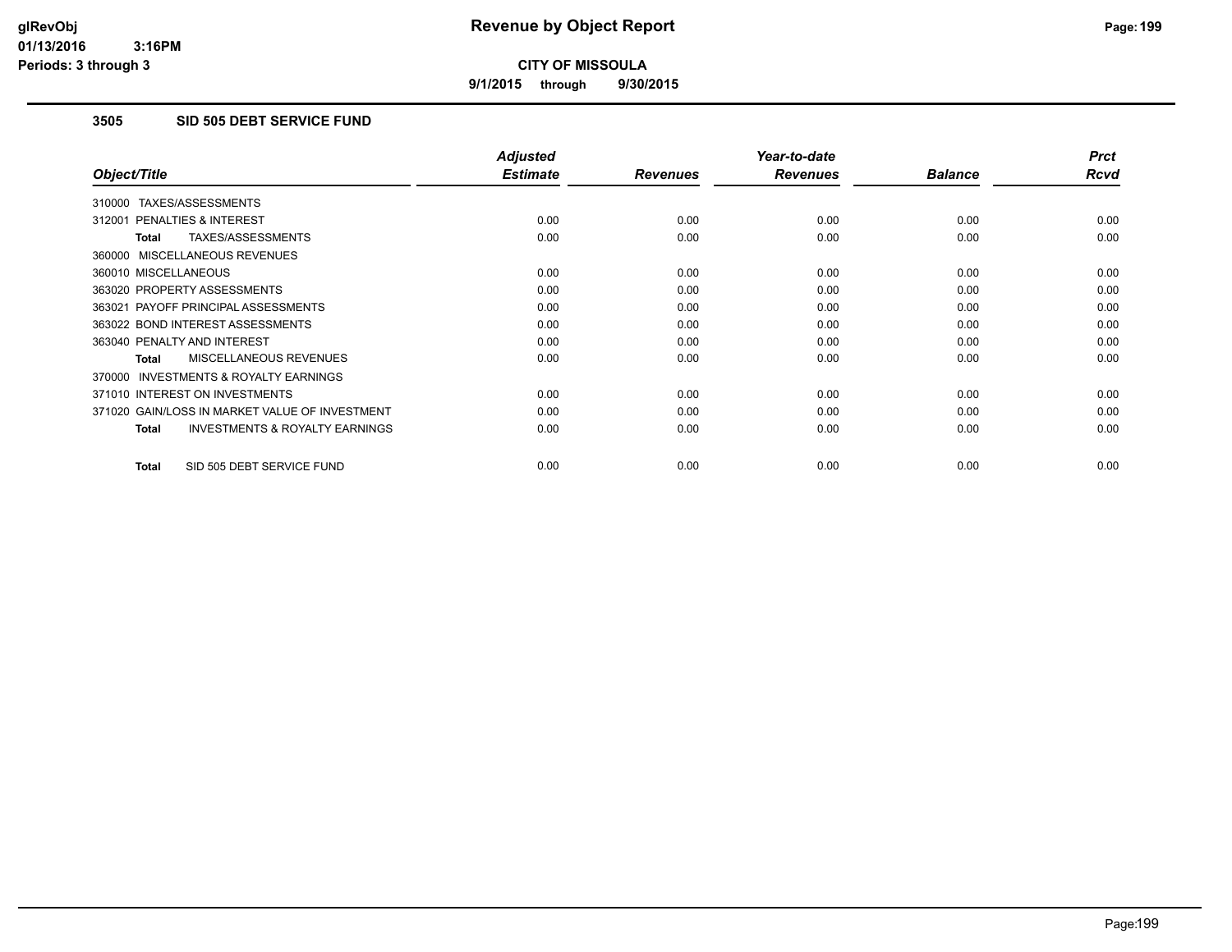**9/1/2015 through 9/30/2015**

## **3505 SID 505 DEBT SERVICE FUND**

|                                                           | <b>Adjusted</b> |                 | Year-to-date    |                | <b>Prct</b> |
|-----------------------------------------------------------|-----------------|-----------------|-----------------|----------------|-------------|
| Object/Title                                              | <b>Estimate</b> | <b>Revenues</b> | <b>Revenues</b> | <b>Balance</b> | <b>Rcvd</b> |
| 310000 TAXES/ASSESSMENTS                                  |                 |                 |                 |                |             |
| 312001 PENALTIES & INTEREST                               | 0.00            | 0.00            | 0.00            | 0.00           | 0.00        |
| TAXES/ASSESSMENTS<br><b>Total</b>                         | 0.00            | 0.00            | 0.00            | 0.00           | 0.00        |
| 360000 MISCELLANEOUS REVENUES                             |                 |                 |                 |                |             |
| 360010 MISCELLANEOUS                                      | 0.00            | 0.00            | 0.00            | 0.00           | 0.00        |
| 363020 PROPERTY ASSESSMENTS                               | 0.00            | 0.00            | 0.00            | 0.00           | 0.00        |
| 363021 PAYOFF PRINCIPAL ASSESSMENTS                       | 0.00            | 0.00            | 0.00            | 0.00           | 0.00        |
| 363022 BOND INTEREST ASSESSMENTS                          | 0.00            | 0.00            | 0.00            | 0.00           | 0.00        |
| 363040 PENALTY AND INTEREST                               | 0.00            | 0.00            | 0.00            | 0.00           | 0.00        |
| MISCELLANEOUS REVENUES<br>Total                           | 0.00            | 0.00            | 0.00            | 0.00           | 0.00        |
| <b>INVESTMENTS &amp; ROYALTY EARNINGS</b><br>370000       |                 |                 |                 |                |             |
| 371010 INTEREST ON INVESTMENTS                            | 0.00            | 0.00            | 0.00            | 0.00           | 0.00        |
| 371020 GAIN/LOSS IN MARKET VALUE OF INVESTMENT            | 0.00            | 0.00            | 0.00            | 0.00           | 0.00        |
| <b>INVESTMENTS &amp; ROYALTY EARNINGS</b><br><b>Total</b> | 0.00            | 0.00            | 0.00            | 0.00           | 0.00        |
|                                                           |                 |                 |                 |                |             |
| SID 505 DEBT SERVICE FUND<br><b>Total</b>                 | 0.00            | 0.00            | 0.00            | 0.00           | 0.00        |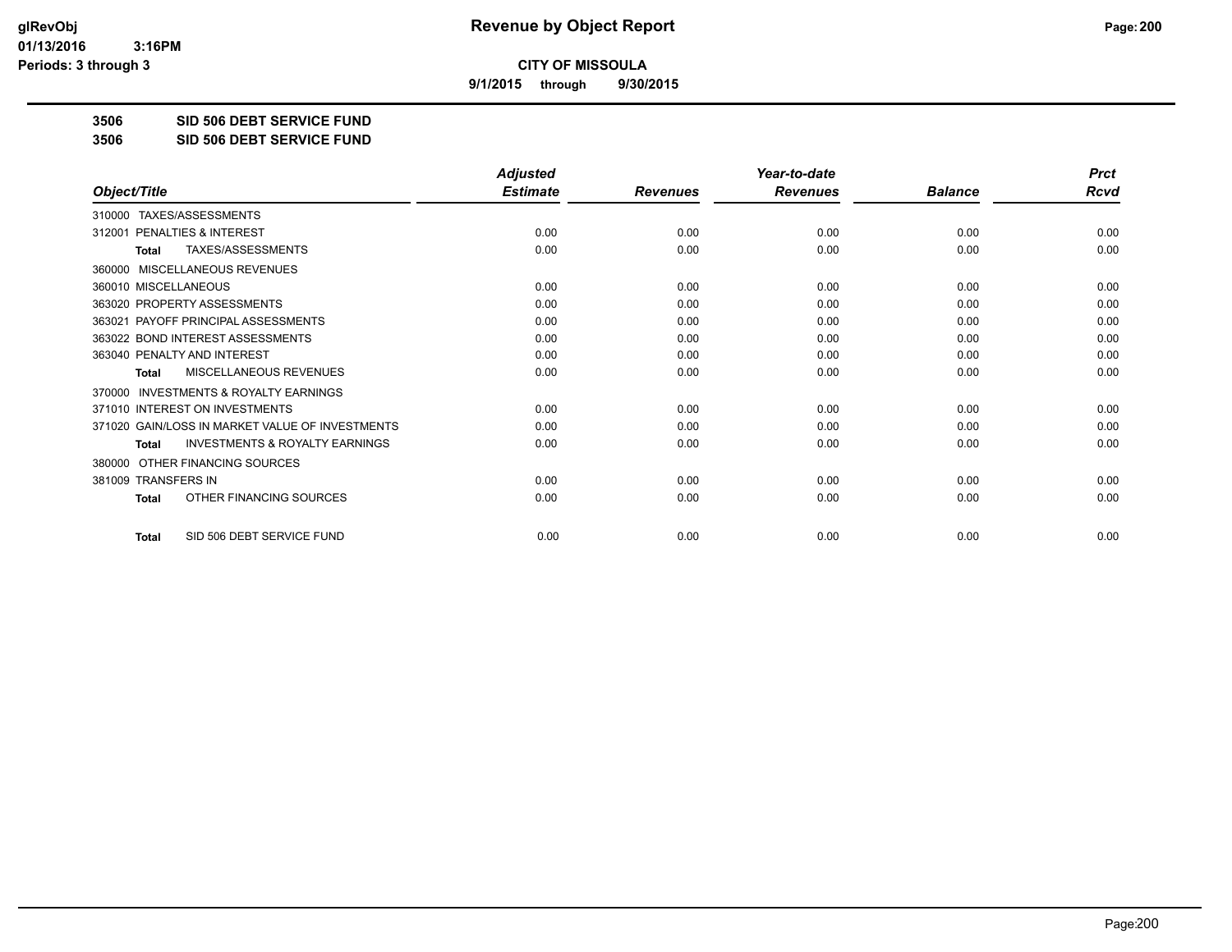**9/1/2015 through 9/30/2015**

**3506 SID 506 DEBT SERVICE FUND**

**3506 SID 506 DEBT SERVICE FUND**

|                                                           | <b>Adjusted</b> |                 | Year-to-date    |                | <b>Prct</b> |
|-----------------------------------------------------------|-----------------|-----------------|-----------------|----------------|-------------|
| Object/Title                                              | <b>Estimate</b> | <b>Revenues</b> | <b>Revenues</b> | <b>Balance</b> | <b>Rcvd</b> |
| TAXES/ASSESSMENTS<br>310000                               |                 |                 |                 |                |             |
| 312001 PENALTIES & INTEREST                               | 0.00            | 0.00            | 0.00            | 0.00           | 0.00        |
| TAXES/ASSESSMENTS<br><b>Total</b>                         | 0.00            | 0.00            | 0.00            | 0.00           | 0.00        |
| MISCELLANEOUS REVENUES<br>360000                          |                 |                 |                 |                |             |
| 360010 MISCELLANEOUS                                      | 0.00            | 0.00            | 0.00            | 0.00           | 0.00        |
| 363020 PROPERTY ASSESSMENTS                               | 0.00            | 0.00            | 0.00            | 0.00           | 0.00        |
| 363021 PAYOFF PRINCIPAL ASSESSMENTS                       | 0.00            | 0.00            | 0.00            | 0.00           | 0.00        |
| 363022 BOND INTEREST ASSESSMENTS                          | 0.00            | 0.00            | 0.00            | 0.00           | 0.00        |
| 363040 PENALTY AND INTEREST                               | 0.00            | 0.00            | 0.00            | 0.00           | 0.00        |
| <b>MISCELLANEOUS REVENUES</b><br><b>Total</b>             | 0.00            | 0.00            | 0.00            | 0.00           | 0.00        |
| <b>INVESTMENTS &amp; ROYALTY EARNINGS</b><br>370000       |                 |                 |                 |                |             |
| 371010 INTEREST ON INVESTMENTS                            | 0.00            | 0.00            | 0.00            | 0.00           | 0.00        |
| 371020 GAIN/LOSS IN MARKET VALUE OF INVESTMENTS           | 0.00            | 0.00            | 0.00            | 0.00           | 0.00        |
| <b>INVESTMENTS &amp; ROYALTY EARNINGS</b><br><b>Total</b> | 0.00            | 0.00            | 0.00            | 0.00           | 0.00        |
| OTHER FINANCING SOURCES<br>380000                         |                 |                 |                 |                |             |
| 381009 TRANSFERS IN                                       | 0.00            | 0.00            | 0.00            | 0.00           | 0.00        |
| OTHER FINANCING SOURCES<br><b>Total</b>                   | 0.00            | 0.00            | 0.00            | 0.00           | 0.00        |
| SID 506 DEBT SERVICE FUND<br><b>Total</b>                 | 0.00            | 0.00            | 0.00            | 0.00           | 0.00        |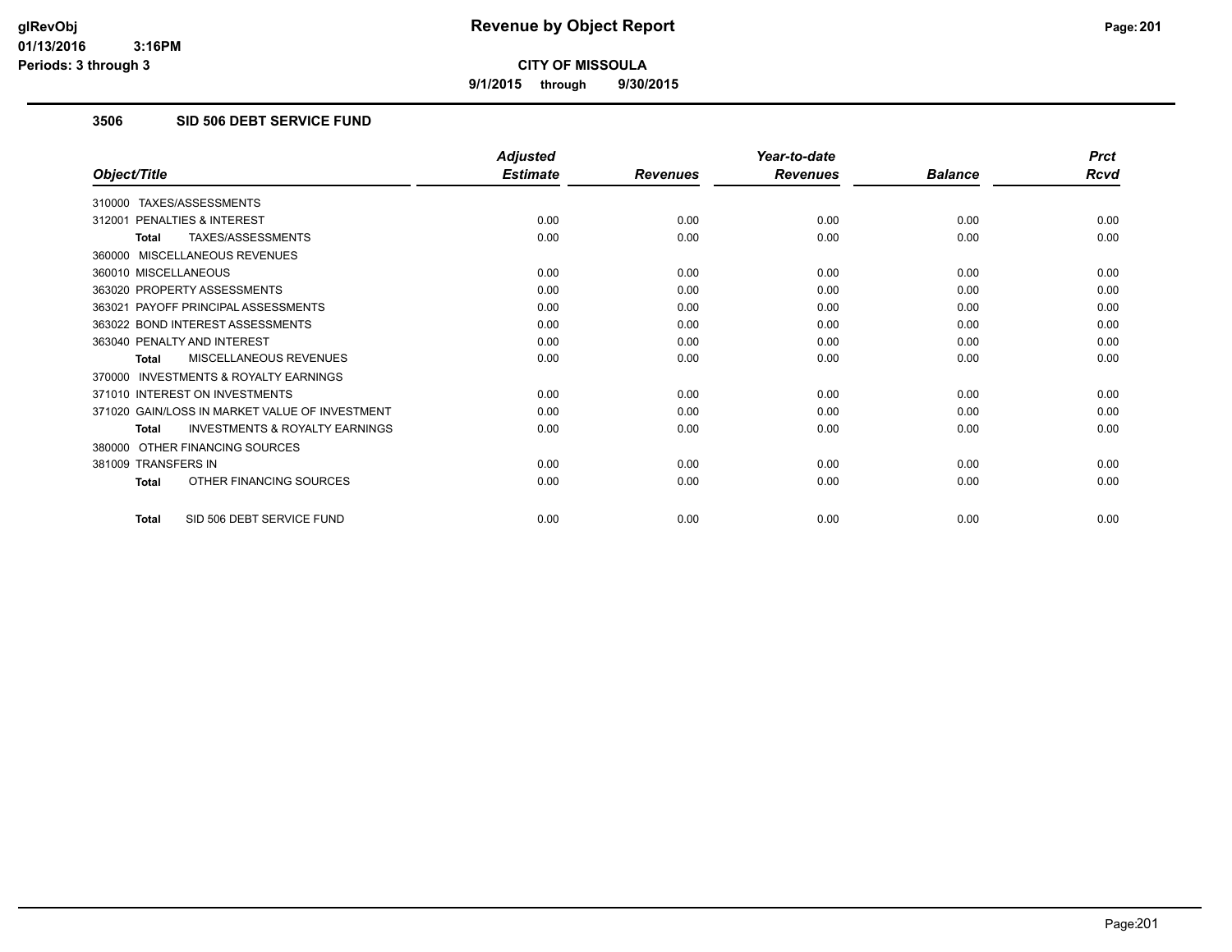**9/1/2015 through 9/30/2015**

## **3506 SID 506 DEBT SERVICE FUND**

|                                                           | <b>Adjusted</b> |                 | Year-to-date    |                | <b>Prct</b> |
|-----------------------------------------------------------|-----------------|-----------------|-----------------|----------------|-------------|
| Object/Title                                              | <b>Estimate</b> | <b>Revenues</b> | <b>Revenues</b> | <b>Balance</b> | <b>Rcvd</b> |
| 310000 TAXES/ASSESSMENTS                                  |                 |                 |                 |                |             |
| 312001 PENALTIES & INTEREST                               | 0.00            | 0.00            | 0.00            | 0.00           | 0.00        |
| TAXES/ASSESSMENTS<br><b>Total</b>                         | 0.00            | 0.00            | 0.00            | 0.00           | 0.00        |
| 360000 MISCELLANEOUS REVENUES                             |                 |                 |                 |                |             |
| 360010 MISCELLANEOUS                                      | 0.00            | 0.00            | 0.00            | 0.00           | 0.00        |
| 363020 PROPERTY ASSESSMENTS                               | 0.00            | 0.00            | 0.00            | 0.00           | 0.00        |
| 363021 PAYOFF PRINCIPAL ASSESSMENTS                       | 0.00            | 0.00            | 0.00            | 0.00           | 0.00        |
| 363022 BOND INTEREST ASSESSMENTS                          | 0.00            | 0.00            | 0.00            | 0.00           | 0.00        |
| 363040 PENALTY AND INTEREST                               | 0.00            | 0.00            | 0.00            | 0.00           | 0.00        |
| MISCELLANEOUS REVENUES<br>Total                           | 0.00            | 0.00            | 0.00            | 0.00           | 0.00        |
| 370000 INVESTMENTS & ROYALTY EARNINGS                     |                 |                 |                 |                |             |
| 371010 INTEREST ON INVESTMENTS                            | 0.00            | 0.00            | 0.00            | 0.00           | 0.00        |
| 371020 GAIN/LOSS IN MARKET VALUE OF INVESTMENT            | 0.00            | 0.00            | 0.00            | 0.00           | 0.00        |
| <b>INVESTMENTS &amp; ROYALTY EARNINGS</b><br><b>Total</b> | 0.00            | 0.00            | 0.00            | 0.00           | 0.00        |
| 380000 OTHER FINANCING SOURCES                            |                 |                 |                 |                |             |
| 381009 TRANSFERS IN                                       | 0.00            | 0.00            | 0.00            | 0.00           | 0.00        |
| OTHER FINANCING SOURCES<br><b>Total</b>                   | 0.00            | 0.00            | 0.00            | 0.00           | 0.00        |
| SID 506 DEBT SERVICE FUND<br><b>Total</b>                 | 0.00            | 0.00            | 0.00            | 0.00           | 0.00        |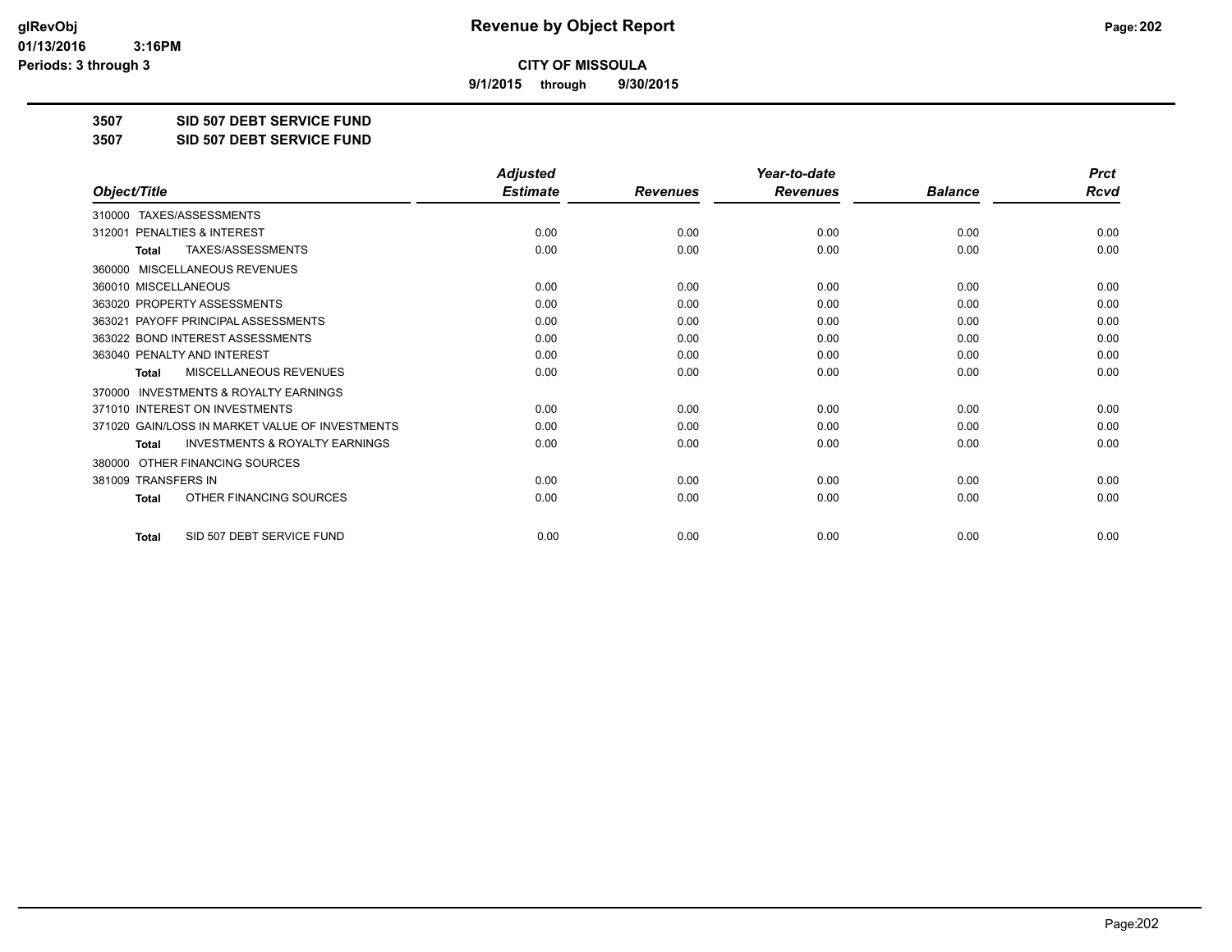**9/1/2015 through 9/30/2015**

**3507 SID 507 DEBT SERVICE FUND**

**3507 SID 507 DEBT SERVICE FUND**

|                                                           | <b>Adjusted</b> |                 | Year-to-date    |                | <b>Prct</b> |
|-----------------------------------------------------------|-----------------|-----------------|-----------------|----------------|-------------|
| Object/Title                                              | <b>Estimate</b> | <b>Revenues</b> | <b>Revenues</b> | <b>Balance</b> | <b>Rcvd</b> |
| TAXES/ASSESSMENTS<br>310000                               |                 |                 |                 |                |             |
| 312001 PENALTIES & INTEREST                               | 0.00            | 0.00            | 0.00            | 0.00           | 0.00        |
| TAXES/ASSESSMENTS<br><b>Total</b>                         | 0.00            | 0.00            | 0.00            | 0.00           | 0.00        |
| MISCELLANEOUS REVENUES<br>360000                          |                 |                 |                 |                |             |
| 360010 MISCELLANEOUS                                      | 0.00            | 0.00            | 0.00            | 0.00           | 0.00        |
| 363020 PROPERTY ASSESSMENTS                               | 0.00            | 0.00            | 0.00            | 0.00           | 0.00        |
| 363021 PAYOFF PRINCIPAL ASSESSMENTS                       | 0.00            | 0.00            | 0.00            | 0.00           | 0.00        |
| 363022 BOND INTEREST ASSESSMENTS                          | 0.00            | 0.00            | 0.00            | 0.00           | 0.00        |
| 363040 PENALTY AND INTEREST                               | 0.00            | 0.00            | 0.00            | 0.00           | 0.00        |
| <b>MISCELLANEOUS REVENUES</b><br><b>Total</b>             | 0.00            | 0.00            | 0.00            | 0.00           | 0.00        |
| <b>INVESTMENTS &amp; ROYALTY EARNINGS</b><br>370000       |                 |                 |                 |                |             |
| 371010 INTEREST ON INVESTMENTS                            | 0.00            | 0.00            | 0.00            | 0.00           | 0.00        |
| 371020 GAIN/LOSS IN MARKET VALUE OF INVESTMENTS           | 0.00            | 0.00            | 0.00            | 0.00           | 0.00        |
| <b>INVESTMENTS &amp; ROYALTY EARNINGS</b><br><b>Total</b> | 0.00            | 0.00            | 0.00            | 0.00           | 0.00        |
| OTHER FINANCING SOURCES<br>380000                         |                 |                 |                 |                |             |
| 381009 TRANSFERS IN                                       | 0.00            | 0.00            | 0.00            | 0.00           | 0.00        |
| OTHER FINANCING SOURCES<br><b>Total</b>                   | 0.00            | 0.00            | 0.00            | 0.00           | 0.00        |
| SID 507 DEBT SERVICE FUND<br><b>Total</b>                 | 0.00            | 0.00            | 0.00            | 0.00           | 0.00        |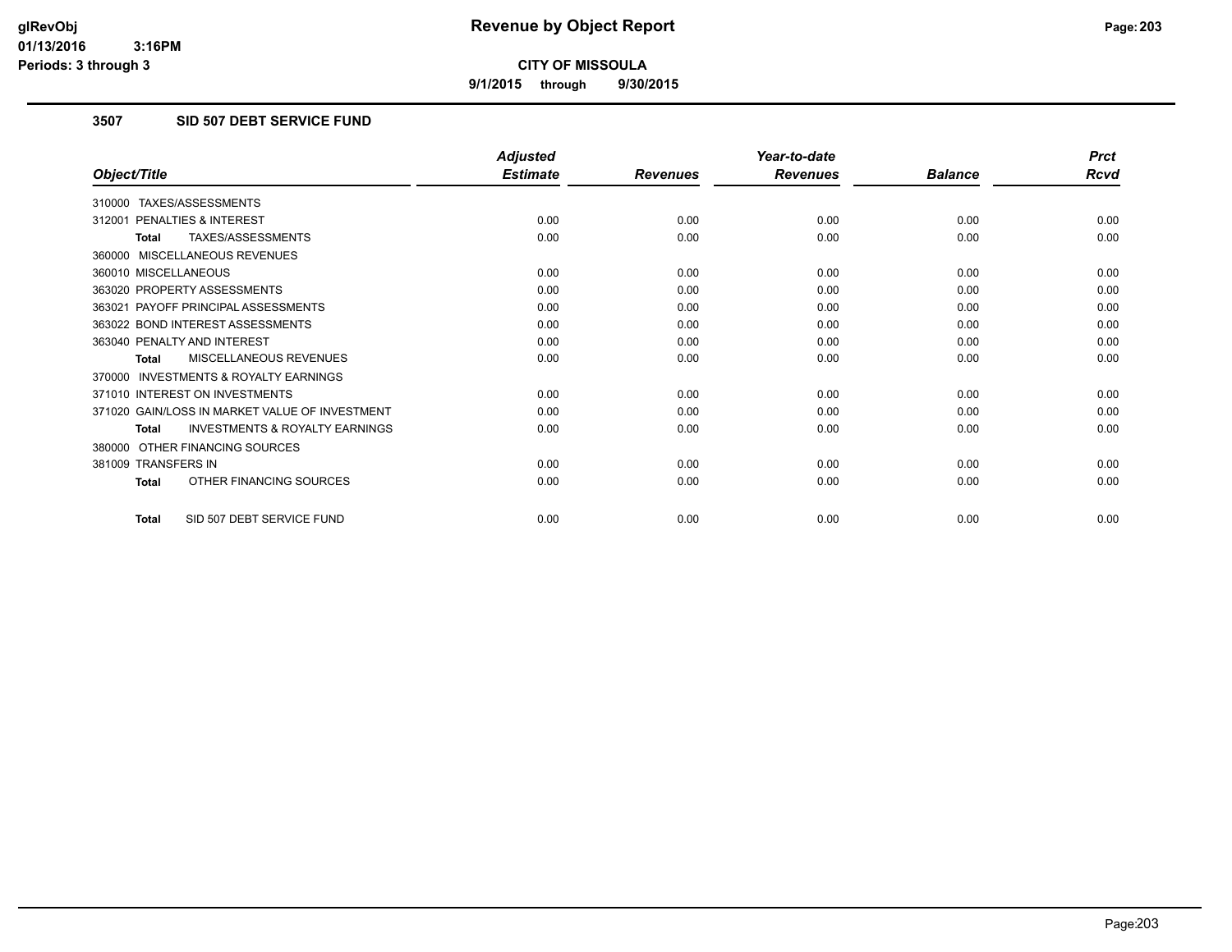**9/1/2015 through 9/30/2015**

# **3507 SID 507 DEBT SERVICE FUND**

|                                                           | <b>Adjusted</b> |                 | Year-to-date    |                | <b>Prct</b> |
|-----------------------------------------------------------|-----------------|-----------------|-----------------|----------------|-------------|
| Object/Title                                              | <b>Estimate</b> | <b>Revenues</b> | <b>Revenues</b> | <b>Balance</b> | <b>Rcvd</b> |
| 310000 TAXES/ASSESSMENTS                                  |                 |                 |                 |                |             |
| 312001 PENALTIES & INTEREST                               | 0.00            | 0.00            | 0.00            | 0.00           | 0.00        |
| TAXES/ASSESSMENTS<br><b>Total</b>                         | 0.00            | 0.00            | 0.00            | 0.00           | 0.00        |
| 360000 MISCELLANEOUS REVENUES                             |                 |                 |                 |                |             |
| 360010 MISCELLANEOUS                                      | 0.00            | 0.00            | 0.00            | 0.00           | 0.00        |
| 363020 PROPERTY ASSESSMENTS                               | 0.00            | 0.00            | 0.00            | 0.00           | 0.00        |
| 363021 PAYOFF PRINCIPAL ASSESSMENTS                       | 0.00            | 0.00            | 0.00            | 0.00           | 0.00        |
| 363022 BOND INTEREST ASSESSMENTS                          | 0.00            | 0.00            | 0.00            | 0.00           | 0.00        |
| 363040 PENALTY AND INTEREST                               | 0.00            | 0.00            | 0.00            | 0.00           | 0.00        |
| MISCELLANEOUS REVENUES<br><b>Total</b>                    | 0.00            | 0.00            | 0.00            | 0.00           | 0.00        |
| <b>INVESTMENTS &amp; ROYALTY EARNINGS</b><br>370000       |                 |                 |                 |                |             |
| 371010 INTEREST ON INVESTMENTS                            | 0.00            | 0.00            | 0.00            | 0.00           | 0.00        |
| 371020 GAIN/LOSS IN MARKET VALUE OF INVESTMENT            | 0.00            | 0.00            | 0.00            | 0.00           | 0.00        |
| <b>INVESTMENTS &amp; ROYALTY EARNINGS</b><br><b>Total</b> | 0.00            | 0.00            | 0.00            | 0.00           | 0.00        |
| 380000 OTHER FINANCING SOURCES                            |                 |                 |                 |                |             |
| 381009 TRANSFERS IN                                       | 0.00            | 0.00            | 0.00            | 0.00           | 0.00        |
| OTHER FINANCING SOURCES<br>Total                          | 0.00            | 0.00            | 0.00            | 0.00           | 0.00        |
| SID 507 DEBT SERVICE FUND<br>Total                        | 0.00            | 0.00            | 0.00            | 0.00           | 0.00        |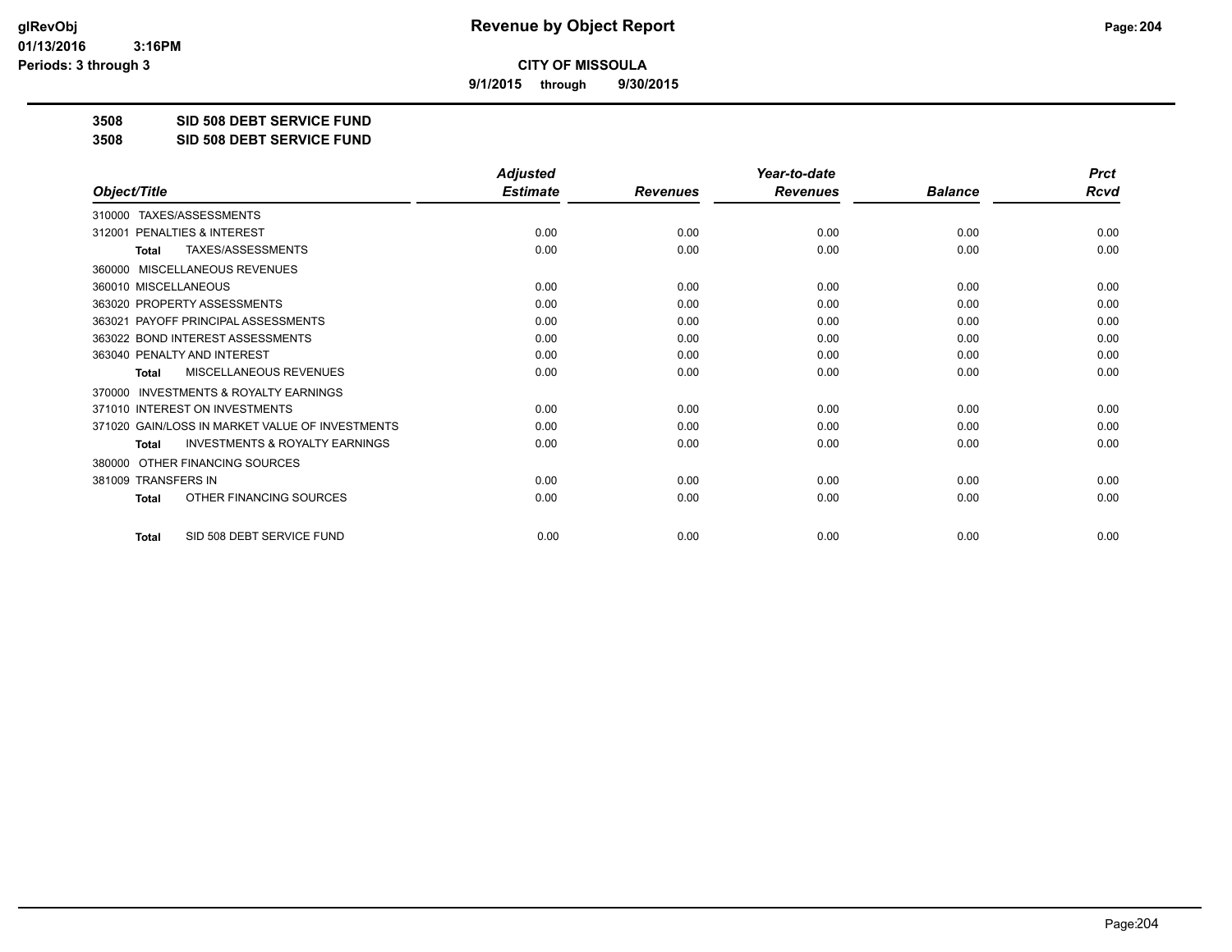**9/1/2015 through 9/30/2015**

**3508 SID 508 DEBT SERVICE FUND**

**3508 SID 508 DEBT SERVICE FUND**

|                                                           | <b>Adjusted</b> |                 | Year-to-date    |                | <b>Prct</b> |
|-----------------------------------------------------------|-----------------|-----------------|-----------------|----------------|-------------|
| Object/Title                                              | <b>Estimate</b> | <b>Revenues</b> | <b>Revenues</b> | <b>Balance</b> | <b>Rcvd</b> |
| TAXES/ASSESSMENTS<br>310000                               |                 |                 |                 |                |             |
| 312001 PENALTIES & INTEREST                               | 0.00            | 0.00            | 0.00            | 0.00           | 0.00        |
| TAXES/ASSESSMENTS<br><b>Total</b>                         | 0.00            | 0.00            | 0.00            | 0.00           | 0.00        |
| MISCELLANEOUS REVENUES<br>360000                          |                 |                 |                 |                |             |
| 360010 MISCELLANEOUS                                      | 0.00            | 0.00            | 0.00            | 0.00           | 0.00        |
| 363020 PROPERTY ASSESSMENTS                               | 0.00            | 0.00            | 0.00            | 0.00           | 0.00        |
| 363021 PAYOFF PRINCIPAL ASSESSMENTS                       | 0.00            | 0.00            | 0.00            | 0.00           | 0.00        |
| 363022 BOND INTEREST ASSESSMENTS                          | 0.00            | 0.00            | 0.00            | 0.00           | 0.00        |
| 363040 PENALTY AND INTEREST                               | 0.00            | 0.00            | 0.00            | 0.00           | 0.00        |
| <b>MISCELLANEOUS REVENUES</b><br><b>Total</b>             | 0.00            | 0.00            | 0.00            | 0.00           | 0.00        |
| <b>INVESTMENTS &amp; ROYALTY EARNINGS</b><br>370000       |                 |                 |                 |                |             |
| 371010 INTEREST ON INVESTMENTS                            | 0.00            | 0.00            | 0.00            | 0.00           | 0.00        |
| 371020 GAIN/LOSS IN MARKET VALUE OF INVESTMENTS           | 0.00            | 0.00            | 0.00            | 0.00           | 0.00        |
| <b>INVESTMENTS &amp; ROYALTY EARNINGS</b><br><b>Total</b> | 0.00            | 0.00            | 0.00            | 0.00           | 0.00        |
| OTHER FINANCING SOURCES<br>380000                         |                 |                 |                 |                |             |
| 381009 TRANSFERS IN                                       | 0.00            | 0.00            | 0.00            | 0.00           | 0.00        |
| OTHER FINANCING SOURCES<br>Total                          | 0.00            | 0.00            | 0.00            | 0.00           | 0.00        |
| SID 508 DEBT SERVICE FUND<br><b>Total</b>                 | 0.00            | 0.00            | 0.00            | 0.00           | 0.00        |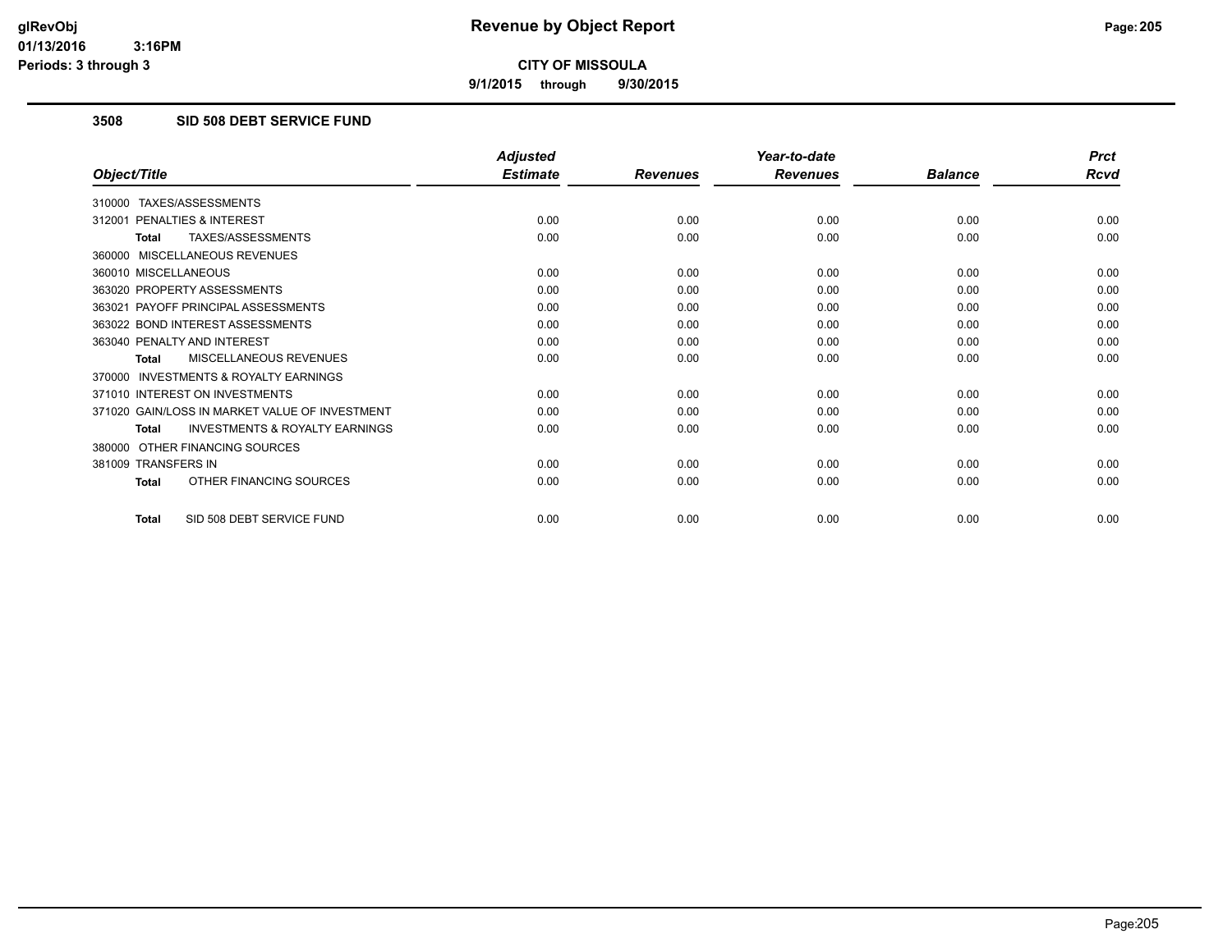**9/1/2015 through 9/30/2015**

## **3508 SID 508 DEBT SERVICE FUND**

|                                                           | <b>Adjusted</b> |                 | Year-to-date    |                | <b>Prct</b> |
|-----------------------------------------------------------|-----------------|-----------------|-----------------|----------------|-------------|
| Object/Title                                              | <b>Estimate</b> | <b>Revenues</b> | <b>Revenues</b> | <b>Balance</b> | <b>Rcvd</b> |
| 310000 TAXES/ASSESSMENTS                                  |                 |                 |                 |                |             |
| PENALTIES & INTEREST<br>312001                            | 0.00            | 0.00            | 0.00            | 0.00           | 0.00        |
| TAXES/ASSESSMENTS<br><b>Total</b>                         | 0.00            | 0.00            | 0.00            | 0.00           | 0.00        |
| 360000 MISCELLANEOUS REVENUES                             |                 |                 |                 |                |             |
| 360010 MISCELLANEOUS                                      | 0.00            | 0.00            | 0.00            | 0.00           | 0.00        |
| 363020 PROPERTY ASSESSMENTS                               | 0.00            | 0.00            | 0.00            | 0.00           | 0.00        |
| 363021 PAYOFF PRINCIPAL ASSESSMENTS                       | 0.00            | 0.00            | 0.00            | 0.00           | 0.00        |
| 363022 BOND INTEREST ASSESSMENTS                          | 0.00            | 0.00            | 0.00            | 0.00           | 0.00        |
| 363040 PENALTY AND INTEREST                               | 0.00            | 0.00            | 0.00            | 0.00           | 0.00        |
| <b>MISCELLANEOUS REVENUES</b><br><b>Total</b>             | 0.00            | 0.00            | 0.00            | 0.00           | 0.00        |
| <b>INVESTMENTS &amp; ROYALTY EARNINGS</b><br>370000       |                 |                 |                 |                |             |
| 371010 INTEREST ON INVESTMENTS                            | 0.00            | 0.00            | 0.00            | 0.00           | 0.00        |
| 371020 GAIN/LOSS IN MARKET VALUE OF INVESTMENT            | 0.00            | 0.00            | 0.00            | 0.00           | 0.00        |
| <b>INVESTMENTS &amp; ROYALTY EARNINGS</b><br><b>Total</b> | 0.00            | 0.00            | 0.00            | 0.00           | 0.00        |
| 380000 OTHER FINANCING SOURCES                            |                 |                 |                 |                |             |
| 381009 TRANSFERS IN                                       | 0.00            | 0.00            | 0.00            | 0.00           | 0.00        |
| OTHER FINANCING SOURCES<br><b>Total</b>                   | 0.00            | 0.00            | 0.00            | 0.00           | 0.00        |
| SID 508 DEBT SERVICE FUND<br><b>Total</b>                 | 0.00            | 0.00            | 0.00            | 0.00           | 0.00        |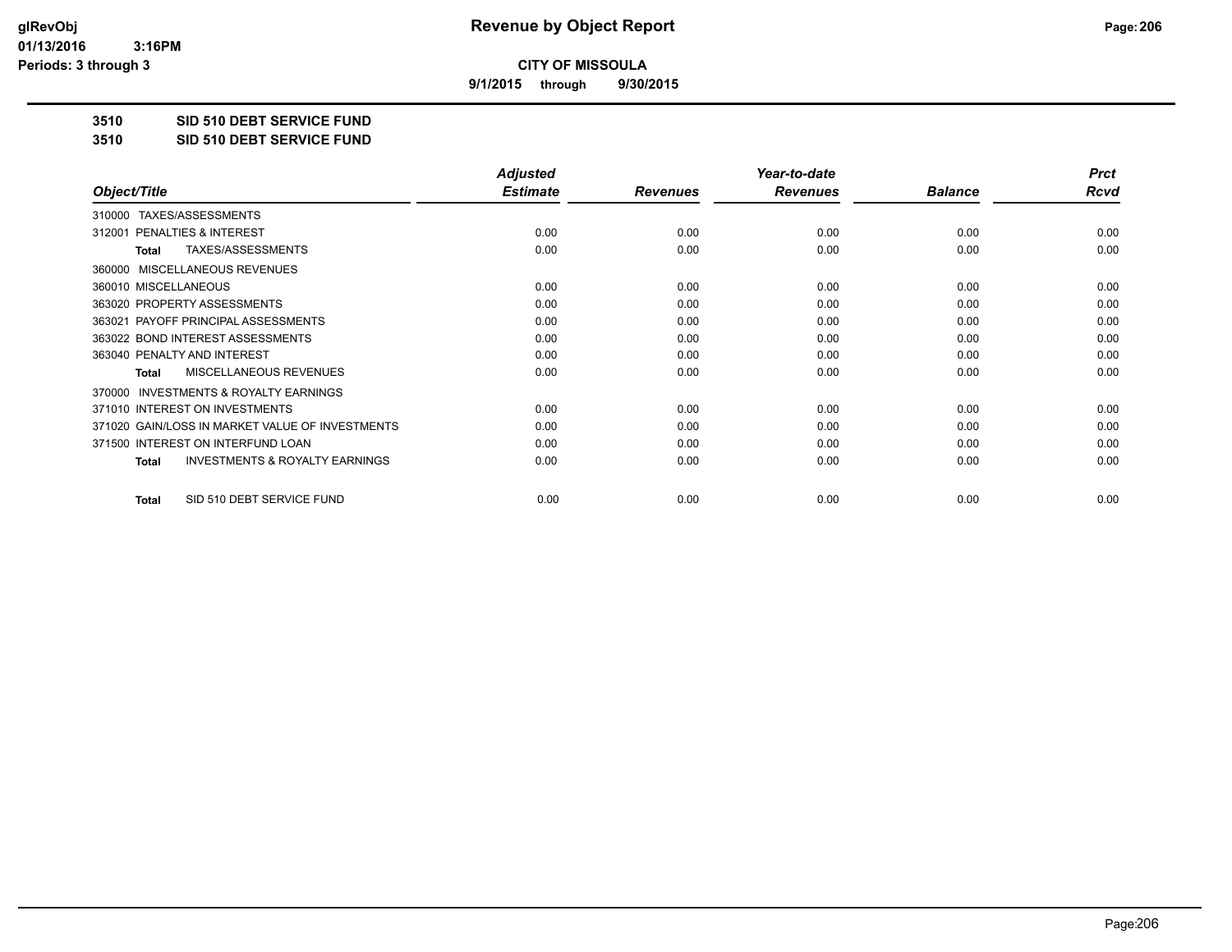**9/1/2015 through 9/30/2015**

**3510 SID 510 DEBT SERVICE FUND**

**3510 SID 510 DEBT SERVICE FUND**

|                                                           | <b>Adjusted</b> |                 | Year-to-date    |                | <b>Prct</b> |
|-----------------------------------------------------------|-----------------|-----------------|-----------------|----------------|-------------|
| Object/Title                                              | <b>Estimate</b> | <b>Revenues</b> | <b>Revenues</b> | <b>Balance</b> | <b>Rcvd</b> |
| TAXES/ASSESSMENTS<br>310000                               |                 |                 |                 |                |             |
| <b>PENALTIES &amp; INTEREST</b><br>312001                 | 0.00            | 0.00            | 0.00            | 0.00           | 0.00        |
| TAXES/ASSESSMENTS<br><b>Total</b>                         | 0.00            | 0.00            | 0.00            | 0.00           | 0.00        |
| MISCELLANEOUS REVENUES<br>360000                          |                 |                 |                 |                |             |
| 360010 MISCELLANEOUS                                      | 0.00            | 0.00            | 0.00            | 0.00           | 0.00        |
| 363020 PROPERTY ASSESSMENTS                               | 0.00            | 0.00            | 0.00            | 0.00           | 0.00        |
| 363021 PAYOFF PRINCIPAL ASSESSMENTS                       | 0.00            | 0.00            | 0.00            | 0.00           | 0.00        |
| 363022 BOND INTEREST ASSESSMENTS                          | 0.00            | 0.00            | 0.00            | 0.00           | 0.00        |
| 363040 PENALTY AND INTEREST                               | 0.00            | 0.00            | 0.00            | 0.00           | 0.00        |
| <b>MISCELLANEOUS REVENUES</b><br><b>Total</b>             | 0.00            | 0.00            | 0.00            | 0.00           | 0.00        |
| <b>INVESTMENTS &amp; ROYALTY EARNINGS</b><br>370000       |                 |                 |                 |                |             |
| 371010 INTEREST ON INVESTMENTS                            | 0.00            | 0.00            | 0.00            | 0.00           | 0.00        |
| 371020 GAIN/LOSS IN MARKET VALUE OF INVESTMENTS           | 0.00            | 0.00            | 0.00            | 0.00           | 0.00        |
| 371500 INTEREST ON INTERFUND LOAN                         | 0.00            | 0.00            | 0.00            | 0.00           | 0.00        |
| <b>INVESTMENTS &amp; ROYALTY EARNINGS</b><br><b>Total</b> | 0.00            | 0.00            | 0.00            | 0.00           | 0.00        |
| SID 510 DEBT SERVICE FUND<br><b>Total</b>                 | 0.00            | 0.00            | 0.00            | 0.00           | 0.00        |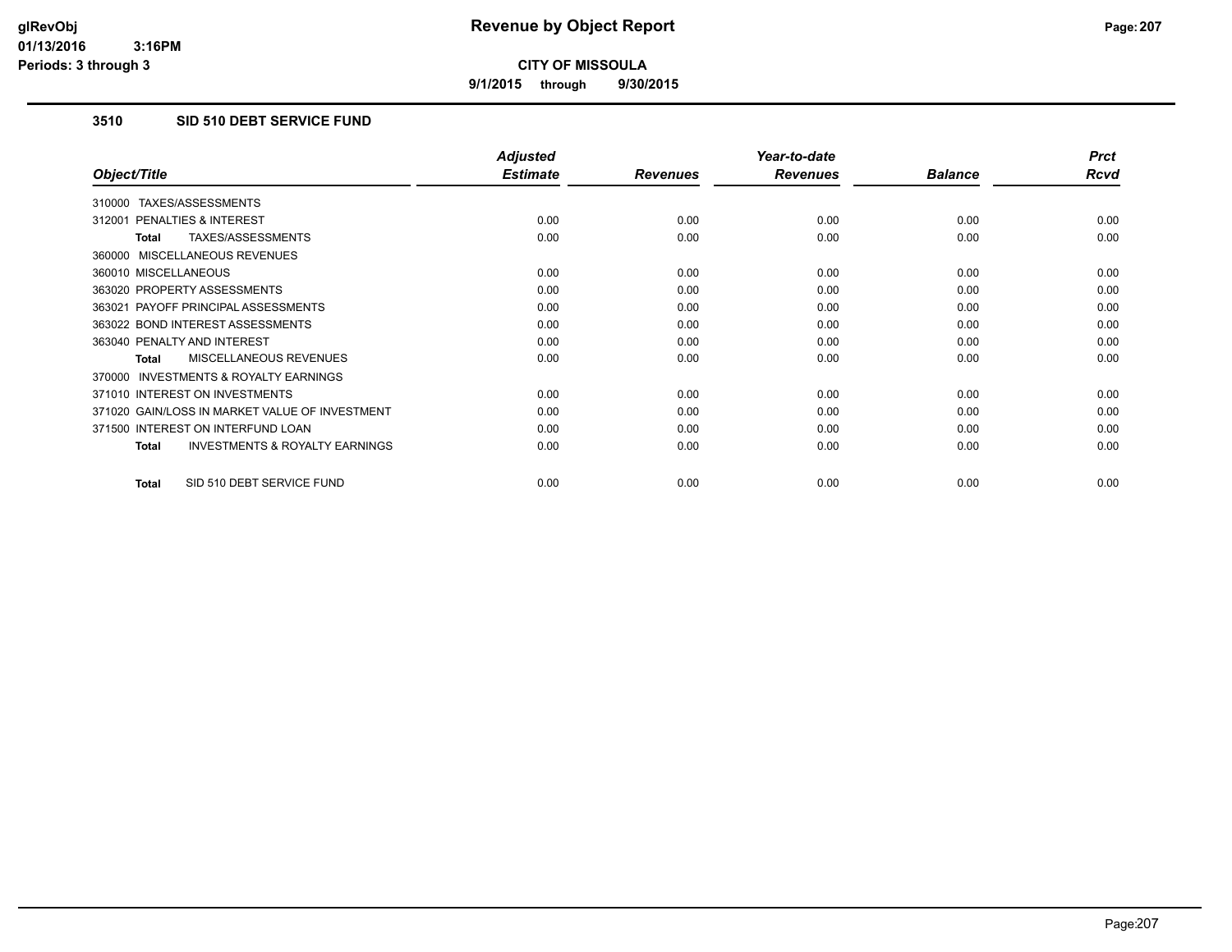**9/1/2015 through 9/30/2015**

# **3510 SID 510 DEBT SERVICE FUND**

|                                                           | <b>Adjusted</b> |                 | Year-to-date    |                | <b>Prct</b> |
|-----------------------------------------------------------|-----------------|-----------------|-----------------|----------------|-------------|
| Object/Title                                              | <b>Estimate</b> | <b>Revenues</b> | <b>Revenues</b> | <b>Balance</b> | Rcvd        |
| TAXES/ASSESSMENTS<br>310000                               |                 |                 |                 |                |             |
| 312001 PENALTIES & INTEREST                               | 0.00            | 0.00            | 0.00            | 0.00           | 0.00        |
| TAXES/ASSESSMENTS<br>Total                                | 0.00            | 0.00            | 0.00            | 0.00           | 0.00        |
| 360000 MISCELLANEOUS REVENUES                             |                 |                 |                 |                |             |
| 360010 MISCELLANEOUS                                      | 0.00            | 0.00            | 0.00            | 0.00           | 0.00        |
| 363020 PROPERTY ASSESSMENTS                               | 0.00            | 0.00            | 0.00            | 0.00           | 0.00        |
| 363021 PAYOFF PRINCIPAL ASSESSMENTS                       | 0.00            | 0.00            | 0.00            | 0.00           | 0.00        |
| 363022 BOND INTEREST ASSESSMENTS                          | 0.00            | 0.00            | 0.00            | 0.00           | 0.00        |
| 363040 PENALTY AND INTEREST                               | 0.00            | 0.00            | 0.00            | 0.00           | 0.00        |
| MISCELLANEOUS REVENUES<br><b>Total</b>                    | 0.00            | 0.00            | 0.00            | 0.00           | 0.00        |
| 370000 INVESTMENTS & ROYALTY EARNINGS                     |                 |                 |                 |                |             |
| 371010 INTEREST ON INVESTMENTS                            | 0.00            | 0.00            | 0.00            | 0.00           | 0.00        |
| 371020 GAIN/LOSS IN MARKET VALUE OF INVESTMENT            | 0.00            | 0.00            | 0.00            | 0.00           | 0.00        |
| 371500 INTEREST ON INTERFUND LOAN                         | 0.00            | 0.00            | 0.00            | 0.00           | 0.00        |
| <b>INVESTMENTS &amp; ROYALTY EARNINGS</b><br><b>Total</b> | 0.00            | 0.00            | 0.00            | 0.00           | 0.00        |
| SID 510 DEBT SERVICE FUND<br><b>Total</b>                 | 0.00            | 0.00            | 0.00            | 0.00           | 0.00        |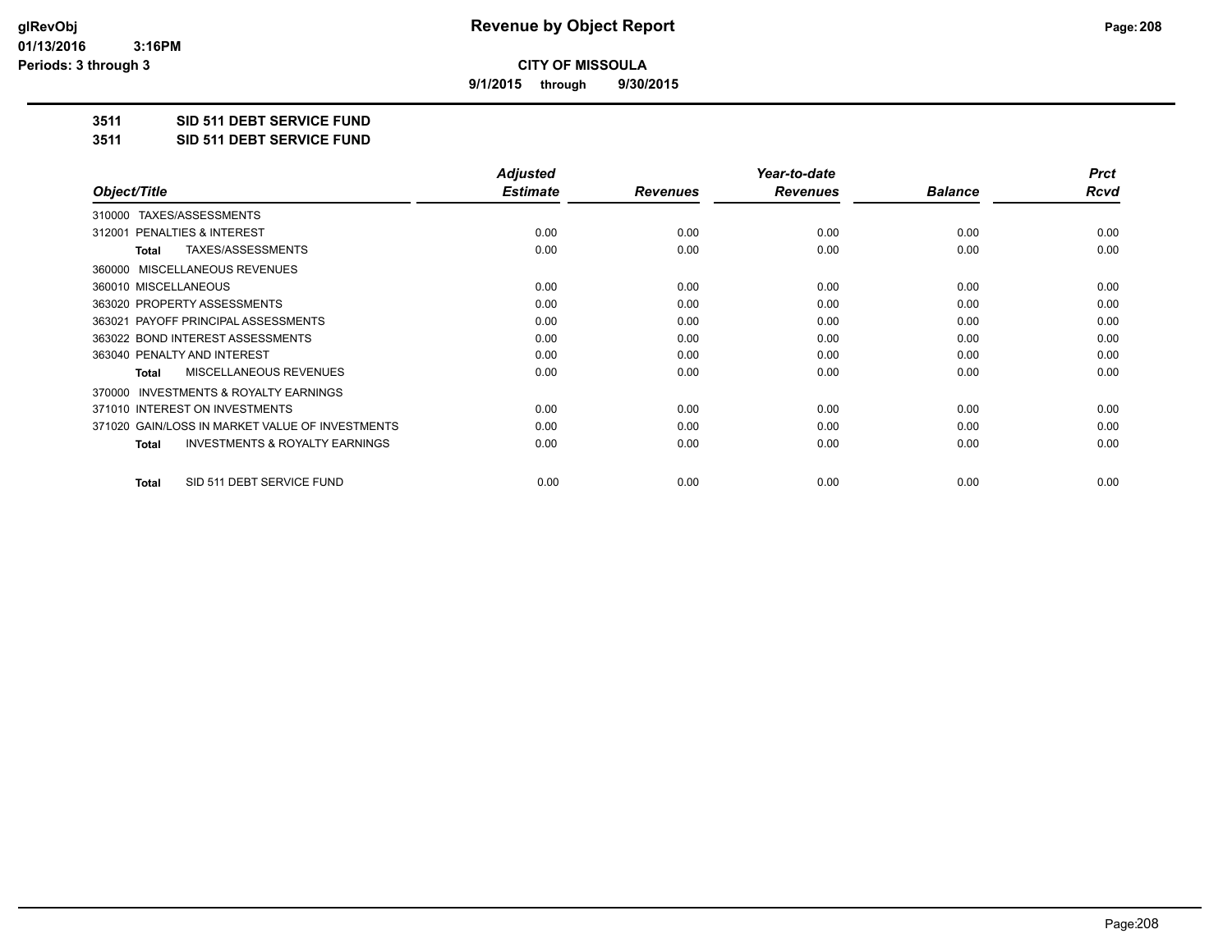**9/1/2015 through 9/30/2015**

**3511 SID 511 DEBT SERVICE FUND**

**3511 SID 511 DEBT SERVICE FUND**

|                                                           | <b>Adjusted</b> |                 | Year-to-date    |                | <b>Prct</b> |
|-----------------------------------------------------------|-----------------|-----------------|-----------------|----------------|-------------|
| Object/Title                                              | <b>Estimate</b> | <b>Revenues</b> | <b>Revenues</b> | <b>Balance</b> | Rcvd        |
| TAXES/ASSESSMENTS<br>310000                               |                 |                 |                 |                |             |
| 312001 PENALTIES & INTEREST                               | 0.00            | 0.00            | 0.00            | 0.00           | 0.00        |
| TAXES/ASSESSMENTS<br>Total                                | 0.00            | 0.00            | 0.00            | 0.00           | 0.00        |
| MISCELLANEOUS REVENUES<br>360000                          |                 |                 |                 |                |             |
| 360010 MISCELLANEOUS                                      | 0.00            | 0.00            | 0.00            | 0.00           | 0.00        |
| 363020 PROPERTY ASSESSMENTS                               | 0.00            | 0.00            | 0.00            | 0.00           | 0.00        |
| 363021 PAYOFF PRINCIPAL ASSESSMENTS                       | 0.00            | 0.00            | 0.00            | 0.00           | 0.00        |
| 363022 BOND INTEREST ASSESSMENTS                          | 0.00            | 0.00            | 0.00            | 0.00           | 0.00        |
| 363040 PENALTY AND INTEREST                               | 0.00            | 0.00            | 0.00            | 0.00           | 0.00        |
| <b>MISCELLANEOUS REVENUES</b><br>Total                    | 0.00            | 0.00            | 0.00            | 0.00           | 0.00        |
| <b>INVESTMENTS &amp; ROYALTY EARNINGS</b><br>370000       |                 |                 |                 |                |             |
| 371010 INTEREST ON INVESTMENTS                            | 0.00            | 0.00            | 0.00            | 0.00           | 0.00        |
| 371020 GAIN/LOSS IN MARKET VALUE OF INVESTMENTS           | 0.00            | 0.00            | 0.00            | 0.00           | 0.00        |
| <b>INVESTMENTS &amp; ROYALTY EARNINGS</b><br><b>Total</b> | 0.00            | 0.00            | 0.00            | 0.00           | 0.00        |
| SID 511 DEBT SERVICE FUND<br>Total                        | 0.00            | 0.00            | 0.00            | 0.00           | 0.00        |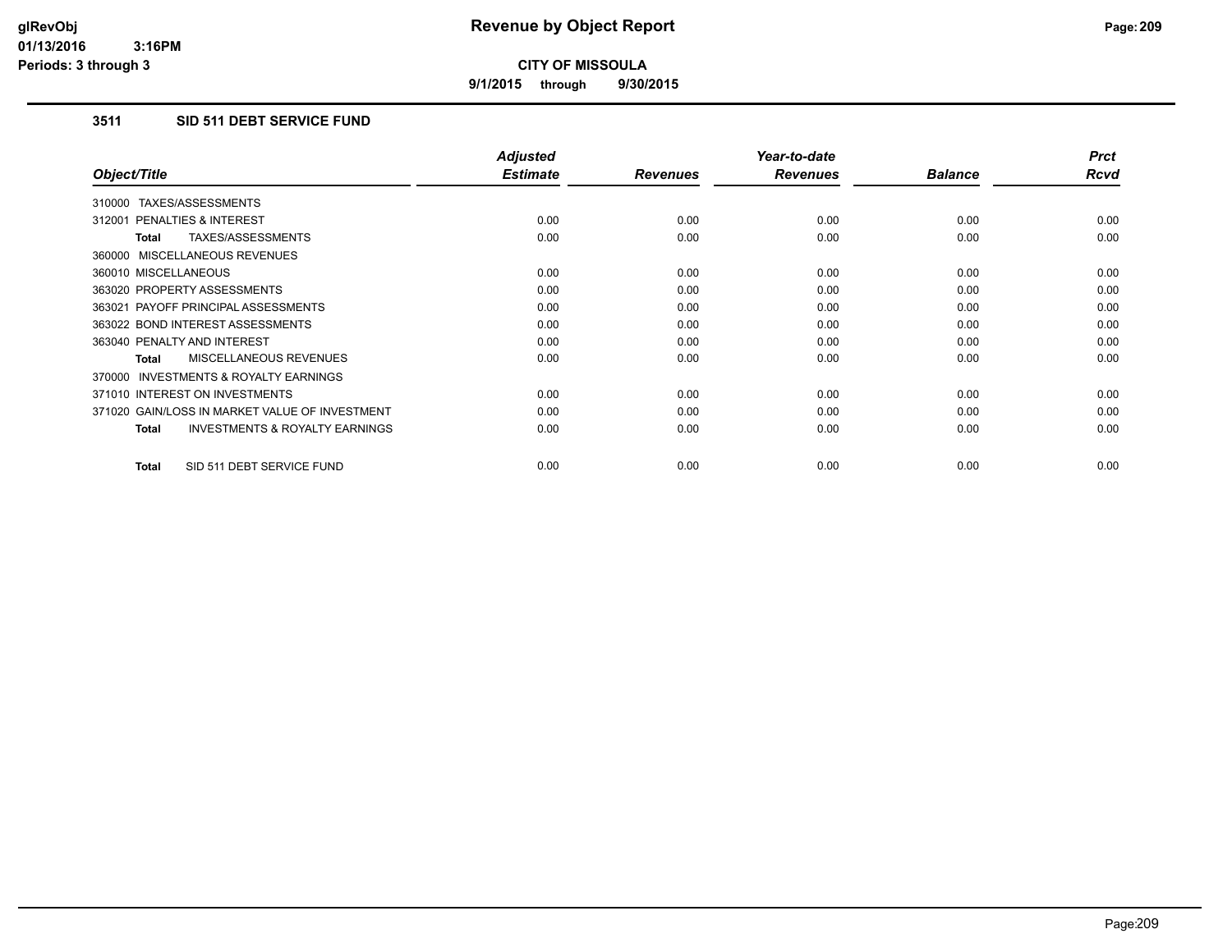**9/1/2015 through 9/30/2015**

# **3511 SID 511 DEBT SERVICE FUND**

|                                                     | <b>Adjusted</b> |                 | Year-to-date    |                | <b>Prct</b> |
|-----------------------------------------------------|-----------------|-----------------|-----------------|----------------|-------------|
| Object/Title                                        | <b>Estimate</b> | <b>Revenues</b> | <b>Revenues</b> | <b>Balance</b> | <b>Rcvd</b> |
| 310000 TAXES/ASSESSMENTS                            |                 |                 |                 |                |             |
| 312001 PENALTIES & INTEREST                         | 0.00            | 0.00            | 0.00            | 0.00           | 0.00        |
| TAXES/ASSESSMENTS<br><b>Total</b>                   | 0.00            | 0.00            | 0.00            | 0.00           | 0.00        |
| 360000 MISCELLANEOUS REVENUES                       |                 |                 |                 |                |             |
| 360010 MISCELLANEOUS                                | 0.00            | 0.00            | 0.00            | 0.00           | 0.00        |
| 363020 PROPERTY ASSESSMENTS                         | 0.00            | 0.00            | 0.00            | 0.00           | 0.00        |
| 363021 PAYOFF PRINCIPAL ASSESSMENTS                 | 0.00            | 0.00            | 0.00            | 0.00           | 0.00        |
| 363022 BOND INTEREST ASSESSMENTS                    | 0.00            | 0.00            | 0.00            | 0.00           | 0.00        |
| 363040 PENALTY AND INTEREST                         | 0.00            | 0.00            | 0.00            | 0.00           | 0.00        |
| <b>MISCELLANEOUS REVENUES</b><br>Total              | 0.00            | 0.00            | 0.00            | 0.00           | 0.00        |
| <b>INVESTMENTS &amp; ROYALTY EARNINGS</b><br>370000 |                 |                 |                 |                |             |
| 371010 INTEREST ON INVESTMENTS                      | 0.00            | 0.00            | 0.00            | 0.00           | 0.00        |
| 371020 GAIN/LOSS IN MARKET VALUE OF INVESTMENT      | 0.00            | 0.00            | 0.00            | 0.00           | 0.00        |
| <b>INVESTMENTS &amp; ROYALTY EARNINGS</b><br>Total  | 0.00            | 0.00            | 0.00            | 0.00           | 0.00        |
| SID 511 DEBT SERVICE FUND<br><b>Total</b>           | 0.00            | 0.00            | 0.00            | 0.00           | 0.00        |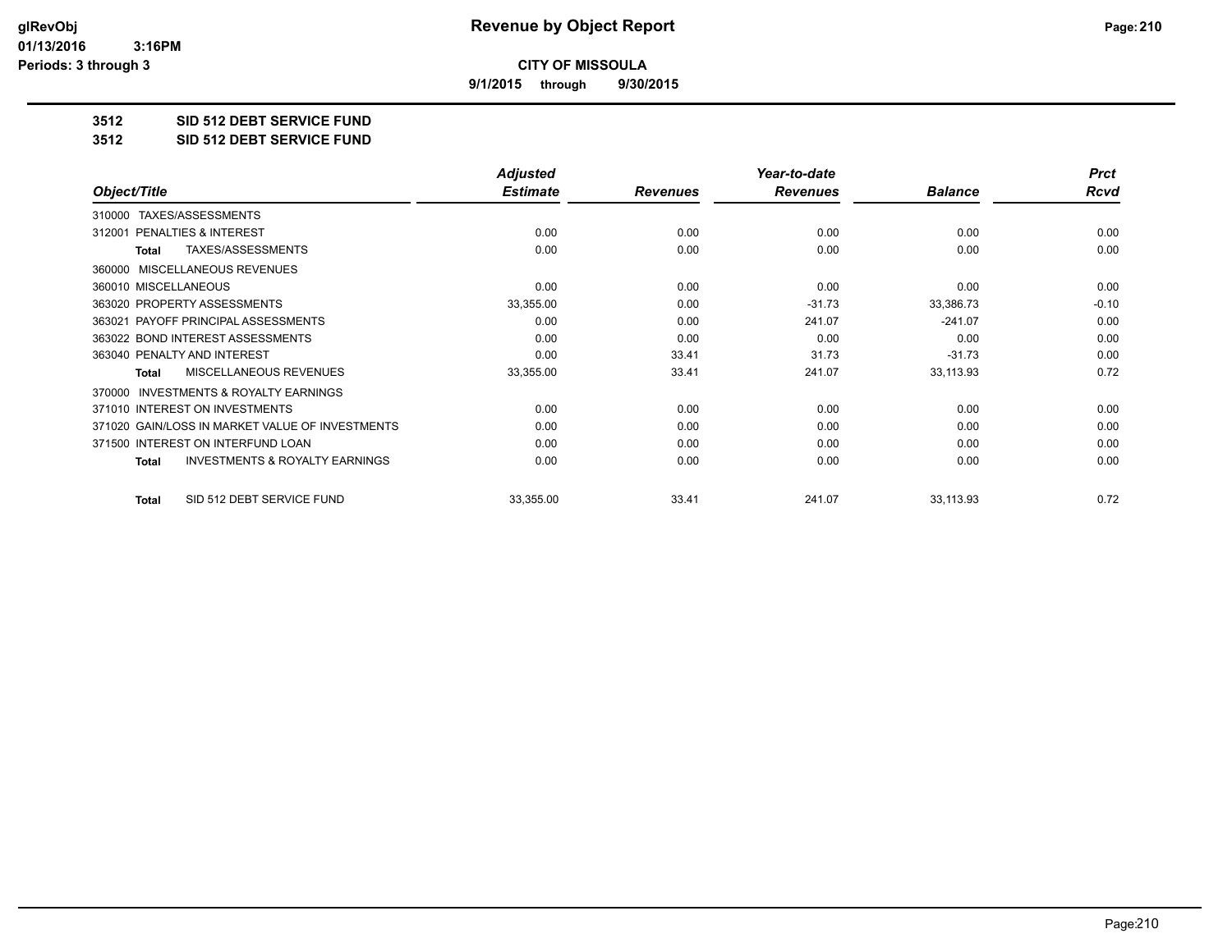**9/1/2015 through 9/30/2015**

**3512 SID 512 DEBT SERVICE FUND**

**3512 SID 512 DEBT SERVICE FUND**

|                                                           | <b>Adjusted</b> |                 | Year-to-date    |                | <b>Prct</b> |
|-----------------------------------------------------------|-----------------|-----------------|-----------------|----------------|-------------|
| Object/Title                                              | <b>Estimate</b> | <b>Revenues</b> | <b>Revenues</b> | <b>Balance</b> | <b>Rcvd</b> |
| TAXES/ASSESSMENTS<br>310000                               |                 |                 |                 |                |             |
| <b>PENALTIES &amp; INTEREST</b><br>312001                 | 0.00            | 0.00            | 0.00            | 0.00           | 0.00        |
| TAXES/ASSESSMENTS<br><b>Total</b>                         | 0.00            | 0.00            | 0.00            | 0.00           | 0.00        |
| MISCELLANEOUS REVENUES<br>360000                          |                 |                 |                 |                |             |
| 360010 MISCELLANEOUS                                      | 0.00            | 0.00            | 0.00            | 0.00           | 0.00        |
| 363020 PROPERTY ASSESSMENTS                               | 33,355.00       | 0.00            | $-31.73$        | 33,386.73      | $-0.10$     |
| 363021 PAYOFF PRINCIPAL ASSESSMENTS                       | 0.00            | 0.00            | 241.07          | $-241.07$      | 0.00        |
| 363022 BOND INTEREST ASSESSMENTS                          | 0.00            | 0.00            | 0.00            | 0.00           | 0.00        |
| 363040 PENALTY AND INTEREST                               | 0.00            | 33.41           | 31.73           | $-31.73$       | 0.00        |
| <b>MISCELLANEOUS REVENUES</b><br><b>Total</b>             | 33,355.00       | 33.41           | 241.07          | 33,113.93      | 0.72        |
| <b>INVESTMENTS &amp; ROYALTY EARNINGS</b><br>370000       |                 |                 |                 |                |             |
| 371010 INTEREST ON INVESTMENTS                            | 0.00            | 0.00            | 0.00            | 0.00           | 0.00        |
| 371020 GAIN/LOSS IN MARKET VALUE OF INVESTMENTS           | 0.00            | 0.00            | 0.00            | 0.00           | 0.00        |
| 371500 INTEREST ON INTERFUND LOAN                         | 0.00            | 0.00            | 0.00            | 0.00           | 0.00        |
| <b>INVESTMENTS &amp; ROYALTY EARNINGS</b><br><b>Total</b> | 0.00            | 0.00            | 0.00            | 0.00           | 0.00        |
| SID 512 DEBT SERVICE FUND<br><b>Total</b>                 | 33,355.00       | 33.41           | 241.07          | 33,113.93      | 0.72        |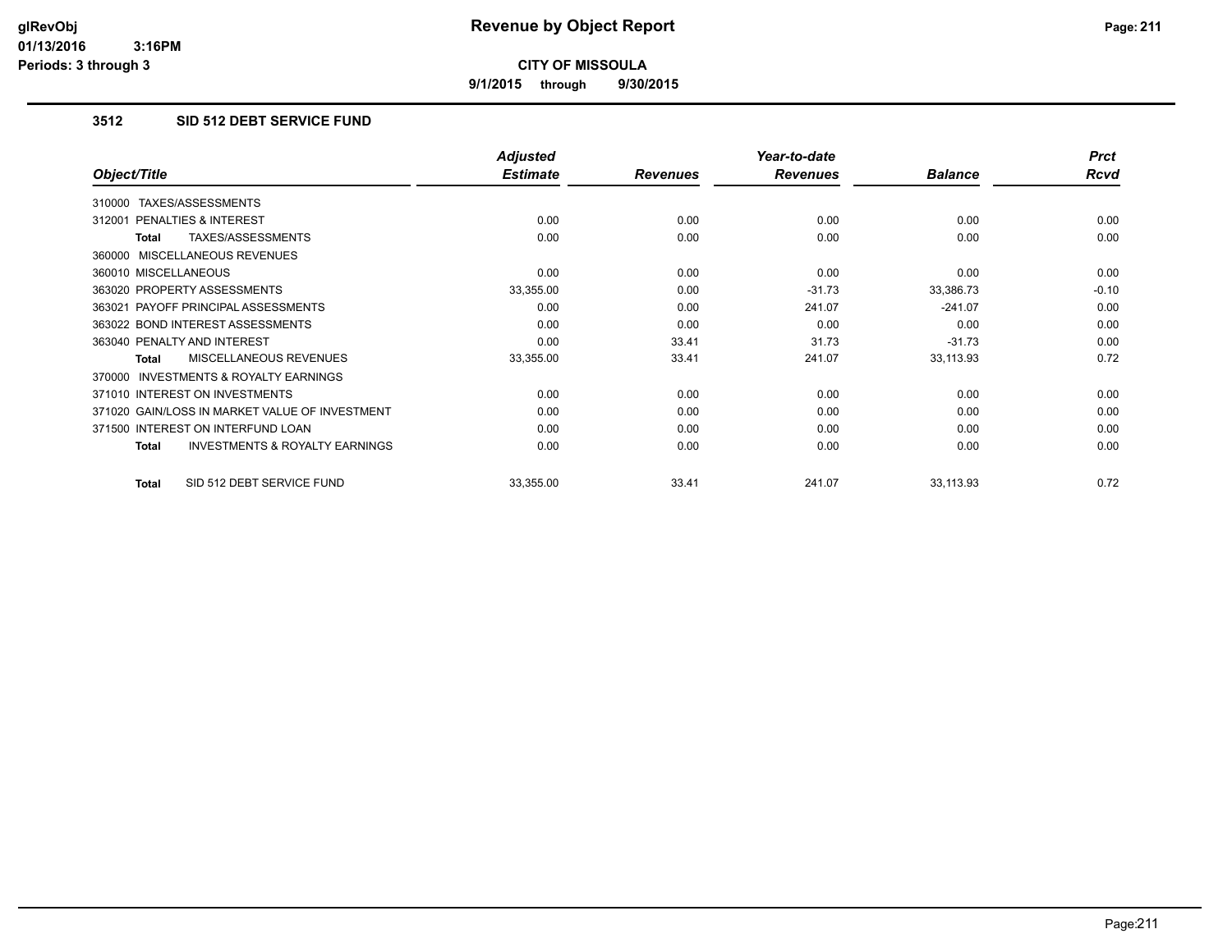**9/1/2015 through 9/30/2015**

# **3512 SID 512 DEBT SERVICE FUND**

|                                                    | <b>Adjusted</b> |                 | Year-to-date    |                | <b>Prct</b> |
|----------------------------------------------------|-----------------|-----------------|-----------------|----------------|-------------|
| Object/Title                                       | <b>Estimate</b> | <b>Revenues</b> | <b>Revenues</b> | <b>Balance</b> | Rcvd        |
| TAXES/ASSESSMENTS<br>310000                        |                 |                 |                 |                |             |
| 312001 PENALTIES & INTEREST                        | 0.00            | 0.00            | 0.00            | 0.00           | 0.00        |
| TAXES/ASSESSMENTS<br>Total                         | 0.00            | 0.00            | 0.00            | 0.00           | 0.00        |
| 360000 MISCELLANEOUS REVENUES                      |                 |                 |                 |                |             |
| 360010 MISCELLANEOUS                               | 0.00            | 0.00            | 0.00            | 0.00           | 0.00        |
| 363020 PROPERTY ASSESSMENTS                        | 33,355.00       | 0.00            | $-31.73$        | 33,386.73      | $-0.10$     |
| 363021 PAYOFF PRINCIPAL ASSESSMENTS                | 0.00            | 0.00            | 241.07          | $-241.07$      | 0.00        |
| 363022 BOND INTEREST ASSESSMENTS                   | 0.00            | 0.00            | 0.00            | 0.00           | 0.00        |
| 363040 PENALTY AND INTEREST                        | 0.00            | 33.41           | 31.73           | $-31.73$       | 0.00        |
| MISCELLANEOUS REVENUES<br>Total                    | 33,355.00       | 33.41           | 241.07          | 33,113.93      | 0.72        |
| 370000 INVESTMENTS & ROYALTY EARNINGS              |                 |                 |                 |                |             |
| 371010 INTEREST ON INVESTMENTS                     | 0.00            | 0.00            | 0.00            | 0.00           | 0.00        |
| 371020 GAIN/LOSS IN MARKET VALUE OF INVESTMENT     | 0.00            | 0.00            | 0.00            | 0.00           | 0.00        |
| 371500 INTEREST ON INTERFUND LOAN                  | 0.00            | 0.00            | 0.00            | 0.00           | 0.00        |
| <b>INVESTMENTS &amp; ROYALTY EARNINGS</b><br>Total | 0.00            | 0.00            | 0.00            | 0.00           | 0.00        |
| SID 512 DEBT SERVICE FUND<br>Total                 | 33,355.00       | 33.41           | 241.07          | 33,113.93      | 0.72        |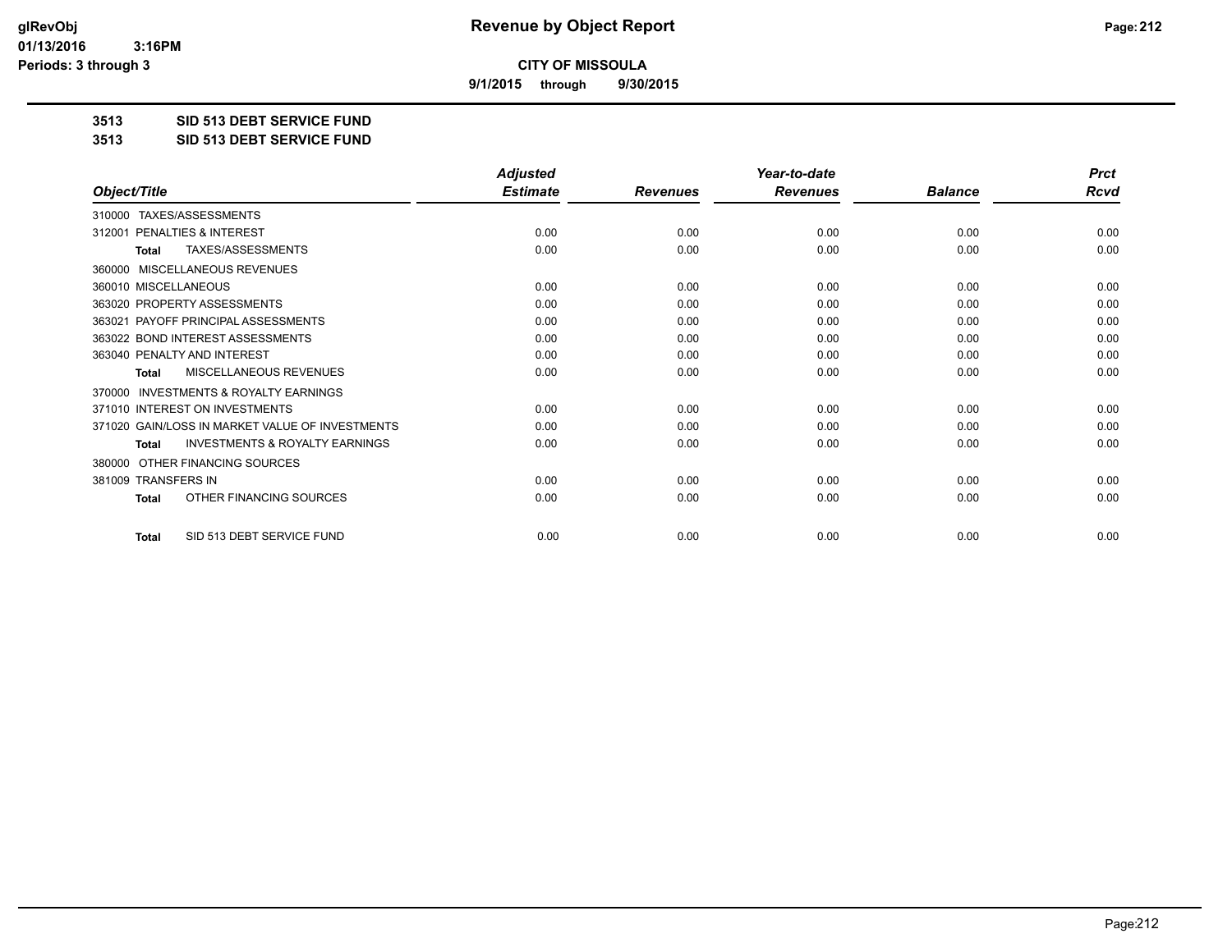**9/1/2015 through 9/30/2015**

**3513 SID 513 DEBT SERVICE FUND**

**3513 SID 513 DEBT SERVICE FUND**

|                                                           | <b>Adjusted</b> |                 | Year-to-date    |                | <b>Prct</b> |
|-----------------------------------------------------------|-----------------|-----------------|-----------------|----------------|-------------|
| Object/Title                                              | <b>Estimate</b> | <b>Revenues</b> | <b>Revenues</b> | <b>Balance</b> | <b>Rcvd</b> |
| 310000 TAXES/ASSESSMENTS                                  |                 |                 |                 |                |             |
| 312001 PENALTIES & INTEREST                               | 0.00            | 0.00            | 0.00            | 0.00           | 0.00        |
| TAXES/ASSESSMENTS<br><b>Total</b>                         | 0.00            | 0.00            | 0.00            | 0.00           | 0.00        |
| <b>MISCELLANEOUS REVENUES</b><br>360000                   |                 |                 |                 |                |             |
| 360010 MISCELLANEOUS                                      | 0.00            | 0.00            | 0.00            | 0.00           | 0.00        |
| 363020 PROPERTY ASSESSMENTS                               | 0.00            | 0.00            | 0.00            | 0.00           | 0.00        |
| 363021 PAYOFF PRINCIPAL ASSESSMENTS                       | 0.00            | 0.00            | 0.00            | 0.00           | 0.00        |
| 363022 BOND INTEREST ASSESSMENTS                          | 0.00            | 0.00            | 0.00            | 0.00           | 0.00        |
| 363040 PENALTY AND INTEREST                               | 0.00            | 0.00            | 0.00            | 0.00           | 0.00        |
| <b>MISCELLANEOUS REVENUES</b><br><b>Total</b>             | 0.00            | 0.00            | 0.00            | 0.00           | 0.00        |
| <b>INVESTMENTS &amp; ROYALTY EARNINGS</b><br>370000       |                 |                 |                 |                |             |
| 371010 INTEREST ON INVESTMENTS                            | 0.00            | 0.00            | 0.00            | 0.00           | 0.00        |
| 371020 GAIN/LOSS IN MARKET VALUE OF INVESTMENTS           | 0.00            | 0.00            | 0.00            | 0.00           | 0.00        |
| <b>INVESTMENTS &amp; ROYALTY EARNINGS</b><br><b>Total</b> | 0.00            | 0.00            | 0.00            | 0.00           | 0.00        |
| OTHER FINANCING SOURCES<br>380000                         |                 |                 |                 |                |             |
| 381009 TRANSFERS IN                                       | 0.00            | 0.00            | 0.00            | 0.00           | 0.00        |
| OTHER FINANCING SOURCES<br><b>Total</b>                   | 0.00            | 0.00            | 0.00            | 0.00           | 0.00        |
| SID 513 DEBT SERVICE FUND<br><b>Total</b>                 | 0.00            | 0.00            | 0.00            | 0.00           | 0.00        |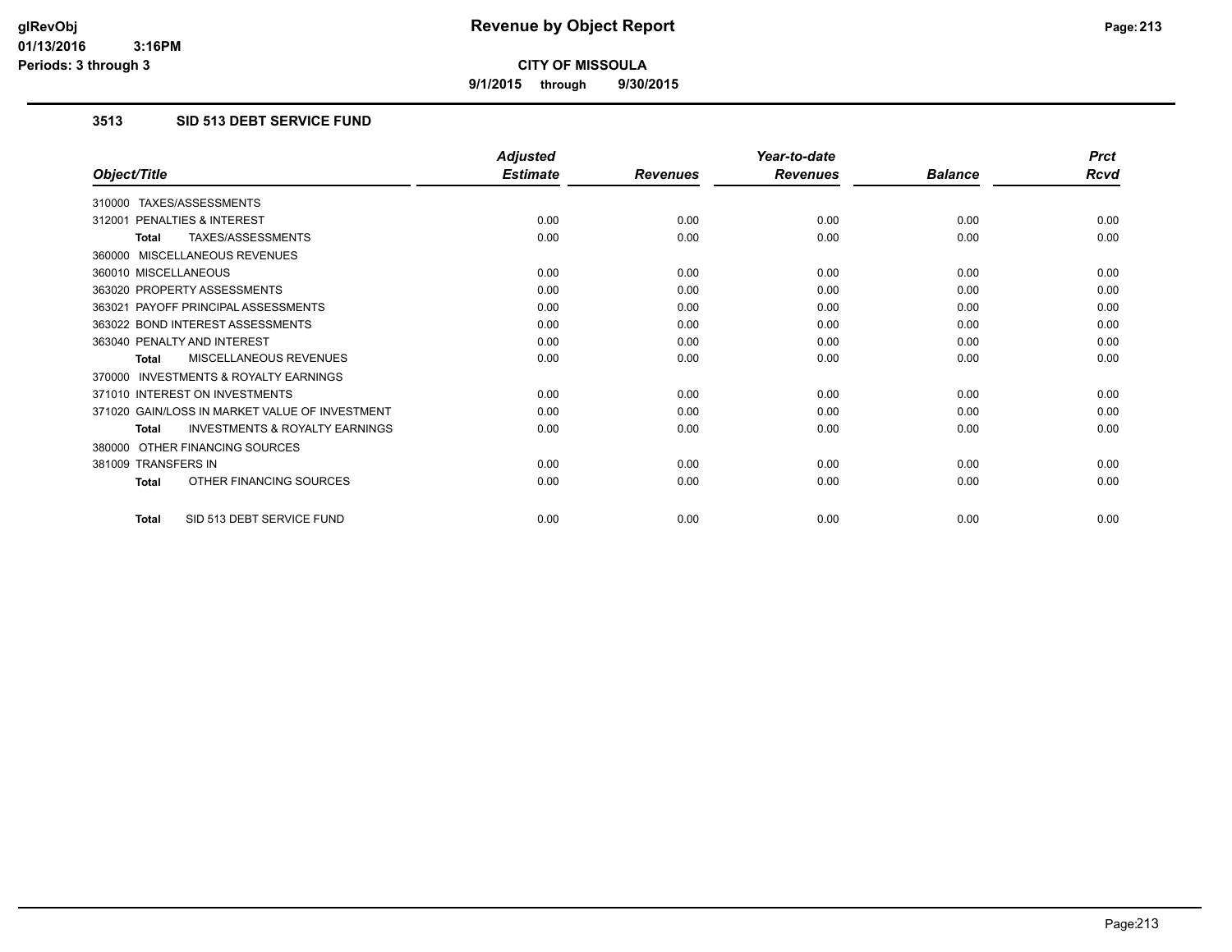**9/1/2015 through 9/30/2015**

# **3513 SID 513 DEBT SERVICE FUND**

|                                                           | <b>Adjusted</b> |                 | Year-to-date    |                | <b>Prct</b> |
|-----------------------------------------------------------|-----------------|-----------------|-----------------|----------------|-------------|
| Object/Title                                              | <b>Estimate</b> | <b>Revenues</b> | <b>Revenues</b> | <b>Balance</b> | <b>Rcvd</b> |
| 310000 TAXES/ASSESSMENTS                                  |                 |                 |                 |                |             |
| 312001 PENALTIES & INTEREST                               | 0.00            | 0.00            | 0.00            | 0.00           | 0.00        |
| TAXES/ASSESSMENTS<br><b>Total</b>                         | 0.00            | 0.00            | 0.00            | 0.00           | 0.00        |
| 360000 MISCELLANEOUS REVENUES                             |                 |                 |                 |                |             |
| 360010 MISCELLANEOUS                                      | 0.00            | 0.00            | 0.00            | 0.00           | 0.00        |
| 363020 PROPERTY ASSESSMENTS                               | 0.00            | 0.00            | 0.00            | 0.00           | 0.00        |
| 363021 PAYOFF PRINCIPAL ASSESSMENTS                       | 0.00            | 0.00            | 0.00            | 0.00           | 0.00        |
| 363022 BOND INTEREST ASSESSMENTS                          | 0.00            | 0.00            | 0.00            | 0.00           | 0.00        |
| 363040 PENALTY AND INTEREST                               | 0.00            | 0.00            | 0.00            | 0.00           | 0.00        |
| MISCELLANEOUS REVENUES<br><b>Total</b>                    | 0.00            | 0.00            | 0.00            | 0.00           | 0.00        |
| <b>INVESTMENTS &amp; ROYALTY EARNINGS</b><br>370000       |                 |                 |                 |                |             |
| 371010 INTEREST ON INVESTMENTS                            | 0.00            | 0.00            | 0.00            | 0.00           | 0.00        |
| 371020 GAIN/LOSS IN MARKET VALUE OF INVESTMENT            | 0.00            | 0.00            | 0.00            | 0.00           | 0.00        |
| <b>INVESTMENTS &amp; ROYALTY EARNINGS</b><br><b>Total</b> | 0.00            | 0.00            | 0.00            | 0.00           | 0.00        |
| 380000 OTHER FINANCING SOURCES                            |                 |                 |                 |                |             |
| 381009 TRANSFERS IN                                       | 0.00            | 0.00            | 0.00            | 0.00           | 0.00        |
| OTHER FINANCING SOURCES<br><b>Total</b>                   | 0.00            | 0.00            | 0.00            | 0.00           | 0.00        |
| SID 513 DEBT SERVICE FUND<br>Total                        | 0.00            | 0.00            | 0.00            | 0.00           | 0.00        |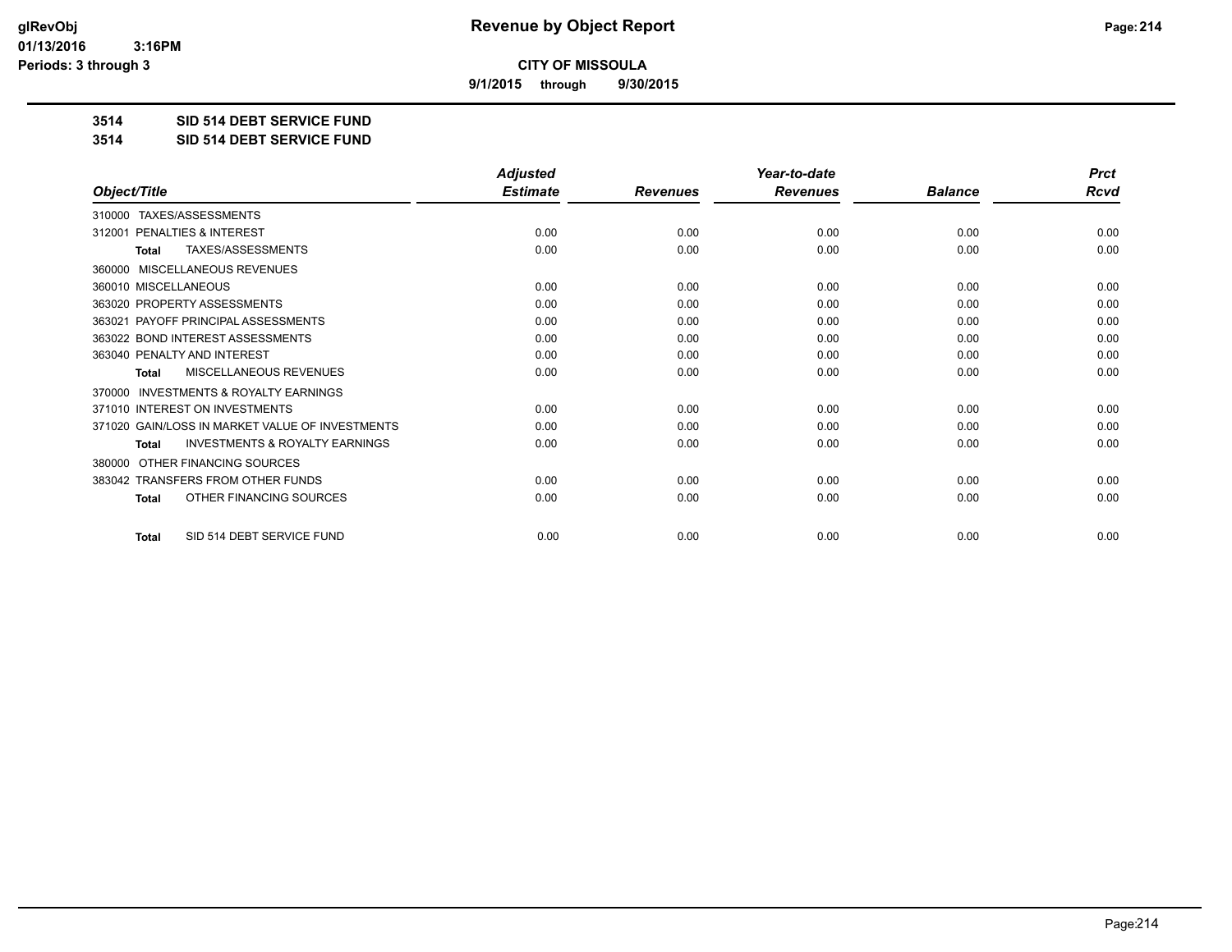**9/1/2015 through 9/30/2015**

**3514 SID 514 DEBT SERVICE FUND**

**3514 SID 514 DEBT SERVICE FUND**

|                                                           | <b>Adjusted</b> |                 | Year-to-date    |                | <b>Prct</b> |
|-----------------------------------------------------------|-----------------|-----------------|-----------------|----------------|-------------|
| Object/Title                                              | <b>Estimate</b> | <b>Revenues</b> | <b>Revenues</b> | <b>Balance</b> | <b>Rcvd</b> |
| TAXES/ASSESSMENTS<br>310000                               |                 |                 |                 |                |             |
| 312001 PENALTIES & INTEREST                               | 0.00            | 0.00            | 0.00            | 0.00           | 0.00        |
| TAXES/ASSESSMENTS<br><b>Total</b>                         | 0.00            | 0.00            | 0.00            | 0.00           | 0.00        |
| MISCELLANEOUS REVENUES<br>360000                          |                 |                 |                 |                |             |
| 360010 MISCELLANEOUS                                      | 0.00            | 0.00            | 0.00            | 0.00           | 0.00        |
| 363020 PROPERTY ASSESSMENTS                               | 0.00            | 0.00            | 0.00            | 0.00           | 0.00        |
| 363021 PAYOFF PRINCIPAL ASSESSMENTS                       | 0.00            | 0.00            | 0.00            | 0.00           | 0.00        |
| 363022 BOND INTEREST ASSESSMENTS                          | 0.00            | 0.00            | 0.00            | 0.00           | 0.00        |
| 363040 PENALTY AND INTEREST                               | 0.00            | 0.00            | 0.00            | 0.00           | 0.00        |
| <b>MISCELLANEOUS REVENUES</b><br><b>Total</b>             | 0.00            | 0.00            | 0.00            | 0.00           | 0.00        |
| <b>INVESTMENTS &amp; ROYALTY EARNINGS</b><br>370000       |                 |                 |                 |                |             |
| 371010 INTEREST ON INVESTMENTS                            | 0.00            | 0.00            | 0.00            | 0.00           | 0.00        |
| 371020 GAIN/LOSS IN MARKET VALUE OF INVESTMENTS           | 0.00            | 0.00            | 0.00            | 0.00           | 0.00        |
| <b>INVESTMENTS &amp; ROYALTY EARNINGS</b><br><b>Total</b> | 0.00            | 0.00            | 0.00            | 0.00           | 0.00        |
| OTHER FINANCING SOURCES<br>380000                         |                 |                 |                 |                |             |
| 383042 TRANSFERS FROM OTHER FUNDS                         | 0.00            | 0.00            | 0.00            | 0.00           | 0.00        |
| OTHER FINANCING SOURCES<br>Total                          | 0.00            | 0.00            | 0.00            | 0.00           | 0.00        |
| SID 514 DEBT SERVICE FUND<br><b>Total</b>                 | 0.00            | 0.00            | 0.00            | 0.00           | 0.00        |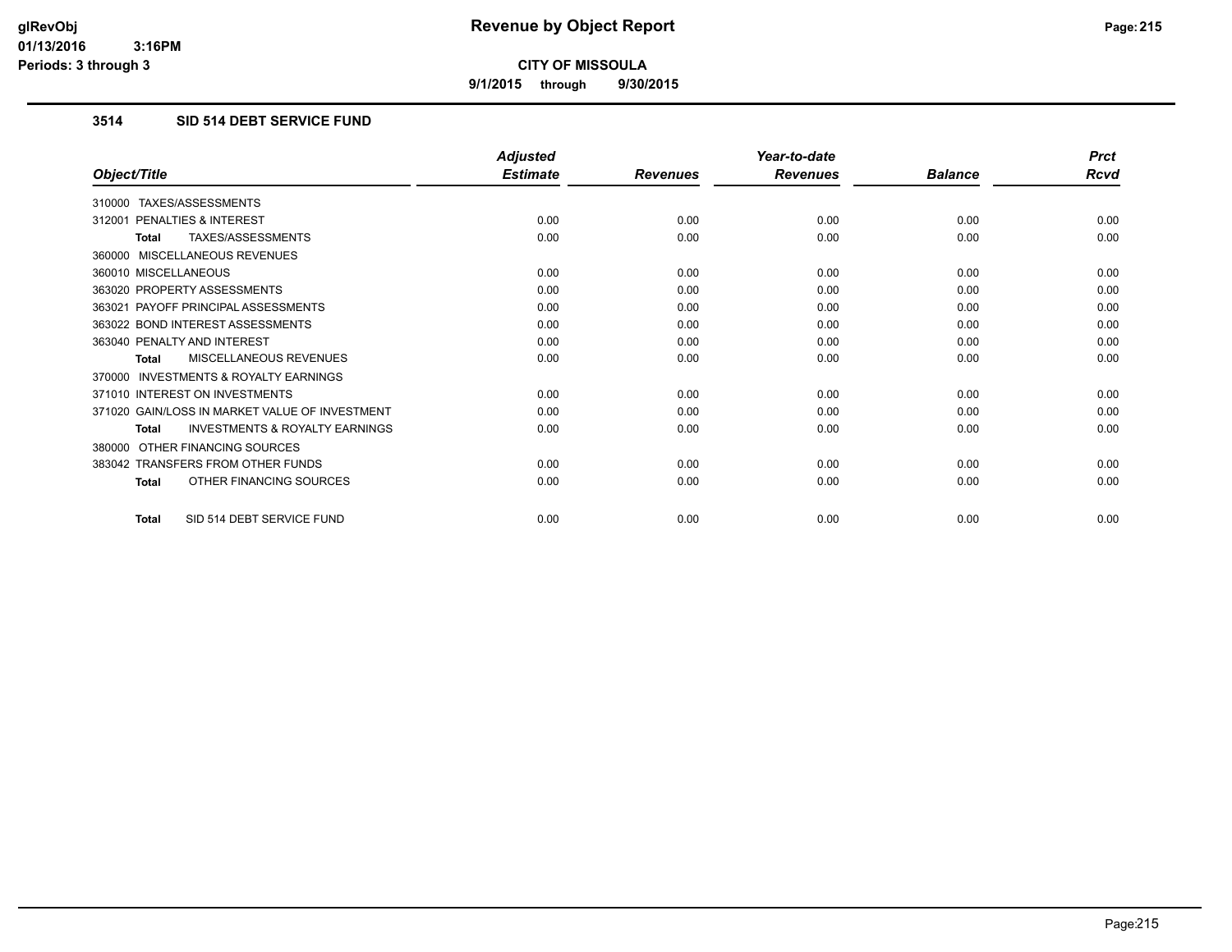**9/1/2015 through 9/30/2015**

## **3514 SID 514 DEBT SERVICE FUND**

|                                                           | <b>Adjusted</b> |                 | Year-to-date    |                | <b>Prct</b> |
|-----------------------------------------------------------|-----------------|-----------------|-----------------|----------------|-------------|
| Object/Title                                              | <b>Estimate</b> | <b>Revenues</b> | <b>Revenues</b> | <b>Balance</b> | <b>Rcvd</b> |
| 310000 TAXES/ASSESSMENTS                                  |                 |                 |                 |                |             |
| 312001 PENALTIES & INTEREST                               | 0.00            | 0.00            | 0.00            | 0.00           | 0.00        |
| <b>TAXES/ASSESSMENTS</b><br><b>Total</b>                  | 0.00            | 0.00            | 0.00            | 0.00           | 0.00        |
| MISCELLANEOUS REVENUES<br>360000                          |                 |                 |                 |                |             |
| 360010 MISCELLANEOUS                                      | 0.00            | 0.00            | 0.00            | 0.00           | 0.00        |
| 363020 PROPERTY ASSESSMENTS                               | 0.00            | 0.00            | 0.00            | 0.00           | 0.00        |
| 363021 PAYOFF PRINCIPAL ASSESSMENTS                       | 0.00            | 0.00            | 0.00            | 0.00           | 0.00        |
| 363022 BOND INTEREST ASSESSMENTS                          | 0.00            | 0.00            | 0.00            | 0.00           | 0.00        |
| 363040 PENALTY AND INTEREST                               | 0.00            | 0.00            | 0.00            | 0.00           | 0.00        |
| MISCELLANEOUS REVENUES<br><b>Total</b>                    | 0.00            | 0.00            | 0.00            | 0.00           | 0.00        |
| <b>INVESTMENTS &amp; ROYALTY EARNINGS</b><br>370000       |                 |                 |                 |                |             |
| 371010 INTEREST ON INVESTMENTS                            | 0.00            | 0.00            | 0.00            | 0.00           | 0.00        |
| 371020 GAIN/LOSS IN MARKET VALUE OF INVESTMENT            | 0.00            | 0.00            | 0.00            | 0.00           | 0.00        |
| <b>INVESTMENTS &amp; ROYALTY EARNINGS</b><br><b>Total</b> | 0.00            | 0.00            | 0.00            | 0.00           | 0.00        |
| OTHER FINANCING SOURCES<br>380000                         |                 |                 |                 |                |             |
| 383042 TRANSFERS FROM OTHER FUNDS                         | 0.00            | 0.00            | 0.00            | 0.00           | 0.00        |
| OTHER FINANCING SOURCES<br><b>Total</b>                   | 0.00            | 0.00            | 0.00            | 0.00           | 0.00        |
| SID 514 DEBT SERVICE FUND<br><b>Total</b>                 | 0.00            | 0.00            | 0.00            | 0.00           | 0.00        |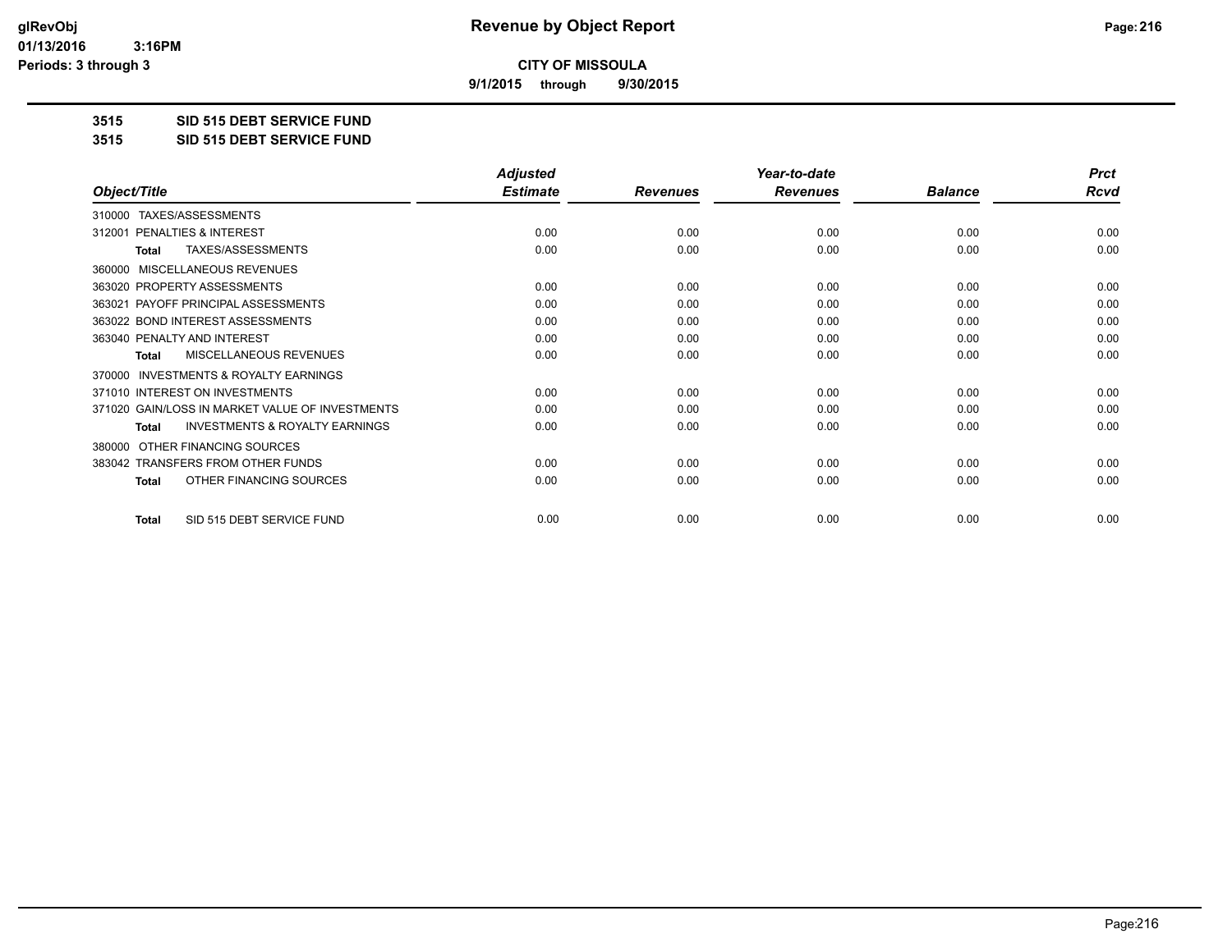**9/1/2015 through 9/30/2015**

**3515 SID 515 DEBT SERVICE FUND**

**3515 SID 515 DEBT SERVICE FUND**

|                                                           | <b>Adjusted</b> |                 | Year-to-date    |                | <b>Prct</b> |
|-----------------------------------------------------------|-----------------|-----------------|-----------------|----------------|-------------|
| Object/Title                                              | <b>Estimate</b> | <b>Revenues</b> | <b>Revenues</b> | <b>Balance</b> | <b>Rcvd</b> |
| TAXES/ASSESSMENTS<br>310000                               |                 |                 |                 |                |             |
| PENALTIES & INTEREST<br>312001                            | 0.00            | 0.00            | 0.00            | 0.00           | 0.00        |
| TAXES/ASSESSMENTS<br>Total                                | 0.00            | 0.00            | 0.00            | 0.00           | 0.00        |
| MISCELLANEOUS REVENUES<br>360000                          |                 |                 |                 |                |             |
| 363020 PROPERTY ASSESSMENTS                               | 0.00            | 0.00            | 0.00            | 0.00           | 0.00        |
| 363021 PAYOFF PRINCIPAL ASSESSMENTS                       | 0.00            | 0.00            | 0.00            | 0.00           | 0.00        |
| 363022 BOND INTEREST ASSESSMENTS                          | 0.00            | 0.00            | 0.00            | 0.00           | 0.00        |
| 363040 PENALTY AND INTEREST                               | 0.00            | 0.00            | 0.00            | 0.00           | 0.00        |
| MISCELLANEOUS REVENUES<br><b>Total</b>                    | 0.00            | 0.00            | 0.00            | 0.00           | 0.00        |
| <b>INVESTMENTS &amp; ROYALTY EARNINGS</b><br>370000       |                 |                 |                 |                |             |
| 371010 INTEREST ON INVESTMENTS                            | 0.00            | 0.00            | 0.00            | 0.00           | 0.00        |
| 371020 GAIN/LOSS IN MARKET VALUE OF INVESTMENTS           | 0.00            | 0.00            | 0.00            | 0.00           | 0.00        |
| <b>INVESTMENTS &amp; ROYALTY EARNINGS</b><br><b>Total</b> | 0.00            | 0.00            | 0.00            | 0.00           | 0.00        |
| OTHER FINANCING SOURCES<br>380000                         |                 |                 |                 |                |             |
| 383042 TRANSFERS FROM OTHER FUNDS                         | 0.00            | 0.00            | 0.00            | 0.00           | 0.00        |
| OTHER FINANCING SOURCES<br><b>Total</b>                   | 0.00            | 0.00            | 0.00            | 0.00           | 0.00        |
|                                                           |                 |                 |                 |                |             |
| SID 515 DEBT SERVICE FUND<br><b>Total</b>                 | 0.00            | 0.00            | 0.00            | 0.00           | 0.00        |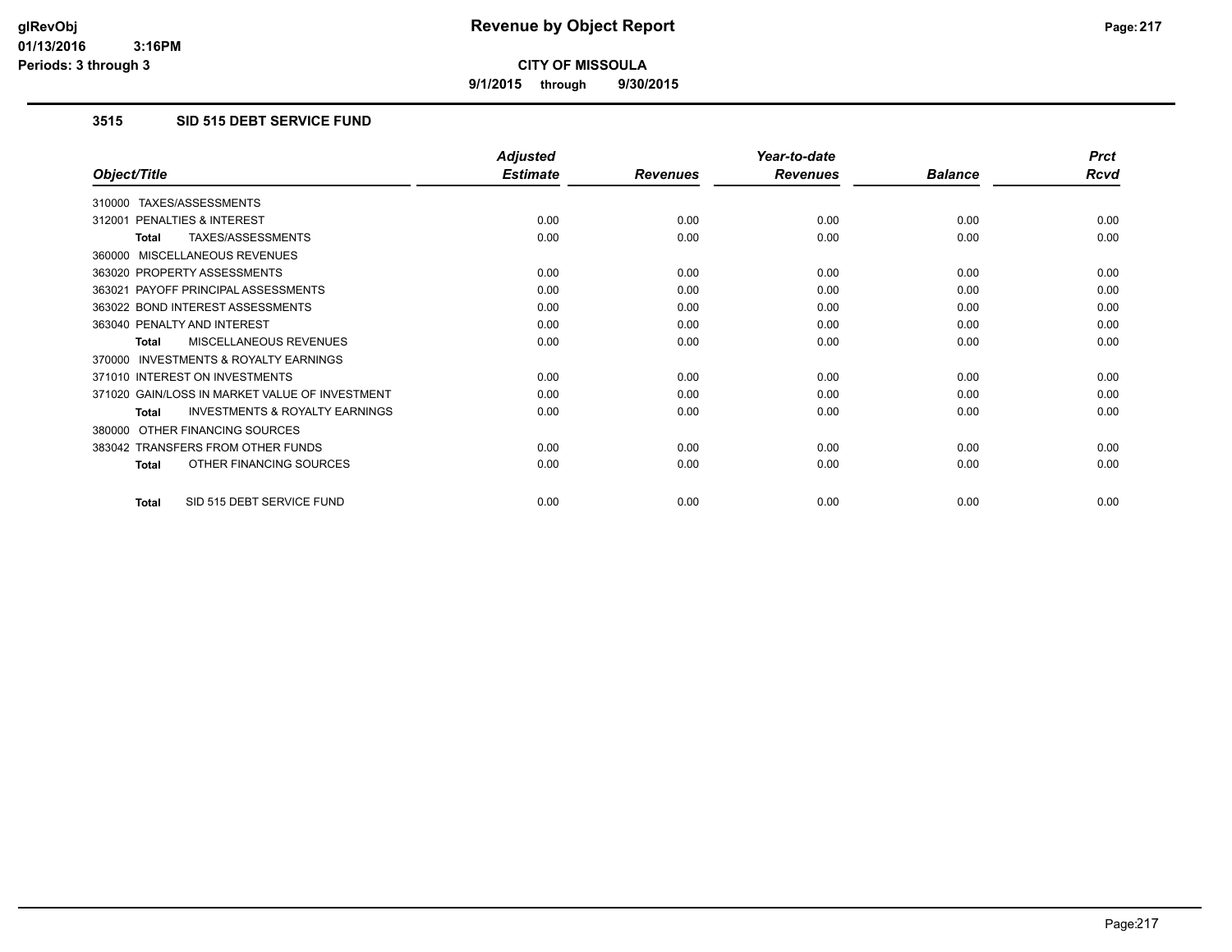**9/1/2015 through 9/30/2015**

## **3515 SID 515 DEBT SERVICE FUND**

|                                                     | <b>Adjusted</b> |                 | Year-to-date    |                | <b>Prct</b> |
|-----------------------------------------------------|-----------------|-----------------|-----------------|----------------|-------------|
| Object/Title                                        | <b>Estimate</b> | <b>Revenues</b> | <b>Revenues</b> | <b>Balance</b> | <b>Rcvd</b> |
| TAXES/ASSESSMENTS<br>310000                         |                 |                 |                 |                |             |
| <b>PENALTIES &amp; INTEREST</b><br>312001           | 0.00            | 0.00            | 0.00            | 0.00           | 0.00        |
| TAXES/ASSESSMENTS<br>Total                          | 0.00            | 0.00            | 0.00            | 0.00           | 0.00        |
| MISCELLANEOUS REVENUES<br>360000                    |                 |                 |                 |                |             |
| 363020 PROPERTY ASSESSMENTS                         | 0.00            | 0.00            | 0.00            | 0.00           | 0.00        |
| 363021 PAYOFF PRINCIPAL ASSESSMENTS                 | 0.00            | 0.00            | 0.00            | 0.00           | 0.00        |
| 363022 BOND INTEREST ASSESSMENTS                    | 0.00            | 0.00            | 0.00            | 0.00           | 0.00        |
| 363040 PENALTY AND INTEREST                         | 0.00            | 0.00            | 0.00            | 0.00           | 0.00        |
| <b>MISCELLANEOUS REVENUES</b><br><b>Total</b>       | 0.00            | 0.00            | 0.00            | 0.00           | 0.00        |
| <b>INVESTMENTS &amp; ROYALTY EARNINGS</b><br>370000 |                 |                 |                 |                |             |
| 371010 INTEREST ON INVESTMENTS                      | 0.00            | 0.00            | 0.00            | 0.00           | 0.00        |
| 371020 GAIN/LOSS IN MARKET VALUE OF INVESTMENT      | 0.00            | 0.00            | 0.00            | 0.00           | 0.00        |
| <b>INVESTMENTS &amp; ROYALTY EARNINGS</b><br>Total  | 0.00            | 0.00            | 0.00            | 0.00           | 0.00        |
| OTHER FINANCING SOURCES<br>380000                   |                 |                 |                 |                |             |
| 383042 TRANSFERS FROM OTHER FUNDS                   | 0.00            | 0.00            | 0.00            | 0.00           | 0.00        |
| OTHER FINANCING SOURCES<br><b>Total</b>             | 0.00            | 0.00            | 0.00            | 0.00           | 0.00        |
| SID 515 DEBT SERVICE FUND<br>Total                  | 0.00            | 0.00            | 0.00            | 0.00           | 0.00        |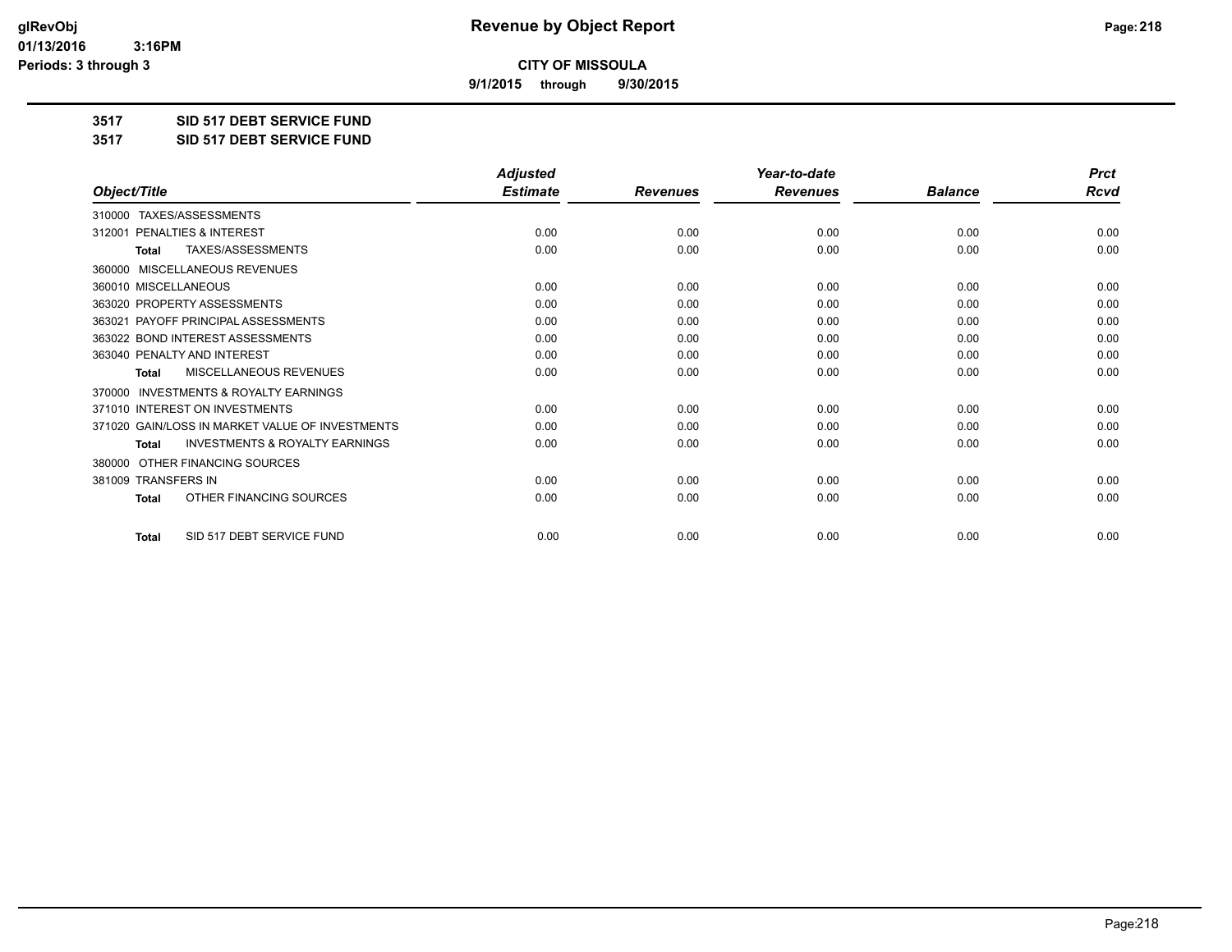**9/1/2015 through 9/30/2015**

**3517 SID 517 DEBT SERVICE FUND**

**3517 SID 517 DEBT SERVICE FUND**

|                                                           | <b>Adjusted</b> |                 | Year-to-date    |                | <b>Prct</b> |
|-----------------------------------------------------------|-----------------|-----------------|-----------------|----------------|-------------|
| Object/Title                                              | <b>Estimate</b> | <b>Revenues</b> | <b>Revenues</b> | <b>Balance</b> | Rcvd        |
| TAXES/ASSESSMENTS<br>310000                               |                 |                 |                 |                |             |
| PENALTIES & INTEREST<br>312001                            | 0.00            | 0.00            | 0.00            | 0.00           | 0.00        |
| TAXES/ASSESSMENTS<br><b>Total</b>                         | 0.00            | 0.00            | 0.00            | 0.00           | 0.00        |
| MISCELLANEOUS REVENUES<br>360000                          |                 |                 |                 |                |             |
| 360010 MISCELLANEOUS                                      | 0.00            | 0.00            | 0.00            | 0.00           | 0.00        |
| 363020 PROPERTY ASSESSMENTS                               | 0.00            | 0.00            | 0.00            | 0.00           | 0.00        |
| 363021 PAYOFF PRINCIPAL ASSESSMENTS                       | 0.00            | 0.00            | 0.00            | 0.00           | 0.00        |
| 363022 BOND INTEREST ASSESSMENTS                          | 0.00            | 0.00            | 0.00            | 0.00           | 0.00        |
| 363040 PENALTY AND INTEREST                               | 0.00            | 0.00            | 0.00            | 0.00           | 0.00        |
| MISCELLANEOUS REVENUES<br>Total                           | 0.00            | 0.00            | 0.00            | 0.00           | 0.00        |
| <b>INVESTMENTS &amp; ROYALTY EARNINGS</b><br>370000       |                 |                 |                 |                |             |
| 371010 INTEREST ON INVESTMENTS                            | 0.00            | 0.00            | 0.00            | 0.00           | 0.00        |
| 371020 GAIN/LOSS IN MARKET VALUE OF INVESTMENTS           | 0.00            | 0.00            | 0.00            | 0.00           | 0.00        |
| <b>INVESTMENTS &amp; ROYALTY EARNINGS</b><br><b>Total</b> | 0.00            | 0.00            | 0.00            | 0.00           | 0.00        |
| OTHER FINANCING SOURCES<br>380000                         |                 |                 |                 |                |             |
| 381009 TRANSFERS IN                                       | 0.00            | 0.00            | 0.00            | 0.00           | 0.00        |
| OTHER FINANCING SOURCES<br><b>Total</b>                   | 0.00            | 0.00            | 0.00            | 0.00           | 0.00        |
| SID 517 DEBT SERVICE FUND<br><b>Total</b>                 | 0.00            | 0.00            | 0.00            | 0.00           | 0.00        |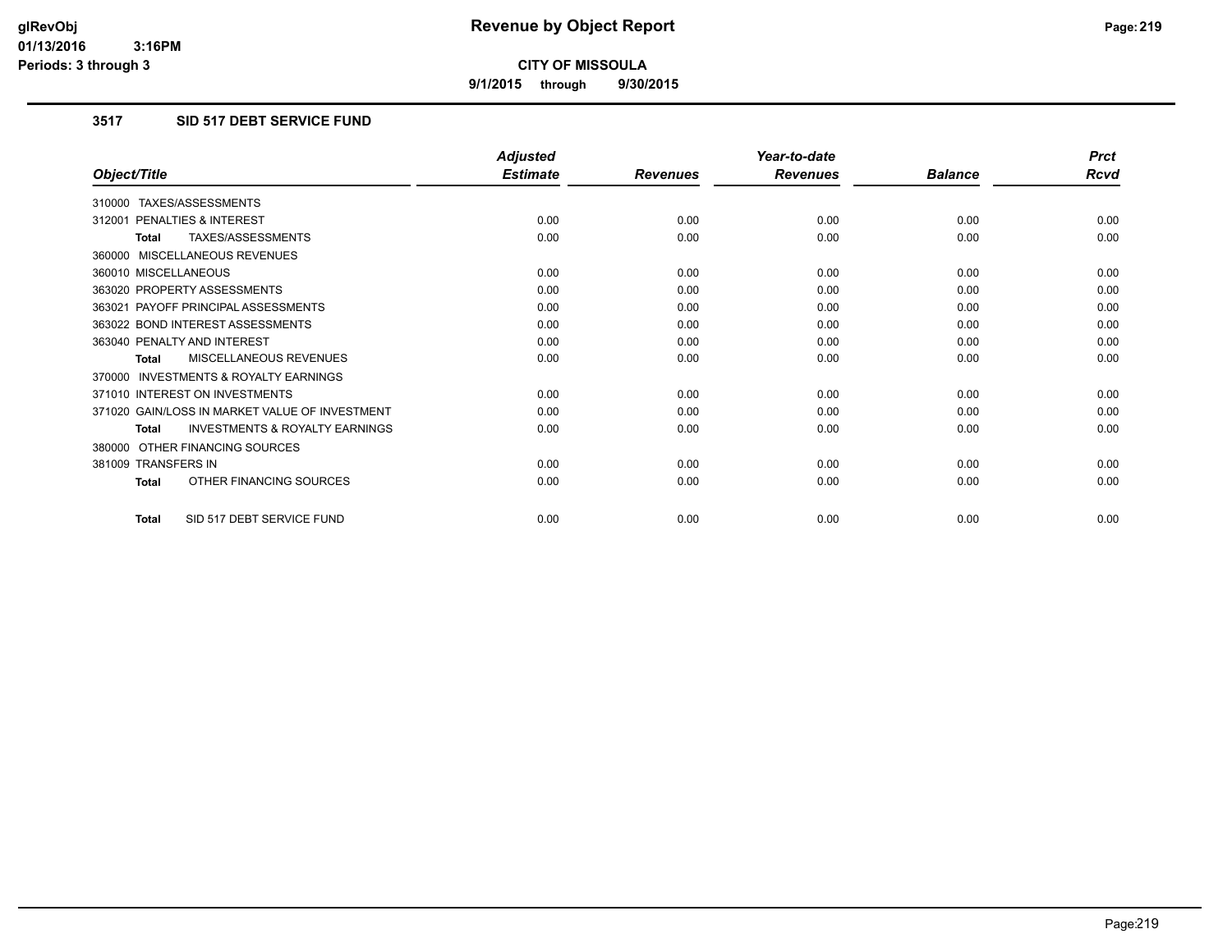**9/1/2015 through 9/30/2015**

## **3517 SID 517 DEBT SERVICE FUND**

|                                                           | <b>Adjusted</b> |                 | Year-to-date    |                | <b>Prct</b> |
|-----------------------------------------------------------|-----------------|-----------------|-----------------|----------------|-------------|
| Object/Title                                              | <b>Estimate</b> | <b>Revenues</b> | <b>Revenues</b> | <b>Balance</b> | <b>Rcvd</b> |
| 310000 TAXES/ASSESSMENTS                                  |                 |                 |                 |                |             |
| 312001 PENALTIES & INTEREST                               | 0.00            | 0.00            | 0.00            | 0.00           | 0.00        |
| TAXES/ASSESSMENTS<br><b>Total</b>                         | 0.00            | 0.00            | 0.00            | 0.00           | 0.00        |
| 360000 MISCELLANEOUS REVENUES                             |                 |                 |                 |                |             |
| 360010 MISCELLANEOUS                                      | 0.00            | 0.00            | 0.00            | 0.00           | 0.00        |
| 363020 PROPERTY ASSESSMENTS                               | 0.00            | 0.00            | 0.00            | 0.00           | 0.00        |
| 363021 PAYOFF PRINCIPAL ASSESSMENTS                       | 0.00            | 0.00            | 0.00            | 0.00           | 0.00        |
| 363022 BOND INTEREST ASSESSMENTS                          | 0.00            | 0.00            | 0.00            | 0.00           | 0.00        |
| 363040 PENALTY AND INTEREST                               | 0.00            | 0.00            | 0.00            | 0.00           | 0.00        |
| MISCELLANEOUS REVENUES<br><b>Total</b>                    | 0.00            | 0.00            | 0.00            | 0.00           | 0.00        |
| <b>INVESTMENTS &amp; ROYALTY EARNINGS</b><br>370000       |                 |                 |                 |                |             |
| 371010 INTEREST ON INVESTMENTS                            | 0.00            | 0.00            | 0.00            | 0.00           | 0.00        |
| 371020 GAIN/LOSS IN MARKET VALUE OF INVESTMENT            | 0.00            | 0.00            | 0.00            | 0.00           | 0.00        |
| <b>INVESTMENTS &amp; ROYALTY EARNINGS</b><br><b>Total</b> | 0.00            | 0.00            | 0.00            | 0.00           | 0.00        |
| 380000 OTHER FINANCING SOURCES                            |                 |                 |                 |                |             |
| 381009 TRANSFERS IN                                       | 0.00            | 0.00            | 0.00            | 0.00           | 0.00        |
| OTHER FINANCING SOURCES<br><b>Total</b>                   | 0.00            | 0.00            | 0.00            | 0.00           | 0.00        |
| SID 517 DEBT SERVICE FUND<br><b>Total</b>                 | 0.00            | 0.00            | 0.00            | 0.00           | 0.00        |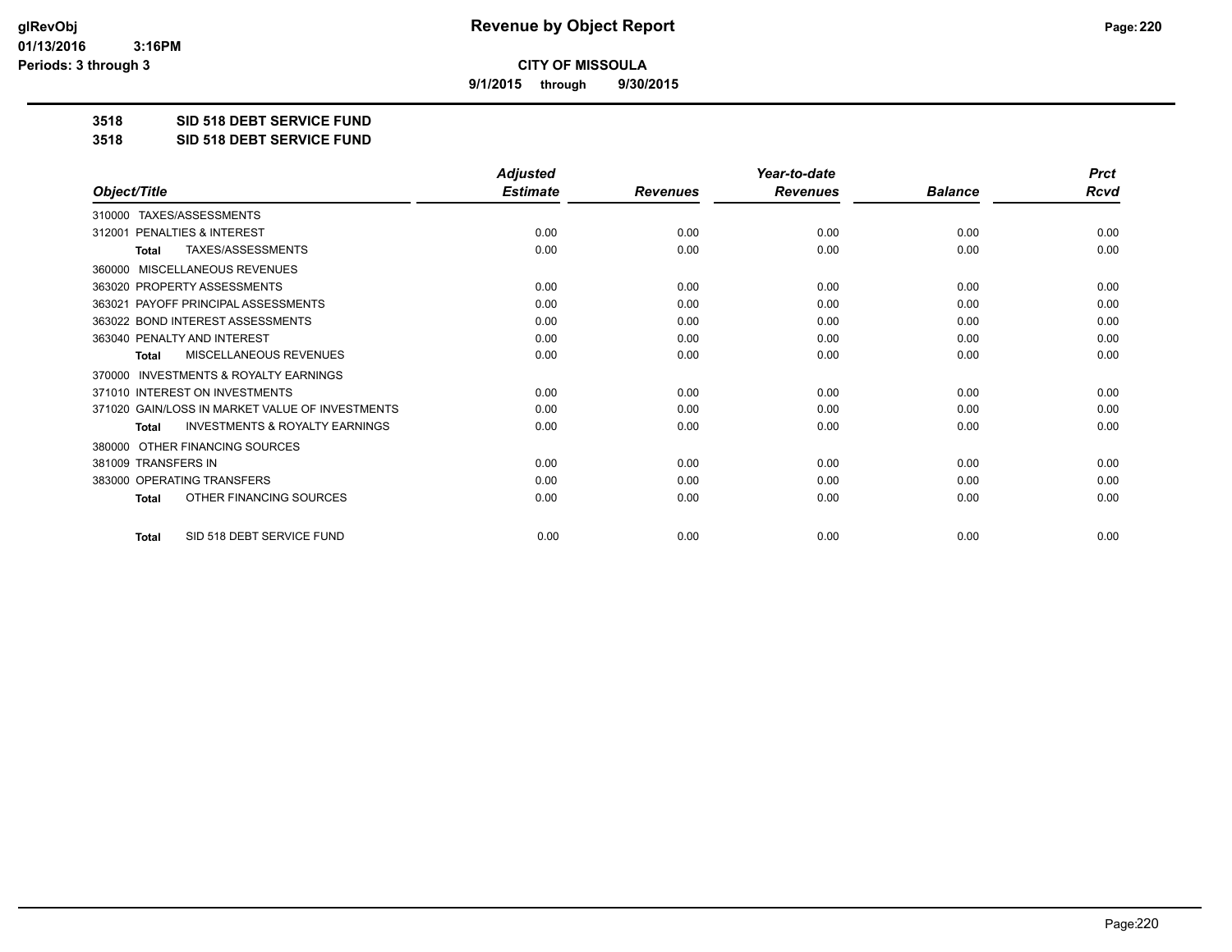**9/1/2015 through 9/30/2015**

**3518 SID 518 DEBT SERVICE FUND**

**3518 SID 518 DEBT SERVICE FUND**

|                                                           | <b>Adjusted</b> |                 | Year-to-date    |                | <b>Prct</b> |
|-----------------------------------------------------------|-----------------|-----------------|-----------------|----------------|-------------|
| Object/Title                                              | <b>Estimate</b> | <b>Revenues</b> | <b>Revenues</b> | <b>Balance</b> | <b>Rcvd</b> |
| 310000 TAXES/ASSESSMENTS                                  |                 |                 |                 |                |             |
| PENALTIES & INTEREST<br>312001                            | 0.00            | 0.00            | 0.00            | 0.00           | 0.00        |
| TAXES/ASSESSMENTS<br><b>Total</b>                         | 0.00            | 0.00            | 0.00            | 0.00           | 0.00        |
| MISCELLANEOUS REVENUES<br>360000                          |                 |                 |                 |                |             |
| 363020 PROPERTY ASSESSMENTS                               | 0.00            | 0.00            | 0.00            | 0.00           | 0.00        |
| 363021 PAYOFF PRINCIPAL ASSESSMENTS                       | 0.00            | 0.00            | 0.00            | 0.00           | 0.00        |
| 363022 BOND INTEREST ASSESSMENTS                          | 0.00            | 0.00            | 0.00            | 0.00           | 0.00        |
| 363040 PENALTY AND INTEREST                               | 0.00            | 0.00            | 0.00            | 0.00           | 0.00        |
| MISCELLANEOUS REVENUES<br><b>Total</b>                    | 0.00            | 0.00            | 0.00            | 0.00           | 0.00        |
| <b>INVESTMENTS &amp; ROYALTY EARNINGS</b><br>370000       |                 |                 |                 |                |             |
| 371010 INTEREST ON INVESTMENTS                            | 0.00            | 0.00            | 0.00            | 0.00           | 0.00        |
| 371020 GAIN/LOSS IN MARKET VALUE OF INVESTMENTS           | 0.00            | 0.00            | 0.00            | 0.00           | 0.00        |
| <b>INVESTMENTS &amp; ROYALTY EARNINGS</b><br><b>Total</b> | 0.00            | 0.00            | 0.00            | 0.00           | 0.00        |
| OTHER FINANCING SOURCES<br>380000                         |                 |                 |                 |                |             |
| 381009 TRANSFERS IN                                       | 0.00            | 0.00            | 0.00            | 0.00           | 0.00        |
| 383000 OPERATING TRANSFERS                                | 0.00            | 0.00            | 0.00            | 0.00           | 0.00        |
| OTHER FINANCING SOURCES<br><b>Total</b>                   | 0.00            | 0.00            | 0.00            | 0.00           | 0.00        |
| SID 518 DEBT SERVICE FUND<br><b>Total</b>                 | 0.00            | 0.00            | 0.00            | 0.00           | 0.00        |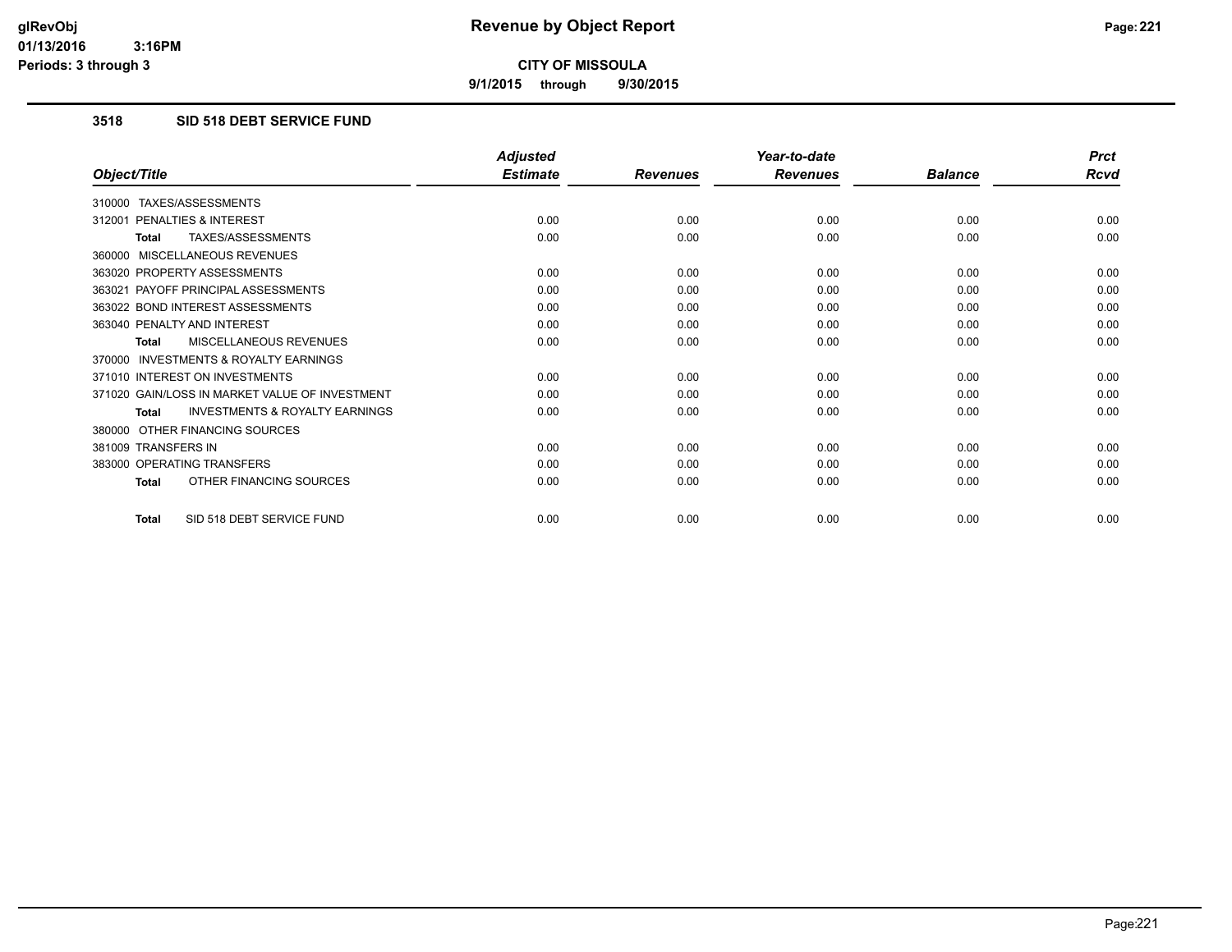**9/1/2015 through 9/30/2015**

## **3518 SID 518 DEBT SERVICE FUND**

|                                                           | <b>Adjusted</b> |                 | Year-to-date    |                | <b>Prct</b> |
|-----------------------------------------------------------|-----------------|-----------------|-----------------|----------------|-------------|
| Object/Title                                              | <b>Estimate</b> | <b>Revenues</b> | <b>Revenues</b> | <b>Balance</b> | <b>Rcvd</b> |
| 310000 TAXES/ASSESSMENTS                                  |                 |                 |                 |                |             |
| PENALTIES & INTEREST<br>312001                            | 0.00            | 0.00            | 0.00            | 0.00           | 0.00        |
| TAXES/ASSESSMENTS<br><b>Total</b>                         | 0.00            | 0.00            | 0.00            | 0.00           | 0.00        |
| 360000 MISCELLANEOUS REVENUES                             |                 |                 |                 |                |             |
| 363020 PROPERTY ASSESSMENTS                               | 0.00            | 0.00            | 0.00            | 0.00           | 0.00        |
| 363021 PAYOFF PRINCIPAL ASSESSMENTS                       | 0.00            | 0.00            | 0.00            | 0.00           | 0.00        |
| 363022 BOND INTEREST ASSESSMENTS                          | 0.00            | 0.00            | 0.00            | 0.00           | 0.00        |
| 363040 PENALTY AND INTEREST                               | 0.00            | 0.00            | 0.00            | 0.00           | 0.00        |
| MISCELLANEOUS REVENUES<br><b>Total</b>                    | 0.00            | 0.00            | 0.00            | 0.00           | 0.00        |
| <b>INVESTMENTS &amp; ROYALTY EARNINGS</b><br>370000       |                 |                 |                 |                |             |
| 371010 INTEREST ON INVESTMENTS                            | 0.00            | 0.00            | 0.00            | 0.00           | 0.00        |
| 371020 GAIN/LOSS IN MARKET VALUE OF INVESTMENT            | 0.00            | 0.00            | 0.00            | 0.00           | 0.00        |
| <b>INVESTMENTS &amp; ROYALTY EARNINGS</b><br><b>Total</b> | 0.00            | 0.00            | 0.00            | 0.00           | 0.00        |
| 380000 OTHER FINANCING SOURCES                            |                 |                 |                 |                |             |
| 381009 TRANSFERS IN                                       | 0.00            | 0.00            | 0.00            | 0.00           | 0.00        |
| 383000 OPERATING TRANSFERS                                | 0.00            | 0.00            | 0.00            | 0.00           | 0.00        |
| OTHER FINANCING SOURCES<br><b>Total</b>                   | 0.00            | 0.00            | 0.00            | 0.00           | 0.00        |
| SID 518 DEBT SERVICE FUND<br><b>Total</b>                 | 0.00            | 0.00            | 0.00            | 0.00           | 0.00        |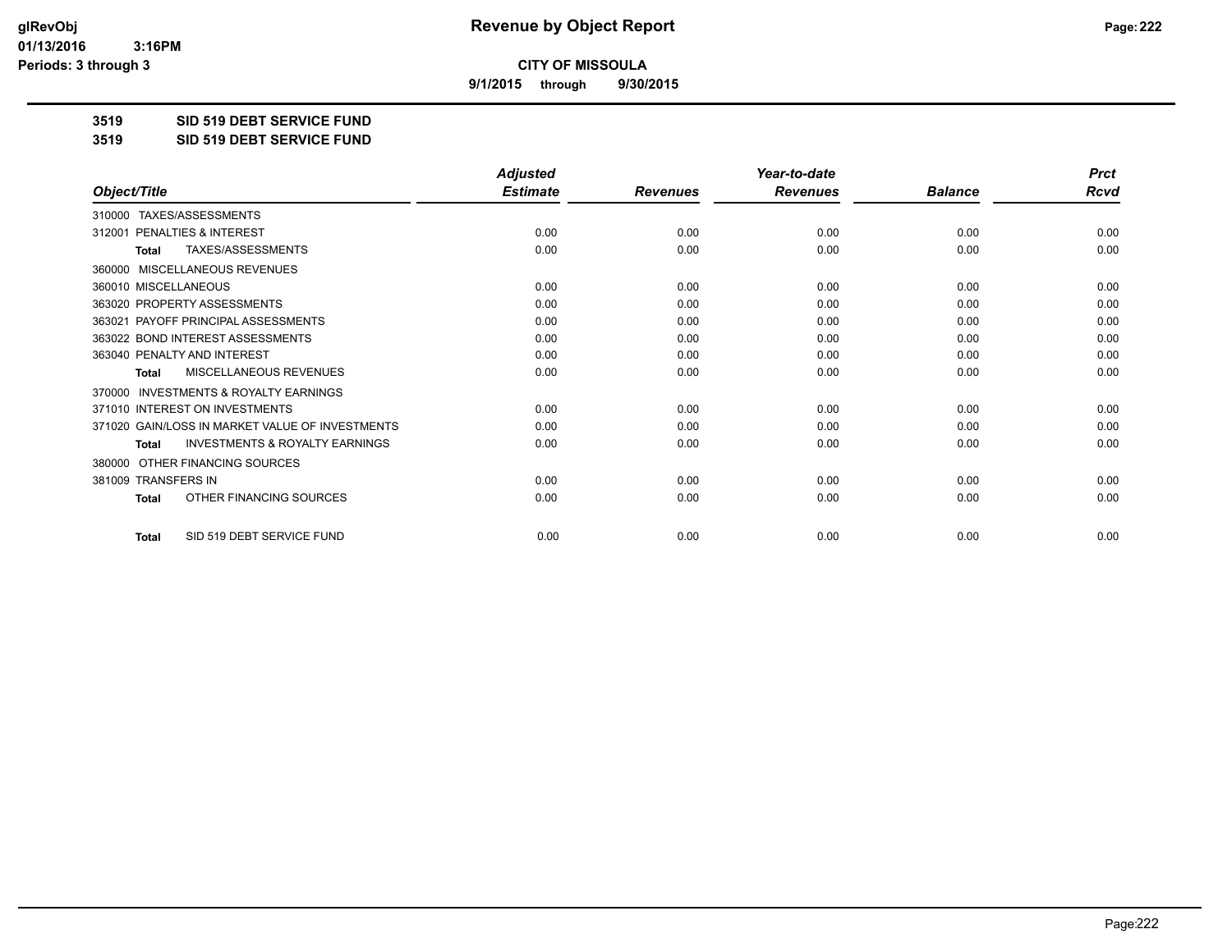**9/1/2015 through 9/30/2015**

**3519 SID 519 DEBT SERVICE FUND**

**3519 SID 519 DEBT SERVICE FUND**

|                                                           | <b>Adjusted</b> |                 | Year-to-date    |                |             |
|-----------------------------------------------------------|-----------------|-----------------|-----------------|----------------|-------------|
| Object/Title                                              | <b>Estimate</b> | <b>Revenues</b> | <b>Revenues</b> | <b>Balance</b> | <b>Rcvd</b> |
| 310000 TAXES/ASSESSMENTS                                  |                 |                 |                 |                |             |
| PENALTIES & INTEREST<br>312001                            | 0.00            | 0.00            | 0.00            | 0.00           | 0.00        |
| <b>TAXES/ASSESSMENTS</b><br><b>Total</b>                  | 0.00            | 0.00            | 0.00            | 0.00           | 0.00        |
| MISCELLANEOUS REVENUES<br>360000                          |                 |                 |                 |                |             |
| 360010 MISCELLANEOUS                                      | 0.00            | 0.00            | 0.00            | 0.00           | 0.00        |
| 363020 PROPERTY ASSESSMENTS                               | 0.00            | 0.00            | 0.00            | 0.00           | 0.00        |
| 363021 PAYOFF PRINCIPAL ASSESSMENTS                       | 0.00            | 0.00            | 0.00            | 0.00           | 0.00        |
| 363022 BOND INTEREST ASSESSMENTS                          | 0.00            | 0.00            | 0.00            | 0.00           | 0.00        |
| 363040 PENALTY AND INTEREST                               | 0.00            | 0.00            | 0.00            | 0.00           | 0.00        |
| MISCELLANEOUS REVENUES<br>Total                           | 0.00            | 0.00            | 0.00            | 0.00           | 0.00        |
| <b>INVESTMENTS &amp; ROYALTY EARNINGS</b><br>370000       |                 |                 |                 |                |             |
| 371010 INTEREST ON INVESTMENTS                            | 0.00            | 0.00            | 0.00            | 0.00           | 0.00        |
| 371020 GAIN/LOSS IN MARKET VALUE OF INVESTMENTS           | 0.00            | 0.00            | 0.00            | 0.00           | 0.00        |
| <b>INVESTMENTS &amp; ROYALTY EARNINGS</b><br><b>Total</b> | 0.00            | 0.00            | 0.00            | 0.00           | 0.00        |
| OTHER FINANCING SOURCES<br>380000                         |                 |                 |                 |                |             |
| 381009 TRANSFERS IN                                       | 0.00            | 0.00            | 0.00            | 0.00           | 0.00        |
| OTHER FINANCING SOURCES<br><b>Total</b>                   | 0.00            | 0.00            | 0.00            | 0.00           | 0.00        |
| SID 519 DEBT SERVICE FUND<br><b>Total</b>                 | 0.00            | 0.00            | 0.00            | 0.00           | 0.00        |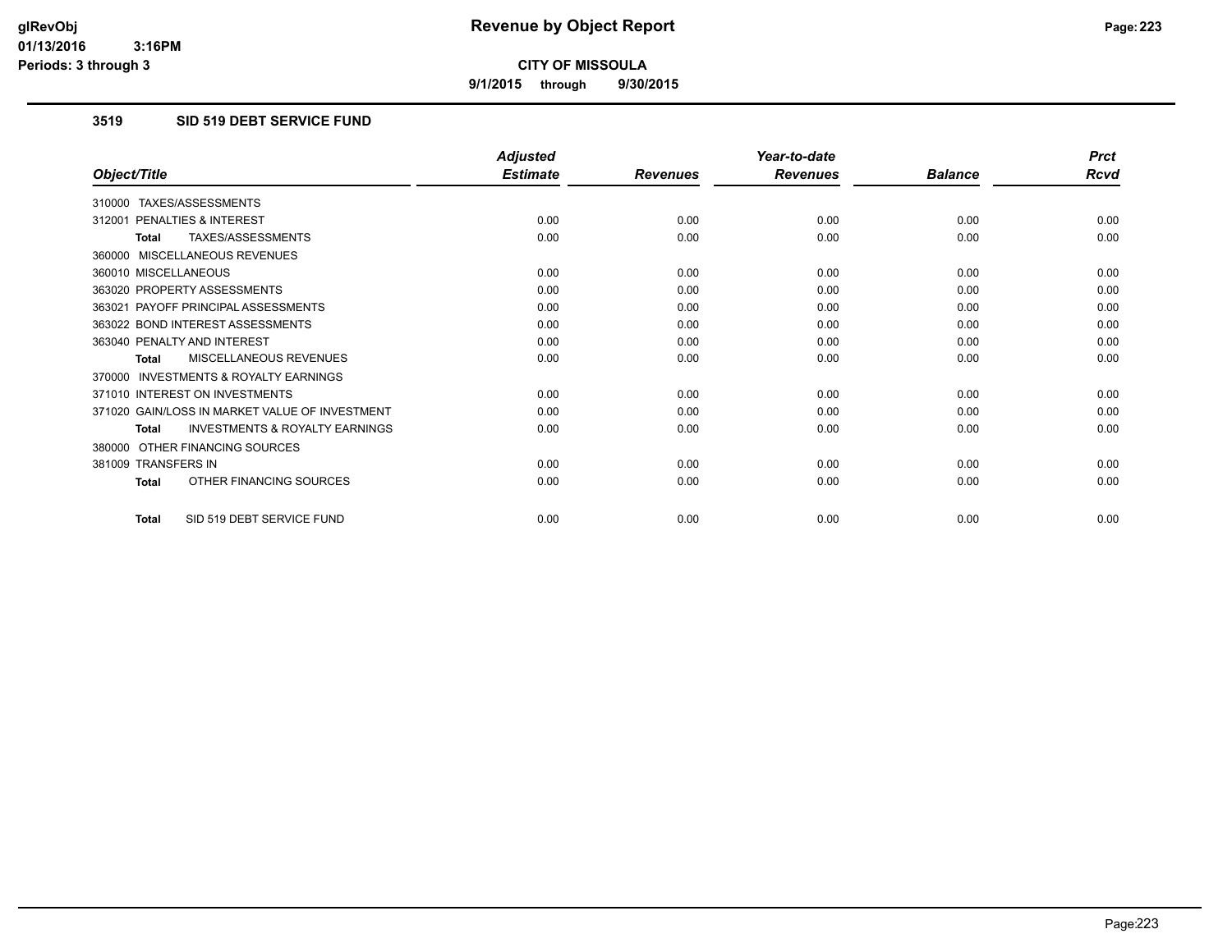**9/1/2015 through 9/30/2015**

## **3519 SID 519 DEBT SERVICE FUND**

|                                                           | <b>Adjusted</b> |                 | Year-to-date    |                | <b>Prct</b> |
|-----------------------------------------------------------|-----------------|-----------------|-----------------|----------------|-------------|
| Object/Title                                              | <b>Estimate</b> | <b>Revenues</b> | <b>Revenues</b> | <b>Balance</b> | <b>Rcvd</b> |
| 310000 TAXES/ASSESSMENTS                                  |                 |                 |                 |                |             |
| PENALTIES & INTEREST<br>312001                            | 0.00            | 0.00            | 0.00            | 0.00           | 0.00        |
| TAXES/ASSESSMENTS<br><b>Total</b>                         | 0.00            | 0.00            | 0.00            | 0.00           | 0.00        |
| 360000 MISCELLANEOUS REVENUES                             |                 |                 |                 |                |             |
| 360010 MISCELLANEOUS                                      | 0.00            | 0.00            | 0.00            | 0.00           | 0.00        |
| 363020 PROPERTY ASSESSMENTS                               | 0.00            | 0.00            | 0.00            | 0.00           | 0.00        |
| 363021 PAYOFF PRINCIPAL ASSESSMENTS                       | 0.00            | 0.00            | 0.00            | 0.00           | 0.00        |
| 363022 BOND INTEREST ASSESSMENTS                          | 0.00            | 0.00            | 0.00            | 0.00           | 0.00        |
| 363040 PENALTY AND INTEREST                               | 0.00            | 0.00            | 0.00            | 0.00           | 0.00        |
| MISCELLANEOUS REVENUES<br><b>Total</b>                    | 0.00            | 0.00            | 0.00            | 0.00           | 0.00        |
| <b>INVESTMENTS &amp; ROYALTY EARNINGS</b><br>370000       |                 |                 |                 |                |             |
| 371010 INTEREST ON INVESTMENTS                            | 0.00            | 0.00            | 0.00            | 0.00           | 0.00        |
| 371020 GAIN/LOSS IN MARKET VALUE OF INVESTMENT            | 0.00            | 0.00            | 0.00            | 0.00           | 0.00        |
| <b>INVESTMENTS &amp; ROYALTY EARNINGS</b><br><b>Total</b> | 0.00            | 0.00            | 0.00            | 0.00           | 0.00        |
| 380000 OTHER FINANCING SOURCES                            |                 |                 |                 |                |             |
| 381009 TRANSFERS IN                                       | 0.00            | 0.00            | 0.00            | 0.00           | 0.00        |
| OTHER FINANCING SOURCES<br><b>Total</b>                   | 0.00            | 0.00            | 0.00            | 0.00           | 0.00        |
| SID 519 DEBT SERVICE FUND<br><b>Total</b>                 | 0.00            | 0.00            | 0.00            | 0.00           | 0.00        |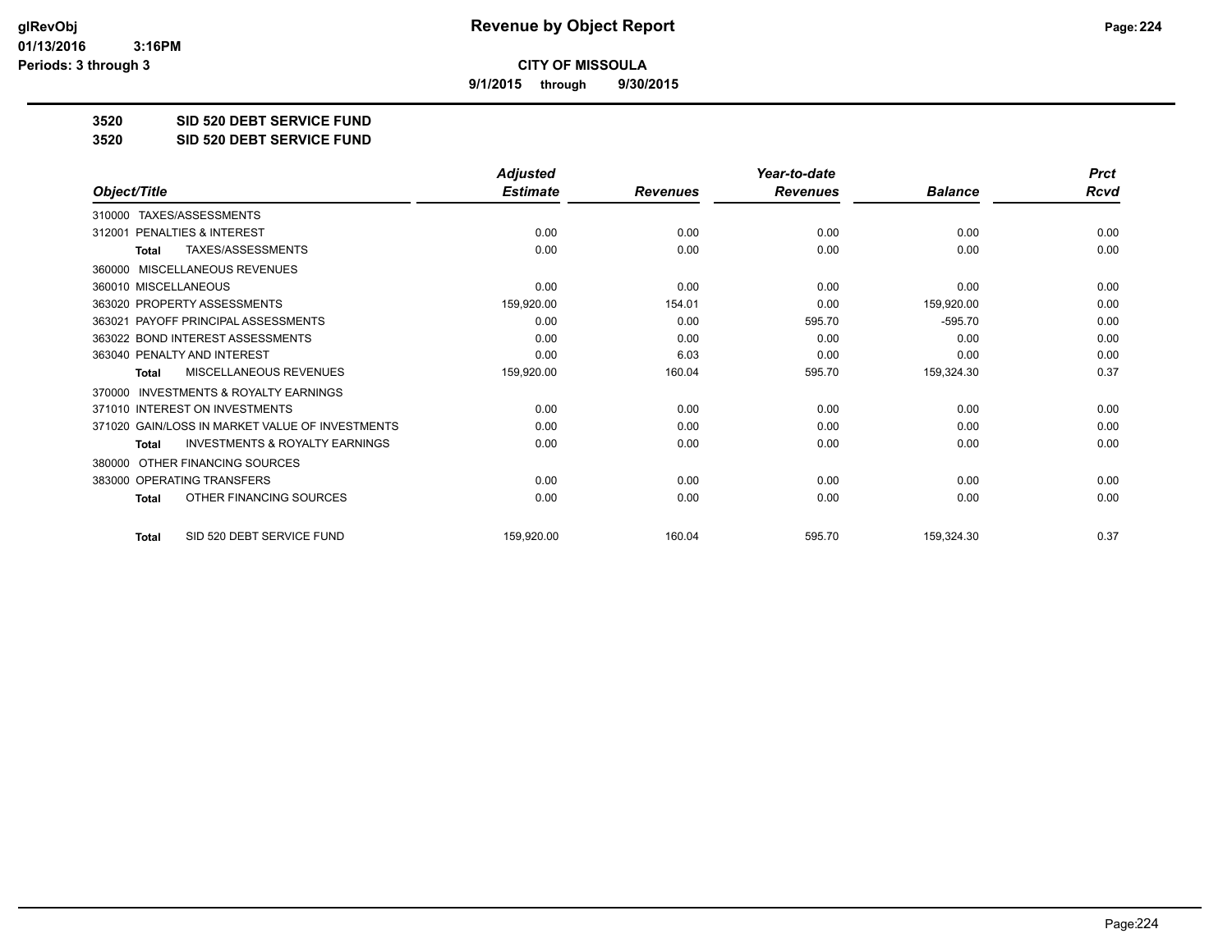**9/1/2015 through 9/30/2015**

**3520 SID 520 DEBT SERVICE FUND**

**3520 SID 520 DEBT SERVICE FUND**

|                                                           | <b>Adjusted</b> |                 | Year-to-date    |                | <b>Prct</b> |
|-----------------------------------------------------------|-----------------|-----------------|-----------------|----------------|-------------|
| Object/Title                                              | <b>Estimate</b> | <b>Revenues</b> | <b>Revenues</b> | <b>Balance</b> | <b>Rcvd</b> |
| TAXES/ASSESSMENTS<br>310000                               |                 |                 |                 |                |             |
| 312001 PENALTIES & INTEREST                               | 0.00            | 0.00            | 0.00            | 0.00           | 0.00        |
| <b>TAXES/ASSESSMENTS</b><br><b>Total</b>                  | 0.00            | 0.00            | 0.00            | 0.00           | 0.00        |
| MISCELLANEOUS REVENUES<br>360000                          |                 |                 |                 |                |             |
| 360010 MISCELLANEOUS                                      | 0.00            | 0.00            | 0.00            | 0.00           | 0.00        |
| 363020 PROPERTY ASSESSMENTS                               | 159,920.00      | 154.01          | 0.00            | 159,920.00     | 0.00        |
| 363021 PAYOFF PRINCIPAL ASSESSMENTS                       | 0.00            | 0.00            | 595.70          | $-595.70$      | 0.00        |
| 363022 BOND INTEREST ASSESSMENTS                          | 0.00            | 0.00            | 0.00            | 0.00           | 0.00        |
| 363040 PENALTY AND INTEREST                               | 0.00            | 6.03            | 0.00            | 0.00           | 0.00        |
| MISCELLANEOUS REVENUES<br><b>Total</b>                    | 159,920.00      | 160.04          | 595.70          | 159,324.30     | 0.37        |
| <b>INVESTMENTS &amp; ROYALTY EARNINGS</b><br>370000       |                 |                 |                 |                |             |
| 371010 INTEREST ON INVESTMENTS                            | 0.00            | 0.00            | 0.00            | 0.00           | 0.00        |
| 371020 GAIN/LOSS IN MARKET VALUE OF INVESTMENTS           | 0.00            | 0.00            | 0.00            | 0.00           | 0.00        |
| <b>INVESTMENTS &amp; ROYALTY EARNINGS</b><br><b>Total</b> | 0.00            | 0.00            | 0.00            | 0.00           | 0.00        |
| OTHER FINANCING SOURCES<br>380000                         |                 |                 |                 |                |             |
| 383000 OPERATING TRANSFERS                                | 0.00            | 0.00            | 0.00            | 0.00           | 0.00        |
| OTHER FINANCING SOURCES<br><b>Total</b>                   | 0.00            | 0.00            | 0.00            | 0.00           | 0.00        |
| SID 520 DEBT SERVICE FUND<br><b>Total</b>                 | 159,920.00      | 160.04          | 595.70          | 159,324.30     | 0.37        |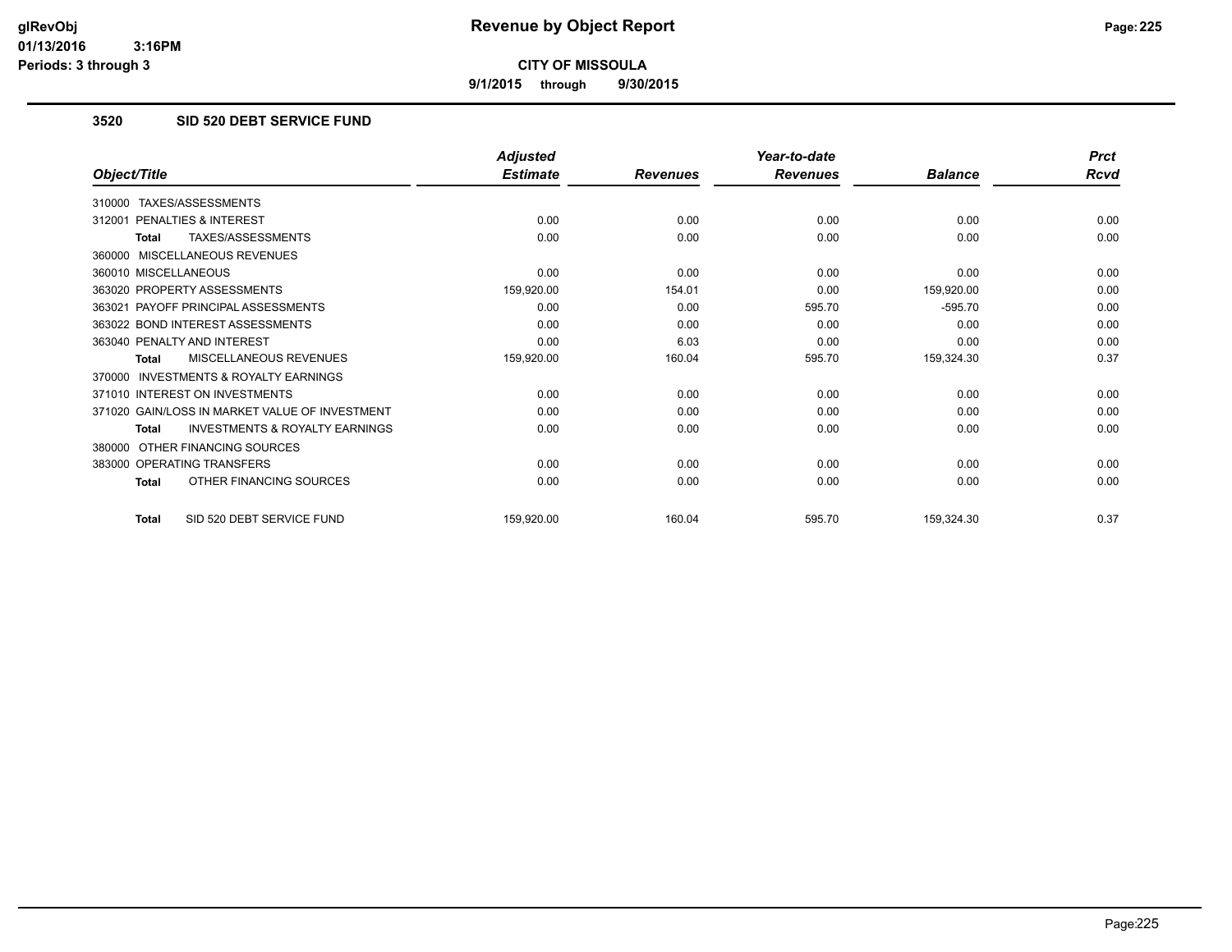**9/1/2015 through 9/30/2015**

## **3520 SID 520 DEBT SERVICE FUND**

|                                                           | <b>Adjusted</b> |                 | Year-to-date    |                | <b>Prct</b> |
|-----------------------------------------------------------|-----------------|-----------------|-----------------|----------------|-------------|
| Object/Title                                              | <b>Estimate</b> | <b>Revenues</b> | <b>Revenues</b> | <b>Balance</b> | Rcvd        |
| TAXES/ASSESSMENTS<br>310000                               |                 |                 |                 |                |             |
| PENALTIES & INTEREST<br>312001                            | 0.00            | 0.00            | 0.00            | 0.00           | 0.00        |
| TAXES/ASSESSMENTS<br><b>Total</b>                         | 0.00            | 0.00            | 0.00            | 0.00           | 0.00        |
| MISCELLANEOUS REVENUES<br>360000                          |                 |                 |                 |                |             |
| 360010 MISCELLANEOUS                                      | 0.00            | 0.00            | 0.00            | 0.00           | 0.00        |
| 363020 PROPERTY ASSESSMENTS                               | 159,920.00      | 154.01          | 0.00            | 159,920.00     | 0.00        |
| 363021 PAYOFF PRINCIPAL ASSESSMENTS                       | 0.00            | 0.00            | 595.70          | $-595.70$      | 0.00        |
| 363022 BOND INTEREST ASSESSMENTS                          | 0.00            | 0.00            | 0.00            | 0.00           | 0.00        |
| 363040 PENALTY AND INTEREST                               | 0.00            | 6.03            | 0.00            | 0.00           | 0.00        |
| MISCELLANEOUS REVENUES<br><b>Total</b>                    | 159,920.00      | 160.04          | 595.70          | 159,324.30     | 0.37        |
| <b>INVESTMENTS &amp; ROYALTY EARNINGS</b><br>370000       |                 |                 |                 |                |             |
| 371010 INTEREST ON INVESTMENTS                            | 0.00            | 0.00            | 0.00            | 0.00           | 0.00        |
| 371020 GAIN/LOSS IN MARKET VALUE OF INVESTMENT            | 0.00            | 0.00            | 0.00            | 0.00           | 0.00        |
| <b>INVESTMENTS &amp; ROYALTY EARNINGS</b><br><b>Total</b> | 0.00            | 0.00            | 0.00            | 0.00           | 0.00        |
| OTHER FINANCING SOURCES<br>380000                         |                 |                 |                 |                |             |
| 383000 OPERATING TRANSFERS                                | 0.00            | 0.00            | 0.00            | 0.00           | 0.00        |
| OTHER FINANCING SOURCES<br><b>Total</b>                   | 0.00            | 0.00            | 0.00            | 0.00           | 0.00        |
| SID 520 DEBT SERVICE FUND<br><b>Total</b>                 | 159,920.00      | 160.04          | 595.70          | 159,324.30     | 0.37        |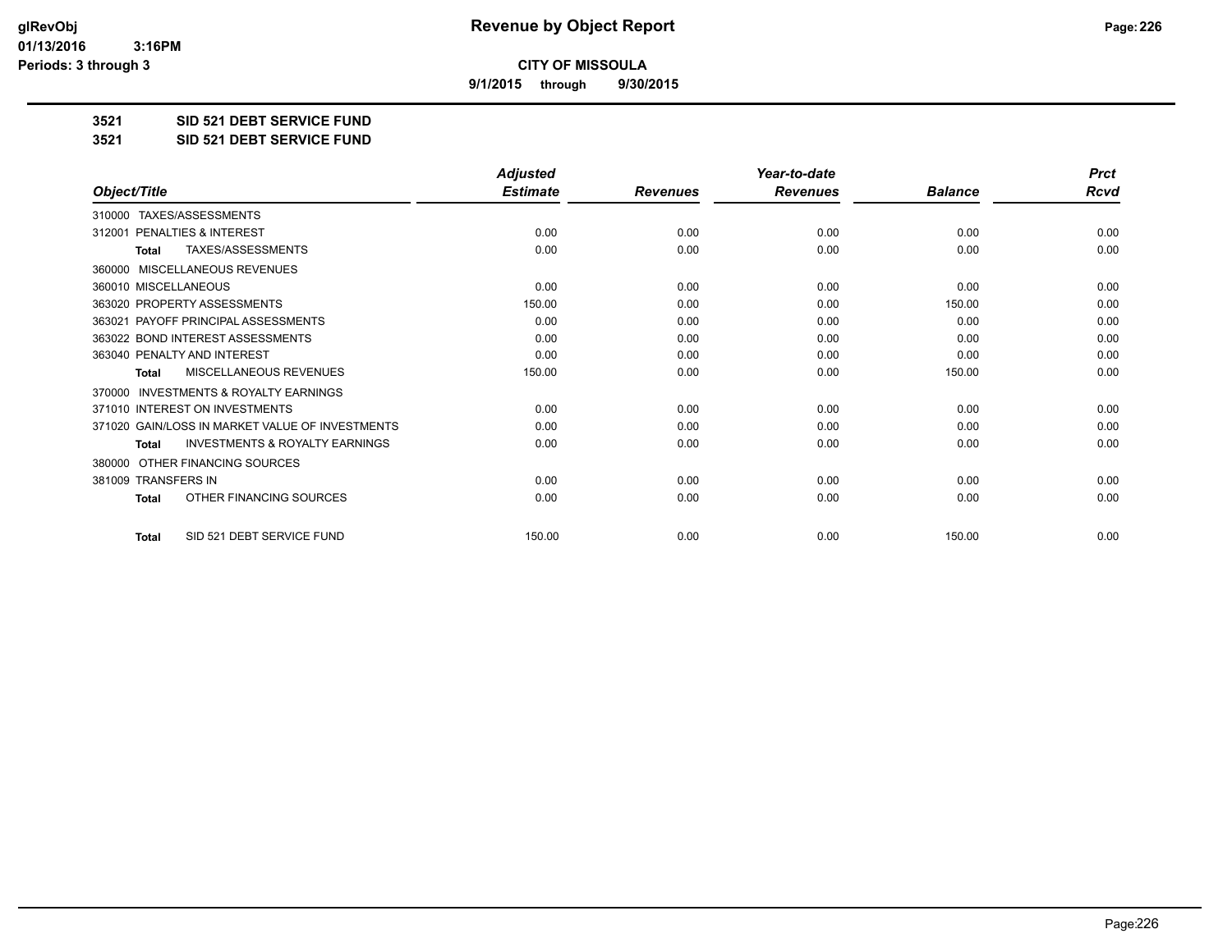**9/1/2015 through 9/30/2015**

**3521 SID 521 DEBT SERVICE FUND**

**3521 SID 521 DEBT SERVICE FUND**

|                                                           | <b>Adjusted</b> |                 | Year-to-date    |                | <b>Prct</b> |
|-----------------------------------------------------------|-----------------|-----------------|-----------------|----------------|-------------|
| Object/Title                                              | <b>Estimate</b> | <b>Revenues</b> | <b>Revenues</b> | <b>Balance</b> | <b>Rcvd</b> |
| TAXES/ASSESSMENTS<br>310000                               |                 |                 |                 |                |             |
| PENALTIES & INTEREST<br>312001                            | 0.00            | 0.00            | 0.00            | 0.00           | 0.00        |
| TAXES/ASSESSMENTS<br><b>Total</b>                         | 0.00            | 0.00            | 0.00            | 0.00           | 0.00        |
| <b>MISCELLANEOUS REVENUES</b><br>360000                   |                 |                 |                 |                |             |
| 360010 MISCELLANEOUS                                      | 0.00            | 0.00            | 0.00            | 0.00           | 0.00        |
| 363020 PROPERTY ASSESSMENTS                               | 150.00          | 0.00            | 0.00            | 150.00         | 0.00        |
| 363021 PAYOFF PRINCIPAL ASSESSMENTS                       | 0.00            | 0.00            | 0.00            | 0.00           | 0.00        |
| 363022 BOND INTEREST ASSESSMENTS                          | 0.00            | 0.00            | 0.00            | 0.00           | 0.00        |
| 363040 PENALTY AND INTEREST                               | 0.00            | 0.00            | 0.00            | 0.00           | 0.00        |
| MISCELLANEOUS REVENUES<br><b>Total</b>                    | 150.00          | 0.00            | 0.00            | 150.00         | 0.00        |
| <b>INVESTMENTS &amp; ROYALTY EARNINGS</b><br>370000       |                 |                 |                 |                |             |
| 371010 INTEREST ON INVESTMENTS                            | 0.00            | 0.00            | 0.00            | 0.00           | 0.00        |
| 371020 GAIN/LOSS IN MARKET VALUE OF INVESTMENTS           | 0.00            | 0.00            | 0.00            | 0.00           | 0.00        |
| <b>INVESTMENTS &amp; ROYALTY EARNINGS</b><br><b>Total</b> | 0.00            | 0.00            | 0.00            | 0.00           | 0.00        |
| OTHER FINANCING SOURCES<br>380000                         |                 |                 |                 |                |             |
| 381009 TRANSFERS IN                                       | 0.00            | 0.00            | 0.00            | 0.00           | 0.00        |
| OTHER FINANCING SOURCES<br><b>Total</b>                   | 0.00            | 0.00            | 0.00            | 0.00           | 0.00        |
| SID 521 DEBT SERVICE FUND<br><b>Total</b>                 | 150.00          | 0.00            | 0.00            | 150.00         | 0.00        |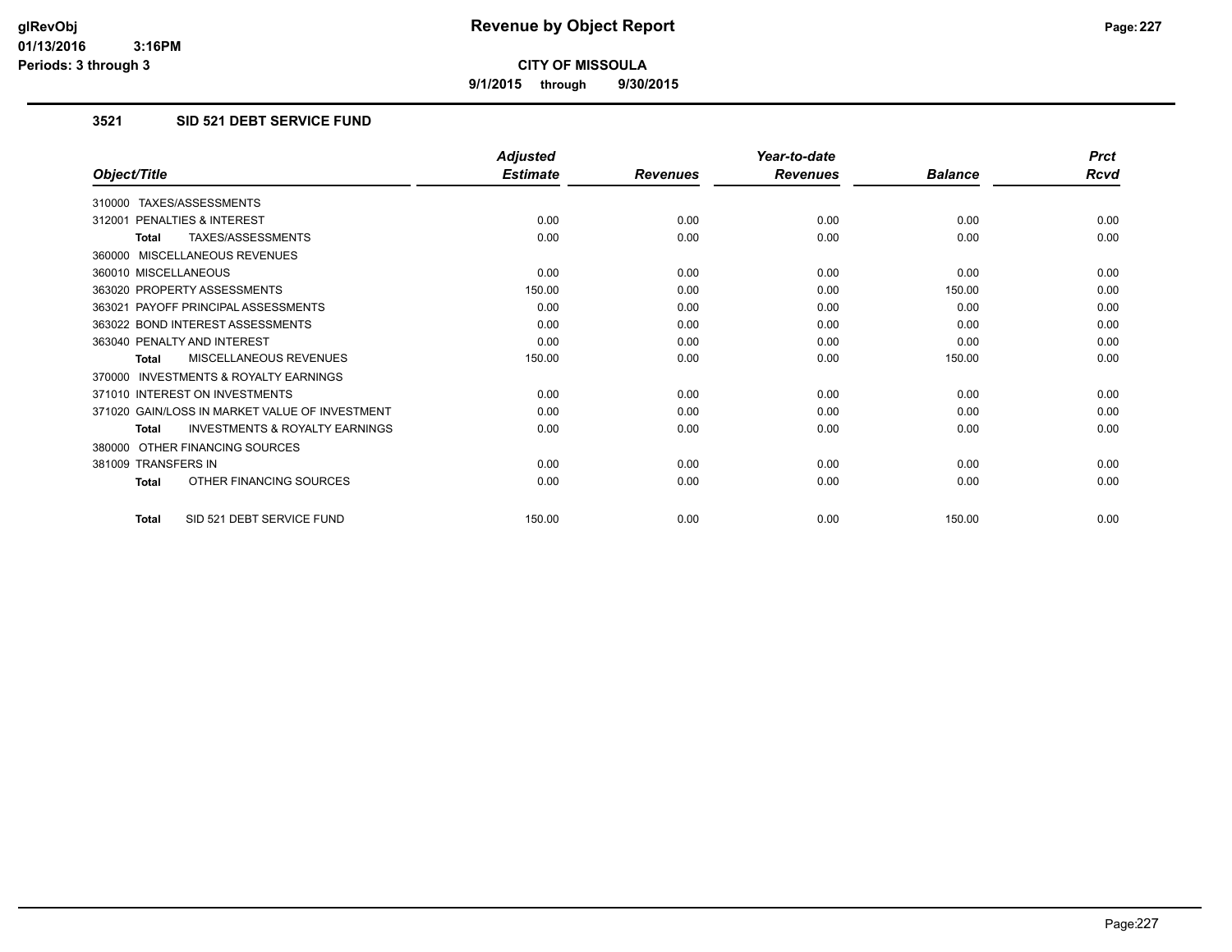**9/1/2015 through 9/30/2015**

## **3521 SID 521 DEBT SERVICE FUND**

|                                                           | <b>Adjusted</b> |                 | Year-to-date    |                | <b>Prct</b> |
|-----------------------------------------------------------|-----------------|-----------------|-----------------|----------------|-------------|
| Object/Title                                              | <b>Estimate</b> | <b>Revenues</b> | <b>Revenues</b> | <b>Balance</b> | <b>Rcvd</b> |
| 310000 TAXES/ASSESSMENTS                                  |                 |                 |                 |                |             |
| 312001 PENALTIES & INTEREST                               | 0.00            | 0.00            | 0.00            | 0.00           | 0.00        |
| TAXES/ASSESSMENTS<br><b>Total</b>                         | 0.00            | 0.00            | 0.00            | 0.00           | 0.00        |
| 360000 MISCELLANEOUS REVENUES                             |                 |                 |                 |                |             |
| 360010 MISCELLANEOUS                                      | 0.00            | 0.00            | 0.00            | 0.00           | 0.00        |
| 363020 PROPERTY ASSESSMENTS                               | 150.00          | 0.00            | 0.00            | 150.00         | 0.00        |
| 363021 PAYOFF PRINCIPAL ASSESSMENTS                       | 0.00            | 0.00            | 0.00            | 0.00           | 0.00        |
| 363022 BOND INTEREST ASSESSMENTS                          | 0.00            | 0.00            | 0.00            | 0.00           | 0.00        |
| 363040 PENALTY AND INTEREST                               | 0.00            | 0.00            | 0.00            | 0.00           | 0.00        |
| MISCELLANEOUS REVENUES<br><b>Total</b>                    | 150.00          | 0.00            | 0.00            | 150.00         | 0.00        |
| <b>INVESTMENTS &amp; ROYALTY EARNINGS</b><br>370000       |                 |                 |                 |                |             |
| 371010 INTEREST ON INVESTMENTS                            | 0.00            | 0.00            | 0.00            | 0.00           | 0.00        |
| 371020 GAIN/LOSS IN MARKET VALUE OF INVESTMENT            | 0.00            | 0.00            | 0.00            | 0.00           | 0.00        |
| <b>INVESTMENTS &amp; ROYALTY EARNINGS</b><br><b>Total</b> | 0.00            | 0.00            | 0.00            | 0.00           | 0.00        |
| 380000 OTHER FINANCING SOURCES                            |                 |                 |                 |                |             |
| 381009 TRANSFERS IN                                       | 0.00            | 0.00            | 0.00            | 0.00           | 0.00        |
| OTHER FINANCING SOURCES<br>Total                          | 0.00            | 0.00            | 0.00            | 0.00           | 0.00        |
| SID 521 DEBT SERVICE FUND<br><b>Total</b>                 | 150.00          | 0.00            | 0.00            | 150.00         | 0.00        |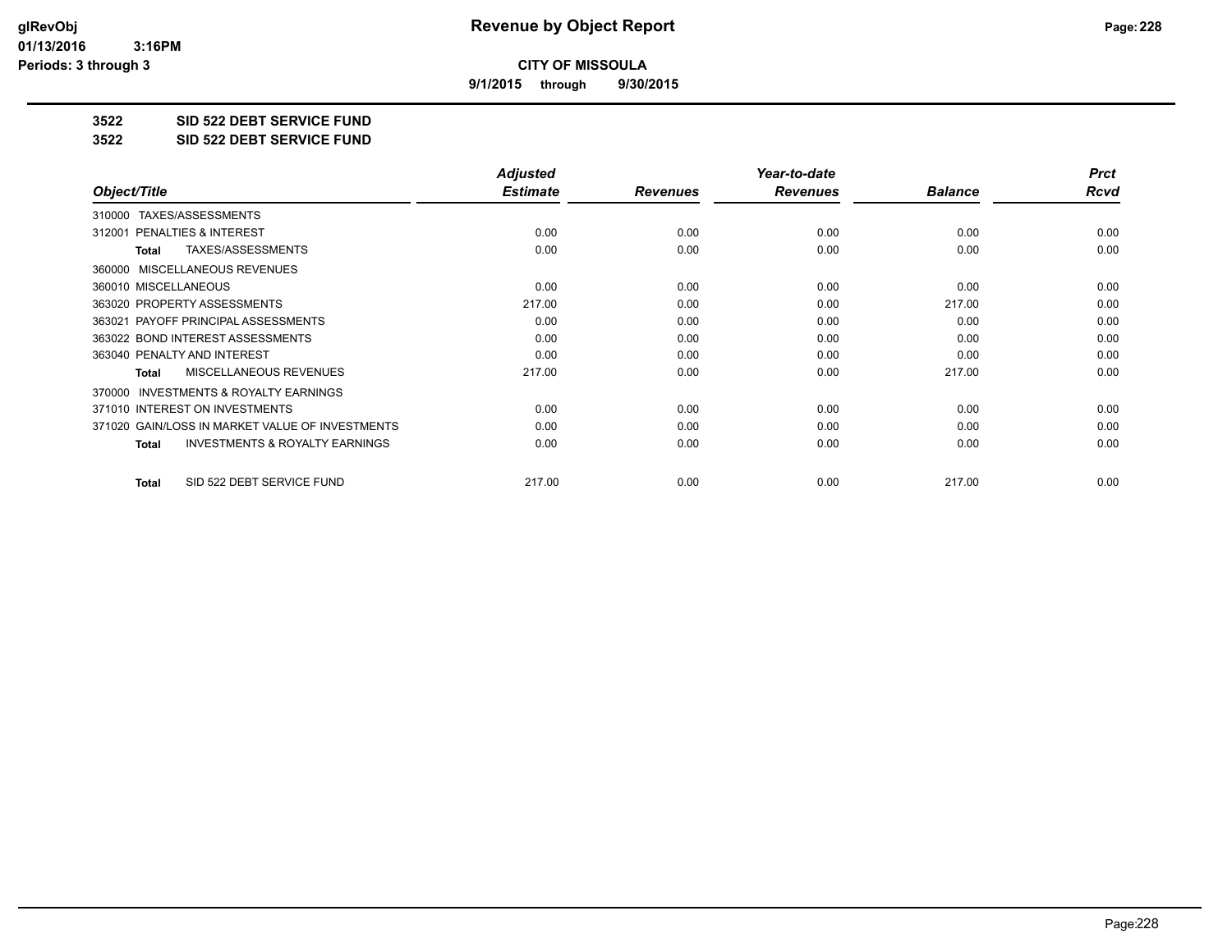**9/1/2015 through 9/30/2015**

**3522 SID 522 DEBT SERVICE FUND**

**3522 SID 522 DEBT SERVICE FUND**

|                                                    | <b>Adjusted</b> |                 | Year-to-date    |                | <b>Prct</b> |
|----------------------------------------------------|-----------------|-----------------|-----------------|----------------|-------------|
| Object/Title                                       | <b>Estimate</b> | <b>Revenues</b> | <b>Revenues</b> | <b>Balance</b> | Rcvd        |
| 310000 TAXES/ASSESSMENTS                           |                 |                 |                 |                |             |
| PENALTIES & INTEREST<br>312001                     | 0.00            | 0.00            | 0.00            | 0.00           | 0.00        |
| TAXES/ASSESSMENTS<br>Total                         | 0.00            | 0.00            | 0.00            | 0.00           | 0.00        |
| 360000 MISCELLANEOUS REVENUES                      |                 |                 |                 |                |             |
| 360010 MISCELLANEOUS                               | 0.00            | 0.00            | 0.00            | 0.00           | 0.00        |
| 363020 PROPERTY ASSESSMENTS                        | 217.00          | 0.00            | 0.00            | 217.00         | 0.00        |
| 363021 PAYOFF PRINCIPAL ASSESSMENTS                | 0.00            | 0.00            | 0.00            | 0.00           | 0.00        |
| 363022 BOND INTEREST ASSESSMENTS                   | 0.00            | 0.00            | 0.00            | 0.00           | 0.00        |
| 363040 PENALTY AND INTEREST                        | 0.00            | 0.00            | 0.00            | 0.00           | 0.00        |
| <b>MISCELLANEOUS REVENUES</b><br>Total             | 217.00          | 0.00            | 0.00            | 217.00         | 0.00        |
| 370000 INVESTMENTS & ROYALTY EARNINGS              |                 |                 |                 |                |             |
| 371010 INTEREST ON INVESTMENTS                     | 0.00            | 0.00            | 0.00            | 0.00           | 0.00        |
| 371020 GAIN/LOSS IN MARKET VALUE OF INVESTMENTS    | 0.00            | 0.00            | 0.00            | 0.00           | 0.00        |
| <b>INVESTMENTS &amp; ROYALTY EARNINGS</b><br>Total | 0.00            | 0.00            | 0.00            | 0.00           | 0.00        |
| SID 522 DEBT SERVICE FUND<br>Total                 | 217.00          | 0.00            | 0.00            | 217.00         | 0.00        |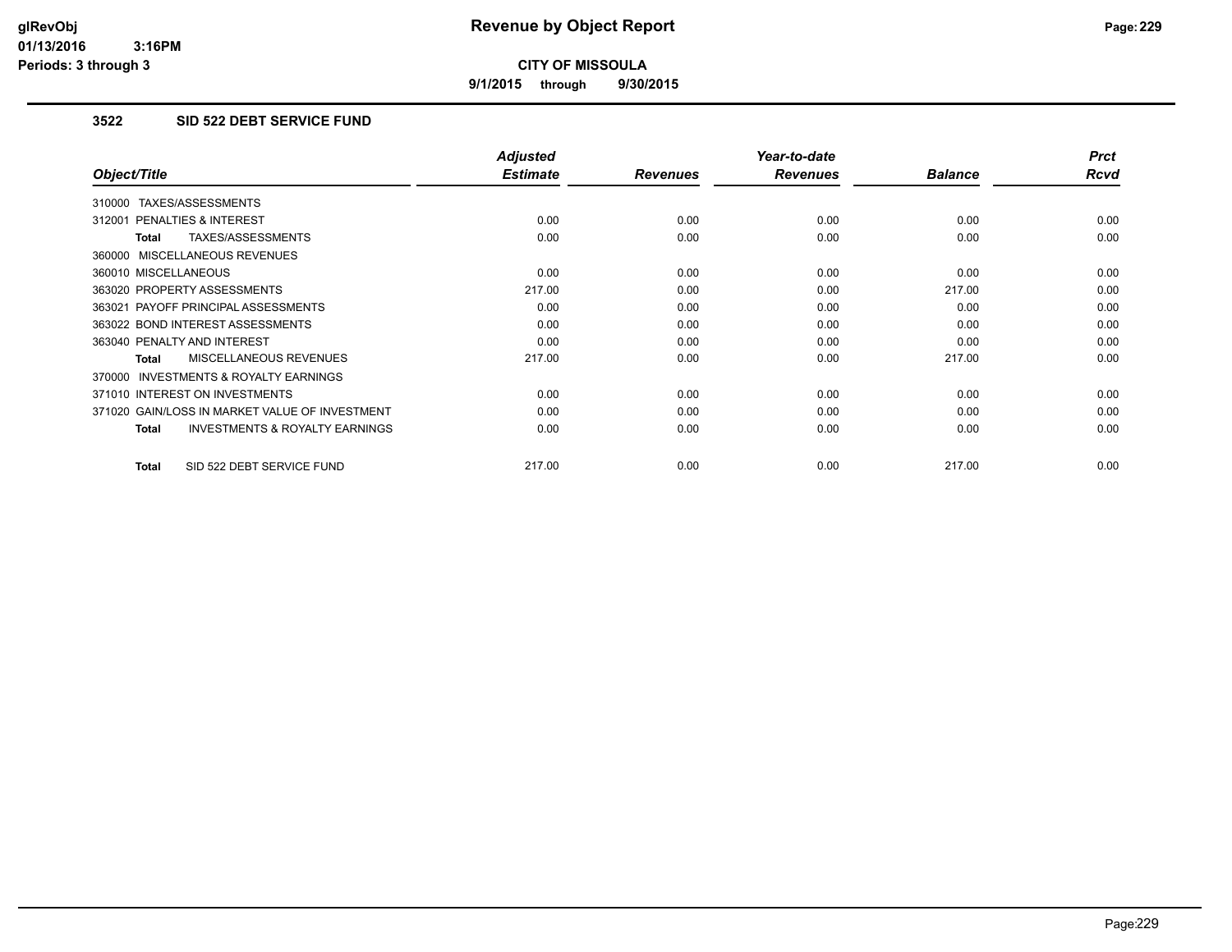**9/1/2015 through 9/30/2015**

## **3522 SID 522 DEBT SERVICE FUND**

|                                                           | <b>Adjusted</b> |                 | Year-to-date    |                | <b>Prct</b> |
|-----------------------------------------------------------|-----------------|-----------------|-----------------|----------------|-------------|
| Object/Title                                              | <b>Estimate</b> | <b>Revenues</b> | <b>Revenues</b> | <b>Balance</b> | <b>Rcvd</b> |
| 310000 TAXES/ASSESSMENTS                                  |                 |                 |                 |                |             |
| 312001 PENALTIES & INTEREST                               | 0.00            | 0.00            | 0.00            | 0.00           | 0.00        |
| TAXES/ASSESSMENTS<br><b>Total</b>                         | 0.00            | 0.00            | 0.00            | 0.00           | 0.00        |
| 360000 MISCELLANEOUS REVENUES                             |                 |                 |                 |                |             |
| 360010 MISCELLANEOUS                                      | 0.00            | 0.00            | 0.00            | 0.00           | 0.00        |
| 363020 PROPERTY ASSESSMENTS                               | 217.00          | 0.00            | 0.00            | 217.00         | 0.00        |
| 363021 PAYOFF PRINCIPAL ASSESSMENTS                       | 0.00            | 0.00            | 0.00            | 0.00           | 0.00        |
| 363022 BOND INTEREST ASSESSMENTS                          | 0.00            | 0.00            | 0.00            | 0.00           | 0.00        |
| 363040 PENALTY AND INTEREST                               | 0.00            | 0.00            | 0.00            | 0.00           | 0.00        |
| MISCELLANEOUS REVENUES<br><b>Total</b>                    | 217.00          | 0.00            | 0.00            | 217.00         | 0.00        |
| INVESTMENTS & ROYALTY EARNINGS<br>370000                  |                 |                 |                 |                |             |
| 371010 INTEREST ON INVESTMENTS                            | 0.00            | 0.00            | 0.00            | 0.00           | 0.00        |
| 371020 GAIN/LOSS IN MARKET VALUE OF INVESTMENT            | 0.00            | 0.00            | 0.00            | 0.00           | 0.00        |
| <b>INVESTMENTS &amp; ROYALTY EARNINGS</b><br><b>Total</b> | 0.00            | 0.00            | 0.00            | 0.00           | 0.00        |
| SID 522 DEBT SERVICE FUND<br><b>Total</b>                 | 217.00          | 0.00            | 0.00            | 217.00         | 0.00        |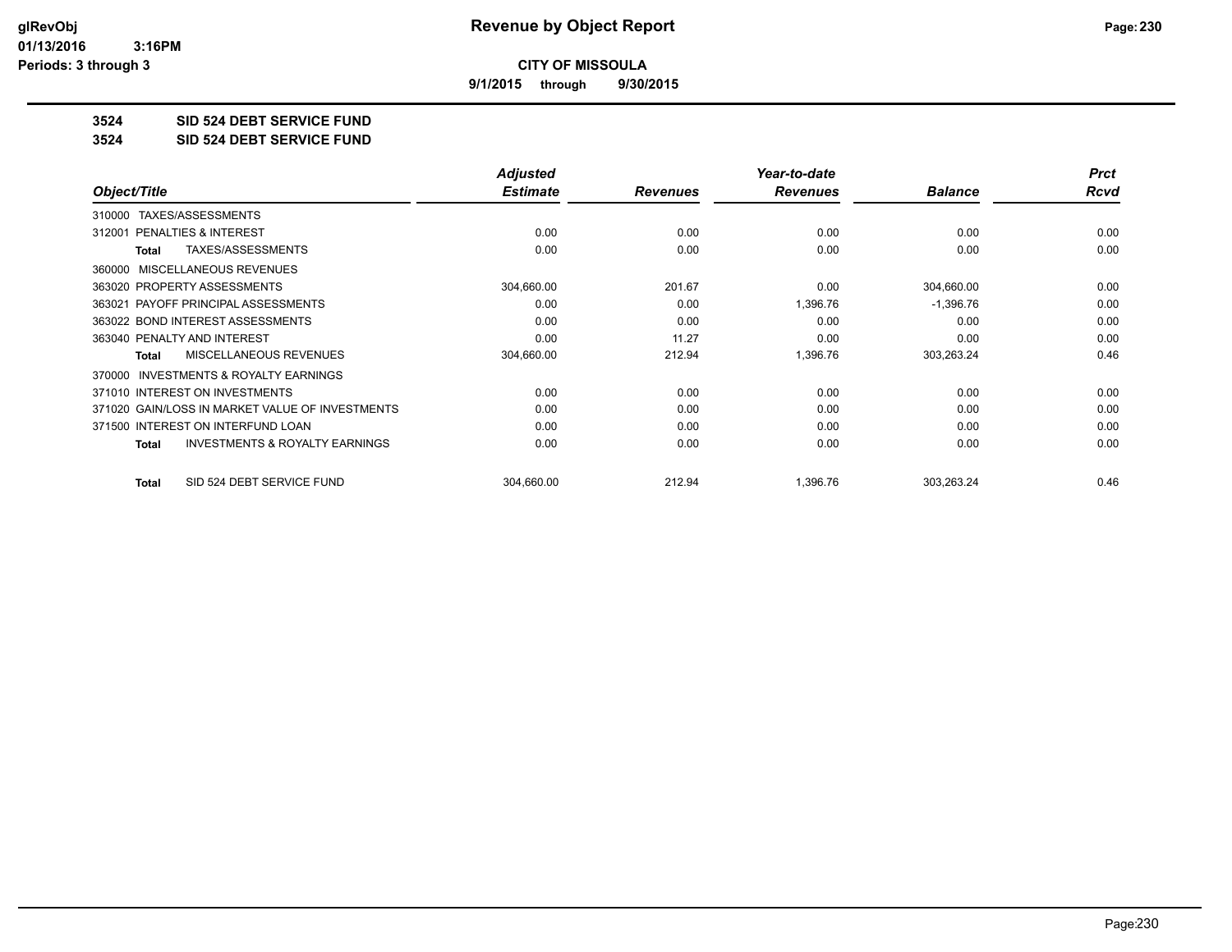**9/1/2015 through 9/30/2015**

**3524 SID 524 DEBT SERVICE FUND**

**3524 SID 524 DEBT SERVICE FUND**

|                                                     | <b>Adjusted</b> |                 | Year-to-date    |                | <b>Prct</b> |
|-----------------------------------------------------|-----------------|-----------------|-----------------|----------------|-------------|
| Object/Title                                        | <b>Estimate</b> | <b>Revenues</b> | <b>Revenues</b> | <b>Balance</b> | <b>Rcvd</b> |
| TAXES/ASSESSMENTS<br>310000                         |                 |                 |                 |                |             |
| <b>PENALTIES &amp; INTEREST</b><br>312001           | 0.00            | 0.00            | 0.00            | 0.00           | 0.00        |
| TAXES/ASSESSMENTS<br>Total                          | 0.00            | 0.00            | 0.00            | 0.00           | 0.00        |
| MISCELLANEOUS REVENUES<br>360000                    |                 |                 |                 |                |             |
| 363020 PROPERTY ASSESSMENTS                         | 304,660.00      | 201.67          | 0.00            | 304,660.00     | 0.00        |
| 363021 PAYOFF PRINCIPAL ASSESSMENTS                 | 0.00            | 0.00            | 1,396.76        | $-1,396.76$    | 0.00        |
| 363022 BOND INTEREST ASSESSMENTS                    | 0.00            | 0.00            | 0.00            | 0.00           | 0.00        |
| 363040 PENALTY AND INTEREST                         | 0.00            | 11.27           | 0.00            | 0.00           | 0.00        |
| <b>MISCELLANEOUS REVENUES</b><br>Total              | 304,660.00      | 212.94          | 1,396.76        | 303,263.24     | 0.46        |
| <b>INVESTMENTS &amp; ROYALTY EARNINGS</b><br>370000 |                 |                 |                 |                |             |
| 371010 INTEREST ON INVESTMENTS                      | 0.00            | 0.00            | 0.00            | 0.00           | 0.00        |
| 371020 GAIN/LOSS IN MARKET VALUE OF INVESTMENTS     | 0.00            | 0.00            | 0.00            | 0.00           | 0.00        |
| 371500 INTEREST ON INTERFUND LOAN                   | 0.00            | 0.00            | 0.00            | 0.00           | 0.00        |
| <b>INVESTMENTS &amp; ROYALTY EARNINGS</b><br>Total  | 0.00            | 0.00            | 0.00            | 0.00           | 0.00        |
| SID 524 DEBT SERVICE FUND<br><b>Total</b>           | 304,660.00      | 212.94          | 1,396.76        | 303,263.24     | 0.46        |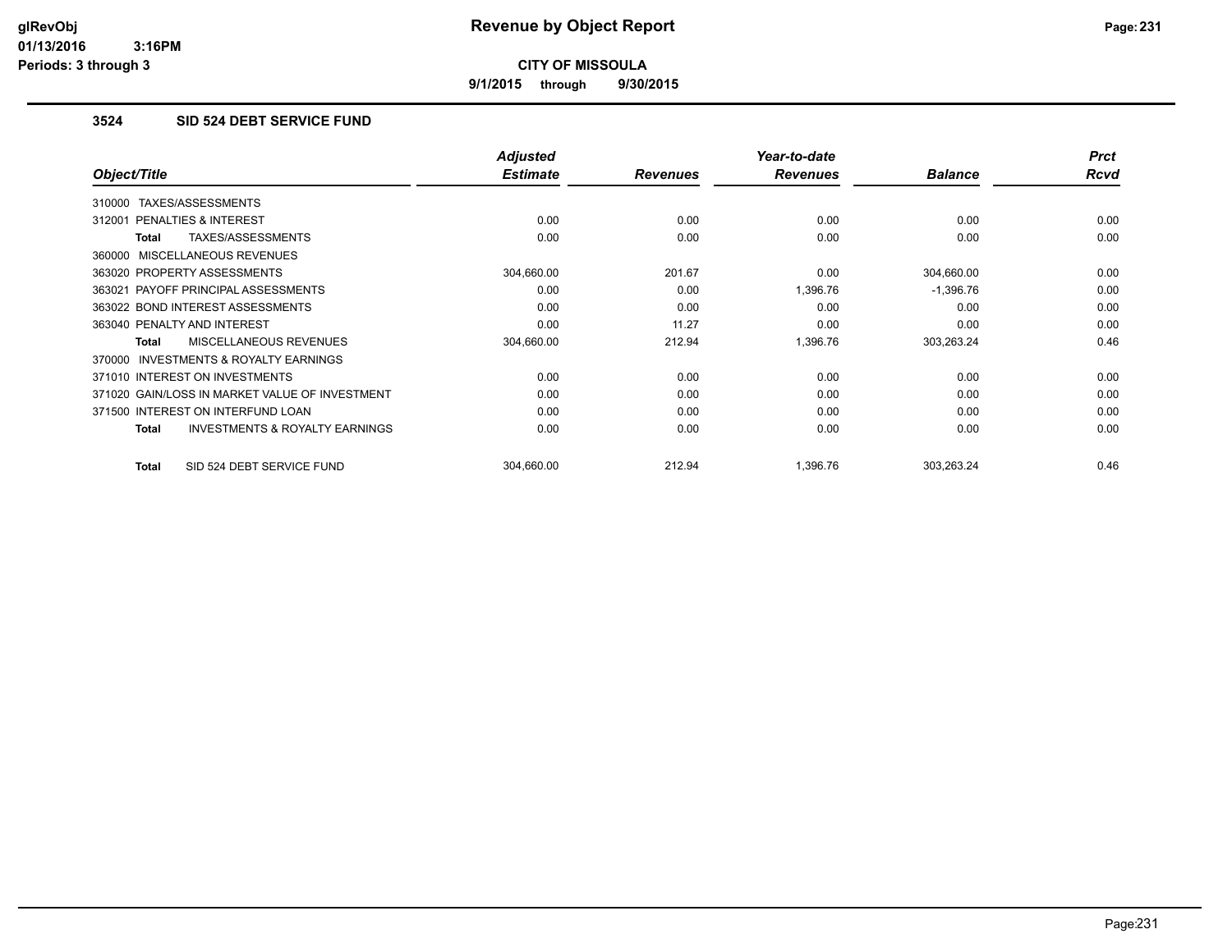**9/1/2015 through 9/30/2015**

## **3524 SID 524 DEBT SERVICE FUND**

|                                                     | <b>Adjusted</b> |                 | Year-to-date    |                | <b>Prct</b> |
|-----------------------------------------------------|-----------------|-----------------|-----------------|----------------|-------------|
| Object/Title                                        | <b>Estimate</b> | <b>Revenues</b> | <b>Revenues</b> | <b>Balance</b> | Rcvd        |
| 310000 TAXES/ASSESSMENTS                            |                 |                 |                 |                |             |
| 312001 PENALTIES & INTEREST                         | 0.00            | 0.00            | 0.00            | 0.00           | 0.00        |
| TAXES/ASSESSMENTS<br>Total                          | 0.00            | 0.00            | 0.00            | 0.00           | 0.00        |
| 360000 MISCELLANEOUS REVENUES                       |                 |                 |                 |                |             |
| 363020 PROPERTY ASSESSMENTS                         | 304,660.00      | 201.67          | 0.00            | 304,660.00     | 0.00        |
| 363021 PAYOFF PRINCIPAL ASSESSMENTS                 | 0.00            | 0.00            | 1,396.76        | $-1,396.76$    | 0.00        |
| 363022 BOND INTEREST ASSESSMENTS                    | 0.00            | 0.00            | 0.00            | 0.00           | 0.00        |
| 363040 PENALTY AND INTEREST                         | 0.00            | 11.27           | 0.00            | 0.00           | 0.00        |
| <b>MISCELLANEOUS REVENUES</b><br><b>Total</b>       | 304,660.00      | 212.94          | 1,396.76        | 303,263.24     | 0.46        |
| <b>INVESTMENTS &amp; ROYALTY EARNINGS</b><br>370000 |                 |                 |                 |                |             |
| 371010 INTEREST ON INVESTMENTS                      | 0.00            | 0.00            | 0.00            | 0.00           | 0.00        |
| 371020 GAIN/LOSS IN MARKET VALUE OF INVESTMENT      | 0.00            | 0.00            | 0.00            | 0.00           | 0.00        |
| 371500 INTEREST ON INTERFUND LOAN                   | 0.00            | 0.00            | 0.00            | 0.00           | 0.00        |
| <b>INVESTMENTS &amp; ROYALTY EARNINGS</b><br>Total  | 0.00            | 0.00            | 0.00            | 0.00           | 0.00        |
| SID 524 DEBT SERVICE FUND<br>Total                  | 304.660.00      | 212.94          | 1.396.76        | 303,263.24     | 0.46        |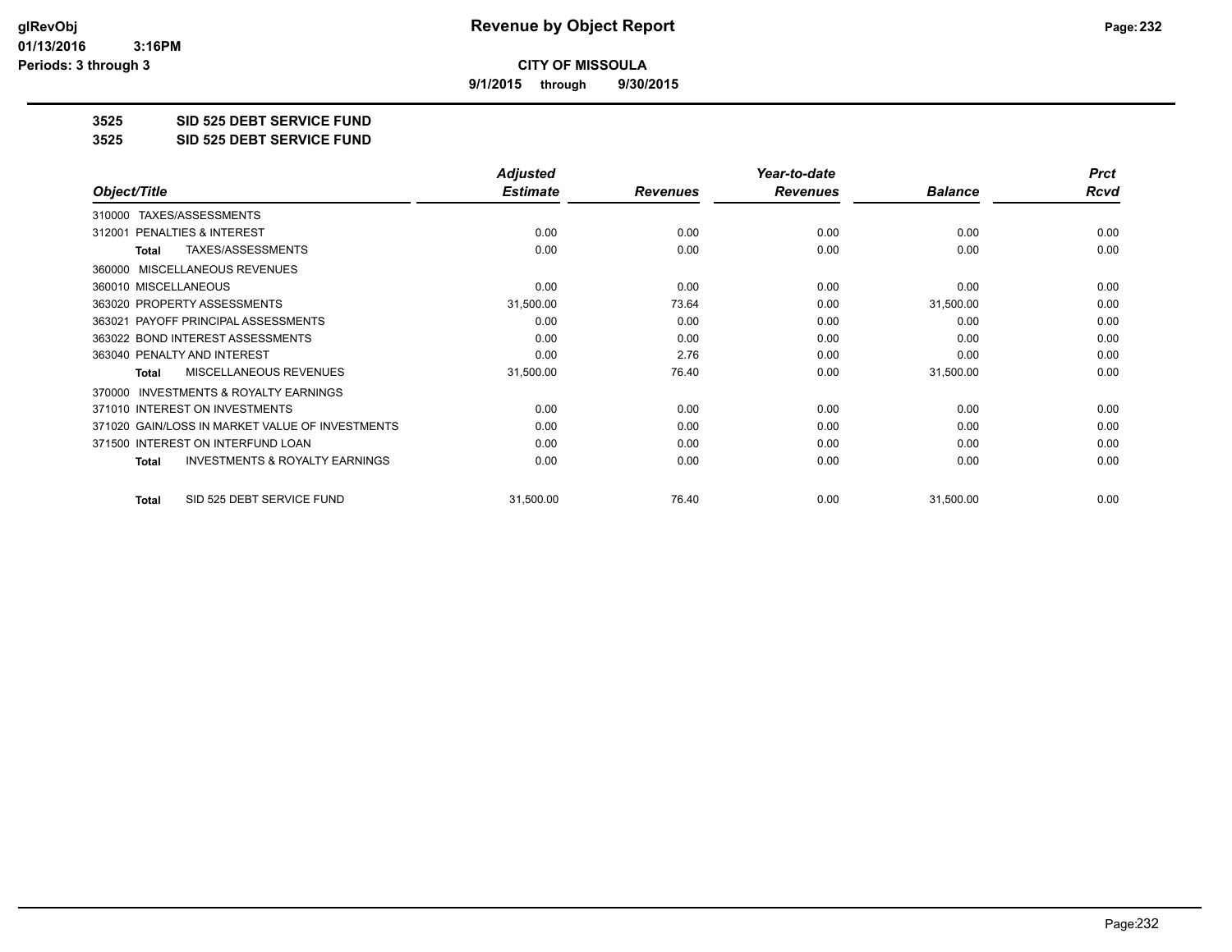**9/1/2015 through 9/30/2015**

**3525 SID 525 DEBT SERVICE FUND**

**3525 SID 525 DEBT SERVICE FUND**

|                                                           | <b>Adjusted</b> |                 | Year-to-date    |                | <b>Prct</b> |
|-----------------------------------------------------------|-----------------|-----------------|-----------------|----------------|-------------|
| Object/Title                                              | <b>Estimate</b> | <b>Revenues</b> | <b>Revenues</b> | <b>Balance</b> | <b>Rcvd</b> |
| TAXES/ASSESSMENTS<br>310000                               |                 |                 |                 |                |             |
| PENALTIES & INTEREST<br>312001                            | 0.00            | 0.00            | 0.00            | 0.00           | 0.00        |
| TAXES/ASSESSMENTS<br><b>Total</b>                         | 0.00            | 0.00            | 0.00            | 0.00           | 0.00        |
| MISCELLANEOUS REVENUES<br>360000                          |                 |                 |                 |                |             |
| 360010 MISCELLANEOUS                                      | 0.00            | 0.00            | 0.00            | 0.00           | 0.00        |
| 363020 PROPERTY ASSESSMENTS                               | 31,500.00       | 73.64           | 0.00            | 31,500.00      | 0.00        |
| 363021 PAYOFF PRINCIPAL ASSESSMENTS                       | 0.00            | 0.00            | 0.00            | 0.00           | 0.00        |
| 363022 BOND INTEREST ASSESSMENTS                          | 0.00            | 0.00            | 0.00            | 0.00           | 0.00        |
| 363040 PENALTY AND INTEREST                               | 0.00            | 2.76            | 0.00            | 0.00           | 0.00        |
| <b>MISCELLANEOUS REVENUES</b><br><b>Total</b>             | 31,500.00       | 76.40           | 0.00            | 31,500.00      | 0.00        |
| <b>INVESTMENTS &amp; ROYALTY EARNINGS</b><br>370000       |                 |                 |                 |                |             |
| 371010 INTEREST ON INVESTMENTS                            | 0.00            | 0.00            | 0.00            | 0.00           | 0.00        |
| 371020 GAIN/LOSS IN MARKET VALUE OF INVESTMENTS           | 0.00            | 0.00            | 0.00            | 0.00           | 0.00        |
| 371500 INTEREST ON INTERFUND LOAN                         | 0.00            | 0.00            | 0.00            | 0.00           | 0.00        |
| <b>INVESTMENTS &amp; ROYALTY EARNINGS</b><br><b>Total</b> | 0.00            | 0.00            | 0.00            | 0.00           | 0.00        |
| SID 525 DEBT SERVICE FUND<br><b>Total</b>                 | 31,500.00       | 76.40           | 0.00            | 31,500.00      | 0.00        |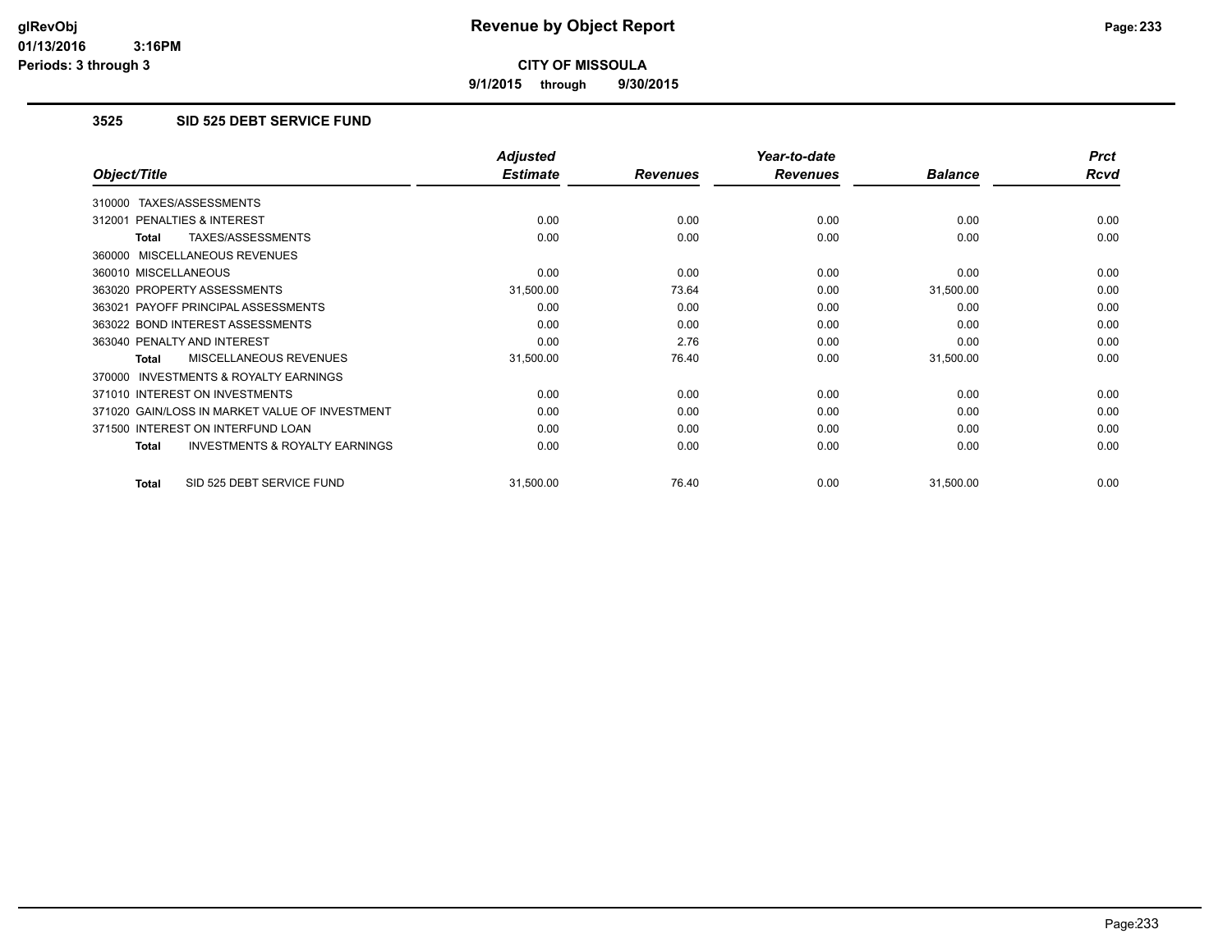**9/1/2015 through 9/30/2015**

## **3525 SID 525 DEBT SERVICE FUND**

|                                                    | <b>Adjusted</b> |                 | Year-to-date    |                | <b>Prct</b> |
|----------------------------------------------------|-----------------|-----------------|-----------------|----------------|-------------|
| Object/Title                                       | <b>Estimate</b> | <b>Revenues</b> | <b>Revenues</b> | <b>Balance</b> | Rcvd        |
| TAXES/ASSESSMENTS<br>310000                        |                 |                 |                 |                |             |
| 312001 PENALTIES & INTEREST                        | 0.00            | 0.00            | 0.00            | 0.00           | 0.00        |
| TAXES/ASSESSMENTS<br>Total                         | 0.00            | 0.00            | 0.00            | 0.00           | 0.00        |
| 360000 MISCELLANEOUS REVENUES                      |                 |                 |                 |                |             |
| 360010 MISCELLANEOUS                               | 0.00            | 0.00            | 0.00            | 0.00           | 0.00        |
| 363020 PROPERTY ASSESSMENTS                        | 31,500.00       | 73.64           | 0.00            | 31,500.00      | 0.00        |
| 363021 PAYOFF PRINCIPAL ASSESSMENTS                | 0.00            | 0.00            | 0.00            | 0.00           | 0.00        |
| 363022 BOND INTEREST ASSESSMENTS                   | 0.00            | 0.00            | 0.00            | 0.00           | 0.00        |
| 363040 PENALTY AND INTEREST                        | 0.00            | 2.76            | 0.00            | 0.00           | 0.00        |
| MISCELLANEOUS REVENUES<br>Total                    | 31,500.00       | 76.40           | 0.00            | 31,500.00      | 0.00        |
| 370000 INVESTMENTS & ROYALTY EARNINGS              |                 |                 |                 |                |             |
| 371010 INTEREST ON INVESTMENTS                     | 0.00            | 0.00            | 0.00            | 0.00           | 0.00        |
| 371020 GAIN/LOSS IN MARKET VALUE OF INVESTMENT     | 0.00            | 0.00            | 0.00            | 0.00           | 0.00        |
| 371500 INTEREST ON INTERFUND LOAN                  | 0.00            | 0.00            | 0.00            | 0.00           | 0.00        |
| <b>INVESTMENTS &amp; ROYALTY EARNINGS</b><br>Total | 0.00            | 0.00            | 0.00            | 0.00           | 0.00        |
| SID 525 DEBT SERVICE FUND<br>Total                 | 31,500.00       | 76.40           | 0.00            | 31,500.00      | 0.00        |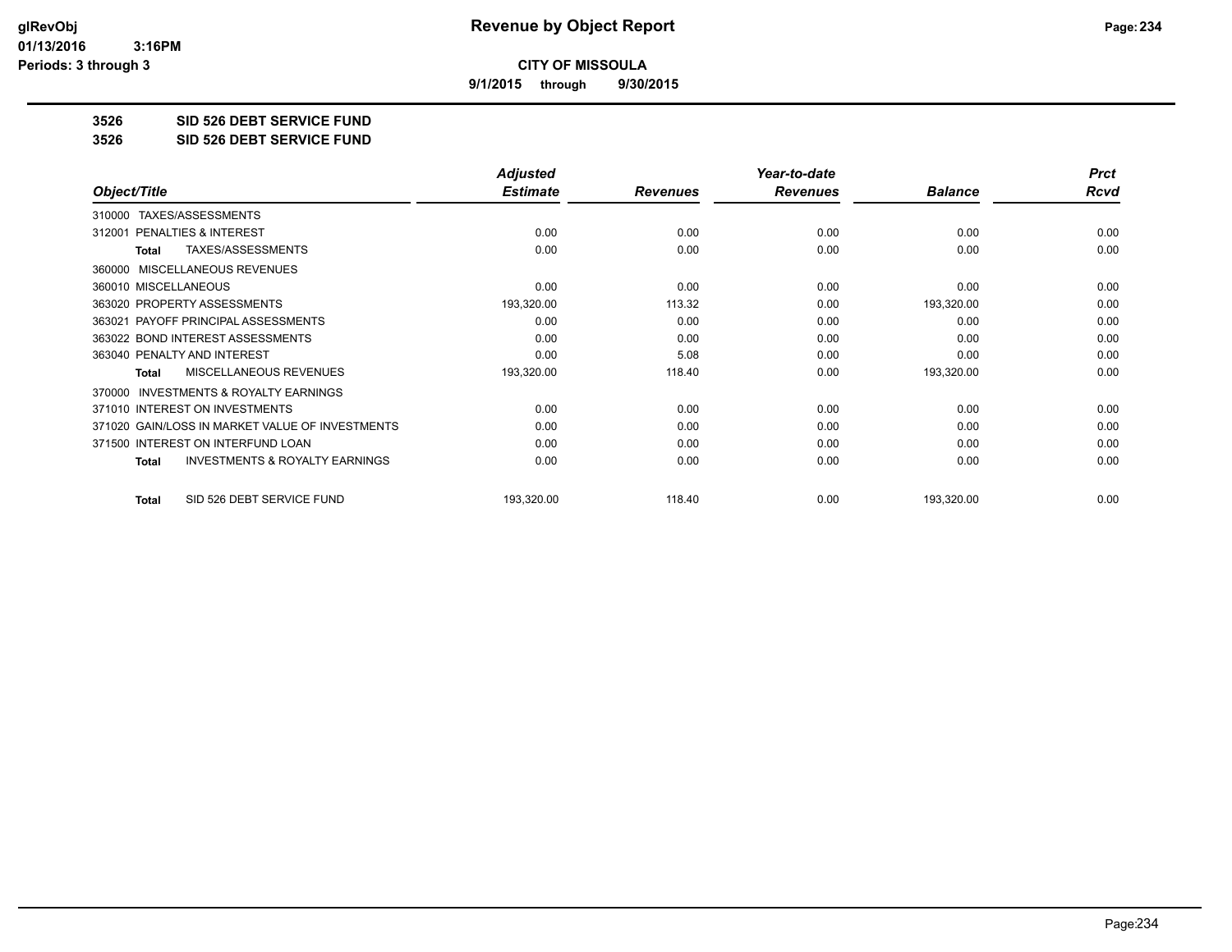**9/1/2015 through 9/30/2015**

**3526 SID 526 DEBT SERVICE FUND**

**3526 SID 526 DEBT SERVICE FUND**

|                                                           | <b>Adjusted</b> |                 | Year-to-date    |                | <b>Prct</b> |
|-----------------------------------------------------------|-----------------|-----------------|-----------------|----------------|-------------|
| Object/Title                                              | <b>Estimate</b> | <b>Revenues</b> | <b>Revenues</b> | <b>Balance</b> | <b>Rcvd</b> |
| TAXES/ASSESSMENTS<br>310000                               |                 |                 |                 |                |             |
| <b>PENALTIES &amp; INTEREST</b><br>312001                 | 0.00            | 0.00            | 0.00            | 0.00           | 0.00        |
| TAXES/ASSESSMENTS<br><b>Total</b>                         | 0.00            | 0.00            | 0.00            | 0.00           | 0.00        |
| MISCELLANEOUS REVENUES<br>360000                          |                 |                 |                 |                |             |
| 360010 MISCELLANEOUS                                      | 0.00            | 0.00            | 0.00            | 0.00           | 0.00        |
| 363020 PROPERTY ASSESSMENTS                               | 193,320.00      | 113.32          | 0.00            | 193,320.00     | 0.00        |
| 363021 PAYOFF PRINCIPAL ASSESSMENTS                       | 0.00            | 0.00            | 0.00            | 0.00           | 0.00        |
| 363022 BOND INTEREST ASSESSMENTS                          | 0.00            | 0.00            | 0.00            | 0.00           | 0.00        |
| 363040 PENALTY AND INTEREST                               | 0.00            | 5.08            | 0.00            | 0.00           | 0.00        |
| <b>MISCELLANEOUS REVENUES</b><br><b>Total</b>             | 193,320.00      | 118.40          | 0.00            | 193,320.00     | 0.00        |
| <b>INVESTMENTS &amp; ROYALTY EARNINGS</b><br>370000       |                 |                 |                 |                |             |
| 371010 INTEREST ON INVESTMENTS                            | 0.00            | 0.00            | 0.00            | 0.00           | 0.00        |
| 371020 GAIN/LOSS IN MARKET VALUE OF INVESTMENTS           | 0.00            | 0.00            | 0.00            | 0.00           | 0.00        |
| 371500 INTEREST ON INTERFUND LOAN                         | 0.00            | 0.00            | 0.00            | 0.00           | 0.00        |
| <b>INVESTMENTS &amp; ROYALTY EARNINGS</b><br><b>Total</b> | 0.00            | 0.00            | 0.00            | 0.00           | 0.00        |
| SID 526 DEBT SERVICE FUND<br><b>Total</b>                 | 193,320.00      | 118.40          | 0.00            | 193,320.00     | 0.00        |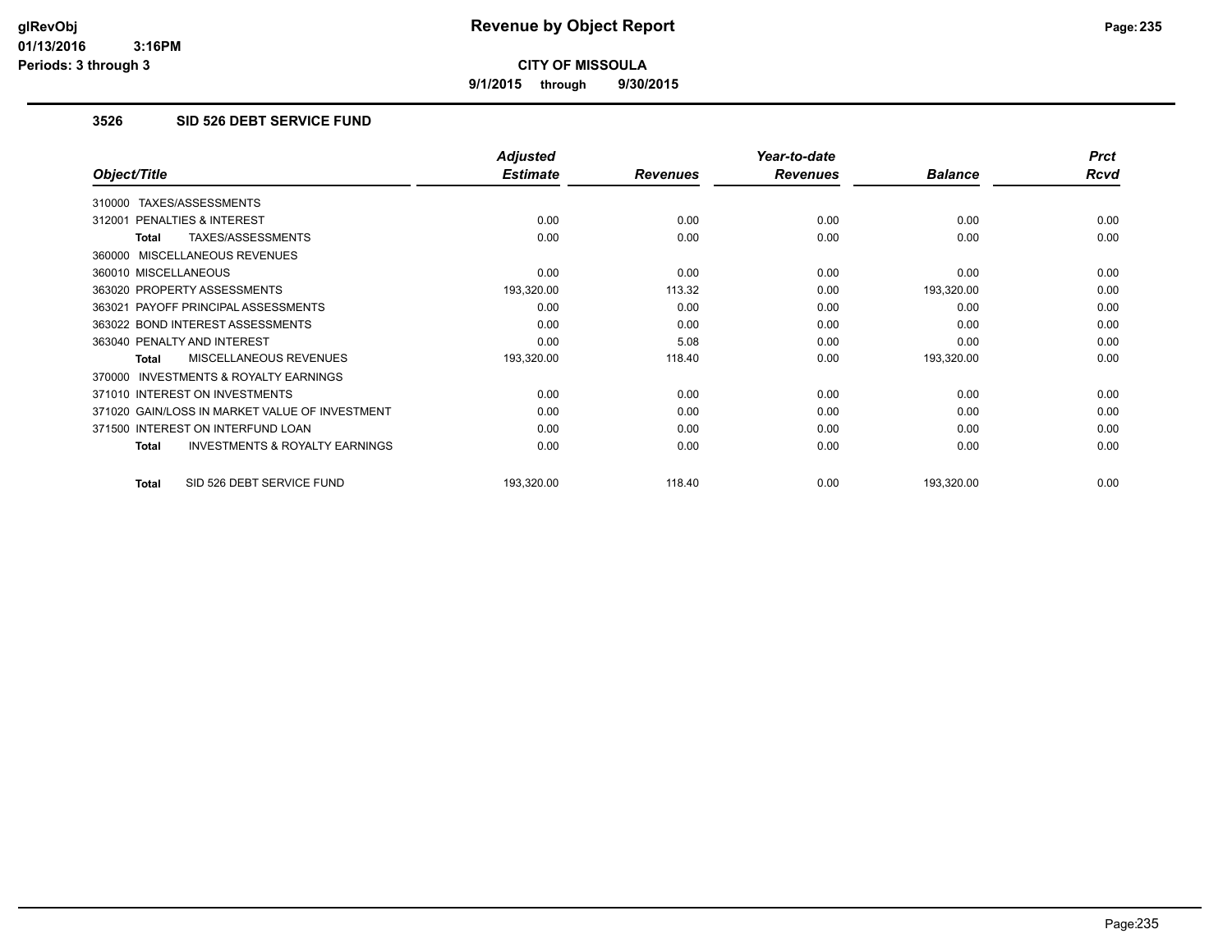**9/1/2015 through 9/30/2015**

## **3526 SID 526 DEBT SERVICE FUND**

|                                                           | <b>Adjusted</b> |                 | Year-to-date    |                | <b>Prct</b> |
|-----------------------------------------------------------|-----------------|-----------------|-----------------|----------------|-------------|
| Object/Title                                              | <b>Estimate</b> | <b>Revenues</b> | <b>Revenues</b> | <b>Balance</b> | Rcvd        |
| TAXES/ASSESSMENTS<br>310000                               |                 |                 |                 |                |             |
| 312001 PENALTIES & INTEREST                               | 0.00            | 0.00            | 0.00            | 0.00           | 0.00        |
| TAXES/ASSESSMENTS<br>Total                                | 0.00            | 0.00            | 0.00            | 0.00           | 0.00        |
| 360000 MISCELLANEOUS REVENUES                             |                 |                 |                 |                |             |
| 360010 MISCELLANEOUS                                      | 0.00            | 0.00            | 0.00            | 0.00           | 0.00        |
| 363020 PROPERTY ASSESSMENTS                               | 193,320.00      | 113.32          | 0.00            | 193,320.00     | 0.00        |
| 363021 PAYOFF PRINCIPAL ASSESSMENTS                       | 0.00            | 0.00            | 0.00            | 0.00           | 0.00        |
| 363022 BOND INTEREST ASSESSMENTS                          | 0.00            | 0.00            | 0.00            | 0.00           | 0.00        |
| 363040 PENALTY AND INTEREST                               | 0.00            | 5.08            | 0.00            | 0.00           | 0.00        |
| MISCELLANEOUS REVENUES<br>Total                           | 193,320.00      | 118.40          | 0.00            | 193,320.00     | 0.00        |
| 370000 INVESTMENTS & ROYALTY EARNINGS                     |                 |                 |                 |                |             |
| 371010 INTEREST ON INVESTMENTS                            | 0.00            | 0.00            | 0.00            | 0.00           | 0.00        |
| 371020 GAIN/LOSS IN MARKET VALUE OF INVESTMENT            | 0.00            | 0.00            | 0.00            | 0.00           | 0.00        |
| 371500 INTEREST ON INTERFUND LOAN                         | 0.00            | 0.00            | 0.00            | 0.00           | 0.00        |
| <b>INVESTMENTS &amp; ROYALTY EARNINGS</b><br><b>Total</b> | 0.00            | 0.00            | 0.00            | 0.00           | 0.00        |
| SID 526 DEBT SERVICE FUND<br><b>Total</b>                 | 193,320.00      | 118.40          | 0.00            | 193,320.00     | 0.00        |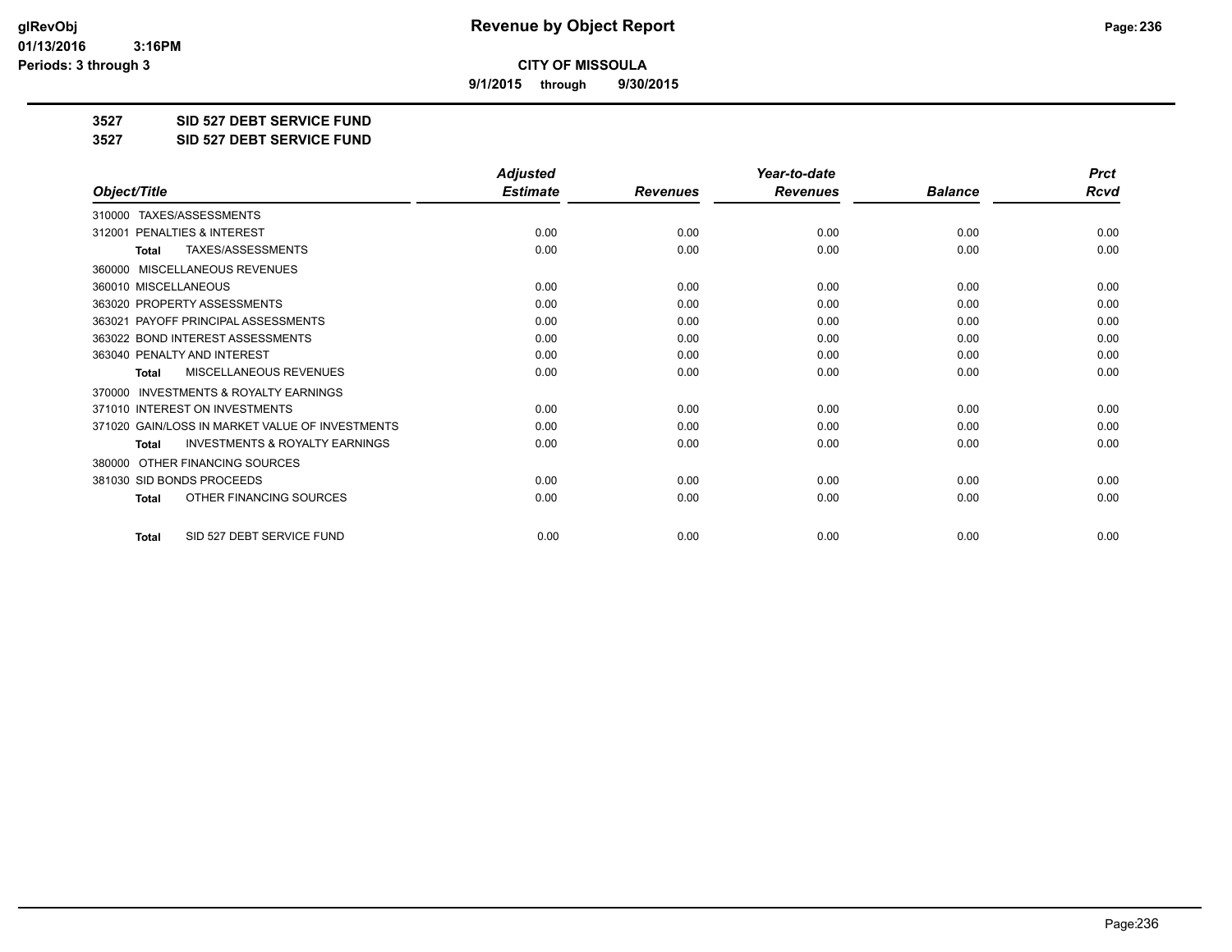**9/1/2015 through 9/30/2015**

**3527 SID 527 DEBT SERVICE FUND**

**3527 SID 527 DEBT SERVICE FUND**

|                                                     | <b>Adjusted</b> |                 | Year-to-date    |                | <b>Prct</b> |
|-----------------------------------------------------|-----------------|-----------------|-----------------|----------------|-------------|
| Object/Title                                        | <b>Estimate</b> | <b>Revenues</b> | <b>Revenues</b> | <b>Balance</b> | <b>Rcvd</b> |
| 310000 TAXES/ASSESSMENTS                            |                 |                 |                 |                |             |
| <b>PENALTIES &amp; INTEREST</b><br>312001           | 0.00            | 0.00            | 0.00            | 0.00           | 0.00        |
| TAXES/ASSESSMENTS<br><b>Total</b>                   | 0.00            | 0.00            | 0.00            | 0.00           | 0.00        |
| MISCELLANEOUS REVENUES<br>360000                    |                 |                 |                 |                |             |
| 360010 MISCELLANEOUS                                | 0.00            | 0.00            | 0.00            | 0.00           | 0.00        |
| 363020 PROPERTY ASSESSMENTS                         | 0.00            | 0.00            | 0.00            | 0.00           | 0.00        |
| 363021 PAYOFF PRINCIPAL ASSESSMENTS                 | 0.00            | 0.00            | 0.00            | 0.00           | 0.00        |
| 363022 BOND INTEREST ASSESSMENTS                    | 0.00            | 0.00            | 0.00            | 0.00           | 0.00        |
| 363040 PENALTY AND INTEREST                         | 0.00            | 0.00            | 0.00            | 0.00           | 0.00        |
| MISCELLANEOUS REVENUES<br><b>Total</b>              | 0.00            | 0.00            | 0.00            | 0.00           | 0.00        |
| <b>INVESTMENTS &amp; ROYALTY EARNINGS</b><br>370000 |                 |                 |                 |                |             |
| 371010 INTEREST ON INVESTMENTS                      | 0.00            | 0.00            | 0.00            | 0.00           | 0.00        |
| 371020 GAIN/LOSS IN MARKET VALUE OF INVESTMENTS     | 0.00            | 0.00            | 0.00            | 0.00           | 0.00        |
| <b>INVESTMENTS &amp; ROYALTY EARNINGS</b><br>Total  | 0.00            | 0.00            | 0.00            | 0.00           | 0.00        |
| OTHER FINANCING SOURCES<br>380000                   |                 |                 |                 |                |             |
| 381030 SID BONDS PROCEEDS                           | 0.00            | 0.00            | 0.00            | 0.00           | 0.00        |
| OTHER FINANCING SOURCES<br><b>Total</b>             | 0.00            | 0.00            | 0.00            | 0.00           | 0.00        |
| SID 527 DEBT SERVICE FUND<br><b>Total</b>           | 0.00            | 0.00            | 0.00            | 0.00           | 0.00        |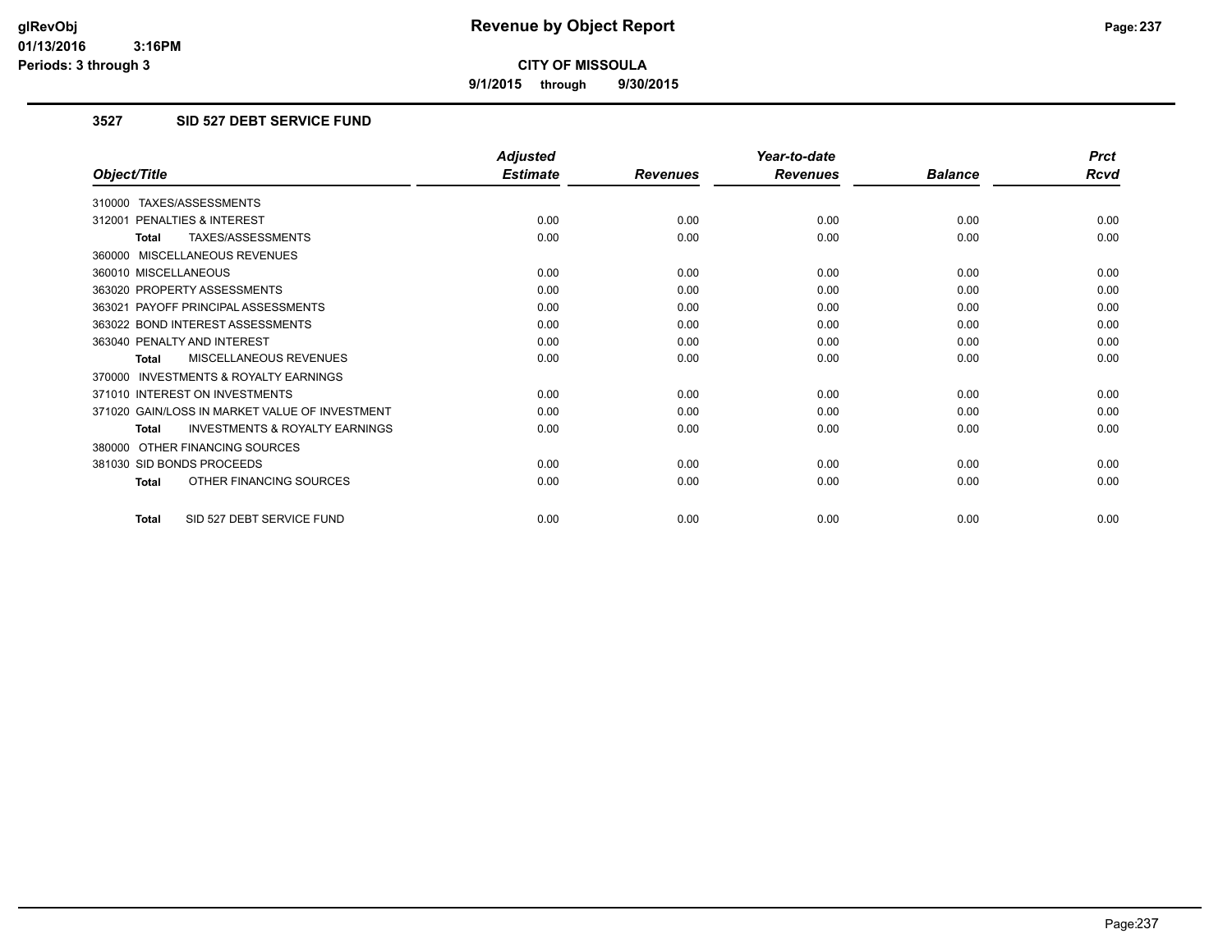**9/1/2015 through 9/30/2015**

## **3527 SID 527 DEBT SERVICE FUND**

|                                                           | <b>Adjusted</b> |                 | Year-to-date    |                | <b>Prct</b> |
|-----------------------------------------------------------|-----------------|-----------------|-----------------|----------------|-------------|
| Object/Title                                              | <b>Estimate</b> | <b>Revenues</b> | <b>Revenues</b> | <b>Balance</b> | <b>Rcvd</b> |
| 310000 TAXES/ASSESSMENTS                                  |                 |                 |                 |                |             |
| 312001 PENALTIES & INTEREST                               | 0.00            | 0.00            | 0.00            | 0.00           | 0.00        |
| TAXES/ASSESSMENTS<br><b>Total</b>                         | 0.00            | 0.00            | 0.00            | 0.00           | 0.00        |
| 360000 MISCELLANEOUS REVENUES                             |                 |                 |                 |                |             |
| 360010 MISCELLANEOUS                                      | 0.00            | 0.00            | 0.00            | 0.00           | 0.00        |
| 363020 PROPERTY ASSESSMENTS                               | 0.00            | 0.00            | 0.00            | 0.00           | 0.00        |
| 363021 PAYOFF PRINCIPAL ASSESSMENTS                       | 0.00            | 0.00            | 0.00            | 0.00           | 0.00        |
| 363022 BOND INTEREST ASSESSMENTS                          | 0.00            | 0.00            | 0.00            | 0.00           | 0.00        |
| 363040 PENALTY AND INTEREST                               | 0.00            | 0.00            | 0.00            | 0.00           | 0.00        |
| MISCELLANEOUS REVENUES<br><b>Total</b>                    | 0.00            | 0.00            | 0.00            | 0.00           | 0.00        |
| <b>INVESTMENTS &amp; ROYALTY EARNINGS</b><br>370000       |                 |                 |                 |                |             |
| 371010 INTEREST ON INVESTMENTS                            | 0.00            | 0.00            | 0.00            | 0.00           | 0.00        |
| 371020 GAIN/LOSS IN MARKET VALUE OF INVESTMENT            | 0.00            | 0.00            | 0.00            | 0.00           | 0.00        |
| <b>INVESTMENTS &amp; ROYALTY EARNINGS</b><br><b>Total</b> | 0.00            | 0.00            | 0.00            | 0.00           | 0.00        |
| OTHER FINANCING SOURCES<br>380000                         |                 |                 |                 |                |             |
| 381030 SID BONDS PROCEEDS                                 | 0.00            | 0.00            | 0.00            | 0.00           | 0.00        |
| OTHER FINANCING SOURCES<br>Total                          | 0.00            | 0.00            | 0.00            | 0.00           | 0.00        |
| SID 527 DEBT SERVICE FUND<br>Total                        | 0.00            | 0.00            | 0.00            | 0.00           | 0.00        |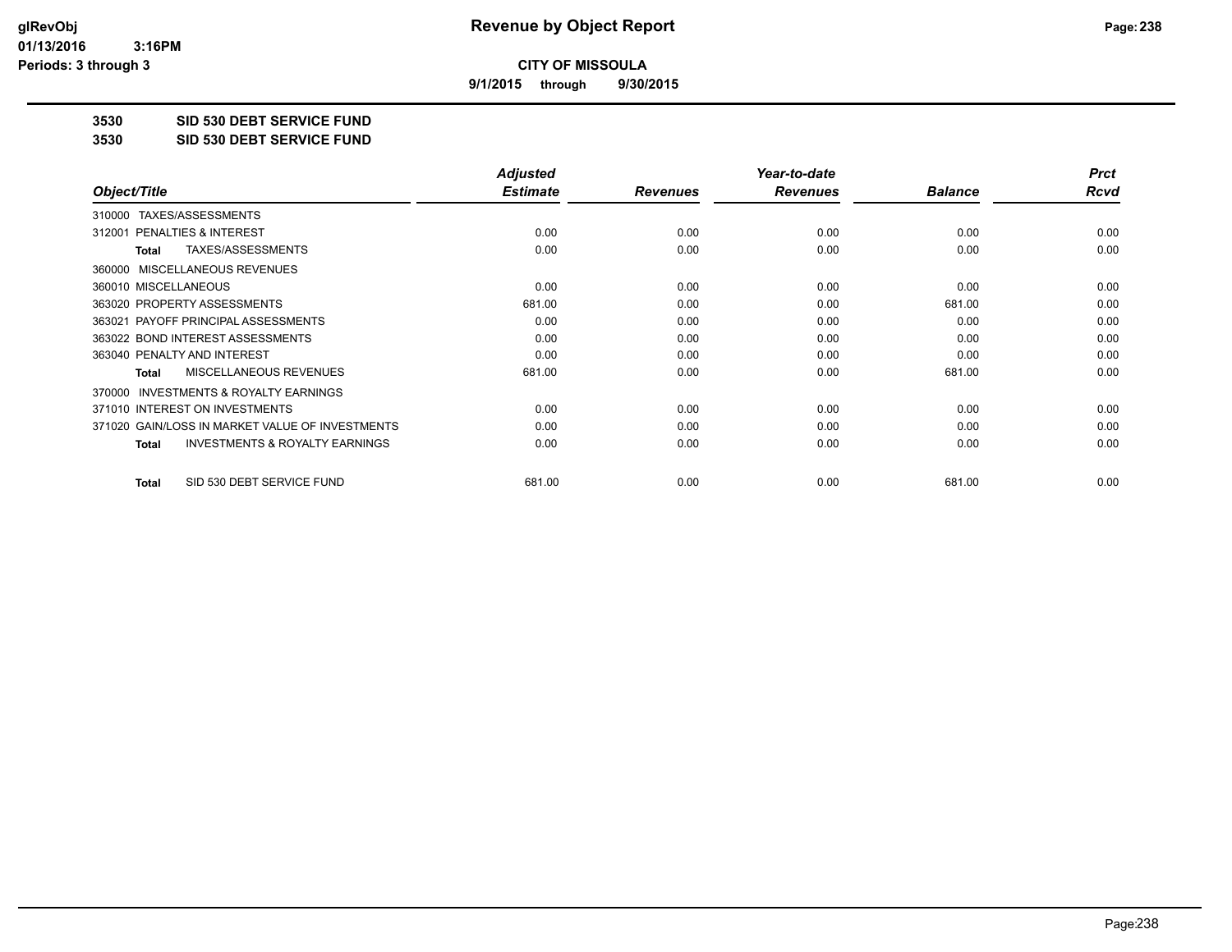**9/1/2015 through 9/30/2015**

**3530 SID 530 DEBT SERVICE FUND**

**3530 SID 530 DEBT SERVICE FUND**

|                                                           | <b>Adjusted</b> |                 | Year-to-date    |                | <b>Prct</b> |
|-----------------------------------------------------------|-----------------|-----------------|-----------------|----------------|-------------|
| Object/Title                                              | <b>Estimate</b> | <b>Revenues</b> | <b>Revenues</b> | <b>Balance</b> | Rcvd        |
| TAXES/ASSESSMENTS<br>310000                               |                 |                 |                 |                |             |
| 312001 PENALTIES & INTEREST                               | 0.00            | 0.00            | 0.00            | 0.00           | 0.00        |
| TAXES/ASSESSMENTS<br>Total                                | 0.00            | 0.00            | 0.00            | 0.00           | 0.00        |
| MISCELLANEOUS REVENUES<br>360000                          |                 |                 |                 |                |             |
| 360010 MISCELLANEOUS                                      | 0.00            | 0.00            | 0.00            | 0.00           | 0.00        |
| 363020 PROPERTY ASSESSMENTS                               | 681.00          | 0.00            | 0.00            | 681.00         | 0.00        |
| 363021 PAYOFF PRINCIPAL ASSESSMENTS                       | 0.00            | 0.00            | 0.00            | 0.00           | 0.00        |
| 363022 BOND INTEREST ASSESSMENTS                          | 0.00            | 0.00            | 0.00            | 0.00           | 0.00        |
| 363040 PENALTY AND INTEREST                               | 0.00            | 0.00            | 0.00            | 0.00           | 0.00        |
| <b>MISCELLANEOUS REVENUES</b><br>Total                    | 681.00          | 0.00            | 0.00            | 681.00         | 0.00        |
| <b>INVESTMENTS &amp; ROYALTY EARNINGS</b><br>370000       |                 |                 |                 |                |             |
| 371010 INTEREST ON INVESTMENTS                            | 0.00            | 0.00            | 0.00            | 0.00           | 0.00        |
| 371020 GAIN/LOSS IN MARKET VALUE OF INVESTMENTS           | 0.00            | 0.00            | 0.00            | 0.00           | 0.00        |
| <b>INVESTMENTS &amp; ROYALTY EARNINGS</b><br><b>Total</b> | 0.00            | 0.00            | 0.00            | 0.00           | 0.00        |
| SID 530 DEBT SERVICE FUND<br>Total                        | 681.00          | 0.00            | 0.00            | 681.00         | 0.00        |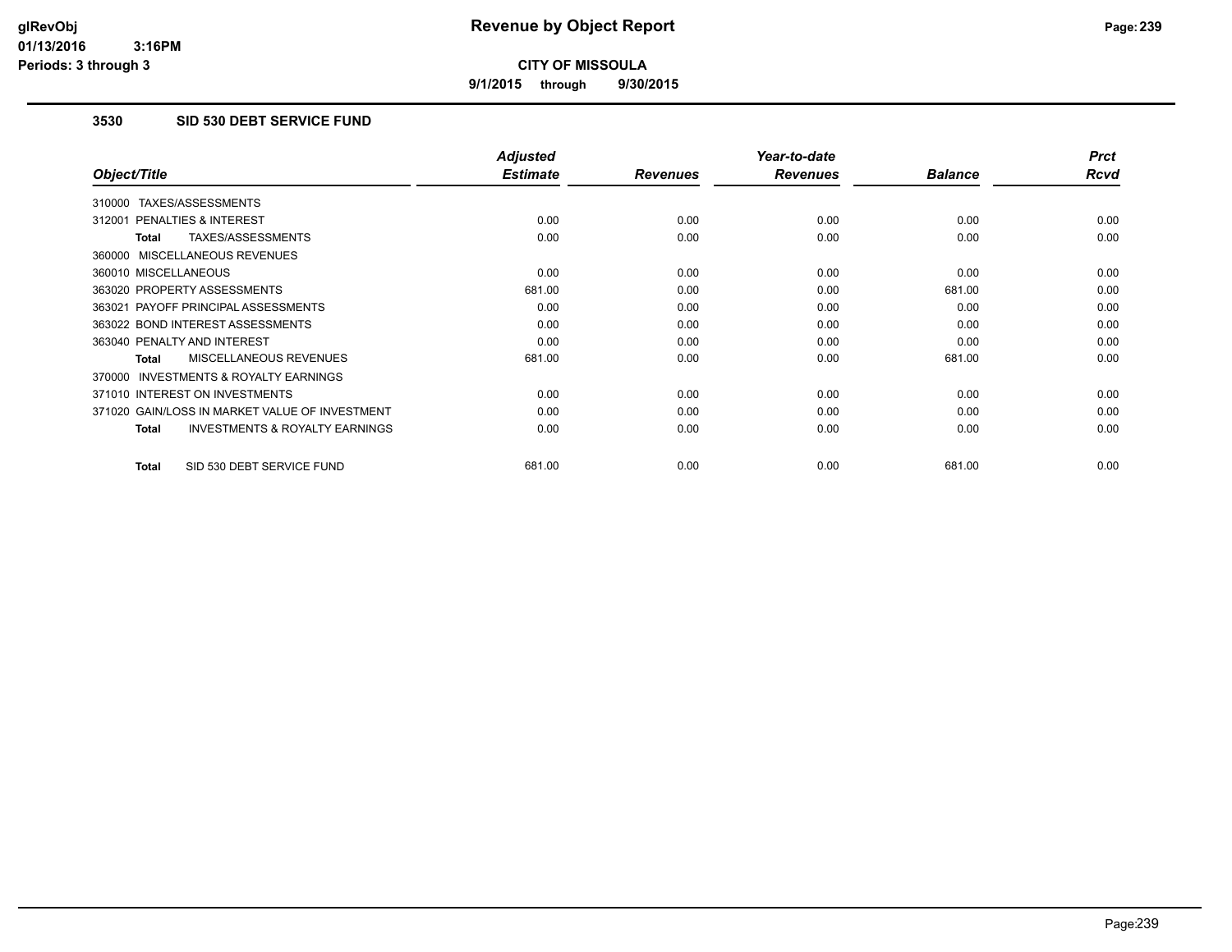**9/1/2015 through 9/30/2015**

## **3530 SID 530 DEBT SERVICE FUND**

|                                                           | <b>Adjusted</b> |                 | Year-to-date    |                | <b>Prct</b> |
|-----------------------------------------------------------|-----------------|-----------------|-----------------|----------------|-------------|
| Object/Title                                              | <b>Estimate</b> | <b>Revenues</b> | <b>Revenues</b> | <b>Balance</b> | <b>Rcvd</b> |
| TAXES/ASSESSMENTS<br>310000                               |                 |                 |                 |                |             |
| <b>PENALTIES &amp; INTEREST</b><br>312001                 | 0.00            | 0.00            | 0.00            | 0.00           | 0.00        |
| TAXES/ASSESSMENTS<br>Total                                | 0.00            | 0.00            | 0.00            | 0.00           | 0.00        |
| 360000 MISCELLANEOUS REVENUES                             |                 |                 |                 |                |             |
| 360010 MISCELLANEOUS                                      | 0.00            | 0.00            | 0.00            | 0.00           | 0.00        |
| 363020 PROPERTY ASSESSMENTS                               | 681.00          | 0.00            | 0.00            | 681.00         | 0.00        |
| 363021 PAYOFF PRINCIPAL ASSESSMENTS                       | 0.00            | 0.00            | 0.00            | 0.00           | 0.00        |
| 363022 BOND INTEREST ASSESSMENTS                          | 0.00            | 0.00            | 0.00            | 0.00           | 0.00        |
| 363040 PENALTY AND INTEREST                               | 0.00            | 0.00            | 0.00            | 0.00           | 0.00        |
| <b>MISCELLANEOUS REVENUES</b><br>Total                    | 681.00          | 0.00            | 0.00            | 681.00         | 0.00        |
| <b>INVESTMENTS &amp; ROYALTY EARNINGS</b><br>370000       |                 |                 |                 |                |             |
| 371010 INTEREST ON INVESTMENTS                            | 0.00            | 0.00            | 0.00            | 0.00           | 0.00        |
| 371020 GAIN/LOSS IN MARKET VALUE OF INVESTMENT            | 0.00            | 0.00            | 0.00            | 0.00           | 0.00        |
| <b>INVESTMENTS &amp; ROYALTY EARNINGS</b><br><b>Total</b> | 0.00            | 0.00            | 0.00            | 0.00           | 0.00        |
| SID 530 DEBT SERVICE FUND<br><b>Total</b>                 | 681.00          | 0.00            | 0.00            | 681.00         | 0.00        |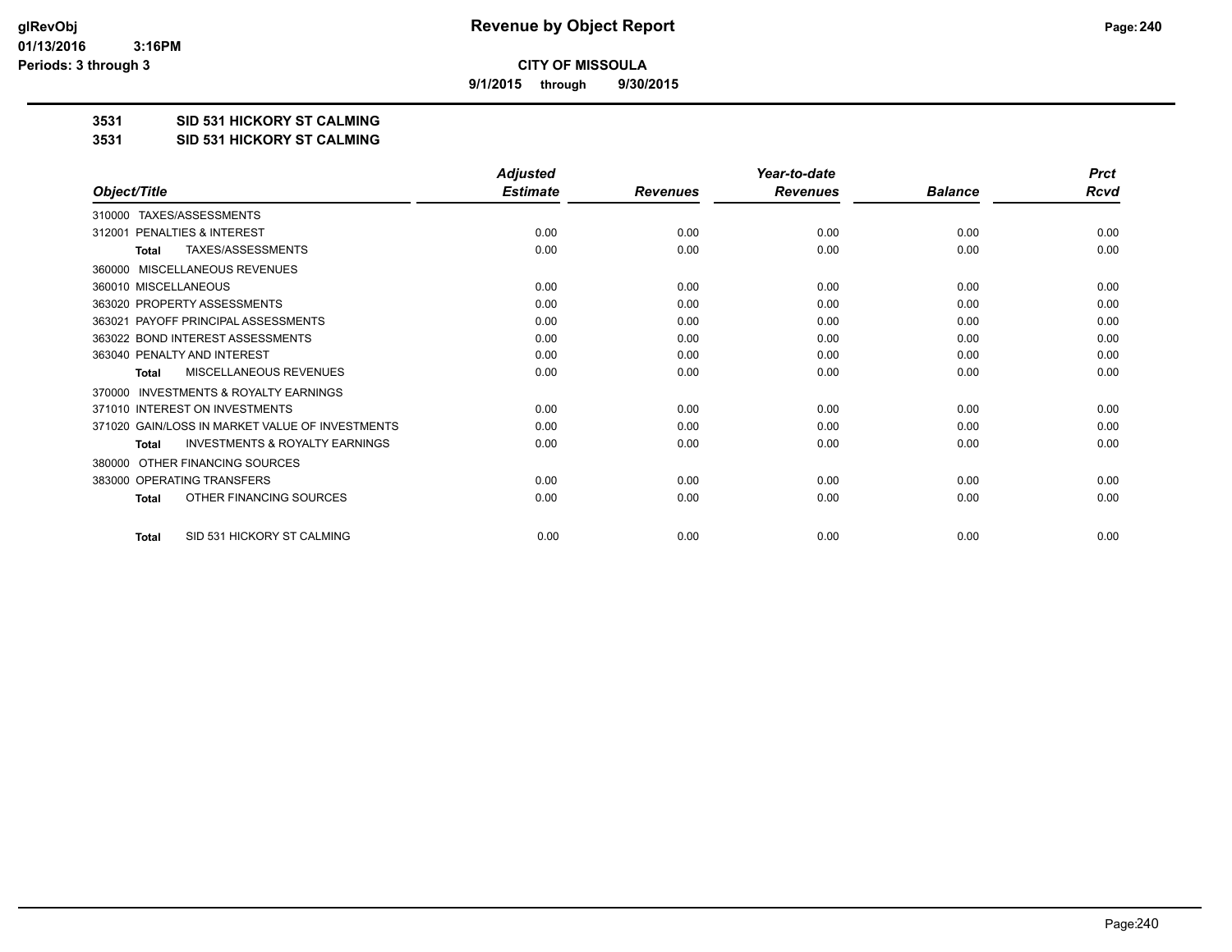**9/1/2015 through 9/30/2015**

### **3531 SID 531 HICKORY ST CALMING**

#### **3531 SID 531 HICKORY ST CALMING**

|                                                     | <b>Adjusted</b> |                 | Year-to-date    |                | <b>Prct</b> |
|-----------------------------------------------------|-----------------|-----------------|-----------------|----------------|-------------|
| Object/Title                                        | <b>Estimate</b> | <b>Revenues</b> | <b>Revenues</b> | <b>Balance</b> | Rcvd        |
| TAXES/ASSESSMENTS<br>310000                         |                 |                 |                 |                |             |
| PENALTIES & INTEREST<br>312001                      | 0.00            | 0.00            | 0.00            | 0.00           | 0.00        |
| TAXES/ASSESSMENTS<br><b>Total</b>                   | 0.00            | 0.00            | 0.00            | 0.00           | 0.00        |
| MISCELLANEOUS REVENUES<br>360000                    |                 |                 |                 |                |             |
| 360010 MISCELLANEOUS                                | 0.00            | 0.00            | 0.00            | 0.00           | 0.00        |
| 363020 PROPERTY ASSESSMENTS                         | 0.00            | 0.00            | 0.00            | 0.00           | 0.00        |
| 363021 PAYOFF PRINCIPAL ASSESSMENTS                 | 0.00            | 0.00            | 0.00            | 0.00           | 0.00        |
| 363022 BOND INTEREST ASSESSMENTS                    | 0.00            | 0.00            | 0.00            | 0.00           | 0.00        |
| 363040 PENALTY AND INTEREST                         | 0.00            | 0.00            | 0.00            | 0.00           | 0.00        |
| MISCELLANEOUS REVENUES<br>Total                     | 0.00            | 0.00            | 0.00            | 0.00           | 0.00        |
| <b>INVESTMENTS &amp; ROYALTY EARNINGS</b><br>370000 |                 |                 |                 |                |             |
| 371010 INTEREST ON INVESTMENTS                      | 0.00            | 0.00            | 0.00            | 0.00           | 0.00        |
| 371020 GAIN/LOSS IN MARKET VALUE OF INVESTMENTS     | 0.00            | 0.00            | 0.00            | 0.00           | 0.00        |
| <b>INVESTMENTS &amp; ROYALTY EARNINGS</b><br>Total  | 0.00            | 0.00            | 0.00            | 0.00           | 0.00        |
| OTHER FINANCING SOURCES<br>380000                   |                 |                 |                 |                |             |
| 383000 OPERATING TRANSFERS                          | 0.00            | 0.00            | 0.00            | 0.00           | 0.00        |
| OTHER FINANCING SOURCES<br><b>Total</b>             | 0.00            | 0.00            | 0.00            | 0.00           | 0.00        |
| SID 531 HICKORY ST CALMING<br><b>Total</b>          | 0.00            | 0.00            | 0.00            | 0.00           | 0.00        |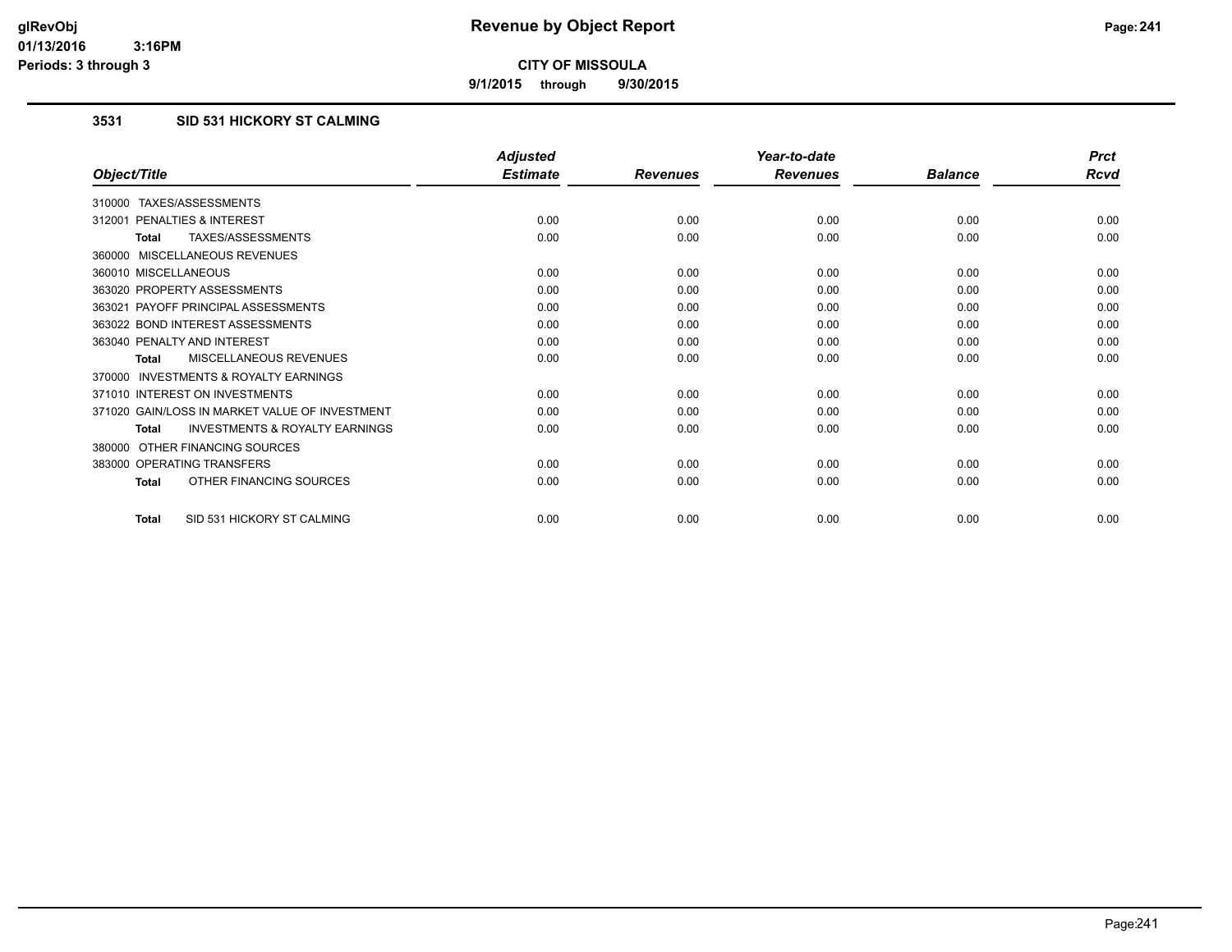**9/1/2015 through 9/30/2015**

# **3531 SID 531 HICKORY ST CALMING**

|                                                           | <b>Adjusted</b> |                 | Year-to-date    |                | <b>Prct</b> |
|-----------------------------------------------------------|-----------------|-----------------|-----------------|----------------|-------------|
| Object/Title                                              | <b>Estimate</b> | <b>Revenues</b> | <b>Revenues</b> | <b>Balance</b> | <b>Rcvd</b> |
| 310000 TAXES/ASSESSMENTS                                  |                 |                 |                 |                |             |
| PENALTIES & INTEREST<br>312001                            | 0.00            | 0.00            | 0.00            | 0.00           | 0.00        |
| TAXES/ASSESSMENTS<br><b>Total</b>                         | 0.00            | 0.00            | 0.00            | 0.00           | 0.00        |
| 360000 MISCELLANEOUS REVENUES                             |                 |                 |                 |                |             |
| 360010 MISCELLANEOUS                                      | 0.00            | 0.00            | 0.00            | 0.00           | 0.00        |
| 363020 PROPERTY ASSESSMENTS                               | 0.00            | 0.00            | 0.00            | 0.00           | 0.00        |
| 363021 PAYOFF PRINCIPAL ASSESSMENTS                       | 0.00            | 0.00            | 0.00            | 0.00           | 0.00        |
| 363022 BOND INTEREST ASSESSMENTS                          | 0.00            | 0.00            | 0.00            | 0.00           | 0.00        |
| 363040 PENALTY AND INTEREST                               | 0.00            | 0.00            | 0.00            | 0.00           | 0.00        |
| MISCELLANEOUS REVENUES<br><b>Total</b>                    | 0.00            | 0.00            | 0.00            | 0.00           | 0.00        |
| <b>INVESTMENTS &amp; ROYALTY EARNINGS</b><br>370000       |                 |                 |                 |                |             |
| 371010 INTEREST ON INVESTMENTS                            | 0.00            | 0.00            | 0.00            | 0.00           | 0.00        |
| 371020 GAIN/LOSS IN MARKET VALUE OF INVESTMENT            | 0.00            | 0.00            | 0.00            | 0.00           | 0.00        |
| <b>INVESTMENTS &amp; ROYALTY EARNINGS</b><br><b>Total</b> | 0.00            | 0.00            | 0.00            | 0.00           | 0.00        |
| OTHER FINANCING SOURCES<br>380000                         |                 |                 |                 |                |             |
| 383000 OPERATING TRANSFERS                                | 0.00            | 0.00            | 0.00            | 0.00           | 0.00        |
| OTHER FINANCING SOURCES<br><b>Total</b>                   | 0.00            | 0.00            | 0.00            | 0.00           | 0.00        |
| SID 531 HICKORY ST CALMING<br><b>Total</b>                | 0.00            | 0.00            | 0.00            | 0.00           | 0.00        |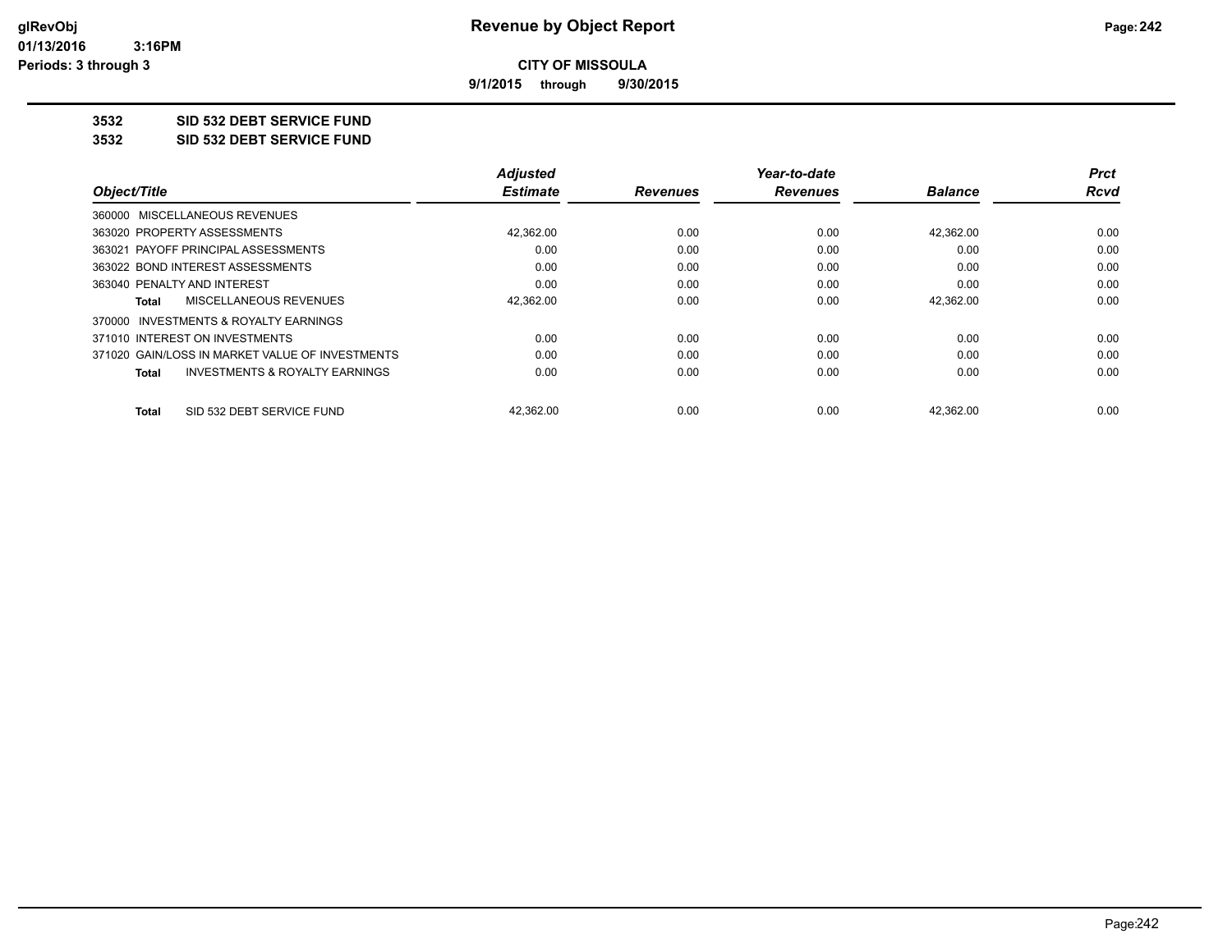**9/1/2015 through 9/30/2015**

# **3532 SID 532 DEBT SERVICE FUND**

**3532 SID 532 DEBT SERVICE FUND**

|                                                 | <b>Adjusted</b> |                 | Year-to-date    |                | <b>Prct</b> |
|-------------------------------------------------|-----------------|-----------------|-----------------|----------------|-------------|
| Object/Title                                    | <b>Estimate</b> | <b>Revenues</b> | <b>Revenues</b> | <b>Balance</b> | Rcvd        |
| 360000 MISCELLANEOUS REVENUES                   |                 |                 |                 |                |             |
| 363020 PROPERTY ASSESSMENTS                     | 42,362.00       | 0.00            | 0.00            | 42.362.00      | 0.00        |
| 363021 PAYOFF PRINCIPAL ASSESSMENTS             | 0.00            | 0.00            | 0.00            | 0.00           | 0.00        |
| 363022 BOND INTEREST ASSESSMENTS                | 0.00            | 0.00            | 0.00            | 0.00           | 0.00        |
| 363040 PENALTY AND INTEREST                     | 0.00            | 0.00            | 0.00            | 0.00           | 0.00        |
| MISCELLANEOUS REVENUES<br>Total                 | 42,362.00       | 0.00            | 0.00            | 42,362.00      | 0.00        |
| 370000 INVESTMENTS & ROYALTY EARNINGS           |                 |                 |                 |                |             |
| 371010 INTEREST ON INVESTMENTS                  | 0.00            | 0.00            | 0.00            | 0.00           | 0.00        |
| 371020 GAIN/LOSS IN MARKET VALUE OF INVESTMENTS | 0.00            | 0.00            | 0.00            | 0.00           | 0.00        |
| INVESTMENTS & ROYALTY EARNINGS<br>Total         | 0.00            | 0.00            | 0.00            | 0.00           | 0.00        |
| SID 532 DEBT SERVICE FUND<br>Total              | 42.362.00       | 0.00            | 0.00            | 42.362.00      | 0.00        |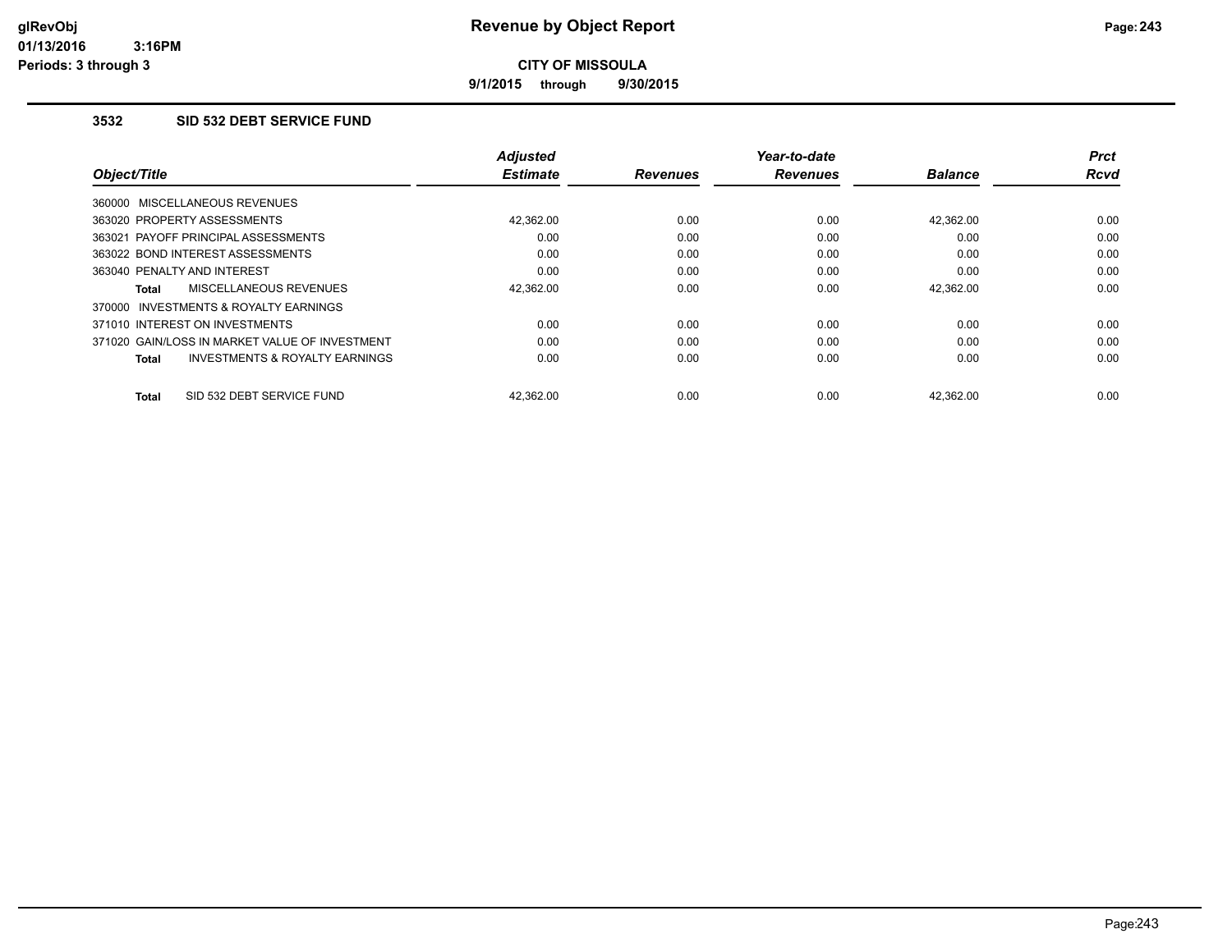**9/1/2015 through 9/30/2015**

## **3532 SID 532 DEBT SERVICE FUND**

|                                                           | <b>Adjusted</b> |                 | Year-to-date    |                | Prct        |
|-----------------------------------------------------------|-----------------|-----------------|-----------------|----------------|-------------|
| Object/Title                                              | <b>Estimate</b> | <b>Revenues</b> | <b>Revenues</b> | <b>Balance</b> | <b>Rcvd</b> |
| 360000 MISCELLANEOUS REVENUES                             |                 |                 |                 |                |             |
| 363020 PROPERTY ASSESSMENTS                               | 42.362.00       | 0.00            | 0.00            | 42.362.00      | 0.00        |
| 363021 PAYOFF PRINCIPAL ASSESSMENTS                       | 0.00            | 0.00            | 0.00            | 0.00           | 0.00        |
| 363022 BOND INTEREST ASSESSMENTS                          | 0.00            | 0.00            | 0.00            | 0.00           | 0.00        |
| 363040 PENALTY AND INTEREST                               | 0.00            | 0.00            | 0.00            | 0.00           | 0.00        |
| MISCELLANEOUS REVENUES<br><b>Total</b>                    | 42,362.00       | 0.00            | 0.00            | 42,362.00      | 0.00        |
| <b>INVESTMENTS &amp; ROYALTY EARNINGS</b><br>370000       |                 |                 |                 |                |             |
| 371010 INTEREST ON INVESTMENTS                            | 0.00            | 0.00            | 0.00            | 0.00           | 0.00        |
| 371020 GAIN/LOSS IN MARKET VALUE OF INVESTMENT            | 0.00            | 0.00            | 0.00            | 0.00           | 0.00        |
| <b>INVESTMENTS &amp; ROYALTY EARNINGS</b><br><b>Total</b> | 0.00            | 0.00            | 0.00            | 0.00           | 0.00        |
| SID 532 DEBT SERVICE FUND<br><b>Total</b>                 | 42.362.00       | 0.00            | 0.00            | 42.362.00      | 0.00        |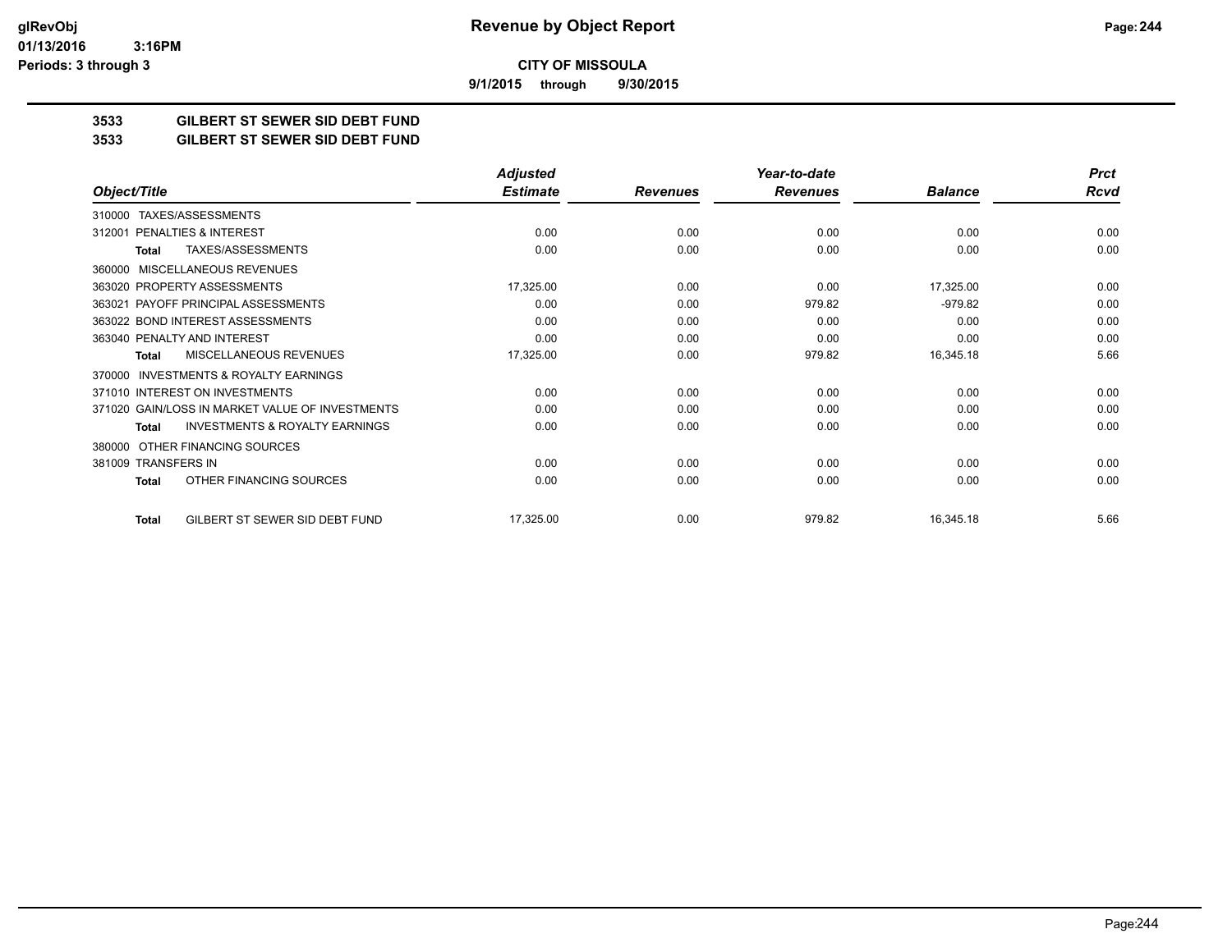**9/1/2015 through 9/30/2015**

## **3533 GILBERT ST SEWER SID DEBT FUND**

#### **3533 GILBERT ST SEWER SID DEBT FUND**

|                                                           | <b>Adjusted</b> |                 | Year-to-date    |                | <b>Prct</b> |
|-----------------------------------------------------------|-----------------|-----------------|-----------------|----------------|-------------|
| Object/Title                                              | <b>Estimate</b> | <b>Revenues</b> | <b>Revenues</b> | <b>Balance</b> | <b>Rcvd</b> |
| TAXES/ASSESSMENTS<br>310000                               |                 |                 |                 |                |             |
| PENALTIES & INTEREST<br>312001                            | 0.00            | 0.00            | 0.00            | 0.00           | 0.00        |
| <b>TAXES/ASSESSMENTS</b><br>Total                         | 0.00            | 0.00            | 0.00            | 0.00           | 0.00        |
| <b>MISCELLANEOUS REVENUES</b><br>360000                   |                 |                 |                 |                |             |
| 363020 PROPERTY ASSESSMENTS                               | 17,325.00       | 0.00            | 0.00            | 17,325.00      | 0.00        |
| 363021 PAYOFF PRINCIPAL ASSESSMENTS                       | 0.00            | 0.00            | 979.82          | $-979.82$      | 0.00        |
| 363022 BOND INTEREST ASSESSMENTS                          | 0.00            | 0.00            | 0.00            | 0.00           | 0.00        |
| 363040 PENALTY AND INTEREST                               | 0.00            | 0.00            | 0.00            | 0.00           | 0.00        |
| <b>MISCELLANEOUS REVENUES</b><br><b>Total</b>             | 17,325.00       | 0.00            | 979.82          | 16,345.18      | 5.66        |
| <b>INVESTMENTS &amp; ROYALTY EARNINGS</b><br>370000       |                 |                 |                 |                |             |
| 371010 INTEREST ON INVESTMENTS                            | 0.00            | 0.00            | 0.00            | 0.00           | 0.00        |
| 371020 GAIN/LOSS IN MARKET VALUE OF INVESTMENTS           | 0.00            | 0.00            | 0.00            | 0.00           | 0.00        |
| <b>INVESTMENTS &amp; ROYALTY EARNINGS</b><br><b>Total</b> | 0.00            | 0.00            | 0.00            | 0.00           | 0.00        |
| OTHER FINANCING SOURCES<br>380000                         |                 |                 |                 |                |             |
| 381009 TRANSFERS IN                                       | 0.00            | 0.00            | 0.00            | 0.00           | 0.00        |
| OTHER FINANCING SOURCES<br><b>Total</b>                   | 0.00            | 0.00            | 0.00            | 0.00           | 0.00        |
| GILBERT ST SEWER SID DEBT FUND<br><b>Total</b>            | 17,325.00       | 0.00            | 979.82          | 16,345.18      | 5.66        |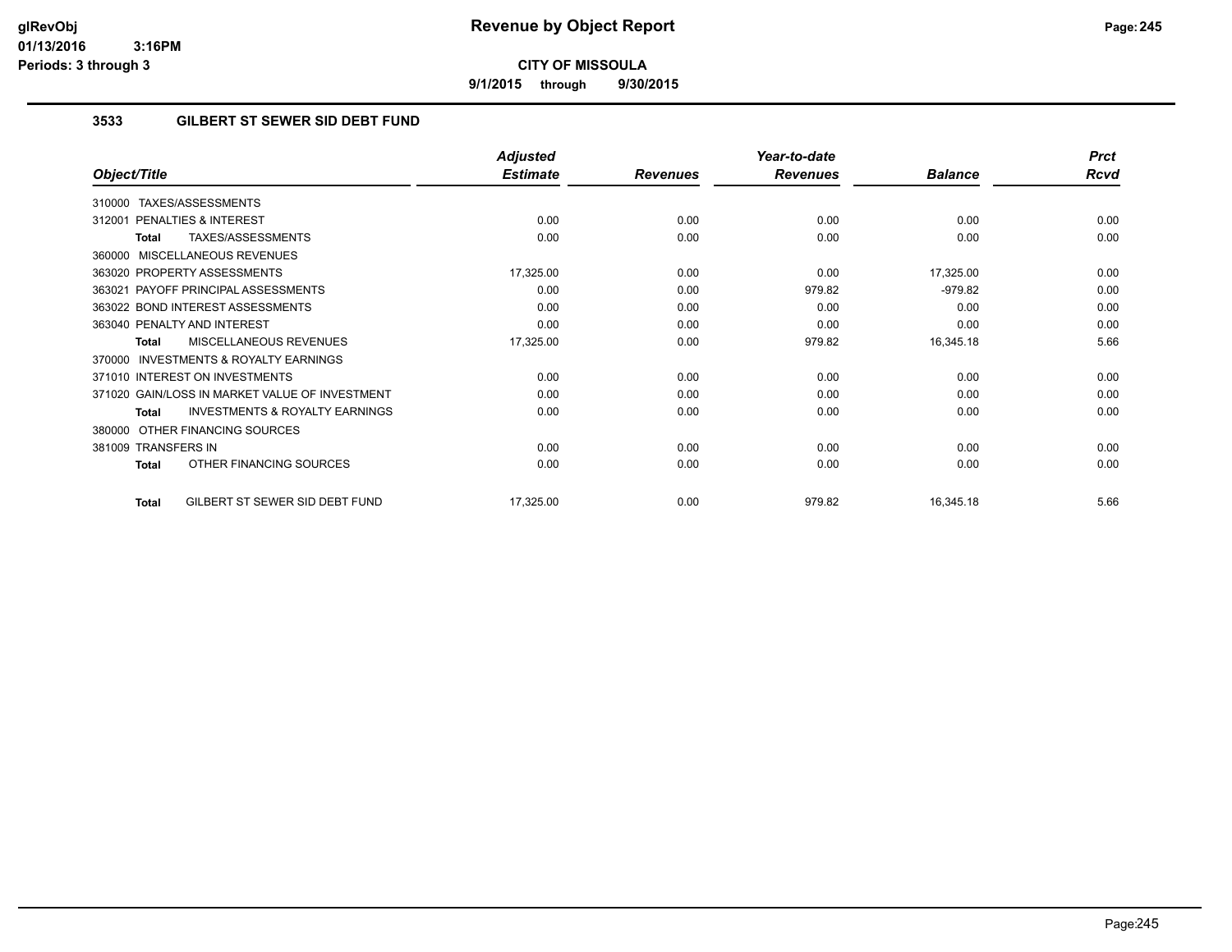**9/1/2015 through 9/30/2015**

## **3533 GILBERT ST SEWER SID DEBT FUND**

|                                                           | <b>Adjusted</b> |                 | Year-to-date    |                | <b>Prct</b> |
|-----------------------------------------------------------|-----------------|-----------------|-----------------|----------------|-------------|
| Object/Title                                              | <b>Estimate</b> | <b>Revenues</b> | <b>Revenues</b> | <b>Balance</b> | <b>Rcvd</b> |
| TAXES/ASSESSMENTS<br>310000                               |                 |                 |                 |                |             |
| PENALTIES & INTEREST<br>312001                            | 0.00            | 0.00            | 0.00            | 0.00           | 0.00        |
| TAXES/ASSESSMENTS<br>Total                                | 0.00            | 0.00            | 0.00            | 0.00           | 0.00        |
| MISCELLANEOUS REVENUES<br>360000                          |                 |                 |                 |                |             |
| 363020 PROPERTY ASSESSMENTS                               | 17,325.00       | 0.00            | 0.00            | 17,325.00      | 0.00        |
| 363021 PAYOFF PRINCIPAL ASSESSMENTS                       | 0.00            | 0.00            | 979.82          | $-979.82$      | 0.00        |
| 363022 BOND INTEREST ASSESSMENTS                          | 0.00            | 0.00            | 0.00            | 0.00           | 0.00        |
| 363040 PENALTY AND INTEREST                               | 0.00            | 0.00            | 0.00            | 0.00           | 0.00        |
| MISCELLANEOUS REVENUES<br><b>Total</b>                    | 17,325.00       | 0.00            | 979.82          | 16,345.18      | 5.66        |
| <b>INVESTMENTS &amp; ROYALTY EARNINGS</b><br>370000       |                 |                 |                 |                |             |
| 371010 INTEREST ON INVESTMENTS                            | 0.00            | 0.00            | 0.00            | 0.00           | 0.00        |
| 371020 GAIN/LOSS IN MARKET VALUE OF INVESTMENT            | 0.00            | 0.00            | 0.00            | 0.00           | 0.00        |
| <b>INVESTMENTS &amp; ROYALTY EARNINGS</b><br><b>Total</b> | 0.00            | 0.00            | 0.00            | 0.00           | 0.00        |
| OTHER FINANCING SOURCES<br>380000                         |                 |                 |                 |                |             |
| 381009 TRANSFERS IN                                       | 0.00            | 0.00            | 0.00            | 0.00           | 0.00        |
| OTHER FINANCING SOURCES<br><b>Total</b>                   | 0.00            | 0.00            | 0.00            | 0.00           | 0.00        |
| GILBERT ST SEWER SID DEBT FUND<br><b>Total</b>            | 17,325.00       | 0.00            | 979.82          | 16,345.18      | 5.66        |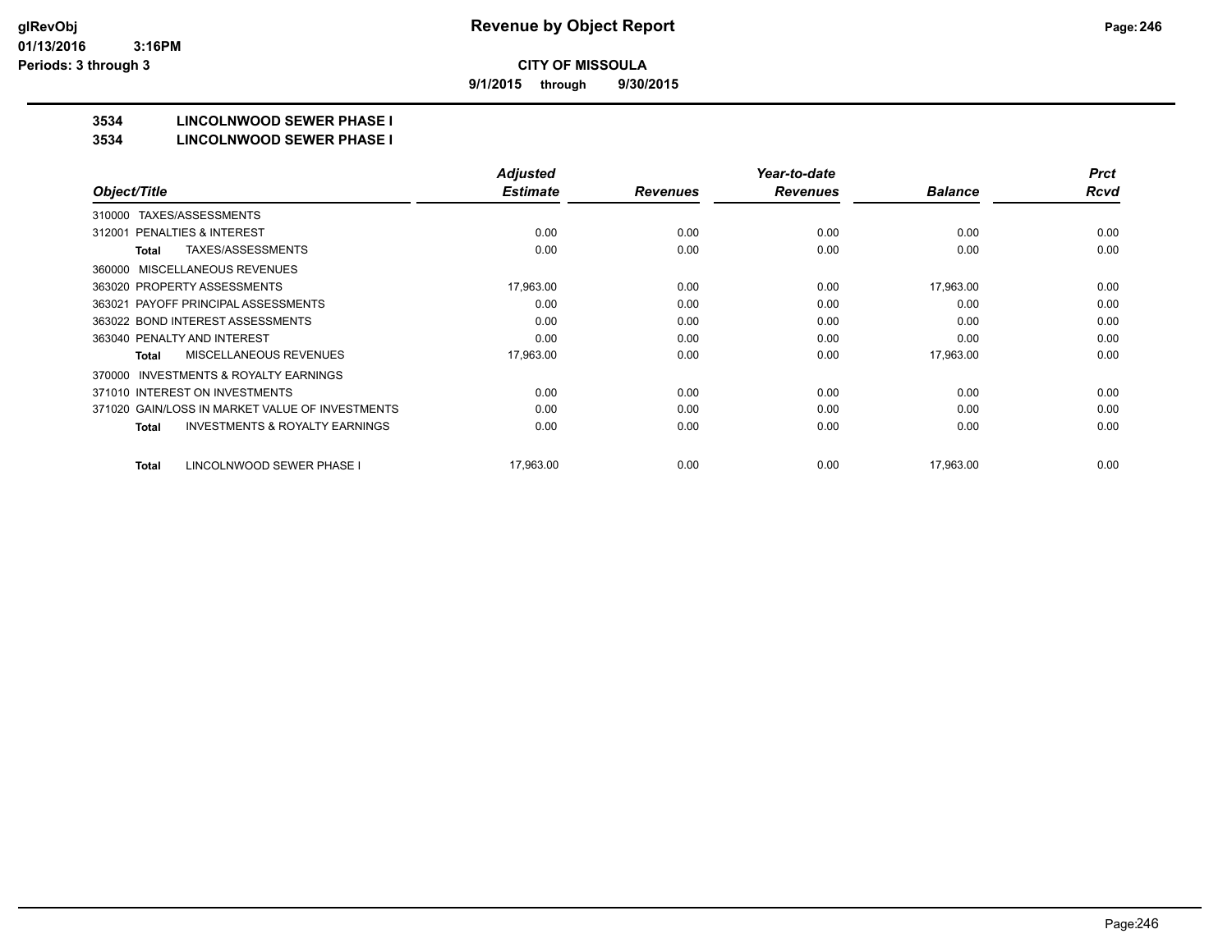**9/1/2015 through 9/30/2015**

# **3534 LINCOLNWOOD SEWER PHASE I**

#### **3534 LINCOLNWOOD SEWER PHASE I**

| <b>Rcvd</b> |
|-------------|
|             |
|             |
| 0.00        |
| 0.00        |
|             |
| 0.00        |
| 0.00        |
| 0.00        |
| 0.00        |
| 0.00        |
|             |
| 0.00        |
| 0.00        |
| 0.00        |
| 0.00        |
|             |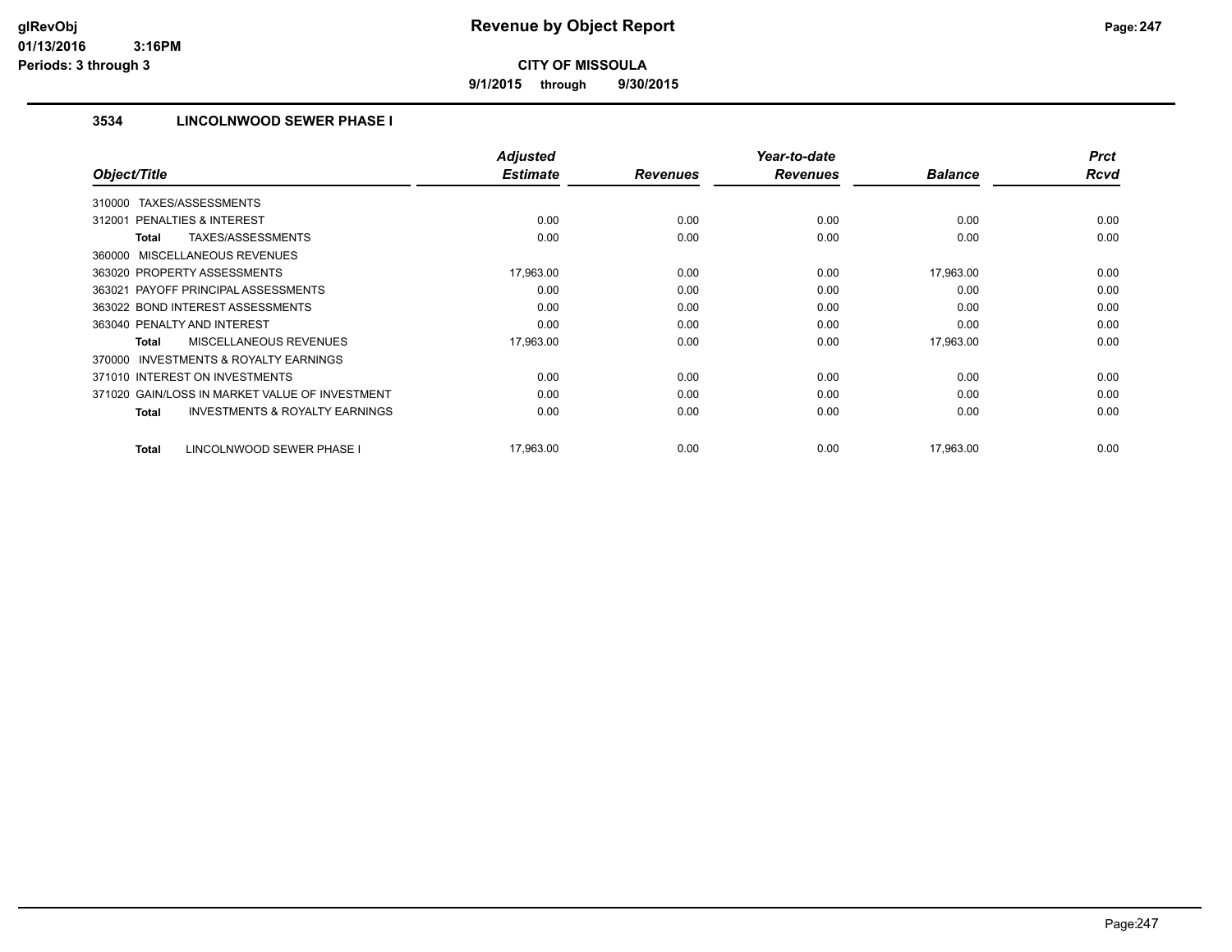**9/1/2015 through 9/30/2015**

## **3534 LINCOLNWOOD SEWER PHASE I**

|                                                           | <b>Adjusted</b><br><b>Estimate</b> |                 | Year-to-date    | <b>Balance</b> | <b>Prct</b><br><b>Rcvd</b> |
|-----------------------------------------------------------|------------------------------------|-----------------|-----------------|----------------|----------------------------|
| Object/Title                                              |                                    | <b>Revenues</b> | <b>Revenues</b> |                |                            |
| TAXES/ASSESSMENTS<br>310000                               |                                    |                 |                 |                |                            |
| 312001 PENALTIES & INTEREST                               | 0.00                               | 0.00            | 0.00            | 0.00           | 0.00                       |
| <b>TAXES/ASSESSMENTS</b><br><b>Total</b>                  | 0.00                               | 0.00            | 0.00            | 0.00           | 0.00                       |
| 360000 MISCELLANEOUS REVENUES                             |                                    |                 |                 |                |                            |
| 363020 PROPERTY ASSESSMENTS                               | 17,963.00                          | 0.00            | 0.00            | 17,963.00      | 0.00                       |
| 363021 PAYOFF PRINCIPAL ASSESSMENTS                       | 0.00                               | 0.00            | 0.00            | 0.00           | 0.00                       |
| 363022 BOND INTEREST ASSESSMENTS                          | 0.00                               | 0.00            | 0.00            | 0.00           | 0.00                       |
| 363040 PENALTY AND INTEREST                               | 0.00                               | 0.00            | 0.00            | 0.00           | 0.00                       |
| MISCELLANEOUS REVENUES<br><b>Total</b>                    | 17,963.00                          | 0.00            | 0.00            | 17,963.00      | 0.00                       |
| <b>INVESTMENTS &amp; ROYALTY EARNINGS</b><br>370000       |                                    |                 |                 |                |                            |
| 371010 INTEREST ON INVESTMENTS                            | 0.00                               | 0.00            | 0.00            | 0.00           | 0.00                       |
| 371020 GAIN/LOSS IN MARKET VALUE OF INVESTMENT            | 0.00                               | 0.00            | 0.00            | 0.00           | 0.00                       |
| <b>INVESTMENTS &amp; ROYALTY EARNINGS</b><br><b>Total</b> | 0.00                               | 0.00            | 0.00            | 0.00           | 0.00                       |
|                                                           |                                    |                 |                 |                |                            |
| LINCOLNWOOD SEWER PHASE I<br><b>Total</b>                 | 17,963.00                          | 0.00            | 0.00            | 17.963.00      | 0.00                       |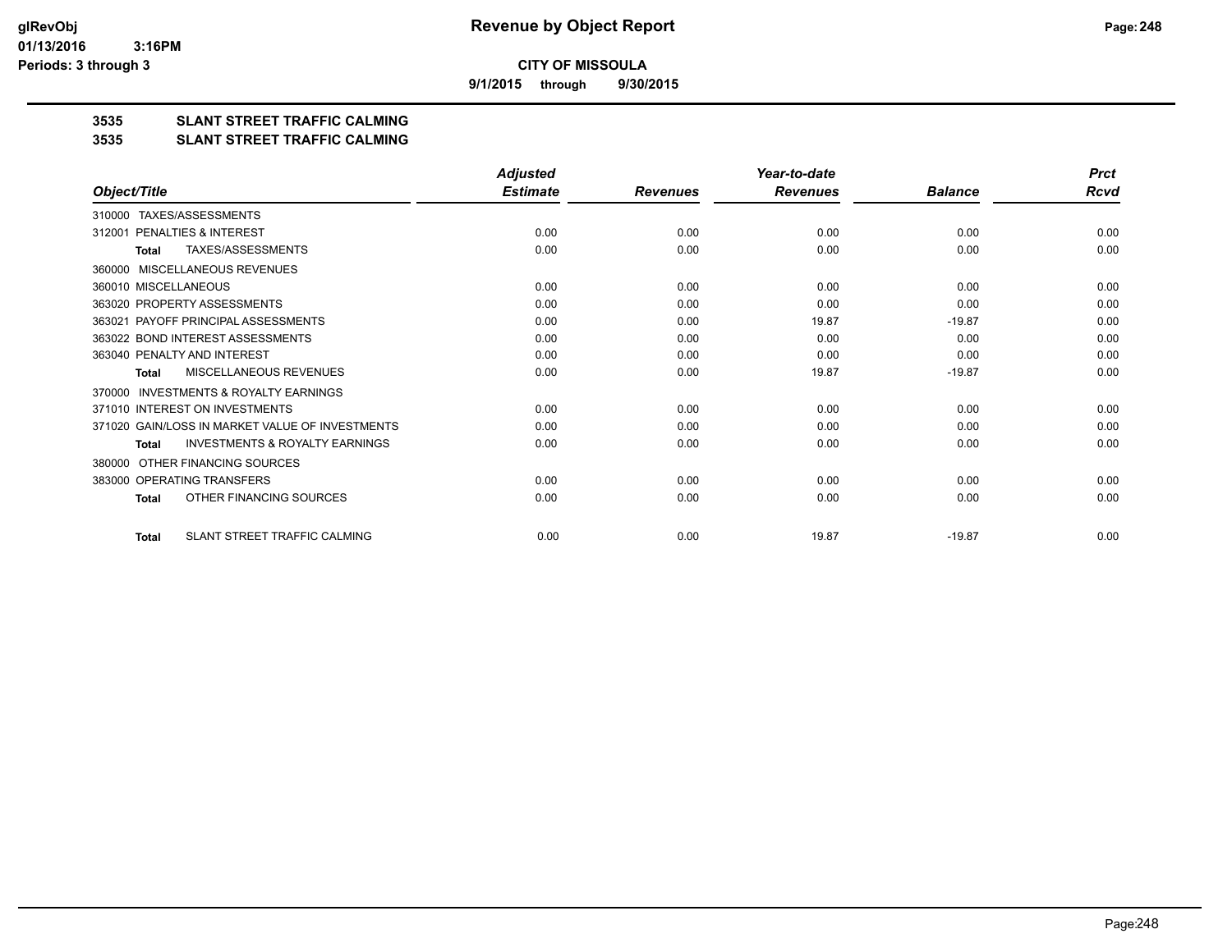**9/1/2015 through 9/30/2015**

# **3535 SLANT STREET TRAFFIC CALMING**

#### **3535 SLANT STREET TRAFFIC CALMING**

|                                                           | <b>Adjusted</b> |                 | Year-to-date    |                | <b>Prct</b> |
|-----------------------------------------------------------|-----------------|-----------------|-----------------|----------------|-------------|
| Object/Title                                              | <b>Estimate</b> | <b>Revenues</b> | <b>Revenues</b> | <b>Balance</b> | <b>Rcvd</b> |
| TAXES/ASSESSMENTS<br>310000                               |                 |                 |                 |                |             |
| PENALTIES & INTEREST<br>312001                            | 0.00            | 0.00            | 0.00            | 0.00           | 0.00        |
| TAXES/ASSESSMENTS<br>Total                                | 0.00            | 0.00            | 0.00            | 0.00           | 0.00        |
| MISCELLANEOUS REVENUES<br>360000                          |                 |                 |                 |                |             |
| 360010 MISCELLANEOUS                                      | 0.00            | 0.00            | 0.00            | 0.00           | 0.00        |
| 363020 PROPERTY ASSESSMENTS                               | 0.00            | 0.00            | 0.00            | 0.00           | 0.00        |
| 363021 PAYOFF PRINCIPAL ASSESSMENTS                       | 0.00            | 0.00            | 19.87           | $-19.87$       | 0.00        |
| 363022 BOND INTEREST ASSESSMENTS                          | 0.00            | 0.00            | 0.00            | 0.00           | 0.00        |
| 363040 PENALTY AND INTEREST                               | 0.00            | 0.00            | 0.00            | 0.00           | 0.00        |
| MISCELLANEOUS REVENUES<br><b>Total</b>                    | 0.00            | 0.00            | 19.87           | $-19.87$       | 0.00        |
| <b>INVESTMENTS &amp; ROYALTY EARNINGS</b><br>370000       |                 |                 |                 |                |             |
| 371010 INTEREST ON INVESTMENTS                            | 0.00            | 0.00            | 0.00            | 0.00           | 0.00        |
| 371020 GAIN/LOSS IN MARKET VALUE OF INVESTMENTS           | 0.00            | 0.00            | 0.00            | 0.00           | 0.00        |
| <b>INVESTMENTS &amp; ROYALTY EARNINGS</b><br><b>Total</b> | 0.00            | 0.00            | 0.00            | 0.00           | 0.00        |
| OTHER FINANCING SOURCES<br>380000                         |                 |                 |                 |                |             |
| 383000 OPERATING TRANSFERS                                | 0.00            | 0.00            | 0.00            | 0.00           | 0.00        |
| OTHER FINANCING SOURCES<br><b>Total</b>                   | 0.00            | 0.00            | 0.00            | 0.00           | 0.00        |
| SLANT STREET TRAFFIC CALMING<br><b>Total</b>              | 0.00            | 0.00            | 19.87           | $-19.87$       | 0.00        |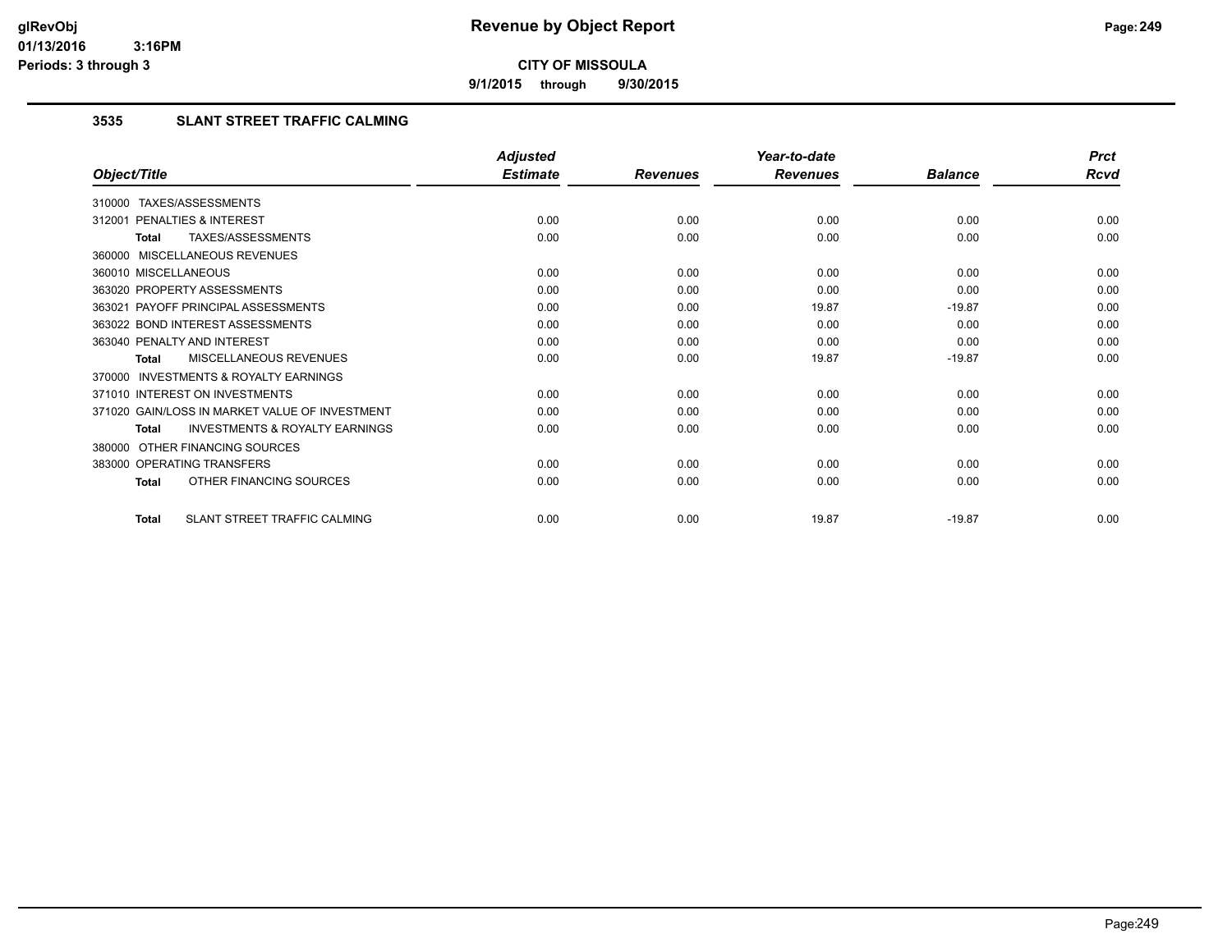**9/1/2015 through 9/30/2015**

## **3535 SLANT STREET TRAFFIC CALMING**

|                                                           | <b>Adjusted</b> |                 | Year-to-date    |                | <b>Prct</b> |
|-----------------------------------------------------------|-----------------|-----------------|-----------------|----------------|-------------|
| Object/Title                                              | <b>Estimate</b> | <b>Revenues</b> | <b>Revenues</b> | <b>Balance</b> | <b>Rcvd</b> |
| 310000 TAXES/ASSESSMENTS                                  |                 |                 |                 |                |             |
| PENALTIES & INTEREST<br>312001                            | 0.00            | 0.00            | 0.00            | 0.00           | 0.00        |
| TAXES/ASSESSMENTS<br><b>Total</b>                         | 0.00            | 0.00            | 0.00            | 0.00           | 0.00        |
| 360000 MISCELLANEOUS REVENUES                             |                 |                 |                 |                |             |
| 360010 MISCELLANEOUS                                      | 0.00            | 0.00            | 0.00            | 0.00           | 0.00        |
| 363020 PROPERTY ASSESSMENTS                               | 0.00            | 0.00            | 0.00            | 0.00           | 0.00        |
| 363021 PAYOFF PRINCIPAL ASSESSMENTS                       | 0.00            | 0.00            | 19.87           | $-19.87$       | 0.00        |
| 363022 BOND INTEREST ASSESSMENTS                          | 0.00            | 0.00            | 0.00            | 0.00           | 0.00        |
| 363040 PENALTY AND INTEREST                               | 0.00            | 0.00            | 0.00            | 0.00           | 0.00        |
| MISCELLANEOUS REVENUES<br><b>Total</b>                    | 0.00            | 0.00            | 19.87           | $-19.87$       | 0.00        |
| 370000 INVESTMENTS & ROYALTY EARNINGS                     |                 |                 |                 |                |             |
| 371010 INTEREST ON INVESTMENTS                            | 0.00            | 0.00            | 0.00            | 0.00           | 0.00        |
| 371020 GAIN/LOSS IN MARKET VALUE OF INVESTMENT            | 0.00            | 0.00            | 0.00            | 0.00           | 0.00        |
| <b>INVESTMENTS &amp; ROYALTY EARNINGS</b><br><b>Total</b> | 0.00            | 0.00            | 0.00            | 0.00           | 0.00        |
| OTHER FINANCING SOURCES<br>380000                         |                 |                 |                 |                |             |
| 383000 OPERATING TRANSFERS                                | 0.00            | 0.00            | 0.00            | 0.00           | 0.00        |
| OTHER FINANCING SOURCES<br><b>Total</b>                   | 0.00            | 0.00            | 0.00            | 0.00           | 0.00        |
| SLANT STREET TRAFFIC CALMING<br><b>Total</b>              | 0.00            | 0.00            | 19.87           | $-19.87$       | 0.00        |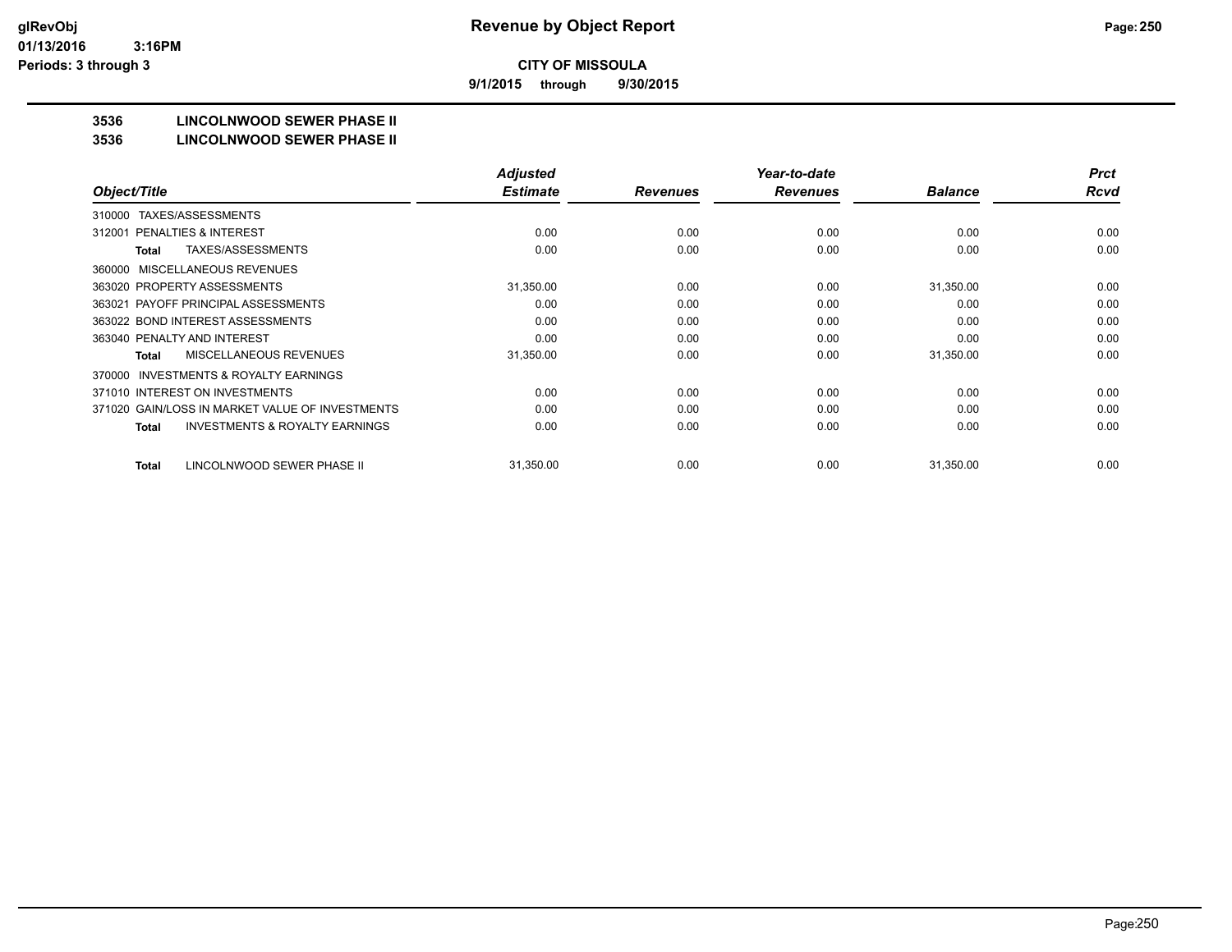**9/1/2015 through 9/30/2015**

# **3536 LINCOLNWOOD SEWER PHASE II**

#### **3536 LINCOLNWOOD SEWER PHASE II**

|                                                           | <b>Adjusted</b> |                 | Year-to-date    |                | <b>Prct</b> |
|-----------------------------------------------------------|-----------------|-----------------|-----------------|----------------|-------------|
| Object/Title                                              | <b>Estimate</b> | <b>Revenues</b> | <b>Revenues</b> | <b>Balance</b> | Rcvd        |
| TAXES/ASSESSMENTS<br>310000                               |                 |                 |                 |                |             |
| <b>PENALTIES &amp; INTEREST</b><br>312001                 | 0.00            | 0.00            | 0.00            | 0.00           | 0.00        |
| TAXES/ASSESSMENTS<br><b>Total</b>                         | 0.00            | 0.00            | 0.00            | 0.00           | 0.00        |
| MISCELLANEOUS REVENUES<br>360000                          |                 |                 |                 |                |             |
| 363020 PROPERTY ASSESSMENTS                               | 31,350.00       | 0.00            | 0.00            | 31,350.00      | 0.00        |
| 363021 PAYOFF PRINCIPAL ASSESSMENTS                       | 0.00            | 0.00            | 0.00            | 0.00           | 0.00        |
| 363022 BOND INTEREST ASSESSMENTS                          | 0.00            | 0.00            | 0.00            | 0.00           | 0.00        |
| 363040 PENALTY AND INTEREST                               | 0.00            | 0.00            | 0.00            | 0.00           | 0.00        |
| <b>MISCELLANEOUS REVENUES</b><br><b>Total</b>             | 31,350.00       | 0.00            | 0.00            | 31,350.00      | 0.00        |
| <b>INVESTMENTS &amp; ROYALTY EARNINGS</b><br>370000       |                 |                 |                 |                |             |
| 371010 INTEREST ON INVESTMENTS                            | 0.00            | 0.00            | 0.00            | 0.00           | 0.00        |
| 371020 GAIN/LOSS IN MARKET VALUE OF INVESTMENTS           | 0.00            | 0.00            | 0.00            | 0.00           | 0.00        |
| <b>INVESTMENTS &amp; ROYALTY EARNINGS</b><br><b>Total</b> | 0.00            | 0.00            | 0.00            | 0.00           | 0.00        |
| LINCOLNWOOD SEWER PHASE II<br><b>Total</b>                | 31,350.00       | 0.00            | 0.00            | 31,350.00      | 0.00        |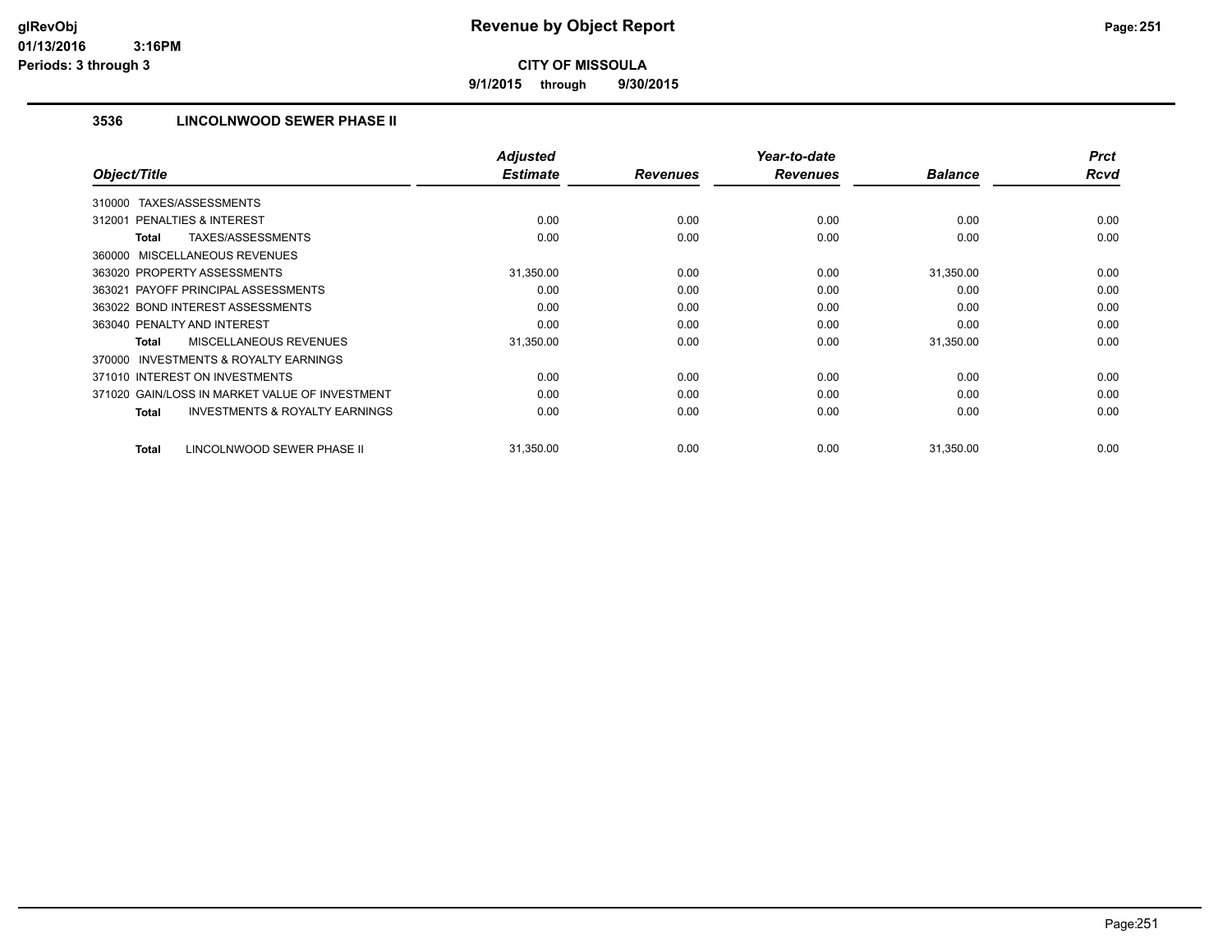**9/1/2015 through 9/30/2015**

## **3536 LINCOLNWOOD SEWER PHASE II**

| Object/Title                                              | <b>Adjusted</b><br><b>Estimate</b> | <b>Revenues</b> | Year-to-date<br><b>Revenues</b> | <b>Balance</b> | <b>Prct</b><br><b>Rcvd</b> |
|-----------------------------------------------------------|------------------------------------|-----------------|---------------------------------|----------------|----------------------------|
|                                                           |                                    |                 |                                 |                |                            |
| TAXES/ASSESSMENTS<br>310000                               |                                    |                 |                                 |                |                            |
| 312001 PENALTIES & INTEREST                               | 0.00                               | 0.00            | 0.00                            | 0.00           | 0.00                       |
| <b>TAXES/ASSESSMENTS</b><br><b>Total</b>                  | 0.00                               | 0.00            | 0.00                            | 0.00           | 0.00                       |
| 360000 MISCELLANEOUS REVENUES                             |                                    |                 |                                 |                |                            |
| 363020 PROPERTY ASSESSMENTS                               | 31,350.00                          | 0.00            | 0.00                            | 31,350.00      | 0.00                       |
| 363021 PAYOFF PRINCIPAL ASSESSMENTS                       | 0.00                               | 0.00            | 0.00                            | 0.00           | 0.00                       |
| 363022 BOND INTEREST ASSESSMENTS                          | 0.00                               | 0.00            | 0.00                            | 0.00           | 0.00                       |
| 363040 PENALTY AND INTEREST                               | 0.00                               | 0.00            | 0.00                            | 0.00           | 0.00                       |
| <b>MISCELLANEOUS REVENUES</b><br><b>Total</b>             | 31,350.00                          | 0.00            | 0.00                            | 31,350.00      | 0.00                       |
| <b>INVESTMENTS &amp; ROYALTY EARNINGS</b><br>370000       |                                    |                 |                                 |                |                            |
| 371010 INTEREST ON INVESTMENTS                            | 0.00                               | 0.00            | 0.00                            | 0.00           | 0.00                       |
| 371020 GAIN/LOSS IN MARKET VALUE OF INVESTMENT            | 0.00                               | 0.00            | 0.00                            | 0.00           | 0.00                       |
| <b>INVESTMENTS &amp; ROYALTY EARNINGS</b><br><b>Total</b> | 0.00                               | 0.00            | 0.00                            | 0.00           | 0.00                       |
|                                                           |                                    |                 |                                 |                |                            |
| LINCOLNWOOD SEWER PHASE II<br><b>Total</b>                | 31,350.00                          | 0.00            | 0.00                            | 31,350.00      | 0.00                       |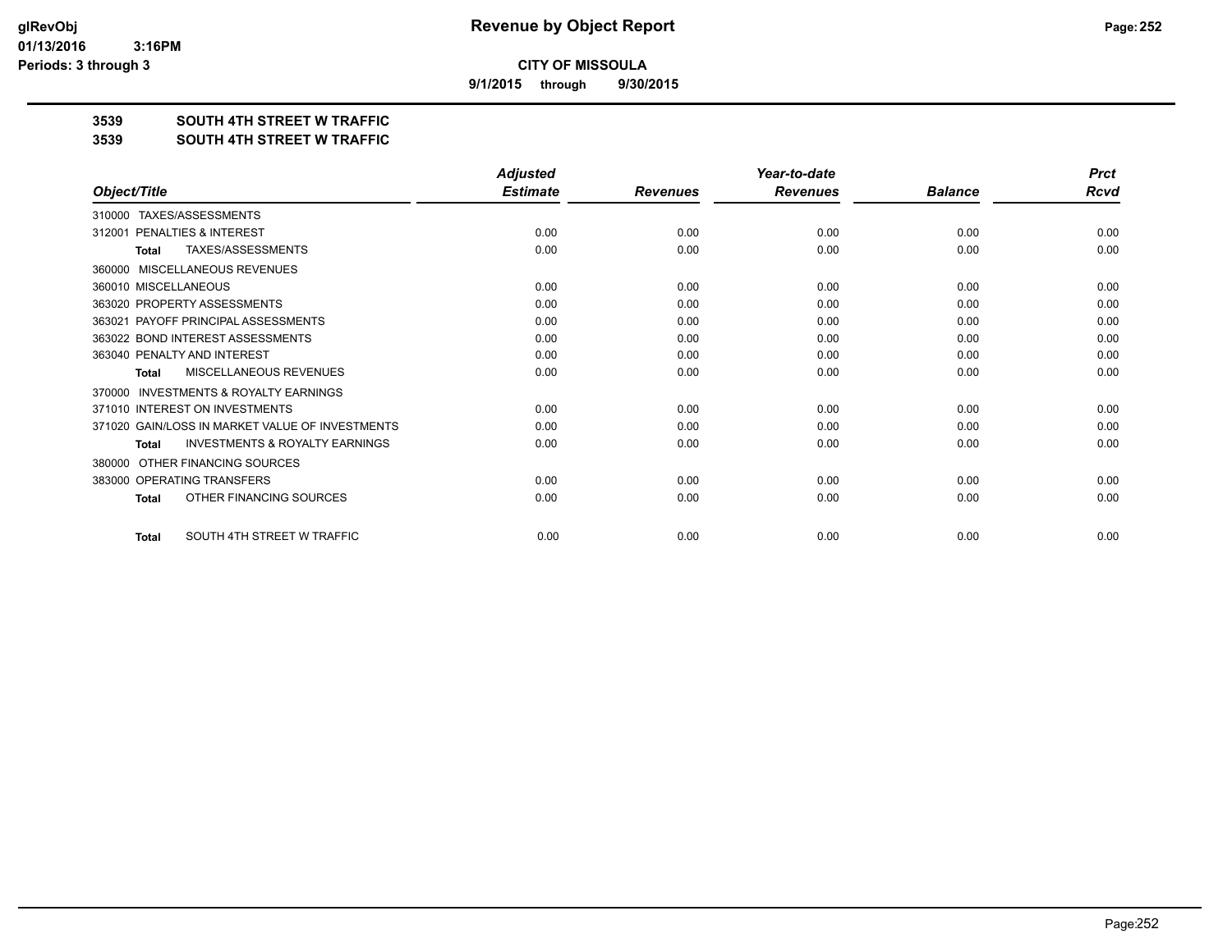**9/1/2015 through 9/30/2015**

## **3539 SOUTH 4TH STREET W TRAFFIC**

#### **3539 SOUTH 4TH STREET W TRAFFIC**

|                                                           | <b>Adjusted</b> |                 | Year-to-date    |                | <b>Prct</b><br>Rcvd |
|-----------------------------------------------------------|-----------------|-----------------|-----------------|----------------|---------------------|
| Object/Title                                              | <b>Estimate</b> | <b>Revenues</b> | <b>Revenues</b> | <b>Balance</b> |                     |
| TAXES/ASSESSMENTS<br>310000                               |                 |                 |                 |                |                     |
| <b>PENALTIES &amp; INTEREST</b><br>312001                 | 0.00            | 0.00            | 0.00            | 0.00           | 0.00                |
| <b>TAXES/ASSESSMENTS</b><br>Total                         | 0.00            | 0.00            | 0.00            | 0.00           | 0.00                |
| <b>MISCELLANEOUS REVENUES</b><br>360000                   |                 |                 |                 |                |                     |
| 360010 MISCELLANEOUS                                      | 0.00            | 0.00            | 0.00            | 0.00           | 0.00                |
| 363020 PROPERTY ASSESSMENTS                               | 0.00            | 0.00            | 0.00            | 0.00           | 0.00                |
| 363021 PAYOFF PRINCIPAL ASSESSMENTS                       | 0.00            | 0.00            | 0.00            | 0.00           | 0.00                |
| 363022 BOND INTEREST ASSESSMENTS                          | 0.00            | 0.00            | 0.00            | 0.00           | 0.00                |
| 363040 PENALTY AND INTEREST                               | 0.00            | 0.00            | 0.00            | 0.00           | 0.00                |
| MISCELLANEOUS REVENUES<br>Total                           | 0.00            | 0.00            | 0.00            | 0.00           | 0.00                |
| <b>INVESTMENTS &amp; ROYALTY EARNINGS</b><br>370000       |                 |                 |                 |                |                     |
| 371010 INTEREST ON INVESTMENTS                            | 0.00            | 0.00            | 0.00            | 0.00           | 0.00                |
| 371020 GAIN/LOSS IN MARKET VALUE OF INVESTMENTS           | 0.00            | 0.00            | 0.00            | 0.00           | 0.00                |
| <b>INVESTMENTS &amp; ROYALTY EARNINGS</b><br><b>Total</b> | 0.00            | 0.00            | 0.00            | 0.00           | 0.00                |
| OTHER FINANCING SOURCES<br>380000                         |                 |                 |                 |                |                     |
| 383000 OPERATING TRANSFERS                                | 0.00            | 0.00            | 0.00            | 0.00           | 0.00                |
| OTHER FINANCING SOURCES<br><b>Total</b>                   | 0.00            | 0.00            | 0.00            | 0.00           | 0.00                |
| SOUTH 4TH STREET W TRAFFIC<br><b>Total</b>                | 0.00            | 0.00            | 0.00            | 0.00           | 0.00                |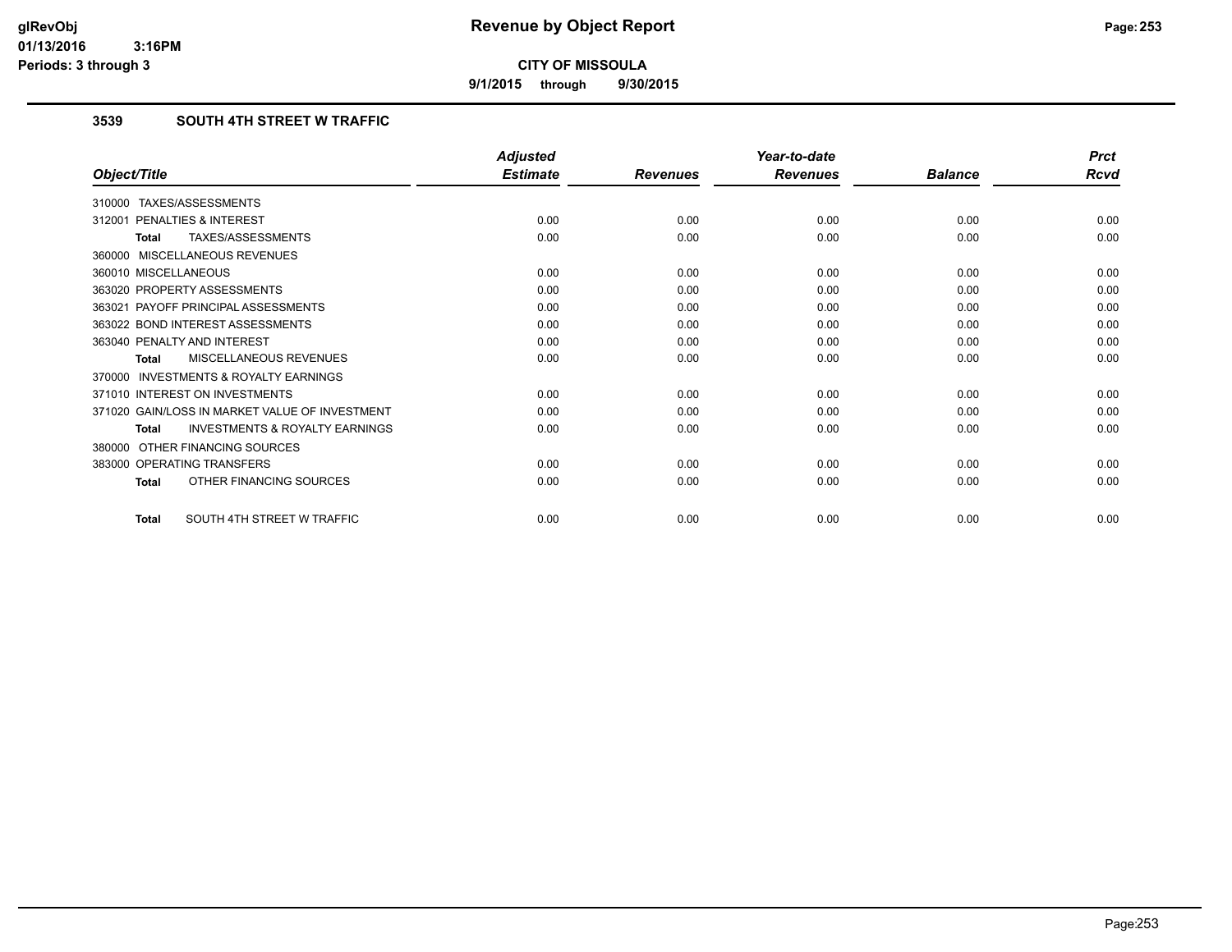**9/1/2015 through 9/30/2015**

## **3539 SOUTH 4TH STREET W TRAFFIC**

|                                                           | <b>Adjusted</b> |                 | Year-to-date    |                | <b>Prct</b> |
|-----------------------------------------------------------|-----------------|-----------------|-----------------|----------------|-------------|
| Object/Title                                              | <b>Estimate</b> | <b>Revenues</b> | <b>Revenues</b> | <b>Balance</b> | <b>Rcvd</b> |
| TAXES/ASSESSMENTS<br>310000                               |                 |                 |                 |                |             |
| PENALTIES & INTEREST<br>312001                            | 0.00            | 0.00            | 0.00            | 0.00           | 0.00        |
| TAXES/ASSESSMENTS<br><b>Total</b>                         | 0.00            | 0.00            | 0.00            | 0.00           | 0.00        |
| MISCELLANEOUS REVENUES<br>360000                          |                 |                 |                 |                |             |
| 360010 MISCELLANEOUS                                      | 0.00            | 0.00            | 0.00            | 0.00           | 0.00        |
| 363020 PROPERTY ASSESSMENTS                               | 0.00            | 0.00            | 0.00            | 0.00           | 0.00        |
| 363021 PAYOFF PRINCIPAL ASSESSMENTS                       | 0.00            | 0.00            | 0.00            | 0.00           | 0.00        |
| 363022 BOND INTEREST ASSESSMENTS                          | 0.00            | 0.00            | 0.00            | 0.00           | 0.00        |
| 363040 PENALTY AND INTEREST                               | 0.00            | 0.00            | 0.00            | 0.00           | 0.00        |
| MISCELLANEOUS REVENUES<br><b>Total</b>                    | 0.00            | 0.00            | 0.00            | 0.00           | 0.00        |
| <b>INVESTMENTS &amp; ROYALTY EARNINGS</b><br>370000       |                 |                 |                 |                |             |
| 371010 INTEREST ON INVESTMENTS                            | 0.00            | 0.00            | 0.00            | 0.00           | 0.00        |
| 371020 GAIN/LOSS IN MARKET VALUE OF INVESTMENT            | 0.00            | 0.00            | 0.00            | 0.00           | 0.00        |
| <b>INVESTMENTS &amp; ROYALTY EARNINGS</b><br><b>Total</b> | 0.00            | 0.00            | 0.00            | 0.00           | 0.00        |
| OTHER FINANCING SOURCES<br>380000                         |                 |                 |                 |                |             |
| 383000 OPERATING TRANSFERS                                | 0.00            | 0.00            | 0.00            | 0.00           | 0.00        |
| OTHER FINANCING SOURCES<br><b>Total</b>                   | 0.00            | 0.00            | 0.00            | 0.00           | 0.00        |
| SOUTH 4TH STREET W TRAFFIC<br><b>Total</b>                | 0.00            | 0.00            | 0.00            | 0.00           | 0.00        |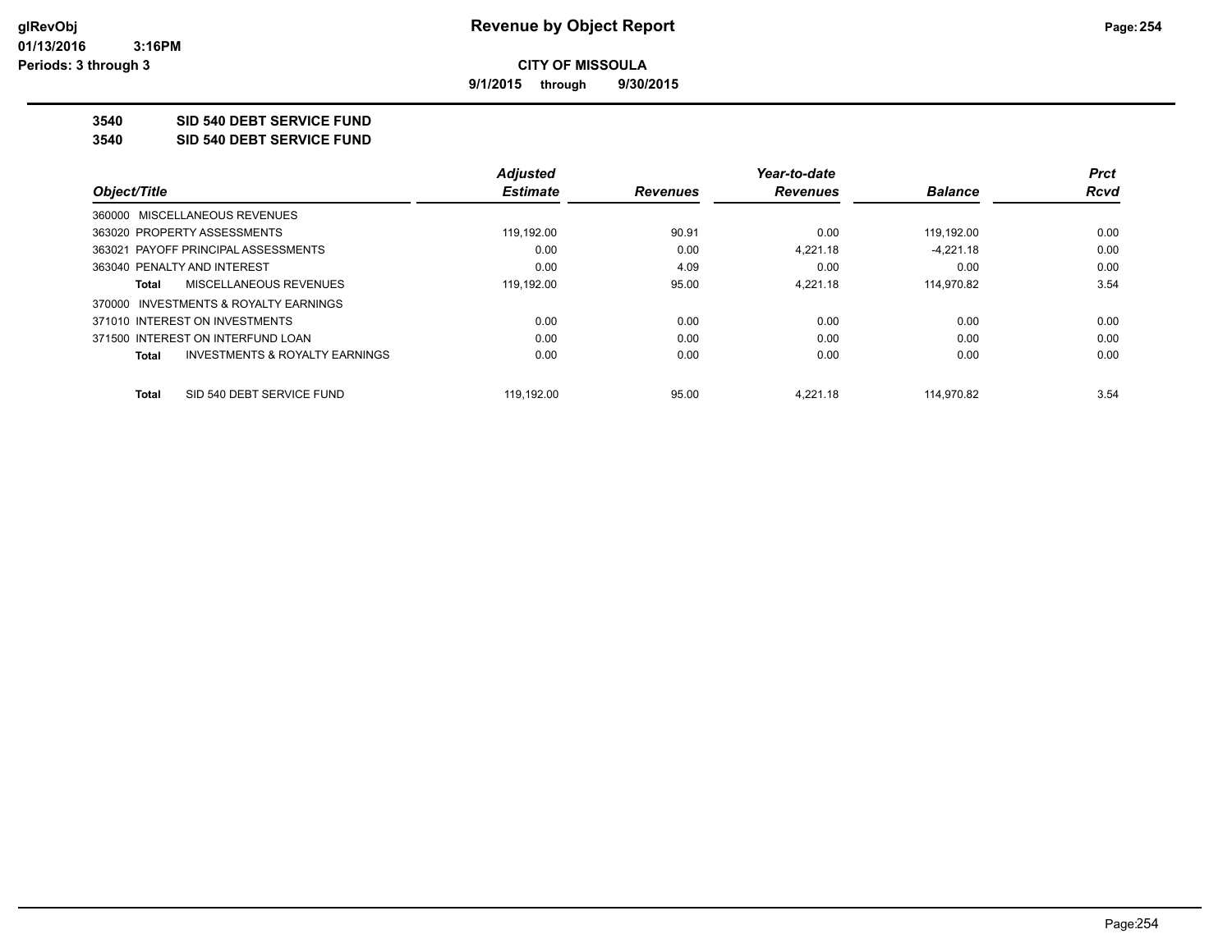**9/1/2015 through 9/30/2015**

**3540 SID 540 DEBT SERVICE FUND**

**3540 SID 540 DEBT SERVICE FUND**

|                                                    | <b>Adjusted</b> |                 | Year-to-date    |                | <b>Prct</b> |
|----------------------------------------------------|-----------------|-----------------|-----------------|----------------|-------------|
| Object/Title                                       | <b>Estimate</b> | <b>Revenues</b> | <b>Revenues</b> | <b>Balance</b> | Rcvd        |
| 360000 MISCELLANEOUS REVENUES                      |                 |                 |                 |                |             |
| 363020 PROPERTY ASSESSMENTS                        | 119.192.00      | 90.91           | 0.00            | 119.192.00     | 0.00        |
| 363021 PAYOFF PRINCIPAL ASSESSMENTS                | 0.00            | 0.00            | 4.221.18        | $-4.221.18$    | 0.00        |
| 363040 PENALTY AND INTEREST                        | 0.00            | 4.09            | 0.00            | 0.00           | 0.00        |
| MISCELLANEOUS REVENUES<br>Total                    | 119,192.00      | 95.00           | 4.221.18        | 114,970.82     | 3.54        |
| 370000 INVESTMENTS & ROYALTY EARNINGS              |                 |                 |                 |                |             |
| 371010 INTEREST ON INVESTMENTS                     | 0.00            | 0.00            | 0.00            | 0.00           | 0.00        |
| 371500 INTEREST ON INTERFUND LOAN                  | 0.00            | 0.00            | 0.00            | 0.00           | 0.00        |
| <b>INVESTMENTS &amp; ROYALTY EARNINGS</b><br>Total | 0.00            | 0.00            | 0.00            | 0.00           | 0.00        |
| SID 540 DEBT SERVICE FUND<br>Total                 | 119.192.00      | 95.00           | 4.221.18        | 114.970.82     | 3.54        |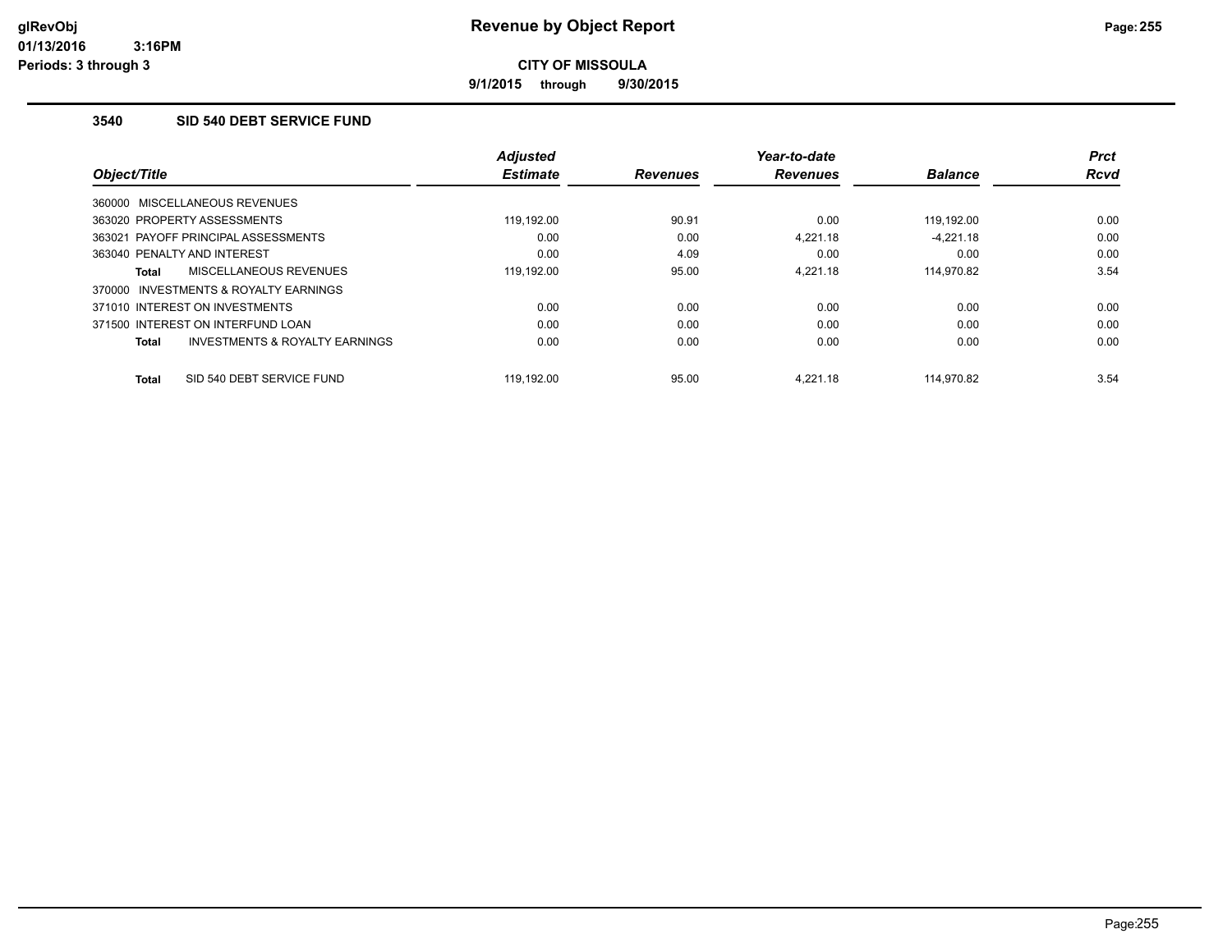**9/1/2015 through 9/30/2015**

### **3540 SID 540 DEBT SERVICE FUND**

| Object/Title                              | <b>Adjusted</b><br><b>Estimate</b> | <b>Revenues</b> | Year-to-date<br><b>Revenues</b> | <b>Balance</b> | <b>Prct</b><br><b>Rcvd</b> |
|-------------------------------------------|------------------------------------|-----------------|---------------------------------|----------------|----------------------------|
| 360000 MISCELLANEOUS REVENUES             |                                    |                 |                                 |                |                            |
| 363020 PROPERTY ASSESSMENTS               | 119,192.00                         | 90.91           | 0.00                            | 119,192.00     | 0.00                       |
| 363021 PAYOFF PRINCIPAL ASSESSMENTS       | 0.00                               | 0.00            | 4.221.18                        | $-4.221.18$    | 0.00                       |
| 363040 PENALTY AND INTEREST               | 0.00                               | 4.09            | 0.00                            | 0.00           | 0.00                       |
| <b>MISCELLANEOUS REVENUES</b><br>Total    | 119.192.00                         | 95.00           | 4.221.18                        | 114,970.82     | 3.54                       |
| INVESTMENTS & ROYALTY EARNINGS<br>370000  |                                    |                 |                                 |                |                            |
| 371010 INTEREST ON INVESTMENTS            | 0.00                               | 0.00            | 0.00                            | 0.00           | 0.00                       |
| 371500 INTEREST ON INTERFUND LOAN         | 0.00                               | 0.00            | 0.00                            | 0.00           | 0.00                       |
| INVESTMENTS & ROYALTY EARNINGS<br>Total   | 0.00                               | 0.00            | 0.00                            | 0.00           | 0.00                       |
| SID 540 DEBT SERVICE FUND<br><b>Total</b> | 119.192.00                         | 95.00           | 4.221.18                        | 114.970.82     | 3.54                       |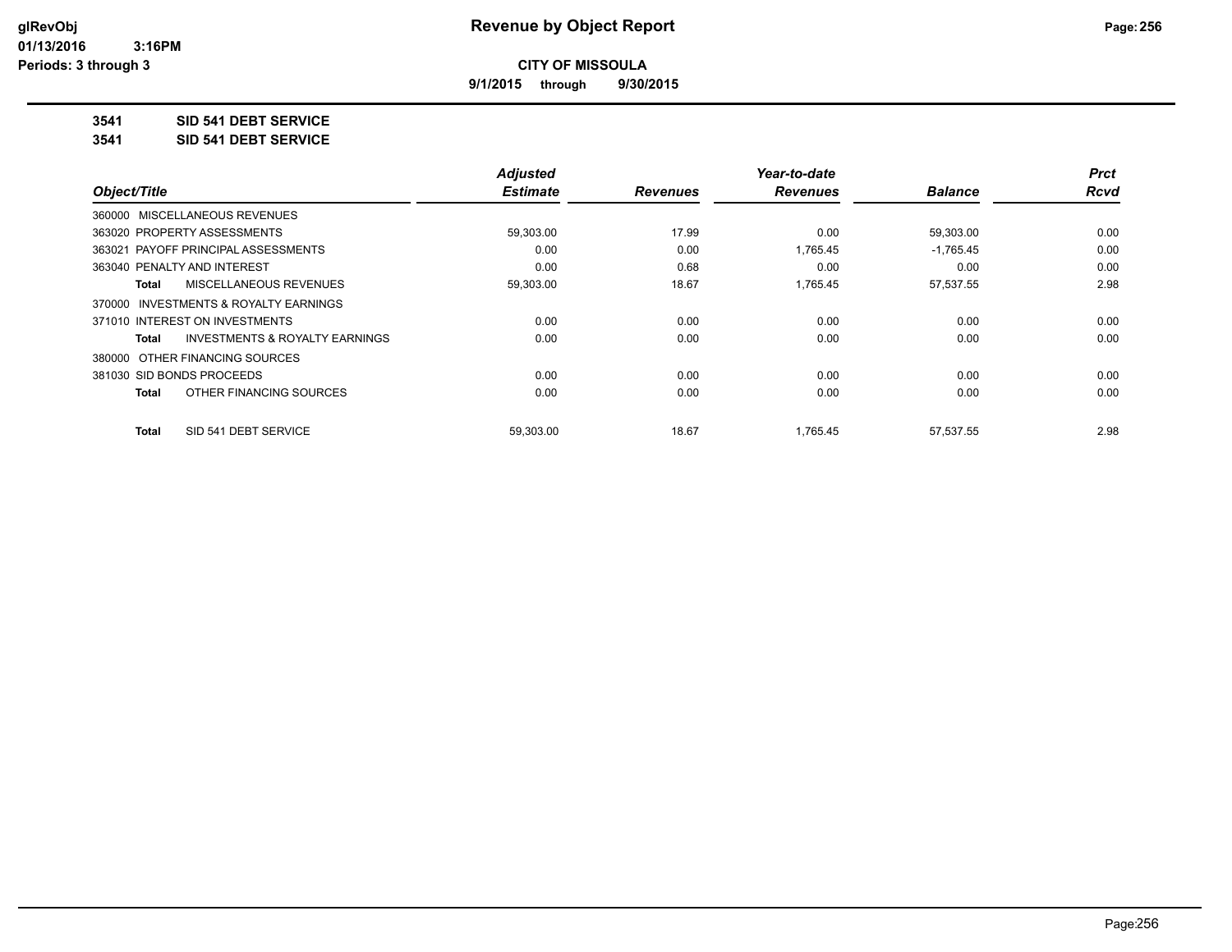**9/1/2015 through 9/30/2015**

## **3541 SID 541 DEBT SERVICE**

**3541 SID 541 DEBT SERVICE**

|                                         | <b>Adjusted</b> |                 | Year-to-date    |                | <b>Prct</b> |
|-----------------------------------------|-----------------|-----------------|-----------------|----------------|-------------|
| Object/Title                            | <b>Estimate</b> | <b>Revenues</b> | <b>Revenues</b> | <b>Balance</b> | <b>Rcvd</b> |
| 360000 MISCELLANEOUS REVENUES           |                 |                 |                 |                |             |
| 363020 PROPERTY ASSESSMENTS             | 59,303.00       | 17.99           | 0.00            | 59,303.00      | 0.00        |
| 363021 PAYOFF PRINCIPAL ASSESSMENTS     | 0.00            | 0.00            | 1,765.45        | $-1,765.45$    | 0.00        |
| 363040 PENALTY AND INTEREST             | 0.00            | 0.68            | 0.00            | 0.00           | 0.00        |
| MISCELLANEOUS REVENUES<br>Total         | 59,303.00       | 18.67           | 1,765.45        | 57,537.55      | 2.98        |
| 370000 INVESTMENTS & ROYALTY EARNINGS   |                 |                 |                 |                |             |
| 371010 INTEREST ON INVESTMENTS          | 0.00            | 0.00            | 0.00            | 0.00           | 0.00        |
| INVESTMENTS & ROYALTY EARNINGS<br>Total | 0.00            | 0.00            | 0.00            | 0.00           | 0.00        |
| 380000 OTHER FINANCING SOURCES          |                 |                 |                 |                |             |
| 381030 SID BONDS PROCEEDS               | 0.00            | 0.00            | 0.00            | 0.00           | 0.00        |
| OTHER FINANCING SOURCES<br><b>Total</b> | 0.00            | 0.00            | 0.00            | 0.00           | 0.00        |
| SID 541 DEBT SERVICE<br><b>Total</b>    | 59.303.00       | 18.67           | 1.765.45        | 57.537.55      | 2.98        |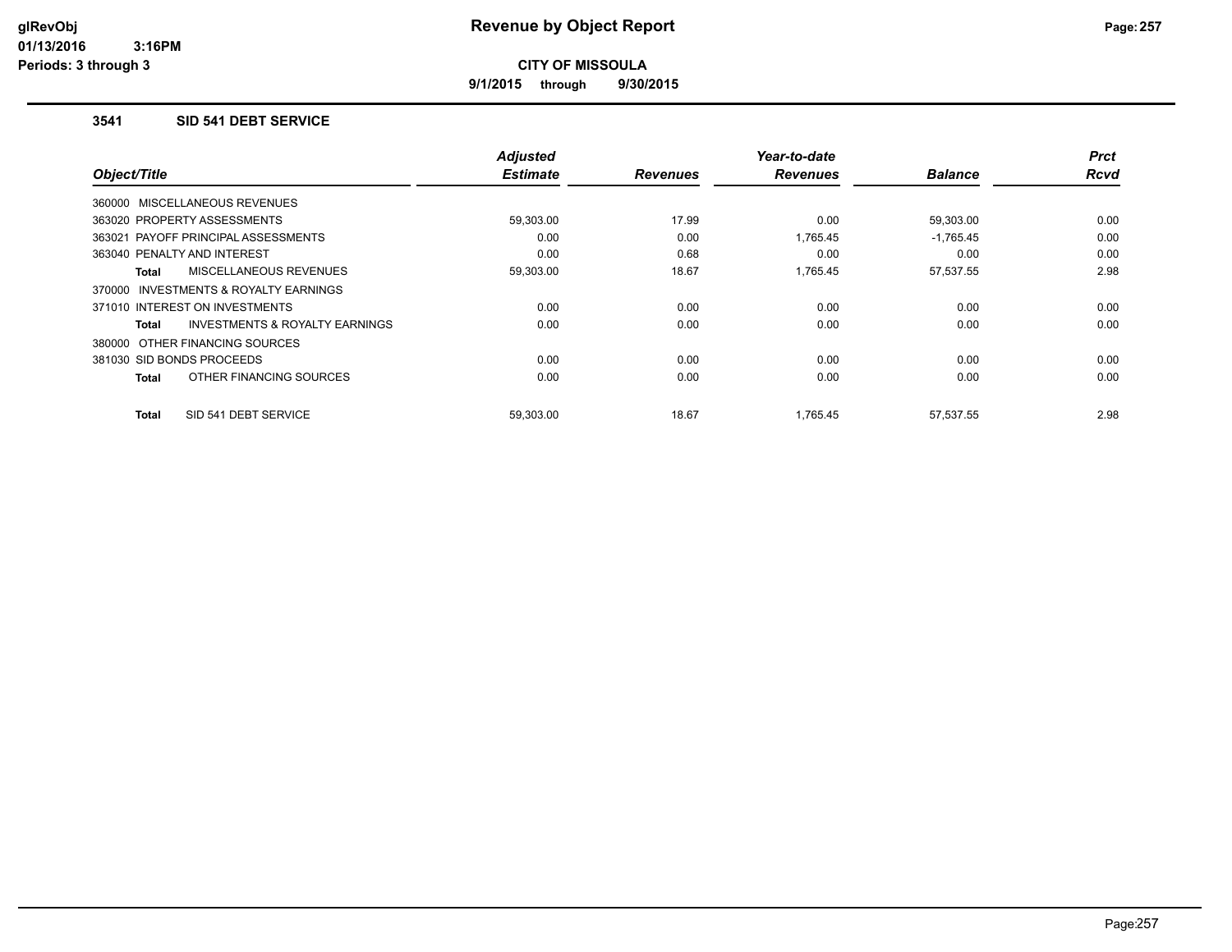**9/1/2015 through 9/30/2015**

#### **3541 SID 541 DEBT SERVICE**

| Object/Title                                        | <b>Adjusted</b><br><b>Estimate</b> | <b>Revenues</b> | Year-to-date<br><b>Revenues</b> | <b>Balance</b> | <b>Prct</b><br>Rcvd |
|-----------------------------------------------------|------------------------------------|-----------------|---------------------------------|----------------|---------------------|
| 360000 MISCELLANEOUS REVENUES                       |                                    |                 |                                 |                |                     |
| 363020 PROPERTY ASSESSMENTS                         | 59,303.00                          | 17.99           | 0.00                            | 59,303.00      | 0.00                |
| 363021 PAYOFF PRINCIPAL ASSESSMENTS                 | 0.00                               | 0.00            | 1,765.45                        | $-1,765.45$    | 0.00                |
| 363040 PENALTY AND INTEREST                         | 0.00                               | 0.68            | 0.00                            | 0.00           | 0.00                |
| <b>MISCELLANEOUS REVENUES</b><br>Total              | 59,303.00                          | 18.67           | 1.765.45                        | 57,537.55      | 2.98                |
| <b>INVESTMENTS &amp; ROYALTY EARNINGS</b><br>370000 |                                    |                 |                                 |                |                     |
| 371010 INTEREST ON INVESTMENTS                      | 0.00                               | 0.00            | 0.00                            | 0.00           | 0.00                |
| <b>INVESTMENTS &amp; ROYALTY EARNINGS</b><br>Total  | 0.00                               | 0.00            | 0.00                            | 0.00           | 0.00                |
| 380000 OTHER FINANCING SOURCES                      |                                    |                 |                                 |                |                     |
| 381030 SID BONDS PROCEEDS                           | 0.00                               | 0.00            | 0.00                            | 0.00           | 0.00                |
| OTHER FINANCING SOURCES<br>Total                    | 0.00                               | 0.00            | 0.00                            | 0.00           | 0.00                |
| SID 541 DEBT SERVICE<br>Total                       | 59.303.00                          | 18.67           | 1.765.45                        | 57.537.55      | 2.98                |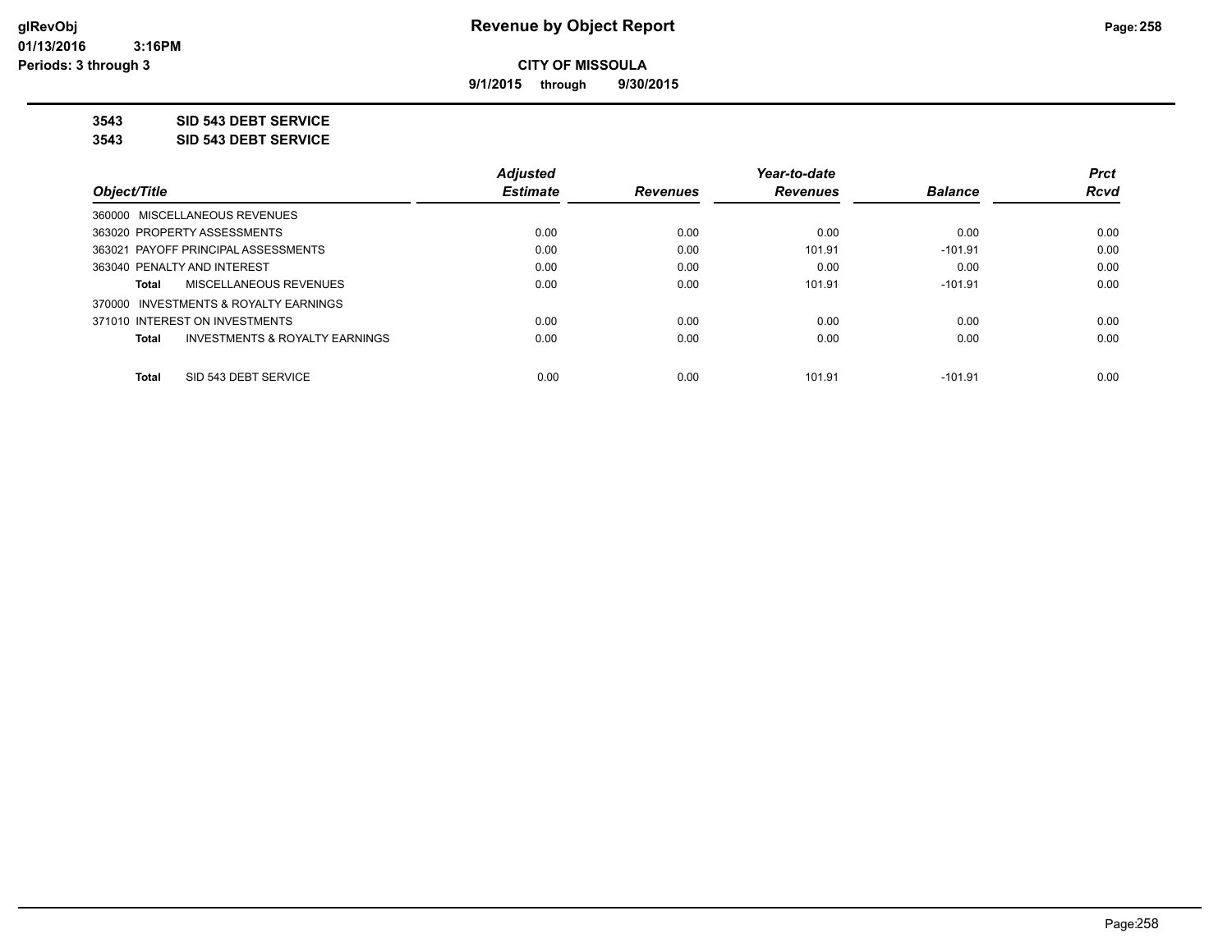**9/1/2015 through 9/30/2015**

**3543 SID 543 DEBT SERVICE**

**3543 SID 543 DEBT SERVICE**

|                                                    | <b>Adjusted</b> |                 | Year-to-date    |                | <b>Prct</b> |
|----------------------------------------------------|-----------------|-----------------|-----------------|----------------|-------------|
| Object/Title                                       | <b>Estimate</b> | <b>Revenues</b> | <b>Revenues</b> | <b>Balance</b> | <b>Rcvd</b> |
| 360000 MISCELLANEOUS REVENUES                      |                 |                 |                 |                |             |
| 363020 PROPERTY ASSESSMENTS                        | 0.00            | 0.00            | 0.00            | 0.00           | 0.00        |
| 363021 PAYOFF PRINCIPAL ASSESSMENTS                | 0.00            | 0.00            | 101.91          | $-101.91$      | 0.00        |
| 363040 PENALTY AND INTEREST                        | 0.00            | 0.00            | 0.00            | 0.00           | 0.00        |
| MISCELLANEOUS REVENUES<br>Total                    | 0.00            | 0.00            | 101.91          | $-101.91$      | 0.00        |
| 370000 INVESTMENTS & ROYALTY EARNINGS              |                 |                 |                 |                |             |
| 371010 INTEREST ON INVESTMENTS                     | 0.00            | 0.00            | 0.00            | 0.00           | 0.00        |
| <b>INVESTMENTS &amp; ROYALTY EARNINGS</b><br>Total | 0.00            | 0.00            | 0.00            | 0.00           | 0.00        |
| SID 543 DEBT SERVICE<br><b>Total</b>               | 0.00            | 0.00            | 101.91          | $-101.91$      | 0.00        |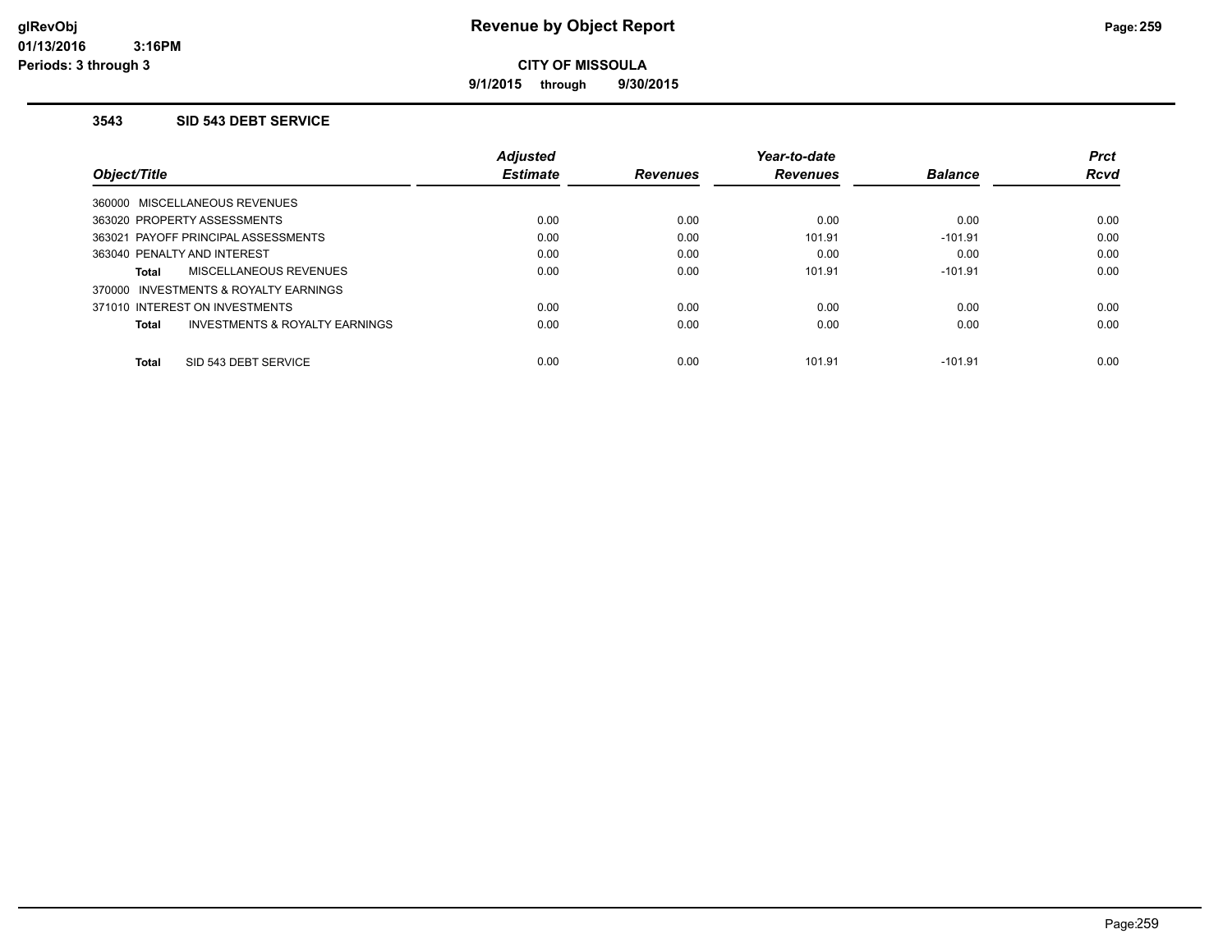**9/1/2015 through 9/30/2015**

#### **3543 SID 543 DEBT SERVICE**

|                                         | <b>Adjusted</b> |                 | Year-to-date    |                | <b>Prct</b> |
|-----------------------------------------|-----------------|-----------------|-----------------|----------------|-------------|
| Obiect/Title                            | <b>Estimate</b> | <b>Revenues</b> | <b>Revenues</b> | <b>Balance</b> | <b>Rcvd</b> |
| 360000 MISCELLANEOUS REVENUES           |                 |                 |                 |                |             |
| 363020 PROPERTY ASSESSMENTS             | 0.00            | 0.00            | 0.00            | 0.00           | 0.00        |
| 363021 PAYOFF PRINCIPAL ASSESSMENTS     | 0.00            | 0.00            | 101.91          | $-101.91$      | 0.00        |
| 363040 PENALTY AND INTEREST             | 0.00            | 0.00            | 0.00            | 0.00           | 0.00        |
| MISCELLANEOUS REVENUES<br>Total         | 0.00            | 0.00            | 101.91          | $-101.91$      | 0.00        |
| 370000 INVESTMENTS & ROYALTY EARNINGS   |                 |                 |                 |                |             |
| 371010 INTEREST ON INVESTMENTS          | 0.00            | 0.00            | 0.00            | 0.00           | 0.00        |
| INVESTMENTS & ROYALTY EARNINGS<br>Total | 0.00            | 0.00            | 0.00            | 0.00           | 0.00        |
| SID 543 DEBT SERVICE<br><b>Total</b>    | 0.00            | 0.00            | 101.91          | $-101.91$      | 0.00        |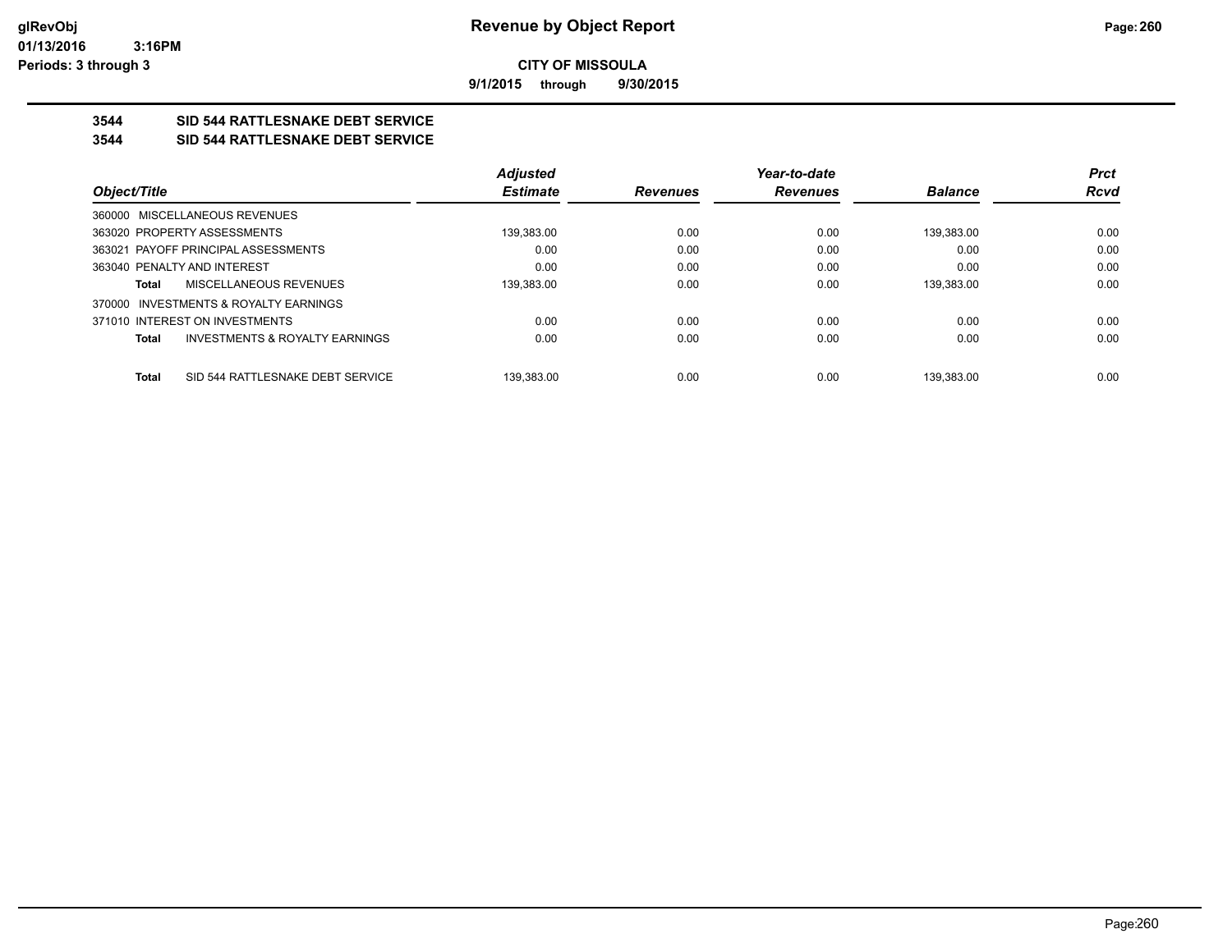**9/1/2015 through 9/30/2015**

## **3544 SID 544 RATTLESNAKE DEBT SERVICE**

### **3544 SID 544 RATTLESNAKE DEBT SERVICE**

|                                                           | <b>Adjusted</b> |                 | Year-to-date    |                | <b>Prct</b> |
|-----------------------------------------------------------|-----------------|-----------------|-----------------|----------------|-------------|
| Object/Title                                              | <b>Estimate</b> | <b>Revenues</b> | <b>Revenues</b> | <b>Balance</b> | <b>Rcvd</b> |
| 360000 MISCELLANEOUS REVENUES                             |                 |                 |                 |                |             |
| 363020 PROPERTY ASSESSMENTS                               | 139,383.00      | 0.00            | 0.00            | 139.383.00     | 0.00        |
| 363021 PAYOFF PRINCIPAL ASSESSMENTS                       | 0.00            | 0.00            | 0.00            | 0.00           | 0.00        |
| 363040 PENALTY AND INTEREST                               | 0.00            | 0.00            | 0.00            | 0.00           | 0.00        |
| MISCELLANEOUS REVENUES<br>Total                           | 139.383.00      | 0.00            | 0.00            | 139.383.00     | 0.00        |
| 370000 INVESTMENTS & ROYALTY EARNINGS                     |                 |                 |                 |                |             |
| 371010 INTEREST ON INVESTMENTS                            | 0.00            | 0.00            | 0.00            | 0.00           | 0.00        |
| <b>INVESTMENTS &amp; ROYALTY EARNINGS</b><br><b>Total</b> | 0.00            | 0.00            | 0.00            | 0.00           | 0.00        |
| SID 544 RATTLESNAKE DEBT SERVICE<br><b>Total</b>          | 139.383.00      | 0.00            | 0.00            | 139.383.00     | 0.00        |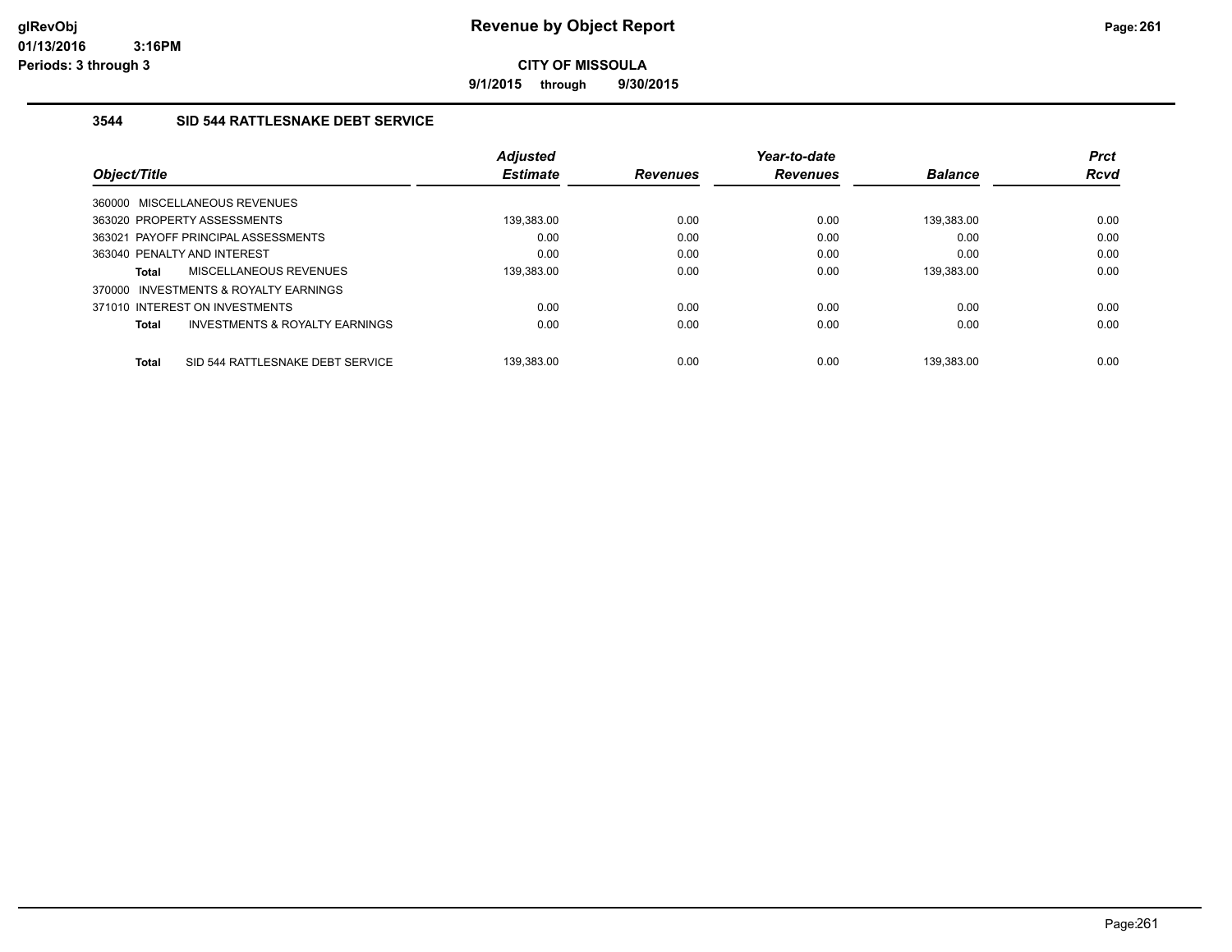**9/1/2015 through 9/30/2015**

## **3544 SID 544 RATTLESNAKE DEBT SERVICE**

|              |                                           | <b>Adjusted</b> |                 | Year-to-date    |                | <b>Prct</b> |
|--------------|-------------------------------------------|-----------------|-----------------|-----------------|----------------|-------------|
| Object/Title |                                           | <b>Estimate</b> | <b>Revenues</b> | <b>Revenues</b> | <b>Balance</b> | <b>Rcvd</b> |
|              | 360000 MISCELLANEOUS REVENUES             |                 |                 |                 |                |             |
|              | 363020 PROPERTY ASSESSMENTS               | 139,383.00      | 0.00            | 0.00            | 139,383.00     | 0.00        |
|              | 363021 PAYOFF PRINCIPAL ASSESSMENTS       | 0.00            | 0.00            | 0.00            | 0.00           | 0.00        |
|              | 363040 PENALTY AND INTEREST               | 0.00            | 0.00            | 0.00            | 0.00           | 0.00        |
| Total        | MISCELLANEOUS REVENUES                    | 139.383.00      | 0.00            | 0.00            | 139.383.00     | 0.00        |
|              | 370000 INVESTMENTS & ROYALTY EARNINGS     |                 |                 |                 |                |             |
|              | 371010 INTEREST ON INVESTMENTS            | 0.00            | 0.00            | 0.00            | 0.00           | 0.00        |
| <b>Total</b> | <b>INVESTMENTS &amp; ROYALTY EARNINGS</b> | 0.00            | 0.00            | 0.00            | 0.00           | 0.00        |
| <b>Total</b> | SID 544 RATTLESNAKE DEBT SERVICE          | 139.383.00      | 0.00            | 0.00            | 139.383.00     | 0.00        |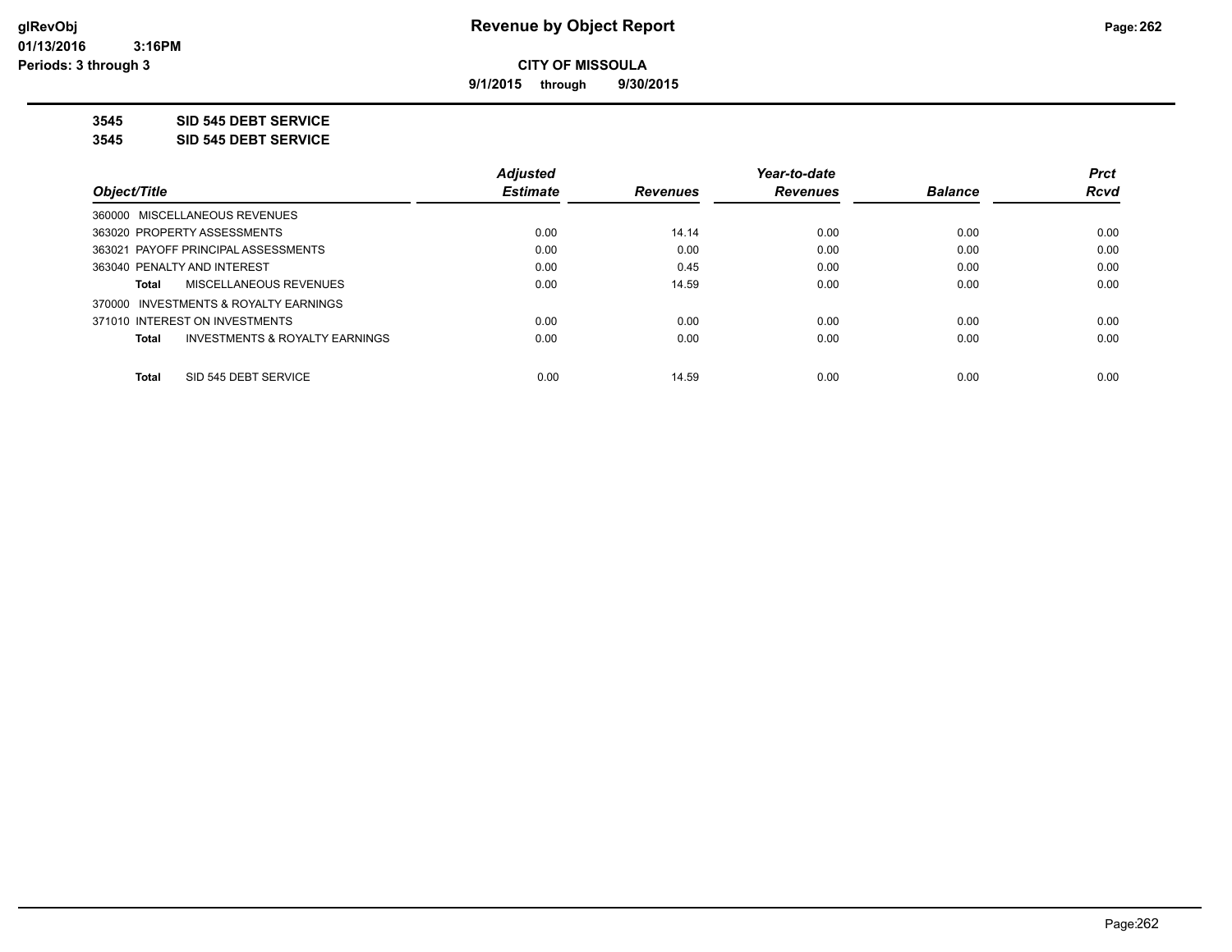**9/1/2015 through 9/30/2015**

**3545 SID 545 DEBT SERVICE**

**3545 SID 545 DEBT SERVICE**

|                                                    | <b>Adjusted</b> |                 | Year-to-date    |                | <b>Prct</b> |
|----------------------------------------------------|-----------------|-----------------|-----------------|----------------|-------------|
| Obiect/Title                                       | <b>Estimate</b> | <b>Revenues</b> | <b>Revenues</b> | <b>Balance</b> | <b>Rcvd</b> |
| 360000 MISCELLANEOUS REVENUES                      |                 |                 |                 |                |             |
| 363020 PROPERTY ASSESSMENTS                        | 0.00            | 14.14           | 0.00            | 0.00           | 0.00        |
| 363021 PAYOFF PRINCIPAL ASSESSMENTS                | 0.00            | 0.00            | 0.00            | 0.00           | 0.00        |
| 363040 PENALTY AND INTEREST                        | 0.00            | 0.45            | 0.00            | 0.00           | 0.00        |
| MISCELLANEOUS REVENUES<br>Total                    | 0.00            | 14.59           | 0.00            | 0.00           | 0.00        |
| 370000 INVESTMENTS & ROYALTY EARNINGS              |                 |                 |                 |                |             |
| 371010 INTEREST ON INVESTMENTS                     | 0.00            | 0.00            | 0.00            | 0.00           | 0.00        |
| <b>INVESTMENTS &amp; ROYALTY EARNINGS</b><br>Total | 0.00            | 0.00            | 0.00            | 0.00           | 0.00        |
| SID 545 DEBT SERVICE<br><b>Total</b>               | 0.00            | 14.59           | 0.00            | 0.00           | 0.00        |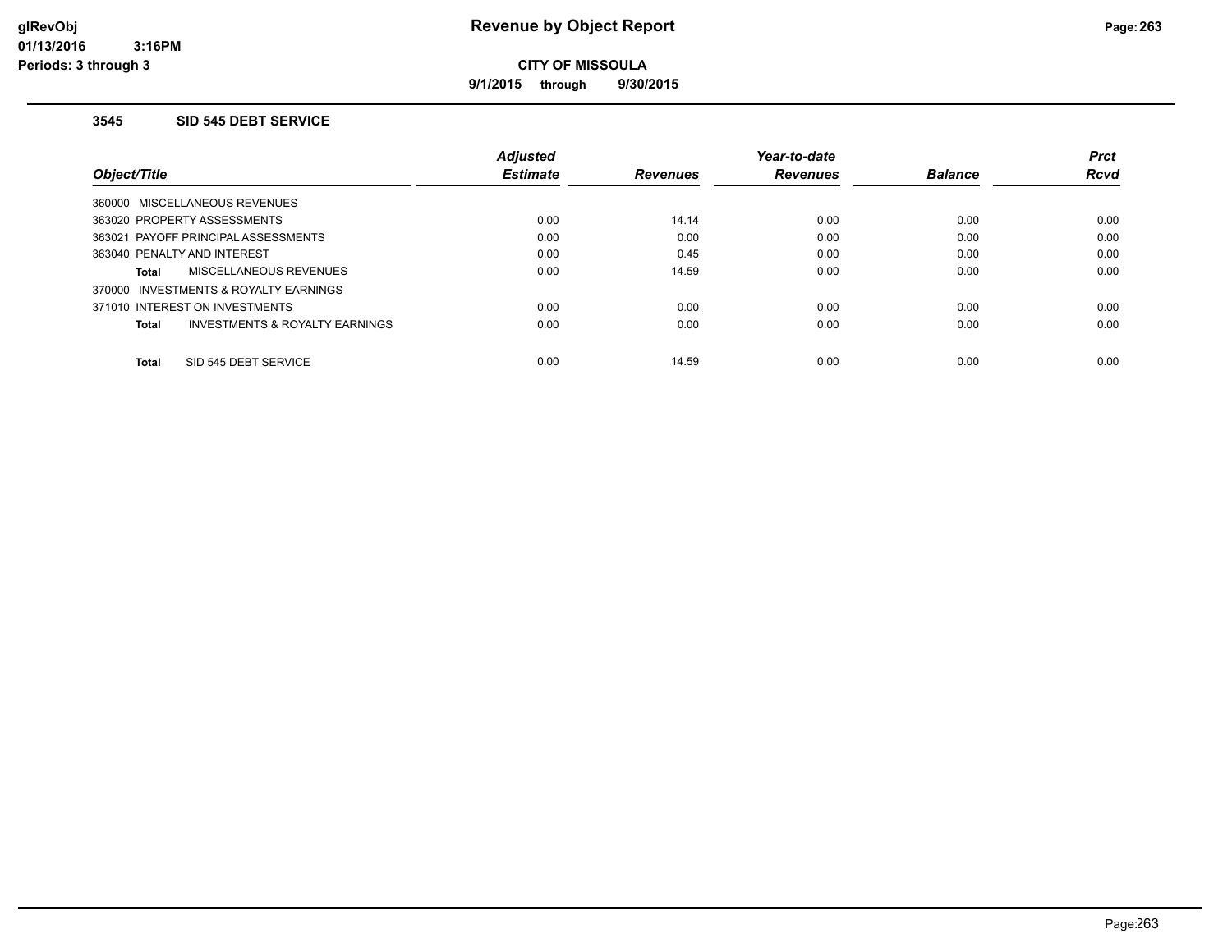**9/1/2015 through 9/30/2015**

#### **3545 SID 545 DEBT SERVICE**

|                                         | <b>Adiusted</b> |                 | Year-to-date    |                | <b>Prct</b> |
|-----------------------------------------|-----------------|-----------------|-----------------|----------------|-------------|
| Obiect/Title                            | <b>Estimate</b> | <b>Revenues</b> | <b>Revenues</b> | <b>Balance</b> | <b>Rcvd</b> |
| 360000 MISCELLANEOUS REVENUES           |                 |                 |                 |                |             |
| 363020 PROPERTY ASSESSMENTS             | 0.00            | 14.14           | 0.00            | 0.00           | 0.00        |
| 363021 PAYOFF PRINCIPAL ASSESSMENTS     | 0.00            | 0.00            | 0.00            | 0.00           | 0.00        |
| 363040 PENALTY AND INTEREST             | 0.00            | 0.45            | 0.00            | 0.00           | 0.00        |
| MISCELLANEOUS REVENUES<br>Total         | 0.00            | 14.59           | 0.00            | 0.00           | 0.00        |
| 370000 INVESTMENTS & ROYALTY EARNINGS   |                 |                 |                 |                |             |
| 371010 INTEREST ON INVESTMENTS          | 0.00            | 0.00            | 0.00            | 0.00           | 0.00        |
| INVESTMENTS & ROYALTY EARNINGS<br>Total | 0.00            | 0.00            | 0.00            | 0.00           | 0.00        |
| SID 545 DEBT SERVICE<br><b>Total</b>    | 0.00            | 14.59           | 0.00            | 0.00           | 0.00        |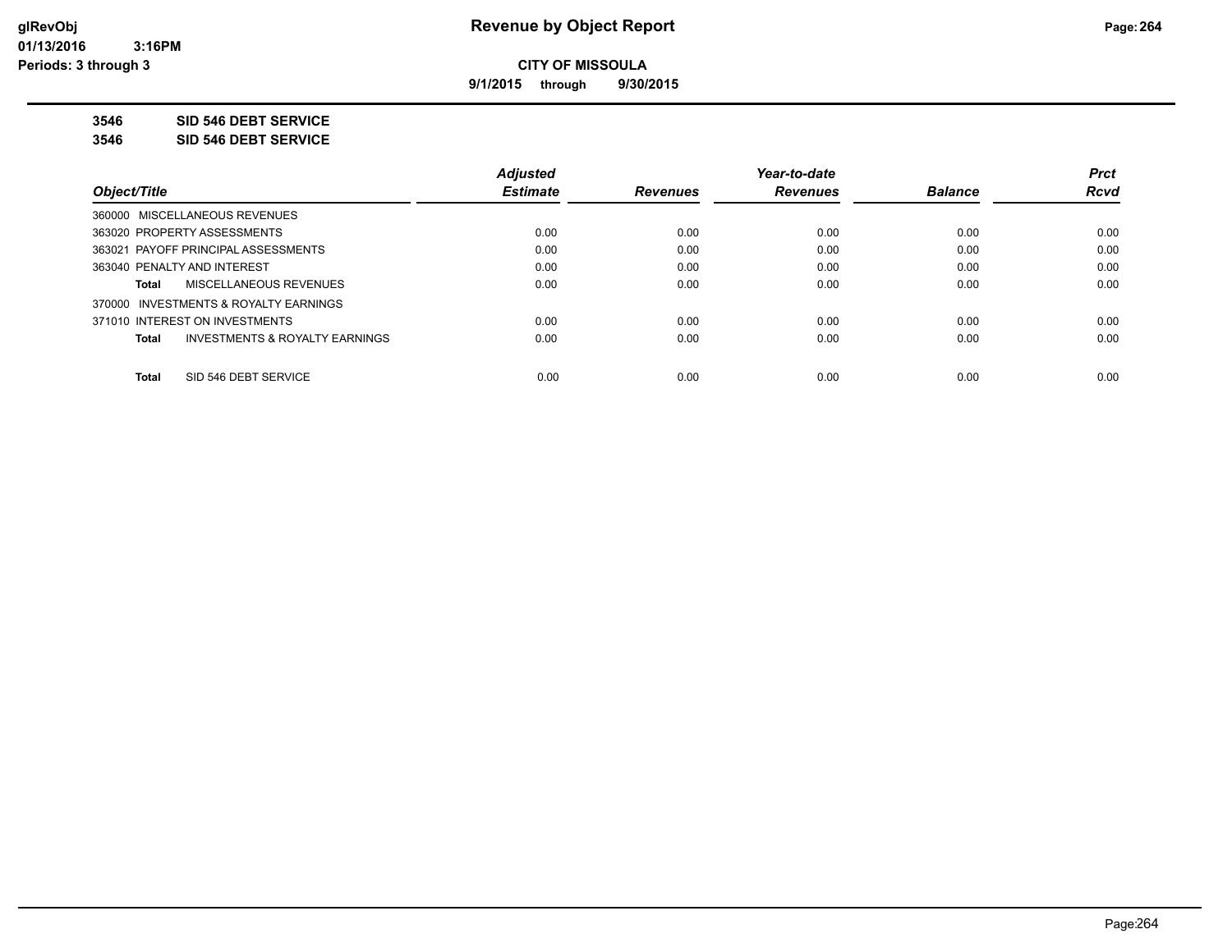**9/1/2015 through 9/30/2015**

**3546 SID 546 DEBT SERVICE**

**3546 SID 546 DEBT SERVICE**

|                                                           | <b>Adjusted</b> |                 | Year-to-date    |                | <b>Prct</b> |
|-----------------------------------------------------------|-----------------|-----------------|-----------------|----------------|-------------|
| Obiect/Title                                              | <b>Estimate</b> | <b>Revenues</b> | <b>Revenues</b> | <b>Balance</b> | <b>Rcvd</b> |
| 360000 MISCELLANEOUS REVENUES                             |                 |                 |                 |                |             |
| 363020 PROPERTY ASSESSMENTS                               | 0.00            | 0.00            | 0.00            | 0.00           | 0.00        |
| 363021 PAYOFF PRINCIPAL ASSESSMENTS                       | 0.00            | 0.00            | 0.00            | 0.00           | 0.00        |
| 363040 PENALTY AND INTEREST                               | 0.00            | 0.00            | 0.00            | 0.00           | 0.00        |
| MISCELLANEOUS REVENUES<br>Total                           | 0.00            | 0.00            | 0.00            | 0.00           | 0.00        |
| 370000 INVESTMENTS & ROYALTY EARNINGS                     |                 |                 |                 |                |             |
| 371010 INTEREST ON INVESTMENTS                            | 0.00            | 0.00            | 0.00            | 0.00           | 0.00        |
| <b>INVESTMENTS &amp; ROYALTY EARNINGS</b><br><b>Total</b> | 0.00            | 0.00            | 0.00            | 0.00           | 0.00        |
|                                                           |                 |                 |                 |                |             |
| SID 546 DEBT SERVICE<br><b>Total</b>                      | 0.00            | 0.00            | 0.00            | 0.00           | 0.00        |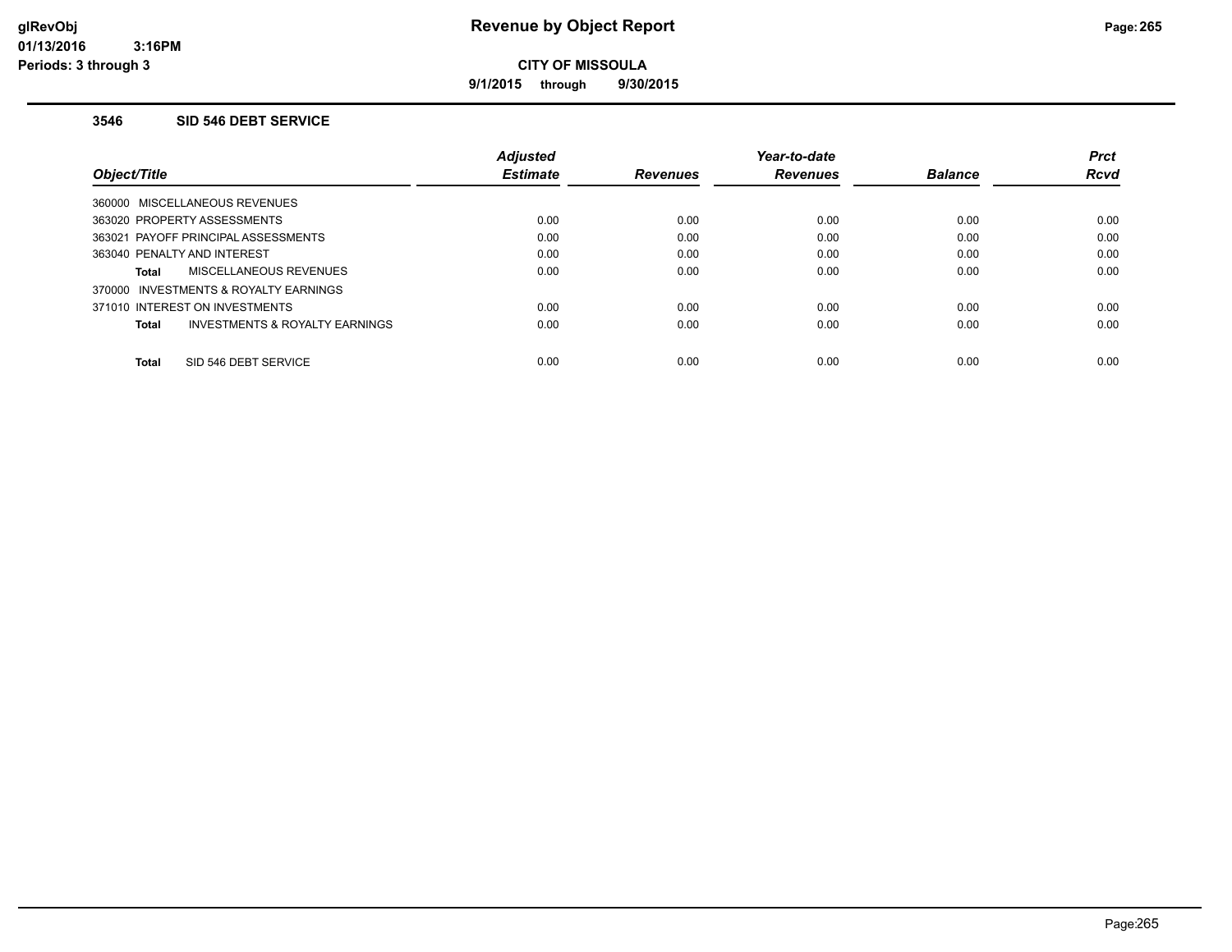**9/1/2015 through 9/30/2015**

#### **3546 SID 546 DEBT SERVICE**

|                                                | <b>Adiusted</b> |                 | Year-to-date    |                | <b>Prct</b> |
|------------------------------------------------|-----------------|-----------------|-----------------|----------------|-------------|
| Obiect/Title                                   | <b>Estimate</b> | <b>Revenues</b> | <b>Revenues</b> | <b>Balance</b> | <b>Rcvd</b> |
| 360000 MISCELLANEOUS REVENUES                  |                 |                 |                 |                |             |
| 363020 PROPERTY ASSESSMENTS                    | 0.00            | 0.00            | 0.00            | 0.00           | 0.00        |
| 363021 PAYOFF PRINCIPAL ASSESSMENTS            | 0.00            | 0.00            | 0.00            | 0.00           | 0.00        |
| 363040 PENALTY AND INTEREST                    | 0.00            | 0.00            | 0.00            | 0.00           | 0.00        |
| MISCELLANEOUS REVENUES<br><b>Total</b>         | 0.00            | 0.00            | 0.00            | 0.00           | 0.00        |
| 370000 INVESTMENTS & ROYALTY EARNINGS          |                 |                 |                 |                |             |
| 371010 INTEREST ON INVESTMENTS                 | 0.00            | 0.00            | 0.00            | 0.00           | 0.00        |
| INVESTMENTS & ROYALTY EARNINGS<br><b>Total</b> | 0.00            | 0.00            | 0.00            | 0.00           | 0.00        |
| SID 546 DEBT SERVICE<br><b>Total</b>           | 0.00            | 0.00            | 0.00            | 0.00           | 0.00        |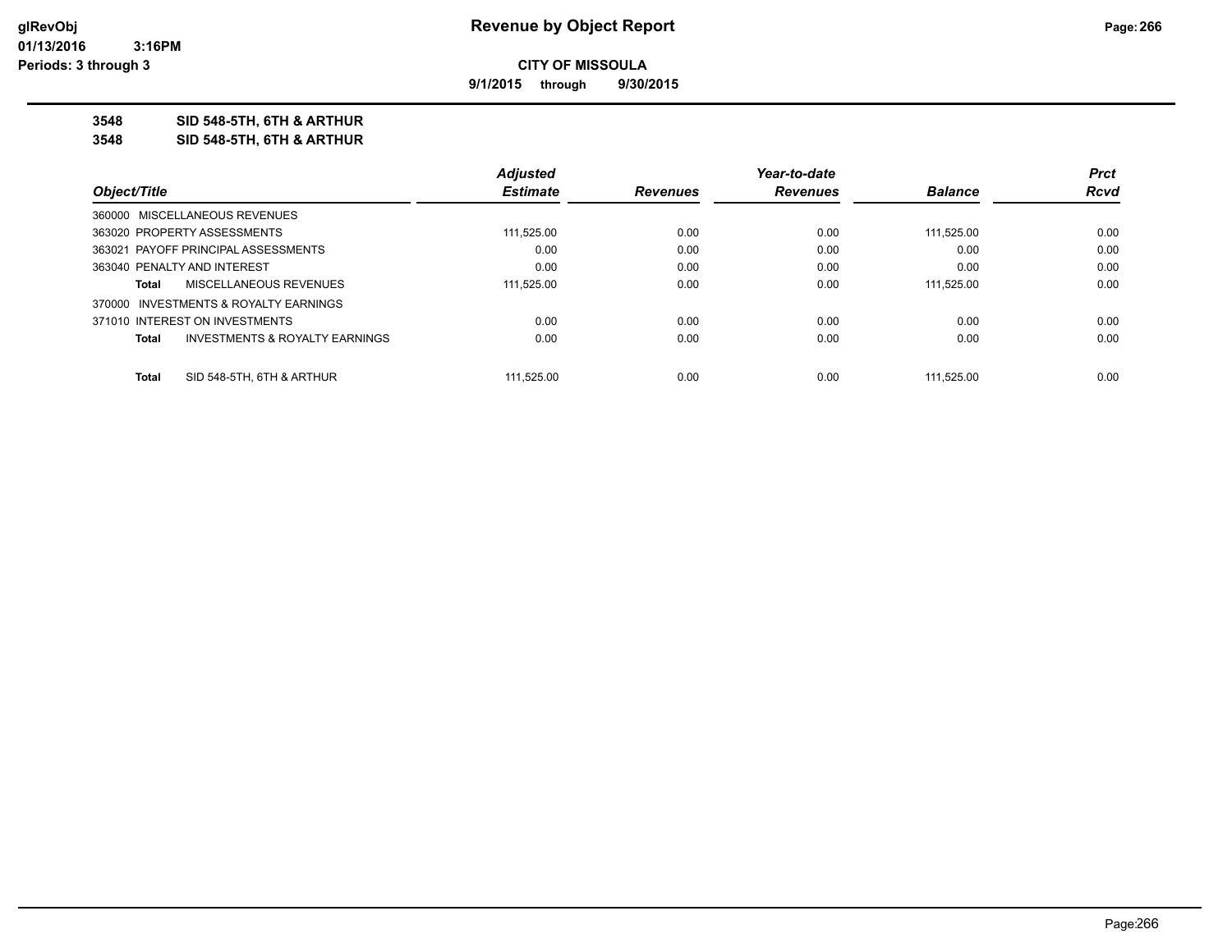**9/1/2015 through 9/30/2015**

**3548 SID 548-5TH, 6TH & ARTHUR**

**3548 SID 548-5TH, 6TH & ARTHUR**

|                                       |                                           | <b>Adjusted</b> |                 | Year-to-date    |                | <b>Prct</b> |
|---------------------------------------|-------------------------------------------|-----------------|-----------------|-----------------|----------------|-------------|
| Object/Title                          |                                           | <b>Estimate</b> | <b>Revenues</b> | <b>Revenues</b> | <b>Balance</b> | Rcvd        |
| 360000 MISCELLANEOUS REVENUES         |                                           |                 |                 |                 |                |             |
| 363020 PROPERTY ASSESSMENTS           |                                           | 111,525.00      | 0.00            | 0.00            | 111.525.00     | 0.00        |
| 363021 PAYOFF PRINCIPAL ASSESSMENTS   |                                           | 0.00            | 0.00            | 0.00            | 0.00           | 0.00        |
| 363040 PENALTY AND INTEREST           |                                           | 0.00            | 0.00            | 0.00            | 0.00           | 0.00        |
| Total                                 | MISCELLANEOUS REVENUES                    | 111.525.00      | 0.00            | 0.00            | 111.525.00     | 0.00        |
| 370000 INVESTMENTS & ROYALTY EARNINGS |                                           |                 |                 |                 |                |             |
| 371010 INTEREST ON INVESTMENTS        |                                           | 0.00            | 0.00            | 0.00            | 0.00           | 0.00        |
| <b>Total</b>                          | <b>INVESTMENTS &amp; ROYALTY EARNINGS</b> | 0.00            | 0.00            | 0.00            | 0.00           | 0.00        |
| Total                                 | SID 548-5TH, 6TH & ARTHUR                 | 111.525.00      | 0.00            | 0.00            | 111.525.00     | 0.00        |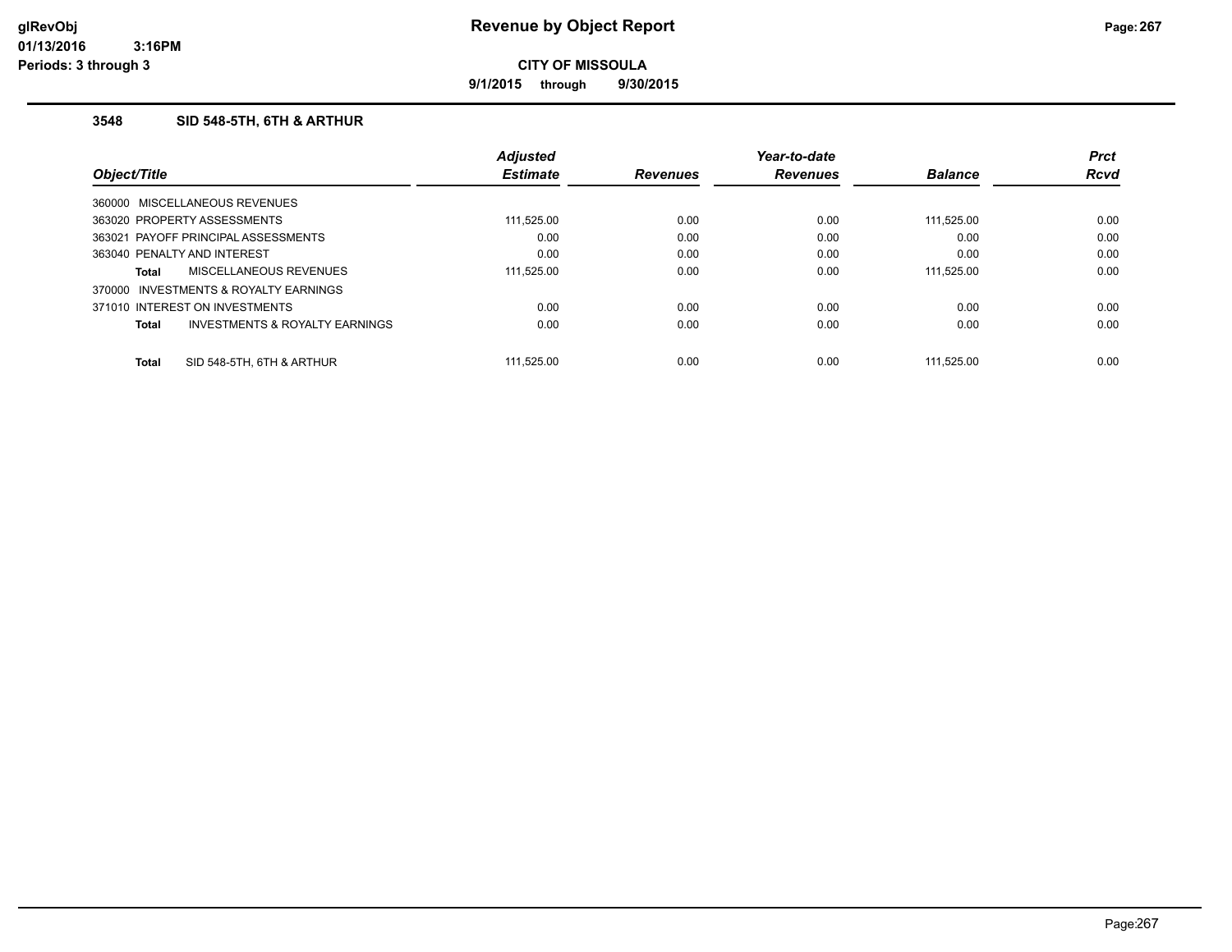**9/1/2015 through 9/30/2015**

### **3548 SID 548-5TH, 6TH & ARTHUR**

|              |                                     | <b>Adjusted</b> |                 | Year-to-date    |                | <b>Prct</b> |
|--------------|-------------------------------------|-----------------|-----------------|-----------------|----------------|-------------|
| Object/Title |                                     | <b>Estimate</b> | <b>Revenues</b> | <b>Revenues</b> | <b>Balance</b> | <b>Rcvd</b> |
|              | 360000 MISCELLANEOUS REVENUES       |                 |                 |                 |                |             |
|              | 363020 PROPERTY ASSESSMENTS         | 111,525.00      | 0.00            | 0.00            | 111,525.00     | 0.00        |
|              | 363021 PAYOFF PRINCIPAL ASSESSMENTS | 0.00            | 0.00            | 0.00            | 0.00           | 0.00        |
|              | 363040 PENALTY AND INTEREST         | 0.00            | 0.00            | 0.00            | 0.00           | 0.00        |
| Total        | MISCELLANEOUS REVENUES              | 111.525.00      | 0.00            | 0.00            | 111.525.00     | 0.00        |
| 370000       | INVESTMENTS & ROYALTY EARNINGS      |                 |                 |                 |                |             |
|              | 371010 INTEREST ON INVESTMENTS      | 0.00            | 0.00            | 0.00            | 0.00           | 0.00        |
| Total        | INVESTMENTS & ROYALTY EARNINGS      | 0.00            | 0.00            | 0.00            | 0.00           | 0.00        |
| <b>Total</b> | SID 548-5TH, 6TH & ARTHUR           | 111.525.00      | 0.00            | 0.00            | 111.525.00     | 0.00        |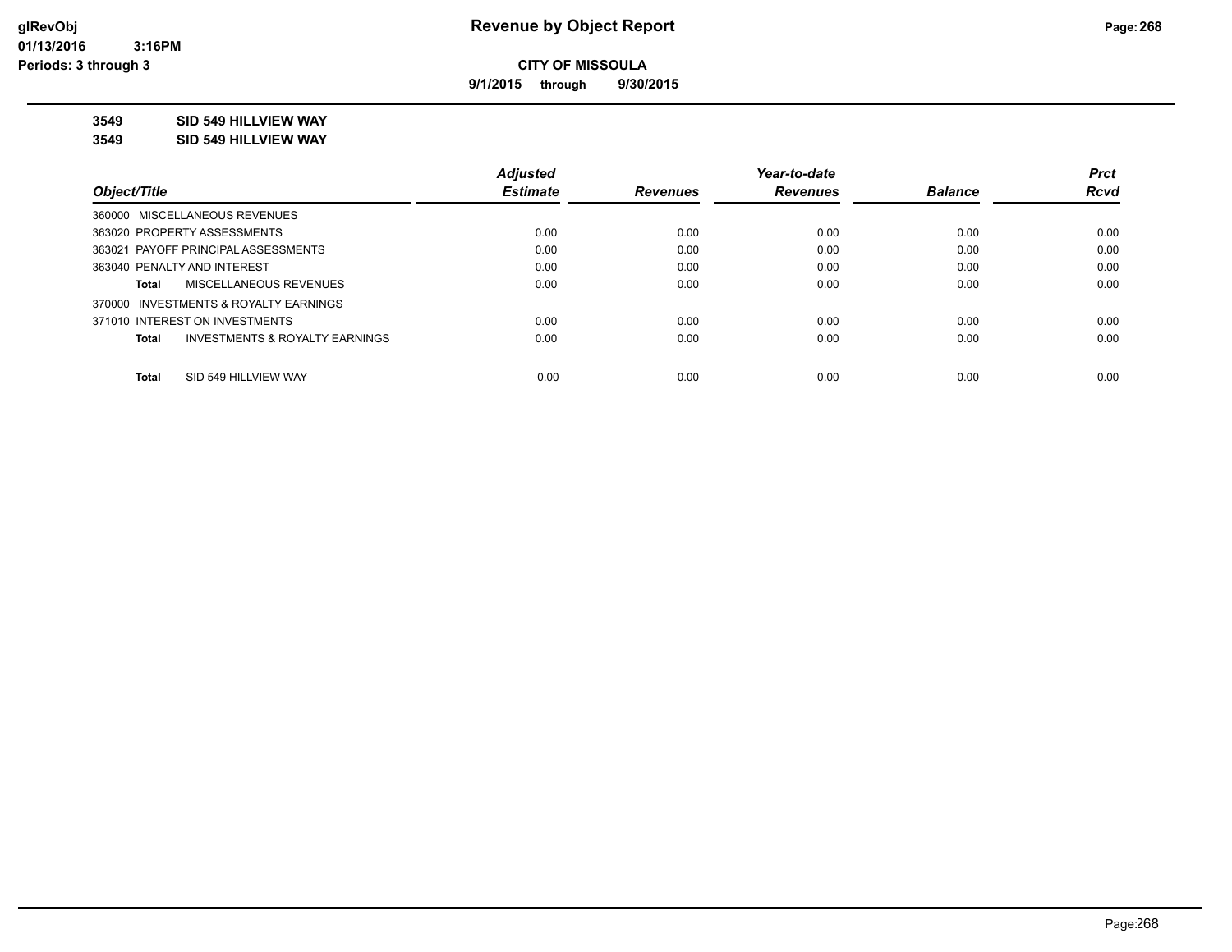**9/1/2015 through 9/30/2015**

## **3549 SID 549 HILLVIEW WAY**

#### **3549 SID 549 HILLVIEW WAY**

|                                                    | <b>Adjusted</b> |                 | Year-to-date    |                | <b>Prct</b> |
|----------------------------------------------------|-----------------|-----------------|-----------------|----------------|-------------|
| Object/Title                                       | <b>Estimate</b> | <b>Revenues</b> | <b>Revenues</b> | <b>Balance</b> | <b>Rcvd</b> |
| 360000 MISCELLANEOUS REVENUES                      |                 |                 |                 |                |             |
| 363020 PROPERTY ASSESSMENTS                        | 0.00            | 0.00            | 0.00            | 0.00           | 0.00        |
| 363021 PAYOFF PRINCIPAL ASSESSMENTS                | 0.00            | 0.00            | 0.00            | 0.00           | 0.00        |
| 363040 PENALTY AND INTEREST                        | 0.00            | 0.00            | 0.00            | 0.00           | 0.00        |
| MISCELLANEOUS REVENUES<br>Total                    | 0.00            | 0.00            | 0.00            | 0.00           | 0.00        |
| 370000 INVESTMENTS & ROYALTY EARNINGS              |                 |                 |                 |                |             |
| 371010 INTEREST ON INVESTMENTS                     | 0.00            | 0.00            | 0.00            | 0.00           | 0.00        |
| <b>INVESTMENTS &amp; ROYALTY EARNINGS</b><br>Total | 0.00            | 0.00            | 0.00            | 0.00           | 0.00        |
|                                                    |                 |                 |                 |                |             |
| SID 549 HILLVIEW WAY<br><b>Total</b>               | 0.00            | 0.00            | 0.00            | 0.00           | 0.00        |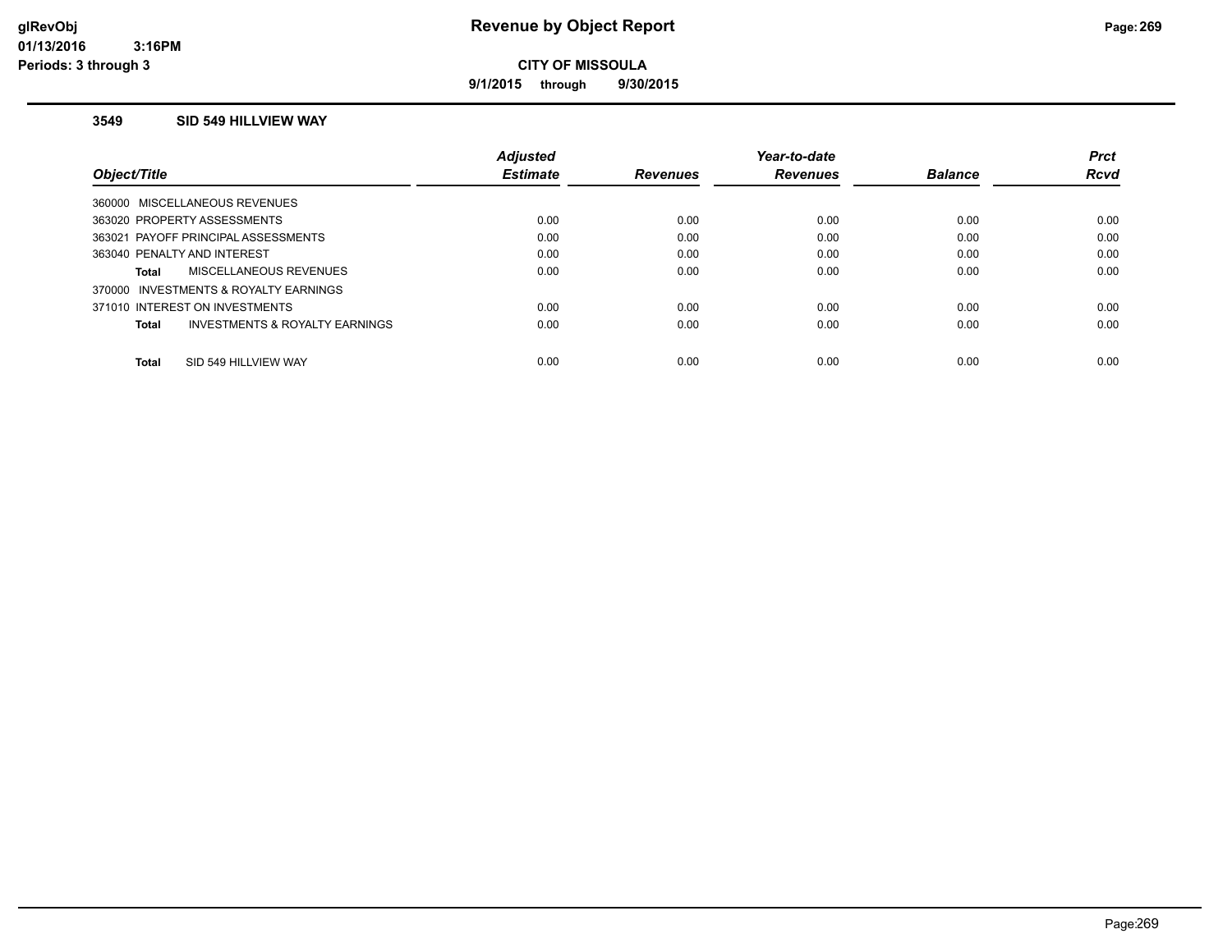**9/1/2015 through 9/30/2015**

### **3549 SID 549 HILLVIEW WAY**

|                                                | <b>Adiusted</b> |                 | Year-to-date    |                | <b>Prct</b> |
|------------------------------------------------|-----------------|-----------------|-----------------|----------------|-------------|
| Obiect/Title                                   | <b>Estimate</b> | <b>Revenues</b> | <b>Revenues</b> | <b>Balance</b> | <b>Rcvd</b> |
| 360000 MISCELLANEOUS REVENUES                  |                 |                 |                 |                |             |
| 363020 PROPERTY ASSESSMENTS                    | 0.00            | 0.00            | 0.00            | 0.00           | 0.00        |
| 363021 PAYOFF PRINCIPAL ASSESSMENTS            | 0.00            | 0.00            | 0.00            | 0.00           | 0.00        |
| 363040 PENALTY AND INTEREST                    | 0.00            | 0.00            | 0.00            | 0.00           | 0.00        |
| MISCELLANEOUS REVENUES<br><b>Total</b>         | 0.00            | 0.00            | 0.00            | 0.00           | 0.00        |
| 370000 INVESTMENTS & ROYALTY EARNINGS          |                 |                 |                 |                |             |
| 371010 INTEREST ON INVESTMENTS                 | 0.00            | 0.00            | 0.00            | 0.00           | 0.00        |
| INVESTMENTS & ROYALTY EARNINGS<br><b>Total</b> | 0.00            | 0.00            | 0.00            | 0.00           | 0.00        |
| SID 549 HILLVIEW WAY<br><b>Total</b>           | 0.00            | 0.00            | 0.00            | 0.00           | 0.00        |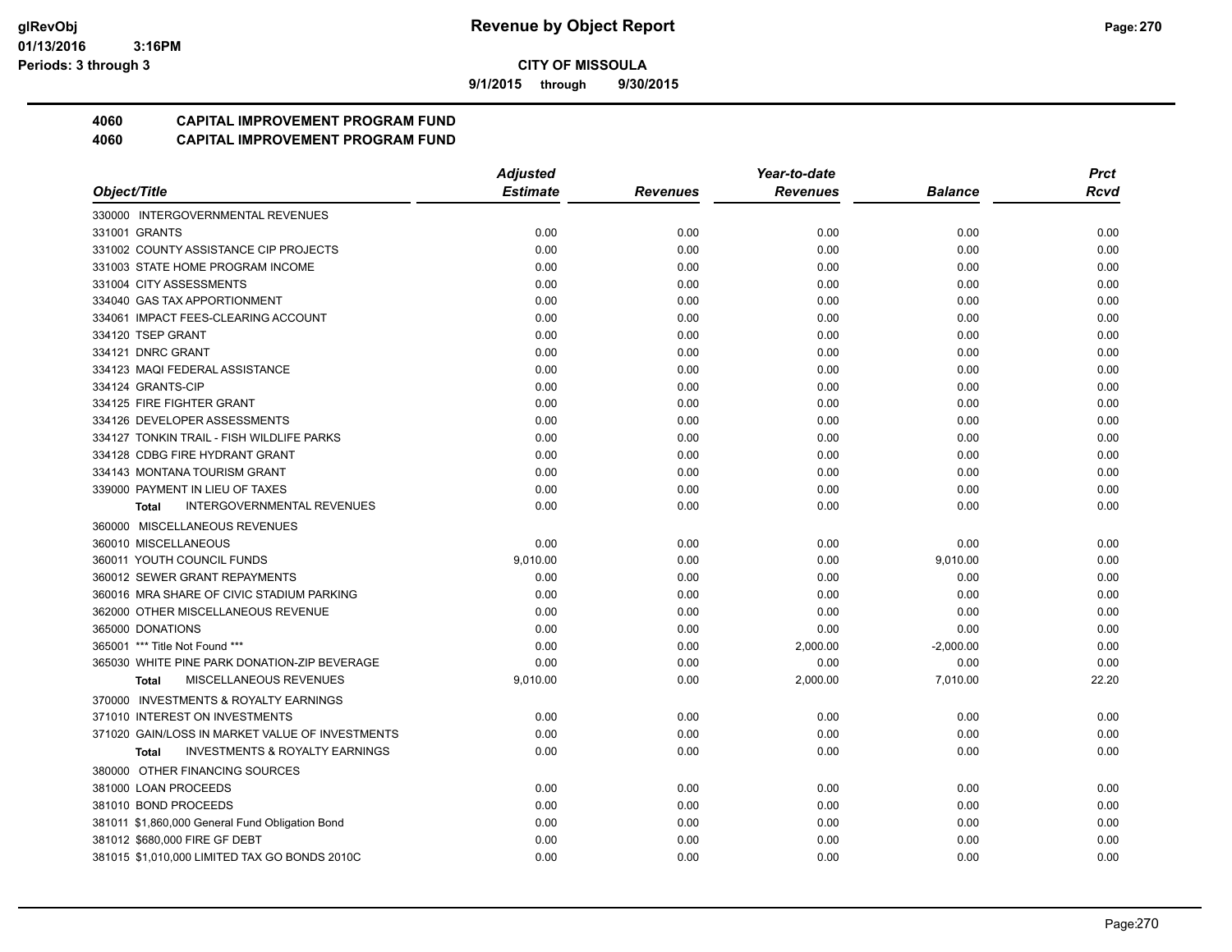**9/1/2015 through 9/30/2015**

## **4060 CAPITAL IMPROVEMENT PROGRAM FUND**

|                                                           | <b>Adjusted</b> |                 | Year-to-date    |                | <b>Prct</b> |
|-----------------------------------------------------------|-----------------|-----------------|-----------------|----------------|-------------|
| Object/Title                                              | <b>Estimate</b> | <b>Revenues</b> | <b>Revenues</b> | <b>Balance</b> | <b>Rcvd</b> |
| 330000 INTERGOVERNMENTAL REVENUES                         |                 |                 |                 |                |             |
| 331001 GRANTS                                             | 0.00            | 0.00            | 0.00            | 0.00           | 0.00        |
| 331002 COUNTY ASSISTANCE CIP PROJECTS                     | 0.00            | 0.00            | 0.00            | 0.00           | 0.00        |
| 331003 STATE HOME PROGRAM INCOME                          | 0.00            | 0.00            | 0.00            | 0.00           | 0.00        |
| 331004 CITY ASSESSMENTS                                   | 0.00            | 0.00            | 0.00            | 0.00           | 0.00        |
| 334040 GAS TAX APPORTIONMENT                              | 0.00            | 0.00            | 0.00            | 0.00           | 0.00        |
| 334061 IMPACT FEES-CLEARING ACCOUNT                       | 0.00            | 0.00            | 0.00            | 0.00           | 0.00        |
| 334120 TSEP GRANT                                         | 0.00            | 0.00            | 0.00            | 0.00           | 0.00        |
| 334121 DNRC GRANT                                         | 0.00            | 0.00            | 0.00            | 0.00           | 0.00        |
| 334123 MAQI FEDERAL ASSISTANCE                            | 0.00            | 0.00            | 0.00            | 0.00           | 0.00        |
| 334124 GRANTS-CIP                                         | 0.00            | 0.00            | 0.00            | 0.00           | 0.00        |
| 334125 FIRE FIGHTER GRANT                                 | 0.00            | 0.00            | 0.00            | 0.00           | 0.00        |
| 334126 DEVELOPER ASSESSMENTS                              | 0.00            | 0.00            | 0.00            | 0.00           | 0.00        |
| 334127 TONKIN TRAIL - FISH WILDLIFE PARKS                 | 0.00            | 0.00            | 0.00            | 0.00           | 0.00        |
| 334128 CDBG FIRE HYDRANT GRANT                            | 0.00            | 0.00            | 0.00            | 0.00           | 0.00        |
| 334143 MONTANA TOURISM GRANT                              | 0.00            | 0.00            | 0.00            | 0.00           | 0.00        |
| 339000 PAYMENT IN LIEU OF TAXES                           | 0.00            | 0.00            | 0.00            | 0.00           | 0.00        |
| <b>INTERGOVERNMENTAL REVENUES</b><br>Total                | 0.00            | 0.00            | 0.00            | 0.00           | 0.00        |
| 360000 MISCELLANEOUS REVENUES                             |                 |                 |                 |                |             |
| 360010 MISCELLANEOUS                                      | 0.00            | 0.00            | 0.00            | 0.00           | 0.00        |
| 360011 YOUTH COUNCIL FUNDS                                | 9,010.00        | 0.00            | 0.00            | 9,010.00       | 0.00        |
| 360012 SEWER GRANT REPAYMENTS                             | 0.00            | 0.00            | 0.00            | 0.00           | 0.00        |
| 360016 MRA SHARE OF CIVIC STADIUM PARKING                 | 0.00            | 0.00            | 0.00            | 0.00           | 0.00        |
| 362000 OTHER MISCELLANEOUS REVENUE                        | 0.00            | 0.00            | 0.00            | 0.00           | 0.00        |
| 365000 DONATIONS                                          | 0.00            | 0.00            | 0.00            | 0.00           | 0.00        |
| 365001 *** Title Not Found ***                            | 0.00            | 0.00            | 2,000.00        | $-2,000.00$    | 0.00        |
| 365030 WHITE PINE PARK DONATION-ZIP BEVERAGE              | 0.00            | 0.00            | 0.00            | 0.00           | 0.00        |
| MISCELLANEOUS REVENUES<br><b>Total</b>                    | 9,010.00        | 0.00            | 2,000.00        | 7,010.00       | 22.20       |
| 370000 INVESTMENTS & ROYALTY EARNINGS                     |                 |                 |                 |                |             |
| 371010 INTEREST ON INVESTMENTS                            | 0.00            | 0.00            | 0.00            | 0.00           | 0.00        |
| 371020 GAIN/LOSS IN MARKET VALUE OF INVESTMENTS           | 0.00            | 0.00            | 0.00            | 0.00           | 0.00        |
| <b>INVESTMENTS &amp; ROYALTY EARNINGS</b><br><b>Total</b> | 0.00            | 0.00            | 0.00            | 0.00           | 0.00        |
| 380000 OTHER FINANCING SOURCES                            |                 |                 |                 |                |             |
| 381000 LOAN PROCEEDS                                      | 0.00            | 0.00            | 0.00            | 0.00           | 0.00        |
| 381010 BOND PROCEEDS                                      | 0.00            | 0.00            | 0.00            | 0.00           | 0.00        |
| 381011 \$1,860,000 General Fund Obligation Bond           | 0.00            | 0.00            | 0.00            | 0.00           | 0.00        |
| 381012 \$680,000 FIRE GF DEBT                             | 0.00            | 0.00            | 0.00            | 0.00           | 0.00        |
| 381015 \$1,010,000 LIMITED TAX GO BONDS 2010C             | 0.00            | 0.00            | 0.00            | 0.00           | 0.00        |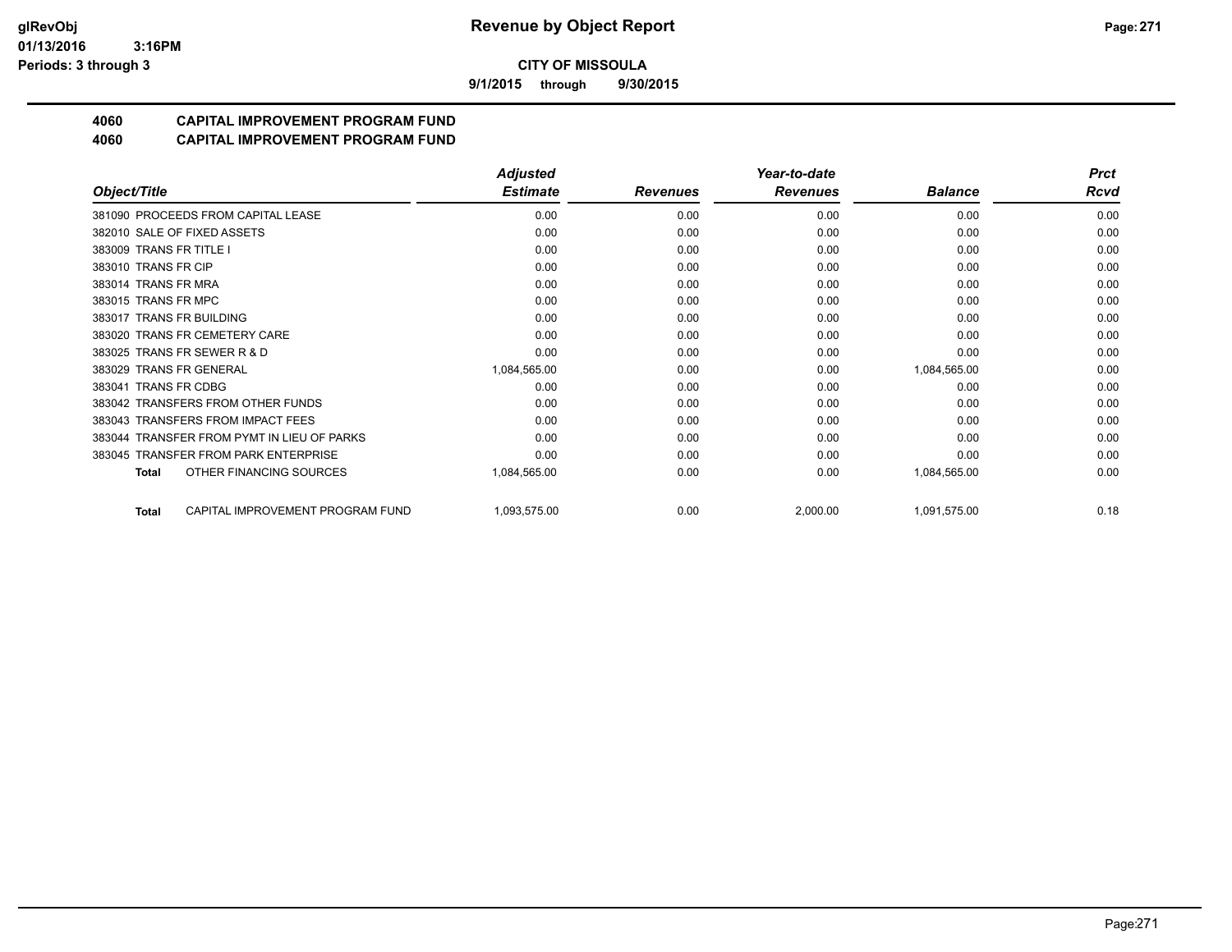**9/1/2015 through 9/30/2015**

# **4060 CAPITAL IMPROVEMENT PROGRAM FUND**

|                                                  | <b>Adjusted</b> |                 | Year-to-date    |                | <b>Prct</b> |
|--------------------------------------------------|-----------------|-----------------|-----------------|----------------|-------------|
| Object/Title                                     | <b>Estimate</b> | <b>Revenues</b> | <b>Revenues</b> | <b>Balance</b> | Rcvd        |
| 381090 PROCEEDS FROM CAPITAL LEASE               | 0.00            | 0.00            | 0.00            | 0.00           | 0.00        |
| 382010 SALE OF FIXED ASSETS                      | 0.00            | 0.00            | 0.00            | 0.00           | 0.00        |
| 383009 TRANS FR TITLE I                          | 0.00            | 0.00            | 0.00            | 0.00           | 0.00        |
| 383010 TRANS FR CIP                              | 0.00            | 0.00            | 0.00            | 0.00           | 0.00        |
| 383014 TRANS FR MRA                              | 0.00            | 0.00            | 0.00            | 0.00           | 0.00        |
| 383015 TRANS FR MPC                              | 0.00            | 0.00            | 0.00            | 0.00           | 0.00        |
| 383017 TRANS FR BUILDING                         | 0.00            | 0.00            | 0.00            | 0.00           | 0.00        |
| 383020 TRANS FR CEMETERY CARE                    | 0.00            | 0.00            | 0.00            | 0.00           | 0.00        |
| 383025 TRANS FR SEWER R & D                      | 0.00            | 0.00            | 0.00            | 0.00           | 0.00        |
| 383029 TRANS FR GENERAL                          | 1,084,565.00    | 0.00            | 0.00            | 1,084,565.00   | 0.00        |
| 383041 TRANS FR CDBG                             | 0.00            | 0.00            | 0.00            | 0.00           | 0.00        |
| 383042 TRANSFERS FROM OTHER FUNDS                | 0.00            | 0.00            | 0.00            | 0.00           | 0.00        |
| 383043 TRANSFERS FROM IMPACT FEES                | 0.00            | 0.00            | 0.00            | 0.00           | 0.00        |
| 383044 TRANSFER FROM PYMT IN LIEU OF PARKS       | 0.00            | 0.00            | 0.00            | 0.00           | 0.00        |
| 383045 TRANSFER FROM PARK ENTERPRISE             | 0.00            | 0.00            | 0.00            | 0.00           | 0.00        |
| OTHER FINANCING SOURCES<br><b>Total</b>          | 1,084,565.00    | 0.00            | 0.00            | 1,084,565.00   | 0.00        |
| CAPITAL IMPROVEMENT PROGRAM FUND<br><b>Total</b> | 1,093,575.00    | 0.00            | 2,000.00        | 1,091,575.00   | 0.18        |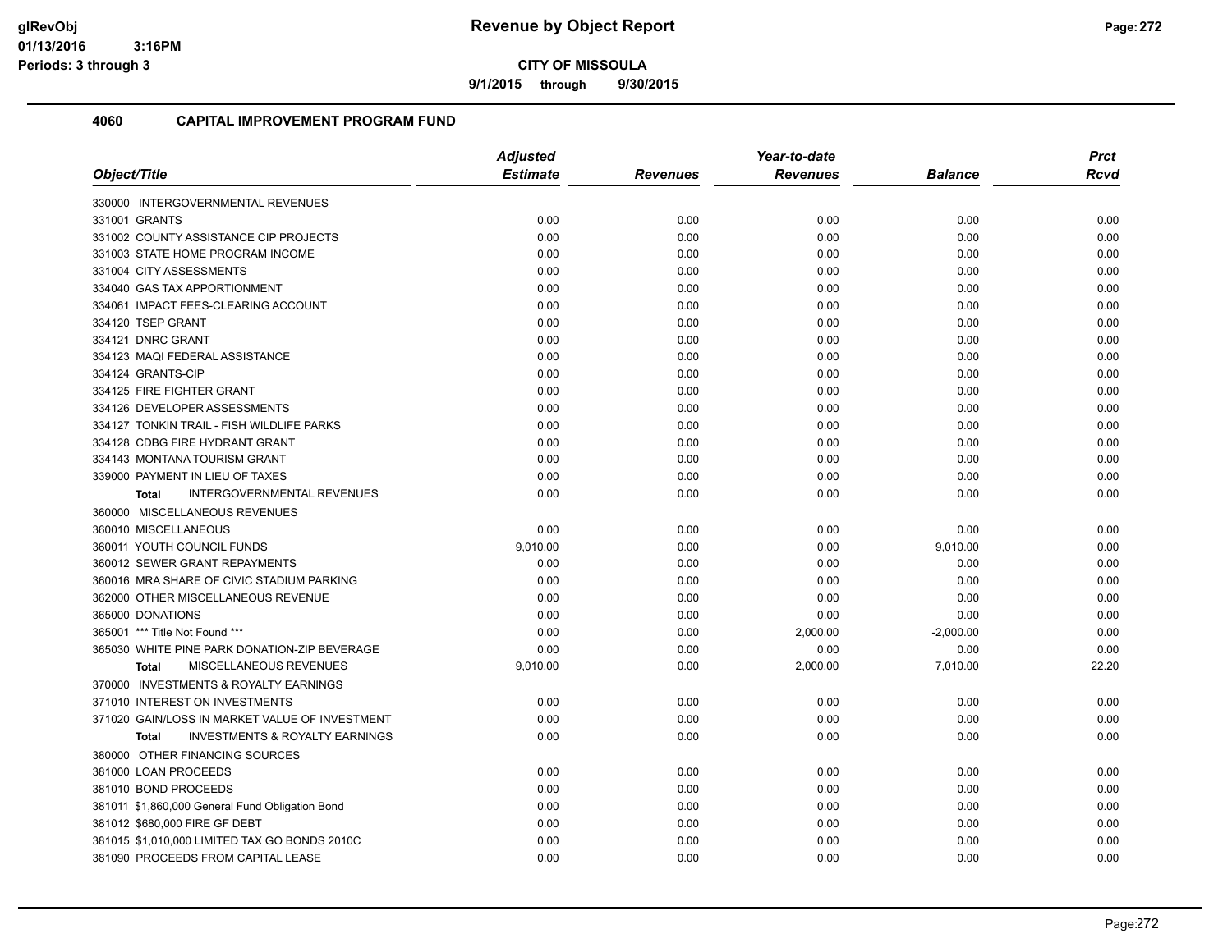**9/1/2015 through 9/30/2015**

|                                                    | <b>Adjusted</b> |                 | Year-to-date    |                | <b>Prct</b> |
|----------------------------------------------------|-----------------|-----------------|-----------------|----------------|-------------|
| Object/Title                                       | <b>Estimate</b> | <b>Revenues</b> | <b>Revenues</b> | <b>Balance</b> | <b>Rcvd</b> |
| 330000 INTERGOVERNMENTAL REVENUES                  |                 |                 |                 |                |             |
| 331001 GRANTS                                      | 0.00            | 0.00            | 0.00            | 0.00           | 0.00        |
| 331002 COUNTY ASSISTANCE CIP PROJECTS              | 0.00            | 0.00            | 0.00            | 0.00           | 0.00        |
| 331003 STATE HOME PROGRAM INCOME                   | 0.00            | 0.00            | 0.00            | 0.00           | 0.00        |
| 331004 CITY ASSESSMENTS                            | 0.00            | 0.00            | 0.00            | 0.00           | 0.00        |
| 334040 GAS TAX APPORTIONMENT                       | 0.00            | 0.00            | 0.00            | 0.00           | 0.00        |
| 334061 IMPACT FEES-CLEARING ACCOUNT                | 0.00            | 0.00            | 0.00            | 0.00           | 0.00        |
| 334120 TSEP GRANT                                  | 0.00            | 0.00            | 0.00            | 0.00           | 0.00        |
| 334121 DNRC GRANT                                  | 0.00            | 0.00            | 0.00            | 0.00           | 0.00        |
| 334123 MAQI FEDERAL ASSISTANCE                     | 0.00            | 0.00            | 0.00            | 0.00           | 0.00        |
| 334124 GRANTS-CIP                                  | 0.00            | 0.00            | 0.00            | 0.00           | 0.00        |
| 334125 FIRE FIGHTER GRANT                          | 0.00            | 0.00            | 0.00            | 0.00           | 0.00        |
| 334126 DEVELOPER ASSESSMENTS                       | 0.00            | 0.00            | 0.00            | 0.00           | 0.00        |
| 334127 TONKIN TRAIL - FISH WILDLIFE PARKS          | 0.00            | 0.00            | 0.00            | 0.00           | 0.00        |
| 334128 CDBG FIRE HYDRANT GRANT                     | 0.00            | 0.00            | 0.00            | 0.00           | 0.00        |
| 334143 MONTANA TOURISM GRANT                       | 0.00            | 0.00            | 0.00            | 0.00           | 0.00        |
| 339000 PAYMENT IN LIEU OF TAXES                    | 0.00            | 0.00            | 0.00            | 0.00           | 0.00        |
| INTERGOVERNMENTAL REVENUES<br><b>Total</b>         | 0.00            | 0.00            | 0.00            | 0.00           | 0.00        |
| 360000 MISCELLANEOUS REVENUES                      |                 |                 |                 |                |             |
| 360010 MISCELLANEOUS                               | 0.00            | 0.00            | 0.00            | 0.00           | 0.00        |
| 360011 YOUTH COUNCIL FUNDS                         | 9,010.00        | 0.00            | 0.00            | 9,010.00       | 0.00        |
| 360012 SEWER GRANT REPAYMENTS                      | 0.00            | 0.00            | 0.00            | 0.00           | 0.00        |
| 360016 MRA SHARE OF CIVIC STADIUM PARKING          | 0.00            | 0.00            | 0.00            | 0.00           | 0.00        |
| 362000 OTHER MISCELLANEOUS REVENUE                 | 0.00            | 0.00            | 0.00            | 0.00           | 0.00        |
| 365000 DONATIONS                                   | 0.00            | 0.00            | 0.00            | 0.00           | 0.00        |
| 365001 *** Title Not Found ***                     | 0.00            | 0.00            | 2,000.00        | $-2,000.00$    | 0.00        |
| 365030 WHITE PINE PARK DONATION-ZIP BEVERAGE       | 0.00            | 0.00            | 0.00            | 0.00           | 0.00        |
| MISCELLANEOUS REVENUES<br><b>Total</b>             | 9,010.00        | 0.00            | 2,000.00        | 7,010.00       | 22.20       |
| 370000 INVESTMENTS & ROYALTY EARNINGS              |                 |                 |                 |                |             |
| 371010 INTEREST ON INVESTMENTS                     | 0.00            | 0.00            | 0.00            | 0.00           | 0.00        |
| 371020 GAIN/LOSS IN MARKET VALUE OF INVESTMENT     | 0.00            | 0.00            | 0.00            | 0.00           | 0.00        |
| <b>INVESTMENTS &amp; ROYALTY EARNINGS</b><br>Total | 0.00            | 0.00            | 0.00            | 0.00           | 0.00        |
| 380000 OTHER FINANCING SOURCES                     |                 |                 |                 |                |             |
| 381000 LOAN PROCEEDS                               | 0.00            | 0.00            | 0.00            | 0.00           | 0.00        |
| 381010 BOND PROCEEDS                               | 0.00            | 0.00            | 0.00            | 0.00           | 0.00        |
| 381011 \$1,860,000 General Fund Obligation Bond    | 0.00            | 0.00            | 0.00            | 0.00           | 0.00        |
| 381012 \$680,000 FIRE GF DEBT                      | 0.00            | 0.00            | 0.00            | 0.00           | 0.00        |
| 381015 \$1,010,000 LIMITED TAX GO BONDS 2010C      | 0.00            | 0.00            | 0.00            | 0.00           | 0.00        |
| 381090 PROCEEDS FROM CAPITAL LEASE                 | 0.00            | 0.00            | 0.00            | 0.00           | 0.00        |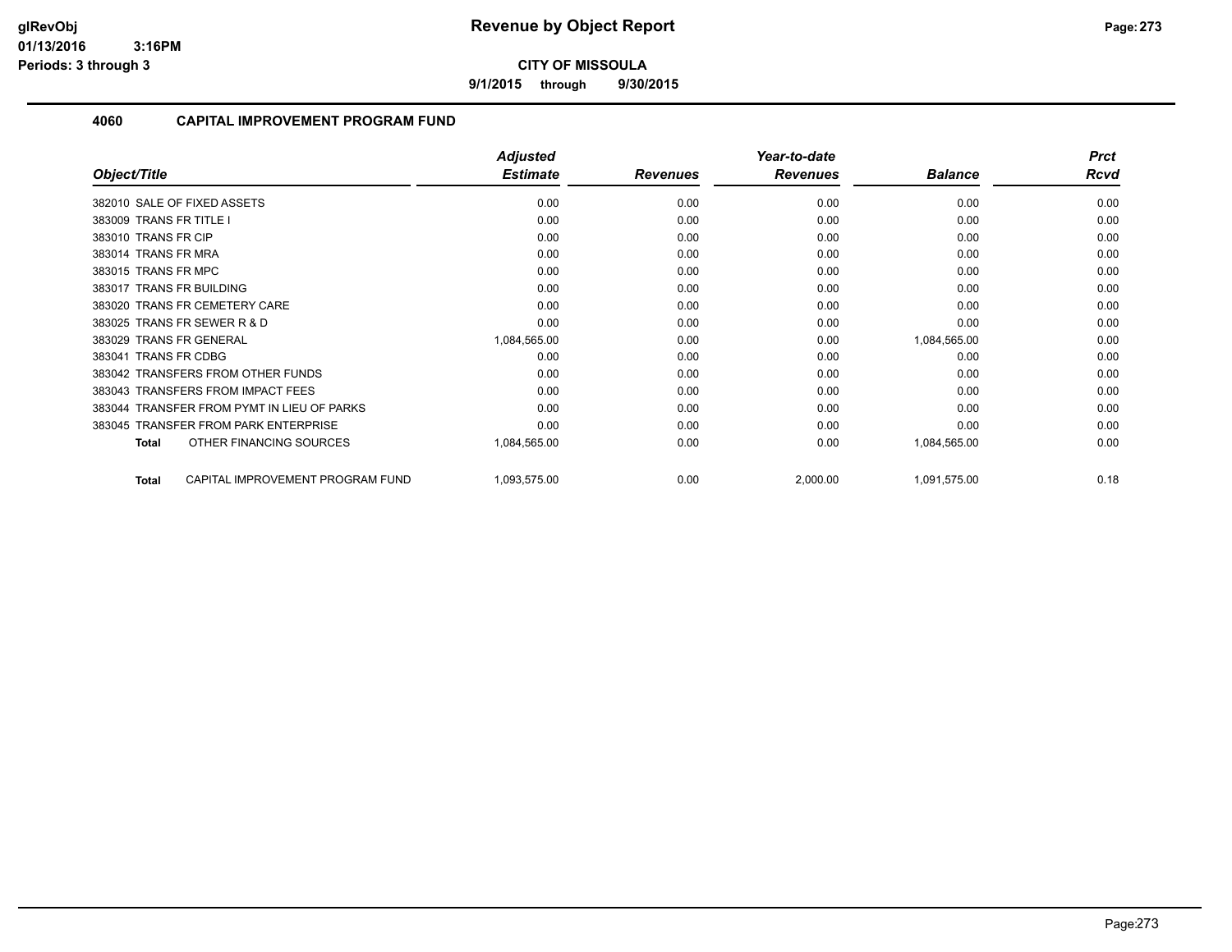**9/1/2015 through 9/30/2015**

|                                                  | <b>Adjusted</b> |                 | Year-to-date    |                | <b>Prct</b> |
|--------------------------------------------------|-----------------|-----------------|-----------------|----------------|-------------|
| Object/Title                                     | <b>Estimate</b> | <b>Revenues</b> | <b>Revenues</b> | <b>Balance</b> | <b>Rcvd</b> |
| 382010 SALE OF FIXED ASSETS                      | 0.00            | 0.00            | 0.00            | 0.00           | 0.00        |
| 383009 TRANS FR TITLE I                          | 0.00            | 0.00            | 0.00            | 0.00           | 0.00        |
| 383010 TRANS FR CIP                              | 0.00            | 0.00            | 0.00            | 0.00           | 0.00        |
| 383014 TRANS FR MRA                              | 0.00            | 0.00            | 0.00            | 0.00           | 0.00        |
| 383015 TRANS FR MPC                              | 0.00            | 0.00            | 0.00            | 0.00           | 0.00        |
| 383017 TRANS FR BUILDING                         | 0.00            | 0.00            | 0.00            | 0.00           | 0.00        |
| 383020 TRANS FR CEMETERY CARE                    | 0.00            | 0.00            | 0.00            | 0.00           | 0.00        |
| 383025 TRANS FR SEWER R & D                      | 0.00            | 0.00            | 0.00            | 0.00           | 0.00        |
| 383029 TRANS FR GENERAL                          | 1,084,565.00    | 0.00            | 0.00            | 1,084,565.00   | 0.00        |
| 383041 TRANS FR CDBG                             | 0.00            | 0.00            | 0.00            | 0.00           | 0.00        |
| 383042 TRANSFERS FROM OTHER FUNDS                | 0.00            | 0.00            | 0.00            | 0.00           | 0.00        |
| 383043 TRANSFERS FROM IMPACT FEES                | 0.00            | 0.00            | 0.00            | 0.00           | 0.00        |
| 383044 TRANSFER FROM PYMT IN LIEU OF PARKS       | 0.00            | 0.00            | 0.00            | 0.00           | 0.00        |
| 383045 TRANSFER FROM PARK ENTERPRISE             | 0.00            | 0.00            | 0.00            | 0.00           | 0.00        |
| OTHER FINANCING SOURCES<br><b>Total</b>          | 1,084,565.00    | 0.00            | 0.00            | 1,084,565.00   | 0.00        |
| CAPITAL IMPROVEMENT PROGRAM FUND<br><b>Total</b> | 1,093,575.00    | 0.00            | 2,000.00        | 1,091,575.00   | 0.18        |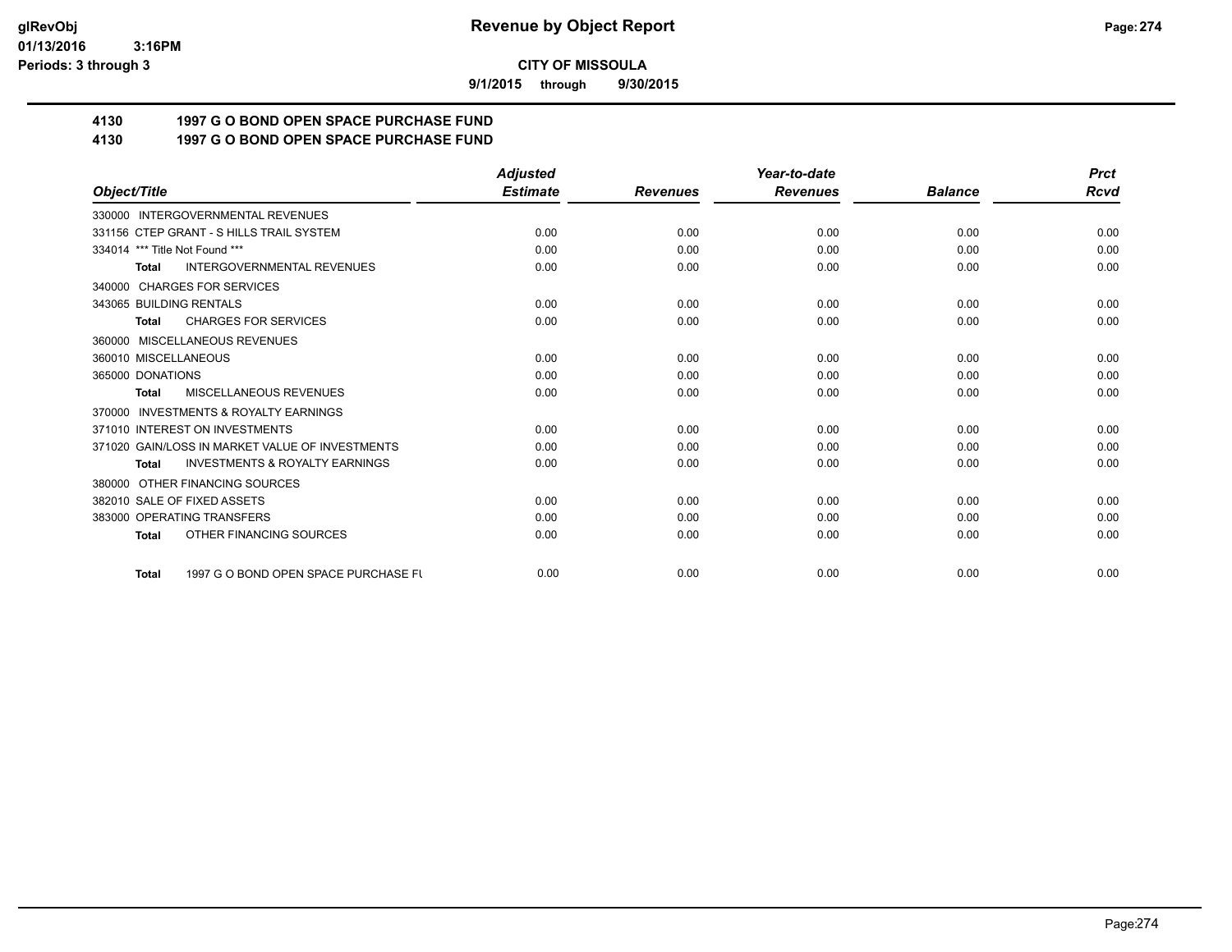**9/1/2015 through 9/30/2015**

# **4130 1997 G O BOND OPEN SPACE PURCHASE FUND**

## **4130 1997 G O BOND OPEN SPACE PURCHASE FUND**

|                                                           | <b>Adjusted</b> |                 | Year-to-date    |                | <b>Prct</b> |
|-----------------------------------------------------------|-----------------|-----------------|-----------------|----------------|-------------|
| Object/Title                                              | <b>Estimate</b> | <b>Revenues</b> | <b>Revenues</b> | <b>Balance</b> | Rcvd        |
| 330000 INTERGOVERNMENTAL REVENUES                         |                 |                 |                 |                |             |
| 331156 CTEP GRANT - S HILLS TRAIL SYSTEM                  | 0.00            | 0.00            | 0.00            | 0.00           | 0.00        |
| 334014 *** Title Not Found ***                            | 0.00            | 0.00            | 0.00            | 0.00           | 0.00        |
| <b>INTERGOVERNMENTAL REVENUES</b><br><b>Total</b>         | 0.00            | 0.00            | 0.00            | 0.00           | 0.00        |
| 340000 CHARGES FOR SERVICES                               |                 |                 |                 |                |             |
| 343065 BUILDING RENTALS                                   | 0.00            | 0.00            | 0.00            | 0.00           | 0.00        |
| <b>CHARGES FOR SERVICES</b><br><b>Total</b>               | 0.00            | 0.00            | 0.00            | 0.00           | 0.00        |
| MISCELLANEOUS REVENUES<br>360000                          |                 |                 |                 |                |             |
| 360010 MISCELLANEOUS                                      | 0.00            | 0.00            | 0.00            | 0.00           | 0.00        |
| 365000 DONATIONS                                          | 0.00            | 0.00            | 0.00            | 0.00           | 0.00        |
| <b>MISCELLANEOUS REVENUES</b><br><b>Total</b>             | 0.00            | 0.00            | 0.00            | 0.00           | 0.00        |
| INVESTMENTS & ROYALTY EARNINGS<br>370000                  |                 |                 |                 |                |             |
| 371010 INTEREST ON INVESTMENTS                            | 0.00            | 0.00            | 0.00            | 0.00           | 0.00        |
| 371020 GAIN/LOSS IN MARKET VALUE OF INVESTMENTS           | 0.00            | 0.00            | 0.00            | 0.00           | 0.00        |
| <b>INVESTMENTS &amp; ROYALTY EARNINGS</b><br><b>Total</b> | 0.00            | 0.00            | 0.00            | 0.00           | 0.00        |
| 380000 OTHER FINANCING SOURCES                            |                 |                 |                 |                |             |
| 382010 SALE OF FIXED ASSETS                               | 0.00            | 0.00            | 0.00            | 0.00           | 0.00        |
| 383000 OPERATING TRANSFERS                                | 0.00            | 0.00            | 0.00            | 0.00           | 0.00        |
| OTHER FINANCING SOURCES<br><b>Total</b>                   | 0.00            | 0.00            | 0.00            | 0.00           | 0.00        |
| 1997 G O BOND OPEN SPACE PURCHASE FU<br><b>Total</b>      | 0.00            | 0.00            | 0.00            | 0.00           | 0.00        |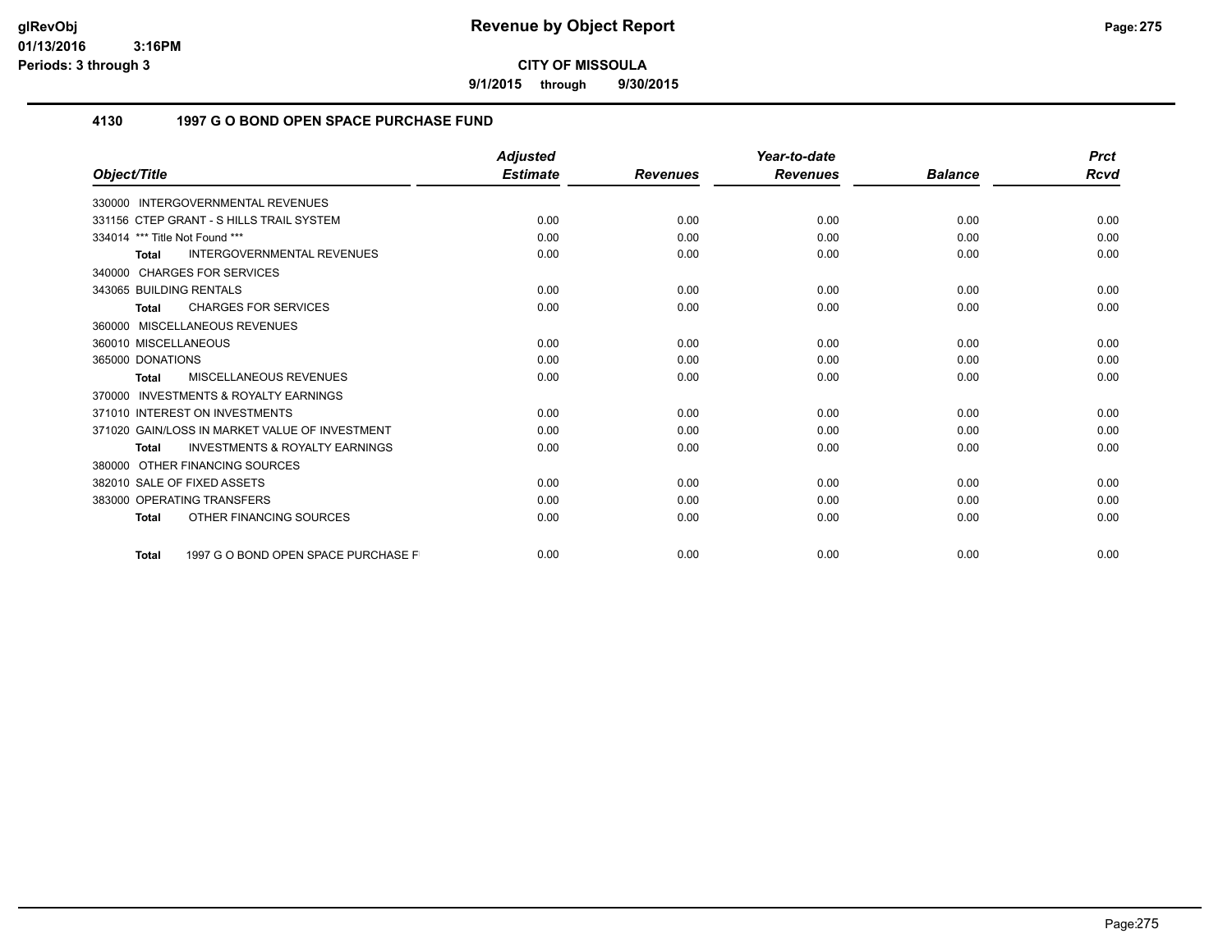**9/1/2015 through 9/30/2015**

### **4130 1997 G O BOND OPEN SPACE PURCHASE FUND**

|                                                           | <b>Adjusted</b> |                 | Year-to-date    |                | <b>Prct</b> |
|-----------------------------------------------------------|-----------------|-----------------|-----------------|----------------|-------------|
| Object/Title                                              | <b>Estimate</b> | <b>Revenues</b> | <b>Revenues</b> | <b>Balance</b> | Rcvd        |
| 330000 INTERGOVERNMENTAL REVENUES                         |                 |                 |                 |                |             |
| 331156 CTEP GRANT - S HILLS TRAIL SYSTEM                  | 0.00            | 0.00            | 0.00            | 0.00           | 0.00        |
| 334014 *** Title Not Found ***                            | 0.00            | 0.00            | 0.00            | 0.00           | 0.00        |
| <b>INTERGOVERNMENTAL REVENUES</b><br><b>Total</b>         | 0.00            | 0.00            | 0.00            | 0.00           | 0.00        |
| 340000 CHARGES FOR SERVICES                               |                 |                 |                 |                |             |
| 343065 BUILDING RENTALS                                   | 0.00            | 0.00            | 0.00            | 0.00           | 0.00        |
| <b>CHARGES FOR SERVICES</b><br><b>Total</b>               | 0.00            | 0.00            | 0.00            | 0.00           | 0.00        |
| 360000 MISCELLANEOUS REVENUES                             |                 |                 |                 |                |             |
| 360010 MISCELLANEOUS                                      | 0.00            | 0.00            | 0.00            | 0.00           | 0.00        |
| 365000 DONATIONS                                          | 0.00            | 0.00            | 0.00            | 0.00           | 0.00        |
| MISCELLANEOUS REVENUES<br><b>Total</b>                    | 0.00            | 0.00            | 0.00            | 0.00           | 0.00        |
| <b>INVESTMENTS &amp; ROYALTY EARNINGS</b><br>370000       |                 |                 |                 |                |             |
| 371010 INTEREST ON INVESTMENTS                            | 0.00            | 0.00            | 0.00            | 0.00           | 0.00        |
| 371020 GAIN/LOSS IN MARKET VALUE OF INVESTMENT            | 0.00            | 0.00            | 0.00            | 0.00           | 0.00        |
| <b>INVESTMENTS &amp; ROYALTY EARNINGS</b><br><b>Total</b> | 0.00            | 0.00            | 0.00            | 0.00           | 0.00        |
| OTHER FINANCING SOURCES<br>380000                         |                 |                 |                 |                |             |
| 382010 SALE OF FIXED ASSETS                               | 0.00            | 0.00            | 0.00            | 0.00           | 0.00        |
| 383000 OPERATING TRANSFERS                                | 0.00            | 0.00            | 0.00            | 0.00           | 0.00        |
| OTHER FINANCING SOURCES<br><b>Total</b>                   | 0.00            | 0.00            | 0.00            | 0.00           | 0.00        |
| 1997 G O BOND OPEN SPACE PURCHASE F<br><b>Total</b>       | 0.00            | 0.00            | 0.00            | 0.00           | 0.00        |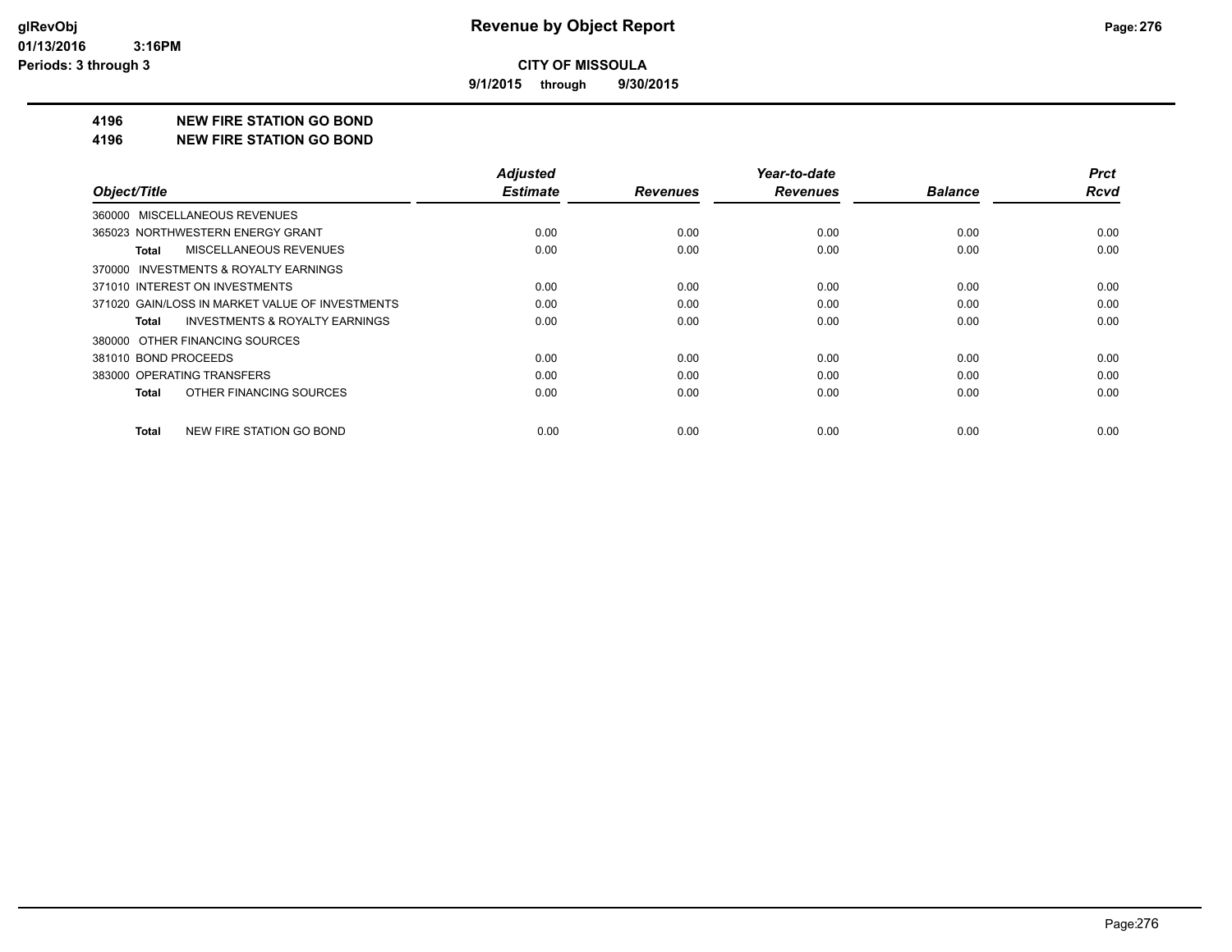**9/1/2015 through 9/30/2015**

#### **4196 NEW FIRE STATION GO BOND**

#### **4196 NEW FIRE STATION GO BOND**

| Object/Title                                       | <b>Adjusted</b><br><b>Estimate</b> | <b>Revenues</b> | Year-to-date<br><b>Revenues</b> | <b>Balance</b> | <b>Prct</b><br><b>Rcvd</b> |
|----------------------------------------------------|------------------------------------|-----------------|---------------------------------|----------------|----------------------------|
|                                                    |                                    |                 |                                 |                |                            |
| 360000 MISCELLANEOUS REVENUES                      |                                    |                 |                                 |                |                            |
| 365023 NORTHWESTERN ENERGY GRANT                   | 0.00                               | 0.00            | 0.00                            | 0.00           | 0.00                       |
| MISCELLANEOUS REVENUES<br>Total                    | 0.00                               | 0.00            | 0.00                            | 0.00           | 0.00                       |
| 370000 INVESTMENTS & ROYALTY EARNINGS              |                                    |                 |                                 |                |                            |
| 371010 INTEREST ON INVESTMENTS                     | 0.00                               | 0.00            | 0.00                            | 0.00           | 0.00                       |
| 371020 GAIN/LOSS IN MARKET VALUE OF INVESTMENTS    | 0.00                               | 0.00            | 0.00                            | 0.00           | 0.00                       |
| <b>INVESTMENTS &amp; ROYALTY EARNINGS</b><br>Total | 0.00                               | 0.00            | 0.00                            | 0.00           | 0.00                       |
| 380000 OTHER FINANCING SOURCES                     |                                    |                 |                                 |                |                            |
| 381010 BOND PROCEEDS                               | 0.00                               | 0.00            | 0.00                            | 0.00           | 0.00                       |
| 383000 OPERATING TRANSFERS                         | 0.00                               | 0.00            | 0.00                            | 0.00           | 0.00                       |
| OTHER FINANCING SOURCES<br>Total                   | 0.00                               | 0.00            | 0.00                            | 0.00           | 0.00                       |
| NEW FIRE STATION GO BOND<br><b>Total</b>           | 0.00                               | 0.00            | 0.00                            | 0.00           | 0.00                       |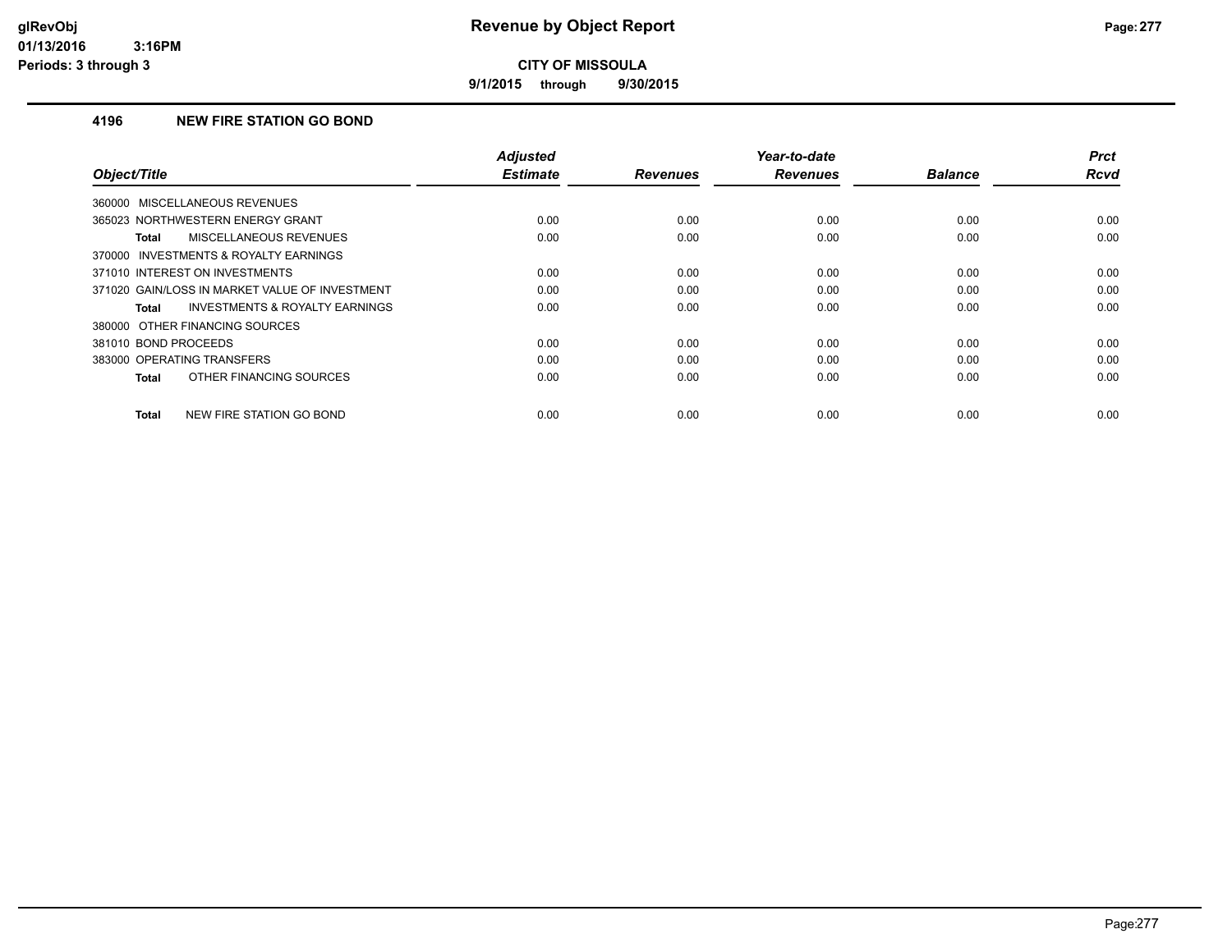**9/1/2015 through 9/30/2015**

### **4196 NEW FIRE STATION GO BOND**

| Object/Title                                       | <b>Adjusted</b><br><b>Estimate</b> | <b>Revenues</b> | Year-to-date<br><b>Revenues</b> | <b>Balance</b> | <b>Prct</b><br><b>Rcvd</b> |
|----------------------------------------------------|------------------------------------|-----------------|---------------------------------|----------------|----------------------------|
| 360000 MISCELLANEOUS REVENUES                      |                                    |                 |                                 |                |                            |
| 365023 NORTHWESTERN ENERGY GRANT                   | 0.00                               | 0.00            | 0.00                            | 0.00           | 0.00                       |
| MISCELLANEOUS REVENUES<br><b>Total</b>             | 0.00                               | 0.00            | 0.00                            | 0.00           | 0.00                       |
| 370000 INVESTMENTS & ROYALTY EARNINGS              |                                    |                 |                                 |                |                            |
| 371010 INTEREST ON INVESTMENTS                     | 0.00                               | 0.00            | 0.00                            | 0.00           | 0.00                       |
| 371020 GAIN/LOSS IN MARKET VALUE OF INVESTMENT     | 0.00                               | 0.00            | 0.00                            | 0.00           | 0.00                       |
| <b>INVESTMENTS &amp; ROYALTY EARNINGS</b><br>Total | 0.00                               | 0.00            | 0.00                            | 0.00           | 0.00                       |
| 380000 OTHER FINANCING SOURCES                     |                                    |                 |                                 |                |                            |
| 381010 BOND PROCEEDS                               | 0.00                               | 0.00            | 0.00                            | 0.00           | 0.00                       |
| 383000 OPERATING TRANSFERS                         | 0.00                               | 0.00            | 0.00                            | 0.00           | 0.00                       |
| OTHER FINANCING SOURCES<br><b>Total</b>            | 0.00                               | 0.00            | 0.00                            | 0.00           | 0.00                       |
| <b>NEW FIRE STATION GO BOND</b><br><b>Total</b>    | 0.00                               | 0.00            | 0.00                            | 0.00           | 0.00                       |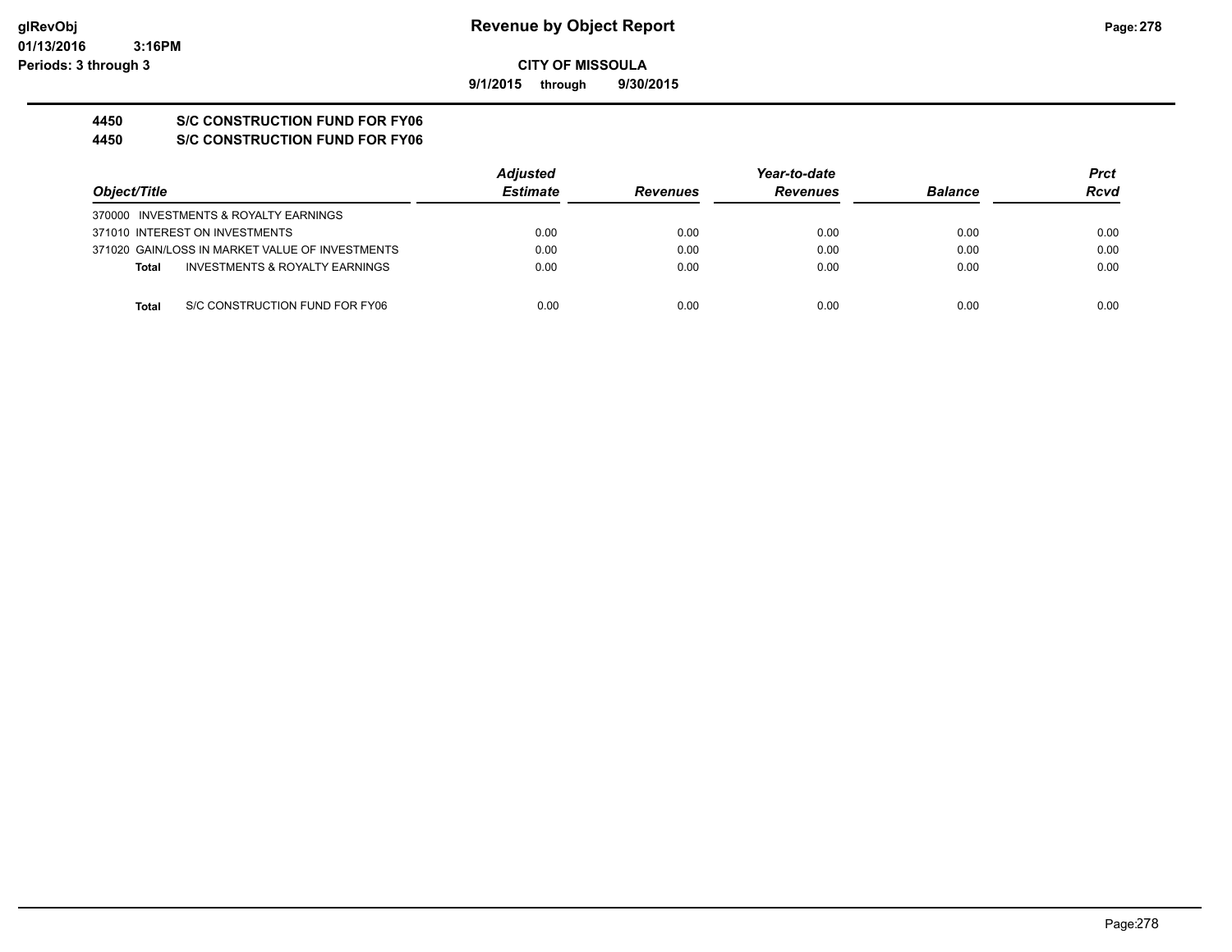**9/1/2015 through 9/30/2015**

# **4450 S/C CONSTRUCTION FUND FOR FY06**

**4450 S/C CONSTRUCTION FUND FOR FY06**

|                                                 | <b>Adjusted</b> |                 | Year-to-date    |                | Prct |
|-------------------------------------------------|-----------------|-----------------|-----------------|----------------|------|
| Object/Title                                    | <b>Estimate</b> | <b>Revenues</b> | <b>Revenues</b> | <b>Balance</b> | Rcvd |
| 370000 INVESTMENTS & ROYALTY EARNINGS           |                 |                 |                 |                |      |
| 371010 INTEREST ON INVESTMENTS                  | 0.00            | 0.00            | 0.00            | 0.00           | 0.00 |
| 371020 GAIN/LOSS IN MARKET VALUE OF INVESTMENTS | 0.00            | 0.00            | 0.00            | 0.00           | 0.00 |
| INVESTMENTS & ROYALTY EARNINGS<br><b>Total</b>  | 0.00            | 0.00            | 0.00            | 0.00           | 0.00 |
| <b>Total</b><br>S/C CONSTRUCTION FUND FOR FY06  | 0.00            | 0.00            | 0.00            | 0.00           | 0.00 |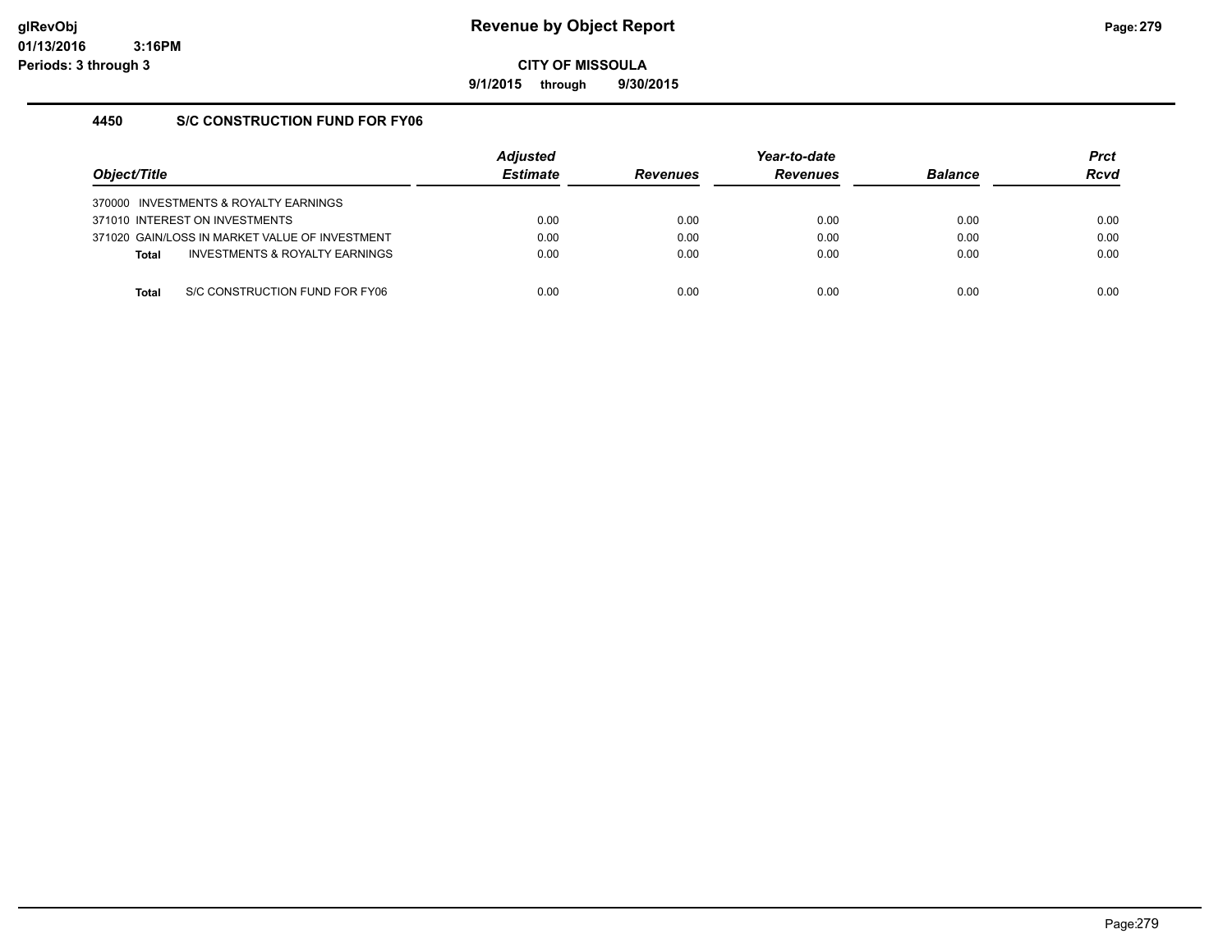**9/1/2015 through 9/30/2015**

## **4450 S/C CONSTRUCTION FUND FOR FY06**

| Object/Title |                                                | <b>Adjusted</b><br><b>Estimate</b> | <b>Revenues</b> | Year-to-date<br><b>Revenues</b> | <b>Balance</b> | <b>Prct</b><br><b>Rcvd</b> |
|--------------|------------------------------------------------|------------------------------------|-----------------|---------------------------------|----------------|----------------------------|
|              | 370000 INVESTMENTS & ROYALTY EARNINGS          |                                    |                 |                                 |                |                            |
|              | 371010 INTEREST ON INVESTMENTS                 | 0.00                               | 0.00            | 0.00                            | 0.00           | 0.00                       |
|              | 371020 GAIN/LOSS IN MARKET VALUE OF INVESTMENT | 0.00                               | 0.00            | 0.00                            | 0.00           | 0.00                       |
| <b>Total</b> | INVESTMENTS & ROYALTY EARNINGS                 | 0.00                               | 0.00            | 0.00                            | 0.00           | 0.00                       |
|              |                                                |                                    |                 |                                 |                |                            |
| Total        | S/C CONSTRUCTION FUND FOR FY06                 | 0.00                               | 0.00            | 0.00                            | 0.00           | 0.00                       |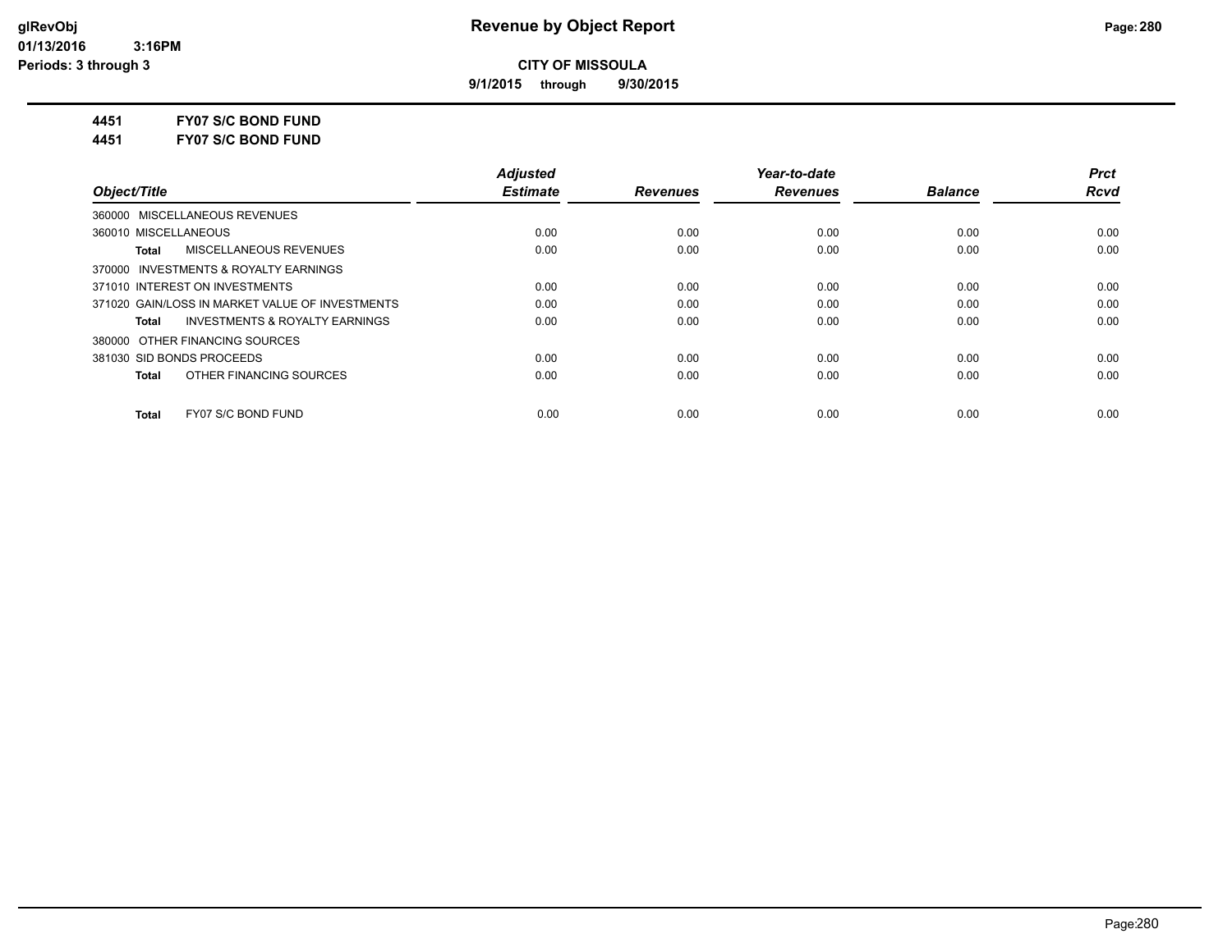**9/1/2015 through 9/30/2015**

**4451 FY07 S/C BOND FUND**

**4451 FY07 S/C BOND FUND**

|                                                    | <b>Adiusted</b> |                 | Year-to-date    |                | <b>Prct</b> |
|----------------------------------------------------|-----------------|-----------------|-----------------|----------------|-------------|
| Object/Title                                       | <b>Estimate</b> | <b>Revenues</b> | <b>Revenues</b> | <b>Balance</b> | <b>Rcvd</b> |
| 360000 MISCELLANEOUS REVENUES                      |                 |                 |                 |                |             |
| 360010 MISCELLANEOUS                               | 0.00            | 0.00            | 0.00            | 0.00           | 0.00        |
| MISCELLANEOUS REVENUES<br>Total                    | 0.00            | 0.00            | 0.00            | 0.00           | 0.00        |
| 370000 INVESTMENTS & ROYALTY EARNINGS              |                 |                 |                 |                |             |
| 371010 INTEREST ON INVESTMENTS                     | 0.00            | 0.00            | 0.00            | 0.00           | 0.00        |
| 371020 GAIN/LOSS IN MARKET VALUE OF INVESTMENTS    | 0.00            | 0.00            | 0.00            | 0.00           | 0.00        |
| <b>INVESTMENTS &amp; ROYALTY EARNINGS</b><br>Total | 0.00            | 0.00            | 0.00            | 0.00           | 0.00        |
| 380000 OTHER FINANCING SOURCES                     |                 |                 |                 |                |             |
| 381030 SID BONDS PROCEEDS                          | 0.00            | 0.00            | 0.00            | 0.00           | 0.00        |
| OTHER FINANCING SOURCES<br>Total                   | 0.00            | 0.00            | 0.00            | 0.00           | 0.00        |
| FY07 S/C BOND FUND<br><b>Total</b>                 | 0.00            | 0.00            | 0.00            | 0.00           | 0.00        |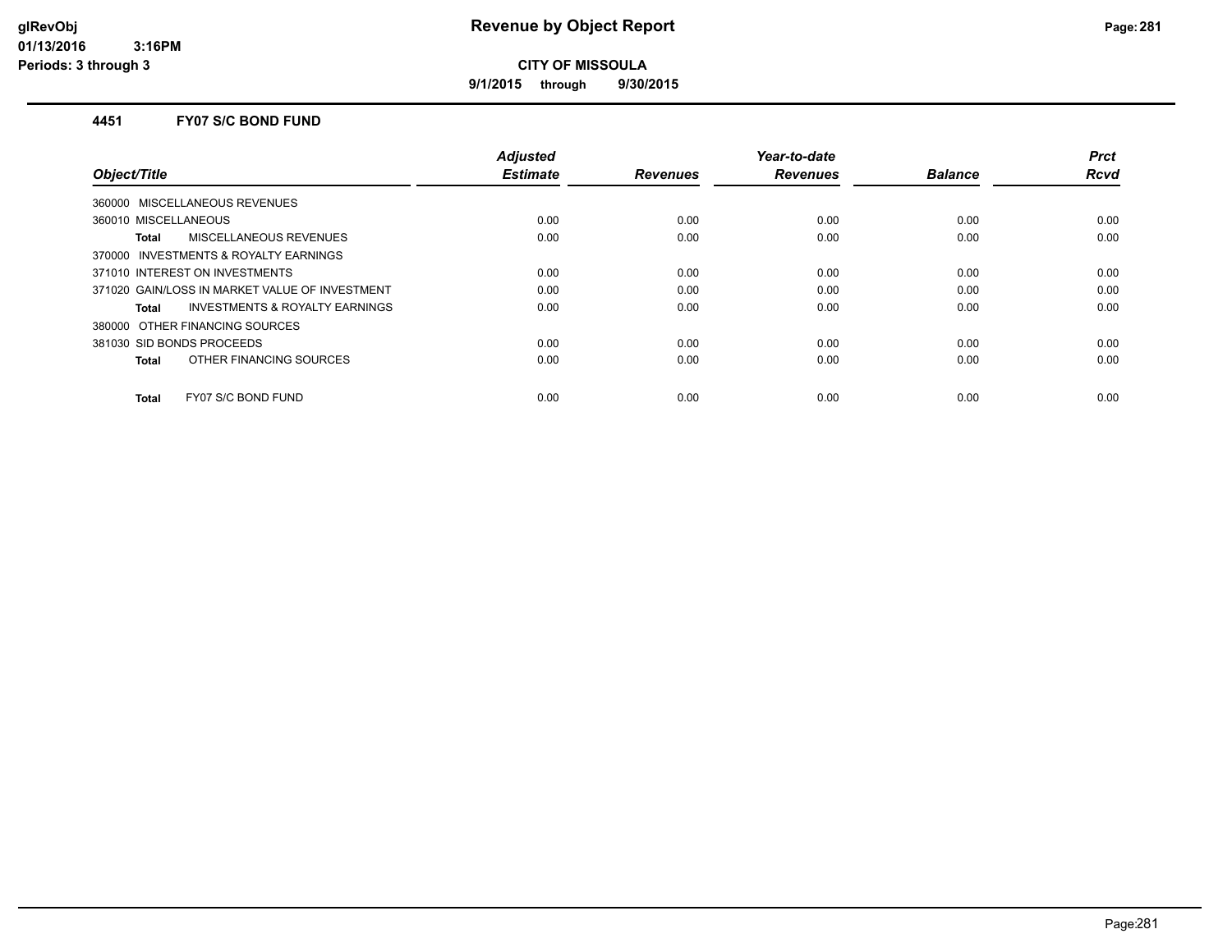**9/1/2015 through 9/30/2015**

#### **4451 FY07 S/C BOND FUND**

| Object/Title                                   | <b>Adjusted</b><br><b>Estimate</b> | <b>Revenues</b> | Year-to-date<br><b>Revenues</b> | <b>Balance</b> | <b>Prct</b><br><b>Rcvd</b> |
|------------------------------------------------|------------------------------------|-----------------|---------------------------------|----------------|----------------------------|
| MISCELLANEOUS REVENUES<br>360000               |                                    |                 |                                 |                |                            |
| 360010 MISCELLANEOUS                           | 0.00                               | 0.00            | 0.00                            | 0.00           | 0.00                       |
| MISCELLANEOUS REVENUES<br>Total                | 0.00                               | 0.00            | 0.00                            | 0.00           | 0.00                       |
| 370000 INVESTMENTS & ROYALTY EARNINGS          |                                    |                 |                                 |                |                            |
| 371010 INTEREST ON INVESTMENTS                 | 0.00                               | 0.00            | 0.00                            | 0.00           | 0.00                       |
| 371020 GAIN/LOSS IN MARKET VALUE OF INVESTMENT | 0.00                               | 0.00            | 0.00                            | 0.00           | 0.00                       |
| INVESTMENTS & ROYALTY EARNINGS<br>Total        | 0.00                               | 0.00            | 0.00                            | 0.00           | 0.00                       |
| 380000 OTHER FINANCING SOURCES                 |                                    |                 |                                 |                |                            |
| 381030 SID BONDS PROCEEDS                      | 0.00                               | 0.00            | 0.00                            | 0.00           | 0.00                       |
| OTHER FINANCING SOURCES<br><b>Total</b>        | 0.00                               | 0.00            | 0.00                            | 0.00           | 0.00                       |
| FY07 S/C BOND FUND<br><b>Total</b>             | 0.00                               | 0.00            | 0.00                            | 0.00           | 0.00                       |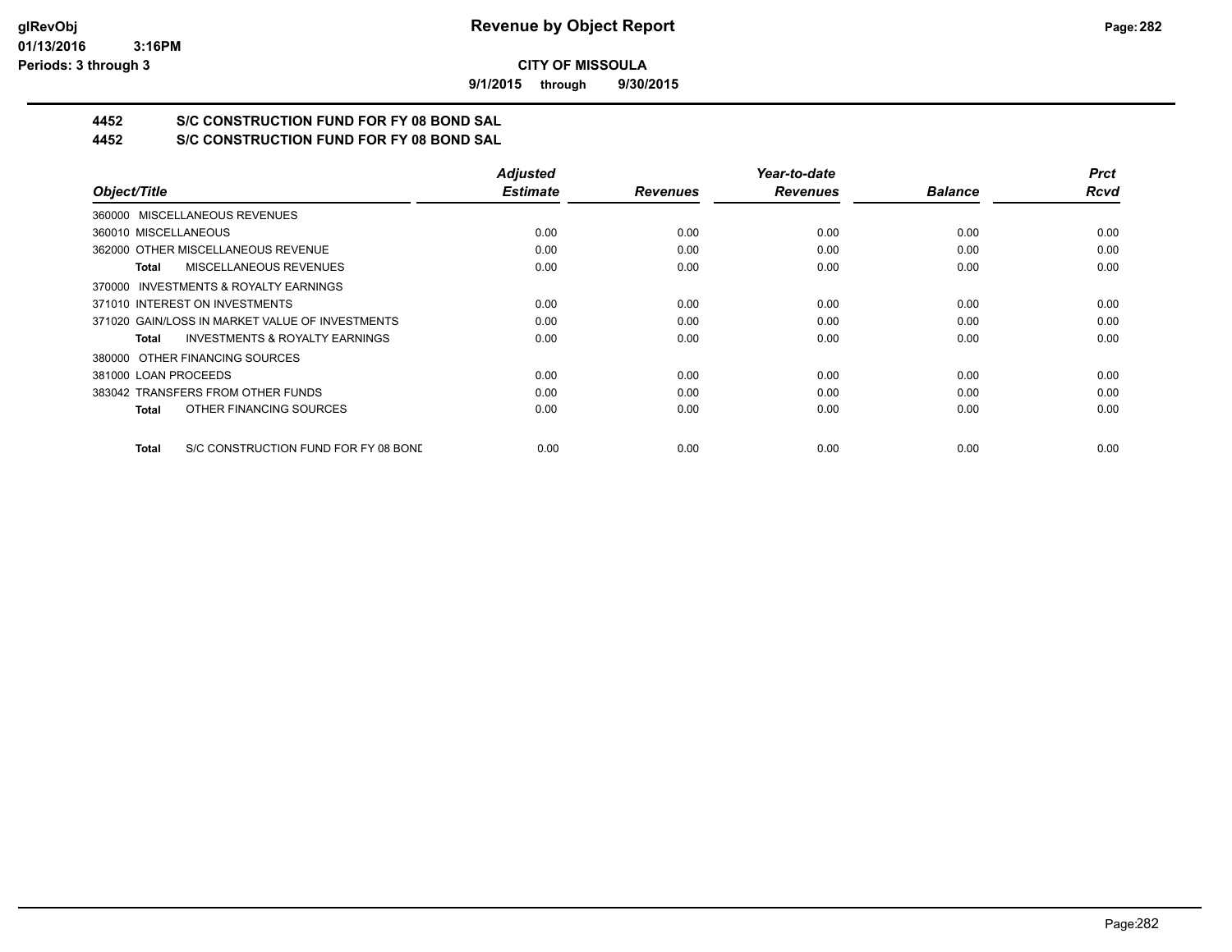**9/1/2015 through 9/30/2015**

## **4452 S/C CONSTRUCTION FUND FOR FY 08 BOND SAL**

**4452 S/C CONSTRUCTION FUND FOR FY 08 BOND SAL**

|                                                      | <b>Adjusted</b> |                 | Year-to-date    |                | <b>Prct</b> |
|------------------------------------------------------|-----------------|-----------------|-----------------|----------------|-------------|
| Object/Title                                         | <b>Estimate</b> | <b>Revenues</b> | <b>Revenues</b> | <b>Balance</b> | <b>Rcvd</b> |
| 360000 MISCELLANEOUS REVENUES                        |                 |                 |                 |                |             |
| 360010 MISCELLANEOUS                                 | 0.00            | 0.00            | 0.00            | 0.00           | 0.00        |
| 362000 OTHER MISCELLANEOUS REVENUE                   | 0.00            | 0.00            | 0.00            | 0.00           | 0.00        |
| <b>MISCELLANEOUS REVENUES</b><br>Total               | 0.00            | 0.00            | 0.00            | 0.00           | 0.00        |
| 370000 INVESTMENTS & ROYALTY EARNINGS                |                 |                 |                 |                |             |
| 371010 INTEREST ON INVESTMENTS                       | 0.00            | 0.00            | 0.00            | 0.00           | 0.00        |
| 371020 GAIN/LOSS IN MARKET VALUE OF INVESTMENTS      | 0.00            | 0.00            | 0.00            | 0.00           | 0.00        |
| <b>INVESTMENTS &amp; ROYALTY EARNINGS</b><br>Total   | 0.00            | 0.00            | 0.00            | 0.00           | 0.00        |
| 380000 OTHER FINANCING SOURCES                       |                 |                 |                 |                |             |
| 381000 LOAN PROCEEDS                                 | 0.00            | 0.00            | 0.00            | 0.00           | 0.00        |
| 383042 TRANSFERS FROM OTHER FUNDS                    | 0.00            | 0.00            | 0.00            | 0.00           | 0.00        |
| OTHER FINANCING SOURCES<br><b>Total</b>              | 0.00            | 0.00            | 0.00            | 0.00           | 0.00        |
| S/C CONSTRUCTION FUND FOR FY 08 BOND<br><b>Total</b> | 0.00            | 0.00            | 0.00            | 0.00           | 0.00        |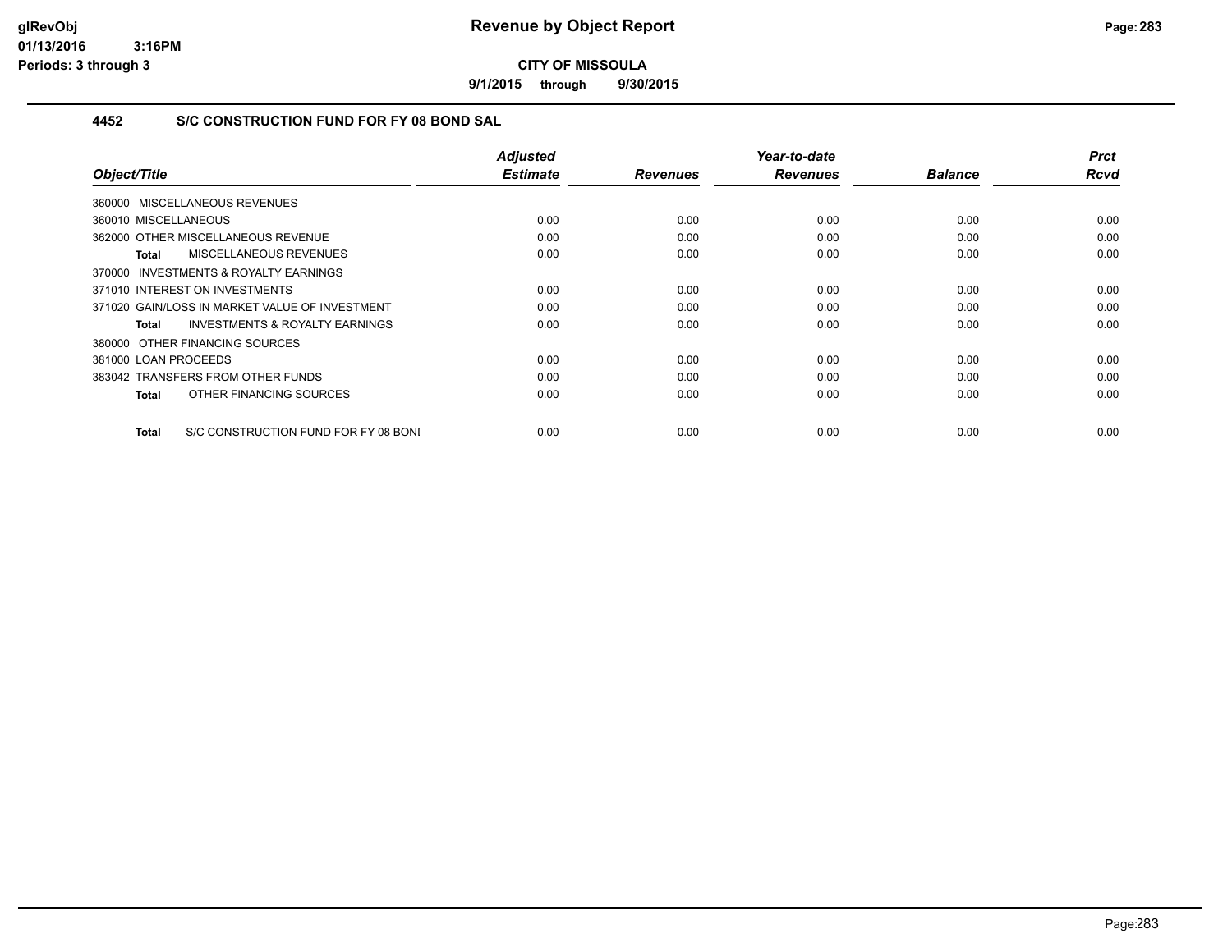**9/1/2015 through 9/30/2015**

## **4452 S/C CONSTRUCTION FUND FOR FY 08 BOND SAL**

| Object/Title                                       | <b>Adjusted</b><br><b>Estimate</b> | <b>Revenues</b> | Year-to-date<br><b>Revenues</b> | <b>Balance</b> | Prct<br><b>Rcvd</b> |
|----------------------------------------------------|------------------------------------|-----------------|---------------------------------|----------------|---------------------|
|                                                    |                                    |                 |                                 |                |                     |
| 360000 MISCELLANEOUS REVENUES                      |                                    |                 |                                 |                |                     |
| 360010 MISCELLANEOUS                               | 0.00                               | 0.00            | 0.00                            | 0.00           | 0.00                |
| 362000 OTHER MISCELLANEOUS REVENUE                 | 0.00                               | 0.00            | 0.00                            | 0.00           | 0.00                |
| <b>MISCELLANEOUS REVENUES</b><br>Total             | 0.00                               | 0.00            | 0.00                            | 0.00           | 0.00                |
| INVESTMENTS & ROYALTY EARNINGS<br>370000           |                                    |                 |                                 |                |                     |
| 371010 INTEREST ON INVESTMENTS                     | 0.00                               | 0.00            | 0.00                            | 0.00           | 0.00                |
| 371020 GAIN/LOSS IN MARKET VALUE OF INVESTMENT     | 0.00                               | 0.00            | 0.00                            | 0.00           | 0.00                |
| <b>INVESTMENTS &amp; ROYALTY EARNINGS</b><br>Total | 0.00                               | 0.00            | 0.00                            | 0.00           | 0.00                |
| 380000 OTHER FINANCING SOURCES                     |                                    |                 |                                 |                |                     |
| 381000 LOAN PROCEEDS                               | 0.00                               | 0.00            | 0.00                            | 0.00           | 0.00                |
| 383042 TRANSFERS FROM OTHER FUNDS                  | 0.00                               | 0.00            | 0.00                            | 0.00           | 0.00                |
| OTHER FINANCING SOURCES<br>Total                   | 0.00                               | 0.00            | 0.00                            | 0.00           | 0.00                |
|                                                    |                                    |                 |                                 |                |                     |
| S/C CONSTRUCTION FUND FOR FY 08 BONI<br>Total      | 0.00                               | 0.00            | 0.00                            | 0.00           | 0.00                |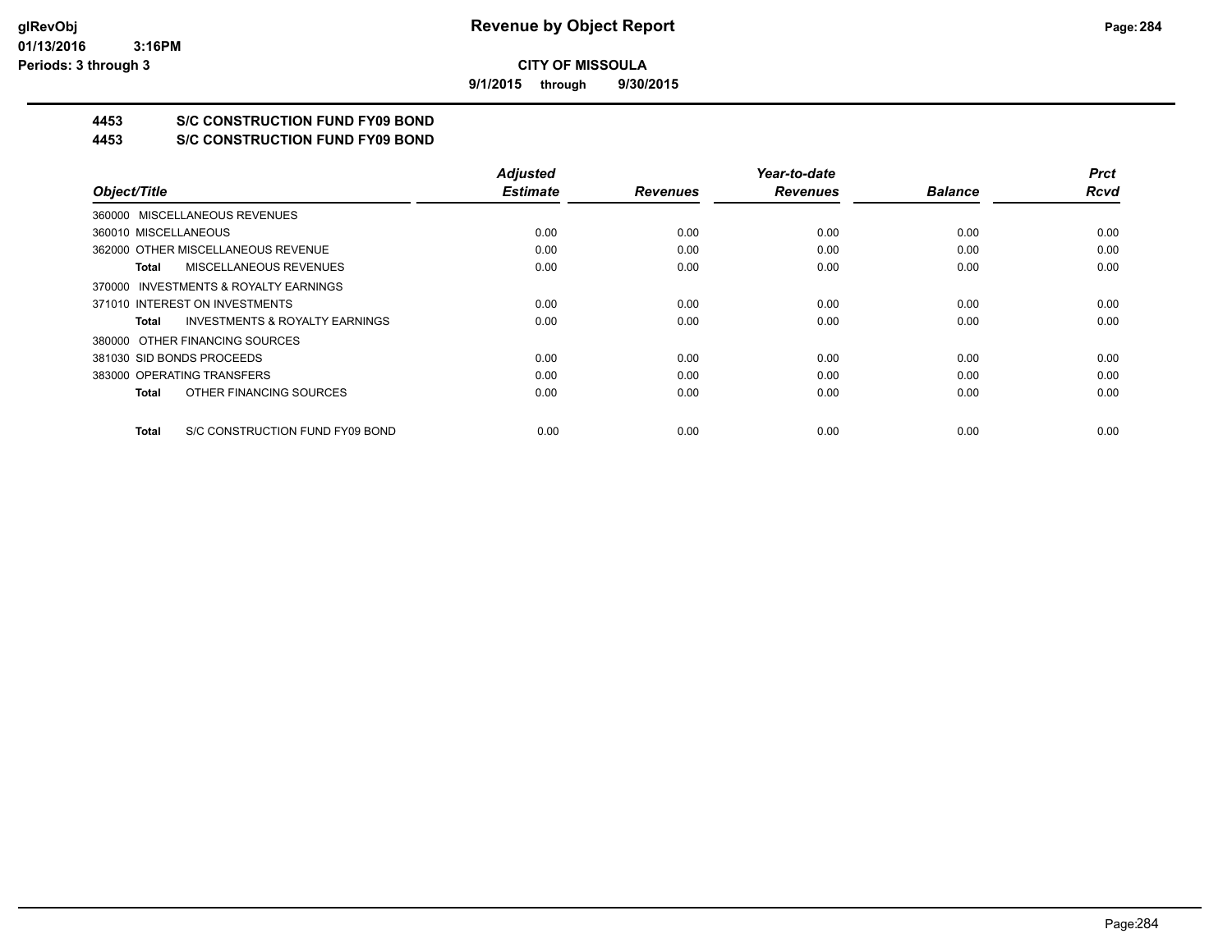**9/1/2015 through 9/30/2015**

## **4453 S/C CONSTRUCTION FUND FY09 BOND**

**4453 S/C CONSTRUCTION FUND FY09 BOND**

|                                                    | <b>Adjusted</b> |                 | Year-to-date    |                | <b>Prct</b> |
|----------------------------------------------------|-----------------|-----------------|-----------------|----------------|-------------|
| Object/Title                                       | <b>Estimate</b> | <b>Revenues</b> | <b>Revenues</b> | <b>Balance</b> | <b>Rcvd</b> |
| 360000 MISCELLANEOUS REVENUES                      |                 |                 |                 |                |             |
| 360010 MISCELLANEOUS                               | 0.00            | 0.00            | 0.00            | 0.00           | 0.00        |
| 362000 OTHER MISCELLANEOUS REVENUE                 | 0.00            | 0.00            | 0.00            | 0.00           | 0.00        |
| MISCELLANEOUS REVENUES<br>Total                    | 0.00            | 0.00            | 0.00            | 0.00           | 0.00        |
| 370000 INVESTMENTS & ROYALTY EARNINGS              |                 |                 |                 |                |             |
| 371010 INTEREST ON INVESTMENTS                     | 0.00            | 0.00            | 0.00            | 0.00           | 0.00        |
| <b>INVESTMENTS &amp; ROYALTY EARNINGS</b><br>Total | 0.00            | 0.00            | 0.00            | 0.00           | 0.00        |
| 380000 OTHER FINANCING SOURCES                     |                 |                 |                 |                |             |
| 381030 SID BONDS PROCEEDS                          | 0.00            | 0.00            | 0.00            | 0.00           | 0.00        |
| 383000 OPERATING TRANSFERS                         | 0.00            | 0.00            | 0.00            | 0.00           | 0.00        |
| OTHER FINANCING SOURCES<br><b>Total</b>            | 0.00            | 0.00            | 0.00            | 0.00           | 0.00        |
| S/C CONSTRUCTION FUND FY09 BOND<br>Total           | 0.00            | 0.00            | 0.00            | 0.00           | 0.00        |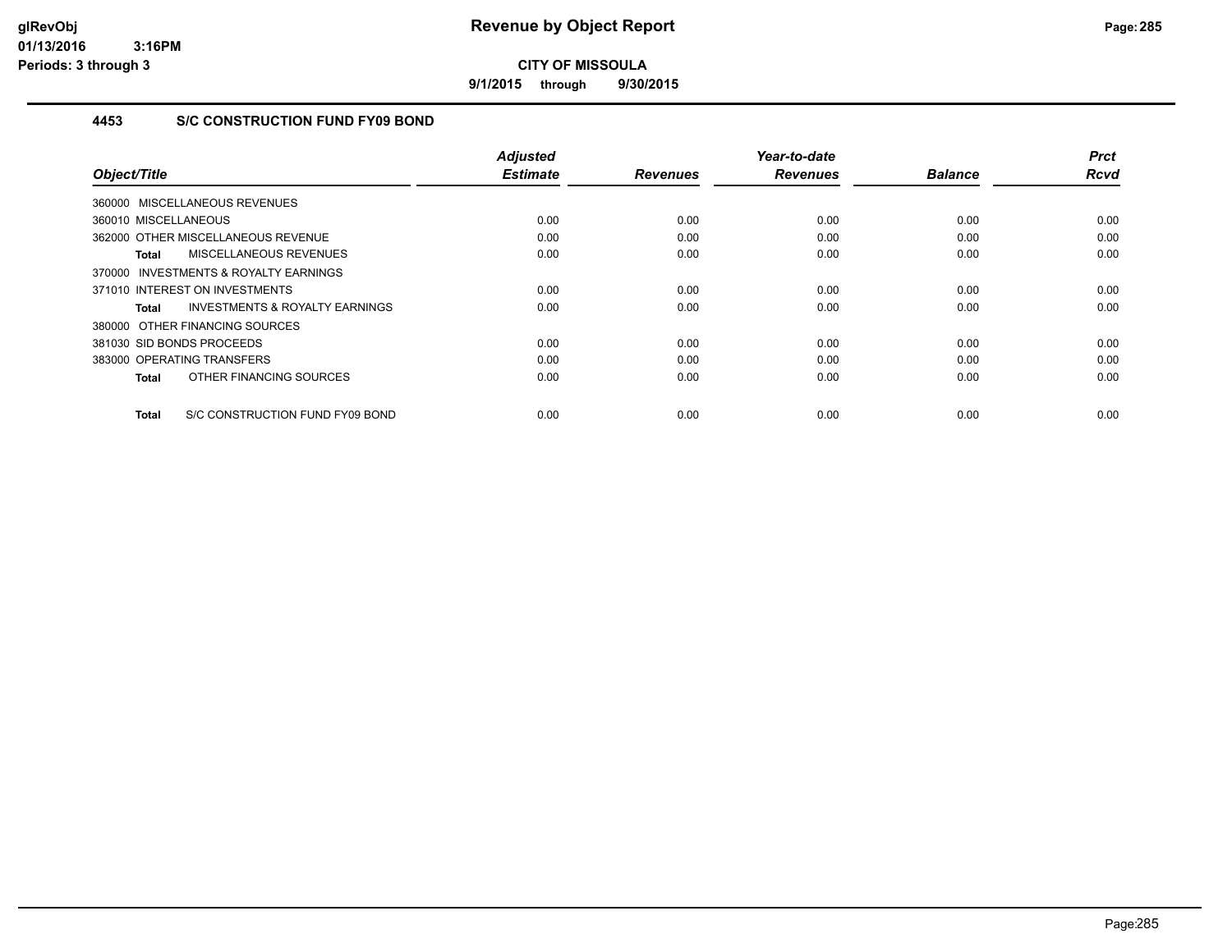**9/1/2015 through 9/30/2015**

## **4453 S/C CONSTRUCTION FUND FY09 BOND**

| Object/Title                                        | Adjusted<br><b>Estimate</b> | <b>Revenues</b> | Year-to-date<br><b>Revenues</b> | <b>Balance</b> | <b>Prct</b><br>Rcvd |
|-----------------------------------------------------|-----------------------------|-----------------|---------------------------------|----------------|---------------------|
|                                                     |                             |                 |                                 |                |                     |
| 360000 MISCELLANEOUS REVENUES                       |                             |                 |                                 |                |                     |
| 360010 MISCELLANEOUS                                | 0.00                        | 0.00            | 0.00                            | 0.00           | 0.00                |
| 362000 OTHER MISCELLANEOUS REVENUE                  | 0.00                        | 0.00            | 0.00                            | 0.00           | 0.00                |
| MISCELLANEOUS REVENUES<br>Total                     | 0.00                        | 0.00            | 0.00                            | 0.00           | 0.00                |
| <b>INVESTMENTS &amp; ROYALTY EARNINGS</b><br>370000 |                             |                 |                                 |                |                     |
| 371010 INTEREST ON INVESTMENTS                      | 0.00                        | 0.00            | 0.00                            | 0.00           | 0.00                |
| <b>INVESTMENTS &amp; ROYALTY EARNINGS</b><br>Total  | 0.00                        | 0.00            | 0.00                            | 0.00           | 0.00                |
| 380000 OTHER FINANCING SOURCES                      |                             |                 |                                 |                |                     |
| 381030 SID BONDS PROCEEDS                           | 0.00                        | 0.00            | 0.00                            | 0.00           | 0.00                |
| 383000 OPERATING TRANSFERS                          | 0.00                        | 0.00            | 0.00                            | 0.00           | 0.00                |
| OTHER FINANCING SOURCES<br>Total                    | 0.00                        | 0.00            | 0.00                            | 0.00           | 0.00                |
| S/C CONSTRUCTION FUND FY09 BOND<br>Total            | 0.00                        | 0.00            | 0.00                            | 0.00           | 0.00                |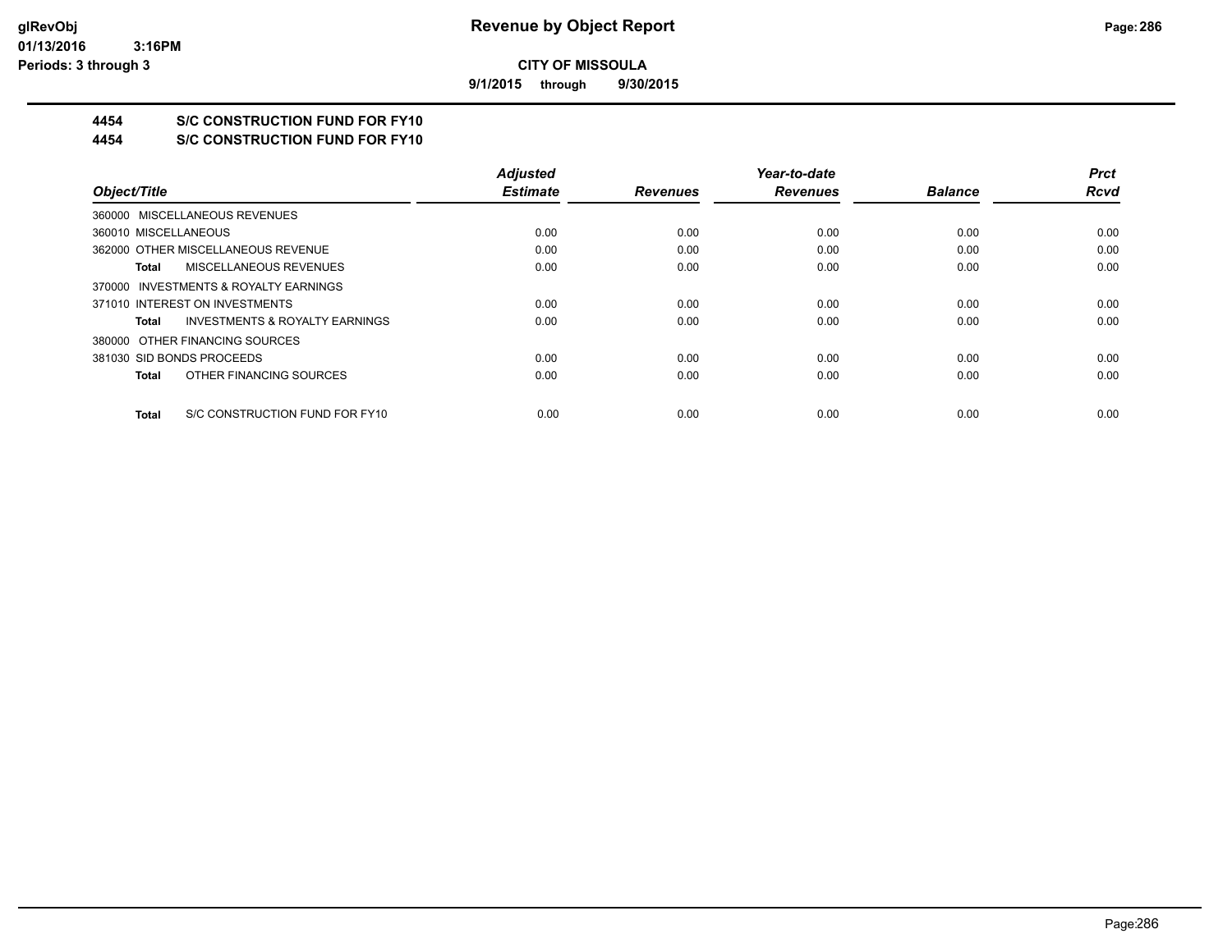**9/1/2015 through 9/30/2015**

## **4454 S/C CONSTRUCTION FUND FOR FY10**

**4454 S/C CONSTRUCTION FUND FOR FY10**

|                                                    | <b>Adjusted</b> |                 | Year-to-date    |                | <b>Prct</b> |
|----------------------------------------------------|-----------------|-----------------|-----------------|----------------|-------------|
| Object/Title                                       | <b>Estimate</b> | <b>Revenues</b> | <b>Revenues</b> | <b>Balance</b> | <b>Rcvd</b> |
| 360000 MISCELLANEOUS REVENUES                      |                 |                 |                 |                |             |
| 360010 MISCELLANEOUS                               | 0.00            | 0.00            | 0.00            | 0.00           | 0.00        |
| 362000 OTHER MISCELLANEOUS REVENUE                 | 0.00            | 0.00            | 0.00            | 0.00           | 0.00        |
| MISCELLANEOUS REVENUES<br>Total                    | 0.00            | 0.00            | 0.00            | 0.00           | 0.00        |
| 370000 INVESTMENTS & ROYALTY EARNINGS              |                 |                 |                 |                |             |
| 371010 INTEREST ON INVESTMENTS                     | 0.00            | 0.00            | 0.00            | 0.00           | 0.00        |
| <b>INVESTMENTS &amp; ROYALTY EARNINGS</b><br>Total | 0.00            | 0.00            | 0.00            | 0.00           | 0.00        |
| 380000 OTHER FINANCING SOURCES                     |                 |                 |                 |                |             |
| 381030 SID BONDS PROCEEDS                          | 0.00            | 0.00            | 0.00            | 0.00           | 0.00        |
| OTHER FINANCING SOURCES<br>Total                   | 0.00            | 0.00            | 0.00            | 0.00           | 0.00        |
| S/C CONSTRUCTION FUND FOR FY10<br>Total            | 0.00            | 0.00            | 0.00            | 0.00           | 0.00        |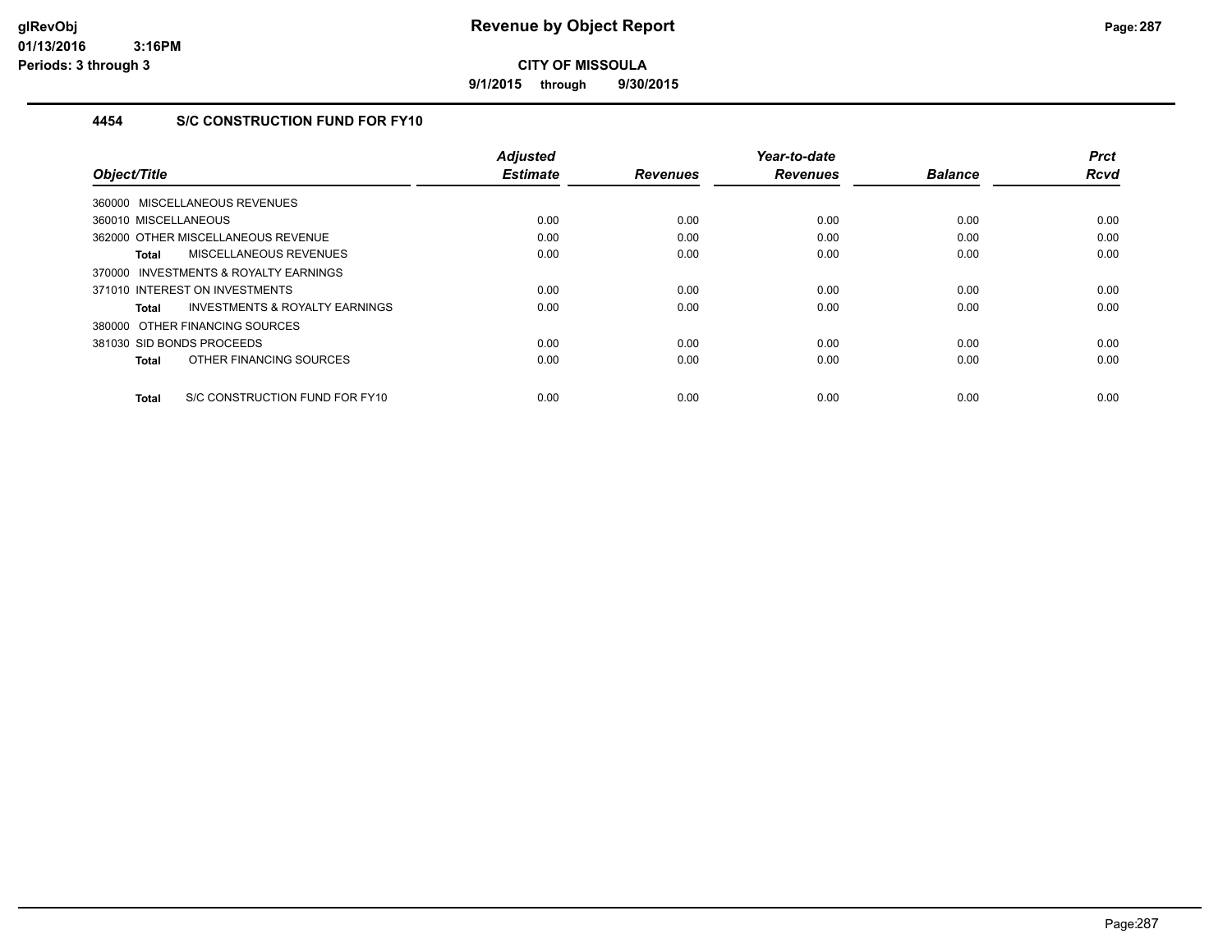**9/1/2015 through 9/30/2015**

## **4454 S/C CONSTRUCTION FUND FOR FY10**

| Object/Title                                   | <b>Adjusted</b><br><b>Estimate</b> | <b>Revenues</b> | Year-to-date<br><b>Revenues</b> | <b>Balance</b> | <b>Prct</b><br><b>Rcvd</b> |
|------------------------------------------------|------------------------------------|-----------------|---------------------------------|----------------|----------------------------|
|                                                |                                    |                 |                                 |                |                            |
| 360000 MISCELLANEOUS REVENUES                  |                                    |                 |                                 |                |                            |
| 360010 MISCELLANEOUS                           | 0.00                               | 0.00            | 0.00                            | 0.00           | 0.00                       |
| 362000 OTHER MISCELLANEOUS REVENUE             | 0.00                               | 0.00            | 0.00                            | 0.00           | 0.00                       |
| MISCELLANEOUS REVENUES<br><b>Total</b>         | 0.00                               | 0.00            | 0.00                            | 0.00           | 0.00                       |
| 370000 INVESTMENTS & ROYALTY EARNINGS          |                                    |                 |                                 |                |                            |
| 371010 INTEREST ON INVESTMENTS                 | 0.00                               | 0.00            | 0.00                            | 0.00           | 0.00                       |
| INVESTMENTS & ROYALTY EARNINGS<br><b>Total</b> | 0.00                               | 0.00            | 0.00                            | 0.00           | 0.00                       |
| 380000 OTHER FINANCING SOURCES                 |                                    |                 |                                 |                |                            |
| 381030 SID BONDS PROCEEDS                      | 0.00                               | 0.00            | 0.00                            | 0.00           | 0.00                       |
| OTHER FINANCING SOURCES<br><b>Total</b>        | 0.00                               | 0.00            | 0.00                            | 0.00           | 0.00                       |
| S/C CONSTRUCTION FUND FOR FY10<br><b>Total</b> | 0.00                               | 0.00            | 0.00                            | 0.00           | 0.00                       |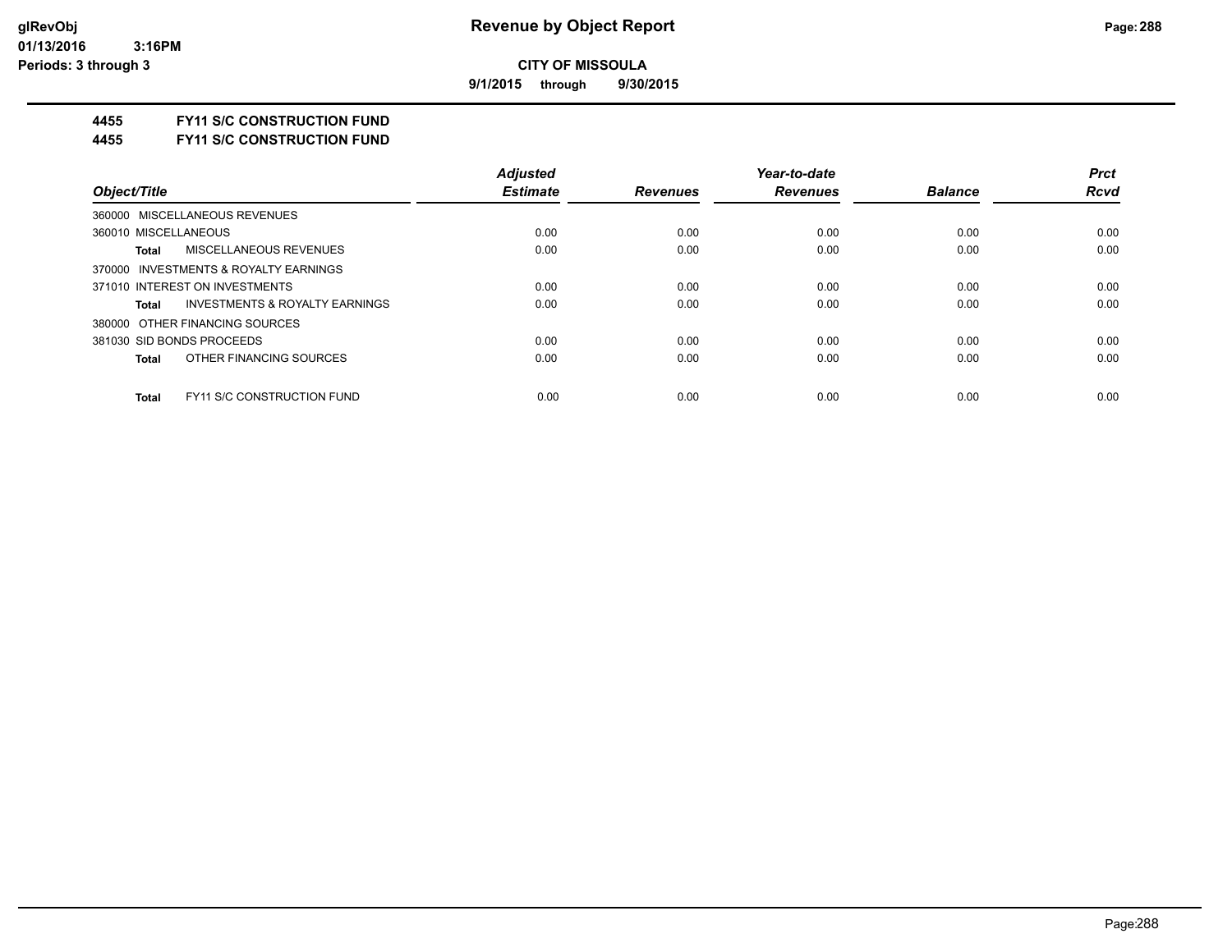**9/1/2015 through 9/30/2015**

### **4455 FY11 S/C CONSTRUCTION FUND**

**4455 FY11 S/C CONSTRUCTION FUND**

|                                                    | <b>Adjusted</b> |                 | Year-to-date    | <b>Prct</b>    |      |
|----------------------------------------------------|-----------------|-----------------|-----------------|----------------|------|
| Object/Title                                       | <b>Estimate</b> | <b>Revenues</b> | <b>Revenues</b> | <b>Balance</b> | Rcvd |
| 360000 MISCELLANEOUS REVENUES                      |                 |                 |                 |                |      |
| 360010 MISCELLANEOUS                               | 0.00            | 0.00            | 0.00            | 0.00           | 0.00 |
| MISCELLANEOUS REVENUES<br>Total                    | 0.00            | 0.00            | 0.00            | 0.00           | 0.00 |
| 370000 INVESTMENTS & ROYALTY EARNINGS              |                 |                 |                 |                |      |
| 371010 INTEREST ON INVESTMENTS                     | 0.00            | 0.00            | 0.00            | 0.00           | 0.00 |
| <b>INVESTMENTS &amp; ROYALTY EARNINGS</b><br>Total | 0.00            | 0.00            | 0.00            | 0.00           | 0.00 |
| 380000 OTHER FINANCING SOURCES                     |                 |                 |                 |                |      |
| 381030 SID BONDS PROCEEDS                          | 0.00            | 0.00            | 0.00            | 0.00           | 0.00 |
| OTHER FINANCING SOURCES<br><b>Total</b>            | 0.00            | 0.00            | 0.00            | 0.00           | 0.00 |
| <b>FY11 S/C CONSTRUCTION FUND</b><br><b>Total</b>  | 0.00            | 0.00            | 0.00            | 0.00           | 0.00 |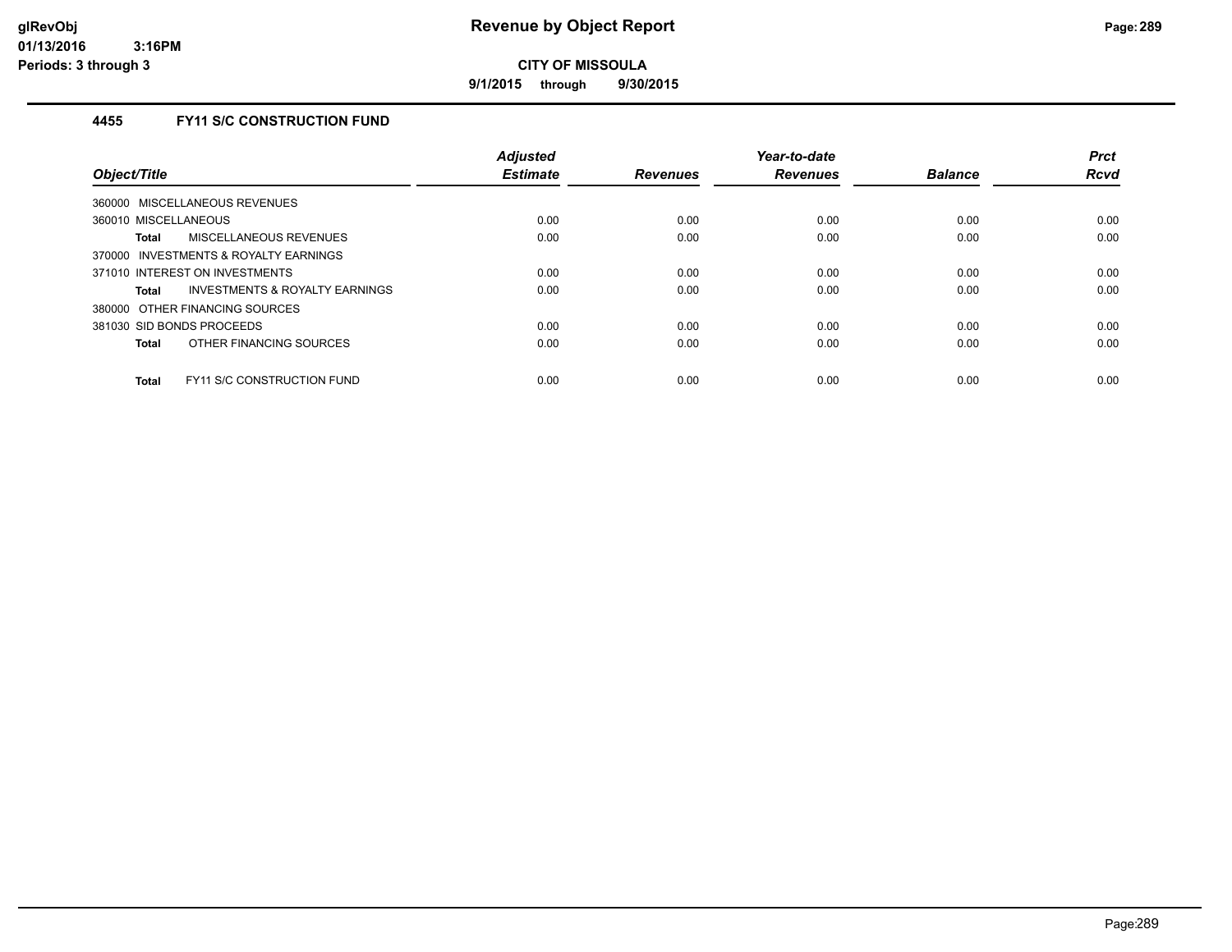**9/1/2015 through 9/30/2015**

### **4455 FY11 S/C CONSTRUCTION FUND**

| Object/Title                                      | <b>Adjusted</b><br><b>Estimate</b> | <b>Revenues</b> | Year-to-date<br><b>Revenues</b> | <b>Balance</b> | <b>Prct</b><br><b>Rcvd</b> |
|---------------------------------------------------|------------------------------------|-----------------|---------------------------------|----------------|----------------------------|
| 360000 MISCELLANEOUS REVENUES                     |                                    |                 |                                 |                |                            |
| 360010 MISCELLANEOUS                              | 0.00                               | 0.00            | 0.00                            | 0.00           | 0.00                       |
| MISCELLANEOUS REVENUES<br>Total                   | 0.00                               | 0.00            | 0.00                            | 0.00           | 0.00                       |
| 370000 INVESTMENTS & ROYALTY EARNINGS             |                                    |                 |                                 |                |                            |
| 371010 INTEREST ON INVESTMENTS                    | 0.00                               | 0.00            | 0.00                            | 0.00           | 0.00                       |
| INVESTMENTS & ROYALTY EARNINGS<br>Total           | 0.00                               | 0.00            | 0.00                            | 0.00           | 0.00                       |
| 380000 OTHER FINANCING SOURCES                    |                                    |                 |                                 |                |                            |
| 381030 SID BONDS PROCEEDS                         | 0.00                               | 0.00            | 0.00                            | 0.00           | 0.00                       |
| OTHER FINANCING SOURCES<br>Total                  | 0.00                               | 0.00            | 0.00                            | 0.00           | 0.00                       |
| <b>FY11 S/C CONSTRUCTION FUND</b><br><b>Total</b> | 0.00                               | 0.00            | 0.00                            | 0.00           | 0.00                       |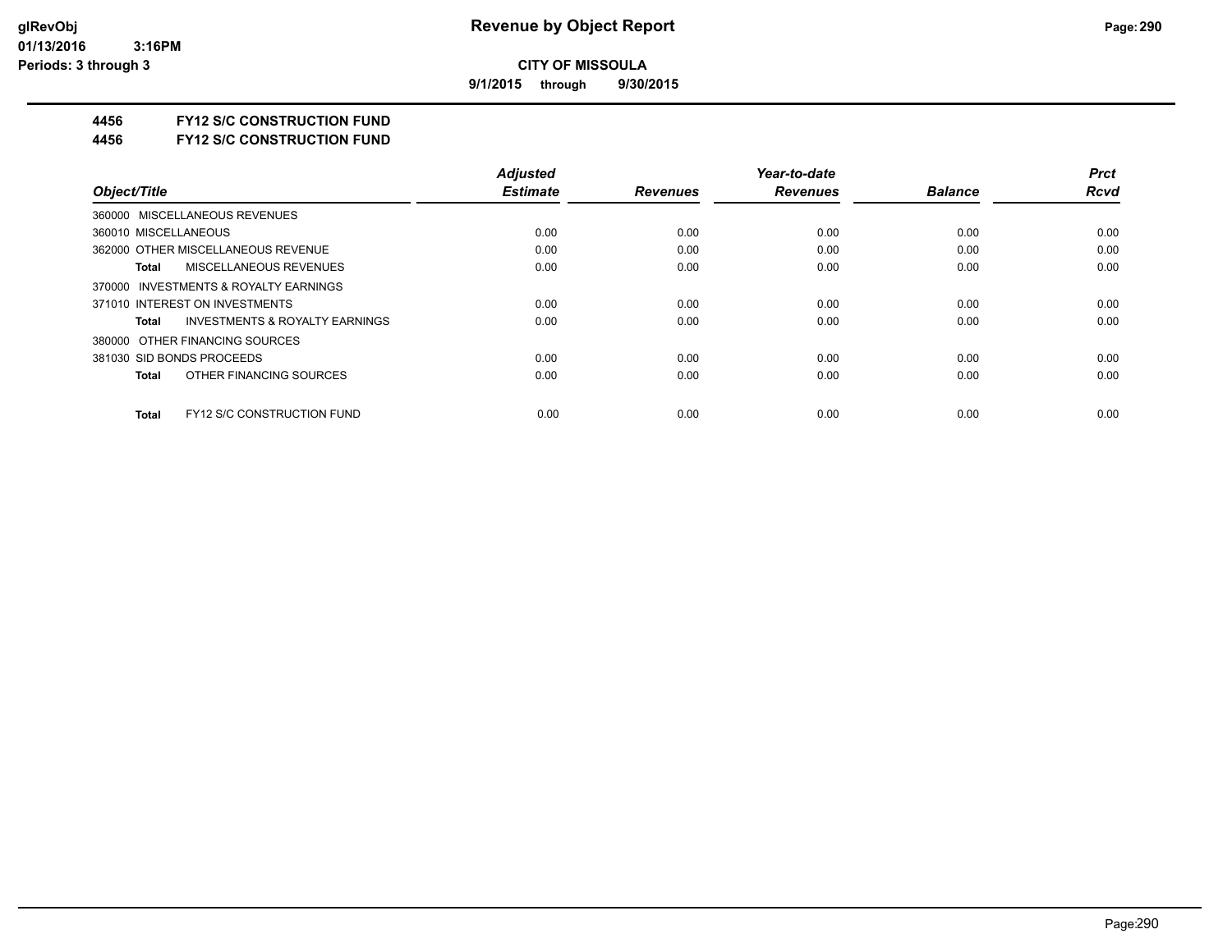**9/1/2015 through 9/30/2015**

### **4456 FY12 S/C CONSTRUCTION FUND**

**4456 FY12 S/C CONSTRUCTION FUND**

|                                                   | <b>Adjusted</b> |                 | Year-to-date    |                | <b>Prct</b> |
|---------------------------------------------------|-----------------|-----------------|-----------------|----------------|-------------|
| Object/Title                                      | <b>Estimate</b> | <b>Revenues</b> | <b>Revenues</b> | <b>Balance</b> | <b>Rcvd</b> |
| 360000 MISCELLANEOUS REVENUES                     |                 |                 |                 |                |             |
| 360010 MISCELLANEOUS                              | 0.00            | 0.00            | 0.00            | 0.00           | 0.00        |
| 362000 OTHER MISCELLANEOUS REVENUE                | 0.00            | 0.00            | 0.00            | 0.00           | 0.00        |
| <b>MISCELLANEOUS REVENUES</b><br>Total            | 0.00            | 0.00            | 0.00            | 0.00           | 0.00        |
| 370000 INVESTMENTS & ROYALTY EARNINGS             |                 |                 |                 |                |             |
| 371010 INTEREST ON INVESTMENTS                    | 0.00            | 0.00            | 0.00            | 0.00           | 0.00        |
| INVESTMENTS & ROYALTY EARNINGS<br>Total           | 0.00            | 0.00            | 0.00            | 0.00           | 0.00        |
| 380000 OTHER FINANCING SOURCES                    |                 |                 |                 |                |             |
| 381030 SID BONDS PROCEEDS                         | 0.00            | 0.00            | 0.00            | 0.00           | 0.00        |
| OTHER FINANCING SOURCES<br>Total                  | 0.00            | 0.00            | 0.00            | 0.00           | 0.00        |
| <b>FY12 S/C CONSTRUCTION FUND</b><br><b>Total</b> | 0.00            | 0.00            | 0.00            | 0.00           | 0.00        |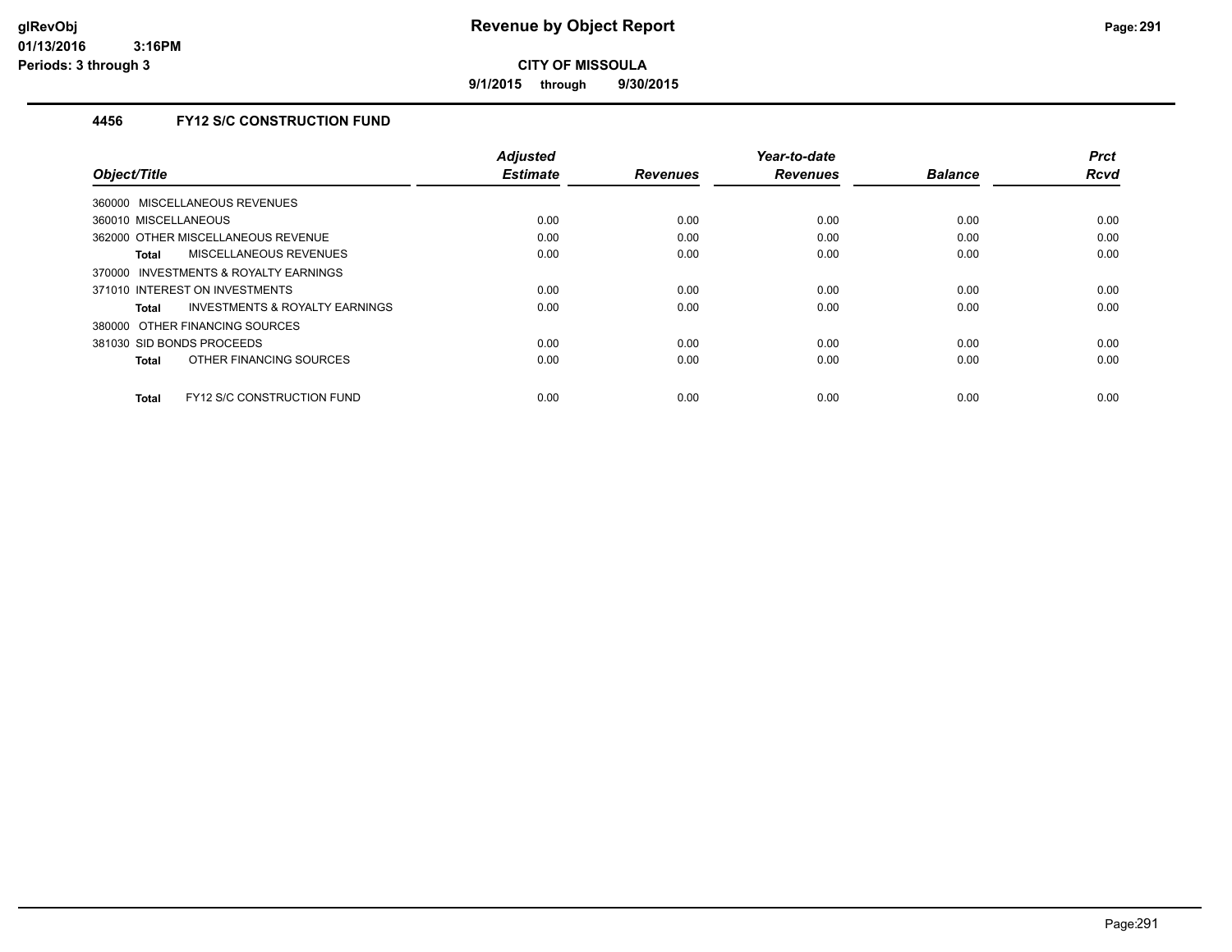**9/1/2015 through 9/30/2015**

### **4456 FY12 S/C CONSTRUCTION FUND**

|                                                   | <b>Adjusted</b> |                 | Year-to-date    |                | <b>Prct</b> |
|---------------------------------------------------|-----------------|-----------------|-----------------|----------------|-------------|
| Object/Title                                      | <b>Estimate</b> | <b>Revenues</b> | <b>Revenues</b> | <b>Balance</b> | <b>Rcvd</b> |
| 360000 MISCELLANEOUS REVENUES                     |                 |                 |                 |                |             |
| 360010 MISCELLANEOUS                              | 0.00            | 0.00            | 0.00            | 0.00           | 0.00        |
| 362000 OTHER MISCELLANEOUS REVENUE                | 0.00            | 0.00            | 0.00            | 0.00           | 0.00        |
| MISCELLANEOUS REVENUES<br>Total                   | 0.00            | 0.00            | 0.00            | 0.00           | 0.00        |
| INVESTMENTS & ROYALTY EARNINGS<br>370000          |                 |                 |                 |                |             |
| 371010 INTEREST ON INVESTMENTS                    | 0.00            | 0.00            | 0.00            | 0.00           | 0.00        |
| INVESTMENTS & ROYALTY EARNINGS<br>Total           | 0.00            | 0.00            | 0.00            | 0.00           | 0.00        |
| 380000 OTHER FINANCING SOURCES                    |                 |                 |                 |                |             |
| 381030 SID BONDS PROCEEDS                         | 0.00            | 0.00            | 0.00            | 0.00           | 0.00        |
| OTHER FINANCING SOURCES<br><b>Total</b>           | 0.00            | 0.00            | 0.00            | 0.00           | 0.00        |
|                                                   |                 |                 |                 |                |             |
| <b>FY12 S/C CONSTRUCTION FUND</b><br><b>Total</b> | 0.00            | 0.00            | 0.00            | 0.00           | 0.00        |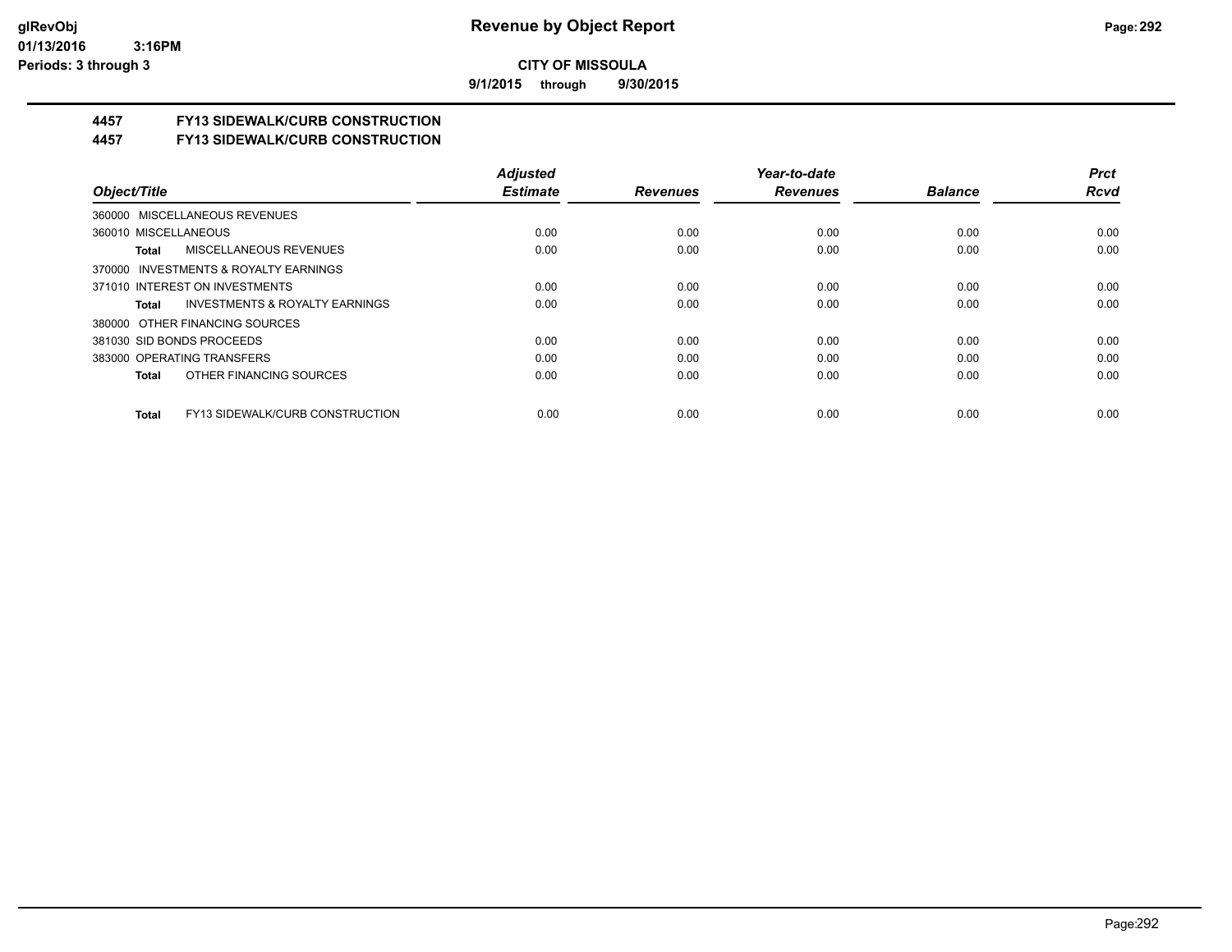**9/1/2015 through 9/30/2015**

## **4457 FY13 SIDEWALK/CURB CONSTRUCTION**

**4457 FY13 SIDEWALK/CURB CONSTRUCTION**

|                                                    | <b>Adjusted</b> |                 | Year-to-date    |                | <b>Prct</b> |
|----------------------------------------------------|-----------------|-----------------|-----------------|----------------|-------------|
| Object/Title                                       | <b>Estimate</b> | <b>Revenues</b> | <b>Revenues</b> | <b>Balance</b> | <b>Rcvd</b> |
| 360000 MISCELLANEOUS REVENUES                      |                 |                 |                 |                |             |
| 360010 MISCELLANEOUS                               | 0.00            | 0.00            | 0.00            | 0.00           | 0.00        |
| <b>MISCELLANEOUS REVENUES</b><br>Total             | 0.00            | 0.00            | 0.00            | 0.00           | 0.00        |
| 370000 INVESTMENTS & ROYALTY EARNINGS              |                 |                 |                 |                |             |
| 371010 INTEREST ON INVESTMENTS                     | 0.00            | 0.00            | 0.00            | 0.00           | 0.00        |
| <b>INVESTMENTS &amp; ROYALTY EARNINGS</b><br>Total | 0.00            | 0.00            | 0.00            | 0.00           | 0.00        |
| 380000 OTHER FINANCING SOURCES                     |                 |                 |                 |                |             |
| 381030 SID BONDS PROCEEDS                          | 0.00            | 0.00            | 0.00            | 0.00           | 0.00        |
| 383000 OPERATING TRANSFERS                         | 0.00            | 0.00            | 0.00            | 0.00           | 0.00        |
| OTHER FINANCING SOURCES<br>Total                   | 0.00            | 0.00            | 0.00            | 0.00           | 0.00        |
| FY13 SIDEWALK/CURB CONSTRUCTION<br><b>Total</b>    | 0.00            | 0.00            | 0.00            | 0.00           | 0.00        |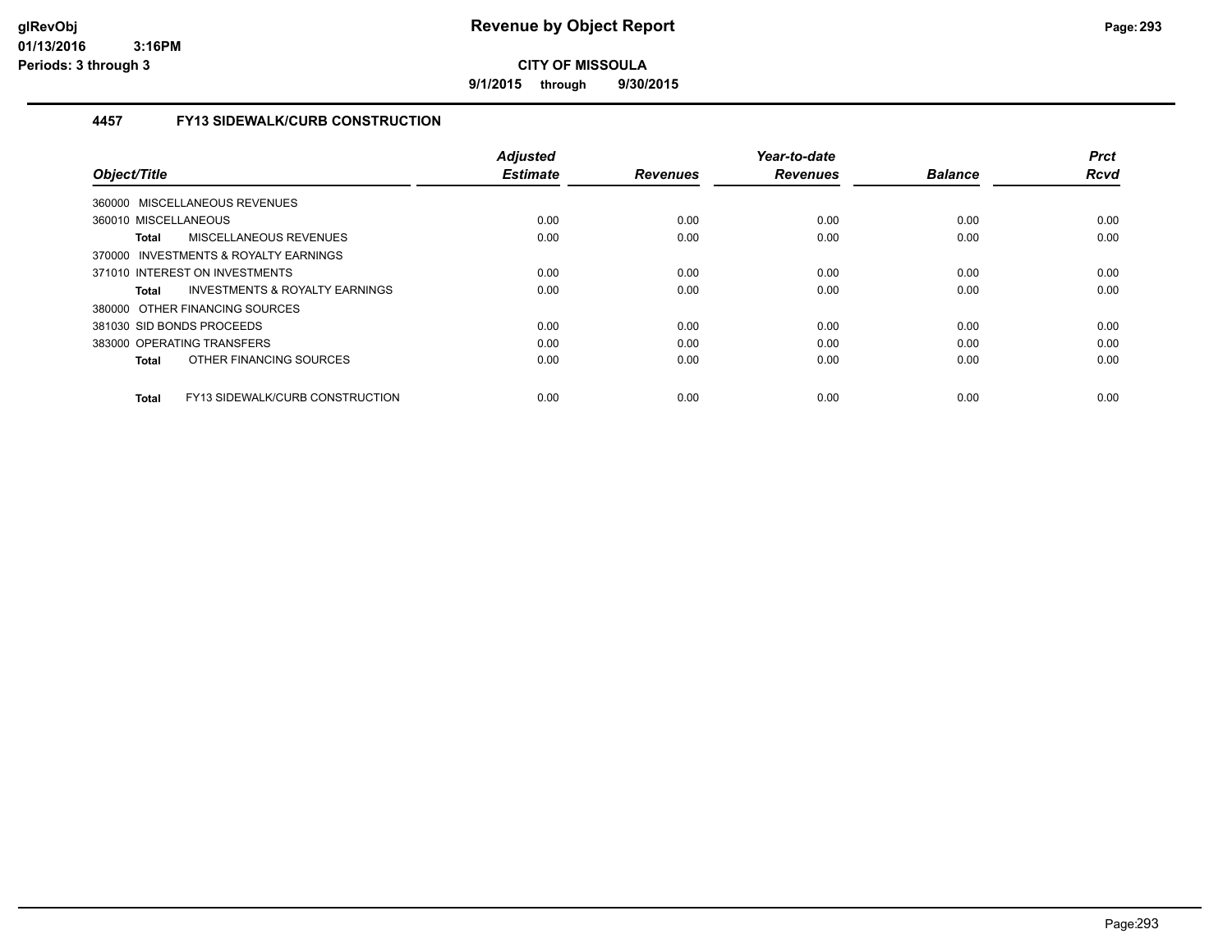**9/1/2015 through 9/30/2015**

### **4457 FY13 SIDEWALK/CURB CONSTRUCTION**

|                                                 | <b>Adjusted</b> |                 | Year-to-date    |                | <b>Prct</b> |
|-------------------------------------------------|-----------------|-----------------|-----------------|----------------|-------------|
| Object/Title                                    | <b>Estimate</b> | <b>Revenues</b> | <b>Revenues</b> | <b>Balance</b> | <b>Rcvd</b> |
| 360000 MISCELLANEOUS REVENUES                   |                 |                 |                 |                |             |
| 360010 MISCELLANEOUS                            | 0.00            | 0.00            | 0.00            | 0.00           | 0.00        |
| MISCELLANEOUS REVENUES<br><b>Total</b>          | 0.00            | 0.00            | 0.00            | 0.00           | 0.00        |
| 370000 INVESTMENTS & ROYALTY EARNINGS           |                 |                 |                 |                |             |
| 371010 INTEREST ON INVESTMENTS                  | 0.00            | 0.00            | 0.00            | 0.00           | 0.00        |
| INVESTMENTS & ROYALTY EARNINGS<br>Total         | 0.00            | 0.00            | 0.00            | 0.00           | 0.00        |
| 380000 OTHER FINANCING SOURCES                  |                 |                 |                 |                |             |
| 381030 SID BONDS PROCEEDS                       | 0.00            | 0.00            | 0.00            | 0.00           | 0.00        |
| 383000 OPERATING TRANSFERS                      | 0.00            | 0.00            | 0.00            | 0.00           | 0.00        |
| OTHER FINANCING SOURCES<br><b>Total</b>         | 0.00            | 0.00            | 0.00            | 0.00           | 0.00        |
| FY13 SIDEWALK/CURB CONSTRUCTION<br><b>Total</b> | 0.00            | 0.00            | 0.00            | 0.00           | 0.00        |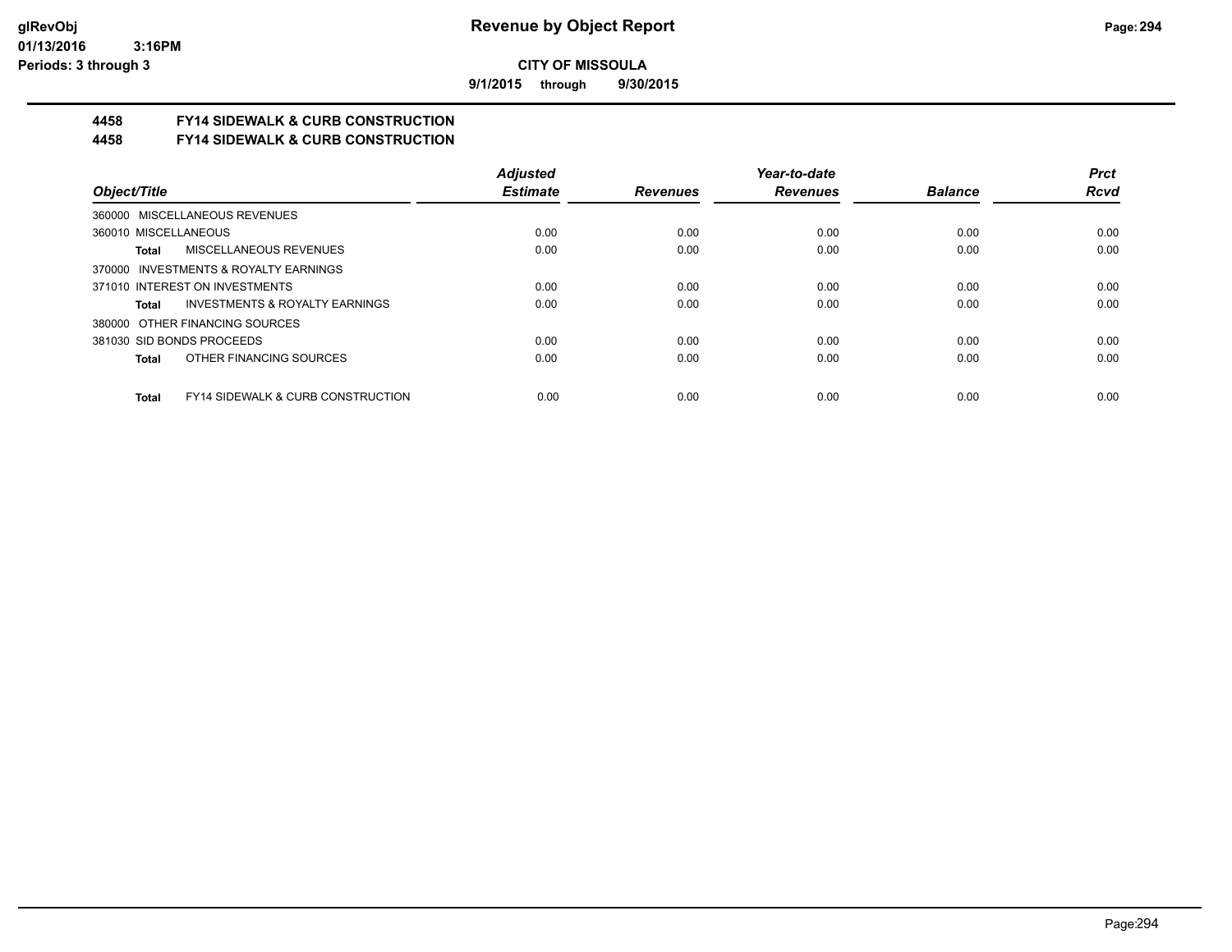**9/1/2015 through 9/30/2015**

# **4458 FY14 SIDEWALK & CURB CONSTRUCTION**

**4458 FY14 SIDEWALK & CURB CONSTRUCTION**

|                                                       | <b>Adjusted</b> |                 | Year-to-date    |                | <b>Prct</b> |
|-------------------------------------------------------|-----------------|-----------------|-----------------|----------------|-------------|
| Object/Title                                          | <b>Estimate</b> | <b>Revenues</b> | <b>Revenues</b> | <b>Balance</b> | <b>Rcvd</b> |
| 360000 MISCELLANEOUS REVENUES                         |                 |                 |                 |                |             |
| 360010 MISCELLANEOUS                                  | 0.00            | 0.00            | 0.00            | 0.00           | 0.00        |
| MISCELLANEOUS REVENUES<br>Total                       | 0.00            | 0.00            | 0.00            | 0.00           | 0.00        |
| 370000 INVESTMENTS & ROYALTY EARNINGS                 |                 |                 |                 |                |             |
| 371010 INTEREST ON INVESTMENTS                        | 0.00            | 0.00            | 0.00            | 0.00           | 0.00        |
| <b>INVESTMENTS &amp; ROYALTY EARNINGS</b><br>Total    | 0.00            | 0.00            | 0.00            | 0.00           | 0.00        |
| 380000 OTHER FINANCING SOURCES                        |                 |                 |                 |                |             |
| 381030 SID BONDS PROCEEDS                             | 0.00            | 0.00            | 0.00            | 0.00           | 0.00        |
| OTHER FINANCING SOURCES<br>Total                      | 0.00            | 0.00            | 0.00            | 0.00           | 0.00        |
| <b>FY14 SIDEWALK &amp; CURB CONSTRUCTION</b><br>Total | 0.00            | 0.00            | 0.00            | 0.00           | 0.00        |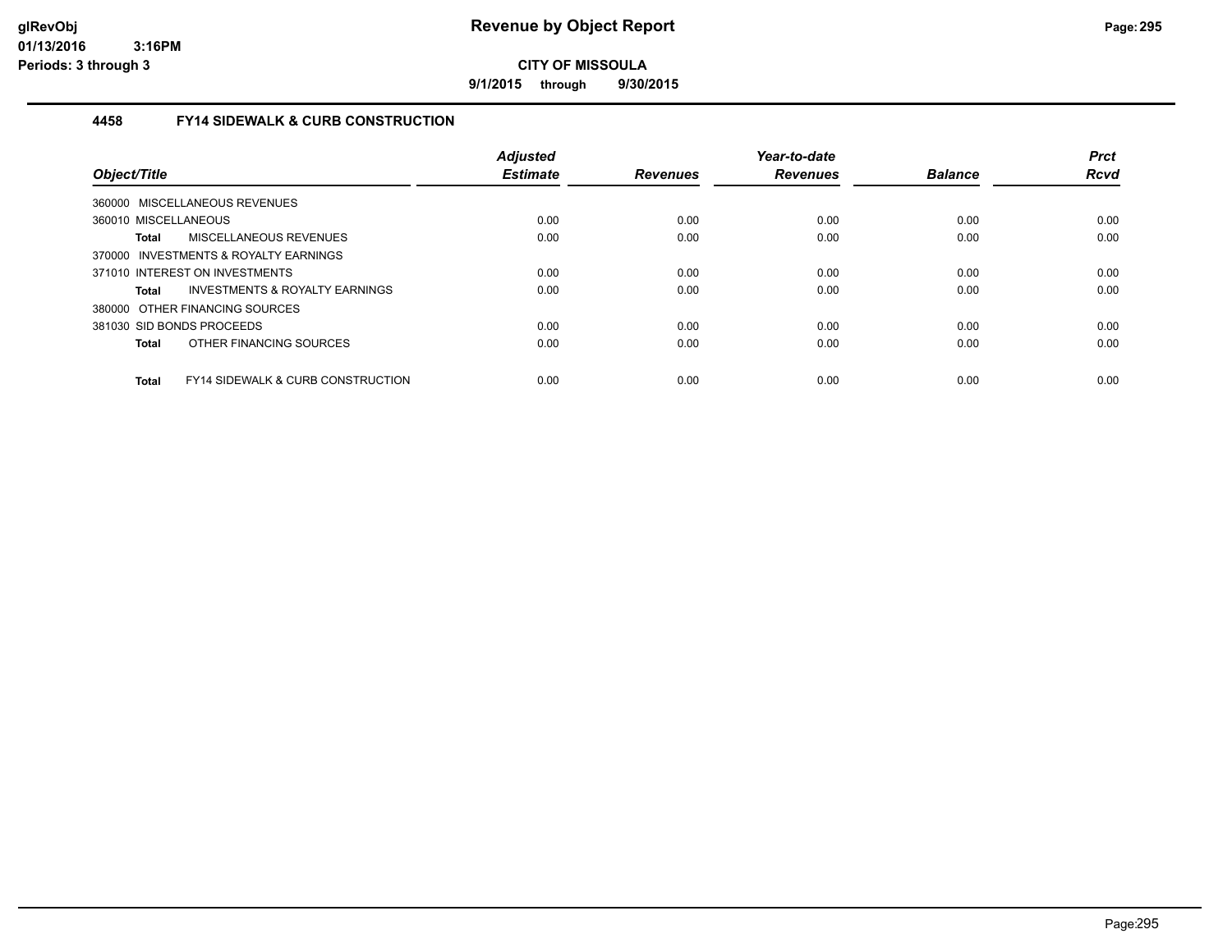**9/1/2015 through 9/30/2015**

### **4458 FY14 SIDEWALK & CURB CONSTRUCTION**

| Object/Title                                                 | <b>Adjusted</b><br><b>Estimate</b> | <b>Revenues</b> | Year-to-date<br><b>Revenues</b> | <b>Balance</b> | <b>Prct</b><br>Rcvd |
|--------------------------------------------------------------|------------------------------------|-----------------|---------------------------------|----------------|---------------------|
| 360000 MISCELLANEOUS REVENUES                                |                                    |                 |                                 |                |                     |
| 360010 MISCELLANEOUS                                         | 0.00                               | 0.00            | 0.00                            | 0.00           | 0.00                |
| MISCELLANEOUS REVENUES<br><b>Total</b>                       | 0.00                               | 0.00            | 0.00                            | 0.00           | 0.00                |
| INVESTMENTS & ROYALTY EARNINGS<br>370000                     |                                    |                 |                                 |                |                     |
| 371010 INTEREST ON INVESTMENTS                               | 0.00                               | 0.00            | 0.00                            | 0.00           | 0.00                |
| <b>INVESTMENTS &amp; ROYALTY EARNINGS</b><br>Total           | 0.00                               | 0.00            | 0.00                            | 0.00           | 0.00                |
| 380000 OTHER FINANCING SOURCES                               |                                    |                 |                                 |                |                     |
| 381030 SID BONDS PROCEEDS                                    | 0.00                               | 0.00            | 0.00                            | 0.00           | 0.00                |
| OTHER FINANCING SOURCES<br>Total                             | 0.00                               | 0.00            | 0.00                            | 0.00           | 0.00                |
| <b>FY14 SIDEWALK &amp; CURB CONSTRUCTION</b><br><b>Total</b> | 0.00                               | 0.00            | 0.00                            | 0.00           | 0.00                |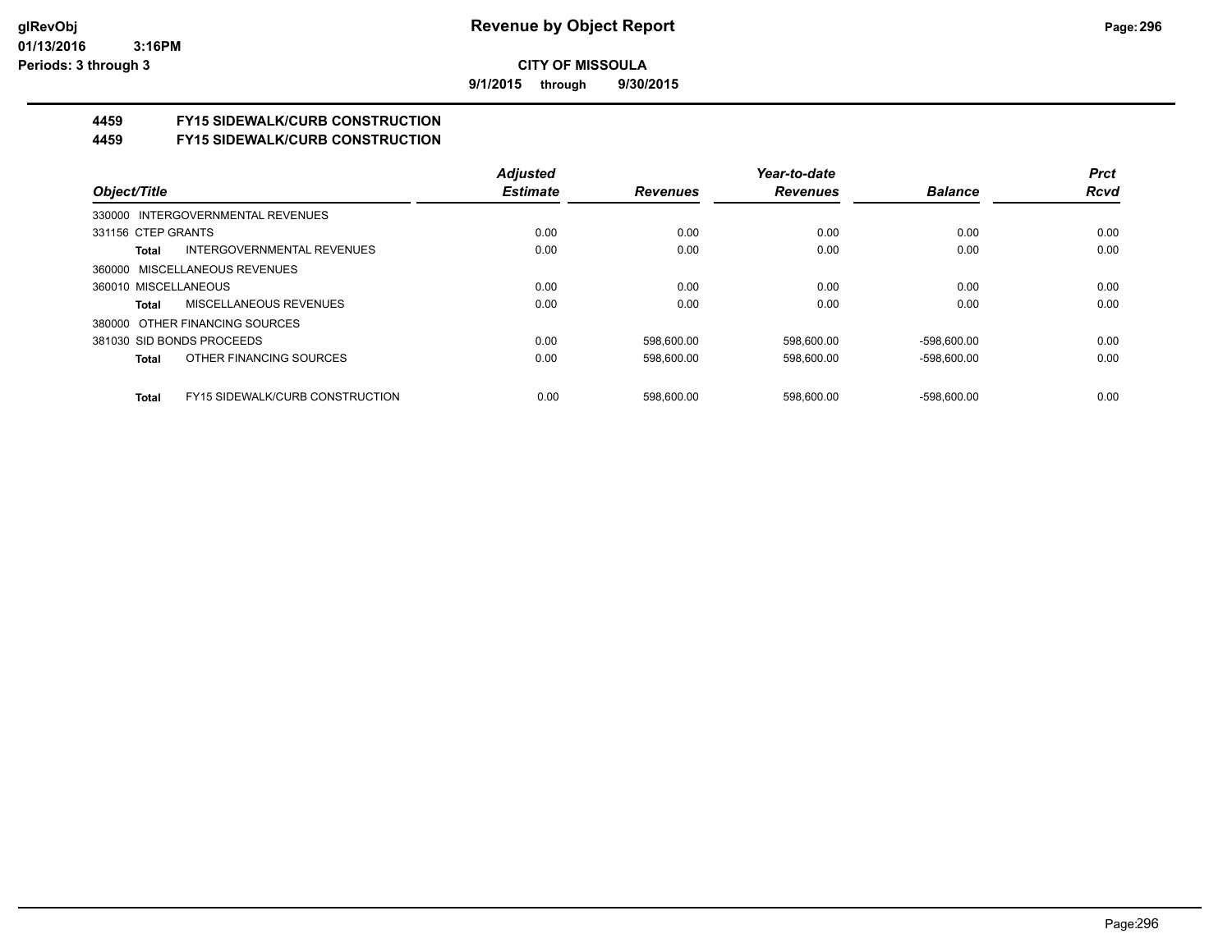**9/1/2015 through 9/30/2015**

# **4459 FY15 SIDEWALK/CURB CONSTRUCTION**

**4459 FY15 SIDEWALK/CURB CONSTRUCTION**

|                      |                                        | <b>Adjusted</b> |                 | Year-to-date    |                | <b>Prct</b> |
|----------------------|----------------------------------------|-----------------|-----------------|-----------------|----------------|-------------|
| Object/Title         |                                        | <b>Estimate</b> | <b>Revenues</b> | <b>Revenues</b> | <b>Balance</b> | <b>Rcvd</b> |
|                      | 330000 INTERGOVERNMENTAL REVENUES      |                 |                 |                 |                |             |
| 331156 CTEP GRANTS   |                                        | 0.00            | 0.00            | 0.00            | 0.00           | 0.00        |
| Total                | INTERGOVERNMENTAL REVENUES             | 0.00            | 0.00            | 0.00            | 0.00           | 0.00        |
|                      | 360000 MISCELLANEOUS REVENUES          |                 |                 |                 |                |             |
| 360010 MISCELLANEOUS |                                        | 0.00            | 0.00            | 0.00            | 0.00           | 0.00        |
| Total                | <b>MISCELLANEOUS REVENUES</b>          | 0.00            | 0.00            | 0.00            | 0.00           | 0.00        |
|                      | 380000 OTHER FINANCING SOURCES         |                 |                 |                 |                |             |
|                      | 381030 SID BONDS PROCEEDS              | 0.00            | 598.600.00      | 598.600.00      | -598.600.00    | 0.00        |
| Total                | OTHER FINANCING SOURCES                | 0.00            | 598.600.00      | 598.600.00      | -598.600.00    | 0.00        |
| <b>Total</b>         | <b>FY15 SIDEWALK/CURB CONSTRUCTION</b> | 0.00            | 598.600.00      | 598.600.00      | -598.600.00    | 0.00        |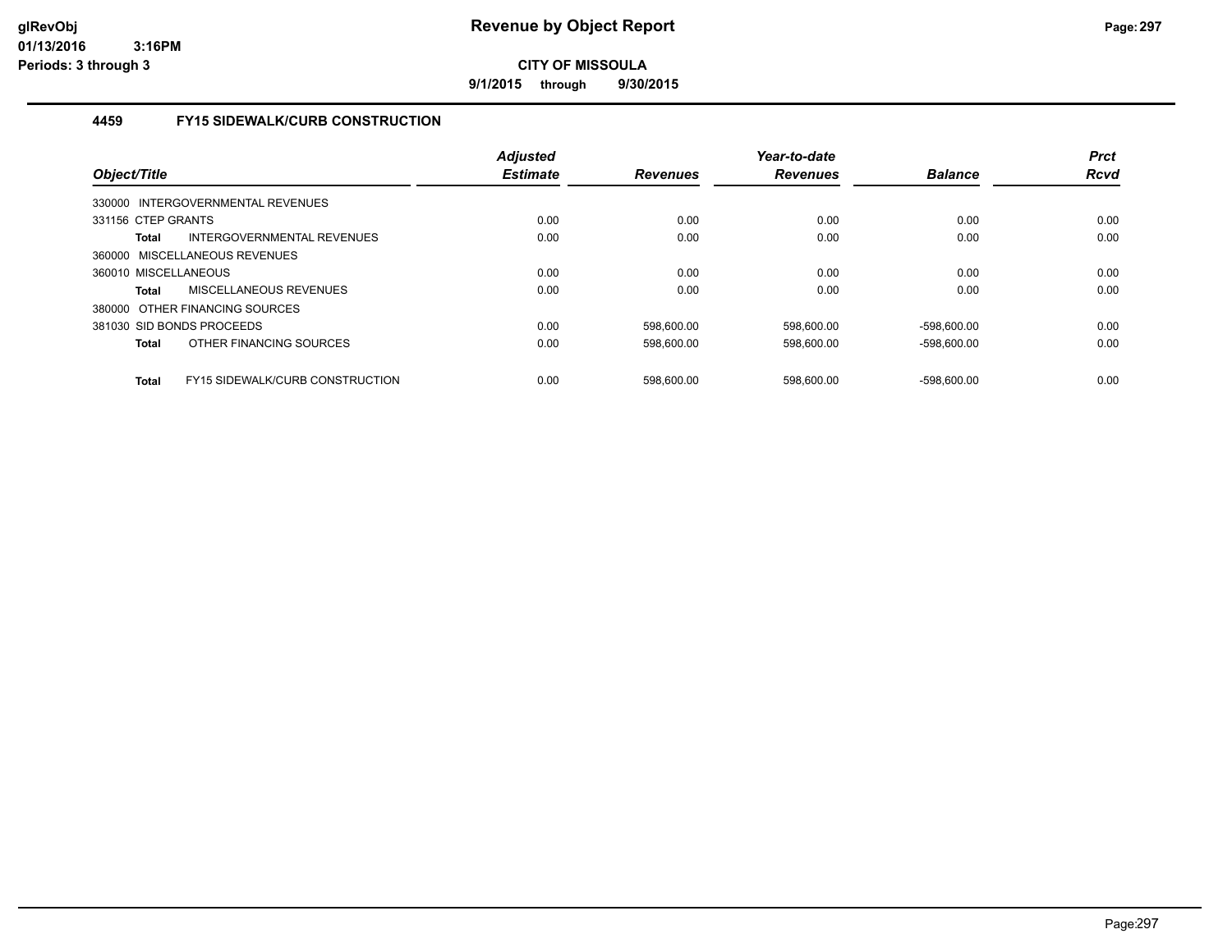**9/1/2015 through 9/30/2015**

### **4459 FY15 SIDEWALK/CURB CONSTRUCTION**

| Object/Title                                    | <b>Adjusted</b><br><b>Estimate</b> | <b>Revenues</b> | Year-to-date<br><b>Revenues</b> | <b>Balance</b> | <b>Prct</b><br>Rcvd |
|-------------------------------------------------|------------------------------------|-----------------|---------------------------------|----------------|---------------------|
| 330000 INTERGOVERNMENTAL REVENUES               |                                    |                 |                                 |                |                     |
| 331156 CTEP GRANTS                              | 0.00                               | 0.00            | 0.00                            | 0.00           | 0.00                |
| INTERGOVERNMENTAL REVENUES<br><b>Total</b>      | 0.00                               | 0.00            | 0.00                            | 0.00           | 0.00                |
| 360000 MISCELLANEOUS REVENUES                   |                                    |                 |                                 |                |                     |
| 360010 MISCELLANEOUS                            | 0.00                               | 0.00            | 0.00                            | 0.00           | 0.00                |
| <b>MISCELLANEOUS REVENUES</b><br><b>Total</b>   | 0.00                               | 0.00            | 0.00                            | 0.00           | 0.00                |
| 380000 OTHER FINANCING SOURCES                  |                                    |                 |                                 |                |                     |
| 381030 SID BONDS PROCEEDS                       | 0.00                               | 598.600.00      | 598.600.00                      | $-598.600.00$  | 0.00                |
| OTHER FINANCING SOURCES<br><b>Total</b>         | 0.00                               | 598,600.00      | 598,600.00                      | $-598,600.00$  | 0.00                |
| FY15 SIDEWALK/CURB CONSTRUCTION<br><b>Total</b> | 0.00                               | 598.600.00      | 598.600.00                      | $-598.600.00$  | 0.00                |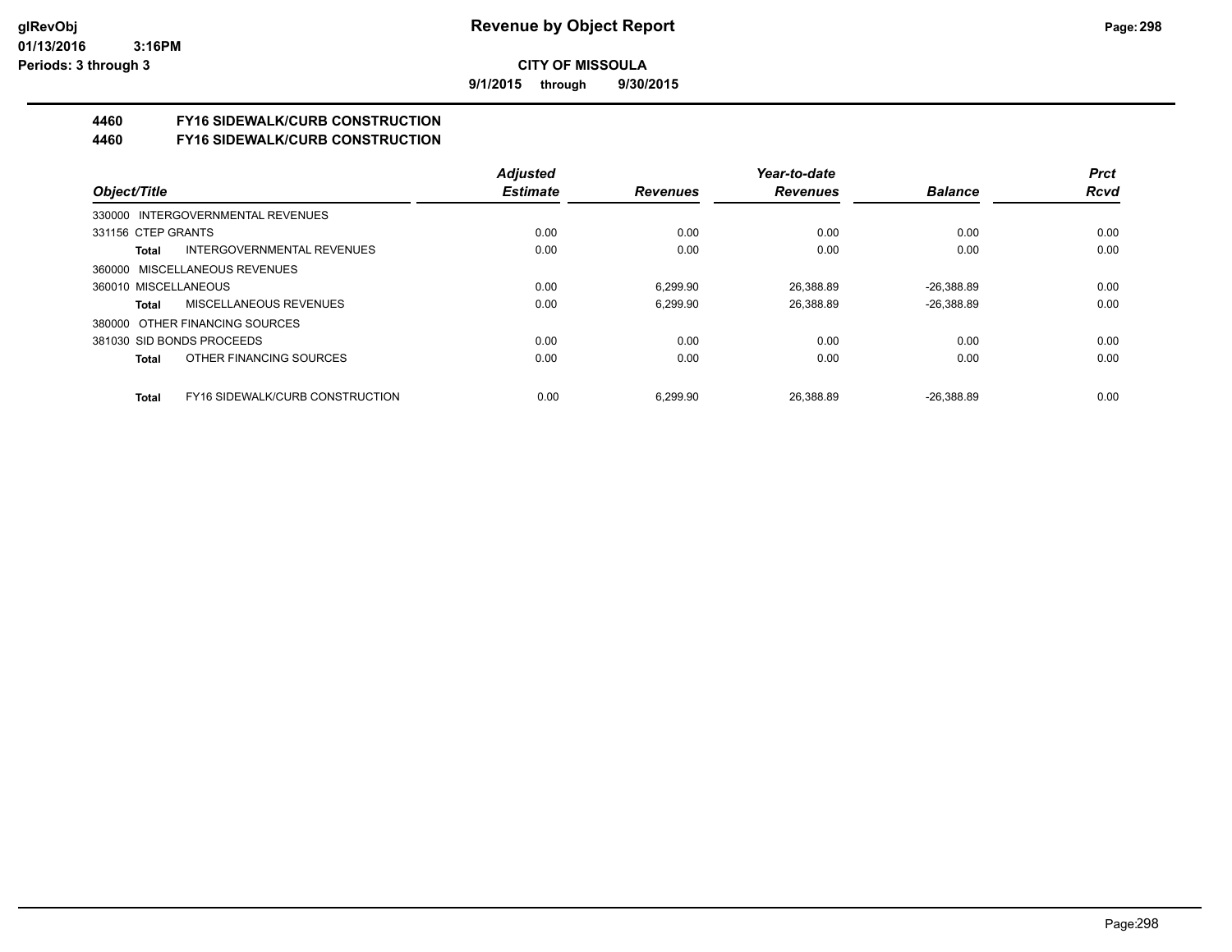**9/1/2015 through 9/30/2015**

# **4460 FY16 SIDEWALK/CURB CONSTRUCTION**

**4460 FY16 SIDEWALK/CURB CONSTRUCTION**

|                                          | <b>Adiusted</b> |                 | Year-to-date    |                | <b>Prct</b> |
|------------------------------------------|-----------------|-----------------|-----------------|----------------|-------------|
| Object/Title                             | <b>Estimate</b> | <b>Revenues</b> | <b>Revenues</b> | <b>Balance</b> | <b>Rcvd</b> |
| 330000 INTERGOVERNMENTAL REVENUES        |                 |                 |                 |                |             |
| 331156 CTEP GRANTS                       | 0.00            | 0.00            | 0.00            | 0.00           | 0.00        |
| INTERGOVERNMENTAL REVENUES<br>Total      | 0.00            | 0.00            | 0.00            | 0.00           | 0.00        |
| 360000 MISCELLANEOUS REVENUES            |                 |                 |                 |                |             |
| 360010 MISCELLANEOUS                     | 0.00            | 6.299.90        | 26,388.89       | $-26,388.89$   | 0.00        |
| MISCELLANEOUS REVENUES<br>Total          | 0.00            | 6.299.90        | 26,388.89       | $-26,388.89$   | 0.00        |
| 380000 OTHER FINANCING SOURCES           |                 |                 |                 |                |             |
| 381030 SID BONDS PROCEEDS                | 0.00            | 0.00            | 0.00            | 0.00           | 0.00        |
| OTHER FINANCING SOURCES<br>Total         | 0.00            | 0.00            | 0.00            | 0.00           | 0.00        |
|                                          |                 |                 |                 |                |             |
| FY16 SIDEWALK/CURB CONSTRUCTION<br>Total | 0.00            | 6.299.90        | 26.388.89       | $-26.388.89$   | 0.00        |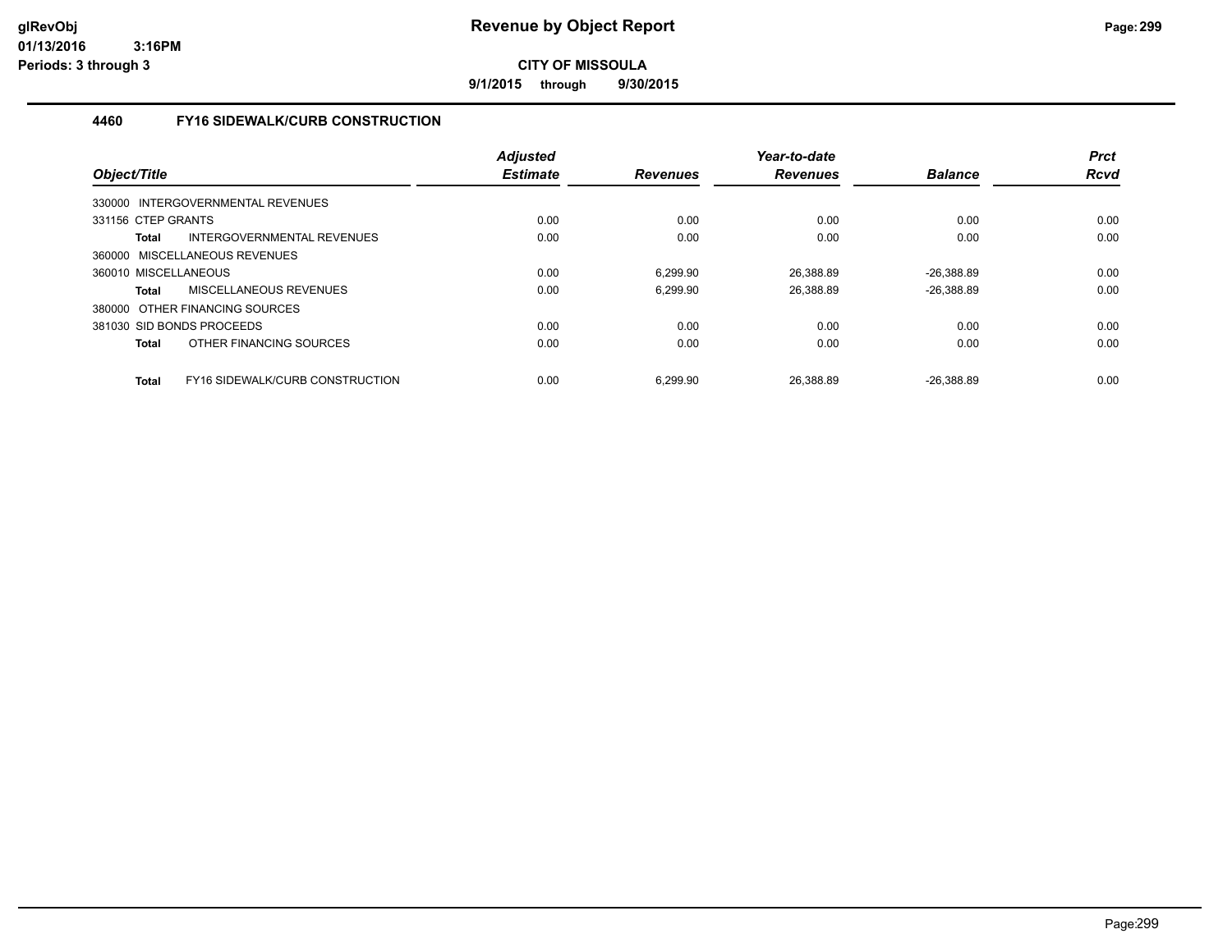**9/1/2015 through 9/30/2015**

### **4460 FY16 SIDEWALK/CURB CONSTRUCTION**

| Object/Title                                    | <b>Adjusted</b><br><b>Estimate</b> | <b>Revenues</b> | Year-to-date<br><b>Revenues</b> | <b>Balance</b> | <b>Prct</b><br><b>Rcvd</b> |
|-------------------------------------------------|------------------------------------|-----------------|---------------------------------|----------------|----------------------------|
| 330000 INTERGOVERNMENTAL REVENUES               |                                    |                 |                                 |                |                            |
| 331156 CTEP GRANTS                              | 0.00                               | 0.00            | 0.00                            | 0.00           | 0.00                       |
| INTERGOVERNMENTAL REVENUES<br><b>Total</b>      | 0.00                               | 0.00            | 0.00                            | 0.00           | 0.00                       |
| 360000 MISCELLANEOUS REVENUES                   |                                    |                 |                                 |                |                            |
| 360010 MISCELLANEOUS                            | 0.00                               | 6.299.90        | 26.388.89                       | $-26.388.89$   | 0.00                       |
| MISCELLANEOUS REVENUES<br><b>Total</b>          | 0.00                               | 6.299.90        | 26,388.89                       | $-26,388.89$   | 0.00                       |
| 380000 OTHER FINANCING SOURCES                  |                                    |                 |                                 |                |                            |
| 381030 SID BONDS PROCEEDS                       | 0.00                               | 0.00            | 0.00                            | 0.00           | 0.00                       |
| OTHER FINANCING SOURCES<br><b>Total</b>         | 0.00                               | 0.00            | 0.00                            | 0.00           | 0.00                       |
| FY16 SIDEWALK/CURB CONSTRUCTION<br><b>Total</b> | 0.00                               | 6.299.90        | 26.388.89                       | $-26.388.89$   | 0.00                       |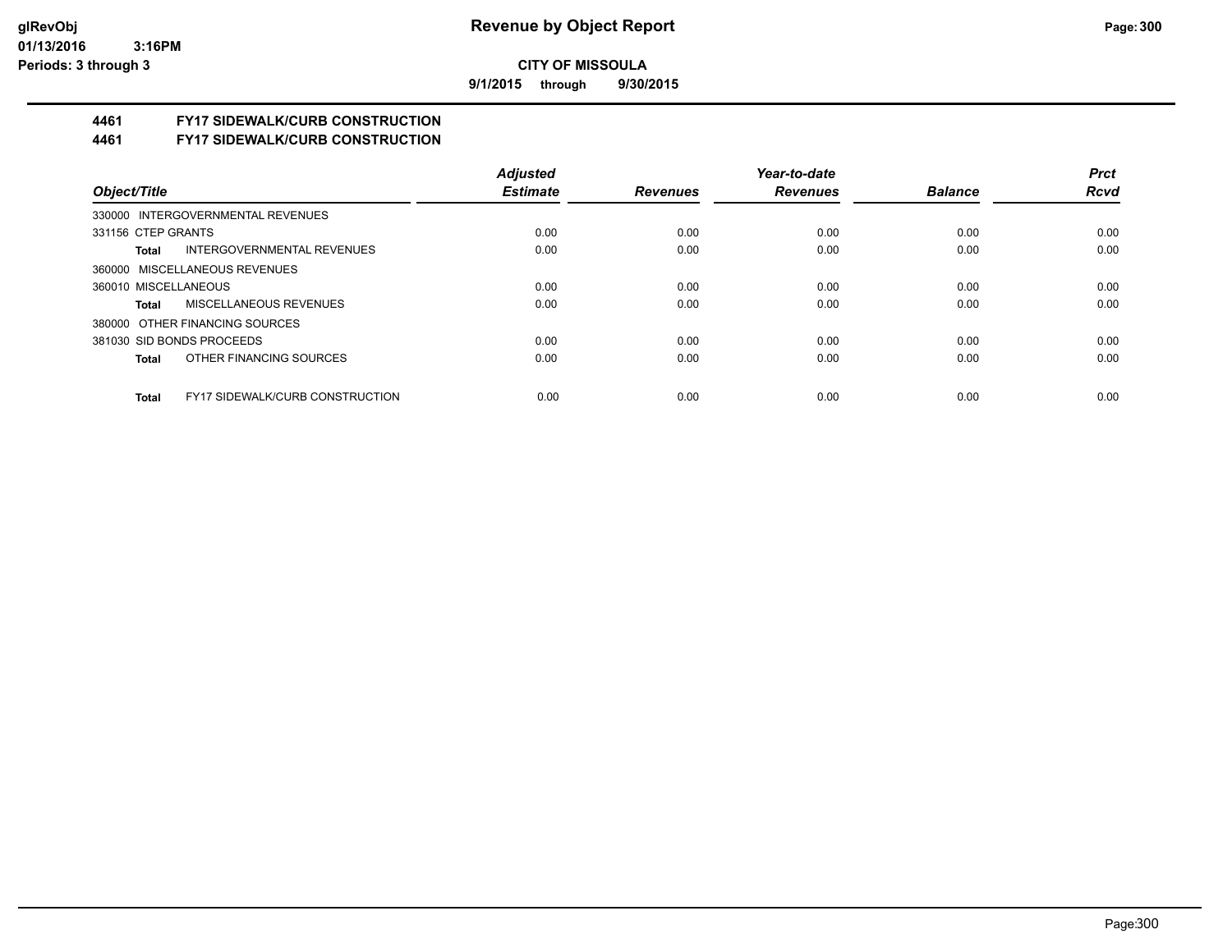**9/1/2015 through 9/30/2015**

# **4461 FY17 SIDEWALK/CURB CONSTRUCTION**

**4461 FY17 SIDEWALK/CURB CONSTRUCTION**

|                                                        | <b>Adjusted</b> |                 | Year-to-date    |                | <b>Prct</b> |
|--------------------------------------------------------|-----------------|-----------------|-----------------|----------------|-------------|
| Object/Title                                           | <b>Estimate</b> | <b>Revenues</b> | <b>Revenues</b> | <b>Balance</b> | <b>Rcvd</b> |
| 330000 INTERGOVERNMENTAL REVENUES                      |                 |                 |                 |                |             |
| 331156 CTEP GRANTS                                     | 0.00            | 0.00            | 0.00            | 0.00           | 0.00        |
| INTERGOVERNMENTAL REVENUES<br>Total                    | 0.00            | 0.00            | 0.00            | 0.00           | 0.00        |
| 360000 MISCELLANEOUS REVENUES                          |                 |                 |                 |                |             |
| 360010 MISCELLANEOUS                                   | 0.00            | 0.00            | 0.00            | 0.00           | 0.00        |
| MISCELLANEOUS REVENUES<br>Total                        | 0.00            | 0.00            | 0.00            | 0.00           | 0.00        |
| 380000 OTHER FINANCING SOURCES                         |                 |                 |                 |                |             |
| 381030 SID BONDS PROCEEDS                              | 0.00            | 0.00            | 0.00            | 0.00           | 0.00        |
| OTHER FINANCING SOURCES<br>Total                       | 0.00            | 0.00            | 0.00            | 0.00           | 0.00        |
|                                                        |                 |                 |                 |                |             |
| <b>FY17 SIDEWALK/CURB CONSTRUCTION</b><br><b>Total</b> | 0.00            | 0.00            | 0.00            | 0.00           | 0.00        |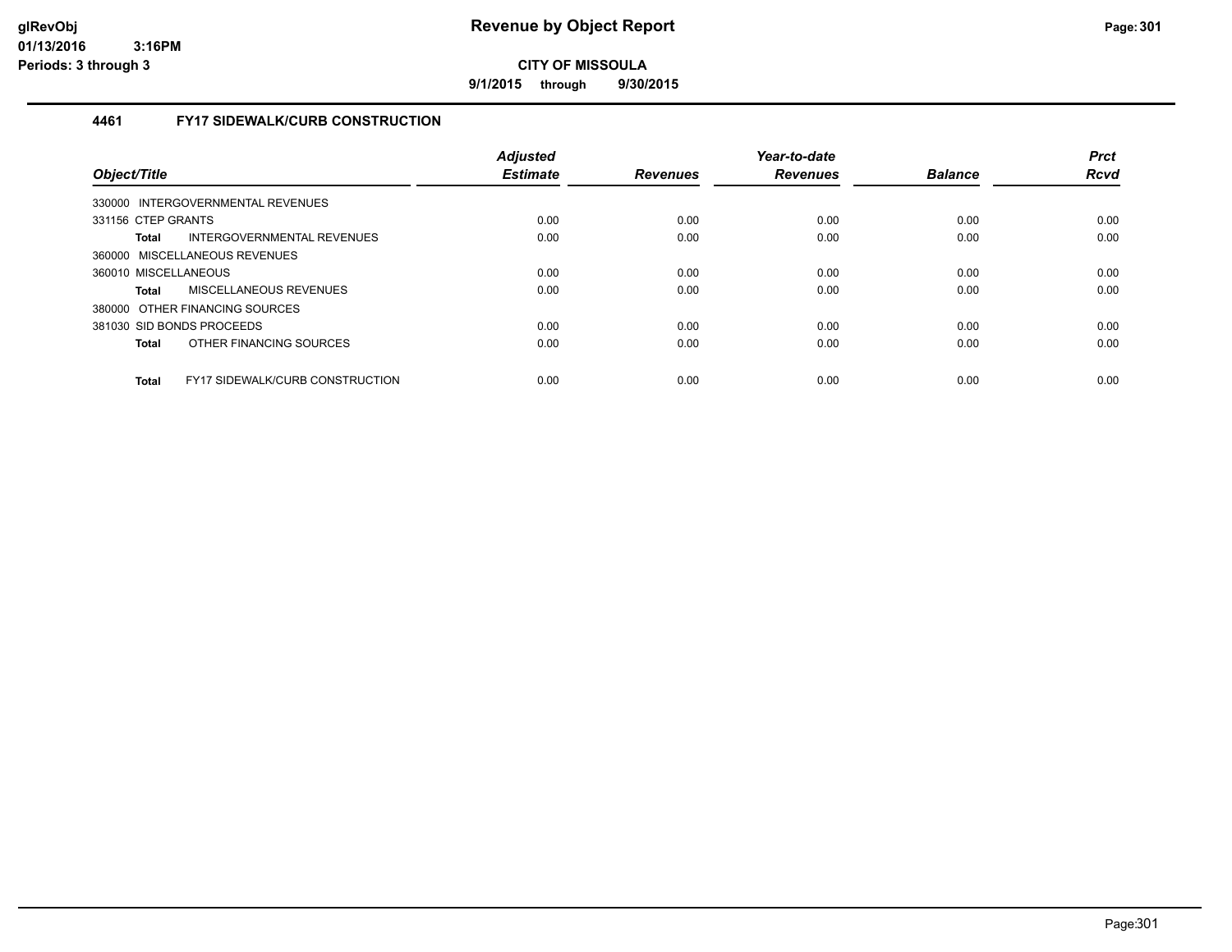**9/1/2015 through 9/30/2015**

### **4461 FY17 SIDEWALK/CURB CONSTRUCTION**

| Object/Title                                           | <b>Adjusted</b><br><b>Estimate</b> | <b>Revenues</b> | Year-to-date<br><b>Revenues</b> | <b>Balance</b> | <b>Prct</b><br><b>Rcvd</b> |
|--------------------------------------------------------|------------------------------------|-----------------|---------------------------------|----------------|----------------------------|
| INTERGOVERNMENTAL REVENUES<br>330000                   |                                    |                 |                                 |                |                            |
| 331156 CTEP GRANTS                                     | 0.00                               | 0.00            | 0.00                            | 0.00           | 0.00                       |
| INTERGOVERNMENTAL REVENUES<br>Total                    | 0.00                               | 0.00            | 0.00                            | 0.00           | 0.00                       |
| 360000 MISCELLANEOUS REVENUES                          |                                    |                 |                                 |                |                            |
| 360010 MISCELLANEOUS                                   | 0.00                               | 0.00            | 0.00                            | 0.00           | 0.00                       |
| MISCELLANEOUS REVENUES<br>Total                        | 0.00                               | 0.00            | 0.00                            | 0.00           | 0.00                       |
| 380000 OTHER FINANCING SOURCES                         |                                    |                 |                                 |                |                            |
| 381030 SID BONDS PROCEEDS                              | 0.00                               | 0.00            | 0.00                            | 0.00           | 0.00                       |
| OTHER FINANCING SOURCES<br>Total                       | 0.00                               | 0.00            | 0.00                            | 0.00           | 0.00                       |
| <b>FY17 SIDEWALK/CURB CONSTRUCTION</b><br><b>Total</b> | 0.00                               | 0.00            | 0.00                            | 0.00           | 0.00                       |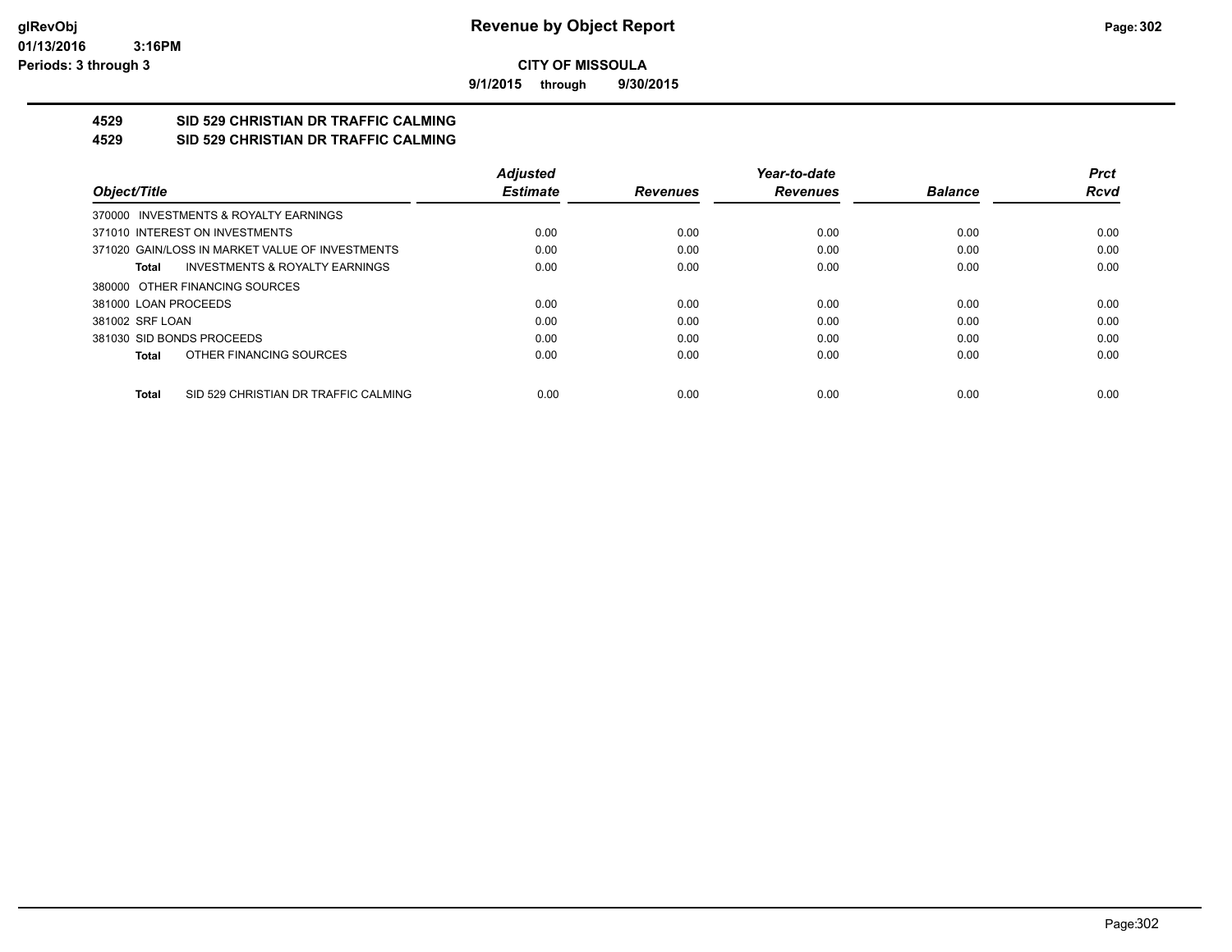**9/1/2015 through 9/30/2015**

#### **4529 SID 529 CHRISTIAN DR TRAFFIC CALMING 4529 SID 529 CHRISTIAN DR TRAFFIC CALMING**

|                                                      | <b>Adjusted</b> |                 | Year-to-date    |                | <b>Prct</b> |
|------------------------------------------------------|-----------------|-----------------|-----------------|----------------|-------------|
| Object/Title                                         | <b>Estimate</b> | <b>Revenues</b> | <b>Revenues</b> | <b>Balance</b> | <b>Rcvd</b> |
| 370000 INVESTMENTS & ROYALTY EARNINGS                |                 |                 |                 |                |             |
| 371010 INTEREST ON INVESTMENTS                       | 0.00            | 0.00            | 0.00            | 0.00           | 0.00        |
| 371020 GAIN/LOSS IN MARKET VALUE OF INVESTMENTS      | 0.00            | 0.00            | 0.00            | 0.00           | 0.00        |
| <b>INVESTMENTS &amp; ROYALTY EARNINGS</b><br>Total   | 0.00            | 0.00            | 0.00            | 0.00           | 0.00        |
| 380000 OTHER FINANCING SOURCES                       |                 |                 |                 |                |             |
| 381000 LOAN PROCEEDS                                 | 0.00            | 0.00            | 0.00            | 0.00           | 0.00        |
| 381002 SRF LOAN                                      | 0.00            | 0.00            | 0.00            | 0.00           | 0.00        |
| 381030 SID BONDS PROCEEDS                            | 0.00            | 0.00            | 0.00            | 0.00           | 0.00        |
| OTHER FINANCING SOURCES<br><b>Total</b>              | 0.00            | 0.00            | 0.00            | 0.00           | 0.00        |
|                                                      |                 |                 |                 |                |             |
| SID 529 CHRISTIAN DR TRAFFIC CALMING<br><b>Total</b> | 0.00            | 0.00            | 0.00            | 0.00           | 0.00        |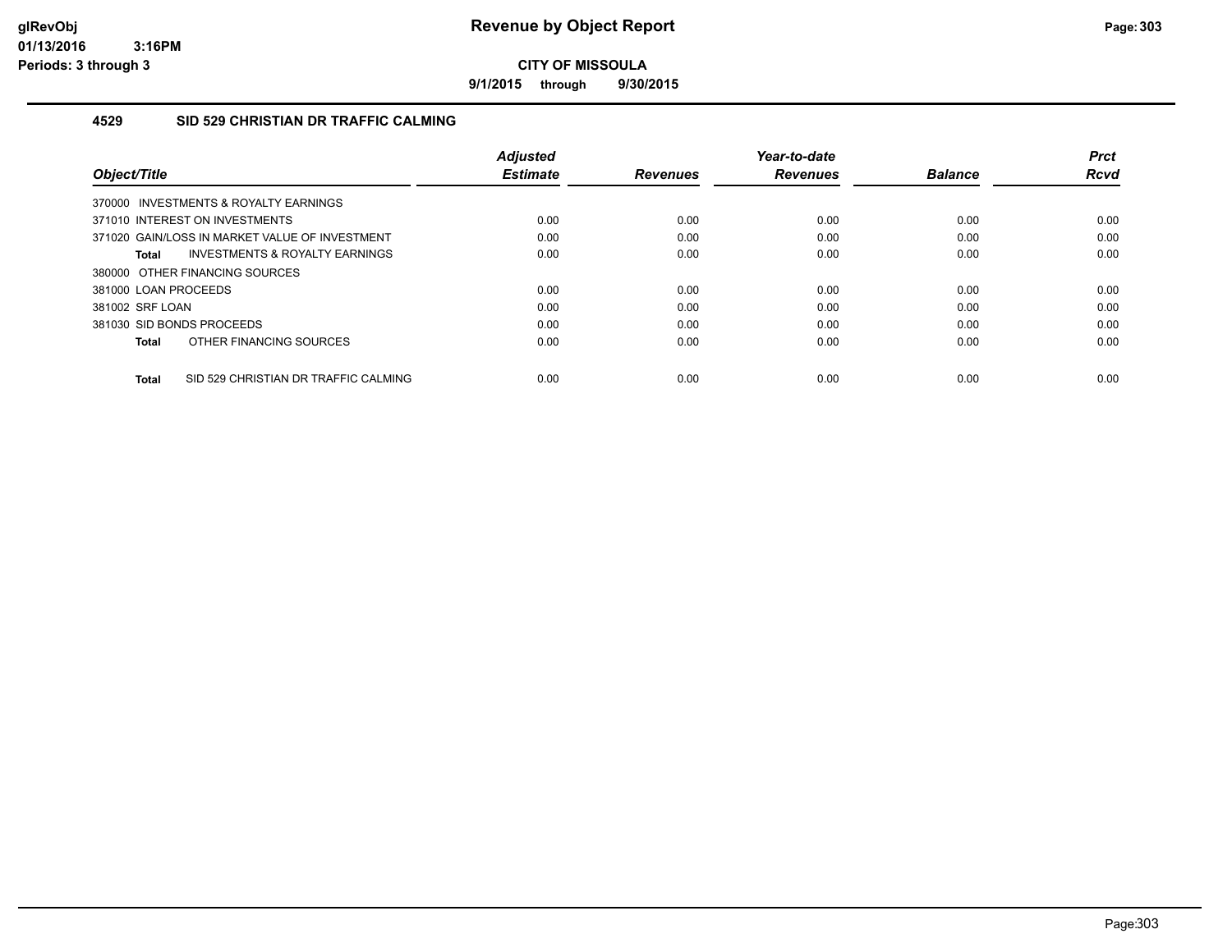**9/1/2015 through 9/30/2015**

### **4529 SID 529 CHRISTIAN DR TRAFFIC CALMING**

| Object/Title                                         | <b>Adjusted</b><br><b>Estimate</b> | <b>Revenues</b> | Year-to-date<br><b>Revenues</b> | <b>Balance</b> | <b>Prct</b><br>Rcvd |
|------------------------------------------------------|------------------------------------|-----------------|---------------------------------|----------------|---------------------|
| 370000 INVESTMENTS & ROYALTY EARNINGS                |                                    |                 |                                 |                |                     |
| 371010 INTEREST ON INVESTMENTS                       | 0.00                               | 0.00            | 0.00                            | 0.00           | 0.00                |
| 371020 GAIN/LOSS IN MARKET VALUE OF INVESTMENT       | 0.00                               | 0.00            | 0.00                            | 0.00           | 0.00                |
| INVESTMENTS & ROYALTY EARNINGS<br>Total              | 0.00                               | 0.00            | 0.00                            | 0.00           | 0.00                |
| 380000 OTHER FINANCING SOURCES                       |                                    |                 |                                 |                |                     |
| 381000 LOAN PROCEEDS                                 | 0.00                               | 0.00            | 0.00                            | 0.00           | 0.00                |
| 381002 SRF LOAN                                      | 0.00                               | 0.00            | 0.00                            | 0.00           | 0.00                |
| 381030 SID BONDS PROCEEDS                            | 0.00                               | 0.00            | 0.00                            | 0.00           | 0.00                |
| OTHER FINANCING SOURCES<br><b>Total</b>              | 0.00                               | 0.00            | 0.00                            | 0.00           | 0.00                |
| SID 529 CHRISTIAN DR TRAFFIC CALMING<br><b>Total</b> | 0.00                               | 0.00            | 0.00                            | 0.00           | 0.00                |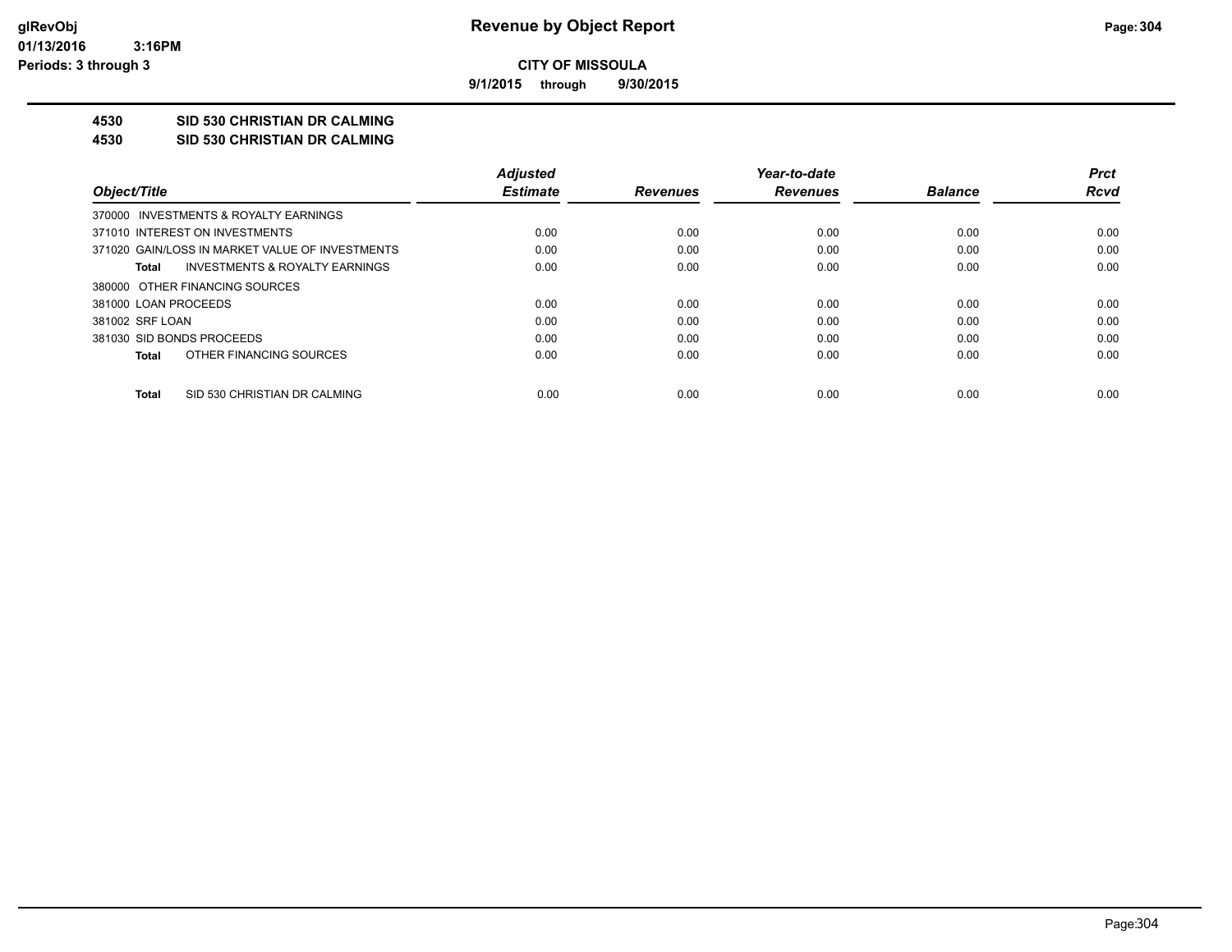**9/1/2015 through 9/30/2015**

# **4530 SID 530 CHRISTIAN DR CALMING**

**4530 SID 530 CHRISTIAN DR CALMING**

|                                                 | <b>Adjusted</b> |                 | Year-to-date    |                | <b>Prct</b> |
|-------------------------------------------------|-----------------|-----------------|-----------------|----------------|-------------|
| Object/Title                                    | <b>Estimate</b> | <b>Revenues</b> | <b>Revenues</b> | <b>Balance</b> | Rcvd        |
| 370000 INVESTMENTS & ROYALTY EARNINGS           |                 |                 |                 |                |             |
| 371010 INTEREST ON INVESTMENTS                  | 0.00            | 0.00            | 0.00            | 0.00           | 0.00        |
| 371020 GAIN/LOSS IN MARKET VALUE OF INVESTMENTS | 0.00            | 0.00            | 0.00            | 0.00           | 0.00        |
| INVESTMENTS & ROYALTY EARNINGS<br>Total         | 0.00            | 0.00            | 0.00            | 0.00           | 0.00        |
| 380000 OTHER FINANCING SOURCES                  |                 |                 |                 |                |             |
| 381000 LOAN PROCEEDS                            | 0.00            | 0.00            | 0.00            | 0.00           | 0.00        |
| 381002 SRF LOAN                                 | 0.00            | 0.00            | 0.00            | 0.00           | 0.00        |
| 381030 SID BONDS PROCEEDS                       | 0.00            | 0.00            | 0.00            | 0.00           | 0.00        |
| OTHER FINANCING SOURCES<br>Total                | 0.00            | 0.00            | 0.00            | 0.00           | 0.00        |
| SID 530 CHRISTIAN DR CALMING<br>Total           | 0.00            | 0.00            | 0.00            | 0.00           | 0.00        |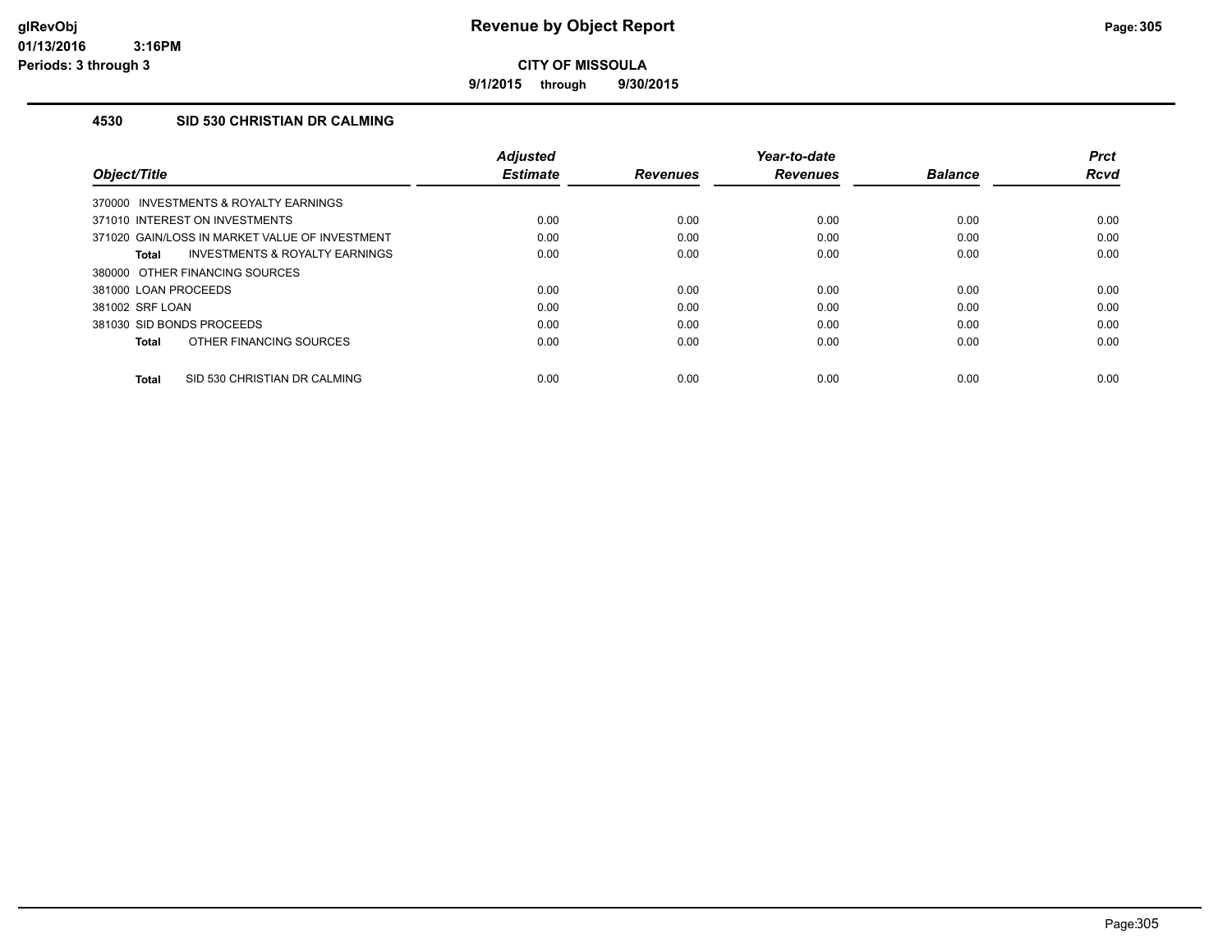**9/1/2015 through 9/30/2015**

### **4530 SID 530 CHRISTIAN DR CALMING**

| Object/Title                                   | <b>Adjusted</b><br><b>Estimate</b> | <b>Revenues</b> | Year-to-date<br><b>Revenues</b> | <b>Balance</b> | <b>Prct</b><br><b>Rcvd</b> |
|------------------------------------------------|------------------------------------|-----------------|---------------------------------|----------------|----------------------------|
| 370000 INVESTMENTS & ROYALTY EARNINGS          |                                    |                 |                                 |                |                            |
| 371010 INTEREST ON INVESTMENTS                 | 0.00                               | 0.00            | 0.00                            | 0.00           | 0.00                       |
| 371020 GAIN/LOSS IN MARKET VALUE OF INVESTMENT | 0.00                               | 0.00            | 0.00                            | 0.00           | 0.00                       |
| INVESTMENTS & ROYALTY EARNINGS<br>Total        | 0.00                               | 0.00            | 0.00                            | 0.00           | 0.00                       |
| 380000 OTHER FINANCING SOURCES                 |                                    |                 |                                 |                |                            |
| 381000 LOAN PROCEEDS                           | 0.00                               | 0.00            | 0.00                            | 0.00           | 0.00                       |
| 381002 SRF LOAN                                | 0.00                               | 0.00            | 0.00                            | 0.00           | 0.00                       |
| 381030 SID BONDS PROCEEDS                      | 0.00                               | 0.00            | 0.00                            | 0.00           | 0.00                       |
| OTHER FINANCING SOURCES<br><b>Total</b>        | 0.00                               | 0.00            | 0.00                            | 0.00           | 0.00                       |
| SID 530 CHRISTIAN DR CALMING<br><b>Total</b>   | 0.00                               | 0.00            | 0.00                            | 0.00           | 0.00                       |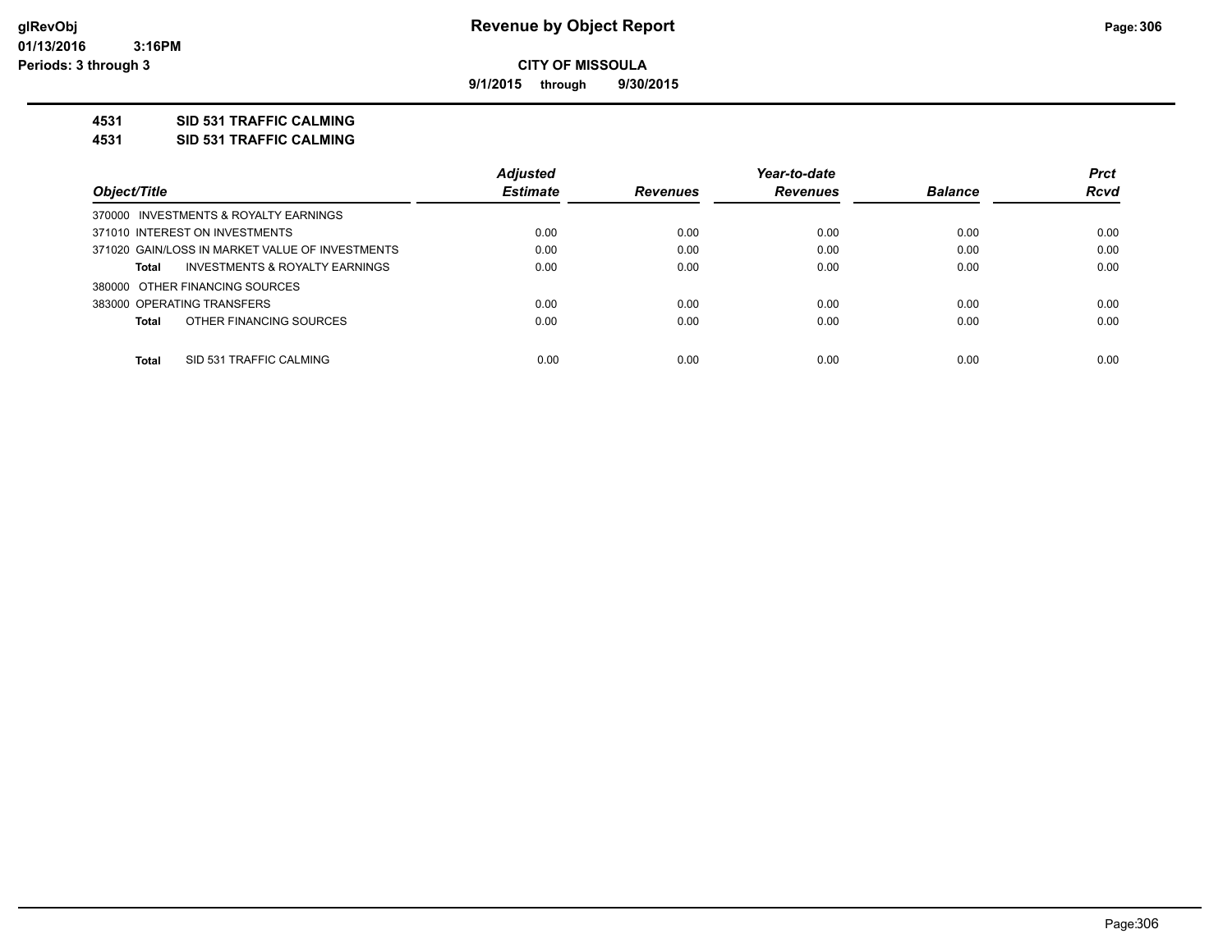**9/1/2015 through 9/30/2015**

### **4531 SID 531 TRAFFIC CALMING**

**4531 SID 531 TRAFFIC CALMING**

|                                                 | <b>Adjusted</b> |                 | Year-to-date    |                | <b>Prct</b> |
|-------------------------------------------------|-----------------|-----------------|-----------------|----------------|-------------|
| Object/Title                                    | <b>Estimate</b> | <b>Revenues</b> | <b>Revenues</b> | <b>Balance</b> | <b>Rcvd</b> |
| 370000 INVESTMENTS & ROYALTY EARNINGS           |                 |                 |                 |                |             |
| 371010 INTEREST ON INVESTMENTS                  | 0.00            | 0.00            | 0.00            | 0.00           | 0.00        |
| 371020 GAIN/LOSS IN MARKET VALUE OF INVESTMENTS | 0.00            | 0.00            | 0.00            | 0.00           | 0.00        |
| INVESTMENTS & ROYALTY EARNINGS<br>Total         | 0.00            | 0.00            | 0.00            | 0.00           | 0.00        |
| 380000 OTHER FINANCING SOURCES                  |                 |                 |                 |                |             |
| 383000 OPERATING TRANSFERS                      | 0.00            | 0.00            | 0.00            | 0.00           | 0.00        |
| OTHER FINANCING SOURCES<br>Total                | 0.00            | 0.00            | 0.00            | 0.00           | 0.00        |
|                                                 |                 |                 |                 |                |             |
| Total<br>SID 531 TRAFFIC CALMING                | 0.00            | 0.00            | 0.00            | 0.00           | 0.00        |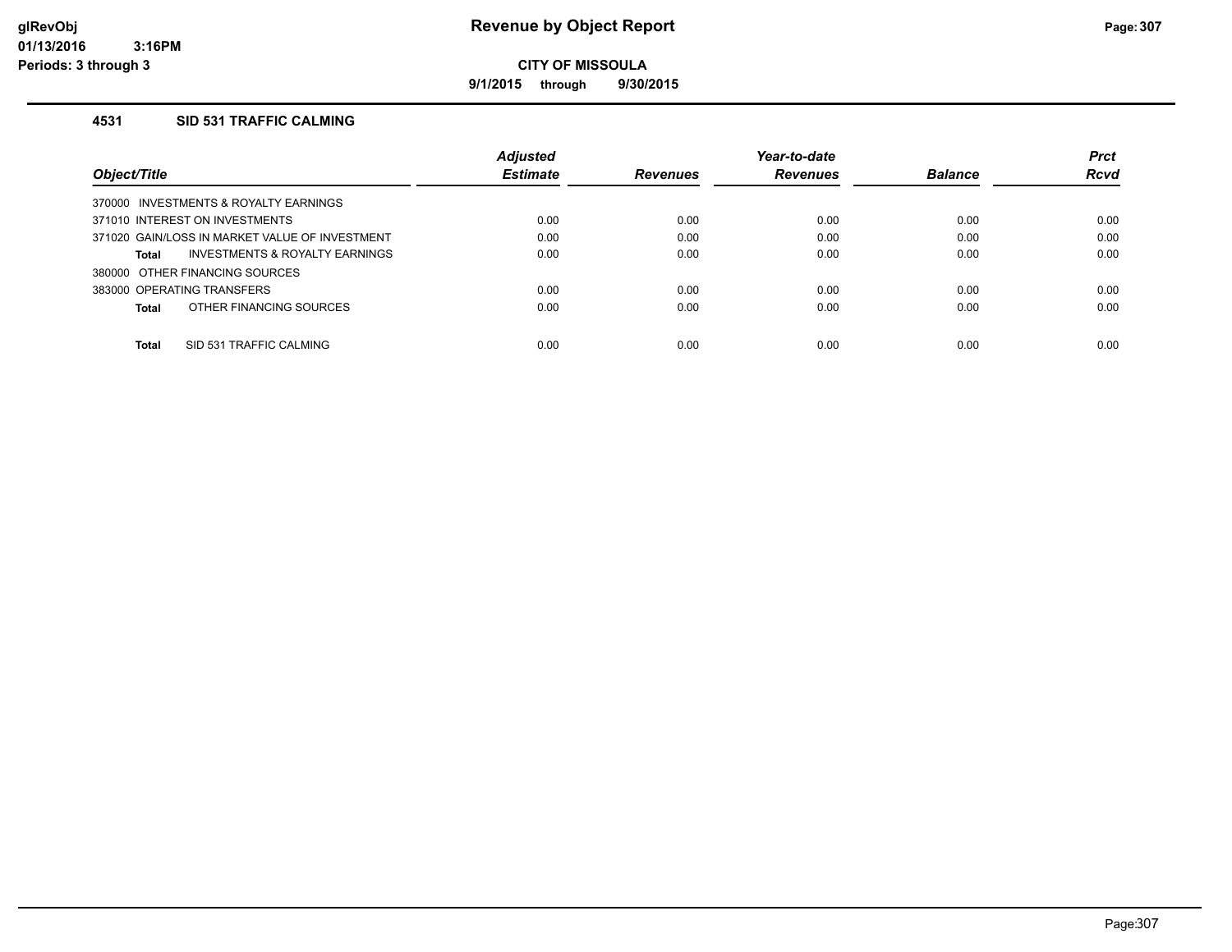**9/1/2015 through 9/30/2015**

### **4531 SID 531 TRAFFIC CALMING**

|                                                    | <b>Adjusted</b> |                 | Year-to-date    |                | <b>Prct</b> |
|----------------------------------------------------|-----------------|-----------------|-----------------|----------------|-------------|
| Object/Title                                       | <b>Estimate</b> | <b>Revenues</b> | <b>Revenues</b> | <b>Balance</b> | Rcvd        |
| INVESTMENTS & ROYALTY EARNINGS<br>370000           |                 |                 |                 |                |             |
| 371010 INTEREST ON INVESTMENTS                     | 0.00            | 0.00            | 0.00            | 0.00           | 0.00        |
| 371020 GAIN/LOSS IN MARKET VALUE OF INVESTMENT     | 0.00            | 0.00            | 0.00            | 0.00           | 0.00        |
| <b>INVESTMENTS &amp; ROYALTY EARNINGS</b><br>Total | 0.00            | 0.00            | 0.00            | 0.00           | 0.00        |
| 380000 OTHER FINANCING SOURCES                     |                 |                 |                 |                |             |
| 383000 OPERATING TRANSFERS                         | 0.00            | 0.00            | 0.00            | 0.00           | 0.00        |
| OTHER FINANCING SOURCES<br>Total                   | 0.00            | 0.00            | 0.00            | 0.00           | 0.00        |
|                                                    |                 |                 |                 |                |             |
| Total<br>SID 531 TRAFFIC CALMING                   | 0.00            | 0.00            | 0.00            | 0.00           | 0.00        |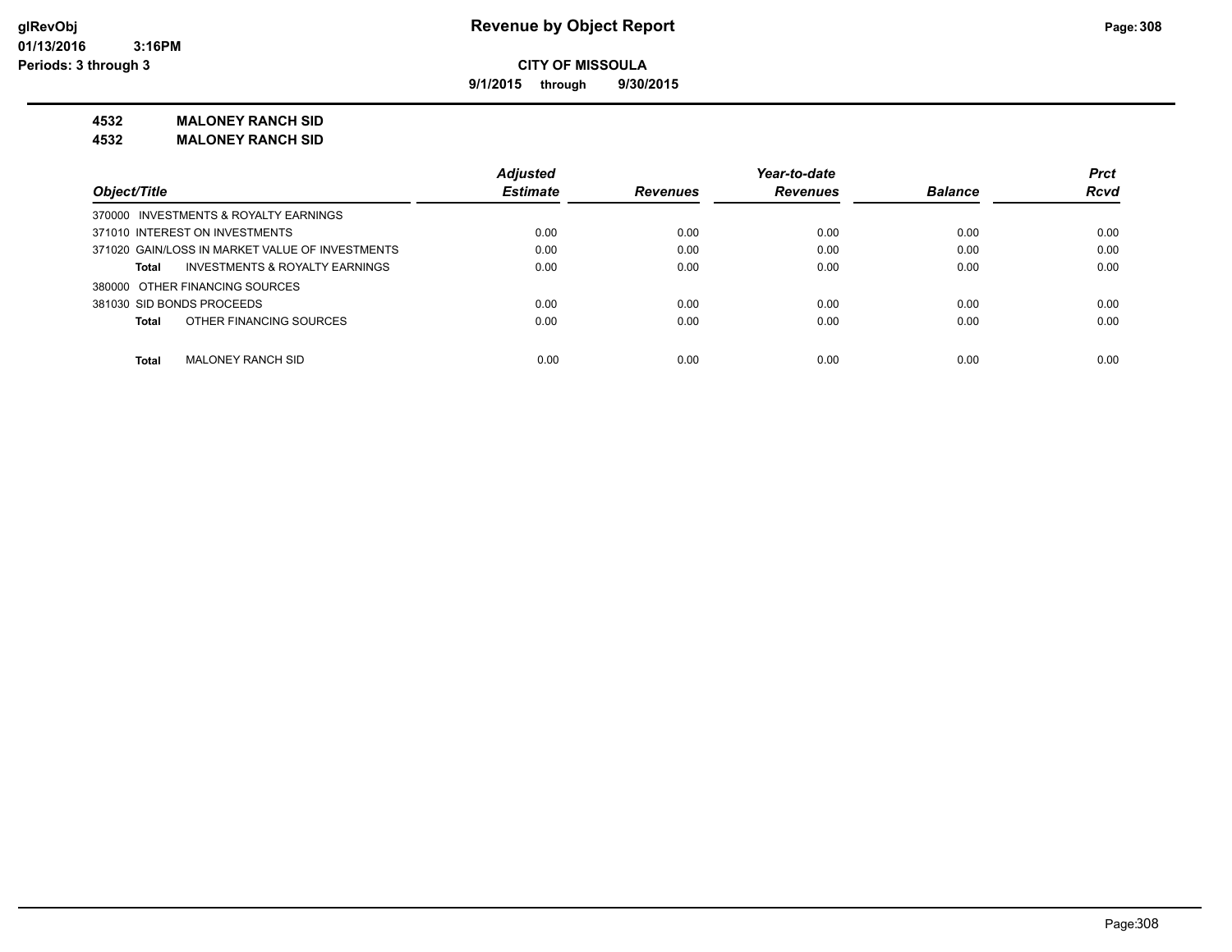**9/1/2015 through 9/30/2015**

### **4532 MALONEY RANCH SID**

**4532 MALONEY RANCH SID**

|                                                 | <b>Adjusted</b> |                 | Year-to-date    |                | <b>Prct</b> |
|-------------------------------------------------|-----------------|-----------------|-----------------|----------------|-------------|
| Object/Title                                    | <b>Estimate</b> | <b>Revenues</b> | <b>Revenues</b> | <b>Balance</b> | <b>Rcvd</b> |
| 370000 INVESTMENTS & ROYALTY EARNINGS           |                 |                 |                 |                |             |
| 371010 INTEREST ON INVESTMENTS                  | 0.00            | 0.00            | 0.00            | 0.00           | 0.00        |
| 371020 GAIN/LOSS IN MARKET VALUE OF INVESTMENTS | 0.00            | 0.00            | 0.00            | 0.00           | 0.00        |
| INVESTMENTS & ROYALTY EARNINGS<br>Total         | 0.00            | 0.00            | 0.00            | 0.00           | 0.00        |
| 380000 OTHER FINANCING SOURCES                  |                 |                 |                 |                |             |
| 381030 SID BONDS PROCEEDS                       | 0.00            | 0.00            | 0.00            | 0.00           | 0.00        |
| OTHER FINANCING SOURCES<br>Total                | 0.00            | 0.00            | 0.00            | 0.00           | 0.00        |
|                                                 |                 |                 |                 |                |             |
| <b>Total</b><br>MALONEY RANCH SID               | 0.00            | 0.00            | 0.00            | 0.00           | 0.00        |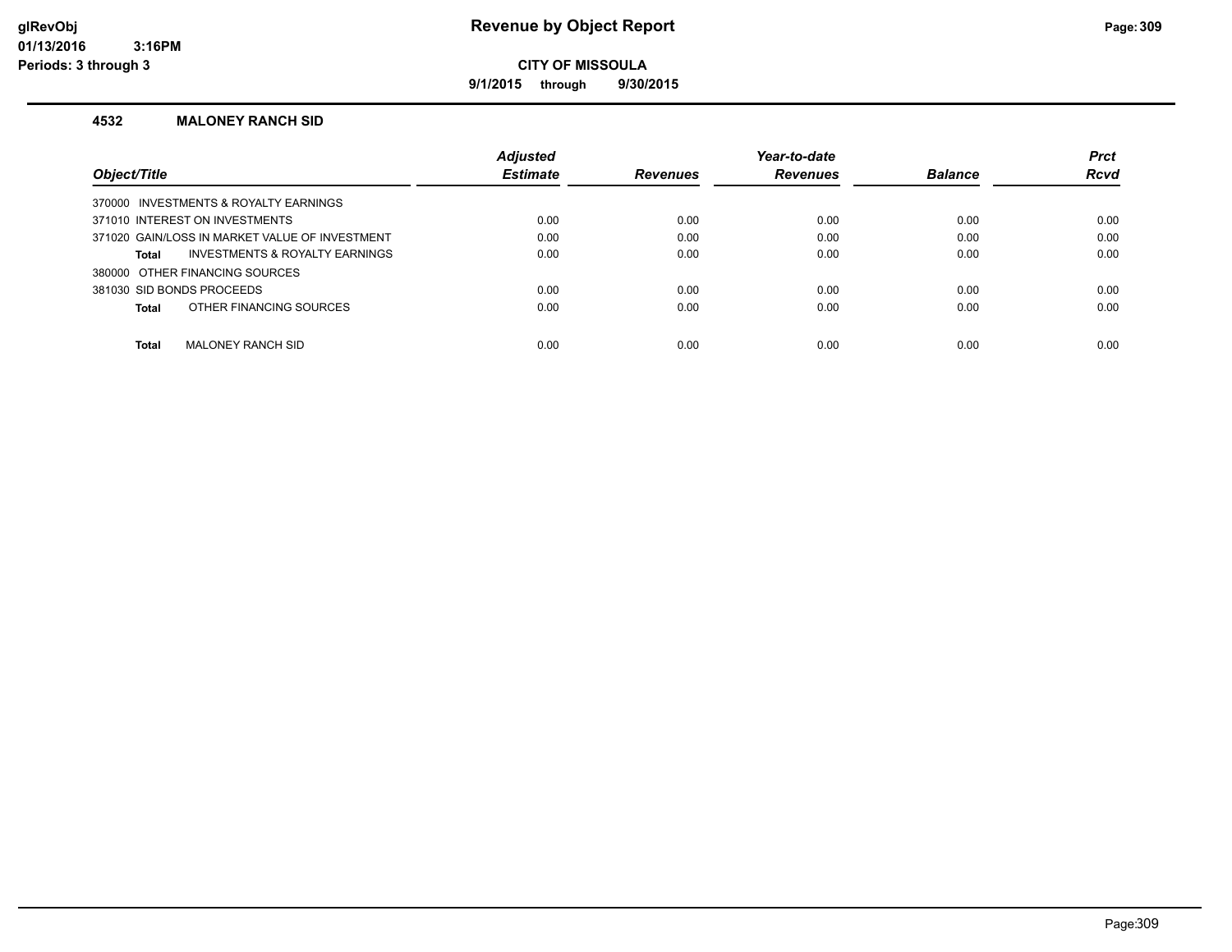### **glRevObj Revenue by Object Report Page:309**

**CITY OF MISSOULA**

**9/1/2015 through 9/30/2015**

#### **4532 MALONEY RANCH SID**

|                                                | <b>Adjusted</b> |                 | Year-to-date    |                | <b>Prct</b> |
|------------------------------------------------|-----------------|-----------------|-----------------|----------------|-------------|
| Object/Title                                   | <b>Estimate</b> | <b>Revenues</b> | <b>Revenues</b> | <b>Balance</b> | <b>Rcvd</b> |
| 370000 INVESTMENTS & ROYALTY EARNINGS          |                 |                 |                 |                |             |
| 371010 INTEREST ON INVESTMENTS                 | 0.00            | 0.00            | 0.00            | 0.00           | 0.00        |
| 371020 GAIN/LOSS IN MARKET VALUE OF INVESTMENT | 0.00            | 0.00            | 0.00            | 0.00           | 0.00        |
| INVESTMENTS & ROYALTY EARNINGS<br>Total        | 0.00            | 0.00            | 0.00            | 0.00           | 0.00        |
| 380000 OTHER FINANCING SOURCES                 |                 |                 |                 |                |             |
| 381030 SID BONDS PROCEEDS                      | 0.00            | 0.00            | 0.00            | 0.00           | 0.00        |
| OTHER FINANCING SOURCES<br>Total               | 0.00            | 0.00            | 0.00            | 0.00           | 0.00        |
|                                                |                 |                 |                 |                |             |
| <b>Total</b><br>MALONEY RANCH SID              | 0.00            | 0.00            | 0.00            | 0.00           | 0.00        |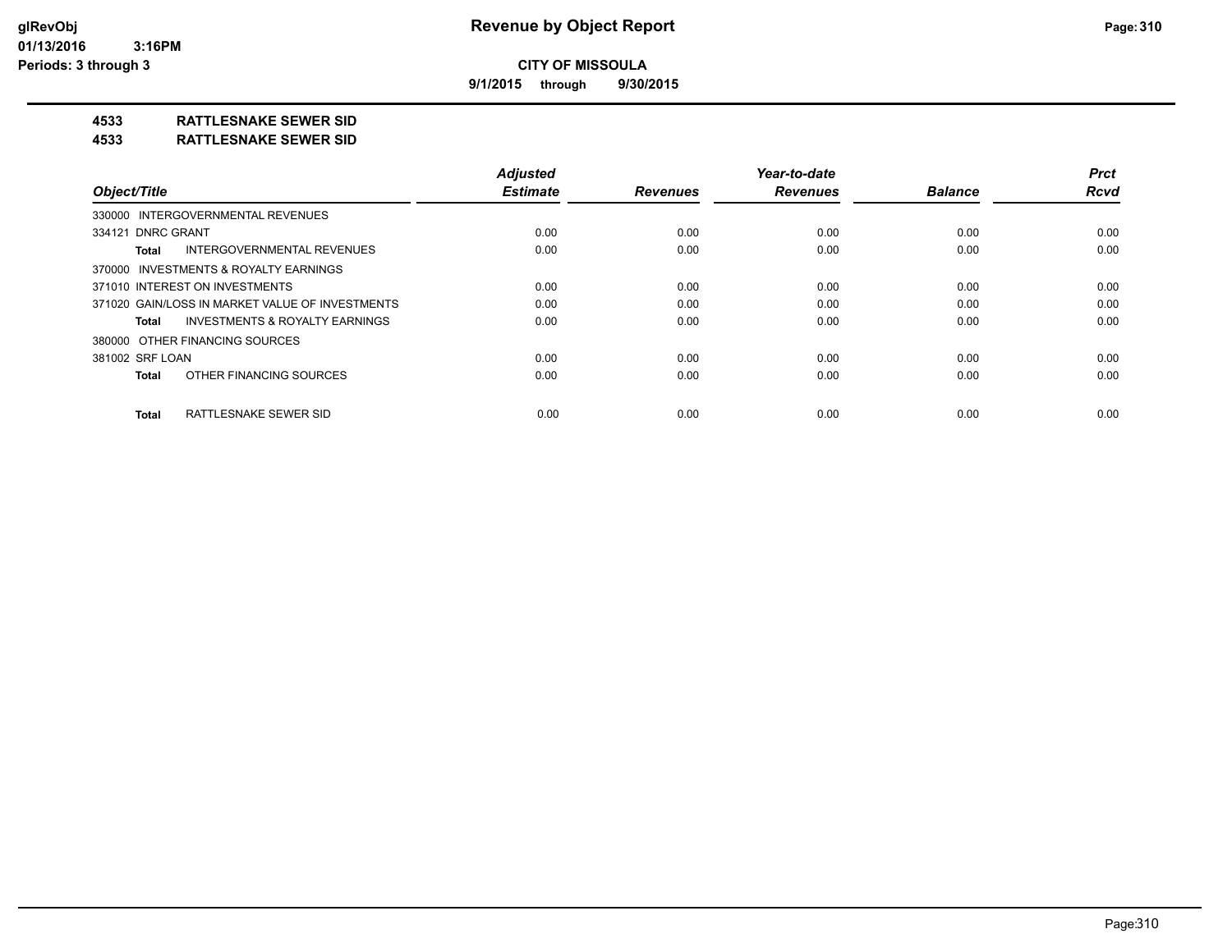**9/1/2015 through 9/30/2015**

### **4533 RATTLESNAKE SEWER SID**

#### **4533 RATTLESNAKE SEWER SID**

|                                                    | <b>Adjusted</b> |                 | Year-to-date    |                | <b>Prct</b> |
|----------------------------------------------------|-----------------|-----------------|-----------------|----------------|-------------|
| Object/Title                                       | <b>Estimate</b> | <b>Revenues</b> | <b>Revenues</b> | <b>Balance</b> | <b>Rcvd</b> |
| 330000 INTERGOVERNMENTAL REVENUES                  |                 |                 |                 |                |             |
| 334121 DNRC GRANT                                  | 0.00            | 0.00            | 0.00            | 0.00           | 0.00        |
| INTERGOVERNMENTAL REVENUES<br>Total                | 0.00            | 0.00            | 0.00            | 0.00           | 0.00        |
| 370000 INVESTMENTS & ROYALTY EARNINGS              |                 |                 |                 |                |             |
| 371010 INTEREST ON INVESTMENTS                     | 0.00            | 0.00            | 0.00            | 0.00           | 0.00        |
| 371020 GAIN/LOSS IN MARKET VALUE OF INVESTMENTS    | 0.00            | 0.00            | 0.00            | 0.00           | 0.00        |
| <b>INVESTMENTS &amp; ROYALTY EARNINGS</b><br>Total | 0.00            | 0.00            | 0.00            | 0.00           | 0.00        |
| 380000 OTHER FINANCING SOURCES                     |                 |                 |                 |                |             |
| 381002 SRF LOAN                                    | 0.00            | 0.00            | 0.00            | 0.00           | 0.00        |
| OTHER FINANCING SOURCES<br><b>Total</b>            | 0.00            | 0.00            | 0.00            | 0.00           | 0.00        |
| RATTLESNAKE SEWER SID<br><b>Total</b>              | 0.00            | 0.00            | 0.00            | 0.00           | 0.00        |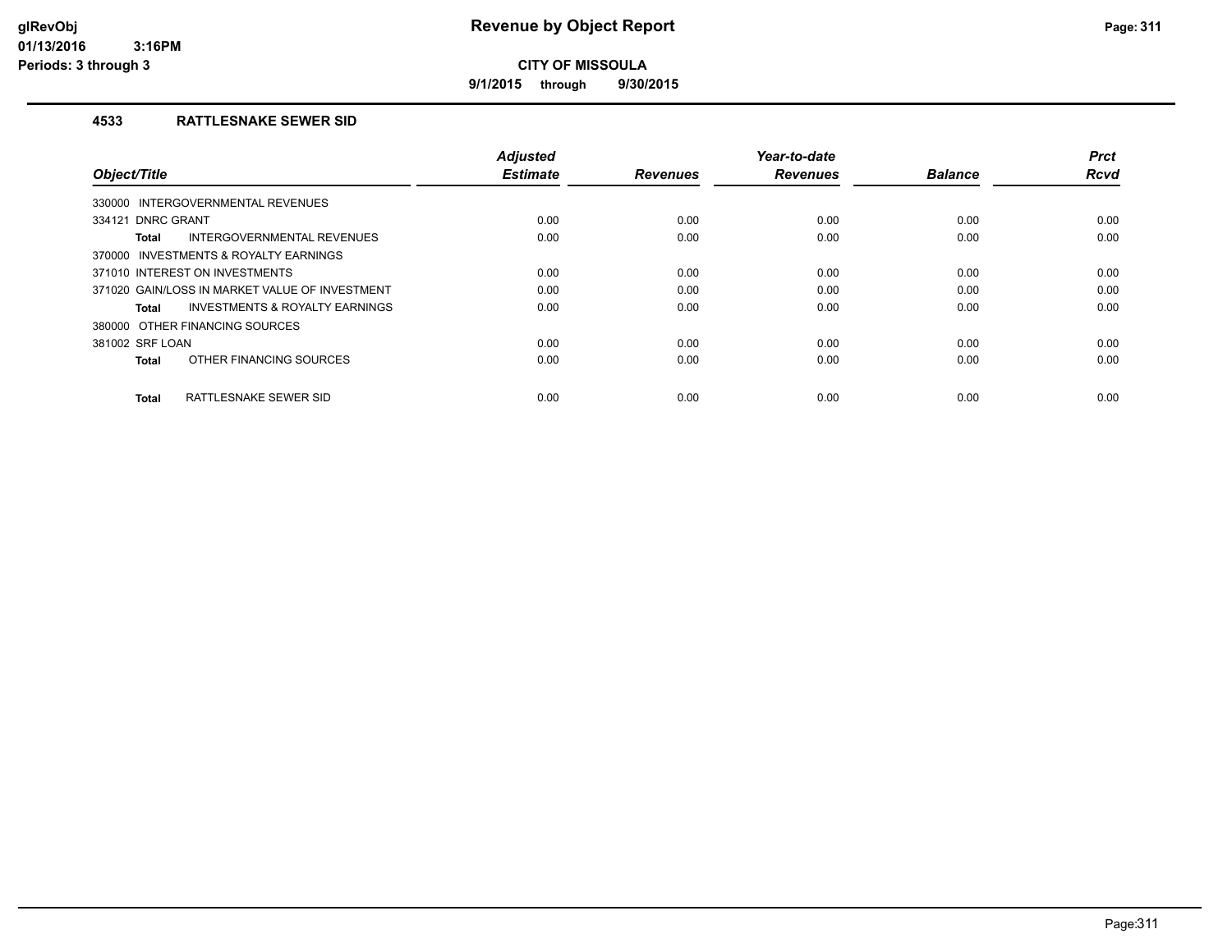**9/1/2015 through 9/30/2015**

### **4533 RATTLESNAKE SEWER SID**

| Object/Title                                   | <b>Adjusted</b><br><b>Estimate</b> | <b>Revenues</b> | Year-to-date<br><b>Revenues</b> | <b>Balance</b> | <b>Prct</b><br><b>Rcvd</b> |
|------------------------------------------------|------------------------------------|-----------------|---------------------------------|----------------|----------------------------|
| INTERGOVERNMENTAL REVENUES<br>330000           |                                    |                 |                                 |                |                            |
| 334121 DNRC GRANT                              | 0.00                               | 0.00            | 0.00                            | 0.00           | 0.00                       |
| INTERGOVERNMENTAL REVENUES<br>Total            | 0.00                               | 0.00            | 0.00                            | 0.00           | 0.00                       |
| 370000 INVESTMENTS & ROYALTY EARNINGS          |                                    |                 |                                 |                |                            |
| 371010 INTEREST ON INVESTMENTS                 | 0.00                               | 0.00            | 0.00                            | 0.00           | 0.00                       |
| 371020 GAIN/LOSS IN MARKET VALUE OF INVESTMENT | 0.00                               | 0.00            | 0.00                            | 0.00           | 0.00                       |
| INVESTMENTS & ROYALTY EARNINGS<br>Total        | 0.00                               | 0.00            | 0.00                            | 0.00           | 0.00                       |
| 380000 OTHER FINANCING SOURCES                 |                                    |                 |                                 |                |                            |
| 381002 SRF LOAN                                | 0.00                               | 0.00            | 0.00                            | 0.00           | 0.00                       |
| OTHER FINANCING SOURCES<br><b>Total</b>        | 0.00                               | 0.00            | 0.00                            | 0.00           | 0.00                       |
| RATTLESNAKE SEWER SID<br><b>Total</b>          | 0.00                               | 0.00            | 0.00                            | 0.00           | 0.00                       |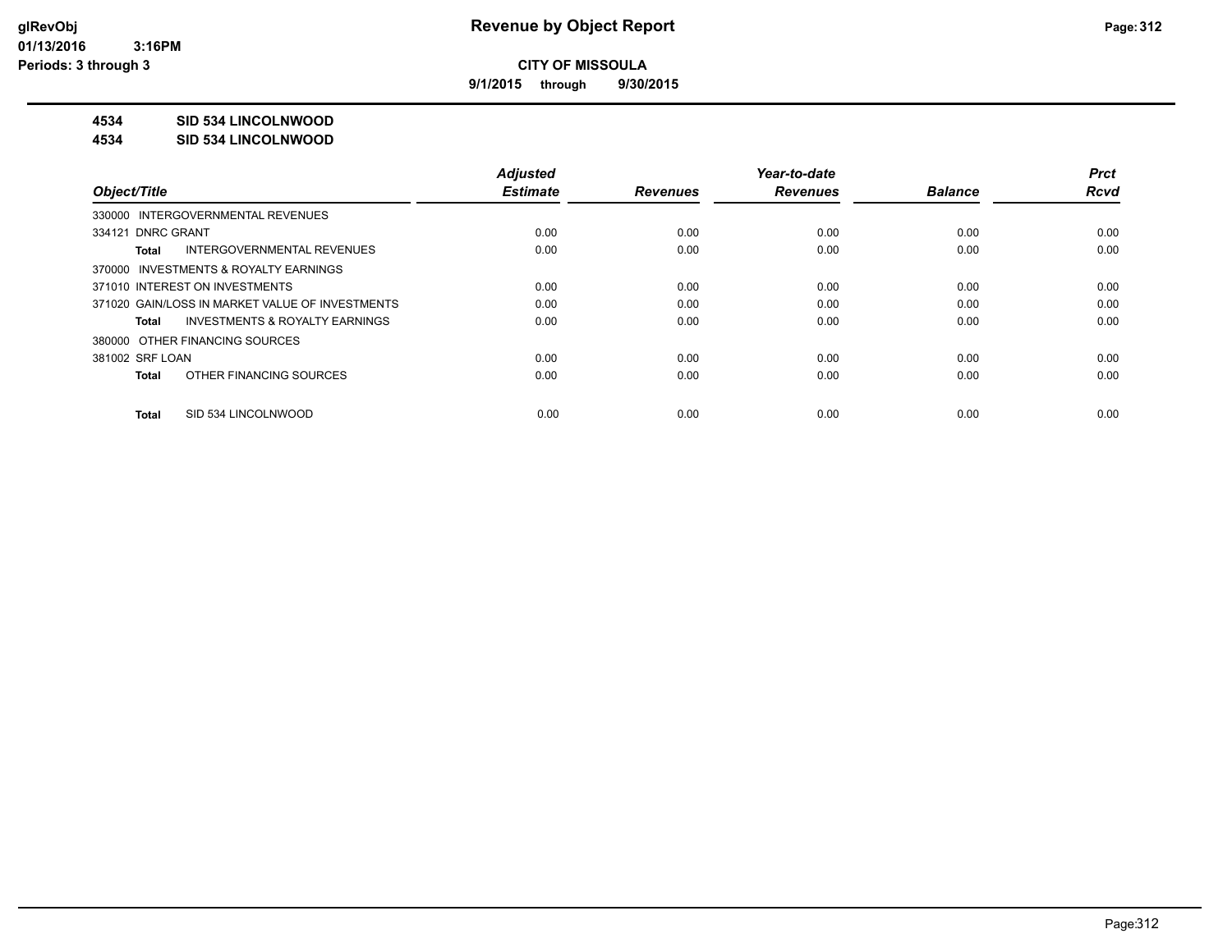**9/1/2015 through 9/30/2015**

### **4534 SID 534 LINCOLNWOOD**

#### **4534 SID 534 LINCOLNWOOD**

|                                                 | <b>Adjusted</b> |                 | Year-to-date    |                | <b>Prct</b> |
|-------------------------------------------------|-----------------|-----------------|-----------------|----------------|-------------|
| Object/Title                                    | <b>Estimate</b> | <b>Revenues</b> | <b>Revenues</b> | <b>Balance</b> | <b>Rcvd</b> |
| 330000 INTERGOVERNMENTAL REVENUES               |                 |                 |                 |                |             |
| 334121 DNRC GRANT                               | 0.00            | 0.00            | 0.00            | 0.00           | 0.00        |
| <b>INTERGOVERNMENTAL REVENUES</b><br>Total      | 0.00            | 0.00            | 0.00            | 0.00           | 0.00        |
| 370000 INVESTMENTS & ROYALTY EARNINGS           |                 |                 |                 |                |             |
| 371010 INTEREST ON INVESTMENTS                  | 0.00            | 0.00            | 0.00            | 0.00           | 0.00        |
| 371020 GAIN/LOSS IN MARKET VALUE OF INVESTMENTS | 0.00            | 0.00            | 0.00            | 0.00           | 0.00        |
| INVESTMENTS & ROYALTY EARNINGS<br>Total         | 0.00            | 0.00            | 0.00            | 0.00           | 0.00        |
| 380000 OTHER FINANCING SOURCES                  |                 |                 |                 |                |             |
| 381002 SRF LOAN                                 | 0.00            | 0.00            | 0.00            | 0.00           | 0.00        |
| OTHER FINANCING SOURCES<br>Total                | 0.00            | 0.00            | 0.00            | 0.00           | 0.00        |
|                                                 |                 |                 |                 |                |             |
| SID 534 LINCOLNWOOD<br>Total                    | 0.00            | 0.00            | 0.00            | 0.00           | 0.00        |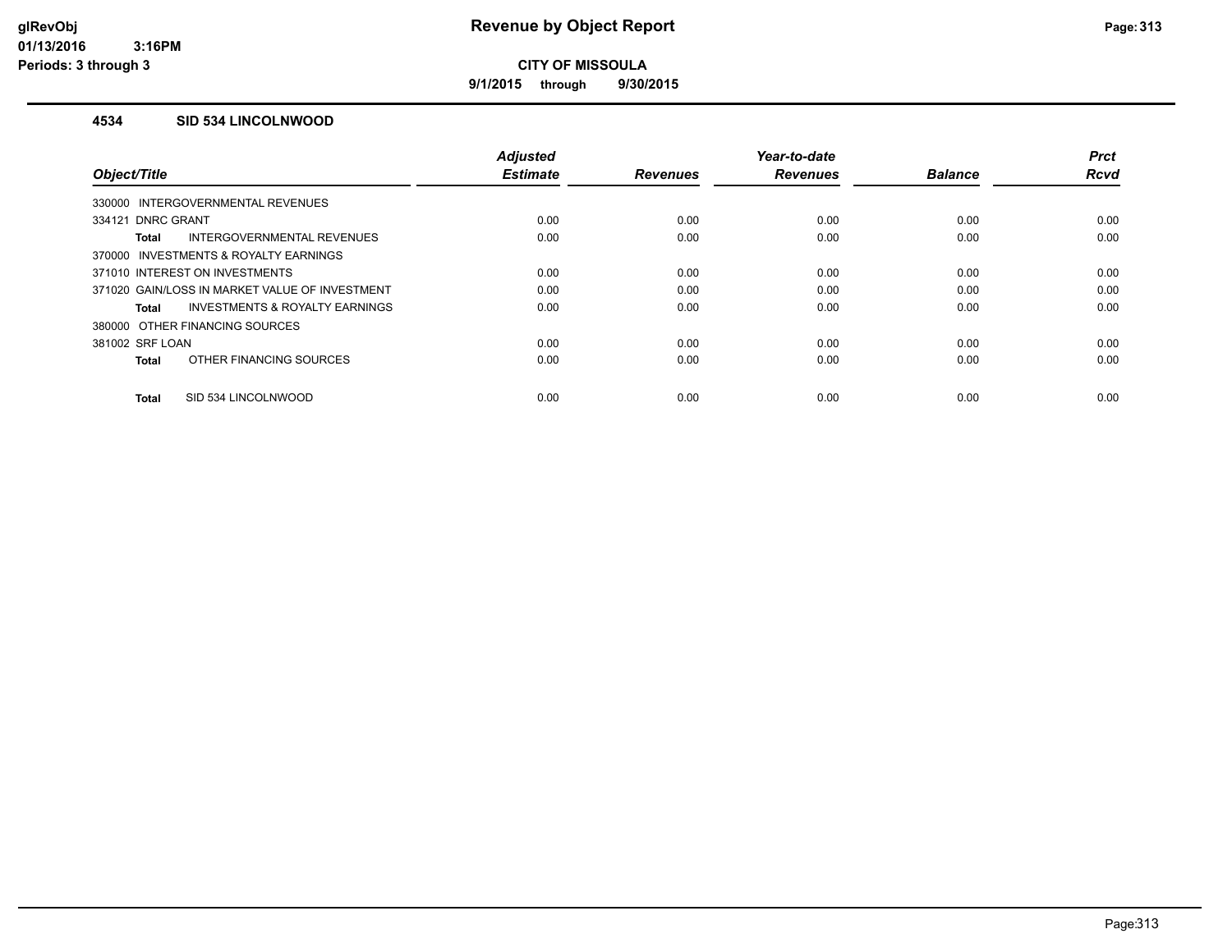**9/1/2015 through 9/30/2015**

### **4534 SID 534 LINCOLNWOOD**

|                                                | <b>Adjusted</b> |                 | Year-to-date    |                | <b>Prct</b> |
|------------------------------------------------|-----------------|-----------------|-----------------|----------------|-------------|
| Object/Title                                   | <b>Estimate</b> | <b>Revenues</b> | <b>Revenues</b> | <b>Balance</b> | <b>Rcvd</b> |
| 330000 INTERGOVERNMENTAL REVENUES              |                 |                 |                 |                |             |
| 334121 DNRC GRANT                              | 0.00            | 0.00            | 0.00            | 0.00           | 0.00        |
| INTERGOVERNMENTAL REVENUES<br><b>Total</b>     | 0.00            | 0.00            | 0.00            | 0.00           | 0.00        |
| 370000 INVESTMENTS & ROYALTY EARNINGS          |                 |                 |                 |                |             |
| 371010 INTEREST ON INVESTMENTS                 | 0.00            | 0.00            | 0.00            | 0.00           | 0.00        |
| 371020 GAIN/LOSS IN MARKET VALUE OF INVESTMENT | 0.00            | 0.00            | 0.00            | 0.00           | 0.00        |
| INVESTMENTS & ROYALTY EARNINGS<br>Total        | 0.00            | 0.00            | 0.00            | 0.00           | 0.00        |
| 380000 OTHER FINANCING SOURCES                 |                 |                 |                 |                |             |
| 381002 SRF LOAN                                | 0.00            | 0.00            | 0.00            | 0.00           | 0.00        |
| OTHER FINANCING SOURCES<br><b>Total</b>        | 0.00            | 0.00            | 0.00            | 0.00           | 0.00        |
| SID 534 LINCOLNWOOD<br><b>Total</b>            | 0.00            | 0.00            | 0.00            | 0.00           | 0.00        |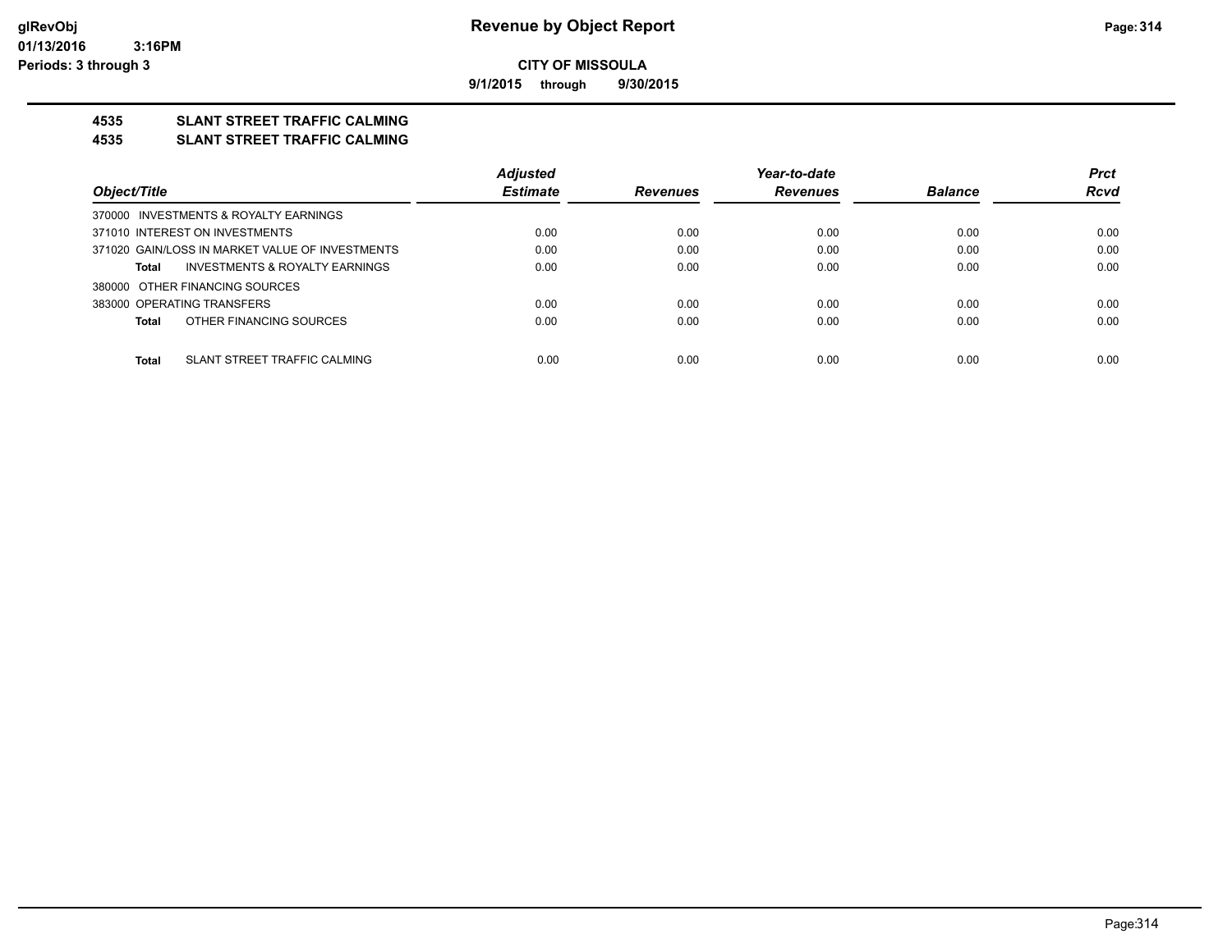**9/1/2015 through 9/30/2015**

### **4535 SLANT STREET TRAFFIC CALMING**

#### **4535 SLANT STREET TRAFFIC CALMING**

|                                                 | <b>Adjusted</b> |                 | Year-to-date    |                | <b>Prct</b> |
|-------------------------------------------------|-----------------|-----------------|-----------------|----------------|-------------|
| Object/Title                                    | <b>Estimate</b> | <b>Revenues</b> | <b>Revenues</b> | <b>Balance</b> | <b>Rcvd</b> |
| 370000 INVESTMENTS & ROYALTY EARNINGS           |                 |                 |                 |                |             |
| 371010 INTEREST ON INVESTMENTS                  | 0.00            | 0.00            | 0.00            | 0.00           | 0.00        |
| 371020 GAIN/LOSS IN MARKET VALUE OF INVESTMENTS | 0.00            | 0.00            | 0.00            | 0.00           | 0.00        |
| INVESTMENTS & ROYALTY EARNINGS<br>Total         | 0.00            | 0.00            | 0.00            | 0.00           | 0.00        |
| 380000 OTHER FINANCING SOURCES                  |                 |                 |                 |                |             |
| 383000 OPERATING TRANSFERS                      | 0.00            | 0.00            | 0.00            | 0.00           | 0.00        |
| OTHER FINANCING SOURCES<br>Total                | 0.00            | 0.00            | 0.00            | 0.00           | 0.00        |
|                                                 |                 |                 |                 |                |             |
| SLANT STREET TRAFFIC CALMING<br>Total           | 0.00            | 0.00            | 0.00            | 0.00           | 0.00        |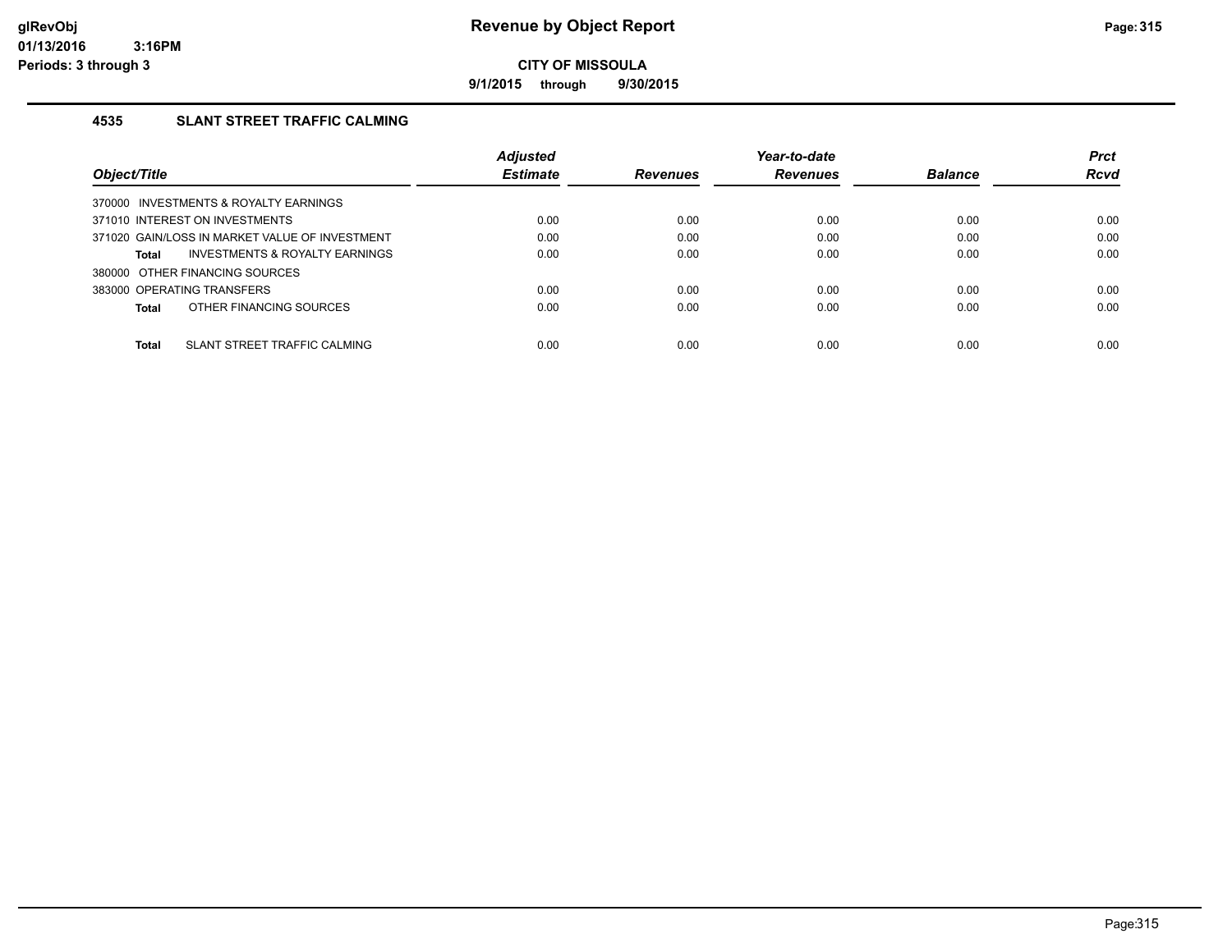**9/1/2015 through 9/30/2015**

### **4535 SLANT STREET TRAFFIC CALMING**

|                                                    | <b>Adjusted</b> |                 | Year-to-date    |                | <b>Prct</b> |
|----------------------------------------------------|-----------------|-----------------|-----------------|----------------|-------------|
| Object/Title                                       | <b>Estimate</b> | <b>Revenues</b> | <b>Revenues</b> | <b>Balance</b> | Rcvd        |
| 370000 INVESTMENTS & ROYALTY EARNINGS              |                 |                 |                 |                |             |
| 371010 INTEREST ON INVESTMENTS                     | 0.00            | 0.00            | 0.00            | 0.00           | 0.00        |
| 371020 GAIN/LOSS IN MARKET VALUE OF INVESTMENT     | 0.00            | 0.00            | 0.00            | 0.00           | 0.00        |
| <b>INVESTMENTS &amp; ROYALTY EARNINGS</b><br>Total | 0.00            | 0.00            | 0.00            | 0.00           | 0.00        |
| 380000 OTHER FINANCING SOURCES                     |                 |                 |                 |                |             |
| 383000 OPERATING TRANSFERS                         | 0.00            | 0.00            | 0.00            | 0.00           | 0.00        |
| OTHER FINANCING SOURCES<br>Total                   | 0.00            | 0.00            | 0.00            | 0.00           | 0.00        |
|                                                    |                 |                 |                 |                |             |
| <b>Total</b><br>SLANT STREET TRAFFIC CALMING       | 0.00            | 0.00            | 0.00            | 0.00           | 0.00        |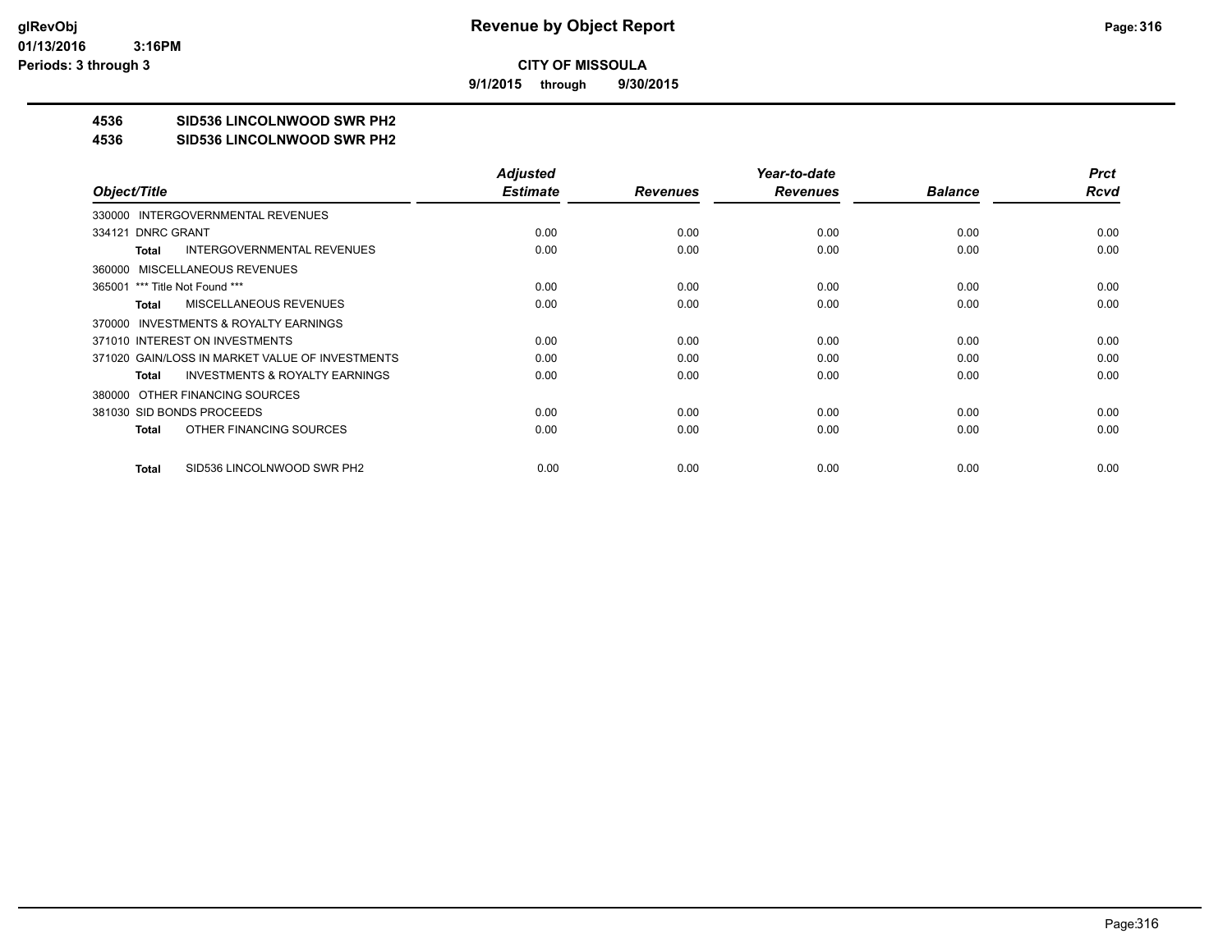**9/1/2015 through 9/30/2015**

# **4536 SID536 LINCOLNWOOD SWR PH2**

#### **4536 SID536 LINCOLNWOOD SWR PH2**

|                                                    | <b>Adjusted</b> |                 | Year-to-date    |                | <b>Prct</b> |
|----------------------------------------------------|-----------------|-----------------|-----------------|----------------|-------------|
| Object/Title                                       | <b>Estimate</b> | <b>Revenues</b> | <b>Revenues</b> | <b>Balance</b> | Rcvd        |
| 330000 INTERGOVERNMENTAL REVENUES                  |                 |                 |                 |                |             |
| 334121 DNRC GRANT                                  | 0.00            | 0.00            | 0.00            | 0.00           | 0.00        |
| <b>INTERGOVERNMENTAL REVENUES</b><br>Total         | 0.00            | 0.00            | 0.00            | 0.00           | 0.00        |
| 360000 MISCELLANEOUS REVENUES                      |                 |                 |                 |                |             |
| 365001 *** Title Not Found ***                     | 0.00            | 0.00            | 0.00            | 0.00           | 0.00        |
| <b>MISCELLANEOUS REVENUES</b><br>Total             | 0.00            | 0.00            | 0.00            | 0.00           | 0.00        |
| 370000 INVESTMENTS & ROYALTY EARNINGS              |                 |                 |                 |                |             |
| 371010 INTEREST ON INVESTMENTS                     | 0.00            | 0.00            | 0.00            | 0.00           | 0.00        |
| 371020 GAIN/LOSS IN MARKET VALUE OF INVESTMENTS    | 0.00            | 0.00            | 0.00            | 0.00           | 0.00        |
| <b>INVESTMENTS &amp; ROYALTY EARNINGS</b><br>Total | 0.00            | 0.00            | 0.00            | 0.00           | 0.00        |
| 380000 OTHER FINANCING SOURCES                     |                 |                 |                 |                |             |
| 381030 SID BONDS PROCEEDS                          | 0.00            | 0.00            | 0.00            | 0.00           | 0.00        |
| OTHER FINANCING SOURCES<br>Total                   | 0.00            | 0.00            | 0.00            | 0.00           | 0.00        |
|                                                    |                 |                 |                 |                |             |
| SID536 LINCOLNWOOD SWR PH2<br>Total                | 0.00            | 0.00            | 0.00            | 0.00           | 0.00        |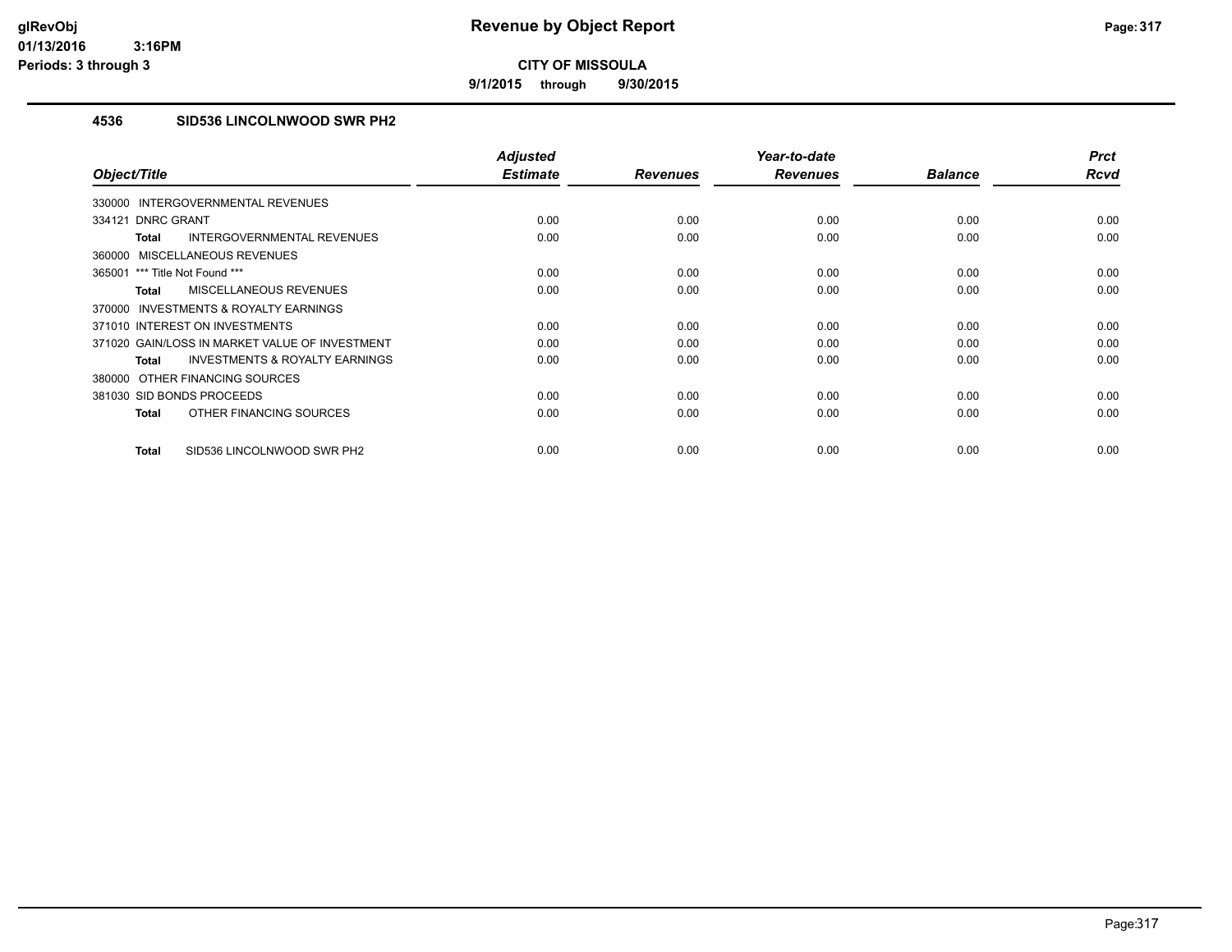**9/1/2015 through 9/30/2015**

### **4536 SID536 LINCOLNWOOD SWR PH2**

| Object/Title                                              | <b>Adjusted</b><br><b>Estimate</b> | <b>Revenues</b> | Year-to-date<br><b>Revenues</b> | <b>Balance</b> | <b>Prct</b><br><b>Rcvd</b> |
|-----------------------------------------------------------|------------------------------------|-----------------|---------------------------------|----------------|----------------------------|
| INTERGOVERNMENTAL REVENUES<br>330000                      |                                    |                 |                                 |                |                            |
| 334121 DNRC GRANT                                         | 0.00                               | 0.00            | 0.00                            | 0.00           | 0.00                       |
|                                                           |                                    |                 |                                 |                |                            |
| INTERGOVERNMENTAL REVENUES<br><b>Total</b>                | 0.00                               | 0.00            | 0.00                            | 0.00           | 0.00                       |
| MISCELLANEOUS REVENUES<br>360000                          |                                    |                 |                                 |                |                            |
| 365001 *** Title Not Found ***                            | 0.00                               | 0.00            | 0.00                            | 0.00           | 0.00                       |
| MISCELLANEOUS REVENUES<br><b>Total</b>                    | 0.00                               | 0.00            | 0.00                            | 0.00           | 0.00                       |
| INVESTMENTS & ROYALTY EARNINGS<br>370000                  |                                    |                 |                                 |                |                            |
| 371010 INTEREST ON INVESTMENTS                            | 0.00                               | 0.00            | 0.00                            | 0.00           | 0.00                       |
| 371020 GAIN/LOSS IN MARKET VALUE OF INVESTMENT            | 0.00                               | 0.00            | 0.00                            | 0.00           | 0.00                       |
| <b>INVESTMENTS &amp; ROYALTY EARNINGS</b><br><b>Total</b> | 0.00                               | 0.00            | 0.00                            | 0.00           | 0.00                       |
| 380000 OTHER FINANCING SOURCES                            |                                    |                 |                                 |                |                            |
| 381030 SID BONDS PROCEEDS                                 | 0.00                               | 0.00            | 0.00                            | 0.00           | 0.00                       |
| OTHER FINANCING SOURCES<br><b>Total</b>                   | 0.00                               | 0.00            | 0.00                            | 0.00           | 0.00                       |
| SID536 LINCOLNWOOD SWR PH2<br><b>Total</b>                | 0.00                               | 0.00            | 0.00                            | 0.00           | 0.00                       |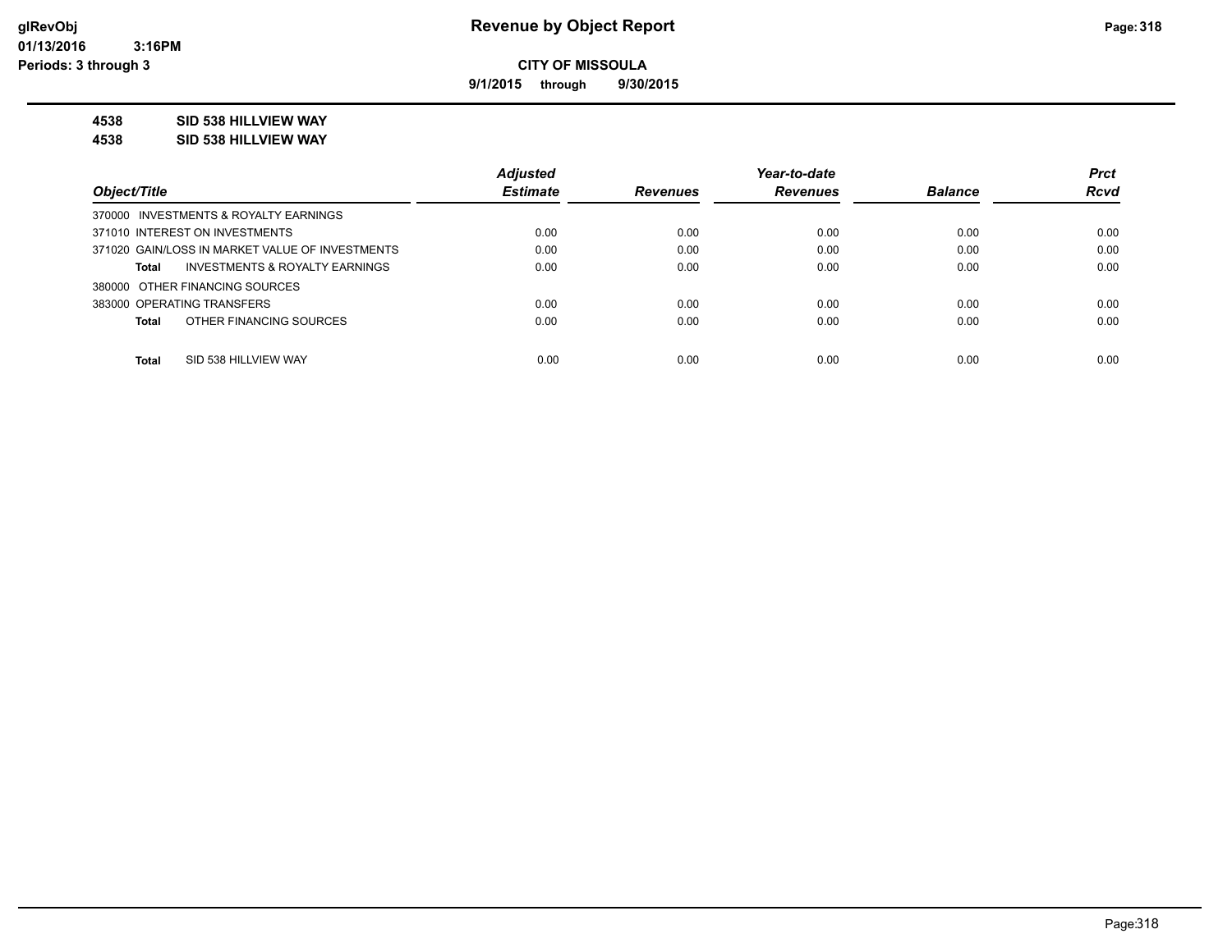**9/1/2015 through 9/30/2015**

### **4538 SID 538 HILLVIEW WAY**

**4538 SID 538 HILLVIEW WAY**

|                                                    | <b>Adjusted</b> |                 | Year-to-date    |                | <b>Prct</b> |
|----------------------------------------------------|-----------------|-----------------|-----------------|----------------|-------------|
| Object/Title                                       | <b>Estimate</b> | <b>Revenues</b> | <b>Revenues</b> | <b>Balance</b> | <b>Rcvd</b> |
| 370000 INVESTMENTS & ROYALTY EARNINGS              |                 |                 |                 |                |             |
| 371010 INTEREST ON INVESTMENTS                     | 0.00            | 0.00            | 0.00            | 0.00           | 0.00        |
| 371020 GAIN/LOSS IN MARKET VALUE OF INVESTMENTS    | 0.00            | 0.00            | 0.00            | 0.00           | 0.00        |
| <b>INVESTMENTS &amp; ROYALTY EARNINGS</b><br>Total | 0.00            | 0.00            | 0.00            | 0.00           | 0.00        |
| 380000 OTHER FINANCING SOURCES                     |                 |                 |                 |                |             |
| 383000 OPERATING TRANSFERS                         | 0.00            | 0.00            | 0.00            | 0.00           | 0.00        |
| OTHER FINANCING SOURCES<br><b>Total</b>            | 0.00            | 0.00            | 0.00            | 0.00           | 0.00        |
|                                                    |                 |                 |                 |                |             |
| <b>Total</b><br>SID 538 HILLVIEW WAY               | 0.00            | 0.00            | 0.00            | 0.00           | 0.00        |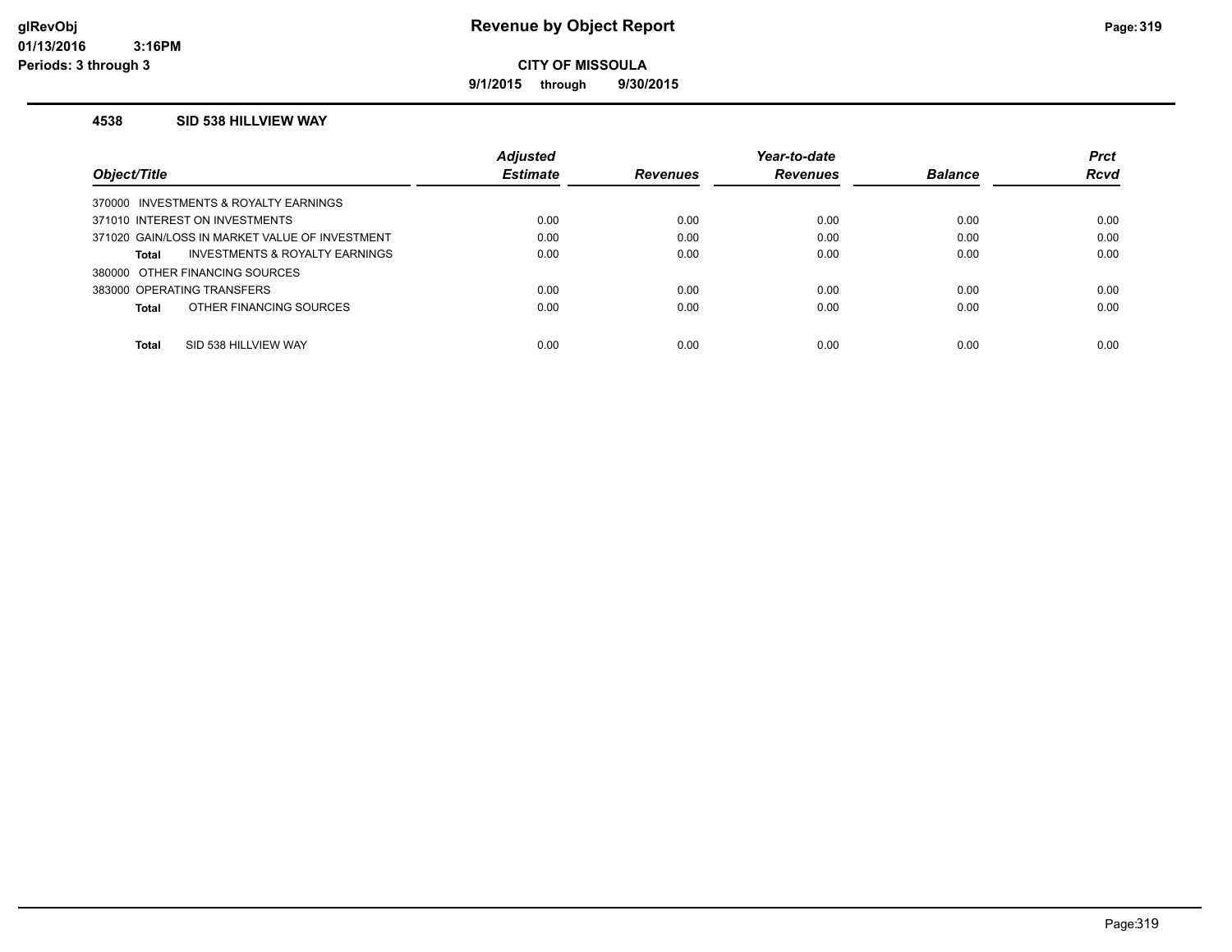**9/1/2015 through 9/30/2015**

#### **4538 SID 538 HILLVIEW WAY**

|                                                | <b>Adjusted</b> |                 | Year-to-date    |                | <b>Prct</b> |
|------------------------------------------------|-----------------|-----------------|-----------------|----------------|-------------|
| Object/Title                                   | <b>Estimate</b> | <b>Revenues</b> | <b>Revenues</b> | <b>Balance</b> | <b>Rcvd</b> |
| 370000 INVESTMENTS & ROYALTY EARNINGS          |                 |                 |                 |                |             |
| 371010 INTEREST ON INVESTMENTS                 | 0.00            | 0.00            | 0.00            | 0.00           | 0.00        |
| 371020 GAIN/LOSS IN MARKET VALUE OF INVESTMENT | 0.00            | 0.00            | 0.00            | 0.00           | 0.00        |
| INVESTMENTS & ROYALTY EARNINGS<br>Total        | 0.00            | 0.00            | 0.00            | 0.00           | 0.00        |
| 380000 OTHER FINANCING SOURCES                 |                 |                 |                 |                |             |
| 383000 OPERATING TRANSFERS                     | 0.00            | 0.00            | 0.00            | 0.00           | 0.00        |
| OTHER FINANCING SOURCES<br>Total               | 0.00            | 0.00            | 0.00            | 0.00           | 0.00        |
|                                                |                 |                 |                 |                |             |
| Total<br>SID 538 HILLVIEW WAY                  | 0.00            | 0.00            | 0.00            | 0.00           | 0.00        |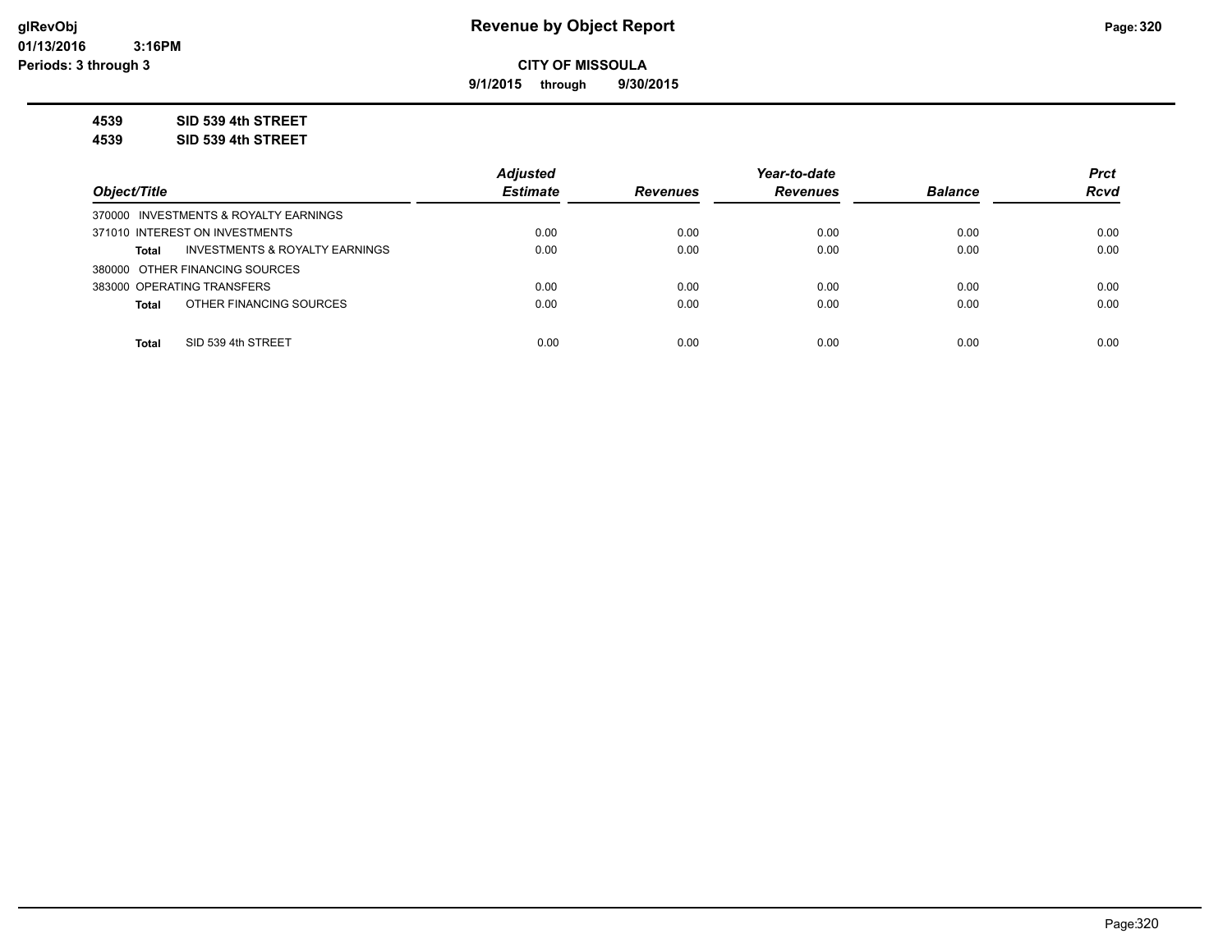**9/1/2015 through 9/30/2015**

**4539 SID 539 4th STREET**

**4539 SID 539 4th STREET**

|                                                | <b>Adjusted</b> |                 | Year-to-date    |                | <b>Prct</b> |
|------------------------------------------------|-----------------|-----------------|-----------------|----------------|-------------|
| Object/Title                                   | <b>Estimate</b> | <b>Revenues</b> | <b>Revenues</b> | <b>Balance</b> | <b>Rcvd</b> |
| 370000 INVESTMENTS & ROYALTY EARNINGS          |                 |                 |                 |                |             |
| 371010 INTEREST ON INVESTMENTS                 | 0.00            | 0.00            | 0.00            | 0.00           | 0.00        |
| INVESTMENTS & ROYALTY EARNINGS<br><b>Total</b> | 0.00            | 0.00            | 0.00            | 0.00           | 0.00        |
| 380000 OTHER FINANCING SOURCES                 |                 |                 |                 |                |             |
| 383000 OPERATING TRANSFERS                     | 0.00            | 0.00            | 0.00            | 0.00           | 0.00        |
| OTHER FINANCING SOURCES<br><b>Total</b>        | 0.00            | 0.00            | 0.00            | 0.00           | 0.00        |
|                                                |                 |                 |                 |                |             |
| SID 539 4th STREET<br><b>Total</b>             | 0.00            | 0.00            | 0.00            | 0.00           | 0.00        |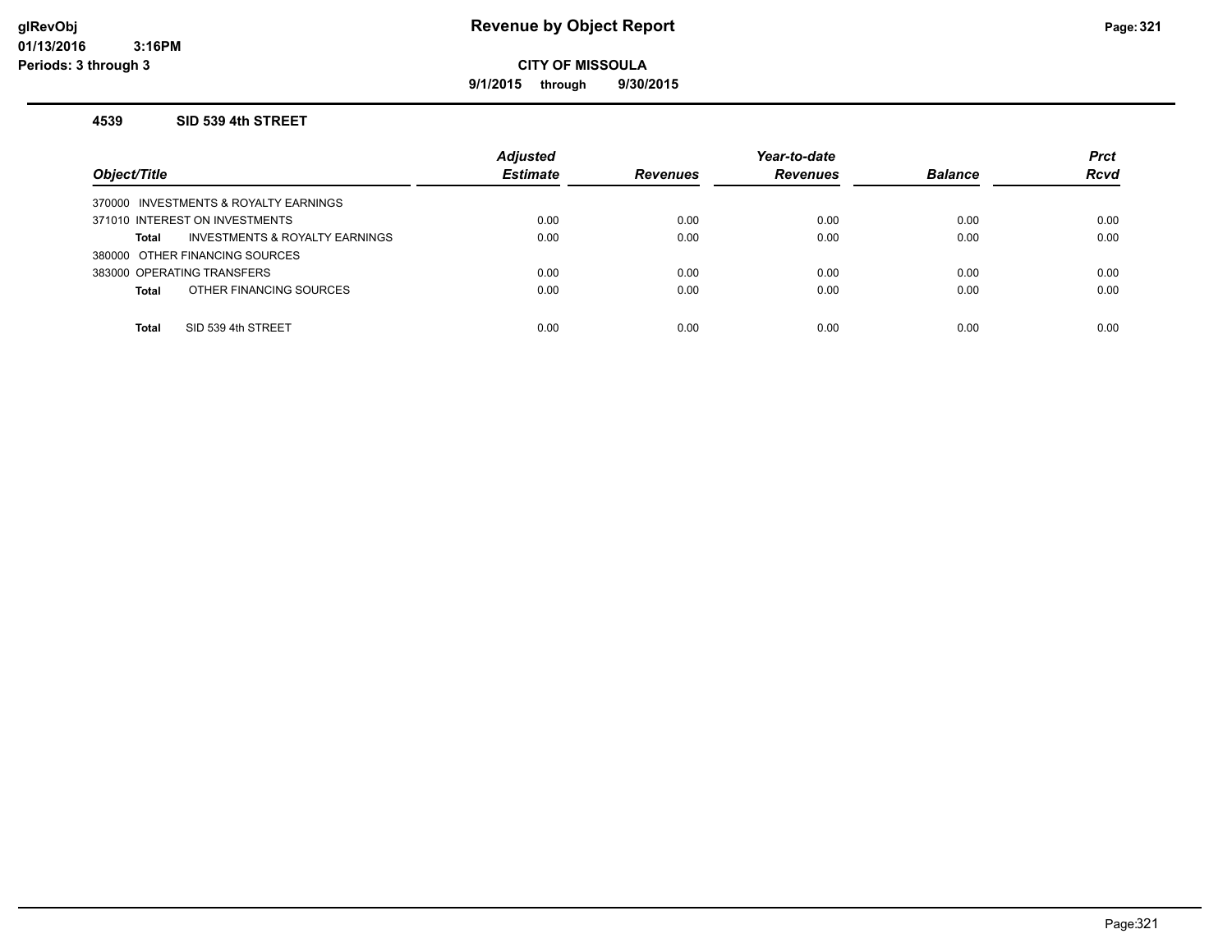### **glRevObj Revenue by Object Report Page:321**

**CITY OF MISSOULA**

**9/1/2015 through 9/30/2015**

#### **4539 SID 539 4th STREET**

| Object/Title                            | <b>Adjusted</b><br><b>Estimate</b> | <b>Revenues</b> | Year-to-date<br><b>Revenues</b> | <b>Balance</b> | <b>Prct</b><br><b>Rcvd</b> |
|-----------------------------------------|------------------------------------|-----------------|---------------------------------|----------------|----------------------------|
| 370000 INVESTMENTS & ROYALTY EARNINGS   |                                    |                 |                                 |                |                            |
| 371010 INTEREST ON INVESTMENTS          | 0.00                               | 0.00            | 0.00                            | 0.00           | 0.00                       |
| INVESTMENTS & ROYALTY EARNINGS<br>Total | 0.00                               | 0.00            | 0.00                            | 0.00           | 0.00                       |
| 380000 OTHER FINANCING SOURCES          |                                    |                 |                                 |                |                            |
| 383000 OPERATING TRANSFERS              | 0.00                               | 0.00            | 0.00                            | 0.00           | 0.00                       |
| OTHER FINANCING SOURCES<br>Total        | 0.00                               | 0.00            | 0.00                            | 0.00           | 0.00                       |
|                                         |                                    |                 |                                 |                |                            |
| SID 539 4th STREET<br><b>Total</b>      | 0.00                               | 0.00            | 0.00                            | 0.00           | 0.00                       |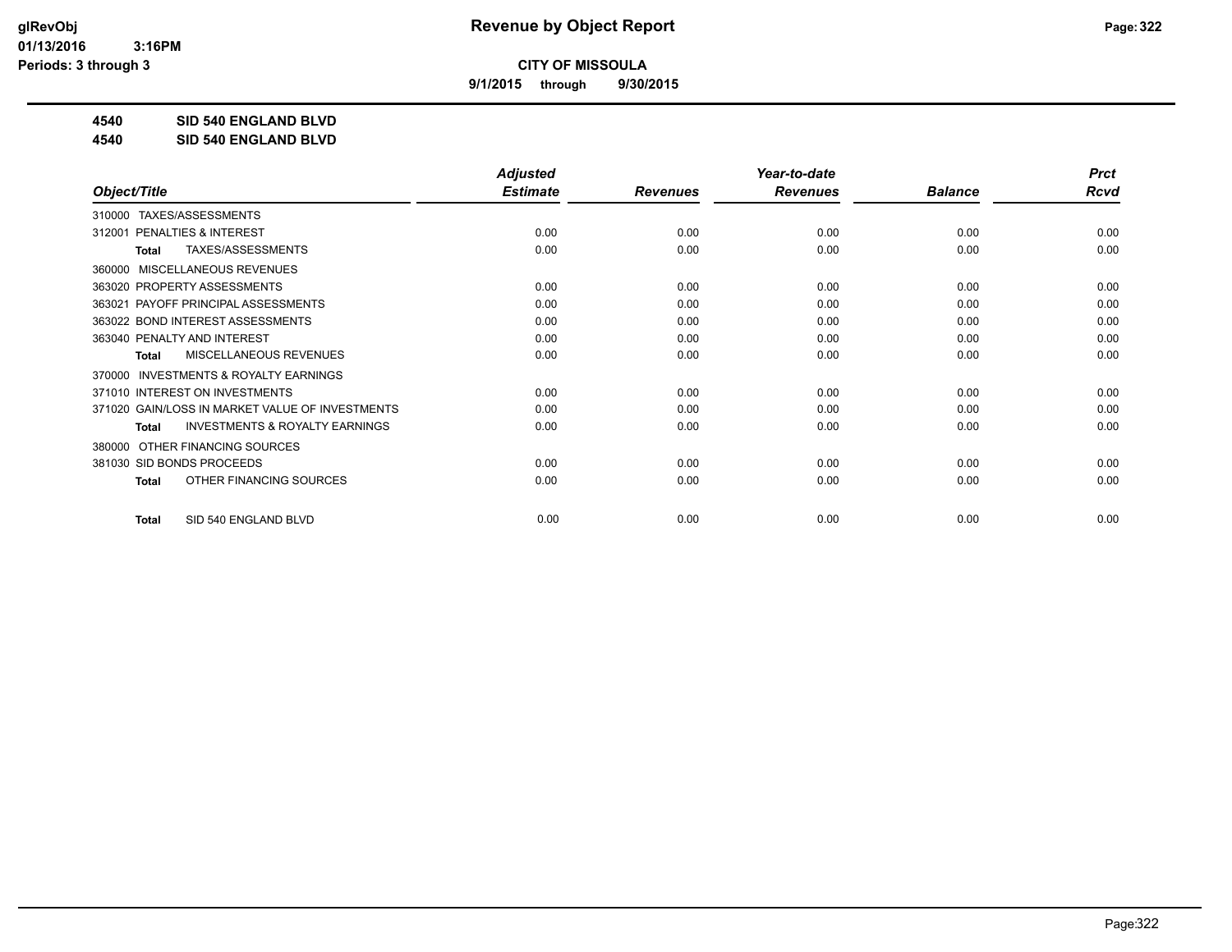**9/1/2015 through 9/30/2015**

**4540 SID 540 ENGLAND BLVD**

**4540 SID 540 ENGLAND BLVD**

|                                                     | <b>Adjusted</b> |                 | Year-to-date    |                | <b>Prct</b> |
|-----------------------------------------------------|-----------------|-----------------|-----------------|----------------|-------------|
| Object/Title                                        | <b>Estimate</b> | <b>Revenues</b> | <b>Revenues</b> | <b>Balance</b> | <b>Rcvd</b> |
| TAXES/ASSESSMENTS<br>310000                         |                 |                 |                 |                |             |
| PENALTIES & INTEREST<br>312001                      | 0.00            | 0.00            | 0.00            | 0.00           | 0.00        |
| TAXES/ASSESSMENTS<br>Total                          | 0.00            | 0.00            | 0.00            | 0.00           | 0.00        |
| MISCELLANEOUS REVENUES<br>360000                    |                 |                 |                 |                |             |
| 363020 PROPERTY ASSESSMENTS                         | 0.00            | 0.00            | 0.00            | 0.00           | 0.00        |
| PAYOFF PRINCIPAL ASSESSMENTS<br>363021              | 0.00            | 0.00            | 0.00            | 0.00           | 0.00        |
| 363022 BOND INTEREST ASSESSMENTS                    | 0.00            | 0.00            | 0.00            | 0.00           | 0.00        |
| 363040 PENALTY AND INTEREST                         | 0.00            | 0.00            | 0.00            | 0.00           | 0.00        |
| MISCELLANEOUS REVENUES<br>Total                     | 0.00            | 0.00            | 0.00            | 0.00           | 0.00        |
| <b>INVESTMENTS &amp; ROYALTY EARNINGS</b><br>370000 |                 |                 |                 |                |             |
| 371010 INTEREST ON INVESTMENTS                      | 0.00            | 0.00            | 0.00            | 0.00           | 0.00        |
| 371020 GAIN/LOSS IN MARKET VALUE OF INVESTMENTS     | 0.00            | 0.00            | 0.00            | 0.00           | 0.00        |
| <b>INVESTMENTS &amp; ROYALTY EARNINGS</b><br>Total  | 0.00            | 0.00            | 0.00            | 0.00           | 0.00        |
| OTHER FINANCING SOURCES<br>380000                   |                 |                 |                 |                |             |
| 381030 SID BONDS PROCEEDS                           | 0.00            | 0.00            | 0.00            | 0.00           | 0.00        |
| OTHER FINANCING SOURCES<br><b>Total</b>             | 0.00            | 0.00            | 0.00            | 0.00           | 0.00        |
| SID 540 ENGLAND BLVD<br><b>Total</b>                | 0.00            | 0.00            | 0.00            | 0.00           | 0.00        |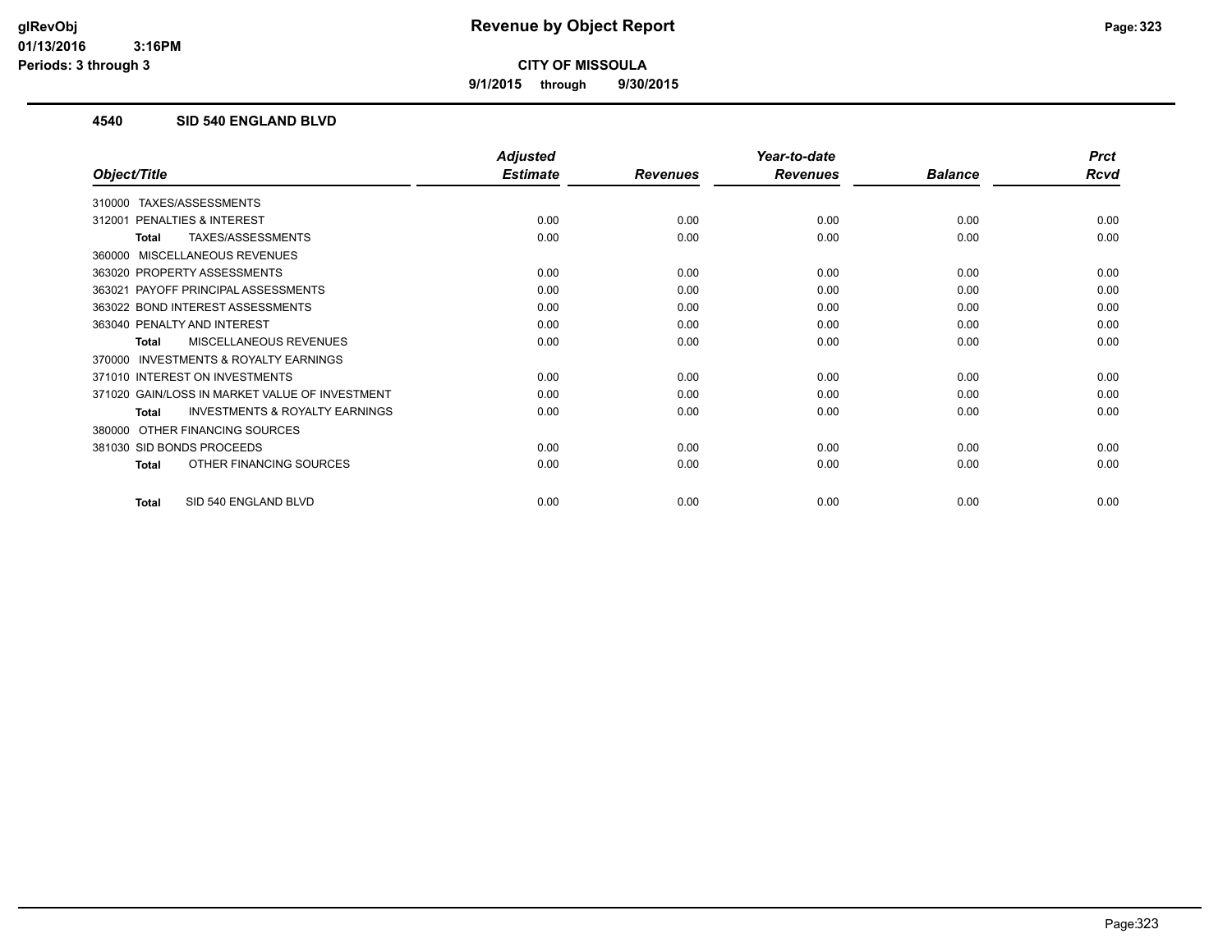**9/1/2015 through 9/30/2015**

### **4540 SID 540 ENGLAND BLVD**

|                                                    | <b>Adjusted</b> |                 | Year-to-date    |                | <b>Prct</b> |
|----------------------------------------------------|-----------------|-----------------|-----------------|----------------|-------------|
| Object/Title                                       | <b>Estimate</b> | <b>Revenues</b> | <b>Revenues</b> | <b>Balance</b> | <b>Rcvd</b> |
| TAXES/ASSESSMENTS<br>310000                        |                 |                 |                 |                |             |
| 312001 PENALTIES & INTEREST                        | 0.00            | 0.00            | 0.00            | 0.00           | 0.00        |
| TAXES/ASSESSMENTS<br><b>Total</b>                  | 0.00            | 0.00            | 0.00            | 0.00           | 0.00        |
| 360000 MISCELLANEOUS REVENUES                      |                 |                 |                 |                |             |
| 363020 PROPERTY ASSESSMENTS                        | 0.00            | 0.00            | 0.00            | 0.00           | 0.00        |
| 363021 PAYOFF PRINCIPAL ASSESSMENTS                | 0.00            | 0.00            | 0.00            | 0.00           | 0.00        |
| 363022 BOND INTEREST ASSESSMENTS                   | 0.00            | 0.00            | 0.00            | 0.00           | 0.00        |
| 363040 PENALTY AND INTEREST                        | 0.00            | 0.00            | 0.00            | 0.00           | 0.00        |
| <b>MISCELLANEOUS REVENUES</b><br>Total             | 0.00            | 0.00            | 0.00            | 0.00           | 0.00        |
| 370000 INVESTMENTS & ROYALTY EARNINGS              |                 |                 |                 |                |             |
| 371010 INTEREST ON INVESTMENTS                     | 0.00            | 0.00            | 0.00            | 0.00           | 0.00        |
| 371020 GAIN/LOSS IN MARKET VALUE OF INVESTMENT     | 0.00            | 0.00            | 0.00            | 0.00           | 0.00        |
| <b>INVESTMENTS &amp; ROYALTY EARNINGS</b><br>Total | 0.00            | 0.00            | 0.00            | 0.00           | 0.00        |
| 380000 OTHER FINANCING SOURCES                     |                 |                 |                 |                |             |
| 381030 SID BONDS PROCEEDS                          | 0.00            | 0.00            | 0.00            | 0.00           | 0.00        |
| OTHER FINANCING SOURCES<br>Total                   | 0.00            | 0.00            | 0.00            | 0.00           | 0.00        |
| SID 540 ENGLAND BLVD<br>Total                      | 0.00            | 0.00            | 0.00            | 0.00           | 0.00        |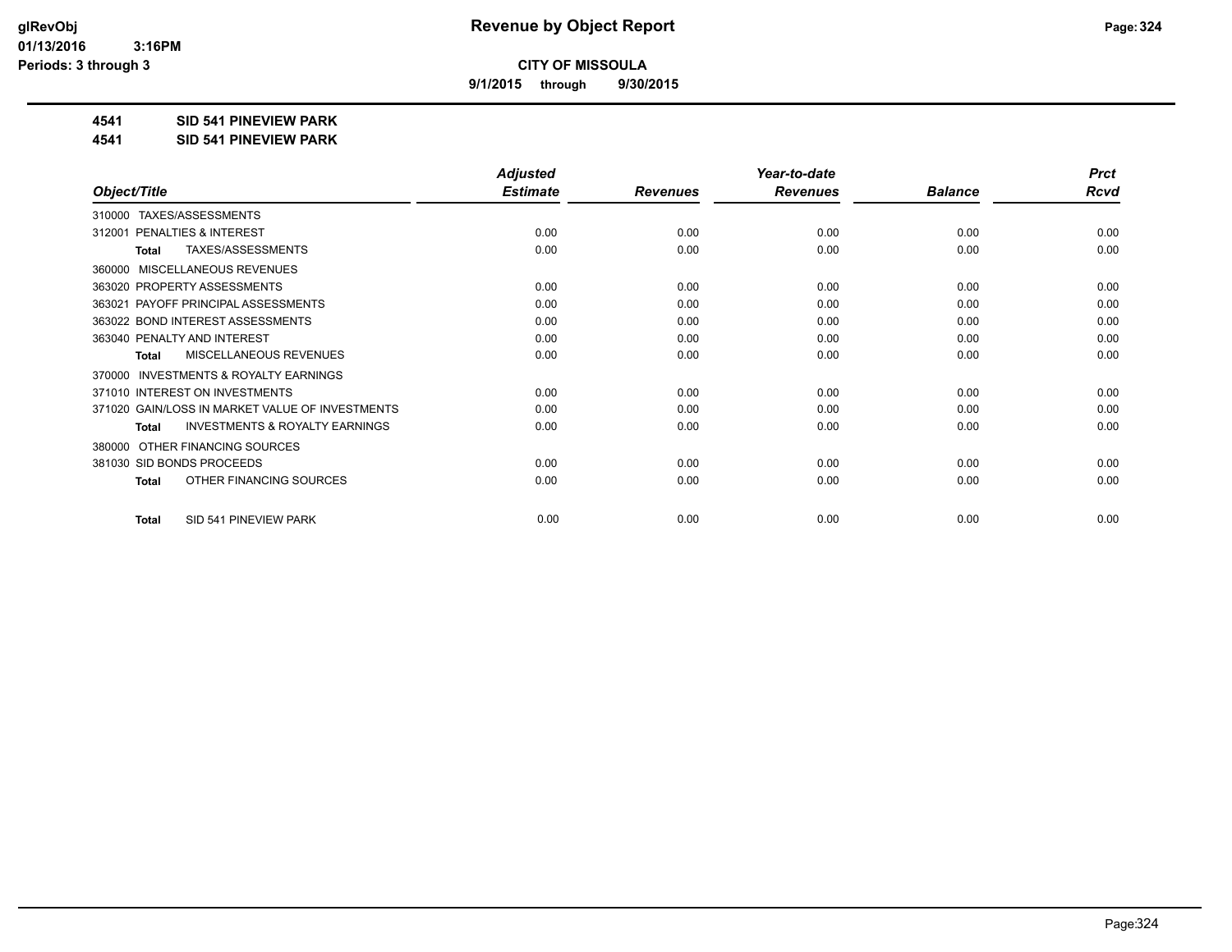**9/1/2015 through 9/30/2015**

### **4541 SID 541 PINEVIEW PARK**

**4541 SID 541 PINEVIEW PARK**

|                                                           | <b>Adjusted</b> |                 | Year-to-date    |                | <b>Prct</b> |
|-----------------------------------------------------------|-----------------|-----------------|-----------------|----------------|-------------|
| Object/Title                                              | <b>Estimate</b> | <b>Revenues</b> | <b>Revenues</b> | <b>Balance</b> | <b>Rcvd</b> |
| TAXES/ASSESSMENTS<br>310000                               |                 |                 |                 |                |             |
| <b>PENALTIES &amp; INTEREST</b><br>312001                 | 0.00            | 0.00            | 0.00            | 0.00           | 0.00        |
| TAXES/ASSESSMENTS<br><b>Total</b>                         | 0.00            | 0.00            | 0.00            | 0.00           | 0.00        |
| MISCELLANEOUS REVENUES<br>360000                          |                 |                 |                 |                |             |
| 363020 PROPERTY ASSESSMENTS                               | 0.00            | 0.00            | 0.00            | 0.00           | 0.00        |
| PAYOFF PRINCIPAL ASSESSMENTS<br>363021                    | 0.00            | 0.00            | 0.00            | 0.00           | 0.00        |
| 363022 BOND INTEREST ASSESSMENTS                          | 0.00            | 0.00            | 0.00            | 0.00           | 0.00        |
| 363040 PENALTY AND INTEREST                               | 0.00            | 0.00            | 0.00            | 0.00           | 0.00        |
| <b>MISCELLANEOUS REVENUES</b><br><b>Total</b>             | 0.00            | 0.00            | 0.00            | 0.00           | 0.00        |
| <b>INVESTMENTS &amp; ROYALTY EARNINGS</b><br>370000       |                 |                 |                 |                |             |
| 371010 INTEREST ON INVESTMENTS                            | 0.00            | 0.00            | 0.00            | 0.00           | 0.00        |
| 371020 GAIN/LOSS IN MARKET VALUE OF INVESTMENTS           | 0.00            | 0.00            | 0.00            | 0.00           | 0.00        |
| <b>INVESTMENTS &amp; ROYALTY EARNINGS</b><br><b>Total</b> | 0.00            | 0.00            | 0.00            | 0.00           | 0.00        |
| OTHER FINANCING SOURCES<br>380000                         |                 |                 |                 |                |             |
| 381030 SID BONDS PROCEEDS                                 | 0.00            | 0.00            | 0.00            | 0.00           | 0.00        |
| OTHER FINANCING SOURCES<br><b>Total</b>                   | 0.00            | 0.00            | 0.00            | 0.00           | 0.00        |
| SID 541 PINEVIEW PARK<br><b>Total</b>                     | 0.00            | 0.00            | 0.00            | 0.00           | 0.00        |
|                                                           |                 |                 |                 |                |             |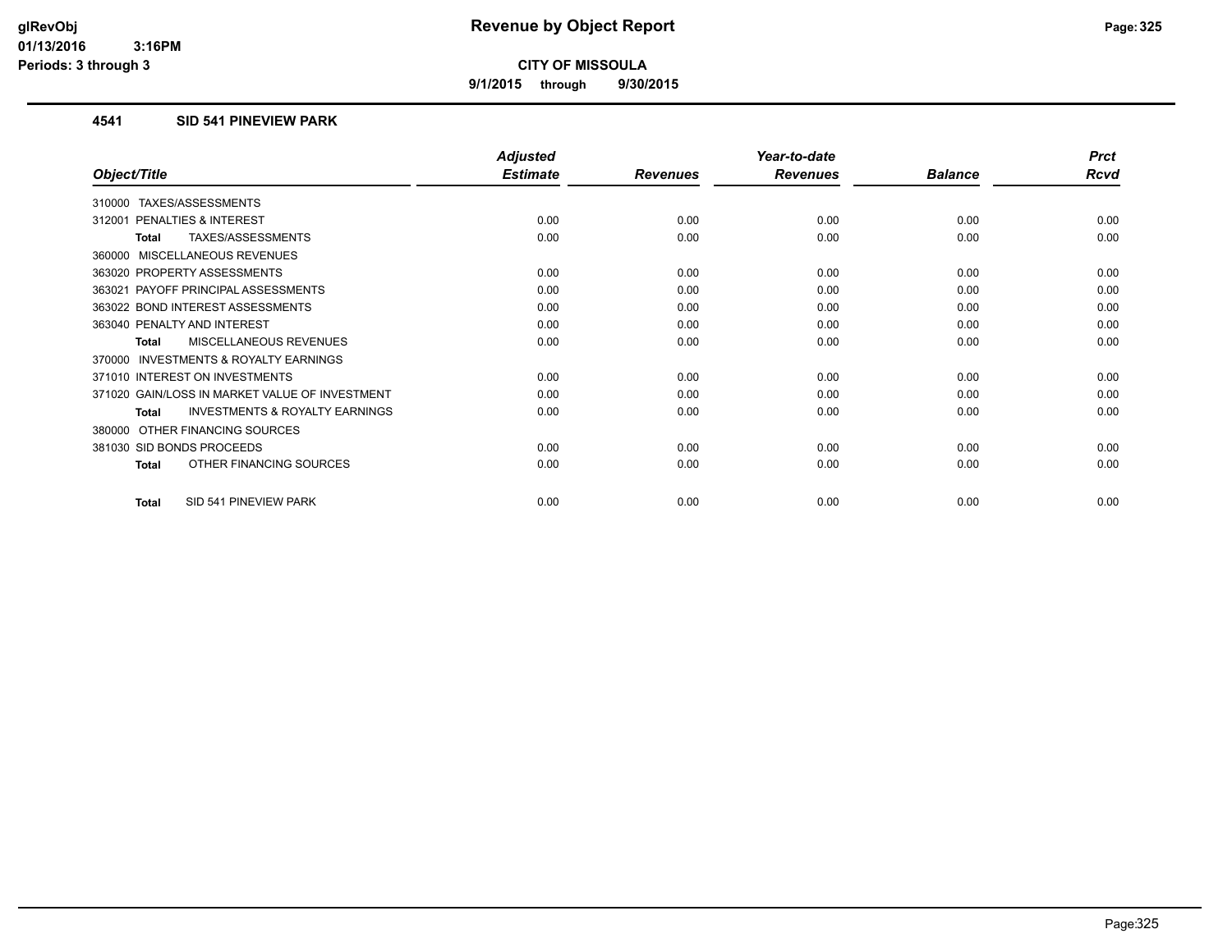**9/1/2015 through 9/30/2015**

#### **4541 SID 541 PINEVIEW PARK**

|                                                           | <b>Adjusted</b> |                 | Year-to-date    |                | <b>Prct</b> |
|-----------------------------------------------------------|-----------------|-----------------|-----------------|----------------|-------------|
| Object/Title                                              | <b>Estimate</b> | <b>Revenues</b> | <b>Revenues</b> | <b>Balance</b> | <b>Rcvd</b> |
| TAXES/ASSESSMENTS<br>310000                               |                 |                 |                 |                |             |
| 312001 PENALTIES & INTEREST                               | 0.00            | 0.00            | 0.00            | 0.00           | 0.00        |
| TAXES/ASSESSMENTS<br><b>Total</b>                         | 0.00            | 0.00            | 0.00            | 0.00           | 0.00        |
| 360000 MISCELLANEOUS REVENUES                             |                 |                 |                 |                |             |
| 363020 PROPERTY ASSESSMENTS                               | 0.00            | 0.00            | 0.00            | 0.00           | 0.00        |
| 363021 PAYOFF PRINCIPAL ASSESSMENTS                       | 0.00            | 0.00            | 0.00            | 0.00           | 0.00        |
| 363022 BOND INTEREST ASSESSMENTS                          | 0.00            | 0.00            | 0.00            | 0.00           | 0.00        |
| 363040 PENALTY AND INTEREST                               | 0.00            | 0.00            | 0.00            | 0.00           | 0.00        |
| MISCELLANEOUS REVENUES<br><b>Total</b>                    | 0.00            | 0.00            | 0.00            | 0.00           | 0.00        |
| 370000 INVESTMENTS & ROYALTY EARNINGS                     |                 |                 |                 |                |             |
| 371010 INTEREST ON INVESTMENTS                            | 0.00            | 0.00            | 0.00            | 0.00           | 0.00        |
| 371020 GAIN/LOSS IN MARKET VALUE OF INVESTMENT            | 0.00            | 0.00            | 0.00            | 0.00           | 0.00        |
| <b>INVESTMENTS &amp; ROYALTY EARNINGS</b><br><b>Total</b> | 0.00            | 0.00            | 0.00            | 0.00           | 0.00        |
| 380000 OTHER FINANCING SOURCES                            |                 |                 |                 |                |             |
| 381030 SID BONDS PROCEEDS                                 | 0.00            | 0.00            | 0.00            | 0.00           | 0.00        |
| OTHER FINANCING SOURCES<br>Total                          | 0.00            | 0.00            | 0.00            | 0.00           | 0.00        |
| SID 541 PINEVIEW PARK<br><b>Total</b>                     | 0.00            | 0.00            | 0.00            | 0.00           | 0.00        |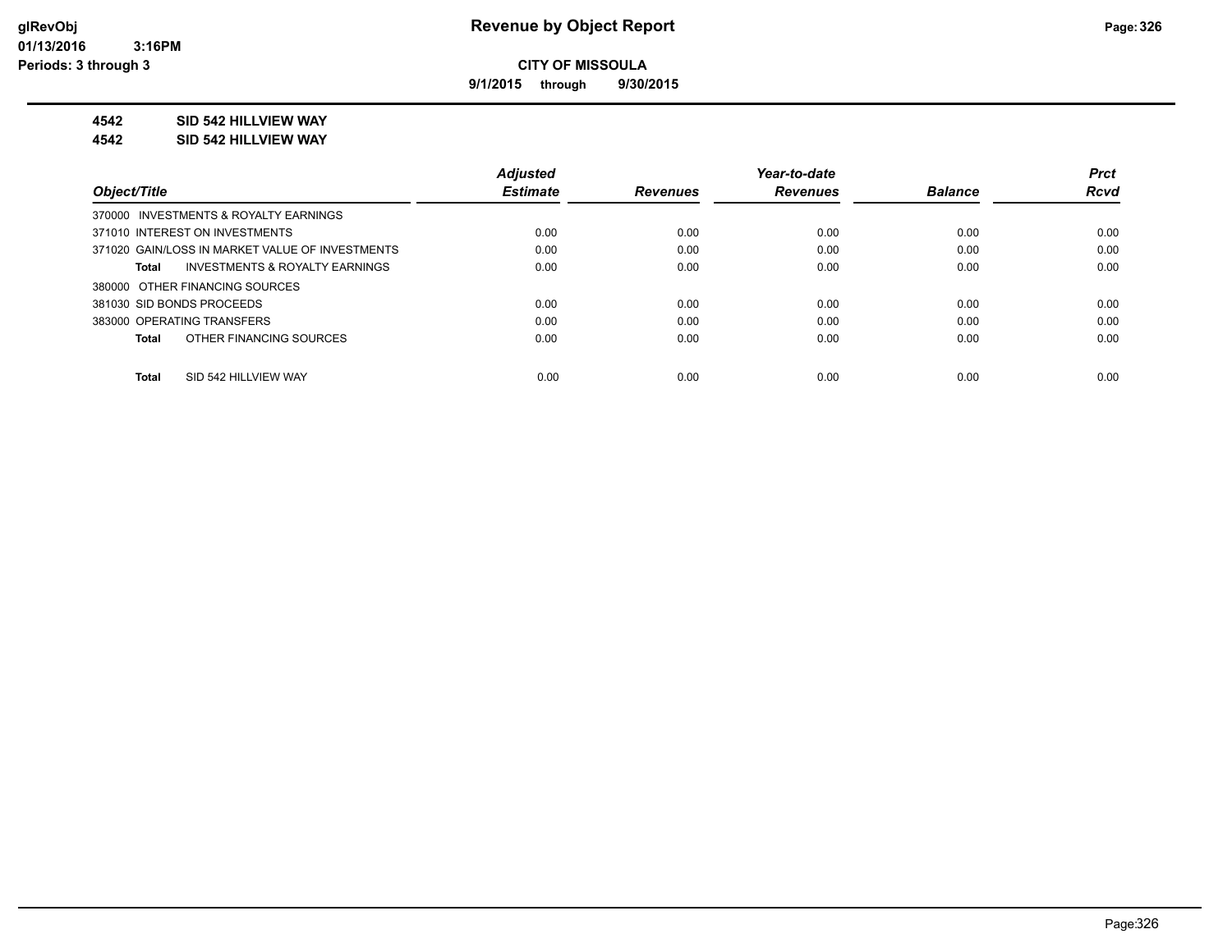**9/1/2015 through 9/30/2015**

#### **4542 SID 542 HILLVIEW WAY**

#### **4542 SID 542 HILLVIEW WAY**

|                                                    | <b>Adjusted</b> |                 | Year-to-date    |                | <b>Prct</b> |
|----------------------------------------------------|-----------------|-----------------|-----------------|----------------|-------------|
| Object/Title                                       | <b>Estimate</b> | <b>Revenues</b> | <b>Revenues</b> | <b>Balance</b> | <b>Rcvd</b> |
| 370000 INVESTMENTS & ROYALTY EARNINGS              |                 |                 |                 |                |             |
| 371010 INTEREST ON INVESTMENTS                     | 0.00            | 0.00            | 0.00            | 0.00           | 0.00        |
| 371020 GAIN/LOSS IN MARKET VALUE OF INVESTMENTS    | 0.00            | 0.00            | 0.00            | 0.00           | 0.00        |
| <b>INVESTMENTS &amp; ROYALTY EARNINGS</b><br>Total | 0.00            | 0.00            | 0.00            | 0.00           | 0.00        |
| 380000 OTHER FINANCING SOURCES                     |                 |                 |                 |                |             |
| 381030 SID BONDS PROCEEDS                          | 0.00            | 0.00            | 0.00            | 0.00           | 0.00        |
| 383000 OPERATING TRANSFERS                         | 0.00            | 0.00            | 0.00            | 0.00           | 0.00        |
| OTHER FINANCING SOURCES<br>Total                   | 0.00            | 0.00            | 0.00            | 0.00           | 0.00        |
|                                                    |                 |                 |                 |                |             |
| SID 542 HILLVIEW WAY<br>Total                      | 0.00            | 0.00            | 0.00            | 0.00           | 0.00        |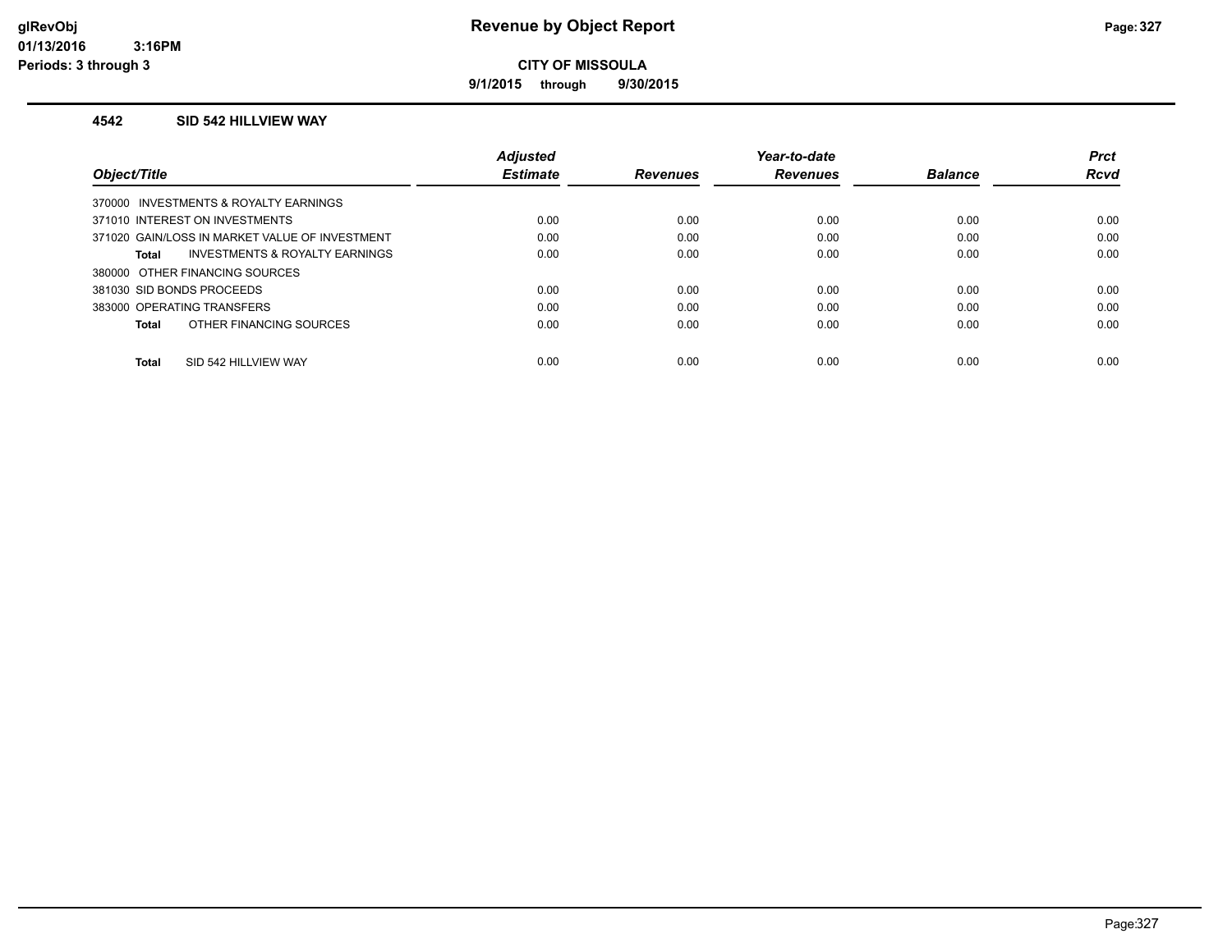**9/1/2015 through 9/30/2015**

#### **4542 SID 542 HILLVIEW WAY**

|                                                    | <b>Adjusted</b> |                 | Year-to-date    |                | <b>Prct</b> |
|----------------------------------------------------|-----------------|-----------------|-----------------|----------------|-------------|
| Object/Title                                       | <b>Estimate</b> | <b>Revenues</b> | <b>Revenues</b> | <b>Balance</b> | <b>Rcvd</b> |
| 370000 INVESTMENTS & ROYALTY EARNINGS              |                 |                 |                 |                |             |
| 371010 INTEREST ON INVESTMENTS                     | 0.00            | 0.00            | 0.00            | 0.00           | 0.00        |
| 371020 GAIN/LOSS IN MARKET VALUE OF INVESTMENT     | 0.00            | 0.00            | 0.00            | 0.00           | 0.00        |
| <b>INVESTMENTS &amp; ROYALTY EARNINGS</b><br>Total | 0.00            | 0.00            | 0.00            | 0.00           | 0.00        |
| 380000 OTHER FINANCING SOURCES                     |                 |                 |                 |                |             |
| 381030 SID BONDS PROCEEDS                          | 0.00            | 0.00            | 0.00            | 0.00           | 0.00        |
| 383000 OPERATING TRANSFERS                         | 0.00            | 0.00            | 0.00            | 0.00           | 0.00        |
| OTHER FINANCING SOURCES<br>Total                   | 0.00            | 0.00            | 0.00            | 0.00           | 0.00        |
|                                                    |                 |                 |                 |                |             |
| SID 542 HILLVIEW WAY<br><b>Total</b>               | 0.00            | 0.00            | 0.00            | 0.00           | 0.00        |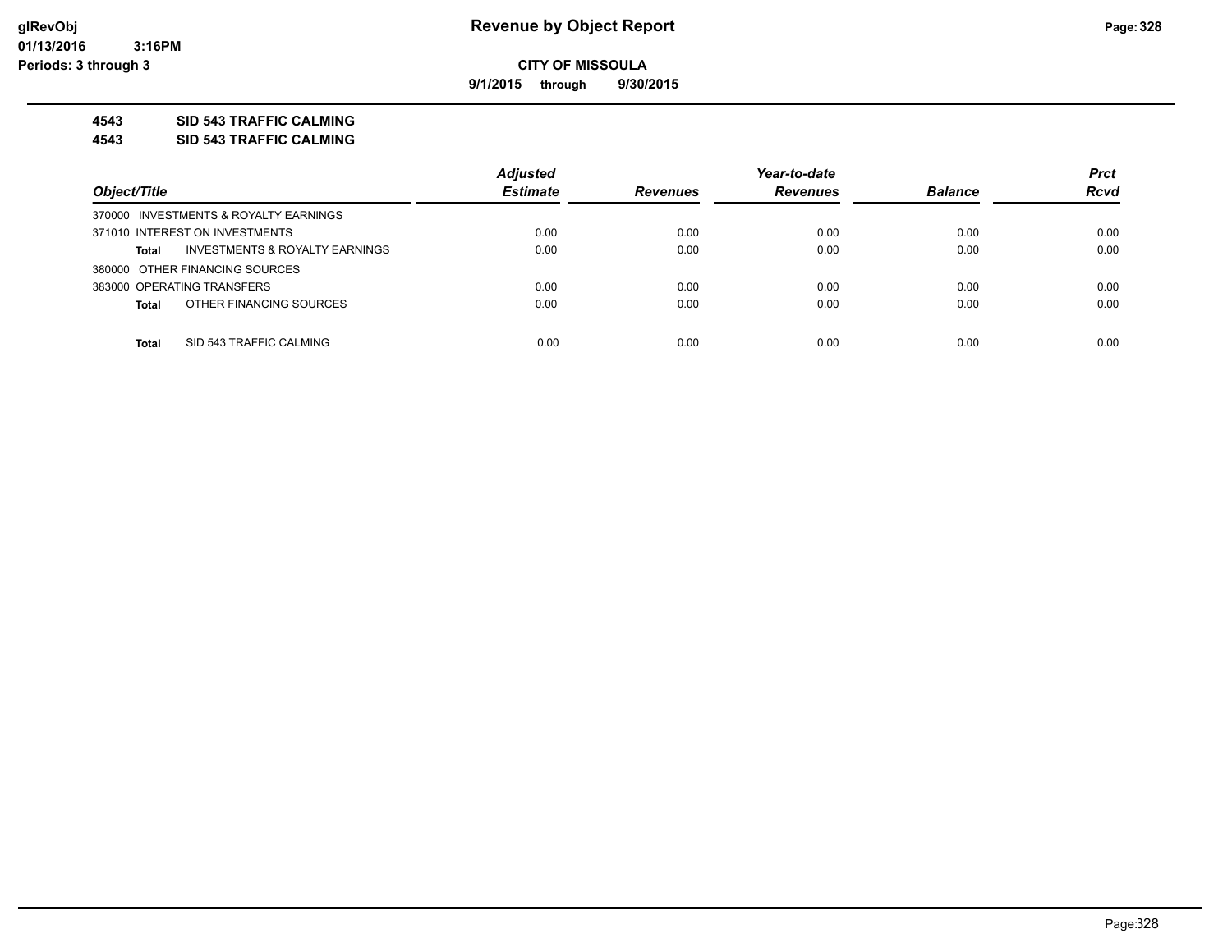**9/1/2015 through 9/30/2015**

#### **4543 SID 543 TRAFFIC CALMING**

**4543 SID 543 TRAFFIC CALMING**

|                                                           | <b>Adjusted</b> |                 | Year-to-date    |                | <b>Prct</b> |
|-----------------------------------------------------------|-----------------|-----------------|-----------------|----------------|-------------|
| Object/Title                                              | <b>Estimate</b> | <b>Revenues</b> | <b>Revenues</b> | <b>Balance</b> | <b>Rcvd</b> |
| 370000 INVESTMENTS & ROYALTY EARNINGS                     |                 |                 |                 |                |             |
| 371010 INTEREST ON INVESTMENTS                            | 0.00            | 0.00            | 0.00            | 0.00           | 0.00        |
| <b>INVESTMENTS &amp; ROYALTY EARNINGS</b><br><b>Total</b> | 0.00            | 0.00            | 0.00            | 0.00           | 0.00        |
| 380000 OTHER FINANCING SOURCES                            |                 |                 |                 |                |             |
| 383000 OPERATING TRANSFERS                                | 0.00            | 0.00            | 0.00            | 0.00           | 0.00        |
| OTHER FINANCING SOURCES<br><b>Total</b>                   | 0.00            | 0.00            | 0.00            | 0.00           | 0.00        |
|                                                           |                 |                 |                 |                |             |
| SID 543 TRAFFIC CALMING<br><b>Total</b>                   | 0.00            | 0.00            | 0.00            | 0.00           | 0.00        |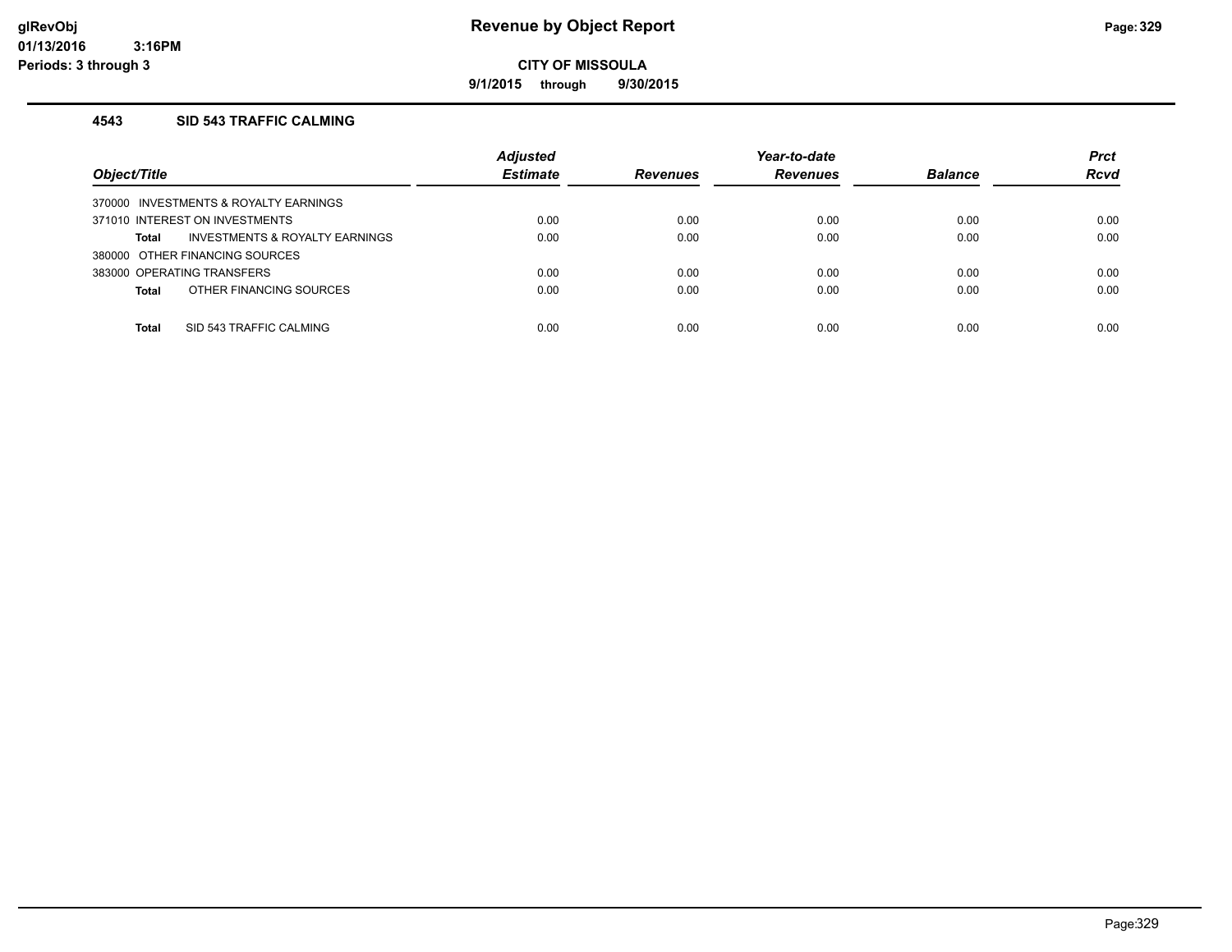**9/1/2015 through 9/30/2015**

#### **4543 SID 543 TRAFFIC CALMING**

| Object/Title                            | <b>Adjusted</b><br><b>Estimate</b> | <b>Revenues</b> | Year-to-date<br><b>Revenues</b> | <b>Balance</b> | <b>Prct</b><br><b>Rcvd</b> |
|-----------------------------------------|------------------------------------|-----------------|---------------------------------|----------------|----------------------------|
| 370000 INVESTMENTS & ROYALTY EARNINGS   |                                    |                 |                                 |                |                            |
| 371010 INTEREST ON INVESTMENTS          | 0.00                               | 0.00            | 0.00                            | 0.00           | 0.00                       |
| INVESTMENTS & ROYALTY EARNINGS<br>Total | 0.00                               | 0.00            | 0.00                            | 0.00           | 0.00                       |
| 380000 OTHER FINANCING SOURCES          |                                    |                 |                                 |                |                            |
| 383000 OPERATING TRANSFERS              | 0.00                               | 0.00            | 0.00                            | 0.00           | 0.00                       |
| OTHER FINANCING SOURCES<br><b>Total</b> | 0.00                               | 0.00            | 0.00                            | 0.00           | 0.00                       |
|                                         |                                    |                 |                                 |                |                            |
| SID 543 TRAFFIC CALMING<br>Total        | 0.00                               | 0.00            | 0.00                            | 0.00           | 0.00                       |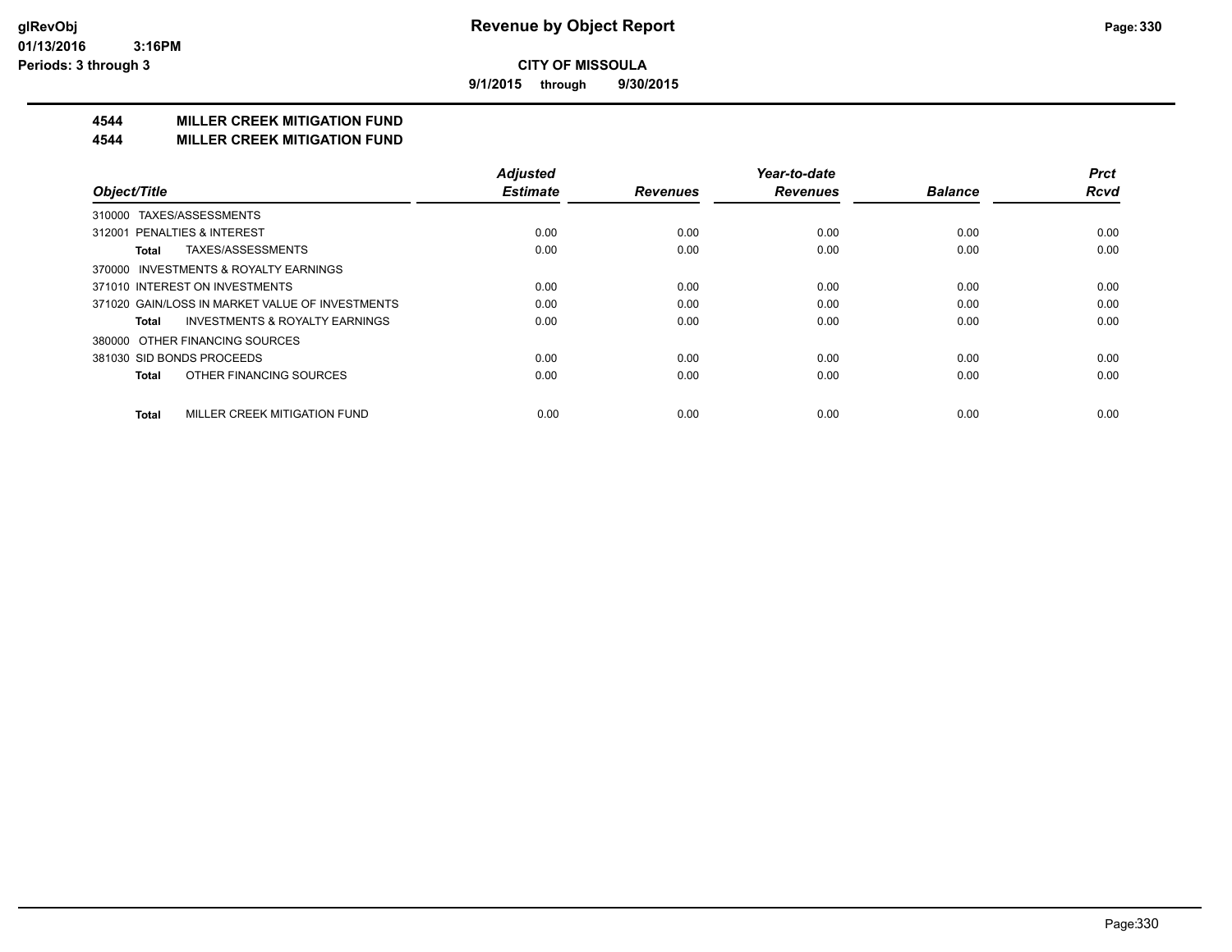**9/1/2015 through 9/30/2015**

## **4544 MILLER CREEK MITIGATION FUND**

#### **4544 MILLER CREEK MITIGATION FUND**

|                                                    | <b>Adjusted</b> |                 | Year-to-date    |                | <b>Prct</b> |
|----------------------------------------------------|-----------------|-----------------|-----------------|----------------|-------------|
| Object/Title                                       | <b>Estimate</b> | <b>Revenues</b> | <b>Revenues</b> | <b>Balance</b> | <b>Rcvd</b> |
| TAXES/ASSESSMENTS<br>310000                        |                 |                 |                 |                |             |
| 312001 PENALTIES & INTEREST                        | 0.00            | 0.00            | 0.00            | 0.00           | 0.00        |
| TAXES/ASSESSMENTS<br>Total                         | 0.00            | 0.00            | 0.00            | 0.00           | 0.00        |
| 370000 INVESTMENTS & ROYALTY EARNINGS              |                 |                 |                 |                |             |
| 371010 INTEREST ON INVESTMENTS                     | 0.00            | 0.00            | 0.00            | 0.00           | 0.00        |
| 371020 GAIN/LOSS IN MARKET VALUE OF INVESTMENTS    | 0.00            | 0.00            | 0.00            | 0.00           | 0.00        |
| <b>INVESTMENTS &amp; ROYALTY EARNINGS</b><br>Total | 0.00            | 0.00            | 0.00            | 0.00           | 0.00        |
| OTHER FINANCING SOURCES<br>380000                  |                 |                 |                 |                |             |
| 381030 SID BONDS PROCEEDS                          | 0.00            | 0.00            | 0.00            | 0.00           | 0.00        |
| OTHER FINANCING SOURCES<br><b>Total</b>            | 0.00            | 0.00            | 0.00            | 0.00           | 0.00        |
| MILLER CREEK MITIGATION FUND<br><b>Total</b>       | 0.00            | 0.00            | 0.00            | 0.00           | 0.00        |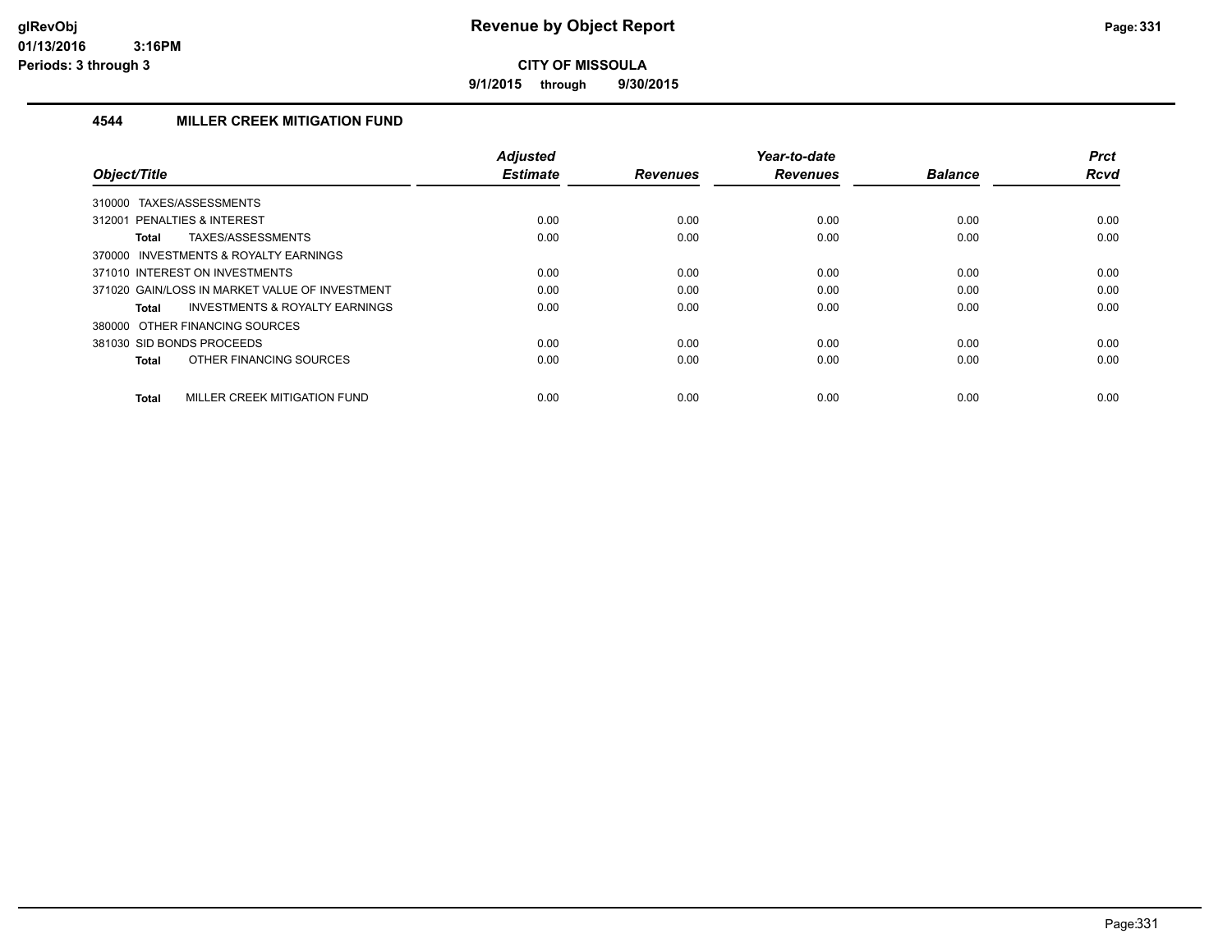**9/1/2015 through 9/30/2015**

#### **4544 MILLER CREEK MITIGATION FUND**

| Object/Title                                              | <b>Adiusted</b><br><b>Estimate</b> | <b>Revenues</b> | Year-to-date<br><b>Revenues</b> | <b>Balance</b> | <b>Prct</b><br><b>Rcvd</b> |
|-----------------------------------------------------------|------------------------------------|-----------------|---------------------------------|----------------|----------------------------|
| 310000 TAXES/ASSESSMENTS                                  |                                    |                 |                                 |                |                            |
| 312001 PENALTIES & INTEREST                               | 0.00                               | 0.00            | 0.00                            | 0.00           | 0.00                       |
| TAXES/ASSESSMENTS<br><b>Total</b>                         | 0.00                               | 0.00            | 0.00                            | 0.00           | 0.00                       |
| 370000 INVESTMENTS & ROYALTY EARNINGS                     |                                    |                 |                                 |                |                            |
| 371010 INTEREST ON INVESTMENTS                            | 0.00                               | 0.00            | 0.00                            | 0.00           | 0.00                       |
| 371020 GAIN/LOSS IN MARKET VALUE OF INVESTMENT            | 0.00                               | 0.00            | 0.00                            | 0.00           | 0.00                       |
| <b>INVESTMENTS &amp; ROYALTY EARNINGS</b><br><b>Total</b> | 0.00                               | 0.00            | 0.00                            | 0.00           | 0.00                       |
| 380000 OTHER FINANCING SOURCES                            |                                    |                 |                                 |                |                            |
| 381030 SID BONDS PROCEEDS                                 | 0.00                               | 0.00            | 0.00                            | 0.00           | 0.00                       |
| OTHER FINANCING SOURCES<br><b>Total</b>                   | 0.00                               | 0.00            | 0.00                            | 0.00           | 0.00                       |
| MILLER CREEK MITIGATION FUND<br><b>Total</b>              | 0.00                               | 0.00            | 0.00                            | 0.00           | 0.00                       |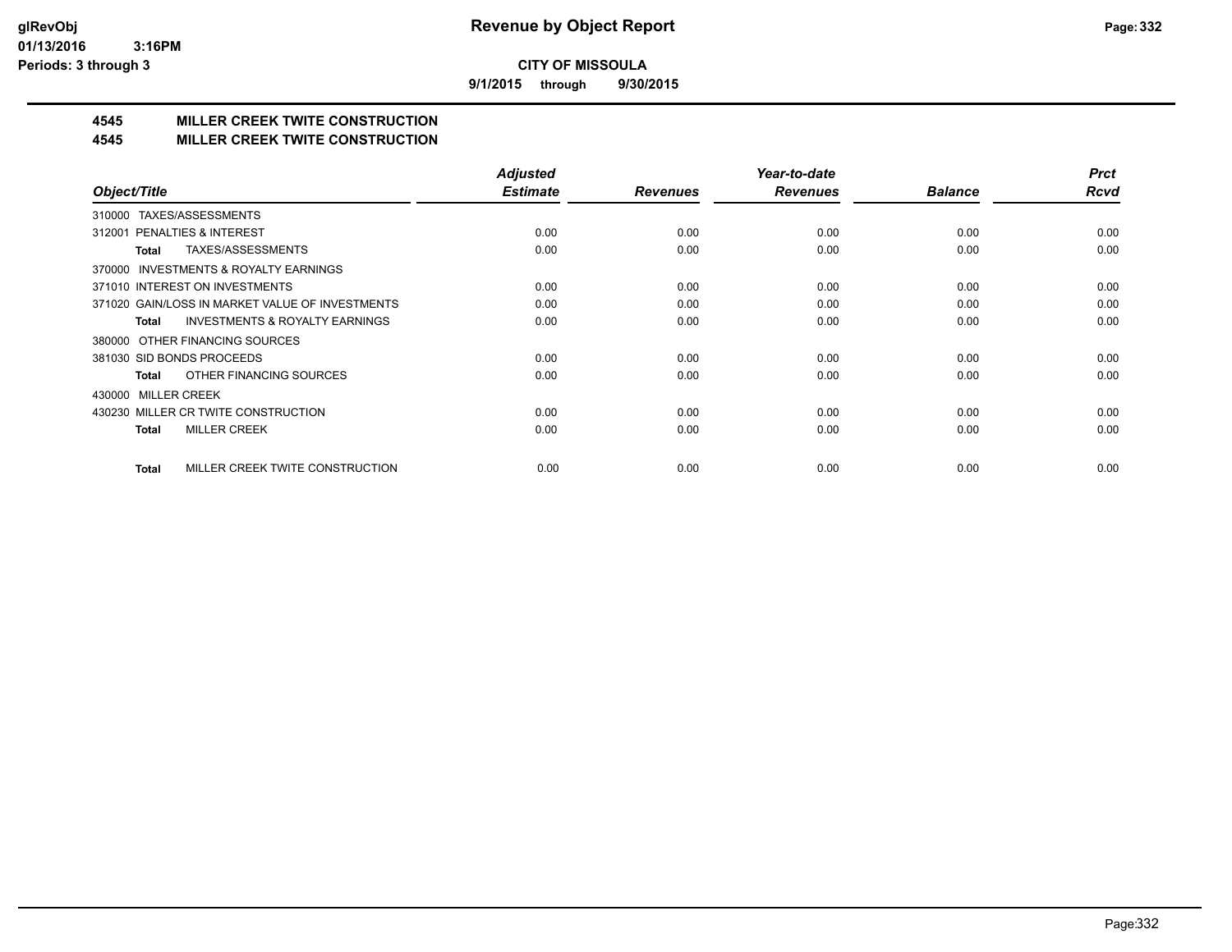**9/1/2015 through 9/30/2015**

## **4545 MILLER CREEK TWITE CONSTRUCTION**

#### **4545 MILLER CREEK TWITE CONSTRUCTION**

|                                                     | <b>Adjusted</b> |                 | Year-to-date    |                | <b>Prct</b> |
|-----------------------------------------------------|-----------------|-----------------|-----------------|----------------|-------------|
| Object/Title                                        | <b>Estimate</b> | <b>Revenues</b> | <b>Revenues</b> | <b>Balance</b> | <b>Rcvd</b> |
| TAXES/ASSESSMENTS<br>310000                         |                 |                 |                 |                |             |
| 312001 PENALTIES & INTEREST                         | 0.00            | 0.00            | 0.00            | 0.00           | 0.00        |
| TAXES/ASSESSMENTS<br>Total                          | 0.00            | 0.00            | 0.00            | 0.00           | 0.00        |
| <b>INVESTMENTS &amp; ROYALTY EARNINGS</b><br>370000 |                 |                 |                 |                |             |
| 371010 INTEREST ON INVESTMENTS                      | 0.00            | 0.00            | 0.00            | 0.00           | 0.00        |
| 371020 GAIN/LOSS IN MARKET VALUE OF INVESTMENTS     | 0.00            | 0.00            | 0.00            | 0.00           | 0.00        |
| <b>INVESTMENTS &amp; ROYALTY EARNINGS</b><br>Total  | 0.00            | 0.00            | 0.00            | 0.00           | 0.00        |
| 380000 OTHER FINANCING SOURCES                      |                 |                 |                 |                |             |
| 381030 SID BONDS PROCEEDS                           | 0.00            | 0.00            | 0.00            | 0.00           | 0.00        |
| OTHER FINANCING SOURCES<br>Total                    | 0.00            | 0.00            | 0.00            | 0.00           | 0.00        |
| <b>MILLER CREEK</b><br>430000                       |                 |                 |                 |                |             |
| 430230 MILLER CR TWITE CONSTRUCTION                 | 0.00            | 0.00            | 0.00            | 0.00           | 0.00        |
| <b>MILLER CREEK</b><br>Total                        | 0.00            | 0.00            | 0.00            | 0.00           | 0.00        |
|                                                     |                 |                 |                 |                |             |
| MILLER CREEK TWITE CONSTRUCTION<br><b>Total</b>     | 0.00            | 0.00            | 0.00            | 0.00           | 0.00        |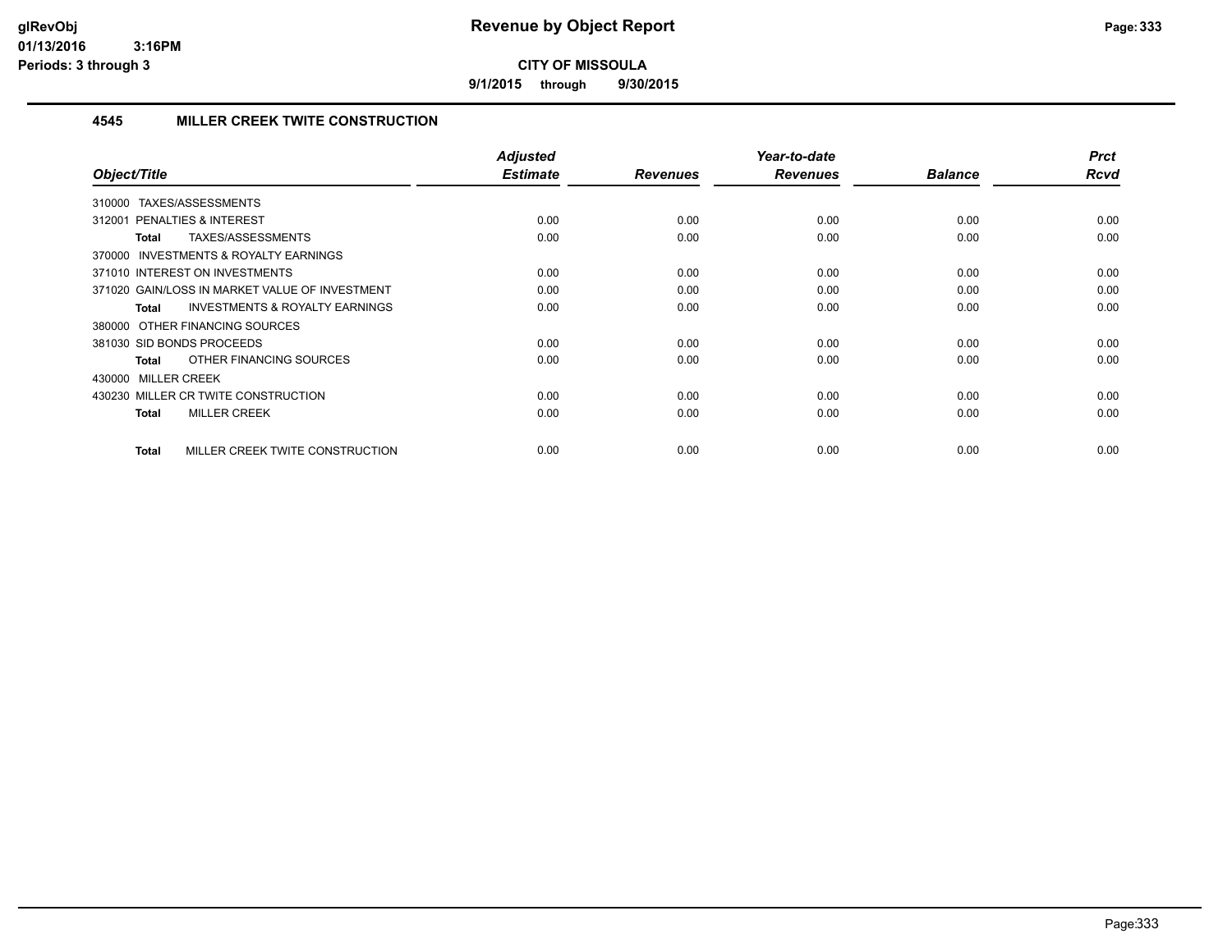**9/1/2015 through 9/30/2015**

#### **4545 MILLER CREEK TWITE CONSTRUCTION**

| Object/Title                                              | <b>Adjusted</b><br><b>Estimate</b> | <b>Revenues</b> | Year-to-date<br><b>Revenues</b> | <b>Balance</b> | <b>Prct</b><br>Rcvd |
|-----------------------------------------------------------|------------------------------------|-----------------|---------------------------------|----------------|---------------------|
|                                                           |                                    |                 |                                 |                |                     |
| 310000 TAXES/ASSESSMENTS                                  |                                    |                 |                                 |                |                     |
| 312001 PENALTIES & INTEREST                               | 0.00                               | 0.00            | 0.00                            | 0.00           | 0.00                |
| TAXES/ASSESSMENTS<br><b>Total</b>                         | 0.00                               | 0.00            | 0.00                            | 0.00           | 0.00                |
| <b>INVESTMENTS &amp; ROYALTY EARNINGS</b><br>370000       |                                    |                 |                                 |                |                     |
| 371010 INTEREST ON INVESTMENTS                            | 0.00                               | 0.00            | 0.00                            | 0.00           | 0.00                |
| 371020 GAIN/LOSS IN MARKET VALUE OF INVESTMENT            | 0.00                               | 0.00            | 0.00                            | 0.00           | 0.00                |
| <b>INVESTMENTS &amp; ROYALTY EARNINGS</b><br><b>Total</b> | 0.00                               | 0.00            | 0.00                            | 0.00           | 0.00                |
| 380000 OTHER FINANCING SOURCES                            |                                    |                 |                                 |                |                     |
| 381030 SID BONDS PROCEEDS                                 | 0.00                               | 0.00            | 0.00                            | 0.00           | 0.00                |
| OTHER FINANCING SOURCES<br><b>Total</b>                   | 0.00                               | 0.00            | 0.00                            | 0.00           | 0.00                |
| 430000 MILLER CREEK                                       |                                    |                 |                                 |                |                     |
| 430230 MILLER CR TWITE CONSTRUCTION                       | 0.00                               | 0.00            | 0.00                            | 0.00           | 0.00                |
| <b>MILLER CREEK</b><br><b>Total</b>                       | 0.00                               | 0.00            | 0.00                            | 0.00           | 0.00                |
|                                                           |                                    |                 |                                 |                |                     |
| MILLER CREEK TWITE CONSTRUCTION<br><b>Total</b>           | 0.00                               | 0.00            | 0.00                            | 0.00           | 0.00                |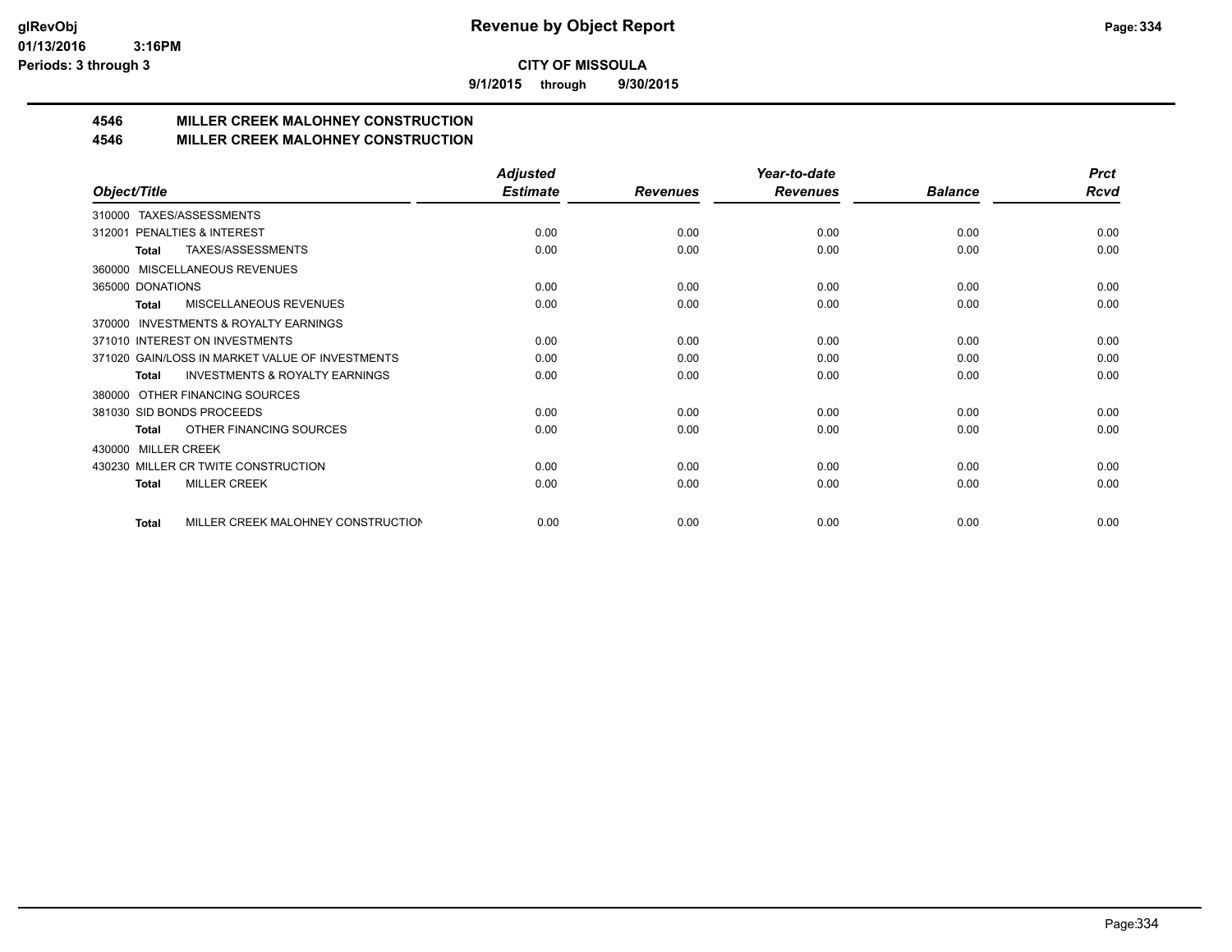**9/1/2015 through 9/30/2015**

## **4546 MILLER CREEK MALOHNEY CONSTRUCTION**

#### **4546 MILLER CREEK MALOHNEY CONSTRUCTION**

|                                                     | <b>Adjusted</b> |                 | Year-to-date    |                | <b>Prct</b> |
|-----------------------------------------------------|-----------------|-----------------|-----------------|----------------|-------------|
| Object/Title                                        | <b>Estimate</b> | <b>Revenues</b> | <b>Revenues</b> | <b>Balance</b> | <b>Rcvd</b> |
| TAXES/ASSESSMENTS<br>310000                         |                 |                 |                 |                |             |
| PENALTIES & INTEREST<br>312001                      | 0.00            | 0.00            | 0.00            | 0.00           | 0.00        |
| TAXES/ASSESSMENTS<br><b>Total</b>                   | 0.00            | 0.00            | 0.00            | 0.00           | 0.00        |
| MISCELLANEOUS REVENUES<br>360000                    |                 |                 |                 |                |             |
| 365000 DONATIONS                                    | 0.00            | 0.00            | 0.00            | 0.00           | 0.00        |
| <b>MISCELLANEOUS REVENUES</b><br>Total              | 0.00            | 0.00            | 0.00            | 0.00           | 0.00        |
| <b>INVESTMENTS &amp; ROYALTY EARNINGS</b><br>370000 |                 |                 |                 |                |             |
| 371010 INTEREST ON INVESTMENTS                      | 0.00            | 0.00            | 0.00            | 0.00           | 0.00        |
| 371020 GAIN/LOSS IN MARKET VALUE OF INVESTMENTS     | 0.00            | 0.00            | 0.00            | 0.00           | 0.00        |
| <b>INVESTMENTS &amp; ROYALTY EARNINGS</b><br>Total  | 0.00            | 0.00            | 0.00            | 0.00           | 0.00        |
| OTHER FINANCING SOURCES<br>380000                   |                 |                 |                 |                |             |
| 381030 SID BONDS PROCEEDS                           | 0.00            | 0.00            | 0.00            | 0.00           | 0.00        |
| OTHER FINANCING SOURCES<br><b>Total</b>             | 0.00            | 0.00            | 0.00            | 0.00           | 0.00        |
| <b>MILLER CREEK</b><br>430000                       |                 |                 |                 |                |             |
| 430230 MILLER CR TWITE CONSTRUCTION                 | 0.00            | 0.00            | 0.00            | 0.00           | 0.00        |
| <b>MILLER CREEK</b><br><b>Total</b>                 | 0.00            | 0.00            | 0.00            | 0.00           | 0.00        |
|                                                     |                 |                 |                 |                |             |
| MILLER CREEK MALOHNEY CONSTRUCTION<br><b>Total</b>  | 0.00            | 0.00            | 0.00            | 0.00           | 0.00        |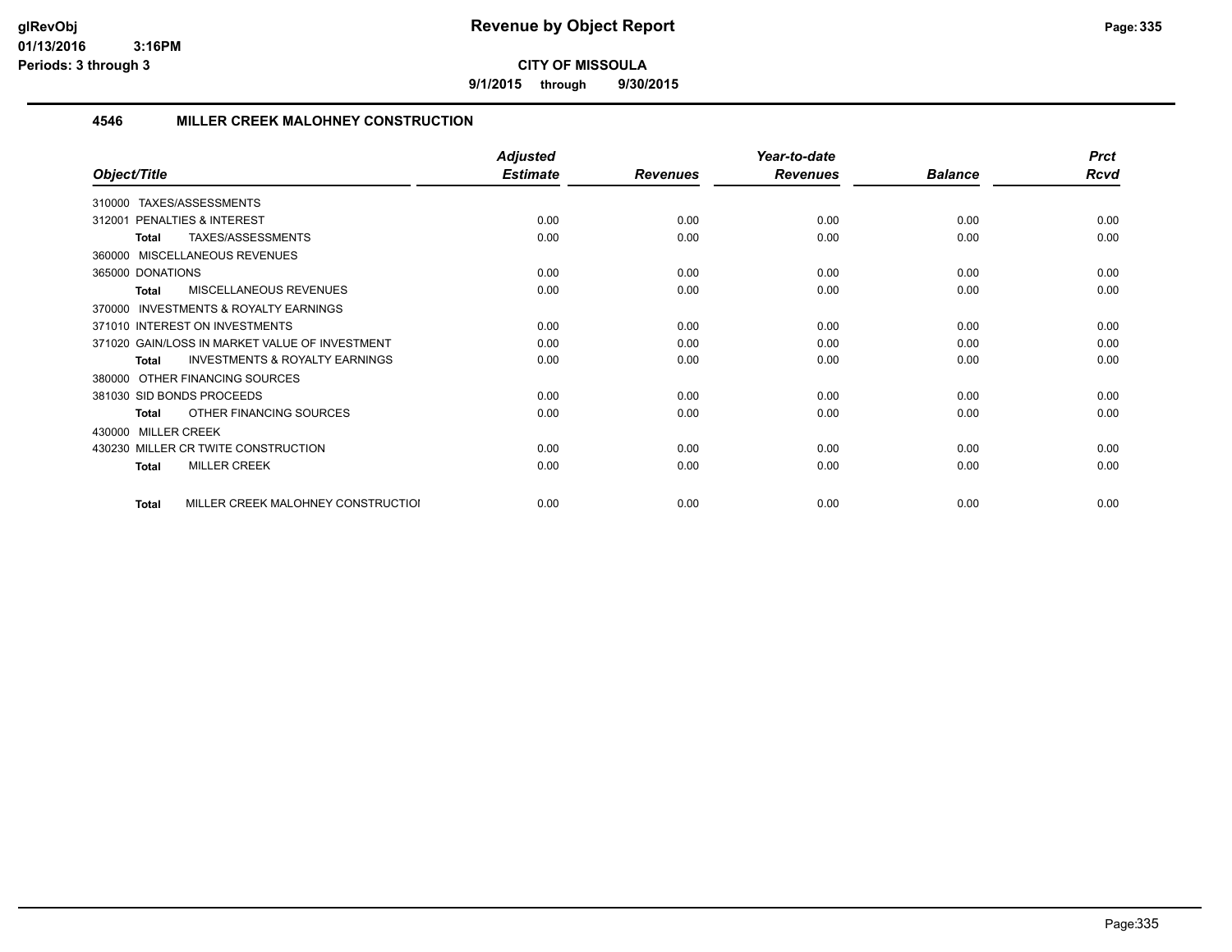**9/1/2015 through 9/30/2015**

#### **4546 MILLER CREEK MALOHNEY CONSTRUCTION**

|                                                           | <b>Adjusted</b> |                 | Year-to-date    |                | <b>Prct</b> |
|-----------------------------------------------------------|-----------------|-----------------|-----------------|----------------|-------------|
| Object/Title                                              | <b>Estimate</b> | <b>Revenues</b> | <b>Revenues</b> | <b>Balance</b> | <b>Rcvd</b> |
| 310000 TAXES/ASSESSMENTS                                  |                 |                 |                 |                |             |
| PENALTIES & INTEREST<br>312001                            | 0.00            | 0.00            | 0.00            | 0.00           | 0.00        |
| TAXES/ASSESSMENTS<br><b>Total</b>                         | 0.00            | 0.00            | 0.00            | 0.00           | 0.00        |
| 360000 MISCELLANEOUS REVENUES                             |                 |                 |                 |                |             |
| 365000 DONATIONS                                          | 0.00            | 0.00            | 0.00            | 0.00           | 0.00        |
| MISCELLANEOUS REVENUES<br>Total                           | 0.00            | 0.00            | 0.00            | 0.00           | 0.00        |
| INVESTMENTS & ROYALTY EARNINGS<br>370000                  |                 |                 |                 |                |             |
| 371010 INTEREST ON INVESTMENTS                            | 0.00            | 0.00            | 0.00            | 0.00           | 0.00        |
| 371020 GAIN/LOSS IN MARKET VALUE OF INVESTMENT            | 0.00            | 0.00            | 0.00            | 0.00           | 0.00        |
| <b>INVESTMENTS &amp; ROYALTY EARNINGS</b><br><b>Total</b> | 0.00            | 0.00            | 0.00            | 0.00           | 0.00        |
| 380000 OTHER FINANCING SOURCES                            |                 |                 |                 |                |             |
| 381030 SID BONDS PROCEEDS                                 | 0.00            | 0.00            | 0.00            | 0.00           | 0.00        |
| OTHER FINANCING SOURCES<br>Total                          | 0.00            | 0.00            | 0.00            | 0.00           | 0.00        |
| 430000 MILLER CREEK                                       |                 |                 |                 |                |             |
| 430230 MILLER CR TWITE CONSTRUCTION                       | 0.00            | 0.00            | 0.00            | 0.00           | 0.00        |
| <b>MILLER CREEK</b><br><b>Total</b>                       | 0.00            | 0.00            | 0.00            | 0.00           | 0.00        |
| MILLER CREEK MALOHNEY CONSTRUCTIOI<br>Total               | 0.00            | 0.00            | 0.00            | 0.00           | 0.00        |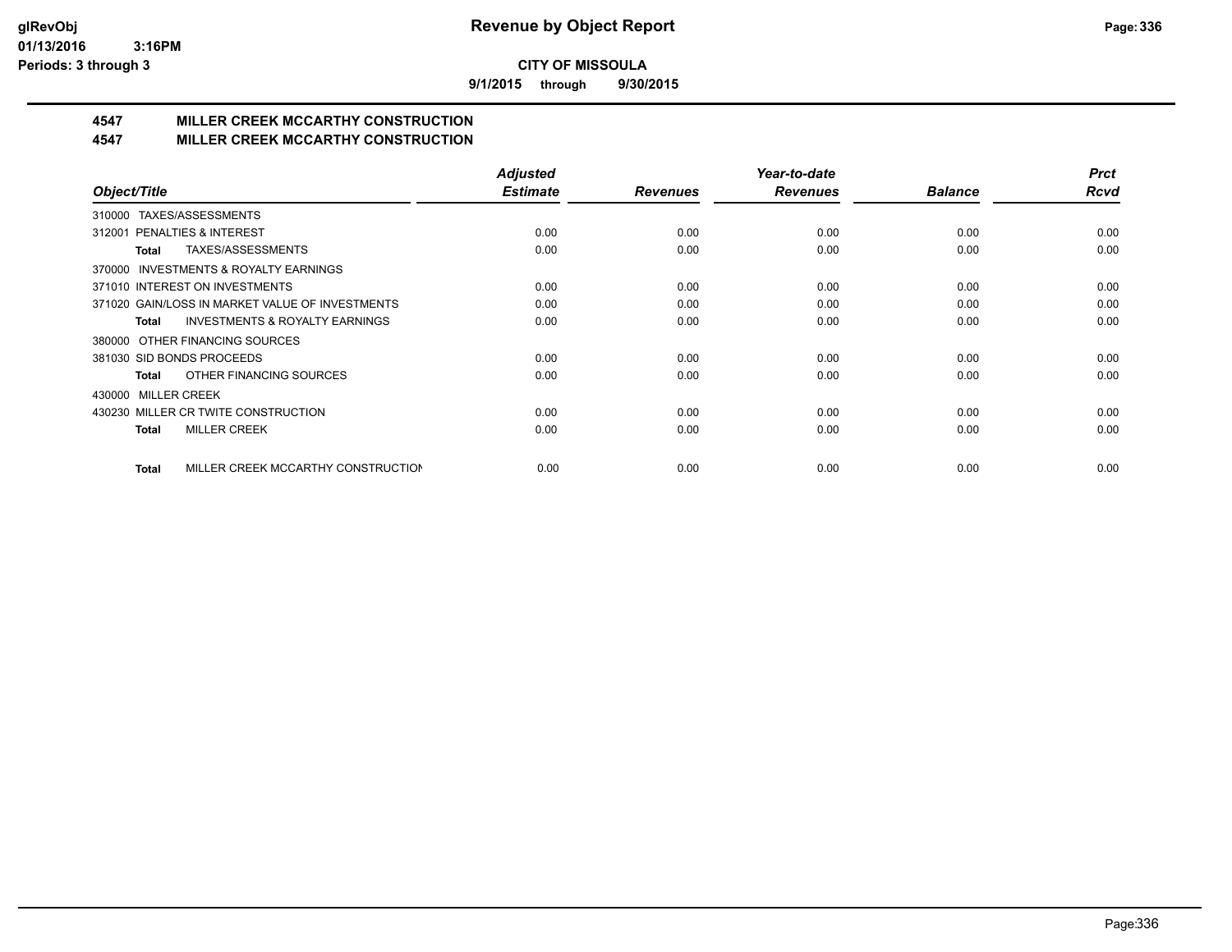**9/1/2015 through 9/30/2015**

## **4547 MILLER CREEK MCCARTHY CONSTRUCTION**

#### **4547 MILLER CREEK MCCARTHY CONSTRUCTION**

|                                                     | <b>Adjusted</b> |                 | Year-to-date    |                | <b>Prct</b> |
|-----------------------------------------------------|-----------------|-----------------|-----------------|----------------|-------------|
| Object/Title                                        | <b>Estimate</b> | <b>Revenues</b> | <b>Revenues</b> | <b>Balance</b> | Rcvd        |
| TAXES/ASSESSMENTS<br>310000                         |                 |                 |                 |                |             |
| 312001 PENALTIES & INTEREST                         | 0.00            | 0.00            | 0.00            | 0.00           | 0.00        |
| TAXES/ASSESSMENTS<br>Total                          | 0.00            | 0.00            | 0.00            | 0.00           | 0.00        |
| <b>INVESTMENTS &amp; ROYALTY EARNINGS</b><br>370000 |                 |                 |                 |                |             |
| 371010 INTEREST ON INVESTMENTS                      | 0.00            | 0.00            | 0.00            | 0.00           | 0.00        |
| 371020 GAIN/LOSS IN MARKET VALUE OF INVESTMENTS     | 0.00            | 0.00            | 0.00            | 0.00           | 0.00        |
| <b>INVESTMENTS &amp; ROYALTY EARNINGS</b><br>Total  | 0.00            | 0.00            | 0.00            | 0.00           | 0.00        |
| 380000 OTHER FINANCING SOURCES                      |                 |                 |                 |                |             |
| 381030 SID BONDS PROCEEDS                           | 0.00            | 0.00            | 0.00            | 0.00           | 0.00        |
| OTHER FINANCING SOURCES<br>Total                    | 0.00            | 0.00            | 0.00            | 0.00           | 0.00        |
| <b>MILLER CREEK</b><br>430000                       |                 |                 |                 |                |             |
| 430230 MILLER CR TWITE CONSTRUCTION                 | 0.00            | 0.00            | 0.00            | 0.00           | 0.00        |
| <b>MILLER CREEK</b><br>Total                        | 0.00            | 0.00            | 0.00            | 0.00           | 0.00        |
|                                                     |                 |                 |                 |                |             |
| MILLER CREEK MCCARTHY CONSTRUCTION<br><b>Total</b>  | 0.00            | 0.00            | 0.00            | 0.00           | 0.00        |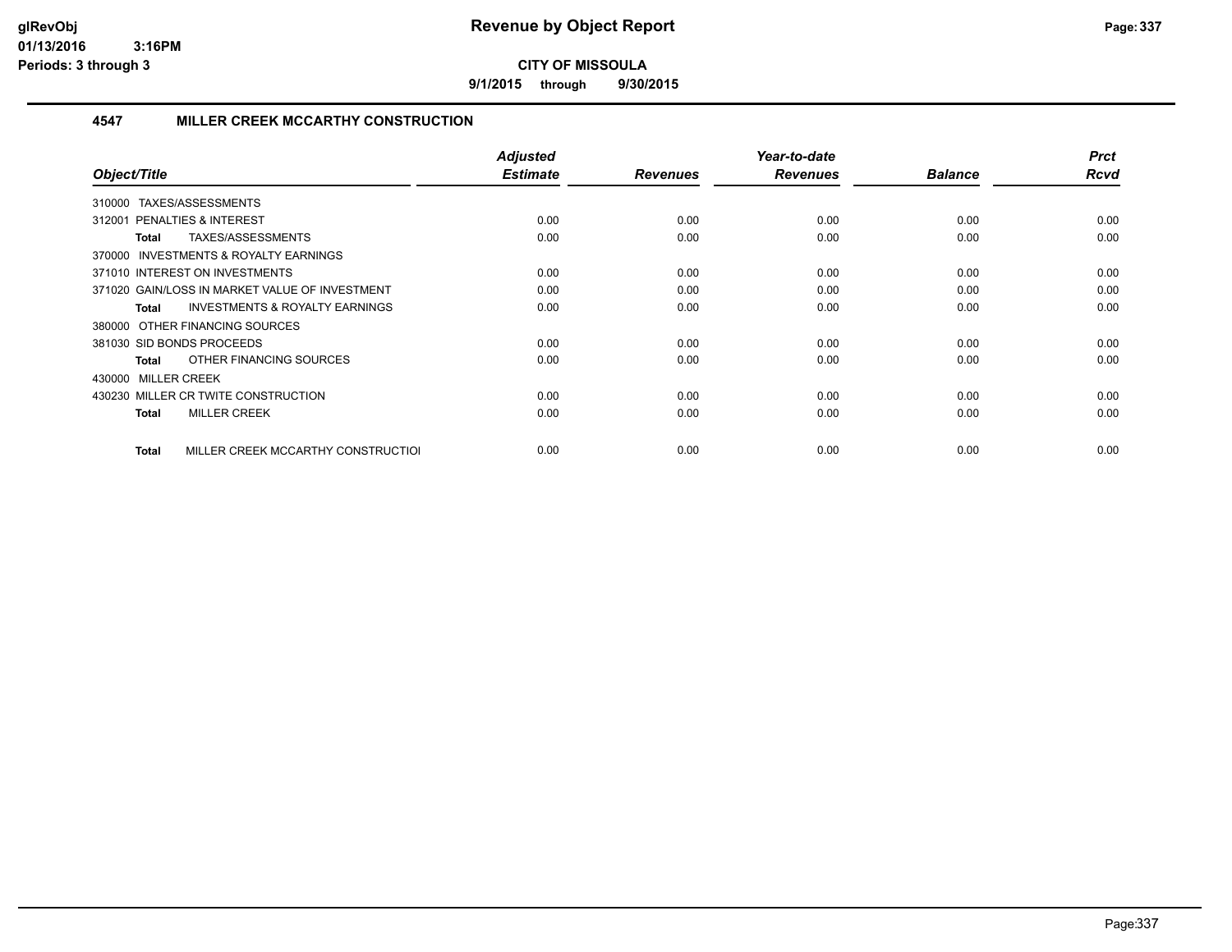**9/1/2015 through 9/30/2015**

#### **4547 MILLER CREEK MCCARTHY CONSTRUCTION**

| Object/Title                                              | <b>Adjusted</b><br><b>Estimate</b> | <b>Revenues</b> | Year-to-date<br><b>Revenues</b> | <b>Balance</b> | <b>Prct</b><br><b>Rcvd</b> |
|-----------------------------------------------------------|------------------------------------|-----------------|---------------------------------|----------------|----------------------------|
| TAXES/ASSESSMENTS<br>310000                               |                                    |                 |                                 |                |                            |
| <b>PENALTIES &amp; INTEREST</b><br>312001                 | 0.00                               | 0.00            | 0.00                            | 0.00           | 0.00                       |
| TAXES/ASSESSMENTS<br><b>Total</b>                         | 0.00                               | 0.00            | 0.00                            | 0.00           | 0.00                       |
| 370000 INVESTMENTS & ROYALTY EARNINGS                     |                                    |                 |                                 |                |                            |
| 371010 INTEREST ON INVESTMENTS                            | 0.00                               | 0.00            | 0.00                            | 0.00           | 0.00                       |
| 371020 GAIN/LOSS IN MARKET VALUE OF INVESTMENT            | 0.00                               | 0.00            | 0.00                            | 0.00           | 0.00                       |
| <b>INVESTMENTS &amp; ROYALTY EARNINGS</b><br><b>Total</b> | 0.00                               | 0.00            | 0.00                            | 0.00           | 0.00                       |
| 380000 OTHER FINANCING SOURCES                            |                                    |                 |                                 |                |                            |
| 381030 SID BONDS PROCEEDS                                 | 0.00                               | 0.00            | 0.00                            | 0.00           | 0.00                       |
| OTHER FINANCING SOURCES<br><b>Total</b>                   | 0.00                               | 0.00            | 0.00                            | 0.00           | 0.00                       |
| 430000 MILLER CREEK                                       |                                    |                 |                                 |                |                            |
| 430230 MILLER CR TWITE CONSTRUCTION                       | 0.00                               | 0.00            | 0.00                            | 0.00           | 0.00                       |
| <b>MILLER CREEK</b><br><b>Total</b>                       | 0.00                               | 0.00            | 0.00                            | 0.00           | 0.00                       |
|                                                           |                                    |                 |                                 |                |                            |
| MILLER CREEK MCCARTHY CONSTRUCTIOL<br>Total               | 0.00                               | 0.00            | 0.00                            | 0.00           | 0.00                       |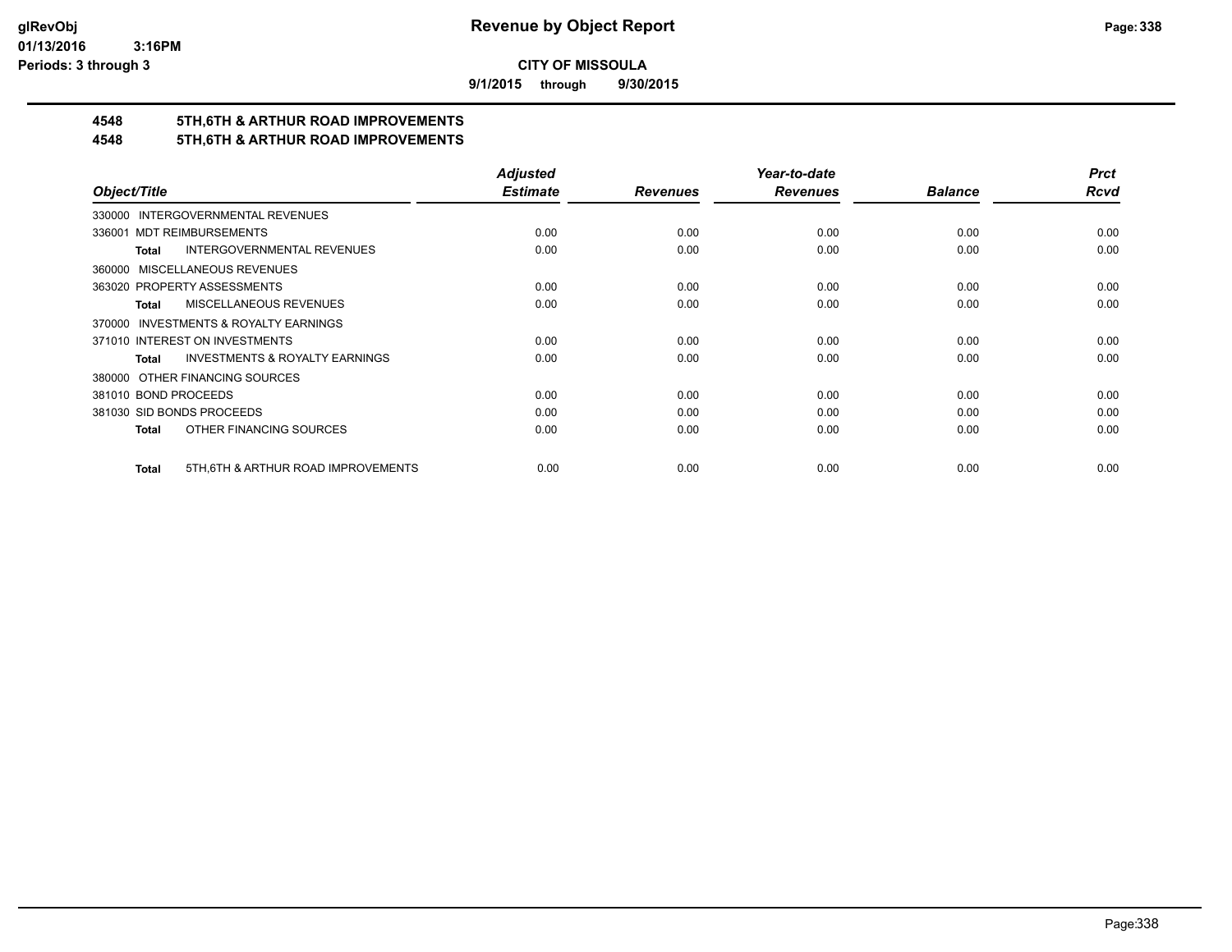**9/1/2015 through 9/30/2015**

## **4548 5TH,6TH & ARTHUR ROAD IMPROVEMENTS**

### **4548 5TH,6TH & ARTHUR ROAD IMPROVEMENTS**

|                                                           | <b>Adjusted</b> |                 | Year-to-date    |                | <b>Prct</b> |
|-----------------------------------------------------------|-----------------|-----------------|-----------------|----------------|-------------|
| Object/Title                                              | <b>Estimate</b> | <b>Revenues</b> | <b>Revenues</b> | <b>Balance</b> | <b>Rcvd</b> |
| 330000 INTERGOVERNMENTAL REVENUES                         |                 |                 |                 |                |             |
| <b>MDT REIMBURSEMENTS</b><br>336001                       | 0.00            | 0.00            | 0.00            | 0.00           | 0.00        |
| <b>INTERGOVERNMENTAL REVENUES</b><br>Total                | 0.00            | 0.00            | 0.00            | 0.00           | 0.00        |
| 360000 MISCELLANEOUS REVENUES                             |                 |                 |                 |                |             |
| 363020 PROPERTY ASSESSMENTS                               | 0.00            | 0.00            | 0.00            | 0.00           | 0.00        |
| MISCELLANEOUS REVENUES<br>Total                           | 0.00            | 0.00            | 0.00            | 0.00           | 0.00        |
| 370000 INVESTMENTS & ROYALTY EARNINGS                     |                 |                 |                 |                |             |
| 371010 INTEREST ON INVESTMENTS                            | 0.00            | 0.00            | 0.00            | 0.00           | 0.00        |
| <b>INVESTMENTS &amp; ROYALTY EARNINGS</b><br><b>Total</b> | 0.00            | 0.00            | 0.00            | 0.00           | 0.00        |
| 380000 OTHER FINANCING SOURCES                            |                 |                 |                 |                |             |
| 381010 BOND PROCEEDS                                      | 0.00            | 0.00            | 0.00            | 0.00           | 0.00        |
| 381030 SID BONDS PROCEEDS                                 | 0.00            | 0.00            | 0.00            | 0.00           | 0.00        |
| OTHER FINANCING SOURCES<br><b>Total</b>                   | 0.00            | 0.00            | 0.00            | 0.00           | 0.00        |
| 5TH, 6TH & ARTHUR ROAD IMPROVEMENTS<br><b>Total</b>       | 0.00            | 0.00            | 0.00            | 0.00           | 0.00        |
|                                                           |                 |                 |                 |                |             |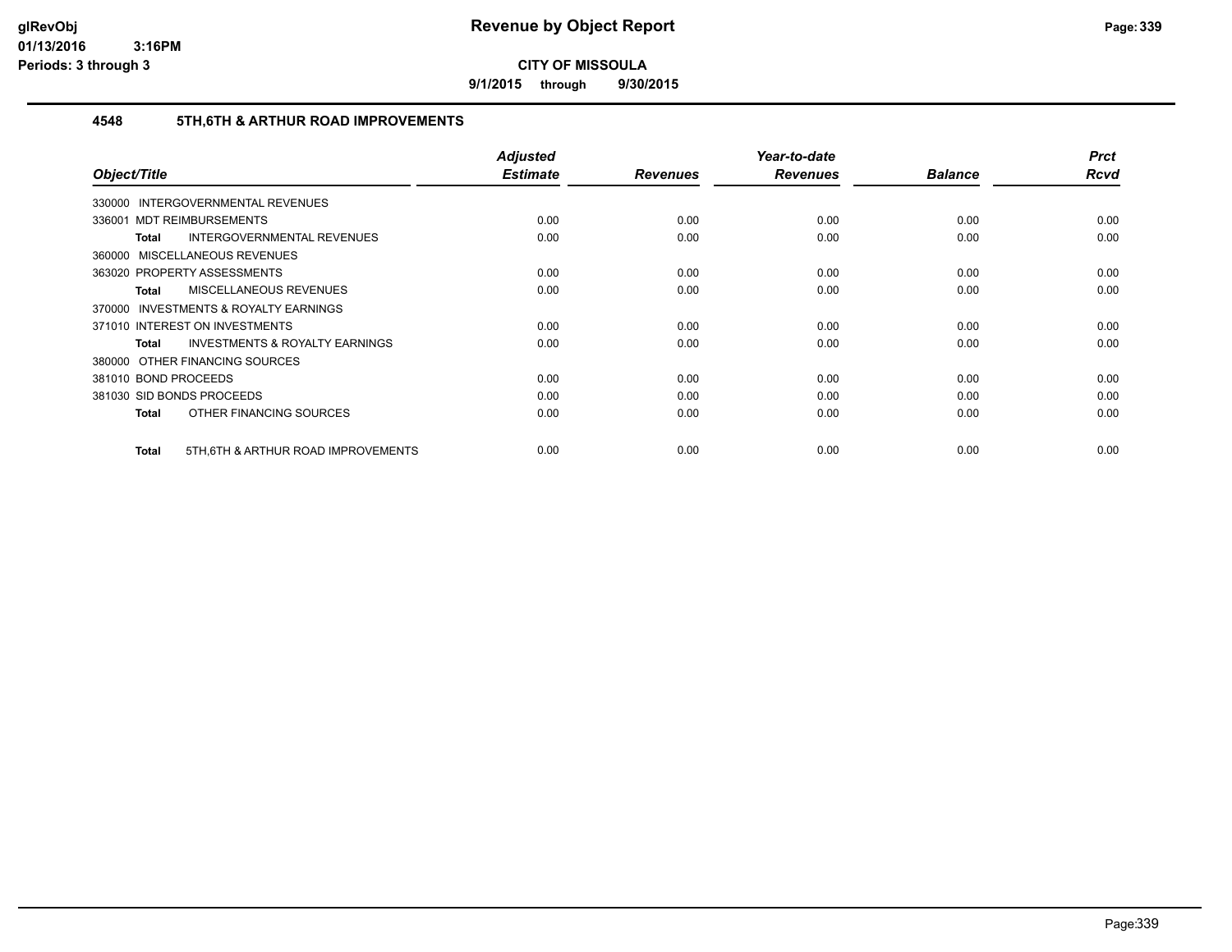**9/1/2015 through 9/30/2015**

#### **4548 5TH,6TH & ARTHUR ROAD IMPROVEMENTS**

| Object/Title                                       | <b>Adjusted</b><br><b>Estimate</b> | <b>Revenues</b> | Year-to-date<br><b>Revenues</b> | <b>Balance</b> | <b>Prct</b><br><b>Rcvd</b> |
|----------------------------------------------------|------------------------------------|-----------------|---------------------------------|----------------|----------------------------|
| <b>INTERGOVERNMENTAL REVENUES</b><br>330000        |                                    |                 |                                 |                |                            |
| 336001 MDT REIMBURSEMENTS                          | 0.00                               | 0.00            | 0.00                            | 0.00           | 0.00                       |
| <b>INTERGOVERNMENTAL REVENUES</b><br><b>Total</b>  | 0.00                               | 0.00            | 0.00                            | 0.00           | 0.00                       |
| 360000 MISCELLANEOUS REVENUES                      |                                    |                 |                                 |                |                            |
| 363020 PROPERTY ASSESSMENTS                        | 0.00                               | 0.00            | 0.00                            | 0.00           | 0.00                       |
| <b>MISCELLANEOUS REVENUES</b><br><b>Total</b>      | 0.00                               | 0.00            | 0.00                            | 0.00           | 0.00                       |
| 370000 INVESTMENTS & ROYALTY EARNINGS              |                                    |                 |                                 |                |                            |
| 371010 INTEREST ON INVESTMENTS                     | 0.00                               | 0.00            | 0.00                            | 0.00           | 0.00                       |
| <b>INVESTMENTS &amp; ROYALTY EARNINGS</b><br>Total | 0.00                               | 0.00            | 0.00                            | 0.00           | 0.00                       |
| 380000 OTHER FINANCING SOURCES                     |                                    |                 |                                 |                |                            |
| 381010 BOND PROCEEDS                               | 0.00                               | 0.00            | 0.00                            | 0.00           | 0.00                       |
| 381030 SID BONDS PROCEEDS                          | 0.00                               | 0.00            | 0.00                            | 0.00           | 0.00                       |
| OTHER FINANCING SOURCES<br>Total                   | 0.00                               | 0.00            | 0.00                            | 0.00           | 0.00                       |
| 5TH, 6TH & ARTHUR ROAD IMPROVEMENTS<br>Total       | 0.00                               | 0.00            | 0.00                            | 0.00           | 0.00                       |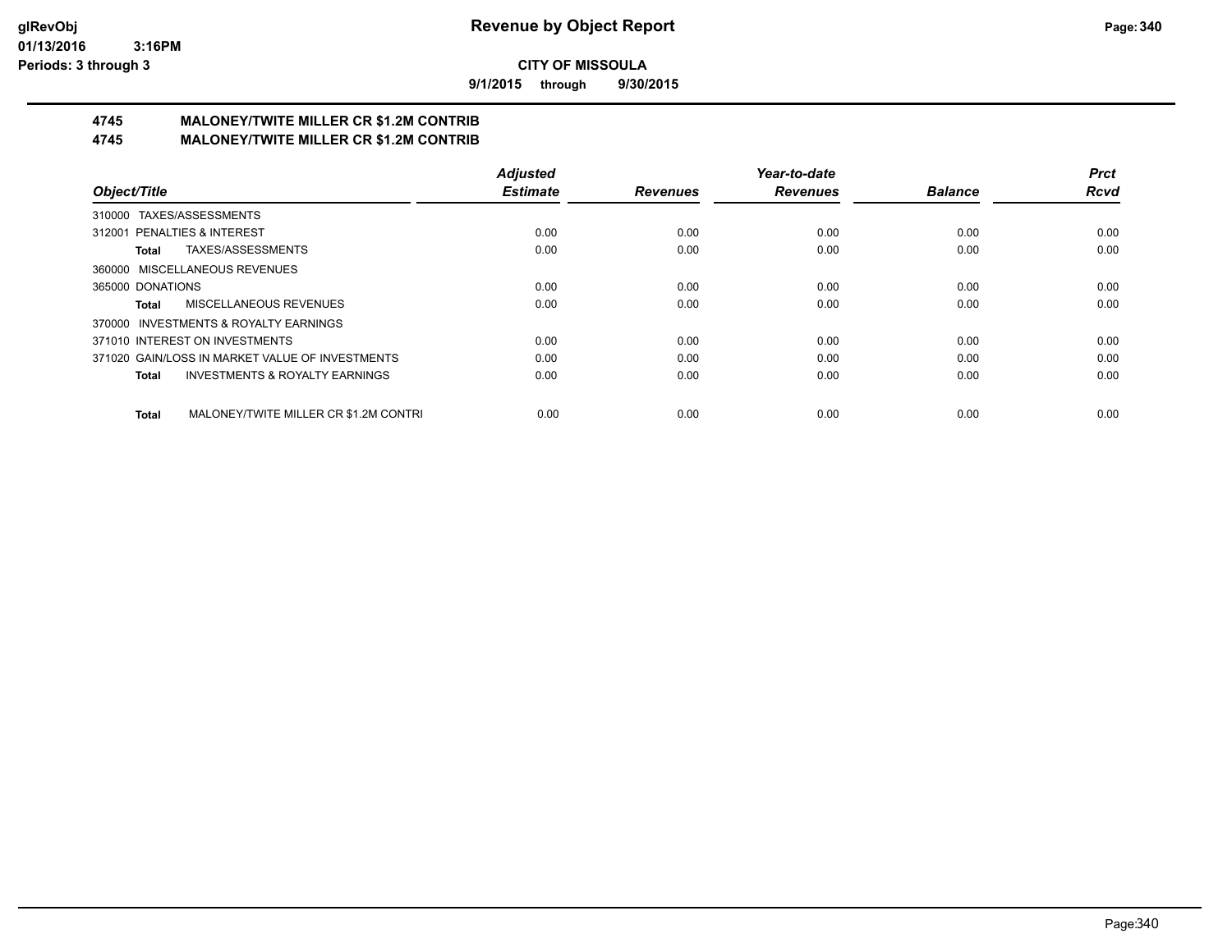**9/1/2015 through 9/30/2015**

# **4745 MALONEY/TWITE MILLER CR \$1.2M CONTRIB**

**4745 MALONEY/TWITE MILLER CR \$1.2M CONTRIB**

|                                                           | <b>Adjusted</b> |                 | Year-to-date    |                | <b>Prct</b> |
|-----------------------------------------------------------|-----------------|-----------------|-----------------|----------------|-------------|
| Object/Title                                              | <b>Estimate</b> | <b>Revenues</b> | <b>Revenues</b> | <b>Balance</b> | <b>Rcvd</b> |
| 310000 TAXES/ASSESSMENTS                                  |                 |                 |                 |                |             |
| 312001 PENALTIES & INTEREST                               | 0.00            | 0.00            | 0.00            | 0.00           | 0.00        |
| TAXES/ASSESSMENTS<br>Total                                | 0.00            | 0.00            | 0.00            | 0.00           | 0.00        |
| 360000 MISCELLANEOUS REVENUES                             |                 |                 |                 |                |             |
| 365000 DONATIONS                                          | 0.00            | 0.00            | 0.00            | 0.00           | 0.00        |
| MISCELLANEOUS REVENUES<br>Total                           | 0.00            | 0.00            | 0.00            | 0.00           | 0.00        |
| 370000 INVESTMENTS & ROYALTY EARNINGS                     |                 |                 |                 |                |             |
| 371010 INTEREST ON INVESTMENTS                            | 0.00            | 0.00            | 0.00            | 0.00           | 0.00        |
| 371020 GAIN/LOSS IN MARKET VALUE OF INVESTMENTS           | 0.00            | 0.00            | 0.00            | 0.00           | 0.00        |
| <b>INVESTMENTS &amp; ROYALTY EARNINGS</b><br><b>Total</b> | 0.00            | 0.00            | 0.00            | 0.00           | 0.00        |
| MALONEY/TWITE MILLER CR \$1.2M CONTRI<br><b>Total</b>     | 0.00            | 0.00            | 0.00            | 0.00           | 0.00        |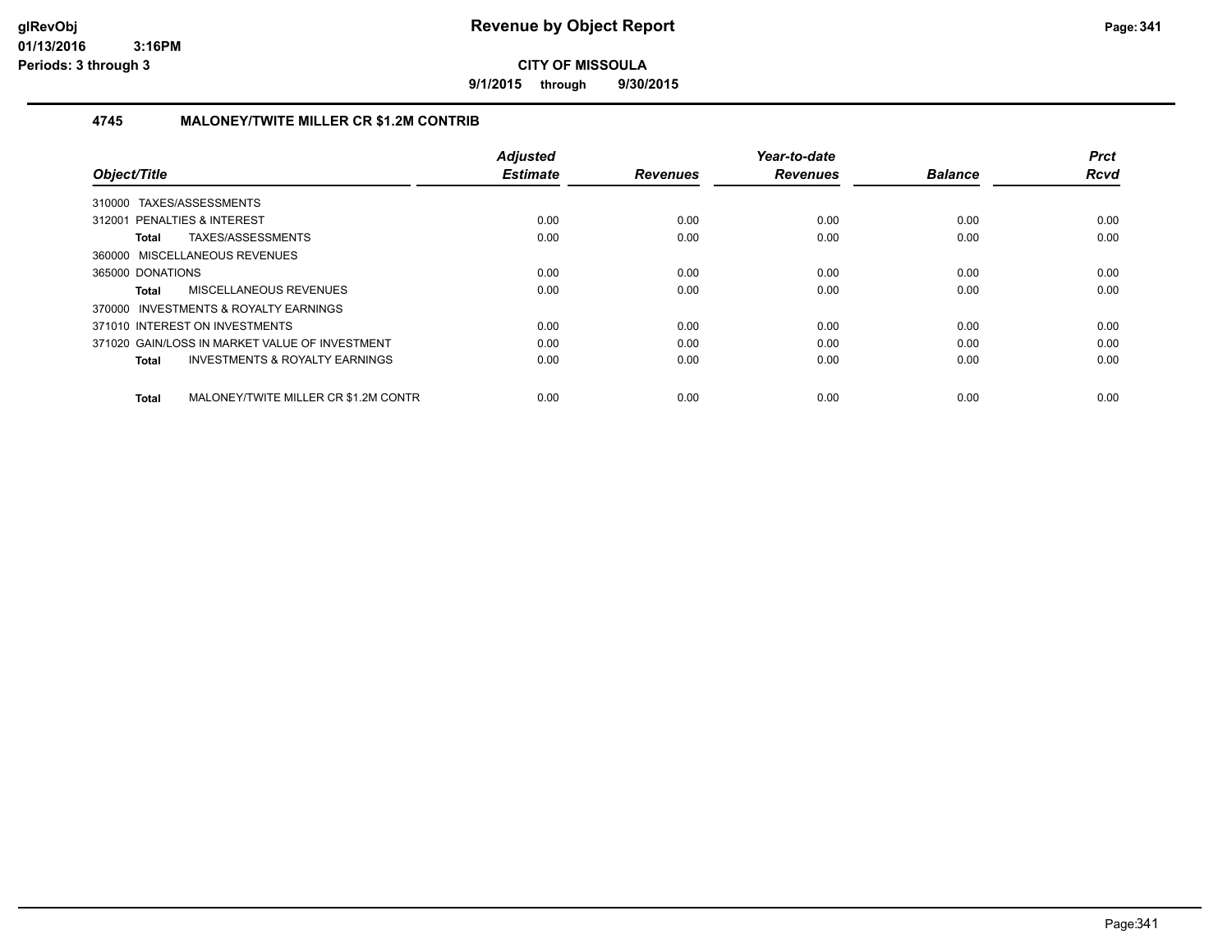**9/1/2015 through 9/30/2015**

#### **4745 MALONEY/TWITE MILLER CR \$1.2M CONTRIB**

| Object/Title                                              | <b>Adjusted</b><br><b>Estimate</b> | <b>Revenues</b> | Year-to-date<br><b>Revenues</b> | <b>Balance</b> | <b>Prct</b><br><b>Rcvd</b> |
|-----------------------------------------------------------|------------------------------------|-----------------|---------------------------------|----------------|----------------------------|
| 310000 TAXES/ASSESSMENTS                                  |                                    |                 |                                 |                |                            |
| 312001 PENALTIES & INTEREST                               | 0.00                               | 0.00            | 0.00                            | 0.00           | 0.00                       |
| TAXES/ASSESSMENTS<br>Total                                | 0.00                               | 0.00            | 0.00                            | 0.00           | 0.00                       |
| 360000 MISCELLANEOUS REVENUES                             |                                    |                 |                                 |                |                            |
| 365000 DONATIONS                                          | 0.00                               | 0.00            | 0.00                            | 0.00           | 0.00                       |
| MISCELLANEOUS REVENUES<br>Total                           | 0.00                               | 0.00            | 0.00                            | 0.00           | 0.00                       |
| 370000 INVESTMENTS & ROYALTY EARNINGS                     |                                    |                 |                                 |                |                            |
| 371010 INTEREST ON INVESTMENTS                            | 0.00                               | 0.00            | 0.00                            | 0.00           | 0.00                       |
| 371020 GAIN/LOSS IN MARKET VALUE OF INVESTMENT            | 0.00                               | 0.00            | 0.00                            | 0.00           | 0.00                       |
| <b>INVESTMENTS &amp; ROYALTY EARNINGS</b><br><b>Total</b> | 0.00                               | 0.00            | 0.00                            | 0.00           | 0.00                       |
| MALONEY/TWITE MILLER CR \$1.2M CONTR<br>Total             | 0.00                               | 0.00            | 0.00                            | 0.00           | 0.00                       |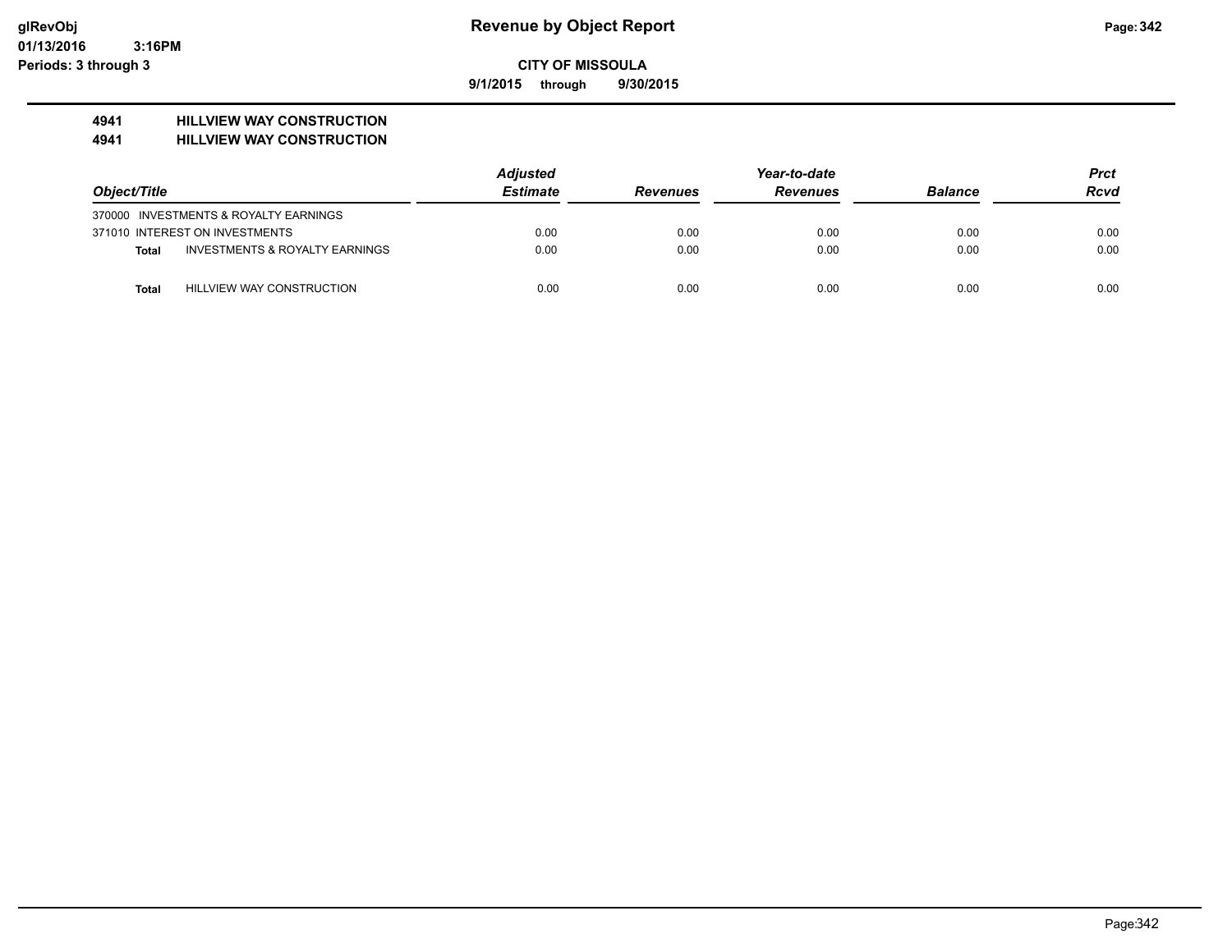**9/1/2015 through 9/30/2015**

## **4941 HILLVIEW WAY CONSTRUCTION**

**4941 HILLVIEW WAY CONSTRUCTION**

|                                           | <b>Adjusted</b> |                 | Year-to-date    |                | Prct |
|-------------------------------------------|-----------------|-----------------|-----------------|----------------|------|
| Object/Title                              | <b>Estimate</b> | <b>Revenues</b> | <b>Revenues</b> | <b>Balance</b> | Rcvd |
| 370000 INVESTMENTS & ROYALTY EARNINGS     |                 |                 |                 |                |      |
| 371010 INTEREST ON INVESTMENTS            | 0.00            | 0.00            | 0.00            | 0.00           | 0.00 |
| INVESTMENTS & ROYALTY EARNINGS<br>Total   | 0.00            | 0.00            | 0.00            | 0.00           | 0.00 |
| HILLVIEW WAY CONSTRUCTION<br><b>Total</b> | 0.00            | 0.00            | 0.00            | 0.00           | 0.00 |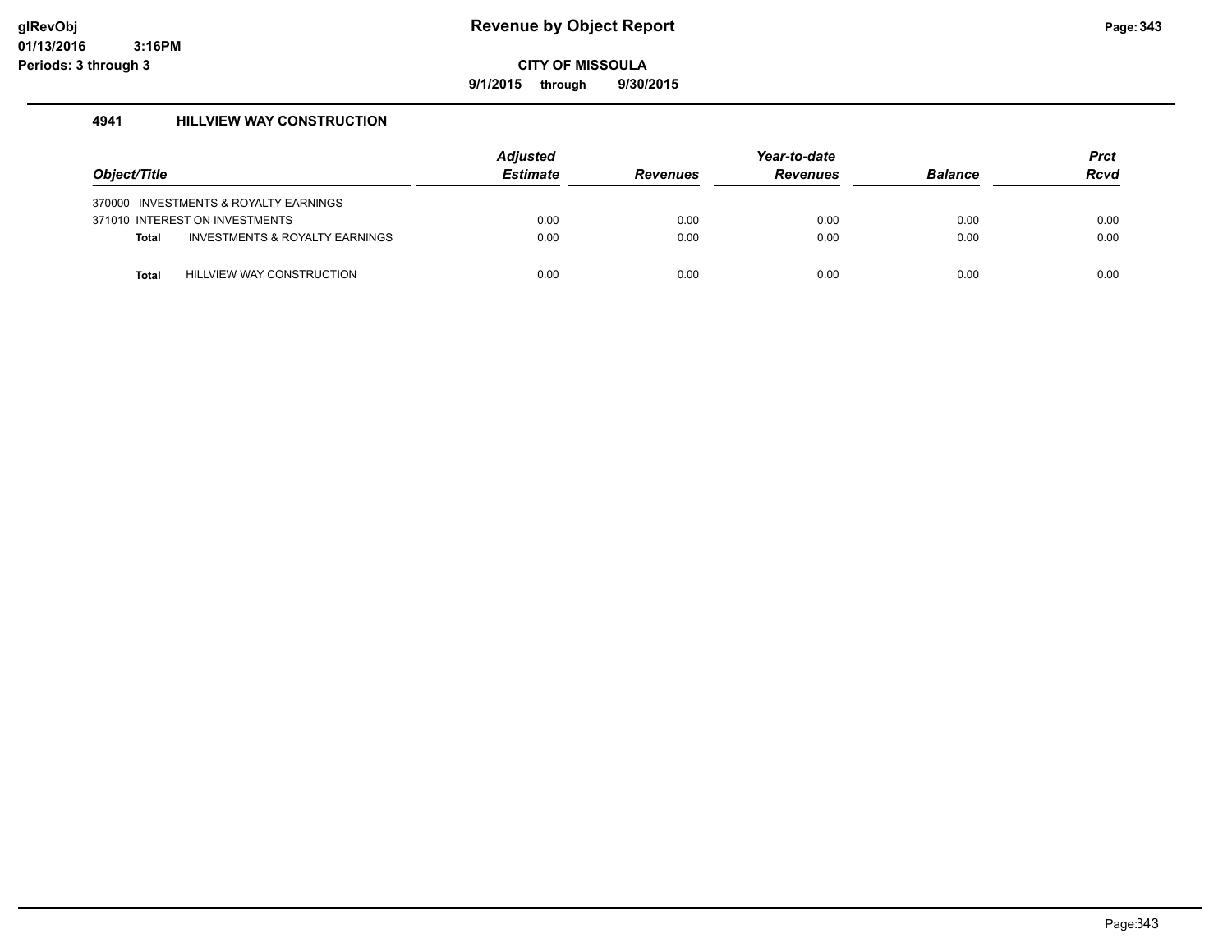**9/1/2015 through 9/30/2015**

#### **4941 HILLVIEW WAY CONSTRUCTION**

|              |                                           | <b>Adjusted</b> |                 | Year-to-date    |                | <b>Prct</b> |
|--------------|-------------------------------------------|-----------------|-----------------|-----------------|----------------|-------------|
| Object/Title |                                           | <b>Estimate</b> | <b>Revenues</b> | <b>Revenues</b> | <b>Balance</b> | <b>Rcvd</b> |
|              | 370000 INVESTMENTS & ROYALTY EARNINGS     |                 |                 |                 |                |             |
|              | 371010 INTEREST ON INVESTMENTS            | 0.00            | 0.00            | 0.00            | 0.00           | 0.00        |
| <b>Total</b> | <b>INVESTMENTS &amp; ROYALTY EARNINGS</b> | 0.00            | 0.00            | 0.00            | 0.00           | 0.00        |
| <b>Total</b> | <b>HILLVIEW WAY CONSTRUCTION</b>          | 0.00            | 0.00            | 0.00            | 0.00           | 0.00        |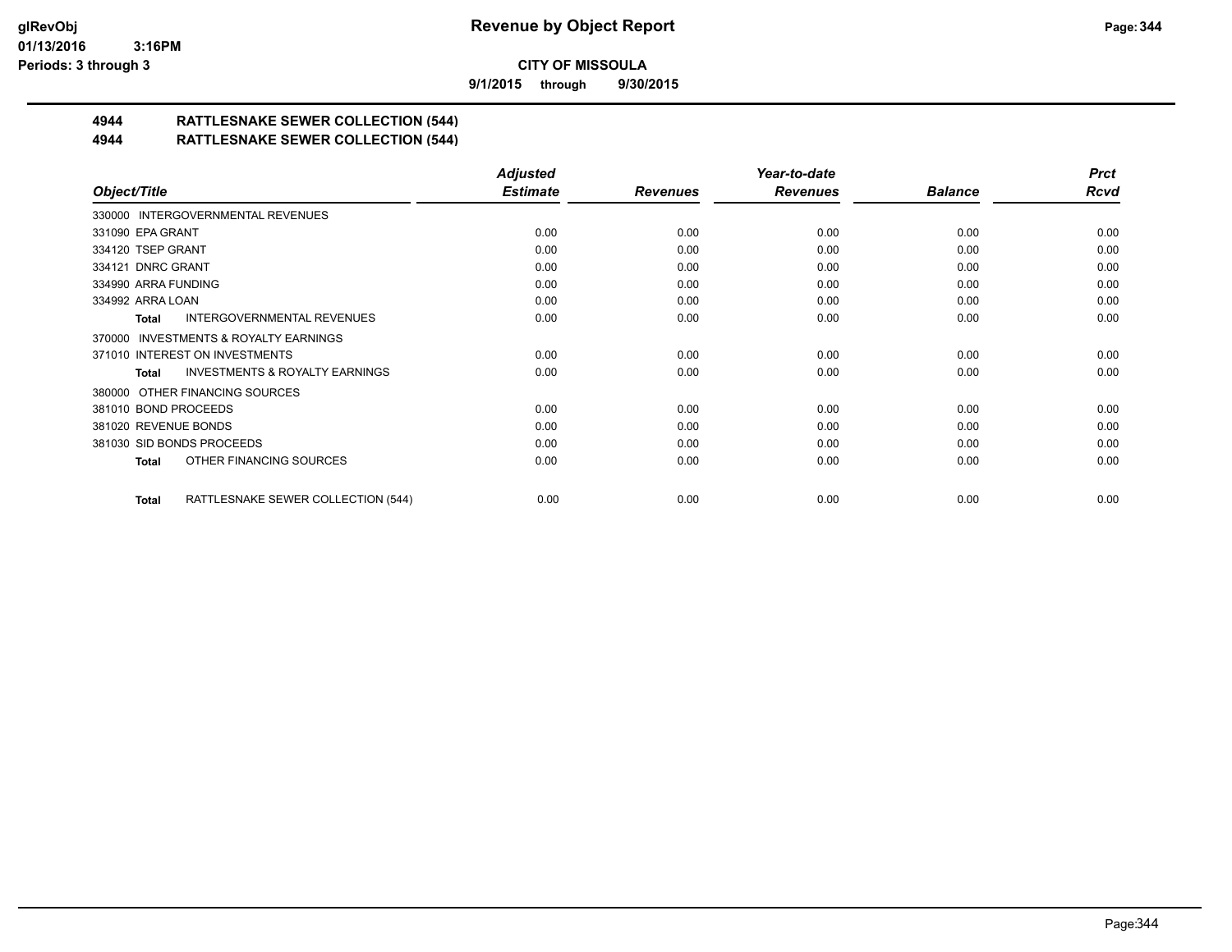**9/1/2015 through 9/30/2015**

## **4944 RATTLESNAKE SEWER COLLECTION (544)**

**4944 RATTLESNAKE SEWER COLLECTION (544)**

|                                                           | <b>Adjusted</b> |                 | Year-to-date    |                | <b>Prct</b> |
|-----------------------------------------------------------|-----------------|-----------------|-----------------|----------------|-------------|
| Object/Title                                              | <b>Estimate</b> | <b>Revenues</b> | <b>Revenues</b> | <b>Balance</b> | Rcvd        |
| 330000 INTERGOVERNMENTAL REVENUES                         |                 |                 |                 |                |             |
| 331090 EPA GRANT                                          | 0.00            | 0.00            | 0.00            | 0.00           | 0.00        |
| 334120 TSEP GRANT                                         | 0.00            | 0.00            | 0.00            | 0.00           | 0.00        |
| 334121 DNRC GRANT                                         | 0.00            | 0.00            | 0.00            | 0.00           | 0.00        |
| 334990 ARRA FUNDING                                       | 0.00            | 0.00            | 0.00            | 0.00           | 0.00        |
| 334992 ARRA LOAN                                          | 0.00            | 0.00            | 0.00            | 0.00           | 0.00        |
| <b>INTERGOVERNMENTAL REVENUES</b><br><b>Total</b>         | 0.00            | 0.00            | 0.00            | 0.00           | 0.00        |
| <b>INVESTMENTS &amp; ROYALTY EARNINGS</b><br>370000       |                 |                 |                 |                |             |
| 371010 INTEREST ON INVESTMENTS                            | 0.00            | 0.00            | 0.00            | 0.00           | 0.00        |
| <b>INVESTMENTS &amp; ROYALTY EARNINGS</b><br><b>Total</b> | 0.00            | 0.00            | 0.00            | 0.00           | 0.00        |
| OTHER FINANCING SOURCES<br>380000                         |                 |                 |                 |                |             |
| 381010 BOND PROCEEDS                                      | 0.00            | 0.00            | 0.00            | 0.00           | 0.00        |
| 381020 REVENUE BONDS                                      | 0.00            | 0.00            | 0.00            | 0.00           | 0.00        |
| 381030 SID BONDS PROCEEDS                                 | 0.00            | 0.00            | 0.00            | 0.00           | 0.00        |
| OTHER FINANCING SOURCES<br>Total                          | 0.00            | 0.00            | 0.00            | 0.00           | 0.00        |
| RATTLESNAKE SEWER COLLECTION (544)<br><b>Total</b>        | 0.00            | 0.00            | 0.00            | 0.00           | 0.00        |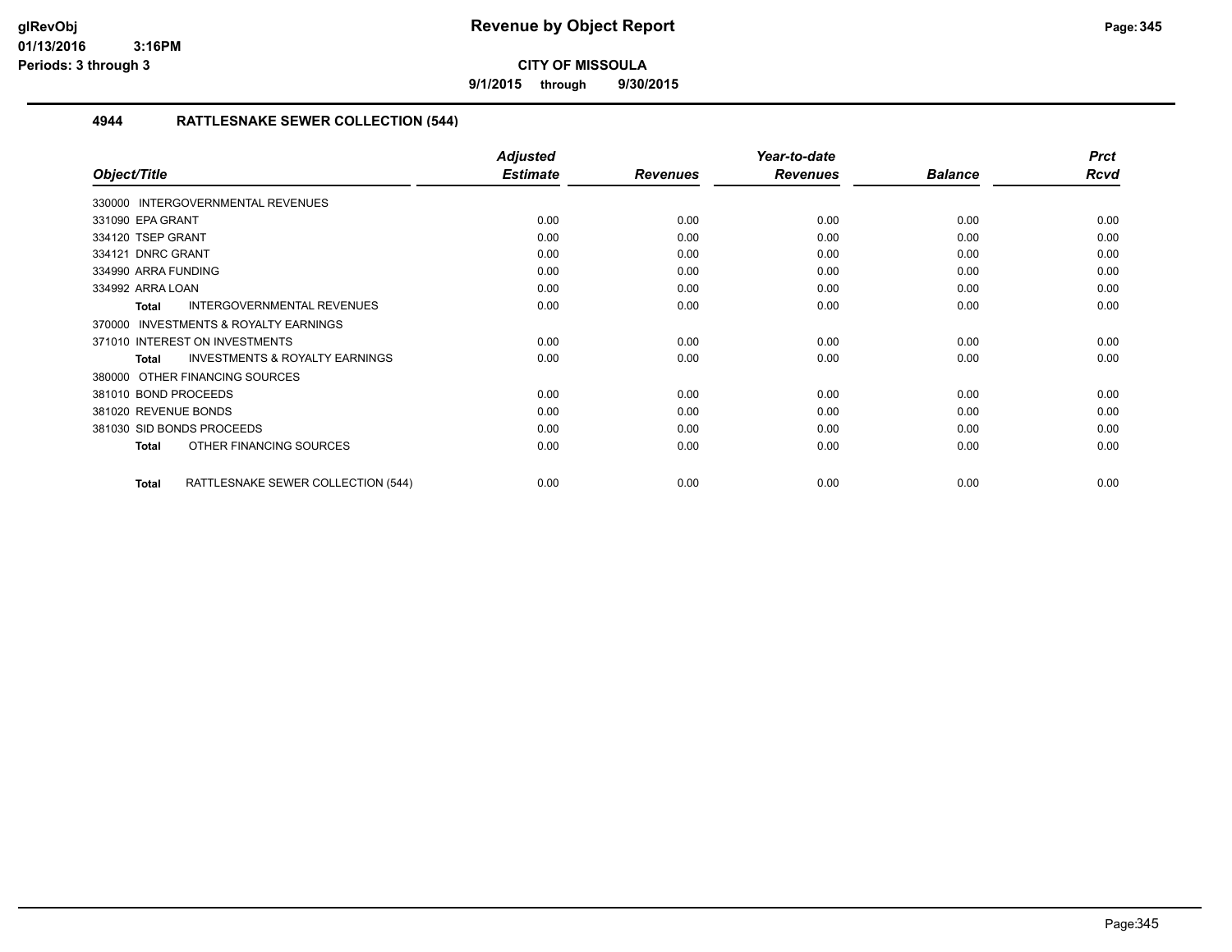**9/1/2015 through 9/30/2015**

#### **4944 RATTLESNAKE SEWER COLLECTION (544)**

|                                                     | <b>Adjusted</b> |                 | Year-to-date    |                | <b>Prct</b> |
|-----------------------------------------------------|-----------------|-----------------|-----------------|----------------|-------------|
| Object/Title                                        | <b>Estimate</b> | <b>Revenues</b> | <b>Revenues</b> | <b>Balance</b> | <b>Rcvd</b> |
| 330000 INTERGOVERNMENTAL REVENUES                   |                 |                 |                 |                |             |
| 331090 EPA GRANT                                    | 0.00            | 0.00            | 0.00            | 0.00           | 0.00        |
| 334120 TSEP GRANT                                   | 0.00            | 0.00            | 0.00            | 0.00           | 0.00        |
| 334121 DNRC GRANT                                   | 0.00            | 0.00            | 0.00            | 0.00           | 0.00        |
| 334990 ARRA FUNDING                                 | 0.00            | 0.00            | 0.00            | 0.00           | 0.00        |
| 334992 ARRA LOAN                                    | 0.00            | 0.00            | 0.00            | 0.00           | 0.00        |
| <b>INTERGOVERNMENTAL REVENUES</b><br><b>Total</b>   | 0.00            | 0.00            | 0.00            | 0.00           | 0.00        |
| <b>INVESTMENTS &amp; ROYALTY EARNINGS</b><br>370000 |                 |                 |                 |                |             |
| 371010 INTEREST ON INVESTMENTS                      | 0.00            | 0.00            | 0.00            | 0.00           | 0.00        |
| <b>INVESTMENTS &amp; ROYALTY EARNINGS</b><br>Total  | 0.00            | 0.00            | 0.00            | 0.00           | 0.00        |
| OTHER FINANCING SOURCES<br>380000                   |                 |                 |                 |                |             |
| 381010 BOND PROCEEDS                                | 0.00            | 0.00            | 0.00            | 0.00           | 0.00        |
| 381020 REVENUE BONDS                                | 0.00            | 0.00            | 0.00            | 0.00           | 0.00        |
| 381030 SID BONDS PROCEEDS                           | 0.00            | 0.00            | 0.00            | 0.00           | 0.00        |
| OTHER FINANCING SOURCES<br><b>Total</b>             | 0.00            | 0.00            | 0.00            | 0.00           | 0.00        |
| RATTLESNAKE SEWER COLLECTION (544)<br><b>Total</b>  | 0.00            | 0.00            | 0.00            | 0.00           | 0.00        |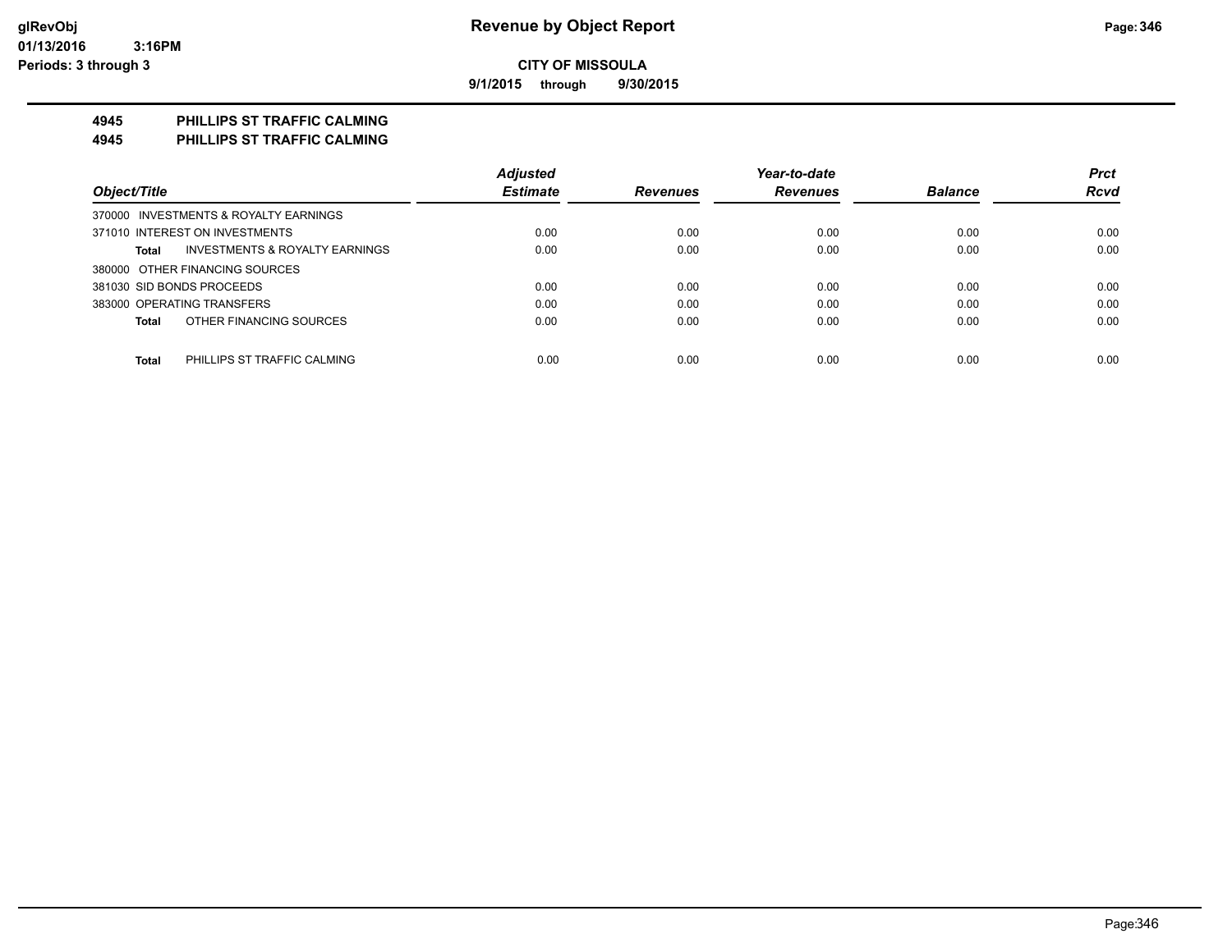**9/1/2015 through 9/30/2015**

#### **4945 PHILLIPS ST TRAFFIC CALMING**

**4945 PHILLIPS ST TRAFFIC CALMING**

|                                             | <b>Adjusted</b> |                 | Year-to-date    |                | <b>Prct</b> |
|---------------------------------------------|-----------------|-----------------|-----------------|----------------|-------------|
| Object/Title                                | <b>Estimate</b> | <b>Revenues</b> | <b>Revenues</b> | <b>Balance</b> | <b>Rcvd</b> |
| 370000 INVESTMENTS & ROYALTY EARNINGS       |                 |                 |                 |                |             |
| 371010 INTEREST ON INVESTMENTS              | 0.00            | 0.00            | 0.00            | 0.00           | 0.00        |
| INVESTMENTS & ROYALTY EARNINGS<br>Total     | 0.00            | 0.00            | 0.00            | 0.00           | 0.00        |
| 380000 OTHER FINANCING SOURCES              |                 |                 |                 |                |             |
| 381030 SID BONDS PROCEEDS                   | 0.00            | 0.00            | 0.00            | 0.00           | 0.00        |
| 383000 OPERATING TRANSFERS                  | 0.00            | 0.00            | 0.00            | 0.00           | 0.00        |
| OTHER FINANCING SOURCES<br>Total            | 0.00            | 0.00            | 0.00            | 0.00           | 0.00        |
|                                             |                 |                 |                 |                |             |
| <b>Total</b><br>PHILLIPS ST TRAFFIC CALMING | 0.00            | 0.00            | 0.00            | 0.00           | 0.00        |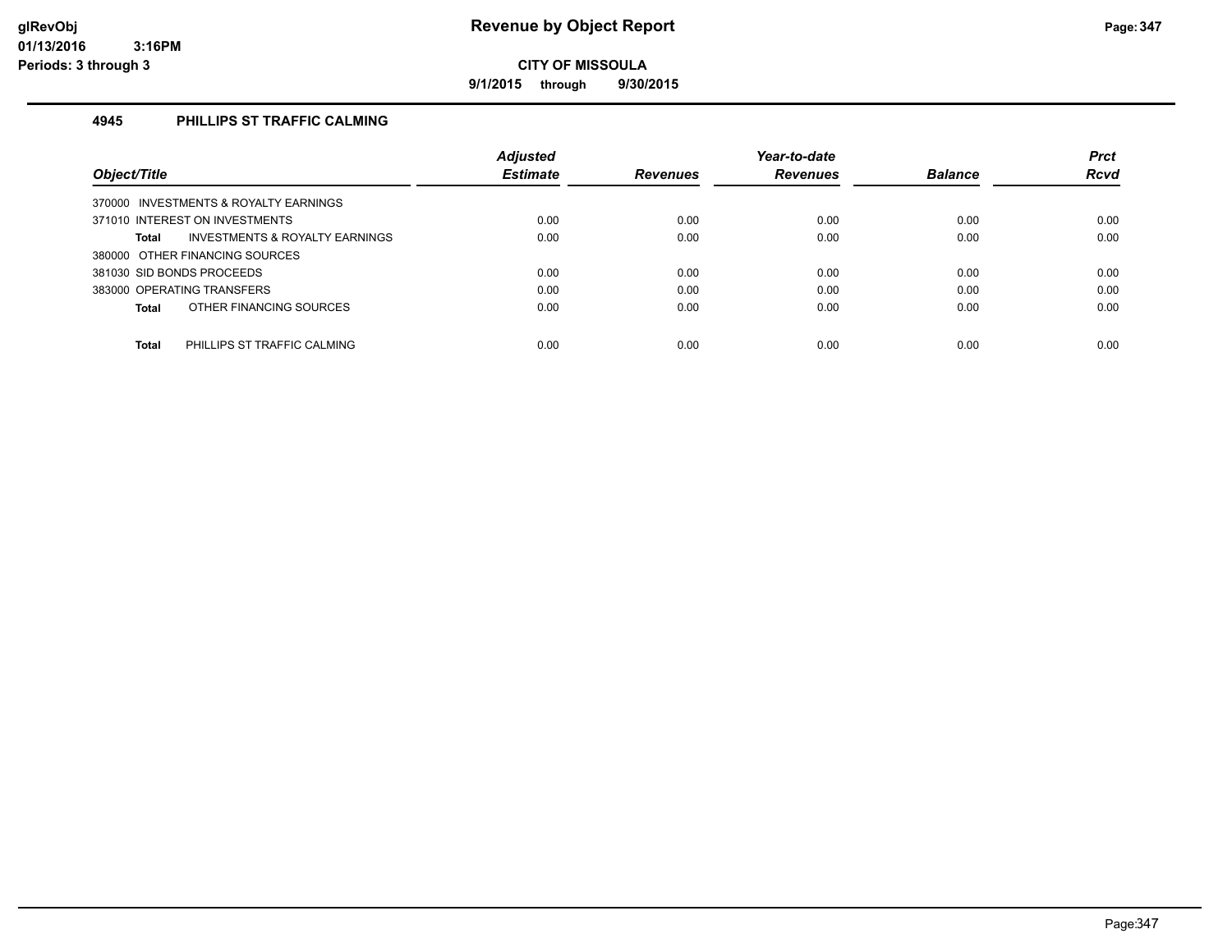**9/1/2015 through 9/30/2015**

#### **4945 PHILLIPS ST TRAFFIC CALMING**

|                                                    | <b>Adjusted</b> |                 | Year-to-date    |                | <b>Prct</b> |
|----------------------------------------------------|-----------------|-----------------|-----------------|----------------|-------------|
| Object/Title                                       | <b>Estimate</b> | <b>Revenues</b> | <b>Revenues</b> | <b>Balance</b> | Rcvd        |
| 370000 INVESTMENTS & ROYALTY EARNINGS              |                 |                 |                 |                |             |
| 371010 INTEREST ON INVESTMENTS                     | 0.00            | 0.00            | 0.00            | 0.00           | 0.00        |
| <b>INVESTMENTS &amp; ROYALTY EARNINGS</b><br>Total | 0.00            | 0.00            | 0.00            | 0.00           | 0.00        |
| 380000 OTHER FINANCING SOURCES                     |                 |                 |                 |                |             |
| 381030 SID BONDS PROCEEDS                          | 0.00            | 0.00            | 0.00            | 0.00           | 0.00        |
| 383000 OPERATING TRANSFERS                         | 0.00            | 0.00            | 0.00            | 0.00           | 0.00        |
| OTHER FINANCING SOURCES<br>Total                   | 0.00            | 0.00            | 0.00            | 0.00           | 0.00        |
|                                                    |                 |                 |                 |                |             |
| Total<br>PHILLIPS ST TRAFFIC CALMING               | 0.00            | 0.00            | 0.00            | 0.00           | 0.00        |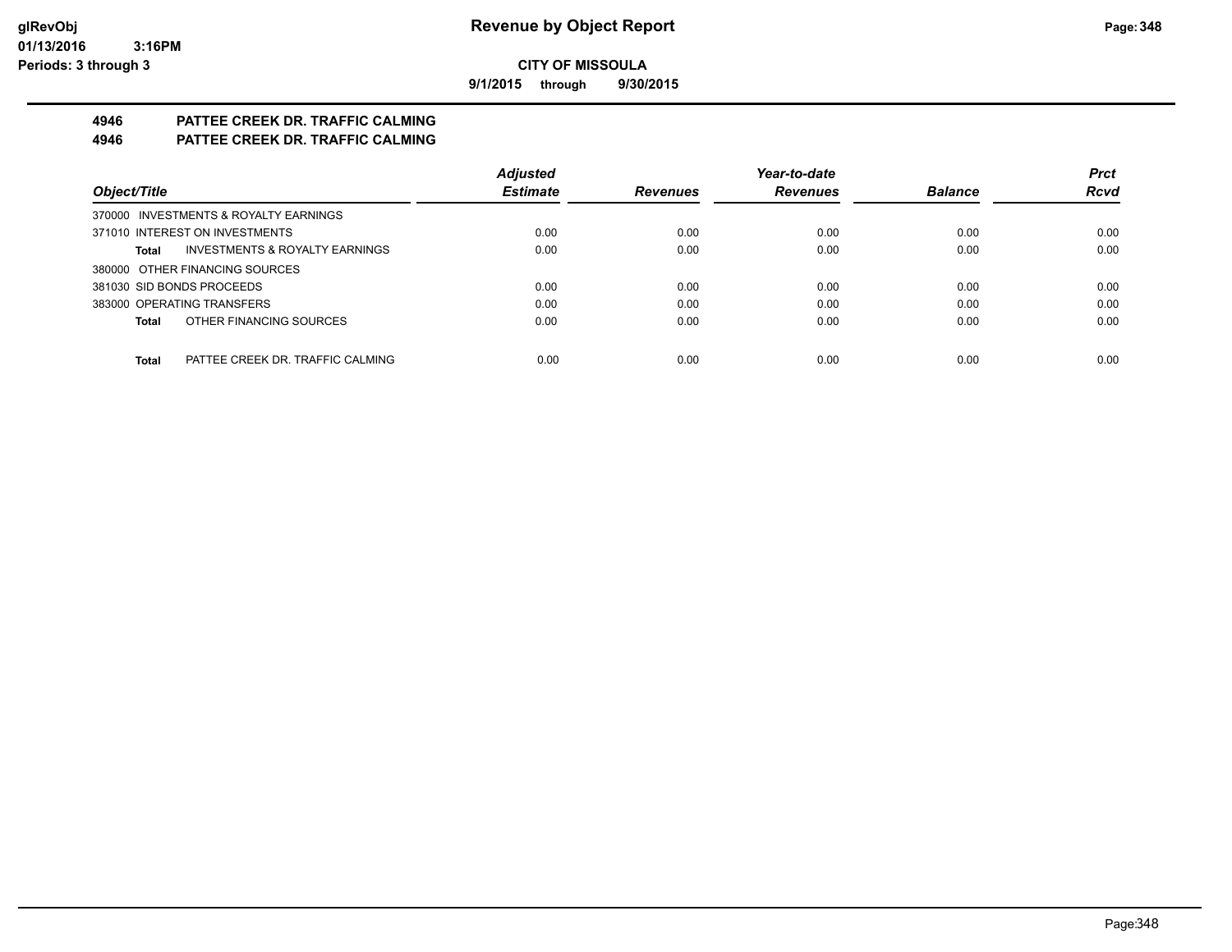**9/1/2015 through 9/30/2015**

# **4946 PATTEE CREEK DR. TRAFFIC CALMING**

**4946 PATTEE CREEK DR. TRAFFIC CALMING**

|                                                    | <b>Adjusted</b> |                 | Year-to-date    |                | <b>Prct</b> |
|----------------------------------------------------|-----------------|-----------------|-----------------|----------------|-------------|
| Object/Title                                       | <b>Estimate</b> | <b>Revenues</b> | <b>Revenues</b> | <b>Balance</b> | <b>Rcvd</b> |
| 370000 INVESTMENTS & ROYALTY EARNINGS              |                 |                 |                 |                |             |
| 371010 INTEREST ON INVESTMENTS                     | 0.00            | 0.00            | 0.00            | 0.00           | 0.00        |
| <b>INVESTMENTS &amp; ROYALTY EARNINGS</b><br>Total | 0.00            | 0.00            | 0.00            | 0.00           | 0.00        |
| 380000 OTHER FINANCING SOURCES                     |                 |                 |                 |                |             |
| 381030 SID BONDS PROCEEDS                          | 0.00            | 0.00            | 0.00            | 0.00           | 0.00        |
| 383000 OPERATING TRANSFERS                         | 0.00            | 0.00            | 0.00            | 0.00           | 0.00        |
| OTHER FINANCING SOURCES<br>Total                   | 0.00            | 0.00            | 0.00            | 0.00           | 0.00        |
|                                                    |                 |                 |                 |                |             |
| Total<br>PATTEE CREEK DR. TRAFFIC CALMING          | 0.00            | 0.00            | 0.00            | 0.00           | 0.00        |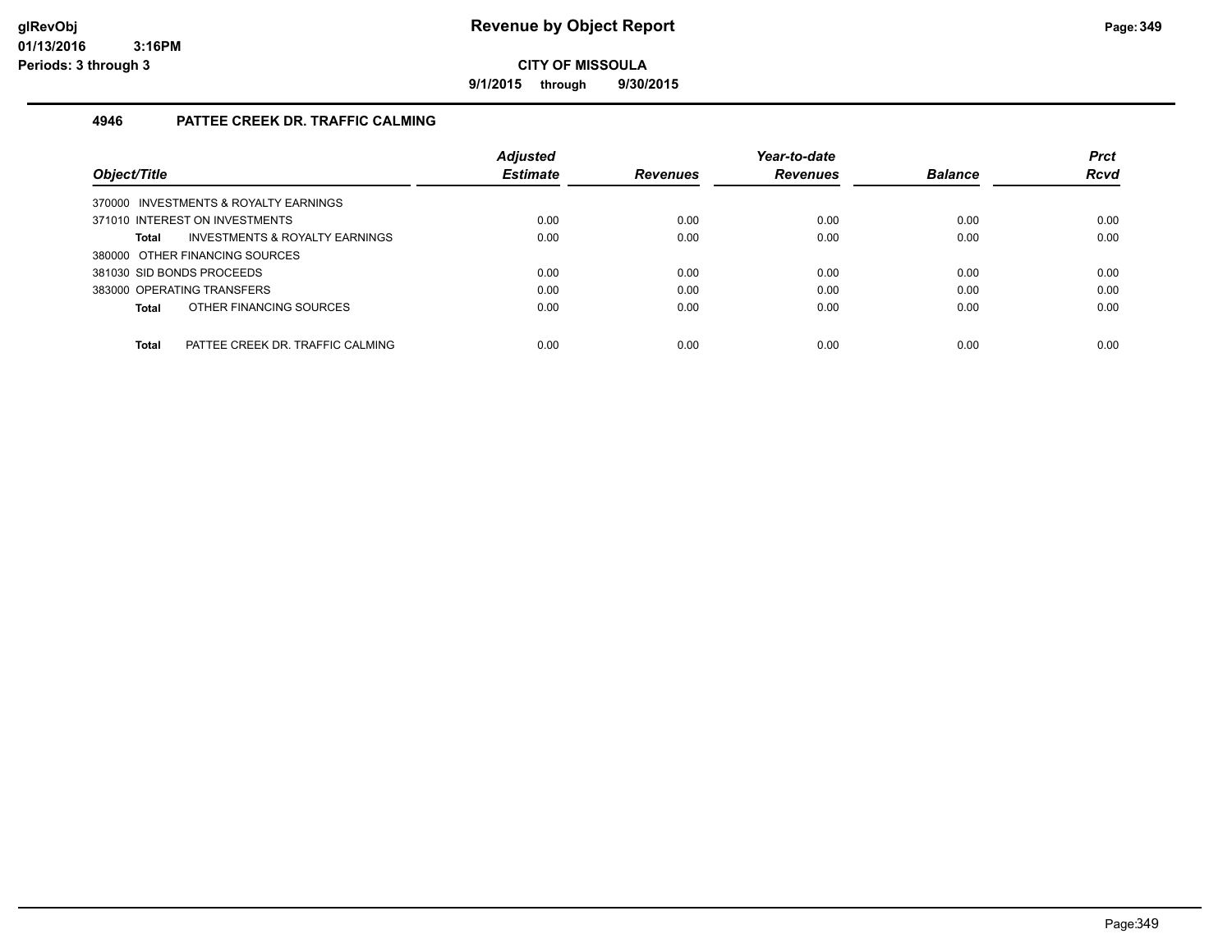**9/1/2015 through 9/30/2015**

#### **4946 PATTEE CREEK DR. TRAFFIC CALMING**

| Object/Title                                     | <b>Adjusted</b><br><b>Estimate</b> | <b>Revenues</b> | Year-to-date<br><b>Revenues</b> | <b>Balance</b> | <b>Prct</b><br><b>Rcvd</b> |
|--------------------------------------------------|------------------------------------|-----------------|---------------------------------|----------------|----------------------------|
| 370000 INVESTMENTS & ROYALTY EARNINGS            |                                    |                 |                                 |                |                            |
| 371010 INTEREST ON INVESTMENTS                   | 0.00                               | 0.00            | 0.00                            | 0.00           | 0.00                       |
| INVESTMENTS & ROYALTY EARNINGS<br>Total          | 0.00                               | 0.00            | 0.00                            | 0.00           | 0.00                       |
| 380000 OTHER FINANCING SOURCES                   |                                    |                 |                                 |                |                            |
| 381030 SID BONDS PROCEEDS                        | 0.00                               | 0.00            | 0.00                            | 0.00           | 0.00                       |
| 383000 OPERATING TRANSFERS                       | 0.00                               | 0.00            | 0.00                            | 0.00           | 0.00                       |
| OTHER FINANCING SOURCES<br>Total                 | 0.00                               | 0.00            | 0.00                            | 0.00           | 0.00                       |
|                                                  |                                    |                 |                                 |                |                            |
| <b>Total</b><br>PATTEE CREEK DR. TRAFFIC CALMING | 0.00                               | 0.00            | 0.00                            | 0.00           | 0.00                       |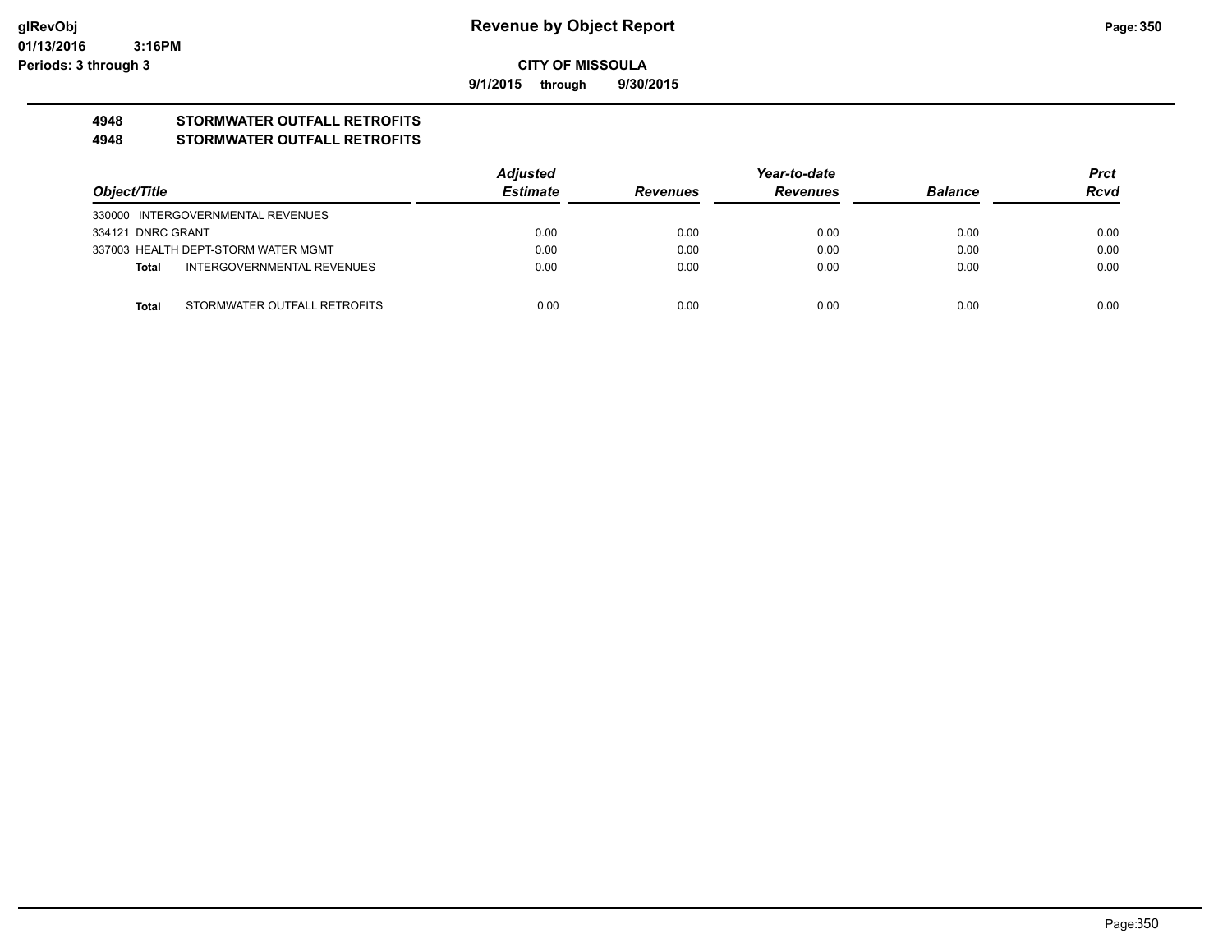**9/1/2015 through 9/30/2015**

## **4948 STORMWATER OUTFALL RETROFITS**

#### **4948 STORMWATER OUTFALL RETROFITS**

|                   |                                     | Adjusted        | Year-to-date    |                 |                | <b>Prct</b> |
|-------------------|-------------------------------------|-----------------|-----------------|-----------------|----------------|-------------|
| Object/Title      |                                     | <b>Estimate</b> | <b>Revenues</b> | <b>Revenues</b> | <b>Balance</b> | <b>Rcvd</b> |
|                   | 330000 INTERGOVERNMENTAL REVENUES   |                 |                 |                 |                |             |
| 334121 DNRC GRANT |                                     | 0.00            | 0.00            | 0.00            | 0.00           | 0.00        |
|                   | 337003 HEALTH DEPT-STORM WATER MGMT | 0.00            | 0.00            | 0.00            | 0.00           | 0.00        |
| Total             | INTERGOVERNMENTAL REVENUES          | 0.00            | 0.00            | 0.00            | 0.00           | 0.00        |
|                   |                                     |                 |                 |                 |                |             |
| Total             | STORMWATER OUTFALL RETROFITS        | 0.00            | 0.00            | 0.00            | 0.00           | 0.00        |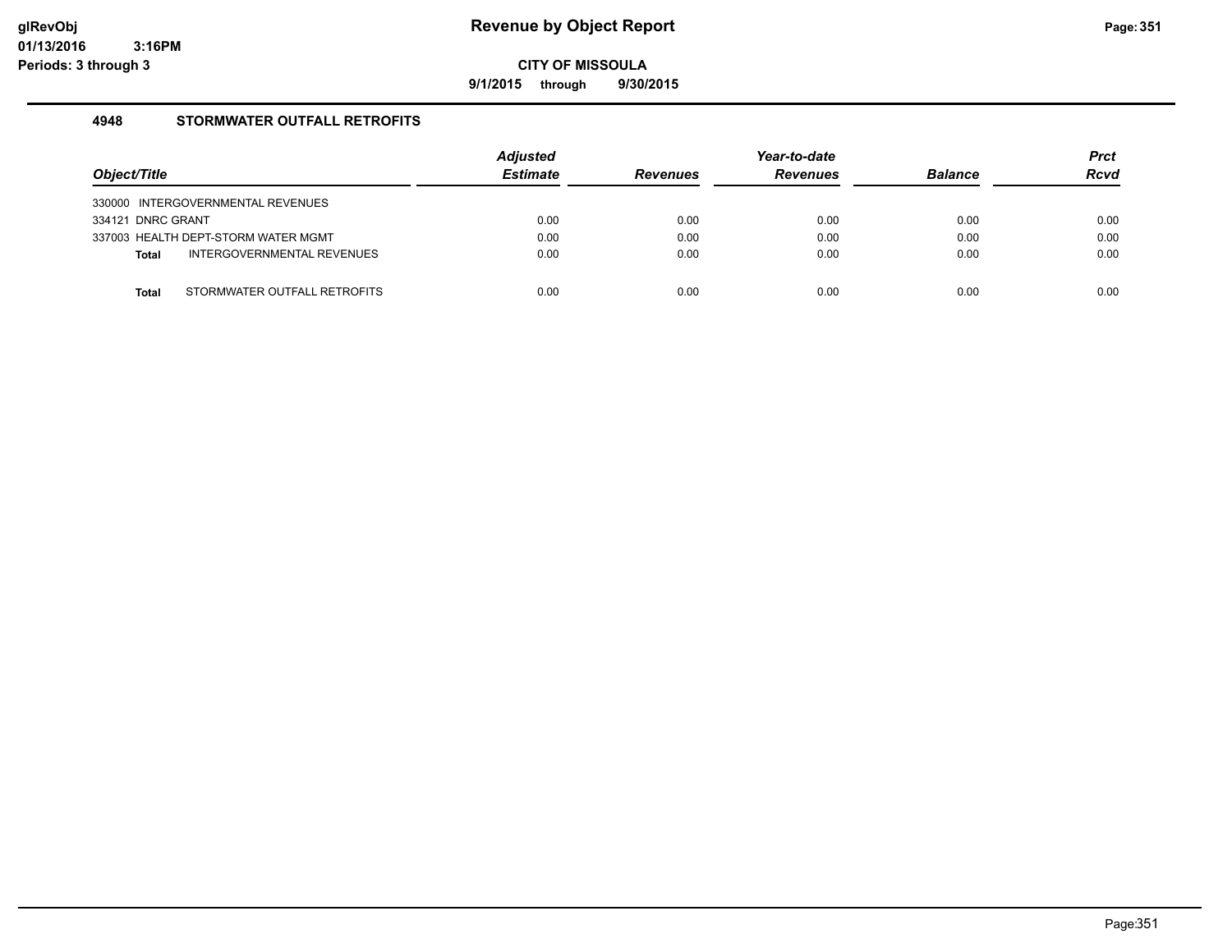**9/1/2015 through 9/30/2015**

#### **4948 STORMWATER OUTFALL RETROFITS**

| Object/Title                               | <b>Adjusted</b><br><b>Estimate</b> | <b>Revenues</b> | Year-to-date<br><b>Revenues</b> | <b>Balance</b> | <b>Prct</b><br><b>Rcvd</b> |
|--------------------------------------------|------------------------------------|-----------------|---------------------------------|----------------|----------------------------|
| 330000 INTERGOVERNMENTAL REVENUES          |                                    |                 |                                 |                |                            |
| 334121 DNRC GRANT                          | 0.00                               | 0.00            | 0.00                            | 0.00           | 0.00                       |
| 337003 HEALTH DEPT-STORM WATER MGMT        | 0.00                               | 0.00            | 0.00                            | 0.00           | 0.00                       |
| INTERGOVERNMENTAL REVENUES<br><b>Total</b> | 0.00                               | 0.00            | 0.00                            | 0.00           | 0.00                       |
|                                            |                                    |                 |                                 |                |                            |
| STORMWATER OUTFALL RETROFITS<br>Total      | 0.00                               | 0.00            | 0.00                            | 0.00           | 0.00                       |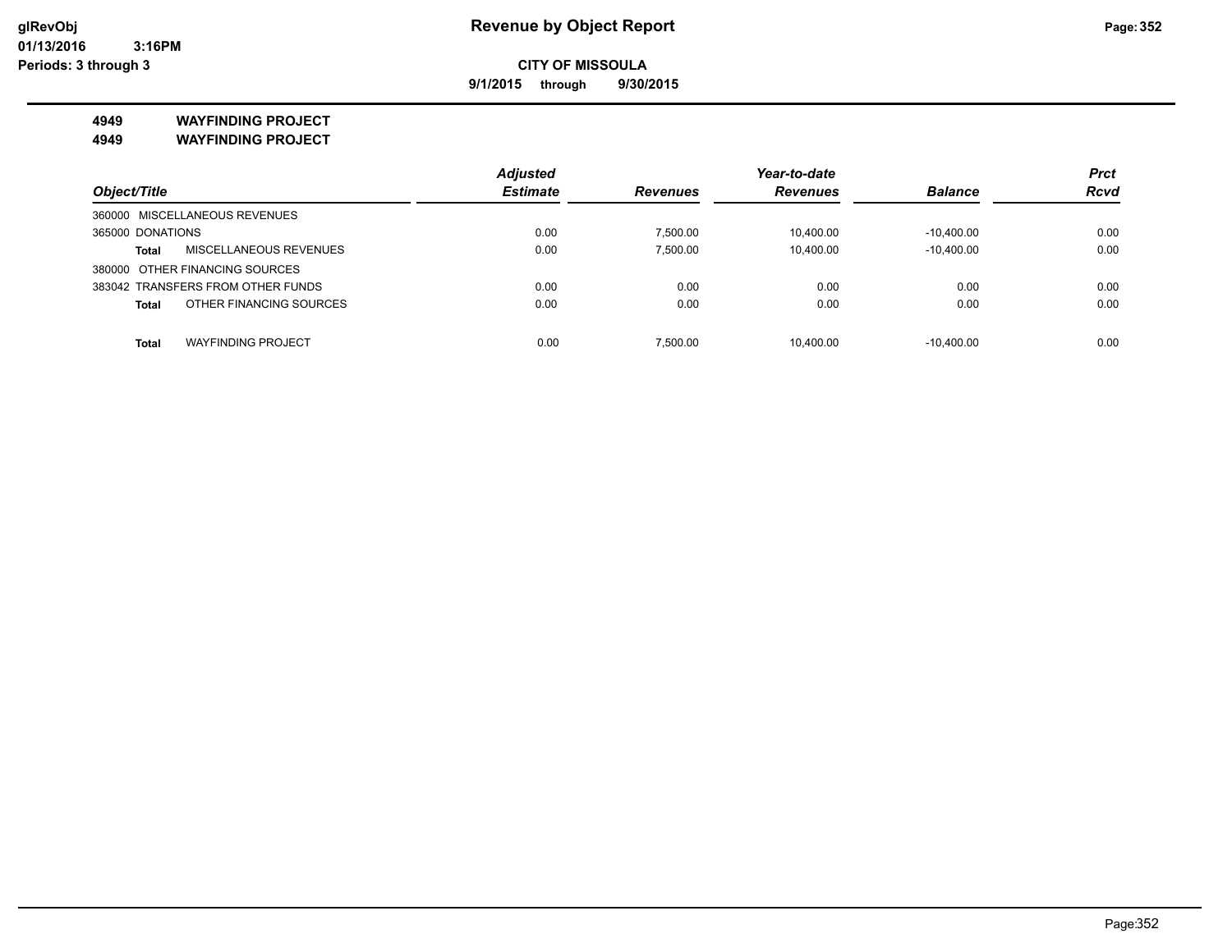**9/1/2015 through 9/30/2015**

**4949 WAYFINDING PROJECT**

**4949 WAYFINDING PROJECT**

| <b>Adjusted</b> |                 | Year-to-date    |                | <b>Prct</b>  |
|-----------------|-----------------|-----------------|----------------|--------------|
| <b>Estimate</b> | <b>Revenues</b> | <b>Revenues</b> | <b>Balance</b> | <b>Rcvd</b>  |
|                 |                 |                 |                |              |
| 0.00            | 7.500.00        | 10.400.00       | $-10.400.00$   | 0.00         |
| 0.00            | 7,500.00        | 10.400.00       | $-10.400.00$   | 0.00         |
|                 |                 |                 |                |              |
| 0.00            | 0.00            | 0.00            | 0.00           | 0.00         |
| 0.00            | 0.00            | 0.00            | 0.00           | 0.00         |
|                 |                 |                 |                | 0.00         |
|                 | 0.00            | 7.500.00        | 10.400.00      | $-10.400.00$ |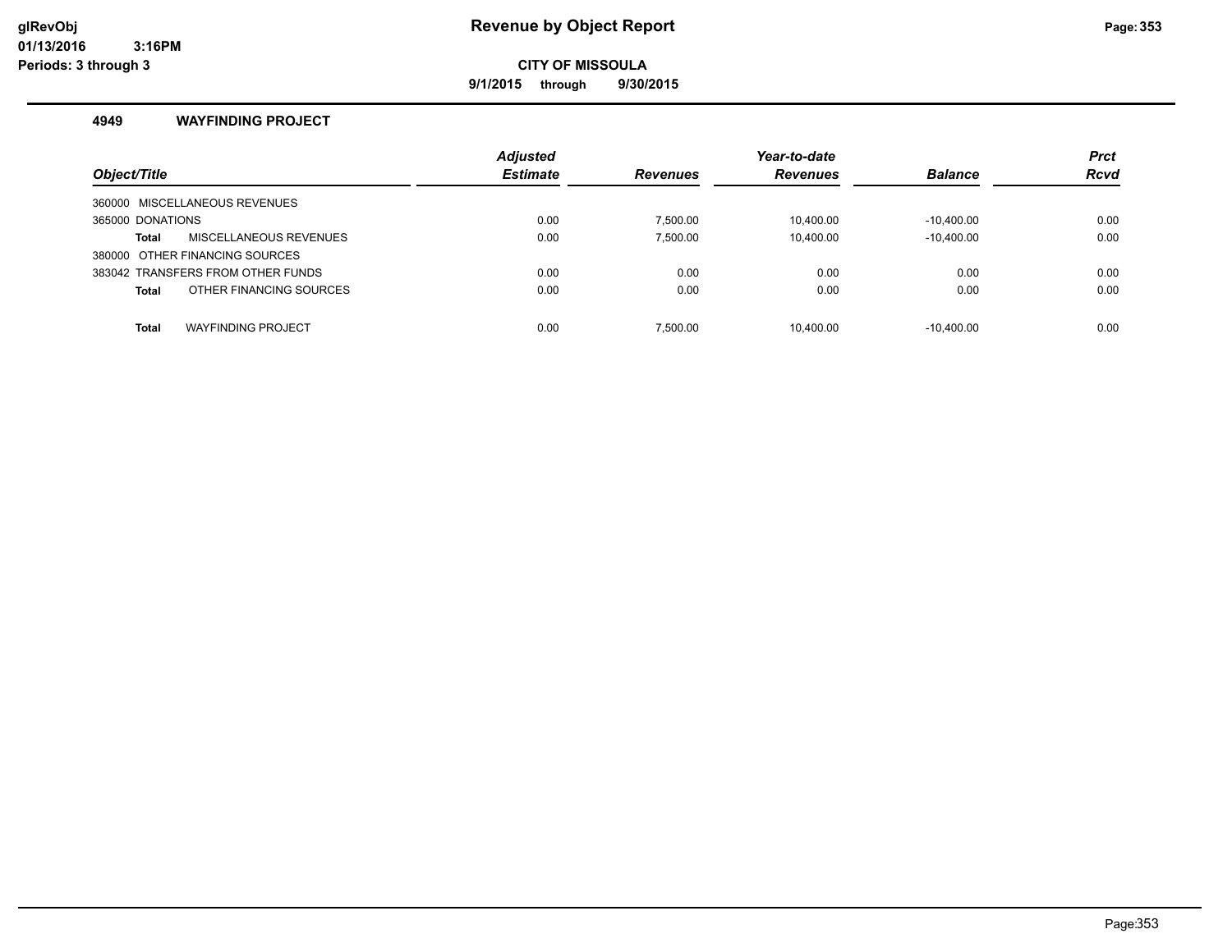### **glRevObj Revenue by Object Report Page:353**

**CITY OF MISSOULA**

**9/1/2015 through 9/30/2015**

#### **4949 WAYFINDING PROJECT**

|                                           | <b>Adjusted</b> |                 | Year-to-date    |                | <b>Prct</b> |
|-------------------------------------------|-----------------|-----------------|-----------------|----------------|-------------|
| Object/Title                              | <b>Estimate</b> | <b>Revenues</b> | <b>Revenues</b> | <b>Balance</b> | <b>Rcvd</b> |
| 360000 MISCELLANEOUS REVENUES             |                 |                 |                 |                |             |
| 365000 DONATIONS                          | 0.00            | 7.500.00        | 10.400.00       | $-10.400.00$   | 0.00        |
| MISCELLANEOUS REVENUES<br>Total           | 0.00            | 7,500.00        | 10,400.00       | $-10,400.00$   | 0.00        |
| 380000 OTHER FINANCING SOURCES            |                 |                 |                 |                |             |
| 383042 TRANSFERS FROM OTHER FUNDS         | 0.00            | 0.00            | 0.00            | 0.00           | 0.00        |
| OTHER FINANCING SOURCES<br><b>Total</b>   | 0.00            | 0.00            | 0.00            | 0.00           | 0.00        |
| <b>WAYFINDING PROJECT</b><br><b>Total</b> | 0.00            | 7.500.00        | 10.400.00       | $-10.400.00$   | 0.00        |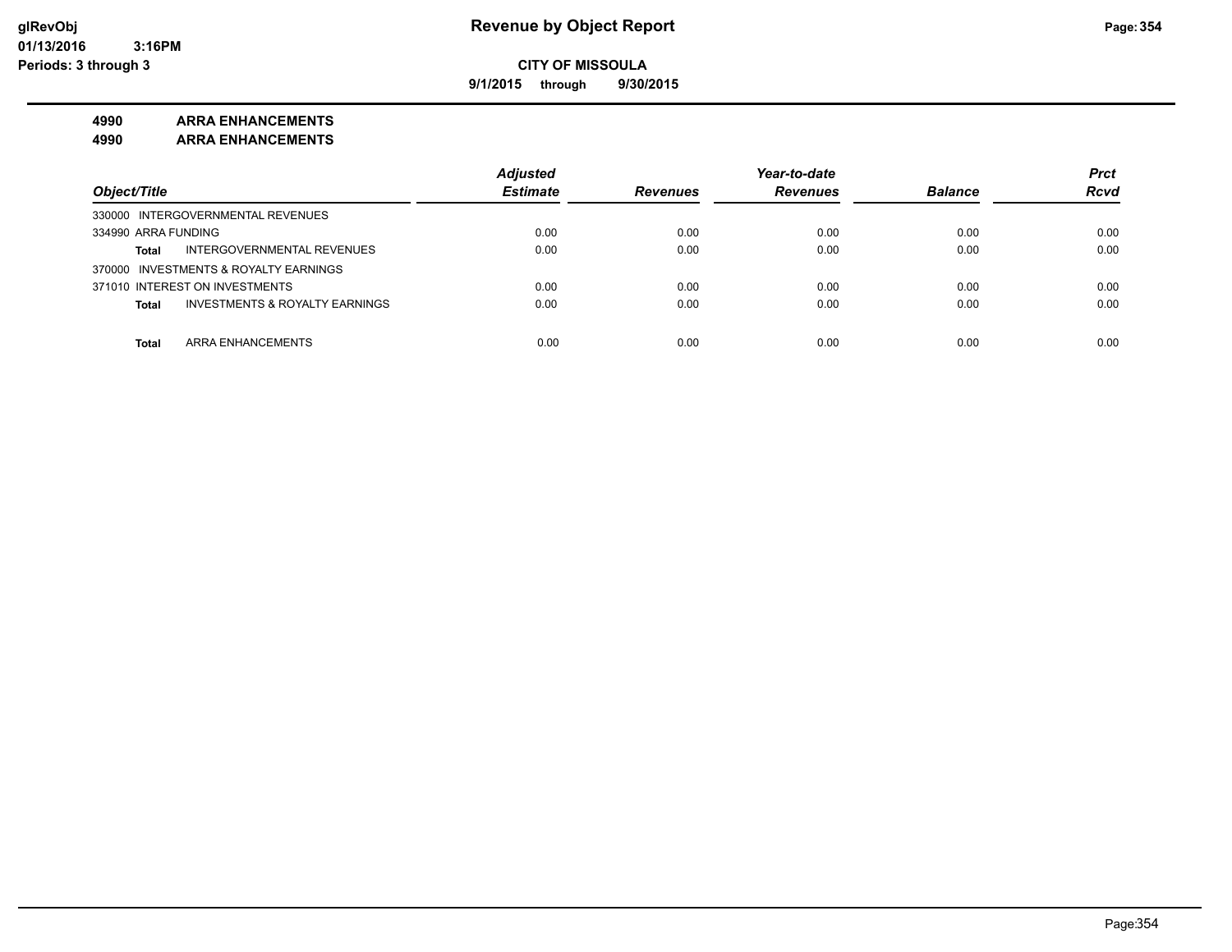**9/1/2015 through 9/30/2015**

#### **4990 ARRA ENHANCEMENTS**

**4990 ARRA ENHANCEMENTS**

|                                                    | <b>Adjusted</b> |                 | Year-to-date    |                | <b>Prct</b> |
|----------------------------------------------------|-----------------|-----------------|-----------------|----------------|-------------|
| Object/Title                                       | <b>Estimate</b> | <b>Revenues</b> | <b>Revenues</b> | <b>Balance</b> | <b>Rcvd</b> |
| 330000 INTERGOVERNMENTAL REVENUES                  |                 |                 |                 |                |             |
| 334990 ARRA FUNDING                                | 0.00            | 0.00            | 0.00            | 0.00           | 0.00        |
| INTERGOVERNMENTAL REVENUES<br>Total                | 0.00            | 0.00            | 0.00            | 0.00           | 0.00        |
| 370000 INVESTMENTS & ROYALTY EARNINGS              |                 |                 |                 |                |             |
| 371010 INTEREST ON INVESTMENTS                     | 0.00            | 0.00            | 0.00            | 0.00           | 0.00        |
| <b>INVESTMENTS &amp; ROYALTY EARNINGS</b><br>Total | 0.00            | 0.00            | 0.00            | 0.00           | 0.00        |
|                                                    |                 |                 |                 |                |             |
| <b>ARRA ENHANCEMENTS</b><br>Total                  | 0.00            | 0.00            | 0.00            | 0.00           | 0.00        |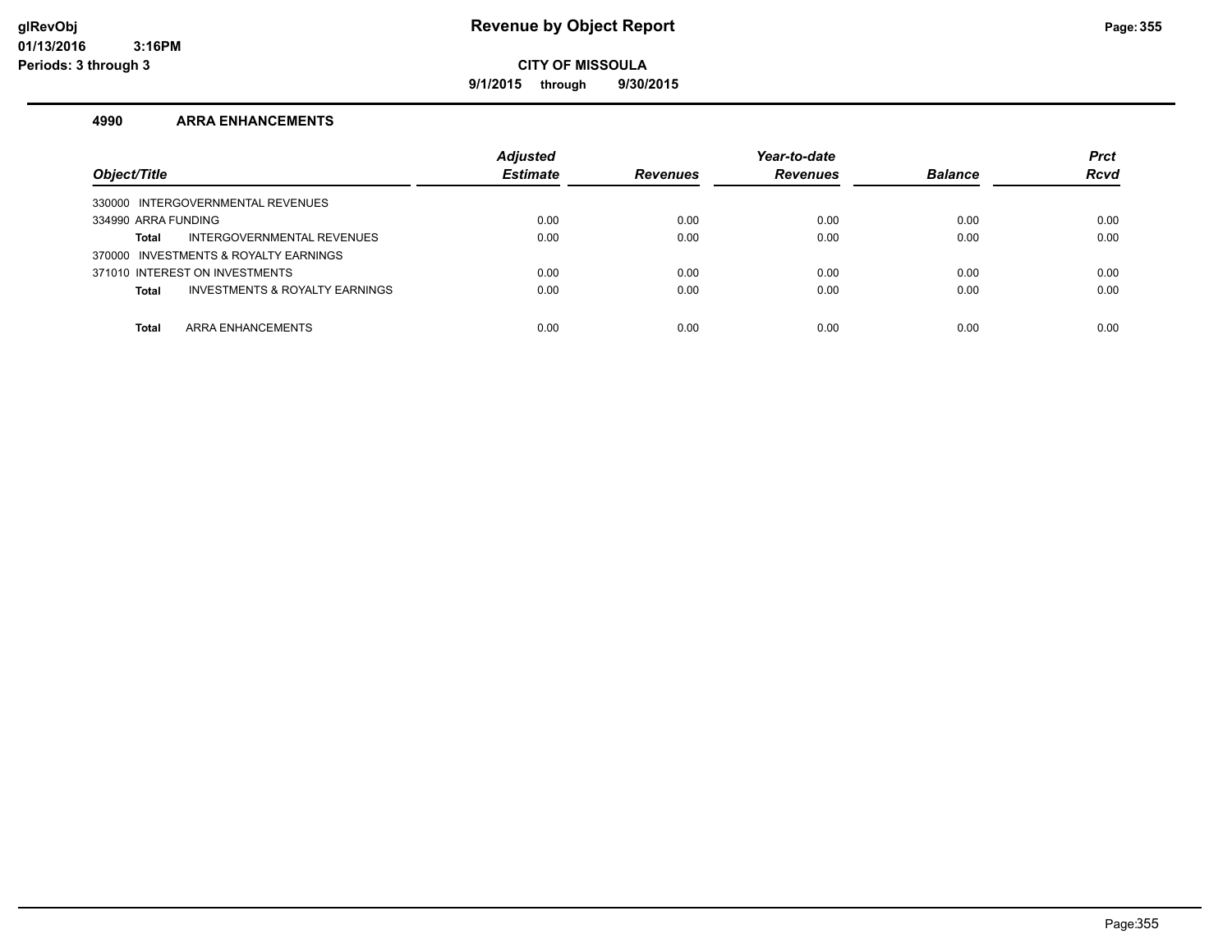**9/1/2015 through 9/30/2015**

#### **4990 ARRA ENHANCEMENTS**

| Object/Title                                   | <b>Adjusted</b><br><b>Estimate</b> | <b>Revenues</b> | Year-to-date<br><b>Revenues</b> | <b>Balance</b> | <b>Prct</b><br><b>Rcvd</b> |
|------------------------------------------------|------------------------------------|-----------------|---------------------------------|----------------|----------------------------|
| 330000 INTERGOVERNMENTAL REVENUES              |                                    |                 |                                 |                |                            |
| 334990 ARRA FUNDING                            | 0.00                               | 0.00            | 0.00                            | 0.00           | 0.00                       |
| INTERGOVERNMENTAL REVENUES<br><b>Total</b>     | 0.00                               | 0.00            | 0.00                            | 0.00           | 0.00                       |
| 370000 INVESTMENTS & ROYALTY EARNINGS          |                                    |                 |                                 |                |                            |
| 371010 INTEREST ON INVESTMENTS                 | 0.00                               | 0.00            | 0.00                            | 0.00           | 0.00                       |
| INVESTMENTS & ROYALTY EARNINGS<br><b>Total</b> | 0.00                               | 0.00            | 0.00                            | 0.00           | 0.00                       |
|                                                |                                    |                 |                                 |                |                            |
| ARRA ENHANCEMENTS<br><b>Total</b>              | 0.00                               | 0.00            | 0.00                            | 0.00           | 0.00                       |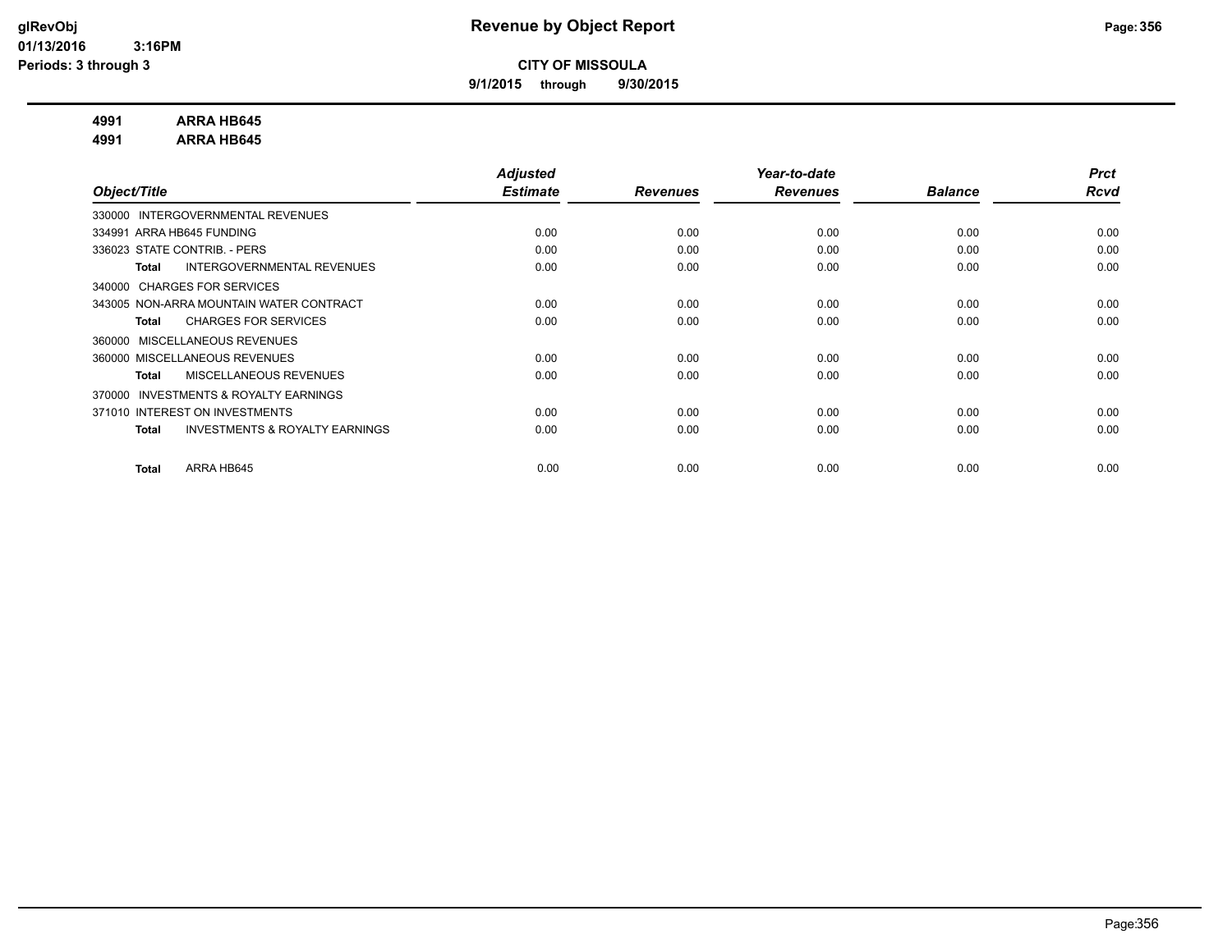**9/1/2015 through 9/30/2015**

#### **4991 ARRA HB645**

**4991 ARRA HB645**

|                                                     | <b>Adjusted</b> |                 | Year-to-date    |                | <b>Prct</b> |
|-----------------------------------------------------|-----------------|-----------------|-----------------|----------------|-------------|
| Object/Title                                        | <b>Estimate</b> | <b>Revenues</b> | <b>Revenues</b> | <b>Balance</b> | Rcvd        |
| 330000 INTERGOVERNMENTAL REVENUES                   |                 |                 |                 |                |             |
| 334991 ARRA HB645 FUNDING                           | 0.00            | 0.00            | 0.00            | 0.00           | 0.00        |
| 336023 STATE CONTRIB. - PERS                        | 0.00            | 0.00            | 0.00            | 0.00           | 0.00        |
| INTERGOVERNMENTAL REVENUES<br>Total                 | 0.00            | 0.00            | 0.00            | 0.00           | 0.00        |
| 340000 CHARGES FOR SERVICES                         |                 |                 |                 |                |             |
| 343005 NON-ARRA MOUNTAIN WATER CONTRACT             | 0.00            | 0.00            | 0.00            | 0.00           | 0.00        |
| <b>CHARGES FOR SERVICES</b><br>Total                | 0.00            | 0.00            | 0.00            | 0.00           | 0.00        |
| 360000 MISCELLANEOUS REVENUES                       |                 |                 |                 |                |             |
| 360000 MISCELLANEOUS REVENUES                       | 0.00            | 0.00            | 0.00            | 0.00           | 0.00        |
| <b>MISCELLANEOUS REVENUES</b><br>Total              | 0.00            | 0.00            | 0.00            | 0.00           | 0.00        |
| <b>INVESTMENTS &amp; ROYALTY EARNINGS</b><br>370000 |                 |                 |                 |                |             |
| 371010 INTEREST ON INVESTMENTS                      | 0.00            | 0.00            | 0.00            | 0.00           | 0.00        |
| <b>INVESTMENTS &amp; ROYALTY EARNINGS</b><br>Total  | 0.00            | 0.00            | 0.00            | 0.00           | 0.00        |
|                                                     |                 |                 |                 |                |             |
| ARRA HB645<br><b>Total</b>                          | 0.00            | 0.00            | 0.00            | 0.00           | 0.00        |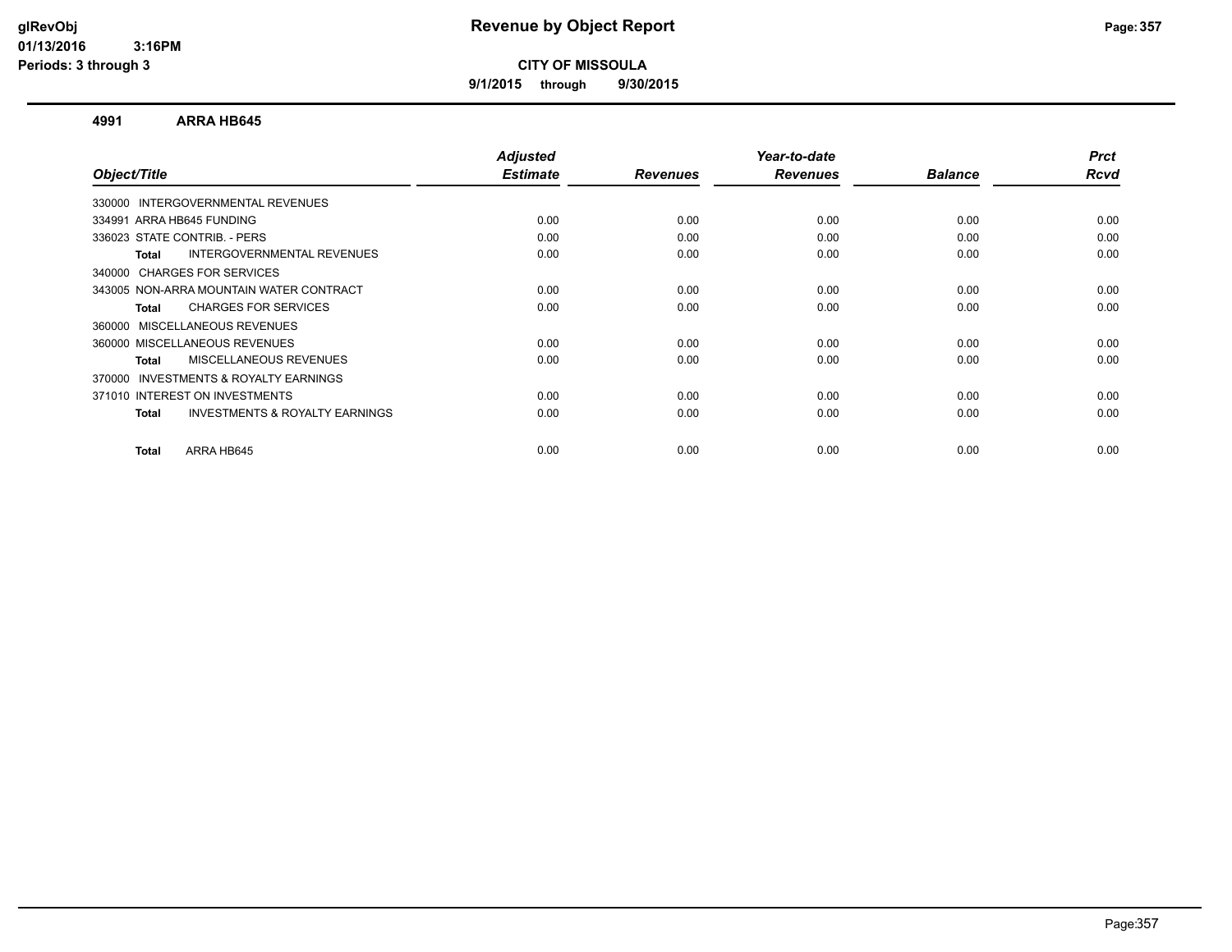**9/1/2015 through 9/30/2015**

#### **4991 ARRA HB645**

|      |                         |                         | <b>Balance</b>          | <b>Prct</b><br>Rcvd |
|------|-------------------------|-------------------------|-------------------------|---------------------|
|      |                         |                         |                         |                     |
|      |                         |                         |                         |                     |
| 0.00 | 0.00                    | 0.00                    | 0.00                    | 0.00                |
| 0.00 | 0.00                    | 0.00                    | 0.00                    | 0.00                |
| 0.00 | 0.00                    | 0.00                    | 0.00                    | 0.00                |
|      |                         |                         |                         |                     |
| 0.00 | 0.00                    | 0.00                    | 0.00                    | 0.00                |
| 0.00 | 0.00                    | 0.00                    | 0.00                    | 0.00                |
|      |                         |                         |                         |                     |
| 0.00 | 0.00                    | 0.00                    | 0.00                    | 0.00                |
| 0.00 | 0.00                    | 0.00                    | 0.00                    | 0.00                |
|      |                         |                         |                         |                     |
| 0.00 | 0.00                    | 0.00                    | 0.00                    | 0.00                |
| 0.00 | 0.00                    | 0.00                    | 0.00                    | 0.00                |
|      |                         |                         |                         | 0.00                |
|      | <b>Estimate</b><br>0.00 | <b>Revenues</b><br>0.00 | <b>Revenues</b><br>0.00 | 0.00                |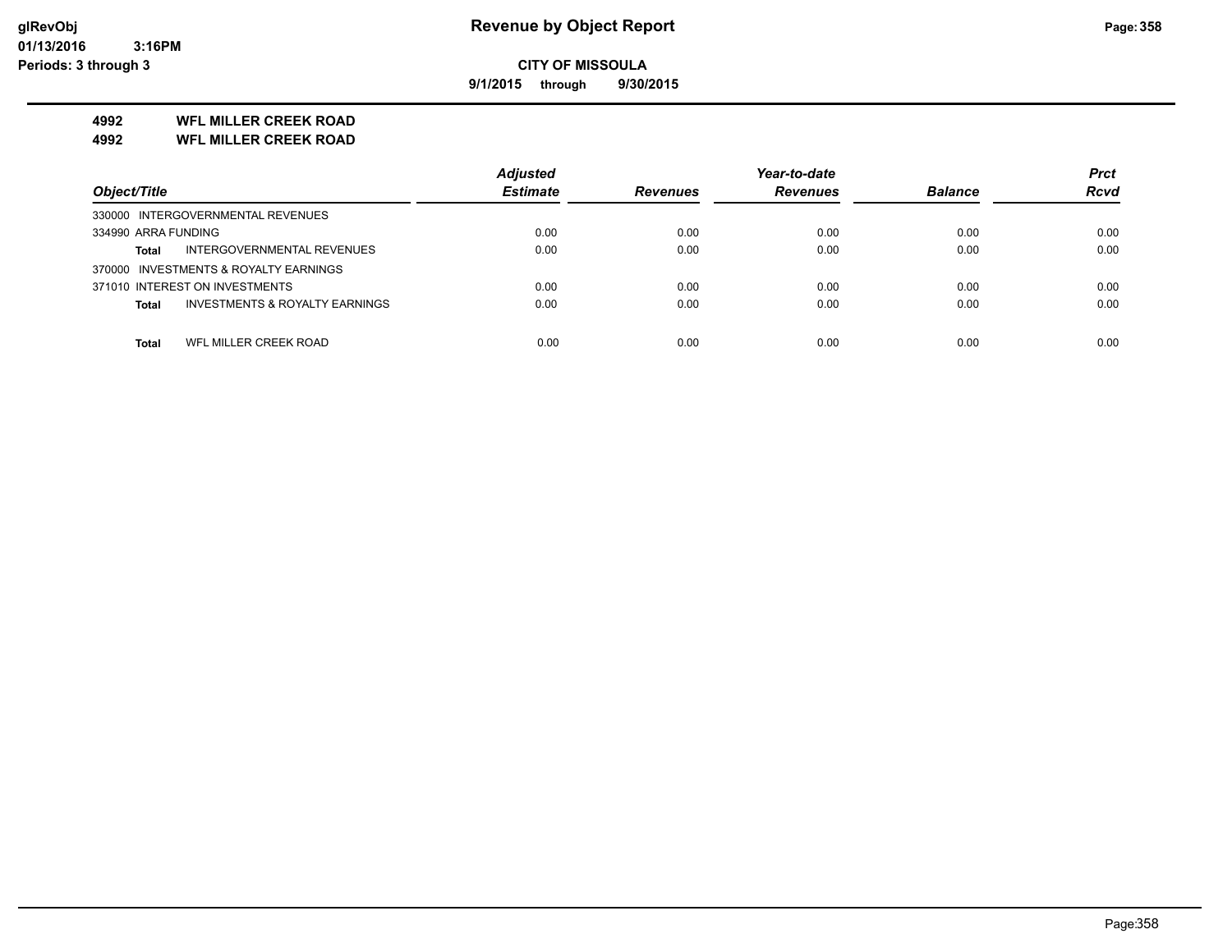**9/1/2015 through 9/30/2015**

#### **4992 WFL MILLER CREEK ROAD**

**4992 WFL MILLER CREEK ROAD**

|                                                           | <b>Adjusted</b> |                 | Year-to-date    |                | <b>Prct</b> |
|-----------------------------------------------------------|-----------------|-----------------|-----------------|----------------|-------------|
| Object/Title                                              | <b>Estimate</b> | <b>Revenues</b> | <b>Revenues</b> | <b>Balance</b> | <b>Rcvd</b> |
| 330000 INTERGOVERNMENTAL REVENUES                         |                 |                 |                 |                |             |
| 334990 ARRA FUNDING                                       | 0.00            | 0.00            | 0.00            | 0.00           | 0.00        |
| INTERGOVERNMENTAL REVENUES<br><b>Total</b>                | 0.00            | 0.00            | 0.00            | 0.00           | 0.00        |
| 370000 INVESTMENTS & ROYALTY EARNINGS                     |                 |                 |                 |                |             |
| 371010 INTEREST ON INVESTMENTS                            | 0.00            | 0.00            | 0.00            | 0.00           | 0.00        |
| <b>INVESTMENTS &amp; ROYALTY EARNINGS</b><br><b>Total</b> | 0.00            | 0.00            | 0.00            | 0.00           | 0.00        |
|                                                           |                 |                 |                 |                |             |
| WFL MILLER CREEK ROAD<br>Total                            | 0.00            | 0.00            | 0.00            | 0.00           | 0.00        |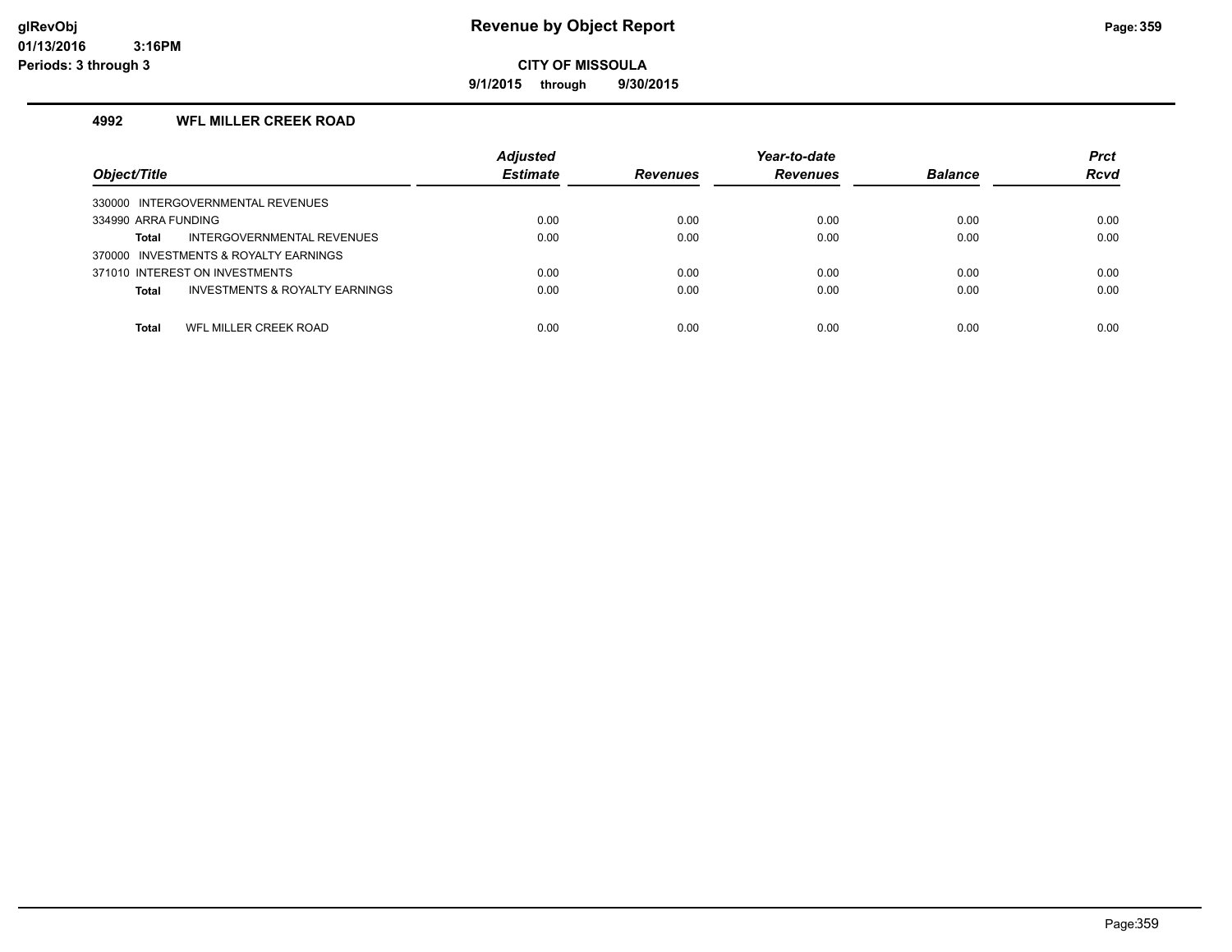**9/1/2015 through 9/30/2015**

#### **4992 WFL MILLER CREEK ROAD**

| Object/Title                                              | <b>Adjusted</b><br><b>Estimate</b> | <b>Revenues</b> | Year-to-date<br><b>Revenues</b> | <b>Balance</b> | <b>Prct</b><br><b>Rcvd</b> |
|-----------------------------------------------------------|------------------------------------|-----------------|---------------------------------|----------------|----------------------------|
|                                                           |                                    |                 |                                 |                |                            |
| 330000 INTERGOVERNMENTAL REVENUES                         |                                    |                 |                                 |                |                            |
| 334990 ARRA FUNDING                                       | 0.00                               | 0.00            | 0.00                            | 0.00           | 0.00                       |
| INTERGOVERNMENTAL REVENUES<br>Total                       | 0.00                               | 0.00            | 0.00                            | 0.00           | 0.00                       |
| 370000 INVESTMENTS & ROYALTY EARNINGS                     |                                    |                 |                                 |                |                            |
| 371010 INTEREST ON INVESTMENTS                            | 0.00                               | 0.00            | 0.00                            | 0.00           | 0.00                       |
| <b>INVESTMENTS &amp; ROYALTY EARNINGS</b><br><b>Total</b> | 0.00                               | 0.00            | 0.00                            | 0.00           | 0.00                       |
|                                                           |                                    |                 |                                 |                |                            |
| WFL MILLER CREEK ROAD<br>Total                            | 0.00                               | 0.00            | 0.00                            | 0.00           | 0.00                       |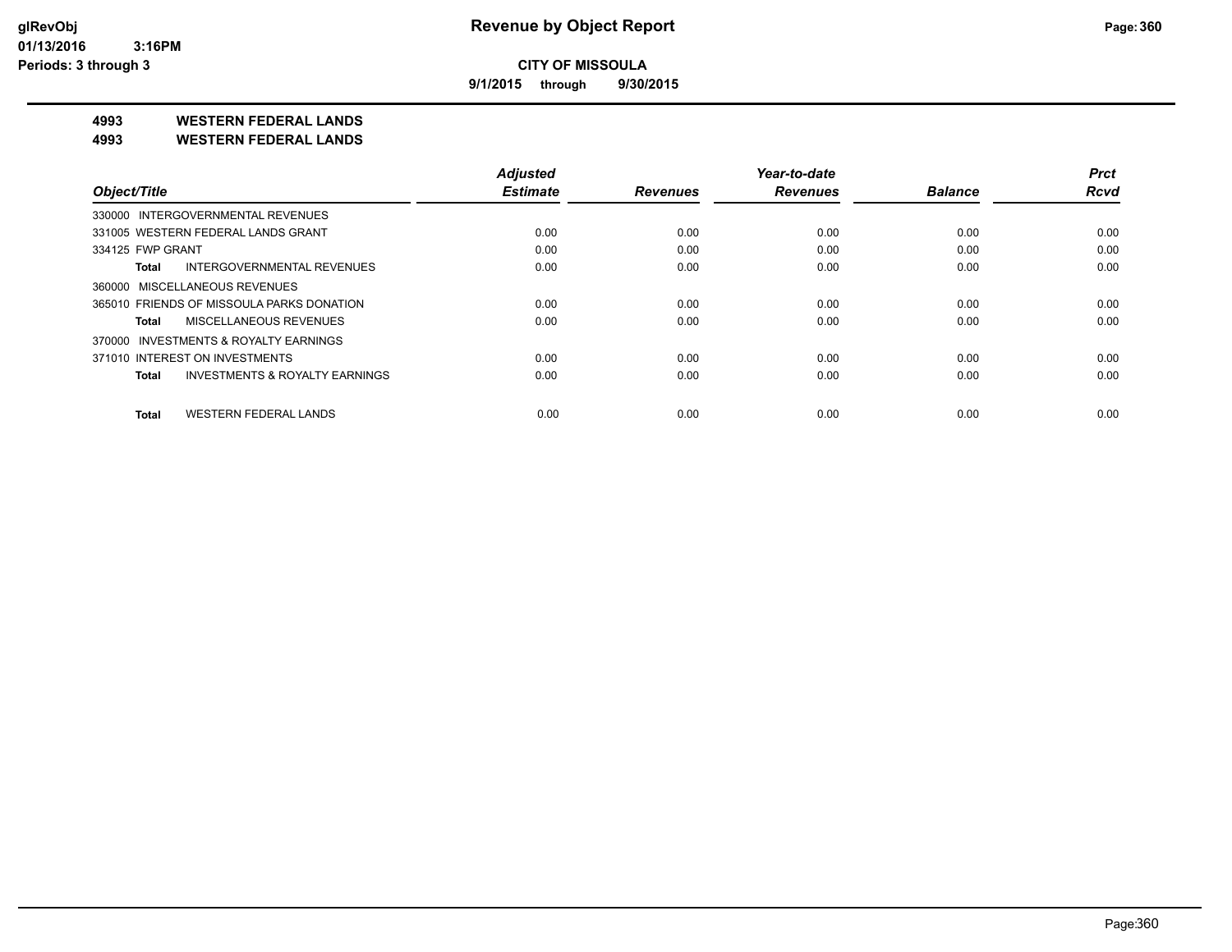**9/1/2015 through 9/30/2015**

**4993 WESTERN FEDERAL LANDS**

**4993 WESTERN FEDERAL LANDS**

|                                              | <b>Adjusted</b> |                 | Year-to-date    |                | <b>Prct</b> |
|----------------------------------------------|-----------------|-----------------|-----------------|----------------|-------------|
| Object/Title                                 | <b>Estimate</b> | <b>Revenues</b> | <b>Revenues</b> | <b>Balance</b> | <b>Rcvd</b> |
| 330000 INTERGOVERNMENTAL REVENUES            |                 |                 |                 |                |             |
| 331005 WESTERN FEDERAL LANDS GRANT           | 0.00            | 0.00            | 0.00            | 0.00           | 0.00        |
| 334125 FWP GRANT                             | 0.00            | 0.00            | 0.00            | 0.00           | 0.00        |
| INTERGOVERNMENTAL REVENUES<br>Total          | 0.00            | 0.00            | 0.00            | 0.00           | 0.00        |
| 360000 MISCELLANEOUS REVENUES                |                 |                 |                 |                |             |
| 365010 FRIENDS OF MISSOULA PARKS DONATION    | 0.00            | 0.00            | 0.00            | 0.00           | 0.00        |
| MISCELLANEOUS REVENUES<br>Total              | 0.00            | 0.00            | 0.00            | 0.00           | 0.00        |
| 370000 INVESTMENTS & ROYALTY EARNINGS        |                 |                 |                 |                |             |
| 371010 INTEREST ON INVESTMENTS               | 0.00            | 0.00            | 0.00            | 0.00           | 0.00        |
| INVESTMENTS & ROYALTY EARNINGS<br>Total      | 0.00            | 0.00            | 0.00            | 0.00           | 0.00        |
| <b>WESTERN FEDERAL LANDS</b><br><b>Total</b> | 0.00            | 0.00            | 0.00            | 0.00           | 0.00        |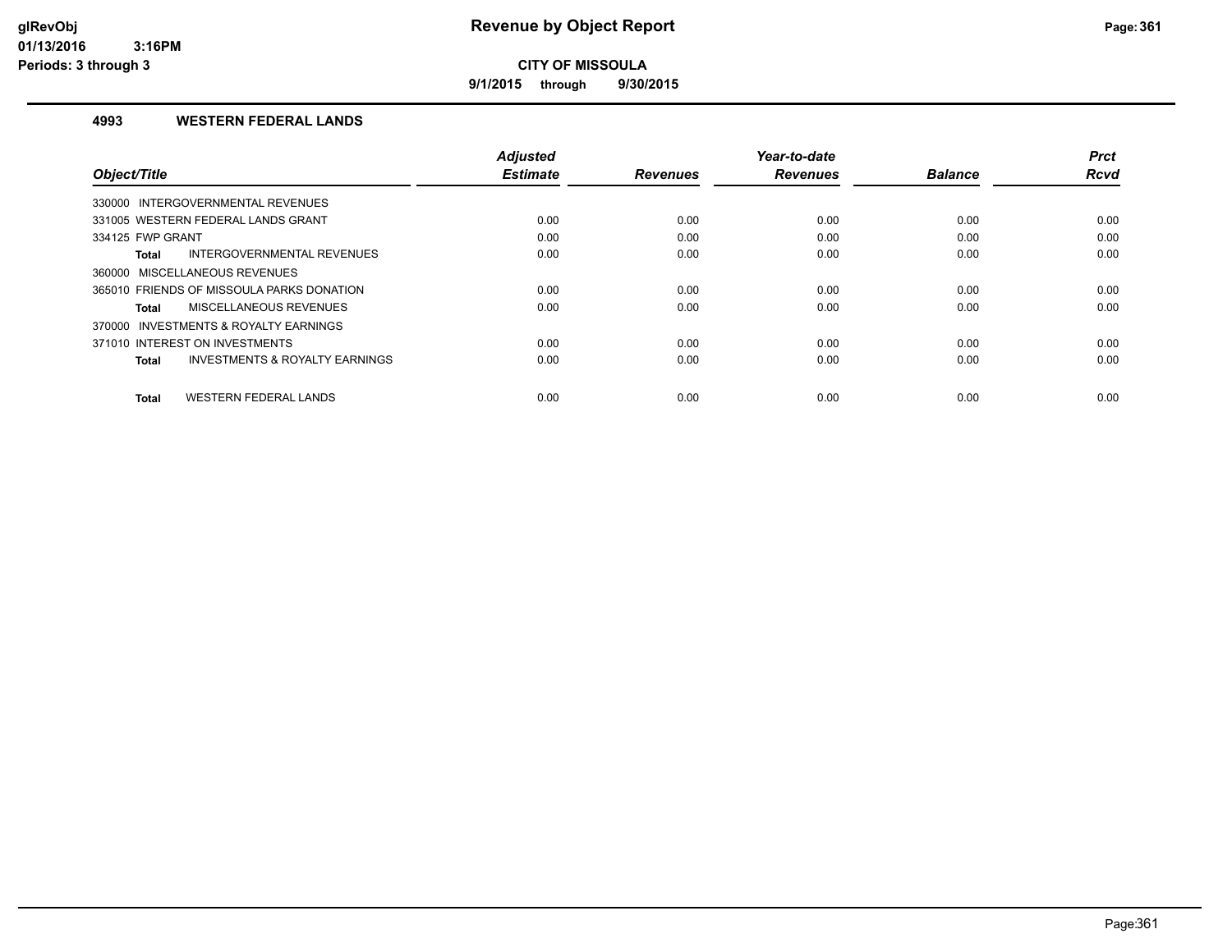**9/1/2015 through 9/30/2015**

#### **4993 WESTERN FEDERAL LANDS**

| Object/Title                                              | <b>Adjusted</b><br><b>Estimate</b> | <b>Revenues</b> | Year-to-date<br><b>Revenues</b> | <b>Balance</b> | <b>Prct</b><br>Rcvd |
|-----------------------------------------------------------|------------------------------------|-----------------|---------------------------------|----------------|---------------------|
|                                                           |                                    |                 |                                 |                |                     |
| 330000 INTERGOVERNMENTAL REVENUES                         |                                    |                 |                                 |                |                     |
| 331005 WESTERN FEDERAL LANDS GRANT                        | 0.00                               | 0.00            | 0.00                            | 0.00           | 0.00                |
| 334125 FWP GRANT                                          | 0.00                               | 0.00            | 0.00                            | 0.00           | 0.00                |
| INTERGOVERNMENTAL REVENUES<br><b>Total</b>                | 0.00                               | 0.00            | 0.00                            | 0.00           | 0.00                |
| 360000 MISCELLANEOUS REVENUES                             |                                    |                 |                                 |                |                     |
| 365010 FRIENDS OF MISSOULA PARKS DONATION                 | 0.00                               | 0.00            | 0.00                            | 0.00           | 0.00                |
| MISCELLANEOUS REVENUES<br><b>Total</b>                    | 0.00                               | 0.00            | 0.00                            | 0.00           | 0.00                |
| 370000 INVESTMENTS & ROYALTY EARNINGS                     |                                    |                 |                                 |                |                     |
| 371010 INTEREST ON INVESTMENTS                            | 0.00                               | 0.00            | 0.00                            | 0.00           | 0.00                |
| <b>INVESTMENTS &amp; ROYALTY EARNINGS</b><br><b>Total</b> | 0.00                               | 0.00            | 0.00                            | 0.00           | 0.00                |
|                                                           |                                    |                 |                                 |                |                     |
| <b>WESTERN FEDERAL LANDS</b><br><b>Total</b>              | 0.00                               | 0.00            | 0.00                            | 0.00           | 0.00                |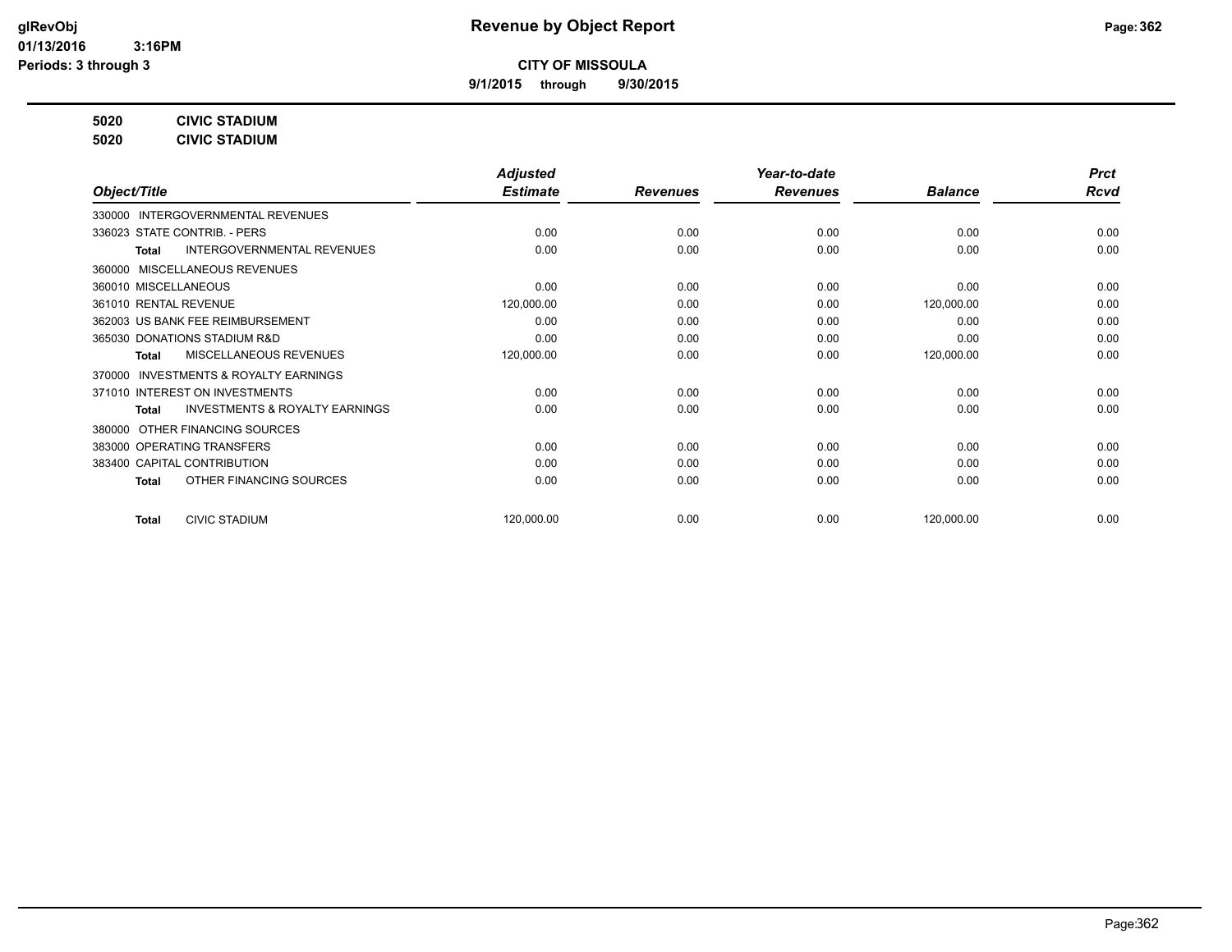**9/1/2015 through 9/30/2015**

**5020 CIVIC STADIUM**

**5020 CIVIC STADIUM**

|                                                           | <b>Adjusted</b> |                 | Year-to-date    |                | <b>Prct</b> |
|-----------------------------------------------------------|-----------------|-----------------|-----------------|----------------|-------------|
| Object/Title                                              | <b>Estimate</b> | <b>Revenues</b> | <b>Revenues</b> | <b>Balance</b> | Rcvd        |
| 330000 INTERGOVERNMENTAL REVENUES                         |                 |                 |                 |                |             |
| 336023 STATE CONTRIB. - PERS                              | 0.00            | 0.00            | 0.00            | 0.00           | 0.00        |
| INTERGOVERNMENTAL REVENUES<br><b>Total</b>                | 0.00            | 0.00            | 0.00            | 0.00           | 0.00        |
| 360000 MISCELLANEOUS REVENUES                             |                 |                 |                 |                |             |
| 360010 MISCELLANEOUS                                      | 0.00            | 0.00            | 0.00            | 0.00           | 0.00        |
| 361010 RENTAL REVENUE                                     | 120,000.00      | 0.00            | 0.00            | 120,000.00     | 0.00        |
| 362003 US BANK FEE REIMBURSEMENT                          | 0.00            | 0.00            | 0.00            | 0.00           | 0.00        |
| 365030 DONATIONS STADIUM R&D                              | 0.00            | 0.00            | 0.00            | 0.00           | 0.00        |
| <b>MISCELLANEOUS REVENUES</b><br><b>Total</b>             | 120,000.00      | 0.00            | 0.00            | 120,000.00     | 0.00        |
| INVESTMENTS & ROYALTY EARNINGS<br>370000                  |                 |                 |                 |                |             |
| 371010 INTEREST ON INVESTMENTS                            | 0.00            | 0.00            | 0.00            | 0.00           | 0.00        |
| <b>INVESTMENTS &amp; ROYALTY EARNINGS</b><br><b>Total</b> | 0.00            | 0.00            | 0.00            | 0.00           | 0.00        |
| OTHER FINANCING SOURCES<br>380000                         |                 |                 |                 |                |             |
| 383000 OPERATING TRANSFERS                                | 0.00            | 0.00            | 0.00            | 0.00           | 0.00        |
| 383400 CAPITAL CONTRIBUTION                               | 0.00            | 0.00            | 0.00            | 0.00           | 0.00        |
| OTHER FINANCING SOURCES<br><b>Total</b>                   | 0.00            | 0.00            | 0.00            | 0.00           | 0.00        |
| <b>CIVIC STADIUM</b><br><b>Total</b>                      | 120,000.00      | 0.00            | 0.00            | 120,000.00     | 0.00        |
|                                                           |                 |                 |                 |                |             |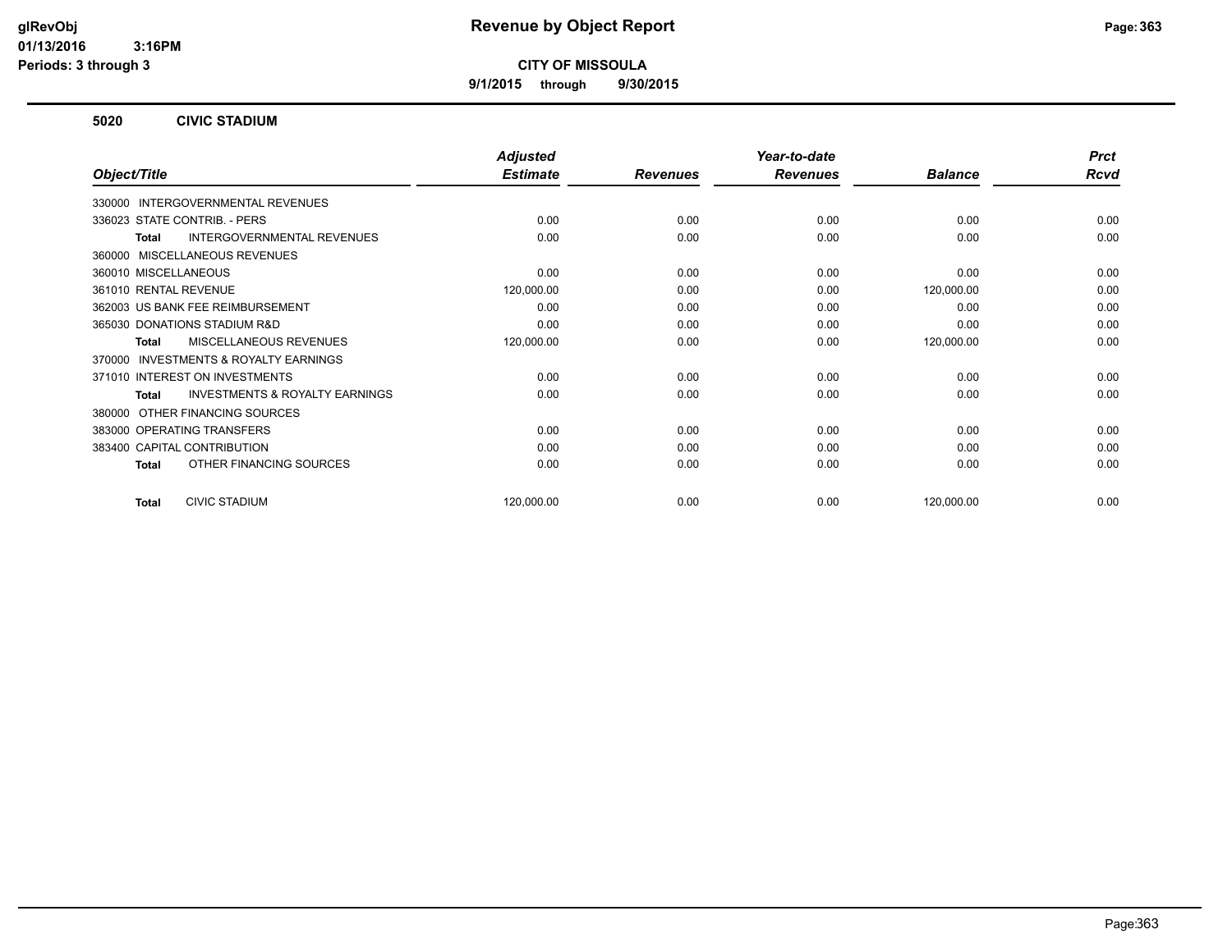**9/1/2015 through 9/30/2015**

#### **5020 CIVIC STADIUM**

|                                                           | <b>Adjusted</b> |                 | Year-to-date    |                | <b>Prct</b> |
|-----------------------------------------------------------|-----------------|-----------------|-----------------|----------------|-------------|
| Object/Title                                              | <b>Estimate</b> | <b>Revenues</b> | <b>Revenues</b> | <b>Balance</b> | <b>Rcvd</b> |
| 330000 INTERGOVERNMENTAL REVENUES                         |                 |                 |                 |                |             |
| 336023 STATE CONTRIB. - PERS                              | 0.00            | 0.00            | 0.00            | 0.00           | 0.00        |
| <b>INTERGOVERNMENTAL REVENUES</b><br>Total                | 0.00            | 0.00            | 0.00            | 0.00           | 0.00        |
| 360000 MISCELLANEOUS REVENUES                             |                 |                 |                 |                |             |
| 360010 MISCELLANEOUS                                      | 0.00            | 0.00            | 0.00            | 0.00           | 0.00        |
| 361010 RENTAL REVENUE                                     | 120,000.00      | 0.00            | 0.00            | 120,000.00     | 0.00        |
| 362003 US BANK FEE REIMBURSEMENT                          | 0.00            | 0.00            | 0.00            | 0.00           | 0.00        |
| 365030 DONATIONS STADIUM R&D                              | 0.00            | 0.00            | 0.00            | 0.00           | 0.00        |
| <b>MISCELLANEOUS REVENUES</b><br><b>Total</b>             | 120,000.00      | 0.00            | 0.00            | 120,000.00     | 0.00        |
| INVESTMENTS & ROYALTY EARNINGS<br>370000                  |                 |                 |                 |                |             |
| 371010 INTEREST ON INVESTMENTS                            | 0.00            | 0.00            | 0.00            | 0.00           | 0.00        |
| <b>INVESTMENTS &amp; ROYALTY EARNINGS</b><br><b>Total</b> | 0.00            | 0.00            | 0.00            | 0.00           | 0.00        |
| OTHER FINANCING SOURCES<br>380000                         |                 |                 |                 |                |             |
| 383000 OPERATING TRANSFERS                                | 0.00            | 0.00            | 0.00            | 0.00           | 0.00        |
| 383400 CAPITAL CONTRIBUTION                               | 0.00            | 0.00            | 0.00            | 0.00           | 0.00        |
| OTHER FINANCING SOURCES<br>Total                          | 0.00            | 0.00            | 0.00            | 0.00           | 0.00        |
| <b>CIVIC STADIUM</b><br><b>Total</b>                      | 120,000.00      | 0.00            | 0.00            | 120,000.00     | 0.00        |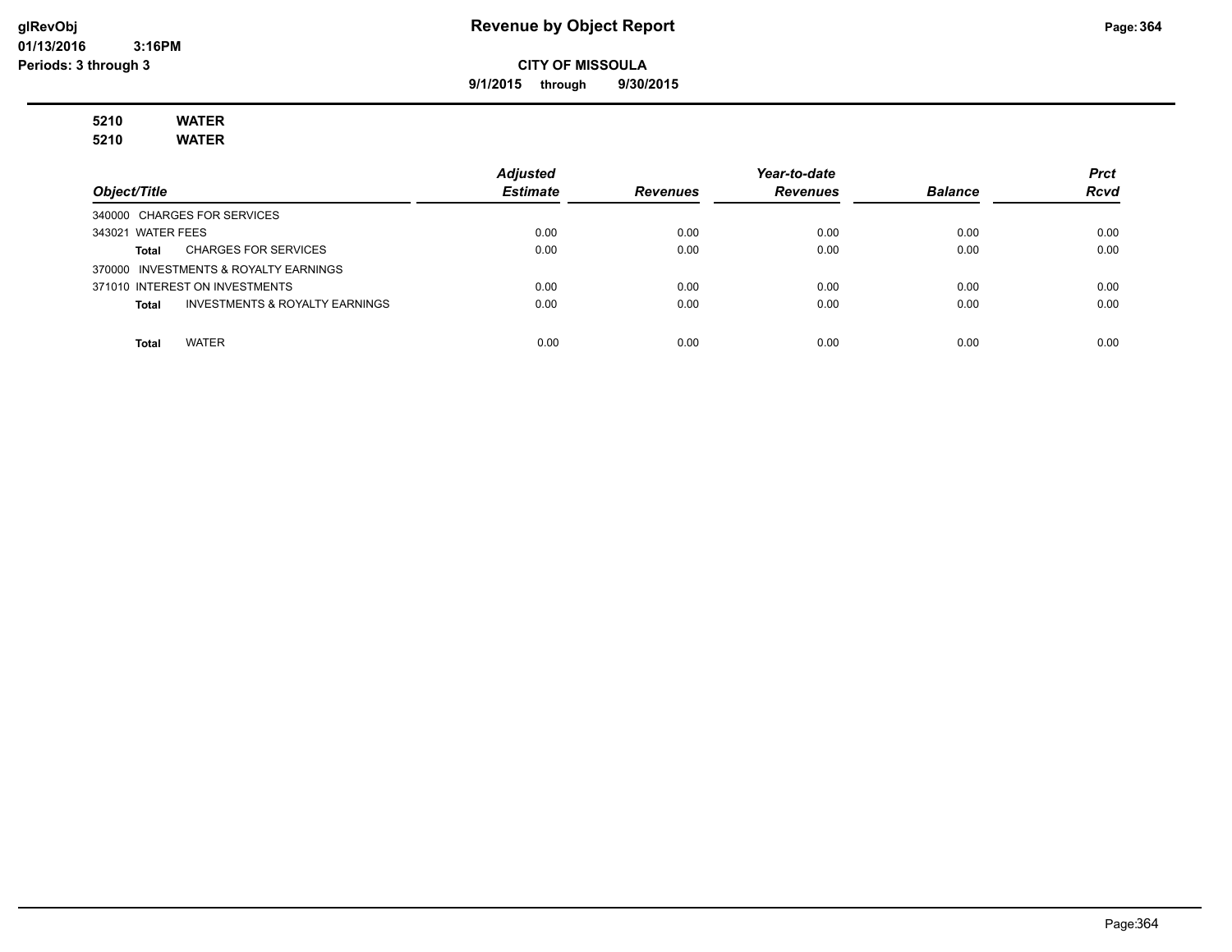**9/1/2015 through 9/30/2015**

# **5210 WATER**

**5210 WATER**

|                                                | <b>Adjusted</b> |                 | Year-to-date    |                | <b>Prct</b> |
|------------------------------------------------|-----------------|-----------------|-----------------|----------------|-------------|
| Object/Title                                   | <b>Estimate</b> | <b>Revenues</b> | <b>Revenues</b> | <b>Balance</b> | <b>Rcvd</b> |
| 340000 CHARGES FOR SERVICES                    |                 |                 |                 |                |             |
| 343021 WATER FEES                              | 0.00            | 0.00            | 0.00            | 0.00           | 0.00        |
| <b>CHARGES FOR SERVICES</b><br>Total           | 0.00            | 0.00            | 0.00            | 0.00           | 0.00        |
| 370000 INVESTMENTS & ROYALTY EARNINGS          |                 |                 |                 |                |             |
| 371010 INTEREST ON INVESTMENTS                 | 0.00            | 0.00            | 0.00            | 0.00           | 0.00        |
| INVESTMENTS & ROYALTY EARNINGS<br><b>Total</b> | 0.00            | 0.00            | 0.00            | 0.00           | 0.00        |
|                                                |                 |                 |                 |                |             |
| <b>WATER</b><br><b>Total</b>                   | 0.00            | 0.00            | 0.00            | 0.00           | 0.00        |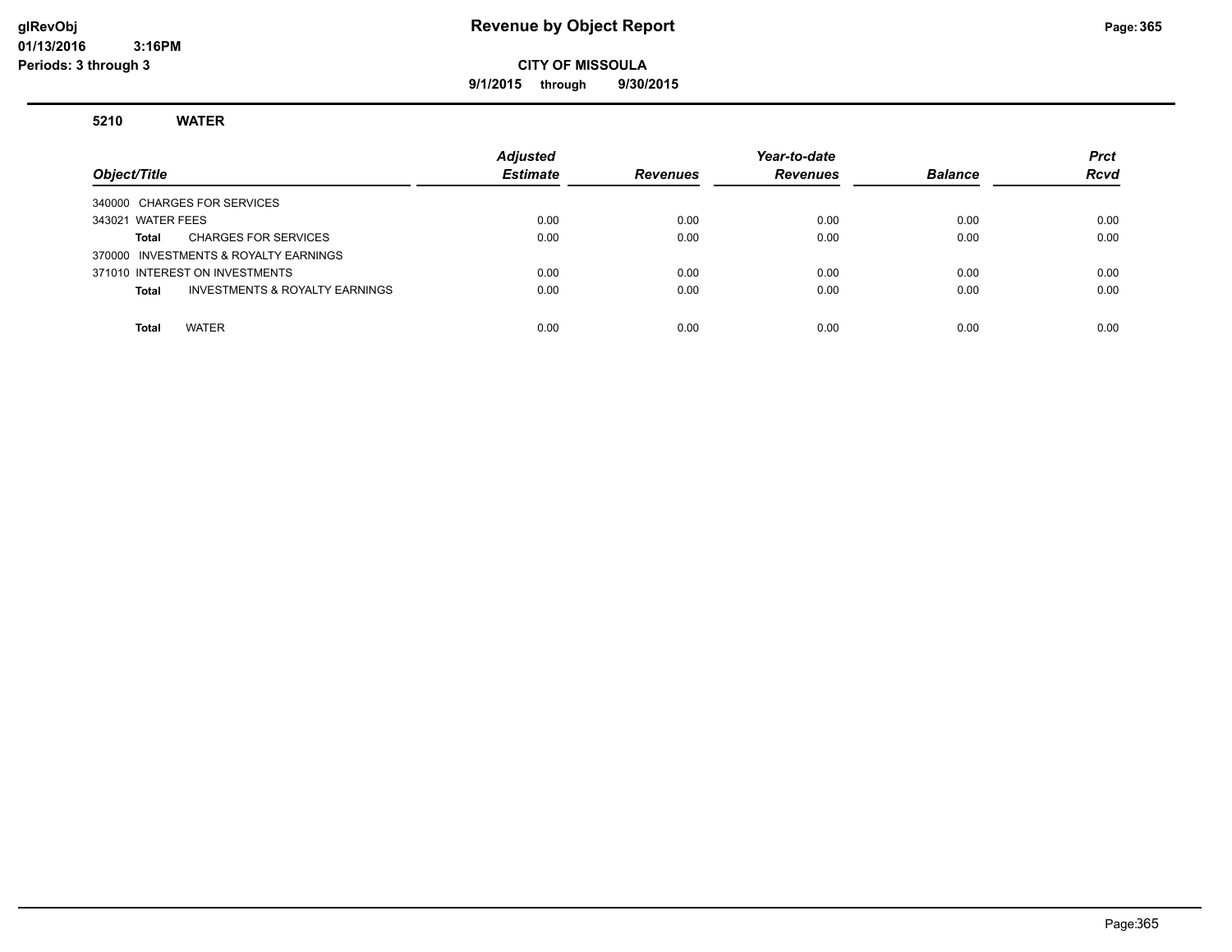#### **glRevObj Revenue by Object Report Page:365**

### **CITY OF MISSOULA**

**9/1/2015 through 9/30/2015**

#### **5210 WATER**

| Object/Title                                   | <b>Adjusted</b><br><b>Estimate</b> | <b>Revenues</b> | Year-to-date<br><b>Revenues</b> | <b>Balance</b> | <b>Prct</b><br><b>Rcvd</b> |
|------------------------------------------------|------------------------------------|-----------------|---------------------------------|----------------|----------------------------|
| 340000 CHARGES FOR SERVICES                    |                                    |                 |                                 |                |                            |
| 343021 WATER FEES                              | 0.00                               | 0.00            | 0.00                            | 0.00           | 0.00                       |
| <b>CHARGES FOR SERVICES</b><br>Total           | 0.00                               | 0.00            | 0.00                            | 0.00           | 0.00                       |
| 370000 INVESTMENTS & ROYALTY EARNINGS          |                                    |                 |                                 |                |                            |
| 371010 INTEREST ON INVESTMENTS                 | 0.00                               | 0.00            | 0.00                            | 0.00           | 0.00                       |
| INVESTMENTS & ROYALTY EARNINGS<br><b>Total</b> | 0.00                               | 0.00            | 0.00                            | 0.00           | 0.00                       |
|                                                |                                    |                 |                                 |                |                            |
| <b>WATER</b><br><b>Total</b>                   | 0.00                               | 0.00            | 0.00                            | 0.00           | 0.00                       |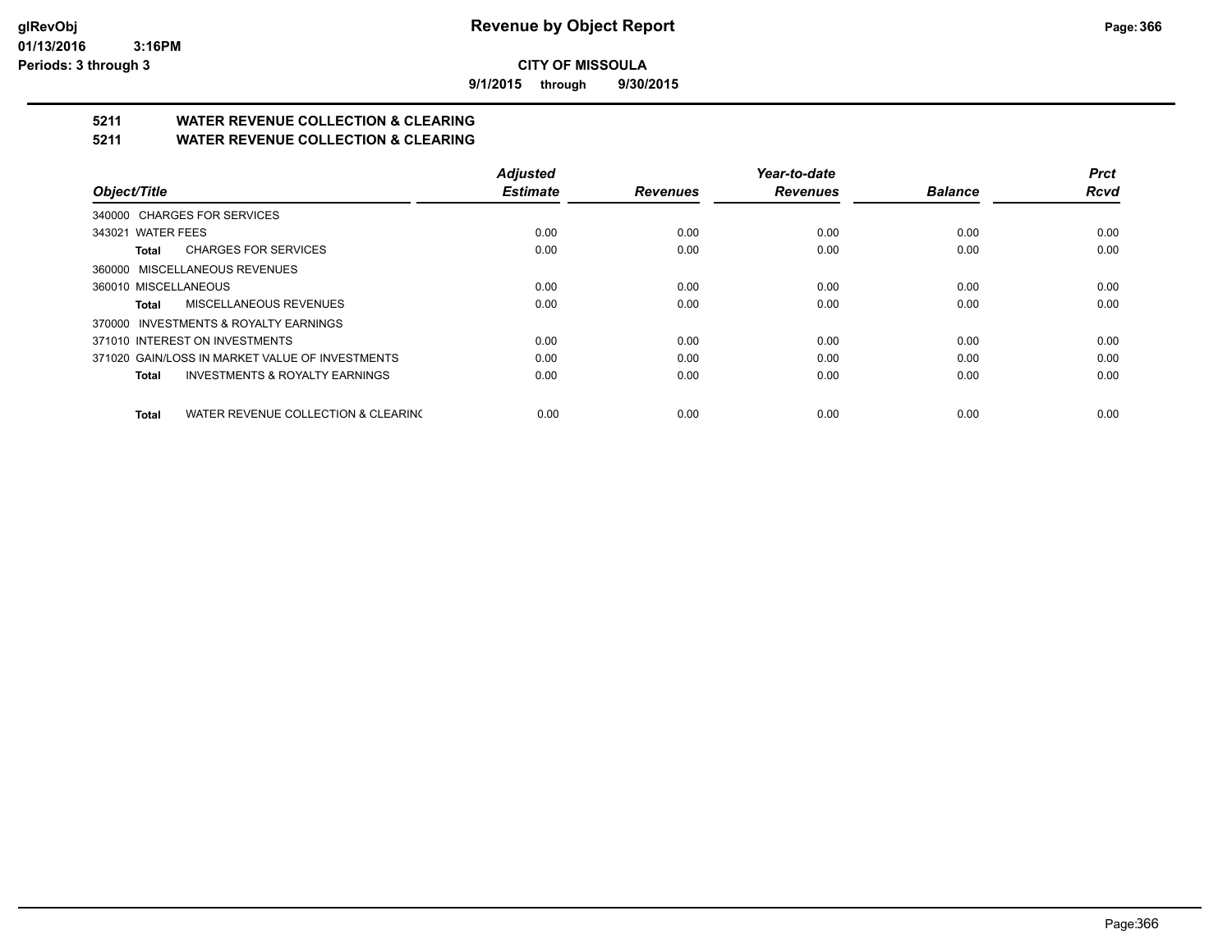**9/1/2015 through 9/30/2015**

## **5211 WATER REVENUE COLLECTION & CLEARING**

**5211 WATER REVENUE COLLECTION & CLEARING**

|                                                 | <b>Adjusted</b> |                 | Year-to-date    |                | <b>Prct</b> |
|-------------------------------------------------|-----------------|-----------------|-----------------|----------------|-------------|
| Object/Title                                    | <b>Estimate</b> | <b>Revenues</b> | <b>Revenues</b> | <b>Balance</b> | <b>Rcvd</b> |
| 340000 CHARGES FOR SERVICES                     |                 |                 |                 |                |             |
| 343021 WATER FEES                               | 0.00            | 0.00            | 0.00            | 0.00           | 0.00        |
| <b>CHARGES FOR SERVICES</b><br>Total            | 0.00            | 0.00            | 0.00            | 0.00           | 0.00        |
| 360000 MISCELLANEOUS REVENUES                   |                 |                 |                 |                |             |
| 360010 MISCELLANEOUS                            | 0.00            | 0.00            | 0.00            | 0.00           | 0.00        |
| <b>MISCELLANEOUS REVENUES</b><br>Total          | 0.00            | 0.00            | 0.00            | 0.00           | 0.00        |
| 370000 INVESTMENTS & ROYALTY EARNINGS           |                 |                 |                 |                |             |
| 371010 INTEREST ON INVESTMENTS                  | 0.00            | 0.00            | 0.00            | 0.00           | 0.00        |
| 371020 GAIN/LOSS IN MARKET VALUE OF INVESTMENTS | 0.00            | 0.00            | 0.00            | 0.00           | 0.00        |
| INVESTMENTS & ROYALTY EARNINGS<br>Total         | 0.00            | 0.00            | 0.00            | 0.00           | 0.00        |
| WATER REVENUE COLLECTION & CLEARING<br>Total    | 0.00            | 0.00            | 0.00            | 0.00           | 0.00        |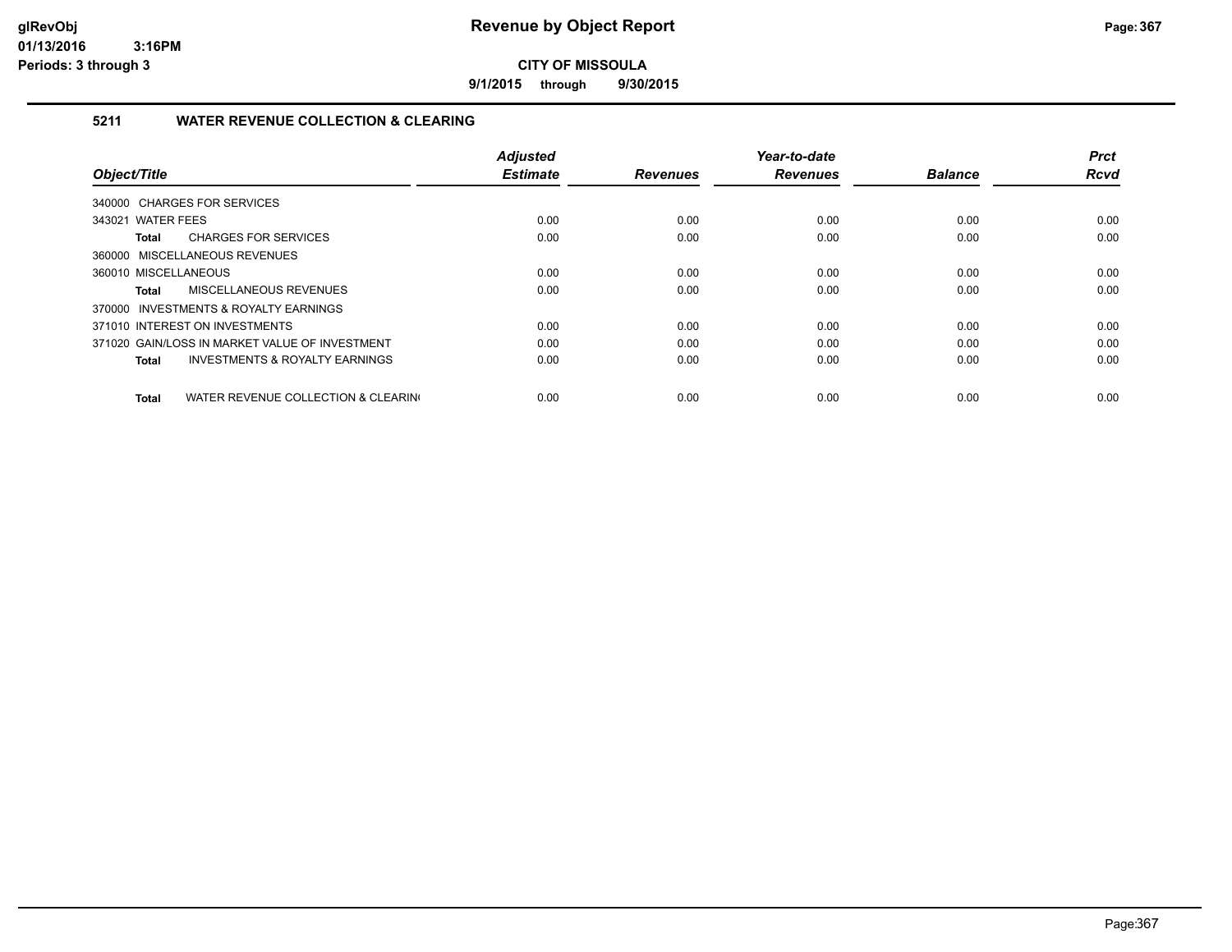**9/1/2015 through 9/30/2015**

#### **5211 WATER REVENUE COLLECTION & CLEARING**

| Object/Title                                        | <b>Adjusted</b><br><b>Estimate</b> | <b>Revenues</b> | Year-to-date<br><b>Revenues</b> | <b>Balance</b> | <b>Prct</b><br><b>Rcvd</b> |
|-----------------------------------------------------|------------------------------------|-----------------|---------------------------------|----------------|----------------------------|
|                                                     |                                    |                 |                                 |                |                            |
| 340000 CHARGES FOR SERVICES                         |                                    |                 |                                 |                |                            |
| 343021 WATER FEES                                   | 0.00                               | 0.00            | 0.00                            | 0.00           | 0.00                       |
| <b>CHARGES FOR SERVICES</b><br>Total                | 0.00                               | 0.00            | 0.00                            | 0.00           | 0.00                       |
| 360000 MISCELLANEOUS REVENUES                       |                                    |                 |                                 |                |                            |
| 360010 MISCELLANEOUS                                | 0.00                               | 0.00            | 0.00                            | 0.00           | 0.00                       |
| MISCELLANEOUS REVENUES<br>Total                     | 0.00                               | 0.00            | 0.00                            | 0.00           | 0.00                       |
| 370000 INVESTMENTS & ROYALTY EARNINGS               |                                    |                 |                                 |                |                            |
| 371010 INTEREST ON INVESTMENTS                      | 0.00                               | 0.00            | 0.00                            | 0.00           | 0.00                       |
| 371020 GAIN/LOSS IN MARKET VALUE OF INVESTMENT      | 0.00                               | 0.00            | 0.00                            | 0.00           | 0.00                       |
| <b>INVESTMENTS &amp; ROYALTY EARNINGS</b><br>Total  | 0.00                               | 0.00            | 0.00                            | 0.00           | 0.00                       |
|                                                     |                                    |                 |                                 |                |                            |
| WATER REVENUE COLLECTION & CLEARING<br><b>Total</b> | 0.00                               | 0.00            | 0.00                            | 0.00           | 0.00                       |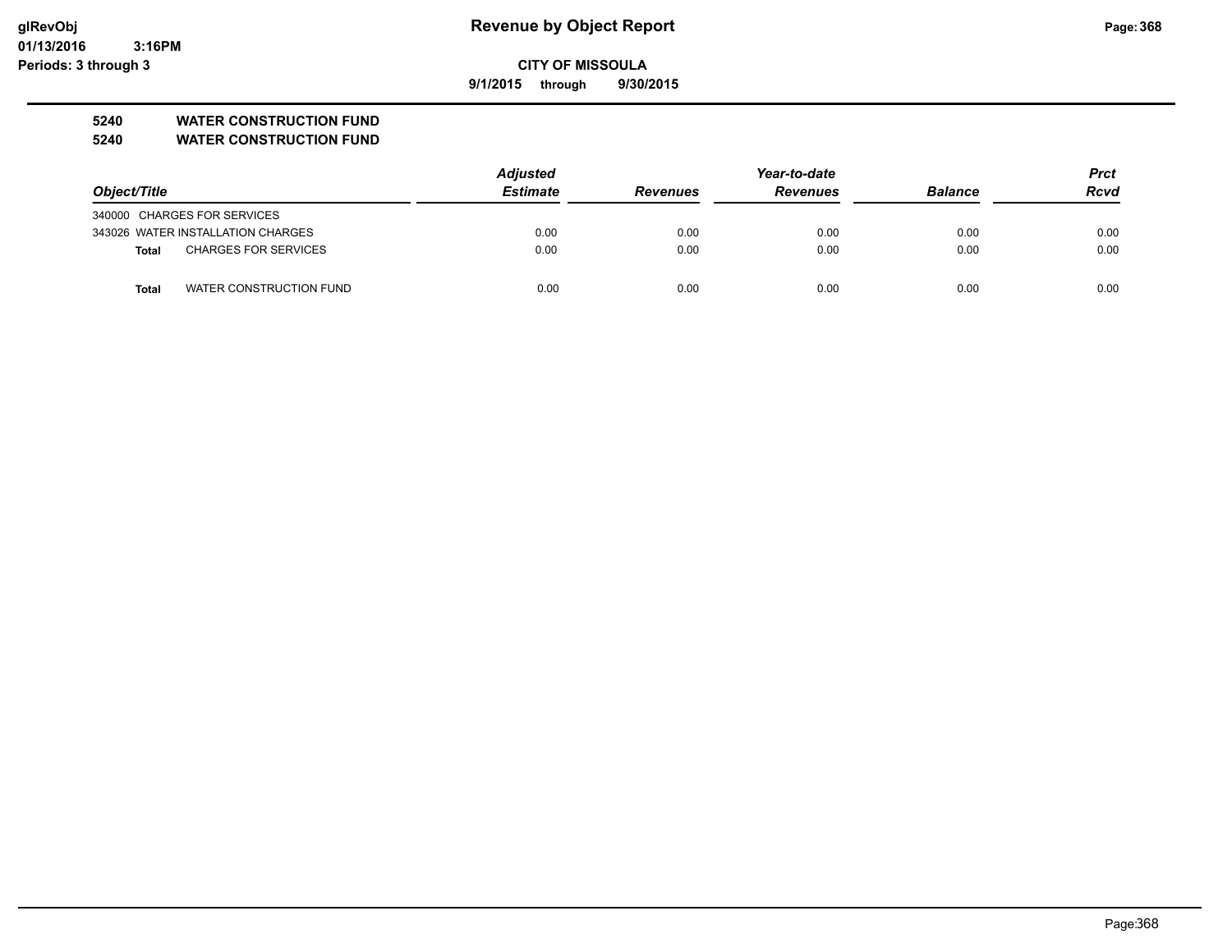**01/13/2016 3:16PM Periods: 3 through 3**

## **CITY OF MISSOULA**

**9/1/2015 through 9/30/2015**

### **5240 WATER CONSTRUCTION FUND**

**5240 WATER CONSTRUCTION FUND**

|                                         | <b>Adjusted</b> |                 |                 | <b>Prct</b>    |             |
|-----------------------------------------|-----------------|-----------------|-----------------|----------------|-------------|
| Object/Title                            | <b>Estimate</b> | <b>Revenues</b> | <b>Revenues</b> | <b>Balance</b> | <b>Rcvd</b> |
| 340000 CHARGES FOR SERVICES             |                 |                 |                 |                |             |
| 343026 WATER INSTALLATION CHARGES       | 0.00            | 0.00            | 0.00            | 0.00           | 0.00        |
| <b>CHARGES FOR SERVICES</b><br>Total    | 0.00            | 0.00            | 0.00            | 0.00           | 0.00        |
| WATER CONSTRUCTION FUND<br><b>Total</b> | 0.00            | 0.00            | 0.00            | 0.00           | 0.00        |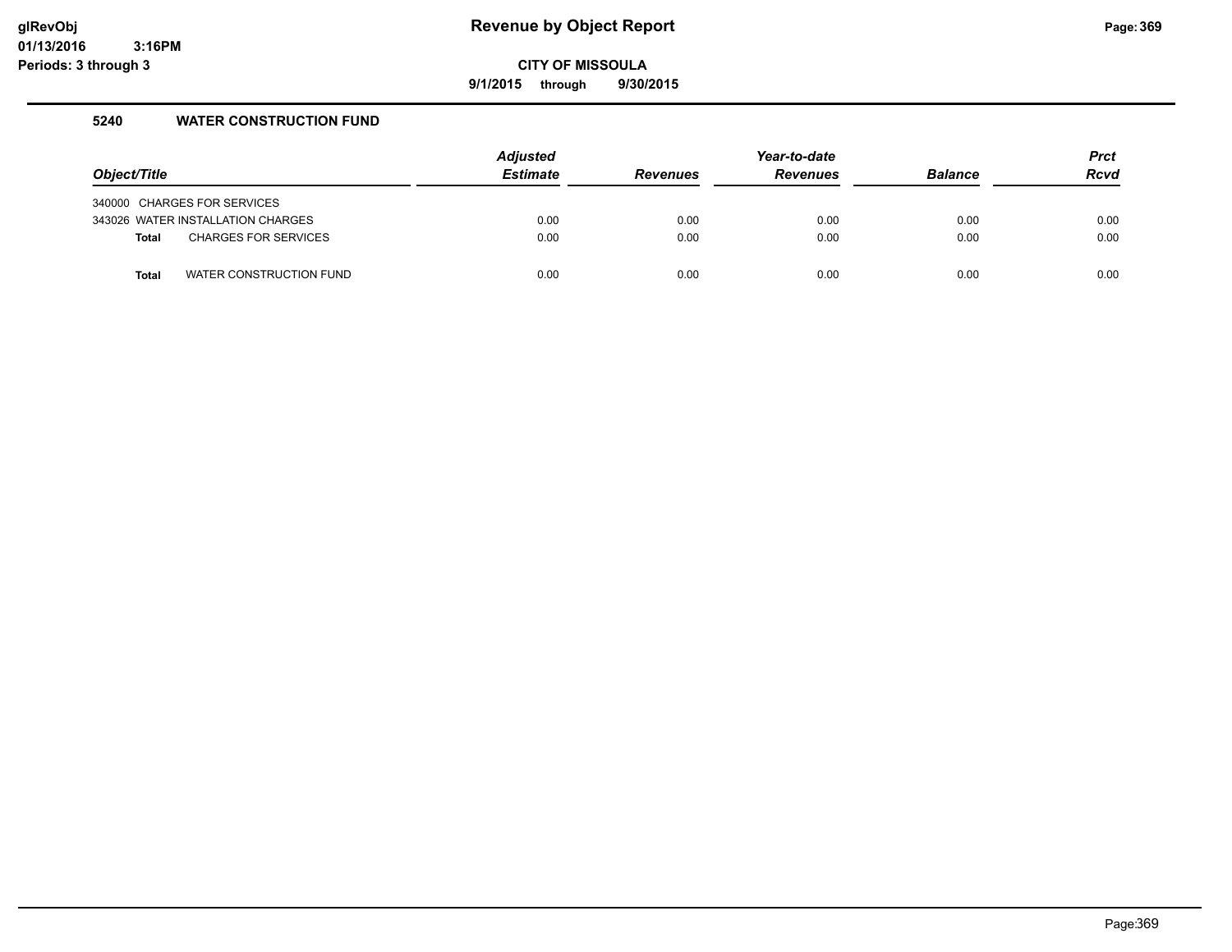**9/1/2015 through 9/30/2015**

#### **5240 WATER CONSTRUCTION FUND**

| Object/Title |                                   | <b>Adjusted</b><br><b>Estimate</b> | <b>Revenues</b> | Year-to-date<br><b>Revenues</b> | <b>Balance</b> | <b>Prct</b><br><b>Rcvd</b> |
|--------------|-----------------------------------|------------------------------------|-----------------|---------------------------------|----------------|----------------------------|
|              | 340000 CHARGES FOR SERVICES       |                                    |                 |                                 |                |                            |
|              | 343026 WATER INSTALLATION CHARGES | 0.00                               | 0.00            | 0.00                            | 0.00           | 0.00                       |
| <b>Total</b> | <b>CHARGES FOR SERVICES</b>       | 0.00                               | 0.00            | 0.00                            | 0.00           | 0.00                       |
| <b>Total</b> | WATER CONSTRUCTION FUND           | 0.00                               | 0.00            | 0.00                            | 0.00           | 0.00                       |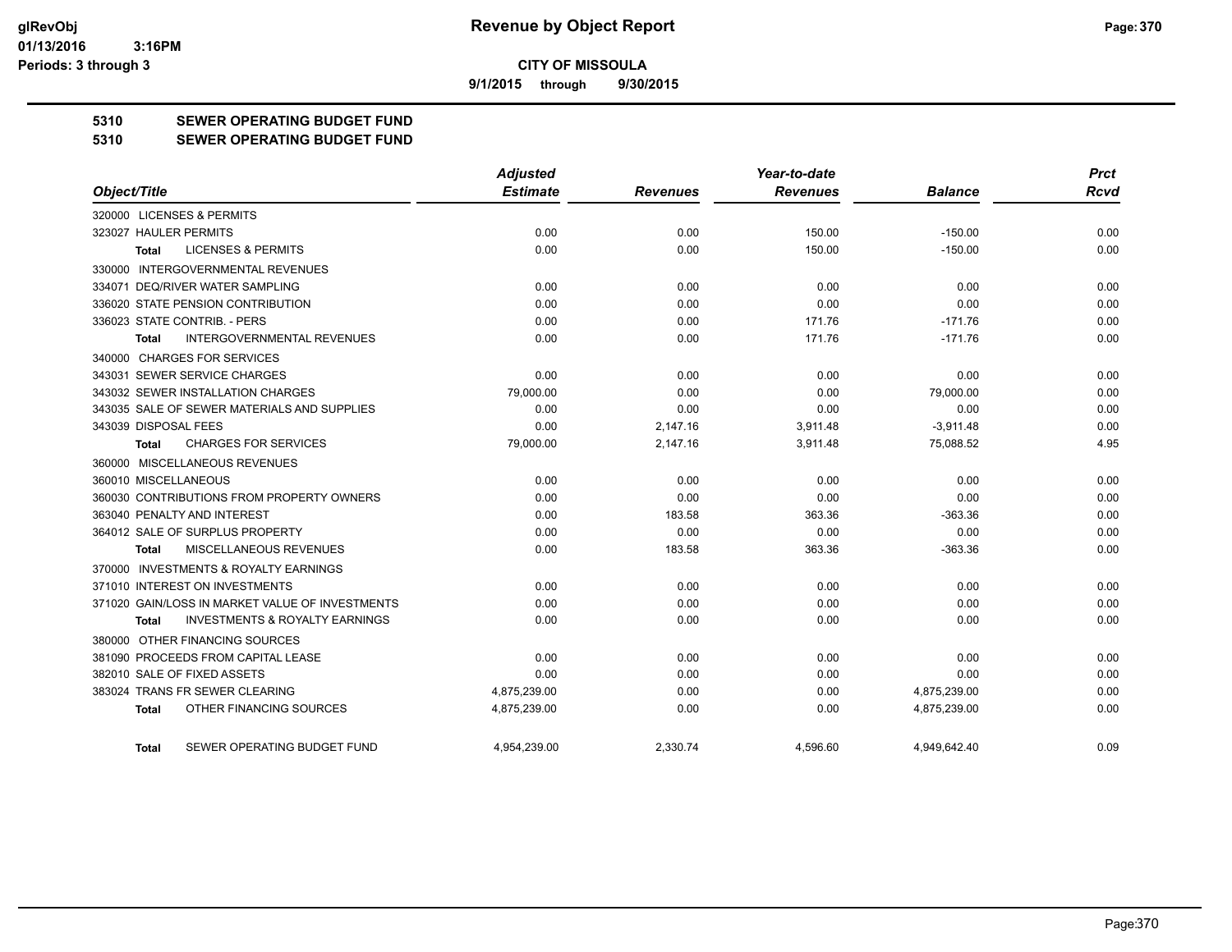**9/1/2015 through 9/30/2015**

### **5310 SEWER OPERATING BUDGET FUND**

#### **5310 SEWER OPERATING BUDGET FUND**

|                                                    | <b>Adjusted</b> |                 | Year-to-date    |                | <b>Prct</b> |
|----------------------------------------------------|-----------------|-----------------|-----------------|----------------|-------------|
| Object/Title                                       | <b>Estimate</b> | <b>Revenues</b> | <b>Revenues</b> | <b>Balance</b> | <b>Rcvd</b> |
| 320000 LICENSES & PERMITS                          |                 |                 |                 |                |             |
| 323027 HAULER PERMITS                              | 0.00            | 0.00            | 150.00          | $-150.00$      | 0.00        |
| <b>LICENSES &amp; PERMITS</b><br><b>Total</b>      | 0.00            | 0.00            | 150.00          | $-150.00$      | 0.00        |
| 330000 INTERGOVERNMENTAL REVENUES                  |                 |                 |                 |                |             |
| 334071 DEQ/RIVER WATER SAMPLING                    | 0.00            | 0.00            | 0.00            | 0.00           | 0.00        |
| 336020 STATE PENSION CONTRIBUTION                  | 0.00            | 0.00            | 0.00            | 0.00           | 0.00        |
| 336023 STATE CONTRIB. - PERS                       | 0.00            | 0.00            | 171.76          | $-171.76$      | 0.00        |
| <b>INTERGOVERNMENTAL REVENUES</b><br><b>Total</b>  | 0.00            | 0.00            | 171.76          | $-171.76$      | 0.00        |
| 340000 CHARGES FOR SERVICES                        |                 |                 |                 |                |             |
| 343031 SEWER SERVICE CHARGES                       | 0.00            | 0.00            | 0.00            | 0.00           | 0.00        |
| 343032 SEWER INSTALLATION CHARGES                  | 79,000.00       | 0.00            | 0.00            | 79,000.00      | 0.00        |
| 343035 SALE OF SEWER MATERIALS AND SUPPLIES        | 0.00            | 0.00            | 0.00            | 0.00           | 0.00        |
| 343039 DISPOSAL FEES                               | 0.00            | 2.147.16        | 3,911.48        | $-3,911.48$    | 0.00        |
| <b>CHARGES FOR SERVICES</b><br><b>Total</b>        | 79,000.00       | 2,147.16        | 3,911.48        | 75,088.52      | 4.95        |
| 360000 MISCELLANEOUS REVENUES                      |                 |                 |                 |                |             |
| 360010 MISCELLANEOUS                               | 0.00            | 0.00            | 0.00            | 0.00           | 0.00        |
| 360030 CONTRIBUTIONS FROM PROPERTY OWNERS          | 0.00            | 0.00            | 0.00            | 0.00           | 0.00        |
| 363040 PENALTY AND INTEREST                        | 0.00            | 183.58          | 363.36          | $-363.36$      | 0.00        |
| 364012 SALE OF SURPLUS PROPERTY                    | 0.00            | 0.00            | 0.00            | 0.00           | 0.00        |
| <b>MISCELLANEOUS REVENUES</b><br>Total             | 0.00            | 183.58          | 363.36          | $-363.36$      | 0.00        |
| 370000 INVESTMENTS & ROYALTY EARNINGS              |                 |                 |                 |                |             |
| 371010 INTEREST ON INVESTMENTS                     | 0.00            | 0.00            | 0.00            | 0.00           | 0.00        |
| 371020 GAIN/LOSS IN MARKET VALUE OF INVESTMENTS    | 0.00            | 0.00            | 0.00            | 0.00           | 0.00        |
| <b>INVESTMENTS &amp; ROYALTY EARNINGS</b><br>Total | 0.00            | 0.00            | 0.00            | 0.00           | 0.00        |
| 380000 OTHER FINANCING SOURCES                     |                 |                 |                 |                |             |
| 381090 PROCEEDS FROM CAPITAL LEASE                 | 0.00            | 0.00            | 0.00            | 0.00           | 0.00        |
| 382010 SALE OF FIXED ASSETS                        | 0.00            | 0.00            | 0.00            | 0.00           | 0.00        |
| 383024 TRANS FR SEWER CLEARING                     | 4,875,239.00    | 0.00            | 0.00            | 4,875,239.00   | 0.00        |
| OTHER FINANCING SOURCES<br><b>Total</b>            | 4,875,239.00    | 0.00            | 0.00            | 4,875,239.00   | 0.00        |
| SEWER OPERATING BUDGET FUND<br>Total               | 4.954.239.00    | 2.330.74        | 4.596.60        | 4.949.642.40   | 0.09        |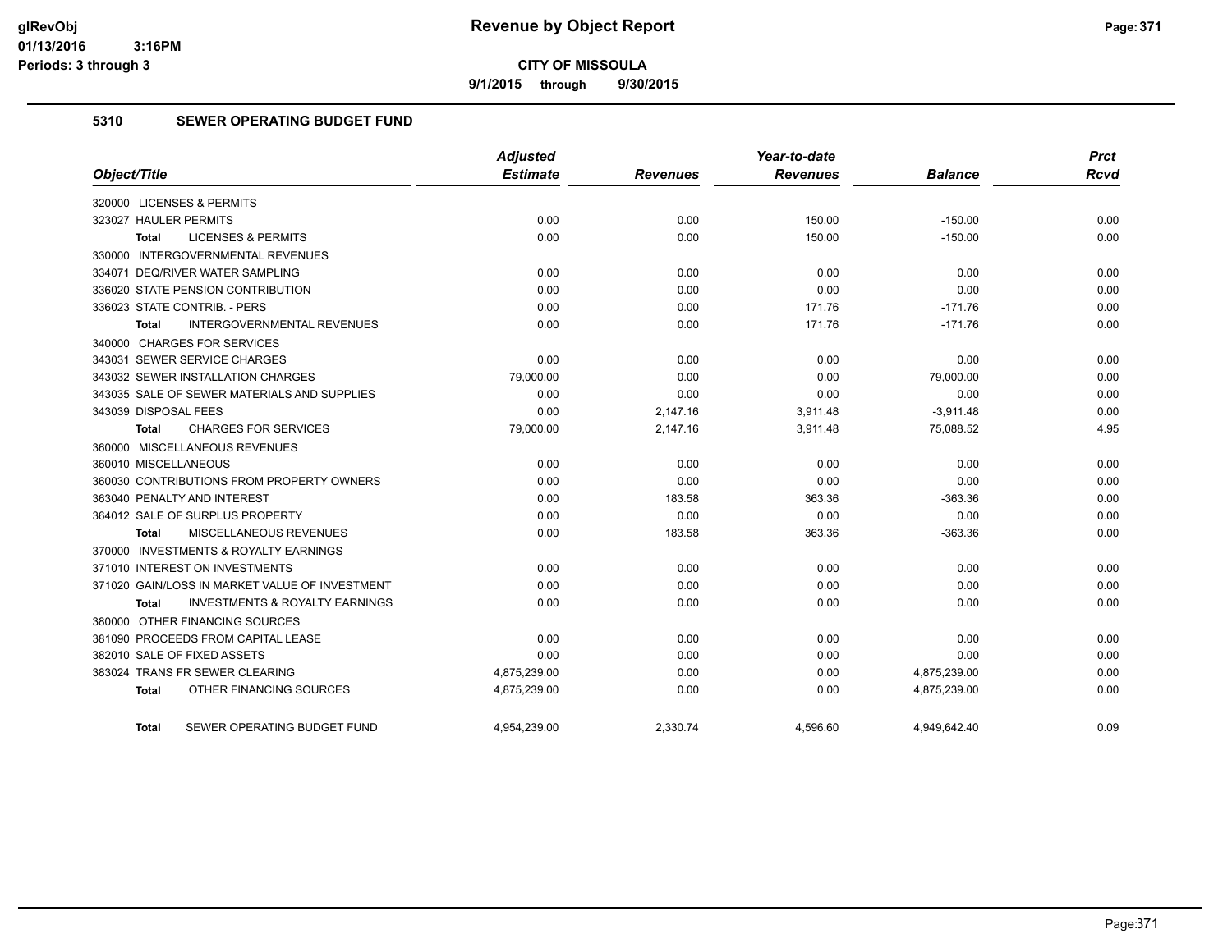**9/1/2015 through 9/30/2015**

#### **5310 SEWER OPERATING BUDGET FUND**

|                                                           | <b>Adjusted</b> |                 | Year-to-date    |                | <b>Prct</b> |
|-----------------------------------------------------------|-----------------|-----------------|-----------------|----------------|-------------|
| Object/Title                                              | <b>Estimate</b> | <b>Revenues</b> | <b>Revenues</b> | <b>Balance</b> | <b>Rcvd</b> |
| 320000 LICENSES & PERMITS                                 |                 |                 |                 |                |             |
| 323027 HAULER PERMITS                                     | 0.00            | 0.00            | 150.00          | $-150.00$      | 0.00        |
| <b>LICENSES &amp; PERMITS</b><br><b>Total</b>             | 0.00            | 0.00            | 150.00          | $-150.00$      | 0.00        |
| 330000 INTERGOVERNMENTAL REVENUES                         |                 |                 |                 |                |             |
| 334071 DEQ/RIVER WATER SAMPLING                           | 0.00            | 0.00            | 0.00            | 0.00           | 0.00        |
| 336020 STATE PENSION CONTRIBUTION                         | 0.00            | 0.00            | 0.00            | 0.00           | 0.00        |
| 336023 STATE CONTRIB. - PERS                              | 0.00            | 0.00            | 171.76          | $-171.76$      | 0.00        |
| <b>INTERGOVERNMENTAL REVENUES</b><br><b>Total</b>         | 0.00            | 0.00            | 171.76          | $-171.76$      | 0.00        |
| 340000 CHARGES FOR SERVICES                               |                 |                 |                 |                |             |
| 343031 SEWER SERVICE CHARGES                              | 0.00            | 0.00            | 0.00            | 0.00           | 0.00        |
| 343032 SEWER INSTALLATION CHARGES                         | 79,000.00       | 0.00            | 0.00            | 79,000.00      | 0.00        |
| 343035 SALE OF SEWER MATERIALS AND SUPPLIES               | 0.00            | 0.00            | 0.00            | 0.00           | 0.00        |
| 343039 DISPOSAL FEES                                      | 0.00            | 2,147.16        | 3,911.48        | $-3,911.48$    | 0.00        |
| <b>CHARGES FOR SERVICES</b><br><b>Total</b>               | 79,000.00       | 2,147.16        | 3,911.48        | 75,088.52      | 4.95        |
| 360000 MISCELLANEOUS REVENUES                             |                 |                 |                 |                |             |
| 360010 MISCELLANEOUS                                      | 0.00            | 0.00            | 0.00            | 0.00           | 0.00        |
| 360030 CONTRIBUTIONS FROM PROPERTY OWNERS                 | 0.00            | 0.00            | 0.00            | 0.00           | 0.00        |
| 363040 PENALTY AND INTEREST                               | 0.00            | 183.58          | 363.36          | $-363.36$      | 0.00        |
| 364012 SALE OF SURPLUS PROPERTY                           | 0.00            | 0.00            | 0.00            | 0.00           | 0.00        |
| MISCELLANEOUS REVENUES<br>Total                           | 0.00            | 183.58          | 363.36          | $-363.36$      | 0.00        |
| 370000 INVESTMENTS & ROYALTY EARNINGS                     |                 |                 |                 |                |             |
| 371010 INTEREST ON INVESTMENTS                            | 0.00            | 0.00            | 0.00            | 0.00           | 0.00        |
| 371020 GAIN/LOSS IN MARKET VALUE OF INVESTMENT            | 0.00            | 0.00            | 0.00            | 0.00           | 0.00        |
| <b>INVESTMENTS &amp; ROYALTY EARNINGS</b><br><b>Total</b> | 0.00            | 0.00            | 0.00            | 0.00           | 0.00        |
| 380000 OTHER FINANCING SOURCES                            |                 |                 |                 |                |             |
| 381090 PROCEEDS FROM CAPITAL LEASE                        | 0.00            | 0.00            | 0.00            | 0.00           | 0.00        |
| 382010 SALE OF FIXED ASSETS                               | 0.00            | 0.00            | 0.00            | 0.00           | 0.00        |
| 383024 TRANS FR SEWER CLEARING                            | 4,875,239.00    | 0.00            | 0.00            | 4,875,239.00   | 0.00        |
| OTHER FINANCING SOURCES<br>Total                          | 4,875,239.00    | 0.00            | 0.00            | 4,875,239.00   | 0.00        |
|                                                           |                 |                 |                 |                |             |
| SEWER OPERATING BUDGET FUND<br>Total                      | 4,954,239.00    | 2,330.74        | 4,596.60        | 4,949,642.40   | 0.09        |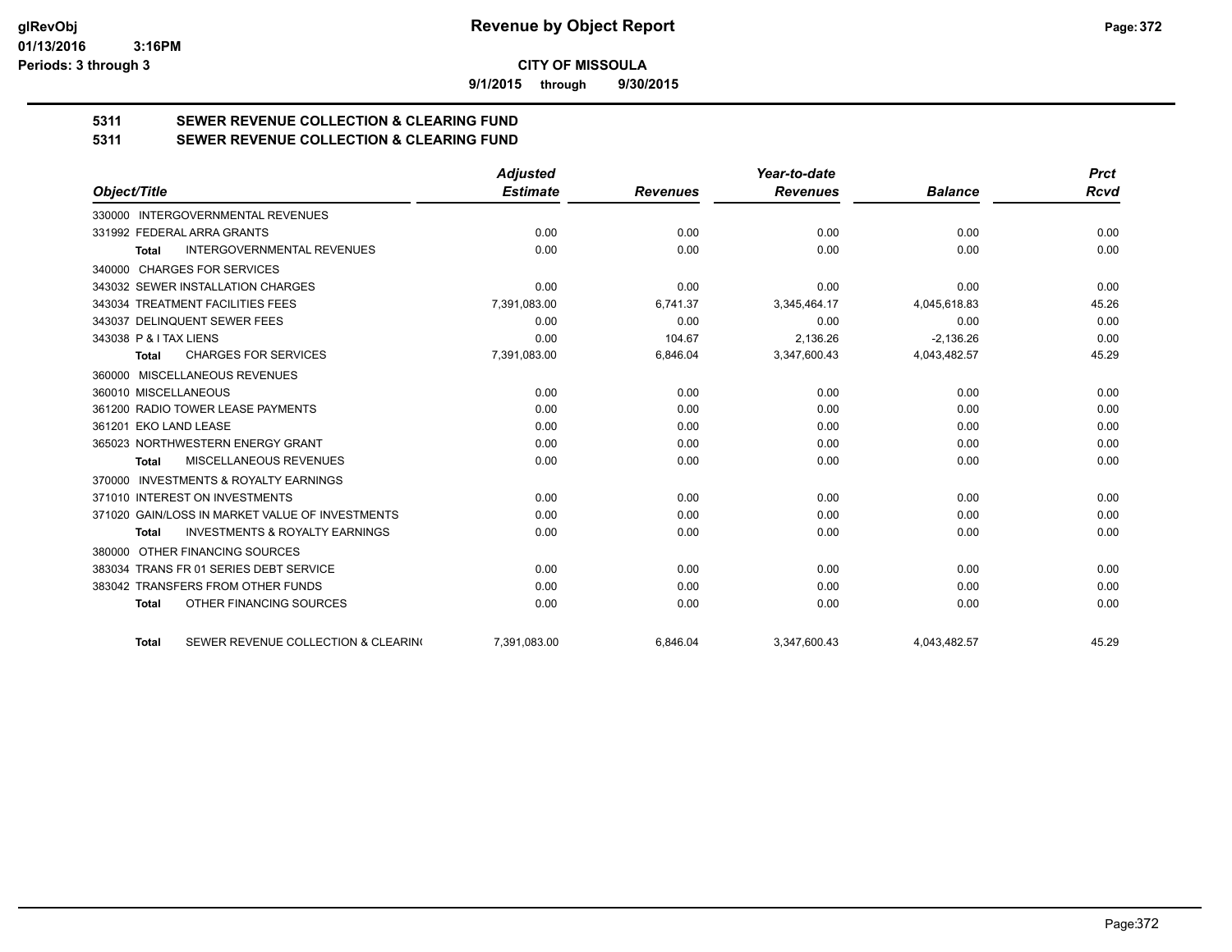**9/1/2015 through 9/30/2015**

# **5311 SEWER REVENUE COLLECTION & CLEARING FUND**

**5311 SEWER REVENUE COLLECTION & CLEARING FUND**

|                                                           | <b>Adjusted</b> |                 | Year-to-date    |                | <b>Prct</b> |
|-----------------------------------------------------------|-----------------|-----------------|-----------------|----------------|-------------|
| Object/Title                                              | <b>Estimate</b> | <b>Revenues</b> | <b>Revenues</b> | <b>Balance</b> | <b>Rcvd</b> |
| 330000 INTERGOVERNMENTAL REVENUES                         |                 |                 |                 |                |             |
| 331992 FEDERAL ARRA GRANTS                                | 0.00            | 0.00            | 0.00            | 0.00           | 0.00        |
| <b>INTERGOVERNMENTAL REVENUES</b><br><b>Total</b>         | 0.00            | 0.00            | 0.00            | 0.00           | 0.00        |
| <b>CHARGES FOR SERVICES</b><br>340000                     |                 |                 |                 |                |             |
| 343032 SEWER INSTALLATION CHARGES                         | 0.00            | 0.00            | 0.00            | 0.00           | 0.00        |
| 343034 TREATMENT FACILITIES FEES                          | 7,391,083.00    | 6,741.37        | 3,345,464.17    | 4,045,618.83   | 45.26       |
| 343037 DELINQUENT SEWER FEES                              | 0.00            | 0.00            | 0.00            | 0.00           | 0.00        |
| 343038 P & I TAX LIENS                                    | 0.00            | 104.67          | 2,136.26        | $-2,136.26$    | 0.00        |
| <b>CHARGES FOR SERVICES</b><br><b>Total</b>               | 7,391,083.00    | 6,846.04        | 3,347,600.43    | 4,043,482.57   | 45.29       |
| MISCELLANEOUS REVENUES<br>360000                          |                 |                 |                 |                |             |
| 360010 MISCELLANEOUS                                      | 0.00            | 0.00            | 0.00            | 0.00           | 0.00        |
| 361200 RADIO TOWER LEASE PAYMENTS                         | 0.00            | 0.00            | 0.00            | 0.00           | 0.00        |
| 361201 EKO LAND LEASE                                     | 0.00            | 0.00            | 0.00            | 0.00           | 0.00        |
| 365023 NORTHWESTERN ENERGY GRANT                          | 0.00            | 0.00            | 0.00            | 0.00           | 0.00        |
| <b>MISCELLANEOUS REVENUES</b><br>Total                    | 0.00            | 0.00            | 0.00            | 0.00           | 0.00        |
| <b>INVESTMENTS &amp; ROYALTY EARNINGS</b><br>370000       |                 |                 |                 |                |             |
| 371010 INTEREST ON INVESTMENTS                            | 0.00            | 0.00            | 0.00            | 0.00           | 0.00        |
| 371020 GAIN/LOSS IN MARKET VALUE OF INVESTMENTS           | 0.00            | 0.00            | 0.00            | 0.00           | 0.00        |
| <b>INVESTMENTS &amp; ROYALTY EARNINGS</b><br><b>Total</b> | 0.00            | 0.00            | 0.00            | 0.00           | 0.00        |
| OTHER FINANCING SOURCES<br>380000                         |                 |                 |                 |                |             |
| 383034 TRANS FR 01 SERIES DEBT SERVICE                    | 0.00            | 0.00            | 0.00            | 0.00           | 0.00        |
| 383042 TRANSFERS FROM OTHER FUNDS                         | 0.00            | 0.00            | 0.00            | 0.00           | 0.00        |
| OTHER FINANCING SOURCES<br><b>Total</b>                   | 0.00            | 0.00            | 0.00            | 0.00           | 0.00        |
| SEWER REVENUE COLLECTION & CLEARING<br><b>Total</b>       | 7.391.083.00    | 6.846.04        | 3.347.600.43    | 4.043.482.57   | 45.29       |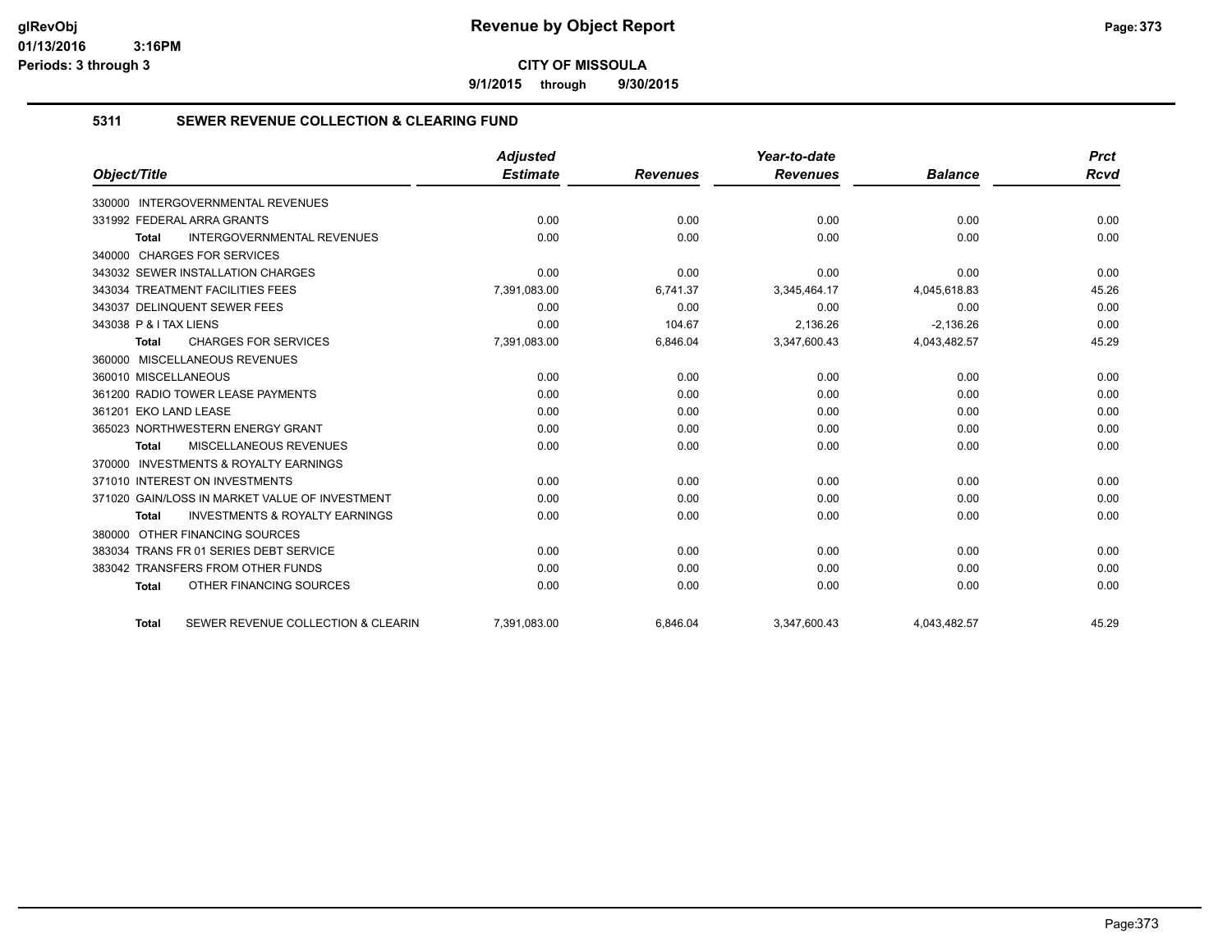**9/1/2015 through 9/30/2015**

#### **5311 SEWER REVENUE COLLECTION & CLEARING FUND**

|                                                           | <b>Adjusted</b> |                 | Year-to-date    |                | <b>Prct</b> |
|-----------------------------------------------------------|-----------------|-----------------|-----------------|----------------|-------------|
| Object/Title                                              | <b>Estimate</b> | <b>Revenues</b> | <b>Revenues</b> | <b>Balance</b> | <b>Rcvd</b> |
| <b>INTERGOVERNMENTAL REVENUES</b><br>330000               |                 |                 |                 |                |             |
| 331992 FEDERAL ARRA GRANTS                                | 0.00            | 0.00            | 0.00            | 0.00           | 0.00        |
| <b>INTERGOVERNMENTAL REVENUES</b><br><b>Total</b>         | 0.00            | 0.00            | 0.00            | 0.00           | 0.00        |
| 340000 CHARGES FOR SERVICES                               |                 |                 |                 |                |             |
| 343032 SEWER INSTALLATION CHARGES                         | 0.00            | 0.00            | 0.00            | 0.00           | 0.00        |
| 343034 TREATMENT FACILITIES FEES                          | 7,391,083.00    | 6,741.37        | 3,345,464.17    | 4,045,618.83   | 45.26       |
| 343037 DELINQUENT SEWER FEES                              | 0.00            | 0.00            | 0.00            | 0.00           | 0.00        |
| 343038 P & I TAX LIENS                                    | 0.00            | 104.67          | 2.136.26        | $-2.136.26$    | 0.00        |
| <b>CHARGES FOR SERVICES</b><br><b>Total</b>               | 7,391,083.00    | 6,846.04        | 3,347,600.43    | 4,043,482.57   | 45.29       |
| 360000 MISCELLANEOUS REVENUES                             |                 |                 |                 |                |             |
| 360010 MISCELLANEOUS                                      | 0.00            | 0.00            | 0.00            | 0.00           | 0.00        |
| 361200 RADIO TOWER LEASE PAYMENTS                         | 0.00            | 0.00            | 0.00            | 0.00           | 0.00        |
| 361201 EKO LAND LEASE                                     | 0.00            | 0.00            | 0.00            | 0.00           | 0.00        |
| 365023 NORTHWESTERN ENERGY GRANT                          | 0.00            | 0.00            | 0.00            | 0.00           | 0.00        |
| <b>MISCELLANEOUS REVENUES</b><br><b>Total</b>             | 0.00            | 0.00            | 0.00            | 0.00           | 0.00        |
| 370000 INVESTMENTS & ROYALTY EARNINGS                     |                 |                 |                 |                |             |
| 371010 INTEREST ON INVESTMENTS                            | 0.00            | 0.00            | 0.00            | 0.00           | 0.00        |
| 371020 GAIN/LOSS IN MARKET VALUE OF INVESTMENT            | 0.00            | 0.00            | 0.00            | 0.00           | 0.00        |
| <b>INVESTMENTS &amp; ROYALTY EARNINGS</b><br><b>Total</b> | 0.00            | 0.00            | 0.00            | 0.00           | 0.00        |
| OTHER FINANCING SOURCES<br>380000                         |                 |                 |                 |                |             |
| 383034 TRANS FR 01 SERIES DEBT SERVICE                    | 0.00            | 0.00            | 0.00            | 0.00           | 0.00        |
| 383042 TRANSFERS FROM OTHER FUNDS                         | 0.00            | 0.00            | 0.00            | 0.00           | 0.00        |
| OTHER FINANCING SOURCES<br><b>Total</b>                   | 0.00            | 0.00            | 0.00            | 0.00           | 0.00        |
| SEWER REVENUE COLLECTION & CLEARIN<br><b>Total</b>        | 7,391,083.00    | 6.846.04        | 3,347,600.43    | 4,043,482.57   | 45.29       |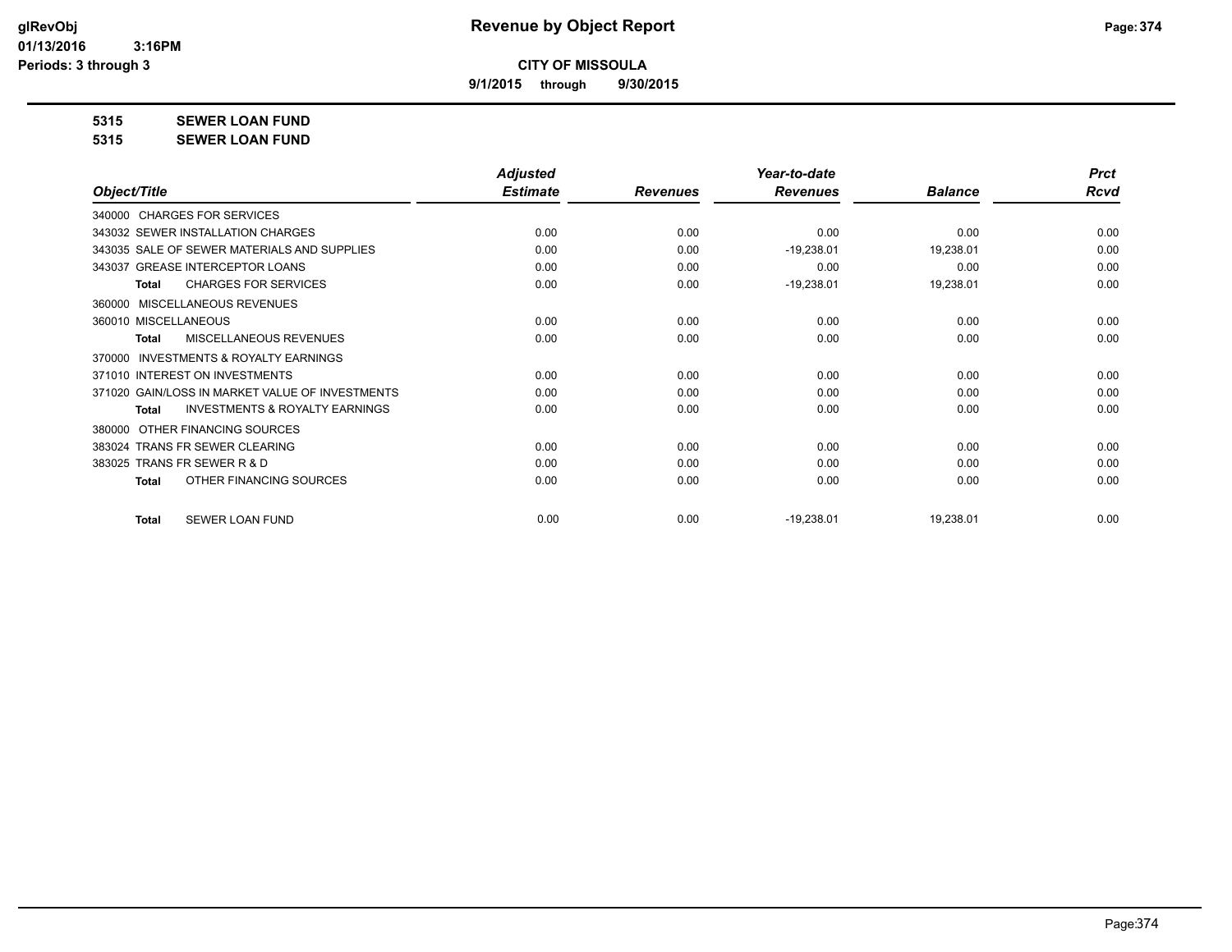**9/1/2015 through 9/30/2015**

**5315 SEWER LOAN FUND**

**5315 SEWER LOAN FUND**

|                                                           | <b>Adjusted</b> |                 | Year-to-date    |                | <b>Prct</b> |
|-----------------------------------------------------------|-----------------|-----------------|-----------------|----------------|-------------|
| Object/Title                                              | <b>Estimate</b> | <b>Revenues</b> | <b>Revenues</b> | <b>Balance</b> | <b>Rcvd</b> |
| 340000 CHARGES FOR SERVICES                               |                 |                 |                 |                |             |
| 343032 SEWER INSTALLATION CHARGES                         | 0.00            | 0.00            | 0.00            | 0.00           | 0.00        |
| 343035 SALE OF SEWER MATERIALS AND SUPPLIES               | 0.00            | 0.00            | $-19,238.01$    | 19,238.01      | 0.00        |
| 343037 GREASE INTERCEPTOR LOANS                           | 0.00            | 0.00            | 0.00            | 0.00           | 0.00        |
| <b>CHARGES FOR SERVICES</b><br><b>Total</b>               | 0.00            | 0.00            | $-19,238.01$    | 19,238.01      | 0.00        |
| MISCELLANEOUS REVENUES<br>360000                          |                 |                 |                 |                |             |
| 360010 MISCELLANEOUS                                      | 0.00            | 0.00            | 0.00            | 0.00           | 0.00        |
| MISCELLANEOUS REVENUES<br><b>Total</b>                    | 0.00            | 0.00            | 0.00            | 0.00           | 0.00        |
| <b>INVESTMENTS &amp; ROYALTY EARNINGS</b><br>370000       |                 |                 |                 |                |             |
| 371010 INTEREST ON INVESTMENTS                            | 0.00            | 0.00            | 0.00            | 0.00           | 0.00        |
| 371020 GAIN/LOSS IN MARKET VALUE OF INVESTMENTS           | 0.00            | 0.00            | 0.00            | 0.00           | 0.00        |
| <b>INVESTMENTS &amp; ROYALTY EARNINGS</b><br><b>Total</b> | 0.00            | 0.00            | 0.00            | 0.00           | 0.00        |
| OTHER FINANCING SOURCES<br>380000                         |                 |                 |                 |                |             |
| 383024 TRANS FR SEWER CLEARING                            | 0.00            | 0.00            | 0.00            | 0.00           | 0.00        |
| 383025 TRANS FR SEWER R & D                               | 0.00            | 0.00            | 0.00            | 0.00           | 0.00        |
| OTHER FINANCING SOURCES<br>Total                          | 0.00            | 0.00            | 0.00            | 0.00           | 0.00        |
| <b>SEWER LOAN FUND</b><br><b>Total</b>                    | 0.00            | 0.00            | $-19,238.01$    | 19,238.01      | 0.00        |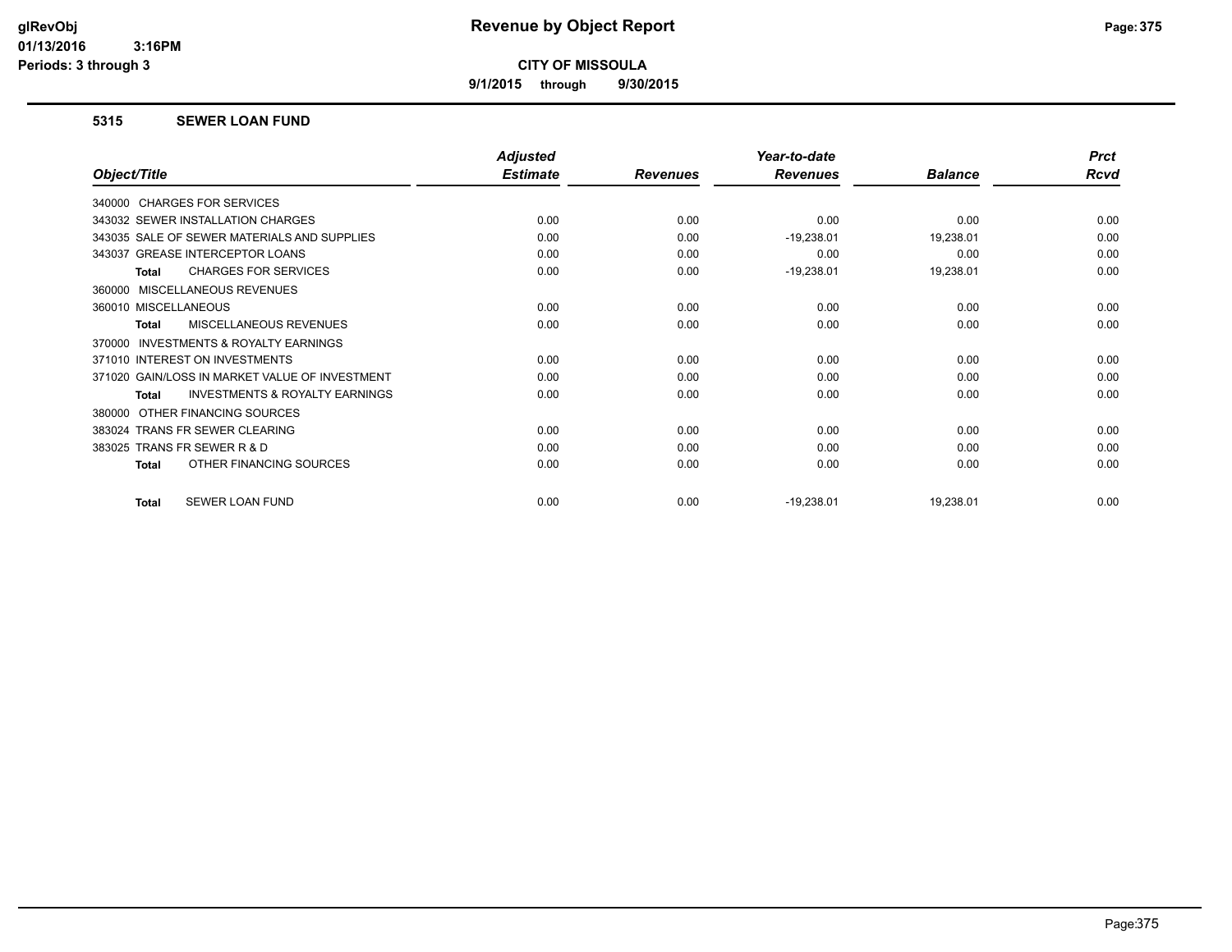**9/1/2015 through 9/30/2015**

#### **5315 SEWER LOAN FUND**

|                                                           | <b>Adjusted</b> |                 | Year-to-date    |                | <b>Prct</b> |
|-----------------------------------------------------------|-----------------|-----------------|-----------------|----------------|-------------|
| Object/Title                                              | <b>Estimate</b> | <b>Revenues</b> | <b>Revenues</b> | <b>Balance</b> | <b>Rcvd</b> |
| 340000 CHARGES FOR SERVICES                               |                 |                 |                 |                |             |
| 343032 SEWER INSTALLATION CHARGES                         | 0.00            | 0.00            | 0.00            | 0.00           | 0.00        |
| 343035 SALE OF SEWER MATERIALS AND SUPPLIES               | 0.00            | 0.00            | $-19,238.01$    | 19,238.01      | 0.00        |
| 343037 GREASE INTERCEPTOR LOANS                           | 0.00            | 0.00            | 0.00            | 0.00           | 0.00        |
| <b>CHARGES FOR SERVICES</b><br><b>Total</b>               | 0.00            | 0.00            | $-19,238.01$    | 19,238.01      | 0.00        |
| MISCELLANEOUS REVENUES<br>360000                          |                 |                 |                 |                |             |
| 360010 MISCELLANEOUS                                      | 0.00            | 0.00            | 0.00            | 0.00           | 0.00        |
| MISCELLANEOUS REVENUES<br><b>Total</b>                    | 0.00            | 0.00            | 0.00            | 0.00           | 0.00        |
| INVESTMENTS & ROYALTY EARNINGS<br>370000                  |                 |                 |                 |                |             |
| 371010 INTEREST ON INVESTMENTS                            | 0.00            | 0.00            | 0.00            | 0.00           | 0.00        |
| 371020 GAIN/LOSS IN MARKET VALUE OF INVESTMENT            | 0.00            | 0.00            | 0.00            | 0.00           | 0.00        |
| <b>INVESTMENTS &amp; ROYALTY EARNINGS</b><br><b>Total</b> | 0.00            | 0.00            | 0.00            | 0.00           | 0.00        |
| OTHER FINANCING SOURCES<br>380000                         |                 |                 |                 |                |             |
| 383024 TRANS FR SEWER CLEARING                            | 0.00            | 0.00            | 0.00            | 0.00           | 0.00        |
| 383025 TRANS FR SEWER R & D                               | 0.00            | 0.00            | 0.00            | 0.00           | 0.00        |
| OTHER FINANCING SOURCES<br><b>Total</b>                   | 0.00            | 0.00            | 0.00            | 0.00           | 0.00        |
| SEWER LOAN FUND<br><b>Total</b>                           | 0.00            | 0.00            | $-19,238.01$    | 19,238.01      | 0.00        |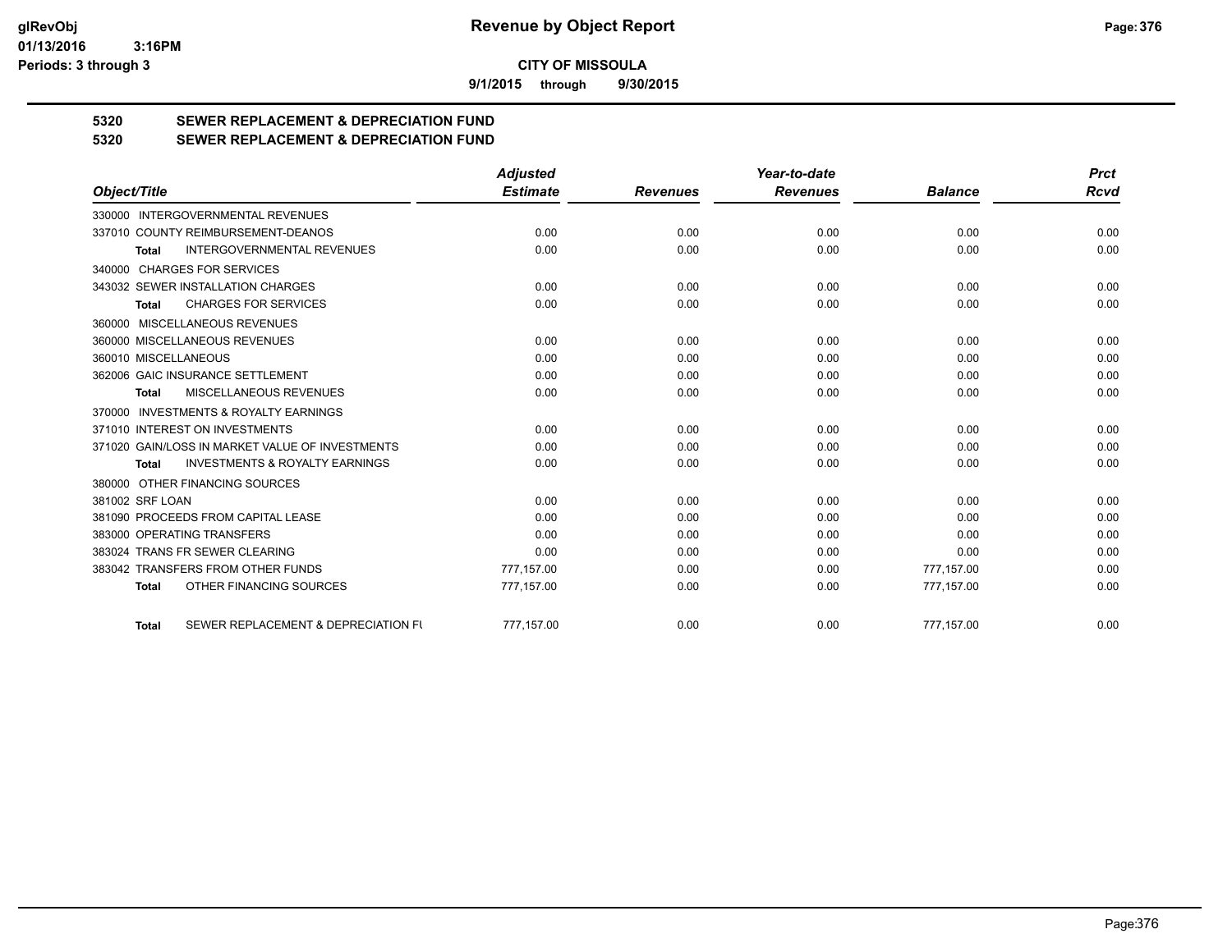**9/1/2015 through 9/30/2015**

# **5320 SEWER REPLACEMENT & DEPRECIATION FUND**

## **5320 SEWER REPLACEMENT & DEPRECIATION FUND**

|                                                           | <b>Adjusted</b> |                 | Year-to-date    |                | <b>Prct</b> |
|-----------------------------------------------------------|-----------------|-----------------|-----------------|----------------|-------------|
| Object/Title                                              | <b>Estimate</b> | <b>Revenues</b> | <b>Revenues</b> | <b>Balance</b> | <b>Rcvd</b> |
| 330000 INTERGOVERNMENTAL REVENUES                         |                 |                 |                 |                |             |
| 337010 COUNTY REIMBURSEMENT-DEANOS                        | 0.00            | 0.00            | 0.00            | 0.00           | 0.00        |
| <b>INTERGOVERNMENTAL REVENUES</b><br><b>Total</b>         | 0.00            | 0.00            | 0.00            | 0.00           | 0.00        |
| 340000 CHARGES FOR SERVICES                               |                 |                 |                 |                |             |
| 343032 SEWER INSTALLATION CHARGES                         | 0.00            | 0.00            | 0.00            | 0.00           | 0.00        |
| <b>CHARGES FOR SERVICES</b><br><b>Total</b>               | 0.00            | 0.00            | 0.00            | 0.00           | 0.00        |
| 360000 MISCELLANEOUS REVENUES                             |                 |                 |                 |                |             |
| 360000 MISCELLANEOUS REVENUES                             | 0.00            | 0.00            | 0.00            | 0.00           | 0.00        |
| 360010 MISCELLANEOUS                                      | 0.00            | 0.00            | 0.00            | 0.00           | 0.00        |
| 362006 GAIC INSURANCE SETTLEMENT                          | 0.00            | 0.00            | 0.00            | 0.00           | 0.00        |
| MISCELLANEOUS REVENUES<br><b>Total</b>                    | 0.00            | 0.00            | 0.00            | 0.00           | 0.00        |
| 370000 INVESTMENTS & ROYALTY EARNINGS                     |                 |                 |                 |                |             |
| 371010 INTEREST ON INVESTMENTS                            | 0.00            | 0.00            | 0.00            | 0.00           | 0.00        |
| 371020 GAIN/LOSS IN MARKET VALUE OF INVESTMENTS           | 0.00            | 0.00            | 0.00            | 0.00           | 0.00        |
| <b>INVESTMENTS &amp; ROYALTY EARNINGS</b><br><b>Total</b> | 0.00            | 0.00            | 0.00            | 0.00           | 0.00        |
| 380000 OTHER FINANCING SOURCES                            |                 |                 |                 |                |             |
| 381002 SRF LOAN                                           | 0.00            | 0.00            | 0.00            | 0.00           | 0.00        |
| 381090 PROCEEDS FROM CAPITAL LEASE                        | 0.00            | 0.00            | 0.00            | 0.00           | 0.00        |
| 383000 OPERATING TRANSFERS                                | 0.00            | 0.00            | 0.00            | 0.00           | 0.00        |
| 383024 TRANS FR SEWER CLEARING                            | 0.00            | 0.00            | 0.00            | 0.00           | 0.00        |
| 383042 TRANSFERS FROM OTHER FUNDS                         | 777.157.00      | 0.00            | 0.00            | 777,157.00     | 0.00        |
| OTHER FINANCING SOURCES<br><b>Total</b>                   | 777,157.00      | 0.00            | 0.00            | 777,157.00     | 0.00        |
| SEWER REPLACEMENT & DEPRECIATION FI<br><b>Total</b>       | 777.157.00      | 0.00            | 0.00            | 777,157.00     | 0.00        |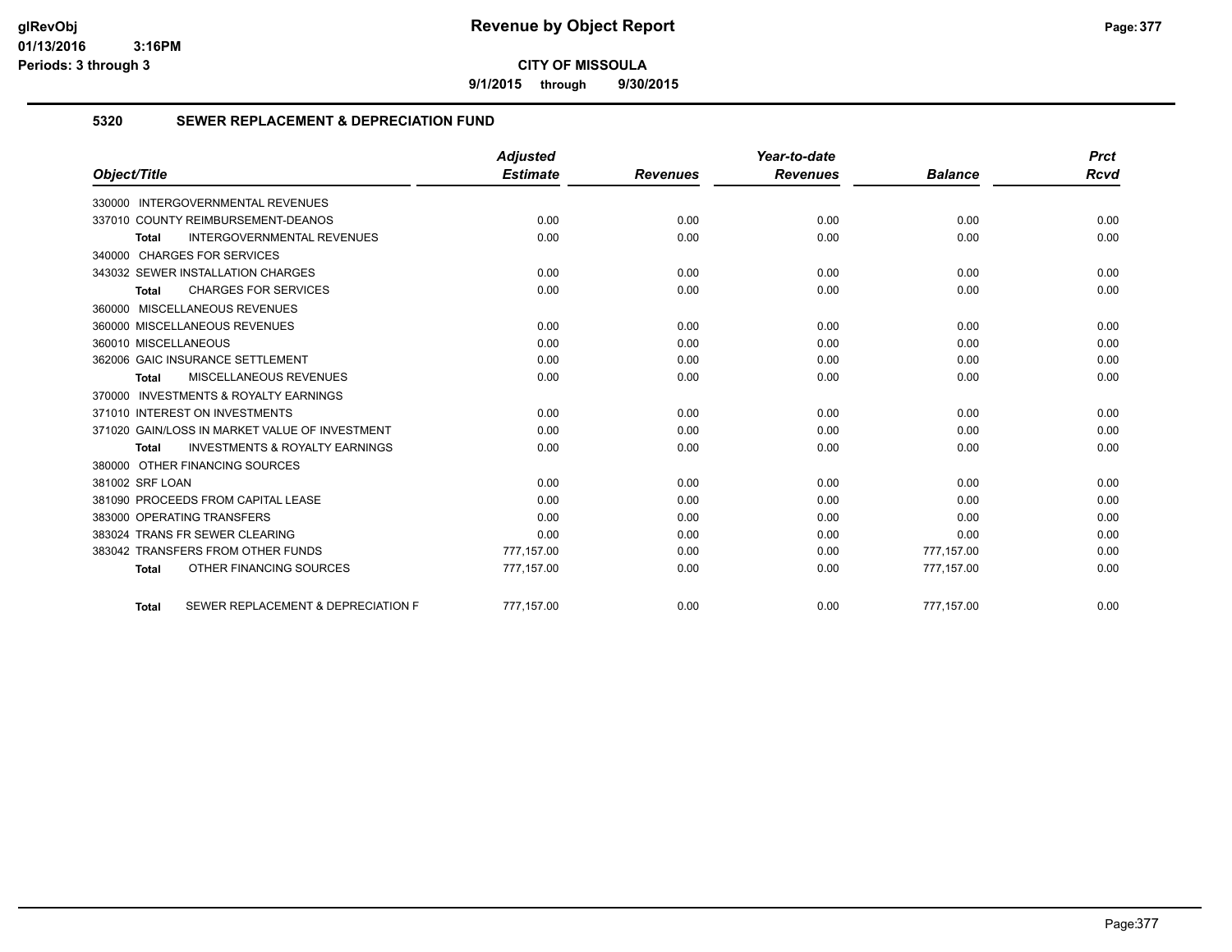**9/1/2015 through 9/30/2015**

#### **5320 SEWER REPLACEMENT & DEPRECIATION FUND**

|                                                           | <b>Adjusted</b> |                 | Year-to-date    |                | <b>Prct</b> |
|-----------------------------------------------------------|-----------------|-----------------|-----------------|----------------|-------------|
| Object/Title                                              | <b>Estimate</b> | <b>Revenues</b> | <b>Revenues</b> | <b>Balance</b> | <b>Rcvd</b> |
| 330000 INTERGOVERNMENTAL REVENUES                         |                 |                 |                 |                |             |
| 337010 COUNTY REIMBURSEMENT-DEANOS                        | 0.00            | 0.00            | 0.00            | 0.00           | 0.00        |
| INTERGOVERNMENTAL REVENUES<br><b>Total</b>                | 0.00            | 0.00            | 0.00            | 0.00           | 0.00        |
| 340000 CHARGES FOR SERVICES                               |                 |                 |                 |                |             |
| 343032 SEWER INSTALLATION CHARGES                         | 0.00            | 0.00            | 0.00            | 0.00           | 0.00        |
| <b>CHARGES FOR SERVICES</b><br><b>Total</b>               | 0.00            | 0.00            | 0.00            | 0.00           | 0.00        |
| 360000 MISCELLANEOUS REVENUES                             |                 |                 |                 |                |             |
| 360000 MISCELLANEOUS REVENUES                             | 0.00            | 0.00            | 0.00            | 0.00           | 0.00        |
| 360010 MISCELLANEOUS                                      | 0.00            | 0.00            | 0.00            | 0.00           | 0.00        |
| 362006 GAIC INSURANCE SETTLEMENT                          | 0.00            | 0.00            | 0.00            | 0.00           | 0.00        |
| <b>MISCELLANEOUS REVENUES</b><br><b>Total</b>             | 0.00            | 0.00            | 0.00            | 0.00           | 0.00        |
| 370000 INVESTMENTS & ROYALTY EARNINGS                     |                 |                 |                 |                |             |
| 371010 INTEREST ON INVESTMENTS                            | 0.00            | 0.00            | 0.00            | 0.00           | 0.00        |
| 371020 GAIN/LOSS IN MARKET VALUE OF INVESTMENT            | 0.00            | 0.00            | 0.00            | 0.00           | 0.00        |
| <b>INVESTMENTS &amp; ROYALTY EARNINGS</b><br><b>Total</b> | 0.00            | 0.00            | 0.00            | 0.00           | 0.00        |
| 380000 OTHER FINANCING SOURCES                            |                 |                 |                 |                |             |
| 381002 SRF LOAN                                           | 0.00            | 0.00            | 0.00            | 0.00           | 0.00        |
| 381090 PROCEEDS FROM CAPITAL LEASE                        | 0.00            | 0.00            | 0.00            | 0.00           | 0.00        |
| 383000 OPERATING TRANSFERS                                | 0.00            | 0.00            | 0.00            | 0.00           | 0.00        |
| 383024 TRANS FR SEWER CLEARING                            | 0.00            | 0.00            | 0.00            | 0.00           | 0.00        |
| 383042 TRANSFERS FROM OTHER FUNDS                         | 777,157.00      | 0.00            | 0.00            | 777,157.00     | 0.00        |
| OTHER FINANCING SOURCES<br><b>Total</b>                   | 777,157.00      | 0.00            | 0.00            | 777,157.00     | 0.00        |
| SEWER REPLACEMENT & DEPRECIATION F<br><b>Total</b>        | 777.157.00      | 0.00            | 0.00            | 777.157.00     | 0.00        |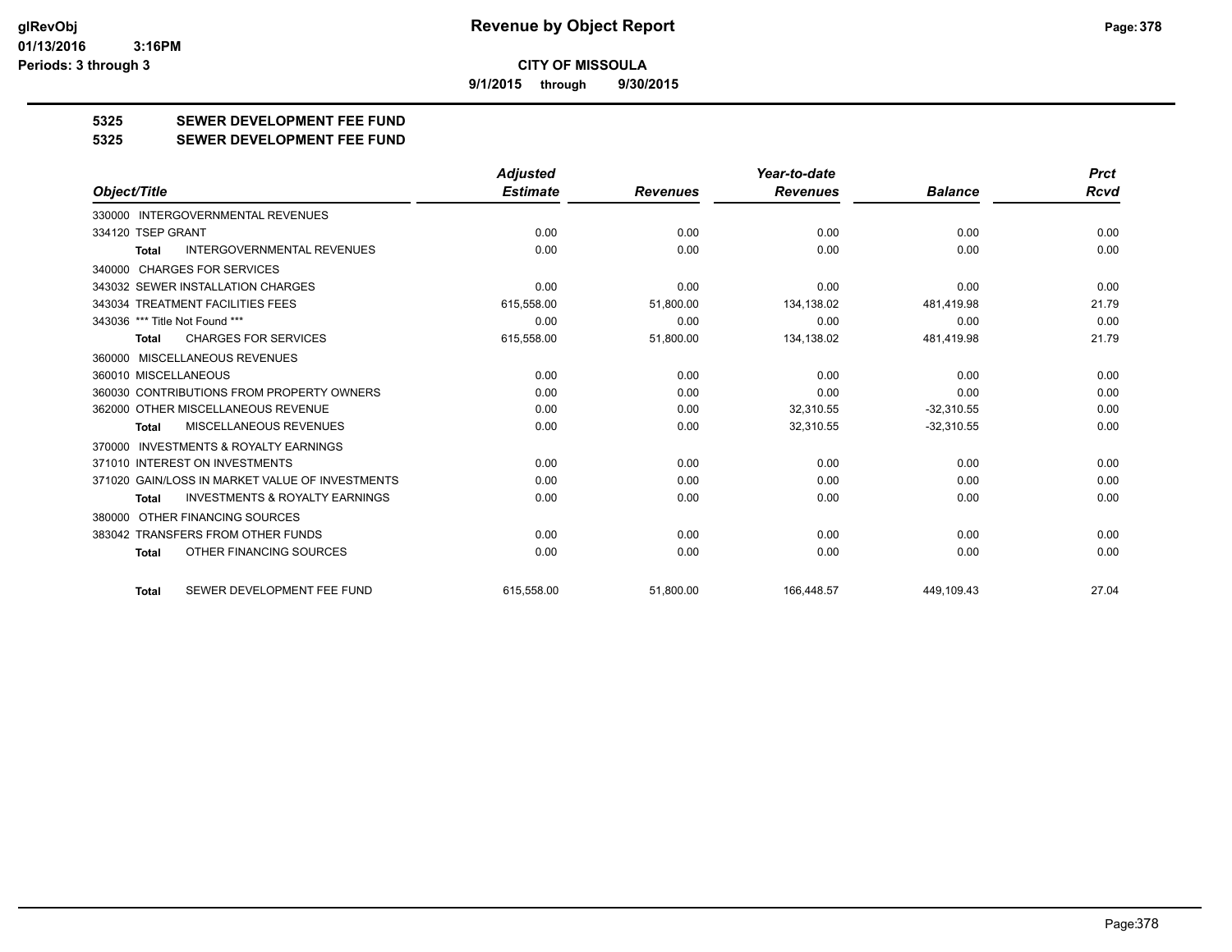**9/1/2015 through 9/30/2015**

### **5325 SEWER DEVELOPMENT FEE FUND**

**5325 SEWER DEVELOPMENT FEE FUND**

|                                                    | <b>Adjusted</b> |                 | Year-to-date    |                | <b>Prct</b> |
|----------------------------------------------------|-----------------|-----------------|-----------------|----------------|-------------|
| Object/Title                                       | <b>Estimate</b> | <b>Revenues</b> | <b>Revenues</b> | <b>Balance</b> | <b>Rcvd</b> |
| 330000 INTERGOVERNMENTAL REVENUES                  |                 |                 |                 |                |             |
| 334120 TSEP GRANT                                  | 0.00            | 0.00            | 0.00            | 0.00           | 0.00        |
| <b>INTERGOVERNMENTAL REVENUES</b><br>Total         | 0.00            | 0.00            | 0.00            | 0.00           | 0.00        |
| 340000 CHARGES FOR SERVICES                        |                 |                 |                 |                |             |
| 343032 SEWER INSTALLATION CHARGES                  | 0.00            | 0.00            | 0.00            | 0.00           | 0.00        |
| 343034 TREATMENT FACILITIES FEES                   | 615,558.00      | 51,800.00       | 134,138.02      | 481,419.98     | 21.79       |
| 343036 *** Title Not Found ***                     | 0.00            | 0.00            | 0.00            | 0.00           | 0.00        |
| <b>CHARGES FOR SERVICES</b><br>Total               | 615,558.00      | 51,800.00       | 134,138.02      | 481,419.98     | 21.79       |
| 360000 MISCELLANEOUS REVENUES                      |                 |                 |                 |                |             |
| 360010 MISCELLANEOUS                               | 0.00            | 0.00            | 0.00            | 0.00           | 0.00        |
| 360030 CONTRIBUTIONS FROM PROPERTY OWNERS          | 0.00            | 0.00            | 0.00            | 0.00           | 0.00        |
| 362000 OTHER MISCELLANEOUS REVENUE                 | 0.00            | 0.00            | 32,310.55       | $-32,310.55$   | 0.00        |
| <b>MISCELLANEOUS REVENUES</b><br><b>Total</b>      | 0.00            | 0.00            | 32,310.55       | $-32,310.55$   | 0.00        |
| INVESTMENTS & ROYALTY EARNINGS<br>370000           |                 |                 |                 |                |             |
| 371010 INTEREST ON INVESTMENTS                     | 0.00            | 0.00            | 0.00            | 0.00           | 0.00        |
| 371020 GAIN/LOSS IN MARKET VALUE OF INVESTMENTS    | 0.00            | 0.00            | 0.00            | 0.00           | 0.00        |
| <b>INVESTMENTS &amp; ROYALTY EARNINGS</b><br>Total | 0.00            | 0.00            | 0.00            | 0.00           | 0.00        |
| 380000 OTHER FINANCING SOURCES                     |                 |                 |                 |                |             |
| 383042 TRANSFERS FROM OTHER FUNDS                  | 0.00            | 0.00            | 0.00            | 0.00           | 0.00        |
| OTHER FINANCING SOURCES<br>Total                   | 0.00            | 0.00            | 0.00            | 0.00           | 0.00        |
| SEWER DEVELOPMENT FEE FUND<br><b>Total</b>         | 615.558.00      | 51.800.00       | 166.448.57      | 449.109.43     | 27.04       |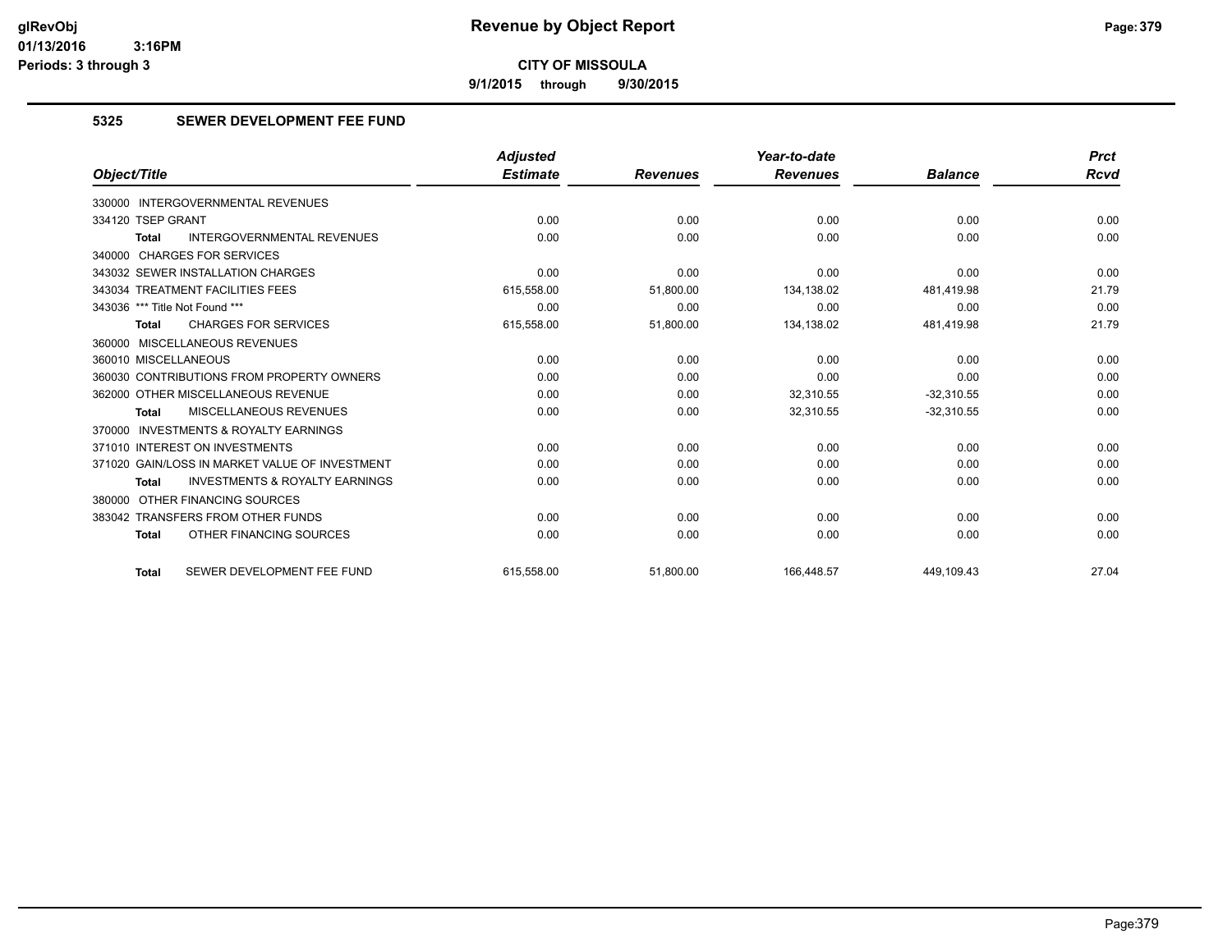**9/1/2015 through 9/30/2015**

#### **5325 SEWER DEVELOPMENT FEE FUND**

|                                                    | <b>Adjusted</b> |                 | Year-to-date    |                | <b>Prct</b> |
|----------------------------------------------------|-----------------|-----------------|-----------------|----------------|-------------|
| Object/Title                                       | <b>Estimate</b> | <b>Revenues</b> | <b>Revenues</b> | <b>Balance</b> | Rcvd        |
| 330000 INTERGOVERNMENTAL REVENUES                  |                 |                 |                 |                |             |
| 334120 TSEP GRANT                                  | 0.00            | 0.00            | 0.00            | 0.00           | 0.00        |
| <b>INTERGOVERNMENTAL REVENUES</b><br><b>Total</b>  | 0.00            | 0.00            | 0.00            | 0.00           | 0.00        |
| 340000 CHARGES FOR SERVICES                        |                 |                 |                 |                |             |
| 343032 SEWER INSTALLATION CHARGES                  | 0.00            | 0.00            | 0.00            | 0.00           | 0.00        |
| 343034 TREATMENT FACILITIES FEES                   | 615,558.00      | 51,800.00       | 134,138.02      | 481,419.98     | 21.79       |
| 343036 *** Title Not Found ***                     | 0.00            | 0.00            | 0.00            | 0.00           | 0.00        |
| <b>CHARGES FOR SERVICES</b><br><b>Total</b>        | 615,558.00      | 51,800.00       | 134,138.02      | 481,419.98     | 21.79       |
| 360000 MISCELLANEOUS REVENUES                      |                 |                 |                 |                |             |
| 360010 MISCELLANEOUS                               | 0.00            | 0.00            | 0.00            | 0.00           | 0.00        |
| 360030 CONTRIBUTIONS FROM PROPERTY OWNERS          | 0.00            | 0.00            | 0.00            | 0.00           | 0.00        |
| 362000 OTHER MISCELLANEOUS REVENUE                 | 0.00            | 0.00            | 32,310.55       | $-32,310.55$   | 0.00        |
| MISCELLANEOUS REVENUES<br><b>Total</b>             | 0.00            | 0.00            | 32,310.55       | $-32,310.55$   | 0.00        |
| 370000 INVESTMENTS & ROYALTY EARNINGS              |                 |                 |                 |                |             |
| 371010 INTEREST ON INVESTMENTS                     | 0.00            | 0.00            | 0.00            | 0.00           | 0.00        |
| 371020 GAIN/LOSS IN MARKET VALUE OF INVESTMENT     | 0.00            | 0.00            | 0.00            | 0.00           | 0.00        |
| <b>INVESTMENTS &amp; ROYALTY EARNINGS</b><br>Total | 0.00            | 0.00            | 0.00            | 0.00           | 0.00        |
| 380000 OTHER FINANCING SOURCES                     |                 |                 |                 |                |             |
| 383042 TRANSFERS FROM OTHER FUNDS                  | 0.00            | 0.00            | 0.00            | 0.00           | 0.00        |
| OTHER FINANCING SOURCES<br><b>Total</b>            | 0.00            | 0.00            | 0.00            | 0.00           | 0.00        |
| SEWER DEVELOPMENT FEE FUND<br><b>Total</b>         | 615.558.00      | 51,800.00       | 166.448.57      | 449.109.43     | 27.04       |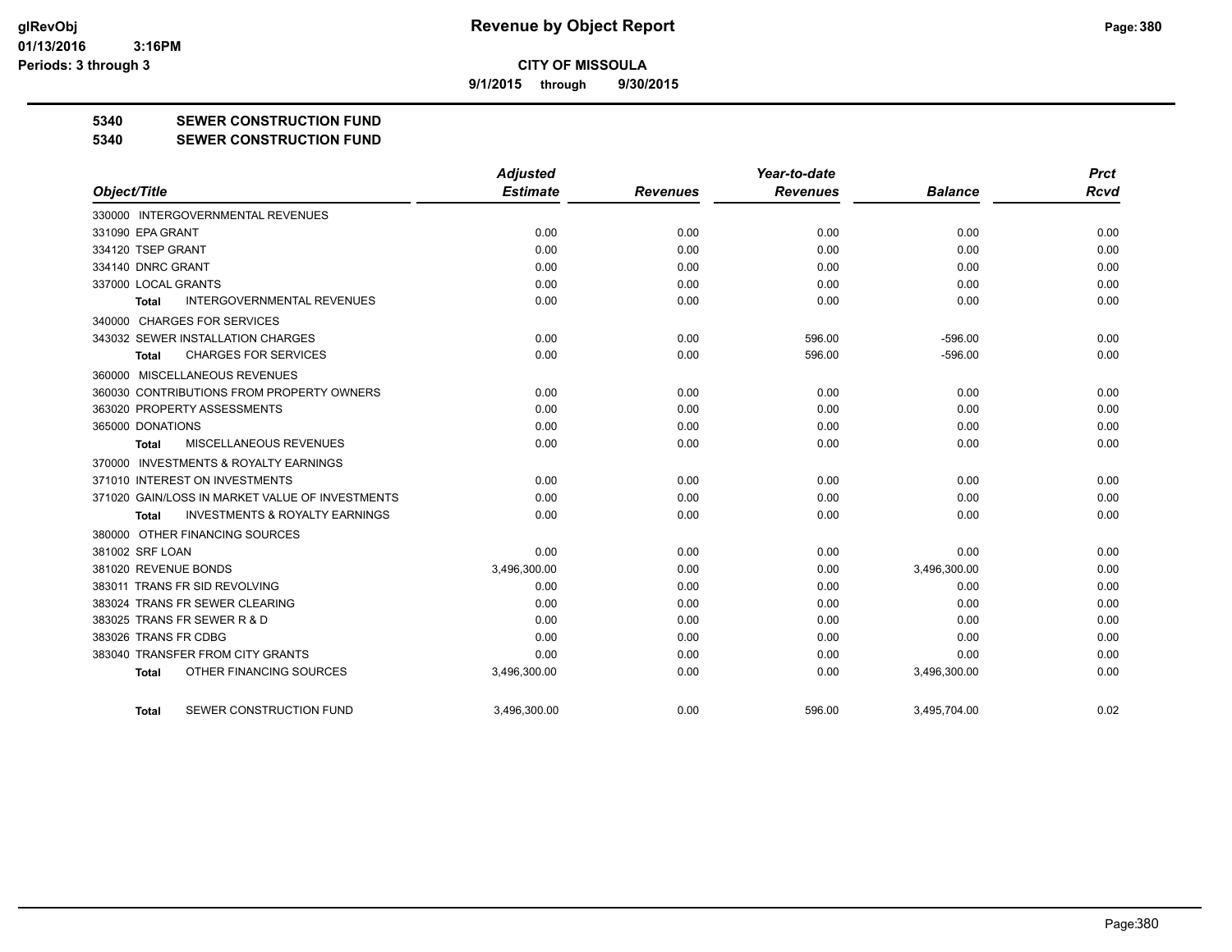**9/1/2015 through 9/30/2015**

#### **5340 SEWER CONSTRUCTION FUND**

#### **5340 SEWER CONSTRUCTION FUND**

|                                                     | <b>Adjusted</b> |                 | Year-to-date    |                | <b>Prct</b> |
|-----------------------------------------------------|-----------------|-----------------|-----------------|----------------|-------------|
| Object/Title                                        | <b>Estimate</b> | <b>Revenues</b> | <b>Revenues</b> | <b>Balance</b> | <b>Rcvd</b> |
| 330000 INTERGOVERNMENTAL REVENUES                   |                 |                 |                 |                |             |
| 331090 EPA GRANT                                    | 0.00            | 0.00            | 0.00            | 0.00           | 0.00        |
| 334120 TSEP GRANT                                   | 0.00            | 0.00            | 0.00            | 0.00           | 0.00        |
| 334140 DNRC GRANT                                   | 0.00            | 0.00            | 0.00            | 0.00           | 0.00        |
| 337000 LOCAL GRANTS                                 | 0.00            | 0.00            | 0.00            | 0.00           | 0.00        |
| <b>INTERGOVERNMENTAL REVENUES</b><br>Total          | 0.00            | 0.00            | 0.00            | 0.00           | 0.00        |
| 340000 CHARGES FOR SERVICES                         |                 |                 |                 |                |             |
| 343032 SEWER INSTALLATION CHARGES                   | 0.00            | 0.00            | 596.00          | $-596.00$      | 0.00        |
| <b>CHARGES FOR SERVICES</b><br><b>Total</b>         | 0.00            | 0.00            | 596.00          | $-596.00$      | 0.00        |
| 360000 MISCELLANEOUS REVENUES                       |                 |                 |                 |                |             |
| 360030 CONTRIBUTIONS FROM PROPERTY OWNERS           | 0.00            | 0.00            | 0.00            | 0.00           | 0.00        |
| 363020 PROPERTY ASSESSMENTS                         | 0.00            | 0.00            | 0.00            | 0.00           | 0.00        |
| 365000 DONATIONS                                    | 0.00            | 0.00            | 0.00            | 0.00           | 0.00        |
| MISCELLANEOUS REVENUES<br><b>Total</b>              | 0.00            | 0.00            | 0.00            | 0.00           | 0.00        |
| <b>INVESTMENTS &amp; ROYALTY EARNINGS</b><br>370000 |                 |                 |                 |                |             |
| 371010 INTEREST ON INVESTMENTS                      | 0.00            | 0.00            | 0.00            | 0.00           | 0.00        |
| 371020 GAIN/LOSS IN MARKET VALUE OF INVESTMENTS     | 0.00            | 0.00            | 0.00            | 0.00           | 0.00        |
| <b>INVESTMENTS &amp; ROYALTY EARNINGS</b><br>Total  | 0.00            | 0.00            | 0.00            | 0.00           | 0.00        |
| 380000 OTHER FINANCING SOURCES                      |                 |                 |                 |                |             |
| 381002 SRF LOAN                                     | 0.00            | 0.00            | 0.00            | 0.00           | 0.00        |
| 381020 REVENUE BONDS                                | 3,496,300.00    | 0.00            | 0.00            | 3,496,300.00   | 0.00        |
| 383011 TRANS FR SID REVOLVING                       | 0.00            | 0.00            | 0.00            | 0.00           | 0.00        |
| 383024 TRANS FR SEWER CLEARING                      | 0.00            | 0.00            | 0.00            | 0.00           | 0.00        |
| 383025 TRANS FR SEWER R & D                         | 0.00            | 0.00            | 0.00            | 0.00           | 0.00        |
| 383026 TRANS FR CDBG                                | 0.00            | 0.00            | 0.00            | 0.00           | 0.00        |
| 383040 TRANSFER FROM CITY GRANTS                    | 0.00            | 0.00            | 0.00            | 0.00           | 0.00        |
| OTHER FINANCING SOURCES<br><b>Total</b>             | 3,496,300.00    | 0.00            | 0.00            | 3,496,300.00   | 0.00        |
| SEWER CONSTRUCTION FUND<br>Total                    | 3.496.300.00    | 0.00            | 596.00          | 3.495.704.00   | 0.02        |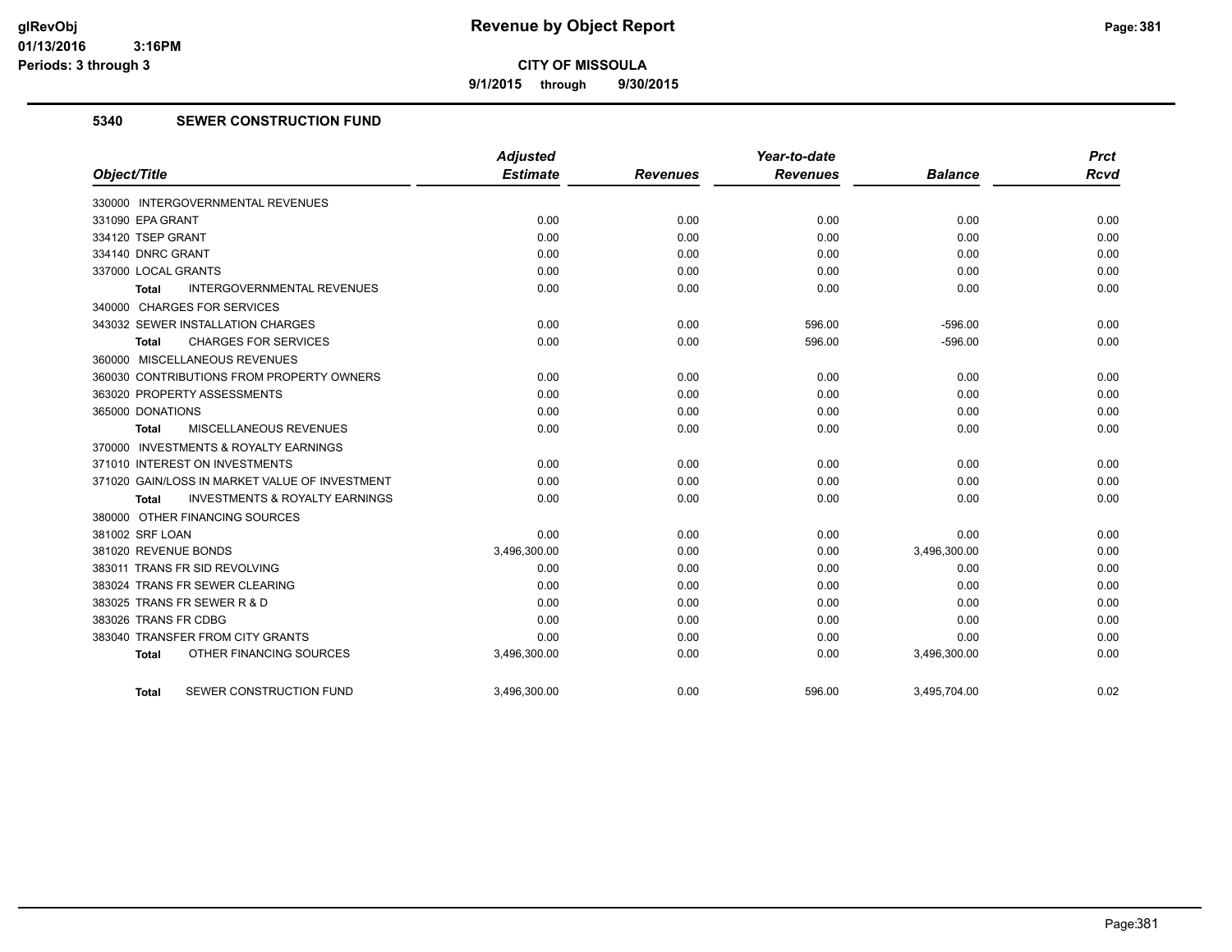**9/1/2015 through 9/30/2015**

#### **5340 SEWER CONSTRUCTION FUND**

|                                                    | <b>Adjusted</b> |                 | Year-to-date    |                | <b>Prct</b> |
|----------------------------------------------------|-----------------|-----------------|-----------------|----------------|-------------|
| Object/Title                                       | <b>Estimate</b> | <b>Revenues</b> | <b>Revenues</b> | <b>Balance</b> | <b>Rcvd</b> |
| 330000 INTERGOVERNMENTAL REVENUES                  |                 |                 |                 |                |             |
| 331090 EPA GRANT                                   | 0.00            | 0.00            | 0.00            | 0.00           | 0.00        |
| 334120 TSEP GRANT                                  | 0.00            | 0.00            | 0.00            | 0.00           | 0.00        |
| 334140 DNRC GRANT                                  | 0.00            | 0.00            | 0.00            | 0.00           | 0.00        |
| 337000 LOCAL GRANTS                                | 0.00            | 0.00            | 0.00            | 0.00           | 0.00        |
| <b>INTERGOVERNMENTAL REVENUES</b><br>Total         | 0.00            | 0.00            | 0.00            | 0.00           | 0.00        |
| 340000 CHARGES FOR SERVICES                        |                 |                 |                 |                |             |
| 343032 SEWER INSTALLATION CHARGES                  | 0.00            | 0.00            | 596.00          | $-596.00$      | 0.00        |
| <b>CHARGES FOR SERVICES</b><br>Total               | 0.00            | 0.00            | 596.00          | $-596.00$      | 0.00        |
| 360000 MISCELLANEOUS REVENUES                      |                 |                 |                 |                |             |
| 360030 CONTRIBUTIONS FROM PROPERTY OWNERS          | 0.00            | 0.00            | 0.00            | 0.00           | 0.00        |
| 363020 PROPERTY ASSESSMENTS                        | 0.00            | 0.00            | 0.00            | 0.00           | 0.00        |
| 365000 DONATIONS                                   | 0.00            | 0.00            | 0.00            | 0.00           | 0.00        |
| <b>MISCELLANEOUS REVENUES</b><br>Total             | 0.00            | 0.00            | 0.00            | 0.00           | 0.00        |
| 370000 INVESTMENTS & ROYALTY EARNINGS              |                 |                 |                 |                |             |
| 371010 INTEREST ON INVESTMENTS                     | 0.00            | 0.00            | 0.00            | 0.00           | 0.00        |
| 371020 GAIN/LOSS IN MARKET VALUE OF INVESTMENT     | 0.00            | 0.00            | 0.00            | 0.00           | 0.00        |
| <b>INVESTMENTS &amp; ROYALTY EARNINGS</b><br>Total | 0.00            | 0.00            | 0.00            | 0.00           | 0.00        |
| 380000 OTHER FINANCING SOURCES                     |                 |                 |                 |                |             |
| 381002 SRF LOAN                                    | 0.00            | 0.00            | 0.00            | 0.00           | 0.00        |
| 381020 REVENUE BONDS                               | 3,496,300.00    | 0.00            | 0.00            | 3,496,300.00   | 0.00        |
| 383011 TRANS FR SID REVOLVING                      | 0.00            | 0.00            | 0.00            | 0.00           | 0.00        |
| 383024 TRANS FR SEWER CLEARING                     | 0.00            | 0.00            | 0.00            | 0.00           | 0.00        |
| 383025 TRANS FR SEWER R & D                        | 0.00            | 0.00            | 0.00            | 0.00           | 0.00        |
| 383026 TRANS FR CDBG                               | 0.00            | 0.00            | 0.00            | 0.00           | 0.00        |
| 383040 TRANSFER FROM CITY GRANTS                   | 0.00            | 0.00            | 0.00            | 0.00           | 0.00        |
| OTHER FINANCING SOURCES<br><b>Total</b>            | 3,496,300.00    | 0.00            | 0.00            | 3,496,300.00   | 0.00        |
| SEWER CONSTRUCTION FUND<br><b>Total</b>            | 3,496,300.00    | 0.00            | 596.00          | 3,495,704.00   | 0.02        |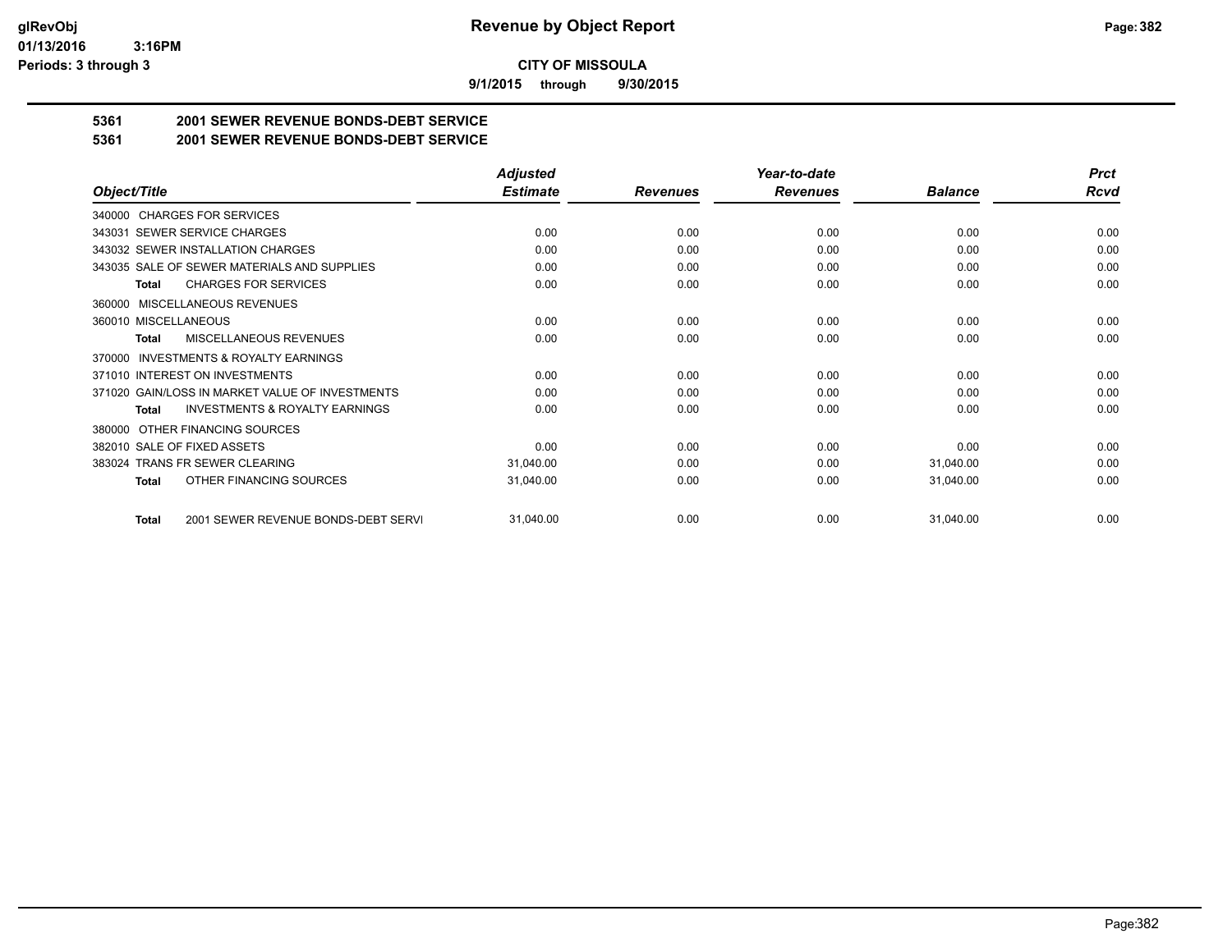**9/1/2015 through 9/30/2015**

## **5361 2001 SEWER REVENUE BONDS-DEBT SERVICE**

**5361 2001 SEWER REVENUE BONDS-DEBT SERVICE**

|                                                           | <b>Adjusted</b> |                 | Year-to-date    |                | <b>Prct</b> |
|-----------------------------------------------------------|-----------------|-----------------|-----------------|----------------|-------------|
| Object/Title                                              | <b>Estimate</b> | <b>Revenues</b> | <b>Revenues</b> | <b>Balance</b> | <b>Rcvd</b> |
| 340000 CHARGES FOR SERVICES                               |                 |                 |                 |                |             |
| SEWER SERVICE CHARGES<br>343031                           | 0.00            | 0.00            | 0.00            | 0.00           | 0.00        |
| 343032 SEWER INSTALLATION CHARGES                         | 0.00            | 0.00            | 0.00            | 0.00           | 0.00        |
| 343035 SALE OF SEWER MATERIALS AND SUPPLIES               | 0.00            | 0.00            | 0.00            | 0.00           | 0.00        |
| <b>CHARGES FOR SERVICES</b><br><b>Total</b>               | 0.00            | 0.00            | 0.00            | 0.00           | 0.00        |
| <b>MISCELLANEOUS REVENUES</b><br>360000                   |                 |                 |                 |                |             |
| 360010 MISCELLANEOUS                                      | 0.00            | 0.00            | 0.00            | 0.00           | 0.00        |
| <b>MISCELLANEOUS REVENUES</b><br>Total                    | 0.00            | 0.00            | 0.00            | 0.00           | 0.00        |
| <b>INVESTMENTS &amp; ROYALTY EARNINGS</b><br>370000       |                 |                 |                 |                |             |
| 371010 INTEREST ON INVESTMENTS                            | 0.00            | 0.00            | 0.00            | 0.00           | 0.00        |
| 371020 GAIN/LOSS IN MARKET VALUE OF INVESTMENTS           | 0.00            | 0.00            | 0.00            | 0.00           | 0.00        |
| <b>INVESTMENTS &amp; ROYALTY EARNINGS</b><br><b>Total</b> | 0.00            | 0.00            | 0.00            | 0.00           | 0.00        |
| OTHER FINANCING SOURCES<br>380000                         |                 |                 |                 |                |             |
| 382010 SALE OF FIXED ASSETS                               | 0.00            | 0.00            | 0.00            | 0.00           | 0.00        |
| 383024 TRANS FR SEWER CLEARING                            | 31,040.00       | 0.00            | 0.00            | 31,040.00      | 0.00        |
| OTHER FINANCING SOURCES<br>Total                          | 31,040.00       | 0.00            | 0.00            | 31,040.00      | 0.00        |
| 2001 SEWER REVENUE BONDS-DEBT SERVI<br><b>Total</b>       | 31,040.00       | 0.00            | 0.00            | 31,040.00      | 0.00        |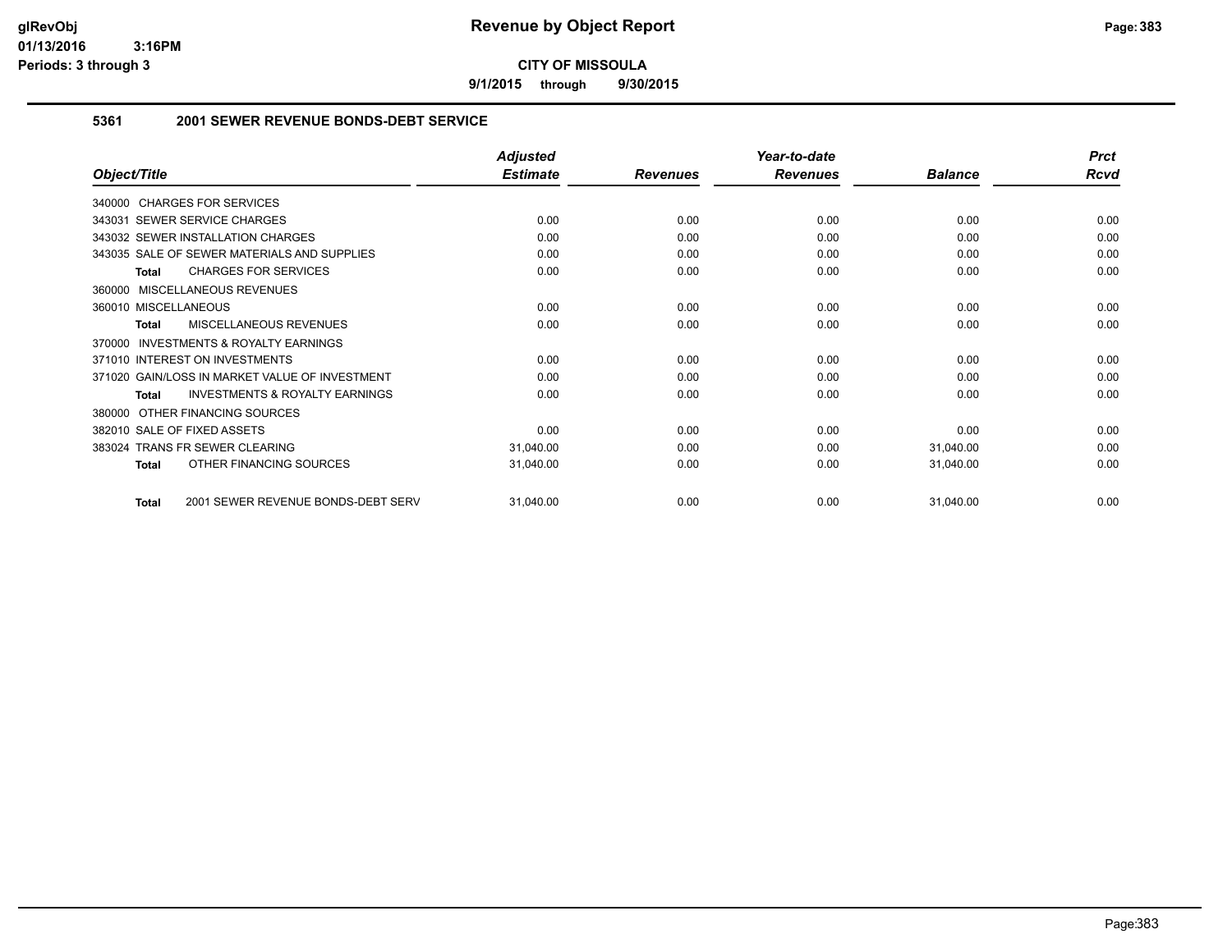**9/1/2015 through 9/30/2015**

#### **5361 2001 SEWER REVENUE BONDS-DEBT SERVICE**

|                                                           | <b>Adjusted</b> |                 | Year-to-date    |                | <b>Prct</b> |
|-----------------------------------------------------------|-----------------|-----------------|-----------------|----------------|-------------|
| Object/Title                                              | <b>Estimate</b> | <b>Revenues</b> | <b>Revenues</b> | <b>Balance</b> | Rcvd        |
| 340000 CHARGES FOR SERVICES                               |                 |                 |                 |                |             |
| 343031 SEWER SERVICE CHARGES                              | 0.00            | 0.00            | 0.00            | 0.00           | 0.00        |
| 343032 SEWER INSTALLATION CHARGES                         | 0.00            | 0.00            | 0.00            | 0.00           | 0.00        |
| 343035 SALE OF SEWER MATERIALS AND SUPPLIES               | 0.00            | 0.00            | 0.00            | 0.00           | 0.00        |
| <b>CHARGES FOR SERVICES</b><br><b>Total</b>               | 0.00            | 0.00            | 0.00            | 0.00           | 0.00        |
| MISCELLANEOUS REVENUES<br>360000                          |                 |                 |                 |                |             |
| 360010 MISCELLANEOUS                                      | 0.00            | 0.00            | 0.00            | 0.00           | 0.00        |
| MISCELLANEOUS REVENUES<br><b>Total</b>                    | 0.00            | 0.00            | 0.00            | 0.00           | 0.00        |
| <b>INVESTMENTS &amp; ROYALTY EARNINGS</b><br>370000       |                 |                 |                 |                |             |
| 371010 INTEREST ON INVESTMENTS                            | 0.00            | 0.00            | 0.00            | 0.00           | 0.00        |
| 371020 GAIN/LOSS IN MARKET VALUE OF INVESTMENT            | 0.00            | 0.00            | 0.00            | 0.00           | 0.00        |
| <b>INVESTMENTS &amp; ROYALTY EARNINGS</b><br><b>Total</b> | 0.00            | 0.00            | 0.00            | 0.00           | 0.00        |
| OTHER FINANCING SOURCES<br>380000                         |                 |                 |                 |                |             |
| 382010 SALE OF FIXED ASSETS                               | 0.00            | 0.00            | 0.00            | 0.00           | 0.00        |
| <b>TRANS FR SEWER CLEARING</b><br>383024                  | 31,040.00       | 0.00            | 0.00            | 31,040.00      | 0.00        |
| OTHER FINANCING SOURCES<br><b>Total</b>                   | 31,040.00       | 0.00            | 0.00            | 31,040.00      | 0.00        |
| 2001 SEWER REVENUE BONDS-DEBT SERV<br><b>Total</b>        | 31,040.00       | 0.00            | 0.00            | 31,040.00      | 0.00        |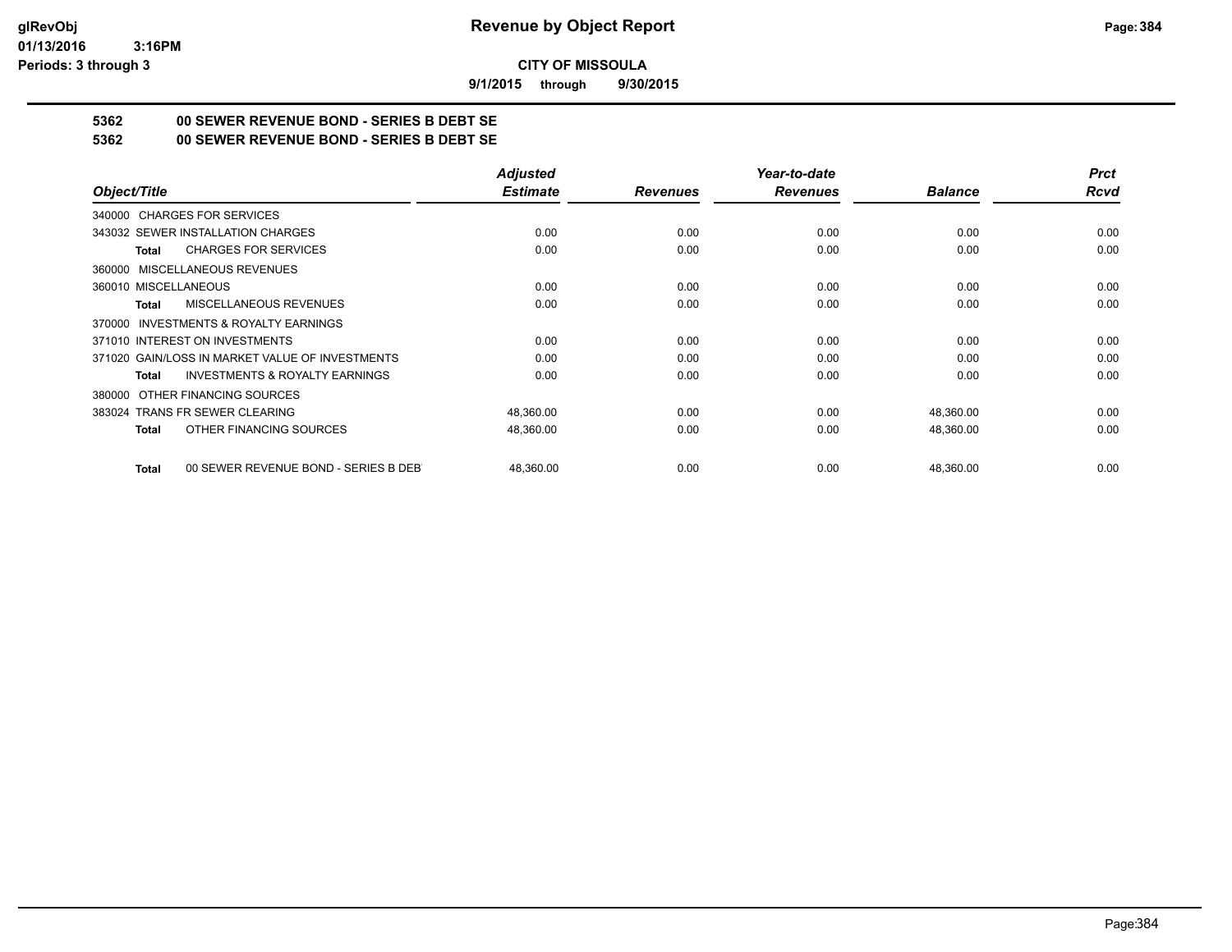**9/1/2015 through 9/30/2015**

## **5362 00 SEWER REVENUE BOND - SERIES B DEBT SE**

**5362 00 SEWER REVENUE BOND - SERIES B DEBT SE**

|                                                           | <b>Adjusted</b> |                 | Year-to-date    |                | <b>Prct</b> |
|-----------------------------------------------------------|-----------------|-----------------|-----------------|----------------|-------------|
| Object/Title                                              | <b>Estimate</b> | <b>Revenues</b> | <b>Revenues</b> | <b>Balance</b> | Rcvd        |
| 340000 CHARGES FOR SERVICES                               |                 |                 |                 |                |             |
| 343032 SEWER INSTALLATION CHARGES                         | 0.00            | 0.00            | 0.00            | 0.00           | 0.00        |
| <b>CHARGES FOR SERVICES</b><br>Total                      | 0.00            | 0.00            | 0.00            | 0.00           | 0.00        |
| 360000 MISCELLANEOUS REVENUES                             |                 |                 |                 |                |             |
| 360010 MISCELLANEOUS                                      | 0.00            | 0.00            | 0.00            | 0.00           | 0.00        |
| MISCELLANEOUS REVENUES<br>Total                           | 0.00            | 0.00            | 0.00            | 0.00           | 0.00        |
| 370000 INVESTMENTS & ROYALTY EARNINGS                     |                 |                 |                 |                |             |
| 371010 INTEREST ON INVESTMENTS                            | 0.00            | 0.00            | 0.00            | 0.00           | 0.00        |
| 371020 GAIN/LOSS IN MARKET VALUE OF INVESTMENTS           | 0.00            | 0.00            | 0.00            | 0.00           | 0.00        |
| <b>INVESTMENTS &amp; ROYALTY EARNINGS</b><br><b>Total</b> | 0.00            | 0.00            | 0.00            | 0.00           | 0.00        |
| 380000 OTHER FINANCING SOURCES                            |                 |                 |                 |                |             |
| 383024 TRANS FR SEWER CLEARING                            | 48,360.00       | 0.00            | 0.00            | 48,360.00      | 0.00        |
| OTHER FINANCING SOURCES<br><b>Total</b>                   | 48,360.00       | 0.00            | 0.00            | 48,360.00      | 0.00        |
| 00 SEWER REVENUE BOND - SERIES B DEB<br><b>Total</b>      | 48.360.00       | 0.00            | 0.00            | 48,360.00      | 0.00        |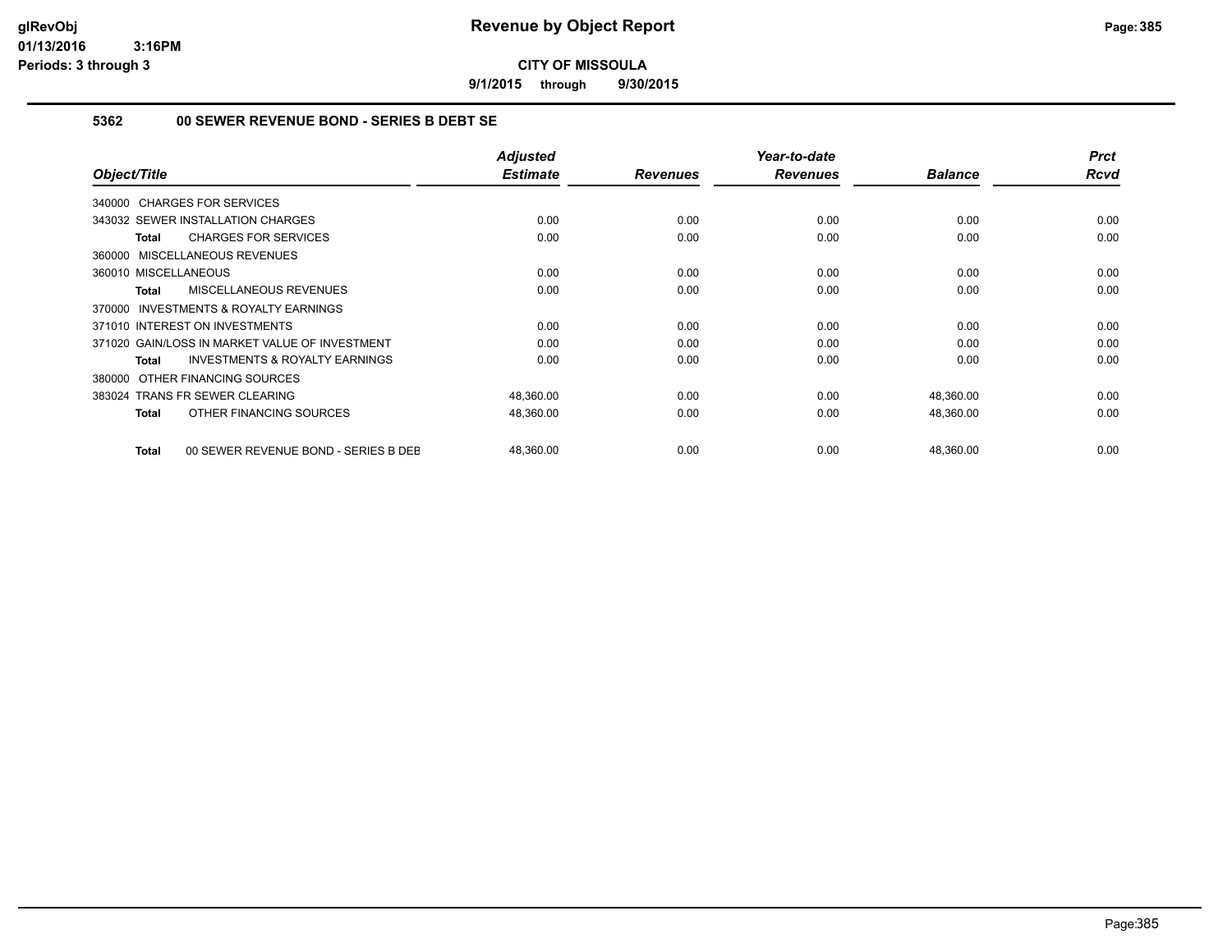**9/1/2015 through 9/30/2015**

#### **5362 00 SEWER REVENUE BOND - SERIES B DEBT SE**

| Object/Title                                              | <b>Adjusted</b><br><b>Estimate</b> | <b>Revenues</b> | Year-to-date<br><b>Revenues</b> | <b>Balance</b> | <b>Prct</b><br><b>Rcvd</b> |
|-----------------------------------------------------------|------------------------------------|-----------------|---------------------------------|----------------|----------------------------|
| 340000 CHARGES FOR SERVICES                               |                                    |                 |                                 |                |                            |
| 343032 SEWER INSTALLATION CHARGES                         | 0.00                               | 0.00            | 0.00                            | 0.00           | 0.00                       |
| <b>CHARGES FOR SERVICES</b><br>Total                      | 0.00                               | 0.00            | 0.00                            | 0.00           | 0.00                       |
| 360000 MISCELLANEOUS REVENUES                             |                                    |                 |                                 |                |                            |
| 360010 MISCELLANEOUS                                      | 0.00                               | 0.00            | 0.00                            | 0.00           | 0.00                       |
| MISCELLANEOUS REVENUES<br><b>Total</b>                    | 0.00                               | 0.00            | 0.00                            | 0.00           | 0.00                       |
| <b>INVESTMENTS &amp; ROYALTY EARNINGS</b><br>370000       |                                    |                 |                                 |                |                            |
| 371010 INTEREST ON INVESTMENTS                            | 0.00                               | 0.00            | 0.00                            | 0.00           | 0.00                       |
| 371020 GAIN/LOSS IN MARKET VALUE OF INVESTMENT            | 0.00                               | 0.00            | 0.00                            | 0.00           | 0.00                       |
| <b>INVESTMENTS &amp; ROYALTY EARNINGS</b><br><b>Total</b> | 0.00                               | 0.00            | 0.00                            | 0.00           | 0.00                       |
| OTHER FINANCING SOURCES<br>380000                         |                                    |                 |                                 |                |                            |
| 383024 TRANS FR SEWER CLEARING                            | 48,360.00                          | 0.00            | 0.00                            | 48,360.00      | 0.00                       |
| OTHER FINANCING SOURCES<br><b>Total</b>                   | 48,360.00                          | 0.00            | 0.00                            | 48,360.00      | 0.00                       |
| 00 SEWER REVENUE BOND - SERIES B DEE<br><b>Total</b>      | 48,360.00                          | 0.00            | 0.00                            | 48,360.00      | 0.00                       |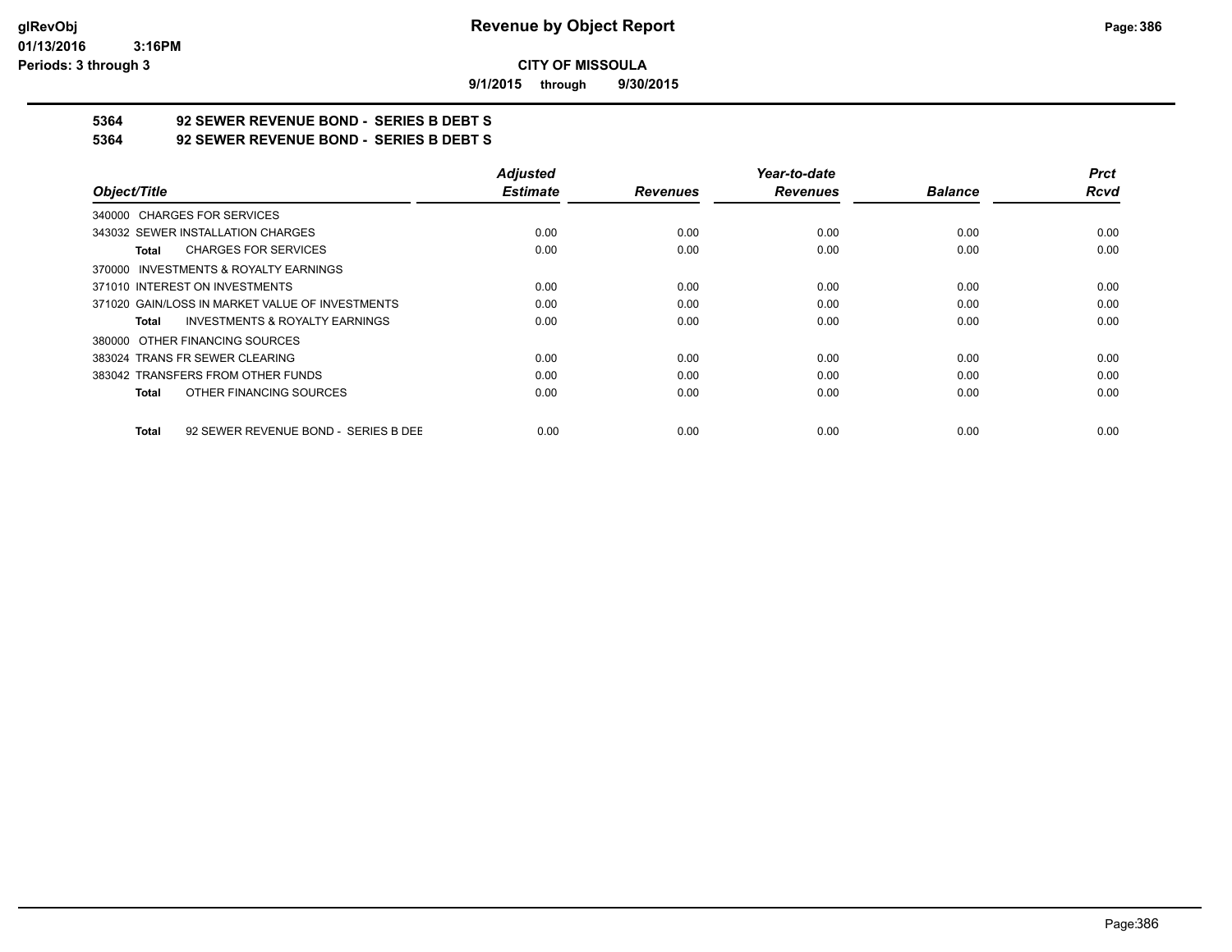**9/1/2015 through 9/30/2015**

## **5364 92 SEWER REVENUE BOND - SERIES B DEBT S**

**5364 92 SEWER REVENUE BOND - SERIES B DEBT S**

|                                                      | <b>Adjusted</b> |                 | Year-to-date    |                | <b>Prct</b> |
|------------------------------------------------------|-----------------|-----------------|-----------------|----------------|-------------|
| Object/Title                                         | <b>Estimate</b> | <b>Revenues</b> | <b>Revenues</b> | <b>Balance</b> | <b>Rcvd</b> |
| 340000 CHARGES FOR SERVICES                          |                 |                 |                 |                |             |
| 343032 SEWER INSTALLATION CHARGES                    | 0.00            | 0.00            | 0.00            | 0.00           | 0.00        |
| <b>CHARGES FOR SERVICES</b><br>Total                 | 0.00            | 0.00            | 0.00            | 0.00           | 0.00        |
| 370000 INVESTMENTS & ROYALTY EARNINGS                |                 |                 |                 |                |             |
| 371010 INTEREST ON INVESTMENTS                       | 0.00            | 0.00            | 0.00            | 0.00           | 0.00        |
| 371020 GAIN/LOSS IN MARKET VALUE OF INVESTMENTS      | 0.00            | 0.00            | 0.00            | 0.00           | 0.00        |
| <b>INVESTMENTS &amp; ROYALTY EARNINGS</b><br>Total   | 0.00            | 0.00            | 0.00            | 0.00           | 0.00        |
| 380000 OTHER FINANCING SOURCES                       |                 |                 |                 |                |             |
| 383024 TRANS FR SEWER CLEARING                       | 0.00            | 0.00            | 0.00            | 0.00           | 0.00        |
| 383042 TRANSFERS FROM OTHER FUNDS                    | 0.00            | 0.00            | 0.00            | 0.00           | 0.00        |
| OTHER FINANCING SOURCES<br><b>Total</b>              | 0.00            | 0.00            | 0.00            | 0.00           | 0.00        |
| 92 SEWER REVENUE BOND - SERIES B DEE<br><b>Total</b> | 0.00            | 0.00            | 0.00            | 0.00           | 0.00        |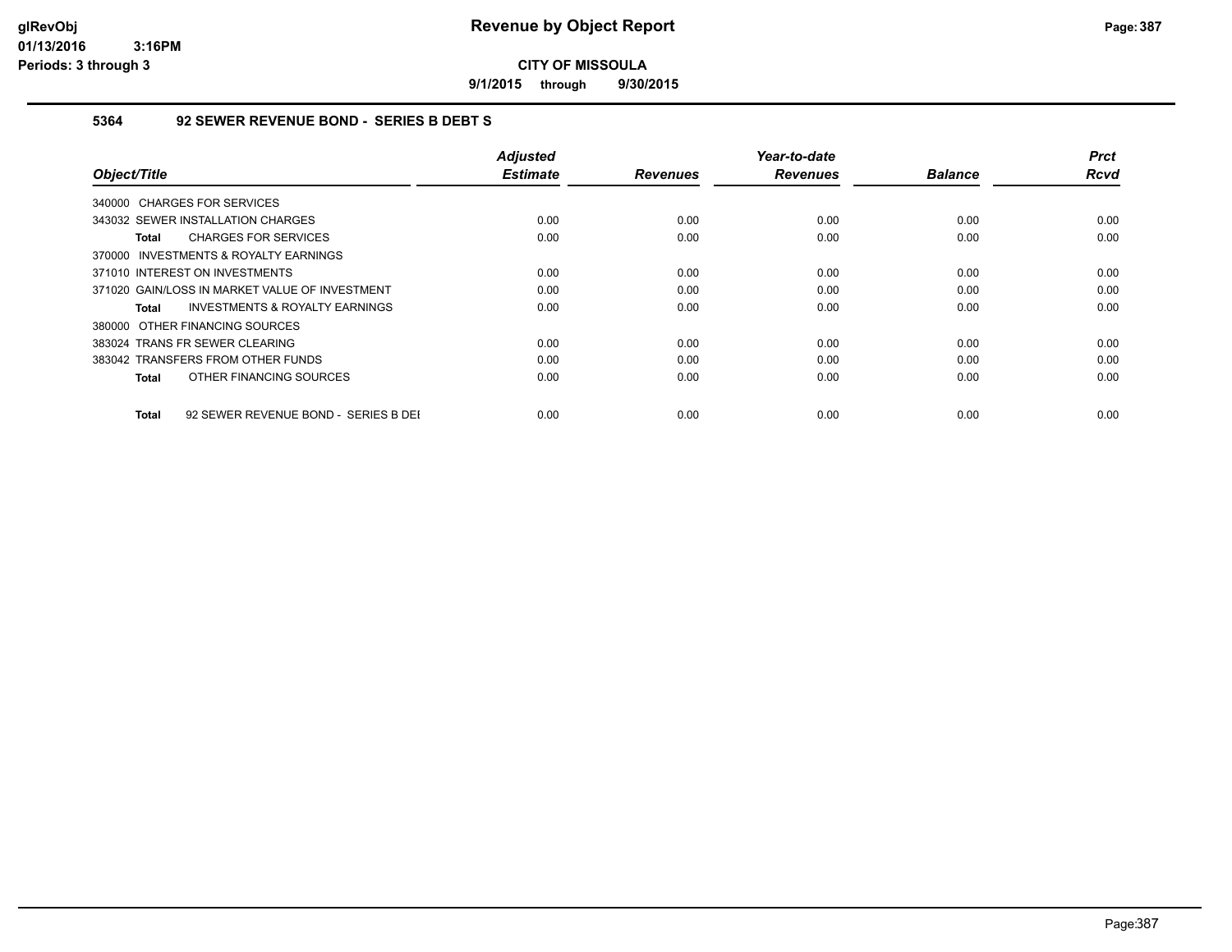**9/1/2015 through 9/30/2015**

#### **5364 92 SEWER REVENUE BOND - SERIES B DEBT S**

| Object/Title                                         | <b>Adjusted</b><br><b>Estimate</b> | <b>Revenues</b> | Year-to-date<br><b>Revenues</b> | <b>Balance</b> | <b>Prct</b><br>Rcvd |
|------------------------------------------------------|------------------------------------|-----------------|---------------------------------|----------------|---------------------|
| 340000 CHARGES FOR SERVICES                          |                                    |                 |                                 |                |                     |
| 343032 SEWER INSTALLATION CHARGES                    | 0.00                               | 0.00            | 0.00                            | 0.00           | 0.00                |
| <b>CHARGES FOR SERVICES</b><br>Total                 | 0.00                               | 0.00            | 0.00                            | 0.00           | 0.00                |
| 370000 INVESTMENTS & ROYALTY EARNINGS                |                                    |                 |                                 |                |                     |
| 371010 INTEREST ON INVESTMENTS                       | 0.00                               | 0.00            | 0.00                            | 0.00           | 0.00                |
| 371020 GAIN/LOSS IN MARKET VALUE OF INVESTMENT       | 0.00                               | 0.00            | 0.00                            | 0.00           | 0.00                |
| <b>INVESTMENTS &amp; ROYALTY EARNINGS</b><br>Total   | 0.00                               | 0.00            | 0.00                            | 0.00           | 0.00                |
| 380000 OTHER FINANCING SOURCES                       |                                    |                 |                                 |                |                     |
| 383024 TRANS FR SEWER CLEARING                       | 0.00                               | 0.00            | 0.00                            | 0.00           | 0.00                |
| 383042 TRANSFERS FROM OTHER FUNDS                    | 0.00                               | 0.00            | 0.00                            | 0.00           | 0.00                |
| OTHER FINANCING SOURCES<br>Total                     | 0.00                               | 0.00            | 0.00                            | 0.00           | 0.00                |
| 92 SEWER REVENUE BOND - SERIES B DEI<br><b>Total</b> | 0.00                               | 0.00            | 0.00                            | 0.00           | 0.00                |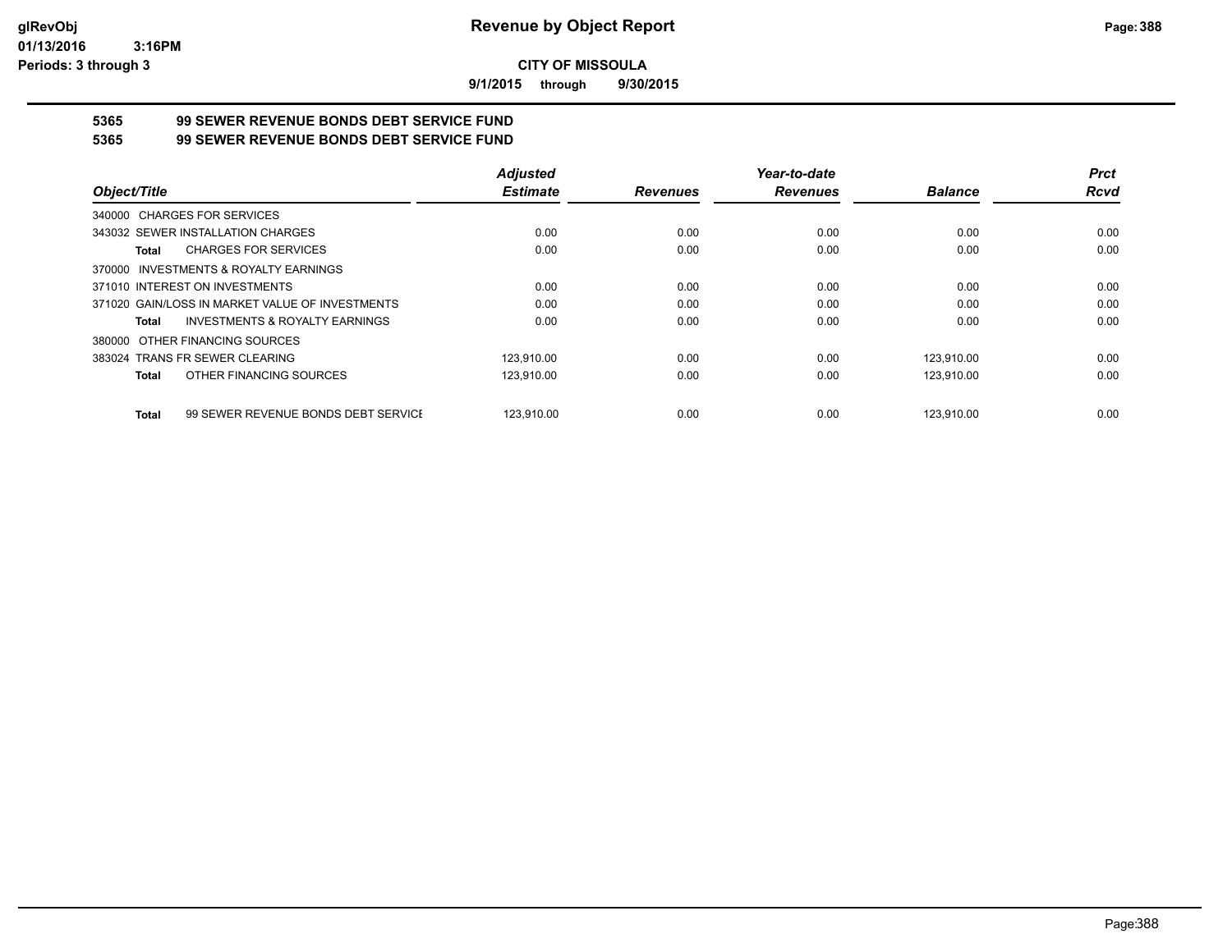**9/1/2015 through 9/30/2015**

# **5365 99 SEWER REVENUE BONDS DEBT SERVICE FUND**

| 5365 | <b>99 SEWER REVENUE BONDS DEBT SERVICE FUND</b> |
|------|-------------------------------------------------|
|      |                                                 |

|                                                     | <b>Adjusted</b> |                 | Year-to-date    |                | <b>Prct</b> |
|-----------------------------------------------------|-----------------|-----------------|-----------------|----------------|-------------|
| Object/Title                                        | <b>Estimate</b> | <b>Revenues</b> | <b>Revenues</b> | <b>Balance</b> | <b>Rcvd</b> |
| 340000 CHARGES FOR SERVICES                         |                 |                 |                 |                |             |
| 343032 SEWER INSTALLATION CHARGES                   | 0.00            | 0.00            | 0.00            | 0.00           | 0.00        |
| <b>CHARGES FOR SERVICES</b><br>Total                | 0.00            | 0.00            | 0.00            | 0.00           | 0.00        |
| 370000 INVESTMENTS & ROYALTY EARNINGS               |                 |                 |                 |                |             |
| 371010 INTEREST ON INVESTMENTS                      | 0.00            | 0.00            | 0.00            | 0.00           | 0.00        |
| 371020 GAIN/LOSS IN MARKET VALUE OF INVESTMENTS     | 0.00            | 0.00            | 0.00            | 0.00           | 0.00        |
| INVESTMENTS & ROYALTY EARNINGS<br>Total             | 0.00            | 0.00            | 0.00            | 0.00           | 0.00        |
| 380000 OTHER FINANCING SOURCES                      |                 |                 |                 |                |             |
| 383024 TRANS FR SEWER CLEARING                      | 123,910.00      | 0.00            | 0.00            | 123,910.00     | 0.00        |
| OTHER FINANCING SOURCES<br>Total                    | 123,910.00      | 0.00            | 0.00            | 123,910.00     | 0.00        |
| 99 SEWER REVENUE BONDS DEBT SERVICE<br><b>Total</b> | 123.910.00      | 0.00            | 0.00            | 123.910.00     | 0.00        |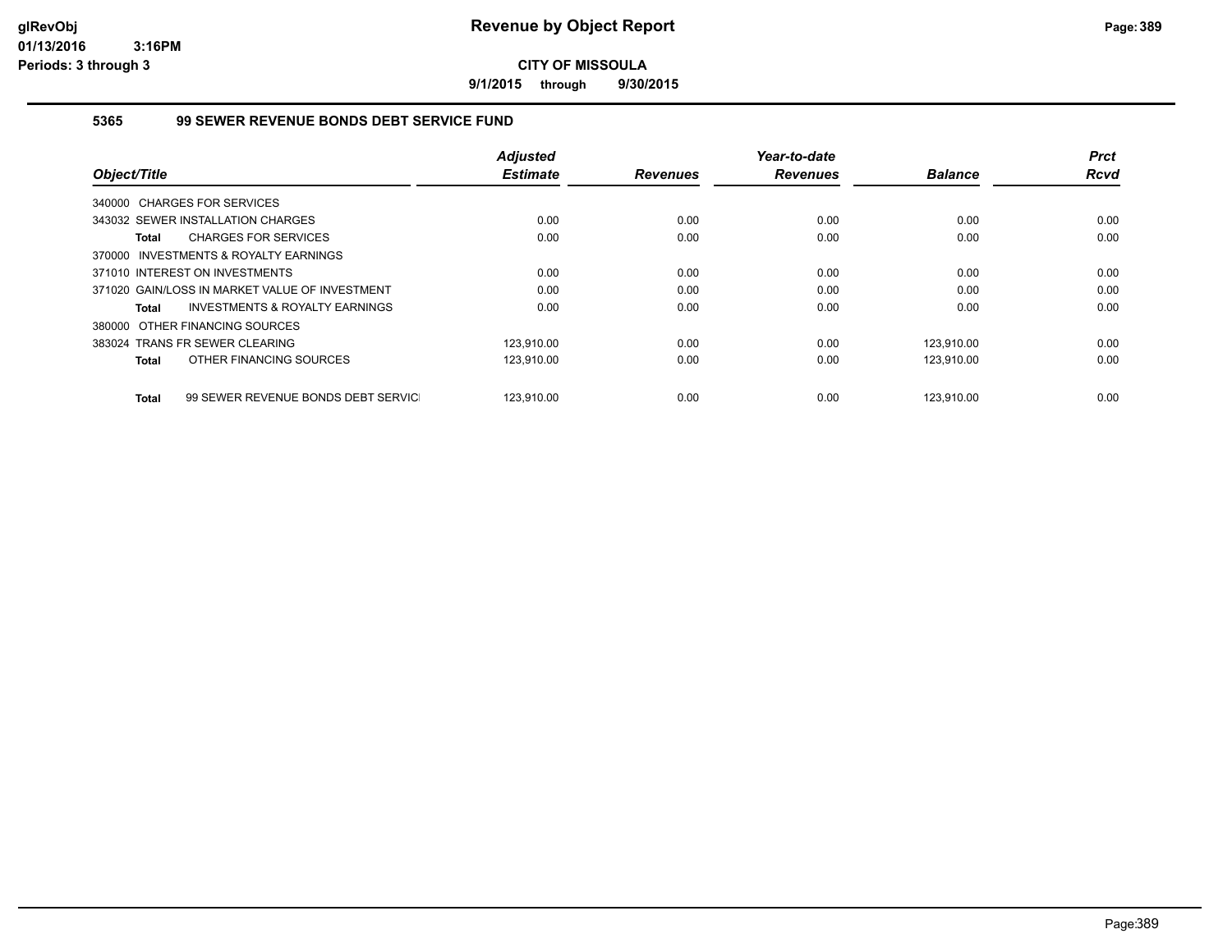**9/1/2015 through 9/30/2015**

#### **5365 99 SEWER REVENUE BONDS DEBT SERVICE FUND**

|                                                           | <b>Adjusted</b> |                 | Year-to-date    |                | <b>Prct</b> |
|-----------------------------------------------------------|-----------------|-----------------|-----------------|----------------|-------------|
| Object/Title                                              | <b>Estimate</b> | <b>Revenues</b> | <b>Revenues</b> | <b>Balance</b> | <b>Rcvd</b> |
| 340000 CHARGES FOR SERVICES                               |                 |                 |                 |                |             |
| 343032 SEWER INSTALLATION CHARGES                         | 0.00            | 0.00            | 0.00            | 0.00           | 0.00        |
| <b>CHARGES FOR SERVICES</b><br><b>Total</b>               | 0.00            | 0.00            | 0.00            | 0.00           | 0.00        |
| INVESTMENTS & ROYALTY EARNINGS<br>370000                  |                 |                 |                 |                |             |
| 371010 INTEREST ON INVESTMENTS                            | 0.00            | 0.00            | 0.00            | 0.00           | 0.00        |
| 371020 GAIN/LOSS IN MARKET VALUE OF INVESTMENT            | 0.00            | 0.00            | 0.00            | 0.00           | 0.00        |
| <b>INVESTMENTS &amp; ROYALTY EARNINGS</b><br><b>Total</b> | 0.00            | 0.00            | 0.00            | 0.00           | 0.00        |
| 380000 OTHER FINANCING SOURCES                            |                 |                 |                 |                |             |
| 383024 TRANS FR SEWER CLEARING                            | 123,910.00      | 0.00            | 0.00            | 123.910.00     | 0.00        |
| OTHER FINANCING SOURCES<br><b>Total</b>                   | 123,910.00      | 0.00            | 0.00            | 123,910.00     | 0.00        |
| 99 SEWER REVENUE BONDS DEBT SERVIC<br><b>Total</b>        | 123.910.00      | 0.00            | 0.00            | 123.910.00     | 0.00        |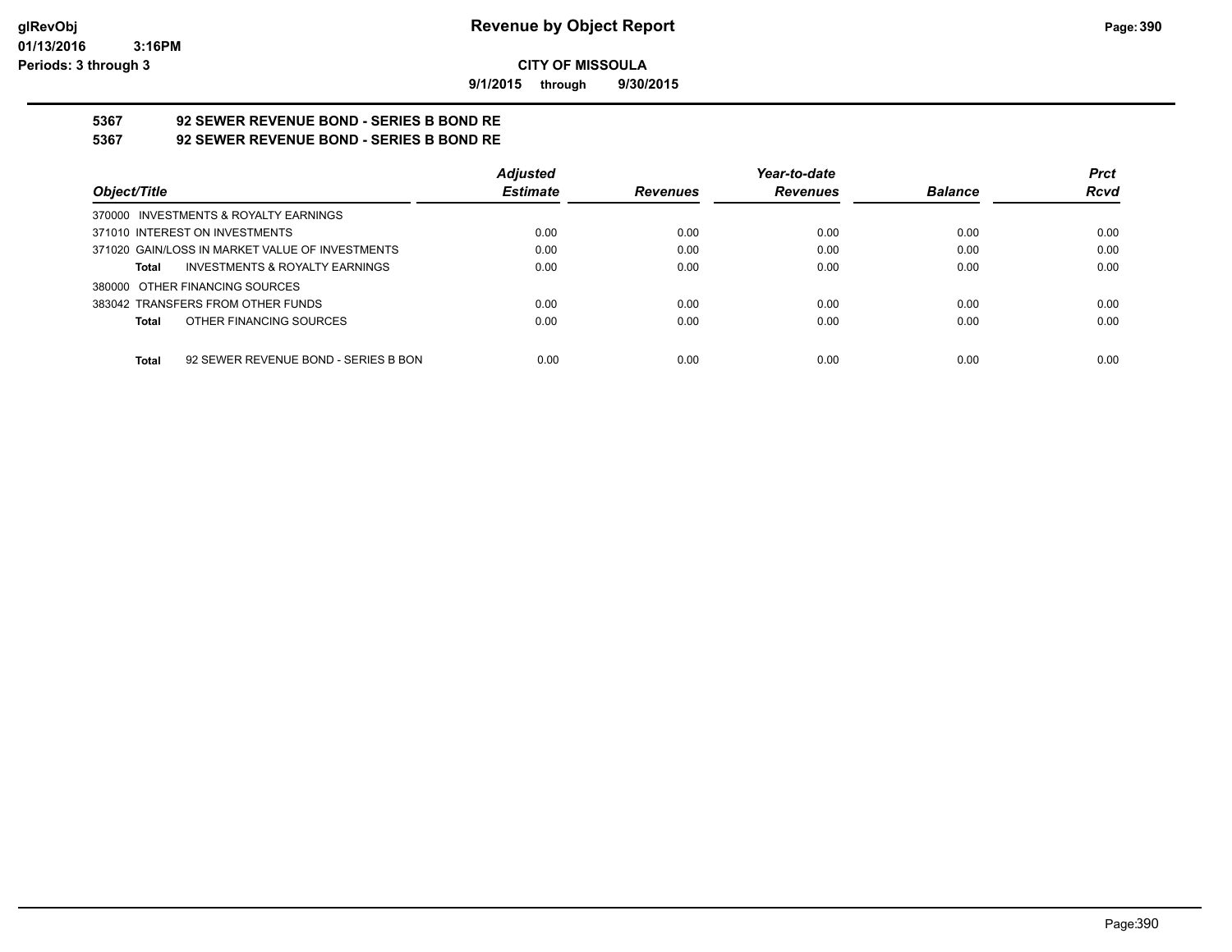**9/1/2015 through 9/30/2015**

# **5367 92 SEWER REVENUE BOND - SERIES B BOND RE**

**5367 92 SEWER REVENUE BOND - SERIES B BOND RE**

|                                                    | <b>Adjusted</b> |                 | Year-to-date    |                | <b>Prct</b> |
|----------------------------------------------------|-----------------|-----------------|-----------------|----------------|-------------|
| Object/Title                                       | <b>Estimate</b> | <b>Revenues</b> | <b>Revenues</b> | <b>Balance</b> | <b>Rcvd</b> |
| 370000 INVESTMENTS & ROYALTY EARNINGS              |                 |                 |                 |                |             |
| 371010 INTEREST ON INVESTMENTS                     | 0.00            | 0.00            | 0.00            | 0.00           | 0.00        |
| 371020 GAIN/LOSS IN MARKET VALUE OF INVESTMENTS    | 0.00            | 0.00            | 0.00            | 0.00           | 0.00        |
| <b>INVESTMENTS &amp; ROYALTY EARNINGS</b><br>Total | 0.00            | 0.00            | 0.00            | 0.00           | 0.00        |
| 380000 OTHER FINANCING SOURCES                     |                 |                 |                 |                |             |
| 383042 TRANSFERS FROM OTHER FUNDS                  | 0.00            | 0.00            | 0.00            | 0.00           | 0.00        |
| OTHER FINANCING SOURCES<br>Total                   | 0.00            | 0.00            | 0.00            | 0.00           | 0.00        |
|                                                    |                 |                 |                 |                |             |
| 92 SEWER REVENUE BOND - SERIES B BON<br>Total      | 0.00            | 0.00            | 0.00            | 0.00           | 0.00        |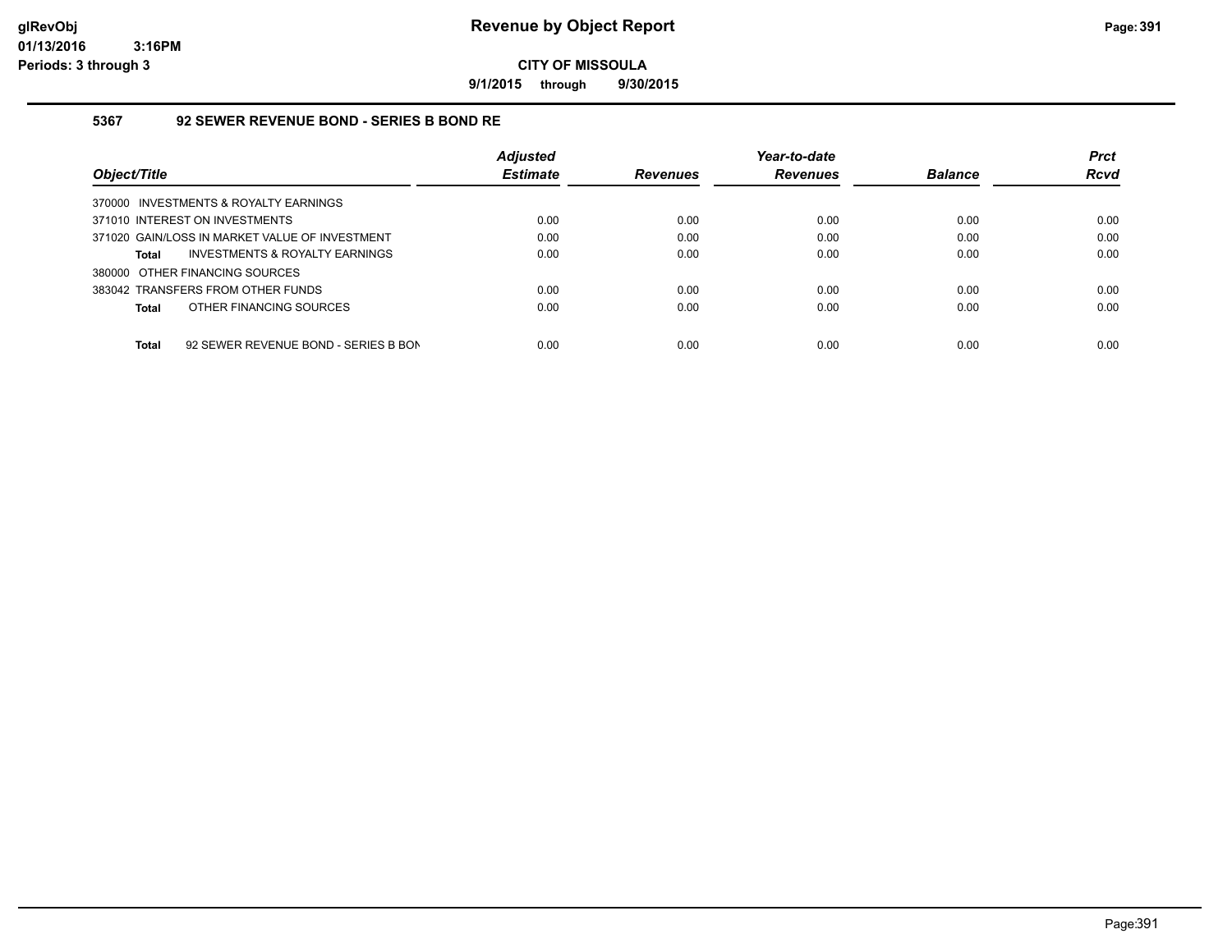**9/1/2015 through 9/30/2015**

#### **5367 92 SEWER REVENUE BOND - SERIES B BOND RE**

|                                                      | <b>Adjusted</b> |                 | Year-to-date    |                | <b>Prct</b> |
|------------------------------------------------------|-----------------|-----------------|-----------------|----------------|-------------|
| Object/Title                                         | <b>Estimate</b> | <b>Revenues</b> | <b>Revenues</b> | <b>Balance</b> | <b>Rcvd</b> |
| 370000 INVESTMENTS & ROYALTY EARNINGS                |                 |                 |                 |                |             |
| 371010 INTEREST ON INVESTMENTS                       | 0.00            | 0.00            | 0.00            | 0.00           | 0.00        |
| 371020 GAIN/LOSS IN MARKET VALUE OF INVESTMENT       | 0.00            | 0.00            | 0.00            | 0.00           | 0.00        |
| INVESTMENTS & ROYALTY EARNINGS<br><b>Total</b>       | 0.00            | 0.00            | 0.00            | 0.00           | 0.00        |
| 380000 OTHER FINANCING SOURCES                       |                 |                 |                 |                |             |
| 383042 TRANSFERS FROM OTHER FUNDS                    | 0.00            | 0.00            | 0.00            | 0.00           | 0.00        |
| OTHER FINANCING SOURCES<br><b>Total</b>              | 0.00            | 0.00            | 0.00            | 0.00           | 0.00        |
|                                                      |                 |                 |                 |                |             |
| 92 SEWER REVENUE BOND - SERIES B BON<br><b>Total</b> | 0.00            | 0.00            | 0.00            | 0.00           | 0.00        |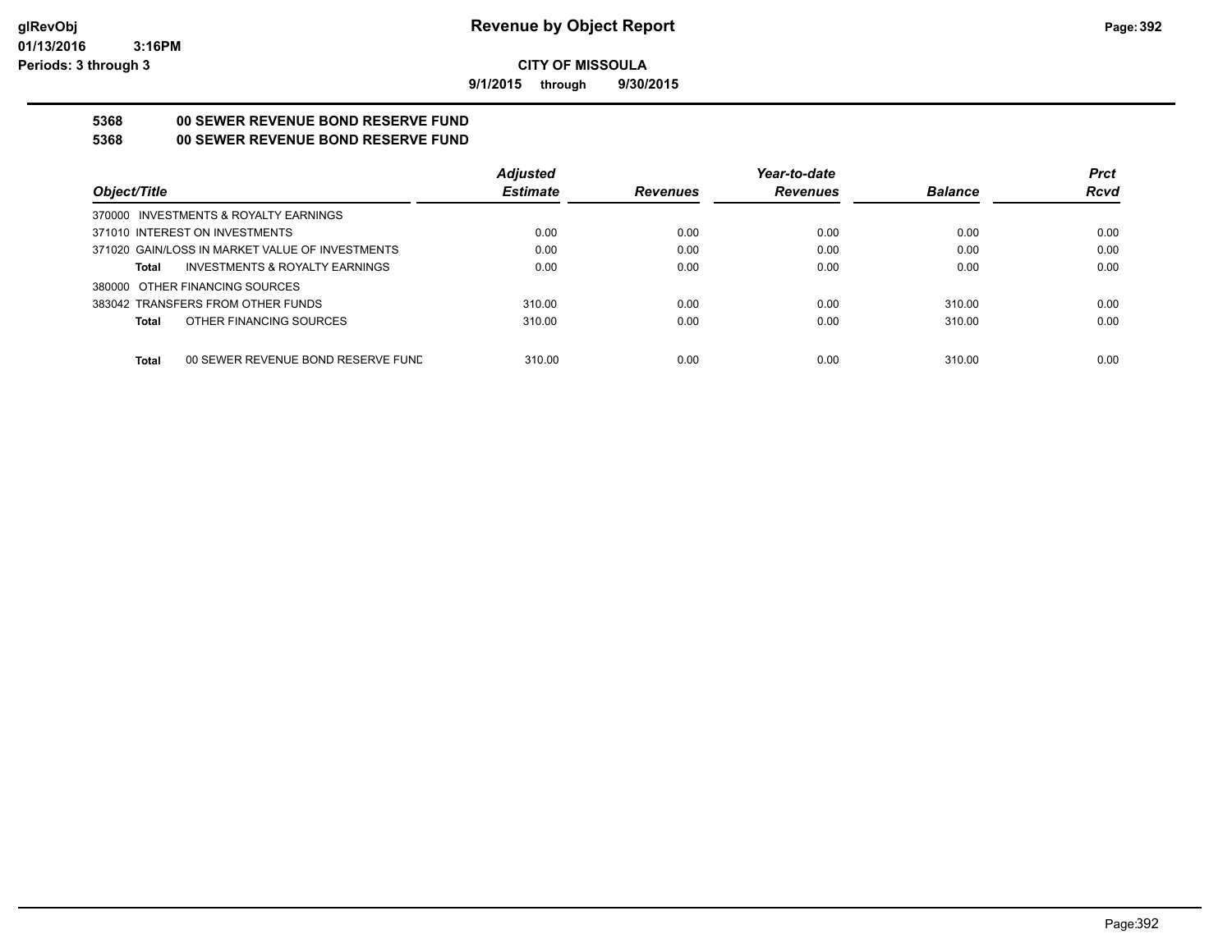**9/1/2015 through 9/30/2015**

## **5368 00 SEWER REVENUE BOND RESERVE FUND**

### **5368 00 SEWER REVENUE BOND RESERVE FUND**

|                                                    | <b>Adjusted</b> |                 | Year-to-date    |                | <b>Prct</b> |
|----------------------------------------------------|-----------------|-----------------|-----------------|----------------|-------------|
| Obiect/Title                                       | <b>Estimate</b> | <b>Revenues</b> | <b>Revenues</b> | <b>Balance</b> | <b>Rcvd</b> |
| 370000 INVESTMENTS & ROYALTY EARNINGS              |                 |                 |                 |                |             |
| 371010 INTEREST ON INVESTMENTS                     | 0.00            | 0.00            | 0.00            | 0.00           | 0.00        |
| 371020 GAIN/LOSS IN MARKET VALUE OF INVESTMENTS    | 0.00            | 0.00            | 0.00            | 0.00           | 0.00        |
| INVESTMENTS & ROYALTY EARNINGS<br>Total            | 0.00            | 0.00            | 0.00            | 0.00           | 0.00        |
| 380000 OTHER FINANCING SOURCES                     |                 |                 |                 |                |             |
| 383042 TRANSFERS FROM OTHER FUNDS                  | 310.00          | 0.00            | 0.00            | 310.00         | 0.00        |
| OTHER FINANCING SOURCES<br><b>Total</b>            | 310.00          | 0.00            | 0.00            | 310.00         | 0.00        |
|                                                    |                 |                 |                 |                |             |
| <b>Total</b><br>00 SEWER REVENUE BOND RESERVE FUND | 310.00          | 0.00            | 0.00            | 310.00         | 0.00        |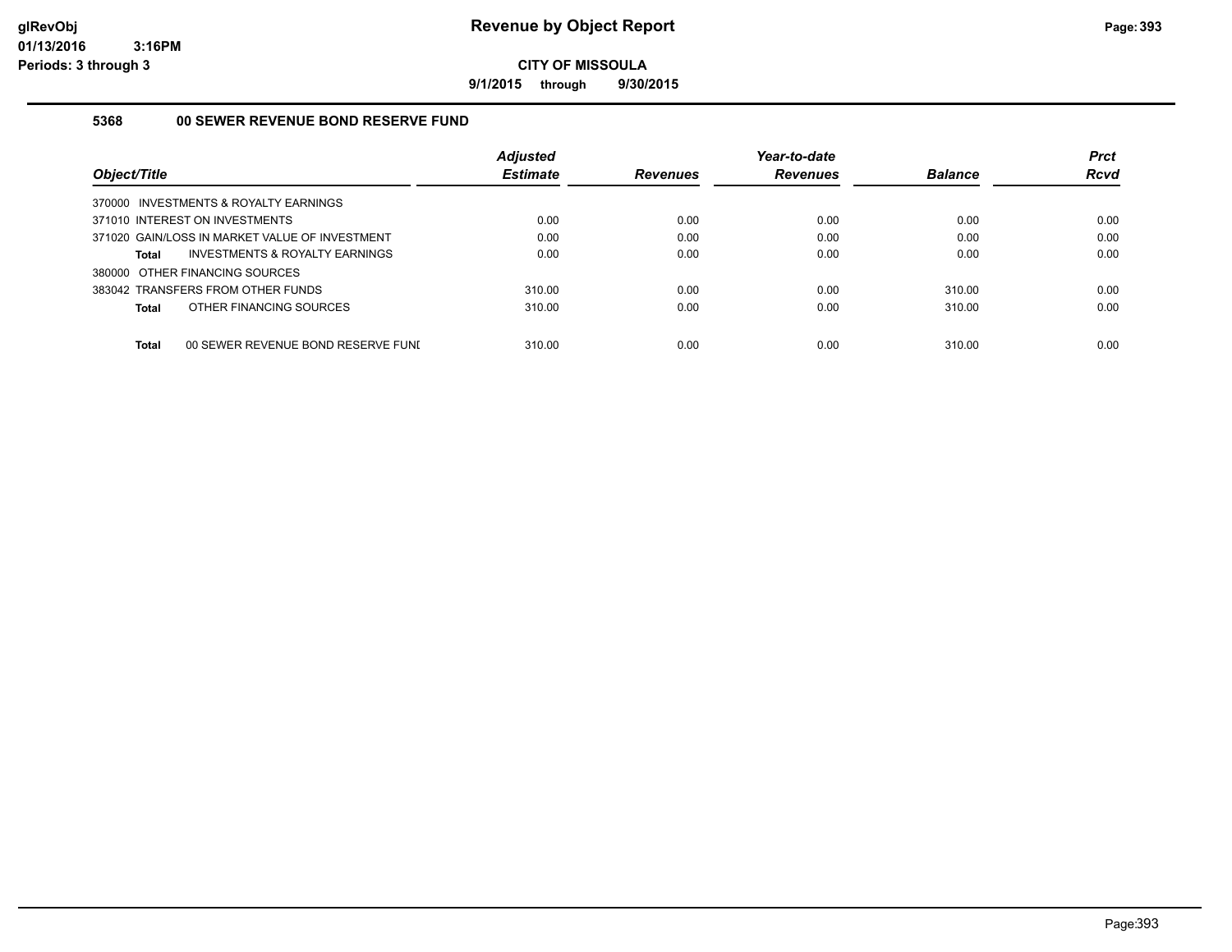**9/1/2015 through 9/30/2015**

#### **5368 00 SEWER REVENUE BOND RESERVE FUND**

| Object/Title                                       | <b>Adjusted</b><br><b>Estimate</b> | <b>Revenues</b> | Year-to-date<br><b>Revenues</b> | <b>Balance</b> | <b>Prct</b><br><b>Rcvd</b> |
|----------------------------------------------------|------------------------------------|-----------------|---------------------------------|----------------|----------------------------|
| 370000 INVESTMENTS & ROYALTY EARNINGS              |                                    |                 |                                 |                |                            |
| 371010 INTEREST ON INVESTMENTS                     | 0.00                               | 0.00            | 0.00                            | 0.00           | 0.00                       |
| 371020 GAIN/LOSS IN MARKET VALUE OF INVESTMENT     | 0.00                               | 0.00            | 0.00                            | 0.00           | 0.00                       |
| INVESTMENTS & ROYALTY EARNINGS<br><b>Total</b>     | 0.00                               | 0.00            | 0.00                            | 0.00           | 0.00                       |
| 380000 OTHER FINANCING SOURCES                     |                                    |                 |                                 |                |                            |
| 383042 TRANSFERS FROM OTHER FUNDS                  | 310.00                             | 0.00            | 0.00                            | 310.00         | 0.00                       |
| OTHER FINANCING SOURCES<br><b>Total</b>            | 310.00                             | 0.00            | 0.00                            | 310.00         | 0.00                       |
|                                                    |                                    |                 |                                 |                |                            |
| <b>Total</b><br>00 SEWER REVENUE BOND RESERVE FUNI | 310.00                             | 0.00            | 0.00                            | 310.00         | 0.00                       |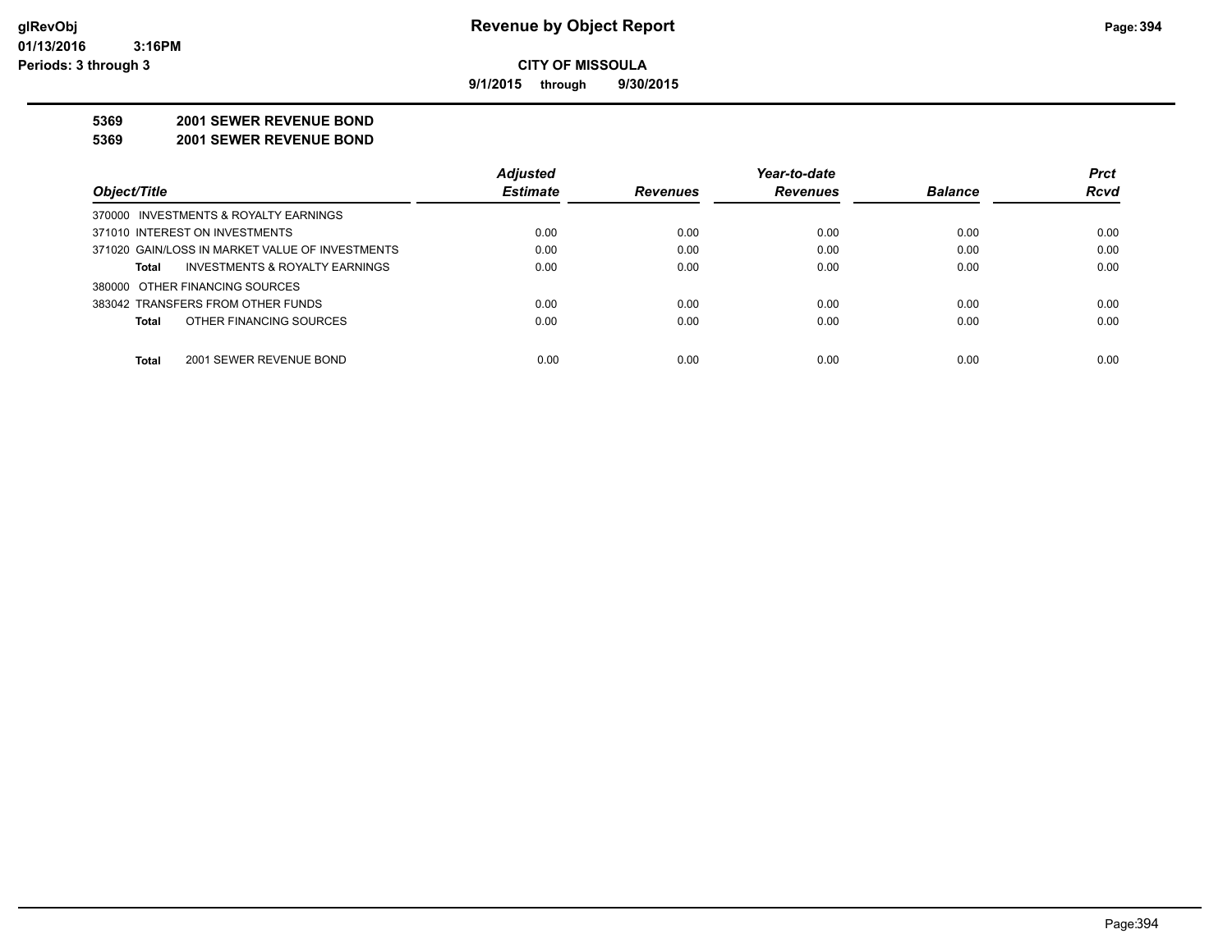**9/1/2015 through 9/30/2015**

#### **5369 2001 SEWER REVENUE BOND**

**5369 2001 SEWER REVENUE BOND**

|                                                 | <b>Adjusted</b> |                 | Year-to-date    |                | <b>Prct</b> |
|-------------------------------------------------|-----------------|-----------------|-----------------|----------------|-------------|
| Object/Title                                    | <b>Estimate</b> | <b>Revenues</b> | <b>Revenues</b> | <b>Balance</b> | <b>Rcvd</b> |
| 370000 INVESTMENTS & ROYALTY EARNINGS           |                 |                 |                 |                |             |
| 371010 INTEREST ON INVESTMENTS                  | 0.00            | 0.00            | 0.00            | 0.00           | 0.00        |
| 371020 GAIN/LOSS IN MARKET VALUE OF INVESTMENTS | 0.00            | 0.00            | 0.00            | 0.00           | 0.00        |
| INVESTMENTS & ROYALTY EARNINGS<br>Total         | 0.00            | 0.00            | 0.00            | 0.00           | 0.00        |
| 380000 OTHER FINANCING SOURCES                  |                 |                 |                 |                |             |
| 383042 TRANSFERS FROM OTHER FUNDS               | 0.00            | 0.00            | 0.00            | 0.00           | 0.00        |
| OTHER FINANCING SOURCES<br><b>Total</b>         | 0.00            | 0.00            | 0.00            | 0.00           | 0.00        |
| <b>Total</b><br>2001 SEWER REVENUE BOND         | 0.00            | 0.00            | 0.00            | 0.00           | 0.00        |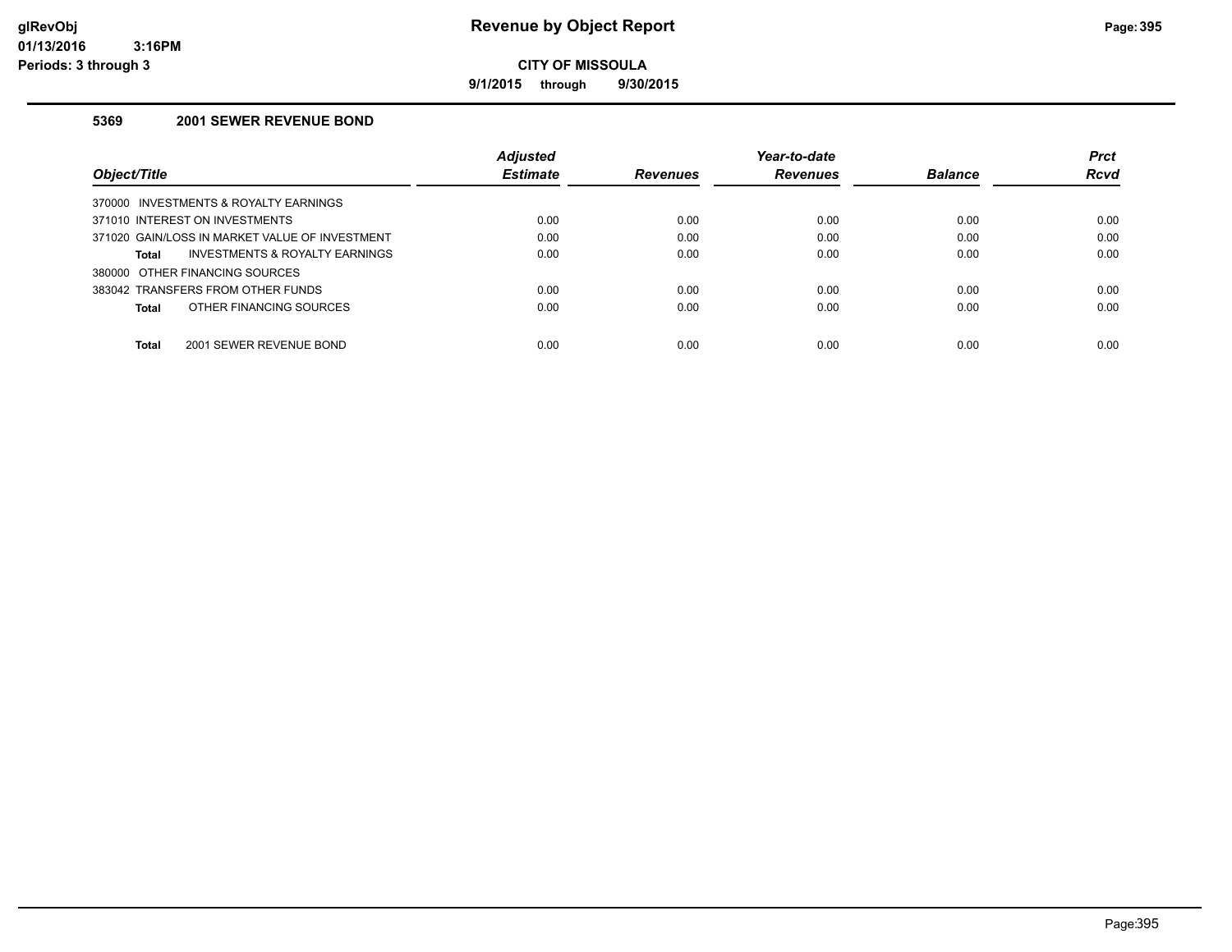**9/1/2015 through 9/30/2015**

#### **5369 2001 SEWER REVENUE BOND**

|                                                    | <b>Adjusted</b> |                 | Year-to-date    |                | <b>Prct</b> |
|----------------------------------------------------|-----------------|-----------------|-----------------|----------------|-------------|
| Object/Title                                       | <b>Estimate</b> | <b>Revenues</b> | <b>Revenues</b> | <b>Balance</b> | Rcvd        |
| INVESTMENTS & ROYALTY EARNINGS<br>370000           |                 |                 |                 |                |             |
| 371010 INTEREST ON INVESTMENTS                     | 0.00            | 0.00            | 0.00            | 0.00           | 0.00        |
| 371020 GAIN/LOSS IN MARKET VALUE OF INVESTMENT     | 0.00            | 0.00            | 0.00            | 0.00           | 0.00        |
| <b>INVESTMENTS &amp; ROYALTY EARNINGS</b><br>Total | 0.00            | 0.00            | 0.00            | 0.00           | 0.00        |
| 380000 OTHER FINANCING SOURCES                     |                 |                 |                 |                |             |
| 383042 TRANSFERS FROM OTHER FUNDS                  | 0.00            | 0.00            | 0.00            | 0.00           | 0.00        |
| OTHER FINANCING SOURCES<br>Total                   | 0.00            | 0.00            | 0.00            | 0.00           | 0.00        |
|                                                    |                 |                 |                 |                |             |
| Total<br>2001 SEWER REVENUE BOND                   | 0.00            | 0.00            | 0.00            | 0.00           | 0.00        |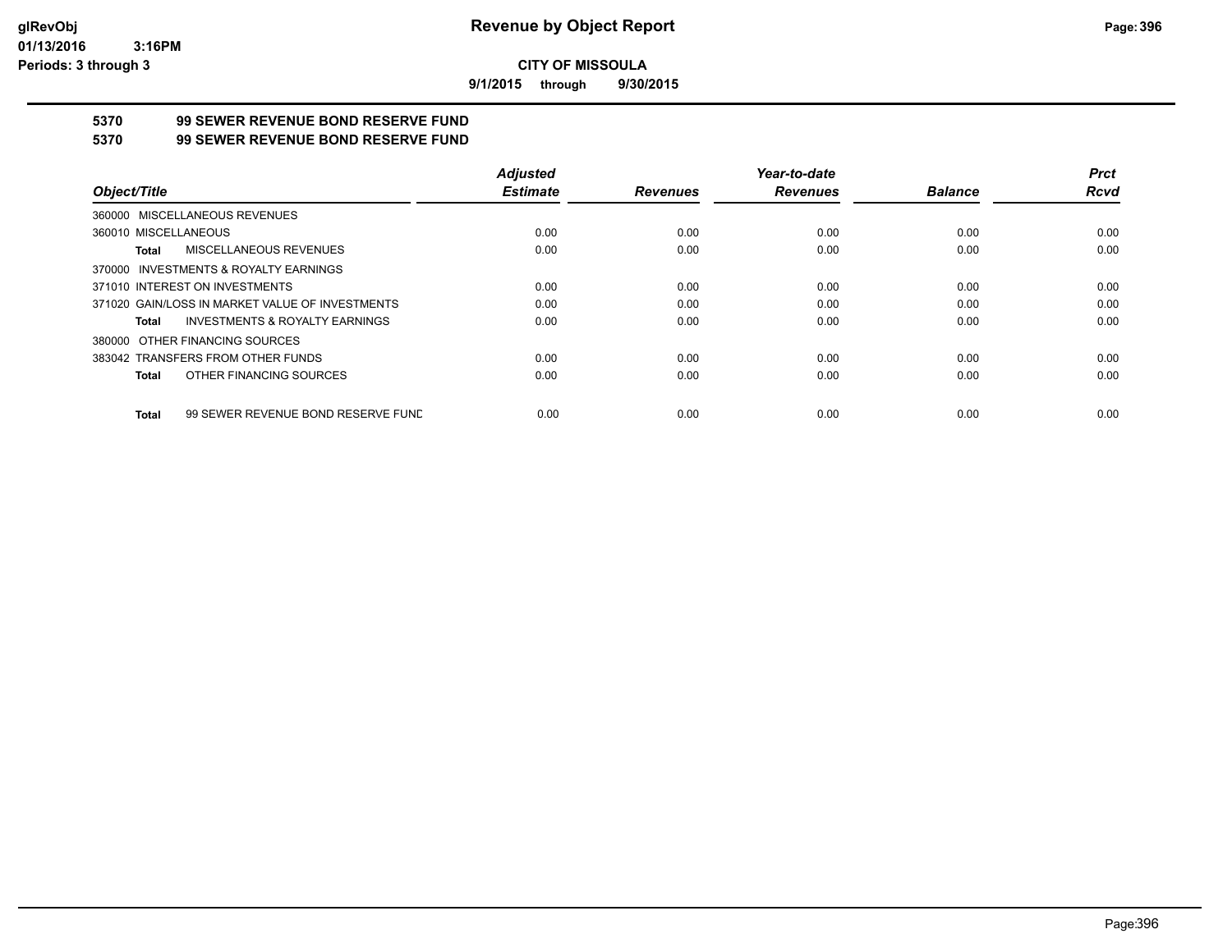**9/1/2015 through 9/30/2015**

## **5370 99 SEWER REVENUE BOND RESERVE FUND**

#### **5370 99 SEWER REVENUE BOND RESERVE FUND**

|                                                    | <b>Adjusted</b> |                 | Year-to-date    |                | <b>Prct</b> |
|----------------------------------------------------|-----------------|-----------------|-----------------|----------------|-------------|
| Object/Title                                       | <b>Estimate</b> | <b>Revenues</b> | <b>Revenues</b> | <b>Balance</b> | Rcvd        |
| 360000 MISCELLANEOUS REVENUES                      |                 |                 |                 |                |             |
| 360010 MISCELLANEOUS                               | 0.00            | 0.00            | 0.00            | 0.00           | 0.00        |
| MISCELLANEOUS REVENUES<br>Total                    | 0.00            | 0.00            | 0.00            | 0.00           | 0.00        |
| 370000 INVESTMENTS & ROYALTY EARNINGS              |                 |                 |                 |                |             |
| 371010 INTEREST ON INVESTMENTS                     | 0.00            | 0.00            | 0.00            | 0.00           | 0.00        |
| 371020 GAIN/LOSS IN MARKET VALUE OF INVESTMENTS    | 0.00            | 0.00            | 0.00            | 0.00           | 0.00        |
| <b>INVESTMENTS &amp; ROYALTY EARNINGS</b><br>Total | 0.00            | 0.00            | 0.00            | 0.00           | 0.00        |
| 380000 OTHER FINANCING SOURCES                     |                 |                 |                 |                |             |
| 383042 TRANSFERS FROM OTHER FUNDS                  | 0.00            | 0.00            | 0.00            | 0.00           | 0.00        |
| OTHER FINANCING SOURCES<br>Total                   | 0.00            | 0.00            | 0.00            | 0.00           | 0.00        |
| 99 SEWER REVENUE BOND RESERVE FUND<br>Total        | 0.00            | 0.00            | 0.00            | 0.00           | 0.00        |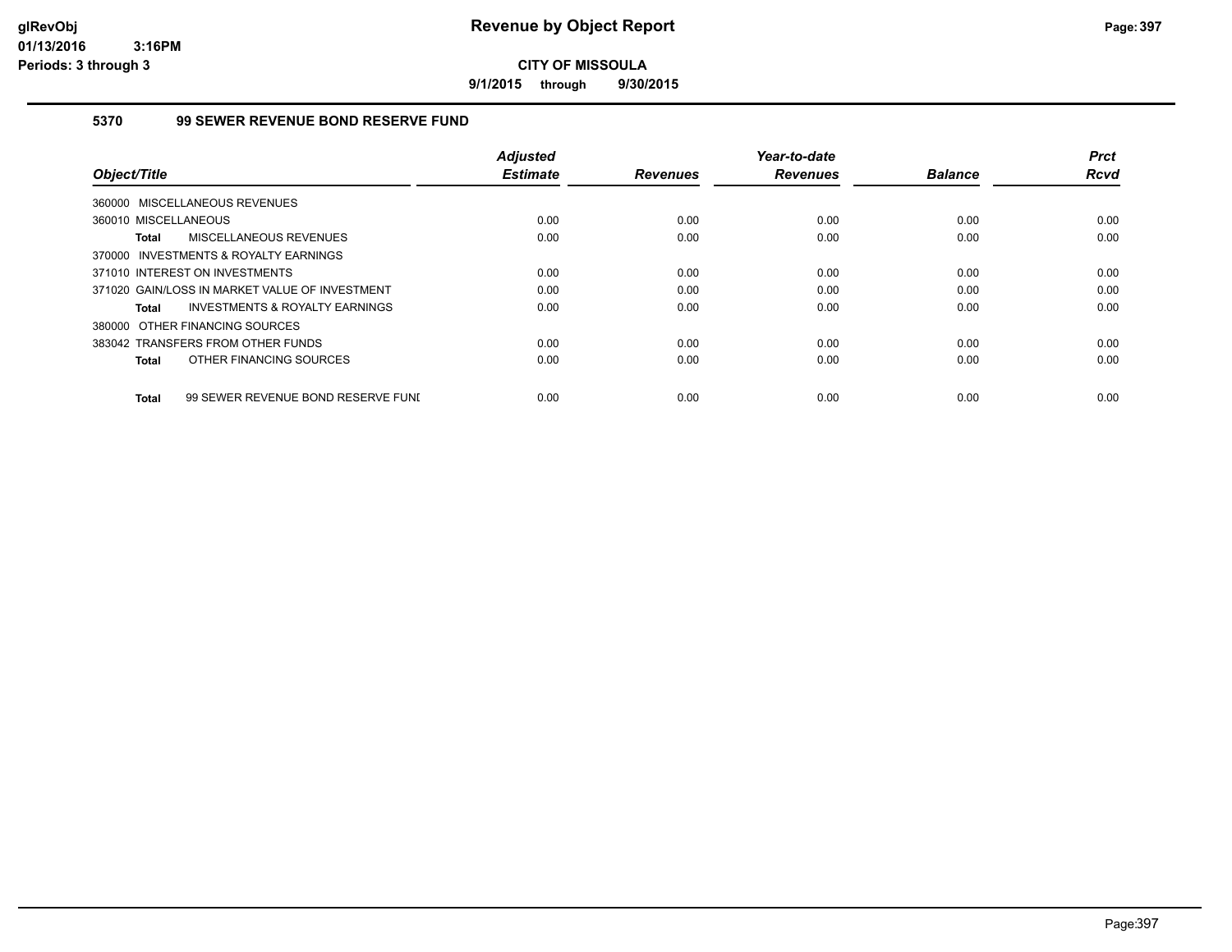**9/1/2015 through 9/30/2015**

## **5370 99 SEWER REVENUE BOND RESERVE FUND**

|                                                    | <b>Adjusted</b> |                 | Year-to-date    |                | <b>Prct</b> |
|----------------------------------------------------|-----------------|-----------------|-----------------|----------------|-------------|
| Object/Title                                       | <b>Estimate</b> | <b>Revenues</b> | <b>Revenues</b> | <b>Balance</b> | <b>Rcvd</b> |
| 360000 MISCELLANEOUS REVENUES                      |                 |                 |                 |                |             |
| 360010 MISCELLANEOUS                               | 0.00            | 0.00            | 0.00            | 0.00           | 0.00        |
| MISCELLANEOUS REVENUES<br><b>Total</b>             | 0.00            | 0.00            | 0.00            | 0.00           | 0.00        |
| 370000 INVESTMENTS & ROYALTY EARNINGS              |                 |                 |                 |                |             |
| 371010 INTEREST ON INVESTMENTS                     | 0.00            | 0.00            | 0.00            | 0.00           | 0.00        |
| 371020 GAIN/LOSS IN MARKET VALUE OF INVESTMENT     | 0.00            | 0.00            | 0.00            | 0.00           | 0.00        |
| INVESTMENTS & ROYALTY EARNINGS<br>Total            | 0.00            | 0.00            | 0.00            | 0.00           | 0.00        |
| 380000 OTHER FINANCING SOURCES                     |                 |                 |                 |                |             |
| 383042 TRANSFERS FROM OTHER FUNDS                  | 0.00            | 0.00            | 0.00            | 0.00           | 0.00        |
| OTHER FINANCING SOURCES<br>Total                   | 0.00            | 0.00            | 0.00            | 0.00           | 0.00        |
|                                                    |                 |                 |                 |                |             |
| 99 SEWER REVENUE BOND RESERVE FUNI<br><b>Total</b> | 0.00            | 0.00            | 0.00            | 0.00           | 0.00        |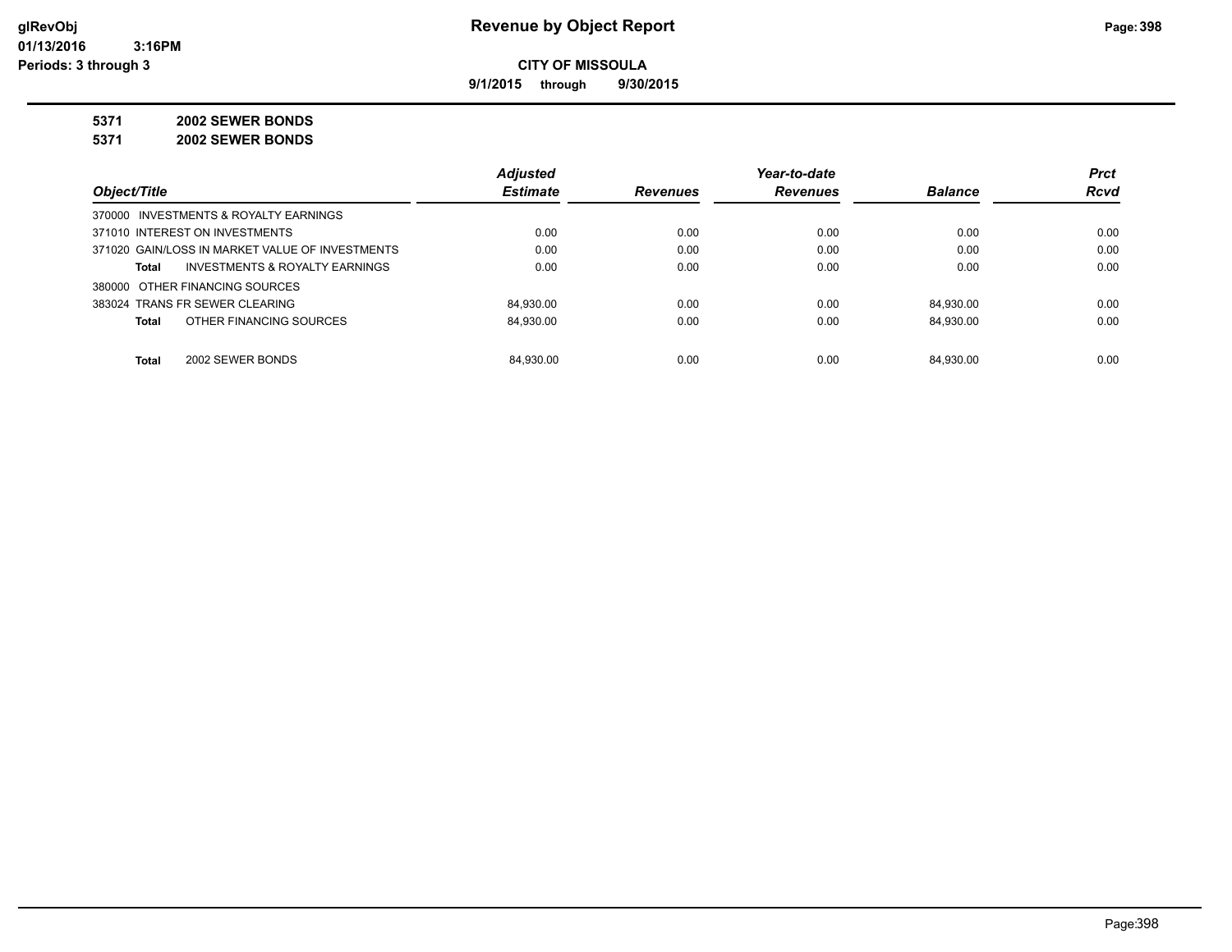**9/1/2015 through 9/30/2015**

# **5371 2002 SEWER BONDS**

**5371 2002 SEWER BONDS**

|                                                    | <b>Adjusted</b> |                 | Year-to-date    |                | <b>Prct</b> |
|----------------------------------------------------|-----------------|-----------------|-----------------|----------------|-------------|
| Object/Title                                       | <b>Estimate</b> | <b>Revenues</b> | <b>Revenues</b> | <b>Balance</b> | <b>Rcvd</b> |
| 370000 INVESTMENTS & ROYALTY EARNINGS              |                 |                 |                 |                |             |
| 371010 INTEREST ON INVESTMENTS                     | 0.00            | 0.00            | 0.00            | 0.00           | 0.00        |
| 371020 GAIN/LOSS IN MARKET VALUE OF INVESTMENTS    | 0.00            | 0.00            | 0.00            | 0.00           | 0.00        |
| <b>INVESTMENTS &amp; ROYALTY EARNINGS</b><br>Total | 0.00            | 0.00            | 0.00            | 0.00           | 0.00        |
| 380000 OTHER FINANCING SOURCES                     |                 |                 |                 |                |             |
| 383024 TRANS FR SEWER CLEARING                     | 84.930.00       | 0.00            | 0.00            | 84.930.00      | 0.00        |
| OTHER FINANCING SOURCES<br><b>Total</b>            | 84.930.00       | 0.00            | 0.00            | 84.930.00      | 0.00        |
| <b>Total</b><br>2002 SEWER BONDS                   | 84.930.00       | 0.00            | 0.00            | 84.930.00      | 0.00        |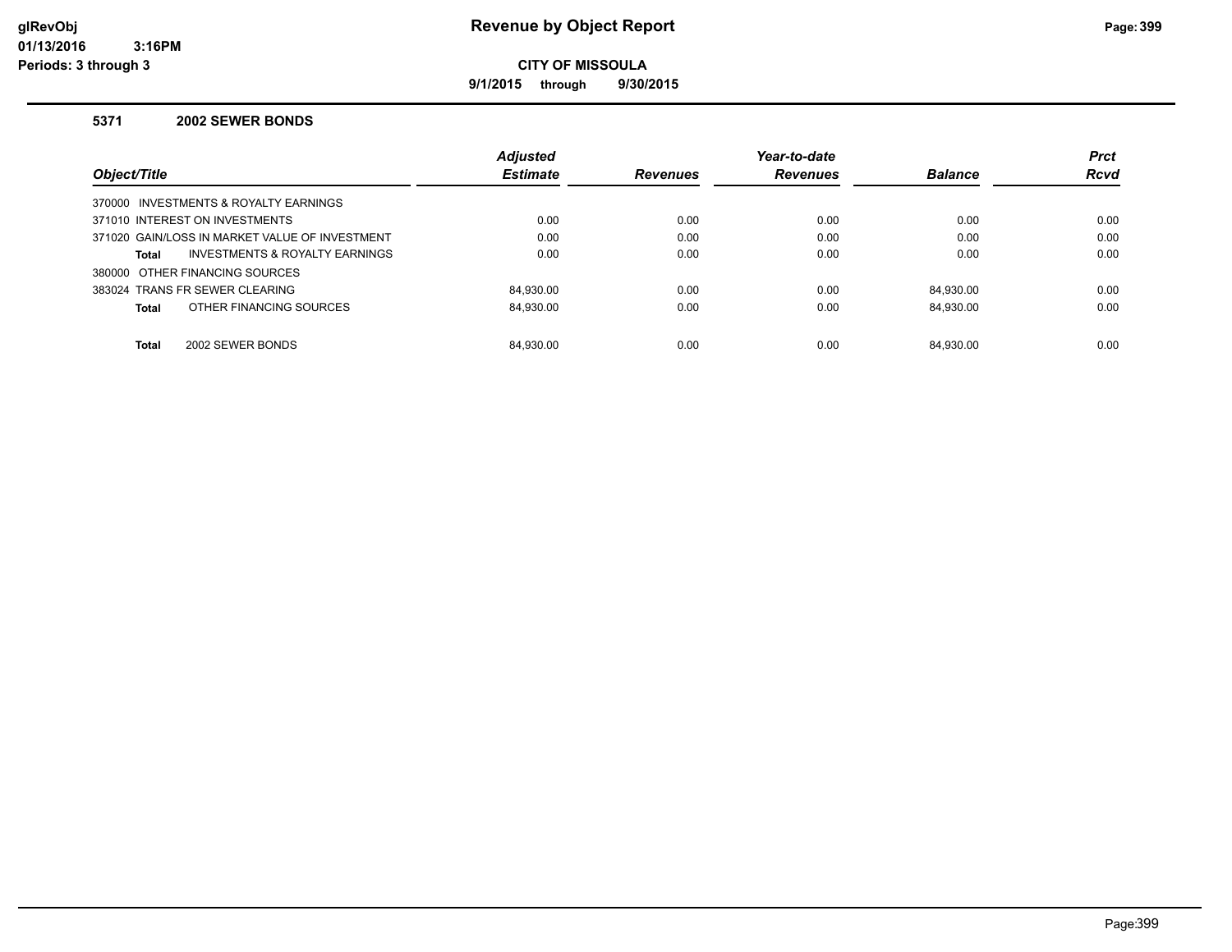**9/1/2015 through 9/30/2015**

#### **5371 2002 SEWER BONDS**

|                                                | <b>Adjusted</b> |                 | Year-to-date    |                | <b>Prct</b> |
|------------------------------------------------|-----------------|-----------------|-----------------|----------------|-------------|
| Object/Title                                   | <b>Estimate</b> | <b>Revenues</b> | <b>Revenues</b> | <b>Balance</b> | <b>Rcvd</b> |
| 370000 INVESTMENTS & ROYALTY EARNINGS          |                 |                 |                 |                |             |
| 371010 INTEREST ON INVESTMENTS                 | 0.00            | 0.00            | 0.00            | 0.00           | 0.00        |
| 371020 GAIN/LOSS IN MARKET VALUE OF INVESTMENT | 0.00            | 0.00            | 0.00            | 0.00           | 0.00        |
| INVESTMENTS & ROYALTY EARNINGS<br>Total        | 0.00            | 0.00            | 0.00            | 0.00           | 0.00        |
| 380000 OTHER FINANCING SOURCES                 |                 |                 |                 |                |             |
| 383024 TRANS FR SEWER CLEARING                 | 84.930.00       | 0.00            | 0.00            | 84.930.00      | 0.00        |
| OTHER FINANCING SOURCES<br>Total               | 84.930.00       | 0.00            | 0.00            | 84.930.00      | 0.00        |
|                                                |                 |                 |                 |                |             |
| 2002 SEWER BONDS<br><b>Total</b>               | 84.930.00       | 0.00            | 0.00            | 84.930.00      | 0.00        |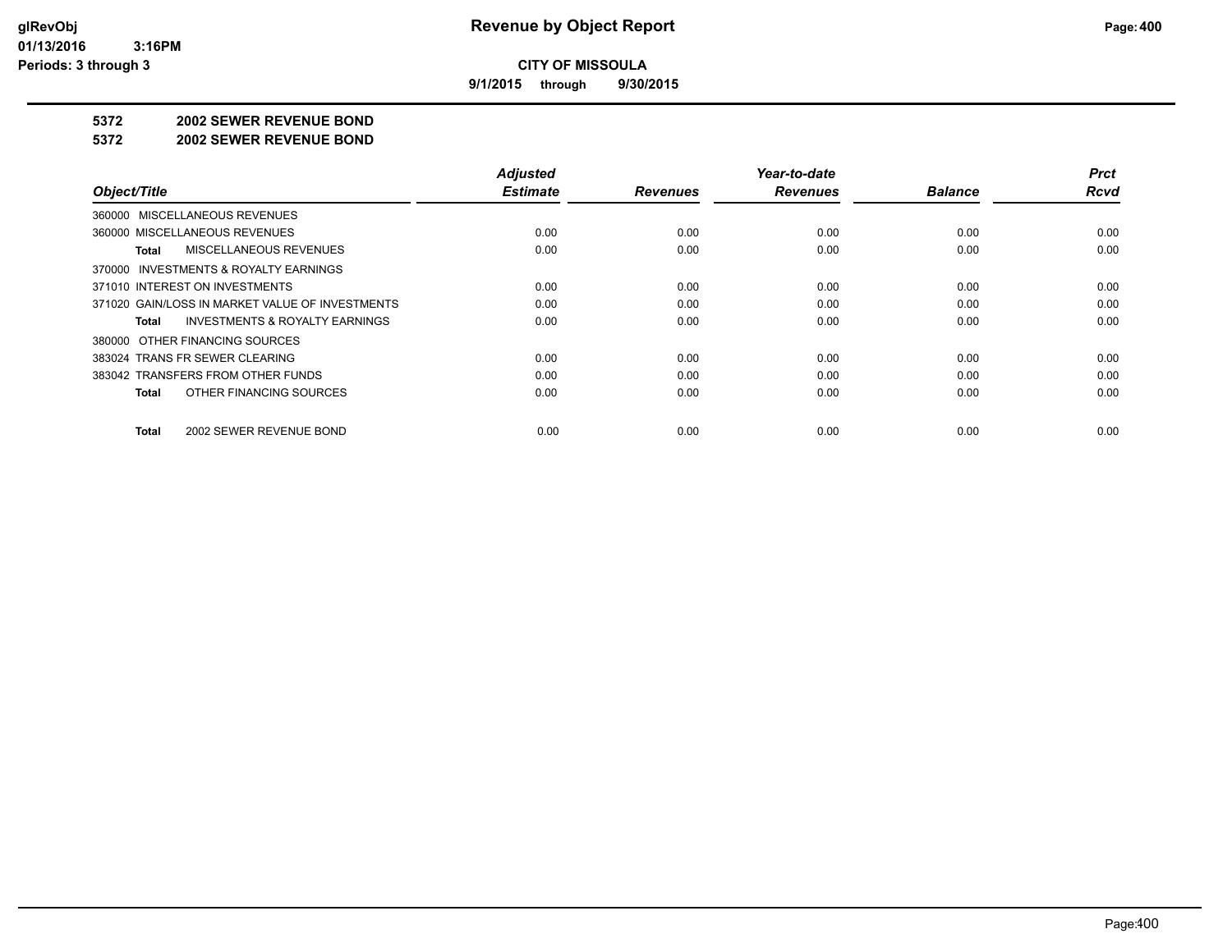**9/1/2015 through 9/30/2015**

#### **5372 2002 SEWER REVENUE BOND**

#### **5372 2002 SEWER REVENUE BOND**

|                                                    | <b>Adjusted</b> |                 | Year-to-date    |                | <b>Prct</b> |
|----------------------------------------------------|-----------------|-----------------|-----------------|----------------|-------------|
| Object/Title                                       | <b>Estimate</b> | <b>Revenues</b> | <b>Revenues</b> | <b>Balance</b> | <b>Rcvd</b> |
| 360000 MISCELLANEOUS REVENUES                      |                 |                 |                 |                |             |
| 360000 MISCELLANEOUS REVENUES                      | 0.00            | 0.00            | 0.00            | 0.00           | 0.00        |
| MISCELLANEOUS REVENUES<br>Total                    | 0.00            | 0.00            | 0.00            | 0.00           | 0.00        |
| 370000 INVESTMENTS & ROYALTY EARNINGS              |                 |                 |                 |                |             |
| 371010 INTEREST ON INVESTMENTS                     | 0.00            | 0.00            | 0.00            | 0.00           | 0.00        |
| 371020 GAIN/LOSS IN MARKET VALUE OF INVESTMENTS    | 0.00            | 0.00            | 0.00            | 0.00           | 0.00        |
| <b>INVESTMENTS &amp; ROYALTY EARNINGS</b><br>Total | 0.00            | 0.00            | 0.00            | 0.00           | 0.00        |
| 380000 OTHER FINANCING SOURCES                     |                 |                 |                 |                |             |
| 383024 TRANS FR SEWER CLEARING                     | 0.00            | 0.00            | 0.00            | 0.00           | 0.00        |
| 383042 TRANSFERS FROM OTHER FUNDS                  | 0.00            | 0.00            | 0.00            | 0.00           | 0.00        |
| OTHER FINANCING SOURCES<br>Total                   | 0.00            | 0.00            | 0.00            | 0.00           | 0.00        |
| 2002 SEWER REVENUE BOND<br>Total                   | 0.00            | 0.00            | 0.00            | 0.00           | 0.00        |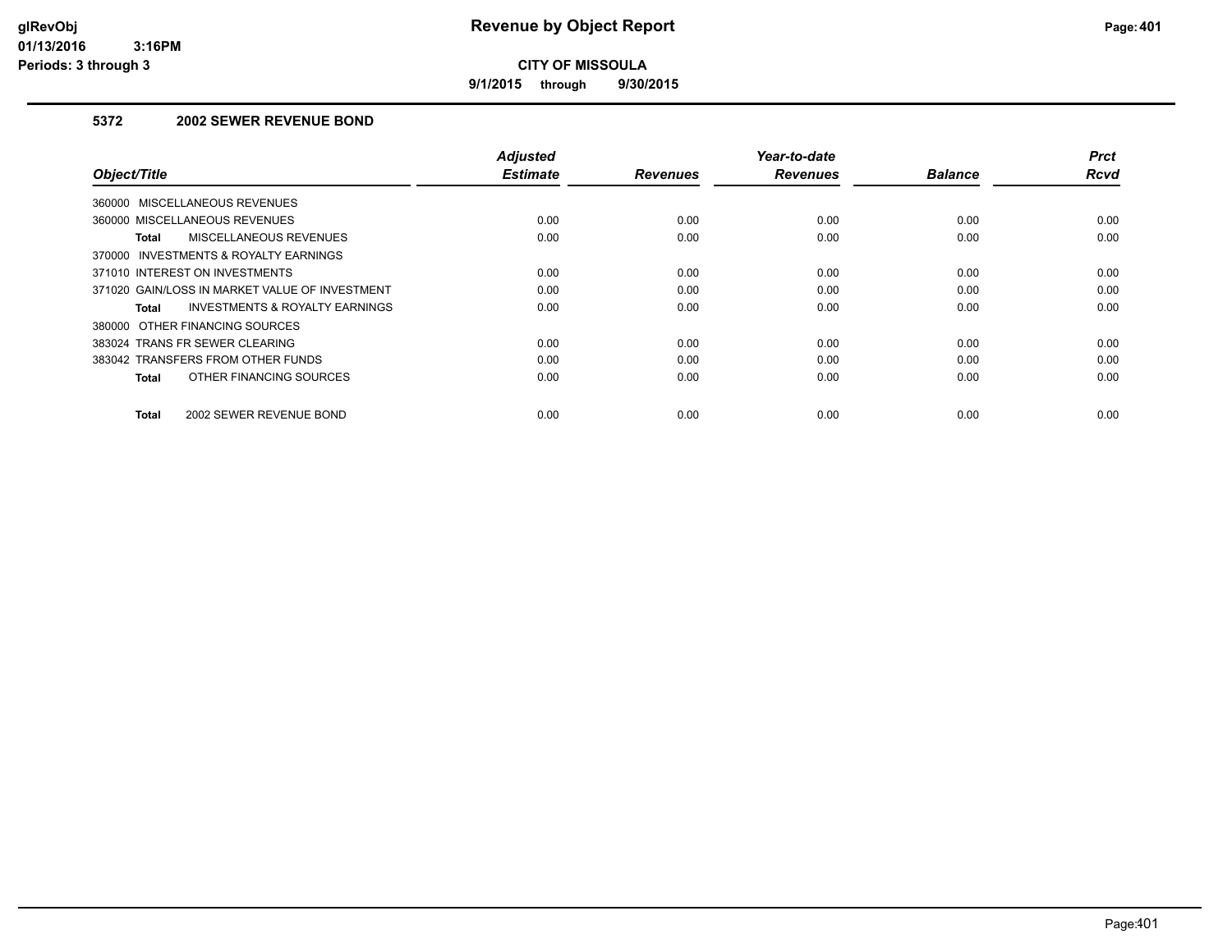**9/1/2015 through 9/30/2015**

## **5372 2002 SEWER REVENUE BOND**

| Object/Title                                   | <b>Adjusted</b><br><b>Estimate</b> | <b>Revenues</b> | Year-to-date<br><b>Revenues</b> | <b>Balance</b> | <b>Prct</b><br>Rcvd |
|------------------------------------------------|------------------------------------|-----------------|---------------------------------|----------------|---------------------|
| 360000 MISCELLANEOUS REVENUES                  |                                    |                 |                                 |                |                     |
| 360000 MISCELLANEOUS REVENUES                  | 0.00                               | 0.00            | 0.00                            | 0.00           | 0.00                |
| MISCELLANEOUS REVENUES<br>Total                | 0.00                               | 0.00            | 0.00                            | 0.00           | 0.00                |
| 370000 INVESTMENTS & ROYALTY EARNINGS          |                                    |                 |                                 |                |                     |
| 371010 INTEREST ON INVESTMENTS                 | 0.00                               | 0.00            | 0.00                            | 0.00           | 0.00                |
| 371020 GAIN/LOSS IN MARKET VALUE OF INVESTMENT | 0.00                               | 0.00            | 0.00                            | 0.00           | 0.00                |
| INVESTMENTS & ROYALTY EARNINGS<br>Total        | 0.00                               | 0.00            | 0.00                            | 0.00           | 0.00                |
| 380000 OTHER FINANCING SOURCES                 |                                    |                 |                                 |                |                     |
| 383024 TRANS FR SEWER CLEARING                 | 0.00                               | 0.00            | 0.00                            | 0.00           | 0.00                |
| 383042 TRANSFERS FROM OTHER FUNDS              | 0.00                               | 0.00            | 0.00                            | 0.00           | 0.00                |
| OTHER FINANCING SOURCES<br><b>Total</b>        | 0.00                               | 0.00            | 0.00                            | 0.00           | 0.00                |
| 2002 SEWER REVENUE BOND<br><b>Total</b>        | 0.00                               | 0.00            | 0.00                            | 0.00           | 0.00                |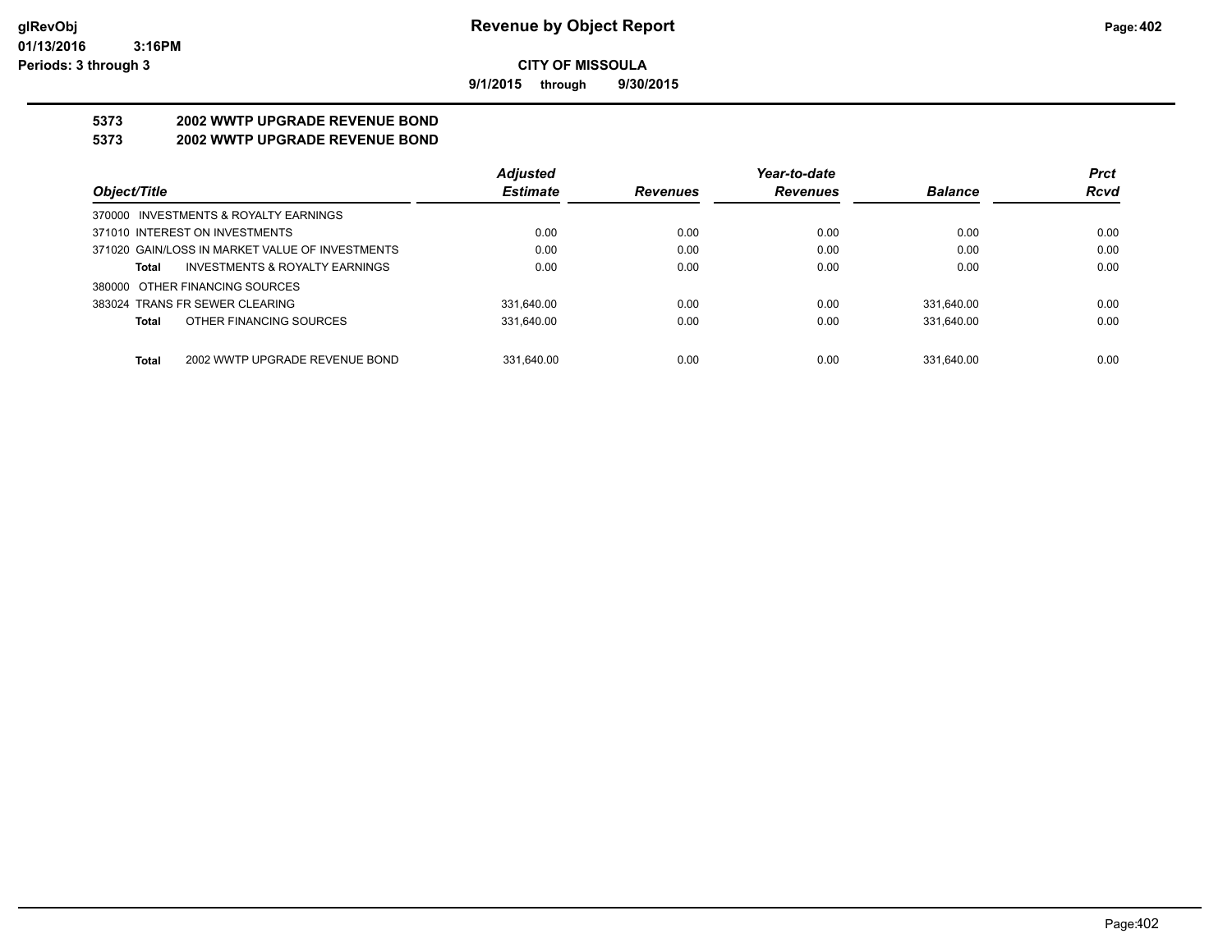**9/1/2015 through 9/30/2015**

# **5373 2002 WWTP UPGRADE REVENUE BOND**

## **5373 2002 WWTP UPGRADE REVENUE BOND**

|                                                 | <b>Adjusted</b> |                 | Year-to-date    |                | <b>Prct</b> |
|-------------------------------------------------|-----------------|-----------------|-----------------|----------------|-------------|
| Object/Title                                    | <b>Estimate</b> | <b>Revenues</b> | <b>Revenues</b> | <b>Balance</b> | <b>Rcvd</b> |
| 370000 INVESTMENTS & ROYALTY EARNINGS           |                 |                 |                 |                |             |
| 371010 INTEREST ON INVESTMENTS                  | 0.00            | 0.00            | 0.00            | 0.00           | 0.00        |
| 371020 GAIN/LOSS IN MARKET VALUE OF INVESTMENTS | 0.00            | 0.00            | 0.00            | 0.00           | 0.00        |
| INVESTMENTS & ROYALTY EARNINGS<br>Total         | 0.00            | 0.00            | 0.00            | 0.00           | 0.00        |
| 380000 OTHER FINANCING SOURCES                  |                 |                 |                 |                |             |
| 383024 TRANS FR SEWER CLEARING                  | 331.640.00      | 0.00            | 0.00            | 331.640.00     | 0.00        |
| OTHER FINANCING SOURCES<br>Total                | 331.640.00      | 0.00            | 0.00            | 331.640.00     | 0.00        |
|                                                 |                 |                 |                 |                |             |
| 2002 WWTP UPGRADE REVENUE BOND<br>Total         | 331.640.00      | 0.00            | 0.00            | 331.640.00     | 0.00        |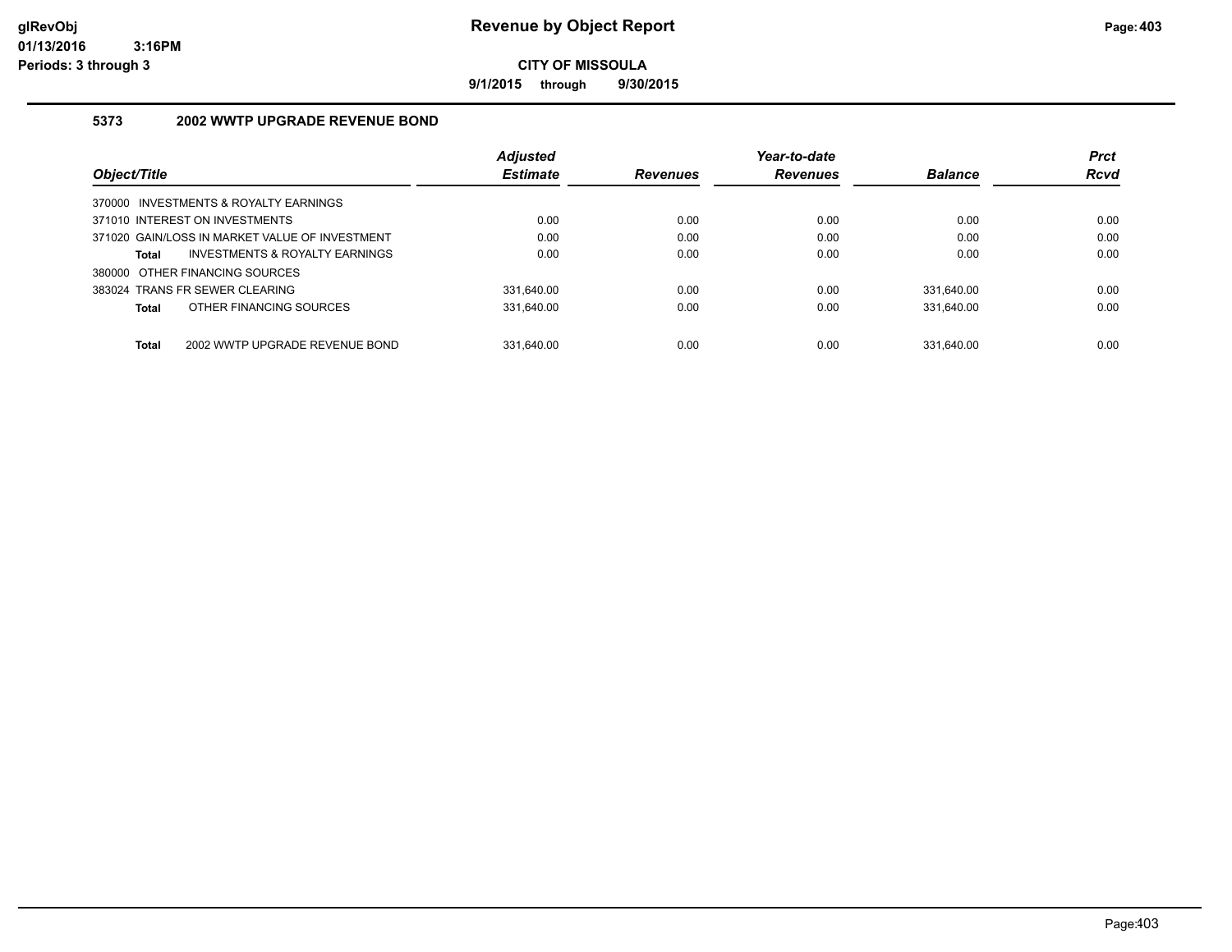**9/1/2015 through 9/30/2015**

## **5373 2002 WWTP UPGRADE REVENUE BOND**

|                                                    | Adjusted        |                 | Year-to-date    |                | <b>Prct</b> |
|----------------------------------------------------|-----------------|-----------------|-----------------|----------------|-------------|
| Object/Title                                       | <b>Estimate</b> | <b>Revenues</b> | <b>Revenues</b> | <b>Balance</b> | <b>Rcvd</b> |
| 370000 INVESTMENTS & ROYALTY EARNINGS              |                 |                 |                 |                |             |
| 371010 INTEREST ON INVESTMENTS                     | 0.00            | 0.00            | 0.00            | 0.00           | 0.00        |
| 371020 GAIN/LOSS IN MARKET VALUE OF INVESTMENT     | 0.00            | 0.00            | 0.00            | 0.00           | 0.00        |
| <b>INVESTMENTS &amp; ROYALTY EARNINGS</b><br>Total | 0.00            | 0.00            | 0.00            | 0.00           | 0.00        |
| 380000 OTHER FINANCING SOURCES                     |                 |                 |                 |                |             |
| 383024 TRANS FR SEWER CLEARING                     | 331.640.00      | 0.00            | 0.00            | 331.640.00     | 0.00        |
| OTHER FINANCING SOURCES<br>Total                   | 331,640.00      | 0.00            | 0.00            | 331.640.00     | 0.00        |
|                                                    |                 |                 |                 |                |             |
| Total<br>2002 WWTP UPGRADE REVENUE BOND            | 331.640.00      | 0.00            | 0.00            | 331.640.00     | 0.00        |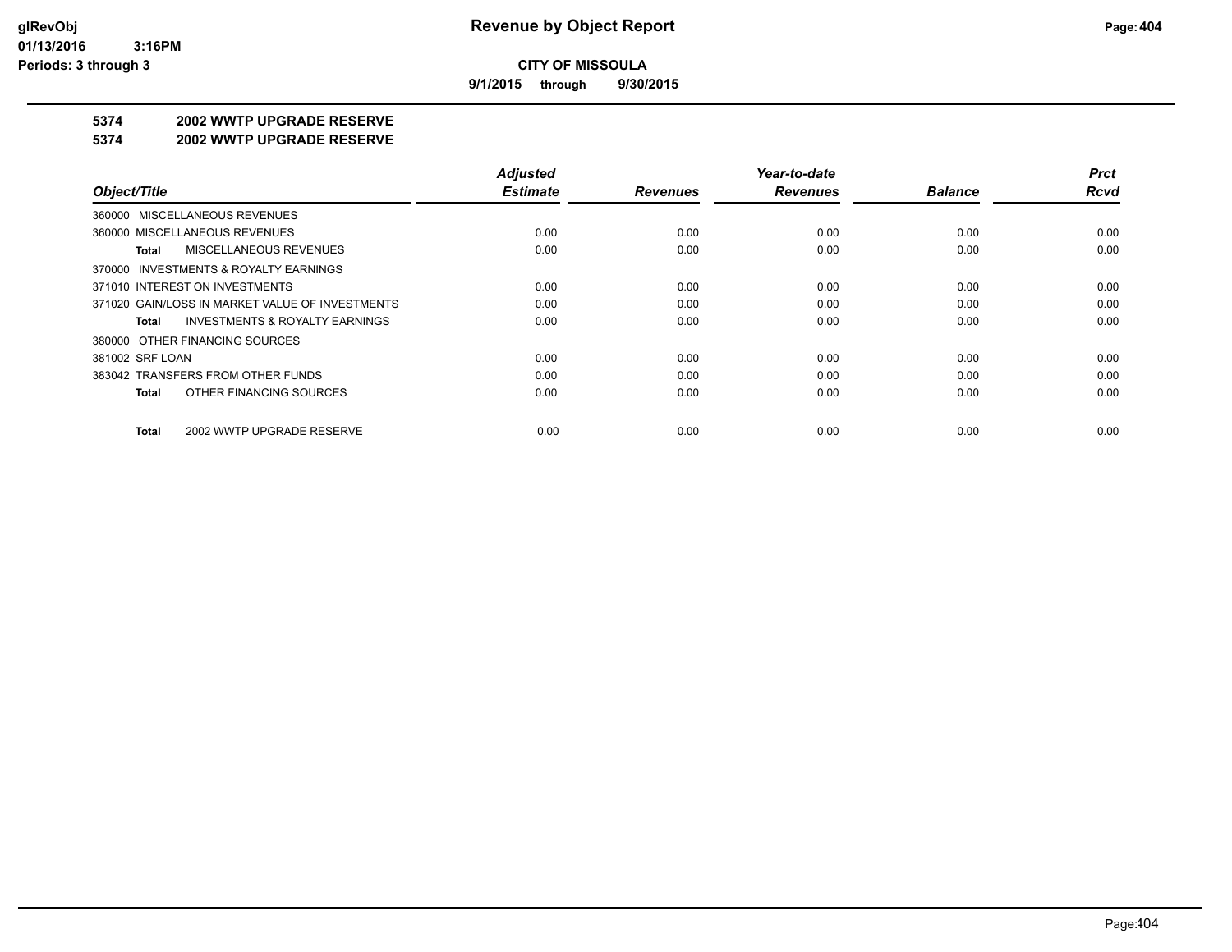**9/1/2015 through 9/30/2015**

# **5374 2002 WWTP UPGRADE RESERVE**

#### **5374 2002 WWTP UPGRADE RESERVE**

|                                                    | <b>Adjusted</b> |                 | Year-to-date    |                | <b>Prct</b> |
|----------------------------------------------------|-----------------|-----------------|-----------------|----------------|-------------|
| Object/Title                                       | <b>Estimate</b> | <b>Revenues</b> | <b>Revenues</b> | <b>Balance</b> | Rcvd        |
| 360000 MISCELLANEOUS REVENUES                      |                 |                 |                 |                |             |
| 360000 MISCELLANEOUS REVENUES                      | 0.00            | 0.00            | 0.00            | 0.00           | 0.00        |
| MISCELLANEOUS REVENUES<br>Total                    | 0.00            | 0.00            | 0.00            | 0.00           | 0.00        |
| 370000 INVESTMENTS & ROYALTY EARNINGS              |                 |                 |                 |                |             |
| 371010 INTEREST ON INVESTMENTS                     | 0.00            | 0.00            | 0.00            | 0.00           | 0.00        |
| 371020 GAIN/LOSS IN MARKET VALUE OF INVESTMENTS    | 0.00            | 0.00            | 0.00            | 0.00           | 0.00        |
| <b>INVESTMENTS &amp; ROYALTY EARNINGS</b><br>Total | 0.00            | 0.00            | 0.00            | 0.00           | 0.00        |
| 380000 OTHER FINANCING SOURCES                     |                 |                 |                 |                |             |
| 381002 SRF LOAN                                    | 0.00            | 0.00            | 0.00            | 0.00           | 0.00        |
| 383042 TRANSFERS FROM OTHER FUNDS                  | 0.00            | 0.00            | 0.00            | 0.00           | 0.00        |
| OTHER FINANCING SOURCES<br>Total                   | 0.00            | 0.00            | 0.00            | 0.00           | 0.00        |
| 2002 WWTP UPGRADE RESERVE<br>Total                 | 0.00            | 0.00            | 0.00            | 0.00           | 0.00        |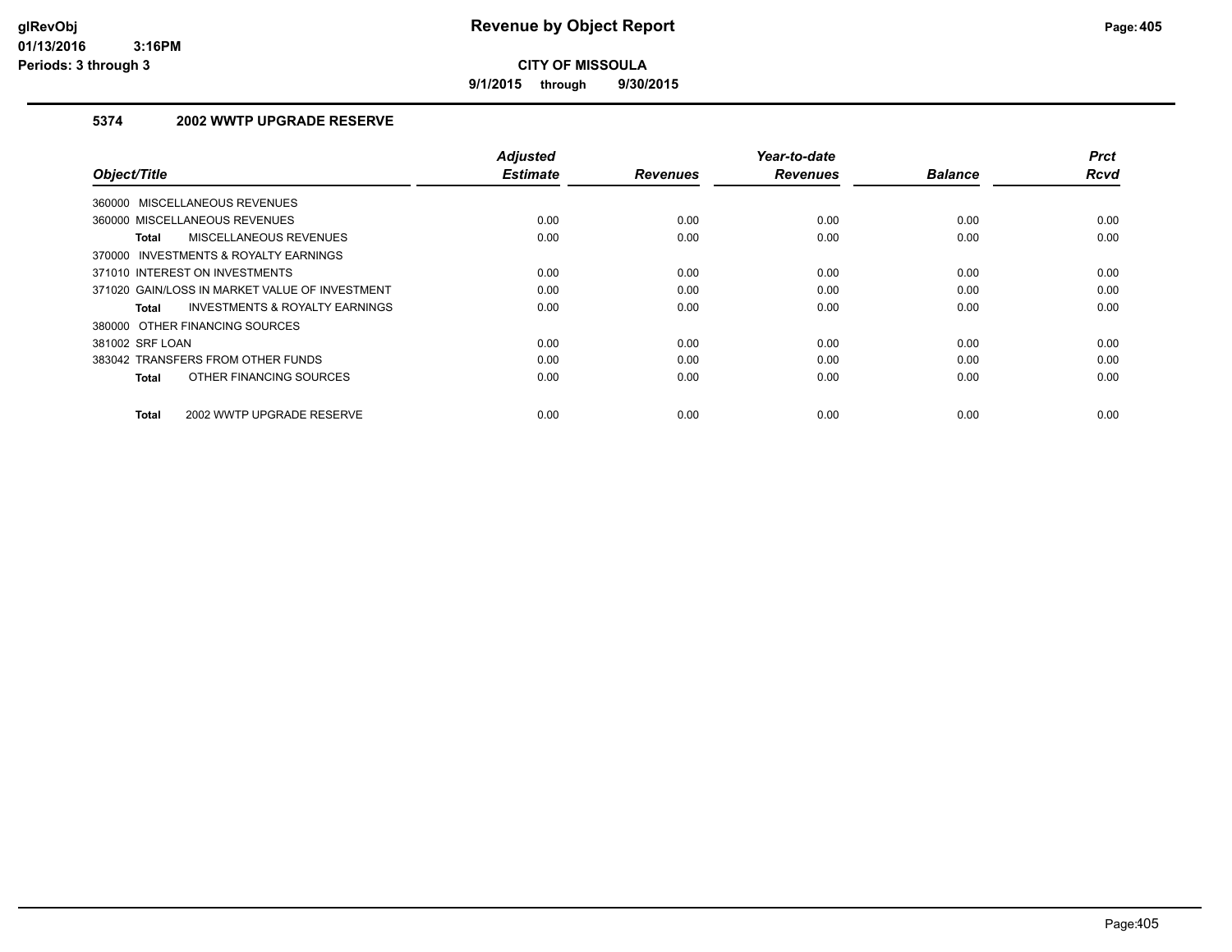**9/1/2015 through 9/30/2015**

## **5374 2002 WWTP UPGRADE RESERVE**

| Object/Title                                   | <b>Adjusted</b><br><b>Estimate</b> | <b>Revenues</b> | Year-to-date<br><b>Revenues</b> | <b>Balance</b> | <b>Prct</b><br><b>Rcvd</b> |
|------------------------------------------------|------------------------------------|-----------------|---------------------------------|----------------|----------------------------|
| 360000 MISCELLANEOUS REVENUES                  |                                    |                 |                                 |                |                            |
| 360000 MISCELLANEOUS REVENUES                  | 0.00                               | 0.00            | 0.00                            | 0.00           | 0.00                       |
| MISCELLANEOUS REVENUES<br>Total                | 0.00                               | 0.00            | 0.00                            | 0.00           | 0.00                       |
| 370000 INVESTMENTS & ROYALTY EARNINGS          |                                    |                 |                                 |                |                            |
| 371010 INTEREST ON INVESTMENTS                 | 0.00                               | 0.00            | 0.00                            | 0.00           | 0.00                       |
| 371020 GAIN/LOSS IN MARKET VALUE OF INVESTMENT | 0.00                               | 0.00            | 0.00                            | 0.00           | 0.00                       |
| INVESTMENTS & ROYALTY EARNINGS<br>Total        | 0.00                               | 0.00            | 0.00                            | 0.00           | 0.00                       |
| 380000 OTHER FINANCING SOURCES                 |                                    |                 |                                 |                |                            |
| 381002 SRF LOAN                                | 0.00                               | 0.00            | 0.00                            | 0.00           | 0.00                       |
| 383042 TRANSFERS FROM OTHER FUNDS              | 0.00                               | 0.00            | 0.00                            | 0.00           | 0.00                       |
| OTHER FINANCING SOURCES<br>Total               | 0.00                               | 0.00            | 0.00                            | 0.00           | 0.00                       |
| 2002 WWTP UPGRADE RESERVE<br><b>Total</b>      | 0.00                               | 0.00            | 0.00                            | 0.00           | 0.00                       |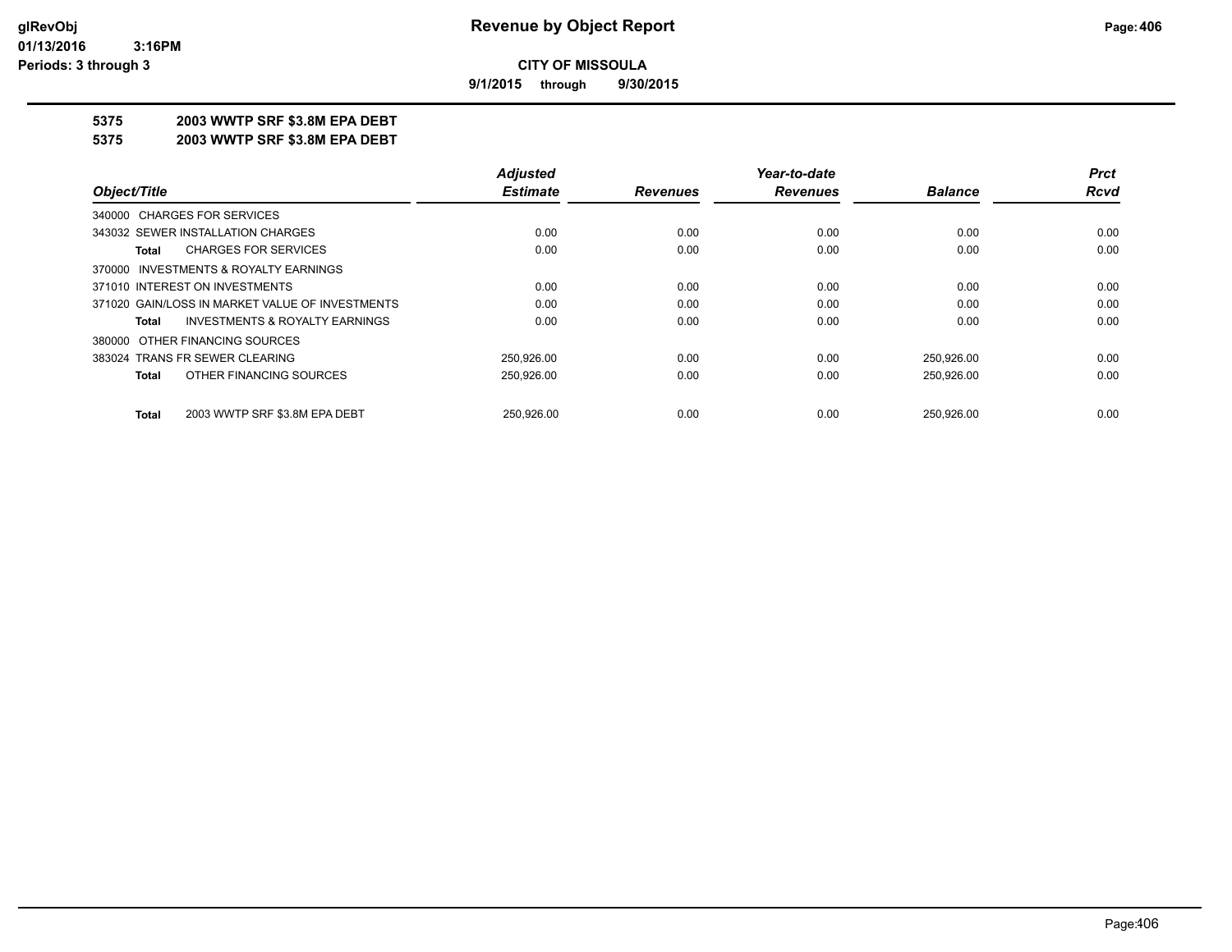**9/1/2015 through 9/30/2015**

## **5375 2003 WWTP SRF \$3.8M EPA DEBT**

**5375 2003 WWTP SRF \$3.8M EPA DEBT**

|                                                    | <b>Adjusted</b> |                 | Year-to-date    |                | <b>Prct</b> |
|----------------------------------------------------|-----------------|-----------------|-----------------|----------------|-------------|
| Object/Title                                       | <b>Estimate</b> | <b>Revenues</b> | <b>Revenues</b> | <b>Balance</b> | Rcvd        |
| 340000 CHARGES FOR SERVICES                        |                 |                 |                 |                |             |
| 343032 SEWER INSTALLATION CHARGES                  | 0.00            | 0.00            | 0.00            | 0.00           | 0.00        |
| <b>CHARGES FOR SERVICES</b><br>Total               | 0.00            | 0.00            | 0.00            | 0.00           | 0.00        |
| 370000 INVESTMENTS & ROYALTY EARNINGS              |                 |                 |                 |                |             |
| 371010 INTEREST ON INVESTMENTS                     | 0.00            | 0.00            | 0.00            | 0.00           | 0.00        |
| 371020 GAIN/LOSS IN MARKET VALUE OF INVESTMENTS    | 0.00            | 0.00            | 0.00            | 0.00           | 0.00        |
| <b>INVESTMENTS &amp; ROYALTY EARNINGS</b><br>Total | 0.00            | 0.00            | 0.00            | 0.00           | 0.00        |
| 380000 OTHER FINANCING SOURCES                     |                 |                 |                 |                |             |
| 383024 TRANS FR SEWER CLEARING                     | 250.926.00      | 0.00            | 0.00            | 250,926.00     | 0.00        |
| OTHER FINANCING SOURCES<br>Total                   | 250,926.00      | 0.00            | 0.00            | 250,926.00     | 0.00        |
| 2003 WWTP SRF \$3.8M EPA DEBT<br>Total             | 250.926.00      | 0.00            | 0.00            | 250.926.00     | 0.00        |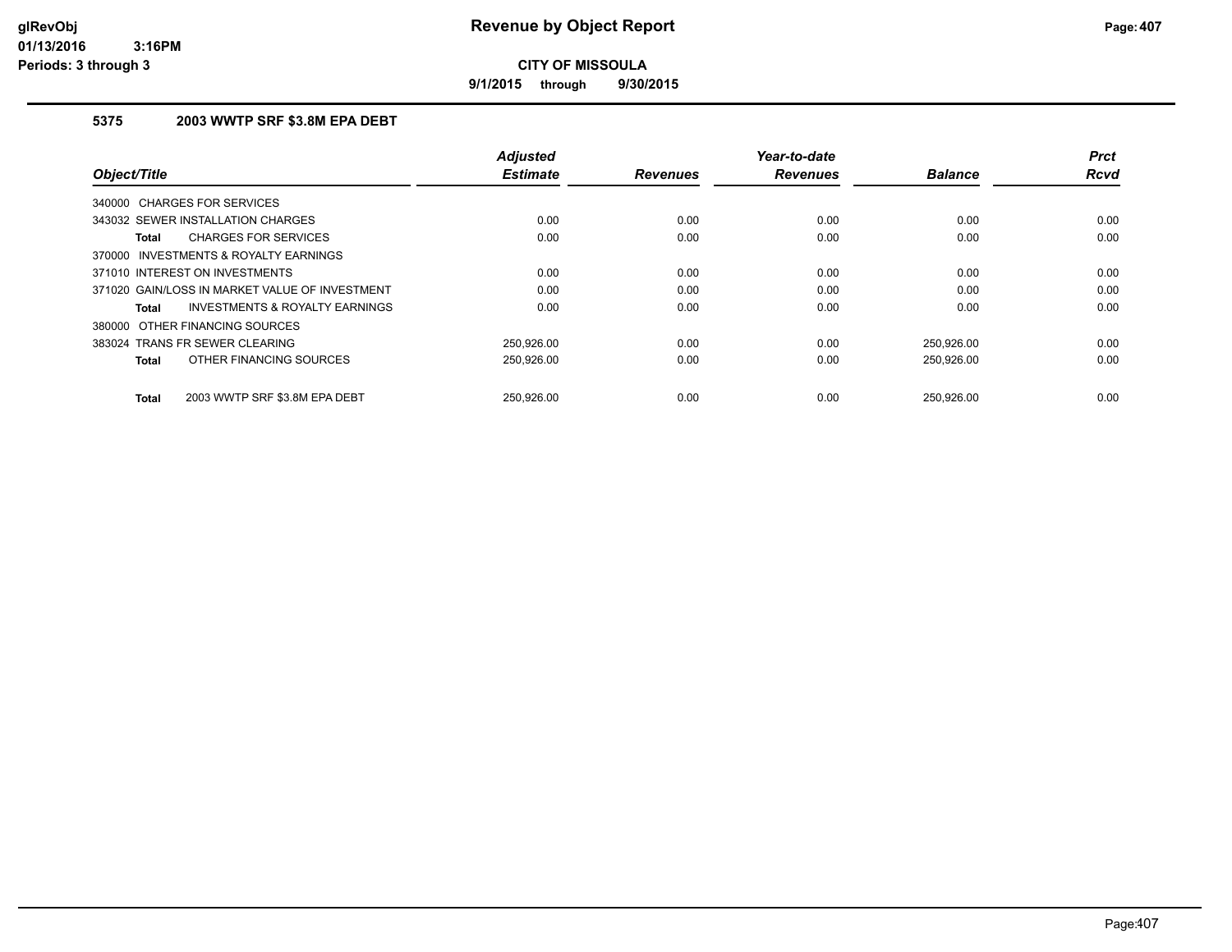**9/1/2015 through 9/30/2015**

## **5375 2003 WWTP SRF \$3.8M EPA DEBT**

| Object/Title                                   | <b>Adjusted</b><br><b>Estimate</b> | <b>Revenues</b> | Year-to-date<br><b>Revenues</b> | <b>Balance</b> | <b>Prct</b><br><b>Rcvd</b> |
|------------------------------------------------|------------------------------------|-----------------|---------------------------------|----------------|----------------------------|
|                                                |                                    |                 |                                 |                |                            |
| <b>CHARGES FOR SERVICES</b><br>340000          |                                    |                 |                                 |                |                            |
| 343032 SEWER INSTALLATION CHARGES              | 0.00                               | 0.00            | 0.00                            | 0.00           | 0.00                       |
| <b>CHARGES FOR SERVICES</b><br>Total           | 0.00                               | 0.00            | 0.00                            | 0.00           | 0.00                       |
| 370000 INVESTMENTS & ROYALTY EARNINGS          |                                    |                 |                                 |                |                            |
| 371010 INTEREST ON INVESTMENTS                 | 0.00                               | 0.00            | 0.00                            | 0.00           | 0.00                       |
| 371020 GAIN/LOSS IN MARKET VALUE OF INVESTMENT | 0.00                               | 0.00            | 0.00                            | 0.00           | 0.00                       |
| INVESTMENTS & ROYALTY EARNINGS<br>Total        | 0.00                               | 0.00            | 0.00                            | 0.00           | 0.00                       |
| 380000 OTHER FINANCING SOURCES                 |                                    |                 |                                 |                |                            |
| 383024 TRANS FR SEWER CLEARING                 | 250.926.00                         | 0.00            | 0.00                            | 250,926.00     | 0.00                       |
| OTHER FINANCING SOURCES<br>Total               | 250,926.00                         | 0.00            | 0.00                            | 250,926.00     | 0.00                       |
| 2003 WWTP SRF \$3.8M EPA DEBT<br>Total         | 250.926.00                         | 0.00            | 0.00                            | 250.926.00     | 0.00                       |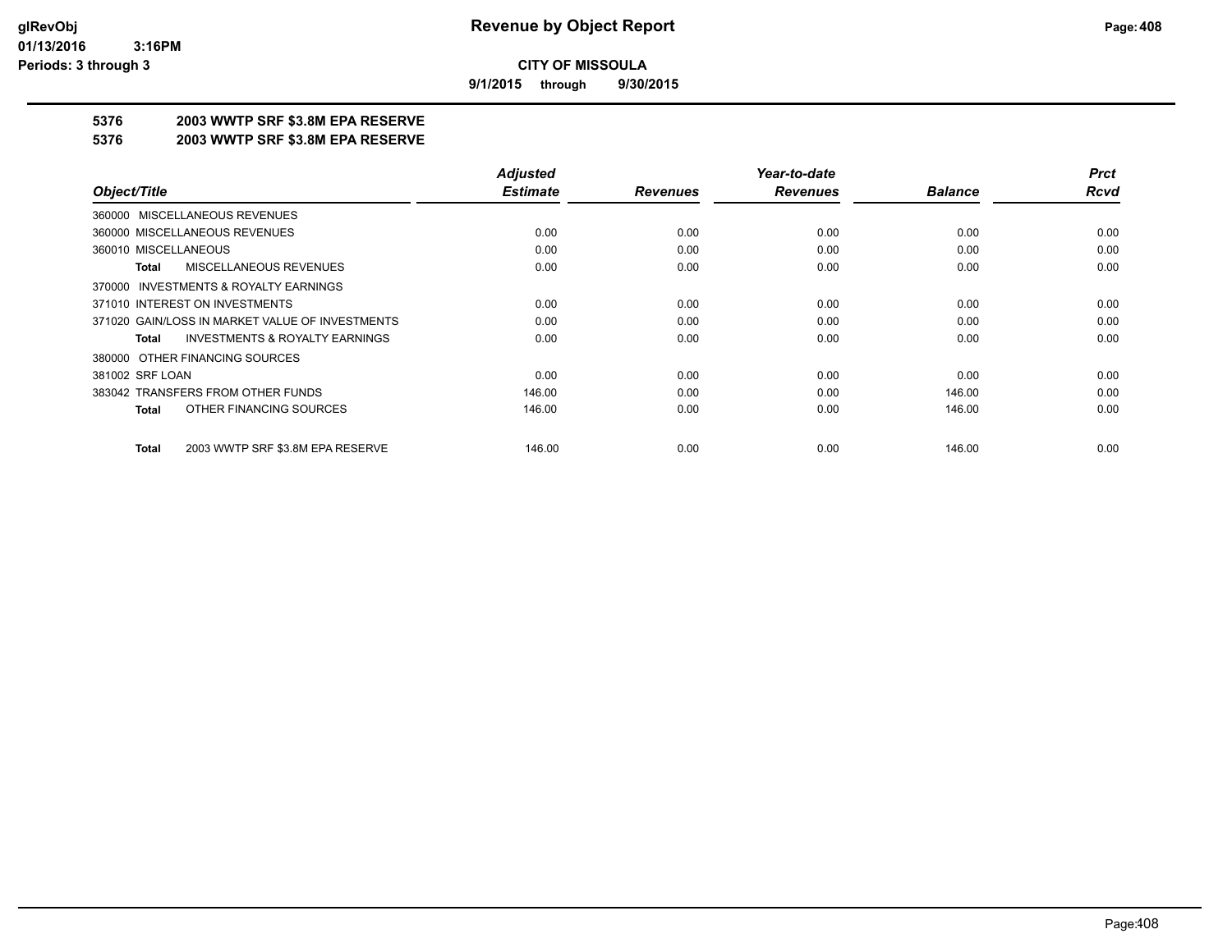**9/1/2015 through 9/30/2015**

# **5376 2003 WWTP SRF \$3.8M EPA RESERVE**

#### **5376 2003 WWTP SRF \$3.8M EPA RESERVE**

|                                                    | <b>Adjusted</b> |                 | Year-to-date    |                | <b>Prct</b> |
|----------------------------------------------------|-----------------|-----------------|-----------------|----------------|-------------|
| Object/Title                                       | <b>Estimate</b> | <b>Revenues</b> | <b>Revenues</b> | <b>Balance</b> | <b>Rcvd</b> |
| MISCELLANEOUS REVENUES<br>360000                   |                 |                 |                 |                |             |
| 360000 MISCELLANEOUS REVENUES                      | 0.00            | 0.00            | 0.00            | 0.00           | 0.00        |
| 360010 MISCELLANEOUS                               | 0.00            | 0.00            | 0.00            | 0.00           | 0.00        |
| MISCELLANEOUS REVENUES<br><b>Total</b>             | 0.00            | 0.00            | 0.00            | 0.00           | 0.00        |
| INVESTMENTS & ROYALTY EARNINGS<br>370000           |                 |                 |                 |                |             |
| 371010 INTEREST ON INVESTMENTS                     | 0.00            | 0.00            | 0.00            | 0.00           | 0.00        |
| 371020 GAIN/LOSS IN MARKET VALUE OF INVESTMENTS    | 0.00            | 0.00            | 0.00            | 0.00           | 0.00        |
| <b>INVESTMENTS &amp; ROYALTY EARNINGS</b><br>Total | 0.00            | 0.00            | 0.00            | 0.00           | 0.00        |
| 380000 OTHER FINANCING SOURCES                     |                 |                 |                 |                |             |
| 381002 SRF LOAN                                    | 0.00            | 0.00            | 0.00            | 0.00           | 0.00        |
| 383042 TRANSFERS FROM OTHER FUNDS                  | 146.00          | 0.00            | 0.00            | 146.00         | 0.00        |
| OTHER FINANCING SOURCES<br><b>Total</b>            | 146.00          | 0.00            | 0.00            | 146.00         | 0.00        |
| 2003 WWTP SRF \$3.8M EPA RESERVE<br><b>Total</b>   | 146.00          | 0.00            | 0.00            | 146.00         | 0.00        |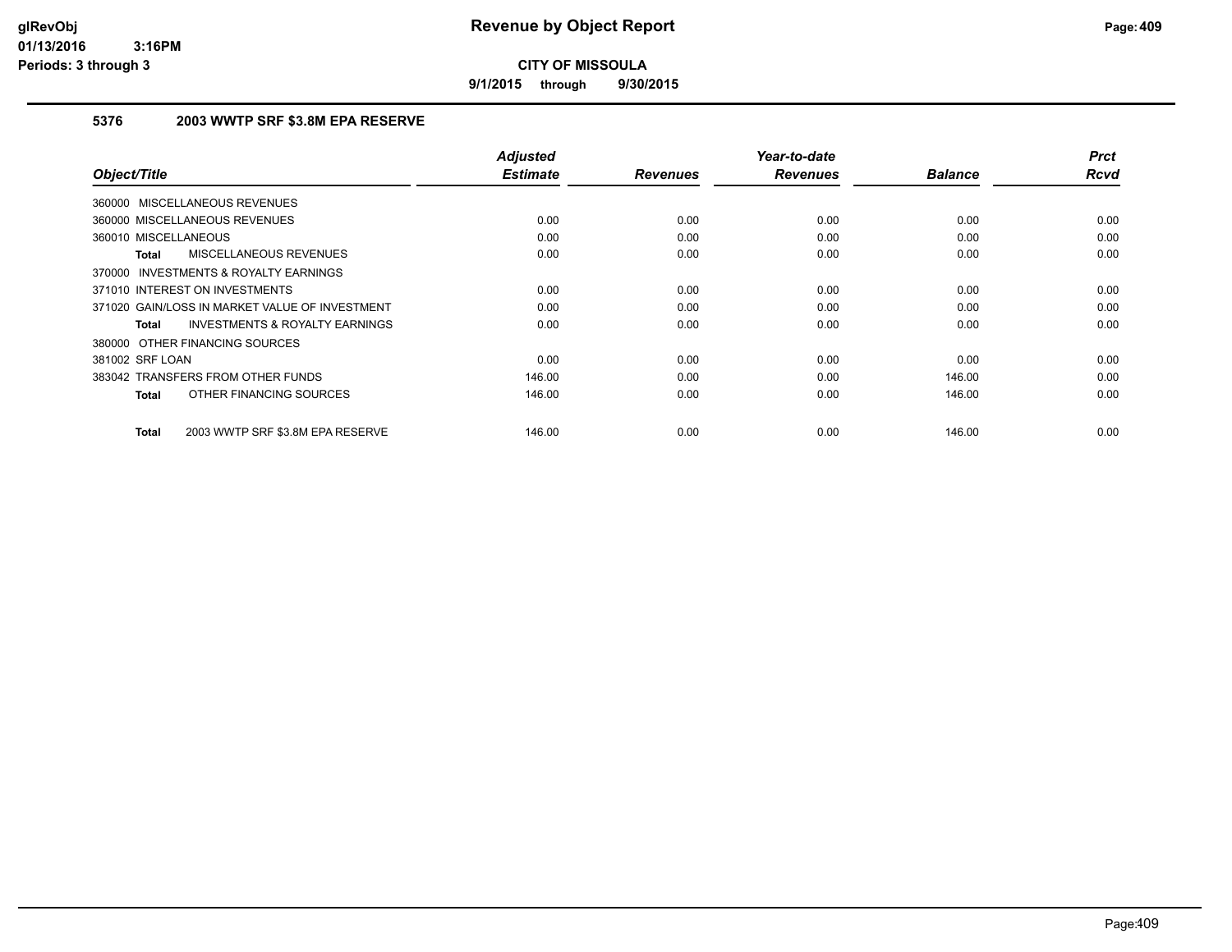**9/1/2015 through 9/30/2015**

## **5376 2003 WWTP SRF \$3.8M EPA RESERVE**

|                                                           | <b>Adjusted</b> |                 | Year-to-date    |                | <b>Prct</b> |
|-----------------------------------------------------------|-----------------|-----------------|-----------------|----------------|-------------|
| Object/Title                                              | <b>Estimate</b> | <b>Revenues</b> | <b>Revenues</b> | <b>Balance</b> | <b>Rcvd</b> |
| 360000 MISCELLANEOUS REVENUES                             |                 |                 |                 |                |             |
| 360000 MISCELLANEOUS REVENUES                             | 0.00            | 0.00            | 0.00            | 0.00           | 0.00        |
| 360010 MISCELLANEOUS                                      | 0.00            | 0.00            | 0.00            | 0.00           | 0.00        |
| <b>MISCELLANEOUS REVENUES</b><br><b>Total</b>             | 0.00            | 0.00            | 0.00            | 0.00           | 0.00        |
| 370000 INVESTMENTS & ROYALTY EARNINGS                     |                 |                 |                 |                |             |
| 371010 INTEREST ON INVESTMENTS                            | 0.00            | 0.00            | 0.00            | 0.00           | 0.00        |
| 371020 GAIN/LOSS IN MARKET VALUE OF INVESTMENT            | 0.00            | 0.00            | 0.00            | 0.00           | 0.00        |
| <b>INVESTMENTS &amp; ROYALTY EARNINGS</b><br><b>Total</b> | 0.00            | 0.00            | 0.00            | 0.00           | 0.00        |
| 380000 OTHER FINANCING SOURCES                            |                 |                 |                 |                |             |
| 381002 SRF LOAN                                           | 0.00            | 0.00            | 0.00            | 0.00           | 0.00        |
| 383042 TRANSFERS FROM OTHER FUNDS                         | 146.00          | 0.00            | 0.00            | 146.00         | 0.00        |
| OTHER FINANCING SOURCES<br><b>Total</b>                   | 146.00          | 0.00            | 0.00            | 146.00         | 0.00        |
| 2003 WWTP SRF \$3.8M EPA RESERVE<br><b>Total</b>          | 146.00          | 0.00            | 0.00            | 146.00         | 0.00        |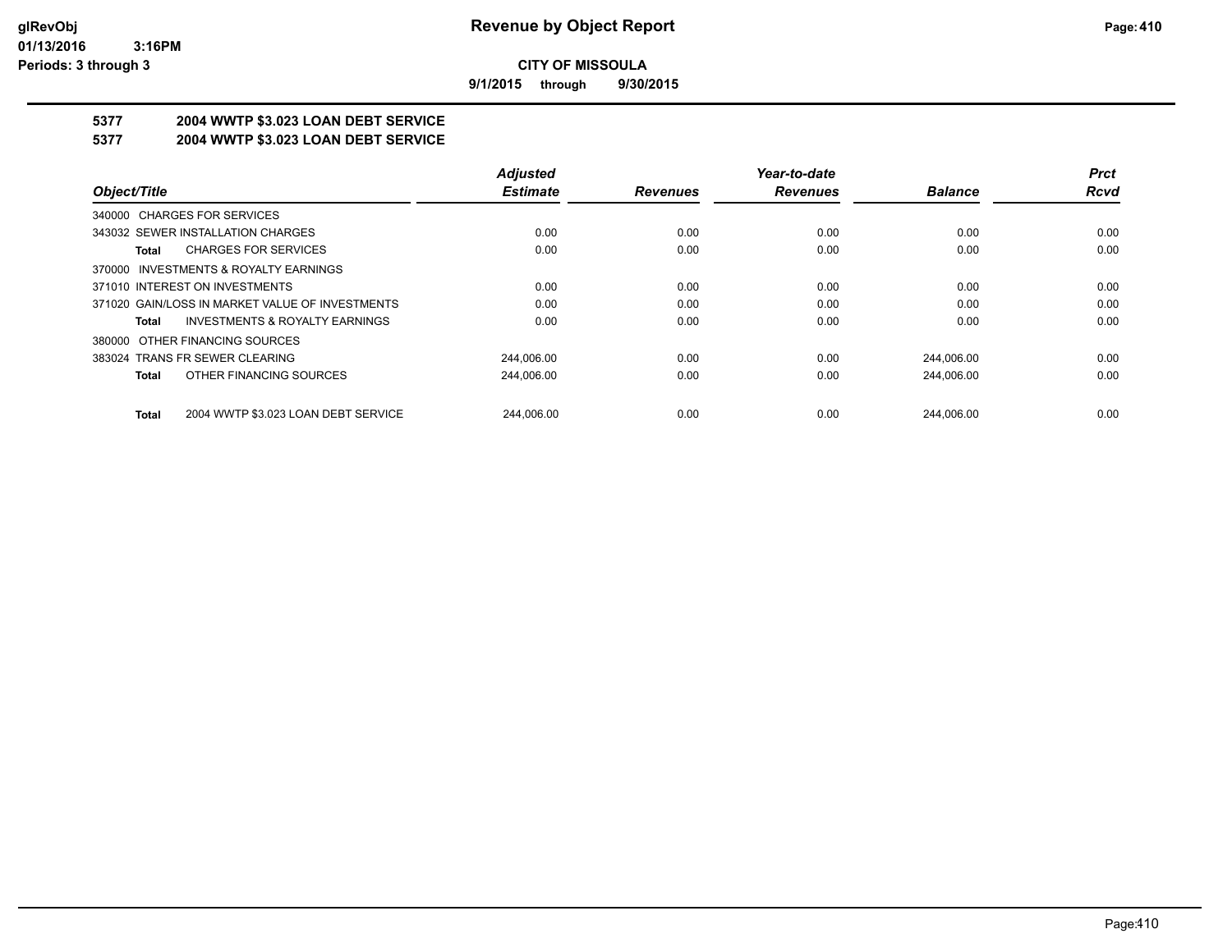**9/1/2015 through 9/30/2015**

# **5377 2004 WWTP \$3.023 LOAN DEBT SERVICE**

## **5377 2004 WWTP \$3.023 LOAN DEBT SERVICE**

|                                                     | <b>Adjusted</b> |                 | Year-to-date    |                | <b>Prct</b> |
|-----------------------------------------------------|-----------------|-----------------|-----------------|----------------|-------------|
| Object/Title                                        | <b>Estimate</b> | <b>Revenues</b> | <b>Revenues</b> | <b>Balance</b> | Rcvd        |
| 340000 CHARGES FOR SERVICES                         |                 |                 |                 |                |             |
| 343032 SEWER INSTALLATION CHARGES                   | 0.00            | 0.00            | 0.00            | 0.00           | 0.00        |
| <b>CHARGES FOR SERVICES</b><br>Total                | 0.00            | 0.00            | 0.00            | 0.00           | 0.00        |
| INVESTMENTS & ROYALTY EARNINGS<br>370000            |                 |                 |                 |                |             |
| 371010 INTEREST ON INVESTMENTS                      | 0.00            | 0.00            | 0.00            | 0.00           | 0.00        |
| 371020 GAIN/LOSS IN MARKET VALUE OF INVESTMENTS     | 0.00            | 0.00            | 0.00            | 0.00           | 0.00        |
| <b>INVESTMENTS &amp; ROYALTY EARNINGS</b><br>Total  | 0.00            | 0.00            | 0.00            | 0.00           | 0.00        |
| OTHER FINANCING SOURCES<br>380000                   |                 |                 |                 |                |             |
| 383024 TRANS FR SEWER CLEARING                      | 244.006.00      | 0.00            | 0.00            | 244.006.00     | 0.00        |
| OTHER FINANCING SOURCES<br><b>Total</b>             | 244,006.00      | 0.00            | 0.00            | 244,006.00     | 0.00        |
| 2004 WWTP \$3.023 LOAN DEBT SERVICE<br><b>Total</b> | 244.006.00      | 0.00            | 0.00            | 244.006.00     | 0.00        |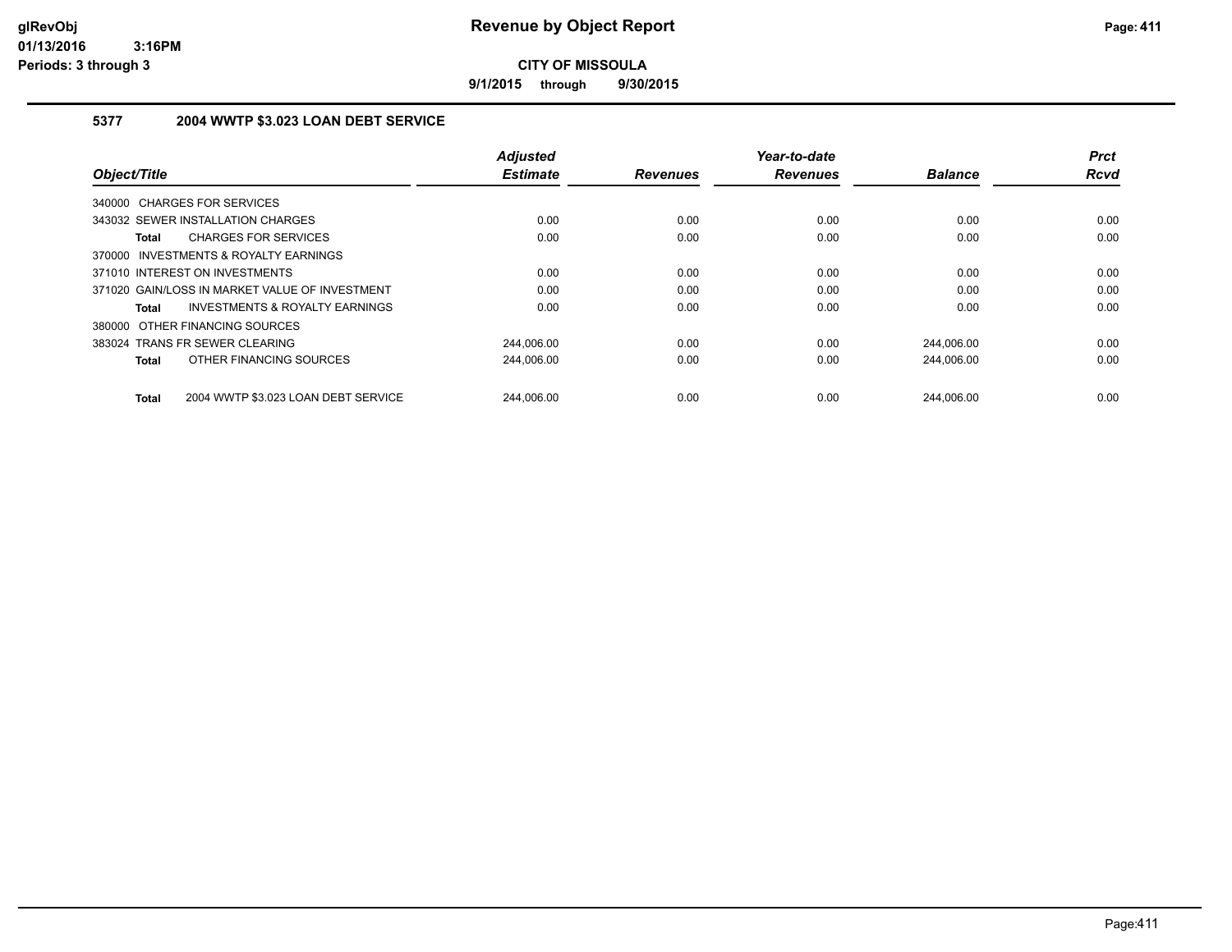**9/1/2015 through 9/30/2015**

## **5377 2004 WWTP \$3.023 LOAN DEBT SERVICE**

|                                                           | <b>Adjusted</b> |                 | Year-to-date    |                | <b>Prct</b> |
|-----------------------------------------------------------|-----------------|-----------------|-----------------|----------------|-------------|
| Object/Title                                              | <b>Estimate</b> | <b>Revenues</b> | <b>Revenues</b> | <b>Balance</b> | Rcvd        |
| 340000 CHARGES FOR SERVICES                               |                 |                 |                 |                |             |
| 343032 SEWER INSTALLATION CHARGES                         | 0.00            | 0.00            | 0.00            | 0.00           | 0.00        |
| <b>CHARGES FOR SERVICES</b><br><b>Total</b>               | 0.00            | 0.00            | 0.00            | 0.00           | 0.00        |
| 370000 INVESTMENTS & ROYALTY EARNINGS                     |                 |                 |                 |                |             |
| 371010 INTEREST ON INVESTMENTS                            | 0.00            | 0.00            | 0.00            | 0.00           | 0.00        |
| 371020 GAIN/LOSS IN MARKET VALUE OF INVESTMENT            | 0.00            | 0.00            | 0.00            | 0.00           | 0.00        |
| <b>INVESTMENTS &amp; ROYALTY EARNINGS</b><br><b>Total</b> | 0.00            | 0.00            | 0.00            | 0.00           | 0.00        |
| 380000 OTHER FINANCING SOURCES                            |                 |                 |                 |                |             |
| 383024 TRANS FR SEWER CLEARING                            | 244.006.00      | 0.00            | 0.00            | 244,006.00     | 0.00        |
| OTHER FINANCING SOURCES<br><b>Total</b>                   | 244,006.00      | 0.00            | 0.00            | 244.006.00     | 0.00        |
| 2004 WWTP \$3.023 LOAN DEBT SERVICE<br><b>Total</b>       | 244.006.00      | 0.00            | 0.00            | 244.006.00     | 0.00        |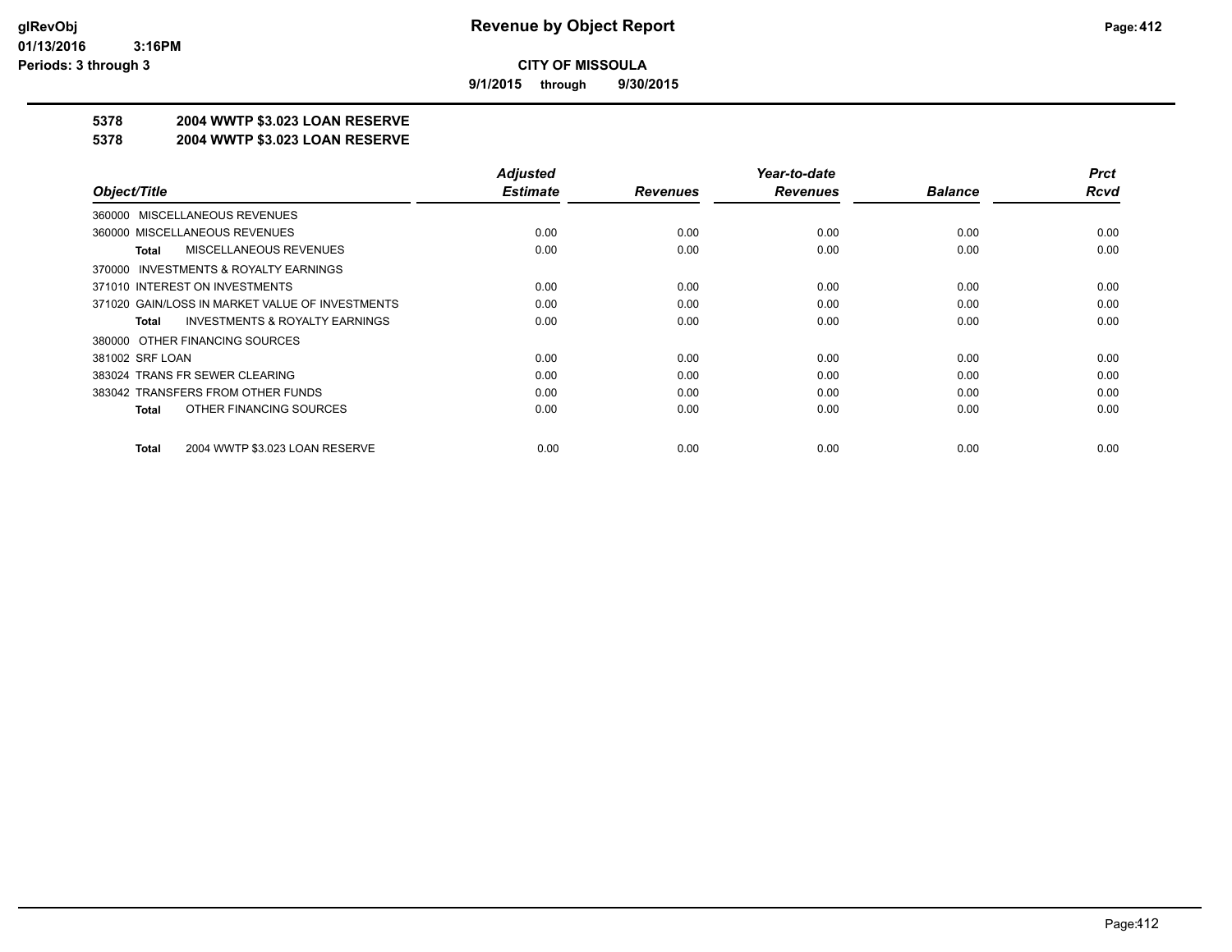**9/1/2015 through 9/30/2015**

## **5378 2004 WWTP \$3.023 LOAN RESERVE**

#### **5378 2004 WWTP \$3.023 LOAN RESERVE**

|                                                    | <b>Adjusted</b> |                 | Year-to-date    |                | <b>Prct</b> |
|----------------------------------------------------|-----------------|-----------------|-----------------|----------------|-------------|
| Object/Title                                       | <b>Estimate</b> | <b>Revenues</b> | <b>Revenues</b> | <b>Balance</b> | <b>Rcvd</b> |
| 360000 MISCELLANEOUS REVENUES                      |                 |                 |                 |                |             |
| 360000 MISCELLANEOUS REVENUES                      | 0.00            | 0.00            | 0.00            | 0.00           | 0.00        |
| MISCELLANEOUS REVENUES<br>Total                    | 0.00            | 0.00            | 0.00            | 0.00           | 0.00        |
| 370000 INVESTMENTS & ROYALTY EARNINGS              |                 |                 |                 |                |             |
| 371010 INTEREST ON INVESTMENTS                     | 0.00            | 0.00            | 0.00            | 0.00           | 0.00        |
| 371020 GAIN/LOSS IN MARKET VALUE OF INVESTMENTS    | 0.00            | 0.00            | 0.00            | 0.00           | 0.00        |
| <b>INVESTMENTS &amp; ROYALTY EARNINGS</b><br>Total | 0.00            | 0.00            | 0.00            | 0.00           | 0.00        |
| 380000 OTHER FINANCING SOURCES                     |                 |                 |                 |                |             |
| 381002 SRF LOAN                                    | 0.00            | 0.00            | 0.00            | 0.00           | 0.00        |
| 383024 TRANS FR SEWER CLEARING                     | 0.00            | 0.00            | 0.00            | 0.00           | 0.00        |
| 383042 TRANSFERS FROM OTHER FUNDS                  | 0.00            | 0.00            | 0.00            | 0.00           | 0.00        |
| OTHER FINANCING SOURCES<br>Total                   | 0.00            | 0.00            | 0.00            | 0.00           | 0.00        |
|                                                    |                 |                 |                 |                |             |
| 2004 WWTP \$3.023 LOAN RESERVE<br>Total            | 0.00            | 0.00            | 0.00            | 0.00           | 0.00        |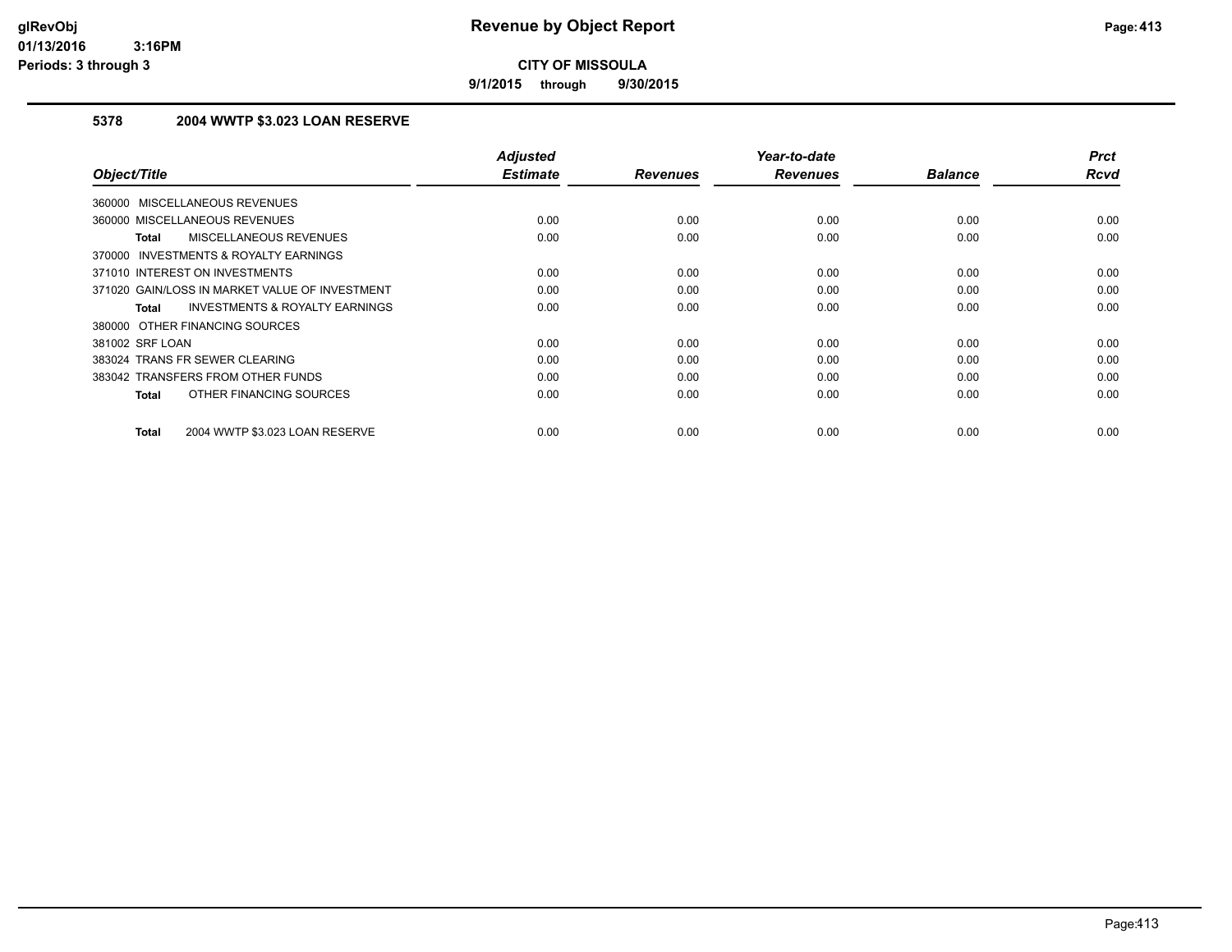**9/1/2015 through 9/30/2015**

## **5378 2004 WWTP \$3.023 LOAN RESERVE**

| Object/Title                                       | <b>Adjusted</b><br><b>Estimate</b> | <b>Revenues</b> | Year-to-date<br><b>Revenues</b> | <b>Balance</b> | <b>Prct</b><br><b>Rcvd</b> |
|----------------------------------------------------|------------------------------------|-----------------|---------------------------------|----------------|----------------------------|
|                                                    |                                    |                 |                                 |                |                            |
| <b>MISCELLANEOUS REVENUES</b><br>360000            |                                    |                 |                                 |                |                            |
| 360000 MISCELLANEOUS REVENUES                      | 0.00                               | 0.00            | 0.00                            | 0.00           | 0.00                       |
| MISCELLANEOUS REVENUES<br><b>Total</b>             | 0.00                               | 0.00            | 0.00                            | 0.00           | 0.00                       |
| INVESTMENTS & ROYALTY EARNINGS<br>370000           |                                    |                 |                                 |                |                            |
| 371010 INTEREST ON INVESTMENTS                     | 0.00                               | 0.00            | 0.00                            | 0.00           | 0.00                       |
| 371020 GAIN/LOSS IN MARKET VALUE OF INVESTMENT     | 0.00                               | 0.00            | 0.00                            | 0.00           | 0.00                       |
| <b>INVESTMENTS &amp; ROYALTY EARNINGS</b><br>Total | 0.00                               | 0.00            | 0.00                            | 0.00           | 0.00                       |
| 380000 OTHER FINANCING SOURCES                     |                                    |                 |                                 |                |                            |
| 381002 SRF LOAN                                    | 0.00                               | 0.00            | 0.00                            | 0.00           | 0.00                       |
| 383024 TRANS FR SEWER CLEARING                     | 0.00                               | 0.00            | 0.00                            | 0.00           | 0.00                       |
| 383042 TRANSFERS FROM OTHER FUNDS                  | 0.00                               | 0.00            | 0.00                            | 0.00           | 0.00                       |
| OTHER FINANCING SOURCES<br><b>Total</b>            | 0.00                               | 0.00            | 0.00                            | 0.00           | 0.00                       |
| 2004 WWTP \$3.023 LOAN RESERVE<br><b>Total</b>     | 0.00                               | 0.00            | 0.00                            | 0.00           | 0.00                       |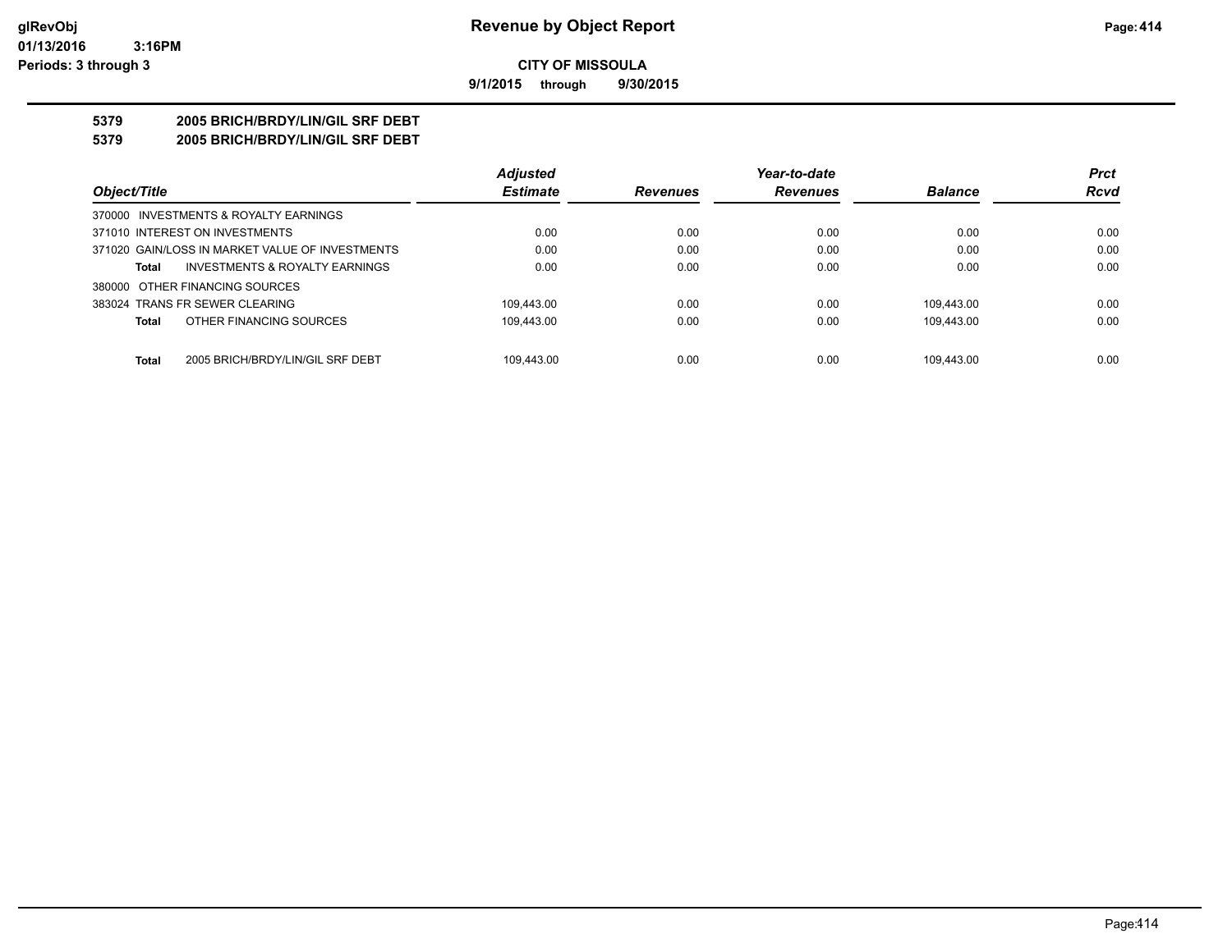**9/1/2015 through 9/30/2015**

# **5379 2005 BRICH/BRDY/LIN/GIL SRF DEBT**

**5379 2005 BRICH/BRDY/LIN/GIL SRF DEBT**

|                                                  | <b>Adjusted</b> |                 | Year-to-date    |                | <b>Prct</b> |
|--------------------------------------------------|-----------------|-----------------|-----------------|----------------|-------------|
| Object/Title                                     | <b>Estimate</b> | <b>Revenues</b> | <b>Revenues</b> | <b>Balance</b> | <b>Rcvd</b> |
| 370000 INVESTMENTS & ROYALTY EARNINGS            |                 |                 |                 |                |             |
| 371010 INTEREST ON INVESTMENTS                   | 0.00            | 0.00            | 0.00            | 0.00           | 0.00        |
| 371020 GAIN/LOSS IN MARKET VALUE OF INVESTMENTS  | 0.00            | 0.00            | 0.00            | 0.00           | 0.00        |
| INVESTMENTS & ROYALTY EARNINGS<br><b>Total</b>   | 0.00            | 0.00            | 0.00            | 0.00           | 0.00        |
| 380000 OTHER FINANCING SOURCES                   |                 |                 |                 |                |             |
| 383024 TRANS FR SEWER CLEARING                   | 109.443.00      | 0.00            | 0.00            | 109.443.00     | 0.00        |
| OTHER FINANCING SOURCES<br><b>Total</b>          | 109.443.00      | 0.00            | 0.00            | 109.443.00     | 0.00        |
| <b>Total</b><br>2005 BRICH/BRDY/LIN/GIL SRF DEBT | 109.443.00      | 0.00            | 0.00            | 109.443.00     | 0.00        |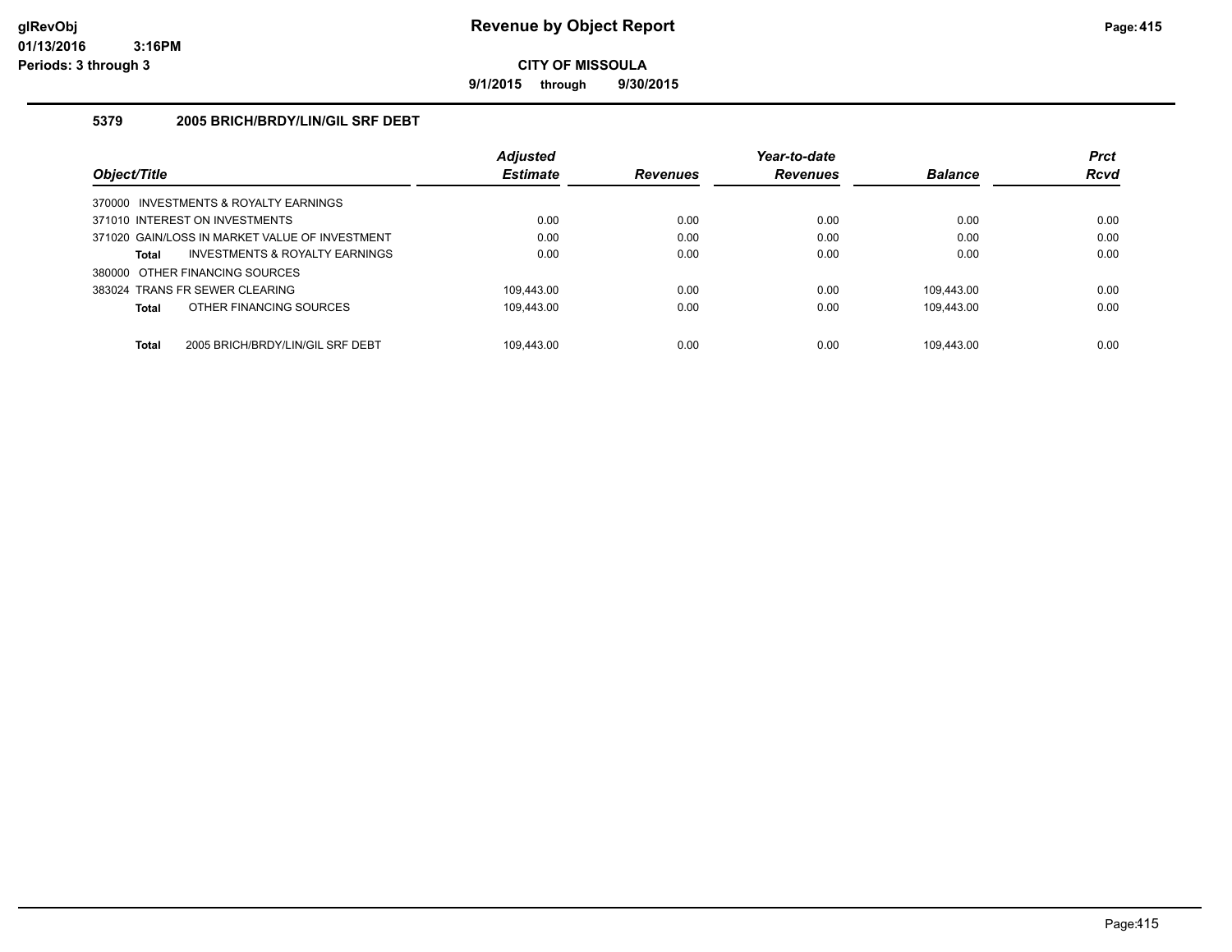**9/1/2015 through 9/30/2015**

### **5379 2005 BRICH/BRDY/LIN/GIL SRF DEBT**

|                                                  | <b>Adjusted</b> |                 | Year-to-date    |                | <b>Prct</b> |
|--------------------------------------------------|-----------------|-----------------|-----------------|----------------|-------------|
| Object/Title                                     | <b>Estimate</b> | <b>Revenues</b> | <b>Revenues</b> | <b>Balance</b> | <b>Rcvd</b> |
| 370000 INVESTMENTS & ROYALTY EARNINGS            |                 |                 |                 |                |             |
| 371010 INTEREST ON INVESTMENTS                   | 0.00            | 0.00            | 0.00            | 0.00           | 0.00        |
| 371020 GAIN/LOSS IN MARKET VALUE OF INVESTMENT   | 0.00            | 0.00            | 0.00            | 0.00           | 0.00        |
| INVESTMENTS & ROYALTY EARNINGS<br><b>Total</b>   | 0.00            | 0.00            | 0.00            | 0.00           | 0.00        |
| 380000 OTHER FINANCING SOURCES                   |                 |                 |                 |                |             |
| 383024 TRANS FR SEWER CLEARING                   | 109.443.00      | 0.00            | 0.00            | 109.443.00     | 0.00        |
| OTHER FINANCING SOURCES<br><b>Total</b>          | 109.443.00      | 0.00            | 0.00            | 109.443.00     | 0.00        |
|                                                  |                 |                 |                 |                |             |
| <b>Total</b><br>2005 BRICH/BRDY/LIN/GIL SRF DEBT | 109.443.00      | 0.00            | 0.00            | 109.443.00     | 0.00        |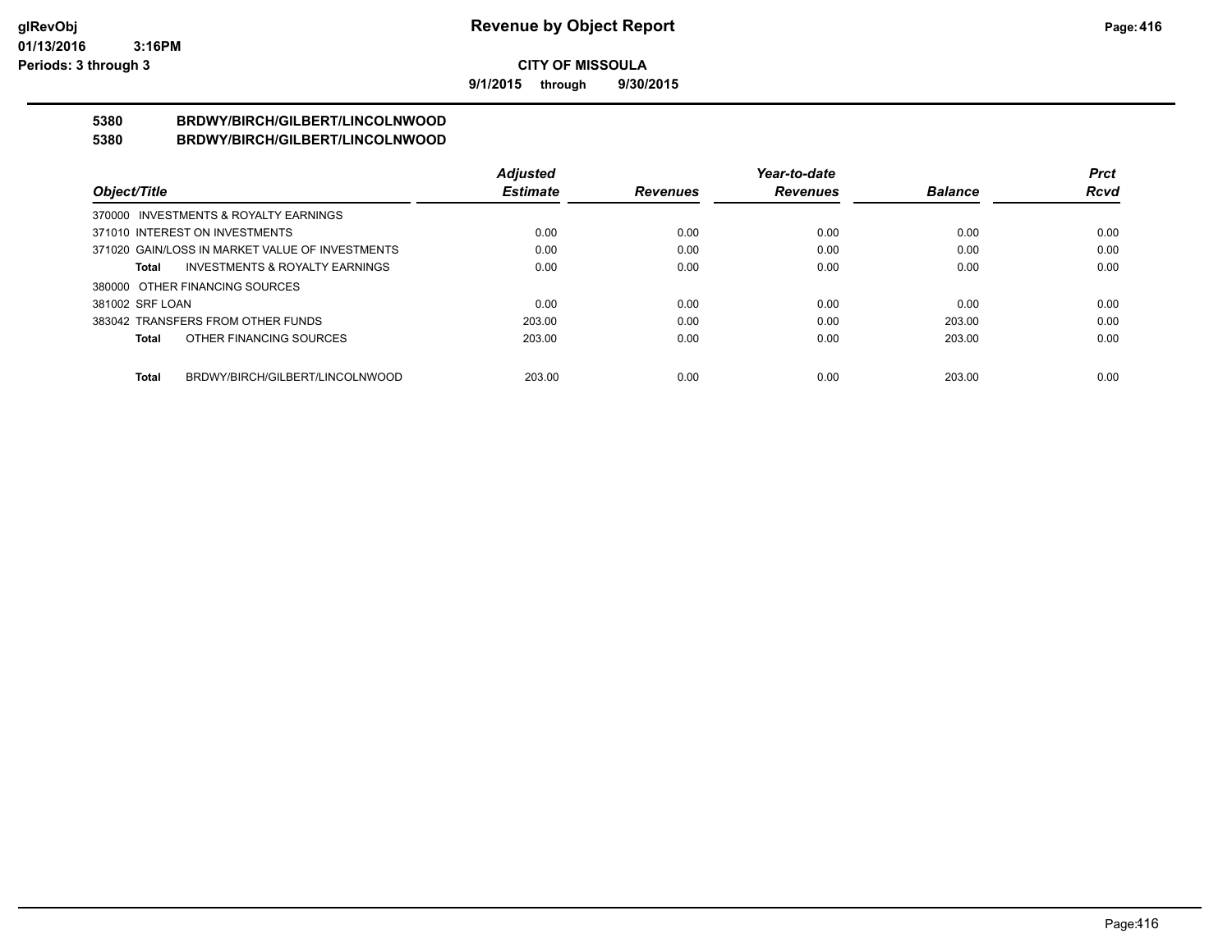**9/1/2015 through 9/30/2015**

#### **5380 BRDWY/BIRCH/GILBERT/LINCOLNWOOD 5380 BRDWY/BIRCH/GILBERT/LINCOLNWOOD**

|                                                    | <b>Adjusted</b> |                 | Year-to-date    |                | <b>Prct</b> |
|----------------------------------------------------|-----------------|-----------------|-----------------|----------------|-------------|
| Object/Title                                       | <b>Estimate</b> | <b>Revenues</b> | <b>Revenues</b> | <b>Balance</b> | <b>Rcvd</b> |
| 370000 INVESTMENTS & ROYALTY EARNINGS              |                 |                 |                 |                |             |
| 371010 INTEREST ON INVESTMENTS                     | 0.00            | 0.00            | 0.00            | 0.00           | 0.00        |
| 371020 GAIN/LOSS IN MARKET VALUE OF INVESTMENTS    | 0.00            | 0.00            | 0.00            | 0.00           | 0.00        |
| <b>INVESTMENTS &amp; ROYALTY EARNINGS</b><br>Total | 0.00            | 0.00            | 0.00            | 0.00           | 0.00        |
| 380000 OTHER FINANCING SOURCES                     |                 |                 |                 |                |             |
| 381002 SRF LOAN                                    | 0.00            | 0.00            | 0.00            | 0.00           | 0.00        |
| 383042 TRANSFERS FROM OTHER FUNDS                  | 203.00          | 0.00            | 0.00            | 203.00         | 0.00        |
| OTHER FINANCING SOURCES<br>Total                   | 203.00          | 0.00            | 0.00            | 203.00         | 0.00        |
|                                                    |                 |                 |                 |                |             |
| BRDWY/BIRCH/GILBERT/LINCOLNWOOD<br><b>Total</b>    | 203.00          | 0.00            | 0.00            | 203.00         | 0.00        |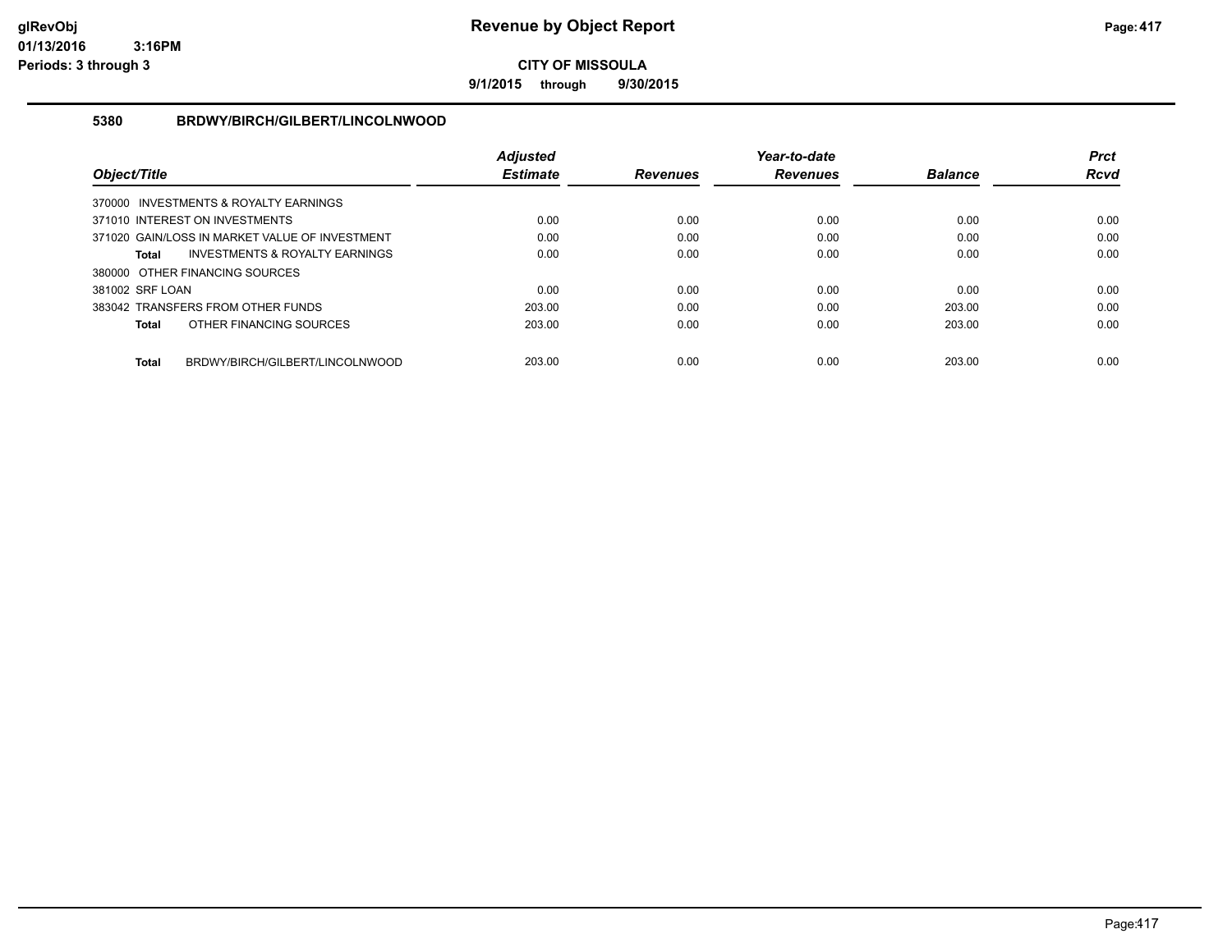**9/1/2015 through 9/30/2015**

#### **5380 BRDWY/BIRCH/GILBERT/LINCOLNWOOD**

|                 |                                                | <b>Adjusted</b> |                 | Year-to-date    |                | <b>Prct</b> |
|-----------------|------------------------------------------------|-----------------|-----------------|-----------------|----------------|-------------|
| Object/Title    |                                                | <b>Estimate</b> | <b>Revenues</b> | <b>Revenues</b> | <b>Balance</b> | Rcvd        |
|                 | 370000 INVESTMENTS & ROYALTY EARNINGS          |                 |                 |                 |                |             |
|                 | 371010 INTEREST ON INVESTMENTS                 | 0.00            | 0.00            | 0.00            | 0.00           | 0.00        |
|                 | 371020 GAIN/LOSS IN MARKET VALUE OF INVESTMENT | 0.00            | 0.00            | 0.00            | 0.00           | 0.00        |
| Total           | INVESTMENTS & ROYALTY EARNINGS                 | 0.00            | 0.00            | 0.00            | 0.00           | 0.00        |
|                 | 380000 OTHER FINANCING SOURCES                 |                 |                 |                 |                |             |
| 381002 SRF LOAN |                                                | 0.00            | 0.00            | 0.00            | 0.00           | 0.00        |
|                 | 383042 TRANSFERS FROM OTHER FUNDS              | 203.00          | 0.00            | 0.00            | 203.00         | 0.00        |
| <b>Total</b>    | OTHER FINANCING SOURCES                        | 203.00          | 0.00            | 0.00            | 203.00         | 0.00        |
| <b>Total</b>    | BRDWY/BIRCH/GILBERT/LINCOLNWOOD                | 203.00          | 0.00            | 0.00            | 203.00         | 0.00        |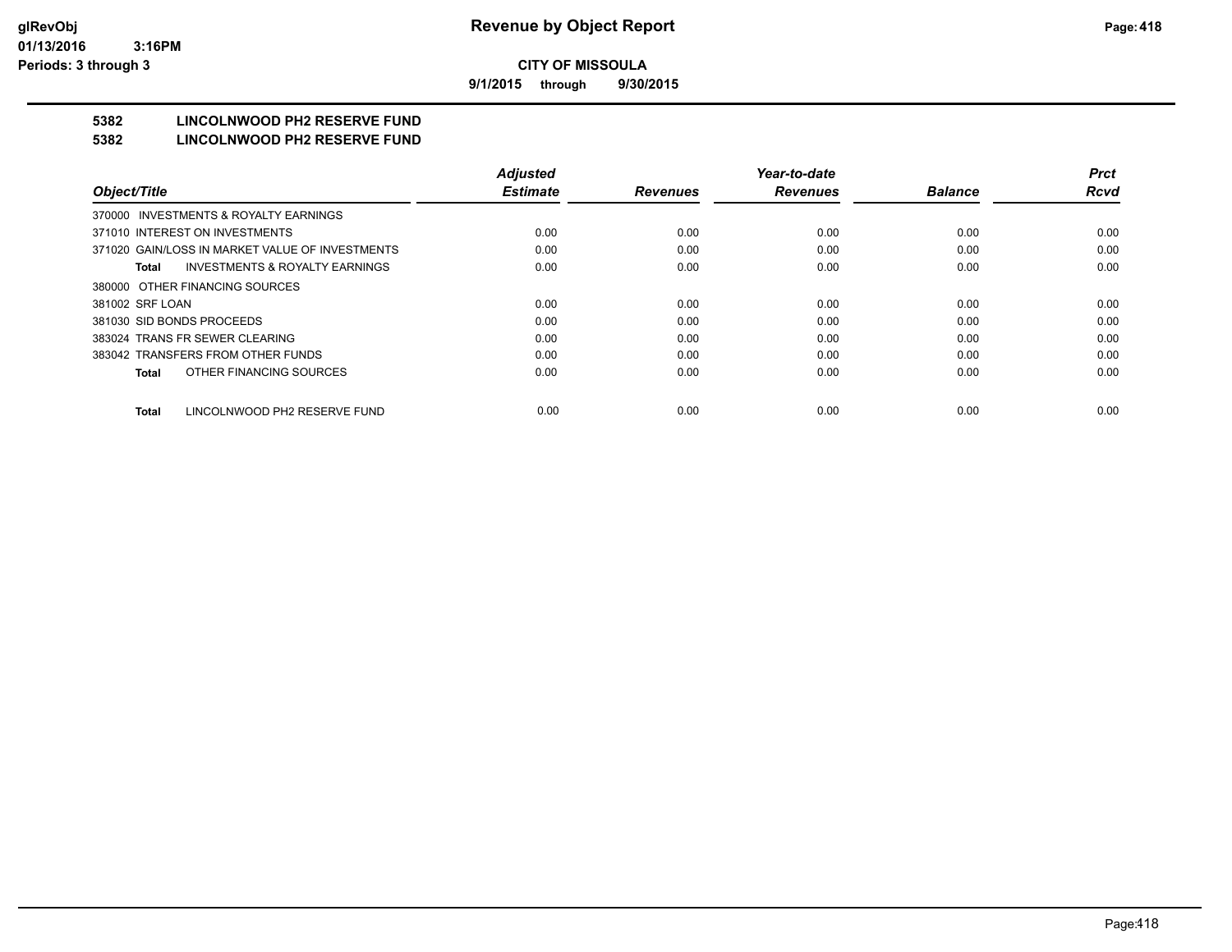**9/1/2015 through 9/30/2015**

# **5382 LINCOLNWOOD PH2 RESERVE FUND**

#### **5382 LINCOLNWOOD PH2 RESERVE FUND**

|                                                    | <b>Adjusted</b> |                 | Year-to-date    |                | <b>Prct</b> |
|----------------------------------------------------|-----------------|-----------------|-----------------|----------------|-------------|
| Object/Title                                       | <b>Estimate</b> | <b>Revenues</b> | <b>Revenues</b> | <b>Balance</b> | <b>Rcvd</b> |
| 370000 INVESTMENTS & ROYALTY EARNINGS              |                 |                 |                 |                |             |
| 371010 INTEREST ON INVESTMENTS                     | 0.00            | 0.00            | 0.00            | 0.00           | 0.00        |
| 371020 GAIN/LOSS IN MARKET VALUE OF INVESTMENTS    | 0.00            | 0.00            | 0.00            | 0.00           | 0.00        |
| <b>INVESTMENTS &amp; ROYALTY EARNINGS</b><br>Total | 0.00            | 0.00            | 0.00            | 0.00           | 0.00        |
| 380000 OTHER FINANCING SOURCES                     |                 |                 |                 |                |             |
| 381002 SRF LOAN                                    | 0.00            | 0.00            | 0.00            | 0.00           | 0.00        |
| 381030 SID BONDS PROCEEDS                          | 0.00            | 0.00            | 0.00            | 0.00           | 0.00        |
| 383024 TRANS FR SEWER CLEARING                     | 0.00            | 0.00            | 0.00            | 0.00           | 0.00        |
| 383042 TRANSFERS FROM OTHER FUNDS                  | 0.00            | 0.00            | 0.00            | 0.00           | 0.00        |
| OTHER FINANCING SOURCES<br><b>Total</b>            | 0.00            | 0.00            | 0.00            | 0.00           | 0.00        |
| LINCOLNWOOD PH2 RESERVE FUND<br><b>Total</b>       | 0.00            | 0.00            | 0.00            | 0.00           | 0.00        |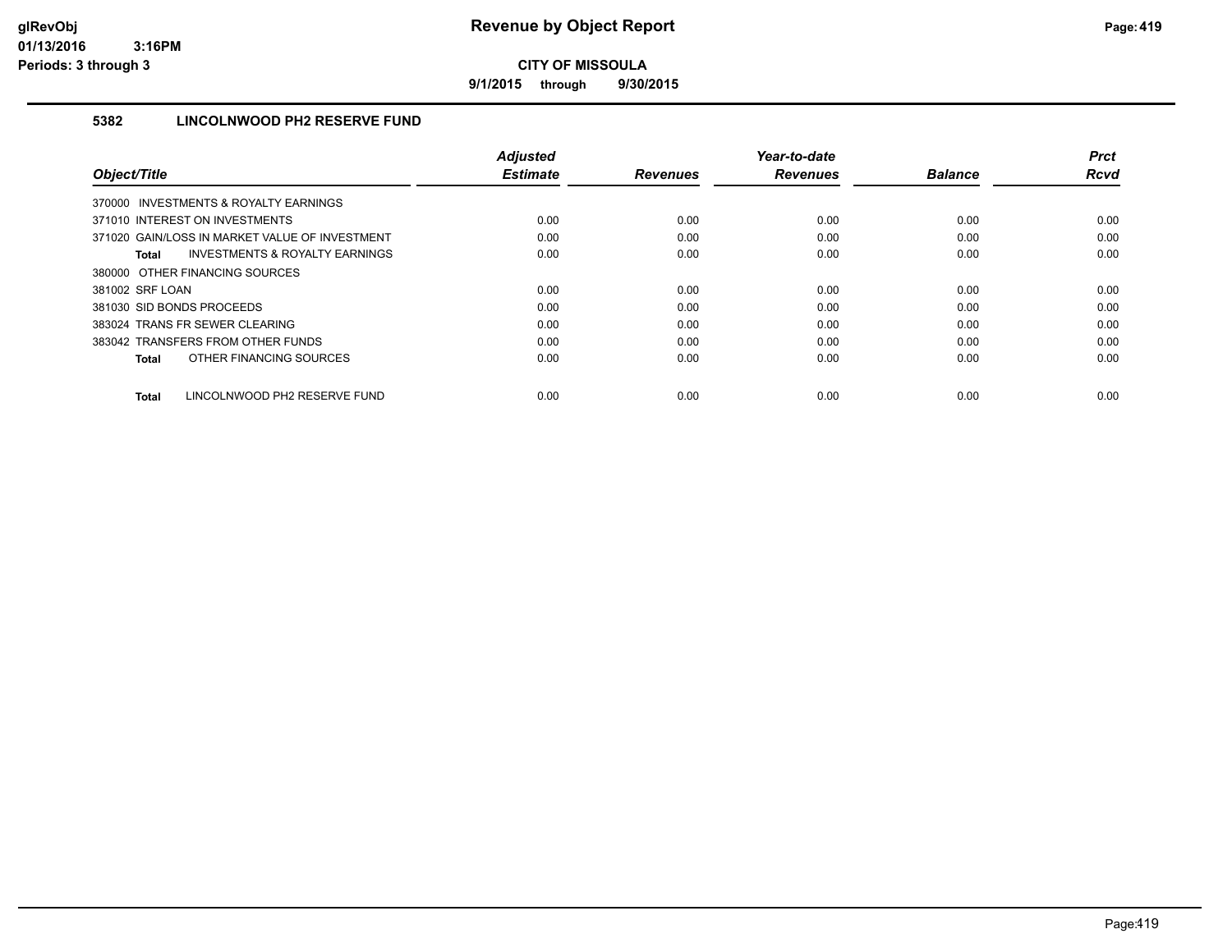**9/1/2015 through 9/30/2015**

## **5382 LINCOLNWOOD PH2 RESERVE FUND**

|                                                           | <b>Adjusted</b> |                 | Year-to-date    |                | Prct        |
|-----------------------------------------------------------|-----------------|-----------------|-----------------|----------------|-------------|
| Object/Title                                              | <b>Estimate</b> | <b>Revenues</b> | <b>Revenues</b> | <b>Balance</b> | <b>Rcvd</b> |
| 370000 INVESTMENTS & ROYALTY EARNINGS                     |                 |                 |                 |                |             |
| 371010 INTEREST ON INVESTMENTS                            | 0.00            | 0.00            | 0.00            | 0.00           | 0.00        |
| 371020 GAIN/LOSS IN MARKET VALUE OF INVESTMENT            | 0.00            | 0.00            | 0.00            | 0.00           | 0.00        |
| <b>INVESTMENTS &amp; ROYALTY EARNINGS</b><br><b>Total</b> | 0.00            | 0.00            | 0.00            | 0.00           | 0.00        |
| 380000 OTHER FINANCING SOURCES                            |                 |                 |                 |                |             |
| 381002 SRF LOAN                                           | 0.00            | 0.00            | 0.00            | 0.00           | 0.00        |
| 381030 SID BONDS PROCEEDS                                 | 0.00            | 0.00            | 0.00            | 0.00           | 0.00        |
| 383024 TRANS FR SEWER CLEARING                            | 0.00            | 0.00            | 0.00            | 0.00           | 0.00        |
| 383042 TRANSFERS FROM OTHER FUNDS                         | 0.00            | 0.00            | 0.00            | 0.00           | 0.00        |
| OTHER FINANCING SOURCES<br><b>Total</b>                   | 0.00            | 0.00            | 0.00            | 0.00           | 0.00        |
| LINCOLNWOOD PH2 RESERVE FUND<br><b>Total</b>              | 0.00            | 0.00            | 0.00            | 0.00           | 0.00        |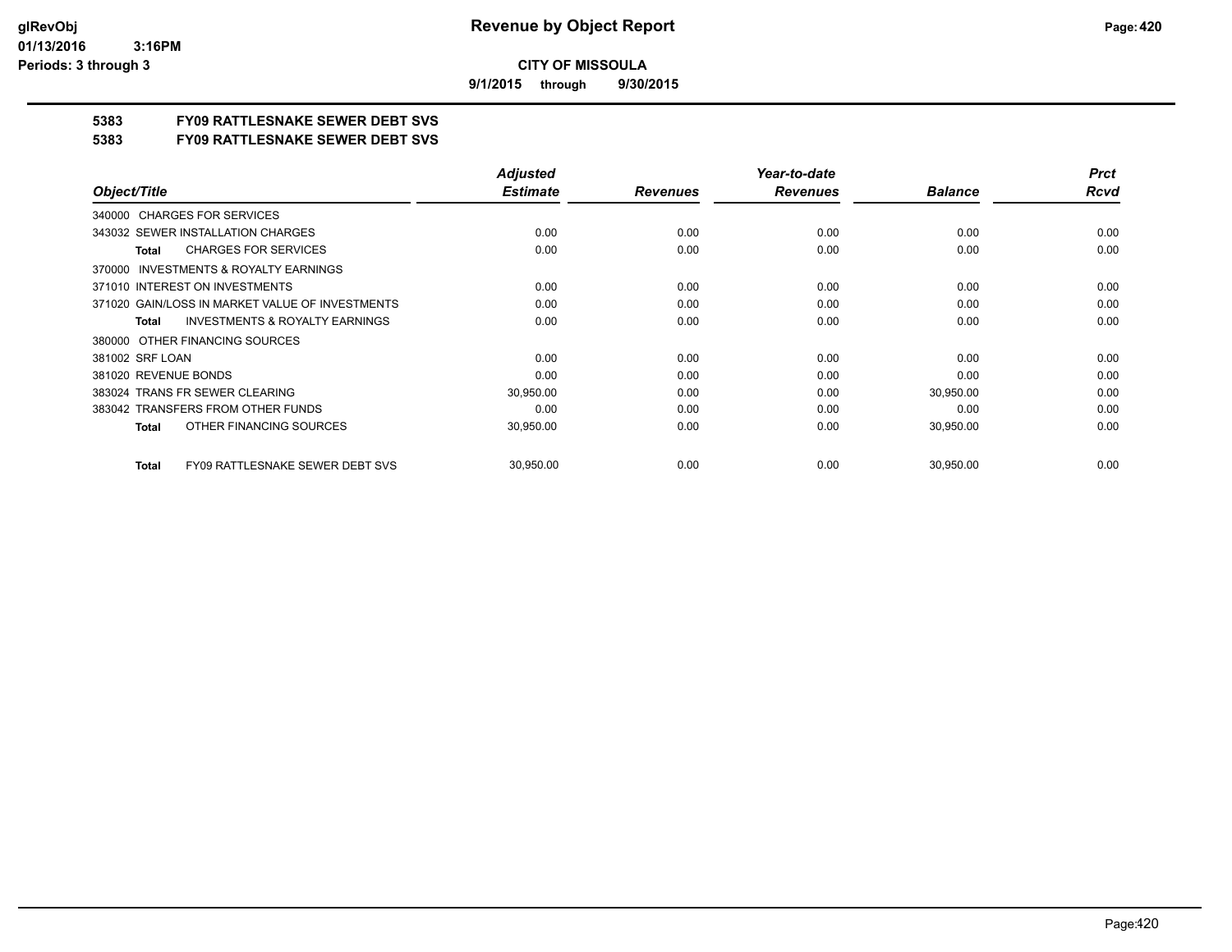**9/1/2015 through 9/30/2015**

# **5383 FY09 RATTLESNAKE SEWER DEBT SVS**

**5383 FY09 RATTLESNAKE SEWER DEBT SVS**

|                                                           | <b>Adjusted</b> |                 | Year-to-date    |                | <b>Prct</b> |
|-----------------------------------------------------------|-----------------|-----------------|-----------------|----------------|-------------|
| Object/Title                                              | <b>Estimate</b> | <b>Revenues</b> | <b>Revenues</b> | <b>Balance</b> | <b>Rcvd</b> |
| 340000 CHARGES FOR SERVICES                               |                 |                 |                 |                |             |
| 343032 SEWER INSTALLATION CHARGES                         | 0.00            | 0.00            | 0.00            | 0.00           | 0.00        |
| <b>CHARGES FOR SERVICES</b><br><b>Total</b>               | 0.00            | 0.00            | 0.00            | 0.00           | 0.00        |
| <b>INVESTMENTS &amp; ROYALTY EARNINGS</b><br>370000       |                 |                 |                 |                |             |
| 371010 INTEREST ON INVESTMENTS                            | 0.00            | 0.00            | 0.00            | 0.00           | 0.00        |
| 371020 GAIN/LOSS IN MARKET VALUE OF INVESTMENTS           | 0.00            | 0.00            | 0.00            | 0.00           | 0.00        |
| <b>INVESTMENTS &amp; ROYALTY EARNINGS</b><br><b>Total</b> | 0.00            | 0.00            | 0.00            | 0.00           | 0.00        |
| OTHER FINANCING SOURCES<br>380000                         |                 |                 |                 |                |             |
| 381002 SRF LOAN                                           | 0.00            | 0.00            | 0.00            | 0.00           | 0.00        |
| 381020 REVENUE BONDS                                      | 0.00            | 0.00            | 0.00            | 0.00           | 0.00        |
| 383024 TRANS FR SEWER CLEARING                            | 30,950.00       | 0.00            | 0.00            | 30,950.00      | 0.00        |
| 383042 TRANSFERS FROM OTHER FUNDS                         | 0.00            | 0.00            | 0.00            | 0.00           | 0.00        |
| OTHER FINANCING SOURCES<br><b>Total</b>                   | 30,950.00       | 0.00            | 0.00            | 30,950.00      | 0.00        |
| <b>FY09 RATTLESNAKE SEWER DEBT SVS</b><br><b>Total</b>    | 30,950.00       | 0.00            | 0.00            | 30,950.00      | 0.00        |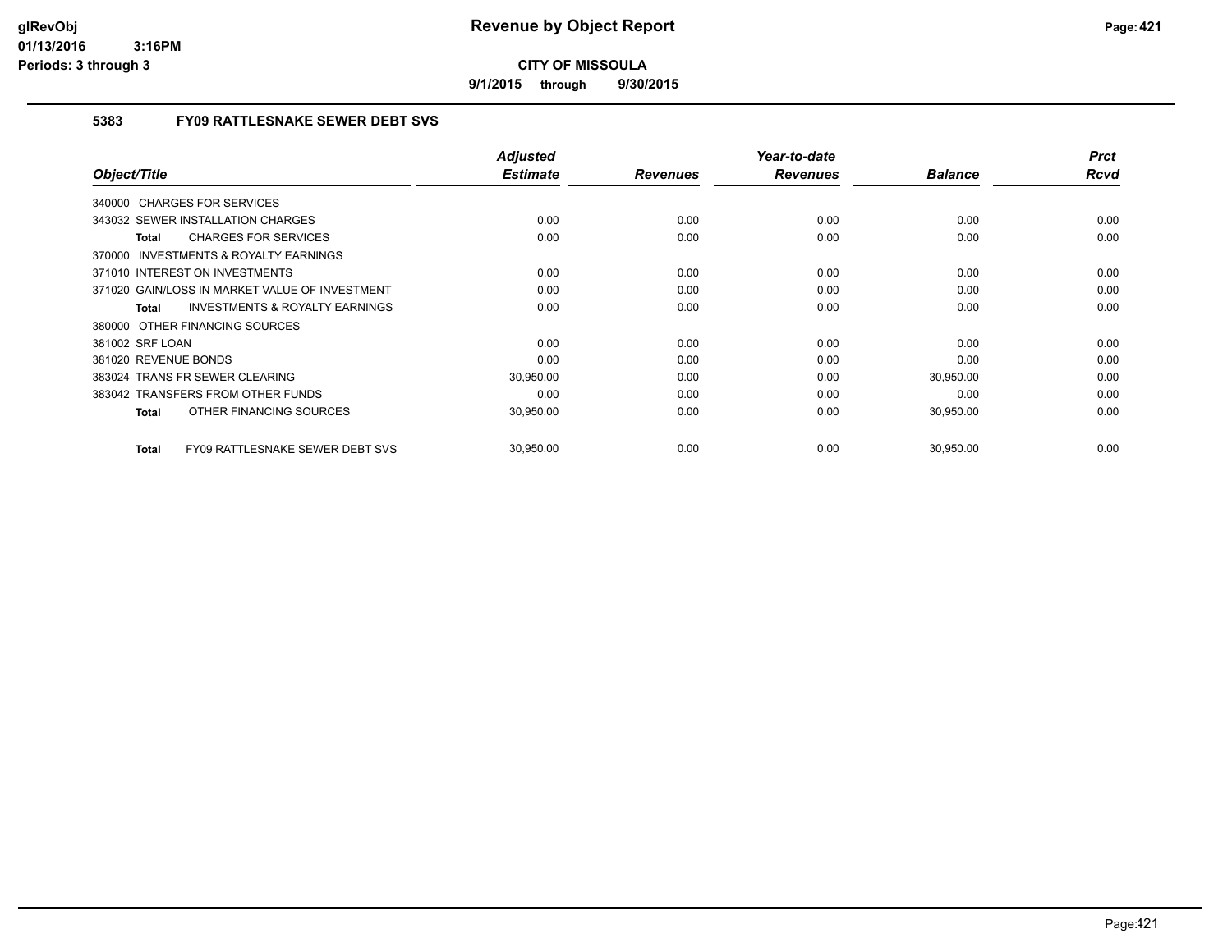**9/1/2015 through 9/30/2015**

## **5383 FY09 RATTLESNAKE SEWER DEBT SVS**

|                                                           | <b>Adjusted</b> |                 | Year-to-date    |                | <b>Prct</b> |
|-----------------------------------------------------------|-----------------|-----------------|-----------------|----------------|-------------|
| Object/Title                                              | <b>Estimate</b> | <b>Revenues</b> | <b>Revenues</b> | <b>Balance</b> | <b>Rcvd</b> |
| 340000 CHARGES FOR SERVICES                               |                 |                 |                 |                |             |
| 343032 SEWER INSTALLATION CHARGES                         | 0.00            | 0.00            | 0.00            | 0.00           | 0.00        |
| <b>CHARGES FOR SERVICES</b><br><b>Total</b>               | 0.00            | 0.00            | 0.00            | 0.00           | 0.00        |
| <b>INVESTMENTS &amp; ROYALTY EARNINGS</b><br>370000       |                 |                 |                 |                |             |
| 371010 INTEREST ON INVESTMENTS                            | 0.00            | 0.00            | 0.00            | 0.00           | 0.00        |
| 371020 GAIN/LOSS IN MARKET VALUE OF INVESTMENT            | 0.00            | 0.00            | 0.00            | 0.00           | 0.00        |
| <b>INVESTMENTS &amp; ROYALTY EARNINGS</b><br><b>Total</b> | 0.00            | 0.00            | 0.00            | 0.00           | 0.00        |
| 380000 OTHER FINANCING SOURCES                            |                 |                 |                 |                |             |
| 381002 SRF LOAN                                           | 0.00            | 0.00            | 0.00            | 0.00           | 0.00        |
| 381020 REVENUE BONDS                                      | 0.00            | 0.00            | 0.00            | 0.00           | 0.00        |
| 383024 TRANS FR SEWER CLEARING                            | 30,950.00       | 0.00            | 0.00            | 30,950.00      | 0.00        |
| 383042 TRANSFERS FROM OTHER FUNDS                         | 0.00            | 0.00            | 0.00            | 0.00           | 0.00        |
| OTHER FINANCING SOURCES<br><b>Total</b>                   | 30,950.00       | 0.00            | 0.00            | 30,950.00      | 0.00        |
| <b>FY09 RATTLESNAKE SEWER DEBT SVS</b><br><b>Total</b>    | 30,950.00       | 0.00            | 0.00            | 30,950.00      | 0.00        |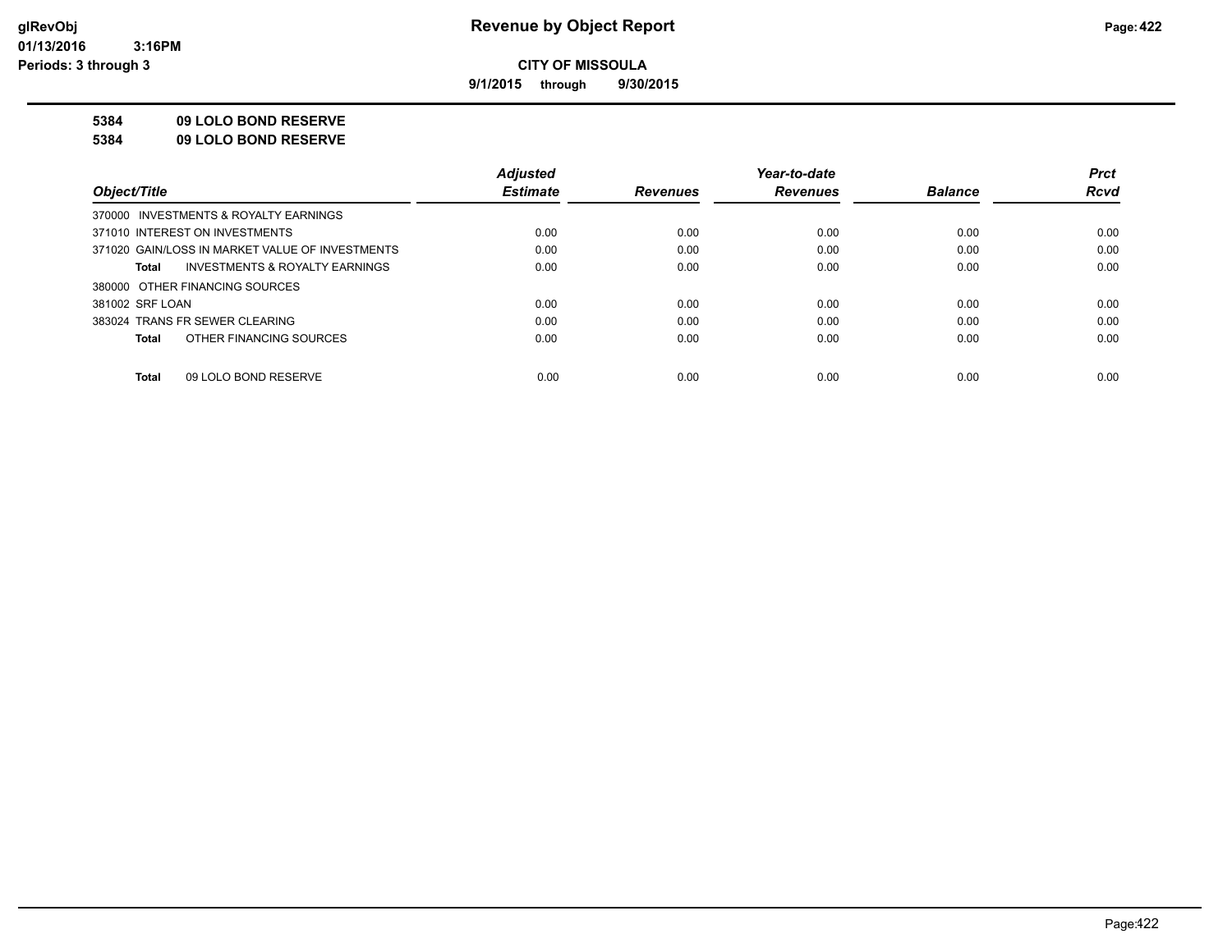**9/1/2015 through 9/30/2015**

#### **5384 09 LOLO BOND RESERVE**

**5384 09 LOLO BOND RESERVE**

|                                                    | <b>Adiusted</b> |                 | Year-to-date    |                | <b>Prct</b> |
|----------------------------------------------------|-----------------|-----------------|-----------------|----------------|-------------|
| Object/Title                                       | <b>Estimate</b> | <b>Revenues</b> | <b>Revenues</b> | <b>Balance</b> | <b>Rcvd</b> |
| 370000 INVESTMENTS & ROYALTY EARNINGS              |                 |                 |                 |                |             |
| 371010 INTEREST ON INVESTMENTS                     | 0.00            | 0.00            | 0.00            | 0.00           | 0.00        |
| 371020 GAIN/LOSS IN MARKET VALUE OF INVESTMENTS    | 0.00            | 0.00            | 0.00            | 0.00           | 0.00        |
| <b>INVESTMENTS &amp; ROYALTY EARNINGS</b><br>Total | 0.00            | 0.00            | 0.00            | 0.00           | 0.00        |
| 380000 OTHER FINANCING SOURCES                     |                 |                 |                 |                |             |
| 381002 SRF LOAN                                    | 0.00            | 0.00            | 0.00            | 0.00           | 0.00        |
| 383024 TRANS FR SEWER CLEARING                     | 0.00            | 0.00            | 0.00            | 0.00           | 0.00        |
| OTHER FINANCING SOURCES<br>Total                   | 0.00            | 0.00            | 0.00            | 0.00           | 0.00        |
|                                                    |                 |                 |                 |                |             |
| 09 LOLO BOND RESERVE<br>Total                      | 0.00            | 0.00            | 0.00            | 0.00           | 0.00        |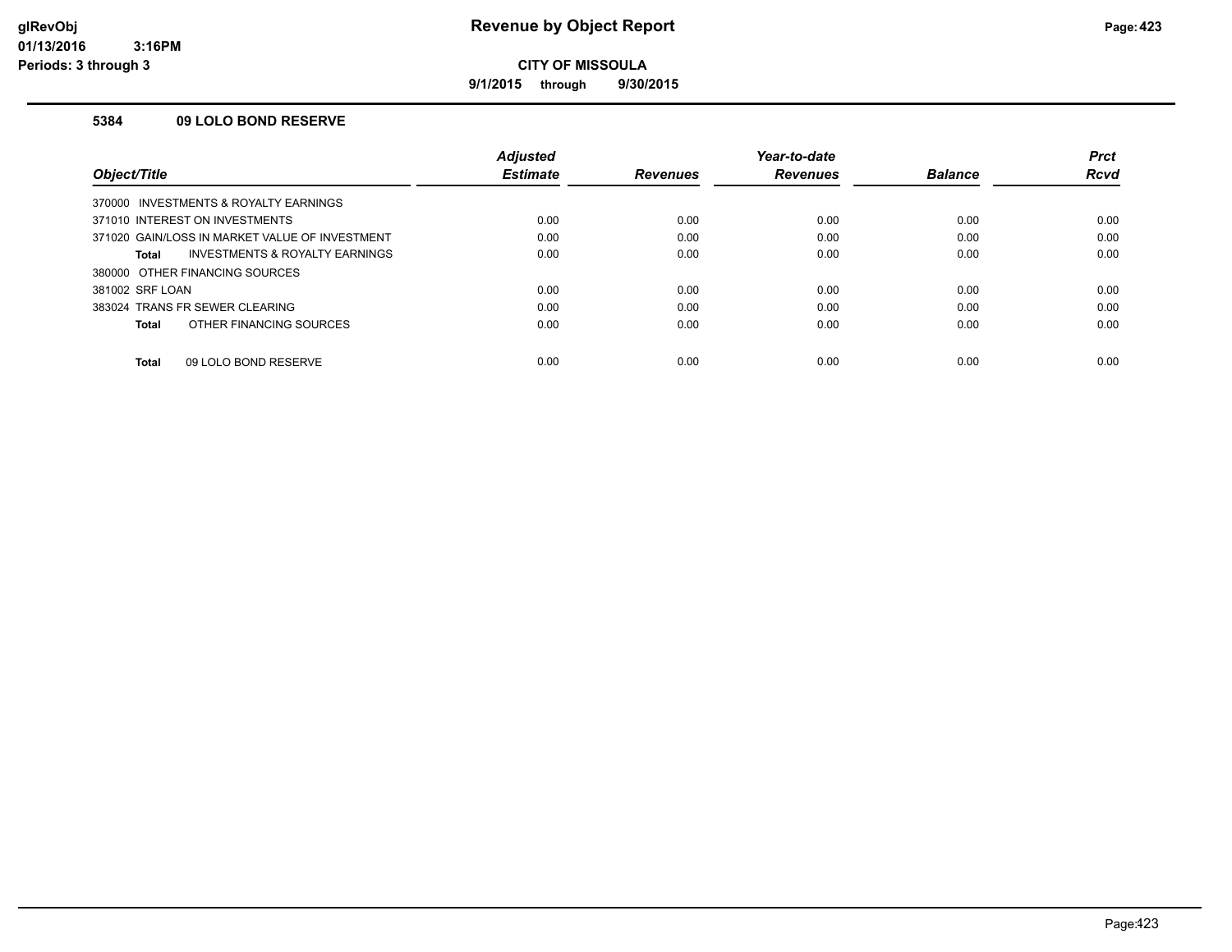**9/1/2015 through 9/30/2015**

#### **5384 09 LOLO BOND RESERVE**

|                                                | <b>Adjusted</b> |                 | Year-to-date    |                | <b>Prct</b> |
|------------------------------------------------|-----------------|-----------------|-----------------|----------------|-------------|
| Object/Title                                   | <b>Estimate</b> | <b>Revenues</b> | <b>Revenues</b> | <b>Balance</b> | <b>Rcvd</b> |
| 370000 INVESTMENTS & ROYALTY EARNINGS          |                 |                 |                 |                |             |
| 371010 INTEREST ON INVESTMENTS                 | 0.00            | 0.00            | 0.00            | 0.00           | 0.00        |
| 371020 GAIN/LOSS IN MARKET VALUE OF INVESTMENT | 0.00            | 0.00            | 0.00            | 0.00           | 0.00        |
| INVESTMENTS & ROYALTY EARNINGS<br>Total        | 0.00            | 0.00            | 0.00            | 0.00           | 0.00        |
| 380000 OTHER FINANCING SOURCES                 |                 |                 |                 |                |             |
| 381002 SRF LOAN                                | 0.00            | 0.00            | 0.00            | 0.00           | 0.00        |
| 383024 TRANS FR SEWER CLEARING                 | 0.00            | 0.00            | 0.00            | 0.00           | 0.00        |
| OTHER FINANCING SOURCES<br>Total               | 0.00            | 0.00            | 0.00            | 0.00           | 0.00        |
| 09 LOLO BOND RESERVE<br><b>Total</b>           | 0.00            | 0.00            | 0.00            | 0.00           | 0.00        |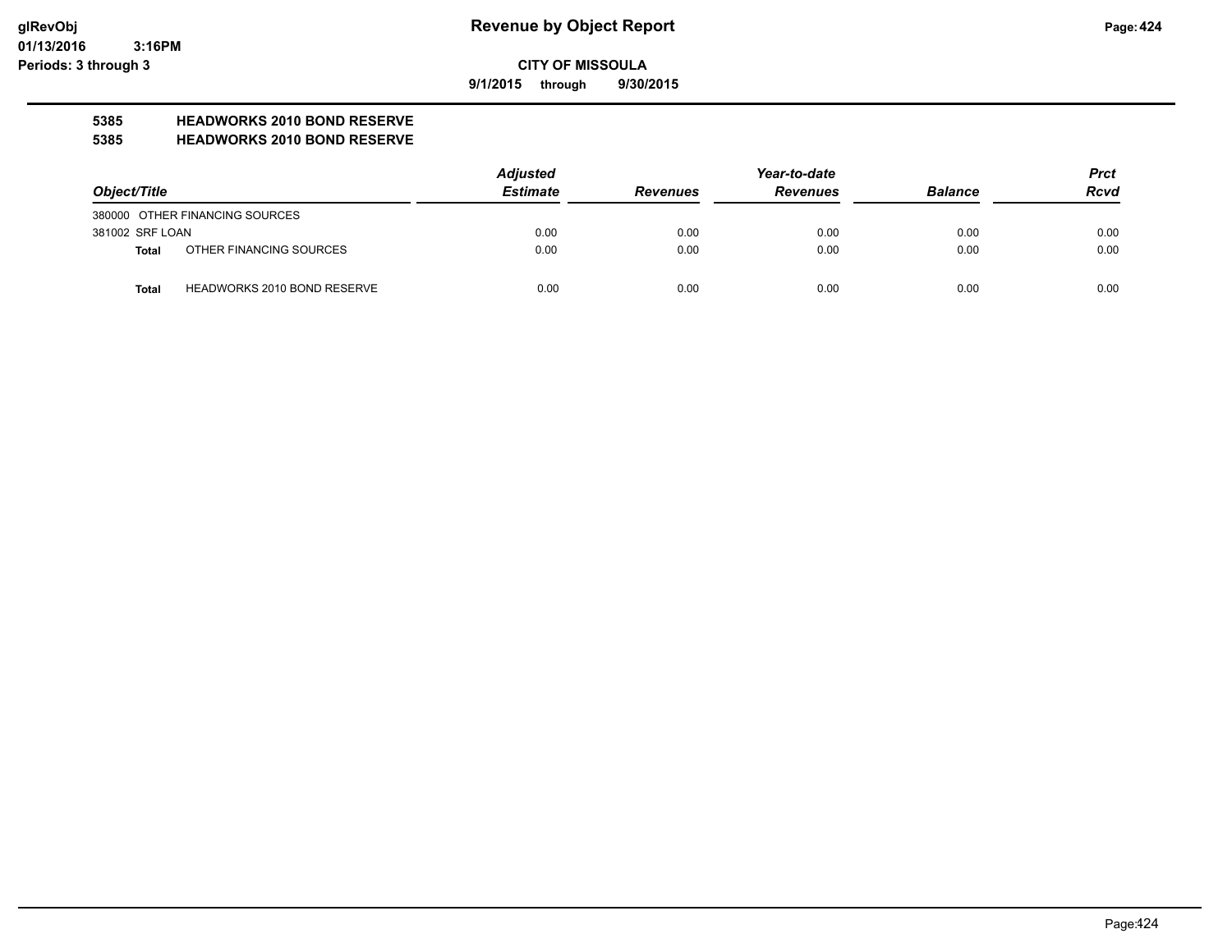**9/1/2015 through 9/30/2015**

# **5385 HEADWORKS 2010 BOND RESERVE**

#### **5385 HEADWORKS 2010 BOND RESERVE**

|                 |                                    | <b>Adjusted</b> |                 | Year-to-date    |                | <b>Prct</b> |
|-----------------|------------------------------------|-----------------|-----------------|-----------------|----------------|-------------|
| Object/Title    |                                    | <b>Estimate</b> | <b>Revenues</b> | <b>Revenues</b> | <b>Balance</b> | <b>Rcvd</b> |
|                 | 380000 OTHER FINANCING SOURCES     |                 |                 |                 |                |             |
| 381002 SRF LOAN |                                    | 0.00            | 0.00            | 0.00            | 0.00           | 0.00        |
| <b>Total</b>    | OTHER FINANCING SOURCES            | 0.00            | 0.00            | 0.00            | 0.00           | 0.00        |
| <b>Total</b>    | <b>HEADWORKS 2010 BOND RESERVE</b> | 0.00            | 0.00            | 0.00            | 0.00           | 0.00        |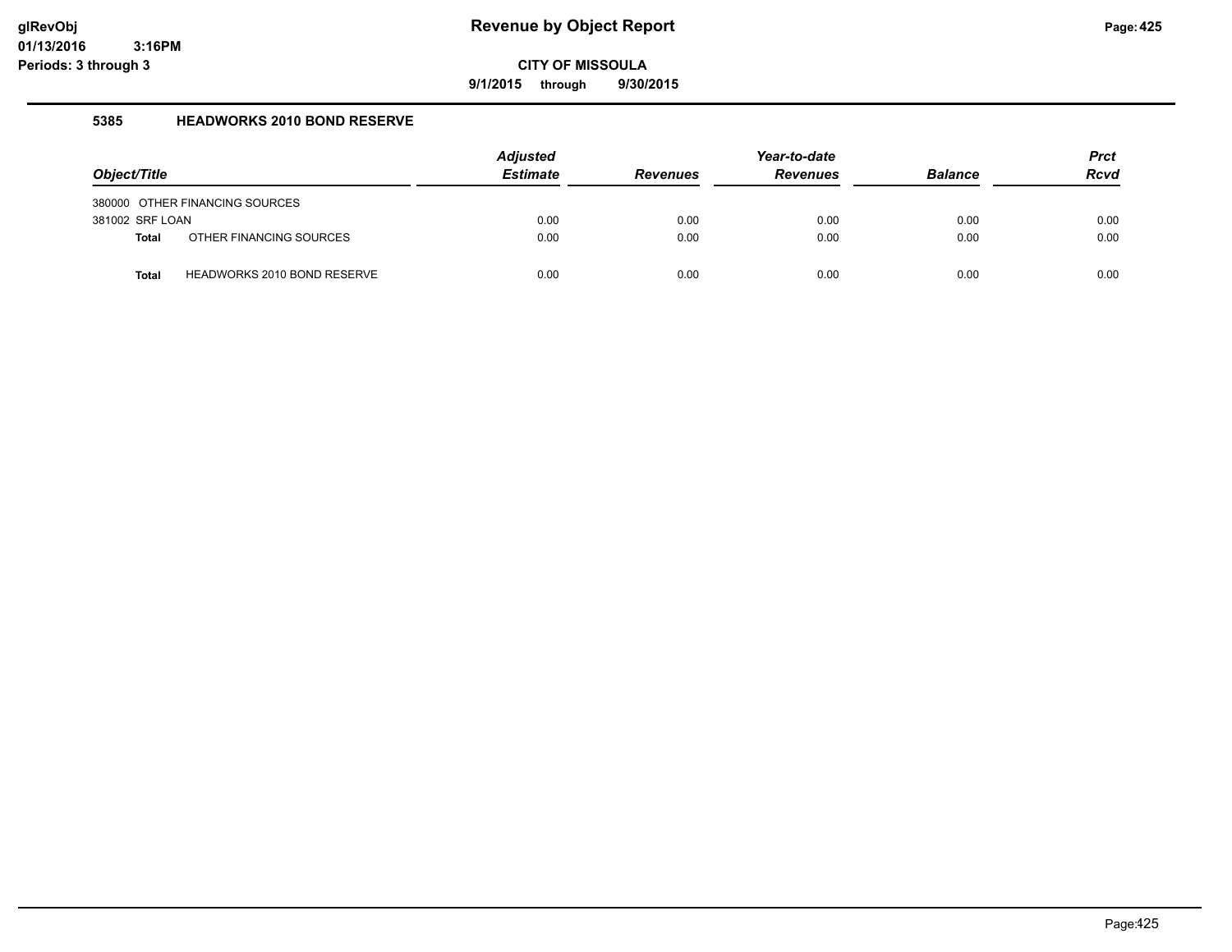**9/1/2015 through 9/30/2015**

#### **5385 HEADWORKS 2010 BOND RESERVE**

|                 |                                    | <b>Adjusted</b> |                 | Year-to-date    |                | <b>Prct</b> |
|-----------------|------------------------------------|-----------------|-----------------|-----------------|----------------|-------------|
| Object/Title    |                                    | <b>Estimate</b> | <b>Revenues</b> | <b>Revenues</b> | <b>Balance</b> | <b>Rcvd</b> |
|                 | 380000 OTHER FINANCING SOURCES     |                 |                 |                 |                |             |
| 381002 SRF LOAN |                                    | 0.00            | 0.00            | 0.00            | 0.00           | 0.00        |
| <b>Total</b>    | OTHER FINANCING SOURCES            | 0.00            | 0.00            | 0.00            | 0.00           | 0.00        |
| <b>Total</b>    | <b>HEADWORKS 2010 BOND RESERVE</b> | 0.00            | 0.00            | 0.00            | 0.00           | 0.00        |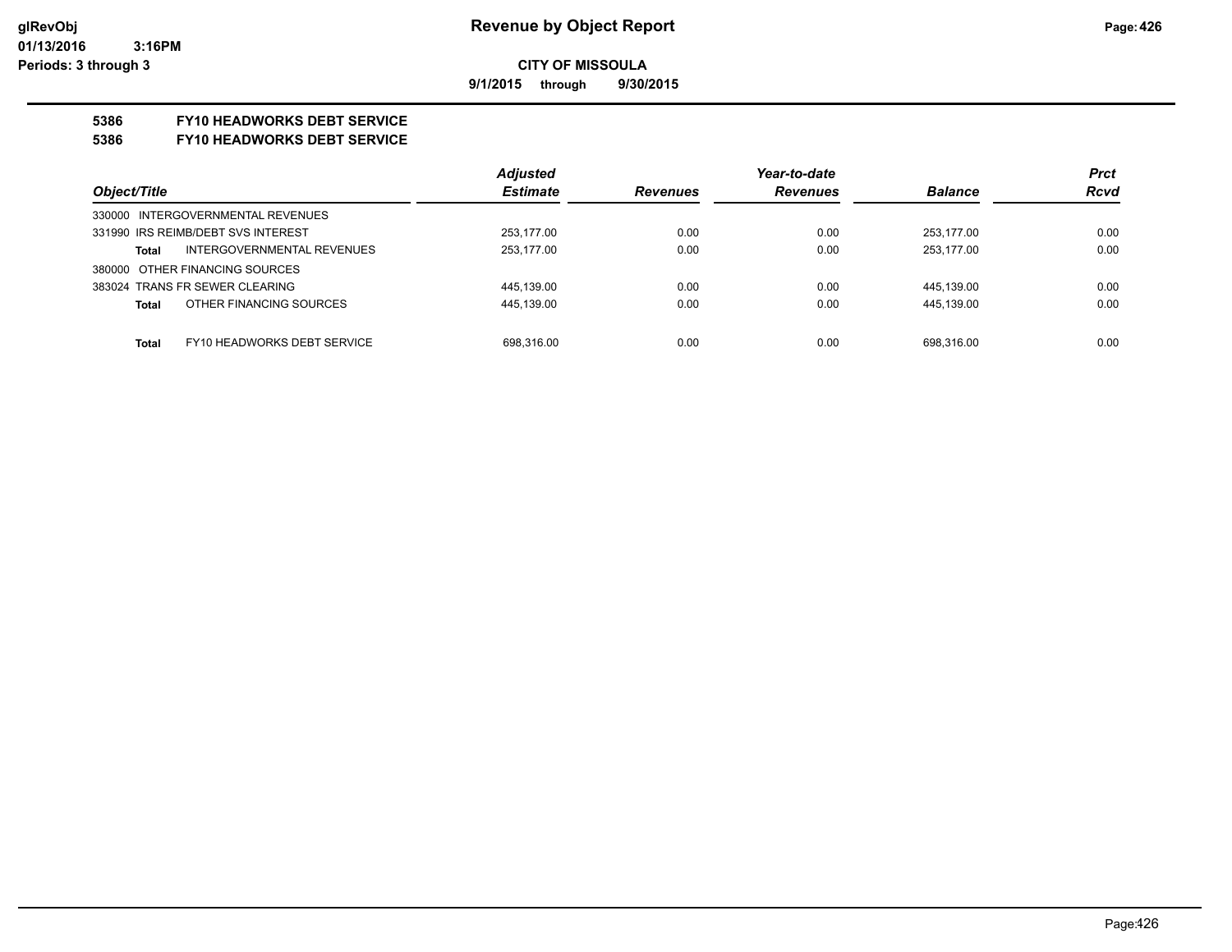**9/1/2015 through 9/30/2015**

## **5386 FY10 HEADWORKS DEBT SERVICE**

#### **5386 FY10 HEADWORKS DEBT SERVICE**

|                                             | <b>Adjusted</b> |                 | Year-to-date    |                | <b>Prct</b> |
|---------------------------------------------|-----------------|-----------------|-----------------|----------------|-------------|
| Object/Title                                | <b>Estimate</b> | <b>Revenues</b> | <b>Revenues</b> | <b>Balance</b> | <b>Rcvd</b> |
| 330000 INTERGOVERNMENTAL REVENUES           |                 |                 |                 |                |             |
| 331990 IRS REIMB/DEBT SVS INTEREST          | 253.177.00      | 0.00            | 0.00            | 253.177.00     | 0.00        |
| INTERGOVERNMENTAL REVENUES<br>Total         | 253.177.00      | 0.00            | 0.00            | 253.177.00     | 0.00        |
| 380000 OTHER FINANCING SOURCES              |                 |                 |                 |                |             |
| 383024 TRANS FR SEWER CLEARING              | 445.139.00      | 0.00            | 0.00            | 445,139.00     | 0.00        |
| OTHER FINANCING SOURCES<br><b>Total</b>     | 445,139.00      | 0.00            | 0.00            | 445.139.00     | 0.00        |
|                                             |                 |                 |                 |                |             |
| FY10 HEADWORKS DEBT SERVICE<br><b>Total</b> | 698.316.00      | 0.00            | 0.00            | 698.316.00     | 0.00        |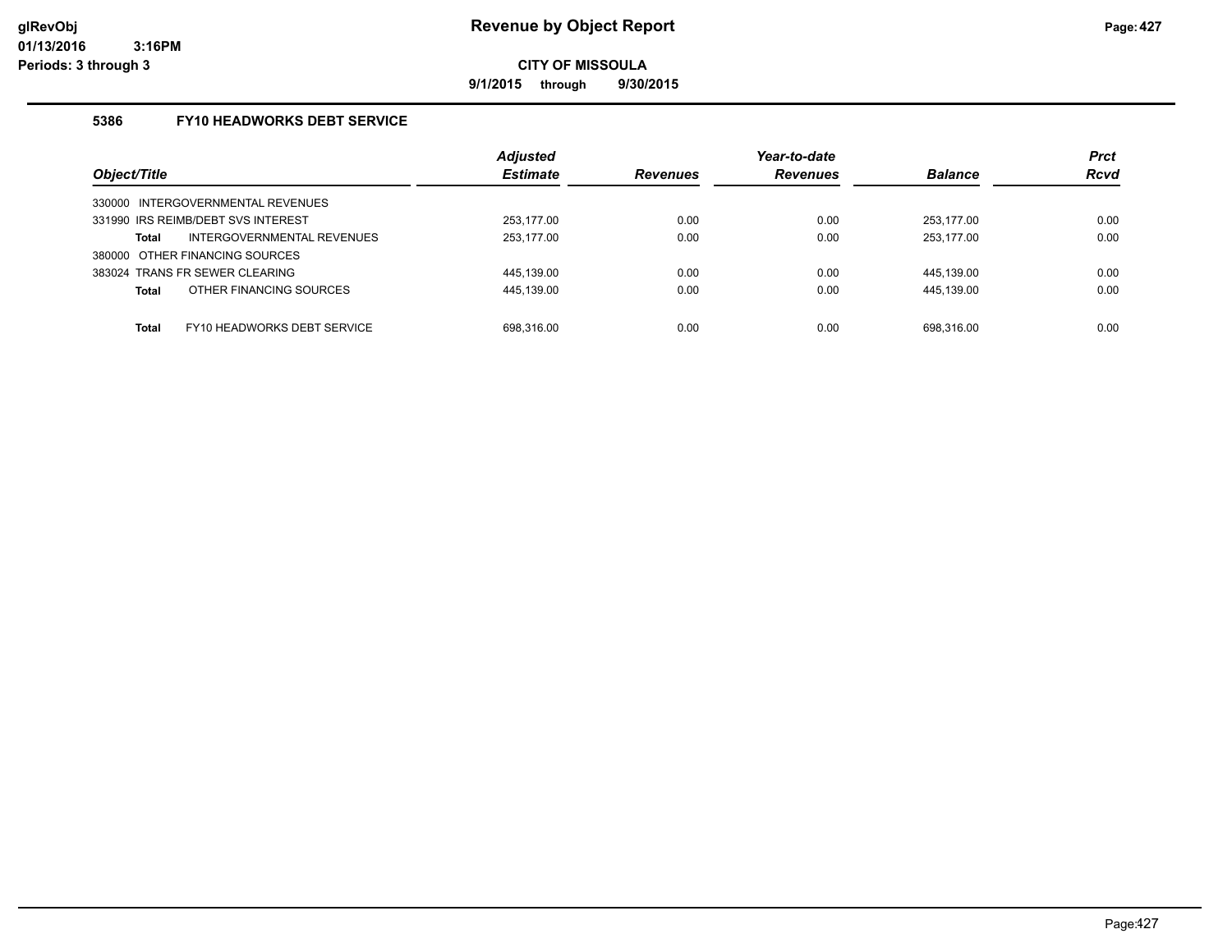**9/1/2015 through 9/30/2015**

## **5386 FY10 HEADWORKS DEBT SERVICE**

| Object/Title                            | <b>Adjusted</b><br><b>Estimate</b> | <b>Revenues</b> | Year-to-date<br><b>Revenues</b> | <b>Balance</b> | <b>Prct</b><br><b>Rcvd</b> |
|-----------------------------------------|------------------------------------|-----------------|---------------------------------|----------------|----------------------------|
| INTERGOVERNMENTAL REVENUES<br>330000    |                                    |                 |                                 |                |                            |
| 331990 IRS REIMB/DEBT SVS INTEREST      | 253.177.00                         | 0.00            | 0.00                            | 253.177.00     | 0.00                       |
| INTERGOVERNMENTAL REVENUES<br>Total     | 253,177.00                         | 0.00            | 0.00                            | 253,177.00     | 0.00                       |
| 380000 OTHER FINANCING SOURCES          |                                    |                 |                                 |                |                            |
| 383024 TRANS FR SEWER CLEARING          | 445.139.00                         | 0.00            | 0.00                            | 445,139.00     | 0.00                       |
| OTHER FINANCING SOURCES<br><b>Total</b> | 445,139.00                         | 0.00            | 0.00                            | 445,139.00     | 0.00                       |
|                                         |                                    |                 |                                 |                |                            |
| FY10 HEADWORKS DEBT SERVICE<br>Total    | 698.316.00                         | 0.00            | 0.00                            | 698.316.00     | 0.00                       |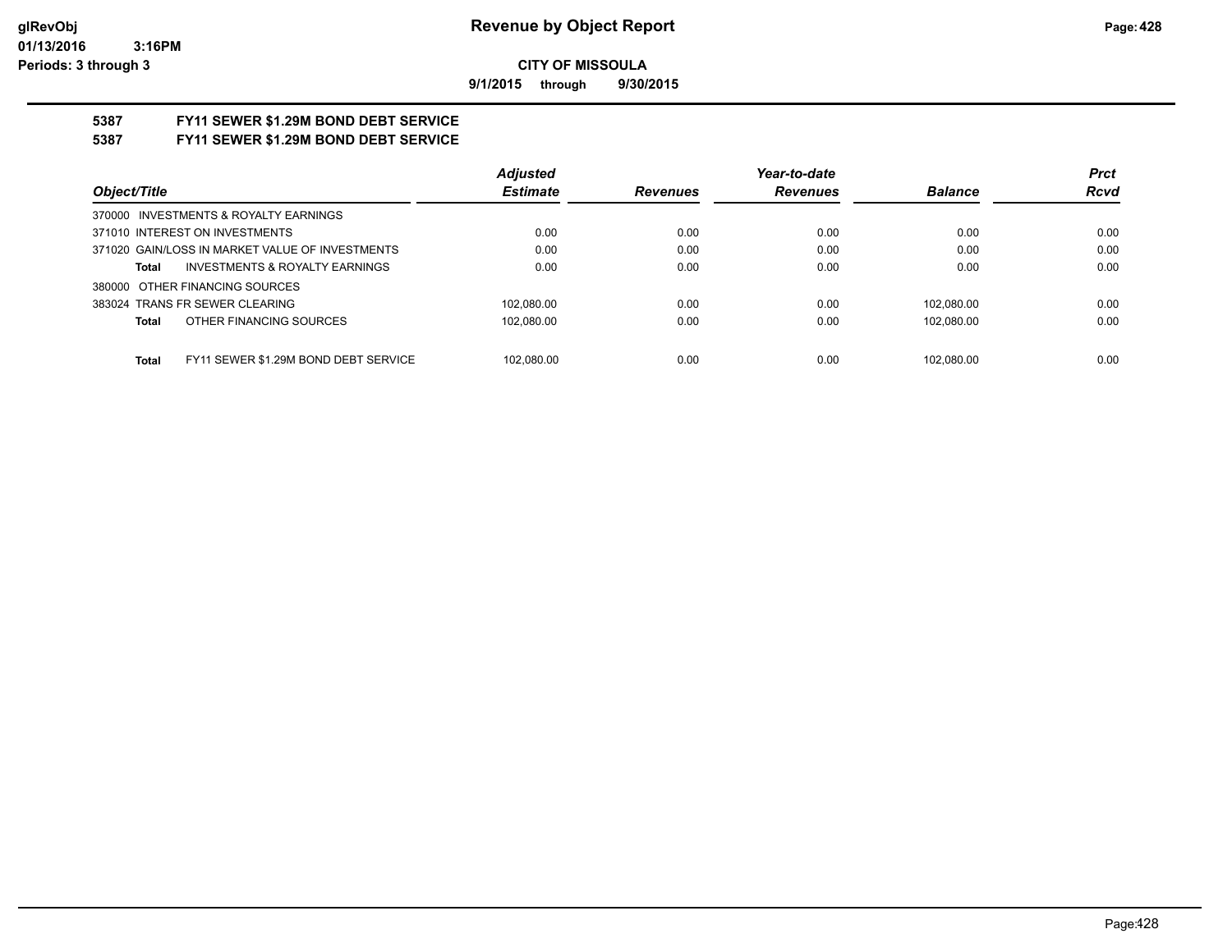**9/1/2015 through 9/30/2015**

# **5387 FY11 SEWER \$1.29M BOND DEBT SERVICE**

# **5387 FY11 SEWER \$1.29M BOND DEBT SERVICE**

|                                                      | <b>Adjusted</b> |                 | Year-to-date    |                | <b>Prct</b> |
|------------------------------------------------------|-----------------|-----------------|-----------------|----------------|-------------|
| Object/Title                                         | <b>Estimate</b> | <b>Revenues</b> | <b>Revenues</b> | <b>Balance</b> | <b>Rcvd</b> |
| 370000 INVESTMENTS & ROYALTY EARNINGS                |                 |                 |                 |                |             |
| 371010 INTEREST ON INVESTMENTS                       | 0.00            | 0.00            | 0.00            | 0.00           | 0.00        |
| 371020 GAIN/LOSS IN MARKET VALUE OF INVESTMENTS      | 0.00            | 0.00            | 0.00            | 0.00           | 0.00        |
| <b>INVESTMENTS &amp; ROYALTY EARNINGS</b><br>Total   | 0.00            | 0.00            | 0.00            | 0.00           | 0.00        |
| 380000 OTHER FINANCING SOURCES                       |                 |                 |                 |                |             |
| 383024 TRANS FR SEWER CLEARING                       | 102.080.00      | 0.00            | 0.00            | 102.080.00     | 0.00        |
| OTHER FINANCING SOURCES<br><b>Total</b>              | 102,080.00      | 0.00            | 0.00            | 102.080.00     | 0.00        |
|                                                      |                 |                 |                 |                |             |
| FY11 SEWER \$1.29M BOND DEBT SERVICE<br><b>Total</b> | 102.080.00      | 0.00            | 0.00            | 102.080.00     | 0.00        |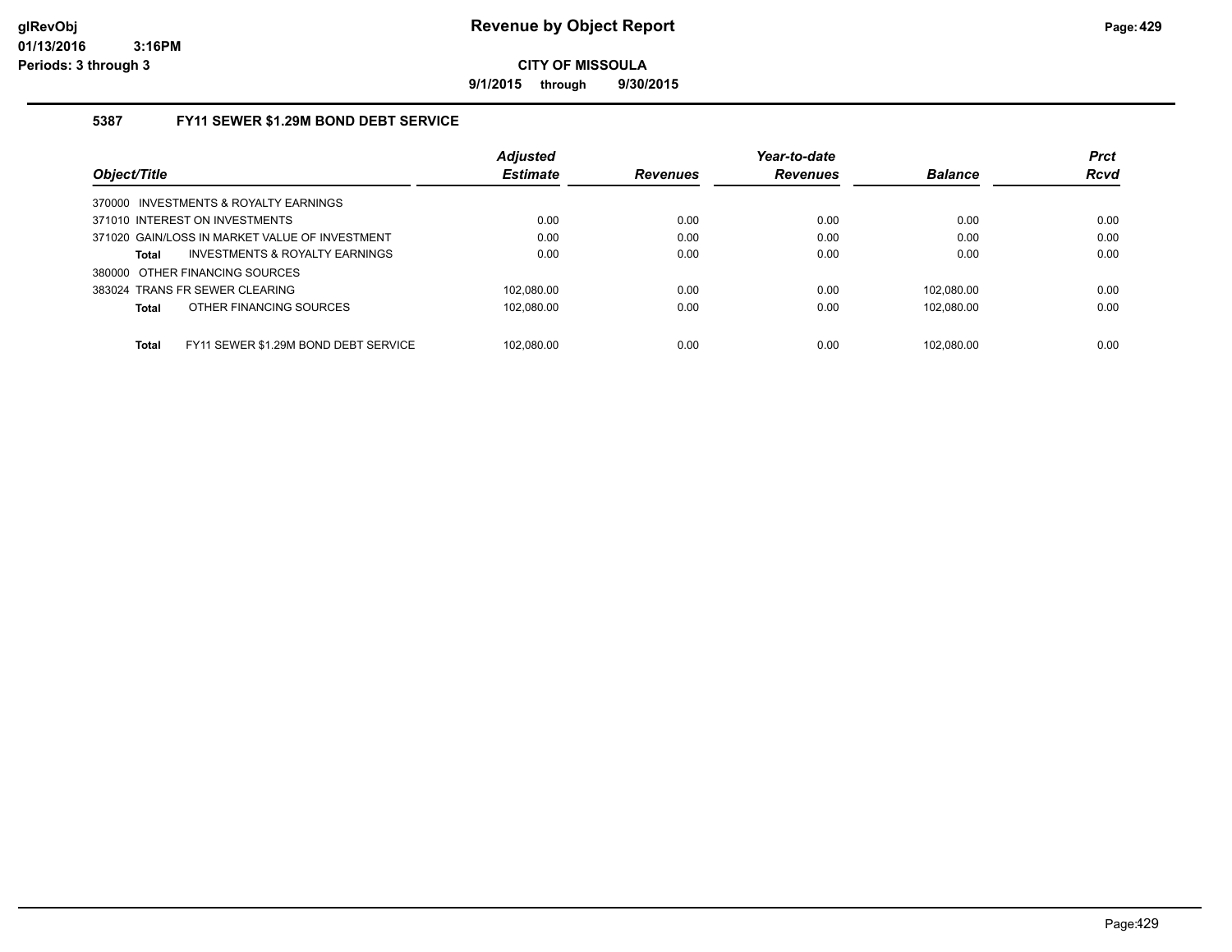**9/1/2015 through 9/30/2015**

## **5387 FY11 SEWER \$1.29M BOND DEBT SERVICE**

|                                                      | <b>Adjusted</b> |                 | Year-to-date    |                | <b>Prct</b> |
|------------------------------------------------------|-----------------|-----------------|-----------------|----------------|-------------|
| Object/Title                                         | <b>Estimate</b> | <b>Revenues</b> | <b>Revenues</b> | <b>Balance</b> | <b>Rcvd</b> |
| 370000 INVESTMENTS & ROYALTY EARNINGS                |                 |                 |                 |                |             |
| 371010 INTEREST ON INVESTMENTS                       | 0.00            | 0.00            | 0.00            | 0.00           | 0.00        |
| 371020 GAIN/LOSS IN MARKET VALUE OF INVESTMENT       | 0.00            | 0.00            | 0.00            | 0.00           | 0.00        |
| INVESTMENTS & ROYALTY EARNINGS<br><b>Total</b>       | 0.00            | 0.00            | 0.00            | 0.00           | 0.00        |
| 380000 OTHER FINANCING SOURCES                       |                 |                 |                 |                |             |
| 383024 TRANS FR SEWER CLEARING                       | 102.080.00      | 0.00            | 0.00            | 102.080.00     | 0.00        |
| OTHER FINANCING SOURCES<br><b>Total</b>              | 102.080.00      | 0.00            | 0.00            | 102.080.00     | 0.00        |
|                                                      |                 |                 |                 |                |             |
| FY11 SEWER \$1.29M BOND DEBT SERVICE<br><b>Total</b> | 102.080.00      | 0.00            | 0.00            | 102.080.00     | 0.00        |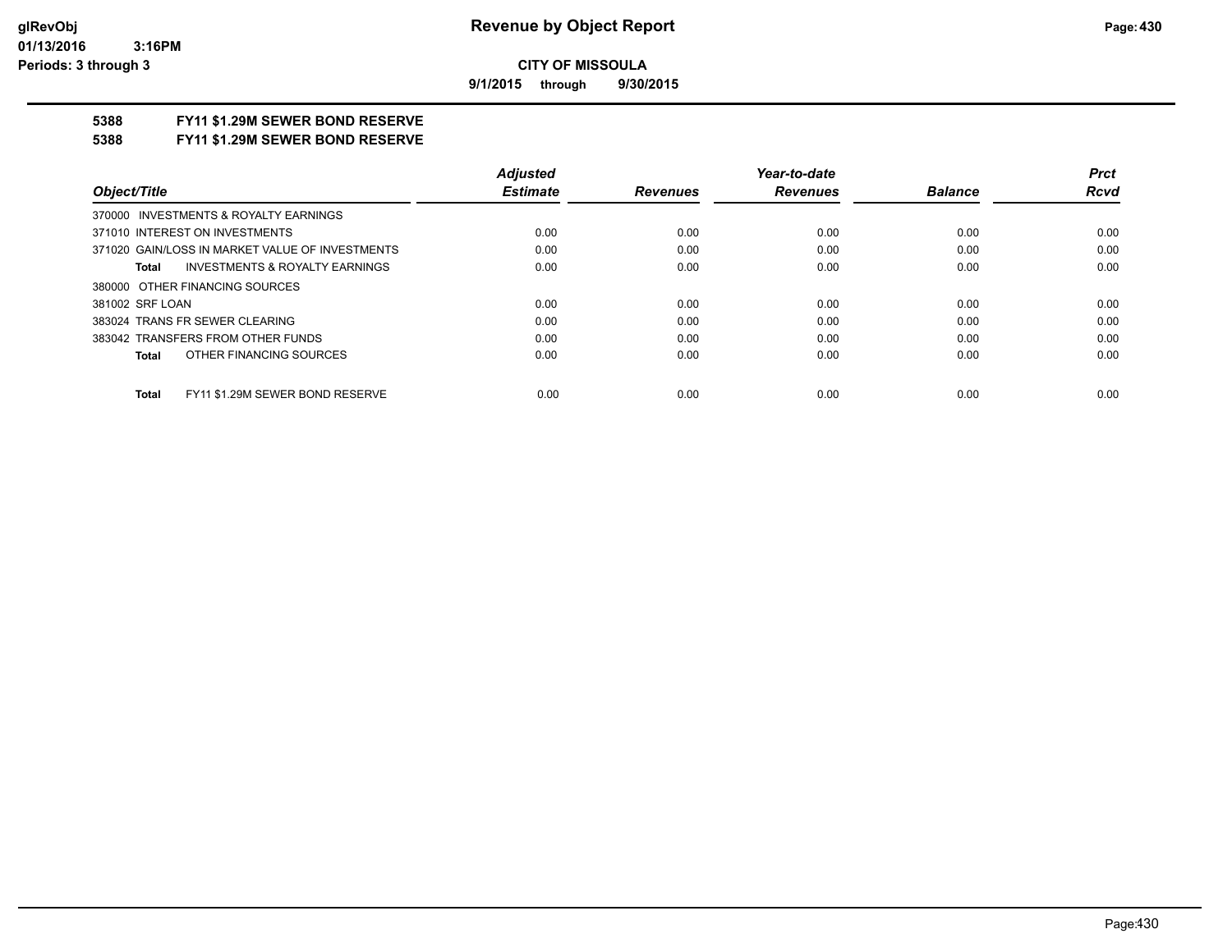**9/1/2015 through 9/30/2015**

## **5388 FY11 \$1.29M SEWER BOND RESERVE**

**5388 FY11 \$1.29M SEWER BOND RESERVE**

|                                                 | <b>Adiusted</b> |                 | Year-to-date    |                | <b>Prct</b> |
|-------------------------------------------------|-----------------|-----------------|-----------------|----------------|-------------|
| Object/Title                                    | <b>Estimate</b> | <b>Revenues</b> | <b>Revenues</b> | <b>Balance</b> | Rcvd        |
| 370000 INVESTMENTS & ROYALTY EARNINGS           |                 |                 |                 |                |             |
| 371010 INTEREST ON INVESTMENTS                  | 0.00            | 0.00            | 0.00            | 0.00           | 0.00        |
| 371020 GAIN/LOSS IN MARKET VALUE OF INVESTMENTS | 0.00            | 0.00            | 0.00            | 0.00           | 0.00        |
| INVESTMENTS & ROYALTY EARNINGS<br>Total         | 0.00            | 0.00            | 0.00            | 0.00           | 0.00        |
| 380000 OTHER FINANCING SOURCES                  |                 |                 |                 |                |             |
| 381002 SRF LOAN                                 | 0.00            | 0.00            | 0.00            | 0.00           | 0.00        |
| 383024 TRANS FR SEWER CLEARING                  | 0.00            | 0.00            | 0.00            | 0.00           | 0.00        |
| 383042 TRANSFERS FROM OTHER FUNDS               | 0.00            | 0.00            | 0.00            | 0.00           | 0.00        |
| OTHER FINANCING SOURCES<br>Total                | 0.00            | 0.00            | 0.00            | 0.00           | 0.00        |
| FY11 \$1.29M SEWER BOND RESERVE<br><b>Total</b> | 0.00            | 0.00            | 0.00            | 0.00           | 0.00        |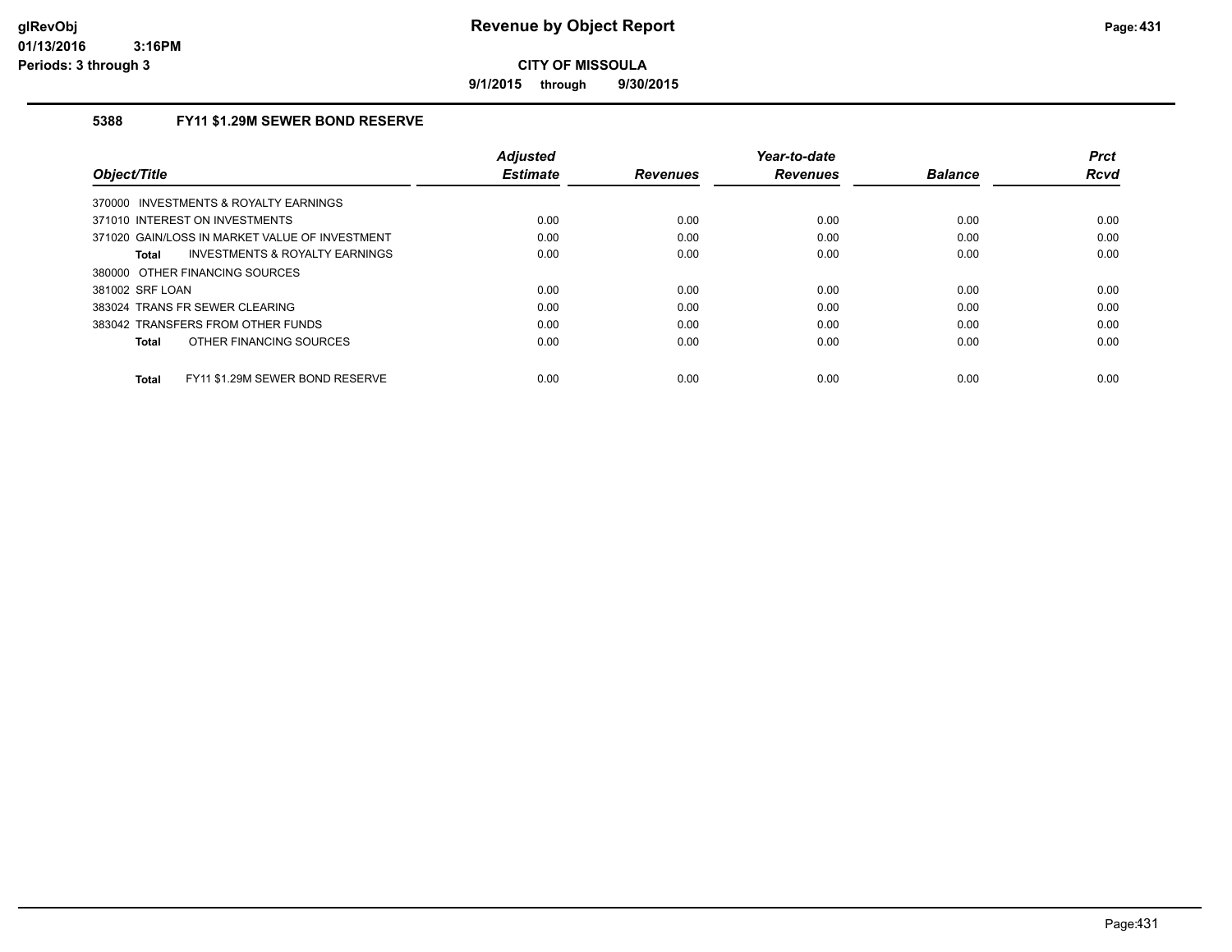**9/1/2015 through 9/30/2015**

## **5388 FY11 \$1.29M SEWER BOND RESERVE**

| Object/Title                                       | <b>Adjusted</b><br><b>Estimate</b> | <b>Revenues</b> | Year-to-date<br><b>Revenues</b> | <b>Balance</b> | <b>Prct</b><br>Rcvd |
|----------------------------------------------------|------------------------------------|-----------------|---------------------------------|----------------|---------------------|
| 370000 INVESTMENTS & ROYALTY EARNINGS              |                                    |                 |                                 |                |                     |
| 371010 INTEREST ON INVESTMENTS                     | 0.00                               | 0.00            | 0.00                            | 0.00           | 0.00                |
| 371020 GAIN/LOSS IN MARKET VALUE OF INVESTMENT     | 0.00                               | 0.00            | 0.00                            | 0.00           | 0.00                |
| <b>INVESTMENTS &amp; ROYALTY EARNINGS</b><br>Total | 0.00                               | 0.00            | 0.00                            | 0.00           | 0.00                |
| 380000 OTHER FINANCING SOURCES                     |                                    |                 |                                 |                |                     |
| 381002 SRF LOAN                                    | 0.00                               | 0.00            | 0.00                            | 0.00           | 0.00                |
| 383024 TRANS FR SEWER CLEARING                     | 0.00                               | 0.00            | 0.00                            | 0.00           | 0.00                |
| 383042 TRANSFERS FROM OTHER FUNDS                  | 0.00                               | 0.00            | 0.00                            | 0.00           | 0.00                |
| OTHER FINANCING SOURCES<br><b>Total</b>            | 0.00                               | 0.00            | 0.00                            | 0.00           | 0.00                |
| FY11 \$1.29M SEWER BOND RESERVE<br><b>Total</b>    | 0.00                               | 0.00            | 0.00                            | 0.00           | 0.00                |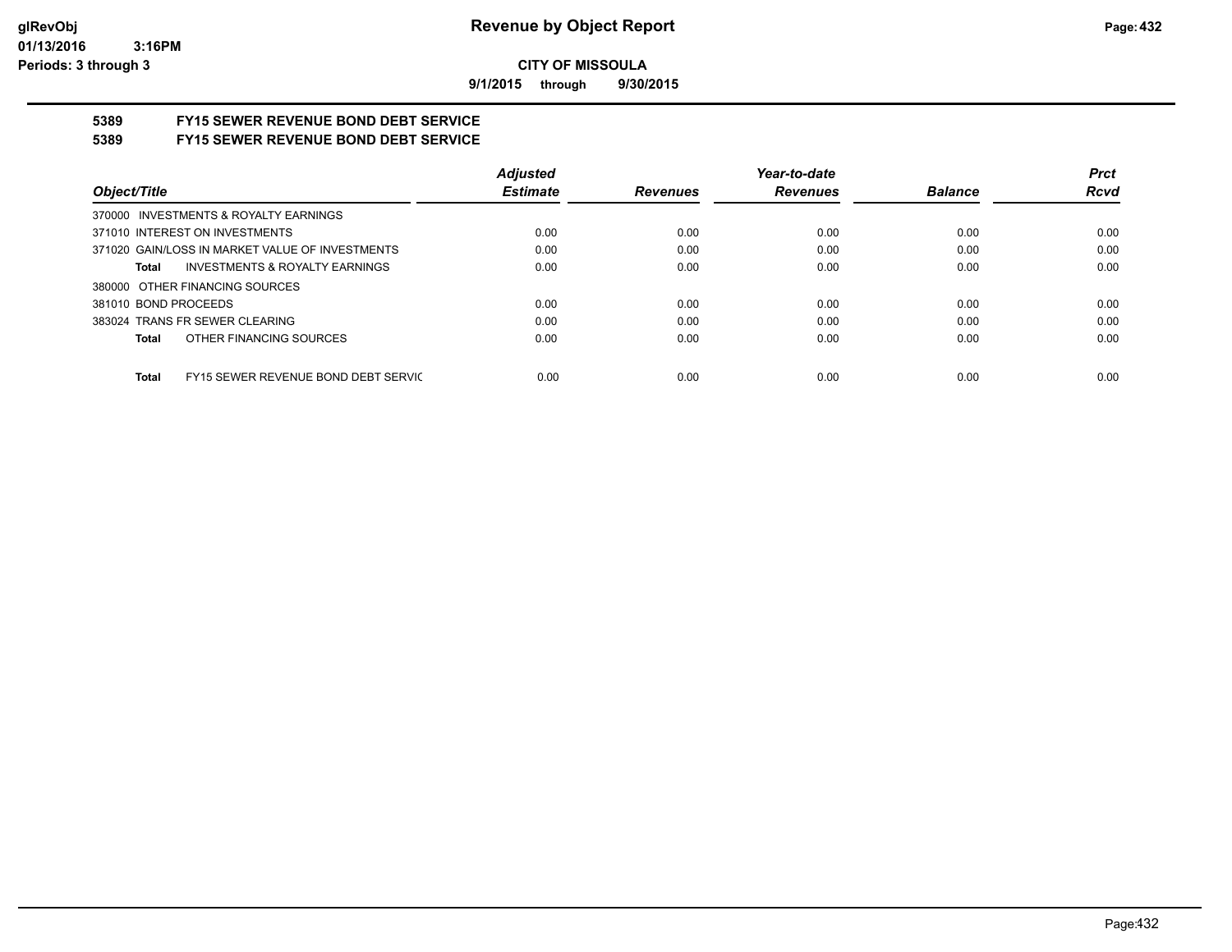**9/1/2015 through 9/30/2015**

# **5389 FY15 SEWER REVENUE BOND DEBT SERVICE**

# **5389 FY15 SEWER REVENUE BOND DEBT SERVICE**

|                                                     | <b>Adjusted</b> |          | Year-to-date    |                | <b>Prct</b> |
|-----------------------------------------------------|-----------------|----------|-----------------|----------------|-------------|
| Object/Title                                        | <b>Estimate</b> | Revenues | <b>Revenues</b> | <b>Balance</b> | <b>Rcvd</b> |
| 370000 INVESTMENTS & ROYALTY EARNINGS               |                 |          |                 |                |             |
| 371010 INTEREST ON INVESTMENTS                      | 0.00            | 0.00     | 0.00            | 0.00           | 0.00        |
| 371020 GAIN/LOSS IN MARKET VALUE OF INVESTMENTS     | 0.00            | 0.00     | 0.00            | 0.00           | 0.00        |
| <b>INVESTMENTS &amp; ROYALTY EARNINGS</b><br>Total  | 0.00            | 0.00     | 0.00            | 0.00           | 0.00        |
| 380000 OTHER FINANCING SOURCES                      |                 |          |                 |                |             |
| 381010 BOND PROCEEDS                                | 0.00            | 0.00     | 0.00            | 0.00           | 0.00        |
| 383024 TRANS FR SEWER CLEARING                      | 0.00            | 0.00     | 0.00            | 0.00           | 0.00        |
| OTHER FINANCING SOURCES<br>Total                    | 0.00            | 0.00     | 0.00            | 0.00           | 0.00        |
|                                                     |                 |          |                 |                |             |
| FY15 SEWER REVENUE BOND DEBT SERVIC<br><b>Total</b> | 0.00            | 0.00     | 0.00            | 0.00           | 0.00        |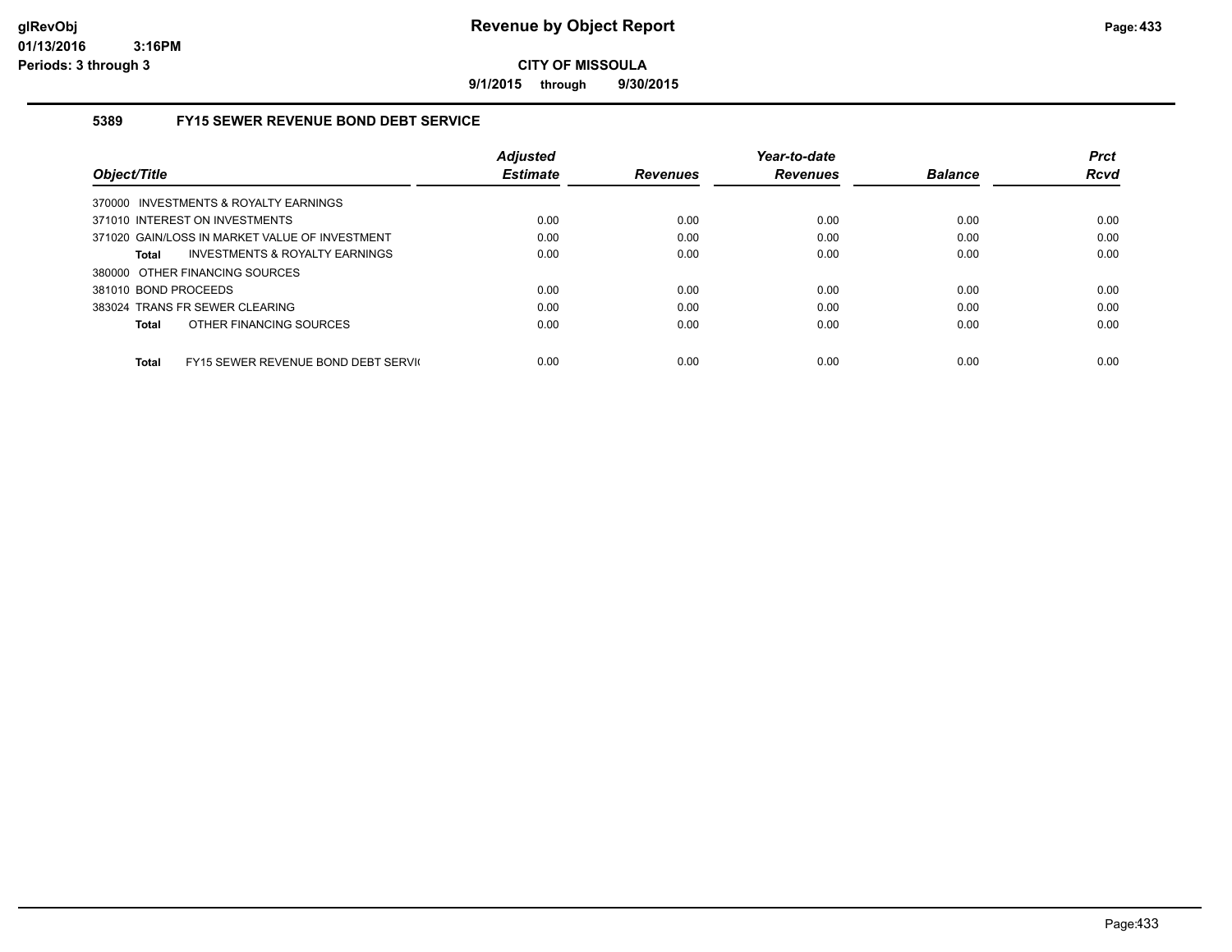**9/1/2015 through 9/30/2015**

## **5389 FY15 SEWER REVENUE BOND DEBT SERVICE**

|                                                     | <b>Adiusted</b> |                 | Year-to-date    |                | <b>Prct</b> |
|-----------------------------------------------------|-----------------|-----------------|-----------------|----------------|-------------|
| Object/Title                                        | <b>Estimate</b> | <b>Revenues</b> | <b>Revenues</b> | <b>Balance</b> | <b>Rcvd</b> |
| 370000 INVESTMENTS & ROYALTY EARNINGS               |                 |                 |                 |                |             |
| 371010 INTEREST ON INVESTMENTS                      | 0.00            | 0.00            | 0.00            | 0.00           | 0.00        |
| 371020 GAIN/LOSS IN MARKET VALUE OF INVESTMENT      | 0.00            | 0.00            | 0.00            | 0.00           | 0.00        |
| INVESTMENTS & ROYALTY EARNINGS<br>Total             | 0.00            | 0.00            | 0.00            | 0.00           | 0.00        |
| 380000 OTHER FINANCING SOURCES                      |                 |                 |                 |                |             |
| 381010 BOND PROCEEDS                                | 0.00            | 0.00            | 0.00            | 0.00           | 0.00        |
| 383024 TRANS FR SEWER CLEARING                      | 0.00            | 0.00            | 0.00            | 0.00           | 0.00        |
| OTHER FINANCING SOURCES<br><b>Total</b>             | 0.00            | 0.00            | 0.00            | 0.00           | 0.00        |
|                                                     |                 |                 |                 |                |             |
| FY15 SEWER REVENUE BOND DEBT SERVIC<br><b>Total</b> | 0.00            | 0.00            | 0.00            | 0.00           | 0.00        |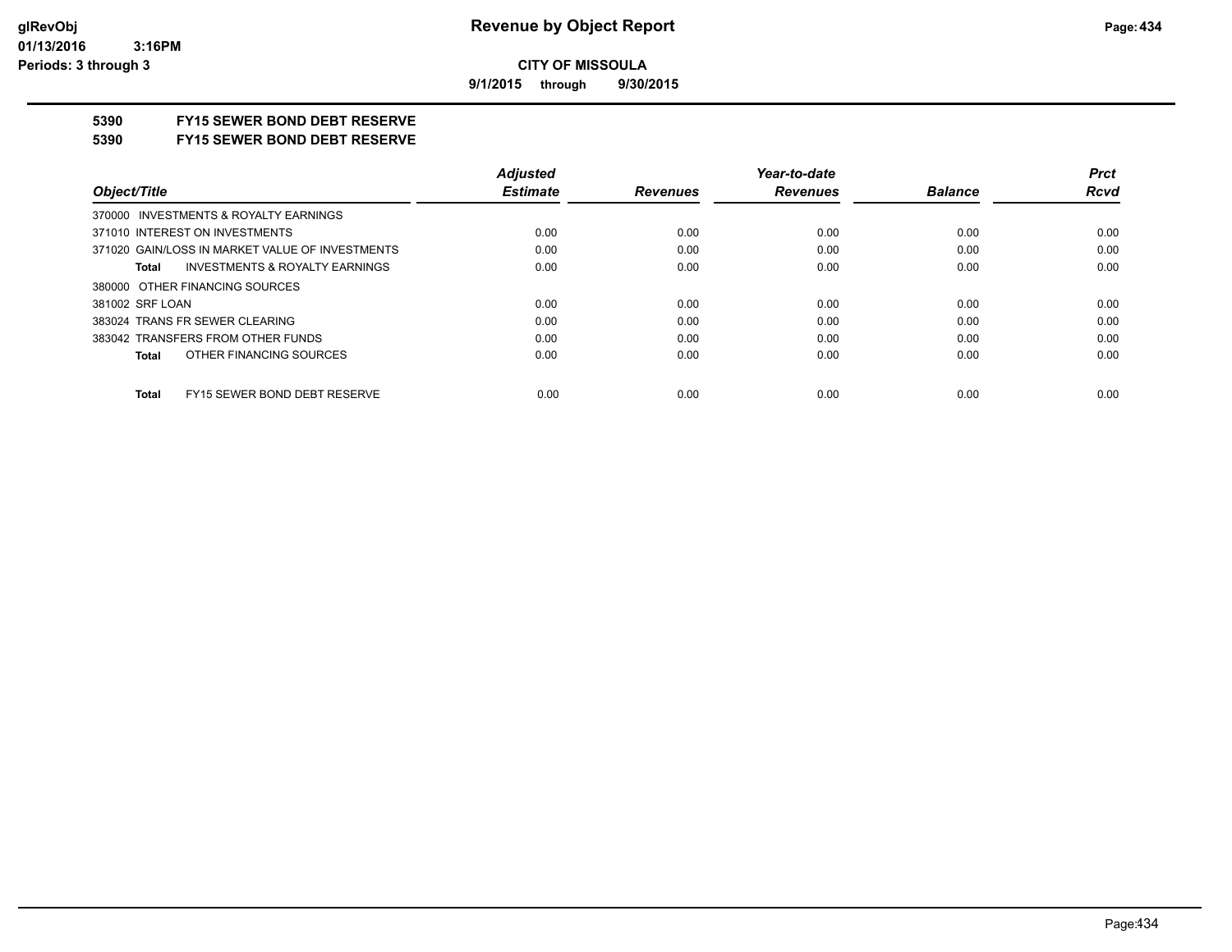**9/1/2015 through 9/30/2015**

## **5390 FY15 SEWER BOND DEBT RESERVE**

#### **5390 FY15 SEWER BOND DEBT RESERVE**

|                                                    | <b>Adjusted</b> |                 | Year-to-date    |                | <b>Prct</b> |
|----------------------------------------------------|-----------------|-----------------|-----------------|----------------|-------------|
| Object/Title                                       | <b>Estimate</b> | <b>Revenues</b> | <b>Revenues</b> | <b>Balance</b> | <b>Rcvd</b> |
| 370000 INVESTMENTS & ROYALTY EARNINGS              |                 |                 |                 |                |             |
| 371010 INTEREST ON INVESTMENTS                     | 0.00            | 0.00            | 0.00            | 0.00           | 0.00        |
| 371020 GAIN/LOSS IN MARKET VALUE OF INVESTMENTS    | 0.00            | 0.00            | 0.00            | 0.00           | 0.00        |
| <b>INVESTMENTS &amp; ROYALTY EARNINGS</b><br>Total | 0.00            | 0.00            | 0.00            | 0.00           | 0.00        |
| 380000 OTHER FINANCING SOURCES                     |                 |                 |                 |                |             |
| 381002 SRF LOAN                                    | 0.00            | 0.00            | 0.00            | 0.00           | 0.00        |
| 383024 TRANS FR SEWER CLEARING                     | 0.00            | 0.00            | 0.00            | 0.00           | 0.00        |
| 383042 TRANSFERS FROM OTHER FUNDS                  | 0.00            | 0.00            | 0.00            | 0.00           | 0.00        |
| OTHER FINANCING SOURCES<br>Total                   | 0.00            | 0.00            | 0.00            | 0.00           | 0.00        |
| FY15 SEWER BOND DEBT RESERVE<br><b>Total</b>       | 0.00            | 0.00            | 0.00            | 0.00           | 0.00        |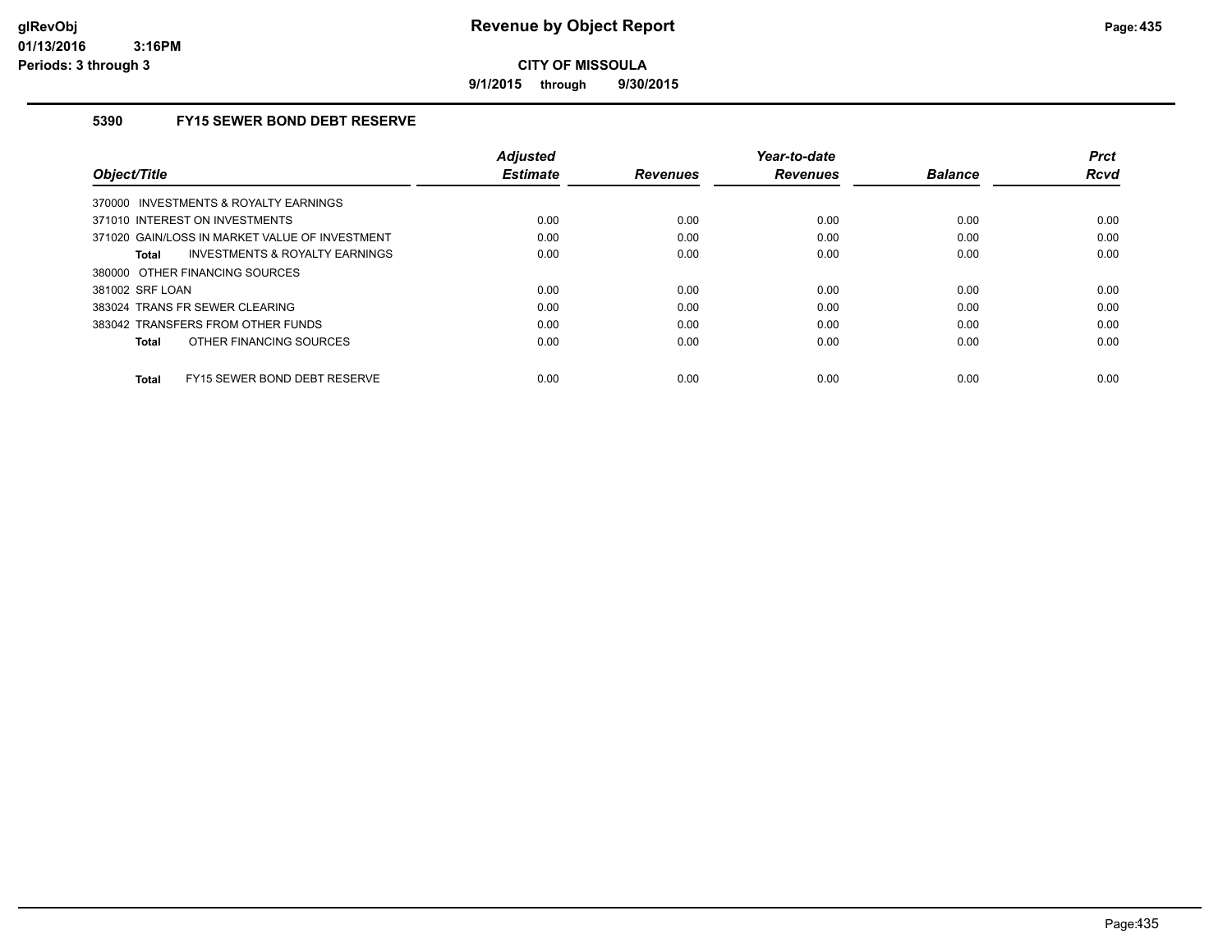**9/1/2015 through 9/30/2015**

## **5390 FY15 SEWER BOND DEBT RESERVE**

| Object/Title                                       | <b>Adjusted</b><br><b>Estimate</b> | <b>Revenues</b> | Year-to-date<br><b>Revenues</b> | <b>Balance</b> | <b>Prct</b><br>Rcvd |
|----------------------------------------------------|------------------------------------|-----------------|---------------------------------|----------------|---------------------|
| 370000 INVESTMENTS & ROYALTY EARNINGS              |                                    |                 |                                 |                |                     |
| 371010 INTEREST ON INVESTMENTS                     | 0.00                               | 0.00            | 0.00                            | 0.00           | 0.00                |
| 371020 GAIN/LOSS IN MARKET VALUE OF INVESTMENT     | 0.00                               | 0.00            | 0.00                            | 0.00           | 0.00                |
| <b>INVESTMENTS &amp; ROYALTY EARNINGS</b><br>Total | 0.00                               | 0.00            | 0.00                            | 0.00           | 0.00                |
| 380000 OTHER FINANCING SOURCES                     |                                    |                 |                                 |                |                     |
| 381002 SRF LOAN                                    | 0.00                               | 0.00            | 0.00                            | 0.00           | 0.00                |
| 383024 TRANS FR SEWER CLEARING                     | 0.00                               | 0.00            | 0.00                            | 0.00           | 0.00                |
| 383042 TRANSFERS FROM OTHER FUNDS                  | 0.00                               | 0.00            | 0.00                            | 0.00           | 0.00                |
| OTHER FINANCING SOURCES<br>Total                   | 0.00                               | 0.00            | 0.00                            | 0.00           | 0.00                |
| FY15 SEWER BOND DEBT RESERVE<br>Total              | 0.00                               | 0.00            | 0.00                            | 0.00           | 0.00                |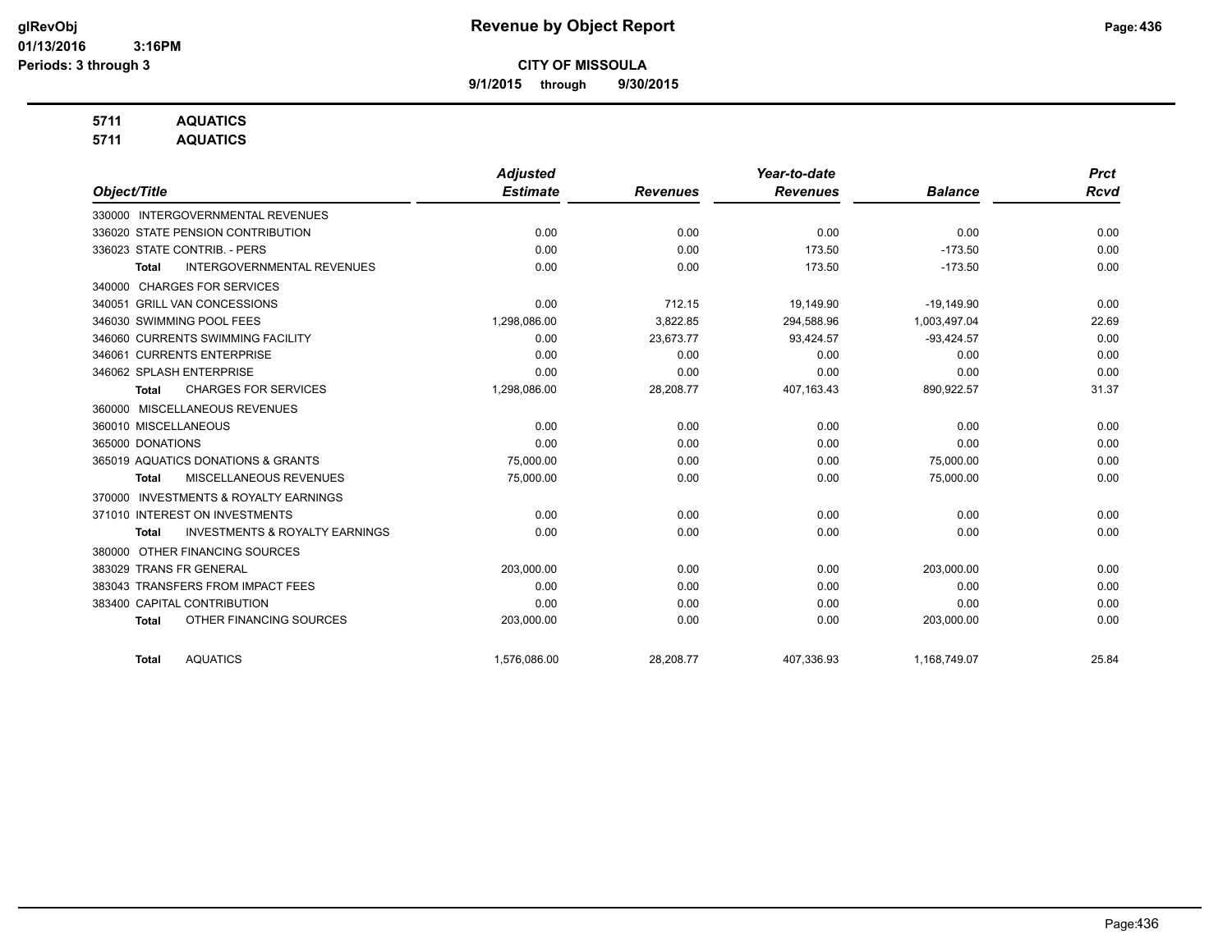**9/1/2015 through 9/30/2015**

## **5711 AQUATICS**

**5711 AQUATICS**

|                                                           | <b>Adjusted</b> |                 | Year-to-date    |                | <b>Prct</b> |
|-----------------------------------------------------------|-----------------|-----------------|-----------------|----------------|-------------|
| Object/Title                                              | <b>Estimate</b> | <b>Revenues</b> | <b>Revenues</b> | <b>Balance</b> | <b>Rcvd</b> |
| 330000 INTERGOVERNMENTAL REVENUES                         |                 |                 |                 |                |             |
| 336020 STATE PENSION CONTRIBUTION                         | 0.00            | 0.00            | 0.00            | 0.00           | 0.00        |
| 336023 STATE CONTRIB. - PERS                              | 0.00            | 0.00            | 173.50          | $-173.50$      | 0.00        |
| <b>INTERGOVERNMENTAL REVENUES</b><br>Total                | 0.00            | 0.00            | 173.50          | $-173.50$      | 0.00        |
| <b>CHARGES FOR SERVICES</b><br>340000                     |                 |                 |                 |                |             |
| 340051 GRILL VAN CONCESSIONS                              | 0.00            | 712.15          | 19,149.90       | $-19,149.90$   | 0.00        |
| 346030 SWIMMING POOL FEES                                 | 1,298,086.00    | 3,822.85        | 294,588.96      | 1,003,497.04   | 22.69       |
| 346060 CURRENTS SWIMMING FACILITY                         | 0.00            | 23,673.77       | 93,424.57       | $-93,424.57$   | 0.00        |
| 346061 CURRENTS ENTERPRISE                                | 0.00            | 0.00            | 0.00            | 0.00           | 0.00        |
| 346062 SPLASH ENTERPRISE                                  | 0.00            | 0.00            | 0.00            | 0.00           | 0.00        |
| <b>CHARGES FOR SERVICES</b><br><b>Total</b>               | 1,298,086.00    | 28,208.77       | 407,163.43      | 890,922.57     | 31.37       |
| 360000 MISCELLANEOUS REVENUES                             |                 |                 |                 |                |             |
| 360010 MISCELLANEOUS                                      | 0.00            | 0.00            | 0.00            | 0.00           | 0.00        |
| 365000 DONATIONS                                          | 0.00            | 0.00            | 0.00            | 0.00           | 0.00        |
| 365019 AQUATICS DONATIONS & GRANTS                        | 75,000.00       | 0.00            | 0.00            | 75,000.00      | 0.00        |
| MISCELLANEOUS REVENUES<br><b>Total</b>                    | 75,000.00       | 0.00            | 0.00            | 75,000.00      | 0.00        |
| <b>INVESTMENTS &amp; ROYALTY EARNINGS</b><br>370000       |                 |                 |                 |                |             |
| 371010 INTEREST ON INVESTMENTS                            | 0.00            | 0.00            | 0.00            | 0.00           | 0.00        |
| <b>INVESTMENTS &amp; ROYALTY EARNINGS</b><br><b>Total</b> | 0.00            | 0.00            | 0.00            | 0.00           | 0.00        |
| OTHER FINANCING SOURCES<br>380000                         |                 |                 |                 |                |             |
| 383029 TRANS FR GENERAL                                   | 203,000.00      | 0.00            | 0.00            | 203,000.00     | 0.00        |
| 383043 TRANSFERS FROM IMPACT FEES                         | 0.00            | 0.00            | 0.00            | 0.00           | 0.00        |
| 383400 CAPITAL CONTRIBUTION                               | 0.00            | 0.00            | 0.00            | 0.00           | 0.00        |
| OTHER FINANCING SOURCES<br><b>Total</b>                   | 203,000.00      | 0.00            | 0.00            | 203,000.00     | 0.00        |
| <b>AQUATICS</b><br><b>Total</b>                           | 1,576,086.00    | 28,208.77       | 407,336.93      | 1,168,749.07   | 25.84       |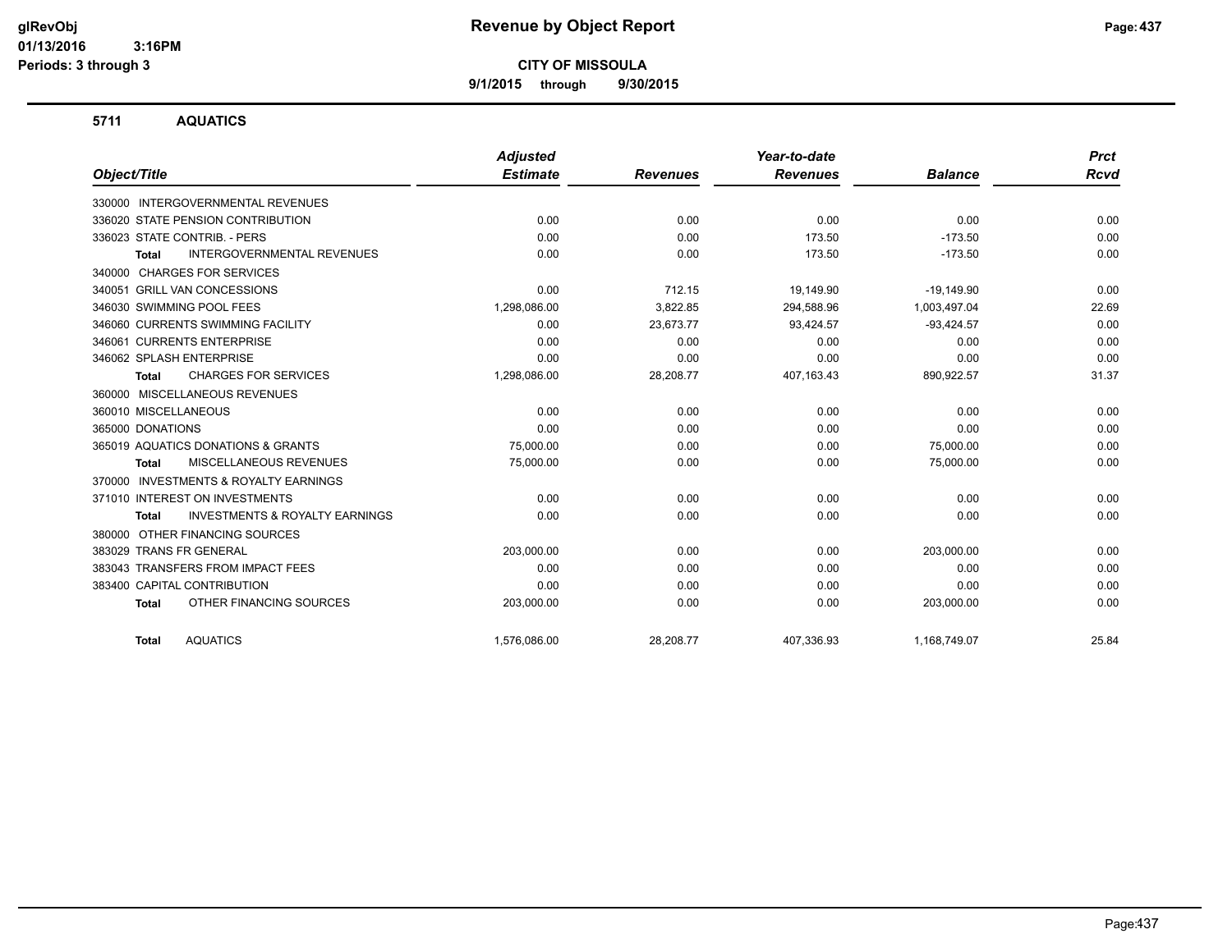**9/1/2015 through 9/30/2015**

## **5711 AQUATICS**

|                                                           | <b>Adjusted</b> |                 | Year-to-date    |                | <b>Prct</b> |
|-----------------------------------------------------------|-----------------|-----------------|-----------------|----------------|-------------|
| Object/Title                                              | <b>Estimate</b> | <b>Revenues</b> | <b>Revenues</b> | <b>Balance</b> | <b>Rcvd</b> |
| 330000 INTERGOVERNMENTAL REVENUES                         |                 |                 |                 |                |             |
| 336020 STATE PENSION CONTRIBUTION                         | 0.00            | 0.00            | 0.00            | 0.00           | 0.00        |
| 336023 STATE CONTRIB. - PERS                              | 0.00            | 0.00            | 173.50          | $-173.50$      | 0.00        |
| <b>INTERGOVERNMENTAL REVENUES</b><br><b>Total</b>         | 0.00            | 0.00            | 173.50          | $-173.50$      | 0.00        |
| <b>CHARGES FOR SERVICES</b><br>340000                     |                 |                 |                 |                |             |
| 340051 GRILL VAN CONCESSIONS                              | 0.00            | 712.15          | 19.149.90       | $-19.149.90$   | 0.00        |
| 346030 SWIMMING POOL FEES                                 | 1,298,086.00    | 3,822.85        | 294,588.96      | 1,003,497.04   | 22.69       |
| 346060 CURRENTS SWIMMING FACILITY                         | 0.00            | 23,673.77       | 93,424.57       | $-93,424.57$   | 0.00        |
| 346061 CURRENTS ENTERPRISE                                | 0.00            | 0.00            | 0.00            | 0.00           | 0.00        |
| 346062 SPLASH ENTERPRISE                                  | 0.00            | 0.00            | 0.00            | 0.00           | 0.00        |
| <b>CHARGES FOR SERVICES</b><br><b>Total</b>               | 1,298,086.00    | 28,208.77       | 407,163.43      | 890,922.57     | 31.37       |
| MISCELLANEOUS REVENUES<br>360000                          |                 |                 |                 |                |             |
| 360010 MISCELLANEOUS                                      | 0.00            | 0.00            | 0.00            | 0.00           | 0.00        |
| 365000 DONATIONS                                          | 0.00            | 0.00            | 0.00            | 0.00           | 0.00        |
| 365019 AQUATICS DONATIONS & GRANTS                        | 75,000.00       | 0.00            | 0.00            | 75,000.00      | 0.00        |
| MISCELLANEOUS REVENUES<br><b>Total</b>                    | 75,000.00       | 0.00            | 0.00            | 75,000.00      | 0.00        |
| <b>INVESTMENTS &amp; ROYALTY EARNINGS</b><br>370000       |                 |                 |                 |                |             |
| 371010 INTEREST ON INVESTMENTS                            | 0.00            | 0.00            | 0.00            | 0.00           | 0.00        |
| <b>INVESTMENTS &amp; ROYALTY EARNINGS</b><br><b>Total</b> | 0.00            | 0.00            | 0.00            | 0.00           | 0.00        |
| OTHER FINANCING SOURCES<br>380000                         |                 |                 |                 |                |             |
| 383029 TRANS FR GENERAL                                   | 203,000.00      | 0.00            | 0.00            | 203,000.00     | 0.00        |
| 383043 TRANSFERS FROM IMPACT FEES                         | 0.00            | 0.00            | 0.00            | 0.00           | 0.00        |
| 383400 CAPITAL CONTRIBUTION                               | 0.00            | 0.00            | 0.00            | 0.00           | 0.00        |
| OTHER FINANCING SOURCES<br><b>Total</b>                   | 203,000.00      | 0.00            | 0.00            | 203,000.00     | 0.00        |
| <b>AQUATICS</b><br><b>Total</b>                           | 1,576,086.00    | 28,208.77       | 407,336.93      | 1,168,749.07   | 25.84       |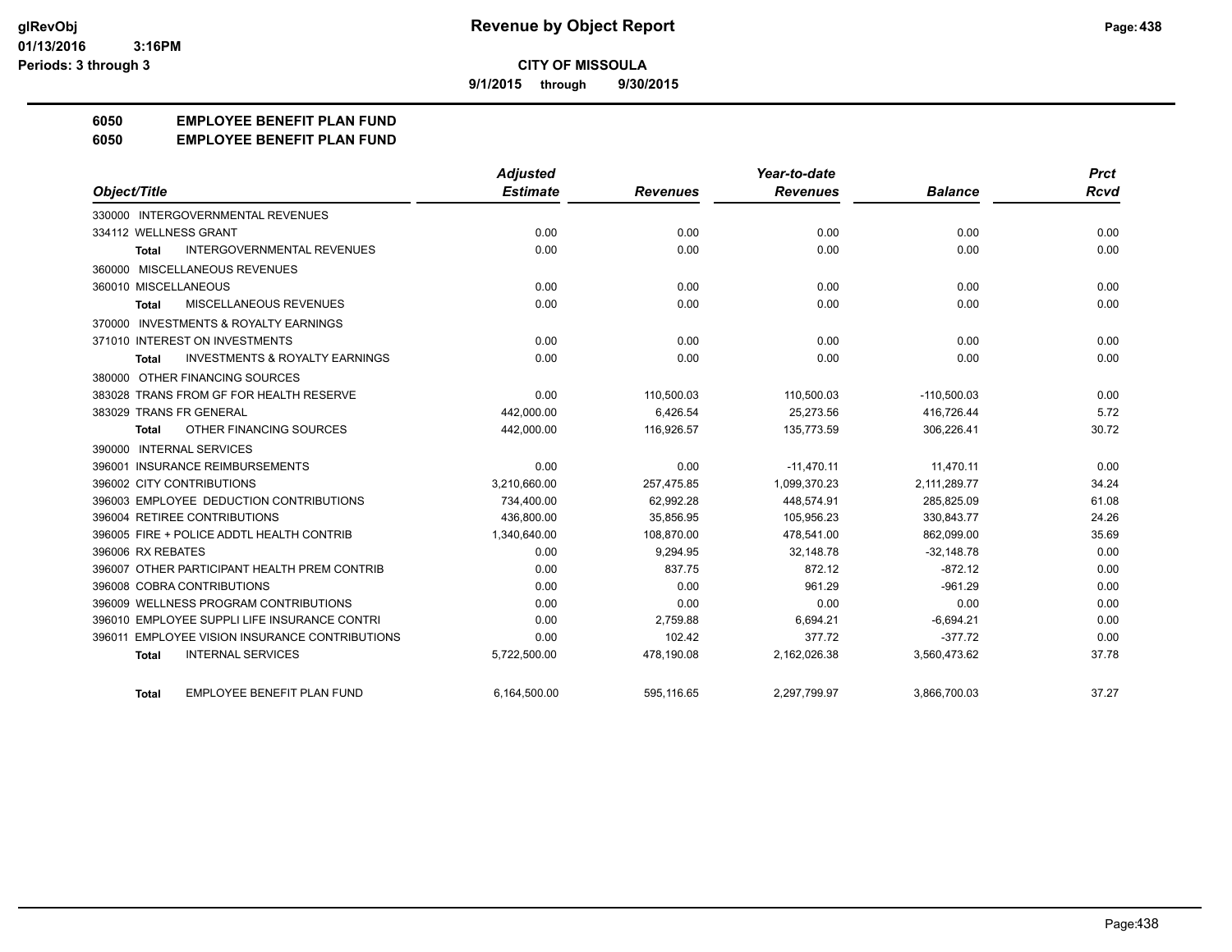**9/1/2015 through 9/30/2015**

## **6050 EMPLOYEE BENEFIT PLAN FUND**

**6050 EMPLOYEE BENEFIT PLAN FUND**

|                                                           | Adjusted        |                 | Year-to-date    |                | <b>Prct</b> |
|-----------------------------------------------------------|-----------------|-----------------|-----------------|----------------|-------------|
| Object/Title                                              | <b>Estimate</b> | <b>Revenues</b> | <b>Revenues</b> | <b>Balance</b> | <b>Rcvd</b> |
| 330000 INTERGOVERNMENTAL REVENUES                         |                 |                 |                 |                |             |
| 334112 WELLNESS GRANT                                     | 0.00            | 0.00            | 0.00            | 0.00           | 0.00        |
| <b>INTERGOVERNMENTAL REVENUES</b><br>Total                | 0.00            | 0.00            | 0.00            | 0.00           | 0.00        |
| 360000 MISCELLANEOUS REVENUES                             |                 |                 |                 |                |             |
| 360010 MISCELLANEOUS                                      | 0.00            | 0.00            | 0.00            | 0.00           | 0.00        |
| MISCELLANEOUS REVENUES<br><b>Total</b>                    | 0.00            | 0.00            | 0.00            | 0.00           | 0.00        |
| 370000 INVESTMENTS & ROYALTY EARNINGS                     |                 |                 |                 |                |             |
| 371010 INTEREST ON INVESTMENTS                            | 0.00            | 0.00            | 0.00            | 0.00           | 0.00        |
| <b>INVESTMENTS &amp; ROYALTY EARNINGS</b><br><b>Total</b> | 0.00            | 0.00            | 0.00            | 0.00           | 0.00        |
| 380000 OTHER FINANCING SOURCES                            |                 |                 |                 |                |             |
| 383028 TRANS FROM GF FOR HEALTH RESERVE                   | 0.00            | 110,500.03      | 110,500.03      | $-110,500.03$  | 0.00        |
| 383029 TRANS FR GENERAL                                   | 442.000.00      | 6.426.54        | 25.273.56       | 416.726.44     | 5.72        |
| OTHER FINANCING SOURCES<br><b>Total</b>                   | 442,000.00      | 116,926.57      | 135,773.59      | 306,226.41     | 30.72       |
| 390000 INTERNAL SERVICES                                  |                 |                 |                 |                |             |
| 396001 INSURANCE REIMBURSEMENTS                           | 0.00            | 0.00            | $-11,470.11$    | 11,470.11      | 0.00        |
| 396002 CITY CONTRIBUTIONS                                 | 3,210,660.00    | 257,475.85      | 1,099,370.23    | 2,111,289.77   | 34.24       |
| 396003 EMPLOYEE DEDUCTION CONTRIBUTIONS                   | 734,400.00      | 62,992.28       | 448.574.91      | 285,825.09     | 61.08       |
| 396004 RETIREE CONTRIBUTIONS                              | 436,800.00      | 35,856.95       | 105,956.23      | 330,843.77     | 24.26       |
| 396005 FIRE + POLICE ADDTL HEALTH CONTRIB                 | 1,340,640.00    | 108.870.00      | 478.541.00      | 862.099.00     | 35.69       |
| 396006 RX REBATES                                         | 0.00            | 9,294.95        | 32,148.78       | $-32,148.78$   | 0.00        |
| 396007 OTHER PARTICIPANT HEALTH PREM CONTRIB              | 0.00            | 837.75          | 872.12          | $-872.12$      | 0.00        |
| 396008 COBRA CONTRIBUTIONS                                | 0.00            | 0.00            | 961.29          | $-961.29$      | 0.00        |
| 396009 WELLNESS PROGRAM CONTRIBUTIONS                     | 0.00            | 0.00            | 0.00            | 0.00           | 0.00        |
| 396010 EMPLOYEE SUPPLI LIFE INSURANCE CONTRI              | 0.00            | 2,759.88        | 6,694.21        | $-6,694.21$    | 0.00        |
| 396011 EMPLOYEE VISION INSURANCE CONTRIBUTIONS            | 0.00            | 102.42          | 377.72          | $-377.72$      | 0.00        |
| <b>INTERNAL SERVICES</b><br><b>Total</b>                  | 5,722,500.00    | 478,190.08      | 2,162,026.38    | 3,560,473.62   | 37.78       |
| <b>EMPLOYEE BENEFIT PLAN FUND</b><br><b>Total</b>         | 6,164,500.00    | 595.116.65      | 2,297,799.97    | 3,866,700.03   | 37.27       |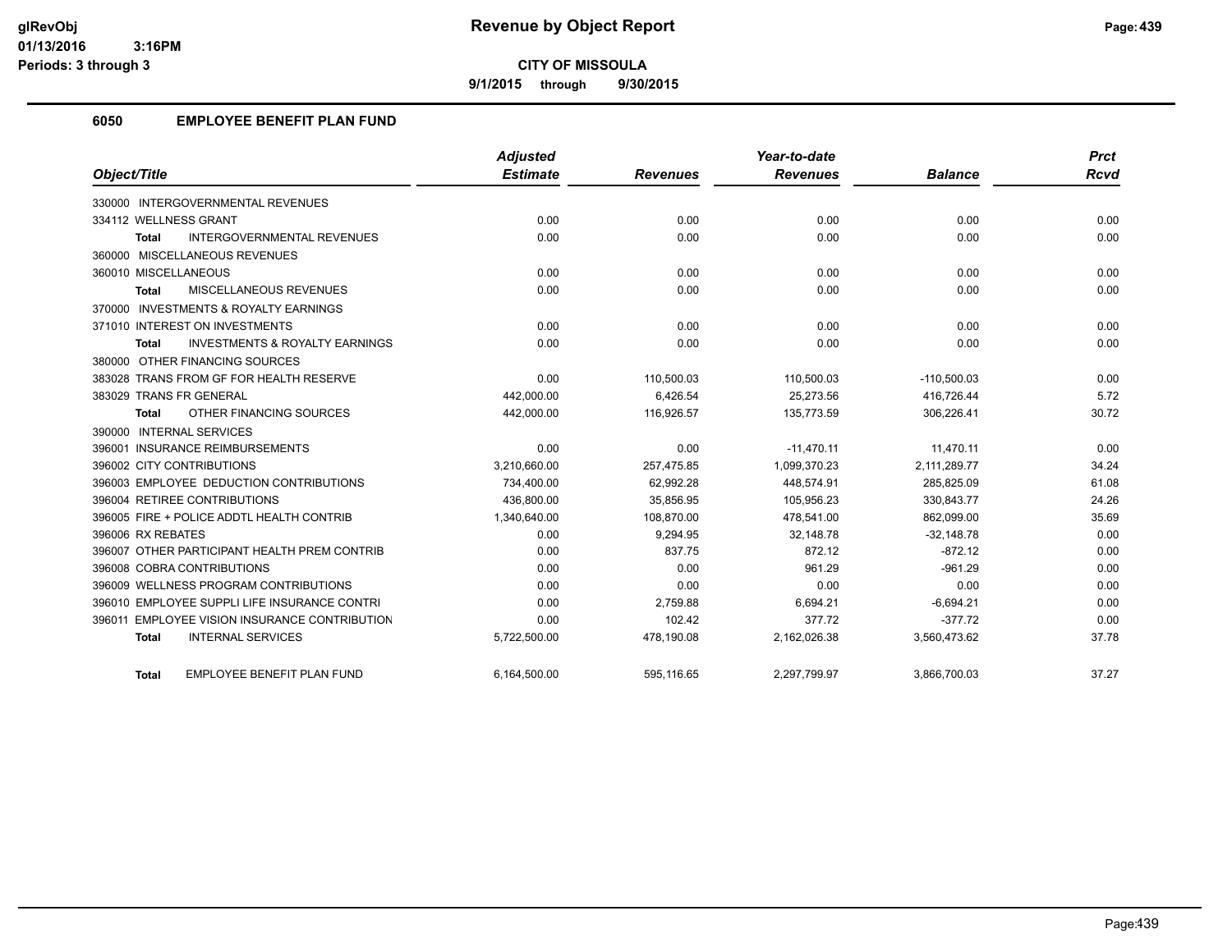**9/1/2015 through 9/30/2015**

## **6050 EMPLOYEE BENEFIT PLAN FUND**

|                                                           | <b>Adjusted</b> |                 | Year-to-date    |                | <b>Prct</b> |
|-----------------------------------------------------------|-----------------|-----------------|-----------------|----------------|-------------|
| Object/Title                                              | <b>Estimate</b> | <b>Revenues</b> | <b>Revenues</b> | <b>Balance</b> | <b>Rcvd</b> |
| 330000 INTERGOVERNMENTAL REVENUES                         |                 |                 |                 |                |             |
| 334112 WELLNESS GRANT                                     | 0.00            | 0.00            | 0.00            | 0.00           | 0.00        |
| <b>INTERGOVERNMENTAL REVENUES</b><br>Total                | 0.00            | 0.00            | 0.00            | 0.00           | 0.00        |
| 360000 MISCELLANEOUS REVENUES                             |                 |                 |                 |                |             |
| 360010 MISCELLANEOUS                                      | 0.00            | 0.00            | 0.00            | 0.00           | 0.00        |
| <b>MISCELLANEOUS REVENUES</b><br><b>Total</b>             | 0.00            | 0.00            | 0.00            | 0.00           | 0.00        |
| 370000 INVESTMENTS & ROYALTY EARNINGS                     |                 |                 |                 |                |             |
| 371010 INTEREST ON INVESTMENTS                            | 0.00            | 0.00            | 0.00            | 0.00           | 0.00        |
| <b>INVESTMENTS &amp; ROYALTY EARNINGS</b><br><b>Total</b> | 0.00            | 0.00            | 0.00            | 0.00           | 0.00        |
| 380000 OTHER FINANCING SOURCES                            |                 |                 |                 |                |             |
| 383028 TRANS FROM GF FOR HEALTH RESERVE                   | 0.00            | 110.500.03      | 110,500.03      | $-110,500.03$  | 0.00        |
| 383029 TRANS FR GENERAL                                   | 442,000.00      | 6,426.54        | 25,273.56       | 416,726.44     | 5.72        |
| OTHER FINANCING SOURCES<br><b>Total</b>                   | 442,000.00      | 116,926.57      | 135,773.59      | 306,226.41     | 30.72       |
| 390000 INTERNAL SERVICES                                  |                 |                 |                 |                |             |
| 396001 INSURANCE REIMBURSEMENTS                           | 0.00            | 0.00            | $-11.470.11$    | 11.470.11      | 0.00        |
| 396002 CITY CONTRIBUTIONS                                 | 3,210,660.00    | 257.475.85      | 1,099,370.23    | 2,111,289.77   | 34.24       |
| 396003 EMPLOYEE DEDUCTION CONTRIBUTIONS                   | 734,400.00      | 62,992.28       | 448,574.91      | 285,825.09     | 61.08       |
| 396004 RETIREE CONTRIBUTIONS                              | 436,800.00      | 35,856.95       | 105,956.23      | 330,843.77     | 24.26       |
| 396005 FIRE + POLICE ADDTL HEALTH CONTRIB                 | 1,340,640.00    | 108,870.00      | 478,541.00      | 862,099.00     | 35.69       |
| 396006 RX REBATES                                         | 0.00            | 9,294.95        | 32,148.78       | $-32,148.78$   | 0.00        |
| 396007 OTHER PARTICIPANT HEALTH PREM CONTRIB              | 0.00            | 837.75          | 872.12          | $-872.12$      | 0.00        |
| 396008 COBRA CONTRIBUTIONS                                | 0.00            | 0.00            | 961.29          | $-961.29$      | 0.00        |
| 396009 WELLNESS PROGRAM CONTRIBUTIONS                     | 0.00            | 0.00            | 0.00            | 0.00           | 0.00        |
| 396010 EMPLOYEE SUPPLI LIFE INSURANCE CONTRI              | 0.00            | 2,759.88        | 6,694.21        | $-6,694.21$    | 0.00        |
| 396011 EMPLOYEE VISION INSURANCE CONTRIBUTION             | 0.00            | 102.42          | 377.72          | $-377.72$      | 0.00        |
| <b>INTERNAL SERVICES</b><br><b>Total</b>                  | 5,722,500.00    | 478,190.08      | 2,162,026.38    | 3,560,473.62   | 37.78       |
| <b>EMPLOYEE BENEFIT PLAN FUND</b><br>Total                | 6,164,500.00    | 595,116.65      | 2,297,799.97    | 3,866,700.03   | 37.27       |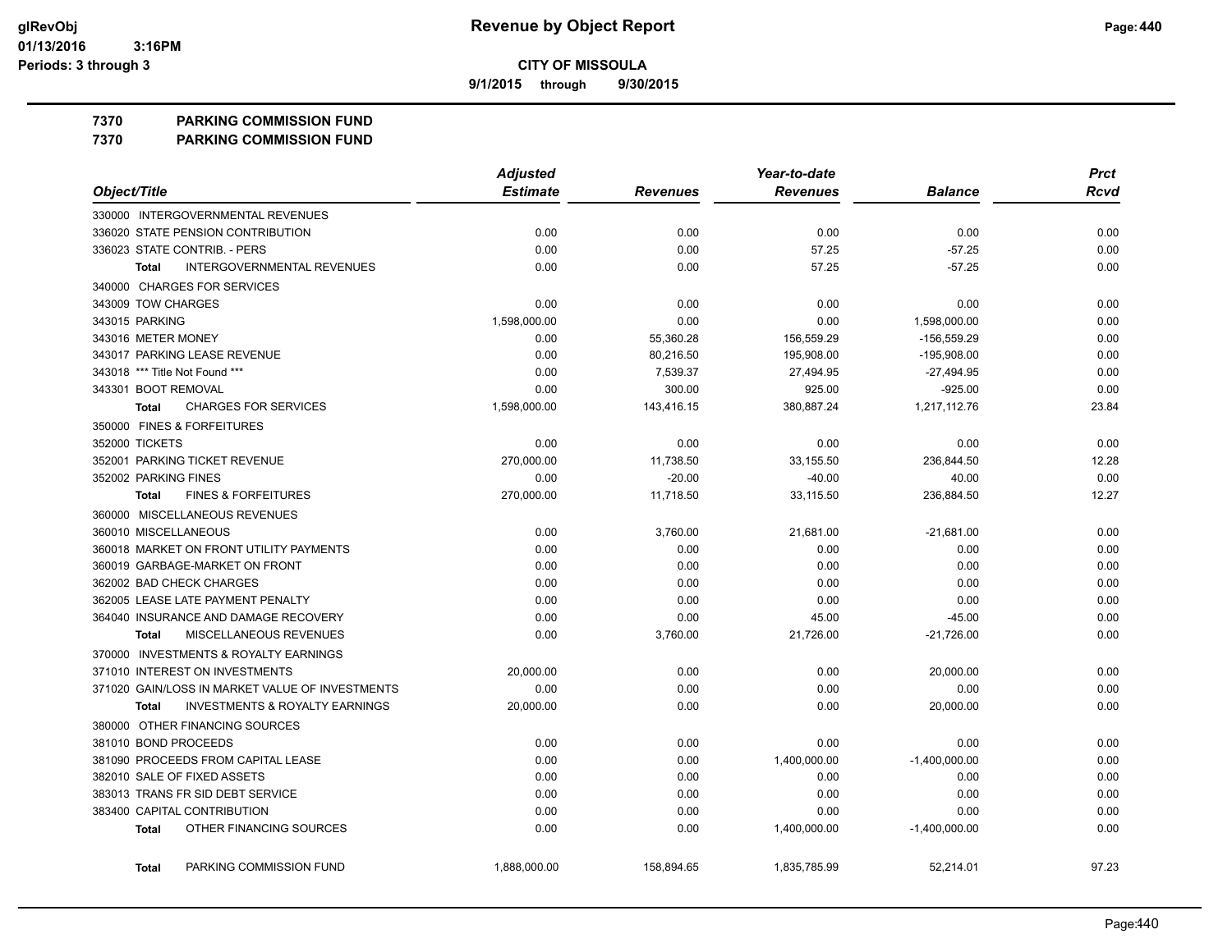**9/1/2015 through 9/30/2015**

## **7370 PARKING COMMISSION FUND**

**7370 PARKING COMMISSION FUND**

|                                                           | <b>Adjusted</b> | Year-to-date    |                 |                 | <b>Prct</b> |  |
|-----------------------------------------------------------|-----------------|-----------------|-----------------|-----------------|-------------|--|
| Object/Title                                              | <b>Estimate</b> | <b>Revenues</b> | <b>Revenues</b> | <b>Balance</b>  | Rcvd        |  |
| 330000 INTERGOVERNMENTAL REVENUES                         |                 |                 |                 |                 |             |  |
| 336020 STATE PENSION CONTRIBUTION                         | 0.00            | 0.00            | 0.00            | 0.00            | 0.00        |  |
| 336023 STATE CONTRIB. - PERS                              | 0.00            | 0.00            | 57.25           | $-57.25$        | 0.00        |  |
| <b>INTERGOVERNMENTAL REVENUES</b><br><b>Total</b>         | 0.00            | 0.00            | 57.25           | $-57.25$        | 0.00        |  |
| 340000 CHARGES FOR SERVICES                               |                 |                 |                 |                 |             |  |
| 343009 TOW CHARGES                                        | 0.00            | 0.00            | 0.00            | 0.00            | 0.00        |  |
| 343015 PARKING                                            | 1,598,000.00    | 0.00            | 0.00            | 1,598,000.00    | 0.00        |  |
| 343016 METER MONEY                                        | 0.00            | 55,360.28       | 156,559.29      | -156,559.29     | 0.00        |  |
| 343017 PARKING LEASE REVENUE                              | 0.00            | 80,216.50       | 195,908.00      | $-195,908.00$   | 0.00        |  |
| 343018 *** Title Not Found ***                            | 0.00            | 7,539.37        | 27,494.95       | $-27,494.95$    | 0.00        |  |
| 343301 BOOT REMOVAL                                       | 0.00            | 300.00          | 925.00          | $-925.00$       | 0.00        |  |
| <b>CHARGES FOR SERVICES</b><br>Total                      | 1,598,000.00    | 143,416.15      | 380,887.24      | 1,217,112.76    | 23.84       |  |
| 350000 FINES & FORFEITURES                                |                 |                 |                 |                 |             |  |
| 352000 TICKETS                                            | 0.00            | 0.00            | 0.00            | 0.00            | 0.00        |  |
| 352001 PARKING TICKET REVENUE                             | 270,000.00      | 11,738.50       | 33,155.50       | 236,844.50      | 12.28       |  |
| 352002 PARKING FINES                                      | 0.00            | $-20.00$        | $-40.00$        | 40.00           | 0.00        |  |
| <b>FINES &amp; FORFEITURES</b><br><b>Total</b>            | 270,000.00      | 11,718.50       | 33,115.50       | 236,884.50      | 12.27       |  |
| 360000 MISCELLANEOUS REVENUES                             |                 |                 |                 |                 |             |  |
| 360010 MISCELLANEOUS                                      | 0.00            | 3,760.00        | 21,681.00       | $-21,681.00$    | 0.00        |  |
| 360018 MARKET ON FRONT UTILITY PAYMENTS                   | 0.00            | 0.00            | 0.00            | 0.00            | 0.00        |  |
| 360019 GARBAGE-MARKET ON FRONT                            | 0.00            | 0.00            | 0.00            | 0.00            | 0.00        |  |
| 362002 BAD CHECK CHARGES                                  | 0.00            | 0.00            | 0.00            | 0.00            | 0.00        |  |
| 362005 LEASE LATE PAYMENT PENALTY                         | 0.00            | 0.00            | 0.00            | 0.00            | 0.00        |  |
| 364040 INSURANCE AND DAMAGE RECOVERY                      | 0.00            | 0.00            | 45.00           | $-45.00$        | 0.00        |  |
| MISCELLANEOUS REVENUES<br><b>Total</b>                    | 0.00            | 3,760.00        | 21,726.00       | $-21,726.00$    | 0.00        |  |
| 370000 INVESTMENTS & ROYALTY EARNINGS                     |                 |                 |                 |                 |             |  |
| 371010 INTEREST ON INVESTMENTS                            | 20,000.00       | 0.00            | 0.00            | 20,000.00       | 0.00        |  |
| 371020 GAIN/LOSS IN MARKET VALUE OF INVESTMENTS           | 0.00            | 0.00            | 0.00            | 0.00            | 0.00        |  |
| <b>INVESTMENTS &amp; ROYALTY EARNINGS</b><br><b>Total</b> | 20,000.00       | 0.00            | 0.00            | 20,000.00       | 0.00        |  |
| 380000 OTHER FINANCING SOURCES                            |                 |                 |                 |                 |             |  |
| 381010 BOND PROCEEDS                                      | 0.00            | 0.00            | 0.00            | 0.00            | 0.00        |  |
| 381090 PROCEEDS FROM CAPITAL LEASE                        | 0.00            | 0.00            | 1,400,000.00    | $-1,400,000.00$ | 0.00        |  |
| 382010 SALE OF FIXED ASSETS                               | 0.00            | 0.00            | 0.00            | 0.00            | 0.00        |  |
| 383013 TRANS FR SID DEBT SERVICE                          | 0.00            | 0.00            | 0.00            | 0.00            | 0.00        |  |
| 383400 CAPITAL CONTRIBUTION                               | 0.00            | 0.00            | 0.00            | 0.00            | 0.00        |  |
| OTHER FINANCING SOURCES<br><b>Total</b>                   | 0.00            | 0.00            | 1,400,000.00    | $-1,400,000.00$ | 0.00        |  |
| PARKING COMMISSION FUND<br><b>Total</b>                   | 1,888,000.00    | 158,894.65      | 1,835,785.99    | 52,214.01       | 97.23       |  |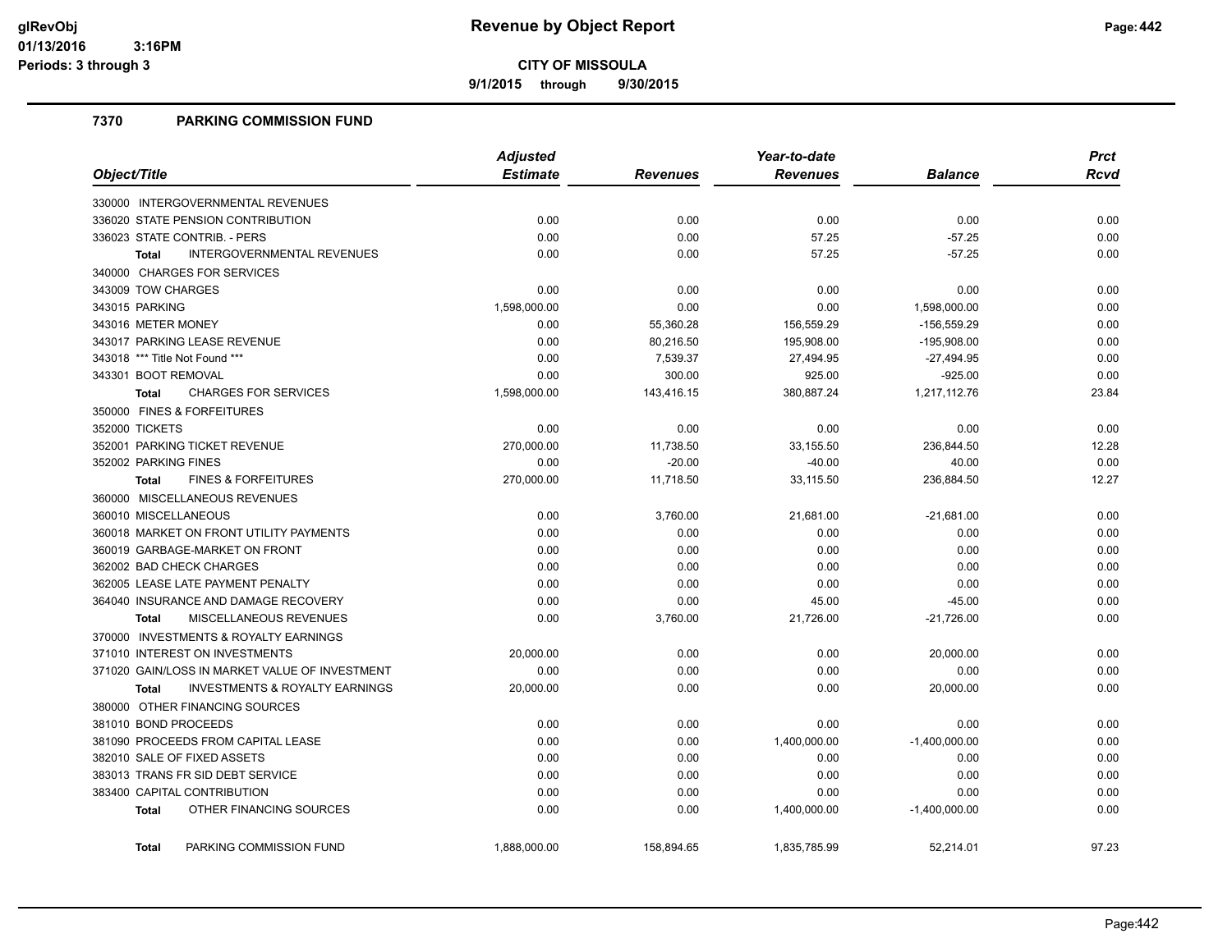**9/1/2015 through 9/30/2015**

## **7370 PARKING COMMISSION FUND**

|                                                           | <b>Adjusted</b> |                 | Year-to-date    | <b>Prct</b>     |             |
|-----------------------------------------------------------|-----------------|-----------------|-----------------|-----------------|-------------|
| Object/Title                                              | <b>Estimate</b> | <b>Revenues</b> | <b>Revenues</b> | <b>Balance</b>  | <b>Rcvd</b> |
| 330000 INTERGOVERNMENTAL REVENUES                         |                 |                 |                 |                 |             |
| 336020 STATE PENSION CONTRIBUTION                         | 0.00            | 0.00            | 0.00            | 0.00            | 0.00        |
| 336023 STATE CONTRIB. - PERS                              | 0.00            | 0.00            | 57.25           | $-57.25$        | 0.00        |
| <b>INTERGOVERNMENTAL REVENUES</b><br><b>Total</b>         | 0.00            | 0.00            | 57.25           | $-57.25$        | 0.00        |
| 340000 CHARGES FOR SERVICES                               |                 |                 |                 |                 |             |
| 343009 TOW CHARGES                                        | 0.00            | 0.00            | 0.00            | 0.00            | 0.00        |
| 343015 PARKING                                            | 1,598,000.00    | 0.00            | 0.00            | 1,598,000.00    | 0.00        |
| 343016 METER MONEY                                        | 0.00            | 55,360.28       | 156,559.29      | $-156,559.29$   | 0.00        |
| 343017 PARKING LEASE REVENUE                              | 0.00            | 80,216.50       | 195,908.00      | $-195,908.00$   | 0.00        |
| 343018 *** Title Not Found ***                            | 0.00            | 7,539.37        | 27,494.95       | $-27,494.95$    | 0.00        |
| 343301 BOOT REMOVAL                                       | 0.00            | 300.00          | 925.00          | $-925.00$       | 0.00        |
| <b>CHARGES FOR SERVICES</b><br>Total                      | 1,598,000.00    | 143,416.15      | 380,887.24      | 1,217,112.76    | 23.84       |
| 350000 FINES & FORFEITURES                                |                 |                 |                 |                 |             |
| 352000 TICKETS                                            | 0.00            | 0.00            | 0.00            | 0.00            | 0.00        |
| 352001 PARKING TICKET REVENUE                             | 270,000.00      | 11,738.50       | 33,155.50       | 236,844.50      | 12.28       |
| 352002 PARKING FINES                                      | 0.00            | $-20.00$        | $-40.00$        | 40.00           | 0.00        |
| <b>FINES &amp; FORFEITURES</b><br><b>Total</b>            | 270,000.00      | 11,718.50       | 33,115.50       | 236,884.50      | 12.27       |
| 360000 MISCELLANEOUS REVENUES                             |                 |                 |                 |                 |             |
| 360010 MISCELLANEOUS                                      | 0.00            | 3,760.00        | 21,681.00       | $-21,681.00$    | 0.00        |
| 360018 MARKET ON FRONT UTILITY PAYMENTS                   | 0.00            | 0.00            | 0.00            | 0.00            | 0.00        |
| 360019 GARBAGE-MARKET ON FRONT                            | 0.00            | 0.00            | 0.00            | 0.00            | 0.00        |
| 362002 BAD CHECK CHARGES                                  | 0.00            | 0.00            | 0.00            | 0.00            | 0.00        |
| 362005 LEASE LATE PAYMENT PENALTY                         | 0.00            | 0.00            | 0.00            | 0.00            | 0.00        |
| 364040 INSURANCE AND DAMAGE RECOVERY                      | 0.00            | 0.00            | 45.00           | $-45.00$        | 0.00        |
| MISCELLANEOUS REVENUES<br><b>Total</b>                    | 0.00            | 3,760.00        | 21,726.00       | $-21,726.00$    | 0.00        |
| 370000 INVESTMENTS & ROYALTY EARNINGS                     |                 |                 |                 |                 |             |
| 371010 INTEREST ON INVESTMENTS                            | 20,000.00       | 0.00            | 0.00            | 20,000.00       | 0.00        |
| 371020 GAIN/LOSS IN MARKET VALUE OF INVESTMENT            | 0.00            | 0.00            | 0.00            | 0.00            | 0.00        |
| <b>INVESTMENTS &amp; ROYALTY EARNINGS</b><br><b>Total</b> | 20,000.00       | 0.00            | 0.00            | 20,000.00       | 0.00        |
| 380000 OTHER FINANCING SOURCES                            |                 |                 |                 |                 |             |
| 381010 BOND PROCEEDS                                      | 0.00            | 0.00            | 0.00            | 0.00            | 0.00        |
| 381090 PROCEEDS FROM CAPITAL LEASE                        | 0.00            | 0.00            | 1,400,000.00    | $-1,400,000.00$ | 0.00        |
| 382010 SALE OF FIXED ASSETS                               | 0.00            | 0.00            | 0.00            | 0.00            | 0.00        |
| 383013 TRANS FR SID DEBT SERVICE                          | 0.00            | 0.00            | 0.00            | 0.00            | 0.00        |
| 383400 CAPITAL CONTRIBUTION                               | 0.00            | 0.00            | 0.00            | 0.00            | 0.00        |
| OTHER FINANCING SOURCES<br><b>Total</b>                   | 0.00            | 0.00            | 1,400,000.00    | $-1,400,000.00$ | 0.00        |
| PARKING COMMISSION FUND<br><b>Total</b>                   | 1,888,000.00    | 158,894.65      | 1,835,785.99    | 52,214.01       | 97.23       |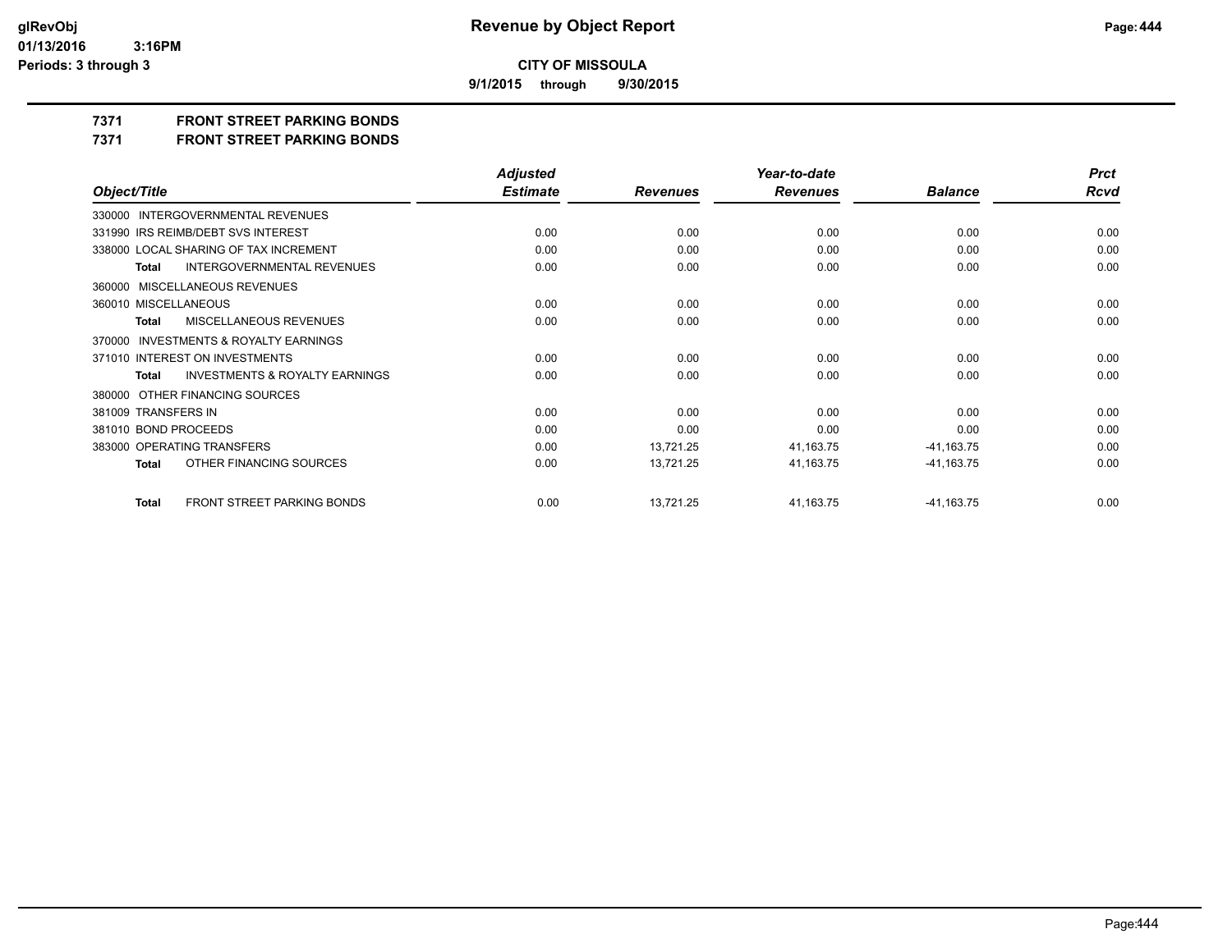**9/1/2015 through 9/30/2015**

## **7371 FRONT STREET PARKING BONDS**

**7371 FRONT STREET PARKING BONDS**

|                                                           | <b>Adjusted</b> |                 | Year-to-date    |                | <b>Prct</b> |
|-----------------------------------------------------------|-----------------|-----------------|-----------------|----------------|-------------|
| Object/Title                                              | <b>Estimate</b> | <b>Revenues</b> | <b>Revenues</b> | <b>Balance</b> | Rcvd        |
| 330000 INTERGOVERNMENTAL REVENUES                         |                 |                 |                 |                |             |
| 331990 IRS REIMB/DEBT SVS INTEREST                        | 0.00            | 0.00            | 0.00            | 0.00           | 0.00        |
| 338000 LOCAL SHARING OF TAX INCREMENT                     | 0.00            | 0.00            | 0.00            | 0.00           | 0.00        |
| <b>INTERGOVERNMENTAL REVENUES</b><br><b>Total</b>         | 0.00            | 0.00            | 0.00            | 0.00           | 0.00        |
| 360000 MISCELLANEOUS REVENUES                             |                 |                 |                 |                |             |
| 360010 MISCELLANEOUS                                      | 0.00            | 0.00            | 0.00            | 0.00           | 0.00        |
| MISCELLANEOUS REVENUES<br><b>Total</b>                    | 0.00            | 0.00            | 0.00            | 0.00           | 0.00        |
| 370000 INVESTMENTS & ROYALTY EARNINGS                     |                 |                 |                 |                |             |
| 371010 INTEREST ON INVESTMENTS                            | 0.00            | 0.00            | 0.00            | 0.00           | 0.00        |
| <b>INVESTMENTS &amp; ROYALTY EARNINGS</b><br><b>Total</b> | 0.00            | 0.00            | 0.00            | 0.00           | 0.00        |
| 380000 OTHER FINANCING SOURCES                            |                 |                 |                 |                |             |
| 381009 TRANSFERS IN                                       | 0.00            | 0.00            | 0.00            | 0.00           | 0.00        |
| 381010 BOND PROCEEDS                                      | 0.00            | 0.00            | 0.00            | 0.00           | 0.00        |
| 383000 OPERATING TRANSFERS                                | 0.00            | 13,721.25       | 41,163.75       | $-41,163.75$   | 0.00        |
| OTHER FINANCING SOURCES<br><b>Total</b>                   | 0.00            | 13,721.25       | 41,163.75       | $-41,163.75$   | 0.00        |
| FRONT STREET PARKING BONDS<br><b>Total</b>                | 0.00            | 13,721.25       | 41,163.75       | $-41,163.75$   | 0.00        |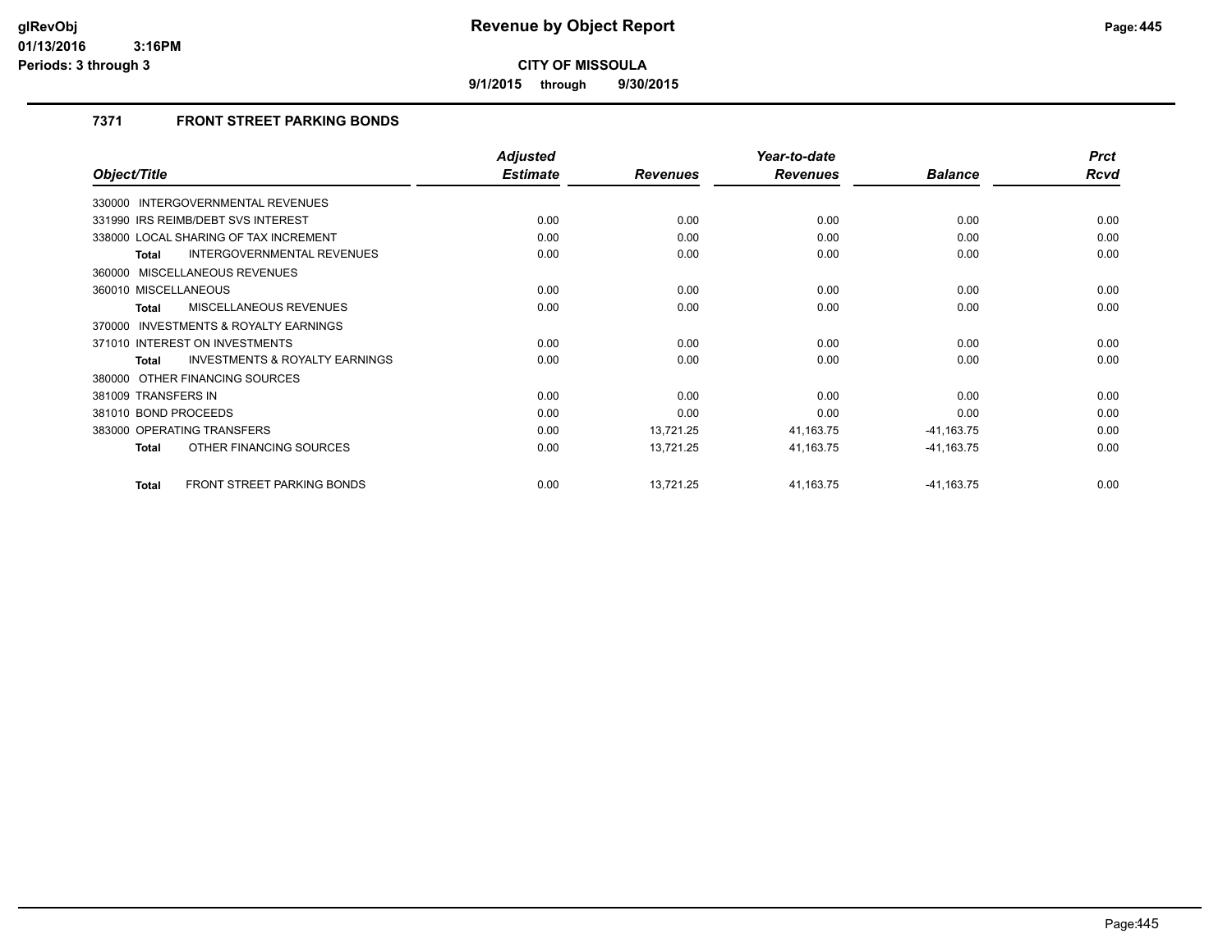**9/1/2015 through 9/30/2015**

## **7371 FRONT STREET PARKING BONDS**

|                                                   | <b>Adjusted</b> |                 | Year-to-date    |                | <b>Prct</b> |
|---------------------------------------------------|-----------------|-----------------|-----------------|----------------|-------------|
| Object/Title                                      | <b>Estimate</b> | <b>Revenues</b> | <b>Revenues</b> | <b>Balance</b> | Rcvd        |
| 330000 INTERGOVERNMENTAL REVENUES                 |                 |                 |                 |                |             |
| 331990 IRS REIMB/DEBT SVS INTEREST                | 0.00            | 0.00            | 0.00            | 0.00           | 0.00        |
| 338000 LOCAL SHARING OF TAX INCREMENT             | 0.00            | 0.00            | 0.00            | 0.00           | 0.00        |
| INTERGOVERNMENTAL REVENUES<br><b>Total</b>        | 0.00            | 0.00            | 0.00            | 0.00           | 0.00        |
| 360000 MISCELLANEOUS REVENUES                     |                 |                 |                 |                |             |
| 360010 MISCELLANEOUS                              | 0.00            | 0.00            | 0.00            | 0.00           | 0.00        |
| MISCELLANEOUS REVENUES<br><b>Total</b>            | 0.00            | 0.00            | 0.00            | 0.00           | 0.00        |
| INVESTMENTS & ROYALTY EARNINGS<br>370000          |                 |                 |                 |                |             |
| 371010 INTEREST ON INVESTMENTS                    | 0.00            | 0.00            | 0.00            | 0.00           | 0.00        |
| INVESTMENTS & ROYALTY EARNINGS<br><b>Total</b>    | 0.00            | 0.00            | 0.00            | 0.00           | 0.00        |
| 380000 OTHER FINANCING SOURCES                    |                 |                 |                 |                |             |
| 381009 TRANSFERS IN                               | 0.00            | 0.00            | 0.00            | 0.00           | 0.00        |
| 381010 BOND PROCEEDS                              | 0.00            | 0.00            | 0.00            | 0.00           | 0.00        |
| 383000 OPERATING TRANSFERS                        | 0.00            | 13,721.25       | 41,163.75       | $-41,163.75$   | 0.00        |
| OTHER FINANCING SOURCES<br><b>Total</b>           | 0.00            | 13,721.25       | 41,163.75       | $-41,163.75$   | 0.00        |
| <b>FRONT STREET PARKING BONDS</b><br><b>Total</b> | 0.00            | 13,721.25       | 41,163.75       | $-41,163.75$   | 0.00        |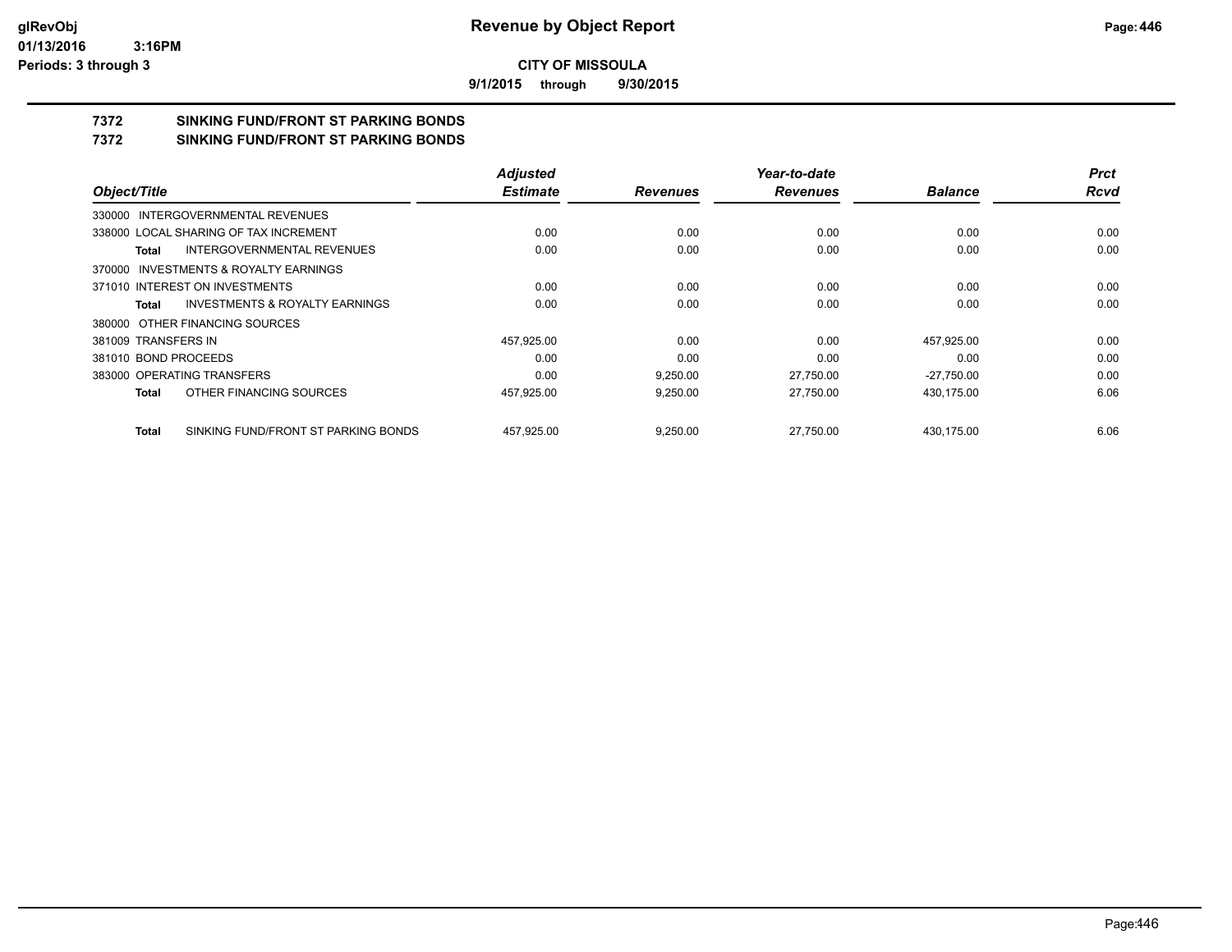**9/1/2015 through 9/30/2015**

## **7372 SINKING FUND/FRONT ST PARKING BONDS**

**7372 SINKING FUND/FRONT ST PARKING BONDS**

|                                                    | <b>Adjusted</b> |                 | Year-to-date    |                | <b>Prct</b> |
|----------------------------------------------------|-----------------|-----------------|-----------------|----------------|-------------|
| Object/Title                                       | <b>Estimate</b> | <b>Revenues</b> | <b>Revenues</b> | <b>Balance</b> | <b>Rcvd</b> |
| 330000 INTERGOVERNMENTAL REVENUES                  |                 |                 |                 |                |             |
| 338000 LOCAL SHARING OF TAX INCREMENT              | 0.00            | 0.00            | 0.00            | 0.00           | 0.00        |
| INTERGOVERNMENTAL REVENUES<br>Total                | 0.00            | 0.00            | 0.00            | 0.00           | 0.00        |
| 370000 INVESTMENTS & ROYALTY EARNINGS              |                 |                 |                 |                |             |
| 371010 INTEREST ON INVESTMENTS                     | 0.00            | 0.00            | 0.00            | 0.00           | 0.00        |
| <b>INVESTMENTS &amp; ROYALTY EARNINGS</b><br>Total | 0.00            | 0.00            | 0.00            | 0.00           | 0.00        |
| 380000 OTHER FINANCING SOURCES                     |                 |                 |                 |                |             |
| 381009 TRANSFERS IN                                | 457,925.00      | 0.00            | 0.00            | 457,925.00     | 0.00        |
| 381010 BOND PROCEEDS                               | 0.00            | 0.00            | 0.00            | 0.00           | 0.00        |
| 383000 OPERATING TRANSFERS                         | 0.00            | 9.250.00        | 27.750.00       | $-27.750.00$   | 0.00        |
| OTHER FINANCING SOURCES<br>Total                   | 457,925.00      | 9,250.00        | 27.750.00       | 430,175.00     | 6.06        |
| SINKING FUND/FRONT ST PARKING BONDS<br>Total       | 457.925.00      | 9,250.00        | 27.750.00       | 430.175.00     | 6.06        |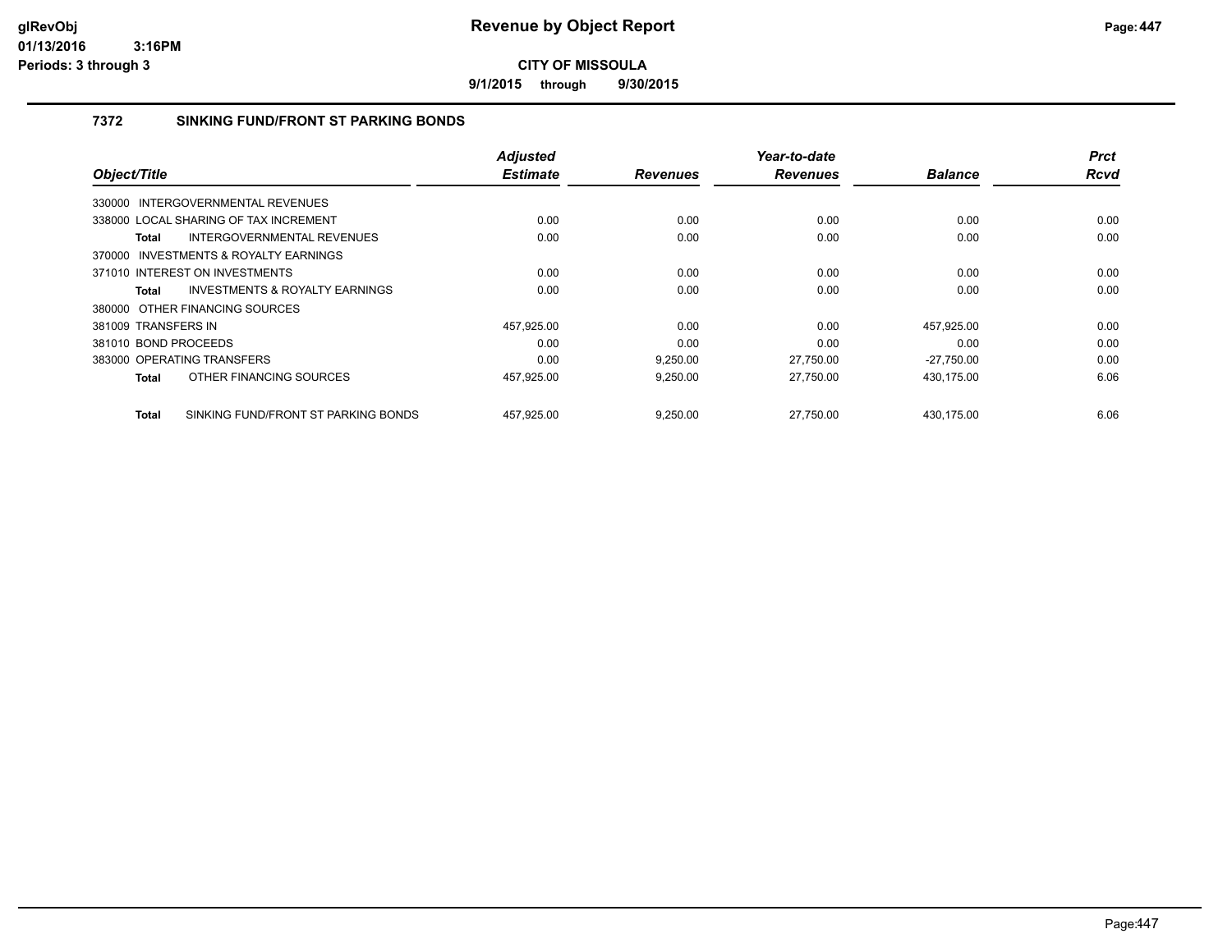**9/1/2015 through 9/30/2015**

## **7372 SINKING FUND/FRONT ST PARKING BONDS**

| Object/Title         |                                           | <b>Adjusted</b><br><b>Estimate</b> |                 | Year-to-date<br><b>Revenues</b> | <b>Balance</b> | <b>Prct</b><br><b>Rcvd</b> |
|----------------------|-------------------------------------------|------------------------------------|-----------------|---------------------------------|----------------|----------------------------|
|                      |                                           |                                    | <b>Revenues</b> |                                 |                |                            |
|                      | 330000 INTERGOVERNMENTAL REVENUES         |                                    |                 |                                 |                |                            |
|                      | 338000 LOCAL SHARING OF TAX INCREMENT     | 0.00                               | 0.00            | 0.00                            | 0.00           | 0.00                       |
| Total                | INTERGOVERNMENTAL REVENUES                | 0.00                               | 0.00            | 0.00                            | 0.00           | 0.00                       |
|                      | 370000 INVESTMENTS & ROYALTY EARNINGS     |                                    |                 |                                 |                |                            |
|                      | 371010 INTEREST ON INVESTMENTS            | 0.00                               | 0.00            | 0.00                            | 0.00           | 0.00                       |
| Total                | <b>INVESTMENTS &amp; ROYALTY EARNINGS</b> | 0.00                               | 0.00            | 0.00                            | 0.00           | 0.00                       |
|                      | 380000 OTHER FINANCING SOURCES            |                                    |                 |                                 |                |                            |
| 381009 TRANSFERS IN  |                                           | 457,925.00                         | 0.00            | 0.00                            | 457.925.00     | 0.00                       |
| 381010 BOND PROCEEDS |                                           | 0.00                               | 0.00            | 0.00                            | 0.00           | 0.00                       |
|                      | 383000 OPERATING TRANSFERS                | 0.00                               | 9,250.00        | 27,750.00                       | $-27,750.00$   | 0.00                       |
| Total                | OTHER FINANCING SOURCES                   | 457,925.00                         | 9,250.00        | 27,750.00                       | 430,175.00     | 6.06                       |
| <b>Total</b>         | SINKING FUND/FRONT ST PARKING BONDS       | 457,925.00                         | 9,250.00        | 27.750.00                       | 430.175.00     | 6.06                       |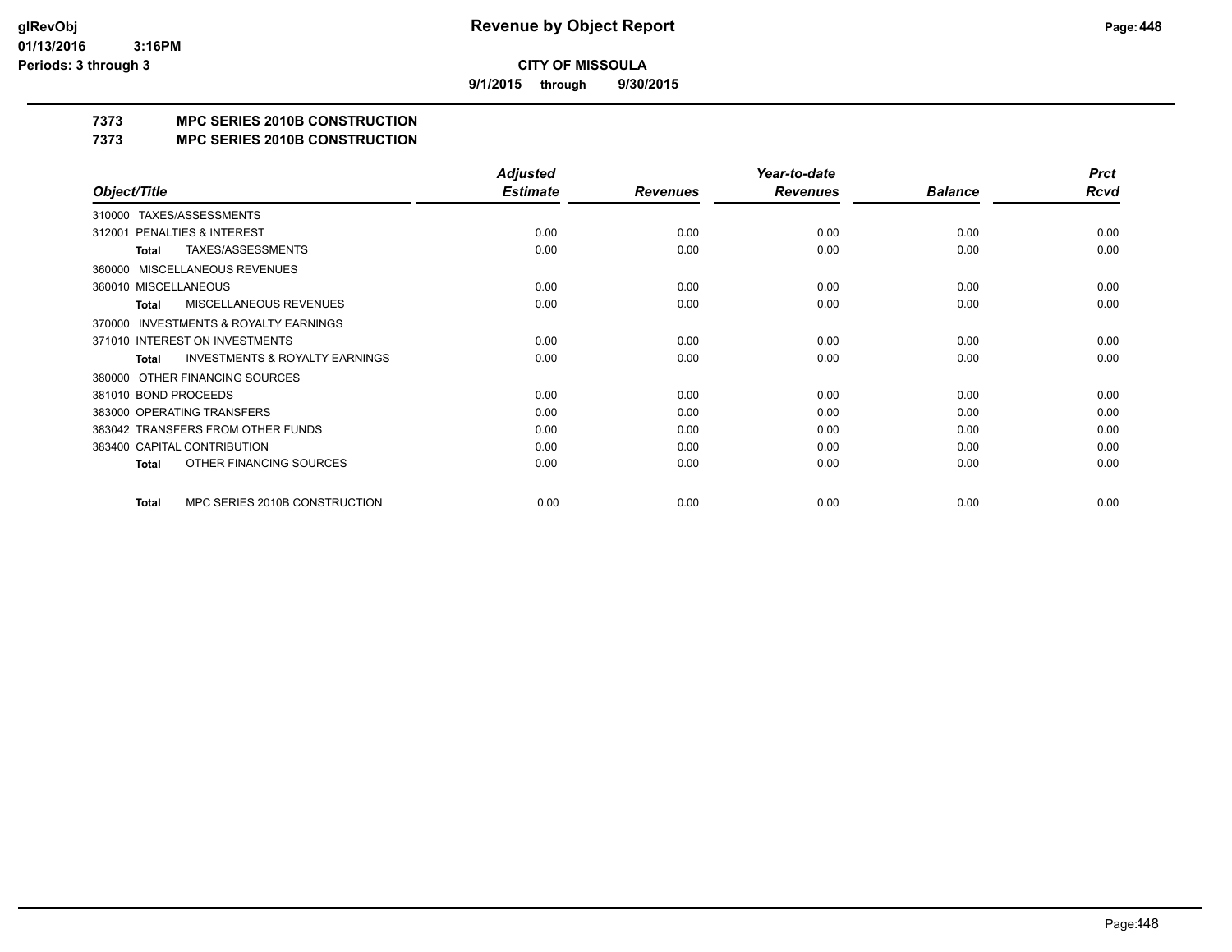**9/1/2015 through 9/30/2015**

## **7373 MPC SERIES 2010B CONSTRUCTION**

### **7373 MPC SERIES 2010B CONSTRUCTION**

|                                                     | <b>Adjusted</b> |                 | Year-to-date    |                | <b>Prct</b> |
|-----------------------------------------------------|-----------------|-----------------|-----------------|----------------|-------------|
| Object/Title                                        | <b>Estimate</b> | <b>Revenues</b> | <b>Revenues</b> | <b>Balance</b> | Rcvd        |
| TAXES/ASSESSMENTS<br>310000                         |                 |                 |                 |                |             |
| PENALTIES & INTEREST<br>312001                      | 0.00            | 0.00            | 0.00            | 0.00           | 0.00        |
| TAXES/ASSESSMENTS<br>Total                          | 0.00            | 0.00            | 0.00            | 0.00           | 0.00        |
| MISCELLANEOUS REVENUES<br>360000                    |                 |                 |                 |                |             |
| 360010 MISCELLANEOUS                                | 0.00            | 0.00            | 0.00            | 0.00           | 0.00        |
| <b>MISCELLANEOUS REVENUES</b><br>Total              | 0.00            | 0.00            | 0.00            | 0.00           | 0.00        |
| <b>INVESTMENTS &amp; ROYALTY EARNINGS</b><br>370000 |                 |                 |                 |                |             |
| 371010 INTEREST ON INVESTMENTS                      | 0.00            | 0.00            | 0.00            | 0.00           | 0.00        |
| <b>INVESTMENTS &amp; ROYALTY EARNINGS</b><br>Total  | 0.00            | 0.00            | 0.00            | 0.00           | 0.00        |
| OTHER FINANCING SOURCES<br>380000                   |                 |                 |                 |                |             |
| 381010 BOND PROCEEDS                                | 0.00            | 0.00            | 0.00            | 0.00           | 0.00        |
| 383000 OPERATING TRANSFERS                          | 0.00            | 0.00            | 0.00            | 0.00           | 0.00        |
| 383042 TRANSFERS FROM OTHER FUNDS                   | 0.00            | 0.00            | 0.00            | 0.00           | 0.00        |
| 383400 CAPITAL CONTRIBUTION                         | 0.00            | 0.00            | 0.00            | 0.00           | 0.00        |
| OTHER FINANCING SOURCES<br><b>Total</b>             | 0.00            | 0.00            | 0.00            | 0.00           | 0.00        |
| MPC SERIES 2010B CONSTRUCTION<br>Total              | 0.00            | 0.00            | 0.00            | 0.00           | 0.00        |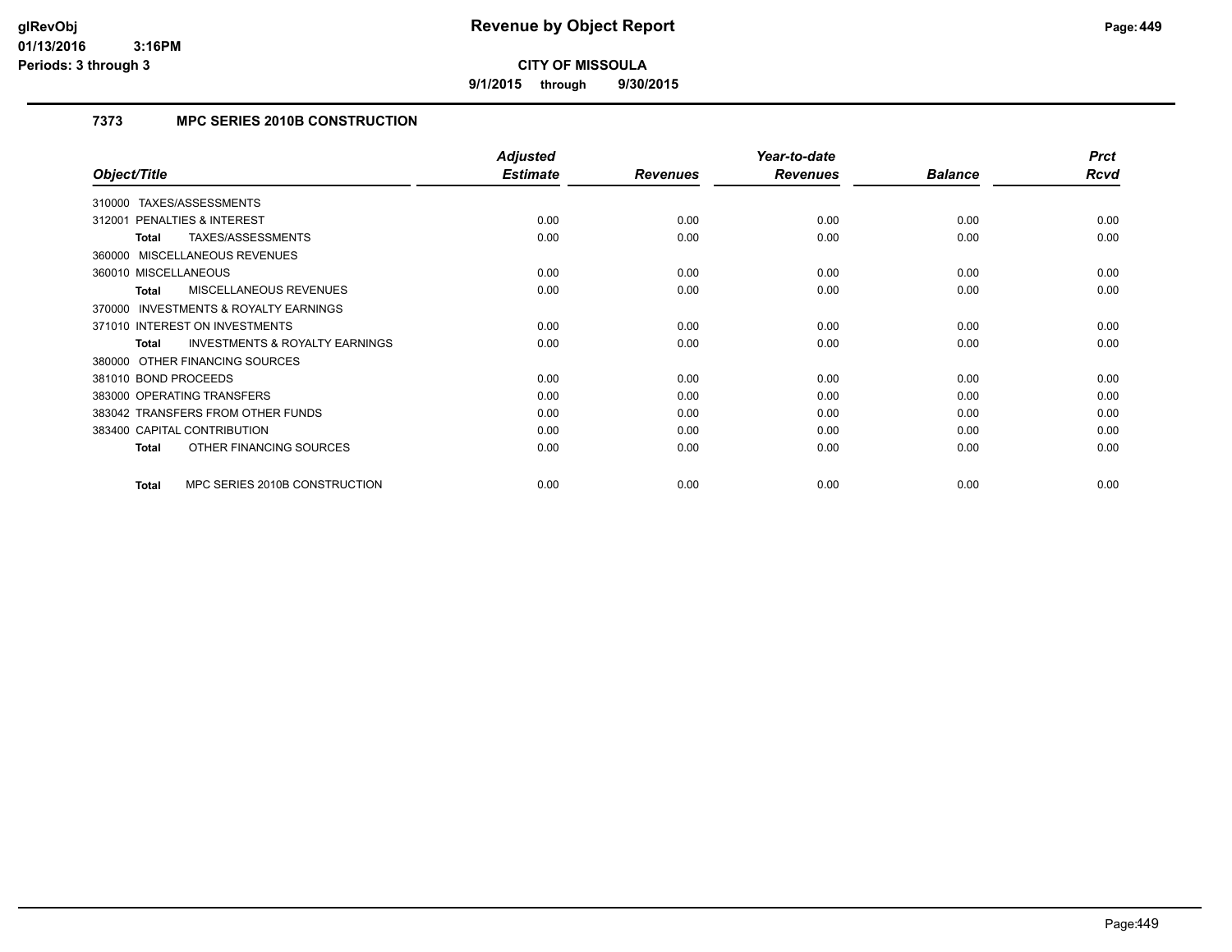**9/1/2015 through 9/30/2015**

## **7373 MPC SERIES 2010B CONSTRUCTION**

|                                                           | <b>Adjusted</b> |                 | Year-to-date    |                | <b>Prct</b> |
|-----------------------------------------------------------|-----------------|-----------------|-----------------|----------------|-------------|
| Object/Title                                              | <b>Estimate</b> | <b>Revenues</b> | <b>Revenues</b> | <b>Balance</b> | Rcvd        |
| TAXES/ASSESSMENTS<br>310000                               |                 |                 |                 |                |             |
| <b>PENALTIES &amp; INTEREST</b><br>312001                 | 0.00            | 0.00            | 0.00            | 0.00           | 0.00        |
| TAXES/ASSESSMENTS<br>Total                                | 0.00            | 0.00            | 0.00            | 0.00           | 0.00        |
| 360000 MISCELLANEOUS REVENUES                             |                 |                 |                 |                |             |
| 360010 MISCELLANEOUS                                      | 0.00            | 0.00            | 0.00            | 0.00           | 0.00        |
| <b>MISCELLANEOUS REVENUES</b><br><b>Total</b>             | 0.00            | 0.00            | 0.00            | 0.00           | 0.00        |
| <b>INVESTMENTS &amp; ROYALTY EARNINGS</b><br>370000       |                 |                 |                 |                |             |
| 371010 INTEREST ON INVESTMENTS                            | 0.00            | 0.00            | 0.00            | 0.00           | 0.00        |
| <b>INVESTMENTS &amp; ROYALTY EARNINGS</b><br><b>Total</b> | 0.00            | 0.00            | 0.00            | 0.00           | 0.00        |
| 380000 OTHER FINANCING SOURCES                            |                 |                 |                 |                |             |
| 381010 BOND PROCEEDS                                      | 0.00            | 0.00            | 0.00            | 0.00           | 0.00        |
| 383000 OPERATING TRANSFERS                                | 0.00            | 0.00            | 0.00            | 0.00           | 0.00        |
| 383042 TRANSFERS FROM OTHER FUNDS                         | 0.00            | 0.00            | 0.00            | 0.00           | 0.00        |
| 383400 CAPITAL CONTRIBUTION                               | 0.00            | 0.00            | 0.00            | 0.00           | 0.00        |
| OTHER FINANCING SOURCES<br><b>Total</b>                   | 0.00            | 0.00            | 0.00            | 0.00           | 0.00        |
| MPC SERIES 2010B CONSTRUCTION<br><b>Total</b>             | 0.00            | 0.00            | 0.00            | 0.00           | 0.00        |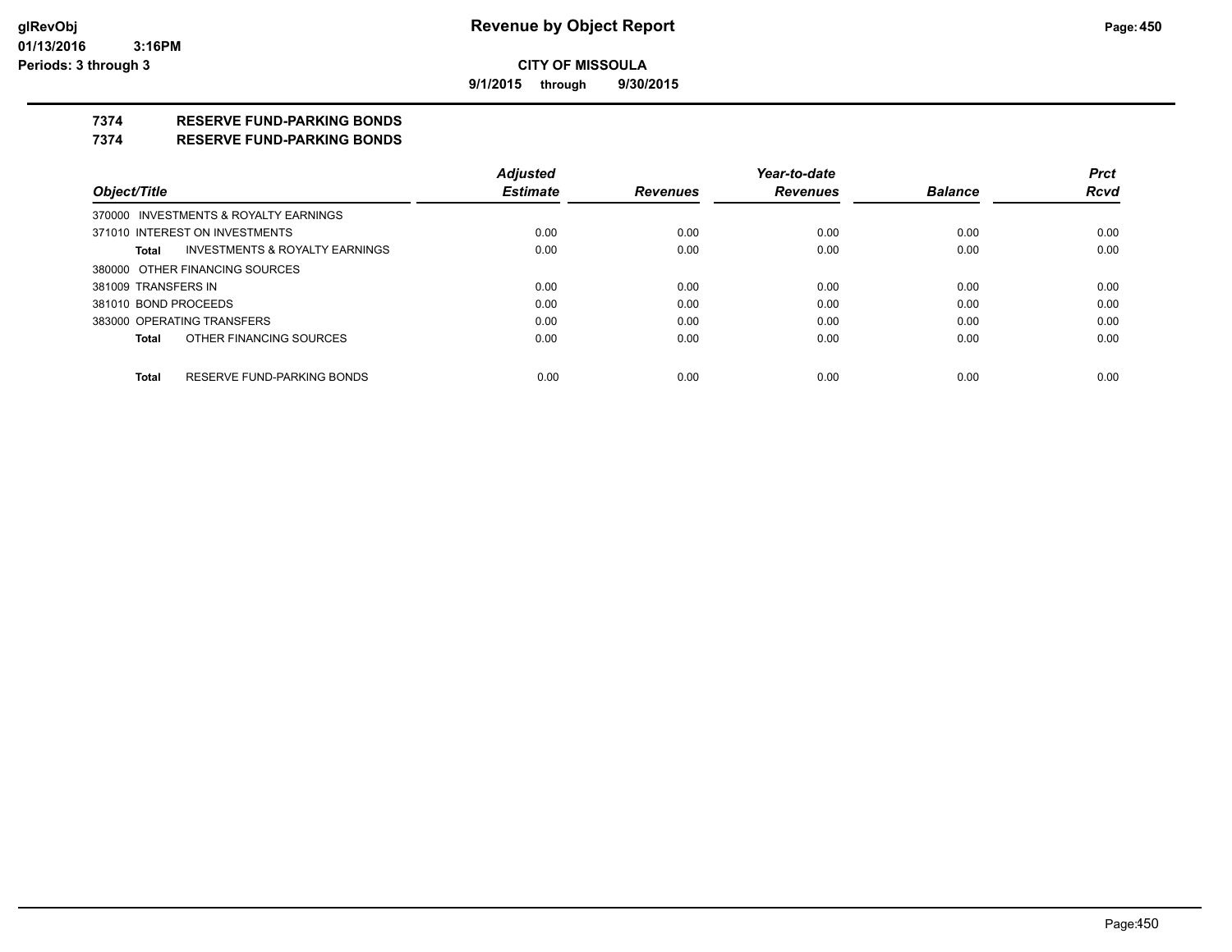**9/1/2015 through 9/30/2015**

## **7374 RESERVE FUND-PARKING BONDS**

#### **7374 RESERVE FUND-PARKING BONDS**

|                      |                                           | <b>Adjusted</b> |                 | Year-to-date    |                | <b>Prct</b> |
|----------------------|-------------------------------------------|-----------------|-----------------|-----------------|----------------|-------------|
| Object/Title         |                                           | <b>Estimate</b> | <b>Revenues</b> | <b>Revenues</b> | <b>Balance</b> | <b>Rcvd</b> |
|                      | 370000 INVESTMENTS & ROYALTY EARNINGS     |                 |                 |                 |                |             |
|                      | 371010 INTEREST ON INVESTMENTS            | 0.00            | 0.00            | 0.00            | 0.00           | 0.00        |
| Total                | <b>INVESTMENTS &amp; ROYALTY EARNINGS</b> | 0.00            | 0.00            | 0.00            | 0.00           | 0.00        |
|                      | 380000 OTHER FINANCING SOURCES            |                 |                 |                 |                |             |
| 381009 TRANSFERS IN  |                                           | 0.00            | 0.00            | 0.00            | 0.00           | 0.00        |
| 381010 BOND PROCEEDS |                                           | 0.00            | 0.00            | 0.00            | 0.00           | 0.00        |
|                      | 383000 OPERATING TRANSFERS                | 0.00            | 0.00            | 0.00            | 0.00           | 0.00        |
| <b>Total</b>         | OTHER FINANCING SOURCES                   | 0.00            | 0.00            | 0.00            | 0.00           | 0.00        |
|                      |                                           |                 |                 |                 |                |             |
| <b>Total</b>         | RESERVE FUND-PARKING BONDS                | 0.00            | 0.00            | 0.00            | 0.00           | 0.00        |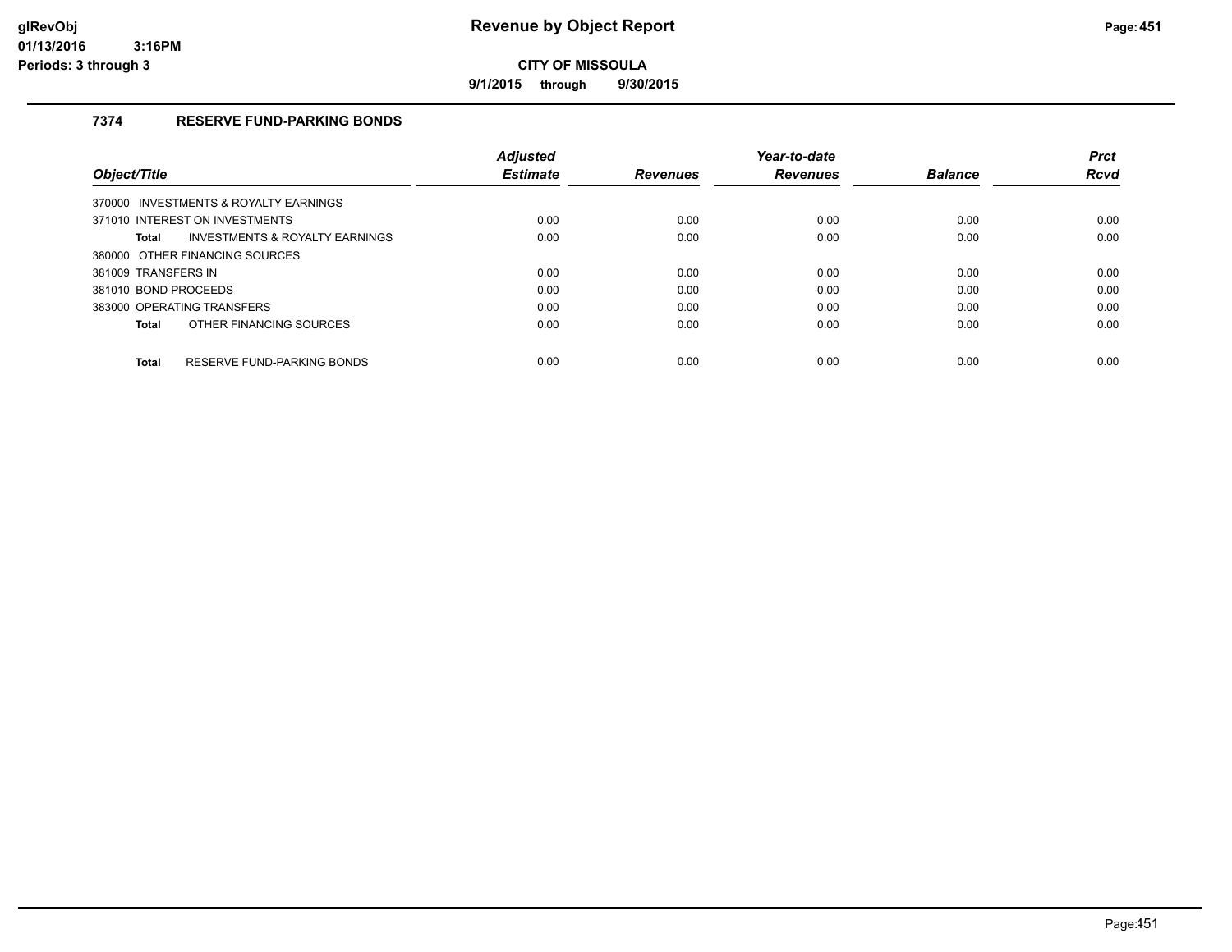**9/1/2015 through 9/30/2015**

## **7374 RESERVE FUND-PARKING BONDS**

|                                                           | <b>Adiusted</b> |                 | Year-to-date    |                | <b>Prct</b> |
|-----------------------------------------------------------|-----------------|-----------------|-----------------|----------------|-------------|
| Object/Title                                              | <b>Estimate</b> | <b>Revenues</b> | <b>Revenues</b> | <b>Balance</b> | <b>Rcvd</b> |
| 370000 INVESTMENTS & ROYALTY EARNINGS                     |                 |                 |                 |                |             |
| 371010 INTEREST ON INVESTMENTS                            | 0.00            | 0.00            | 0.00            | 0.00           | 0.00        |
| <b>INVESTMENTS &amp; ROYALTY EARNINGS</b><br><b>Total</b> | 0.00            | 0.00            | 0.00            | 0.00           | 0.00        |
| 380000 OTHER FINANCING SOURCES                            |                 |                 |                 |                |             |
| 381009 TRANSFERS IN                                       | 0.00            | 0.00            | 0.00            | 0.00           | 0.00        |
| 381010 BOND PROCEEDS                                      | 0.00            | 0.00            | 0.00            | 0.00           | 0.00        |
| 383000 OPERATING TRANSFERS                                | 0.00            | 0.00            | 0.00            | 0.00           | 0.00        |
| OTHER FINANCING SOURCES<br><b>Total</b>                   | 0.00            | 0.00            | 0.00            | 0.00           | 0.00        |
| RESERVE FUND-PARKING BONDS<br><b>Total</b>                | 0.00            | 0.00            | 0.00            | 0.00           | 0.00        |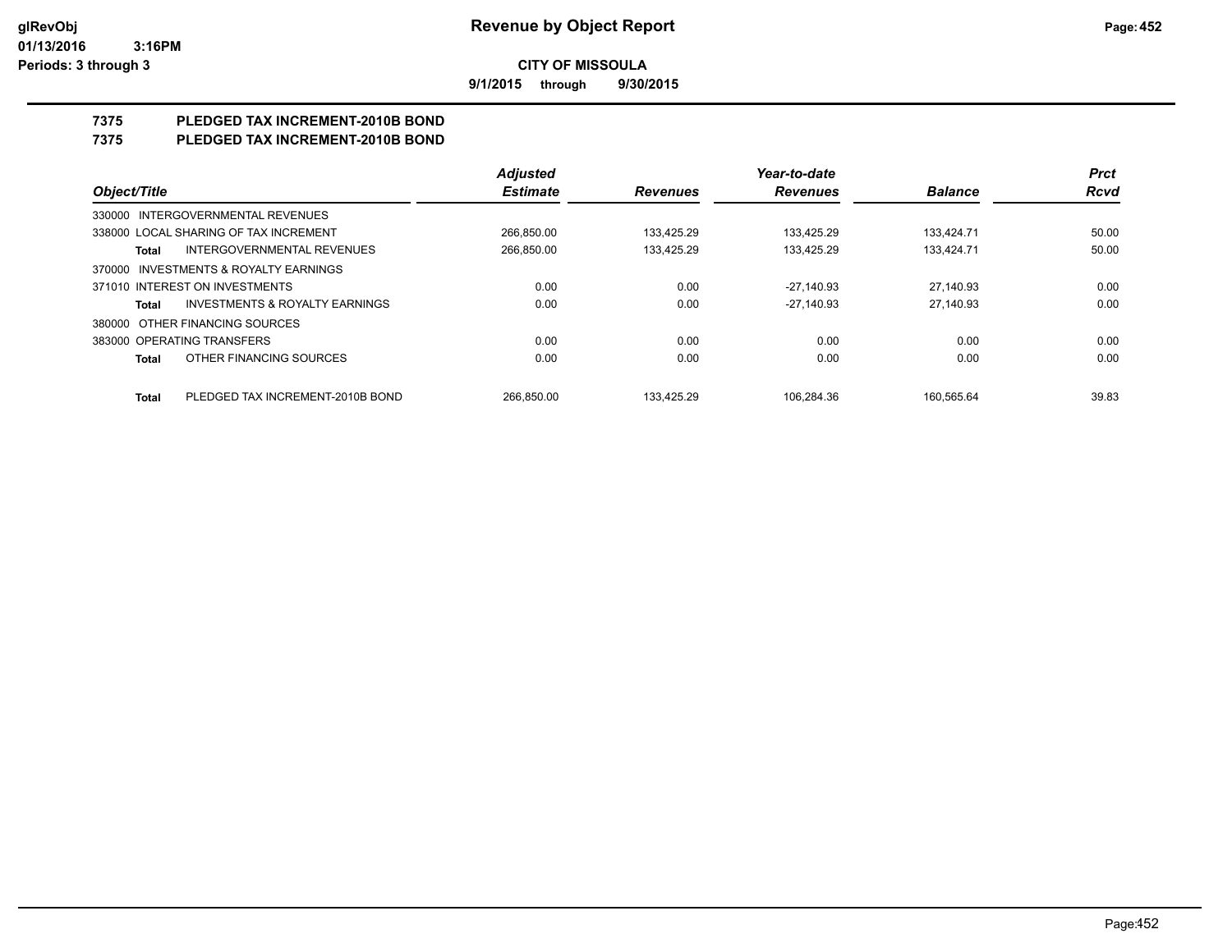**9/1/2015 through 9/30/2015**

# **7375 PLEDGED TAX INCREMENT-2010B BOND**

## **7375 PLEDGED TAX INCREMENT-2010B BOND**

|                                |                                           | <b>Adjusted</b> |                 | Year-to-date    |                | <b>Prct</b> |
|--------------------------------|-------------------------------------------|-----------------|-----------------|-----------------|----------------|-------------|
| Object/Title                   |                                           | <b>Estimate</b> | <b>Revenues</b> | <b>Revenues</b> | <b>Balance</b> | <b>Rcvd</b> |
|                                | 330000 INTERGOVERNMENTAL REVENUES         |                 |                 |                 |                |             |
|                                | 338000 LOCAL SHARING OF TAX INCREMENT     | 266.850.00      | 133.425.29      | 133.425.29      | 133.424.71     | 50.00       |
| Total                          | INTERGOVERNMENTAL REVENUES                | 266.850.00      | 133.425.29      | 133.425.29      | 133.424.71     | 50.00       |
| 370000                         | INVESTMENTS & ROYALTY EARNINGS            |                 |                 |                 |                |             |
| 371010 INTEREST ON INVESTMENTS |                                           | 0.00            | 0.00            | $-27.140.93$    | 27.140.93      | 0.00        |
| Total                          | <b>INVESTMENTS &amp; ROYALTY EARNINGS</b> | 0.00            | 0.00            | $-27.140.93$    | 27.140.93      | 0.00        |
| 380000                         | OTHER FINANCING SOURCES                   |                 |                 |                 |                |             |
| 383000 OPERATING TRANSFERS     |                                           | 0.00            | 0.00            | 0.00            | 0.00           | 0.00        |
| <b>Total</b>                   | OTHER FINANCING SOURCES                   | 0.00            | 0.00            | 0.00            | 0.00           | 0.00        |
| <b>Total</b>                   | PLEDGED TAX INCREMENT-2010B BOND          | 266.850.00      | 133.425.29      | 106.284.36      | 160.565.64     | 39.83       |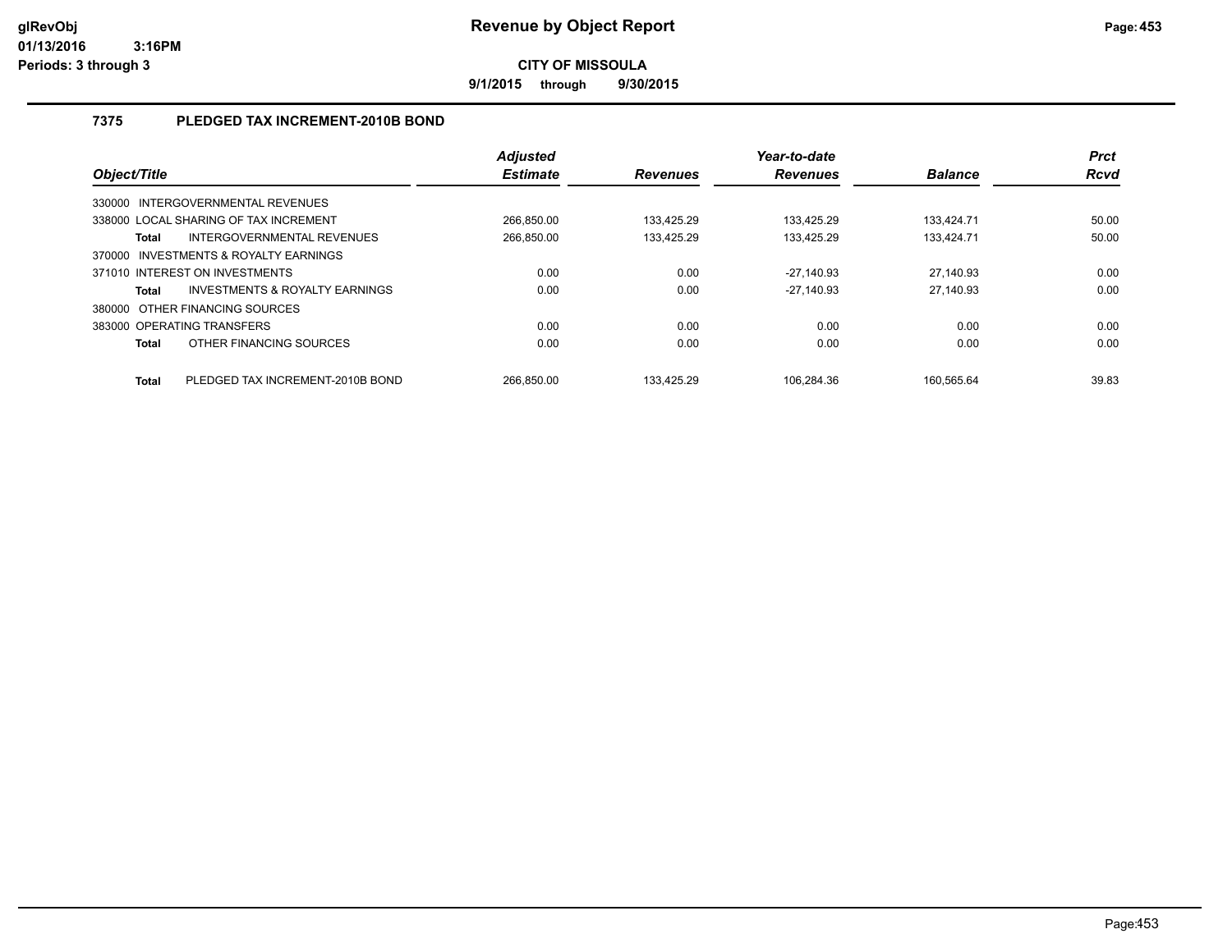**9/1/2015 through 9/30/2015**

## **7375 PLEDGED TAX INCREMENT-2010B BOND**

| Object/Title |                                       | <b>Adjusted</b><br><b>Estimate</b> | <b>Revenues</b> | Year-to-date<br><b>Revenues</b> | <b>Balance</b> | <b>Prct</b><br><b>Rcvd</b> |
|--------------|---------------------------------------|------------------------------------|-----------------|---------------------------------|----------------|----------------------------|
|              | 330000 INTERGOVERNMENTAL REVENUES     |                                    |                 |                                 |                |                            |
|              | 338000 LOCAL SHARING OF TAX INCREMENT | 266.850.00                         | 133.425.29      | 133.425.29                      | 133.424.71     | 50.00                      |
| <b>Total</b> | INTERGOVERNMENTAL REVENUES            | 266,850.00                         | 133,425.29      | 133,425.29                      | 133,424.71     | 50.00                      |
|              | 370000 INVESTMENTS & ROYALTY EARNINGS |                                    |                 |                                 |                |                            |
|              | 371010 INTEREST ON INVESTMENTS        | 0.00                               | 0.00            | $-27.140.93$                    | 27.140.93      | 0.00                       |
| <b>Total</b> | INVESTMENTS & ROYALTY EARNINGS        | 0.00                               | 0.00            | $-27.140.93$                    | 27.140.93      | 0.00                       |
|              | 380000 OTHER FINANCING SOURCES        |                                    |                 |                                 |                |                            |
|              | 383000 OPERATING TRANSFERS            | 0.00                               | 0.00            | 0.00                            | 0.00           | 0.00                       |
| <b>Total</b> | OTHER FINANCING SOURCES               | 0.00                               | 0.00            | 0.00                            | 0.00           | 0.00                       |
| <b>Total</b> | PLEDGED TAX INCREMENT-2010B BOND      | 266.850.00                         | 133.425.29      | 106.284.36                      | 160.565.64     | 39.83                      |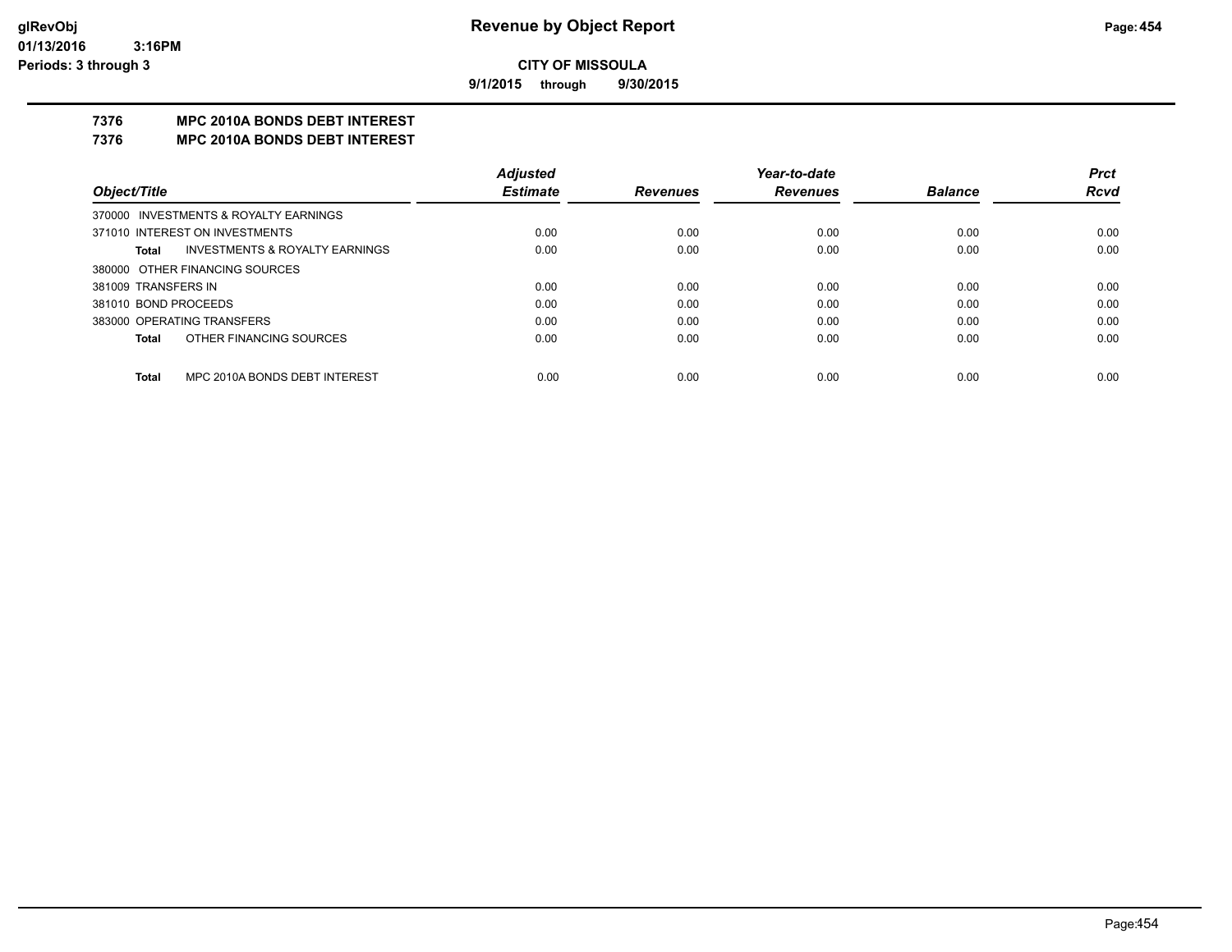**9/1/2015 through 9/30/2015**

## **7376 MPC 2010A BONDS DEBT INTEREST**

#### **7376 MPC 2010A BONDS DEBT INTEREST**

|                            |                                           | <b>Adjusted</b> |                 | Year-to-date    |                | <b>Prct</b> |
|----------------------------|-------------------------------------------|-----------------|-----------------|-----------------|----------------|-------------|
| Object/Title               |                                           | <b>Estimate</b> | <b>Revenues</b> | <b>Revenues</b> | <b>Balance</b> | <b>Rcvd</b> |
|                            | 370000 INVESTMENTS & ROYALTY EARNINGS     |                 |                 |                 |                |             |
|                            | 371010 INTEREST ON INVESTMENTS            | 0.00            | 0.00            | 0.00            | 0.00           | 0.00        |
| Total                      | <b>INVESTMENTS &amp; ROYALTY EARNINGS</b> | 0.00            | 0.00            | 0.00            | 0.00           | 0.00        |
|                            | 380000 OTHER FINANCING SOURCES            |                 |                 |                 |                |             |
| 381009 TRANSFERS IN        |                                           | 0.00            | 0.00            | 0.00            | 0.00           | 0.00        |
| 381010 BOND PROCEEDS       |                                           | 0.00            | 0.00            | 0.00            | 0.00           | 0.00        |
| 383000 OPERATING TRANSFERS |                                           | 0.00            | 0.00            | 0.00            | 0.00           | 0.00        |
| Total                      | OTHER FINANCING SOURCES                   | 0.00            | 0.00            | 0.00            | 0.00           | 0.00        |
|                            |                                           |                 |                 |                 |                |             |
| <b>Total</b>               | MPC 2010A BONDS DEBT INTEREST             | 0.00            | 0.00            | 0.00            | 0.00           | 0.00        |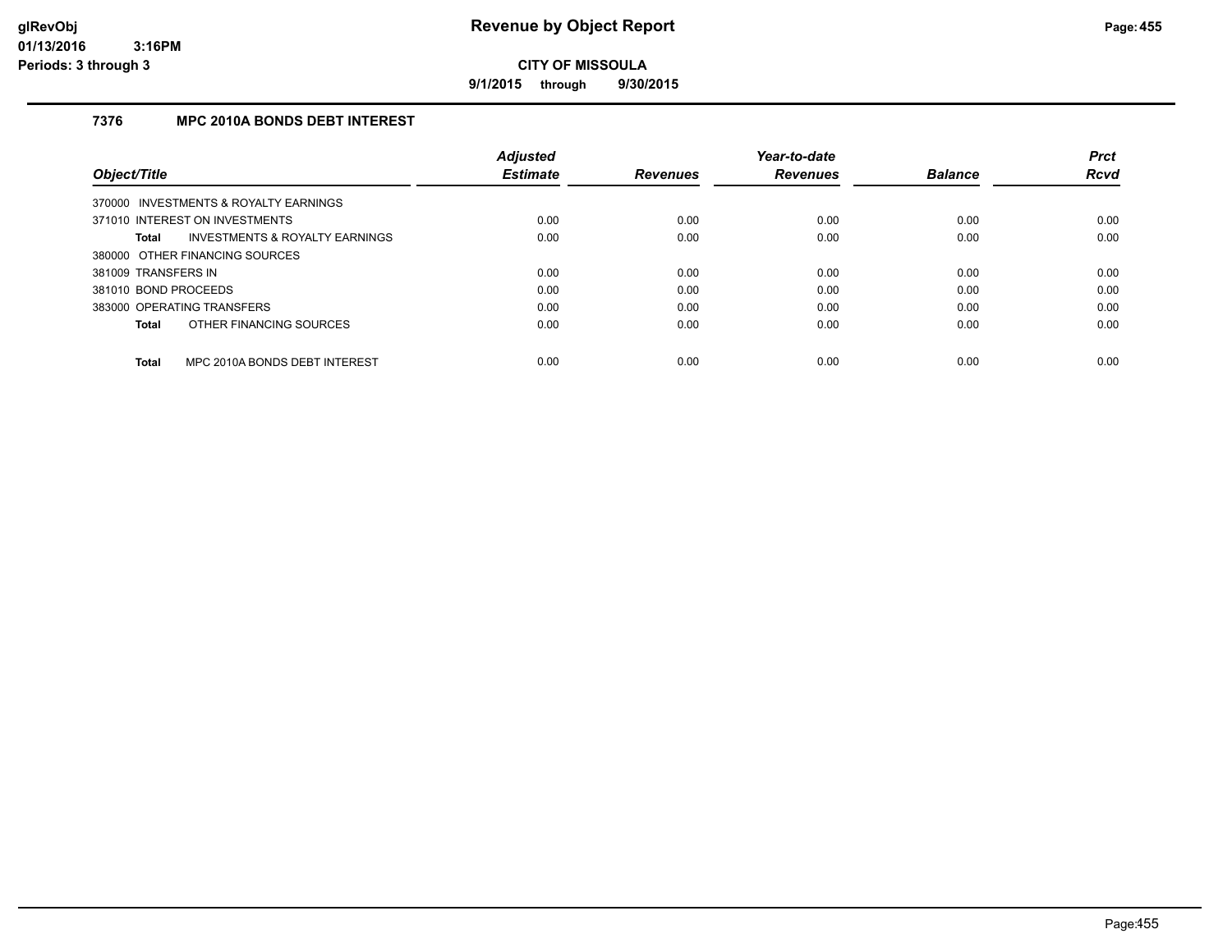**9/1/2015 through 9/30/2015**

## **7376 MPC 2010A BONDS DEBT INTEREST**

|                                                    | <b>Adjusted</b> |                 | Year-to-date    |                | <b>Prct</b> |
|----------------------------------------------------|-----------------|-----------------|-----------------|----------------|-------------|
| Object/Title                                       | <b>Estimate</b> | <b>Revenues</b> | <b>Revenues</b> | <b>Balance</b> | <b>Rcvd</b> |
| 370000 INVESTMENTS & ROYALTY EARNINGS              |                 |                 |                 |                |             |
| 371010 INTEREST ON INVESTMENTS                     | 0.00            | 0.00            | 0.00            | 0.00           | 0.00        |
| <b>INVESTMENTS &amp; ROYALTY EARNINGS</b><br>Total | 0.00            | 0.00            | 0.00            | 0.00           | 0.00        |
| 380000 OTHER FINANCING SOURCES                     |                 |                 |                 |                |             |
| 381009 TRANSFERS IN                                | 0.00            | 0.00            | 0.00            | 0.00           | 0.00        |
| 381010 BOND PROCEEDS                               | 0.00            | 0.00            | 0.00            | 0.00           | 0.00        |
| 383000 OPERATING TRANSFERS                         | 0.00            | 0.00            | 0.00            | 0.00           | 0.00        |
| OTHER FINANCING SOURCES<br>Total                   | 0.00            | 0.00            | 0.00            | 0.00           | 0.00        |
|                                                    |                 |                 |                 |                |             |
| MPC 2010A BONDS DEBT INTEREST<br><b>Total</b>      | 0.00            | 0.00            | 0.00            | 0.00           | 0.00        |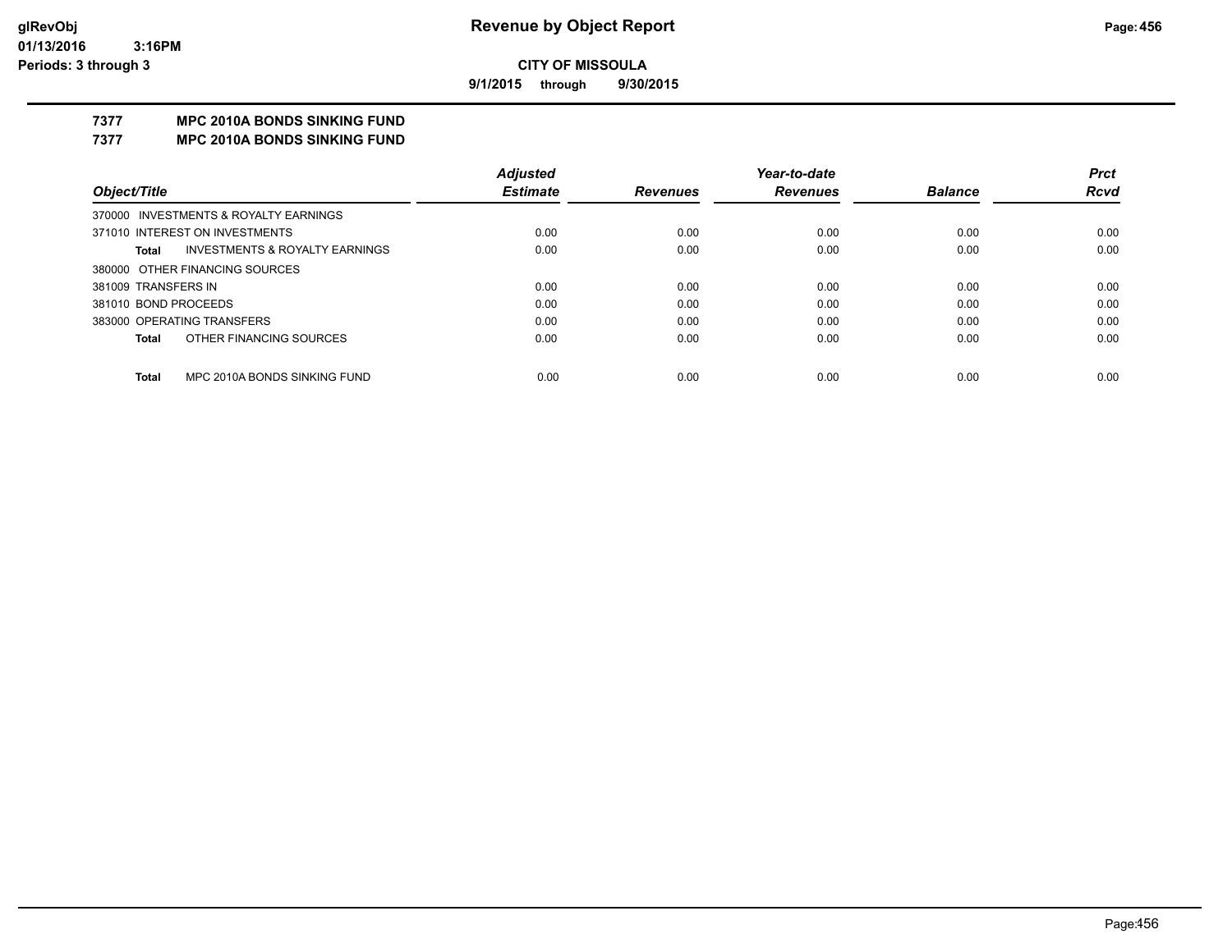**9/1/2015 through 9/30/2015**

## **7377 MPC 2010A BONDS SINKING FUND**

**7377 MPC 2010A BONDS SINKING FUND**

|                                                    | <b>Adjusted</b> |                 | Year-to-date    |                | <b>Prct</b> |
|----------------------------------------------------|-----------------|-----------------|-----------------|----------------|-------------|
| Object/Title                                       | <b>Estimate</b> | <b>Revenues</b> | <b>Revenues</b> | <b>Balance</b> | Rcvd        |
| 370000 INVESTMENTS & ROYALTY EARNINGS              |                 |                 |                 |                |             |
| 371010 INTEREST ON INVESTMENTS                     | 0.00            | 0.00            | 0.00            | 0.00           | 0.00        |
| <b>INVESTMENTS &amp; ROYALTY EARNINGS</b><br>Total | 0.00            | 0.00            | 0.00            | 0.00           | 0.00        |
| 380000 OTHER FINANCING SOURCES                     |                 |                 |                 |                |             |
| 381009 TRANSFERS IN                                | 0.00            | 0.00            | 0.00            | 0.00           | 0.00        |
| 381010 BOND PROCEEDS                               | 0.00            | 0.00            | 0.00            | 0.00           | 0.00        |
| 383000 OPERATING TRANSFERS                         | 0.00            | 0.00            | 0.00            | 0.00           | 0.00        |
| OTHER FINANCING SOURCES<br><b>Total</b>            | 0.00            | 0.00            | 0.00            | 0.00           | 0.00        |
|                                                    |                 |                 |                 |                |             |
| MPC 2010A BONDS SINKING FUND<br><b>Total</b>       | 0.00            | 0.00            | 0.00            | 0.00           | 0.00        |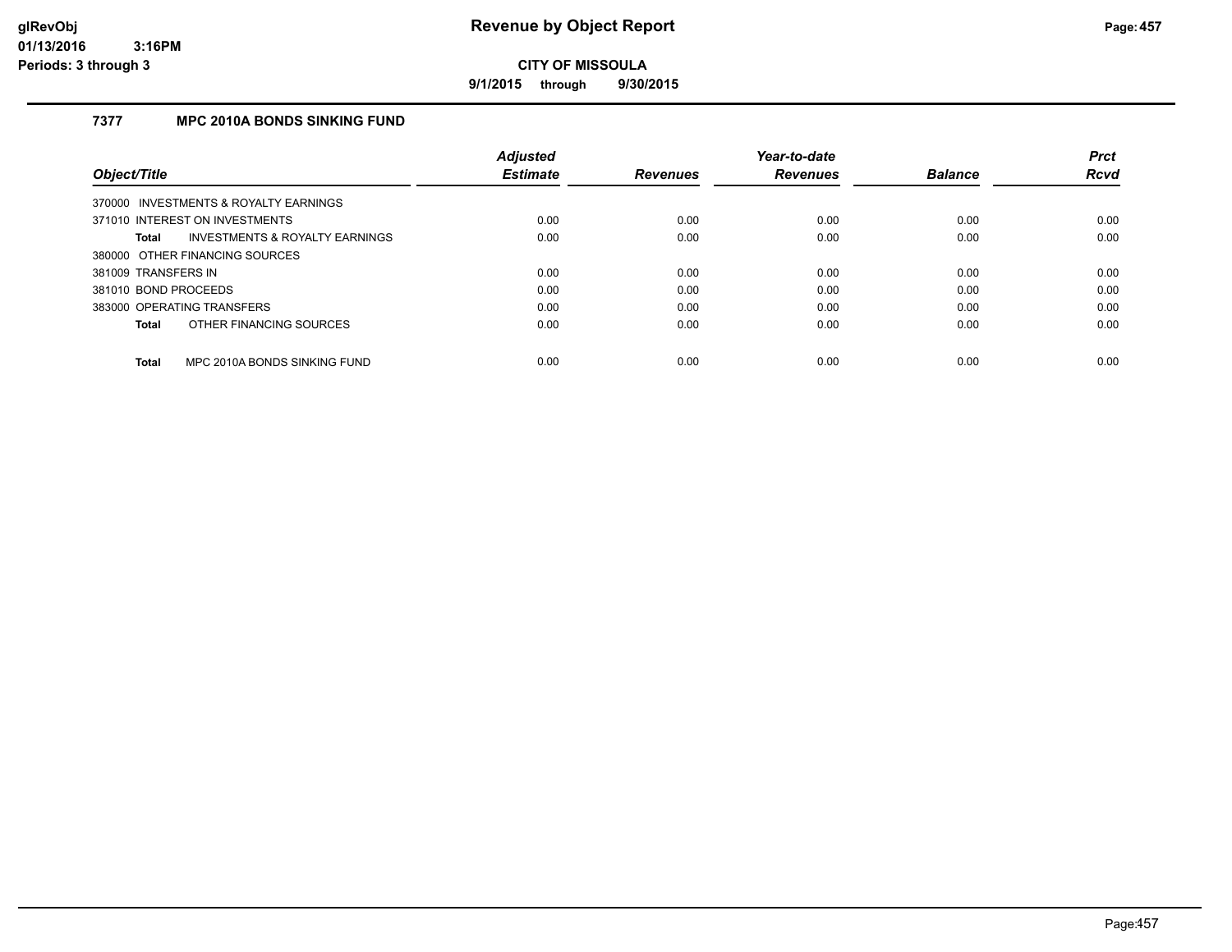**9/1/2015 through 9/30/2015**

## **7377 MPC 2010A BONDS SINKING FUND**

|                      |                                           | <b>Adjusted</b> |                 | Year-to-date    |                | <b>Prct</b> |
|----------------------|-------------------------------------------|-----------------|-----------------|-----------------|----------------|-------------|
| Object/Title         |                                           | <b>Estimate</b> | <b>Revenues</b> | <b>Revenues</b> | <b>Balance</b> | <b>Rcvd</b> |
|                      | 370000 INVESTMENTS & ROYALTY EARNINGS     |                 |                 |                 |                |             |
|                      | 371010 INTEREST ON INVESTMENTS            | 0.00            | 0.00            | 0.00            | 0.00           | 0.00        |
| Total                | <b>INVESTMENTS &amp; ROYALTY EARNINGS</b> | 0.00            | 0.00            | 0.00            | 0.00           | 0.00        |
|                      | 380000 OTHER FINANCING SOURCES            |                 |                 |                 |                |             |
| 381009 TRANSFERS IN  |                                           | 0.00            | 0.00            | 0.00            | 0.00           | 0.00        |
| 381010 BOND PROCEEDS |                                           | 0.00            | 0.00            | 0.00            | 0.00           | 0.00        |
|                      | 383000 OPERATING TRANSFERS                | 0.00            | 0.00            | 0.00            | 0.00           | 0.00        |
| Total                | OTHER FINANCING SOURCES                   | 0.00            | 0.00            | 0.00            | 0.00           | 0.00        |
| Total                | MPC 2010A BONDS SINKING FUND              | 0.00            | 0.00            | 0.00            | 0.00           | 0.00        |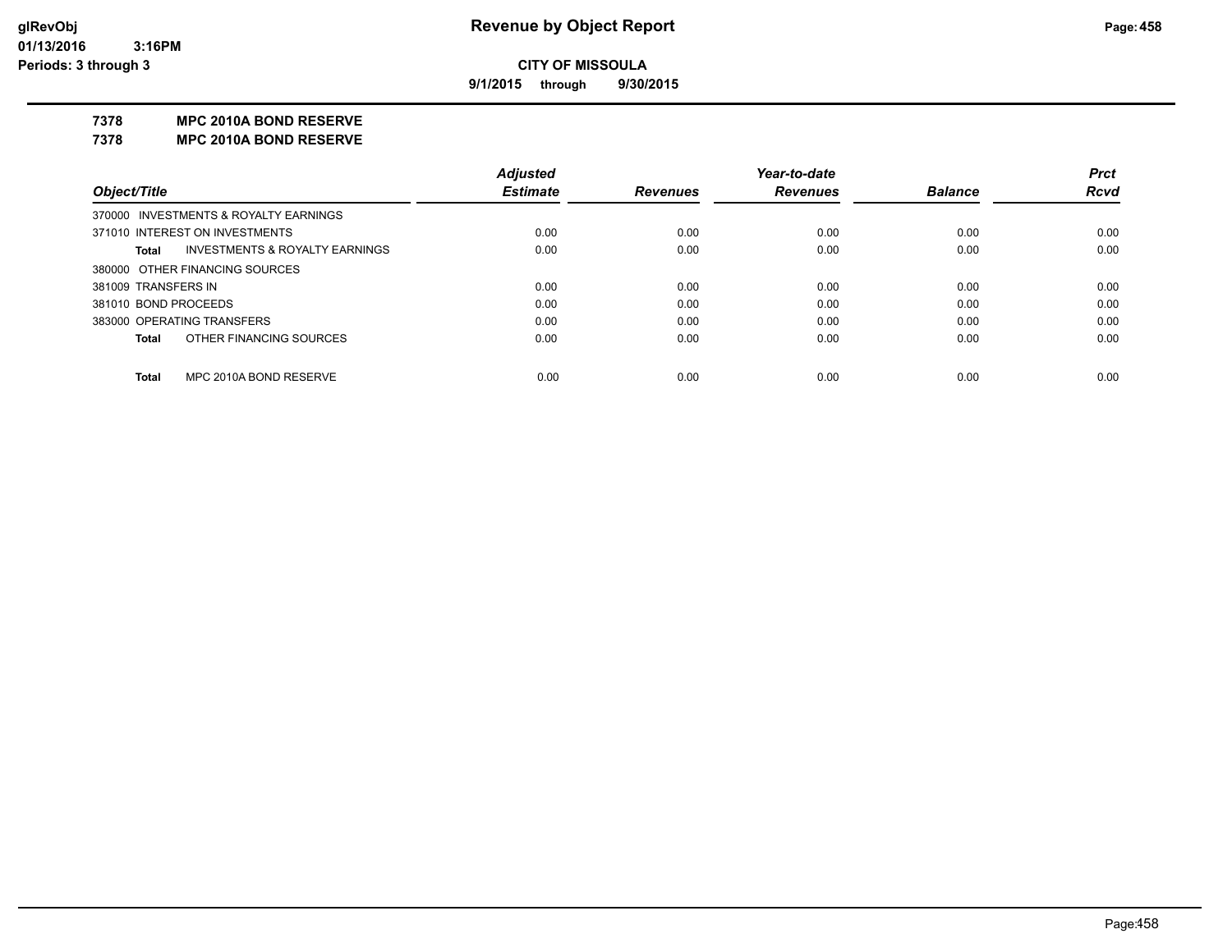**9/1/2015 through 9/30/2015**

#### **7378 MPC 2010A BOND RESERVE**

**7378 MPC 2010A BOND RESERVE**

|                                         | <b>Adjusted</b> |                 | Year-to-date    |                | <b>Prct</b> |
|-----------------------------------------|-----------------|-----------------|-----------------|----------------|-------------|
| Object/Title                            | <b>Estimate</b> | <b>Revenues</b> | <b>Revenues</b> | <b>Balance</b> | <b>Rcvd</b> |
| 370000 INVESTMENTS & ROYALTY EARNINGS   |                 |                 |                 |                |             |
| 371010 INTEREST ON INVESTMENTS          | 0.00            | 0.00            | 0.00            | 0.00           | 0.00        |
| INVESTMENTS & ROYALTY EARNINGS<br>Total | 0.00            | 0.00            | 0.00            | 0.00           | 0.00        |
| 380000 OTHER FINANCING SOURCES          |                 |                 |                 |                |             |
| 381009 TRANSFERS IN                     | 0.00            | 0.00            | 0.00            | 0.00           | 0.00        |
| 381010 BOND PROCEEDS                    | 0.00            | 0.00            | 0.00            | 0.00           | 0.00        |
| 383000 OPERATING TRANSFERS              | 0.00            | 0.00            | 0.00            | 0.00           | 0.00        |
| OTHER FINANCING SOURCES<br><b>Total</b> | 0.00            | 0.00            | 0.00            | 0.00           | 0.00        |
|                                         |                 |                 |                 |                |             |
| MPC 2010A BOND RESERVE<br>Total         | 0.00            | 0.00            | 0.00            | 0.00           | 0.00        |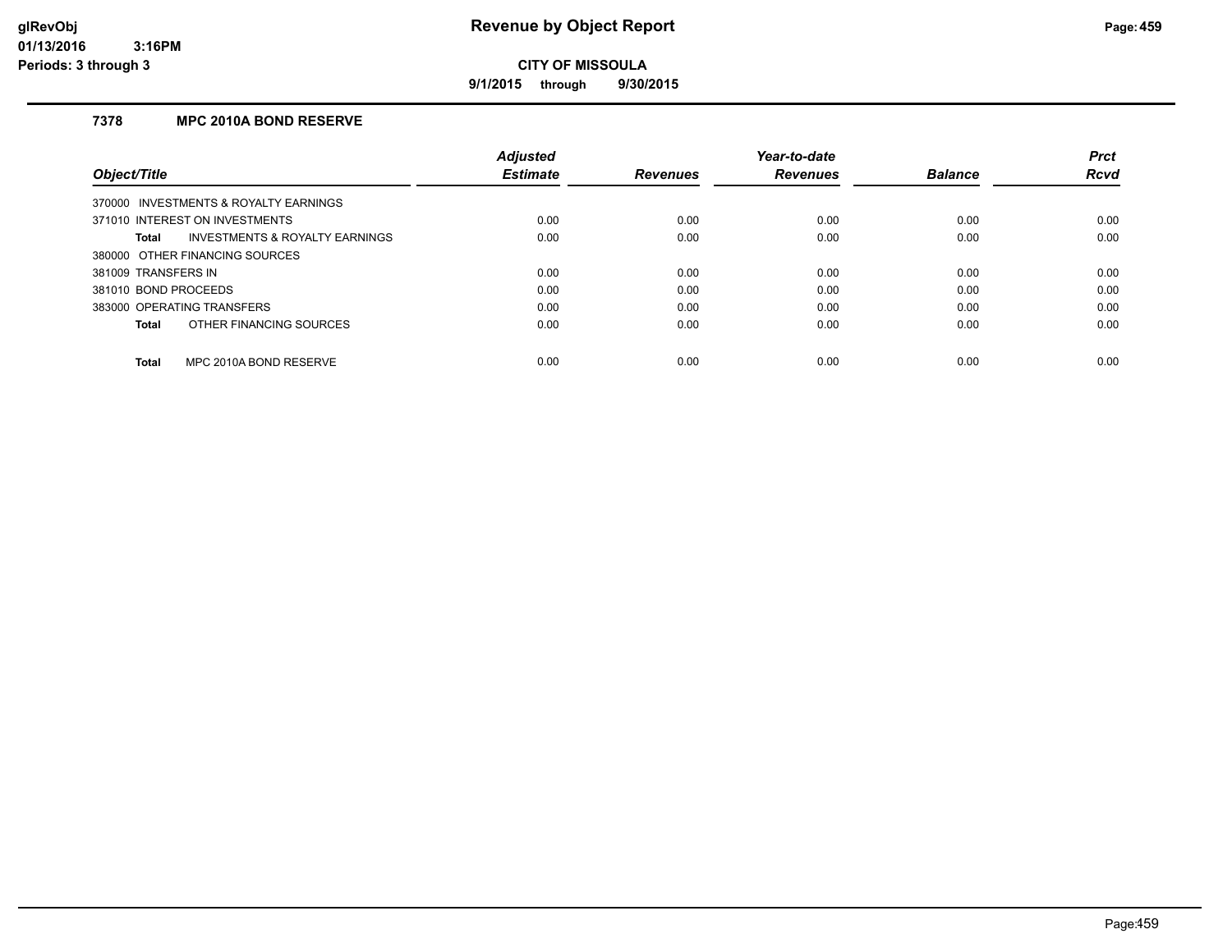**9/1/2015 through 9/30/2015**

## **7378 MPC 2010A BOND RESERVE**

|                                                | <b>Adjusted</b> |                 | Year-to-date    |                | <b>Prct</b> |
|------------------------------------------------|-----------------|-----------------|-----------------|----------------|-------------|
| Object/Title                                   | <b>Estimate</b> | <b>Revenues</b> | <b>Revenues</b> | <b>Balance</b> | <b>Rcvd</b> |
| 370000 INVESTMENTS & ROYALTY EARNINGS          |                 |                 |                 |                |             |
| 371010 INTEREST ON INVESTMENTS                 | 0.00            | 0.00            | 0.00            | 0.00           | 0.00        |
| INVESTMENTS & ROYALTY EARNINGS<br><b>Total</b> | 0.00            | 0.00            | 0.00            | 0.00           | 0.00        |
| 380000 OTHER FINANCING SOURCES                 |                 |                 |                 |                |             |
| 381009 TRANSFERS IN                            | 0.00            | 0.00            | 0.00            | 0.00           | 0.00        |
| 381010 BOND PROCEEDS                           | 0.00            | 0.00            | 0.00            | 0.00           | 0.00        |
| 383000 OPERATING TRANSFERS                     | 0.00            | 0.00            | 0.00            | 0.00           | 0.00        |
| OTHER FINANCING SOURCES<br><b>Total</b>        | 0.00            | 0.00            | 0.00            | 0.00           | 0.00        |
| MPC 2010A BOND RESERVE<br><b>Total</b>         | 0.00            | 0.00            | 0.00            | 0.00           | 0.00        |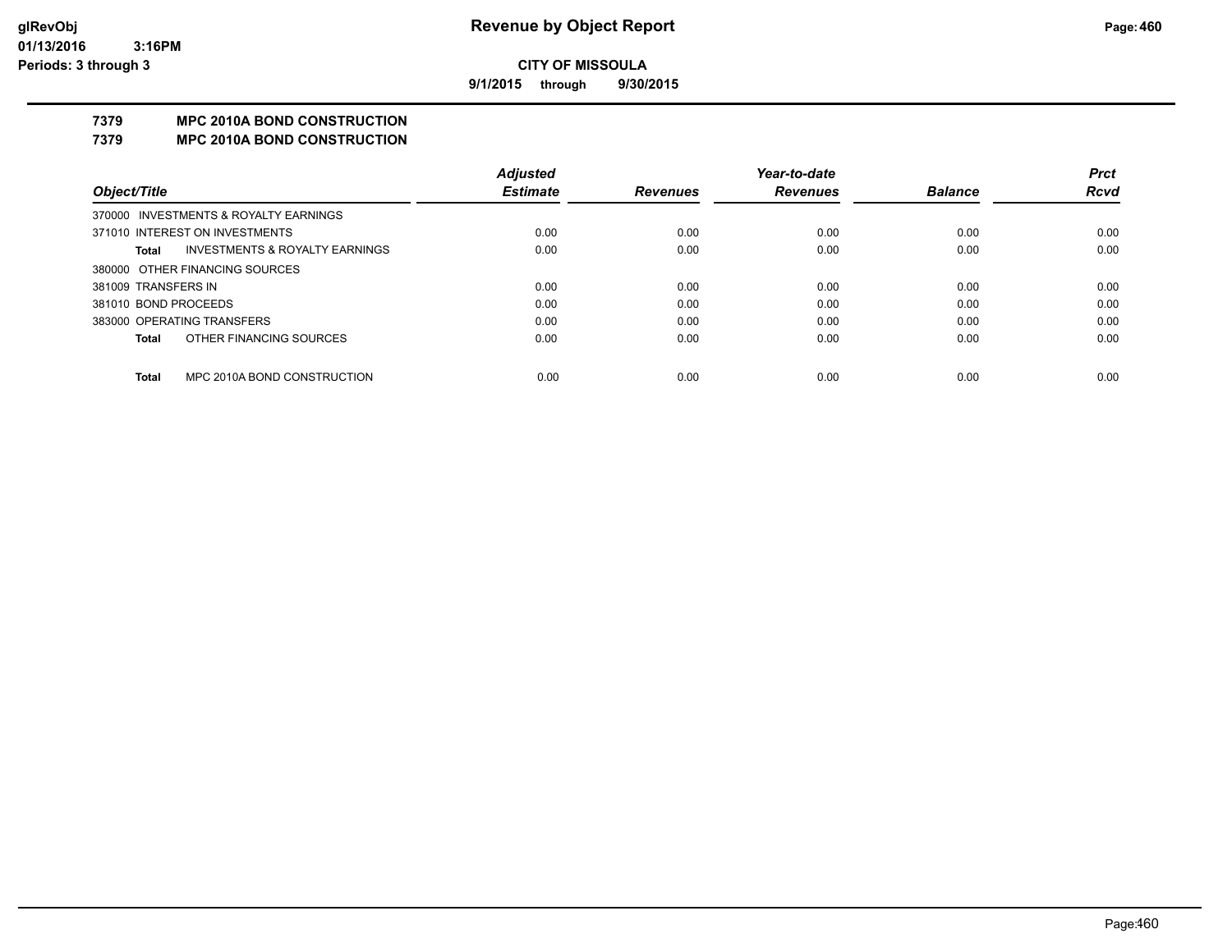**9/1/2015 through 9/30/2015**

## **7379 MPC 2010A BOND CONSTRUCTION**

### **7379 MPC 2010A BOND CONSTRUCTION**

|                      |                                           | <b>Adjusted</b> |                 | Year-to-date    |                | <b>Prct</b> |
|----------------------|-------------------------------------------|-----------------|-----------------|-----------------|----------------|-------------|
| Object/Title         |                                           | <b>Estimate</b> | <b>Revenues</b> | <b>Revenues</b> | <b>Balance</b> | <b>Rcvd</b> |
|                      | 370000 INVESTMENTS & ROYALTY EARNINGS     |                 |                 |                 |                |             |
|                      | 371010 INTEREST ON INVESTMENTS            | 0.00            | 0.00            | 0.00            | 0.00           | 0.00        |
| Total                | <b>INVESTMENTS &amp; ROYALTY EARNINGS</b> | 0.00            | 0.00            | 0.00            | 0.00           | 0.00        |
|                      | 380000 OTHER FINANCING SOURCES            |                 |                 |                 |                |             |
| 381009 TRANSFERS IN  |                                           | 0.00            | 0.00            | 0.00            | 0.00           | 0.00        |
| 381010 BOND PROCEEDS |                                           | 0.00            | 0.00            | 0.00            | 0.00           | 0.00        |
|                      | 383000 OPERATING TRANSFERS                | 0.00            | 0.00            | 0.00            | 0.00           | 0.00        |
| <b>Total</b>         | OTHER FINANCING SOURCES                   | 0.00            | 0.00            | 0.00            | 0.00           | 0.00        |
|                      |                                           |                 |                 |                 |                |             |
| <b>Total</b>         | MPC 2010A BOND CONSTRUCTION               | 0.00            | 0.00            | 0.00            | 0.00           | 0.00        |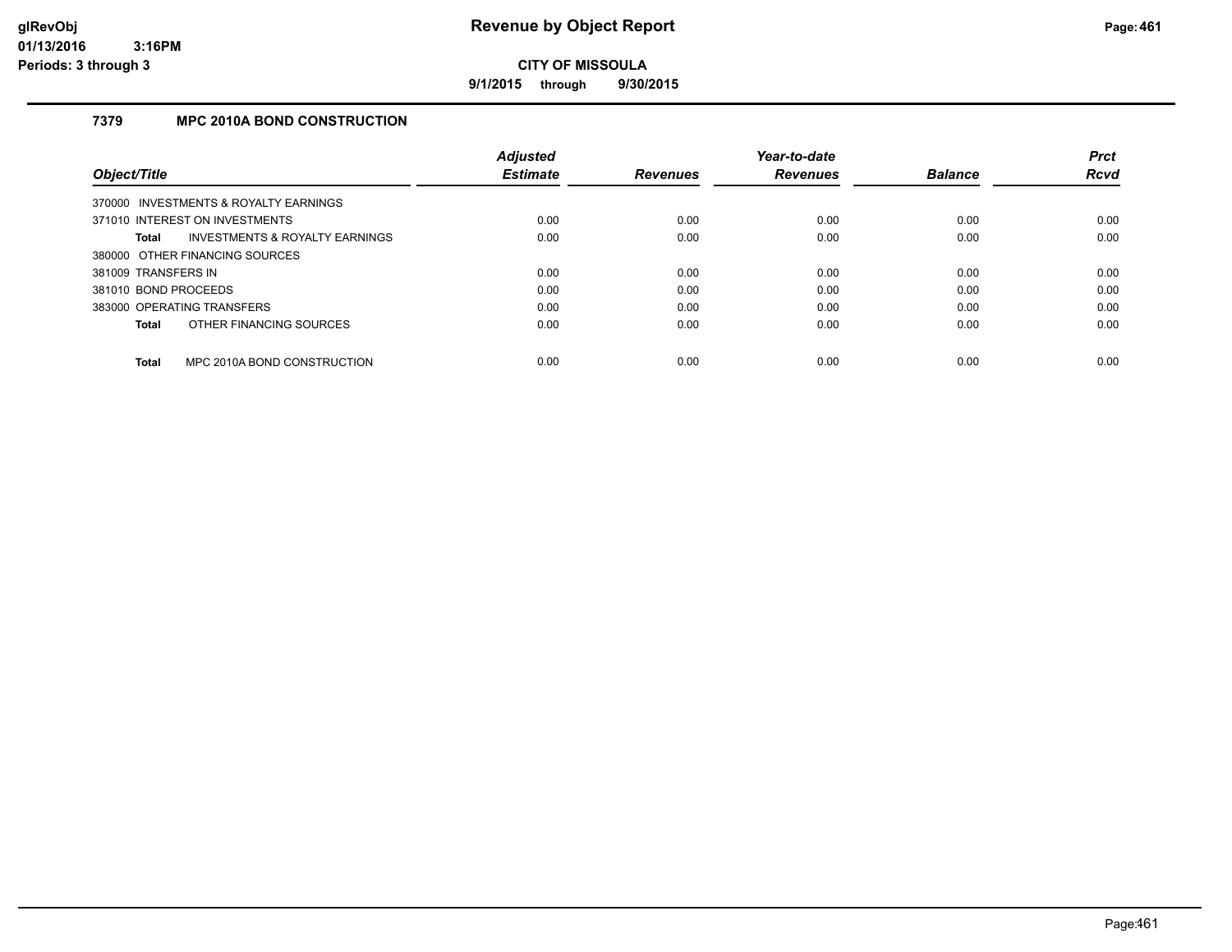**9/1/2015 through 9/30/2015**

## **7379 MPC 2010A BOND CONSTRUCTION**

|                      |                                       | <b>Adjusted</b> |                 | Year-to-date    |                | <b>Prct</b> |
|----------------------|---------------------------------------|-----------------|-----------------|-----------------|----------------|-------------|
| Object/Title         |                                       | <b>Estimate</b> | <b>Revenues</b> | <b>Revenues</b> | <b>Balance</b> | <b>Rcvd</b> |
|                      | 370000 INVESTMENTS & ROYALTY EARNINGS |                 |                 |                 |                |             |
|                      | 371010 INTEREST ON INVESTMENTS        | 0.00            | 0.00            | 0.00            | 0.00           | 0.00        |
| <b>Total</b>         | INVESTMENTS & ROYALTY EARNINGS        | 0.00            | 0.00            | 0.00            | 0.00           | 0.00        |
|                      | 380000 OTHER FINANCING SOURCES        |                 |                 |                 |                |             |
| 381009 TRANSFERS IN  |                                       | 0.00            | 0.00            | 0.00            | 0.00           | 0.00        |
| 381010 BOND PROCEEDS |                                       | 0.00            | 0.00            | 0.00            | 0.00           | 0.00        |
|                      | 383000 OPERATING TRANSFERS            | 0.00            | 0.00            | 0.00            | 0.00           | 0.00        |
| <b>Total</b>         | OTHER FINANCING SOURCES               | 0.00            | 0.00            | 0.00            | 0.00           | 0.00        |
| <b>Total</b>         | MPC 2010A BOND CONSTRUCTION           | 0.00            | 0.00            | 0.00            | 0.00           | 0.00        |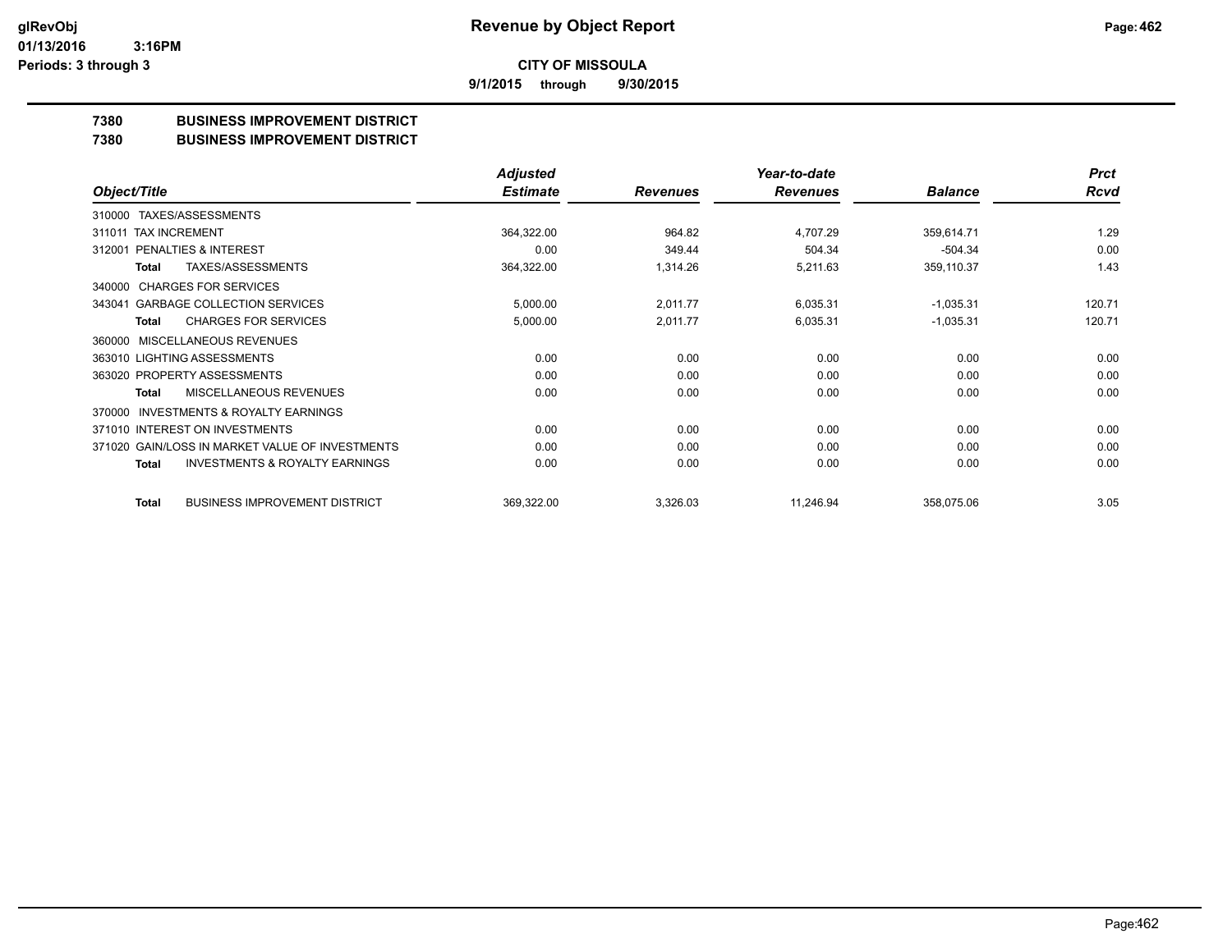**9/1/2015 through 9/30/2015**

## **7380 BUSINESS IMPROVEMENT DISTRICT**

#### **7380 BUSINESS IMPROVEMENT DISTRICT**

|                                                     | <b>Adjusted</b> |                 | Year-to-date    |                | <b>Prct</b> |
|-----------------------------------------------------|-----------------|-----------------|-----------------|----------------|-------------|
| Object/Title                                        | <b>Estimate</b> | <b>Revenues</b> | <b>Revenues</b> | <b>Balance</b> | <b>Rcvd</b> |
| TAXES/ASSESSMENTS<br>310000                         |                 |                 |                 |                |             |
| 311011 TAX INCREMENT                                | 364,322.00      | 964.82          | 4.707.29        | 359,614.71     | 1.29        |
| 312001 PENALTIES & INTEREST                         | 0.00            | 349.44          | 504.34          | $-504.34$      | 0.00        |
| TAXES/ASSESSMENTS<br>Total                          | 364,322.00      | 1,314.26        | 5,211.63        | 359,110.37     | 1.43        |
| <b>CHARGES FOR SERVICES</b><br>340000               |                 |                 |                 |                |             |
| <b>GARBAGE COLLECTION SERVICES</b><br>343041        | 5,000.00        | 2,011.77        | 6,035.31        | $-1,035.31$    | 120.71      |
| <b>CHARGES FOR SERVICES</b><br>Total                | 5,000.00        | 2,011.77        | 6,035.31        | $-1,035.31$    | 120.71      |
| MISCELLANEOUS REVENUES<br>360000                    |                 |                 |                 |                |             |
| 363010 LIGHTING ASSESSMENTS                         | 0.00            | 0.00            | 0.00            | 0.00           | 0.00        |
| 363020 PROPERTY ASSESSMENTS                         | 0.00            | 0.00            | 0.00            | 0.00           | 0.00        |
| MISCELLANEOUS REVENUES<br><b>Total</b>              | 0.00            | 0.00            | 0.00            | 0.00           | 0.00        |
| <b>INVESTMENTS &amp; ROYALTY EARNINGS</b><br>370000 |                 |                 |                 |                |             |
| 371010 INTEREST ON INVESTMENTS                      | 0.00            | 0.00            | 0.00            | 0.00           | 0.00        |
| 371020 GAIN/LOSS IN MARKET VALUE OF INVESTMENTS     | 0.00            | 0.00            | 0.00            | 0.00           | 0.00        |
| <b>INVESTMENTS &amp; ROYALTY EARNINGS</b><br>Total  | 0.00            | 0.00            | 0.00            | 0.00           | 0.00        |
| <b>BUSINESS IMPROVEMENT DISTRICT</b><br>Total       | 369,322.00      | 3,326.03        | 11,246.94       | 358,075.06     | 3.05        |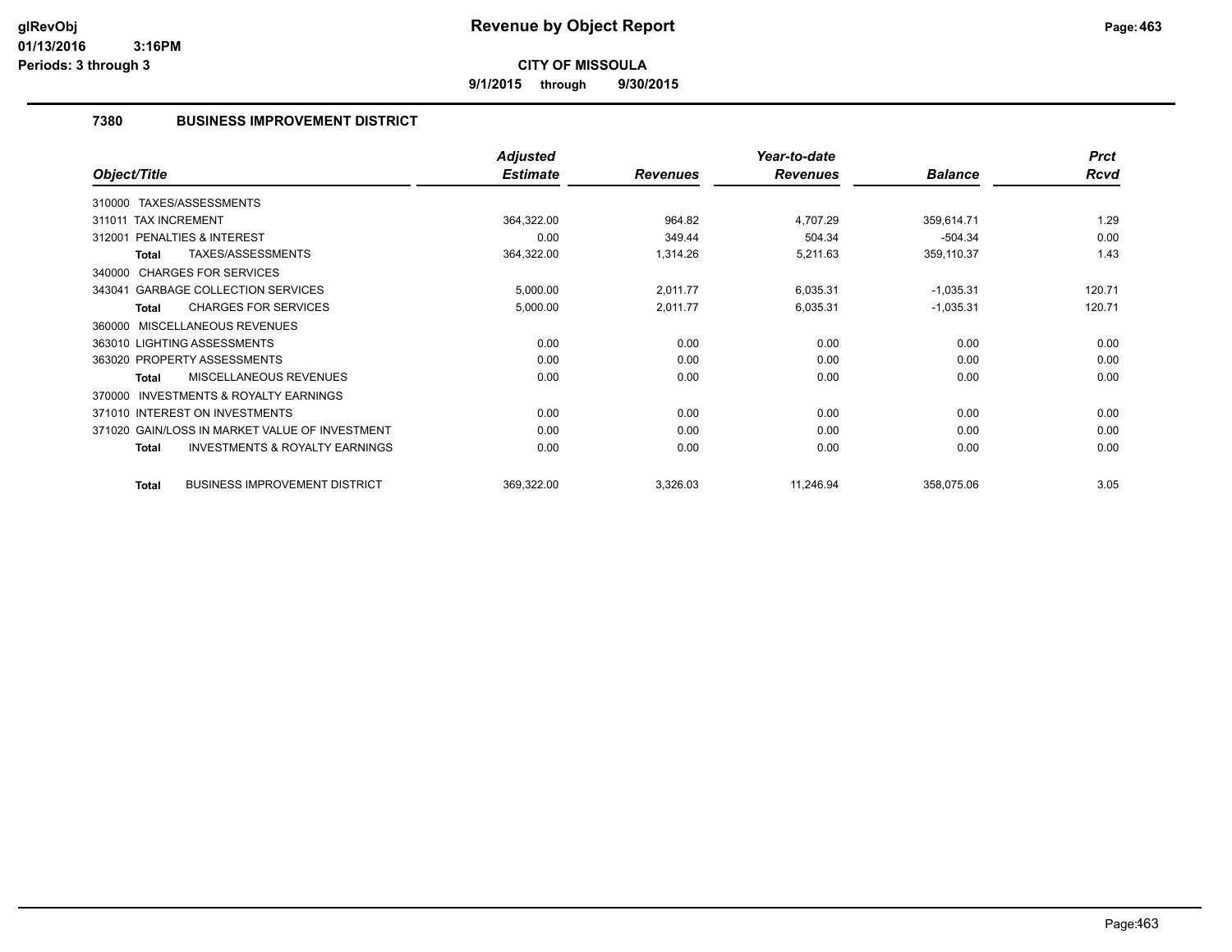**9/1/2015 through 9/30/2015**

## **7380 BUSINESS IMPROVEMENT DISTRICT**

|                                                           | <b>Adjusted</b> |                 | Year-to-date    |                | <b>Prct</b> |
|-----------------------------------------------------------|-----------------|-----------------|-----------------|----------------|-------------|
| Object/Title                                              | <b>Estimate</b> | <b>Revenues</b> | <b>Revenues</b> | <b>Balance</b> | <b>Rcvd</b> |
| 310000 TAXES/ASSESSMENTS                                  |                 |                 |                 |                |             |
| 311011 TAX INCREMENT                                      | 364,322.00      | 964.82          | 4.707.29        | 359,614.71     | 1.29        |
| <b>PENALTIES &amp; INTEREST</b><br>312001                 | 0.00            | 349.44          | 504.34          | $-504.34$      | 0.00        |
| TAXES/ASSESSMENTS<br><b>Total</b>                         | 364,322.00      | 1,314.26        | 5,211.63        | 359,110.37     | 1.43        |
| 340000 CHARGES FOR SERVICES                               |                 |                 |                 |                |             |
| 343041 GARBAGE COLLECTION SERVICES                        | 5,000.00        | 2,011.77        | 6,035.31        | $-1,035.31$    | 120.71      |
| <b>CHARGES FOR SERVICES</b><br><b>Total</b>               | 5,000.00        | 2,011.77        | 6,035.31        | $-1,035.31$    | 120.71      |
| MISCELLANEOUS REVENUES<br>360000                          |                 |                 |                 |                |             |
| 363010 LIGHTING ASSESSMENTS                               | 0.00            | 0.00            | 0.00            | 0.00           | 0.00        |
| 363020 PROPERTY ASSESSMENTS                               | 0.00            | 0.00            | 0.00            | 0.00           | 0.00        |
| <b>MISCELLANEOUS REVENUES</b><br><b>Total</b>             | 0.00            | 0.00            | 0.00            | 0.00           | 0.00        |
| <b>INVESTMENTS &amp; ROYALTY EARNINGS</b><br>370000       |                 |                 |                 |                |             |
| 371010 INTEREST ON INVESTMENTS                            | 0.00            | 0.00            | 0.00            | 0.00           | 0.00        |
| 371020 GAIN/LOSS IN MARKET VALUE OF INVESTMENT            | 0.00            | 0.00            | 0.00            | 0.00           | 0.00        |
| <b>INVESTMENTS &amp; ROYALTY EARNINGS</b><br><b>Total</b> | 0.00            | 0.00            | 0.00            | 0.00           | 0.00        |
| <b>BUSINESS IMPROVEMENT DISTRICT</b><br><b>Total</b>      | 369,322.00      | 3,326.03        | 11,246.94       | 358,075.06     | 3.05        |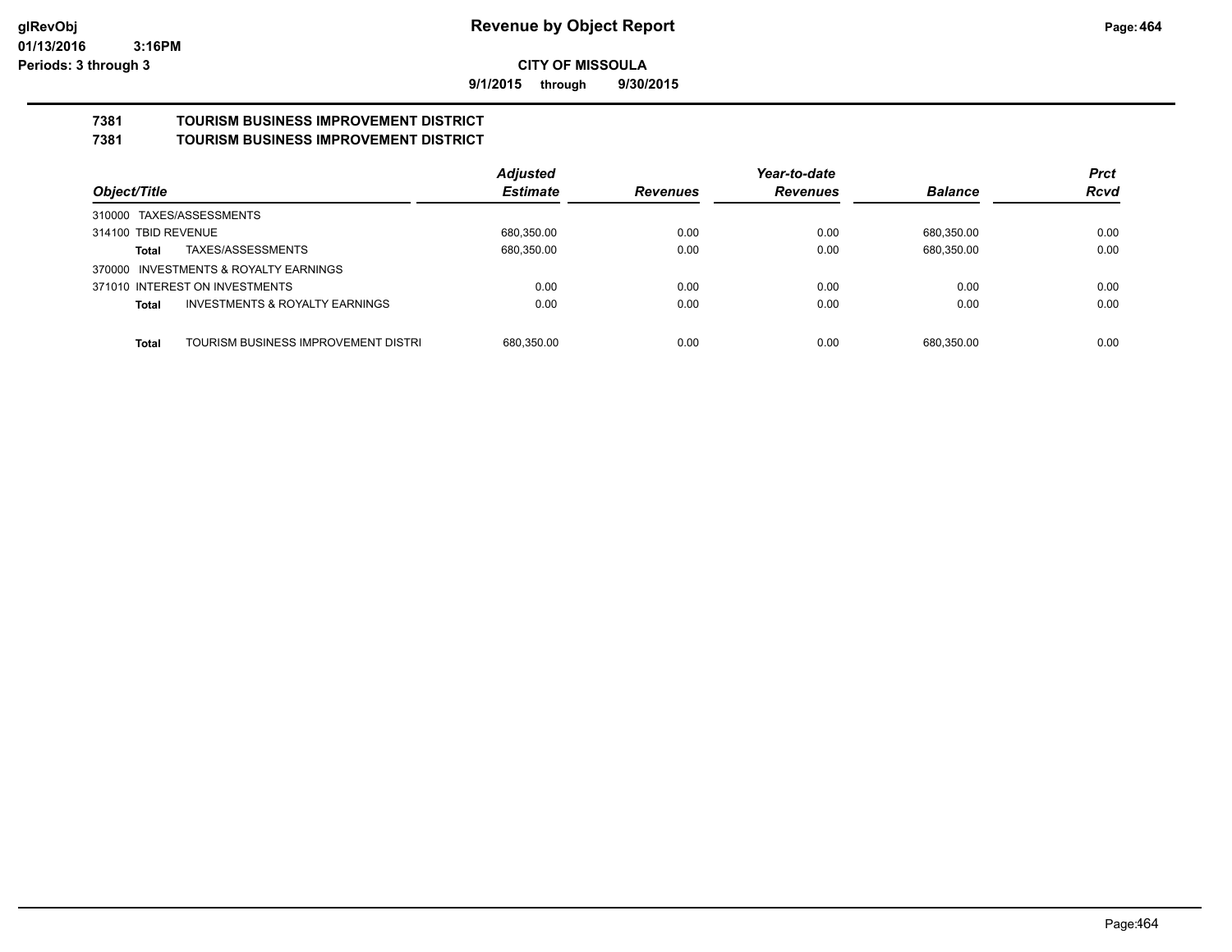**9/1/2015 through 9/30/2015**

#### **7381 TOURISM BUSINESS IMPROVEMENT DISTRICT 7381 TOURISM BUSINESS IMPROVEMENT DISTRICT**

|                                                           | <b>Adjusted</b> |                 | Year-to-date    |                | <b>Prct</b> |
|-----------------------------------------------------------|-----------------|-----------------|-----------------|----------------|-------------|
| Object/Title                                              | <b>Estimate</b> | <b>Revenues</b> | <b>Revenues</b> | <b>Balance</b> | <b>Rcvd</b> |
| 310000 TAXES/ASSESSMENTS                                  |                 |                 |                 |                |             |
| 314100 TBID REVENUE                                       | 680.350.00      | 0.00            | 0.00            | 680.350.00     | 0.00        |
| TAXES/ASSESSMENTS<br>Total                                | 680,350.00      | 0.00            | 0.00            | 680,350.00     | 0.00        |
| 370000 INVESTMENTS & ROYALTY EARNINGS                     |                 |                 |                 |                |             |
| 371010 INTEREST ON INVESTMENTS                            | 0.00            | 0.00            | 0.00            | 0.00           | 0.00        |
| <b>INVESTMENTS &amp; ROYALTY EARNINGS</b><br><b>Total</b> | 0.00            | 0.00            | 0.00            | 0.00           | 0.00        |
|                                                           |                 |                 |                 |                |             |
| TOURISM BUSINESS IMPROVEMENT DISTRI<br><b>Total</b>       | 680,350.00      | 0.00            | 0.00            | 680.350.00     | 0.00        |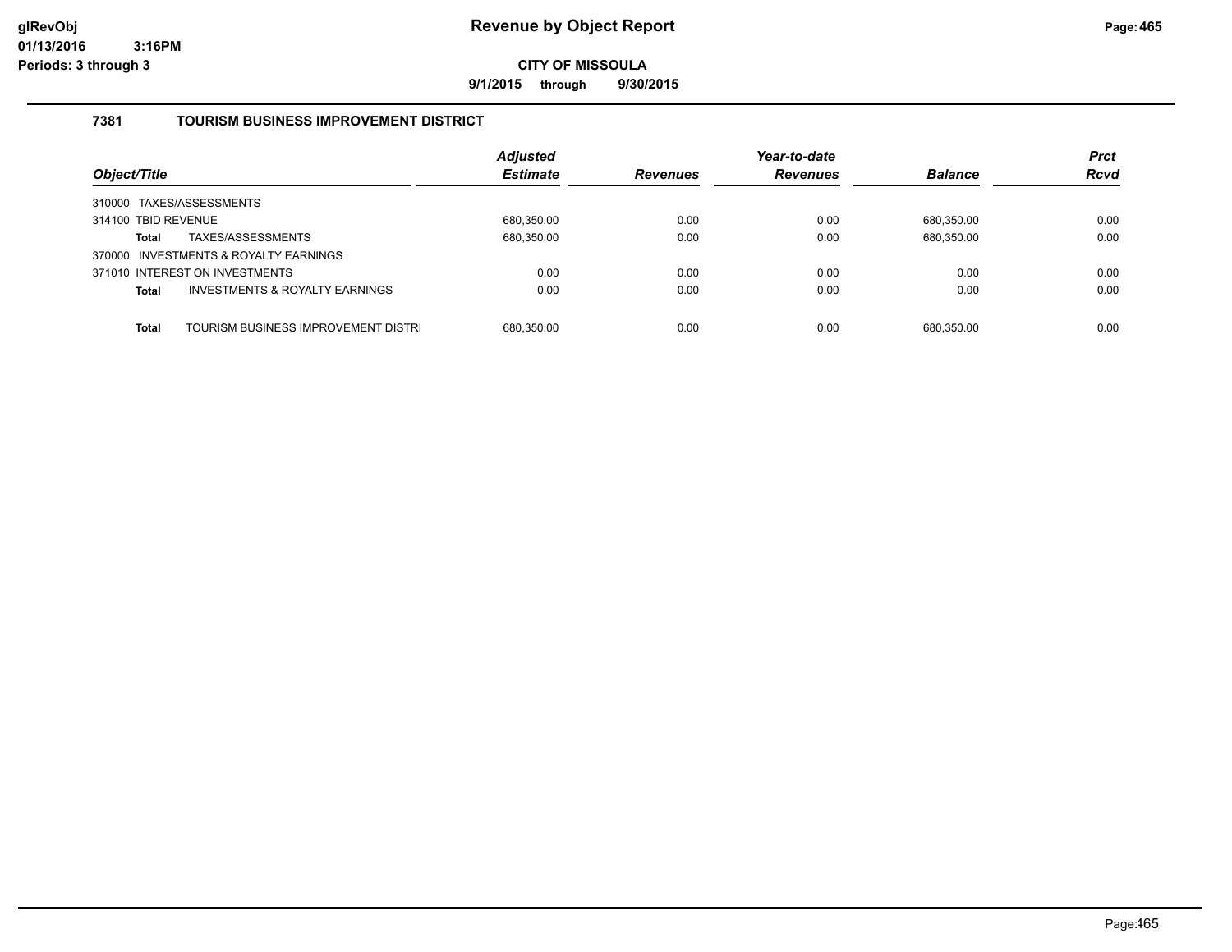**9/1/2015 through 9/30/2015**

## **7381 TOURISM BUSINESS IMPROVEMENT DISTRICT**

| Object/Title                                       | <b>Adjusted</b><br><b>Estimate</b> | <b>Revenues</b> | Year-to-date<br><b>Revenues</b> | <b>Balance</b> | <b>Prct</b><br><b>Rcvd</b> |
|----------------------------------------------------|------------------------------------|-----------------|---------------------------------|----------------|----------------------------|
| 310000 TAXES/ASSESSMENTS                           |                                    |                 |                                 |                |                            |
| 314100 TBID REVENUE                                | 680,350.00                         | 0.00            | 0.00                            | 680.350.00     | 0.00                       |
| TAXES/ASSESSMENTS<br><b>Total</b>                  | 680,350.00                         | 0.00            | 0.00                            | 680,350.00     | 0.00                       |
| 370000 INVESTMENTS & ROYALTY EARNINGS              |                                    |                 |                                 |                |                            |
| 371010 INTEREST ON INVESTMENTS                     | 0.00                               | 0.00            | 0.00                            | 0.00           | 0.00                       |
| INVESTMENTS & ROYALTY EARNINGS<br><b>Total</b>     | 0.00                               | 0.00            | 0.00                            | 0.00           | 0.00                       |
|                                                    |                                    |                 |                                 |                |                            |
| TOURISM BUSINESS IMPROVEMENT DISTR<br><b>Total</b> | 680,350.00                         | 0.00            | 0.00                            | 680.350.00     | 0.00                       |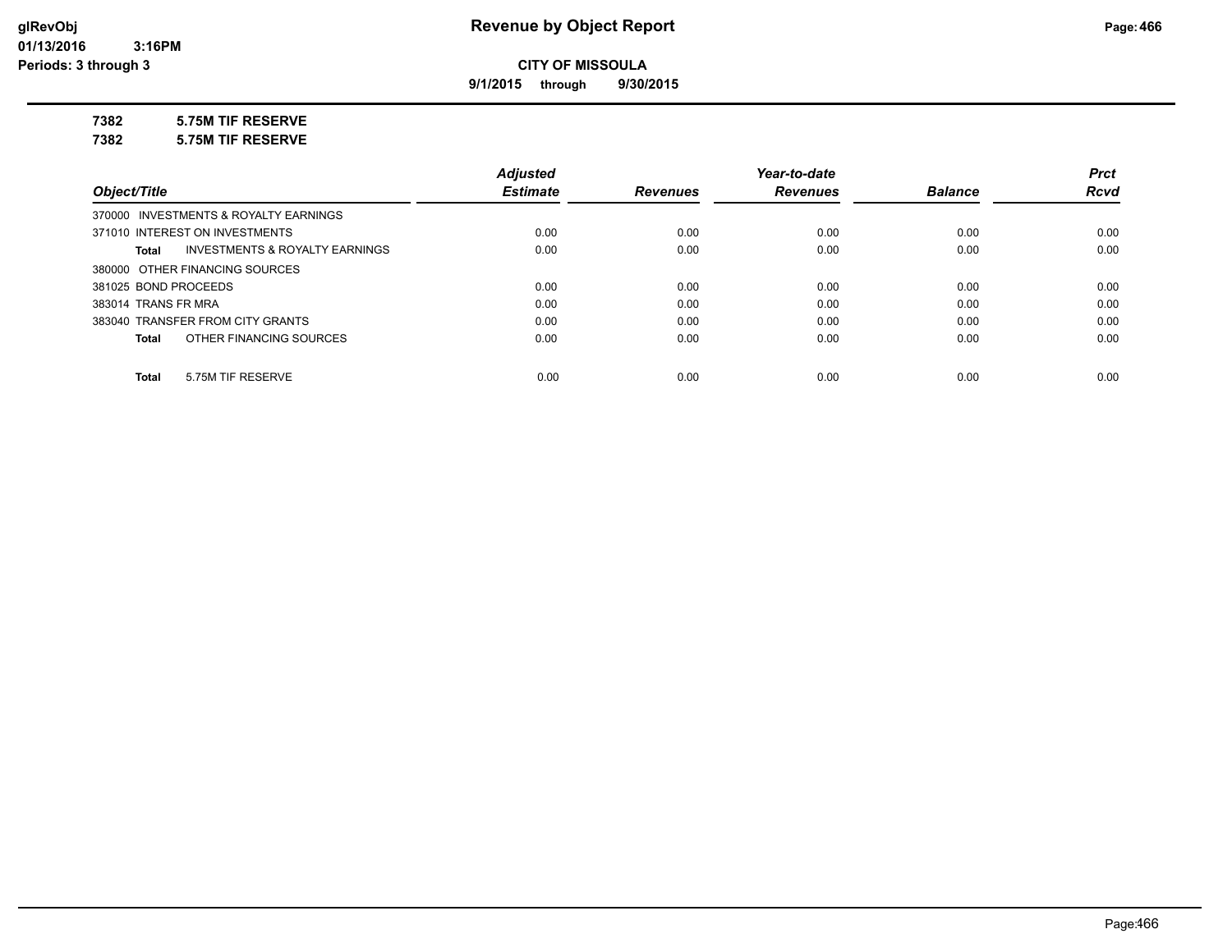**9/1/2015 through 9/30/2015**

## **7382 5.75M TIF RESERVE**

**7382 5.75M TIF RESERVE**

|                                                    | <b>Adjusted</b> |                 | Year-to-date    |                | <b>Prct</b> |
|----------------------------------------------------|-----------------|-----------------|-----------------|----------------|-------------|
| Object/Title                                       | <b>Estimate</b> | <b>Revenues</b> | <b>Revenues</b> | <b>Balance</b> | <b>Rcvd</b> |
| 370000 INVESTMENTS & ROYALTY EARNINGS              |                 |                 |                 |                |             |
| 371010 INTEREST ON INVESTMENTS                     | 0.00            | 0.00            | 0.00            | 0.00           | 0.00        |
| <b>INVESTMENTS &amp; ROYALTY EARNINGS</b><br>Total | 0.00            | 0.00            | 0.00            | 0.00           | 0.00        |
| 380000 OTHER FINANCING SOURCES                     |                 |                 |                 |                |             |
| 381025 BOND PROCEEDS                               | 0.00            | 0.00            | 0.00            | 0.00           | 0.00        |
| 383014 TRANS FR MRA                                | 0.00            | 0.00            | 0.00            | 0.00           | 0.00        |
| 383040 TRANSFER FROM CITY GRANTS                   | 0.00            | 0.00            | 0.00            | 0.00           | 0.00        |
| OTHER FINANCING SOURCES<br>Total                   | 0.00            | 0.00            | 0.00            | 0.00           | 0.00        |
| 5.75M TIF RESERVE<br><b>Total</b>                  | 0.00            | 0.00            | 0.00            | 0.00           | 0.00        |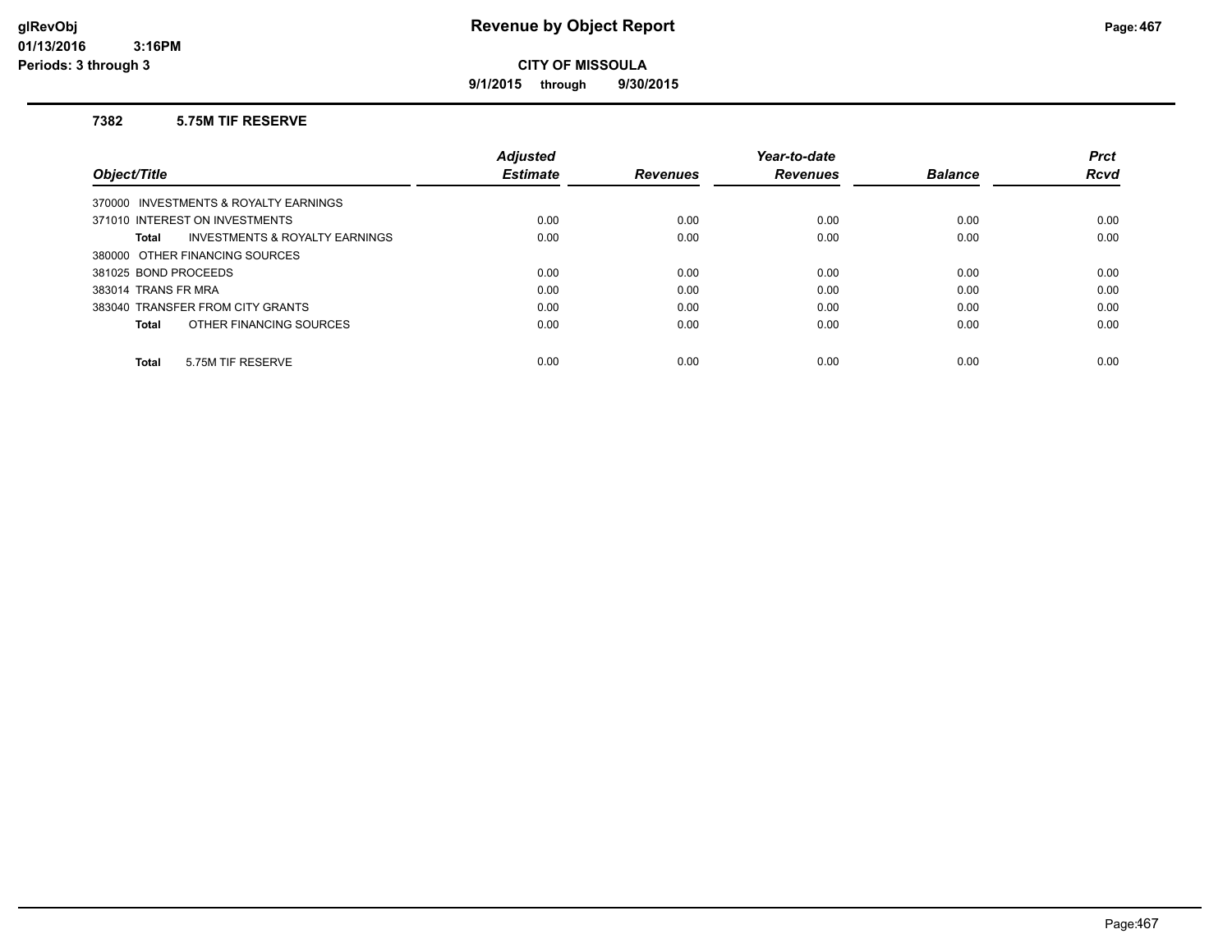**9/1/2015 through 9/30/2015**

## **7382 5.75M TIF RESERVE**

|                                         | <b>Adjusted</b> |                 | Year-to-date    |                | <b>Prct</b> |
|-----------------------------------------|-----------------|-----------------|-----------------|----------------|-------------|
| Object/Title                            | <b>Estimate</b> | <b>Revenues</b> | <b>Revenues</b> | <b>Balance</b> | <b>Rcvd</b> |
| 370000 INVESTMENTS & ROYALTY EARNINGS   |                 |                 |                 |                |             |
| 371010 INTEREST ON INVESTMENTS          | 0.00            | 0.00            | 0.00            | 0.00           | 0.00        |
| INVESTMENTS & ROYALTY EARNINGS<br>Total | 0.00            | 0.00            | 0.00            | 0.00           | 0.00        |
| 380000 OTHER FINANCING SOURCES          |                 |                 |                 |                |             |
| 381025 BOND PROCEEDS                    | 0.00            | 0.00            | 0.00            | 0.00           | 0.00        |
| 383014 TRANS FR MRA                     | 0.00            | 0.00            | 0.00            | 0.00           | 0.00        |
| 383040 TRANSFER FROM CITY GRANTS        | 0.00            | 0.00            | 0.00            | 0.00           | 0.00        |
| OTHER FINANCING SOURCES<br>Total        | 0.00            | 0.00            | 0.00            | 0.00           | 0.00        |
| 5.75M TIF RESERVE<br><b>Total</b>       | 0.00            | 0.00            | 0.00            | 0.00           | 0.00        |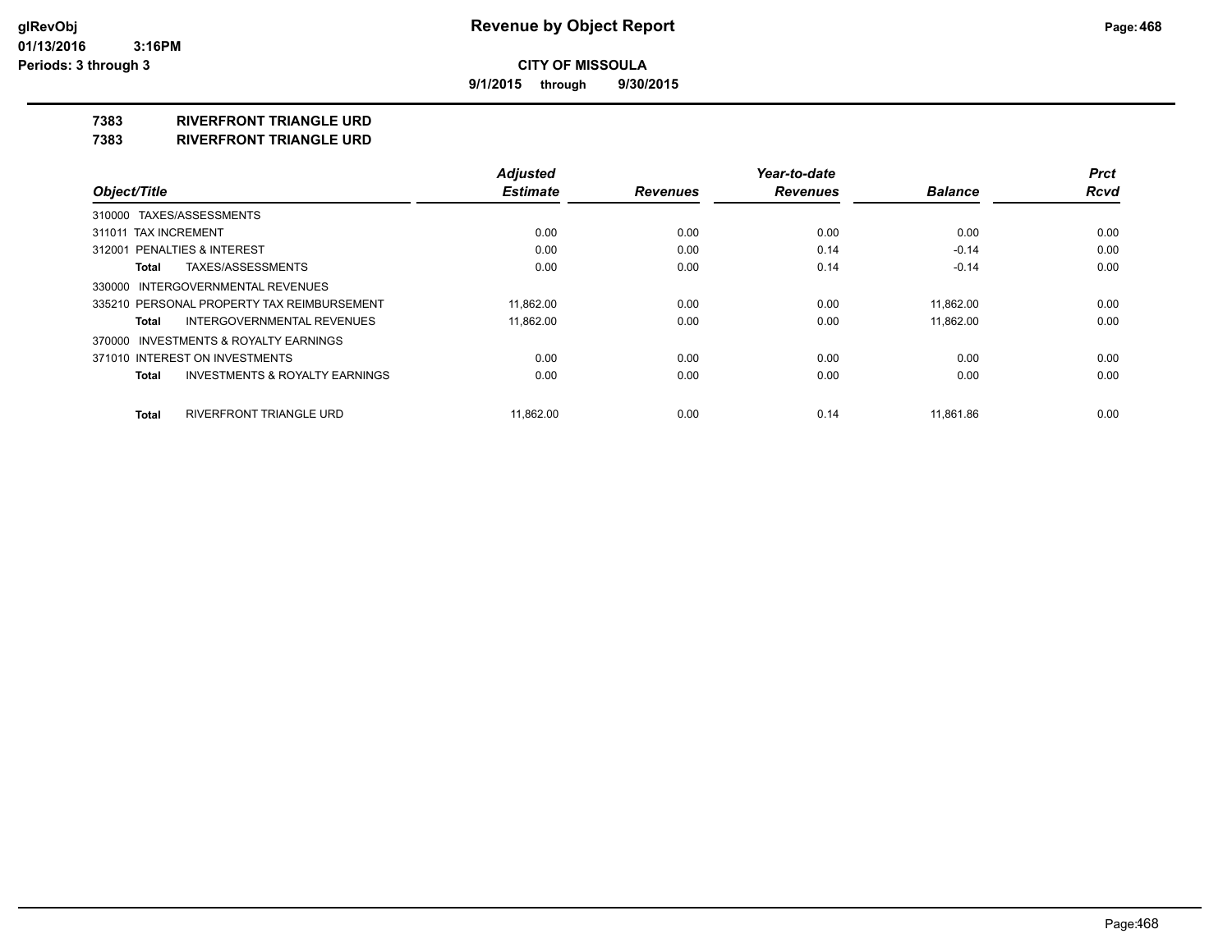**9/1/2015 through 9/30/2015**

## **7383 RIVERFRONT TRIANGLE URD**

**7383 RIVERFRONT TRIANGLE URD**

|                                                    | <b>Adjusted</b> |                 | Year-to-date    |                | <b>Prct</b> |
|----------------------------------------------------|-----------------|-----------------|-----------------|----------------|-------------|
| Object/Title                                       | <b>Estimate</b> | <b>Revenues</b> | <b>Revenues</b> | <b>Balance</b> | <b>Rcvd</b> |
| 310000 TAXES/ASSESSMENTS                           |                 |                 |                 |                |             |
| 311011 TAX INCREMENT                               | 0.00            | 0.00            | 0.00            | 0.00           | 0.00        |
| 312001 PENALTIES & INTEREST                        | 0.00            | 0.00            | 0.14            | $-0.14$        | 0.00        |
| TAXES/ASSESSMENTS<br>Total                         | 0.00            | 0.00            | 0.14            | $-0.14$        | 0.00        |
| 330000 INTERGOVERNMENTAL REVENUES                  |                 |                 |                 |                |             |
| 335210 PERSONAL PROPERTY TAX REIMBURSEMENT         | 11.862.00       | 0.00            | 0.00            | 11.862.00      | 0.00        |
| <b>INTERGOVERNMENTAL REVENUES</b><br>Total         | 11.862.00       | 0.00            | 0.00            | 11.862.00      | 0.00        |
| 370000 INVESTMENTS & ROYALTY EARNINGS              |                 |                 |                 |                |             |
| 371010 INTEREST ON INVESTMENTS                     | 0.00            | 0.00            | 0.00            | 0.00           | 0.00        |
| <b>INVESTMENTS &amp; ROYALTY EARNINGS</b><br>Total | 0.00            | 0.00            | 0.00            | 0.00           | 0.00        |
| RIVERFRONT TRIANGLE URD<br><b>Total</b>            | 11.862.00       | 0.00            | 0.14            | 11.861.86      | 0.00        |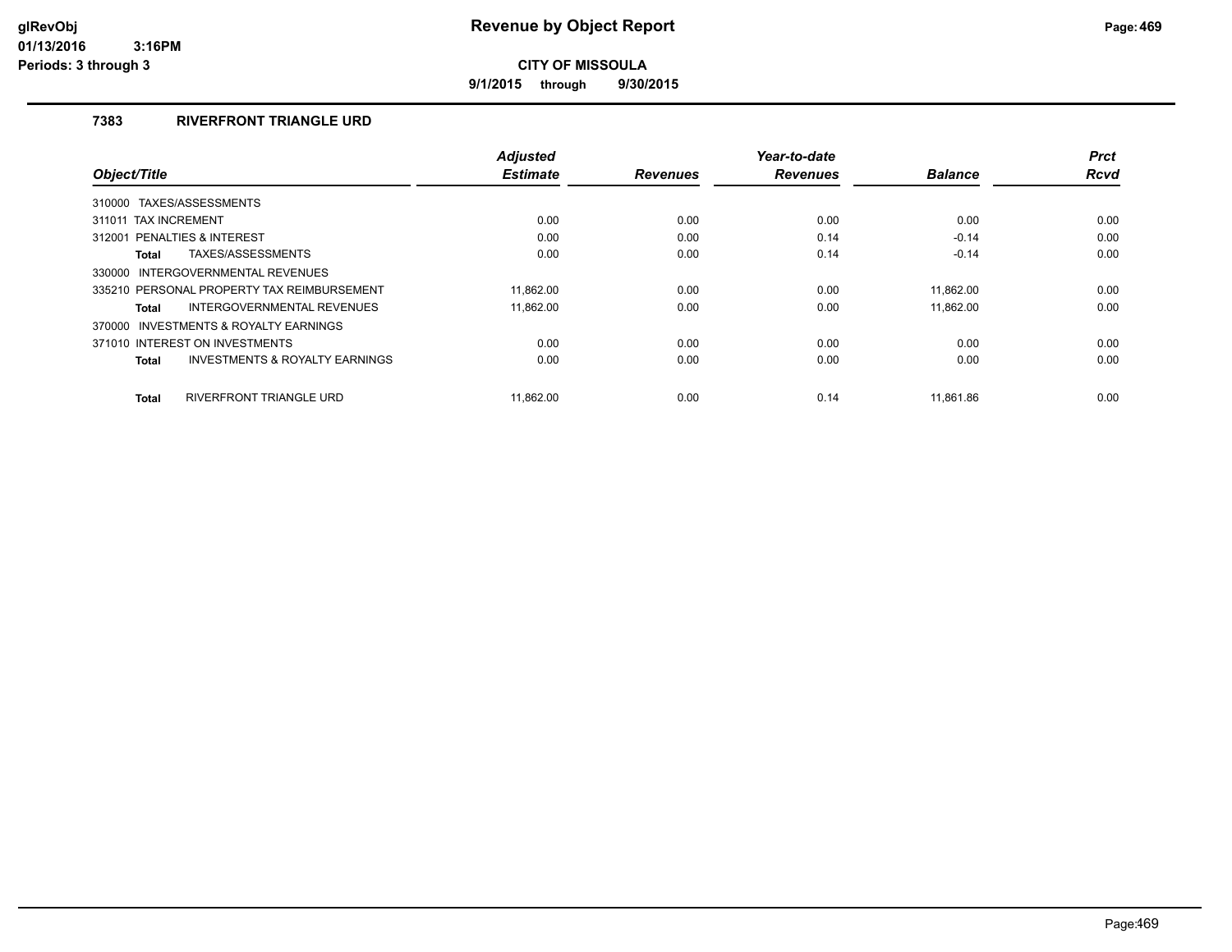**9/1/2015 through 9/30/2015**

## **7383 RIVERFRONT TRIANGLE URD**

| Object/Title                                              | <b>Adjusted</b><br><b>Estimate</b> | <b>Revenues</b> | Year-to-date<br><b>Revenues</b> | <b>Balance</b> | <b>Prct</b><br><b>Rcvd</b> |
|-----------------------------------------------------------|------------------------------------|-----------------|---------------------------------|----------------|----------------------------|
|                                                           |                                    |                 |                                 |                |                            |
| 310000 TAXES/ASSESSMENTS                                  |                                    |                 |                                 |                |                            |
| 311011 TAX INCREMENT                                      | 0.00                               | 0.00            | 0.00                            | 0.00           | 0.00                       |
| PENALTIES & INTEREST<br>312001                            | 0.00                               | 0.00            | 0.14                            | $-0.14$        | 0.00                       |
| TAXES/ASSESSMENTS<br><b>Total</b>                         | 0.00                               | 0.00            | 0.14                            | $-0.14$        | 0.00                       |
| INTERGOVERNMENTAL REVENUES<br>330000                      |                                    |                 |                                 |                |                            |
| 335210 PERSONAL PROPERTY TAX REIMBURSEMENT                | 11.862.00                          | 0.00            | 0.00                            | 11.862.00      | 0.00                       |
| INTERGOVERNMENTAL REVENUES<br><b>Total</b>                | 11,862.00                          | 0.00            | 0.00                            | 11,862.00      | 0.00                       |
| 370000 INVESTMENTS & ROYALTY EARNINGS                     |                                    |                 |                                 |                |                            |
| 371010 INTEREST ON INVESTMENTS                            | 0.00                               | 0.00            | 0.00                            | 0.00           | 0.00                       |
| <b>INVESTMENTS &amp; ROYALTY EARNINGS</b><br><b>Total</b> | 0.00                               | 0.00            | 0.00                            | 0.00           | 0.00                       |
|                                                           |                                    |                 |                                 |                |                            |
| <b>RIVERFRONT TRIANGLE URD</b><br><b>Total</b>            | 11.862.00                          | 0.00            | 0.14                            | 11.861.86      | 0.00                       |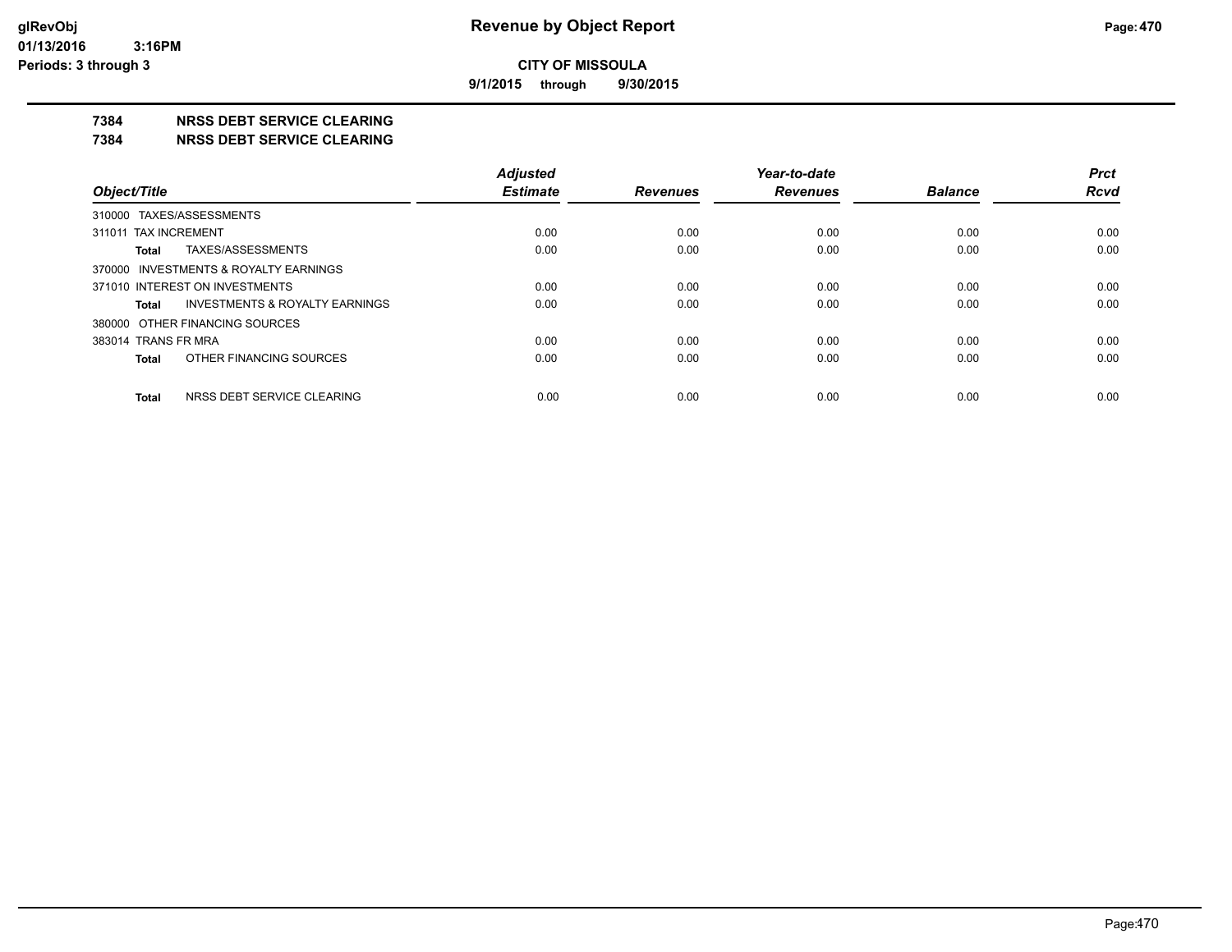**9/1/2015 through 9/30/2015**

#### **7384 NRSS DEBT SERVICE CLEARING**

**7384 NRSS DEBT SERVICE CLEARING**

|                                         | <b>Adjusted</b> |                 | Year-to-date    |                | <b>Prct</b> |
|-----------------------------------------|-----------------|-----------------|-----------------|----------------|-------------|
| Object/Title                            | <b>Estimate</b> | <b>Revenues</b> | <b>Revenues</b> | <b>Balance</b> | <b>Rcvd</b> |
| 310000 TAXES/ASSESSMENTS                |                 |                 |                 |                |             |
| 311011 TAX INCREMENT                    | 0.00            | 0.00            | 0.00            | 0.00           | 0.00        |
| TAXES/ASSESSMENTS<br>Total              | 0.00            | 0.00            | 0.00            | 0.00           | 0.00        |
| 370000 INVESTMENTS & ROYALTY EARNINGS   |                 |                 |                 |                |             |
| 371010 INTEREST ON INVESTMENTS          | 0.00            | 0.00            | 0.00            | 0.00           | 0.00        |
| INVESTMENTS & ROYALTY EARNINGS<br>Total | 0.00            | 0.00            | 0.00            | 0.00           | 0.00        |
| 380000 OTHER FINANCING SOURCES          |                 |                 |                 |                |             |
| 383014 TRANS FR MRA                     | 0.00            | 0.00            | 0.00            | 0.00           | 0.00        |
| OTHER FINANCING SOURCES<br>Total        | 0.00            | 0.00            | 0.00            | 0.00           | 0.00        |
| NRSS DEBT SERVICE CLEARING<br>Total     | 0.00            | 0.00            | 0.00            | 0.00           | 0.00        |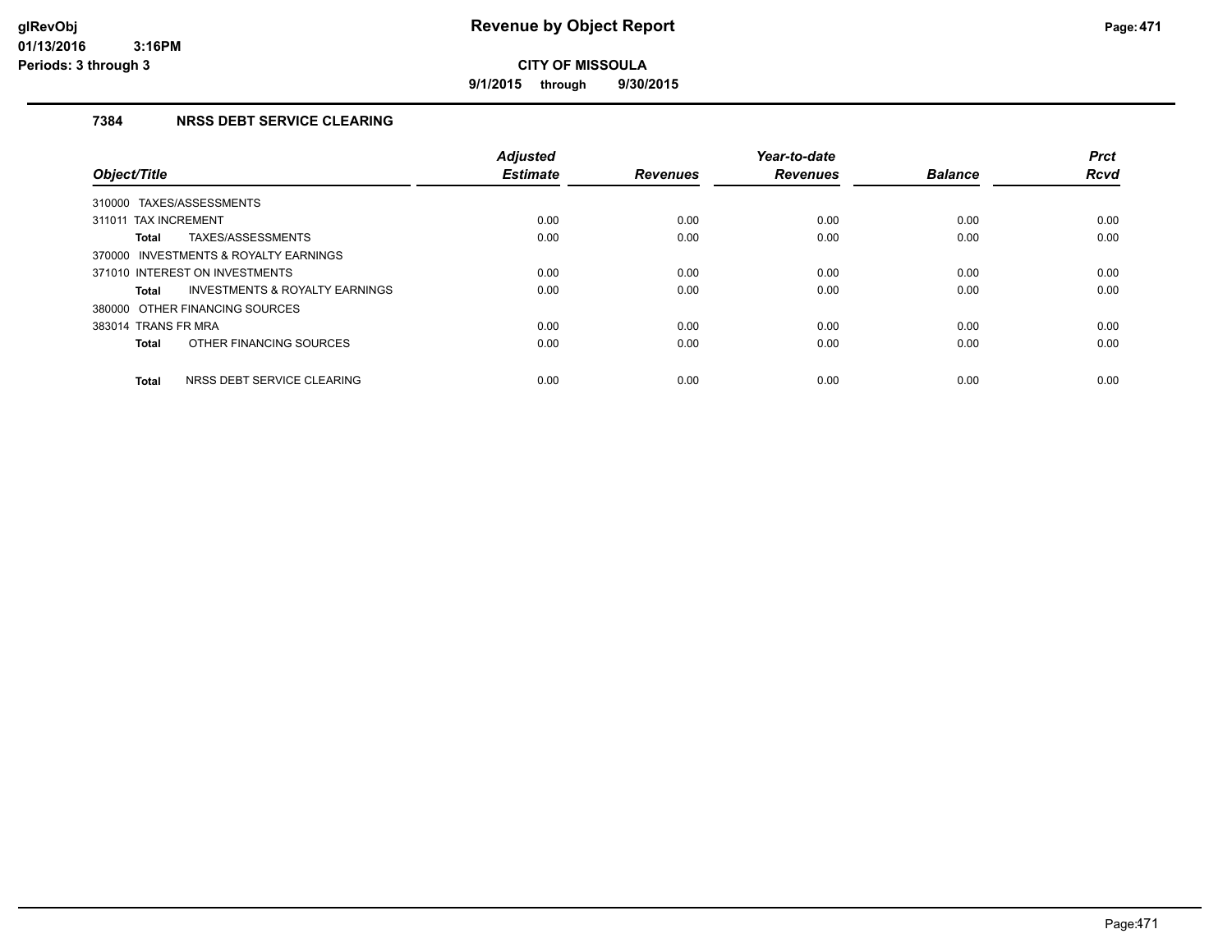**9/1/2015 through 9/30/2015**

## **7384 NRSS DEBT SERVICE CLEARING**

| Object/Title                          |                                           | <b>Adjusted</b><br><b>Estimate</b> | <b>Revenues</b> | Year-to-date<br><b>Revenues</b> | <b>Balance</b> | <b>Prct</b><br>Rcvd |
|---------------------------------------|-------------------------------------------|------------------------------------|-----------------|---------------------------------|----------------|---------------------|
| 310000 TAXES/ASSESSMENTS              |                                           |                                    |                 |                                 |                |                     |
| 311011 TAX INCREMENT                  |                                           | 0.00                               | 0.00            | 0.00                            | 0.00           | 0.00                |
| <b>Total</b>                          | TAXES/ASSESSMENTS                         | 0.00                               | 0.00            | 0.00                            | 0.00           | 0.00                |
| 370000 INVESTMENTS & ROYALTY EARNINGS |                                           |                                    |                 |                                 |                |                     |
| 371010 INTEREST ON INVESTMENTS        |                                           | 0.00                               | 0.00            | 0.00                            | 0.00           | 0.00                |
| <b>Total</b>                          | <b>INVESTMENTS &amp; ROYALTY EARNINGS</b> | 0.00                               | 0.00            | 0.00                            | 0.00           | 0.00                |
| 380000 OTHER FINANCING SOURCES        |                                           |                                    |                 |                                 |                |                     |
| 383014 TRANS FR MRA                   |                                           | 0.00                               | 0.00            | 0.00                            | 0.00           | 0.00                |
| <b>Total</b>                          | OTHER FINANCING SOURCES                   | 0.00                               | 0.00            | 0.00                            | 0.00           | 0.00                |
| <b>Total</b>                          | NRSS DEBT SERVICE CLEARING                | 0.00                               | 0.00            | 0.00                            | 0.00           | 0.00                |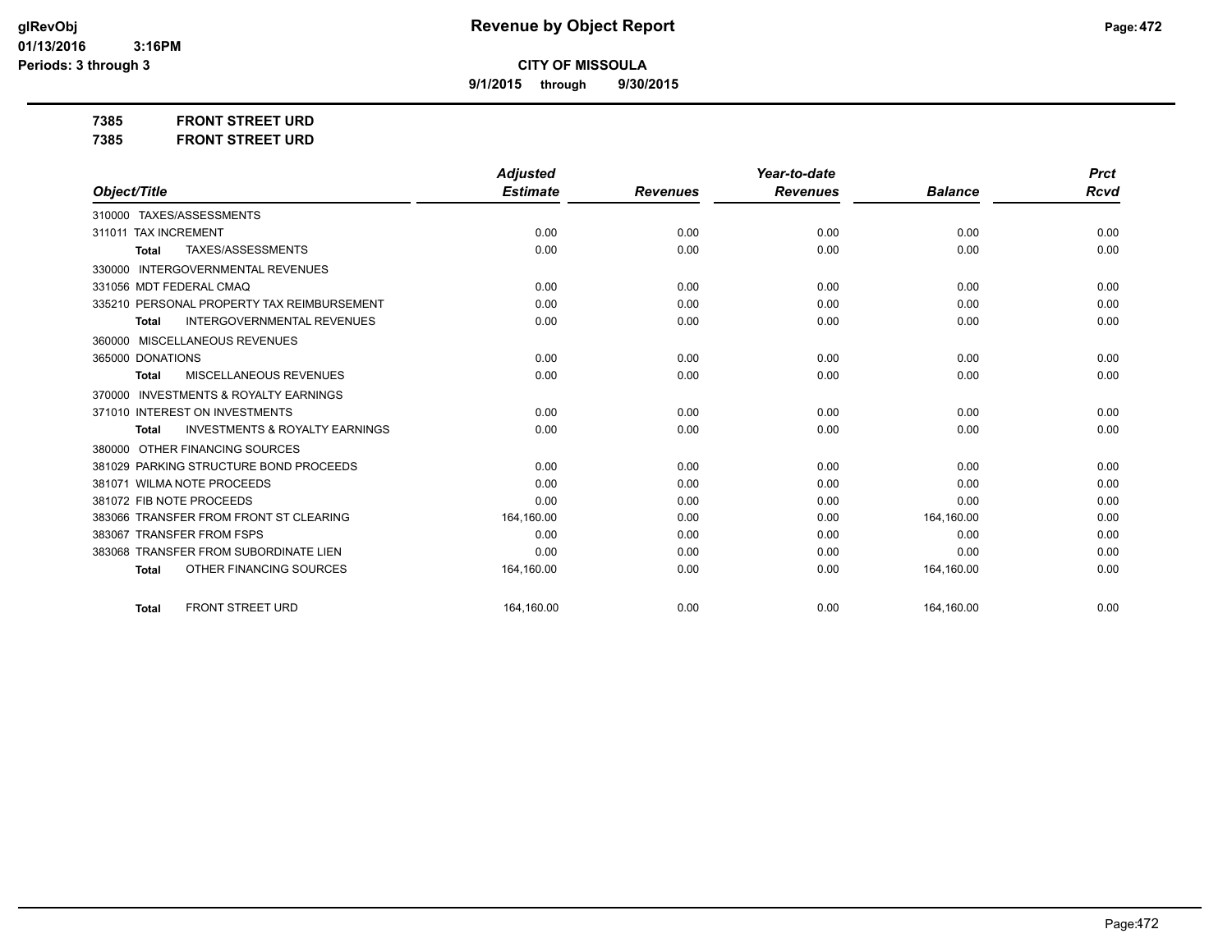*Prct Rcvd*

**CITY OF MISSOULA**

**9/1/2015 through 9/30/2015**

**7385 FRONT STREET URD 7385 FRONT STREET URD**

|                                                           | <b>Adjusted</b> |                 | Year-to-date    |                | <b>Prct</b> |
|-----------------------------------------------------------|-----------------|-----------------|-----------------|----------------|-------------|
| Object/Title                                              | <b>Estimate</b> | <b>Revenues</b> | <b>Revenues</b> | <b>Balance</b> | Rcva        |
| TAXES/ASSESSMENTS<br>310000                               |                 |                 |                 |                |             |
| 311011 TAX INCREMENT                                      | 0.00            | 0.00            | 0.00            | 0.00           | 0.00        |
| TAXES/ASSESSMENTS<br><b>Total</b>                         | 0.00            | 0.00            | 0.00            | 0.00           | 0.00        |
| <b>INTERGOVERNMENTAL REVENUES</b><br>330000               |                 |                 |                 |                |             |
| 331056 MDT FEDERAL CMAQ                                   | 0.00            | 0.00            | 0.00            | 0.00           | 0.00        |
| 335210 PERSONAL PROPERTY TAX REIMBURSEMENT                | 0.00            | 0.00            | 0.00            | 0.00           | 0.00        |
| <b>INTERGOVERNMENTAL REVENUES</b><br><b>Total</b>         | 0.00            | 0.00            | 0.00            | 0.00           | 0.00        |
| <b>MISCELLANEOUS REVENUES</b><br>360000                   |                 |                 |                 |                |             |
| 365000 DONATIONS                                          | 0.00            | 0.00            | 0.00            | 0.00           | 0.00        |
| MISCELLANEOUS REVENUES<br><b>Total</b>                    | 0.00            | 0.00            | 0.00            | 0.00           | 0.00        |
| <b>INVESTMENTS &amp; ROYALTY EARNINGS</b><br>370000       |                 |                 |                 |                |             |
| 371010 INTEREST ON INVESTMENTS                            | 0.00            | 0.00            | 0.00            | 0.00           | 0.00        |
| <b>INVESTMENTS &amp; ROYALTY EARNINGS</b><br><b>Total</b> | 0.00            | 0.00            | 0.00            | 0.00           | 0.00        |
| 380000 OTHER FINANCING SOURCES                            |                 |                 |                 |                |             |
| 381029 PARKING STRUCTURE BOND PROCEEDS                    | 0.00            | 0.00            | 0.00            | 0.00           | 0.00        |

381071 WILMA NOTE PROCEEDS 0.00 0.00 0.00 0.00 0.00  $0.00 \hspace{1.5cm} 0.00 \hspace{3.2cm} 0.00 \hspace{1.5cm} 0.00 \hspace{1.5cm} 0.00 \hspace{1.5cm} 0.00 \hspace{1.5cm} 0.00 \hspace{1.5cm} 0.00 \hspace{1.5cm} 0.00 \hspace{1.5cm} 0.00 \hspace{1.5cm} 0.00 \hspace{1.5cm} 0.00 \hspace{1.5cm} 0.00 \hspace{1.5cm} 0.00 \hspace{1.5cm} 0.00 \hspace{1.5cm} 0.00 \hspace{1.5$ 383066 TRANSFER FROM FRONT ST CLEARING 164,160.00 0.00 0.00 164,160.00 0.00 383067 TRANSFER FROM FSPS 0.00 0.00 0.00 0.00 0.00 383068 TRANSFER FROM SUBORDINATE LIEN 0.00 0.00 0.00 0.00 0.00 **Total** OTHER FINANCING SOURCES 164,160.00 0.00 0.00 164,160.00 0.00

**Total** FRONT STREET URD 164,160.00 0.00 0.00 164,160.00 0.00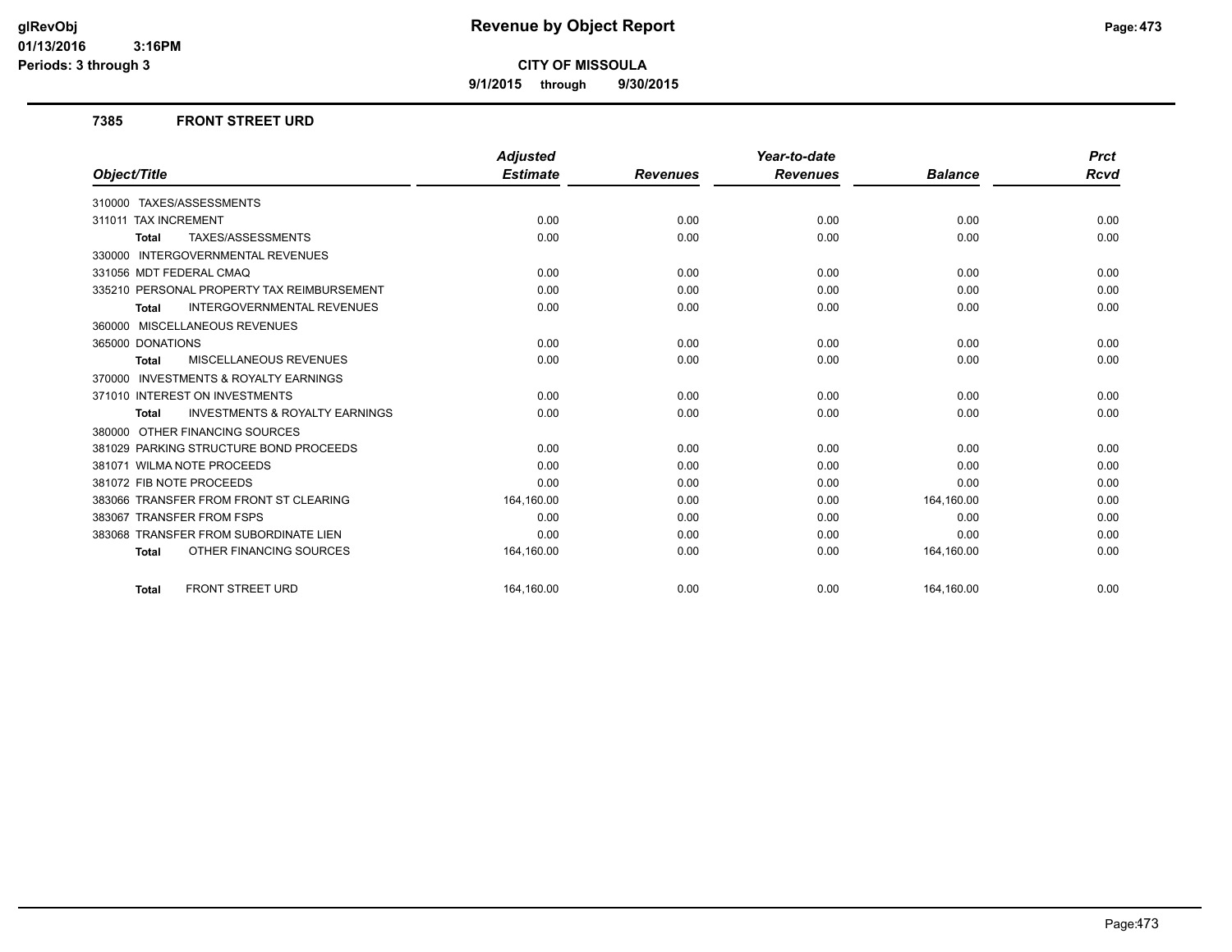**9/1/2015 through 9/30/2015**

#### **7385 FRONT STREET URD**

|                                                           | <b>Adjusted</b> |                 | Year-to-date    |                | <b>Prct</b> |
|-----------------------------------------------------------|-----------------|-----------------|-----------------|----------------|-------------|
| Object/Title                                              | <b>Estimate</b> | <b>Revenues</b> | <b>Revenues</b> | <b>Balance</b> | <b>Rcvd</b> |
| 310000 TAXES/ASSESSMENTS                                  |                 |                 |                 |                |             |
| 311011 TAX INCREMENT                                      | 0.00            | 0.00            | 0.00            | 0.00           | 0.00        |
| TAXES/ASSESSMENTS<br><b>Total</b>                         | 0.00            | 0.00            | 0.00            | 0.00           | 0.00        |
| <b>INTERGOVERNMENTAL REVENUES</b><br>330000               |                 |                 |                 |                |             |
| 331056 MDT FEDERAL CMAQ                                   | 0.00            | 0.00            | 0.00            | 0.00           | 0.00        |
| 335210 PERSONAL PROPERTY TAX REIMBURSEMENT                | 0.00            | 0.00            | 0.00            | 0.00           | 0.00        |
| <b>INTERGOVERNMENTAL REVENUES</b><br><b>Total</b>         | 0.00            | 0.00            | 0.00            | 0.00           | 0.00        |
| 360000 MISCELLANEOUS REVENUES                             |                 |                 |                 |                |             |
| 365000 DONATIONS                                          | 0.00            | 0.00            | 0.00            | 0.00           | 0.00        |
| MISCELLANEOUS REVENUES<br><b>Total</b>                    | 0.00            | 0.00            | 0.00            | 0.00           | 0.00        |
| <b>INVESTMENTS &amp; ROYALTY EARNINGS</b><br>370000       |                 |                 |                 |                |             |
| 371010 INTEREST ON INVESTMENTS                            | 0.00            | 0.00            | 0.00            | 0.00           | 0.00        |
| <b>INVESTMENTS &amp; ROYALTY EARNINGS</b><br><b>Total</b> | 0.00            | 0.00            | 0.00            | 0.00           | 0.00        |
| 380000 OTHER FINANCING SOURCES                            |                 |                 |                 |                |             |
| 381029 PARKING STRUCTURE BOND PROCEEDS                    | 0.00            | 0.00            | 0.00            | 0.00           | 0.00        |
| 381071 WILMA NOTE PROCEEDS                                | 0.00            | 0.00            | 0.00            | 0.00           | 0.00        |
| 381072 FIB NOTE PROCEEDS                                  | 0.00            | 0.00            | 0.00            | 0.00           | 0.00        |
| 383066 TRANSFER FROM FRONT ST CLEARING                    | 164,160.00      | 0.00            | 0.00            | 164,160.00     | 0.00        |
| 383067 TRANSFER FROM FSPS                                 | 0.00            | 0.00            | 0.00            | 0.00           | 0.00        |
| 383068 TRANSFER FROM SUBORDINATE LIEN                     | 0.00            | 0.00            | 0.00            | 0.00           | 0.00        |
| OTHER FINANCING SOURCES<br><b>Total</b>                   | 164,160.00      | 0.00            | 0.00            | 164,160.00     | 0.00        |
| <b>FRONT STREET URD</b><br><b>Total</b>                   | 164.160.00      | 0.00            | 0.00            | 164.160.00     | 0.00        |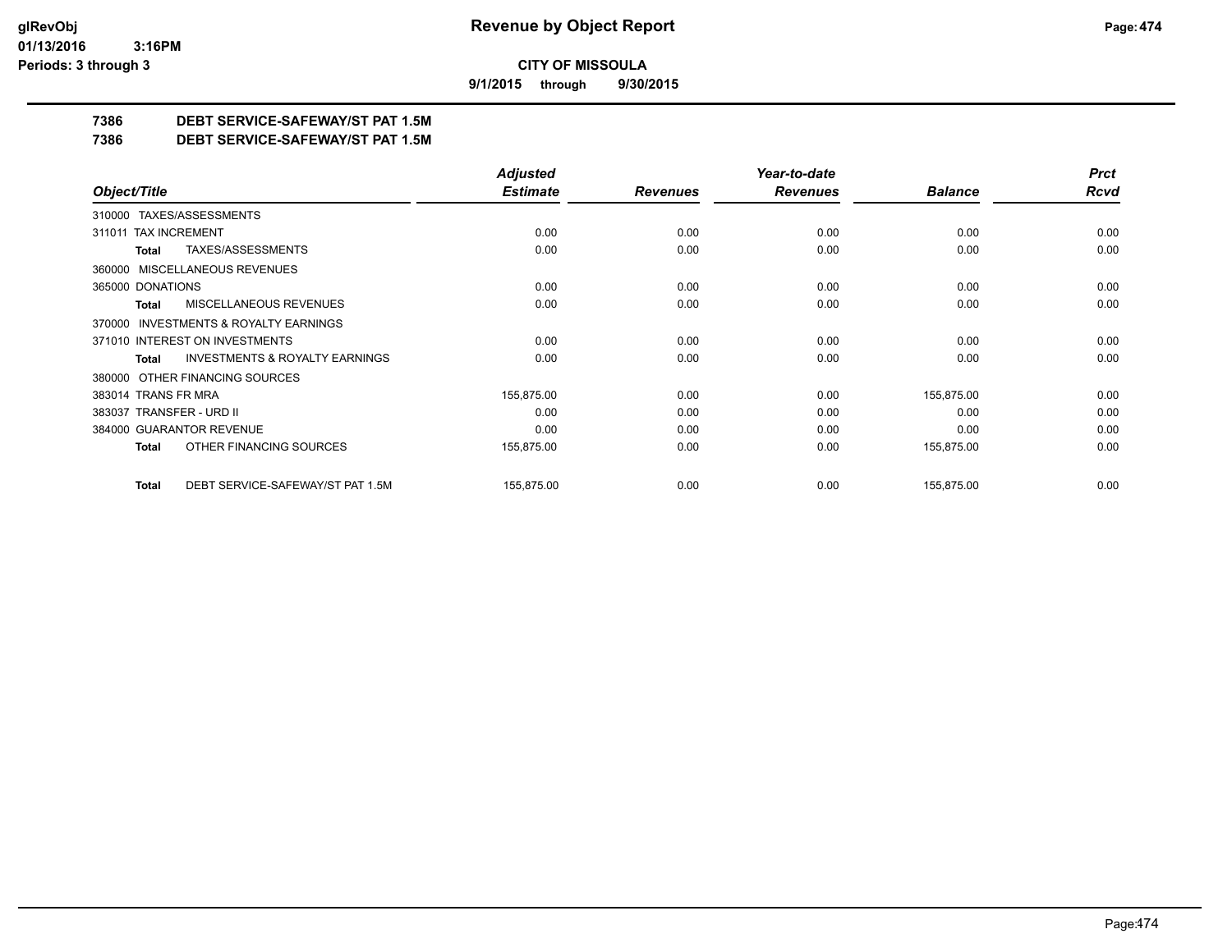**9/1/2015 through 9/30/2015**

## **7386 DEBT SERVICE-SAFEWAY/ST PAT 1.5M**

**7386 DEBT SERVICE-SAFEWAY/ST PAT 1.5M**

|                                                     | <b>Adjusted</b> |                 | Year-to-date    |                | <b>Prct</b> |
|-----------------------------------------------------|-----------------|-----------------|-----------------|----------------|-------------|
| Object/Title                                        | <b>Estimate</b> | <b>Revenues</b> | <b>Revenues</b> | <b>Balance</b> | <b>Rcvd</b> |
| 310000 TAXES/ASSESSMENTS                            |                 |                 |                 |                |             |
| 311011 TAX INCREMENT                                | 0.00            | 0.00            | 0.00            | 0.00           | 0.00        |
| TAXES/ASSESSMENTS<br>Total                          | 0.00            | 0.00            | 0.00            | 0.00           | 0.00        |
| 360000 MISCELLANEOUS REVENUES                       |                 |                 |                 |                |             |
| 365000 DONATIONS                                    | 0.00            | 0.00            | 0.00            | 0.00           | 0.00        |
| <b>MISCELLANEOUS REVENUES</b><br>Total              | 0.00            | 0.00            | 0.00            | 0.00           | 0.00        |
| <b>INVESTMENTS &amp; ROYALTY EARNINGS</b><br>370000 |                 |                 |                 |                |             |
| 371010 INTEREST ON INVESTMENTS                      | 0.00            | 0.00            | 0.00            | 0.00           | 0.00        |
| <b>INVESTMENTS &amp; ROYALTY EARNINGS</b><br>Total  | 0.00            | 0.00            | 0.00            | 0.00           | 0.00        |
| OTHER FINANCING SOURCES<br>380000                   |                 |                 |                 |                |             |
| 383014 TRANS FR MRA                                 | 155,875.00      | 0.00            | 0.00            | 155,875.00     | 0.00        |
| 383037 TRANSFER - URD II                            | 0.00            | 0.00            | 0.00            | 0.00           | 0.00        |
| 384000 GUARANTOR REVENUE                            | 0.00            | 0.00            | 0.00            | 0.00           | 0.00        |
| OTHER FINANCING SOURCES<br>Total                    | 155,875.00      | 0.00            | 0.00            | 155,875.00     | 0.00        |
| DEBT SERVICE-SAFEWAY/ST PAT 1.5M<br><b>Total</b>    | 155,875.00      | 0.00            | 0.00            | 155,875.00     | 0.00        |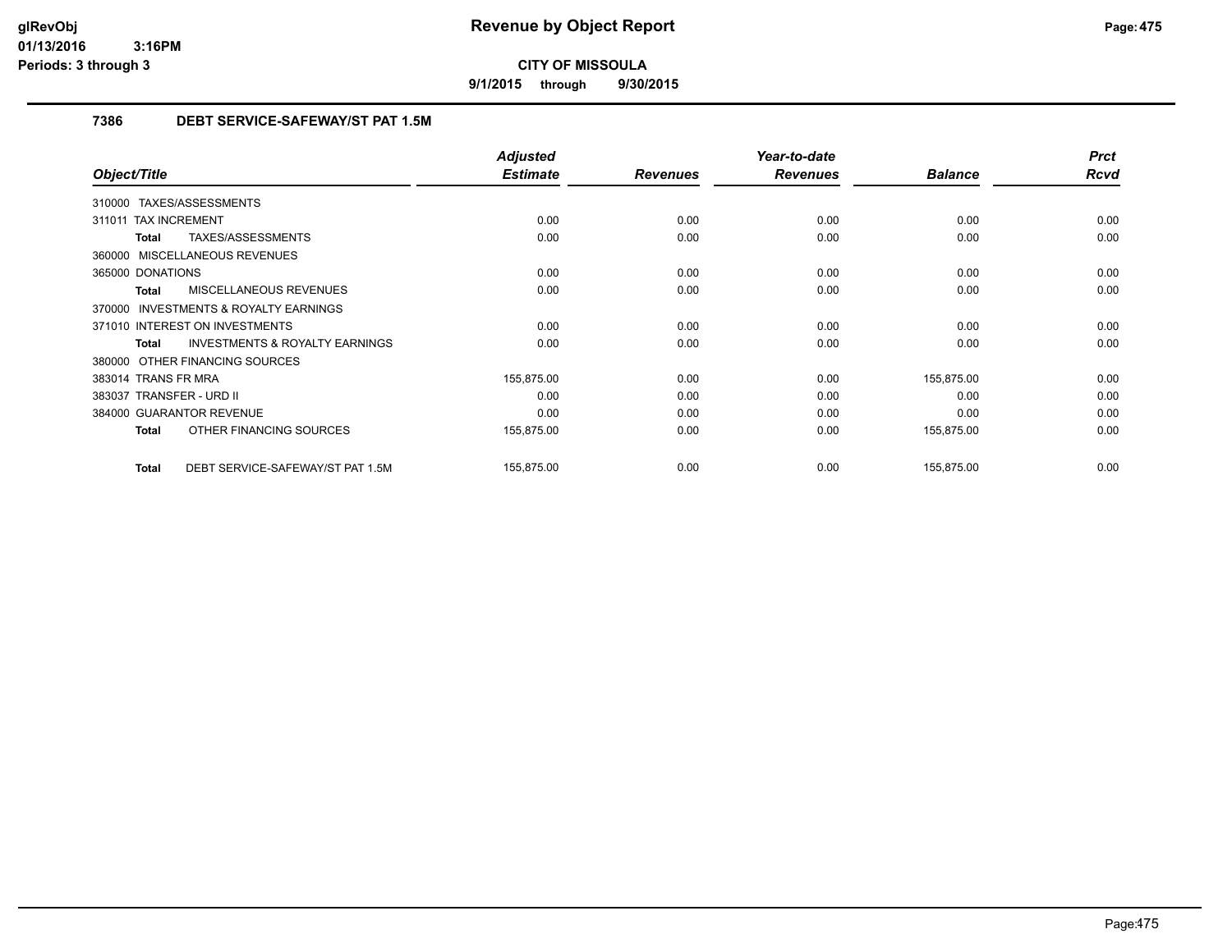**9/1/2015 through 9/30/2015**

## **7386 DEBT SERVICE-SAFEWAY/ST PAT 1.5M**

|                                                           | <b>Adjusted</b> |                 | Year-to-date    |                | <b>Prct</b> |
|-----------------------------------------------------------|-----------------|-----------------|-----------------|----------------|-------------|
| Object/Title                                              | <b>Estimate</b> | <b>Revenues</b> | <b>Revenues</b> | <b>Balance</b> | <b>Rcvd</b> |
| 310000 TAXES/ASSESSMENTS                                  |                 |                 |                 |                |             |
| 311011 TAX INCREMENT                                      | 0.00            | 0.00            | 0.00            | 0.00           | 0.00        |
| TAXES/ASSESSMENTS<br><b>Total</b>                         | 0.00            | 0.00            | 0.00            | 0.00           | 0.00        |
| 360000 MISCELLANEOUS REVENUES                             |                 |                 |                 |                |             |
| 365000 DONATIONS                                          | 0.00            | 0.00            | 0.00            | 0.00           | 0.00        |
| MISCELLANEOUS REVENUES<br><b>Total</b>                    | 0.00            | 0.00            | 0.00            | 0.00           | 0.00        |
| <b>INVESTMENTS &amp; ROYALTY EARNINGS</b><br>370000       |                 |                 |                 |                |             |
| 371010 INTEREST ON INVESTMENTS                            | 0.00            | 0.00            | 0.00            | 0.00           | 0.00        |
| <b>INVESTMENTS &amp; ROYALTY EARNINGS</b><br><b>Total</b> | 0.00            | 0.00            | 0.00            | 0.00           | 0.00        |
| 380000 OTHER FINANCING SOURCES                            |                 |                 |                 |                |             |
| 383014 TRANS FR MRA                                       | 155,875.00      | 0.00            | 0.00            | 155,875.00     | 0.00        |
| 383037 TRANSFER - URD II                                  | 0.00            | 0.00            | 0.00            | 0.00           | 0.00        |
| 384000 GUARANTOR REVENUE                                  | 0.00            | 0.00            | 0.00            | 0.00           | 0.00        |
| OTHER FINANCING SOURCES<br><b>Total</b>                   | 155,875.00      | 0.00            | 0.00            | 155,875.00     | 0.00        |
| DEBT SERVICE-SAFEWAY/ST PAT 1.5M<br><b>Total</b>          | 155,875.00      | 0.00            | 0.00            | 155,875.00     | 0.00        |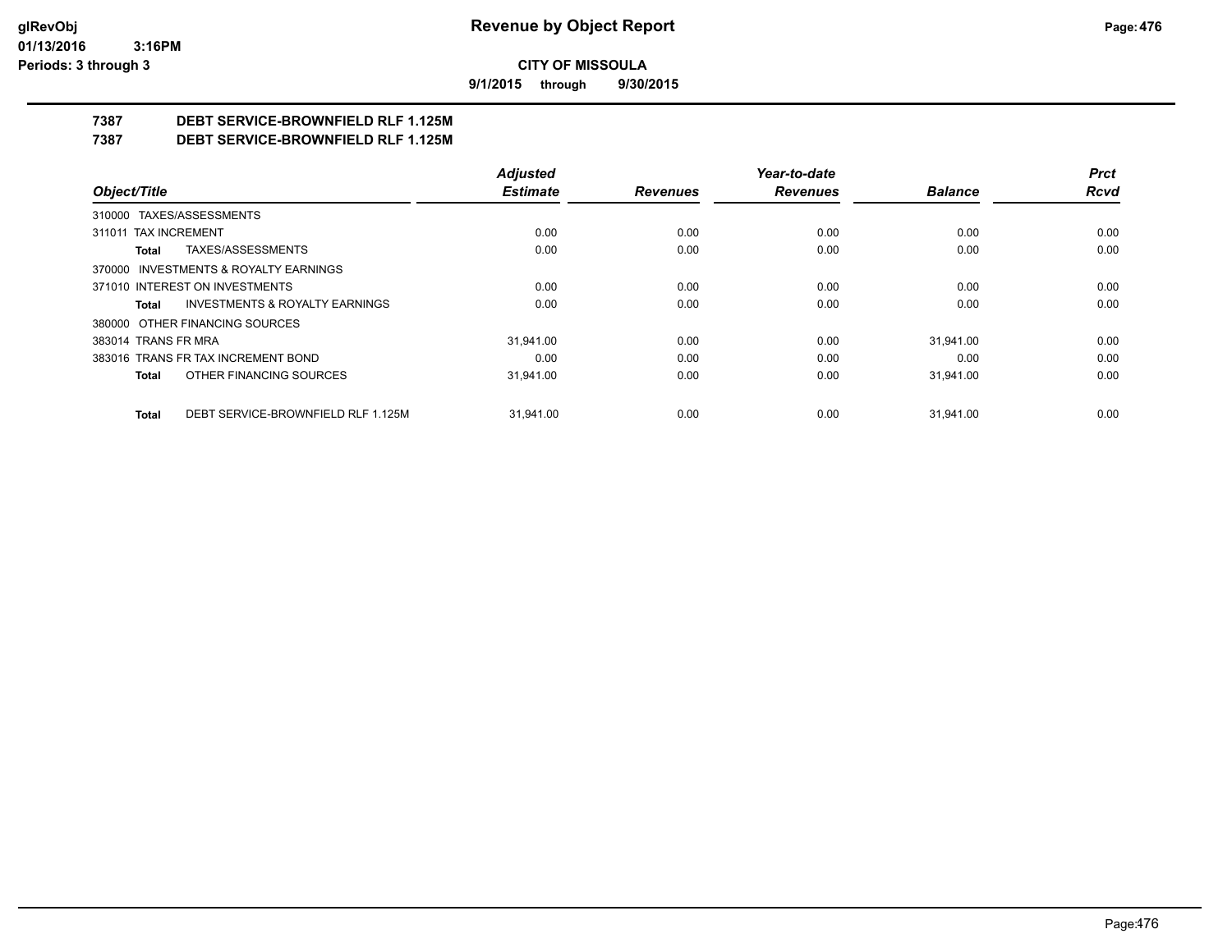**9/1/2015 through 9/30/2015**

# **7387 DEBT SERVICE-BROWNFIELD RLF 1.125M**

**7387 DEBT SERVICE-BROWNFIELD RLF 1.125M**

|                                                    | <b>Adjusted</b> |                 | Year-to-date    |                | <b>Prct</b> |
|----------------------------------------------------|-----------------|-----------------|-----------------|----------------|-------------|
| Object/Title                                       | <b>Estimate</b> | <b>Revenues</b> | <b>Revenues</b> | <b>Balance</b> | Rcvd        |
| 310000 TAXES/ASSESSMENTS                           |                 |                 |                 |                |             |
| 311011 TAX INCREMENT                               | 0.00            | 0.00            | 0.00            | 0.00           | 0.00        |
| TAXES/ASSESSMENTS<br><b>Total</b>                  | 0.00            | 0.00            | 0.00            | 0.00           | 0.00        |
| 370000 INVESTMENTS & ROYALTY EARNINGS              |                 |                 |                 |                |             |
| 371010 INTEREST ON INVESTMENTS                     | 0.00            | 0.00            | 0.00            | 0.00           | 0.00        |
| <b>INVESTMENTS &amp; ROYALTY EARNINGS</b><br>Total | 0.00            | 0.00            | 0.00            | 0.00           | 0.00        |
| 380000 OTHER FINANCING SOURCES                     |                 |                 |                 |                |             |
| 383014 TRANS FR MRA                                | 31.941.00       | 0.00            | 0.00            | 31.941.00      | 0.00        |
| 383016 TRANS FR TAX INCREMENT BOND                 | 0.00            | 0.00            | 0.00            | 0.00           | 0.00        |
| OTHER FINANCING SOURCES<br>Total                   | 31.941.00       | 0.00            | 0.00            | 31.941.00      | 0.00        |
| DEBT SERVICE-BROWNFIELD RLF 1.125M<br><b>Total</b> | 31.941.00       | 0.00            | 0.00            | 31.941.00      | 0.00        |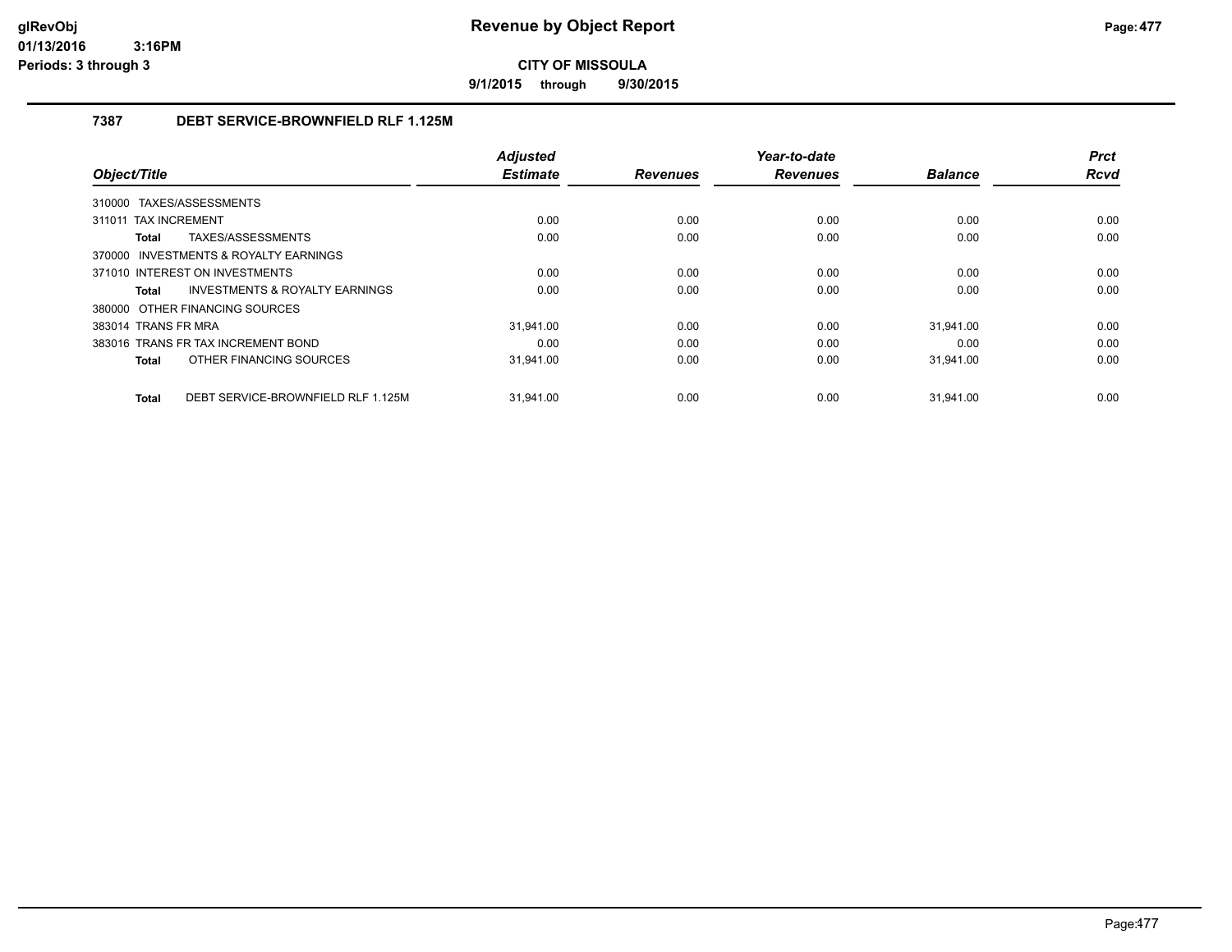**9/1/2015 through 9/30/2015**

## **7387 DEBT SERVICE-BROWNFIELD RLF 1.125M**

|                                                    | <b>Adjusted</b> |                 | Year-to-date    |                | <b>Prct</b> |
|----------------------------------------------------|-----------------|-----------------|-----------------|----------------|-------------|
| Object/Title                                       | <b>Estimate</b> | <b>Revenues</b> | <b>Revenues</b> | <b>Balance</b> | <b>Rcvd</b> |
| TAXES/ASSESSMENTS<br>310000                        |                 |                 |                 |                |             |
| 311011 TAX INCREMENT                               | 0.00            | 0.00            | 0.00            | 0.00           | 0.00        |
| TAXES/ASSESSMENTS<br><b>Total</b>                  | 0.00            | 0.00            | 0.00            | 0.00           | 0.00        |
| 370000 INVESTMENTS & ROYALTY EARNINGS              |                 |                 |                 |                |             |
| 371010 INTEREST ON INVESTMENTS                     | 0.00            | 0.00            | 0.00            | 0.00           | 0.00        |
| INVESTMENTS & ROYALTY EARNINGS<br>Total            | 0.00            | 0.00            | 0.00            | 0.00           | 0.00        |
| 380000 OTHER FINANCING SOURCES                     |                 |                 |                 |                |             |
| 383014 TRANS FR MRA                                | 31.941.00       | 0.00            | 0.00            | 31.941.00      | 0.00        |
| 383016 TRANS FR TAX INCREMENT BOND                 | 0.00            | 0.00            | 0.00            | 0.00           | 0.00        |
| OTHER FINANCING SOURCES<br>Total                   | 31,941.00       | 0.00            | 0.00            | 31,941.00      | 0.00        |
| DEBT SERVICE-BROWNFIELD RLF 1.125M<br><b>Total</b> | 31.941.00       | 0.00            | 0.00            | 31.941.00      | 0.00        |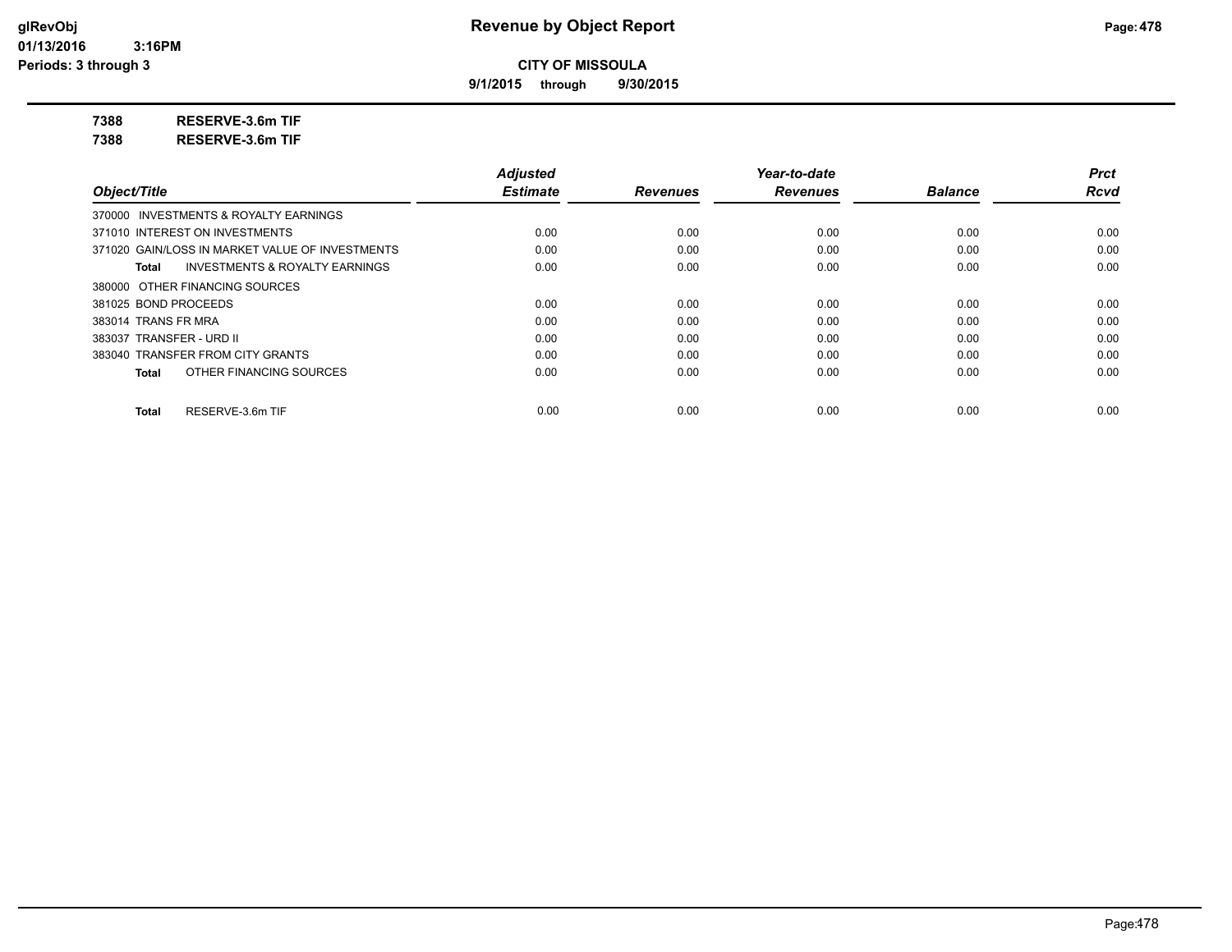**9/1/2015 through 9/30/2015**

**7388 RESERVE-3.6m TIF**

**7388 RESERVE-3.6m TIF**

|                                                 | <b>Adjusted</b> |                 | Year-to-date    |                | <b>Prct</b> |
|-------------------------------------------------|-----------------|-----------------|-----------------|----------------|-------------|
| Object/Title                                    | <b>Estimate</b> | <b>Revenues</b> | <b>Revenues</b> | <b>Balance</b> | <b>Rcvd</b> |
| 370000 INVESTMENTS & ROYALTY EARNINGS           |                 |                 |                 |                |             |
| 371010 INTEREST ON INVESTMENTS                  | 0.00            | 0.00            | 0.00            | 0.00           | 0.00        |
| 371020 GAIN/LOSS IN MARKET VALUE OF INVESTMENTS | 0.00            | 0.00            | 0.00            | 0.00           | 0.00        |
| INVESTMENTS & ROYALTY EARNINGS<br>Total         | 0.00            | 0.00            | 0.00            | 0.00           | 0.00        |
| 380000 OTHER FINANCING SOURCES                  |                 |                 |                 |                |             |
| 381025 BOND PROCEEDS                            | 0.00            | 0.00            | 0.00            | 0.00           | 0.00        |
| 383014 TRANS FR MRA                             | 0.00            | 0.00            | 0.00            | 0.00           | 0.00        |
| 383037 TRANSFER - URD II                        | 0.00            | 0.00            | 0.00            | 0.00           | 0.00        |
| 383040 TRANSFER FROM CITY GRANTS                | 0.00            | 0.00            | 0.00            | 0.00           | 0.00        |
| OTHER FINANCING SOURCES<br>Total                | 0.00            | 0.00            | 0.00            | 0.00           | 0.00        |
| RESERVE-3.6m TIF<br>Total                       | 0.00            | 0.00            | 0.00            | 0.00           | 0.00        |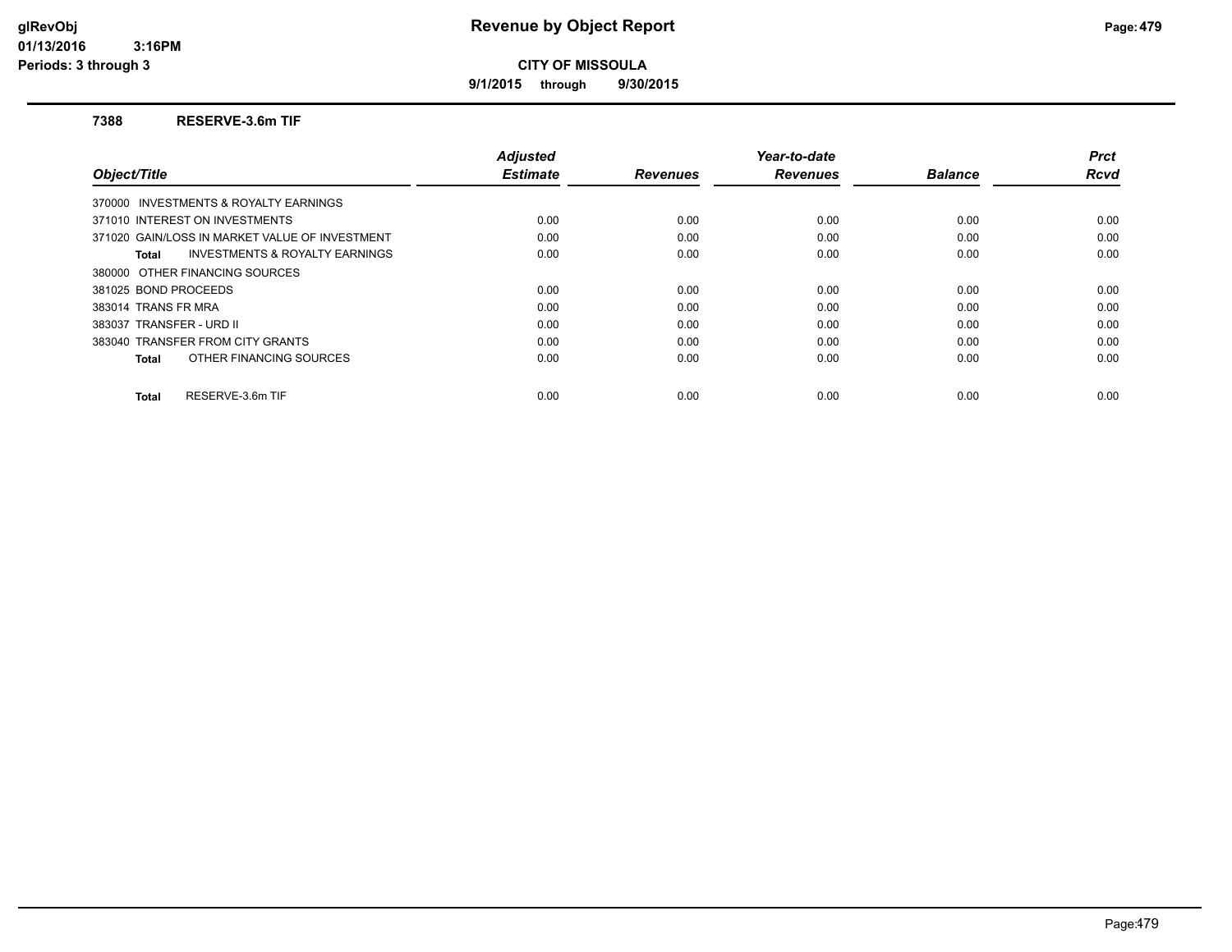**9/1/2015 through 9/30/2015**

#### **7388 RESERVE-3.6m TIF**

|                                                    | <b>Adjusted</b> |                 | Year-to-date    |                | <b>Prct</b> |
|----------------------------------------------------|-----------------|-----------------|-----------------|----------------|-------------|
| Object/Title                                       | <b>Estimate</b> | <b>Revenues</b> | <b>Revenues</b> | <b>Balance</b> | Rcvd        |
| 370000 INVESTMENTS & ROYALTY EARNINGS              |                 |                 |                 |                |             |
| 371010 INTEREST ON INVESTMENTS                     | 0.00            | 0.00            | 0.00            | 0.00           | 0.00        |
| 371020 GAIN/LOSS IN MARKET VALUE OF INVESTMENT     | 0.00            | 0.00            | 0.00            | 0.00           | 0.00        |
| <b>INVESTMENTS &amp; ROYALTY EARNINGS</b><br>Total | 0.00            | 0.00            | 0.00            | 0.00           | 0.00        |
| 380000 OTHER FINANCING SOURCES                     |                 |                 |                 |                |             |
| 381025 BOND PROCEEDS                               | 0.00            | 0.00            | 0.00            | 0.00           | 0.00        |
| 383014 TRANS FR MRA                                | 0.00            | 0.00            | 0.00            | 0.00           | 0.00        |
| 383037 TRANSFER - URD II                           | 0.00            | 0.00            | 0.00            | 0.00           | 0.00        |
| 383040 TRANSFER FROM CITY GRANTS                   | 0.00            | 0.00            | 0.00            | 0.00           | 0.00        |
| OTHER FINANCING SOURCES<br>Total                   | 0.00            | 0.00            | 0.00            | 0.00           | 0.00        |
| RESERVE-3.6m TIF<br><b>Total</b>                   | 0.00            | 0.00            | 0.00            | 0.00           | 0.00        |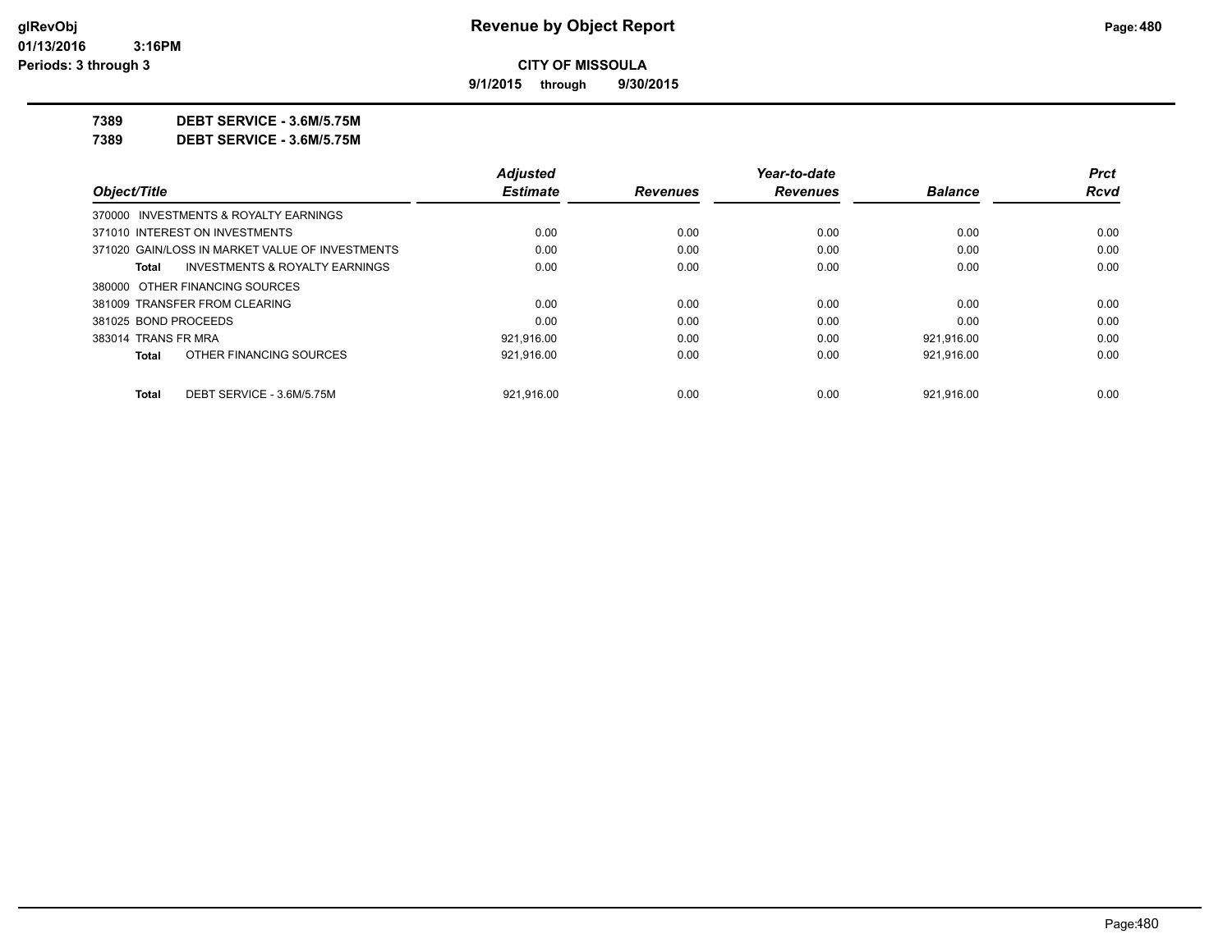**9/1/2015 through 9/30/2015**

**7389 DEBT SERVICE - 3.6M/5.75M**

**7389 DEBT SERVICE - 3.6M/5.75M**

|                      |                                                 | <b>Adjusted</b> |                 | Year-to-date    |                | <b>Prct</b> |
|----------------------|-------------------------------------------------|-----------------|-----------------|-----------------|----------------|-------------|
| Object/Title         |                                                 | <b>Estimate</b> | <b>Revenues</b> | <b>Revenues</b> | <b>Balance</b> | Rcvd        |
|                      | 370000 INVESTMENTS & ROYALTY EARNINGS           |                 |                 |                 |                |             |
|                      | 371010 INTEREST ON INVESTMENTS                  | 0.00            | 0.00            | 0.00            | 0.00           | 0.00        |
|                      | 371020 GAIN/LOSS IN MARKET VALUE OF INVESTMENTS | 0.00            | 0.00            | 0.00            | 0.00           | 0.00        |
| Total                | <b>INVESTMENTS &amp; ROYALTY EARNINGS</b>       | 0.00            | 0.00            | 0.00            | 0.00           | 0.00        |
|                      | 380000 OTHER FINANCING SOURCES                  |                 |                 |                 |                |             |
|                      | 381009 TRANSFER FROM CLEARING                   | 0.00            | 0.00            | 0.00            | 0.00           | 0.00        |
| 381025 BOND PROCEEDS |                                                 | 0.00            | 0.00            | 0.00            | 0.00           | 0.00        |
| 383014 TRANS FR MRA  |                                                 | 921,916.00      | 0.00            | 0.00            | 921,916.00     | 0.00        |
| Total                | OTHER FINANCING SOURCES                         | 921.916.00      | 0.00            | 0.00            | 921.916.00     | 0.00        |
| <b>Total</b>         | DEBT SERVICE - 3.6M/5.75M                       | 921.916.00      | 0.00            | 0.00            | 921.916.00     | 0.00        |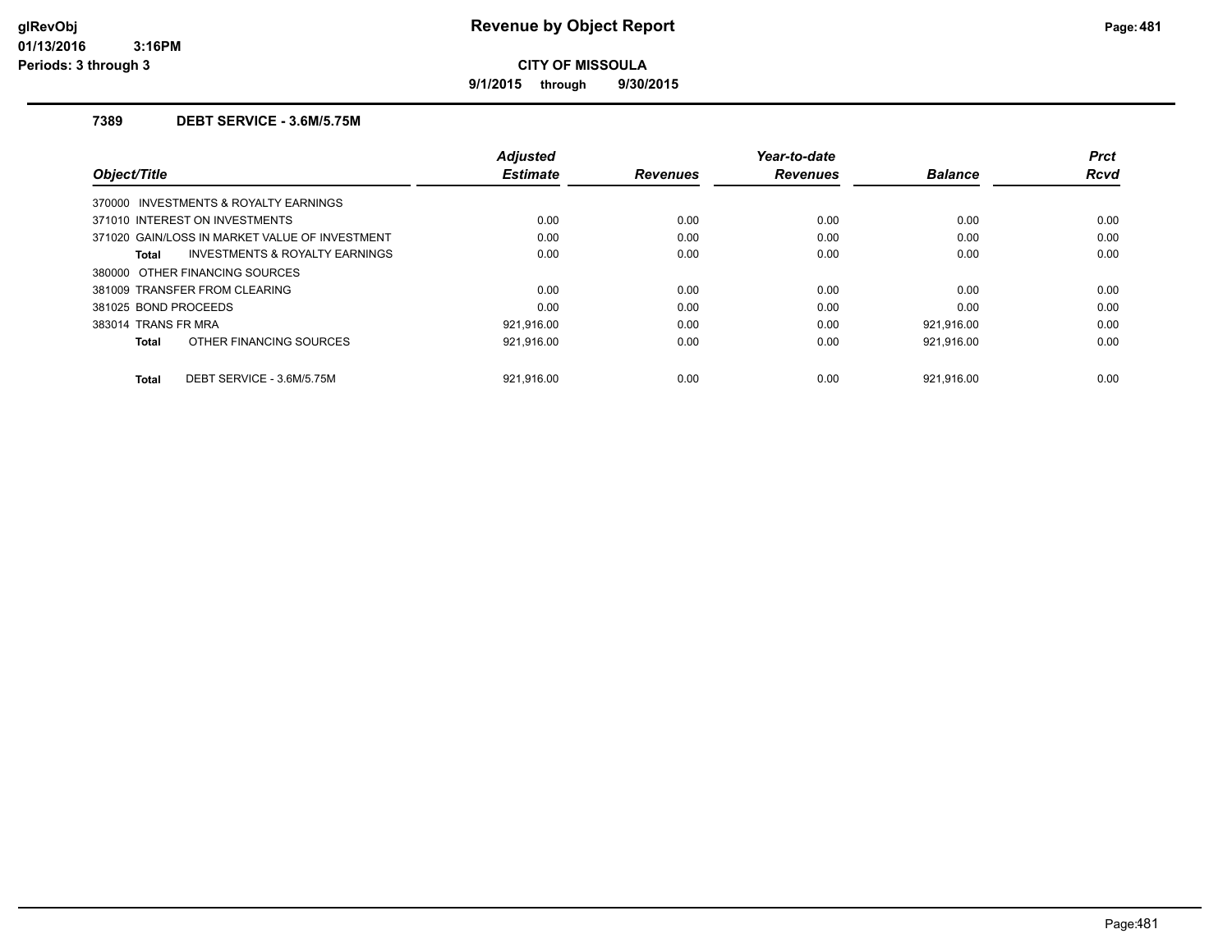**9/1/2015 through 9/30/2015**

## **7389 DEBT SERVICE - 3.6M/5.75M**

| Object/Title                                       | <b>Adjusted</b><br><b>Estimate</b> | <b>Revenues</b> | Year-to-date<br><b>Revenues</b> | <b>Balance</b> | <b>Prct</b><br><b>Rcvd</b> |
|----------------------------------------------------|------------------------------------|-----------------|---------------------------------|----------------|----------------------------|
| 370000 INVESTMENTS & ROYALTY EARNINGS              |                                    |                 |                                 |                |                            |
| 371010 INTEREST ON INVESTMENTS                     | 0.00                               | 0.00            | 0.00                            | 0.00           | 0.00                       |
| 371020 GAIN/LOSS IN MARKET VALUE OF INVESTMENT     | 0.00                               | 0.00            | 0.00                            | 0.00           | 0.00                       |
| <b>INVESTMENTS &amp; ROYALTY EARNINGS</b><br>Total | 0.00                               | 0.00            | 0.00                            | 0.00           | 0.00                       |
| 380000 OTHER FINANCING SOURCES                     |                                    |                 |                                 |                |                            |
| 381009 TRANSFER FROM CLEARING                      | 0.00                               | 0.00            | 0.00                            | 0.00           | 0.00                       |
| 381025 BOND PROCEEDS                               | 0.00                               | 0.00            | 0.00                            | 0.00           | 0.00                       |
| 383014 TRANS FR MRA                                | 921.916.00                         | 0.00            | 0.00                            | 921.916.00     | 0.00                       |
| OTHER FINANCING SOURCES<br><b>Total</b>            | 921,916.00                         | 0.00            | 0.00                            | 921,916.00     | 0.00                       |
| DEBT SERVICE - 3.6M/5.75M<br><b>Total</b>          | 921.916.00                         | 0.00            | 0.00                            | 921.916.00     | 0.00                       |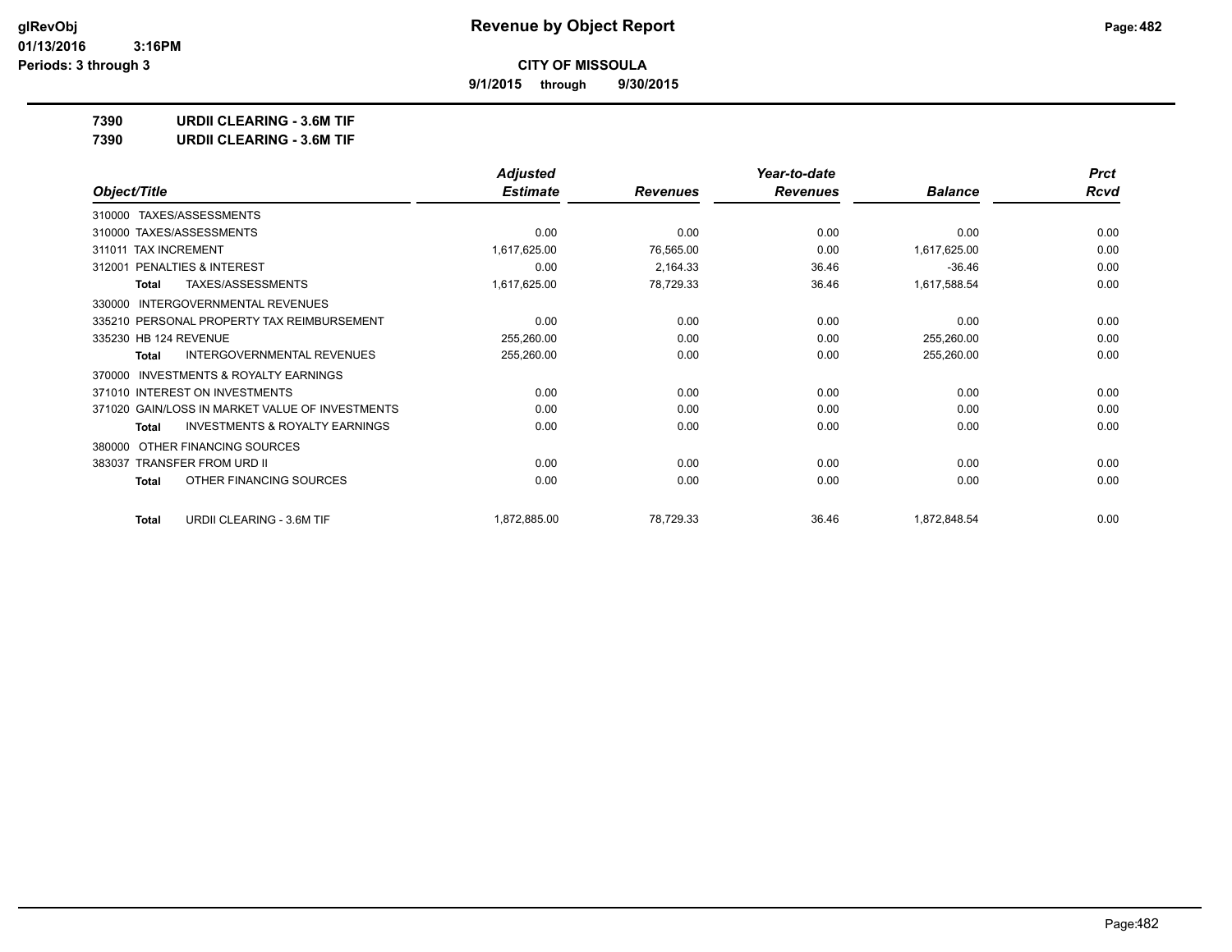**CITY OF MISSOULA**

**9/1/2015 through 9/30/2015**

**7390 URDII CLEARING - 3.6M TIF 7390 URDII CLEARING - 3.6M TIF**

|                                                    | <b>Adjusted</b> |                 | Year-to-date    |                | <b>Prct</b> |
|----------------------------------------------------|-----------------|-----------------|-----------------|----------------|-------------|
| Object/Title                                       | <b>Estimate</b> | <b>Revenues</b> | <b>Revenues</b> | <b>Balance</b> | Rcvd        |
| TAXES/ASSESSMENTS<br>310000                        |                 |                 |                 |                |             |
| 310000 TAXES/ASSESSMENTS                           | 0.00            | 0.00            | 0.00            | 0.00           | 0.00        |
| <b>TAX INCREMENT</b><br>311011                     | 1,617,625.00    | 76,565.00       | 0.00            | 1,617,625.00   | 0.00        |
| PENALTIES & INTEREST<br>312001                     | 0.00            | 2,164.33        | 36.46           | $-36.46$       | 0.00        |
| TAXES/ASSESSMENTS<br>Total                         | 1,617,625.00    | 78,729.33       | 36.46           | 1,617,588.54   | 0.00        |
| INTERGOVERNMENTAL REVENUES<br>330000               |                 |                 |                 |                |             |
| 335210 PERSONAL PROPERTY TAX REIMBURSEMENT         | 0.00            | 0.00            | 0.00            | 0.00           | 0.00        |
| 335230 HB 124 REVENUE                              | 255,260.00      | 0.00            | 0.00            | 255,260.00     | 0.00        |
| <b>INTERGOVERNMENTAL REVENUES</b><br>Total         | 255,260.00      | 0.00            | 0.00            | 255,260.00     | 0.00        |
| INVESTMENTS & ROYALTY EARNINGS<br>370000           |                 |                 |                 |                |             |
| 371010 INTEREST ON INVESTMENTS                     | 0.00            | 0.00            | 0.00            | 0.00           | 0.00        |
| 371020 GAIN/LOSS IN MARKET VALUE OF INVESTMENTS    | 0.00            | 0.00            | 0.00            | 0.00           | 0.00        |
| <b>INVESTMENTS &amp; ROYALTY EARNINGS</b><br>Total | 0.00            | 0.00            | 0.00            | 0.00           | 0.00        |
| OTHER FINANCING SOURCES<br>380000                  |                 |                 |                 |                |             |
| 383037 TRANSFER FROM URD II                        | 0.00            | 0.00            | 0.00            | 0.00           | 0.00        |

**Total** OTHER FINANCING SOURCES 0.00 0.00 0.00 0.00 0.00

**Total** URDII CLEARING - 3.6M TIF 1,872,885.00 1,872,885.00 78,729.33 36.46 1,872,848.54 36.46 1,872,848.54 0.00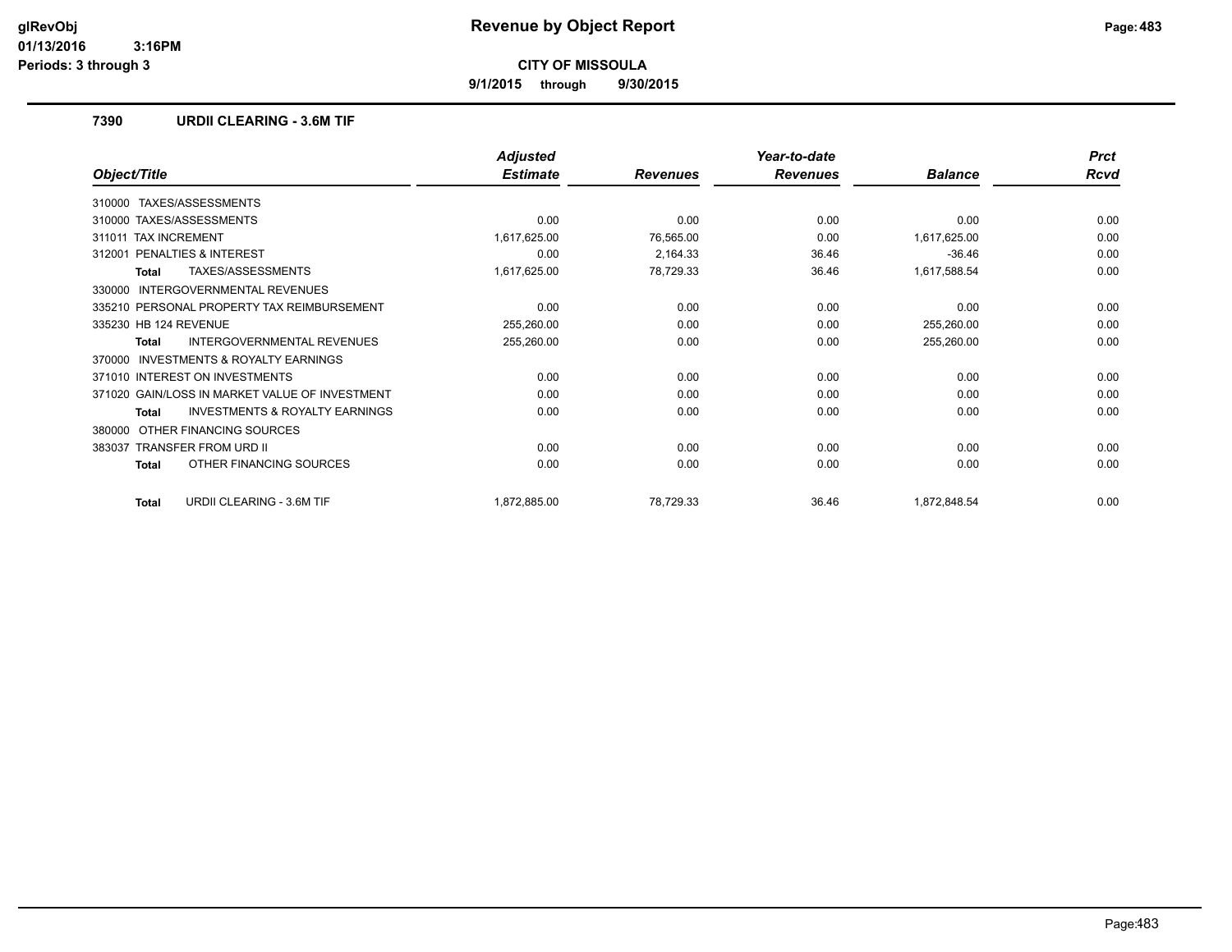**9/1/2015 through 9/30/2015**

#### **7390 URDII CLEARING - 3.6M TIF**

|                                                           | <b>Adjusted</b> |                 | Year-to-date    |                | <b>Prct</b> |
|-----------------------------------------------------------|-----------------|-----------------|-----------------|----------------|-------------|
| Object/Title                                              | <b>Estimate</b> | <b>Revenues</b> | <b>Revenues</b> | <b>Balance</b> | <b>Rcvd</b> |
| 310000 TAXES/ASSESSMENTS                                  |                 |                 |                 |                |             |
| 310000 TAXES/ASSESSMENTS                                  | 0.00            | 0.00            | 0.00            | 0.00           | 0.00        |
| 311011 TAX INCREMENT                                      | 1,617,625.00    | 76,565.00       | 0.00            | 1,617,625.00   | 0.00        |
| 312001 PENALTIES & INTEREST                               | 0.00            | 2,164.33        | 36.46           | $-36.46$       | 0.00        |
| <b>TAXES/ASSESSMENTS</b><br>Total                         | 1,617,625.00    | 78,729.33       | 36.46           | 1,617,588.54   | 0.00        |
| <b>INTERGOVERNMENTAL REVENUES</b><br>330000               |                 |                 |                 |                |             |
| 335210 PERSONAL PROPERTY TAX REIMBURSEMENT                | 0.00            | 0.00            | 0.00            | 0.00           | 0.00        |
| 335230 HB 124 REVENUE                                     | 255,260.00      | 0.00            | 0.00            | 255,260.00     | 0.00        |
| <b>INTERGOVERNMENTAL REVENUES</b><br>Total                | 255,260.00      | 0.00            | 0.00            | 255,260.00     | 0.00        |
| INVESTMENTS & ROYALTY EARNINGS<br>370000                  |                 |                 |                 |                |             |
| 371010 INTEREST ON INVESTMENTS                            | 0.00            | 0.00            | 0.00            | 0.00           | 0.00        |
| 371020 GAIN/LOSS IN MARKET VALUE OF INVESTMENT            | 0.00            | 0.00            | 0.00            | 0.00           | 0.00        |
| <b>INVESTMENTS &amp; ROYALTY EARNINGS</b><br><b>Total</b> | 0.00            | 0.00            | 0.00            | 0.00           | 0.00        |
| OTHER FINANCING SOURCES<br>380000                         |                 |                 |                 |                |             |
| <b>TRANSFER FROM URD II</b><br>383037                     | 0.00            | 0.00            | 0.00            | 0.00           | 0.00        |
| OTHER FINANCING SOURCES<br><b>Total</b>                   | 0.00            | 0.00            | 0.00            | 0.00           | 0.00        |
| URDII CLEARING - 3.6M TIF<br><b>Total</b>                 | 1,872,885.00    | 78,729.33       | 36.46           | 1,872,848.54   | 0.00        |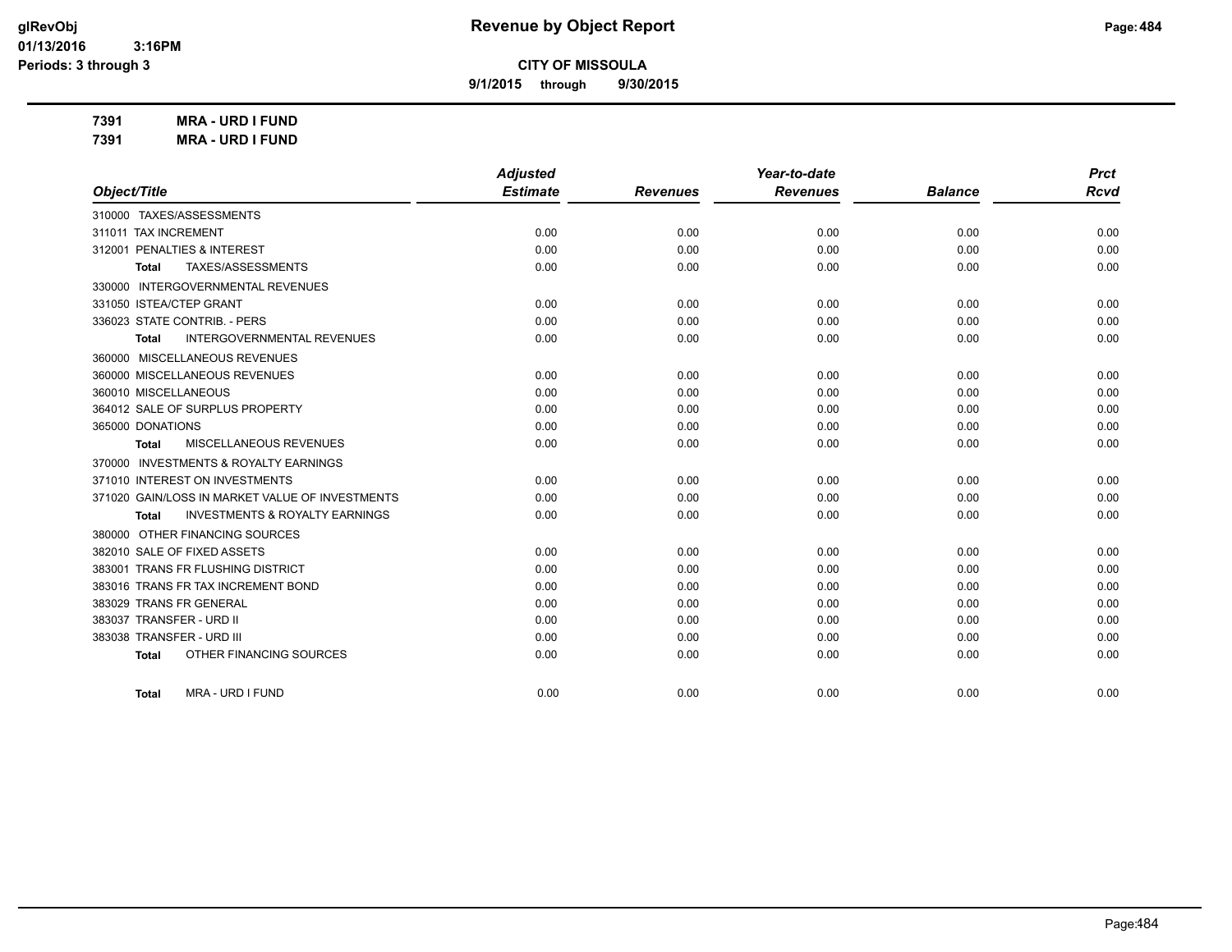**9/1/2015 through 9/30/2015**

**7391 MRA - URD I FUND 7391 MRA - URD I FUND**

|                                                    | <b>Adjusted</b> |                 | Year-to-date    |                | <b>Prct</b> |
|----------------------------------------------------|-----------------|-----------------|-----------------|----------------|-------------|
| Object/Title                                       | <b>Estimate</b> | <b>Revenues</b> | <b>Revenues</b> | <b>Balance</b> | <b>Rcvd</b> |
| 310000 TAXES/ASSESSMENTS                           |                 |                 |                 |                |             |
| 311011 TAX INCREMENT                               | 0.00            | 0.00            | 0.00            | 0.00           | 0.00        |
| 312001 PENALTIES & INTEREST                        | 0.00            | 0.00            | 0.00            | 0.00           | 0.00        |
| TAXES/ASSESSMENTS<br>Total                         | 0.00            | 0.00            | 0.00            | 0.00           | 0.00        |
| 330000 INTERGOVERNMENTAL REVENUES                  |                 |                 |                 |                |             |
| 331050 ISTEA/CTEP GRANT                            | 0.00            | 0.00            | 0.00            | 0.00           | 0.00        |
| 336023 STATE CONTRIB. - PERS                       | 0.00            | 0.00            | 0.00            | 0.00           | 0.00        |
| <b>INTERGOVERNMENTAL REVENUES</b><br><b>Total</b>  | 0.00            | 0.00            | 0.00            | 0.00           | 0.00        |
| 360000 MISCELLANEOUS REVENUES                      |                 |                 |                 |                |             |
| 360000 MISCELLANEOUS REVENUES                      | 0.00            | 0.00            | 0.00            | 0.00           | 0.00        |
| 360010 MISCELLANEOUS                               | 0.00            | 0.00            | 0.00            | 0.00           | 0.00        |
| 364012 SALE OF SURPLUS PROPERTY                    | 0.00            | 0.00            | 0.00            | 0.00           | 0.00        |
| 365000 DONATIONS                                   | 0.00            | 0.00            | 0.00            | 0.00           | 0.00        |
| <b>MISCELLANEOUS REVENUES</b><br>Total             | 0.00            | 0.00            | 0.00            | 0.00           | 0.00        |
| 370000 INVESTMENTS & ROYALTY EARNINGS              |                 |                 |                 |                |             |
| 371010 INTEREST ON INVESTMENTS                     | 0.00            | 0.00            | 0.00            | 0.00           | 0.00        |
| 371020 GAIN/LOSS IN MARKET VALUE OF INVESTMENTS    | 0.00            | 0.00            | 0.00            | 0.00           | 0.00        |
| <b>INVESTMENTS &amp; ROYALTY EARNINGS</b><br>Total | 0.00            | 0.00            | 0.00            | 0.00           | 0.00        |
| 380000 OTHER FINANCING SOURCES                     |                 |                 |                 |                |             |
| 382010 SALE OF FIXED ASSETS                        | 0.00            | 0.00            | 0.00            | 0.00           | 0.00        |
| 383001 TRANS FR FLUSHING DISTRICT                  | 0.00            | 0.00            | 0.00            | 0.00           | 0.00        |
| 383016 TRANS FR TAX INCREMENT BOND                 | 0.00            | 0.00            | 0.00            | 0.00           | 0.00        |
| 383029 TRANS FR GENERAL                            | 0.00            | 0.00            | 0.00            | 0.00           | 0.00        |
| 383037 TRANSFER - URD II                           | 0.00            | 0.00            | 0.00            | 0.00           | 0.00        |
| 383038 TRANSFER - URD III                          | 0.00            | 0.00            | 0.00            | 0.00           | 0.00        |
| OTHER FINANCING SOURCES<br>Total                   | 0.00            | 0.00            | 0.00            | 0.00           | 0.00        |
|                                                    |                 |                 |                 |                |             |
| MRA - URD I FUND<br>Total                          | 0.00            | 0.00            | 0.00            | 0.00           | 0.00        |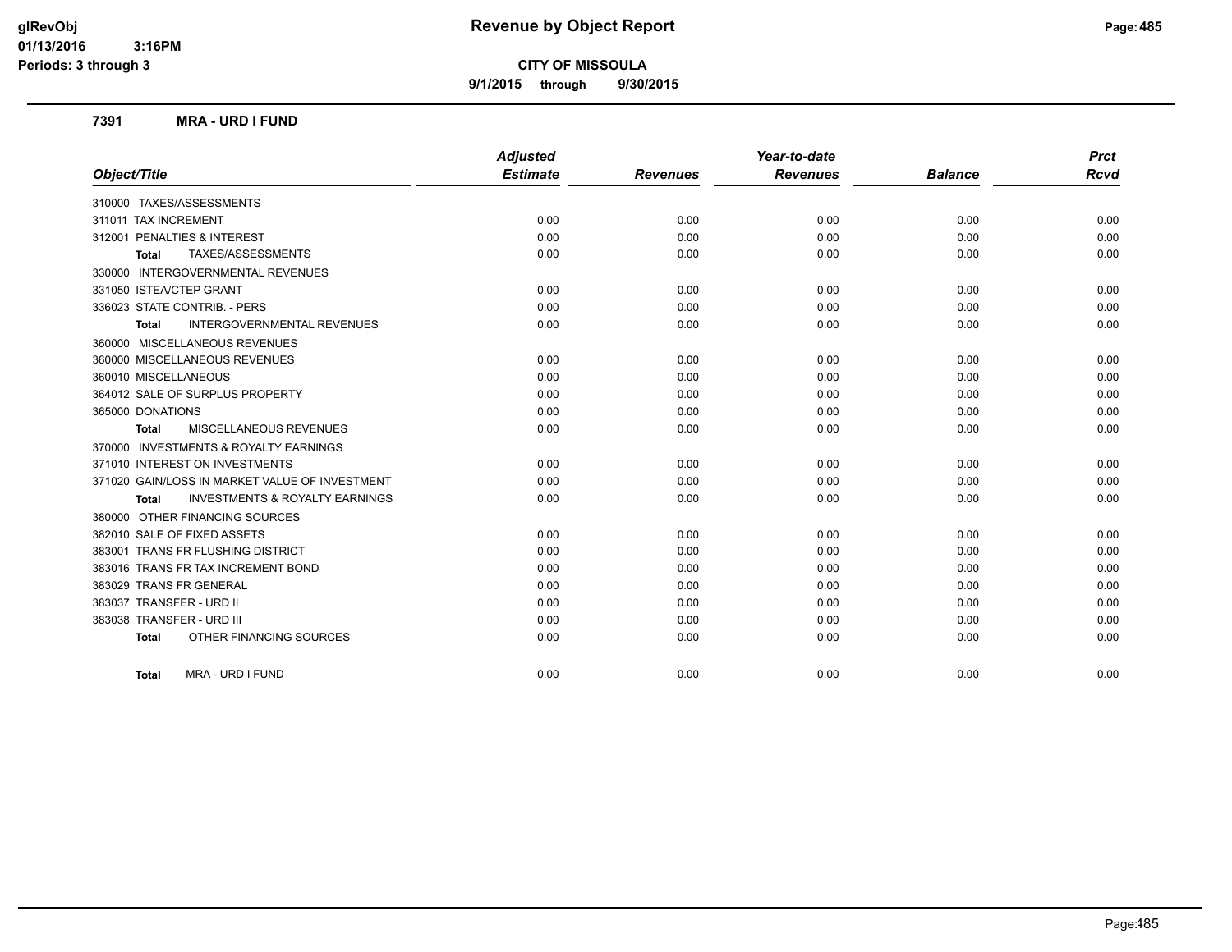**9/1/2015 through 9/30/2015**

#### **7391 MRA - URD I FUND**

|                                                           | <b>Adjusted</b> |                 | Year-to-date    |                | <b>Prct</b> |
|-----------------------------------------------------------|-----------------|-----------------|-----------------|----------------|-------------|
| Object/Title                                              | <b>Estimate</b> | <b>Revenues</b> | <b>Revenues</b> | <b>Balance</b> | <b>Rcvd</b> |
| 310000 TAXES/ASSESSMENTS                                  |                 |                 |                 |                |             |
| 311011 TAX INCREMENT                                      | 0.00            | 0.00            | 0.00            | 0.00           | 0.00        |
| 312001 PENALTIES & INTEREST                               | 0.00            | 0.00            | 0.00            | 0.00           | 0.00        |
| TAXES/ASSESSMENTS<br><b>Total</b>                         | 0.00            | 0.00            | 0.00            | 0.00           | 0.00        |
| 330000 INTERGOVERNMENTAL REVENUES                         |                 |                 |                 |                |             |
| 331050 ISTEA/CTEP GRANT                                   | 0.00            | 0.00            | 0.00            | 0.00           | 0.00        |
| 336023 STATE CONTRIB. - PERS                              | 0.00            | 0.00            | 0.00            | 0.00           | 0.00        |
| <b>INTERGOVERNMENTAL REVENUES</b><br><b>Total</b>         | 0.00            | 0.00            | 0.00            | 0.00           | 0.00        |
| 360000 MISCELLANEOUS REVENUES                             |                 |                 |                 |                |             |
| 360000 MISCELLANEOUS REVENUES                             | 0.00            | 0.00            | 0.00            | 0.00           | 0.00        |
| 360010 MISCELLANEOUS                                      | 0.00            | 0.00            | 0.00            | 0.00           | 0.00        |
| 364012 SALE OF SURPLUS PROPERTY                           | 0.00            | 0.00            | 0.00            | 0.00           | 0.00        |
| 365000 DONATIONS                                          | 0.00            | 0.00            | 0.00            | 0.00           | 0.00        |
| <b>MISCELLANEOUS REVENUES</b><br><b>Total</b>             | 0.00            | 0.00            | 0.00            | 0.00           | 0.00        |
| 370000 INVESTMENTS & ROYALTY EARNINGS                     |                 |                 |                 |                |             |
| 371010 INTEREST ON INVESTMENTS                            | 0.00            | 0.00            | 0.00            | 0.00           | 0.00        |
| 371020 GAIN/LOSS IN MARKET VALUE OF INVESTMENT            | 0.00            | 0.00            | 0.00            | 0.00           | 0.00        |
| <b>INVESTMENTS &amp; ROYALTY EARNINGS</b><br><b>Total</b> | 0.00            | 0.00            | 0.00            | 0.00           | 0.00        |
| 380000 OTHER FINANCING SOURCES                            |                 |                 |                 |                |             |
| 382010 SALE OF FIXED ASSETS                               | 0.00            | 0.00            | 0.00            | 0.00           | 0.00        |
| 383001 TRANS FR FLUSHING DISTRICT                         | 0.00            | 0.00            | 0.00            | 0.00           | 0.00        |
| 383016 TRANS FR TAX INCREMENT BOND                        | 0.00            | 0.00            | 0.00            | 0.00           | 0.00        |
| 383029 TRANS FR GENERAL                                   | 0.00            | 0.00            | 0.00            | 0.00           | 0.00        |
| 383037 TRANSFER - URD II                                  | 0.00            | 0.00            | 0.00            | 0.00           | 0.00        |
| 383038 TRANSFER - URD III                                 | 0.00            | 0.00            | 0.00            | 0.00           | 0.00        |
| OTHER FINANCING SOURCES<br><b>Total</b>                   | 0.00            | 0.00            | 0.00            | 0.00           | 0.00        |
| MRA - URD I FUND<br><b>Total</b>                          | 0.00            | 0.00            | 0.00            | 0.00           | 0.00        |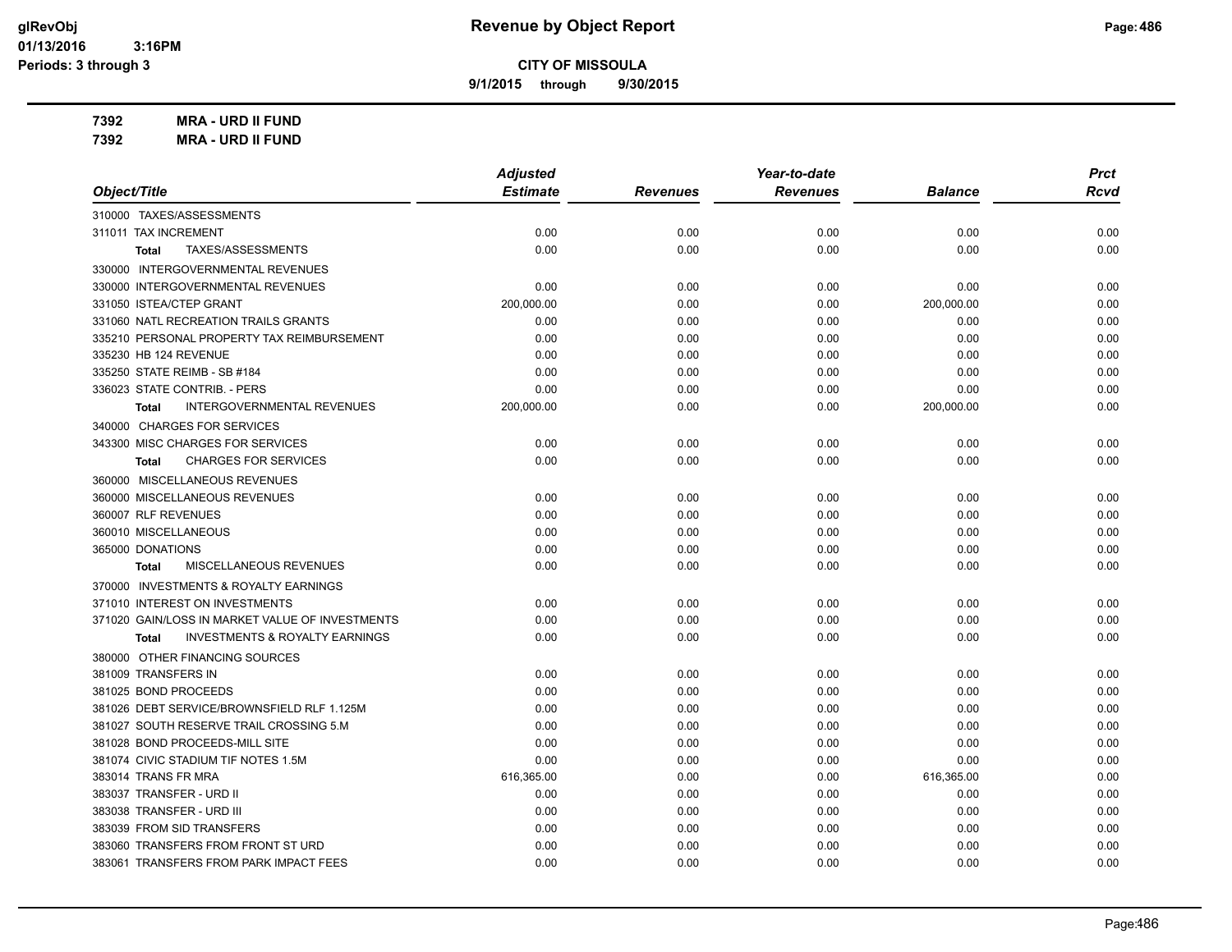**9/1/2015 through 9/30/2015**

**7392 MRA - URD II FUND**

|                                                    | <b>Adjusted</b> |                 | Year-to-date    |                | <b>Prct</b> |
|----------------------------------------------------|-----------------|-----------------|-----------------|----------------|-------------|
| Object/Title                                       | <b>Estimate</b> | <b>Revenues</b> | <b>Revenues</b> | <b>Balance</b> | <b>Rcvd</b> |
| 310000 TAXES/ASSESSMENTS                           |                 |                 |                 |                |             |
| 311011 TAX INCREMENT                               | 0.00            | 0.00            | 0.00            | 0.00           | 0.00        |
| TAXES/ASSESSMENTS<br><b>Total</b>                  | 0.00            | 0.00            | 0.00            | 0.00           | 0.00        |
| 330000 INTERGOVERNMENTAL REVENUES                  |                 |                 |                 |                |             |
| 330000 INTERGOVERNMENTAL REVENUES                  | 0.00            | 0.00            | 0.00            | 0.00           | 0.00        |
| 331050 ISTEA/CTEP GRANT                            | 200,000.00      | 0.00            | 0.00            | 200,000.00     | 0.00        |
| 331060 NATL RECREATION TRAILS GRANTS               | 0.00            | 0.00            | 0.00            | 0.00           | 0.00        |
| 335210 PERSONAL PROPERTY TAX REIMBURSEMENT         | 0.00            | 0.00            | 0.00            | 0.00           | 0.00        |
| 335230 HB 124 REVENUE                              | 0.00            | 0.00            | 0.00            | 0.00           | 0.00        |
| 335250 STATE REIMB - SB #184                       | 0.00            | 0.00            | 0.00            | 0.00           | 0.00        |
| 336023 STATE CONTRIB. - PERS                       | 0.00            | 0.00            | 0.00            | 0.00           | 0.00        |
| INTERGOVERNMENTAL REVENUES<br><b>Total</b>         | 200,000.00      | 0.00            | 0.00            | 200,000.00     | 0.00        |
| 340000 CHARGES FOR SERVICES                        |                 |                 |                 |                |             |
| 343300 MISC CHARGES FOR SERVICES                   | 0.00            | 0.00            | 0.00            | 0.00           | 0.00        |
| <b>CHARGES FOR SERVICES</b><br><b>Total</b>        | 0.00            | 0.00            | 0.00            | 0.00           | 0.00        |
| 360000 MISCELLANEOUS REVENUES                      |                 |                 |                 |                |             |
| 360000 MISCELLANEOUS REVENUES                      | 0.00            | 0.00            | 0.00            | 0.00           | 0.00        |
| 360007 RLF REVENUES                                | 0.00            | 0.00            | 0.00            | 0.00           | 0.00        |
| 360010 MISCELLANEOUS                               | 0.00            | 0.00            | 0.00            | 0.00           | 0.00        |
| 365000 DONATIONS                                   | 0.00            | 0.00            | 0.00            | 0.00           | 0.00        |
| MISCELLANEOUS REVENUES<br><b>Total</b>             | 0.00            | 0.00            | 0.00            | 0.00           | 0.00        |
| 370000 INVESTMENTS & ROYALTY EARNINGS              |                 |                 |                 |                |             |
| 371010 INTEREST ON INVESTMENTS                     | 0.00            | 0.00            | 0.00            | 0.00           | 0.00        |
| 371020 GAIN/LOSS IN MARKET VALUE OF INVESTMENTS    | 0.00            | 0.00            | 0.00            | 0.00           | 0.00        |
| <b>INVESTMENTS &amp; ROYALTY EARNINGS</b><br>Total | 0.00            | 0.00            | 0.00            | 0.00           | 0.00        |
| 380000 OTHER FINANCING SOURCES                     |                 |                 |                 |                |             |
| 381009 TRANSFERS IN                                | 0.00            | 0.00            | 0.00            | 0.00           | 0.00        |
| 381025 BOND PROCEEDS                               | 0.00            | 0.00            | 0.00            | 0.00           | 0.00        |
| 381026 DEBT SERVICE/BROWNSFIELD RLF 1.125M         | 0.00            | 0.00            | 0.00            | 0.00           | 0.00        |
| 381027 SOUTH RESERVE TRAIL CROSSING 5.M            | 0.00            | 0.00            | 0.00            | 0.00           | 0.00        |
| 381028 BOND PROCEEDS-MILL SITE                     | 0.00            | 0.00            | 0.00            | 0.00           | 0.00        |
| 381074 CIVIC STADIUM TIF NOTES 1.5M                | 0.00            | 0.00            | 0.00            | 0.00           | 0.00        |
| 383014 TRANS FR MRA                                | 616,365.00      | 0.00            | 0.00            | 616,365.00     | 0.00        |
| 383037 TRANSFER - URD II                           | 0.00            | 0.00            | 0.00            | 0.00           | 0.00        |
| 383038 TRANSFER - URD III                          | 0.00            | 0.00            | 0.00            | 0.00           | 0.00        |
| 383039 FROM SID TRANSFERS                          | 0.00            | 0.00            | 0.00            | 0.00           | 0.00        |
| 383060 TRANSFERS FROM FRONT ST URD                 | 0.00            | 0.00            | 0.00            | 0.00           | 0.00        |
| 383061 TRANSFERS FROM PARK IMPACT FEES             | 0.00            | 0.00            | 0.00            | 0.00           | 0.00        |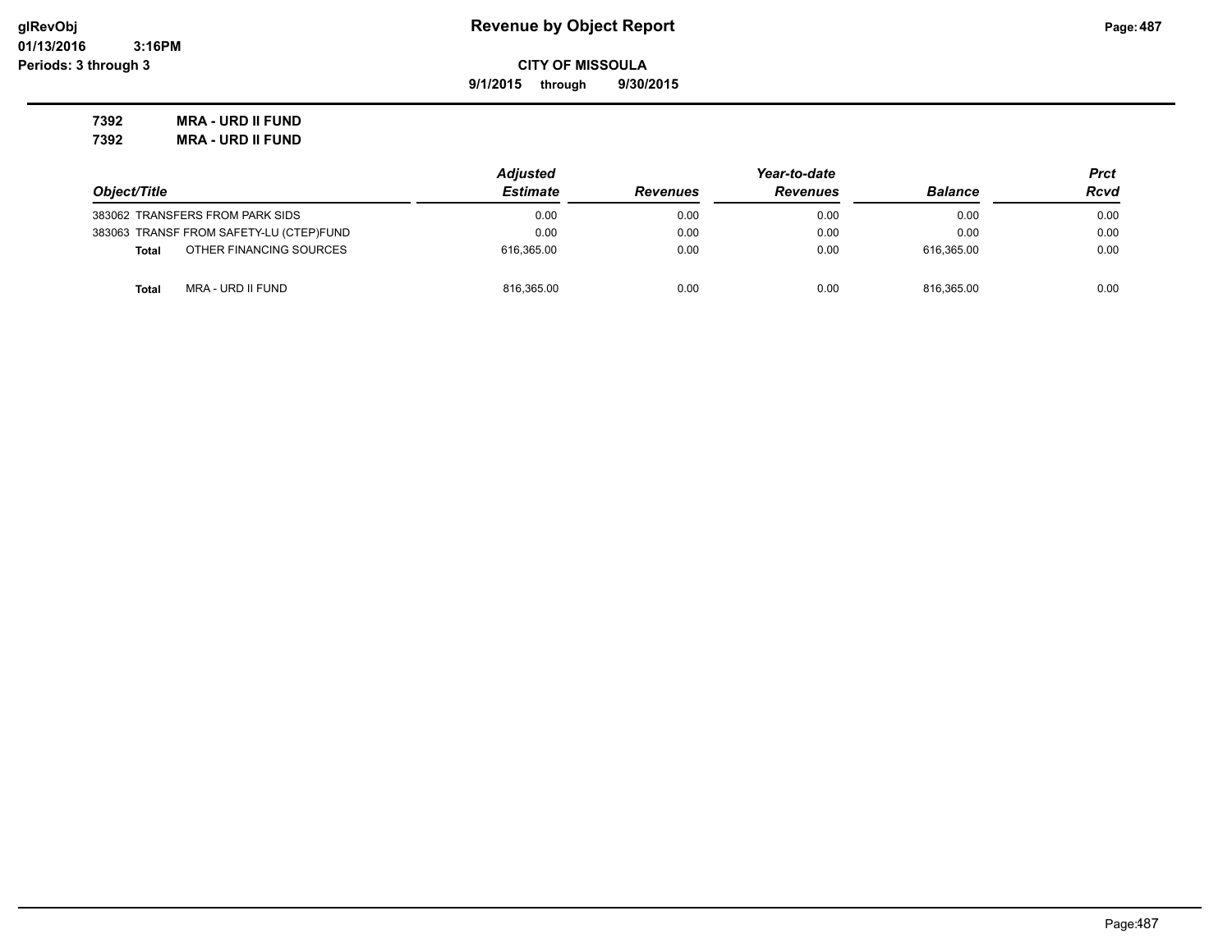**9/1/2015 through 9/30/2015**

**7392 MRA - URD II FUND 7392 MRA - URD II FUND**

|                                         | <b>Adjusted</b> | Year-to-date    |                 |                | Prct |
|-----------------------------------------|-----------------|-----------------|-----------------|----------------|------|
| Object/Title                            | <b>Estimate</b> | <b>Revenues</b> | <b>Revenues</b> | <b>Balance</b> | Rcvd |
| 383062 TRANSFERS FROM PARK SIDS         | 0.00            | 0.00            | 0.00            | 0.00           | 0.00 |
| 383063 TRANSF FROM SAFETY-LU (CTEP)FUND | 0.00            | 0.00            | 0.00            | 0.00           | 0.00 |
| OTHER FINANCING SOURCES<br><b>Total</b> | 616.365.00      | 0.00            | 0.00            | 616.365.00     | 0.00 |
| MRA - URD II FUND<br><b>Total</b>       | 816,365.00      | 0.00            | 0.00            | 816.365.00     | 0.00 |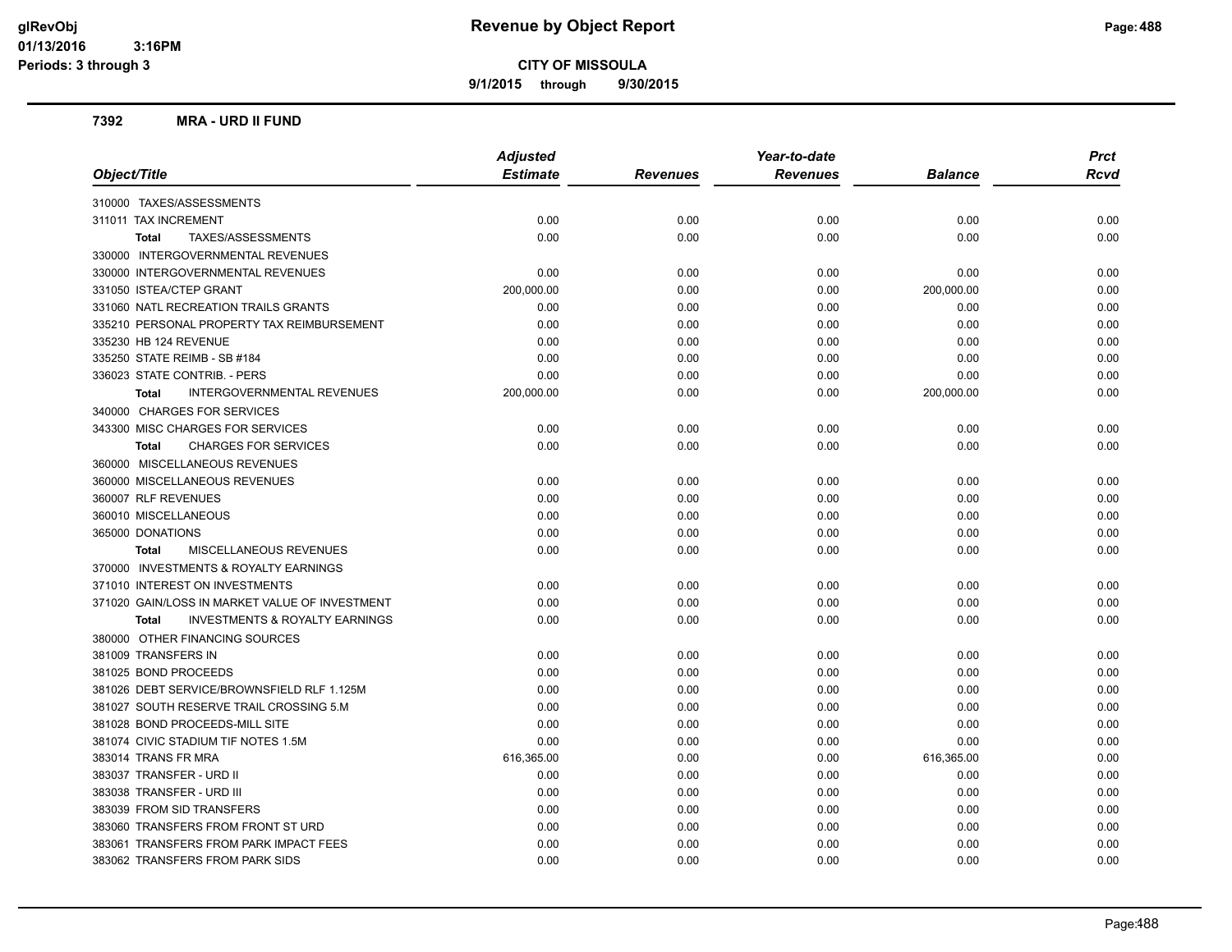**9/1/2015 through 9/30/2015**

#### **7392 MRA - URD II FUND**

|                                                           | <b>Adjusted</b> |                 | Year-to-date    |                | <b>Prct</b> |
|-----------------------------------------------------------|-----------------|-----------------|-----------------|----------------|-------------|
| Object/Title                                              | <b>Estimate</b> | <b>Revenues</b> | <b>Revenues</b> | <b>Balance</b> | Rcvd        |
| 310000 TAXES/ASSESSMENTS                                  |                 |                 |                 |                |             |
| 311011 TAX INCREMENT                                      | 0.00            | 0.00            | 0.00            | 0.00           | 0.00        |
| TAXES/ASSESSMENTS<br><b>Total</b>                         | 0.00            | 0.00            | 0.00            | 0.00           | 0.00        |
| 330000 INTERGOVERNMENTAL REVENUES                         |                 |                 |                 |                |             |
| 330000 INTERGOVERNMENTAL REVENUES                         | 0.00            | 0.00            | 0.00            | 0.00           | 0.00        |
| 331050 ISTEA/CTEP GRANT                                   | 200,000.00      | 0.00            | 0.00            | 200,000.00     | 0.00        |
| 331060 NATL RECREATION TRAILS GRANTS                      | 0.00            | 0.00            | 0.00            | 0.00           | 0.00        |
| 335210 PERSONAL PROPERTY TAX REIMBURSEMENT                | 0.00            | 0.00            | 0.00            | 0.00           | 0.00        |
| 335230 HB 124 REVENUE                                     | 0.00            | 0.00            | 0.00            | 0.00           | 0.00        |
| 335250 STATE REIMB - SB #184                              | 0.00            | 0.00            | 0.00            | 0.00           | 0.00        |
| 336023 STATE CONTRIB. - PERS                              | 0.00            | 0.00            | 0.00            | 0.00           | 0.00        |
| INTERGOVERNMENTAL REVENUES<br><b>Total</b>                | 200,000.00      | 0.00            | 0.00            | 200,000.00     | 0.00        |
| 340000 CHARGES FOR SERVICES                               |                 |                 |                 |                |             |
| 343300 MISC CHARGES FOR SERVICES                          | 0.00            | 0.00            | 0.00            | 0.00           | 0.00        |
| <b>CHARGES FOR SERVICES</b><br><b>Total</b>               | 0.00            | 0.00            | 0.00            | 0.00           | 0.00        |
| 360000 MISCELLANEOUS REVENUES                             |                 |                 |                 |                |             |
| 360000 MISCELLANEOUS REVENUES                             | 0.00            | 0.00            | 0.00            | 0.00           | 0.00        |
| 360007 RLF REVENUES                                       | 0.00            | 0.00            | 0.00            | 0.00           | 0.00        |
| 360010 MISCELLANEOUS                                      | 0.00            | 0.00            | 0.00            | 0.00           | 0.00        |
| 365000 DONATIONS                                          | 0.00            | 0.00            | 0.00            | 0.00           | 0.00        |
| MISCELLANEOUS REVENUES<br><b>Total</b>                    | 0.00            | 0.00            | 0.00            | 0.00           | 0.00        |
| 370000 INVESTMENTS & ROYALTY EARNINGS                     |                 |                 |                 |                |             |
| 371010 INTEREST ON INVESTMENTS                            | 0.00            | 0.00            | 0.00            | 0.00           | 0.00        |
| 371020 GAIN/LOSS IN MARKET VALUE OF INVESTMENT            | 0.00            | 0.00            | 0.00            | 0.00           | 0.00        |
| <b>INVESTMENTS &amp; ROYALTY EARNINGS</b><br><b>Total</b> | 0.00            | 0.00            | 0.00            | 0.00           | 0.00        |
| 380000 OTHER FINANCING SOURCES                            |                 |                 |                 |                |             |
| 381009 TRANSFERS IN                                       | 0.00            | 0.00            | 0.00            | 0.00           | 0.00        |
| 381025 BOND PROCEEDS                                      | 0.00            | 0.00            | 0.00            | 0.00           | 0.00        |
| 381026 DEBT SERVICE/BROWNSFIELD RLF 1.125M                | 0.00            | 0.00            | 0.00            | 0.00           | 0.00        |
| 381027 SOUTH RESERVE TRAIL CROSSING 5.M                   | 0.00            | 0.00            | 0.00            | 0.00           | 0.00        |
| 381028 BOND PROCEEDS-MILL SITE                            | 0.00            | 0.00            | 0.00            | 0.00           | 0.00        |
| 381074 CIVIC STADIUM TIF NOTES 1.5M                       | 0.00            | 0.00            | 0.00            | 0.00           | 0.00        |
| 383014 TRANS FR MRA                                       | 616,365.00      | 0.00            | 0.00            | 616,365.00     | 0.00        |
| 383037 TRANSFER - URD II                                  | 0.00            | 0.00            | 0.00            | 0.00           | 0.00        |
| 383038 TRANSFER - URD III                                 | 0.00            | 0.00            | 0.00            | 0.00           | 0.00        |
| 383039 FROM SID TRANSFERS                                 | 0.00            | 0.00            | 0.00            | 0.00           | 0.00        |
| 383060 TRANSFERS FROM FRONT ST URD                        | 0.00            | 0.00            | 0.00            | 0.00           | 0.00        |
| 383061 TRANSFERS FROM PARK IMPACT FEES                    | 0.00            | 0.00            | 0.00            | 0.00           | 0.00        |
| 383062 TRANSFERS FROM PARK SIDS                           | 0.00            | 0.00            | 0.00            | 0.00           | 0.00        |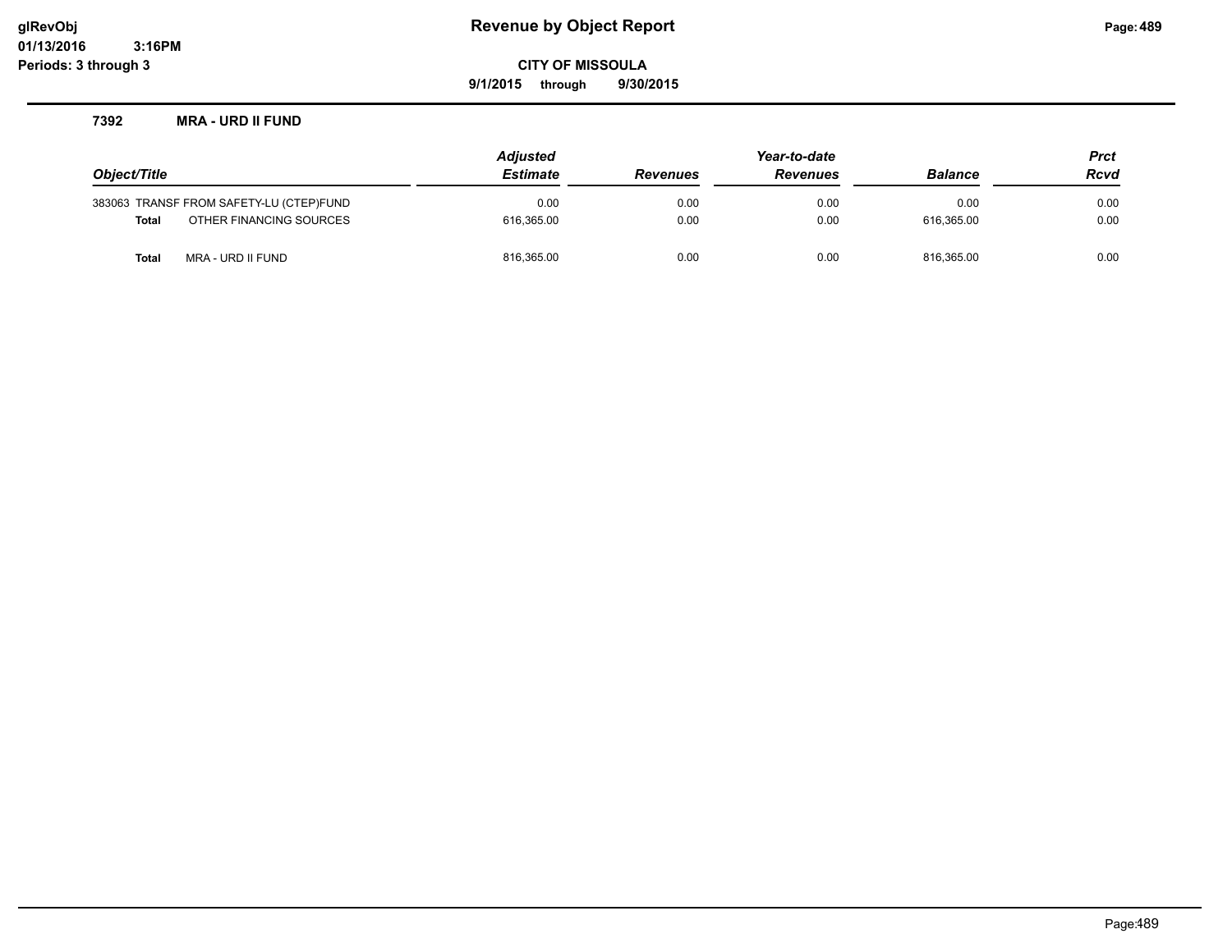## **glRevObj Revenue by Object Report Page:489**

**CITY OF MISSOULA**

**9/1/2015 through 9/30/2015**

#### **7392 MRA - URD II FUND**

|                                         |                         | <b>Adjusted</b> | Year-to-date    |                 |                | <b>Prct</b> |
|-----------------------------------------|-------------------------|-----------------|-----------------|-----------------|----------------|-------------|
| Object/Title                            |                         | <b>Estimate</b> | <b>Revenues</b> | <b>Revenues</b> | <b>Balance</b> | <b>Rcvd</b> |
| 383063 TRANSF FROM SAFETY-LU (CTEP)FUND |                         | 0.00            | 0.00            | 0.00            | 0.00           | 0.00        |
| <b>Total</b>                            | OTHER FINANCING SOURCES | 616.365.00      | 0.00            | 0.00            | 616.365.00     | 0.00        |
| MRA - URD II FUND<br>Total              |                         | 816,365.00      | 0.00            | 0.00            | 816.365.00     | 0.00        |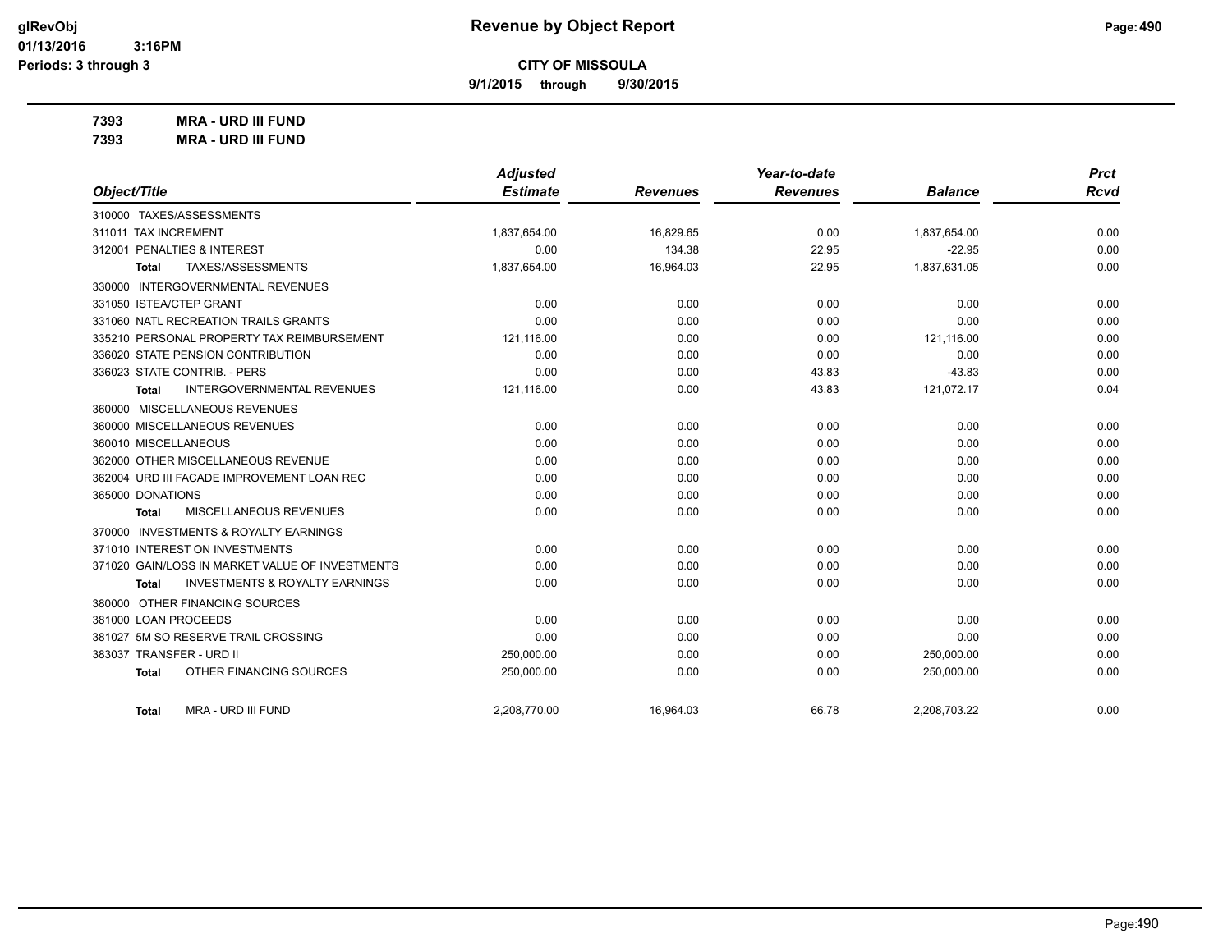**9/1/2015 through 9/30/2015**

**7393 MRA - URD III FUND**

**7393 MRA - URD III FUND**

|                                                    | <b>Adjusted</b> |                 | Year-to-date    |                | <b>Prct</b> |
|----------------------------------------------------|-----------------|-----------------|-----------------|----------------|-------------|
| Object/Title                                       | <b>Estimate</b> | <b>Revenues</b> | <b>Revenues</b> | <b>Balance</b> | <b>Rcvd</b> |
| 310000 TAXES/ASSESSMENTS                           |                 |                 |                 |                |             |
| 311011 TAX INCREMENT                               | 1,837,654.00    | 16,829.65       | 0.00            | 1,837,654.00   | 0.00        |
| 312001 PENALTIES & INTEREST                        | 0.00            | 134.38          | 22.95           | $-22.95$       | 0.00        |
| TAXES/ASSESSMENTS<br>Total                         | 1,837,654.00    | 16,964.03       | 22.95           | 1,837,631.05   | 0.00        |
| 330000 INTERGOVERNMENTAL REVENUES                  |                 |                 |                 |                |             |
| 331050 ISTEA/CTEP GRANT                            | 0.00            | 0.00            | 0.00            | 0.00           | 0.00        |
| 331060 NATL RECREATION TRAILS GRANTS               | 0.00            | 0.00            | 0.00            | 0.00           | 0.00        |
| 335210 PERSONAL PROPERTY TAX REIMBURSEMENT         | 121,116.00      | 0.00            | 0.00            | 121,116.00     | 0.00        |
| 336020 STATE PENSION CONTRIBUTION                  | 0.00            | 0.00            | 0.00            | 0.00           | 0.00        |
| 336023 STATE CONTRIB. - PERS                       | 0.00            | 0.00            | 43.83           | $-43.83$       | 0.00        |
| <b>INTERGOVERNMENTAL REVENUES</b><br>Total         | 121,116.00      | 0.00            | 43.83           | 121,072.17     | 0.04        |
| 360000 MISCELLANEOUS REVENUES                      |                 |                 |                 |                |             |
| 360000 MISCELLANEOUS REVENUES                      | 0.00            | 0.00            | 0.00            | 0.00           | 0.00        |
| 360010 MISCELLANEOUS                               | 0.00            | 0.00            | 0.00            | 0.00           | 0.00        |
| 362000 OTHER MISCELLANEOUS REVENUE                 | 0.00            | 0.00            | 0.00            | 0.00           | 0.00        |
| 362004 URD III FACADE IMPROVEMENT LOAN REC         | 0.00            | 0.00            | 0.00            | 0.00           | 0.00        |
| 365000 DONATIONS                                   | 0.00            | 0.00            | 0.00            | 0.00           | 0.00        |
| MISCELLANEOUS REVENUES<br><b>Total</b>             | 0.00            | 0.00            | 0.00            | 0.00           | 0.00        |
| 370000 INVESTMENTS & ROYALTY EARNINGS              |                 |                 |                 |                |             |
| 371010 INTEREST ON INVESTMENTS                     | 0.00            | 0.00            | 0.00            | 0.00           | 0.00        |
| 371020 GAIN/LOSS IN MARKET VALUE OF INVESTMENTS    | 0.00            | 0.00            | 0.00            | 0.00           | 0.00        |
| <b>INVESTMENTS &amp; ROYALTY EARNINGS</b><br>Total | 0.00            | 0.00            | 0.00            | 0.00           | 0.00        |
| 380000 OTHER FINANCING SOURCES                     |                 |                 |                 |                |             |
| 381000 LOAN PROCEEDS                               | 0.00            | 0.00            | 0.00            | 0.00           | 0.00        |
| 381027 5M SO RESERVE TRAIL CROSSING                | 0.00            | 0.00            | 0.00            | 0.00           | 0.00        |
| 383037 TRANSFER - URD II                           | 250,000.00      | 0.00            | 0.00            | 250,000.00     | 0.00        |
| OTHER FINANCING SOURCES<br>Total                   | 250,000.00      | 0.00            | 0.00            | 250,000.00     | 0.00        |
| MRA - URD III FUND<br>Total                        | 2.208.770.00    | 16.964.03       | 66.78           | 2,208,703.22   | 0.00        |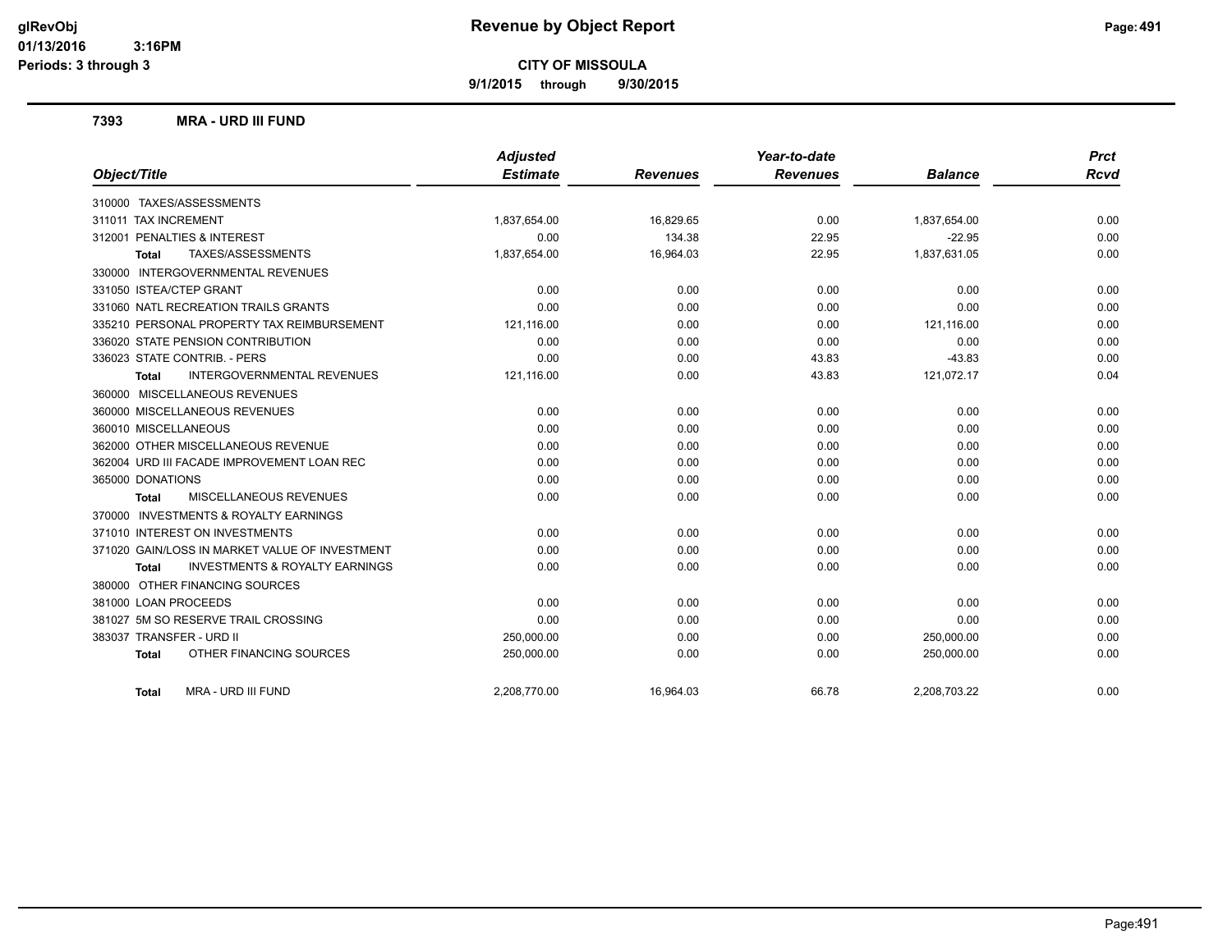**9/1/2015 through 9/30/2015**

#### **7393 MRA - URD III FUND**

|                                                           | <b>Adjusted</b> |                 | Year-to-date    |                | <b>Prct</b> |
|-----------------------------------------------------------|-----------------|-----------------|-----------------|----------------|-------------|
| Object/Title                                              | <b>Estimate</b> | <b>Revenues</b> | <b>Revenues</b> | <b>Balance</b> | <b>Rcvd</b> |
| 310000 TAXES/ASSESSMENTS                                  |                 |                 |                 |                |             |
| 311011 TAX INCREMENT                                      | 1,837,654.00    | 16,829.65       | 0.00            | 1,837,654.00   | 0.00        |
| 312001 PENALTIES & INTEREST                               | 0.00            | 134.38          | 22.95           | $-22.95$       | 0.00        |
| TAXES/ASSESSMENTS<br><b>Total</b>                         | 1,837,654.00    | 16,964.03       | 22.95           | 1,837,631.05   | 0.00        |
| 330000 INTERGOVERNMENTAL REVENUES                         |                 |                 |                 |                |             |
| 331050 ISTEA/CTEP GRANT                                   | 0.00            | 0.00            | 0.00            | 0.00           | 0.00        |
| 331060 NATL RECREATION TRAILS GRANTS                      | 0.00            | 0.00            | 0.00            | 0.00           | 0.00        |
| 335210 PERSONAL PROPERTY TAX REIMBURSEMENT                | 121,116.00      | 0.00            | 0.00            | 121,116.00     | 0.00        |
| 336020 STATE PENSION CONTRIBUTION                         | 0.00            | 0.00            | 0.00            | 0.00           | 0.00        |
| 336023 STATE CONTRIB. - PERS                              | 0.00            | 0.00            | 43.83           | $-43.83$       | 0.00        |
| <b>INTERGOVERNMENTAL REVENUES</b><br>Total                | 121,116.00      | 0.00            | 43.83           | 121,072.17     | 0.04        |
| 360000 MISCELLANEOUS REVENUES                             |                 |                 |                 |                |             |
| 360000 MISCELLANEOUS REVENUES                             | 0.00            | 0.00            | 0.00            | 0.00           | 0.00        |
| 360010 MISCELLANEOUS                                      | 0.00            | 0.00            | 0.00            | 0.00           | 0.00        |
| 362000 OTHER MISCELLANEOUS REVENUE                        | 0.00            | 0.00            | 0.00            | 0.00           | 0.00        |
| 362004 URD III FACADE IMPROVEMENT LOAN REC                | 0.00            | 0.00            | 0.00            | 0.00           | 0.00        |
| 365000 DONATIONS                                          | 0.00            | 0.00            | 0.00            | 0.00           | 0.00        |
| MISCELLANEOUS REVENUES<br>Total                           | 0.00            | 0.00            | 0.00            | 0.00           | 0.00        |
| 370000 INVESTMENTS & ROYALTY EARNINGS                     |                 |                 |                 |                |             |
| 371010 INTEREST ON INVESTMENTS                            | 0.00            | 0.00            | 0.00            | 0.00           | 0.00        |
| 371020 GAIN/LOSS IN MARKET VALUE OF INVESTMENT            | 0.00            | 0.00            | 0.00            | 0.00           | 0.00        |
| <b>INVESTMENTS &amp; ROYALTY EARNINGS</b><br><b>Total</b> | 0.00            | 0.00            | 0.00            | 0.00           | 0.00        |
| 380000 OTHER FINANCING SOURCES                            |                 |                 |                 |                |             |
| 381000 LOAN PROCEEDS                                      | 0.00            | 0.00            | 0.00            | 0.00           | 0.00        |
| 381027 5M SO RESERVE TRAIL CROSSING                       | 0.00            | 0.00            | 0.00            | 0.00           | 0.00        |
| 383037 TRANSFER - URD II                                  | 250,000.00      | 0.00            | 0.00            | 250,000.00     | 0.00        |
| OTHER FINANCING SOURCES<br><b>Total</b>                   | 250,000.00      | 0.00            | 0.00            | 250,000.00     | 0.00        |
| MRA - URD III FUND<br><b>Total</b>                        | 2,208,770.00    | 16,964.03       | 66.78           | 2,208,703.22   | 0.00        |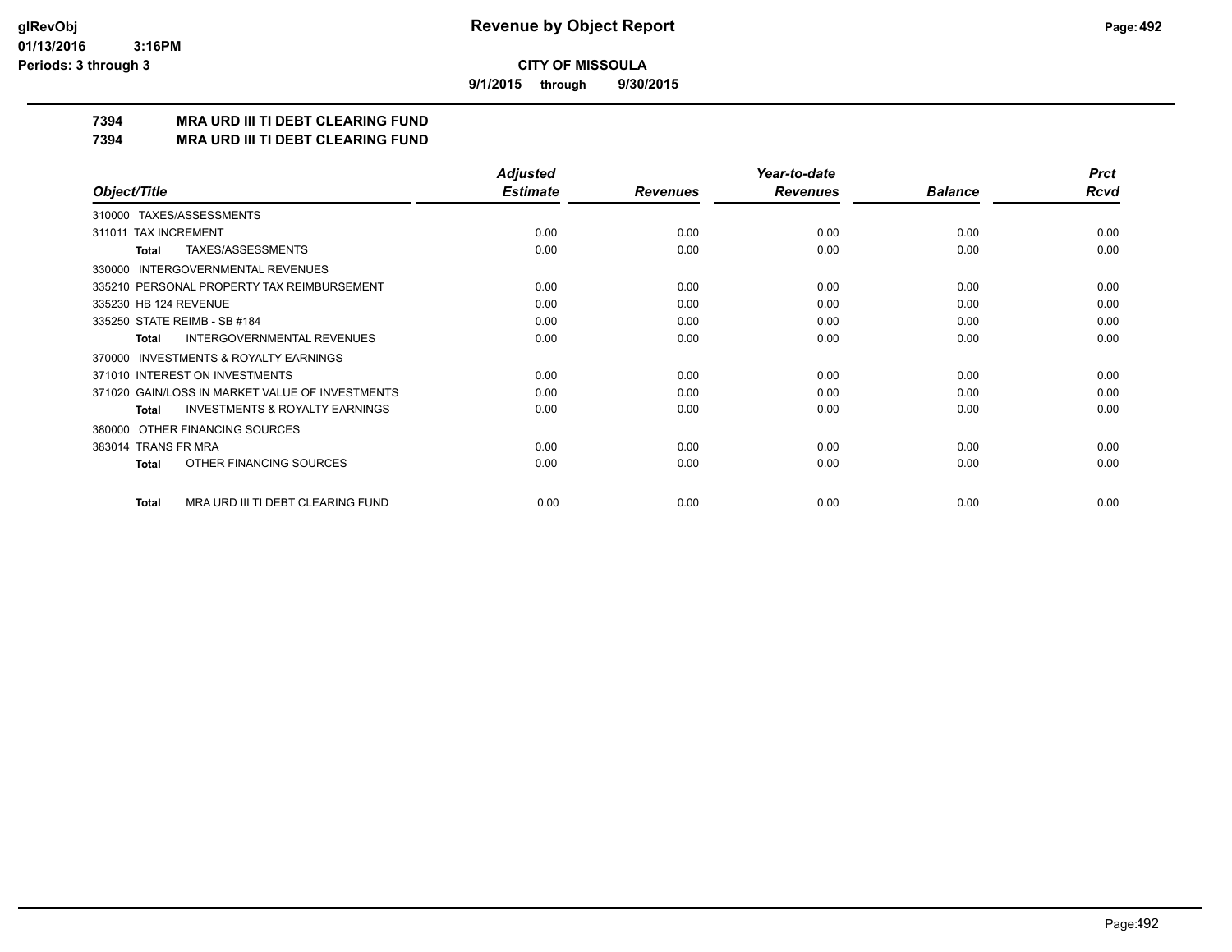**9/1/2015 through 9/30/2015**

## **7394 MRA URD III TI DEBT CLEARING FUND**

**7394 MRA URD III TI DEBT CLEARING FUND**

|                                                           | <b>Adjusted</b> |                 | Year-to-date    |                | <b>Prct</b> |
|-----------------------------------------------------------|-----------------|-----------------|-----------------|----------------|-------------|
| Object/Title                                              | <b>Estimate</b> | <b>Revenues</b> | <b>Revenues</b> | <b>Balance</b> | <b>Rcvd</b> |
| 310000 TAXES/ASSESSMENTS                                  |                 |                 |                 |                |             |
| <b>TAX INCREMENT</b><br>311011                            | 0.00            | 0.00            | 0.00            | 0.00           | 0.00        |
| TAXES/ASSESSMENTS<br><b>Total</b>                         | 0.00            | 0.00            | 0.00            | 0.00           | 0.00        |
| INTERGOVERNMENTAL REVENUES<br>330000                      |                 |                 |                 |                |             |
| 335210 PERSONAL PROPERTY TAX REIMBURSEMENT                | 0.00            | 0.00            | 0.00            | 0.00           | 0.00        |
| 335230 HB 124 REVENUE                                     | 0.00            | 0.00            | 0.00            | 0.00           | 0.00        |
| 335250 STATE REIMB - SB #184                              | 0.00            | 0.00            | 0.00            | 0.00           | 0.00        |
| <b>INTERGOVERNMENTAL REVENUES</b><br><b>Total</b>         | 0.00            | 0.00            | 0.00            | 0.00           | 0.00        |
| <b>INVESTMENTS &amp; ROYALTY EARNINGS</b><br>370000       |                 |                 |                 |                |             |
| 371010 INTEREST ON INVESTMENTS                            | 0.00            | 0.00            | 0.00            | 0.00           | 0.00        |
| 371020 GAIN/LOSS IN MARKET VALUE OF INVESTMENTS           | 0.00            | 0.00            | 0.00            | 0.00           | 0.00        |
| <b>INVESTMENTS &amp; ROYALTY EARNINGS</b><br><b>Total</b> | 0.00            | 0.00            | 0.00            | 0.00           | 0.00        |
| OTHER FINANCING SOURCES<br>380000                         |                 |                 |                 |                |             |
| 383014 TRANS FR MRA                                       | 0.00            | 0.00            | 0.00            | 0.00           | 0.00        |
| OTHER FINANCING SOURCES<br>Total                          | 0.00            | 0.00            | 0.00            | 0.00           | 0.00        |
| MRA URD III TI DEBT CLEARING FUND<br>Total                | 0.00            | 0.00            | 0.00            | 0.00           | 0.00        |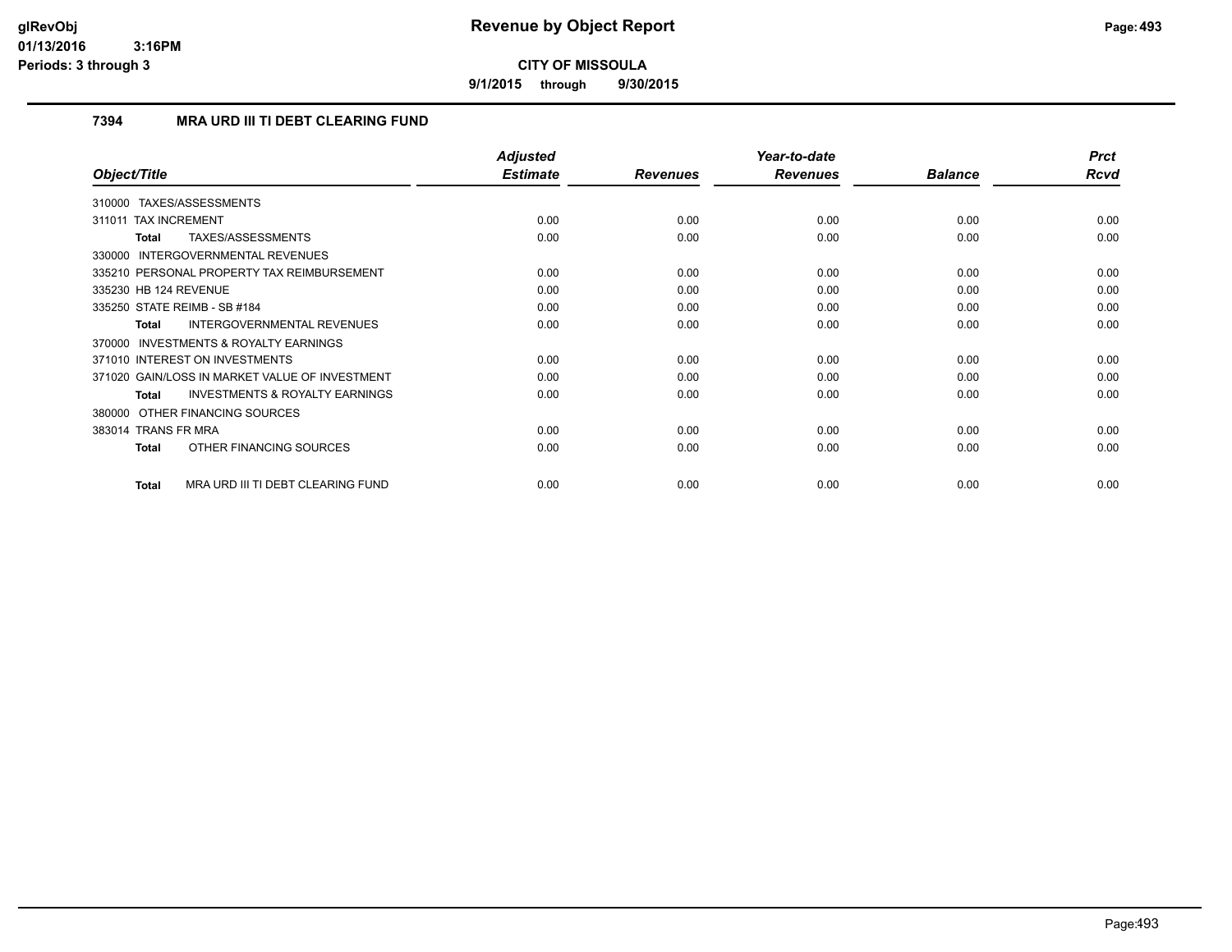**9/1/2015 through 9/30/2015**

## **7394 MRA URD III TI DEBT CLEARING FUND**

|                                                           | <b>Adjusted</b> |                 | Year-to-date    |                | <b>Prct</b> |
|-----------------------------------------------------------|-----------------|-----------------|-----------------|----------------|-------------|
| Object/Title                                              | <b>Estimate</b> | <b>Revenues</b> | <b>Revenues</b> | <b>Balance</b> | Rcvd        |
| TAXES/ASSESSMENTS<br>310000                               |                 |                 |                 |                |             |
| <b>TAX INCREMENT</b><br>311011                            | 0.00            | 0.00            | 0.00            | 0.00           | 0.00        |
| TAXES/ASSESSMENTS<br><b>Total</b>                         | 0.00            | 0.00            | 0.00            | 0.00           | 0.00        |
| 330000 INTERGOVERNMENTAL REVENUES                         |                 |                 |                 |                |             |
| 335210 PERSONAL PROPERTY TAX REIMBURSEMENT                | 0.00            | 0.00            | 0.00            | 0.00           | 0.00        |
| 335230 HB 124 REVENUE                                     | 0.00            | 0.00            | 0.00            | 0.00           | 0.00        |
| 335250 STATE REIMB - SB #184                              | 0.00            | 0.00            | 0.00            | 0.00           | 0.00        |
| <b>INTERGOVERNMENTAL REVENUES</b><br><b>Total</b>         | 0.00            | 0.00            | 0.00            | 0.00           | 0.00        |
| <b>INVESTMENTS &amp; ROYALTY EARNINGS</b><br>370000       |                 |                 |                 |                |             |
| 371010 INTEREST ON INVESTMENTS                            | 0.00            | 0.00            | 0.00            | 0.00           | 0.00        |
| 371020 GAIN/LOSS IN MARKET VALUE OF INVESTMENT            | 0.00            | 0.00            | 0.00            | 0.00           | 0.00        |
| <b>INVESTMENTS &amp; ROYALTY EARNINGS</b><br><b>Total</b> | 0.00            | 0.00            | 0.00            | 0.00           | 0.00        |
| 380000 OTHER FINANCING SOURCES                            |                 |                 |                 |                |             |
| 383014 TRANS FR MRA                                       | 0.00            | 0.00            | 0.00            | 0.00           | 0.00        |
| OTHER FINANCING SOURCES<br><b>Total</b>                   | 0.00            | 0.00            | 0.00            | 0.00           | 0.00        |
| MRA URD III TI DEBT CLEARING FUND<br><b>Total</b>         | 0.00            | 0.00            | 0.00            | 0.00           | 0.00        |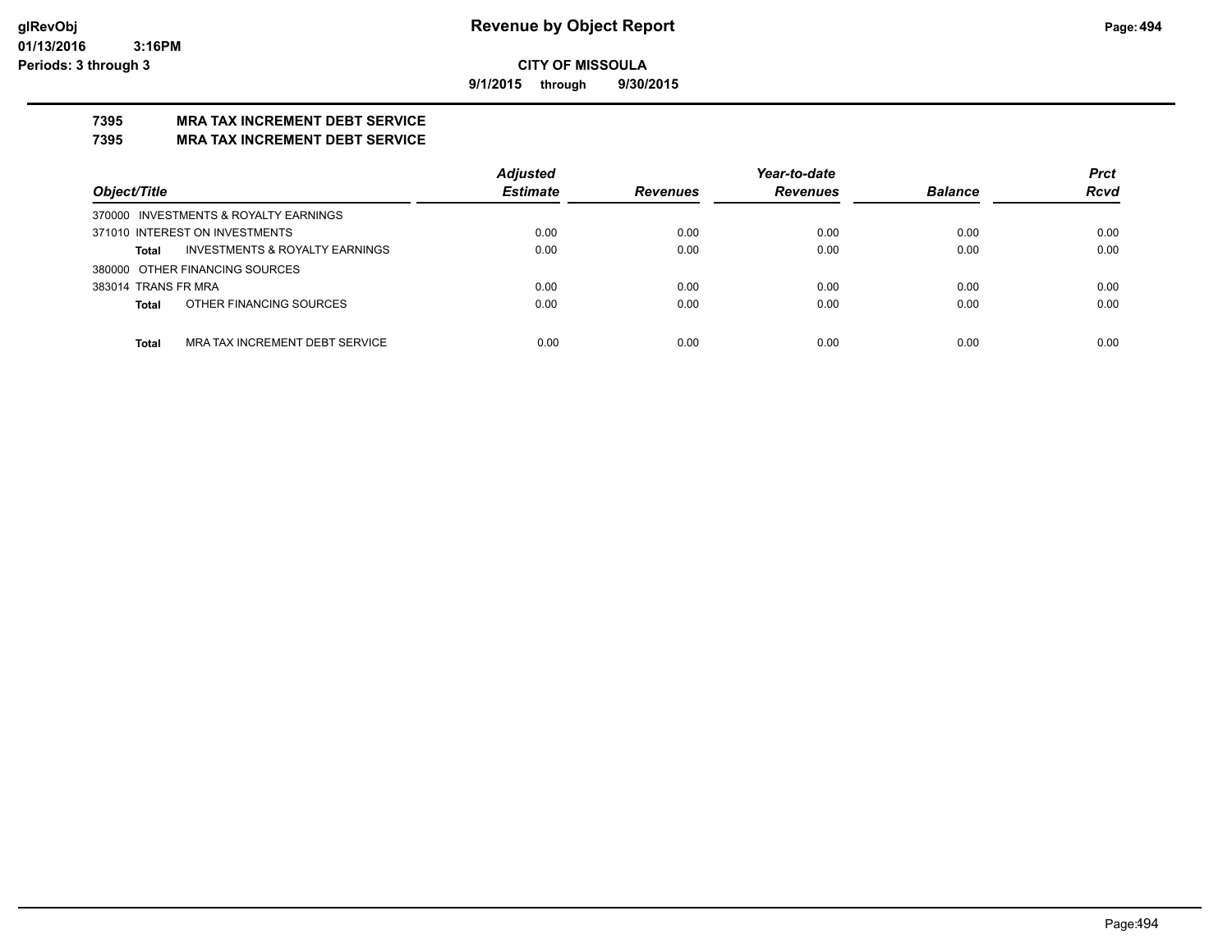**9/1/2015 through 9/30/2015**

# **7395 MRA TAX INCREMENT DEBT SERVICE**

#### **7395 MRA TAX INCREMENT DEBT SERVICE**

|                                                           | <b>Adjusted</b> |                 | Year-to-date    |                | <b>Prct</b> |
|-----------------------------------------------------------|-----------------|-----------------|-----------------|----------------|-------------|
| Object/Title                                              | <b>Estimate</b> | <b>Revenues</b> | <b>Revenues</b> | <b>Balance</b> | <b>Rcvd</b> |
| 370000 INVESTMENTS & ROYALTY EARNINGS                     |                 |                 |                 |                |             |
| 371010 INTEREST ON INVESTMENTS                            | 0.00            | 0.00            | 0.00            | 0.00           | 0.00        |
| <b>INVESTMENTS &amp; ROYALTY EARNINGS</b><br><b>Total</b> | 0.00            | 0.00            | 0.00            | 0.00           | 0.00        |
| 380000 OTHER FINANCING SOURCES                            |                 |                 |                 |                |             |
| 383014 TRANS FR MRA                                       | 0.00            | 0.00            | 0.00            | 0.00           | 0.00        |
| OTHER FINANCING SOURCES<br><b>Total</b>                   | 0.00            | 0.00            | 0.00            | 0.00           | 0.00        |
|                                                           |                 |                 |                 |                |             |
| MRA TAX INCREMENT DEBT SERVICE<br><b>Total</b>            | 0.00            | 0.00            | 0.00            | 0.00           | 0.00        |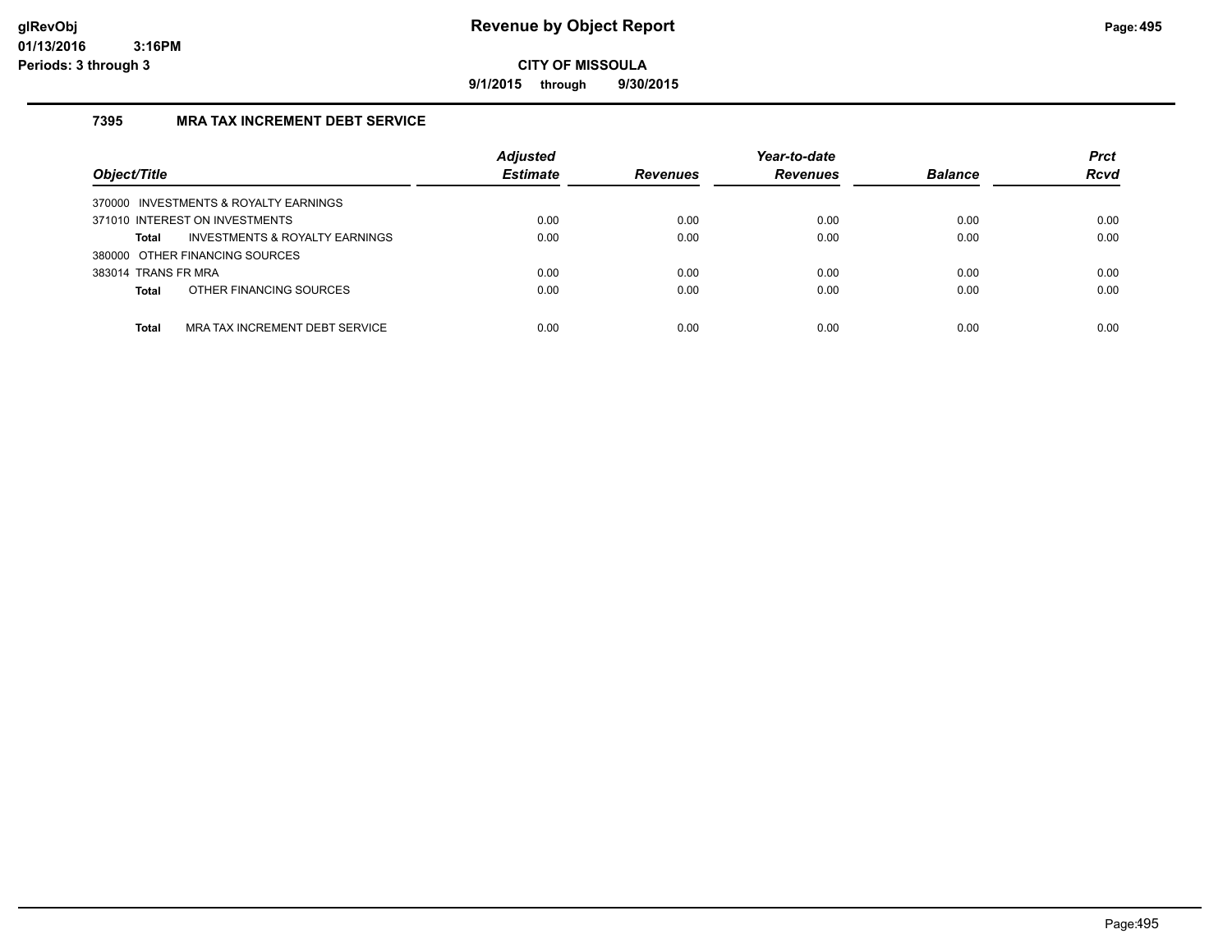**9/1/2015 through 9/30/2015**

## **7395 MRA TAX INCREMENT DEBT SERVICE**

| Object/Title                                       | <b>Adjusted</b><br><b>Estimate</b> | <b>Revenues</b> | Year-to-date<br><b>Revenues</b> | <b>Balance</b> | <b>Prct</b><br><b>Rcvd</b> |
|----------------------------------------------------|------------------------------------|-----------------|---------------------------------|----------------|----------------------------|
| 370000 INVESTMENTS & ROYALTY EARNINGS              |                                    |                 |                                 |                |                            |
| 371010 INTEREST ON INVESTMENTS                     | 0.00                               | 0.00            | 0.00                            | 0.00           | 0.00                       |
| <b>INVESTMENTS &amp; ROYALTY EARNINGS</b><br>Total | 0.00                               | 0.00            | 0.00                            | 0.00           | 0.00                       |
| 380000 OTHER FINANCING SOURCES                     |                                    |                 |                                 |                |                            |
| 383014 TRANS FR MRA                                | 0.00                               | 0.00            | 0.00                            | 0.00           | 0.00                       |
| OTHER FINANCING SOURCES<br>Total                   | 0.00                               | 0.00            | 0.00                            | 0.00           | 0.00                       |
|                                                    |                                    |                 |                                 |                |                            |
| MRA TAX INCREMENT DEBT SERVICE<br><b>Total</b>     | 0.00                               | 0.00            | 0.00                            | 0.00           | 0.00                       |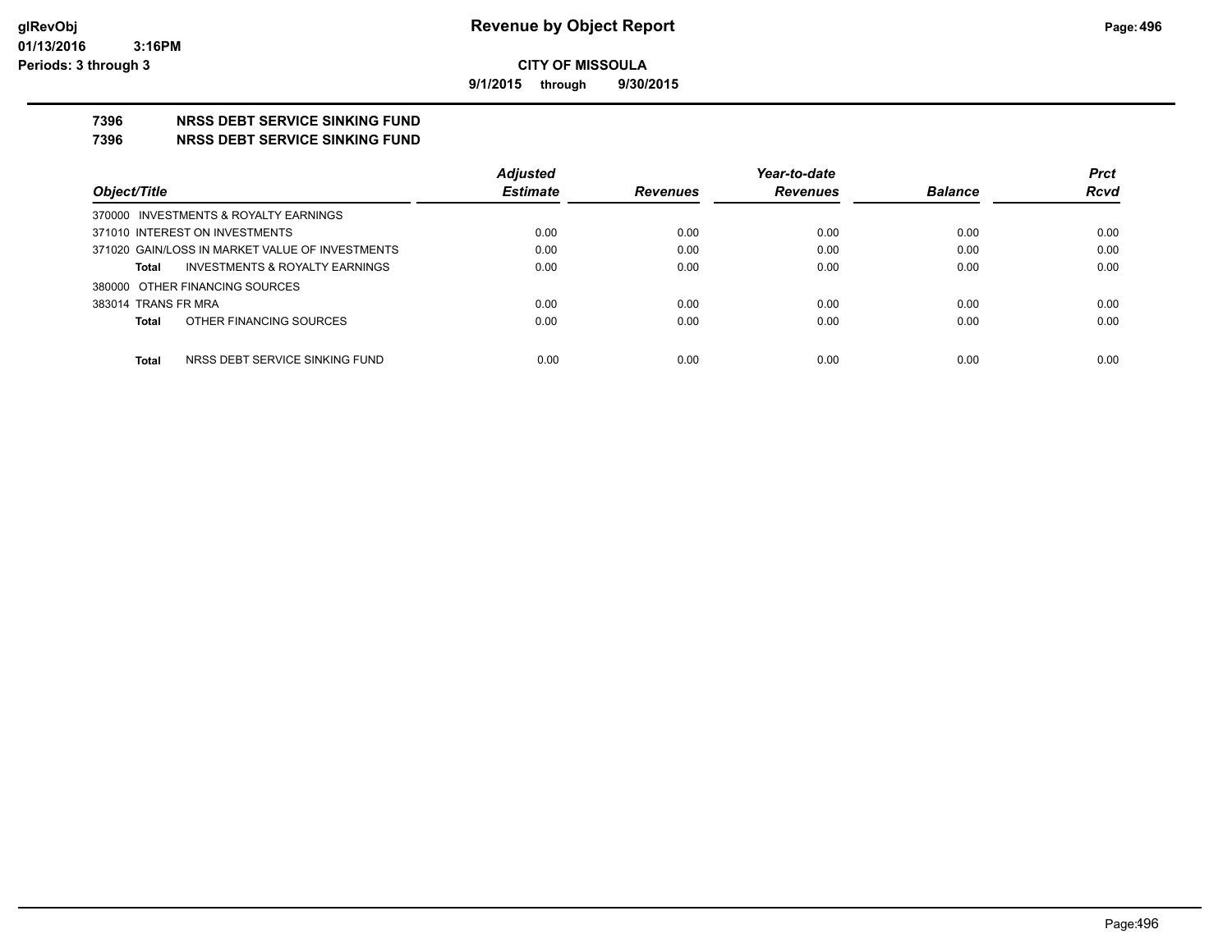**9/1/2015 through 9/30/2015**

## **7396 NRSS DEBT SERVICE SINKING FUND**

**7396 NRSS DEBT SERVICE SINKING FUND**

|                                                 | <b>Adjusted</b> |                 | Year-to-date    |                | <b>Prct</b> |
|-------------------------------------------------|-----------------|-----------------|-----------------|----------------|-------------|
| Object/Title                                    | <b>Estimate</b> | <b>Revenues</b> | <b>Revenues</b> | <b>Balance</b> | <b>Rcvd</b> |
| 370000 INVESTMENTS & ROYALTY EARNINGS           |                 |                 |                 |                |             |
| 371010 INTEREST ON INVESTMENTS                  | 0.00            | 0.00            | 0.00            | 0.00           | 0.00        |
| 371020 GAIN/LOSS IN MARKET VALUE OF INVESTMENTS | 0.00            | 0.00            | 0.00            | 0.00           | 0.00        |
| INVESTMENTS & ROYALTY EARNINGS<br><b>Total</b>  | 0.00            | 0.00            | 0.00            | 0.00           | 0.00        |
| 380000 OTHER FINANCING SOURCES                  |                 |                 |                 |                |             |
| 383014 TRANS FR MRA                             | 0.00            | 0.00            | 0.00            | 0.00           | 0.00        |
| OTHER FINANCING SOURCES<br><b>Total</b>         | 0.00            | 0.00            | 0.00            | 0.00           | 0.00        |
|                                                 |                 |                 |                 |                |             |
| <b>Total</b><br>NRSS DEBT SERVICE SINKING FUND  | 0.00            | 0.00            | 0.00            | 0.00           | 0.00        |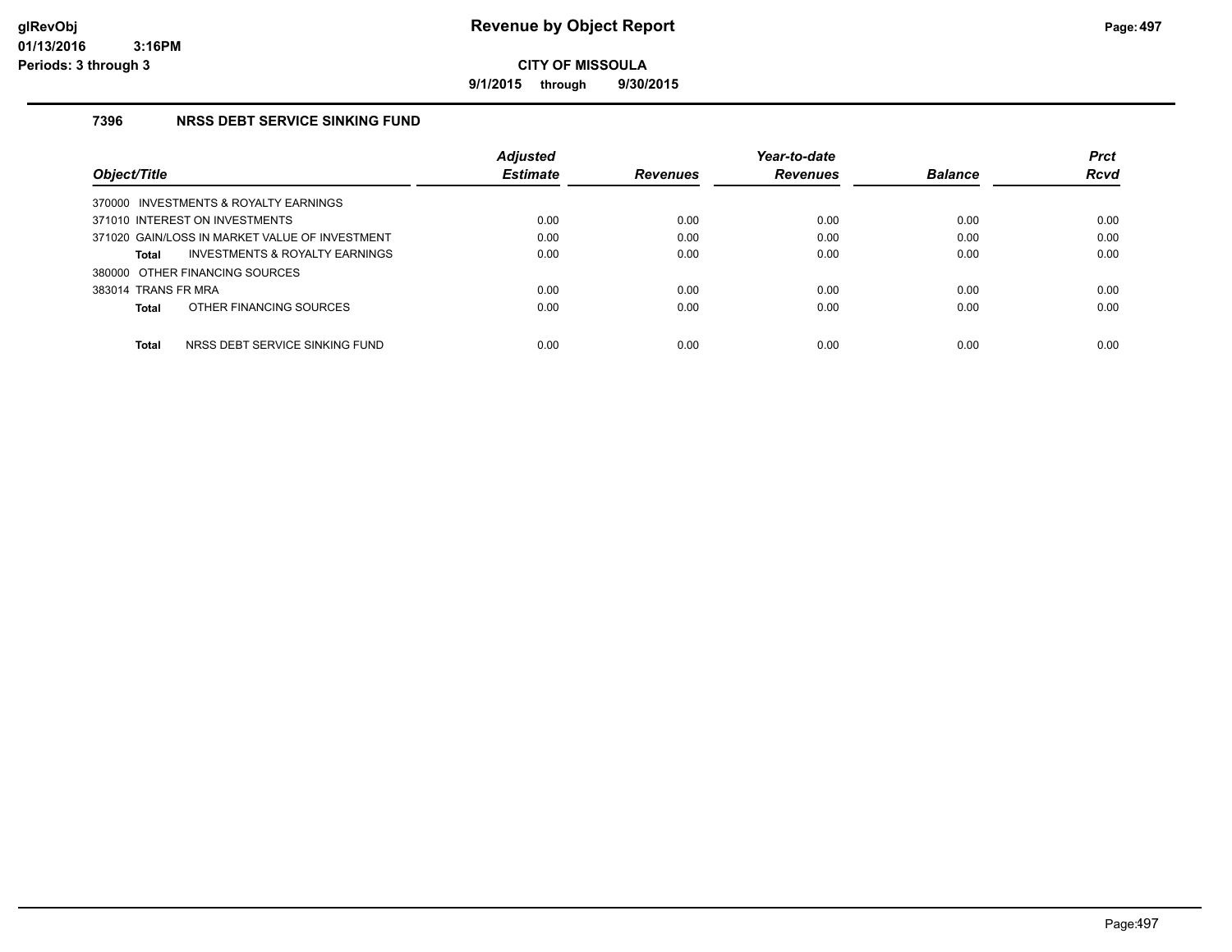**9/1/2015 through 9/30/2015**

## **7396 NRSS DEBT SERVICE SINKING FUND**

|                                                    | <b>Adjusted</b> |                 | Year-to-date    |                | <b>Prct</b> |
|----------------------------------------------------|-----------------|-----------------|-----------------|----------------|-------------|
| Object/Title                                       | <b>Estimate</b> | <b>Revenues</b> | <b>Revenues</b> | <b>Balance</b> | Rcvd        |
| 370000 INVESTMENTS & ROYALTY EARNINGS              |                 |                 |                 |                |             |
| 371010 INTEREST ON INVESTMENTS                     | 0.00            | 0.00            | 0.00            | 0.00           | 0.00        |
| 371020 GAIN/LOSS IN MARKET VALUE OF INVESTMENT     | 0.00            | 0.00            | 0.00            | 0.00           | 0.00        |
| <b>INVESTMENTS &amp; ROYALTY EARNINGS</b><br>Total | 0.00            | 0.00            | 0.00            | 0.00           | 0.00        |
| 380000 OTHER FINANCING SOURCES                     |                 |                 |                 |                |             |
| 383014 TRANS FR MRA                                | 0.00            | 0.00            | 0.00            | 0.00           | 0.00        |
| OTHER FINANCING SOURCES<br>Total                   | 0.00            | 0.00            | 0.00            | 0.00           | 0.00        |
|                                                    |                 |                 |                 |                |             |
| <b>Total</b><br>NRSS DEBT SERVICE SINKING FUND     | 0.00            | 0.00            | 0.00            | 0.00           | 0.00        |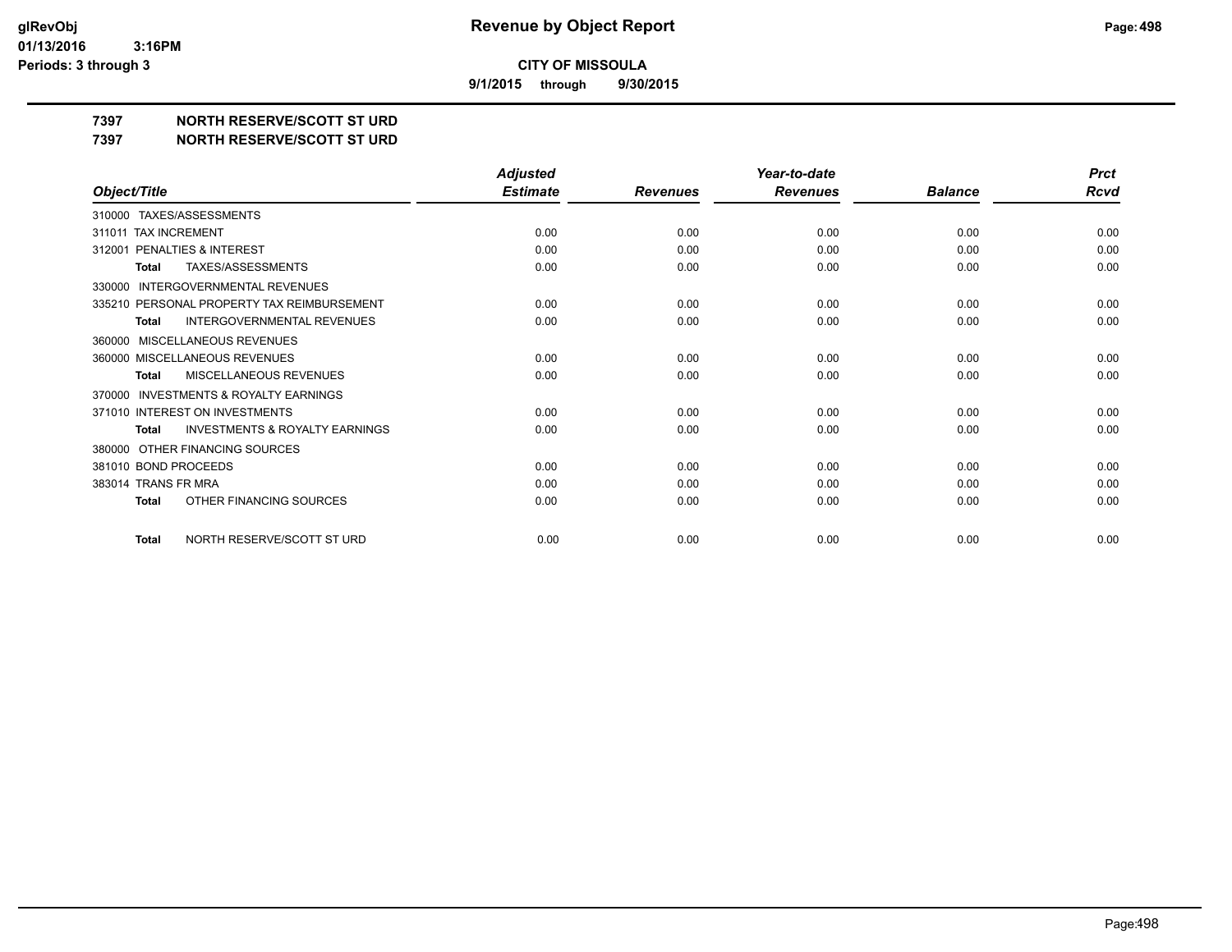**9/1/2015 through 9/30/2015**

**7397 NORTH RESERVE/SCOTT ST URD**

**7397 NORTH RESERVE/SCOTT ST URD**

|                                                           | <b>Adjusted</b> |                 | Year-to-date    |                | <b>Prct</b> |
|-----------------------------------------------------------|-----------------|-----------------|-----------------|----------------|-------------|
| Object/Title                                              | <b>Estimate</b> | <b>Revenues</b> | <b>Revenues</b> | <b>Balance</b> | Rcvd        |
| <b>TAXES/ASSESSMENTS</b><br>310000                        |                 |                 |                 |                |             |
| 311011 TAX INCREMENT                                      | 0.00            | 0.00            | 0.00            | 0.00           | 0.00        |
| 312001 PENALTIES & INTEREST                               | 0.00            | 0.00            | 0.00            | 0.00           | 0.00        |
| TAXES/ASSESSMENTS<br><b>Total</b>                         | 0.00            | 0.00            | 0.00            | 0.00           | 0.00        |
| <b>INTERGOVERNMENTAL REVENUES</b><br>330000               |                 |                 |                 |                |             |
| 335210 PERSONAL PROPERTY TAX REIMBURSEMENT                | 0.00            | 0.00            | 0.00            | 0.00           | 0.00        |
| <b>INTERGOVERNMENTAL REVENUES</b><br><b>Total</b>         | 0.00            | 0.00            | 0.00            | 0.00           | 0.00        |
| MISCELLANEOUS REVENUES<br>360000                          |                 |                 |                 |                |             |
| 360000 MISCELLANEOUS REVENUES                             | 0.00            | 0.00            | 0.00            | 0.00           | 0.00        |
| MISCELLANEOUS REVENUES<br><b>Total</b>                    | 0.00            | 0.00            | 0.00            | 0.00           | 0.00        |
| INVESTMENTS & ROYALTY EARNINGS<br>370000                  |                 |                 |                 |                |             |
| 371010 INTEREST ON INVESTMENTS                            | 0.00            | 0.00            | 0.00            | 0.00           | 0.00        |
| <b>INVESTMENTS &amp; ROYALTY EARNINGS</b><br><b>Total</b> | 0.00            | 0.00            | 0.00            | 0.00           | 0.00        |
| OTHER FINANCING SOURCES<br>380000                         |                 |                 |                 |                |             |
| 381010 BOND PROCEEDS                                      | 0.00            | 0.00            | 0.00            | 0.00           | 0.00        |
| 383014 TRANS FR MRA                                       | 0.00            | 0.00            | 0.00            | 0.00           | 0.00        |
| OTHER FINANCING SOURCES<br><b>Total</b>                   | 0.00            | 0.00            | 0.00            | 0.00           | 0.00        |
| NORTH RESERVE/SCOTT ST URD<br><b>Total</b>                | 0.00            | 0.00            | 0.00            | 0.00           | 0.00        |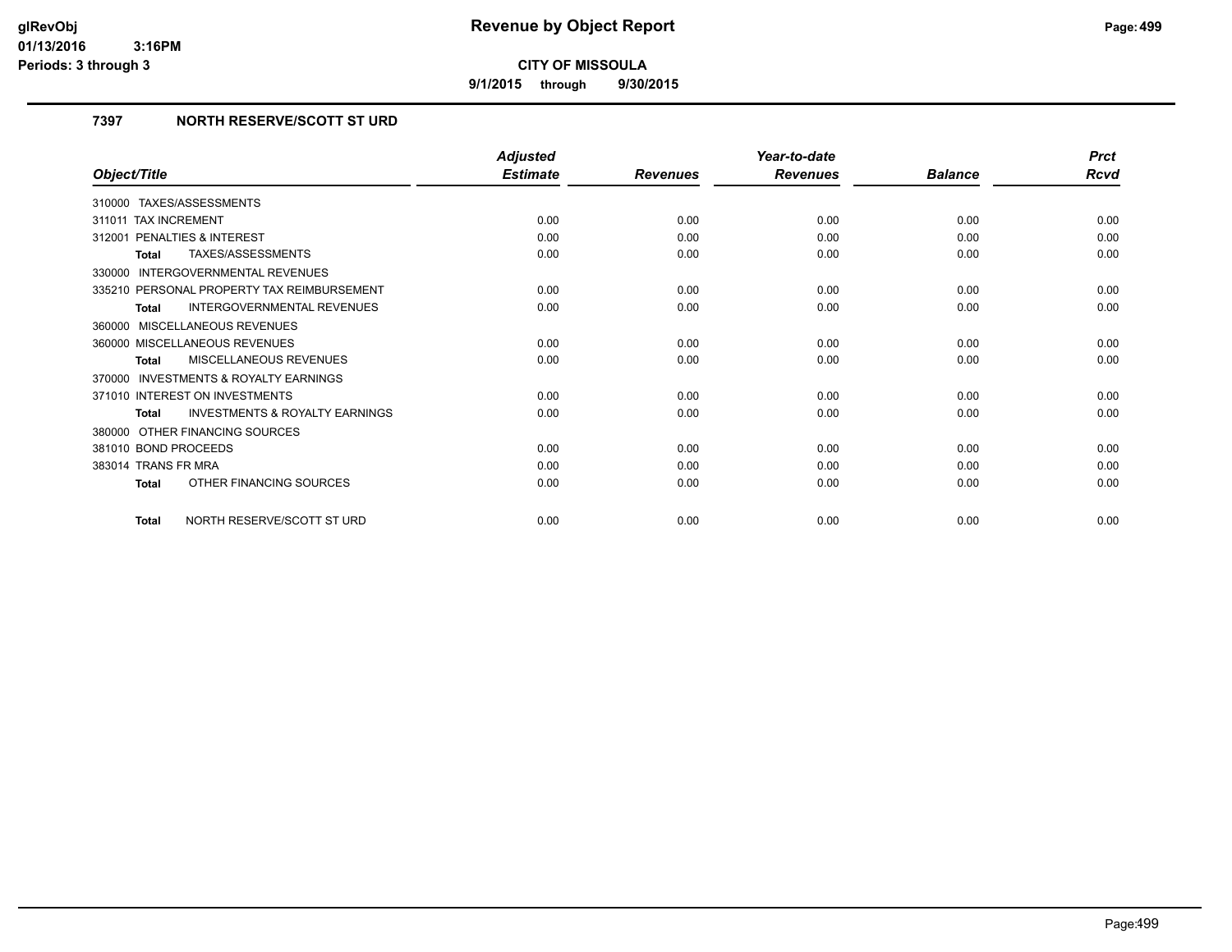**9/1/2015 through 9/30/2015**

## **7397 NORTH RESERVE/SCOTT ST URD**

|                                                    | <b>Adjusted</b> |                 | Year-to-date    |                | <b>Prct</b> |
|----------------------------------------------------|-----------------|-----------------|-----------------|----------------|-------------|
| Object/Title                                       | <b>Estimate</b> | <b>Revenues</b> | <b>Revenues</b> | <b>Balance</b> | Rcvd        |
| 310000 TAXES/ASSESSMENTS                           |                 |                 |                 |                |             |
| <b>TAX INCREMENT</b><br>311011                     | 0.00            | 0.00            | 0.00            | 0.00           | 0.00        |
| PENALTIES & INTEREST<br>312001                     | 0.00            | 0.00            | 0.00            | 0.00           | 0.00        |
| TAXES/ASSESSMENTS<br><b>Total</b>                  | 0.00            | 0.00            | 0.00            | 0.00           | 0.00        |
| <b>INTERGOVERNMENTAL REVENUES</b><br>330000        |                 |                 |                 |                |             |
| 335210 PERSONAL PROPERTY TAX REIMBURSEMENT         | 0.00            | 0.00            | 0.00            | 0.00           | 0.00        |
| <b>INTERGOVERNMENTAL REVENUES</b><br><b>Total</b>  | 0.00            | 0.00            | 0.00            | 0.00           | 0.00        |
| 360000 MISCELLANEOUS REVENUES                      |                 |                 |                 |                |             |
| 360000 MISCELLANEOUS REVENUES                      | 0.00            | 0.00            | 0.00            | 0.00           | 0.00        |
| MISCELLANEOUS REVENUES<br><b>Total</b>             | 0.00            | 0.00            | 0.00            | 0.00           | 0.00        |
| 370000 INVESTMENTS & ROYALTY EARNINGS              |                 |                 |                 |                |             |
| 371010 INTEREST ON INVESTMENTS                     | 0.00            | 0.00            | 0.00            | 0.00           | 0.00        |
| <b>INVESTMENTS &amp; ROYALTY EARNINGS</b><br>Total | 0.00            | 0.00            | 0.00            | 0.00           | 0.00        |
| 380000 OTHER FINANCING SOURCES                     |                 |                 |                 |                |             |
| 381010 BOND PROCEEDS                               | 0.00            | 0.00            | 0.00            | 0.00           | 0.00        |
| 383014 TRANS FR MRA                                | 0.00            | 0.00            | 0.00            | 0.00           | 0.00        |
| OTHER FINANCING SOURCES<br><b>Total</b>            | 0.00            | 0.00            | 0.00            | 0.00           | 0.00        |
| NORTH RESERVE/SCOTT ST URD<br><b>Total</b>         | 0.00            | 0.00            | 0.00            | 0.00           | 0.00        |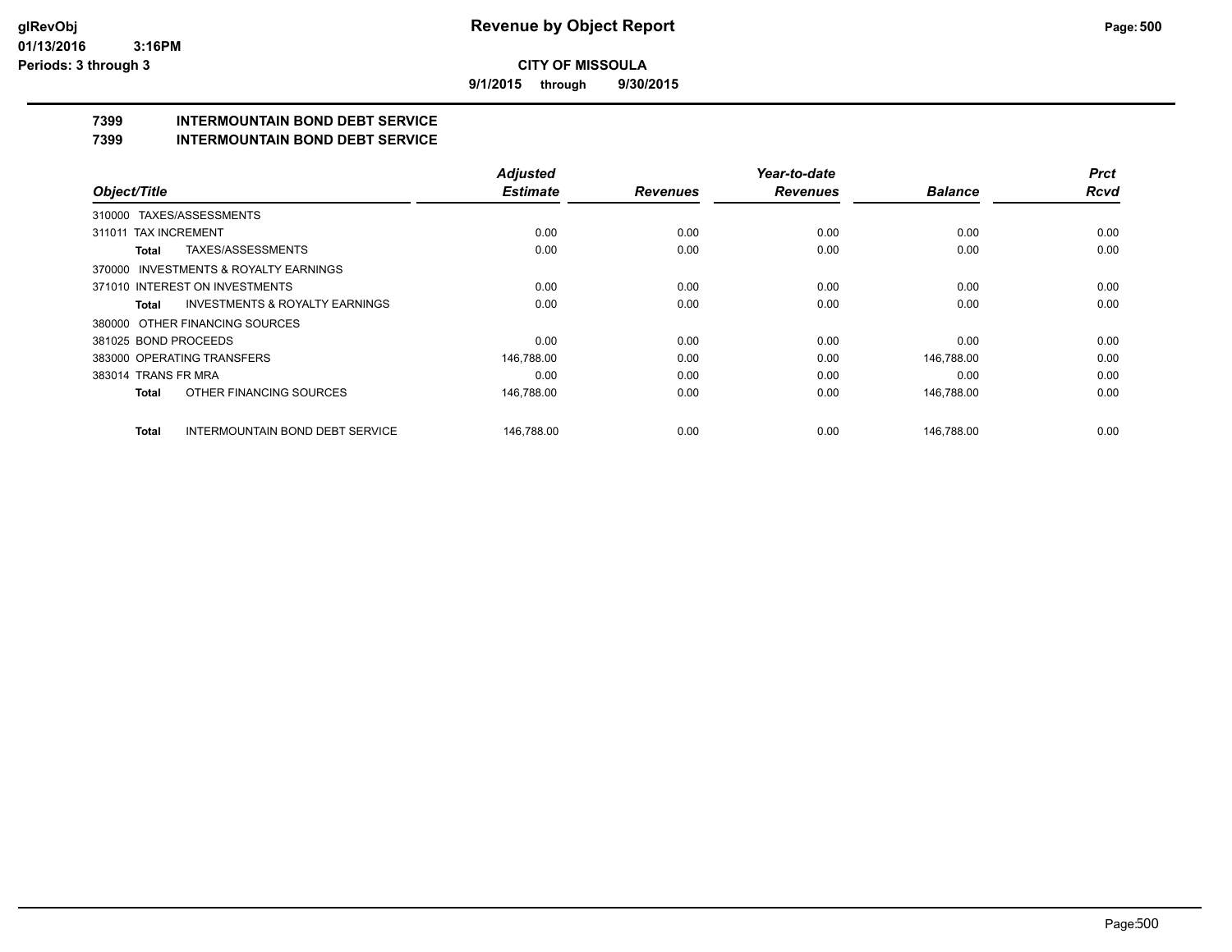**9/1/2015 through 9/30/2015**

# **7399 INTERMOUNTAIN BOND DEBT SERVICE**

**7399 INTERMOUNTAIN BOND DEBT SERVICE**

|                                                    | <b>Adjusted</b> |                 | Year-to-date    |                | <b>Prct</b> |
|----------------------------------------------------|-----------------|-----------------|-----------------|----------------|-------------|
| Object/Title                                       | <b>Estimate</b> | <b>Revenues</b> | <b>Revenues</b> | <b>Balance</b> | <b>Rcvd</b> |
| 310000 TAXES/ASSESSMENTS                           |                 |                 |                 |                |             |
| <b>TAX INCREMENT</b><br>311011                     | 0.00            | 0.00            | 0.00            | 0.00           | 0.00        |
| TAXES/ASSESSMENTS<br><b>Total</b>                  | 0.00            | 0.00            | 0.00            | 0.00           | 0.00        |
| 370000 INVESTMENTS & ROYALTY EARNINGS              |                 |                 |                 |                |             |
| 371010 INTEREST ON INVESTMENTS                     | 0.00            | 0.00            | 0.00            | 0.00           | 0.00        |
| <b>INVESTMENTS &amp; ROYALTY EARNINGS</b><br>Total | 0.00            | 0.00            | 0.00            | 0.00           | 0.00        |
| 380000 OTHER FINANCING SOURCES                     |                 |                 |                 |                |             |
| 381025 BOND PROCEEDS                               | 0.00            | 0.00            | 0.00            | 0.00           | 0.00        |
| 383000 OPERATING TRANSFERS                         | 146,788.00      | 0.00            | 0.00            | 146,788.00     | 0.00        |
| 383014 TRANS FR MRA                                | 0.00            | 0.00            | 0.00            | 0.00           | 0.00        |
| OTHER FINANCING SOURCES<br>Total                   | 146,788.00      | 0.00            | 0.00            | 146,788.00     | 0.00        |
| <b>INTERMOUNTAIN BOND DEBT SERVICE</b><br>Total    | 146.788.00      | 0.00            | 0.00            | 146.788.00     | 0.00        |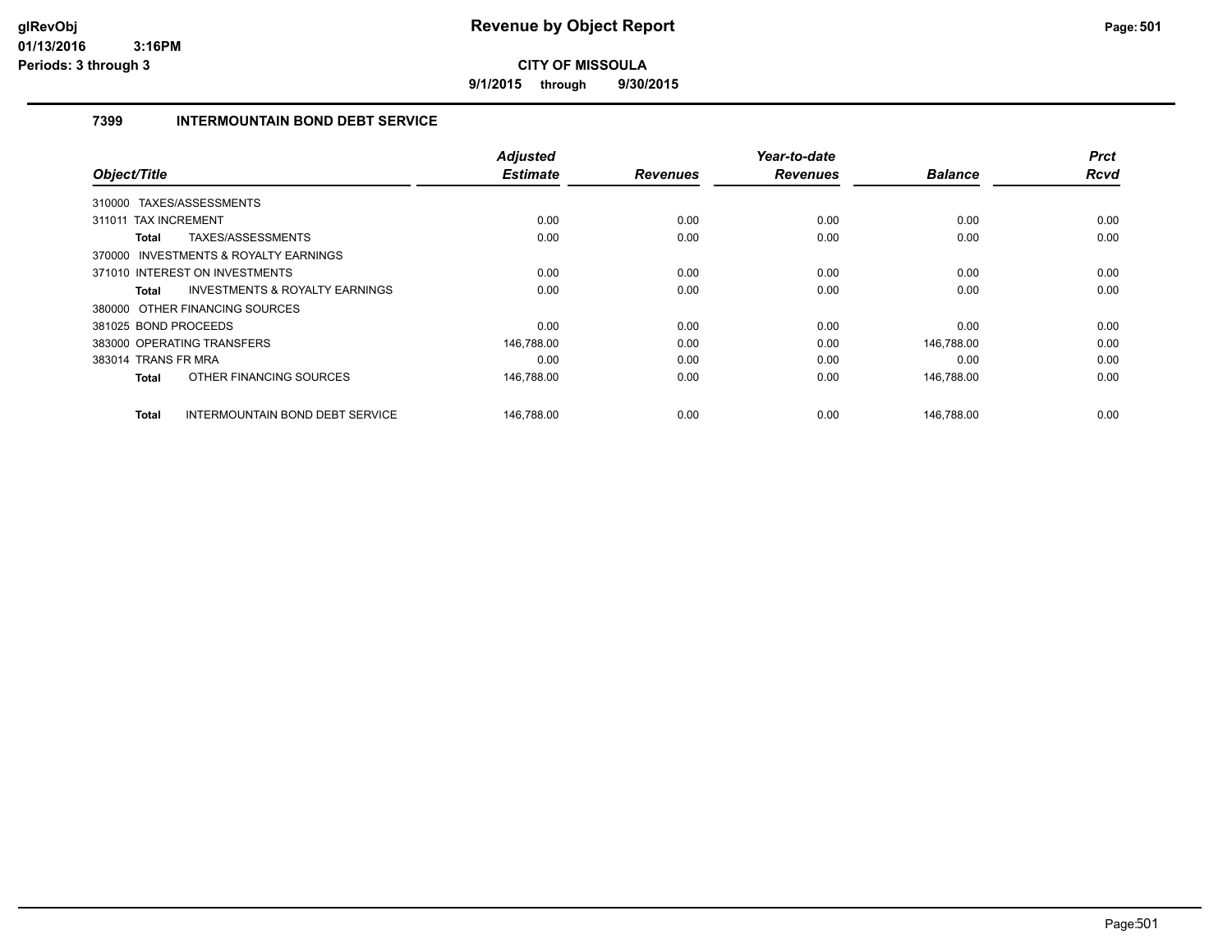**9/1/2015 through 9/30/2015**

## **7399 INTERMOUNTAIN BOND DEBT SERVICE**

| Object/Title         |                                           | <b>Adjusted</b><br><b>Estimate</b> |                 | Year-to-date<br><b>Revenues</b> | <b>Balance</b> | <b>Prct</b><br><b>Rcvd</b> |
|----------------------|-------------------------------------------|------------------------------------|-----------------|---------------------------------|----------------|----------------------------|
|                      |                                           |                                    | <b>Revenues</b> |                                 |                |                            |
|                      | 310000 TAXES/ASSESSMENTS                  |                                    |                 |                                 |                |                            |
| 311011               | <b>TAX INCREMENT</b>                      | 0.00                               | 0.00            | 0.00                            | 0.00           | 0.00                       |
| Total                | TAXES/ASSESSMENTS                         | 0.00                               | 0.00            | 0.00                            | 0.00           | 0.00                       |
|                      | 370000 INVESTMENTS & ROYALTY EARNINGS     |                                    |                 |                                 |                |                            |
|                      | 371010 INTEREST ON INVESTMENTS            | 0.00                               | 0.00            | 0.00                            | 0.00           | 0.00                       |
| Total                | <b>INVESTMENTS &amp; ROYALTY EARNINGS</b> | 0.00                               | 0.00            | 0.00                            | 0.00           | 0.00                       |
|                      | 380000 OTHER FINANCING SOURCES            |                                    |                 |                                 |                |                            |
| 381025 BOND PROCEEDS |                                           | 0.00                               | 0.00            | 0.00                            | 0.00           | 0.00                       |
|                      | 383000 OPERATING TRANSFERS                | 146,788.00                         | 0.00            | 0.00                            | 146,788.00     | 0.00                       |
| 383014 TRANS FR MRA  |                                           | 0.00                               | 0.00            | 0.00                            | 0.00           | 0.00                       |
| Total                | OTHER FINANCING SOURCES                   | 146,788.00                         | 0.00            | 0.00                            | 146,788.00     | 0.00                       |
| <b>Total</b>         | INTERMOUNTAIN BOND DEBT SERVICE           | 146,788.00                         | 0.00            | 0.00                            | 146,788.00     | 0.00                       |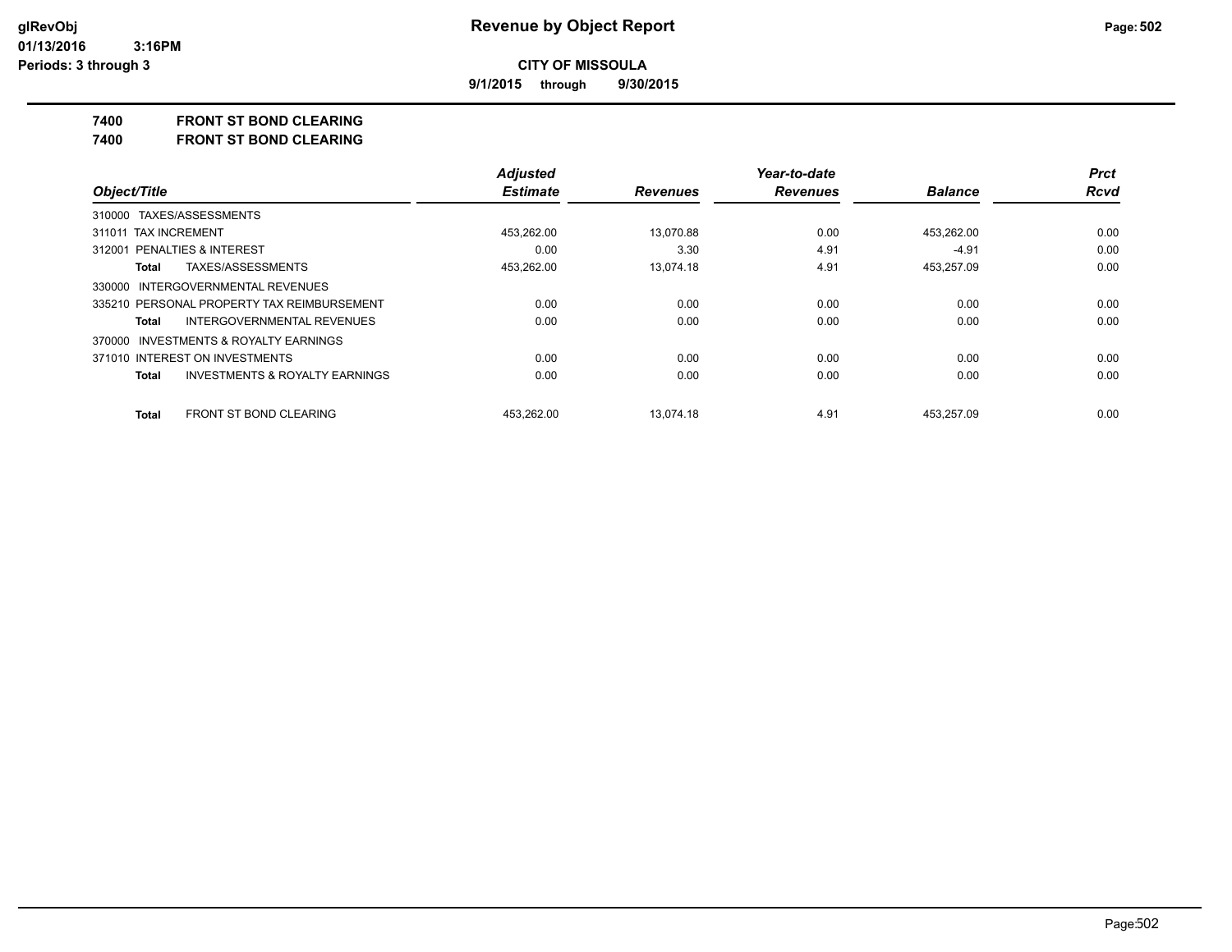**9/1/2015 through 9/30/2015**

#### **7400 FRONT ST BOND CLEARING**

**7400 FRONT ST BOND CLEARING**

|                                                    | <b>Adjusted</b> |                 | Year-to-date    |                | <b>Prct</b> |
|----------------------------------------------------|-----------------|-----------------|-----------------|----------------|-------------|
| Object/Title                                       | <b>Estimate</b> | <b>Revenues</b> | <b>Revenues</b> | <b>Balance</b> | <b>Rcvd</b> |
| 310000 TAXES/ASSESSMENTS                           |                 |                 |                 |                |             |
| 311011 TAX INCREMENT                               | 453.262.00      | 13.070.88       | 0.00            | 453.262.00     | 0.00        |
| 312001 PENALTIES & INTEREST                        | 0.00            | 3.30            | 4.91            | $-4.91$        | 0.00        |
| TAXES/ASSESSMENTS<br><b>Total</b>                  | 453,262.00      | 13.074.18       | 4.91            | 453,257.09     | 0.00        |
| 330000 INTERGOVERNMENTAL REVENUES                  |                 |                 |                 |                |             |
| 335210 PERSONAL PROPERTY TAX REIMBURSEMENT         | 0.00            | 0.00            | 0.00            | 0.00           | 0.00        |
| INTERGOVERNMENTAL REVENUES<br>Total                | 0.00            | 0.00            | 0.00            | 0.00           | 0.00        |
| 370000 INVESTMENTS & ROYALTY EARNINGS              |                 |                 |                 |                |             |
| 371010 INTEREST ON INVESTMENTS                     | 0.00            | 0.00            | 0.00            | 0.00           | 0.00        |
| <b>INVESTMENTS &amp; ROYALTY EARNINGS</b><br>Total | 0.00            | 0.00            | 0.00            | 0.00           | 0.00        |
| FRONT ST BOND CLEARING<br><b>Total</b>             | 453.262.00      | 13.074.18       | 4.91            | 453.257.09     | 0.00        |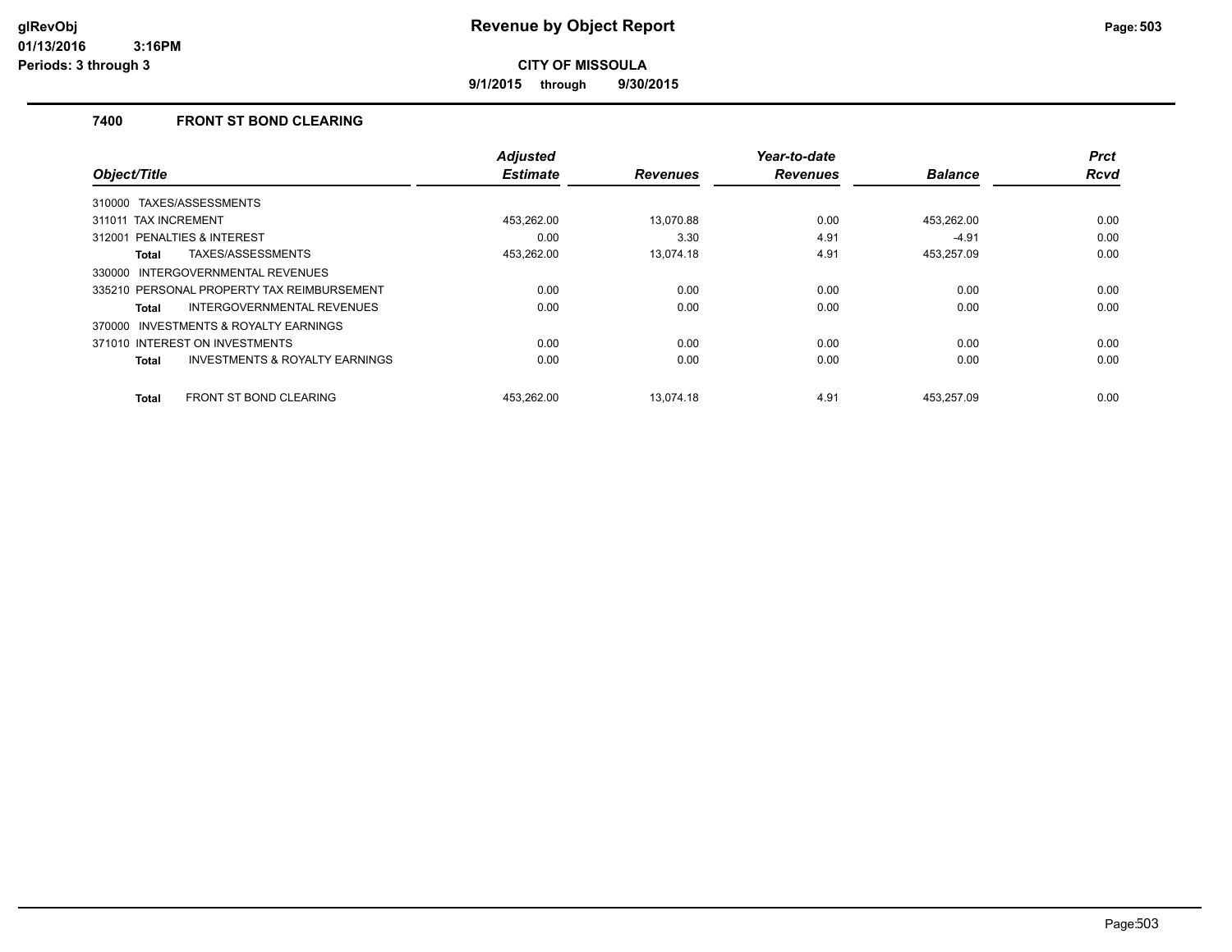**9/1/2015 through 9/30/2015**

## **7400 FRONT ST BOND CLEARING**

|                                                    | <b>Adjusted</b> |                 | Year-to-date    |                | <b>Prct</b> |
|----------------------------------------------------|-----------------|-----------------|-----------------|----------------|-------------|
| Object/Title                                       | <b>Estimate</b> | <b>Revenues</b> | <b>Revenues</b> | <b>Balance</b> | Rcvd        |
| 310000 TAXES/ASSESSMENTS                           |                 |                 |                 |                |             |
| 311011 TAX INCREMENT                               | 453,262.00      | 13.070.88       | 0.00            | 453,262.00     | 0.00        |
| 312001 PENALTIES & INTEREST                        | 0.00            | 3.30            | 4.91            | $-4.91$        | 0.00        |
| TAXES/ASSESSMENTS<br>Total                         | 453,262.00      | 13,074.18       | 4.91            | 453,257.09     | 0.00        |
| INTERGOVERNMENTAL REVENUES<br>330000               |                 |                 |                 |                |             |
| 335210 PERSONAL PROPERTY TAX REIMBURSEMENT         | 0.00            | 0.00            | 0.00            | 0.00           | 0.00        |
| INTERGOVERNMENTAL REVENUES<br>Total                | 0.00            | 0.00            | 0.00            | 0.00           | 0.00        |
| INVESTMENTS & ROYALTY EARNINGS<br>370000           |                 |                 |                 |                |             |
| 371010 INTEREST ON INVESTMENTS                     | 0.00            | 0.00            | 0.00            | 0.00           | 0.00        |
| <b>INVESTMENTS &amp; ROYALTY EARNINGS</b><br>Total | 0.00            | 0.00            | 0.00            | 0.00           | 0.00        |
| <b>FRONT ST BOND CLEARING</b><br><b>Total</b>      | 453,262.00      | 13.074.18       | 4.91            | 453,257.09     | 0.00        |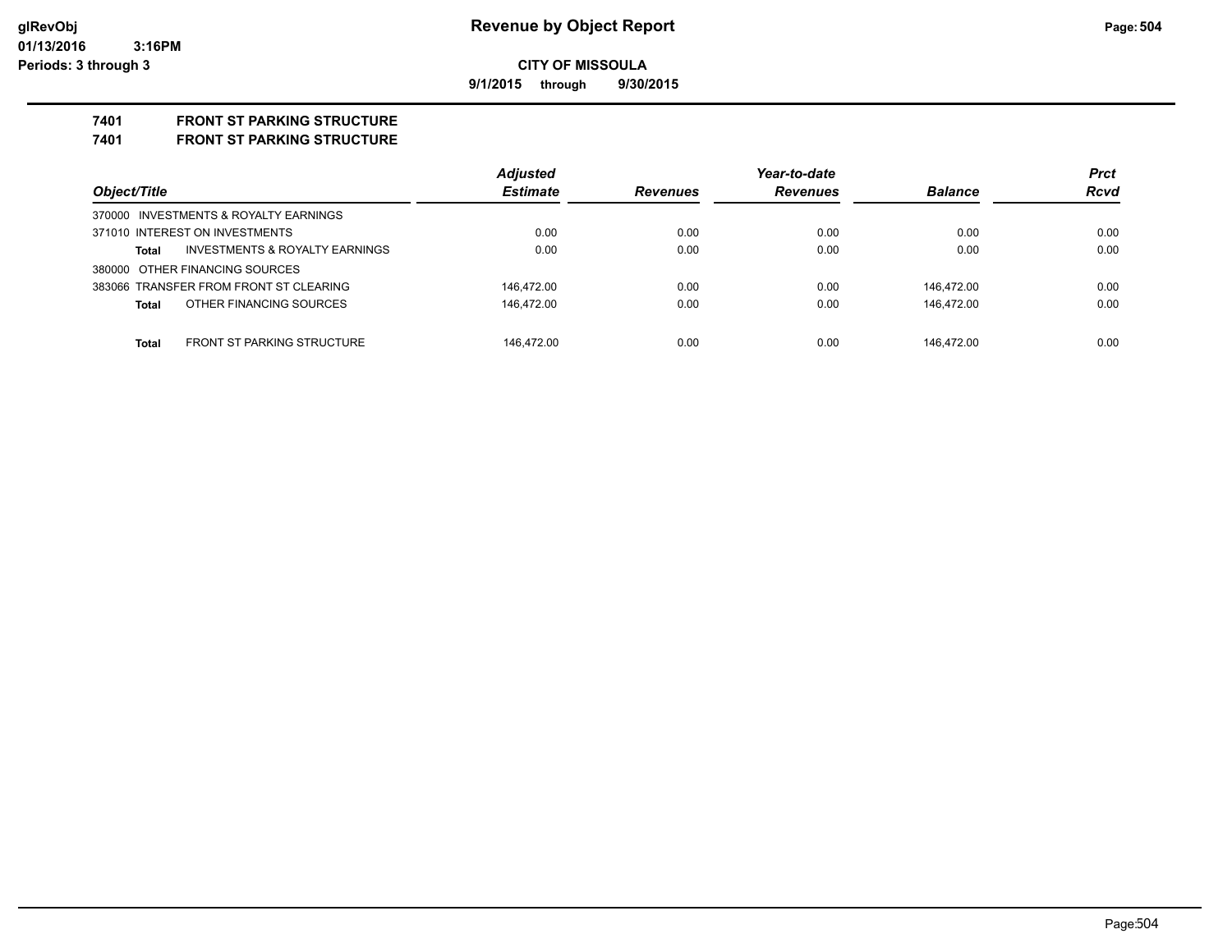**9/1/2015 through 9/30/2015**

# **7401 FRONT ST PARKING STRUCTURE**

**7401 FRONT ST PARKING STRUCTURE**

| Object/Title                                       | <b>Adjusted</b><br><b>Estimate</b> | Year-to-date    |                 |                | <b>Prct</b> |
|----------------------------------------------------|------------------------------------|-----------------|-----------------|----------------|-------------|
|                                                    |                                    | <b>Revenues</b> | <b>Revenues</b> | <b>Balance</b> | <b>Rcvd</b> |
| 370000 INVESTMENTS & ROYALTY EARNINGS              |                                    |                 |                 |                |             |
| 371010 INTEREST ON INVESTMENTS                     | 0.00                               | 0.00            | 0.00            | 0.00           | 0.00        |
| <b>INVESTMENTS &amp; ROYALTY EARNINGS</b><br>Total | 0.00                               | 0.00            | 0.00            | 0.00           | 0.00        |
| 380000 OTHER FINANCING SOURCES                     |                                    |                 |                 |                |             |
| 383066 TRANSFER FROM FRONT ST CLEARING             | 146.472.00                         | 0.00            | 0.00            | 146.472.00     | 0.00        |
| OTHER FINANCING SOURCES<br>Total                   | 146.472.00                         | 0.00            | 0.00            | 146.472.00     | 0.00        |
|                                                    |                                    |                 |                 |                |             |
| <b>FRONT ST PARKING STRUCTURE</b><br>Total         | 146.472.00                         | 0.00            | 0.00            | 146.472.00     | 0.00        |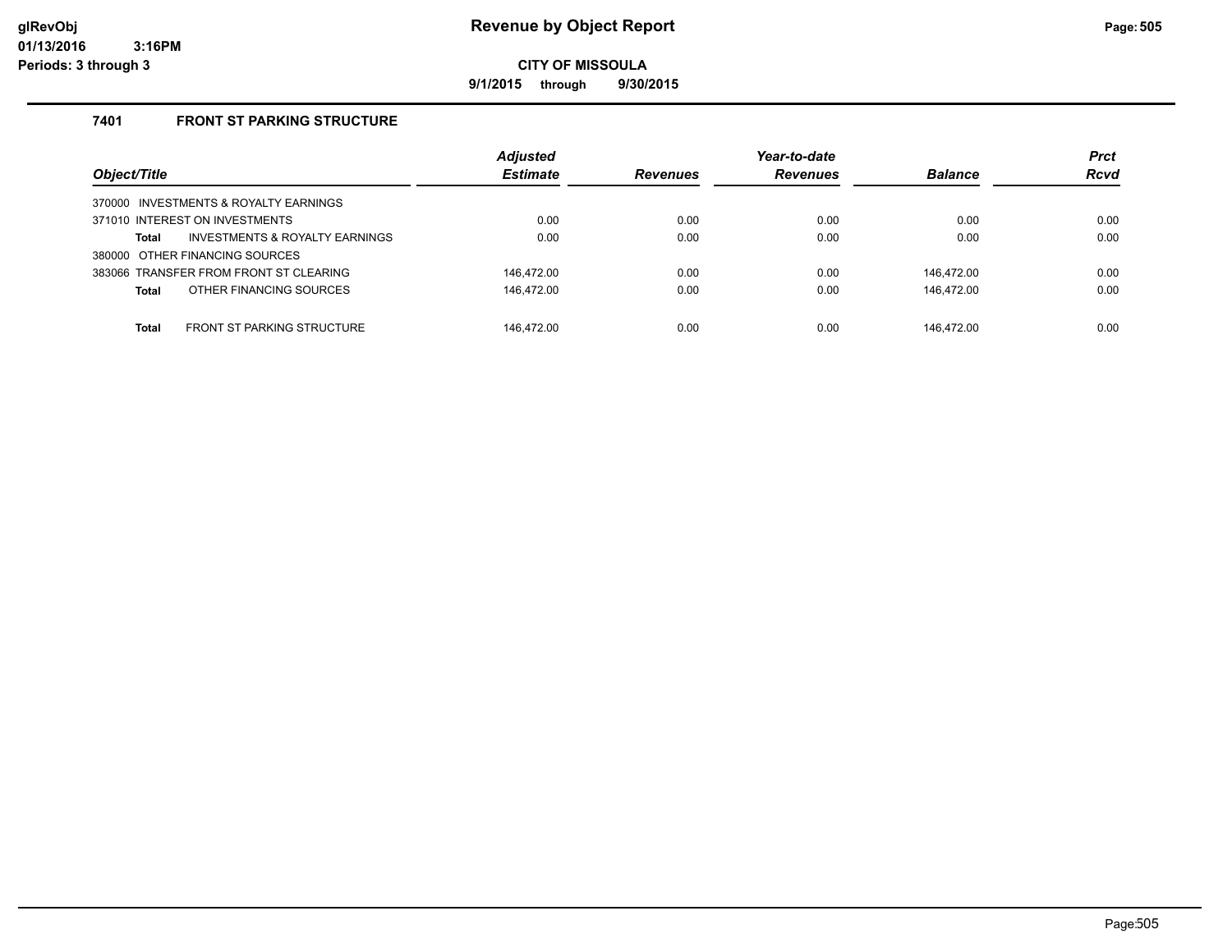**9/1/2015 through 9/30/2015**

#### **7401 FRONT ST PARKING STRUCTURE**

| Object/Title                                       | <b>Adjusted</b><br><b>Estimate</b> | <b>Revenues</b> | Year-to-date<br><b>Revenues</b> | <b>Balance</b> | <b>Prct</b><br><b>Rcvd</b> |
|----------------------------------------------------|------------------------------------|-----------------|---------------------------------|----------------|----------------------------|
| 370000 INVESTMENTS & ROYALTY EARNINGS              |                                    |                 |                                 |                |                            |
| 371010 INTEREST ON INVESTMENTS                     | 0.00                               | 0.00            | 0.00                            | 0.00           | 0.00                       |
| <b>INVESTMENTS &amp; ROYALTY EARNINGS</b><br>Total | 0.00                               | 0.00            | 0.00                            | 0.00           | 0.00                       |
| 380000 OTHER FINANCING SOURCES                     |                                    |                 |                                 |                |                            |
| 383066 TRANSFER FROM FRONT ST CLEARING             | 146.472.00                         | 0.00            | 0.00                            | 146.472.00     | 0.00                       |
| OTHER FINANCING SOURCES<br>Total                   | 146,472.00                         | 0.00            | 0.00                            | 146,472.00     | 0.00                       |
|                                                    |                                    |                 |                                 |                |                            |
| <b>FRONT ST PARKING STRUCTURE</b><br>Total         | 146.472.00                         | 0.00            | 0.00                            | 146.472.00     | 0.00                       |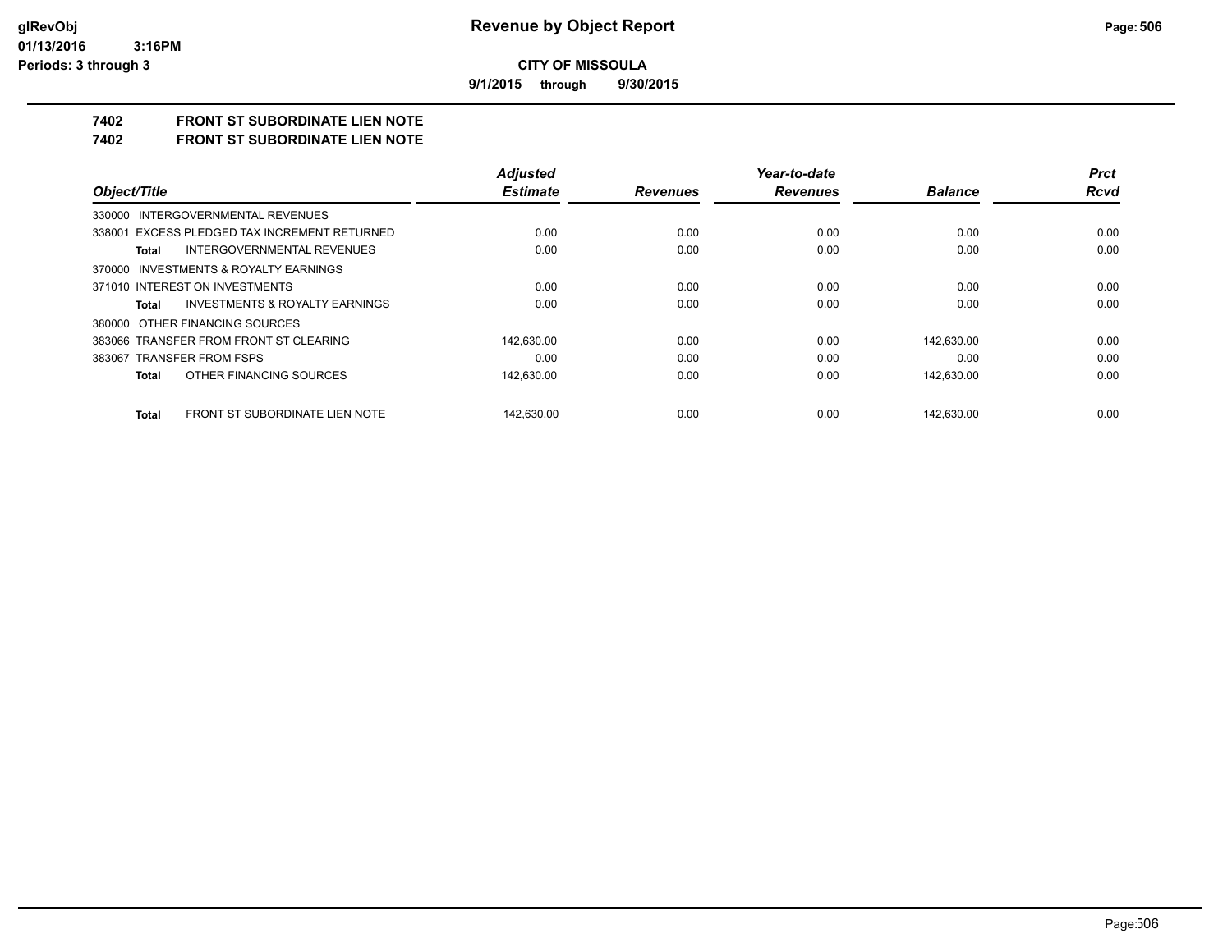**9/1/2015 through 9/30/2015**

## **7402 FRONT ST SUBORDINATE LIEN NOTE**

**7402 FRONT ST SUBORDINATE LIEN NOTE**

|                                                    | <b>Adjusted</b> |                 | Year-to-date    |                | <b>Prct</b> |
|----------------------------------------------------|-----------------|-----------------|-----------------|----------------|-------------|
| Object/Title                                       | <b>Estimate</b> | <b>Revenues</b> | <b>Revenues</b> | <b>Balance</b> | Rcvd        |
| 330000 INTERGOVERNMENTAL REVENUES                  |                 |                 |                 |                |             |
| 338001 EXCESS PLEDGED TAX INCREMENT RETURNED       | 0.00            | 0.00            | 0.00            | 0.00           | 0.00        |
| <b>INTERGOVERNMENTAL REVENUES</b><br>Total         | 0.00            | 0.00            | 0.00            | 0.00           | 0.00        |
| 370000 INVESTMENTS & ROYALTY EARNINGS              |                 |                 |                 |                |             |
| 371010 INTEREST ON INVESTMENTS                     | 0.00            | 0.00            | 0.00            | 0.00           | 0.00        |
| <b>INVESTMENTS &amp; ROYALTY EARNINGS</b><br>Total | 0.00            | 0.00            | 0.00            | 0.00           | 0.00        |
| 380000 OTHER FINANCING SOURCES                     |                 |                 |                 |                |             |
| 383066 TRANSFER FROM FRONT ST CLEARING             | 142.630.00      | 0.00            | 0.00            | 142.630.00     | 0.00        |
| 383067 TRANSFER FROM FSPS                          | 0.00            | 0.00            | 0.00            | 0.00           | 0.00        |
| OTHER FINANCING SOURCES<br>Total                   | 142,630.00      | 0.00            | 0.00            | 142,630.00     | 0.00        |
| FRONT ST SUBORDINATE LIEN NOTE<br>Total            | 142.630.00      | 0.00            | 0.00            | 142.630.00     | 0.00        |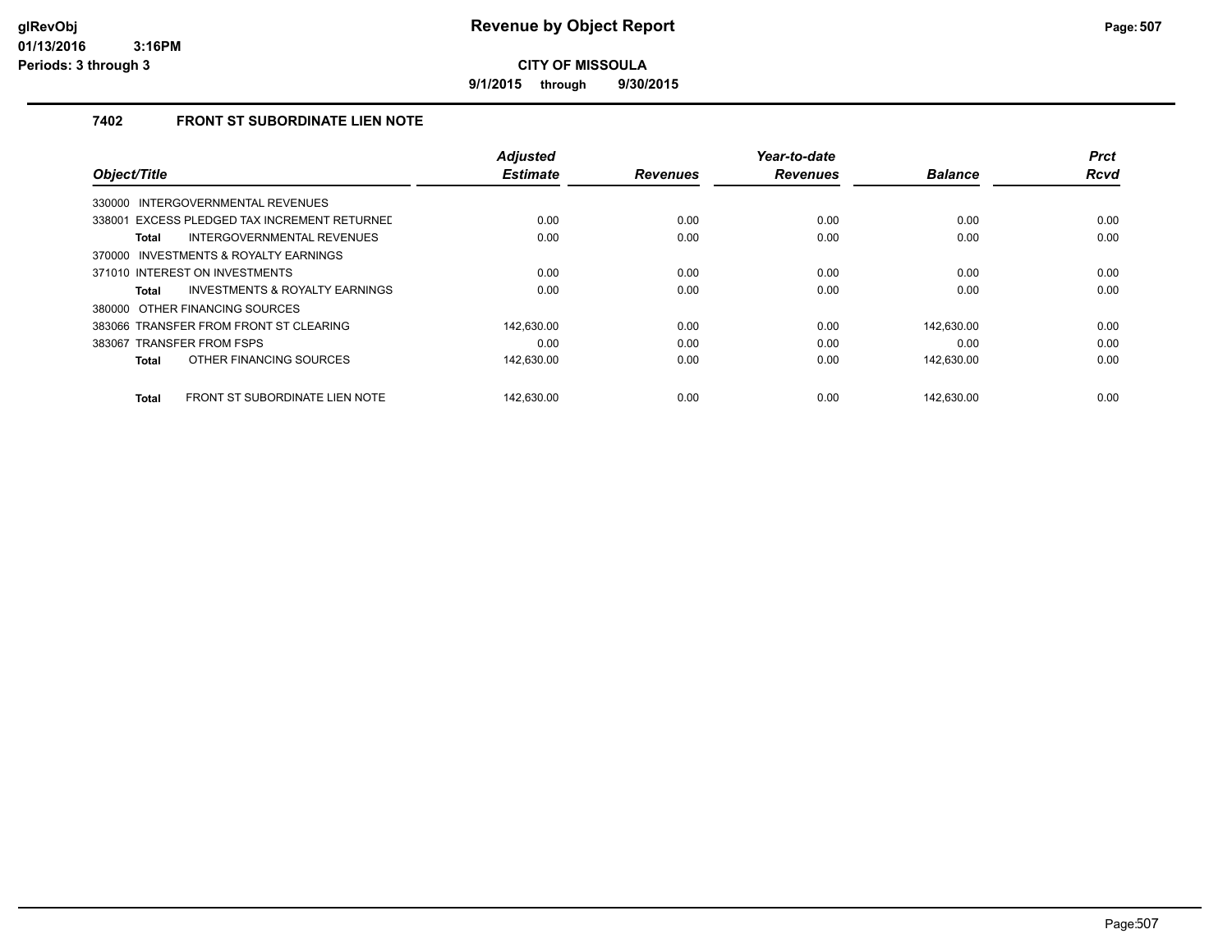**9/1/2015 through 9/30/2015**

### **7402 FRONT ST SUBORDINATE LIEN NOTE**

|                                                | <b>Adjusted</b> |                 | Year-to-date    |                | <b>Prct</b> |
|------------------------------------------------|-----------------|-----------------|-----------------|----------------|-------------|
| Object/Title                                   | <b>Estimate</b> | <b>Revenues</b> | <b>Revenues</b> | <b>Balance</b> | <b>Rcvd</b> |
| INTERGOVERNMENTAL REVENUES<br>330000           |                 |                 |                 |                |             |
| 338001 EXCESS PLEDGED TAX INCREMENT RETURNEL   | 0.00            | 0.00            | 0.00            | 0.00           | 0.00        |
| INTERGOVERNMENTAL REVENUES<br>Total            | 0.00            | 0.00            | 0.00            | 0.00           | 0.00        |
| INVESTMENTS & ROYALTY EARNINGS<br>370000       |                 |                 |                 |                |             |
| 371010 INTEREST ON INVESTMENTS                 | 0.00            | 0.00            | 0.00            | 0.00           | 0.00        |
| INVESTMENTS & ROYALTY EARNINGS<br>Total        | 0.00            | 0.00            | 0.00            | 0.00           | 0.00        |
| 380000 OTHER FINANCING SOURCES                 |                 |                 |                 |                |             |
| 383066 TRANSFER FROM FRONT ST CLEARING         | 142.630.00      | 0.00            | 0.00            | 142.630.00     | 0.00        |
| 383067 TRANSFER FROM FSPS                      | 0.00            | 0.00            | 0.00            | 0.00           | 0.00        |
| OTHER FINANCING SOURCES<br><b>Total</b>        | 142,630.00      | 0.00            | 0.00            | 142,630.00     | 0.00        |
|                                                |                 |                 |                 |                |             |
| FRONT ST SUBORDINATE LIEN NOTE<br><b>Total</b> | 142.630.00      | 0.00            | 0.00            | 142.630.00     | 0.00        |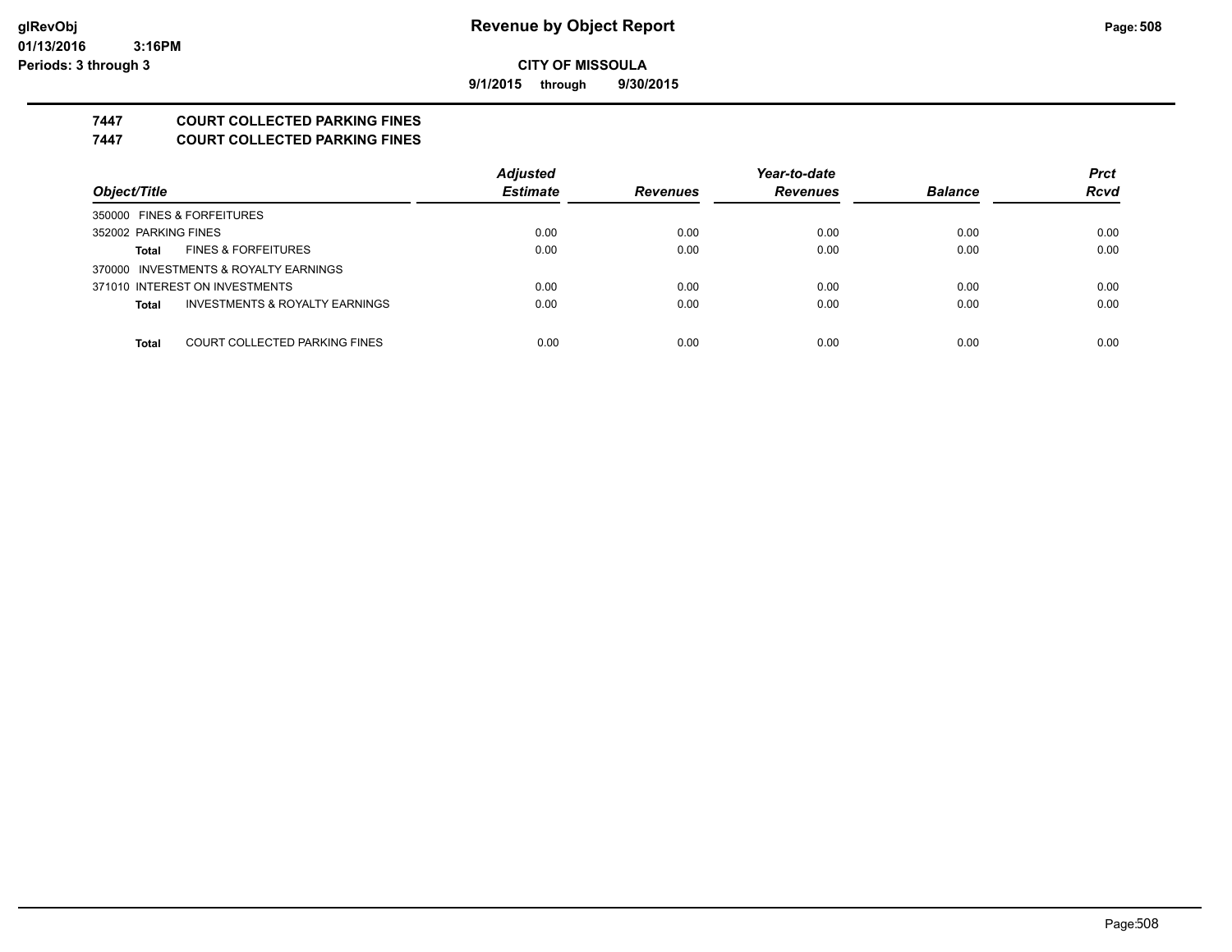**9/1/2015 through 9/30/2015**

## **7447 COURT COLLECTED PARKING FINES**

**7447 COURT COLLECTED PARKING FINES**

|                                               | <b>Adjusted</b> |                 | Year-to-date    |                | <b>Prct</b> |
|-----------------------------------------------|-----------------|-----------------|-----------------|----------------|-------------|
| Object/Title                                  | <b>Estimate</b> | <b>Revenues</b> | <b>Revenues</b> | <b>Balance</b> | <b>Rcvd</b> |
| 350000 FINES & FORFEITURES                    |                 |                 |                 |                |             |
| 352002 PARKING FINES                          | 0.00            | 0.00            | 0.00            | 0.00           | 0.00        |
| <b>FINES &amp; FORFEITURES</b><br>Total       | 0.00            | 0.00            | 0.00            | 0.00           | 0.00        |
| 370000 INVESTMENTS & ROYALTY EARNINGS         |                 |                 |                 |                |             |
| 371010 INTEREST ON INVESTMENTS                | 0.00            | 0.00            | 0.00            | 0.00           | 0.00        |
| INVESTMENTS & ROYALTY EARNINGS<br>Total       | 0.00            | 0.00            | 0.00            | 0.00           | 0.00        |
|                                               |                 |                 |                 |                |             |
| <b>COURT COLLECTED PARKING FINES</b><br>Total | 0.00            | 0.00            | 0.00            | 0.00           | 0.00        |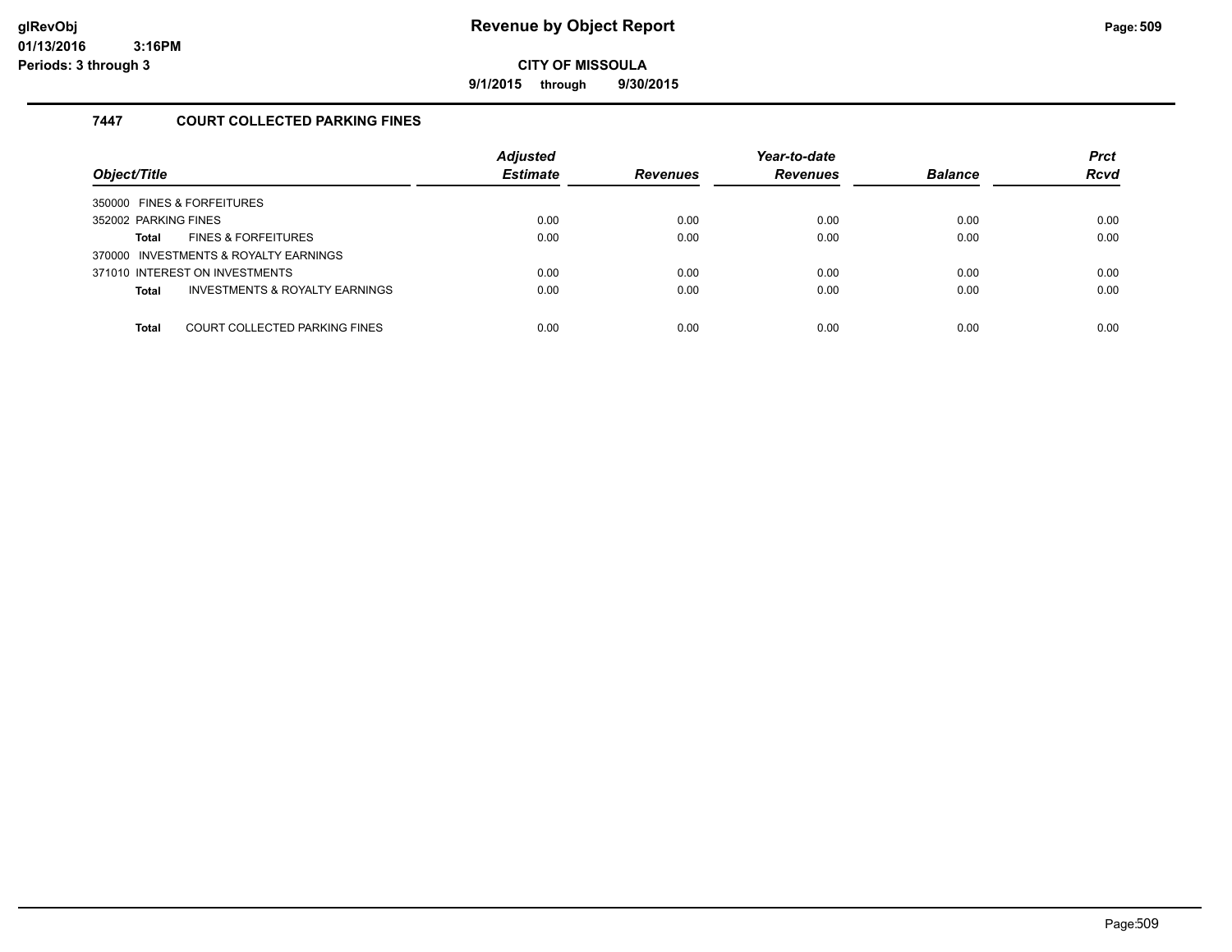**9/1/2015 through 9/30/2015**

#### **7447 COURT COLLECTED PARKING FINES**

| Object/Title                                              | <b>Adjusted</b><br><b>Estimate</b> | <b>Revenues</b> | Year-to-date<br><b>Revenues</b> | <b>Balance</b> | <b>Prct</b><br><b>Rcvd</b> |
|-----------------------------------------------------------|------------------------------------|-----------------|---------------------------------|----------------|----------------------------|
| 350000 FINES & FORFEITURES                                |                                    |                 |                                 |                |                            |
| 352002 PARKING FINES                                      | 0.00                               | 0.00            | 0.00                            | 0.00           | 0.00                       |
| <b>FINES &amp; FORFEITURES</b><br>Total                   | 0.00                               | 0.00            | 0.00                            | 0.00           | 0.00                       |
| 370000 INVESTMENTS & ROYALTY EARNINGS                     |                                    |                 |                                 |                |                            |
| 371010 INTEREST ON INVESTMENTS                            | 0.00                               | 0.00            | 0.00                            | 0.00           | 0.00                       |
| <b>INVESTMENTS &amp; ROYALTY EARNINGS</b><br><b>Total</b> | 0.00                               | 0.00            | 0.00                            | 0.00           | 0.00                       |
|                                                           |                                    |                 |                                 |                |                            |
| COURT COLLECTED PARKING FINES<br>Total                    | 0.00                               | 0.00            | 0.00                            | 0.00           | 0.00                       |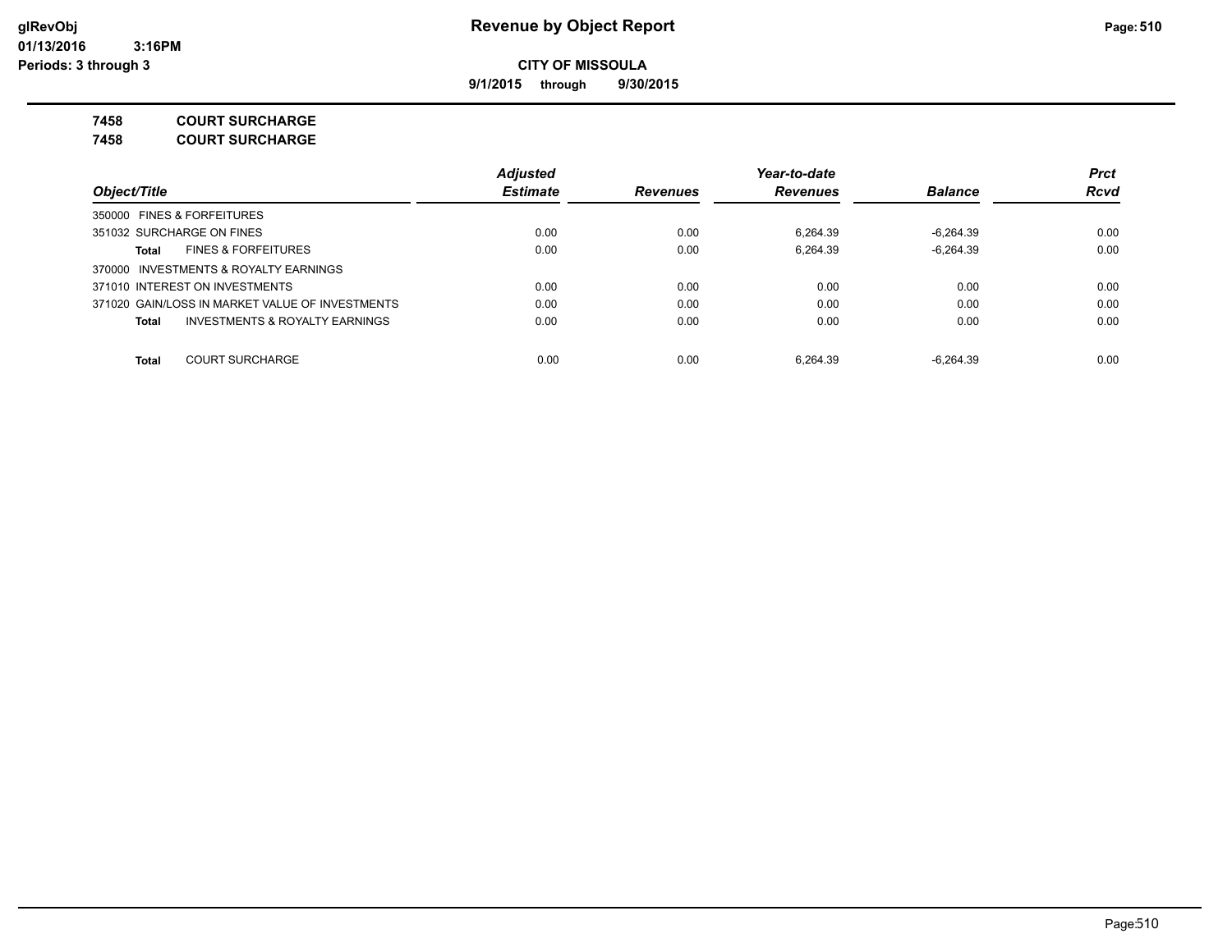**9/1/2015 through 9/30/2015**

**7458 COURT SURCHARGE**

**7458 COURT SURCHARGE**

|                                                    | <b>Adjusted</b> |                 | Year-to-date    |                | <b>Prct</b> |
|----------------------------------------------------|-----------------|-----------------|-----------------|----------------|-------------|
| Object/Title                                       | <b>Estimate</b> | <b>Revenues</b> | <b>Revenues</b> | <b>Balance</b> | <b>Rcvd</b> |
| 350000 FINES & FORFEITURES                         |                 |                 |                 |                |             |
| 351032 SURCHARGE ON FINES                          | 0.00            | 0.00            | 6.264.39        | $-6.264.39$    | 0.00        |
| <b>FINES &amp; FORFEITURES</b><br>Total            | 0.00            | 0.00            | 6.264.39        | $-6.264.39$    | 0.00        |
| 370000 INVESTMENTS & ROYALTY EARNINGS              |                 |                 |                 |                |             |
| 371010 INTEREST ON INVESTMENTS                     | 0.00            | 0.00            | 0.00            | 0.00           | 0.00        |
| 371020 GAIN/LOSS IN MARKET VALUE OF INVESTMENTS    | 0.00            | 0.00            | 0.00            | 0.00           | 0.00        |
| <b>INVESTMENTS &amp; ROYALTY EARNINGS</b><br>Total | 0.00            | 0.00            | 0.00            | 0.00           | 0.00        |
| <b>COURT SURCHARGE</b><br><b>Total</b>             | 0.00            | 0.00            | 6.264.39        | $-6.264.39$    | 0.00        |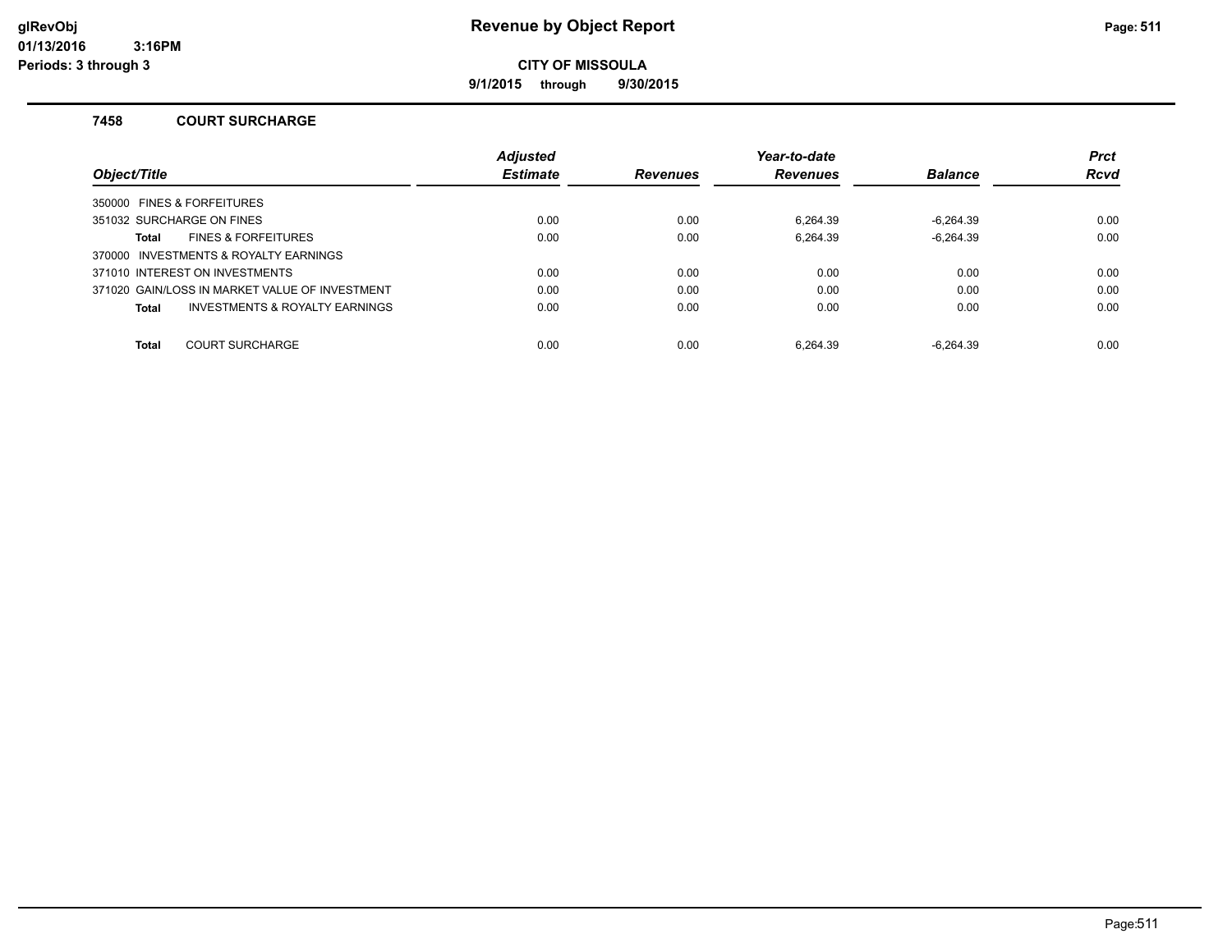**9/1/2015 through 9/30/2015**

#### **7458 COURT SURCHARGE**

|                                                | <b>Adjusted</b> |                 | Year-to-date    |                | <b>Prct</b> |
|------------------------------------------------|-----------------|-----------------|-----------------|----------------|-------------|
| Object/Title                                   | <b>Estimate</b> | <b>Revenues</b> | <b>Revenues</b> | <b>Balance</b> | <b>Rcvd</b> |
| 350000 FINES & FORFEITURES                     |                 |                 |                 |                |             |
| 351032 SURCHARGE ON FINES                      | 0.00            | 0.00            | 6.264.39        | -6.264.39      | 0.00        |
| <b>FINES &amp; FORFEITURES</b><br><b>Total</b> | 0.00            | 0.00            | 6.264.39        | $-6.264.39$    | 0.00        |
| 370000 INVESTMENTS & ROYALTY EARNINGS          |                 |                 |                 |                |             |
| 371010 INTEREST ON INVESTMENTS                 | 0.00            | 0.00            | 0.00            | 0.00           | 0.00        |
| 371020 GAIN/LOSS IN MARKET VALUE OF INVESTMENT | 0.00            | 0.00            | 0.00            | 0.00           | 0.00        |
| INVESTMENTS & ROYALTY EARNINGS<br><b>Total</b> | 0.00            | 0.00            | 0.00            | 0.00           | 0.00        |
| <b>COURT SURCHARGE</b><br><b>Total</b>         | 0.00            | 0.00            | 6.264.39        | $-6.264.39$    | 0.00        |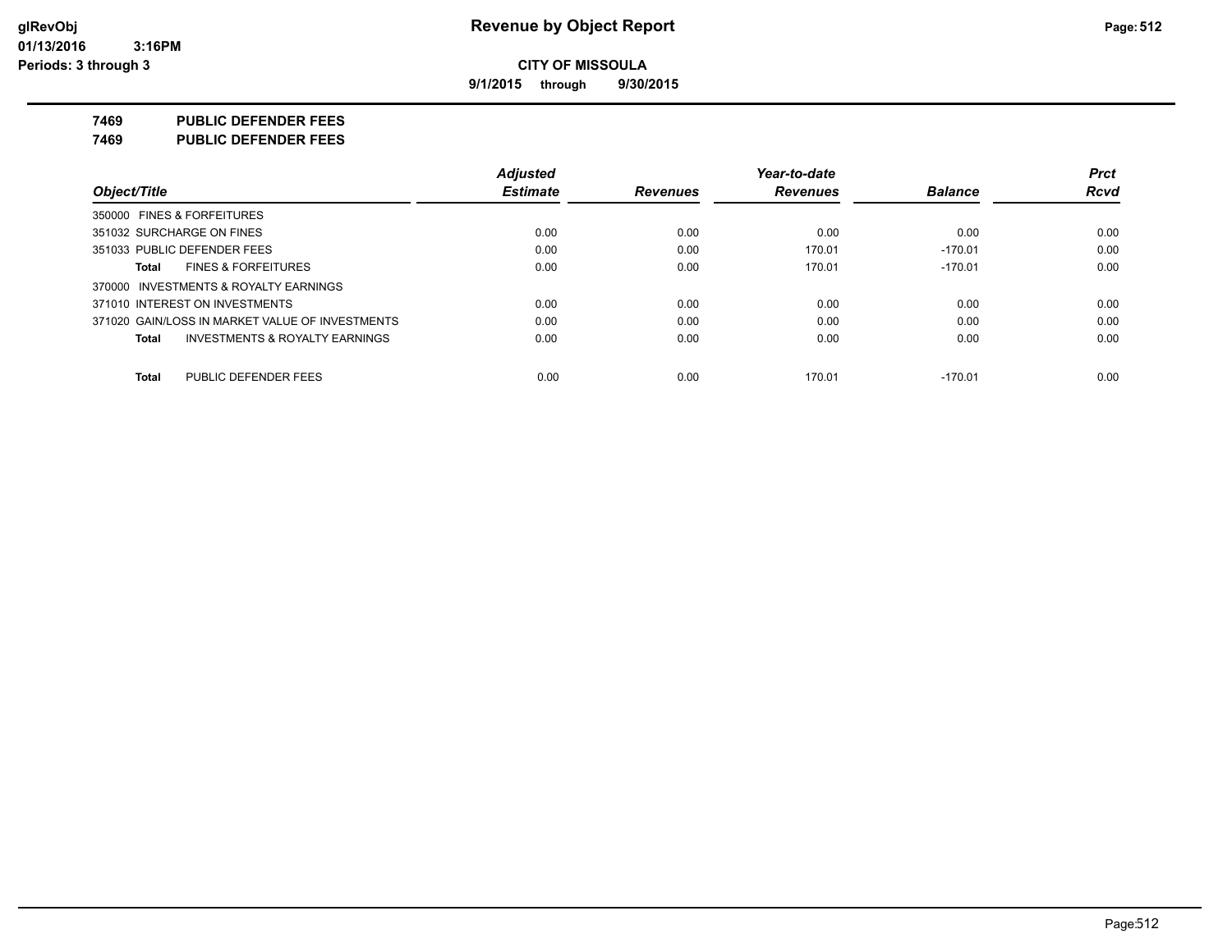**9/1/2015 through 9/30/2015**

**7469 PUBLIC DEFENDER FEES**

**7469 PUBLIC DEFENDER FEES**

|                                                    | <b>Adjusted</b> |                 | Year-to-date    |                | <b>Prct</b> |
|----------------------------------------------------|-----------------|-----------------|-----------------|----------------|-------------|
| Object/Title                                       | <b>Estimate</b> | <b>Revenues</b> | <b>Revenues</b> | <b>Balance</b> | <b>Rcvd</b> |
| 350000 FINES & FORFEITURES                         |                 |                 |                 |                |             |
| 351032 SURCHARGE ON FINES                          | 0.00            | 0.00            | 0.00            | 0.00           | 0.00        |
| 351033 PUBLIC DEFENDER FEES                        | 0.00            | 0.00            | 170.01          | $-170.01$      | 0.00        |
| <b>FINES &amp; FORFEITURES</b><br>Total            | 0.00            | 0.00            | 170.01          | $-170.01$      | 0.00        |
| 370000 INVESTMENTS & ROYALTY EARNINGS              |                 |                 |                 |                |             |
| 371010 INTEREST ON INVESTMENTS                     | 0.00            | 0.00            | 0.00            | 0.00           | 0.00        |
| 371020 GAIN/LOSS IN MARKET VALUE OF INVESTMENTS    | 0.00            | 0.00            | 0.00            | 0.00           | 0.00        |
| <b>INVESTMENTS &amp; ROYALTY EARNINGS</b><br>Total | 0.00            | 0.00            | 0.00            | 0.00           | 0.00        |
| PUBLIC DEFENDER FEES<br>Total                      | 0.00            | 0.00            | 170.01          | $-170.01$      | 0.00        |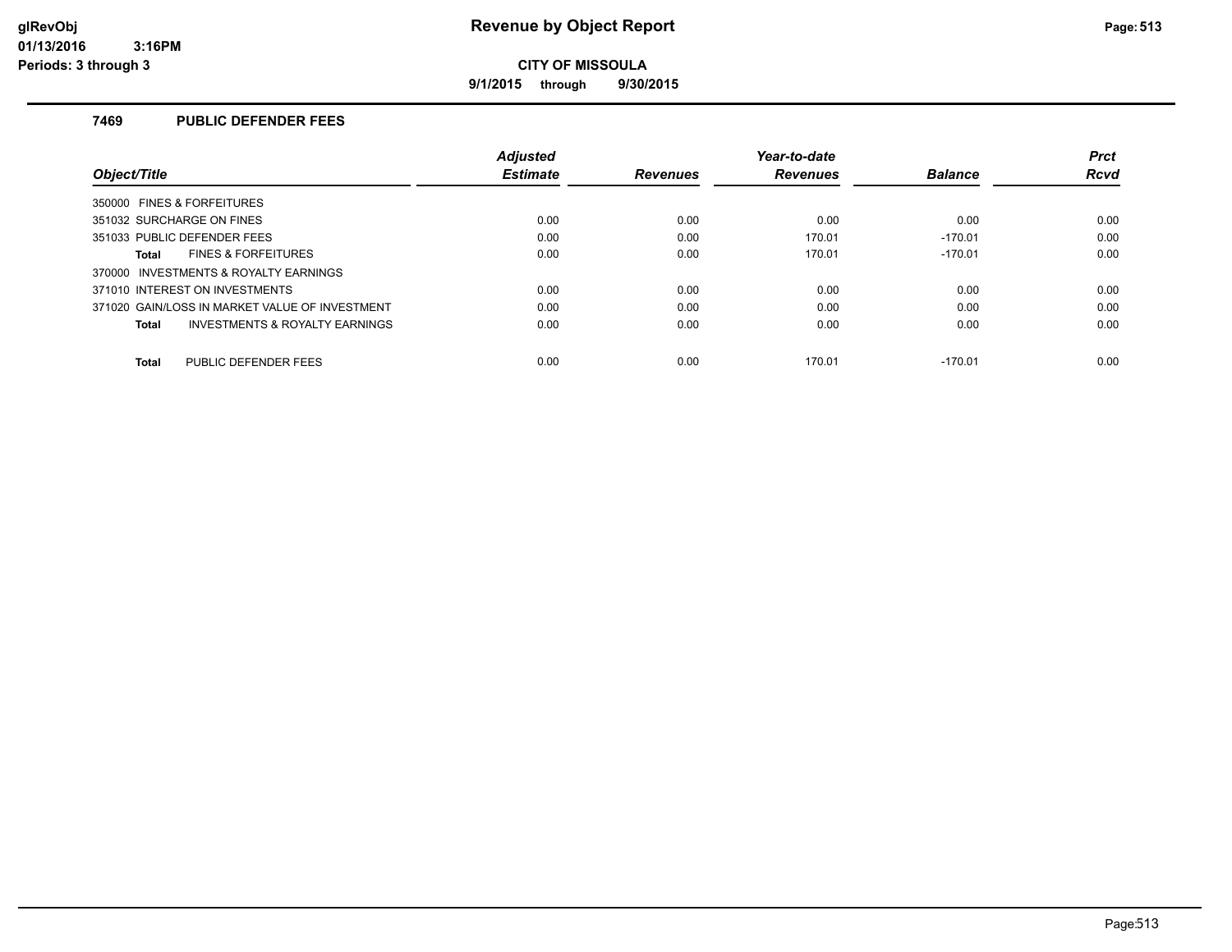**9/1/2015 through 9/30/2015**

#### **7469 PUBLIC DEFENDER FEES**

|                                                | <b>Adjusted</b> |                 | Year-to-date    |                | <b>Prct</b> |
|------------------------------------------------|-----------------|-----------------|-----------------|----------------|-------------|
| Object/Title                                   | <b>Estimate</b> | <b>Revenues</b> | <b>Revenues</b> | <b>Balance</b> | Rcvd        |
| 350000 FINES & FORFEITURES                     |                 |                 |                 |                |             |
| 351032 SURCHARGE ON FINES                      | 0.00            | 0.00            | 0.00            | 0.00           | 0.00        |
| 351033 PUBLIC DEFENDER FEES                    | 0.00            | 0.00            | 170.01          | $-170.01$      | 0.00        |
| <b>FINES &amp; FORFEITURES</b><br>Total        | 0.00            | 0.00            | 170.01          | $-170.01$      | 0.00        |
| 370000 INVESTMENTS & ROYALTY EARNINGS          |                 |                 |                 |                |             |
| 371010 INTEREST ON INVESTMENTS                 | 0.00            | 0.00            | 0.00            | 0.00           | 0.00        |
| 371020 GAIN/LOSS IN MARKET VALUE OF INVESTMENT | 0.00            | 0.00            | 0.00            | 0.00           | 0.00        |
| INVESTMENTS & ROYALTY EARNINGS<br>Total        | 0.00            | 0.00            | 0.00            | 0.00           | 0.00        |
| PUBLIC DEFENDER FEES<br><b>Total</b>           | 0.00            | 0.00            | 170.01          | $-170.01$      | 0.00        |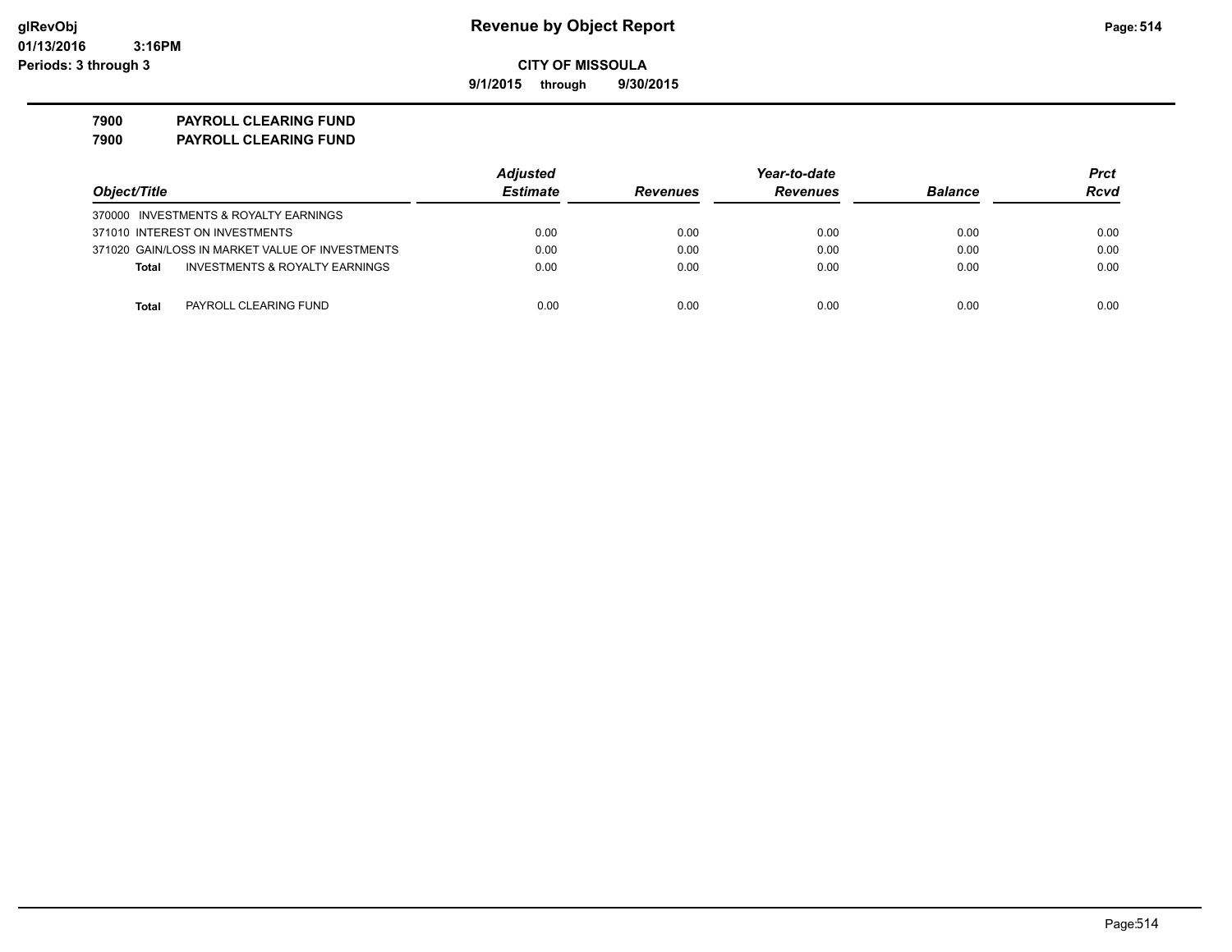**9/1/2015 through 9/30/2015**

**7900 PAYROLL CLEARING FUND 7900 PAYROLL CLEARING FUND**

|                                                 | <b>Adjusted</b> |                 | Year-to-date    |                | Prct |  |
|-------------------------------------------------|-----------------|-----------------|-----------------|----------------|------|--|
| Object/Title                                    | <b>Estimate</b> | <b>Revenues</b> | <b>Revenues</b> | <b>Balance</b> | Rcvd |  |
| 370000 INVESTMENTS & ROYALTY EARNINGS           |                 |                 |                 |                |      |  |
| 371010 INTEREST ON INVESTMENTS                  | 0.00            | 0.00            | 0.00            | 0.00           | 0.00 |  |
| 371020 GAIN/LOSS IN MARKET VALUE OF INVESTMENTS | 0.00            | 0.00            | 0.00            | 0.00           | 0.00 |  |
| INVESTMENTS & ROYALTY EARNINGS<br><b>Total</b>  | 0.00            | 0.00            | 0.00            | 0.00           | 0.00 |  |
|                                                 |                 |                 |                 |                |      |  |
| PAYROLL CLEARING FUND<br>Total                  | 0.00            | 0.00            | 0.00            | 0.00           | 0.00 |  |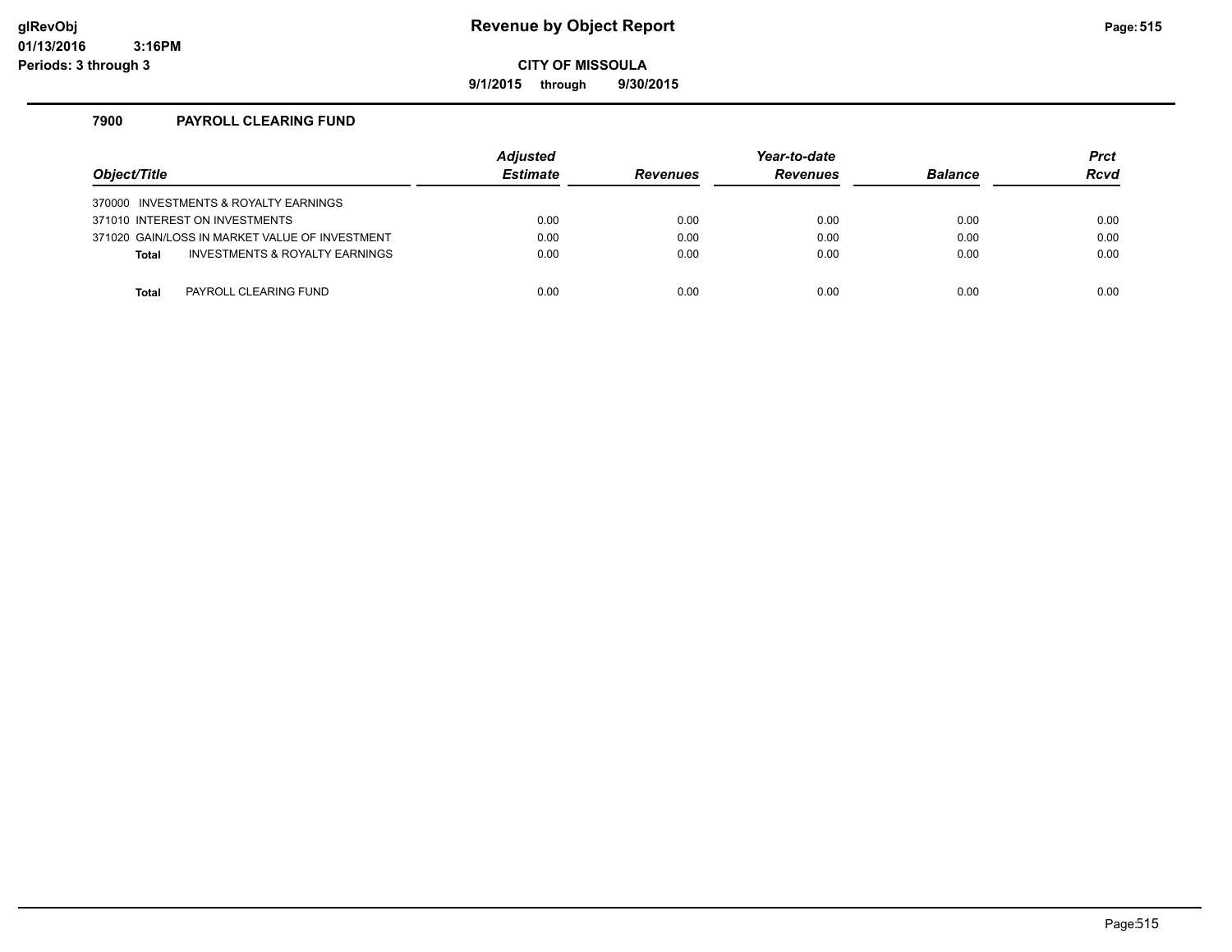### **glRevObj Revenue by Object Report Page:515**

**CITY OF MISSOULA**

**9/1/2015 through 9/30/2015**

#### **7900 PAYROLL CLEARING FUND**

| Object/Title |                                                | <b>Adjusted</b><br><b>Estimate</b> | <b>Revenues</b> | Year-to-date<br><b>Revenues</b> | <b>Balance</b> | <b>Prct</b><br><b>Rcvd</b> |
|--------------|------------------------------------------------|------------------------------------|-----------------|---------------------------------|----------------|----------------------------|
|              | 370000 INVESTMENTS & ROYALTY EARNINGS          |                                    |                 |                                 |                |                            |
|              | 371010 INTEREST ON INVESTMENTS                 | 0.00                               | 0.00            | 0.00                            | 0.00           | 0.00                       |
|              | 371020 GAIN/LOSS IN MARKET VALUE OF INVESTMENT | 0.00                               | 0.00            | 0.00                            | 0.00           | 0.00                       |
| <b>Total</b> | INVESTMENTS & ROYALTY EARNINGS                 | 0.00                               | 0.00            | 0.00                            | 0.00           | 0.00                       |
|              |                                                |                                    |                 |                                 |                |                            |
| Total        | PAYROLL CLEARING FUND                          | 0.00                               | 0.00            | 0.00                            | 0.00           | 0.00                       |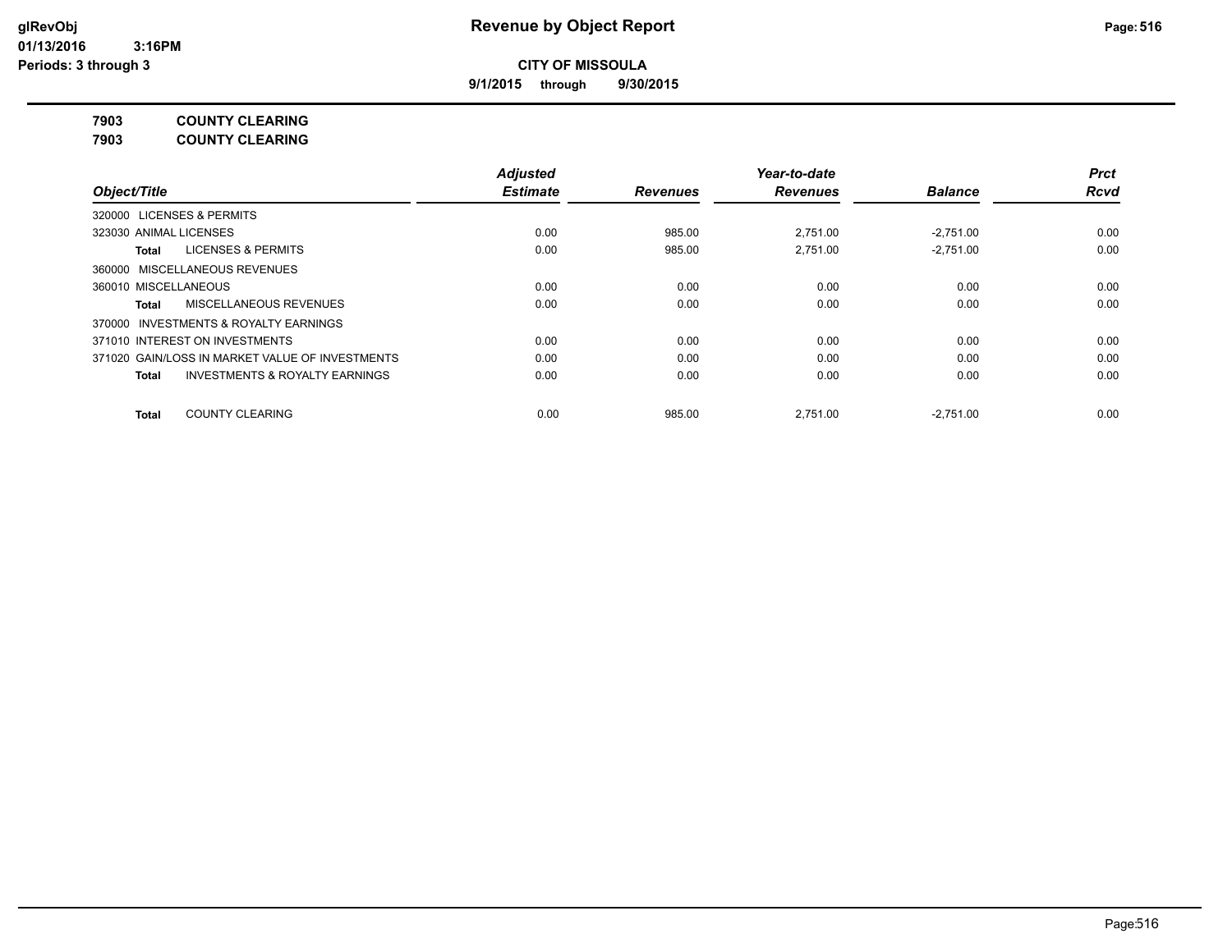**9/1/2015 through 9/30/2015**

**7903 COUNTY CLEARING**

**7903 COUNTY CLEARING**

|                                                           | <b>Adjusted</b> |                 | Year-to-date    |                | <b>Prct</b> |
|-----------------------------------------------------------|-----------------|-----------------|-----------------|----------------|-------------|
| Object/Title                                              | <b>Estimate</b> | <b>Revenues</b> | <b>Revenues</b> | <b>Balance</b> | <b>Rcvd</b> |
| <b>LICENSES &amp; PERMITS</b><br>320000                   |                 |                 |                 |                |             |
| 323030 ANIMAL LICENSES                                    | 0.00            | 985.00          | 2.751.00        | $-2.751.00$    | 0.00        |
| <b>LICENSES &amp; PERMITS</b><br>Total                    | 0.00            | 985.00          | 2.751.00        | $-2.751.00$    | 0.00        |
| 360000 MISCELLANEOUS REVENUES                             |                 |                 |                 |                |             |
| 360010 MISCELLANEOUS                                      | 0.00            | 0.00            | 0.00            | 0.00           | 0.00        |
| MISCELLANEOUS REVENUES<br>Total                           | 0.00            | 0.00            | 0.00            | 0.00           | 0.00        |
| INVESTMENTS & ROYALTY EARNINGS<br>370000                  |                 |                 |                 |                |             |
| 371010 INTEREST ON INVESTMENTS                            | 0.00            | 0.00            | 0.00            | 0.00           | 0.00        |
| 371020 GAIN/LOSS IN MARKET VALUE OF INVESTMENTS           | 0.00            | 0.00            | 0.00            | 0.00           | 0.00        |
| <b>INVESTMENTS &amp; ROYALTY EARNINGS</b><br><b>Total</b> | 0.00            | 0.00            | 0.00            | 0.00           | 0.00        |
| <b>COUNTY CLEARING</b><br><b>Total</b>                    | 0.00            | 985.00          | 2.751.00        | $-2,751.00$    | 0.00        |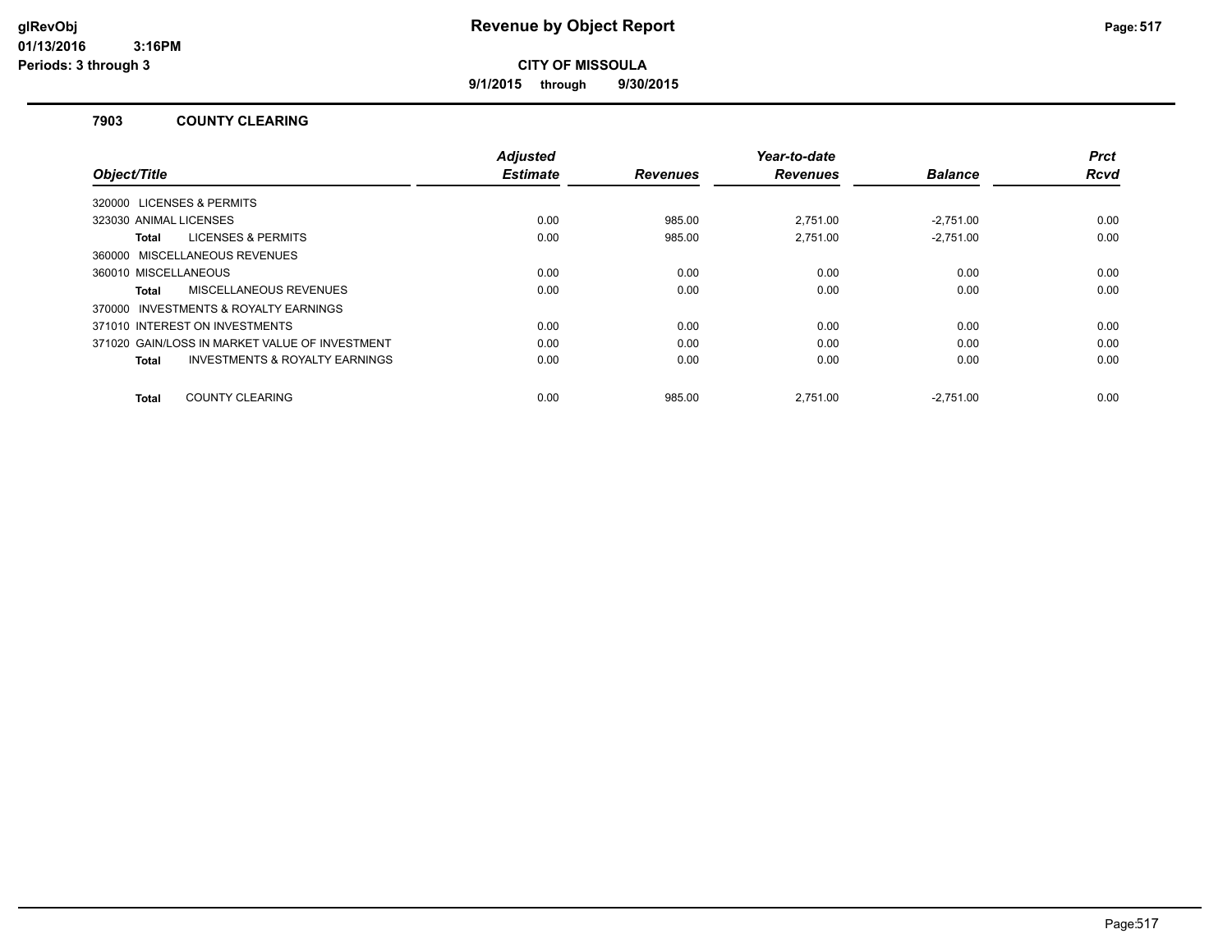**9/1/2015 through 9/30/2015**

#### **7903 COUNTY CLEARING**

|                                                           | <b>Adjusted</b> |                 | Year-to-date    |                | <b>Prct</b> |
|-----------------------------------------------------------|-----------------|-----------------|-----------------|----------------|-------------|
| Object/Title                                              | <b>Estimate</b> | <b>Revenues</b> | <b>Revenues</b> | <b>Balance</b> | <b>Rcvd</b> |
| 320000 LICENSES & PERMITS                                 |                 |                 |                 |                |             |
| 323030 ANIMAL LICENSES                                    | 0.00            | 985.00          | 2.751.00        | $-2.751.00$    | 0.00        |
| <b>LICENSES &amp; PERMITS</b><br>Total                    | 0.00            | 985.00          | 2,751.00        | $-2,751.00$    | 0.00        |
| 360000 MISCELLANEOUS REVENUES                             |                 |                 |                 |                |             |
| 360010 MISCELLANEOUS                                      | 0.00            | 0.00            | 0.00            | 0.00           | 0.00        |
| MISCELLANEOUS REVENUES<br>Total                           | 0.00            | 0.00            | 0.00            | 0.00           | 0.00        |
| 370000 INVESTMENTS & ROYALTY EARNINGS                     |                 |                 |                 |                |             |
| 371010 INTEREST ON INVESTMENTS                            | 0.00            | 0.00            | 0.00            | 0.00           | 0.00        |
| 371020 GAIN/LOSS IN MARKET VALUE OF INVESTMENT            | 0.00            | 0.00            | 0.00            | 0.00           | 0.00        |
| <b>INVESTMENTS &amp; ROYALTY EARNINGS</b><br><b>Total</b> | 0.00            | 0.00            | 0.00            | 0.00           | 0.00        |
|                                                           |                 |                 |                 |                |             |
| <b>COUNTY CLEARING</b><br>Total                           | 0.00            | 985.00          | 2.751.00        | $-2.751.00$    | 0.00        |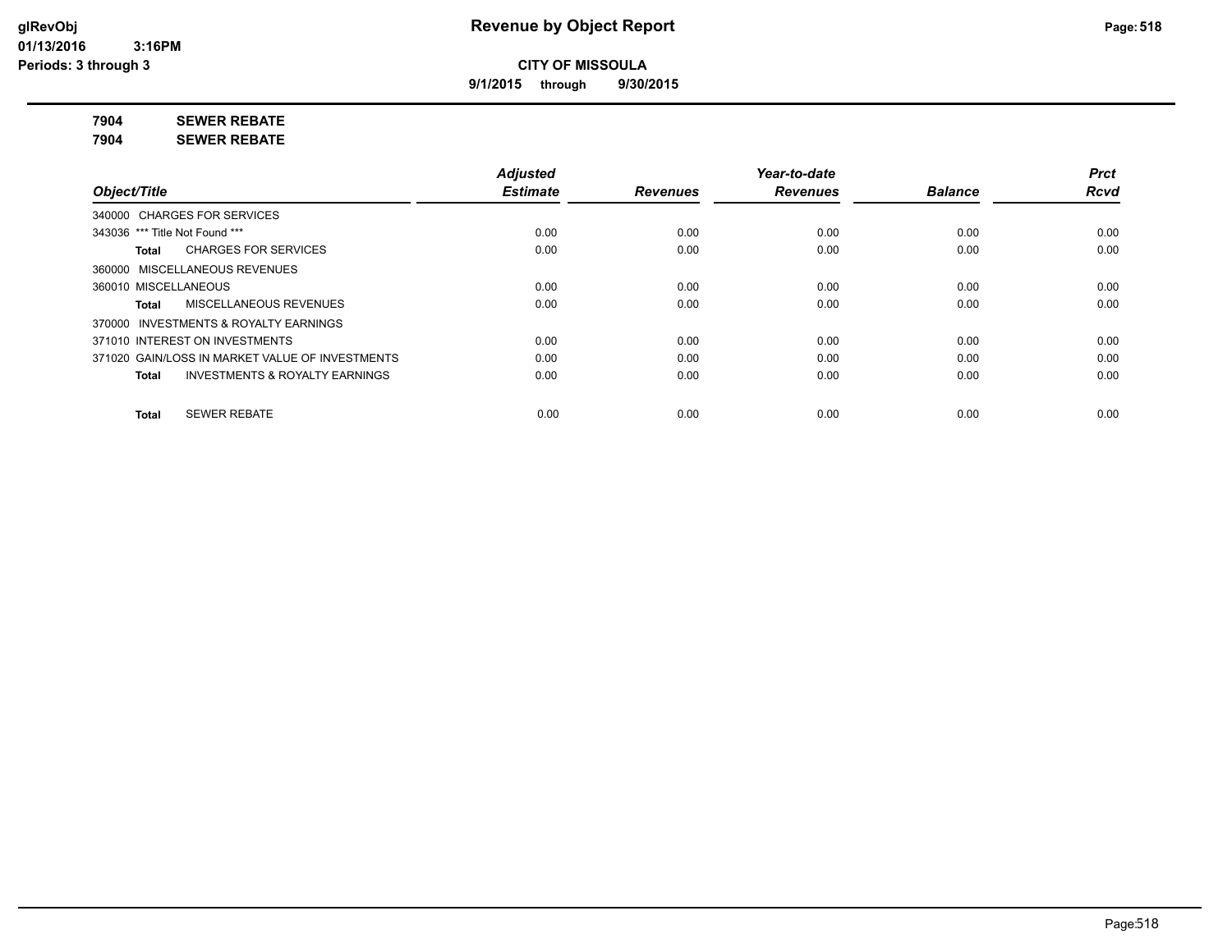**9/1/2015 through 9/30/2015**

**7904 SEWER REBATE**

**7904 SEWER REBATE**

|                                                           | <b>Adjusted</b> |                 | Year-to-date    |                | <b>Prct</b> |
|-----------------------------------------------------------|-----------------|-----------------|-----------------|----------------|-------------|
| Object/Title                                              | <b>Estimate</b> | <b>Revenues</b> | <b>Revenues</b> | <b>Balance</b> | <b>Rcvd</b> |
| 340000 CHARGES FOR SERVICES                               |                 |                 |                 |                |             |
| 343036 *** Title Not Found ***                            | 0.00            | 0.00            | 0.00            | 0.00           | 0.00        |
| <b>CHARGES FOR SERVICES</b><br>Total                      | 0.00            | 0.00            | 0.00            | 0.00           | 0.00        |
| 360000 MISCELLANEOUS REVENUES                             |                 |                 |                 |                |             |
| 360010 MISCELLANEOUS                                      | 0.00            | 0.00            | 0.00            | 0.00           | 0.00        |
| MISCELLANEOUS REVENUES<br>Total                           | 0.00            | 0.00            | 0.00            | 0.00           | 0.00        |
| 370000 INVESTMENTS & ROYALTY EARNINGS                     |                 |                 |                 |                |             |
| 371010 INTEREST ON INVESTMENTS                            | 0.00            | 0.00            | 0.00            | 0.00           | 0.00        |
| 371020 GAIN/LOSS IN MARKET VALUE OF INVESTMENTS           | 0.00            | 0.00            | 0.00            | 0.00           | 0.00        |
| <b>INVESTMENTS &amp; ROYALTY EARNINGS</b><br><b>Total</b> | 0.00            | 0.00            | 0.00            | 0.00           | 0.00        |
| <b>SEWER REBATE</b><br><b>Total</b>                       | 0.00            | 0.00            | 0.00            | 0.00           | 0.00        |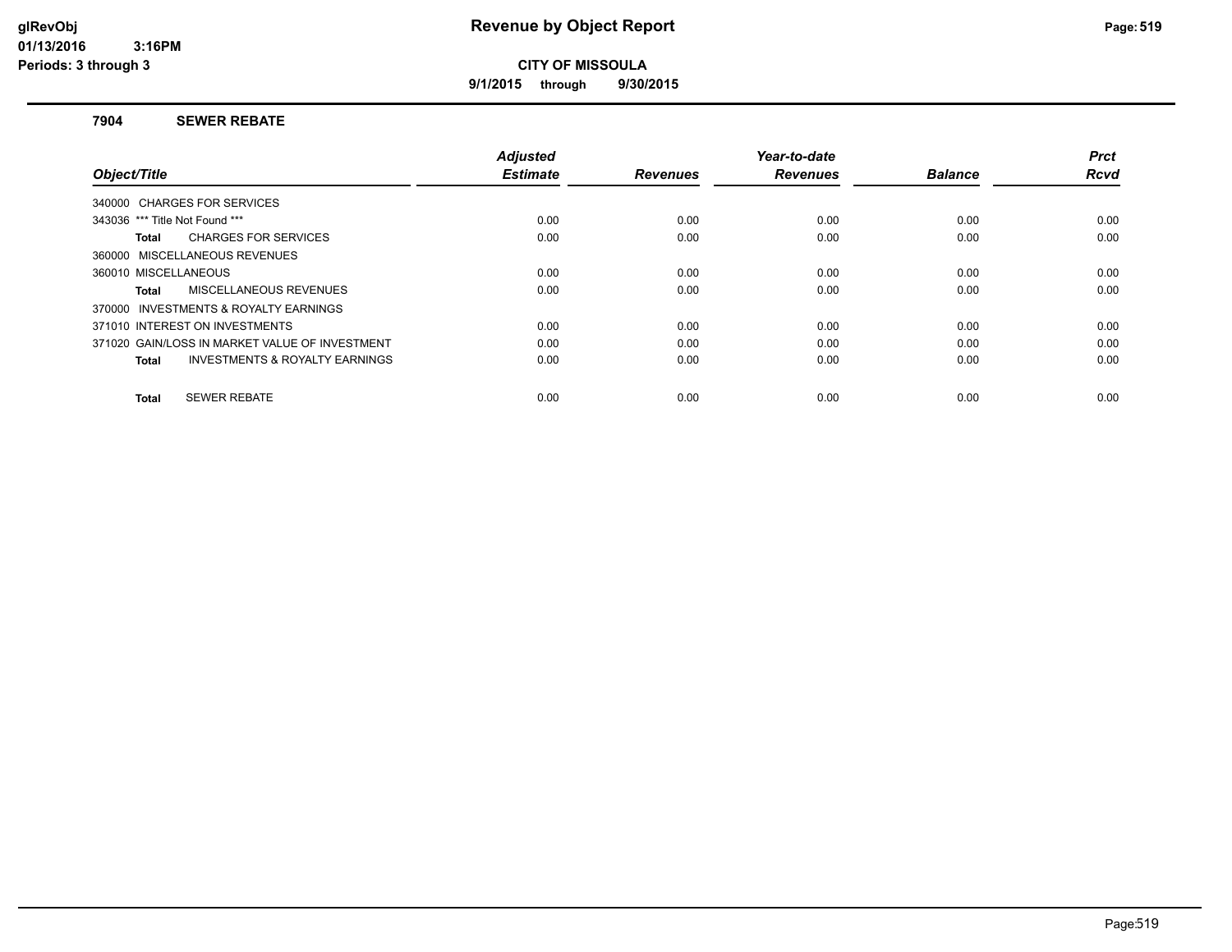**9/1/2015 through 9/30/2015**

#### **7904 SEWER REBATE**

| Object/Title                                              | <b>Adjusted</b><br><b>Estimate</b> | <b>Revenues</b> | Year-to-date<br><b>Revenues</b> | <b>Balance</b> | <b>Prct</b><br><b>Rcvd</b> |
|-----------------------------------------------------------|------------------------------------|-----------------|---------------------------------|----------------|----------------------------|
| 340000 CHARGES FOR SERVICES                               |                                    |                 |                                 |                |                            |
| 343036 *** Title Not Found ***                            | 0.00                               | 0.00            | 0.00                            | 0.00           | 0.00                       |
|                                                           |                                    |                 |                                 |                |                            |
| <b>CHARGES FOR SERVICES</b><br>Total                      | 0.00                               | 0.00            | 0.00                            | 0.00           | 0.00                       |
| 360000 MISCELLANEOUS REVENUES                             |                                    |                 |                                 |                |                            |
| 360010 MISCELLANEOUS                                      | 0.00                               | 0.00            | 0.00                            | 0.00           | 0.00                       |
| MISCELLANEOUS REVENUES<br>Total                           | 0.00                               | 0.00            | 0.00                            | 0.00           | 0.00                       |
| 370000 INVESTMENTS & ROYALTY EARNINGS                     |                                    |                 |                                 |                |                            |
| 371010 INTEREST ON INVESTMENTS                            | 0.00                               | 0.00            | 0.00                            | 0.00           | 0.00                       |
| 371020 GAIN/LOSS IN MARKET VALUE OF INVESTMENT            | 0.00                               | 0.00            | 0.00                            | 0.00           | 0.00                       |
| <b>INVESTMENTS &amp; ROYALTY EARNINGS</b><br><b>Total</b> | 0.00                               | 0.00            | 0.00                            | 0.00           | 0.00                       |
| <b>SEWER REBATE</b><br>Total                              | 0.00                               | 0.00            | 0.00                            | 0.00           | 0.00                       |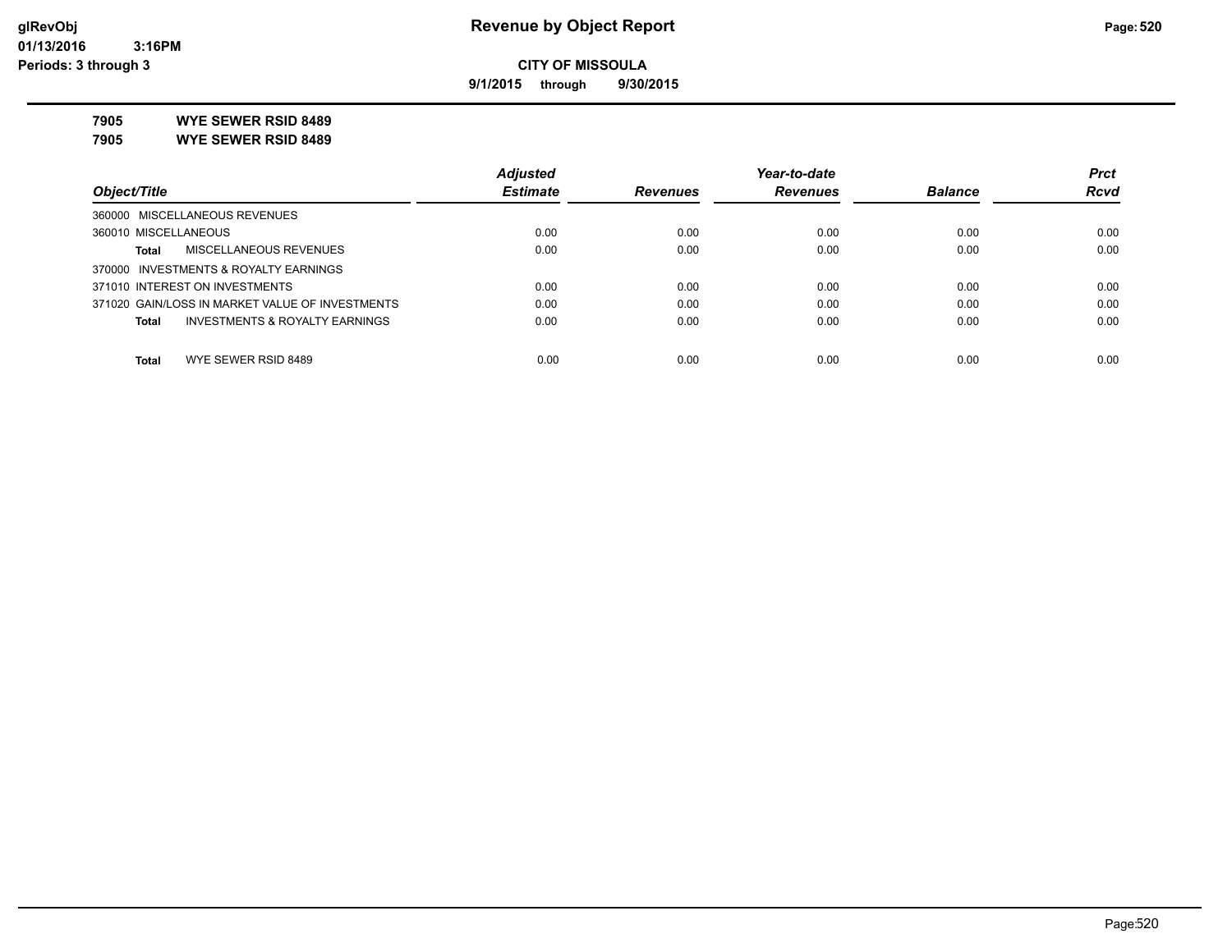**9/1/2015 through 9/30/2015**

**7905 WYE SEWER RSID 8489**

**7905 WYE SEWER RSID 8489**

|                                                 | <b>Adjusted</b> |                 | Year-to-date    |                | <b>Prct</b> |
|-------------------------------------------------|-----------------|-----------------|-----------------|----------------|-------------|
| Object/Title                                    | <b>Estimate</b> | <b>Revenues</b> | <b>Revenues</b> | <b>Balance</b> | <b>Rcvd</b> |
| 360000 MISCELLANEOUS REVENUES                   |                 |                 |                 |                |             |
| 360010 MISCELLANEOUS                            | 0.00            | 0.00            | 0.00            | 0.00           | 0.00        |
| MISCELLANEOUS REVENUES<br>Total                 | 0.00            | 0.00            | 0.00            | 0.00           | 0.00        |
| 370000 INVESTMENTS & ROYALTY EARNINGS           |                 |                 |                 |                |             |
| 371010 INTEREST ON INVESTMENTS                  | 0.00            | 0.00            | 0.00            | 0.00           | 0.00        |
| 371020 GAIN/LOSS IN MARKET VALUE OF INVESTMENTS | 0.00            | 0.00            | 0.00            | 0.00           | 0.00        |
| INVESTMENTS & ROYALTY EARNINGS<br>Total         | 0.00            | 0.00            | 0.00            | 0.00           | 0.00        |
|                                                 |                 |                 |                 |                |             |
| WYE SEWER RSID 8489<br><b>Total</b>             | 0.00            | 0.00            | 0.00            | 0.00           | 0.00        |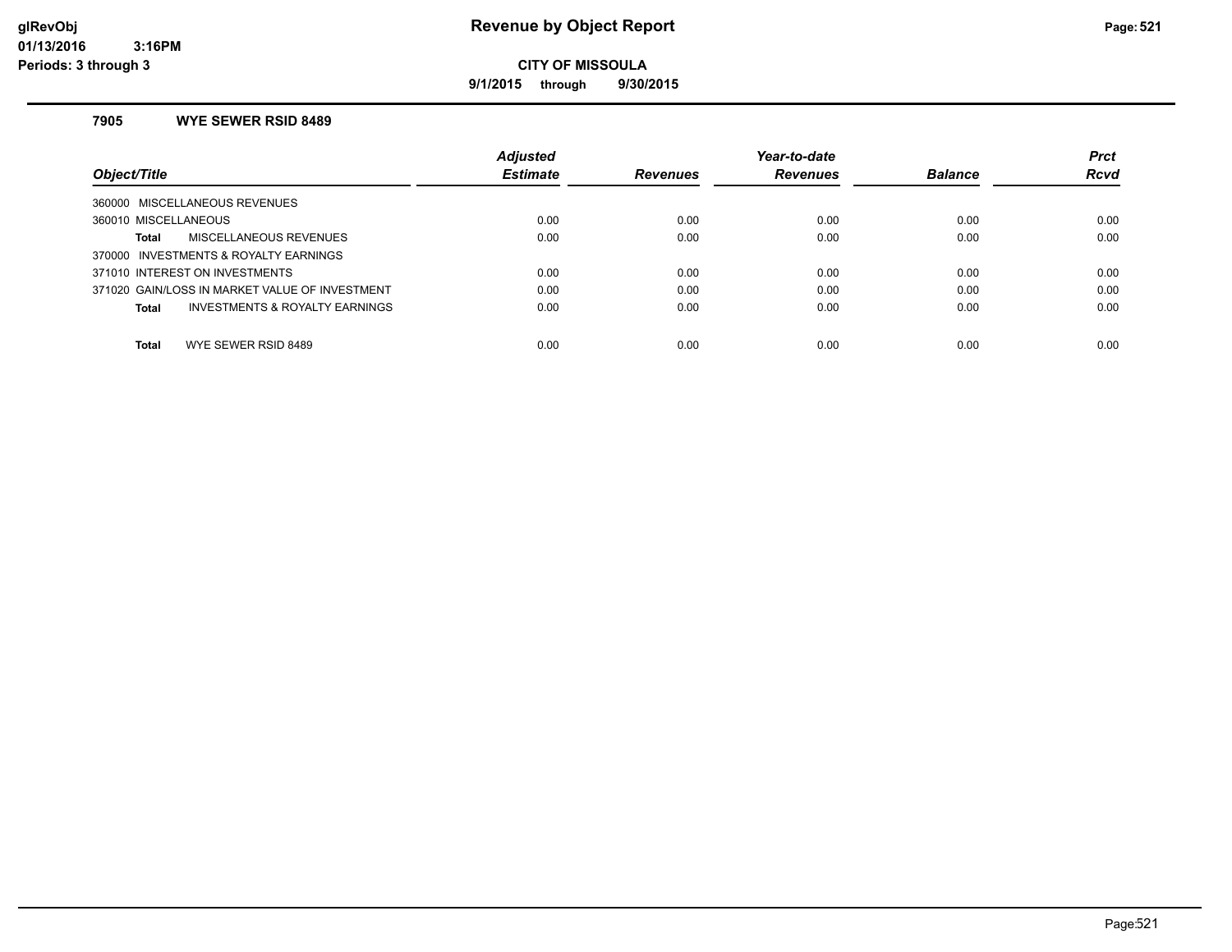**9/1/2015 through 9/30/2015**

#### **7905 WYE SEWER RSID 8489**

|                                                | <b>Adjusted</b> |                 | Year-to-date    |                | <b>Prct</b> |
|------------------------------------------------|-----------------|-----------------|-----------------|----------------|-------------|
| Object/Title                                   | <b>Estimate</b> | <b>Revenues</b> | <b>Revenues</b> | <b>Balance</b> | <b>Rcvd</b> |
| 360000 MISCELLANEOUS REVENUES                  |                 |                 |                 |                |             |
| 360010 MISCELLANEOUS                           | 0.00            | 0.00            | 0.00            | 0.00           | 0.00        |
| MISCELLANEOUS REVENUES<br>Total                | 0.00            | 0.00            | 0.00            | 0.00           | 0.00        |
| 370000 INVESTMENTS & ROYALTY EARNINGS          |                 |                 |                 |                |             |
| 371010 INTEREST ON INVESTMENTS                 | 0.00            | 0.00            | 0.00            | 0.00           | 0.00        |
| 371020 GAIN/LOSS IN MARKET VALUE OF INVESTMENT | 0.00            | 0.00            | 0.00            | 0.00           | 0.00        |
| INVESTMENTS & ROYALTY EARNINGS<br>Total        | 0.00            | 0.00            | 0.00            | 0.00           | 0.00        |
|                                                |                 |                 |                 |                |             |
| WYE SEWER RSID 8489<br><b>Total</b>            | 0.00            | 0.00            | 0.00            | 0.00           | 0.00        |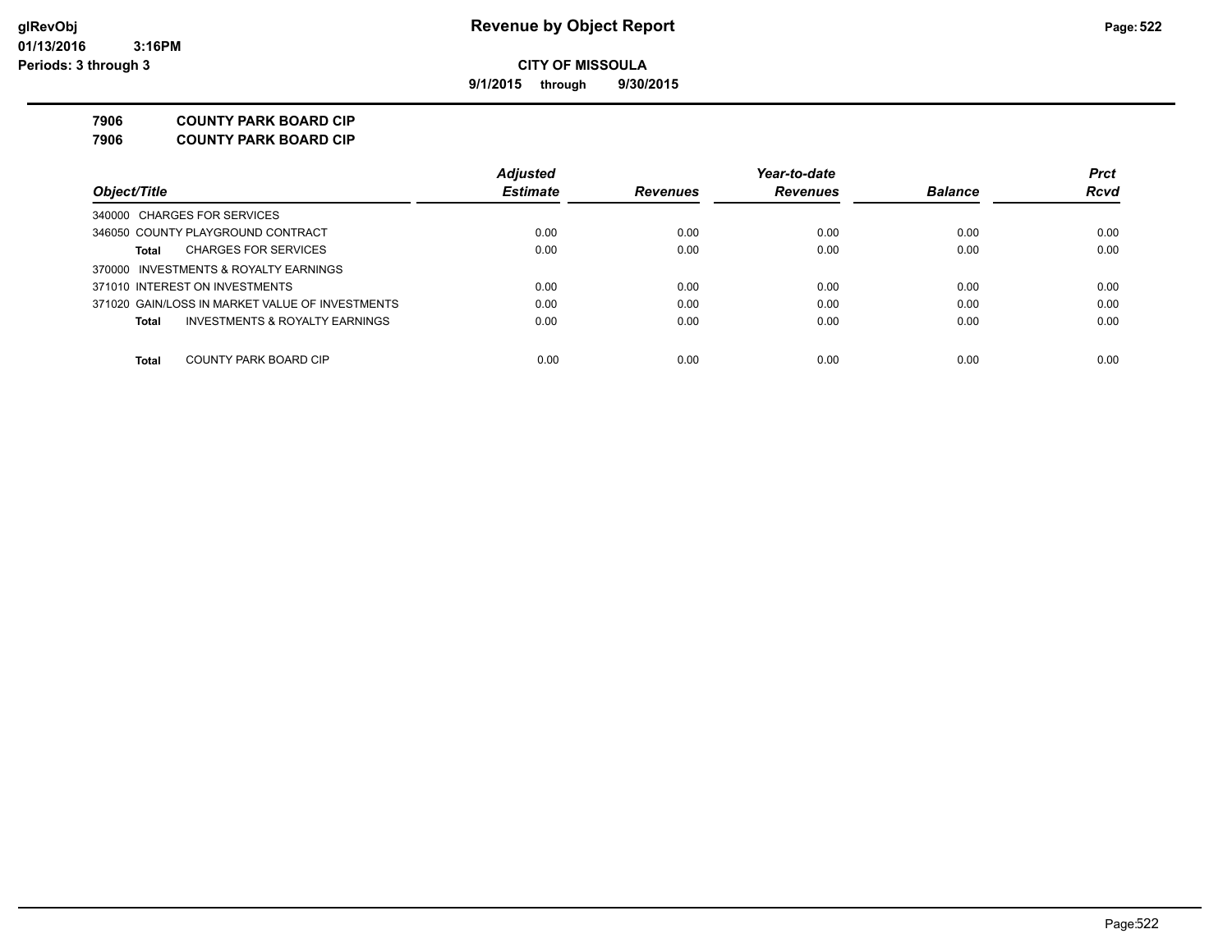**9/1/2015 through 9/30/2015**

**7906 COUNTY PARK BOARD CIP**

**7906 COUNTY PARK BOARD CIP**

|                                                 | <b>Adjusted</b> |                 | Year-to-date    |                | <b>Prct</b> |
|-------------------------------------------------|-----------------|-----------------|-----------------|----------------|-------------|
| Object/Title                                    | <b>Estimate</b> | <b>Revenues</b> | <b>Revenues</b> | <b>Balance</b> | <b>Rcvd</b> |
| 340000 CHARGES FOR SERVICES                     |                 |                 |                 |                |             |
| 346050 COUNTY PLAYGROUND CONTRACT               | 0.00            | 0.00            | 0.00            | 0.00           | 0.00        |
| <b>CHARGES FOR SERVICES</b><br>Total            | 0.00            | 0.00            | 0.00            | 0.00           | 0.00        |
| 370000 INVESTMENTS & ROYALTY EARNINGS           |                 |                 |                 |                |             |
| 371010 INTEREST ON INVESTMENTS                  | 0.00            | 0.00            | 0.00            | 0.00           | 0.00        |
| 371020 GAIN/LOSS IN MARKET VALUE OF INVESTMENTS | 0.00            | 0.00            | 0.00            | 0.00           | 0.00        |
| INVESTMENTS & ROYALTY EARNINGS<br>Total         | 0.00            | 0.00            | 0.00            | 0.00           | 0.00        |
| COUNTY PARK BOARD CIP<br><b>Total</b>           | 0.00            | 0.00            | 0.00            | 0.00           | 0.00        |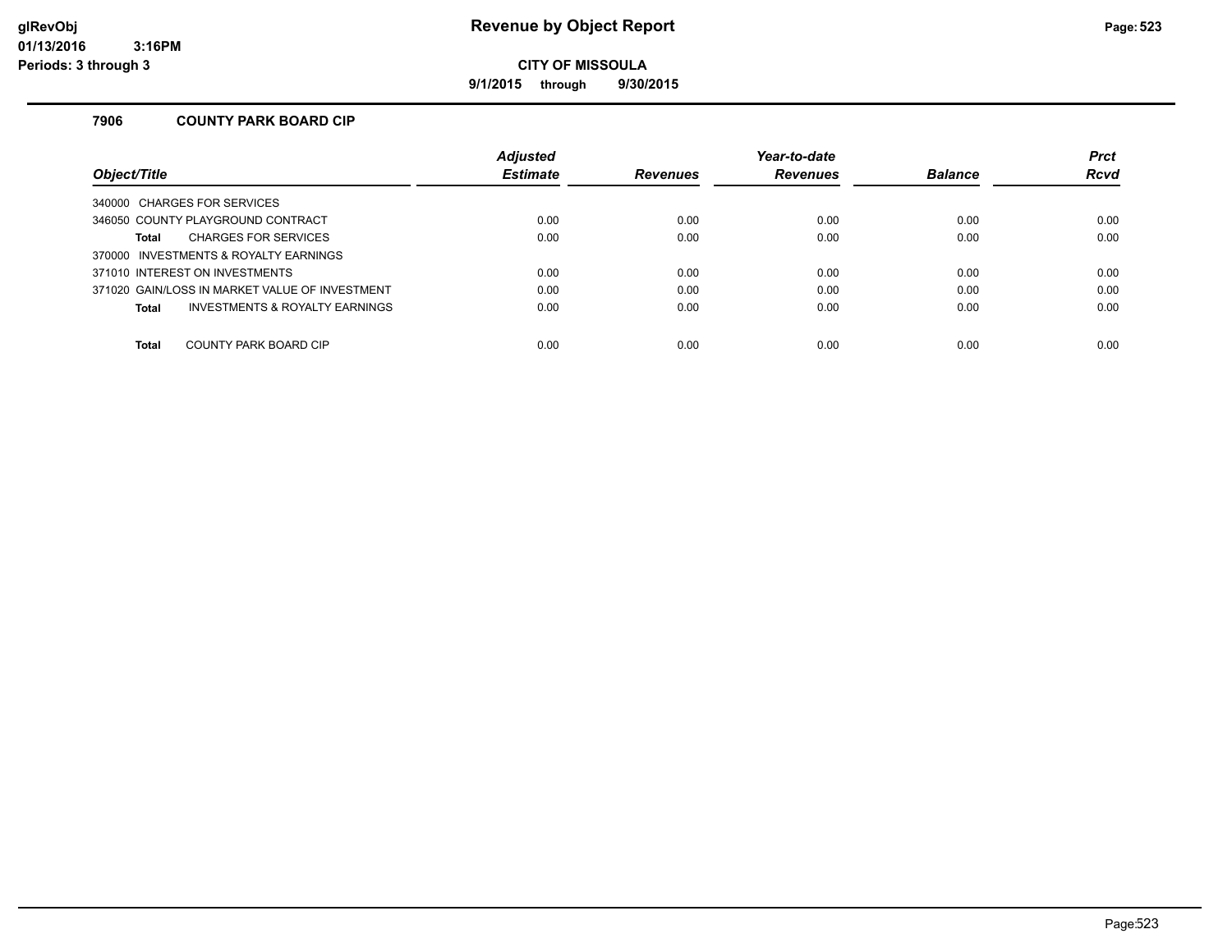### **glRevObj Revenue by Object Report Page:523**

**CITY OF MISSOULA**

**9/1/2015 through 9/30/2015**

#### **7906 COUNTY PARK BOARD CIP**

|                                                | <b>Adjusted</b> |                 | Year-to-date    |                | <b>Prct</b> |
|------------------------------------------------|-----------------|-----------------|-----------------|----------------|-------------|
| Obiect/Title                                   | <b>Estimate</b> | <b>Revenues</b> | <b>Revenues</b> | <b>Balance</b> | <b>Rcvd</b> |
| 340000 CHARGES FOR SERVICES                    |                 |                 |                 |                |             |
| 346050 COUNTY PLAYGROUND CONTRACT              | 0.00            | 0.00            | 0.00            | 0.00           | 0.00        |
| <b>CHARGES FOR SERVICES</b><br>Total           | 0.00            | 0.00            | 0.00            | 0.00           | 0.00        |
| 370000 INVESTMENTS & ROYALTY EARNINGS          |                 |                 |                 |                |             |
| 371010 INTEREST ON INVESTMENTS                 | 0.00            | 0.00            | 0.00            | 0.00           | 0.00        |
| 371020 GAIN/LOSS IN MARKET VALUE OF INVESTMENT | 0.00            | 0.00            | 0.00            | 0.00           | 0.00        |
| INVESTMENTS & ROYALTY EARNINGS<br>Total        | 0.00            | 0.00            | 0.00            | 0.00           | 0.00        |
|                                                |                 |                 |                 |                |             |
| COUNTY PARK BOARD CIP<br><b>Total</b>          | 0.00            | 0.00            | 0.00            | 0.00           | 0.00        |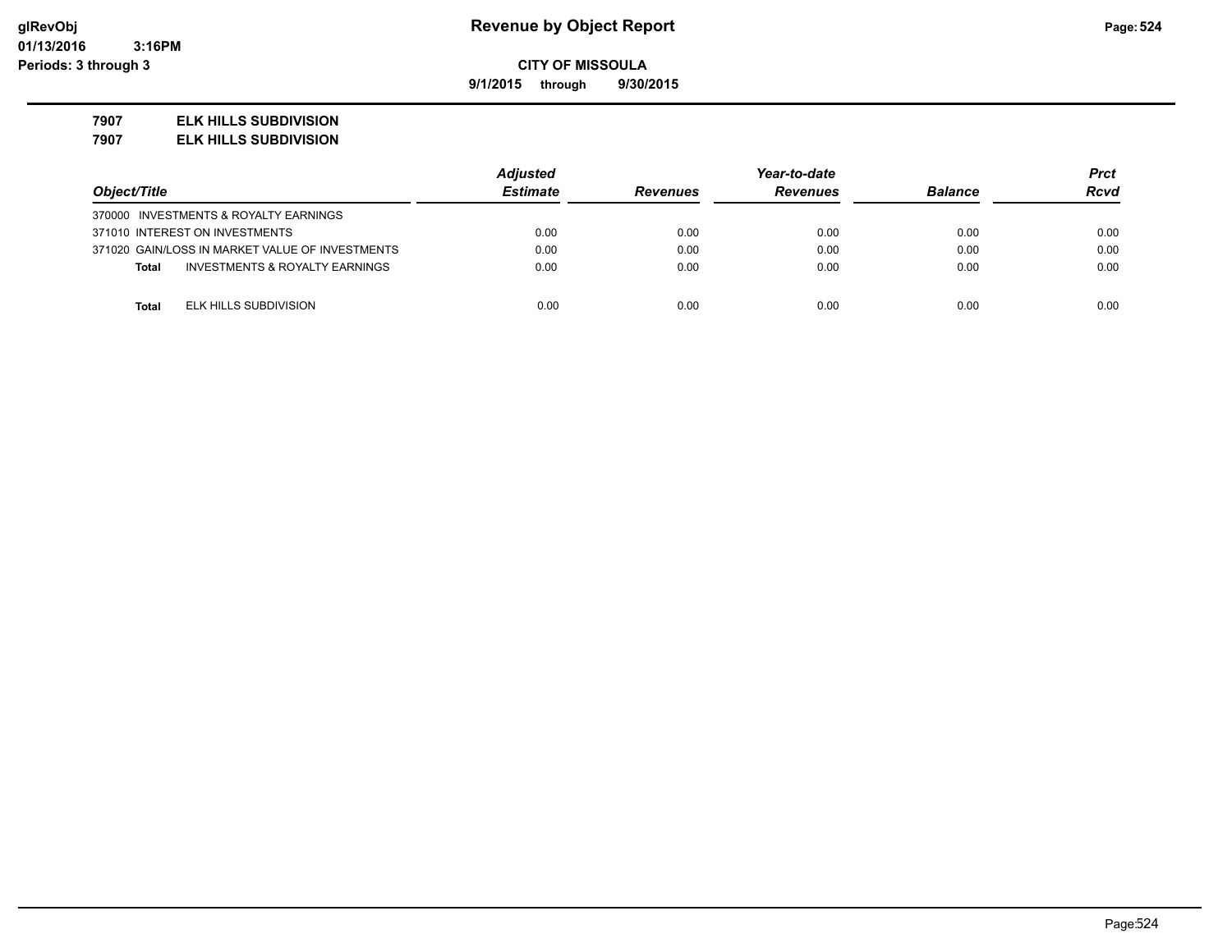**9/1/2015 through 9/30/2015**

#### **7907 ELK HILLS SUBDIVISION**

**7907 ELK HILLS SUBDIVISION**

|                                                 | <b>Adjusted</b> | Year-to-date    |                 |                | Prct        |
|-------------------------------------------------|-----------------|-----------------|-----------------|----------------|-------------|
| Object/Title                                    | <b>Estimate</b> | <b>Revenues</b> | <b>Revenues</b> | <b>Balance</b> | <b>Rcvd</b> |
| 370000 INVESTMENTS & ROYALTY EARNINGS           |                 |                 |                 |                |             |
| 371010 INTEREST ON INVESTMENTS                  | 0.00            | 0.00            | 0.00            | 0.00           | 0.00        |
| 371020 GAIN/LOSS IN MARKET VALUE OF INVESTMENTS | 0.00            | 0.00            | 0.00            | 0.00           | 0.00        |
| INVESTMENTS & ROYALTY EARNINGS<br><b>Total</b>  | 0.00            | 0.00            | 0.00            | 0.00           | 0.00        |
|                                                 |                 |                 |                 |                |             |
| ELK HILLS SUBDIVISION<br><b>Total</b>           | 0.00            | 0.00            | 0.00            | 0.00           | 0.00        |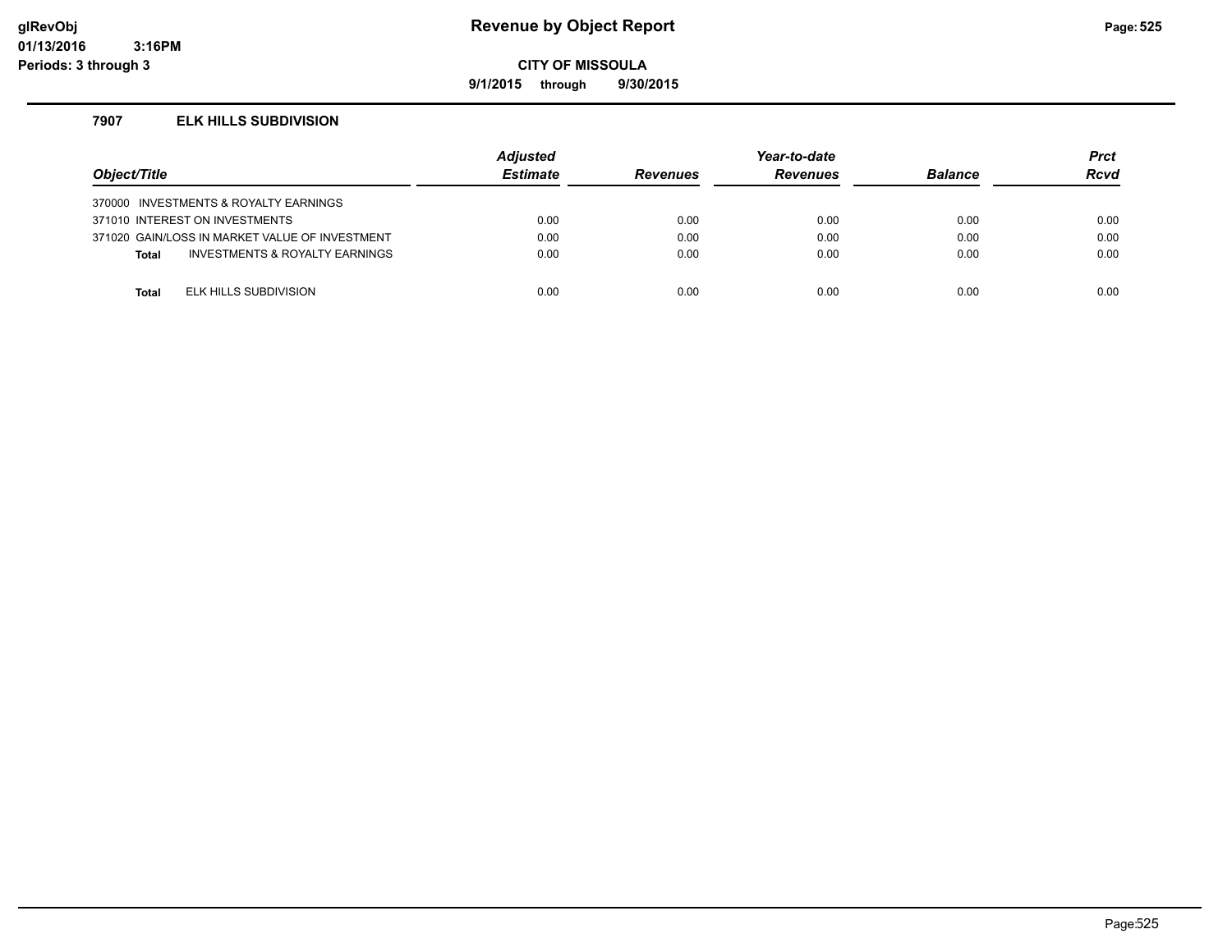### **glRevObj Revenue by Object Report Page:525**

**CITY OF MISSOULA**

**9/1/2015 through 9/30/2015**

#### **7907 ELK HILLS SUBDIVISION**

| Object/Title |                                                | <b>Adjusted</b><br><b>Estimate</b> | <b>Revenues</b> | Year-to-date<br><b>Revenues</b> | <b>Balance</b> | <b>Prct</b><br>Rcvd |
|--------------|------------------------------------------------|------------------------------------|-----------------|---------------------------------|----------------|---------------------|
|              | 370000 INVESTMENTS & ROYALTY EARNINGS          |                                    |                 |                                 |                |                     |
|              | 371010 INTEREST ON INVESTMENTS                 | 0.00                               | 0.00            | 0.00                            | 0.00           | 0.00                |
|              | 371020 GAIN/LOSS IN MARKET VALUE OF INVESTMENT | 0.00                               | 0.00            | 0.00                            | 0.00           | 0.00                |
| <b>Total</b> | <b>INVESTMENTS &amp; ROYALTY EARNINGS</b>      | 0.00                               | 0.00            | 0.00                            | 0.00           | 0.00                |
|              |                                                |                                    |                 |                                 |                |                     |
| Total        | ELK HILLS SUBDIVISION                          | 0.00                               | 0.00            | 0.00                            | 0.00           | 0.00                |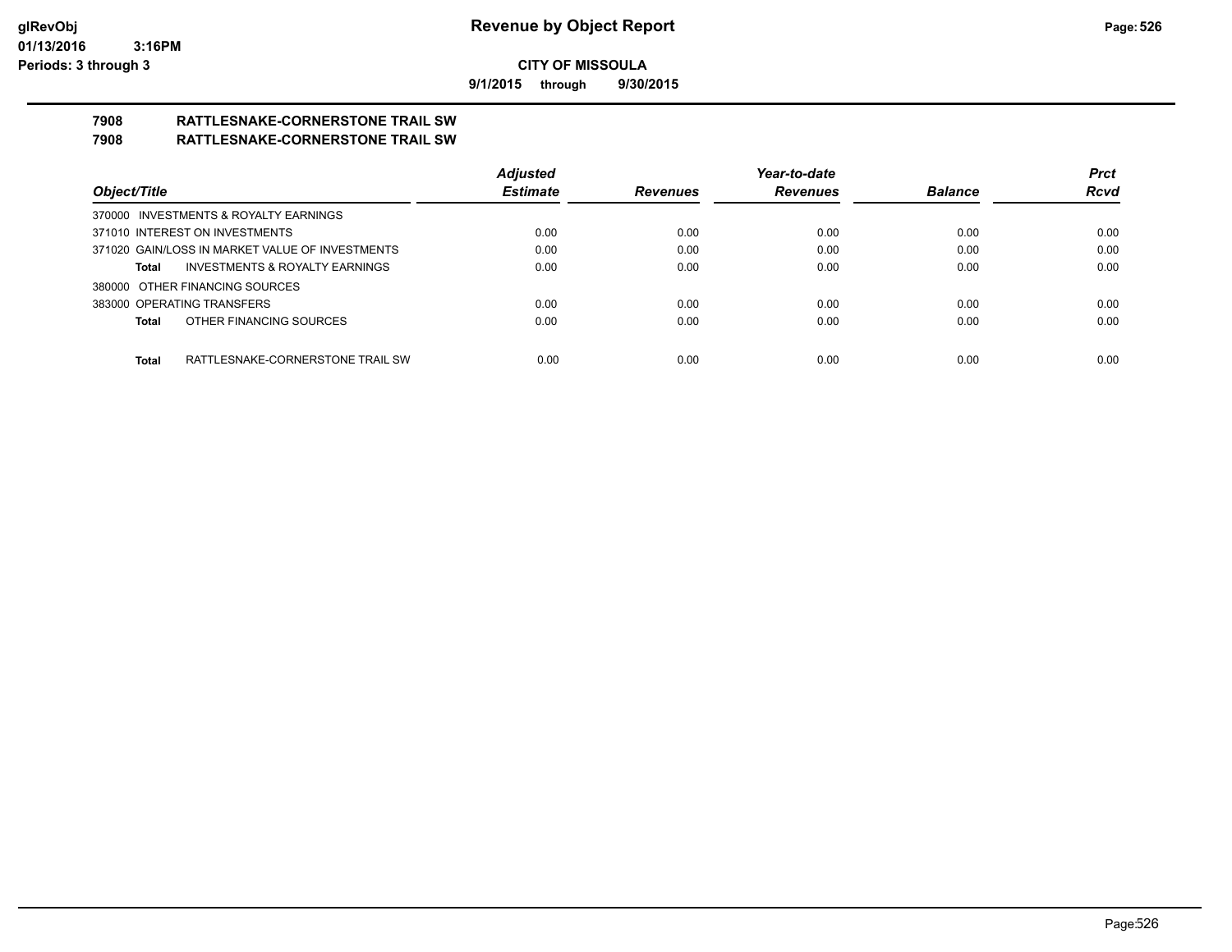**9/1/2015 through 9/30/2015**

# **7908 RATTLESNAKE-CORNERSTONE TRAIL SW**

### **7908 RATTLESNAKE-CORNERSTONE TRAIL SW**

|                                                    | <b>Adjusted</b> |                 | Year-to-date    |                | <b>Prct</b> |
|----------------------------------------------------|-----------------|-----------------|-----------------|----------------|-------------|
| Object/Title                                       | <b>Estimate</b> | <b>Revenues</b> | <b>Revenues</b> | <b>Balance</b> | <b>Rcvd</b> |
| 370000 INVESTMENTS & ROYALTY EARNINGS              |                 |                 |                 |                |             |
| 371010 INTEREST ON INVESTMENTS                     | 0.00            | 0.00            | 0.00            | 0.00           | 0.00        |
| 371020 GAIN/LOSS IN MARKET VALUE OF INVESTMENTS    | 0.00            | 0.00            | 0.00            | 0.00           | 0.00        |
| <b>INVESTMENTS &amp; ROYALTY EARNINGS</b><br>Total | 0.00            | 0.00            | 0.00            | 0.00           | 0.00        |
| 380000 OTHER FINANCING SOURCES                     |                 |                 |                 |                |             |
| 383000 OPERATING TRANSFERS                         | 0.00            | 0.00            | 0.00            | 0.00           | 0.00        |
| OTHER FINANCING SOURCES<br>Total                   | 0.00            | 0.00            | 0.00            | 0.00           | 0.00        |
|                                                    |                 |                 |                 |                |             |
| RATTLESNAKE-CORNERSTONE TRAIL SW<br>Total          | 0.00            | 0.00            | 0.00            | 0.00           | 0.00        |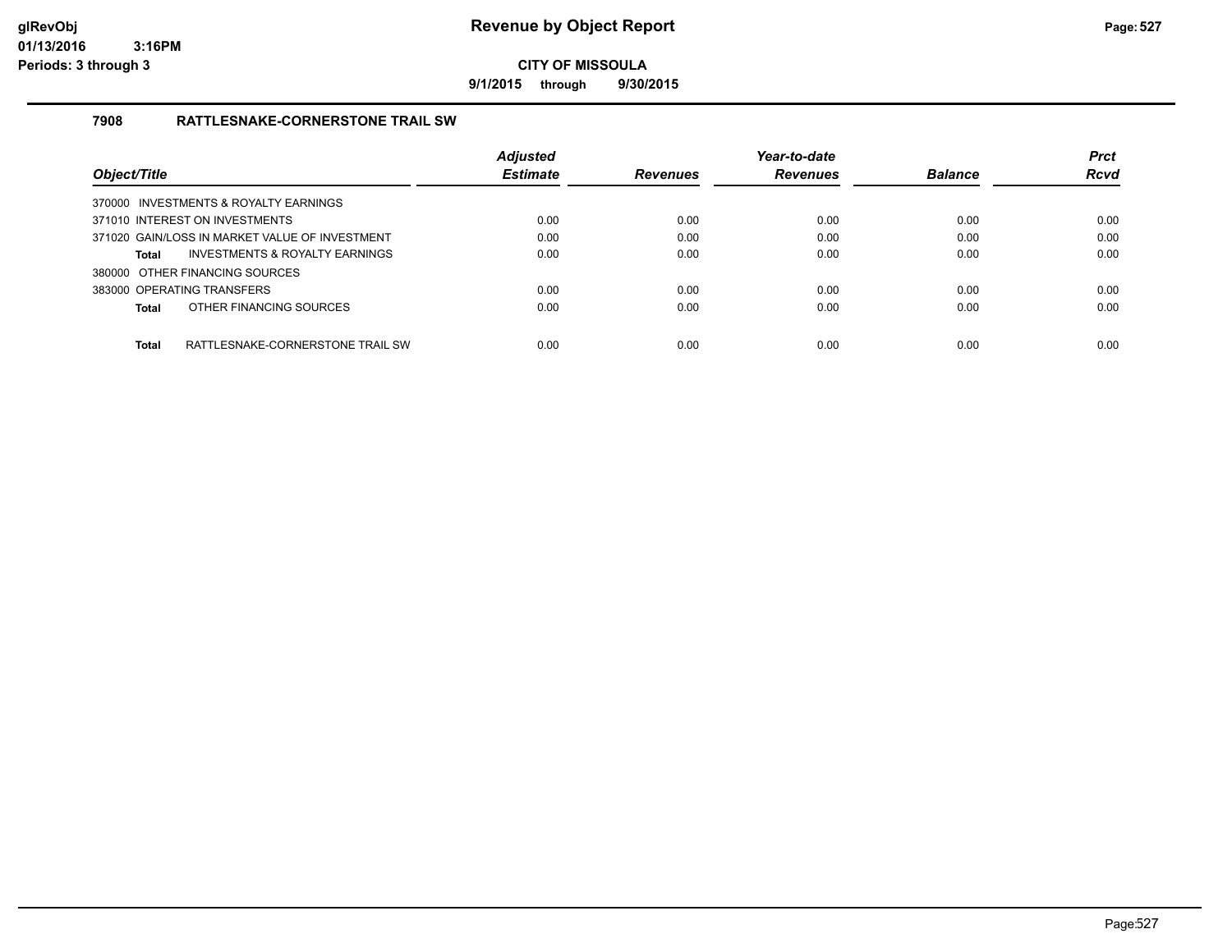**9/1/2015 through 9/30/2015**

#### **7908 RATTLESNAKE-CORNERSTONE TRAIL SW**

|                                                |                                  | <b>Adjusted</b> |                 | Year-to-date    |                | <b>Prct</b> |
|------------------------------------------------|----------------------------------|-----------------|-----------------|-----------------|----------------|-------------|
| Object/Title                                   |                                  | <b>Estimate</b> | <b>Revenues</b> | <b>Revenues</b> | <b>Balance</b> | <b>Rcvd</b> |
| 370000 INVESTMENTS & ROYALTY EARNINGS          |                                  |                 |                 |                 |                |             |
| 371010 INTEREST ON INVESTMENTS                 |                                  | 0.00            | 0.00            | 0.00            | 0.00           | 0.00        |
| 371020 GAIN/LOSS IN MARKET VALUE OF INVESTMENT |                                  | 0.00            | 0.00            | 0.00            | 0.00           | 0.00        |
| Total                                          | INVESTMENTS & ROYALTY EARNINGS   | 0.00            | 0.00            | 0.00            | 0.00           | 0.00        |
| 380000 OTHER FINANCING SOURCES                 |                                  |                 |                 |                 |                |             |
| 383000 OPERATING TRANSFERS                     |                                  | 0.00            | 0.00            | 0.00            | 0.00           | 0.00        |
| OTHER FINANCING SOURCES<br>Total               |                                  | 0.00            | 0.00            | 0.00            | 0.00           | 0.00        |
| <b>Total</b>                                   | RATTLESNAKE-CORNERSTONE TRAIL SW | 0.00            | 0.00            | 0.00            | 0.00           | 0.00        |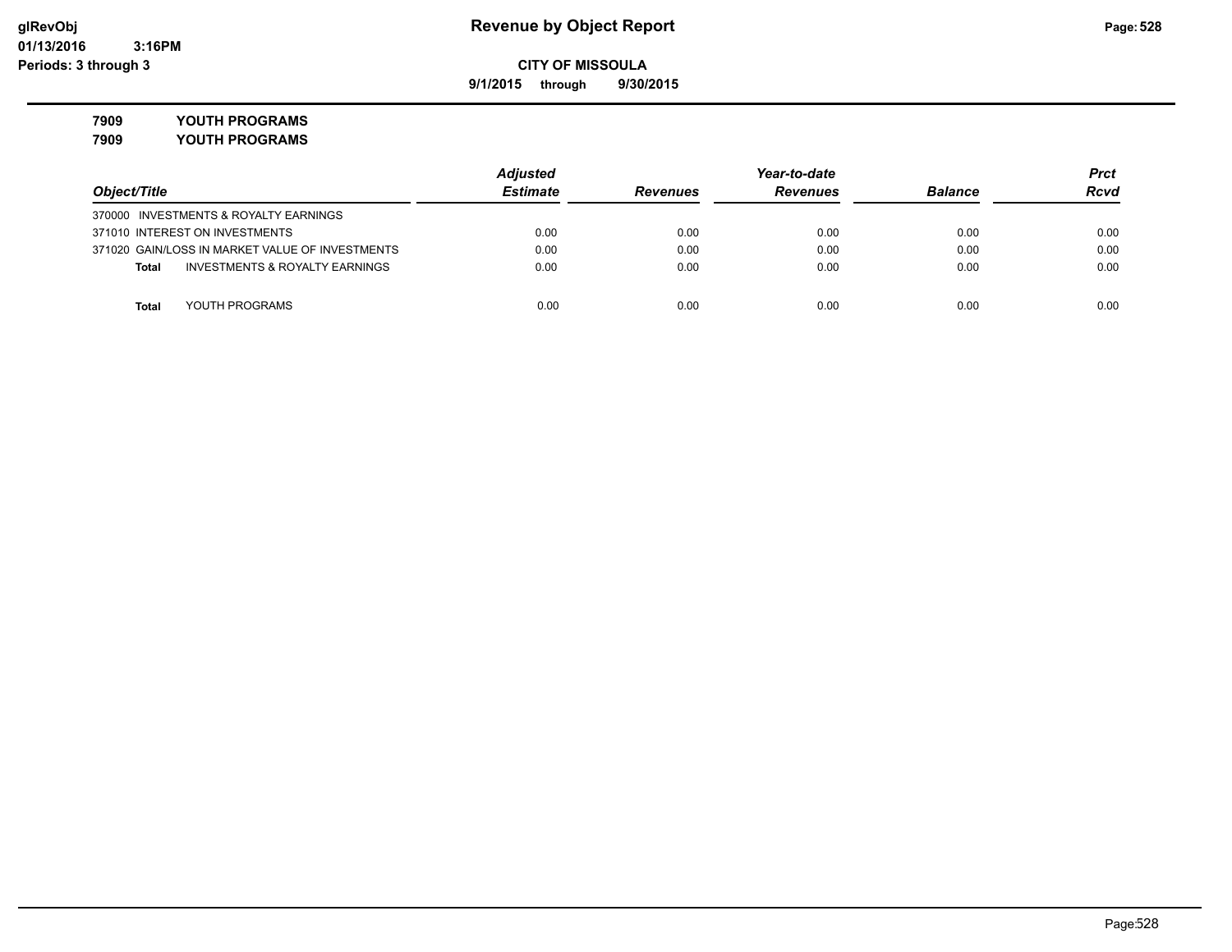**9/1/2015 through 9/30/2015**

**7909 YOUTH PROGRAMS**

|                                                    | <b>Adjusted</b> |                 | Year-to-date    |                | Prct |
|----------------------------------------------------|-----------------|-----------------|-----------------|----------------|------|
| Object/Title                                       | <b>Estimate</b> | <b>Revenues</b> | <b>Revenues</b> | <b>Balance</b> | Rcvd |
| 370000 INVESTMENTS & ROYALTY EARNINGS              |                 |                 |                 |                |      |
| 371010 INTEREST ON INVESTMENTS                     | 0.00            | 0.00            | 0.00            | 0.00           | 0.00 |
| 371020 GAIN/LOSS IN MARKET VALUE OF INVESTMENTS    | 0.00            | 0.00            | 0.00            | 0.00           | 0.00 |
| <b>INVESTMENTS &amp; ROYALTY EARNINGS</b><br>Total | 0.00            | 0.00            | 0.00            | 0.00           | 0.00 |
|                                                    |                 |                 |                 |                |      |
| YOUTH PROGRAMS<br><b>Total</b>                     | 0.00            | 0.00            | 0.00            | 0.00           | 0.00 |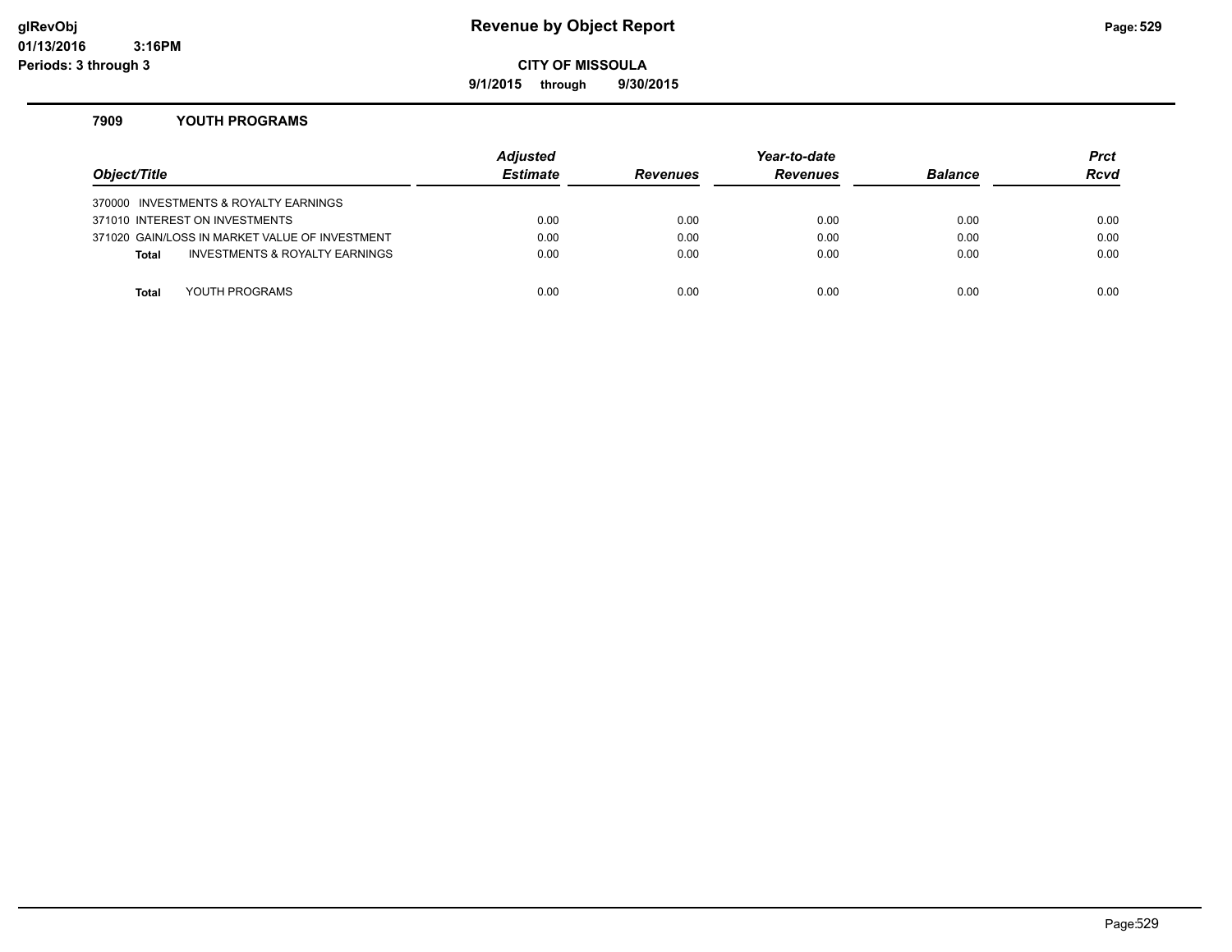#### **glRevObj Revenue by Object Report Page:529**

**CITY OF MISSOULA**

**9/1/2015 through 9/30/2015**

#### **7909 YOUTH PROGRAMS**

| Object/Title |                                                | <b>Adjusted</b><br><b>Estimate</b> | <b>Revenues</b> | Year-to-date<br><b>Revenues</b> | <b>Balance</b> | <b>Prct</b><br><b>Rcvd</b> |
|--------------|------------------------------------------------|------------------------------------|-----------------|---------------------------------|----------------|----------------------------|
|              | 370000 INVESTMENTS & ROYALTY EARNINGS          |                                    |                 |                                 |                |                            |
|              | 371010 INTEREST ON INVESTMENTS                 | 0.00                               | 0.00            | 0.00                            | 0.00           | 0.00                       |
|              | 371020 GAIN/LOSS IN MARKET VALUE OF INVESTMENT | 0.00                               | 0.00            | 0.00                            | 0.00           | 0.00                       |
| <b>Total</b> | INVESTMENTS & ROYALTY EARNINGS                 | 0.00                               | 0.00            | 0.00                            | 0.00           | 0.00                       |
|              |                                                |                                    |                 |                                 |                |                            |
| Total        | YOUTH PROGRAMS                                 | 0.00                               | 0.00            | 0.00                            | 0.00           | 0.00                       |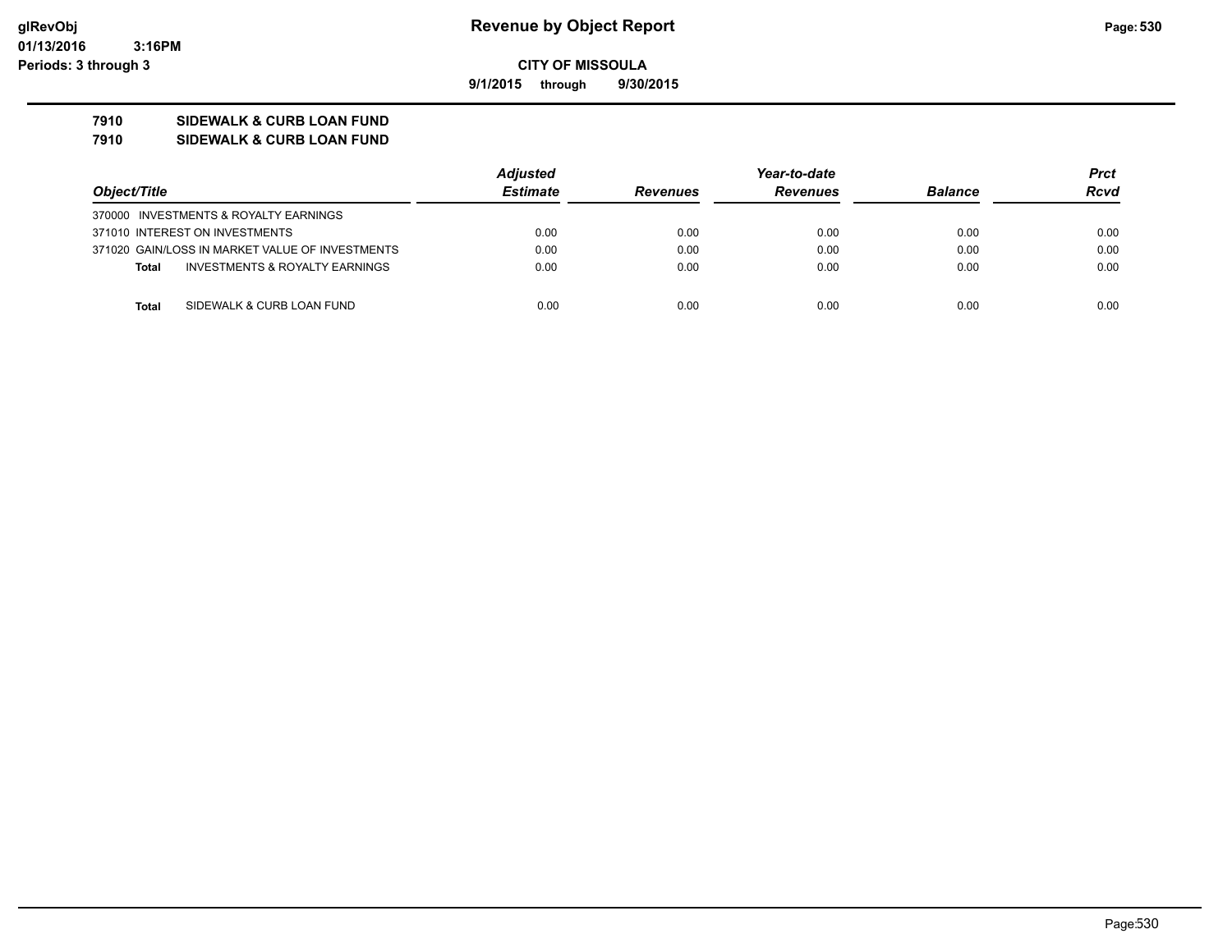**9/1/2015 through 9/30/2015**

### **7910 SIDEWALK & CURB LOAN FUND**

**7910 SIDEWALK & CURB LOAN FUND**

|                                                 |  | Adjusted        | Year-to-date    |                 |                | Prct        |
|-------------------------------------------------|--|-----------------|-----------------|-----------------|----------------|-------------|
| Object/Title                                    |  | <b>Estimate</b> | <b>Revenues</b> | <b>Revenues</b> | <b>Balance</b> | <b>Rcvd</b> |
| 370000 INVESTMENTS & ROYALTY EARNINGS           |  |                 |                 |                 |                |             |
| 371010 INTEREST ON INVESTMENTS                  |  | 0.00            | 0.00            | 0.00            | 0.00           | 0.00        |
| 371020 GAIN/LOSS IN MARKET VALUE OF INVESTMENTS |  | 0.00            | 0.00            | 0.00            | 0.00           | 0.00        |
| INVESTMENTS & ROYALTY EARNINGS<br>Total         |  | 0.00            | 0.00            | 0.00            | 0.00           | 0.00        |
| SIDEWALK & CURB LOAN FUND<br>Total              |  | 0.00            | 0.00            | 0.00            | 0.00           | 0.00        |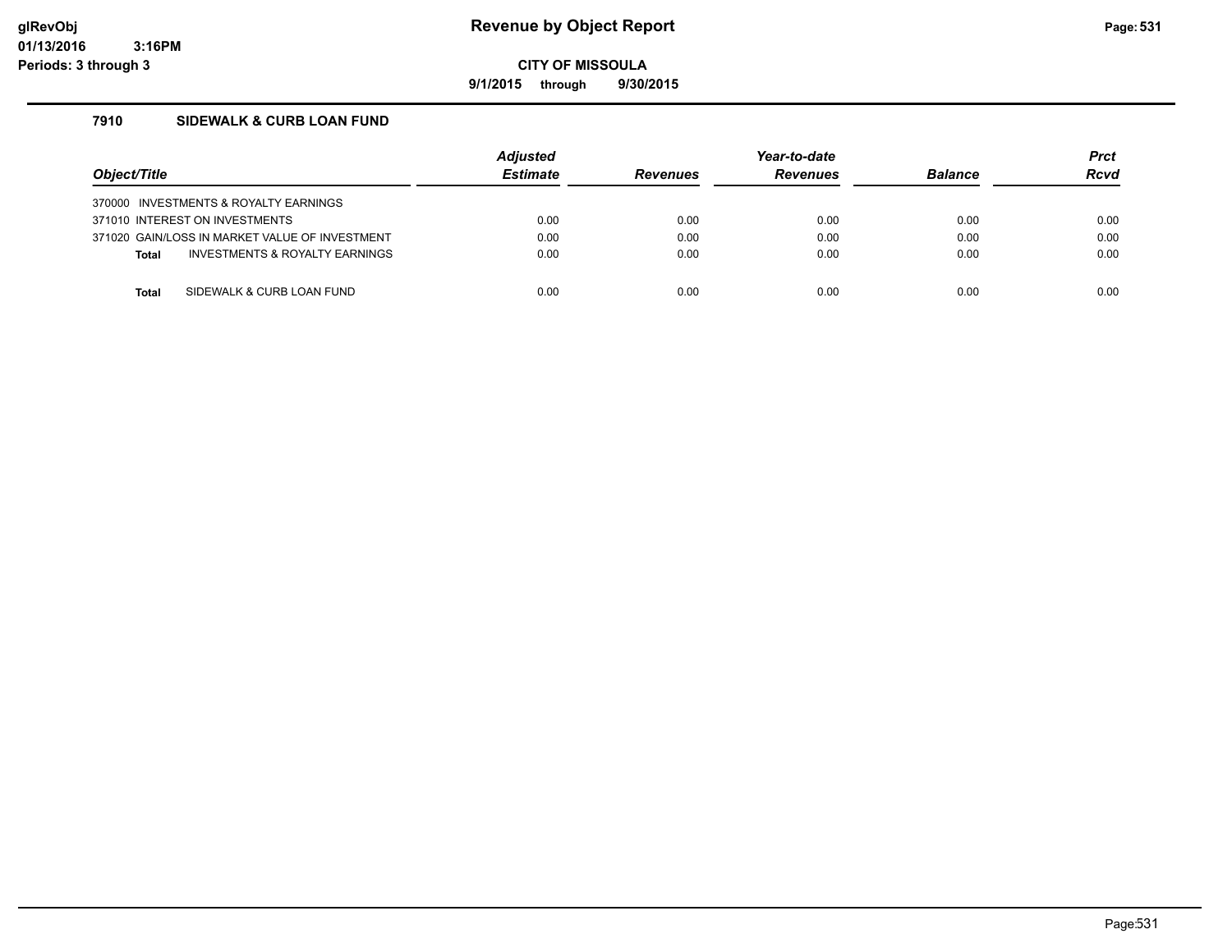### **glRevObj Revenue by Object Report Page:531**

**CITY OF MISSOULA**

**9/1/2015 through 9/30/2015**

### **7910 SIDEWALK & CURB LOAN FUND**

| Object/Title                          |                                                | <b>Adiusted</b><br><b>Estimate</b> | <b>Revenues</b> | Year-to-date<br><b>Revenues</b> | <b>Balance</b> | <b>Prct</b><br><b>Rcvd</b> |
|---------------------------------------|------------------------------------------------|------------------------------------|-----------------|---------------------------------|----------------|----------------------------|
| 370000 INVESTMENTS & ROYALTY EARNINGS |                                                |                                    |                 |                                 |                |                            |
| 371010 INTEREST ON INVESTMENTS        |                                                | 0.00                               | 0.00            | 0.00                            | 0.00           | 0.00                       |
|                                       | 371020 GAIN/LOSS IN MARKET VALUE OF INVESTMENT | 0.00                               | 0.00            | 0.00                            | 0.00           | 0.00                       |
| <b>Total</b>                          | INVESTMENTS & ROYALTY EARNINGS                 | 0.00                               | 0.00            | 0.00                            | 0.00           | 0.00                       |
|                                       |                                                |                                    |                 |                                 |                |                            |
| Total                                 | SIDEWALK & CURB LOAN FUND                      | 0.00                               | 0.00            | 0.00                            | 0.00           | 0.00                       |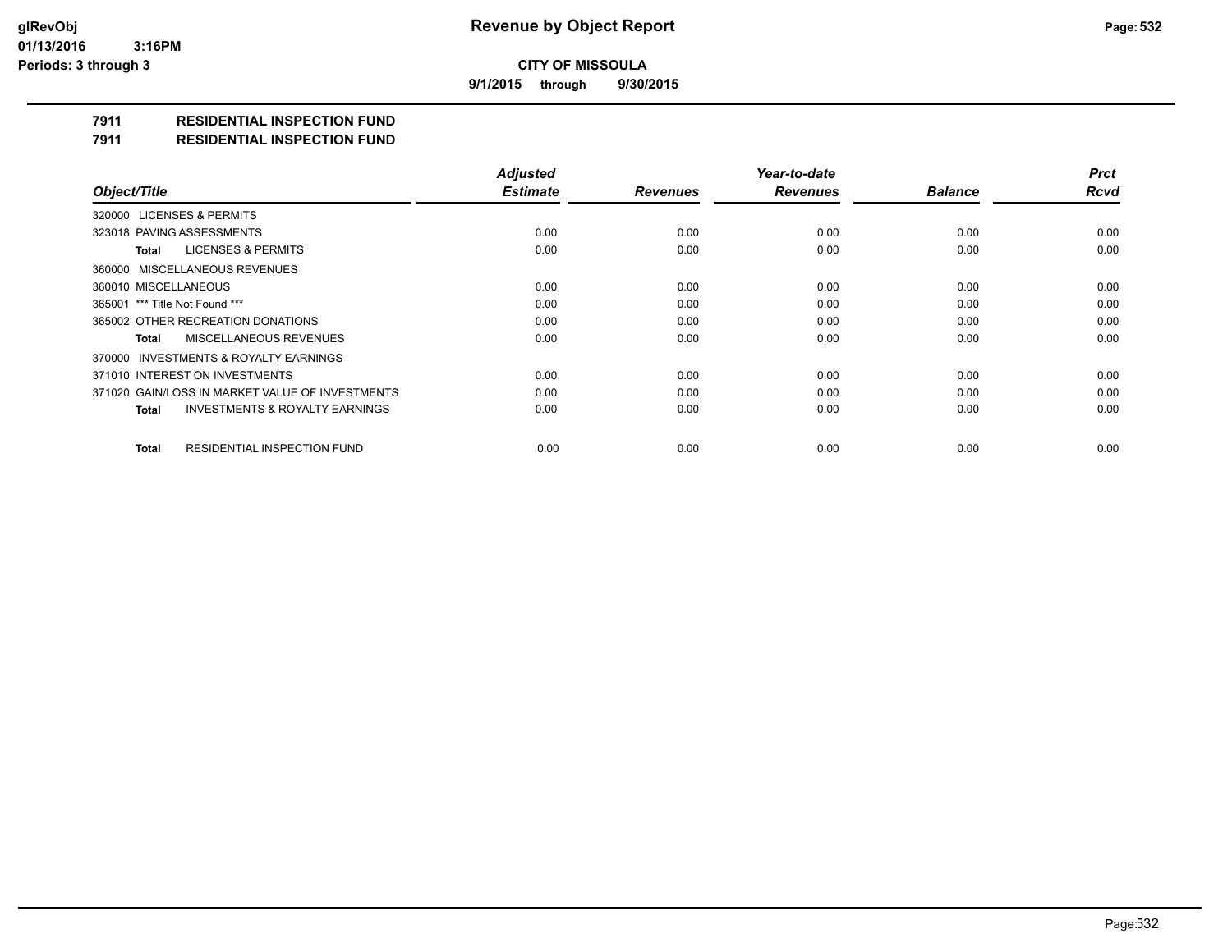**9/1/2015 through 9/30/2015**

## **7911 RESIDENTIAL INSPECTION FUND**

#### **7911 RESIDENTIAL INSPECTION FUND**

|                                                    | <b>Adjusted</b> |                 | Year-to-date    |                | <b>Prct</b> |
|----------------------------------------------------|-----------------|-----------------|-----------------|----------------|-------------|
| Object/Title                                       | <b>Estimate</b> | <b>Revenues</b> | <b>Revenues</b> | <b>Balance</b> | <b>Rcvd</b> |
| 320000 LICENSES & PERMITS                          |                 |                 |                 |                |             |
| 323018 PAVING ASSESSMENTS                          | 0.00            | 0.00            | 0.00            | 0.00           | 0.00        |
| LICENSES & PERMITS<br>Total                        | 0.00            | 0.00            | 0.00            | 0.00           | 0.00        |
| 360000 MISCELLANEOUS REVENUES                      |                 |                 |                 |                |             |
| 360010 MISCELLANEOUS                               | 0.00            | 0.00            | 0.00            | 0.00           | 0.00        |
| 365001 *** Title Not Found ***                     | 0.00            | 0.00            | 0.00            | 0.00           | 0.00        |
| 365002 OTHER RECREATION DONATIONS                  | 0.00            | 0.00            | 0.00            | 0.00           | 0.00        |
| MISCELLANEOUS REVENUES<br>Total                    | 0.00            | 0.00            | 0.00            | 0.00           | 0.00        |
| 370000 INVESTMENTS & ROYALTY EARNINGS              |                 |                 |                 |                |             |
| 371010 INTEREST ON INVESTMENTS                     | 0.00            | 0.00            | 0.00            | 0.00           | 0.00        |
| 371020 GAIN/LOSS IN MARKET VALUE OF INVESTMENTS    | 0.00            | 0.00            | 0.00            | 0.00           | 0.00        |
| <b>INVESTMENTS &amp; ROYALTY EARNINGS</b><br>Total | 0.00            | 0.00            | 0.00            | 0.00           | 0.00        |
| <b>RESIDENTIAL INSPECTION FUND</b><br><b>Total</b> | 0.00            | 0.00            | 0.00            | 0.00           | 0.00        |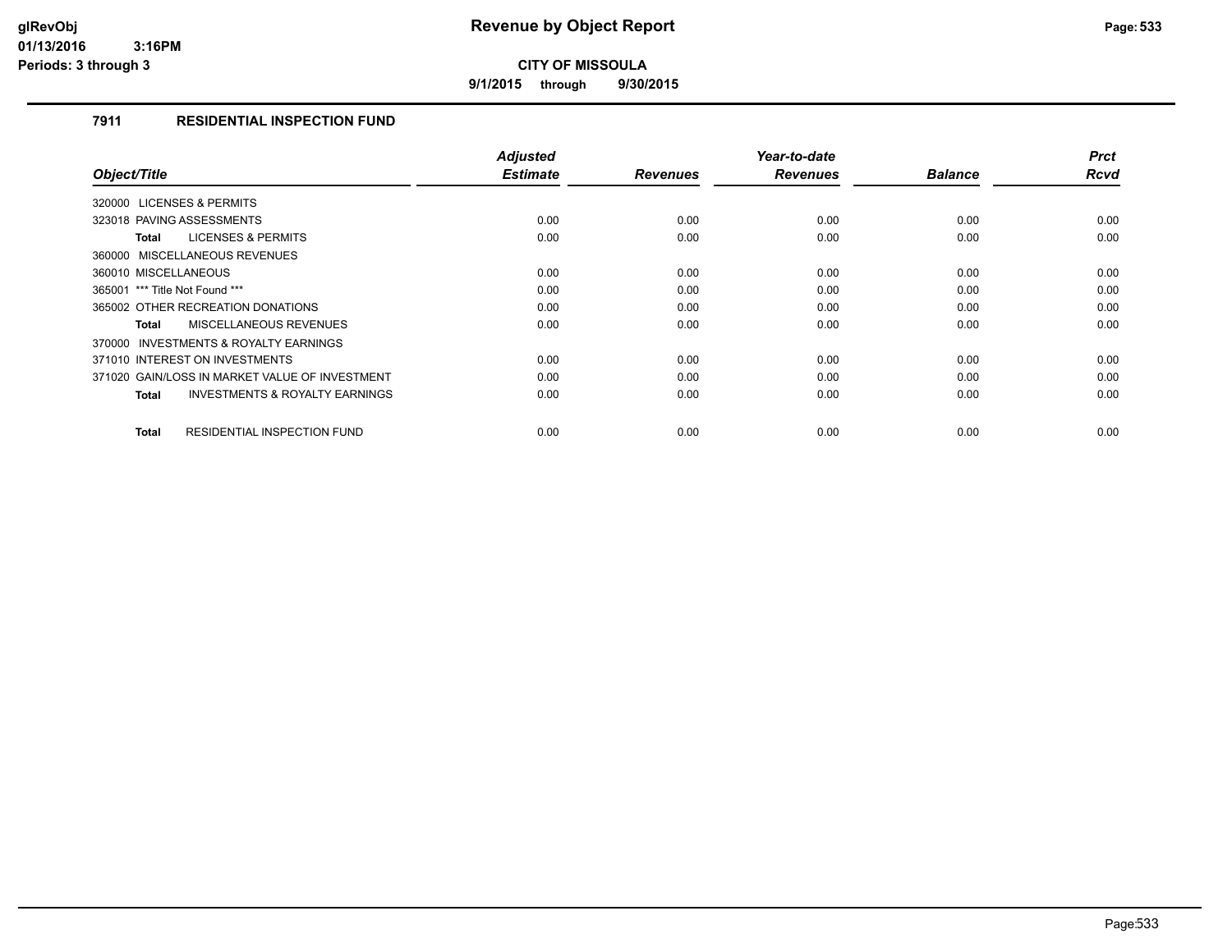**9/1/2015 through 9/30/2015**

#### **7911 RESIDENTIAL INSPECTION FUND**

| Object/Title                                       | <b>Adjusted</b><br><b>Estimate</b> | <b>Revenues</b> | Year-to-date<br><b>Revenues</b> | <b>Balance</b> | <b>Prct</b><br><b>Rcvd</b> |
|----------------------------------------------------|------------------------------------|-----------------|---------------------------------|----------------|----------------------------|
|                                                    |                                    |                 |                                 |                |                            |
| 320000 LICENSES & PERMITS                          |                                    |                 |                                 |                |                            |
| 323018 PAVING ASSESSMENTS                          | 0.00                               | 0.00            | 0.00                            | 0.00           | 0.00                       |
| <b>LICENSES &amp; PERMITS</b><br>Total             | 0.00                               | 0.00            | 0.00                            | 0.00           | 0.00                       |
| 360000 MISCELLANEOUS REVENUES                      |                                    |                 |                                 |                |                            |
| 360010 MISCELLANEOUS                               | 0.00                               | 0.00            | 0.00                            | 0.00           | 0.00                       |
| 365001 *** Title Not Found ***                     | 0.00                               | 0.00            | 0.00                            | 0.00           | 0.00                       |
| 365002 OTHER RECREATION DONATIONS                  | 0.00                               | 0.00            | 0.00                            | 0.00           | 0.00                       |
| <b>MISCELLANEOUS REVENUES</b><br>Total             | 0.00                               | 0.00            | 0.00                            | 0.00           | 0.00                       |
| 370000 INVESTMENTS & ROYALTY EARNINGS              |                                    |                 |                                 |                |                            |
| 371010 INTEREST ON INVESTMENTS                     | 0.00                               | 0.00            | 0.00                            | 0.00           | 0.00                       |
| 371020 GAIN/LOSS IN MARKET VALUE OF INVESTMENT     | 0.00                               | 0.00            | 0.00                            | 0.00           | 0.00                       |
| <b>INVESTMENTS &amp; ROYALTY EARNINGS</b><br>Total | 0.00                               | 0.00            | 0.00                            | 0.00           | 0.00                       |
|                                                    |                                    |                 |                                 |                |                            |
| <b>RESIDENTIAL INSPECTION FUND</b><br><b>Total</b> | 0.00                               | 0.00            | 0.00                            | 0.00           | 0.00                       |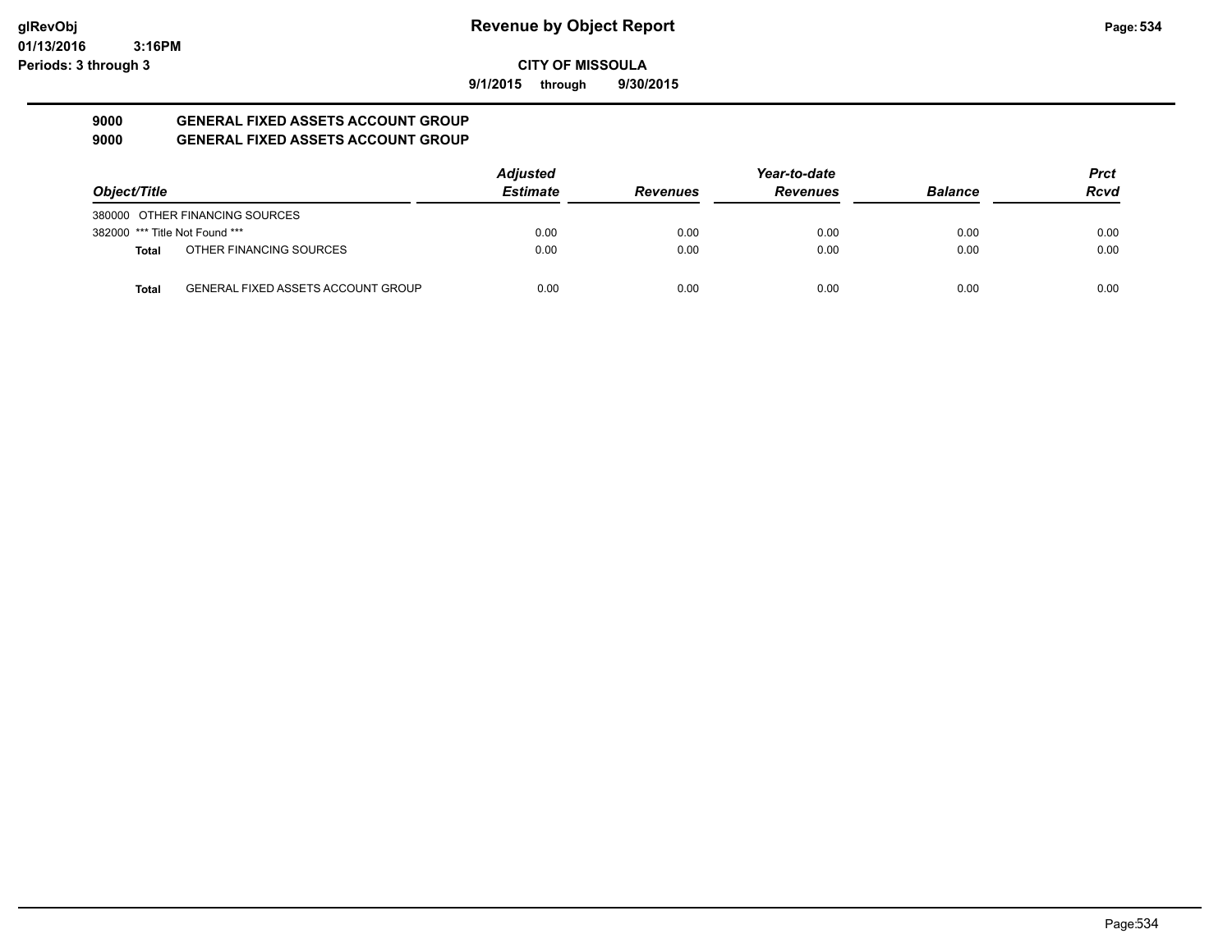**9/1/2015 through 9/30/2015**

#### **9000 GENERAL FIXED ASSETS ACCOUNT GROUP 9000 GENERAL FIXED ASSETS ACCOUNT GROUP**

|                                |                                           | <b>Adjusted</b> |                 | Year-to-date    |                | <b>Prct</b> |
|--------------------------------|-------------------------------------------|-----------------|-----------------|-----------------|----------------|-------------|
| Object/Title                   |                                           | <b>Estimate</b> | <b>Revenues</b> | <b>Revenues</b> | <b>Balance</b> | <b>Rcvd</b> |
|                                | 380000 OTHER FINANCING SOURCES            |                 |                 |                 |                |             |
| 382000 *** Title Not Found *** |                                           | 0.00            | 0.00            | 0.00            | 0.00           | 0.00        |
| <b>Total</b>                   | OTHER FINANCING SOURCES                   | 0.00            | 0.00            | 0.00            | 0.00           | 0.00        |
| <b>Total</b>                   | <b>GENERAL FIXED ASSETS ACCOUNT GROUP</b> | 0.00            | 0.00            | 0.00            | 0.00           | 0.00        |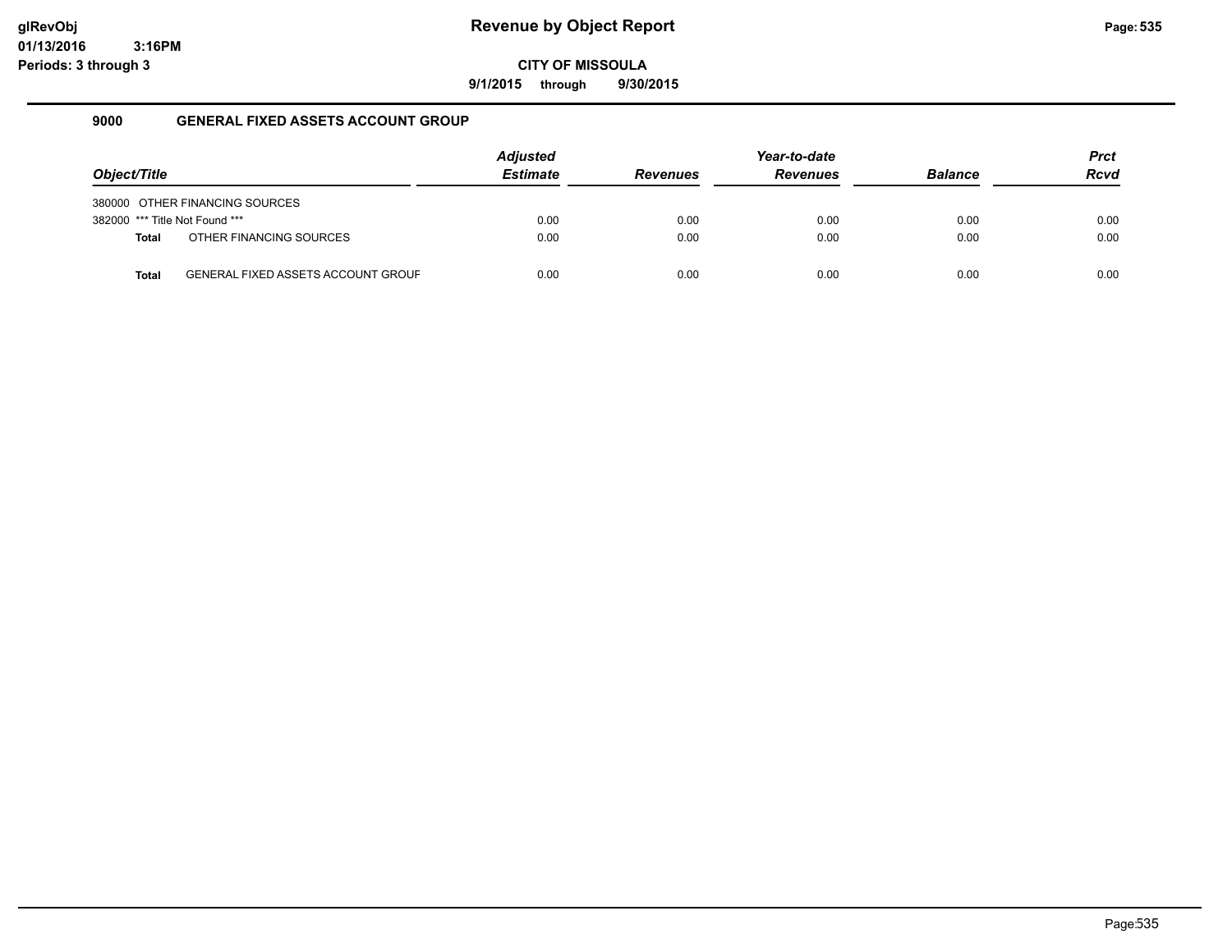**9/1/2015 through 9/30/2015**

#### **9000 GENERAL FIXED ASSETS ACCOUNT GROUP**

| Object/Title                   |                                           | <b>Adjusted</b><br><b>Estimate</b> | <b>Revenues</b> | Year-to-date<br><b>Revenues</b> | <b>Balance</b> | <b>Prct</b><br><b>Rcvd</b> |
|--------------------------------|-------------------------------------------|------------------------------------|-----------------|---------------------------------|----------------|----------------------------|
|                                | 380000 OTHER FINANCING SOURCES            |                                    |                 |                                 |                |                            |
| 382000 *** Title Not Found *** |                                           | 0.00                               | 0.00            | 0.00                            | 0.00           | 0.00                       |
| <b>Total</b>                   | OTHER FINANCING SOURCES                   | 0.00                               | 0.00            | 0.00                            | 0.00           | 0.00                       |
| <b>Total</b>                   | <b>GENERAL FIXED ASSETS ACCOUNT GROUF</b> | 0.00                               | 0.00            | 0.00                            | 0.00           | 0.00                       |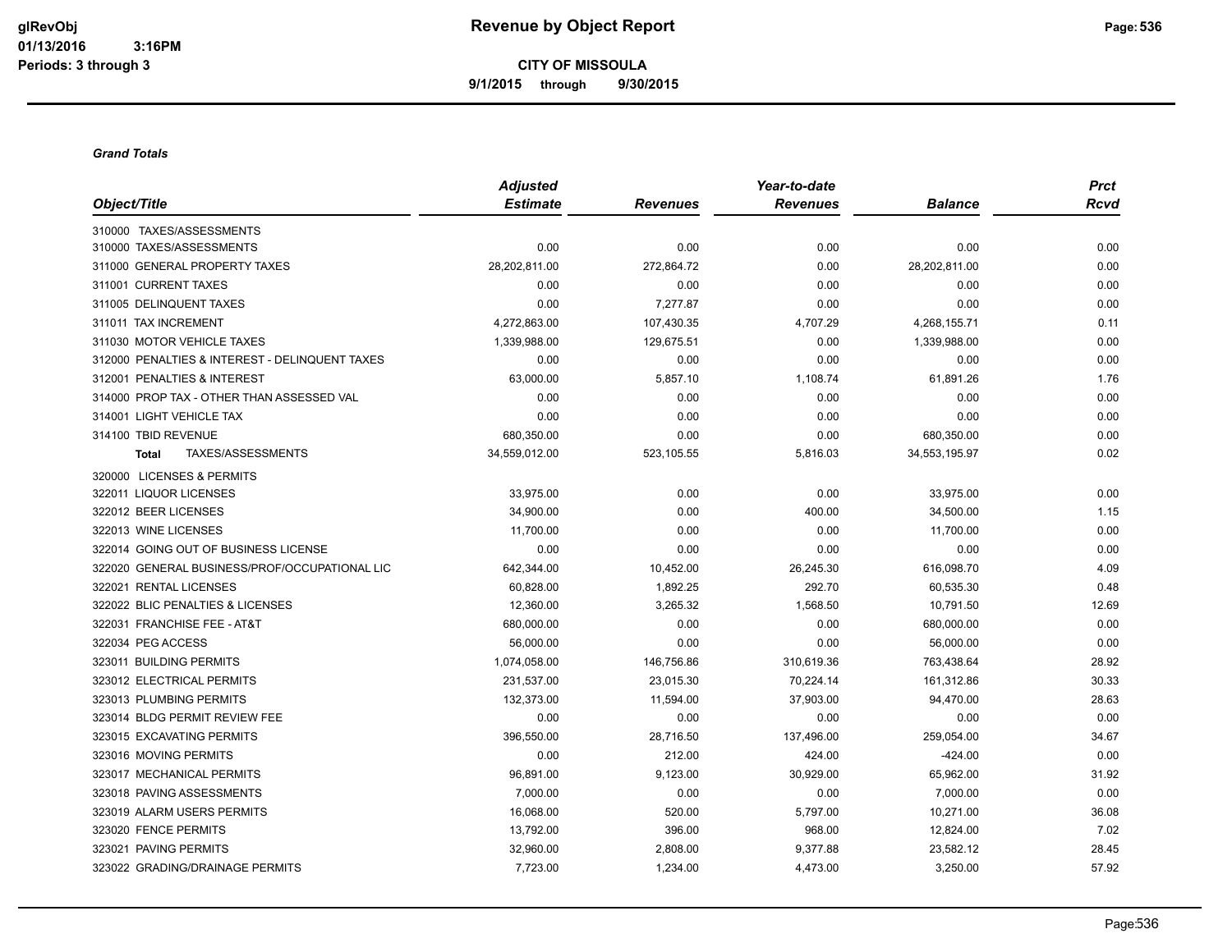**CITY OF MISSOULA 9/1/2015 through 9/30/2015**

#### *Grand Totals*

|                                                | <b>Adjusted</b> |                 | Year-to-date    |                | <b>Prct</b><br><b>Rcvd</b> |
|------------------------------------------------|-----------------|-----------------|-----------------|----------------|----------------------------|
| Object/Title                                   | <b>Estimate</b> | <b>Revenues</b> | <b>Revenues</b> | <b>Balance</b> |                            |
| 310000 TAXES/ASSESSMENTS                       |                 |                 |                 |                |                            |
| 310000 TAXES/ASSESSMENTS                       | 0.00            | 0.00            | 0.00            | 0.00           | 0.00                       |
| 311000 GENERAL PROPERTY TAXES                  | 28,202,811.00   | 272,864.72      | 0.00            | 28,202,811.00  | 0.00                       |
| 311001 CURRENT TAXES                           | 0.00            | 0.00            | 0.00            | 0.00           | 0.00                       |
| 311005 DELINQUENT TAXES                        | 0.00            | 7,277.87        | 0.00            | 0.00           | 0.00                       |
| 311011 TAX INCREMENT                           | 4,272,863.00    | 107,430.35      | 4,707.29        | 4,268,155.71   | 0.11                       |
| 311030 MOTOR VEHICLE TAXES                     | 1,339,988.00    | 129,675.51      | 0.00            | 1,339,988.00   | 0.00                       |
| 312000 PENALTIES & INTEREST - DELINQUENT TAXES | 0.00            | 0.00            | 0.00            | 0.00           | 0.00                       |
| 312001 PENALTIES & INTEREST                    | 63,000.00       | 5,857.10        | 1,108.74        | 61,891.26      | 1.76                       |
| 314000 PROP TAX - OTHER THAN ASSESSED VAL      | 0.00            | 0.00            | 0.00            | 0.00           | 0.00                       |
| 314001 LIGHT VEHICLE TAX                       | 0.00            | 0.00            | 0.00            | 0.00           | 0.00                       |
| 314100 TBID REVENUE                            | 680,350.00      | 0.00            | 0.00            | 680,350.00     | 0.00                       |
| TAXES/ASSESSMENTS<br><b>Total</b>              | 34,559,012.00   | 523,105.55      | 5,816.03        | 34,553,195.97  | 0.02                       |
| 320000 LICENSES & PERMITS                      |                 |                 |                 |                |                            |
| 322011 LIQUOR LICENSES                         | 33,975.00       | 0.00            | 0.00            | 33,975.00      | 0.00                       |
| 322012 BEER LICENSES                           | 34,900.00       | 0.00            | 400.00          | 34,500.00      | 1.15                       |
| 322013 WINE LICENSES                           | 11,700.00       | 0.00            | 0.00            | 11,700.00      | 0.00                       |
| 322014 GOING OUT OF BUSINESS LICENSE           | 0.00            | 0.00            | 0.00            | 0.00           | 0.00                       |
| 322020 GENERAL BUSINESS/PROF/OCCUPATIONAL LIC  | 642,344.00      | 10,452.00       | 26,245.30       | 616,098.70     | 4.09                       |
| 322021 RENTAL LICENSES                         | 60,828.00       | 1,892.25        | 292.70          | 60,535.30      | 0.48                       |
| 322022 BLIC PENALTIES & LICENSES               | 12,360.00       | 3,265.32        | 1,568.50        | 10,791.50      | 12.69                      |
| 322031 FRANCHISE FEE - AT&T                    | 680,000.00      | 0.00            | 0.00            | 680,000.00     | 0.00                       |
| 322034 PEG ACCESS                              | 56,000.00       | 0.00            | 0.00            | 56,000.00      | 0.00                       |
| 323011 BUILDING PERMITS                        | 1,074,058.00    | 146,756.86      | 310,619.36      | 763,438.64     | 28.92                      |
| 323012 ELECTRICAL PERMITS                      | 231,537.00      | 23,015.30       | 70,224.14       | 161,312.86     | 30.33                      |
| 323013 PLUMBING PERMITS                        | 132,373.00      | 11,594.00       | 37,903.00       | 94,470.00      | 28.63                      |
| 323014 BLDG PERMIT REVIEW FEE                  | 0.00            | 0.00            | 0.00            | 0.00           | 0.00                       |
| 323015 EXCAVATING PERMITS                      | 396,550.00      | 28,716.50       | 137,496.00      | 259,054.00     | 34.67                      |
| 323016 MOVING PERMITS                          | 0.00            | 212.00          | 424.00          | $-424.00$      | 0.00                       |
| 323017 MECHANICAL PERMITS                      | 96,891.00       | 9,123.00        | 30,929.00       | 65,962.00      | 31.92                      |
| 323018 PAVING ASSESSMENTS                      | 7,000.00        | 0.00            | 0.00            | 7,000.00       | 0.00                       |
| 323019 ALARM USERS PERMITS                     | 16,068.00       | 520.00          | 5,797.00        | 10,271.00      | 36.08                      |
| 323020 FENCE PERMITS                           | 13,792.00       | 396.00          | 968.00          | 12,824.00      | 7.02                       |
| 323021 PAVING PERMITS                          | 32,960.00       | 2,808.00        | 9,377.88        | 23,582.12      | 28.45                      |
| 323022 GRADING/DRAINAGE PERMITS                | 7,723.00        | 1,234.00        | 4,473.00        | 3,250.00       | 57.92                      |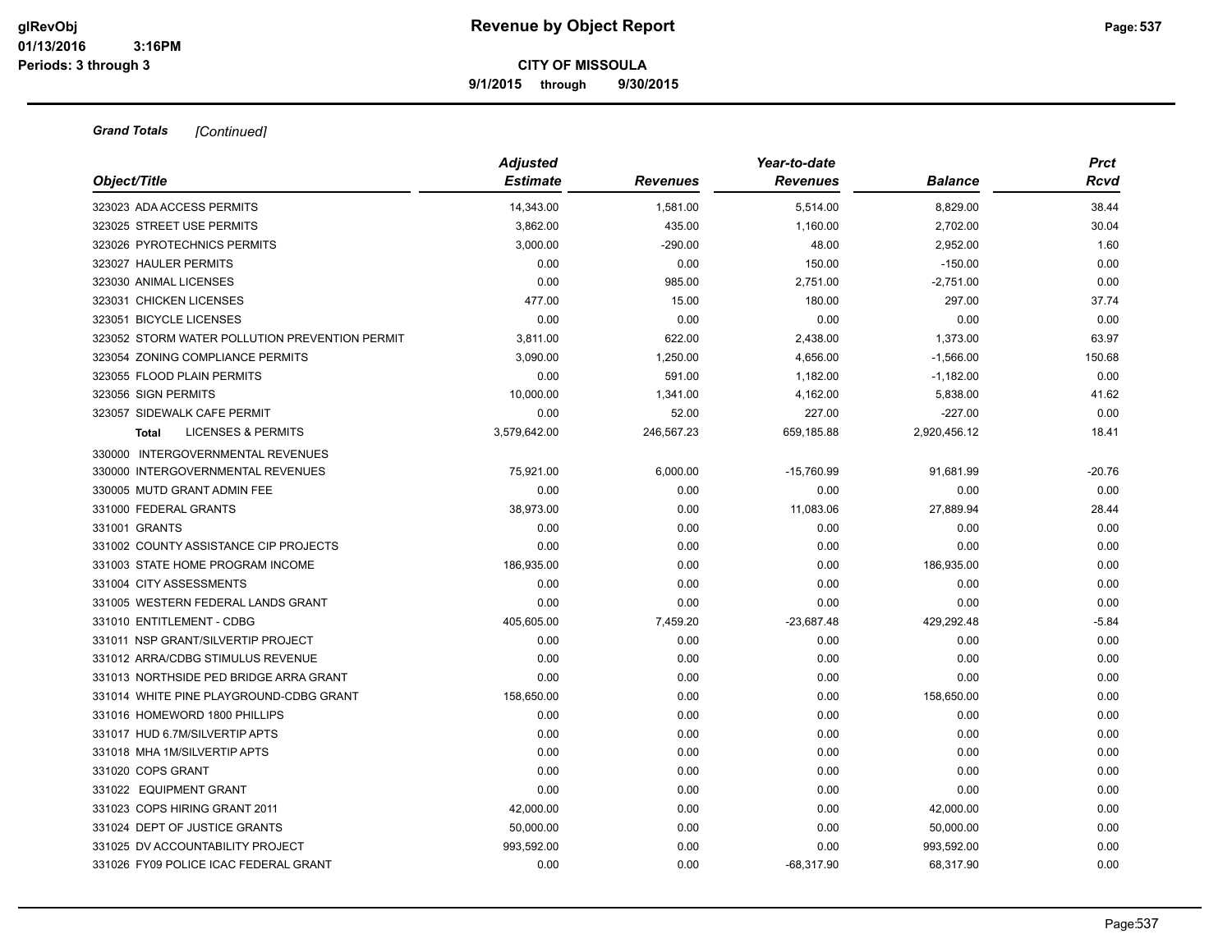**9/1/2015 through 9/30/2015**

| Object/Title                                   | <b>Adjusted</b><br><b>Estimate</b> | Revenues   | Year-to-date<br><b>Revenues</b> | <b>Balance</b> | <b>Prct</b><br>Rcvd |
|------------------------------------------------|------------------------------------|------------|---------------------------------|----------------|---------------------|
| 323023 ADA ACCESS PERMITS                      | 14,343.00                          | 1,581.00   | 5,514.00                        | 8,829.00       | 38.44               |
| 323025 STREET USE PERMITS                      | 3,862.00                           | 435.00     | 1,160.00                        | 2,702.00       | 30.04               |
| 323026 PYROTECHNICS PERMITS                    | 3,000.00                           | $-290.00$  | 48.00                           | 2,952.00       | 1.60                |
| 323027 HAULER PERMITS                          | 0.00                               | 0.00       | 150.00                          | $-150.00$      | 0.00                |
| 323030 ANIMAL LICENSES                         | 0.00                               | 985.00     | 2,751.00                        | $-2,751.00$    | 0.00                |
| 323031 CHICKEN LICENSES                        | 477.00                             | 15.00      | 180.00                          | 297.00         | 37.74               |
| 323051 BICYCLE LICENSES                        | 0.00                               | 0.00       | 0.00                            | 0.00           | 0.00                |
| 323052 STORM WATER POLLUTION PREVENTION PERMIT | 3,811.00                           | 622.00     | 2,438.00                        | 1,373.00       | 63.97               |
| 323054 ZONING COMPLIANCE PERMITS               | 3,090.00                           | 1,250.00   | 4,656.00                        | $-1,566.00$    | 150.68              |
| 323055 FLOOD PLAIN PERMITS                     | 0.00                               | 591.00     | 1,182.00                        | $-1,182.00$    | 0.00                |
| 323056 SIGN PERMITS                            | 10,000.00                          | 1,341.00   | 4,162.00                        | 5,838.00       | 41.62               |
| 323057 SIDEWALK CAFE PERMIT                    | 0.00                               | 52.00      | 227.00                          | $-227.00$      | 0.00                |
| <b>LICENSES &amp; PERMITS</b><br>Total         | 3,579,642.00                       | 246,567.23 | 659,185.88                      | 2,920,456.12   | 18.41               |
| 330000 INTERGOVERNMENTAL REVENUES              |                                    |            |                                 |                |                     |
| 330000 INTERGOVERNMENTAL REVENUES              | 75,921.00                          | 6,000.00   | $-15,760.99$                    | 91,681.99      | $-20.76$            |
| 330005 MUTD GRANT ADMIN FEE                    | 0.00                               | 0.00       | 0.00                            | 0.00           | 0.00                |
| 331000 FEDERAL GRANTS                          | 38,973.00                          | 0.00       | 11,083.06                       | 27,889.94      | 28.44               |
| 331001 GRANTS                                  | 0.00                               | 0.00       | 0.00                            | 0.00           | 0.00                |
| 331002 COUNTY ASSISTANCE CIP PROJECTS          | 0.00                               | 0.00       | 0.00                            | 0.00           | 0.00                |
| 331003 STATE HOME PROGRAM INCOME               | 186,935.00                         | 0.00       | 0.00                            | 186,935.00     | 0.00                |
| 331004 CITY ASSESSMENTS                        | 0.00                               | 0.00       | 0.00                            | 0.00           | 0.00                |
| 331005 WESTERN FEDERAL LANDS GRANT             | 0.00                               | 0.00       | 0.00                            | 0.00           | 0.00                |
| 331010 ENTITLEMENT - CDBG                      | 405,605.00                         | 7,459.20   | $-23,687.48$                    | 429,292.48     | $-5.84$             |
| 331011 NSP GRANT/SILVERTIP PROJECT             | 0.00                               | 0.00       | 0.00                            | 0.00           | 0.00                |
| 331012 ARRA/CDBG STIMULUS REVENUE              | 0.00                               | 0.00       | 0.00                            | 0.00           | 0.00                |
| 331013 NORTHSIDE PED BRIDGE ARRA GRANT         | 0.00                               | 0.00       | 0.00                            | 0.00           | 0.00                |
| 331014 WHITE PINE PLAYGROUND-CDBG GRANT        | 158,650.00                         | 0.00       | 0.00                            | 158,650.00     | 0.00                |
| 331016 HOMEWORD 1800 PHILLIPS                  | 0.00                               | 0.00       | 0.00                            | 0.00           | 0.00                |
| 331017 HUD 6.7M/SILVERTIP APTS                 | 0.00                               | 0.00       | 0.00                            | 0.00           | 0.00                |
| 331018 MHA 1M/SILVERTIP APTS                   | 0.00                               | 0.00       | 0.00                            | 0.00           | 0.00                |
| 331020 COPS GRANT                              | 0.00                               | 0.00       | 0.00                            | 0.00           | 0.00                |
| 331022 EQUIPMENT GRANT                         | 0.00                               | 0.00       | 0.00                            | 0.00           | 0.00                |
| 331023 COPS HIRING GRANT 2011                  | 42,000.00                          | 0.00       | 0.00                            | 42,000.00      | 0.00                |
| 331024 DEPT OF JUSTICE GRANTS                  | 50,000.00                          | 0.00       | 0.00                            | 50,000.00      | 0.00                |
| 331025 DV ACCOUNTABILITY PROJECT               | 993,592.00                         | 0.00       | 0.00                            | 993,592.00     | 0.00                |
| 331026 FY09 POLICE ICAC FEDERAL GRANT          | 0.00                               | 0.00       | $-68.317.90$                    | 68.317.90      | 0.00                |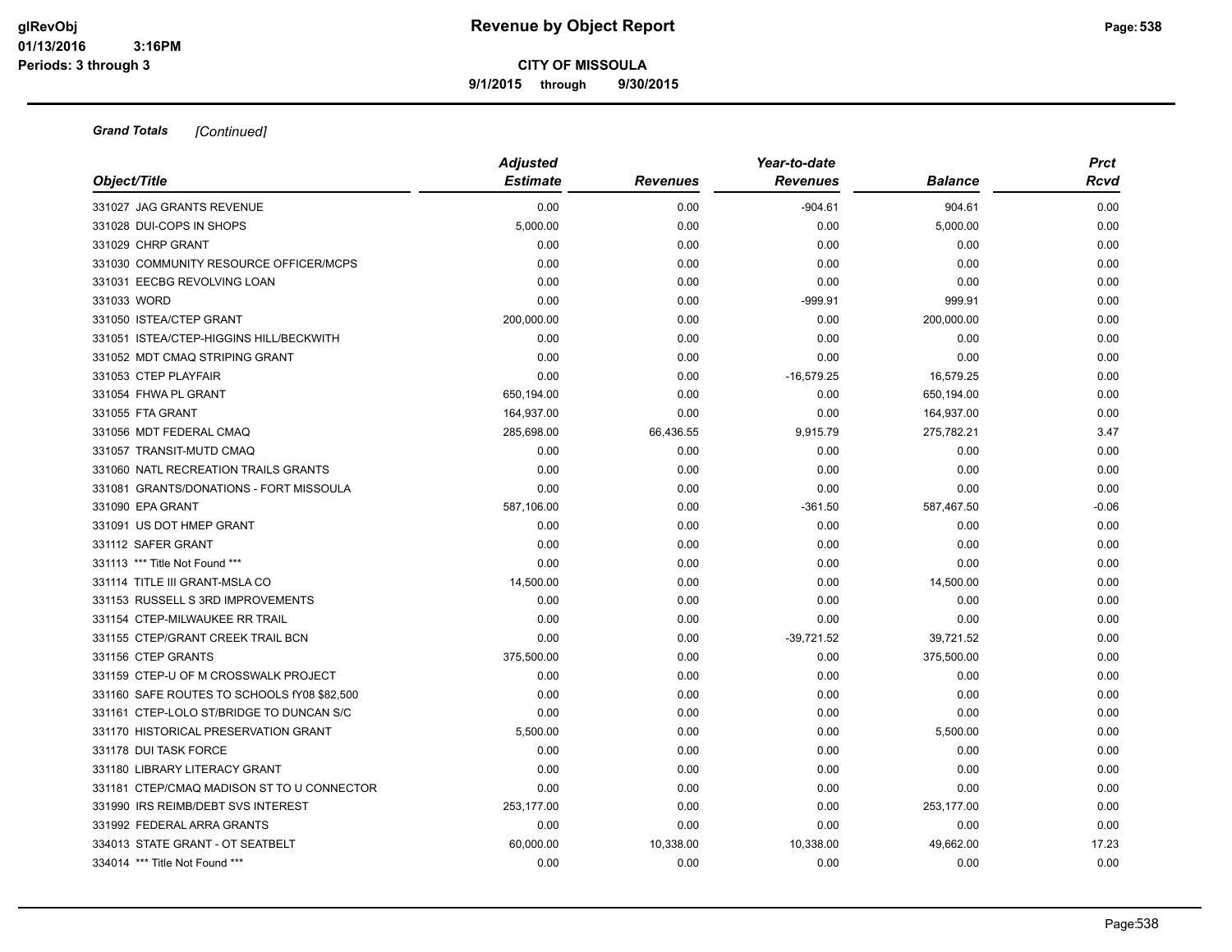**9/1/2015 through 9/30/2015**

|                                             | <b>Adjusted</b> |                 | Year-to-date    |                | <b>Prct</b> |
|---------------------------------------------|-----------------|-----------------|-----------------|----------------|-------------|
| Object/Title                                | <b>Estimate</b> | <b>Revenues</b> | <b>Revenues</b> | <b>Balance</b> | <b>Rcvd</b> |
| 331027 JAG GRANTS REVENUE                   | 0.00            | 0.00            | $-904.61$       | 904.61         | 0.00        |
| 331028 DUI-COPS IN SHOPS                    | 5,000.00        | 0.00            | 0.00            | 5,000.00       | 0.00        |
| 331029 CHRP GRANT                           | 0.00            | 0.00            | 0.00            | 0.00           | 0.00        |
| 331030 COMMUNITY RESOURCE OFFICER/MCPS      | 0.00            | 0.00            | 0.00            | 0.00           | 0.00        |
| 331031 EECBG REVOLVING LOAN                 | 0.00            | 0.00            | 0.00            | 0.00           | 0.00        |
| 331033 WORD                                 | 0.00            | 0.00            | $-999.91$       | 999.91         | 0.00        |
| 331050 ISTEA/CTEP GRANT                     | 200,000.00      | 0.00            | 0.00            | 200,000.00     | 0.00        |
| 331051 ISTEA/CTEP-HIGGINS HILL/BECKWITH     | 0.00            | 0.00            | 0.00            | 0.00           | 0.00        |
| 331052 MDT CMAQ STRIPING GRANT              | 0.00            | 0.00            | 0.00            | 0.00           | 0.00        |
| 331053 CTEP PLAYFAIR                        | 0.00            | 0.00            | $-16,579.25$    | 16,579.25      | 0.00        |
| 331054 FHWA PL GRANT                        | 650,194.00      | 0.00            | 0.00            | 650,194.00     | 0.00        |
| 331055 FTA GRANT                            | 164,937.00      | 0.00            | 0.00            | 164,937.00     | 0.00        |
| 331056 MDT FEDERAL CMAQ                     | 285,698.00      | 66,436.55       | 9,915.79        | 275,782.21     | 3.47        |
| 331057 TRANSIT-MUTD CMAQ                    | 0.00            | 0.00            | 0.00            | 0.00           | 0.00        |
| 331060 NATL RECREATION TRAILS GRANTS        | 0.00            | 0.00            | 0.00            | 0.00           | 0.00        |
| 331081 GRANTS/DONATIONS - FORT MISSOULA     | 0.00            | 0.00            | 0.00            | 0.00           | 0.00        |
| 331090 EPA GRANT                            | 587,106.00      | 0.00            | $-361.50$       | 587,467.50     | $-0.06$     |
| 331091 US DOT HMEP GRANT                    | 0.00            | 0.00            | 0.00            | 0.00           | 0.00        |
| 331112 SAFER GRANT                          | 0.00            | 0.00            | 0.00            | 0.00           | 0.00        |
| 331113 *** Title Not Found ***              | 0.00            | 0.00            | 0.00            | 0.00           | 0.00        |
| 331114 TITLE III GRANT-MSLA CO              | 14,500.00       | 0.00            | 0.00            | 14,500.00      | 0.00        |
| 331153 RUSSELL S 3RD IMPROVEMENTS           | 0.00            | 0.00            | 0.00            | 0.00           | 0.00        |
| 331154 CTEP-MILWAUKEE RR TRAIL              | 0.00            | 0.00            | 0.00            | 0.00           | 0.00        |
| 331155 CTEP/GRANT CREEK TRAIL BCN           | 0.00            | 0.00            | $-39,721.52$    | 39,721.52      | 0.00        |
| 331156 CTEP GRANTS                          | 375,500.00      | 0.00            | 0.00            | 375,500.00     | 0.00        |
| 331159 CTEP-U OF M CROSSWALK PROJECT        | 0.00            | 0.00            | 0.00            | 0.00           | 0.00        |
| 331160 SAFE ROUTES TO SCHOOLS fY08 \$82,500 | 0.00            | 0.00            | 0.00            | 0.00           | 0.00        |
| 331161 CTEP-LOLO ST/BRIDGE TO DUNCAN S/C    | 0.00            | 0.00            | 0.00            | 0.00           | 0.00        |
| 331170 HISTORICAL PRESERVATION GRANT        | 5,500.00        | 0.00            | 0.00            | 5,500.00       | 0.00        |
| 331178 DUI TASK FORCE                       | 0.00            | 0.00            | 0.00            | 0.00           | 0.00        |
| 331180 LIBRARY LITERACY GRANT               | 0.00            | 0.00            | 0.00            | 0.00           | 0.00        |
| 331181 CTEP/CMAQ MADISON ST TO U CONNECTOR  | 0.00            | 0.00            | 0.00            | 0.00           | 0.00        |
| 331990 IRS REIMB/DEBT SVS INTEREST          | 253,177.00      | 0.00            | 0.00            | 253,177.00     | 0.00        |
| 331992 FEDERAL ARRA GRANTS                  | 0.00            | 0.00            | 0.00            | 0.00           | 0.00        |
| 334013 STATE GRANT - OT SEATBELT            | 60,000.00       | 10,338.00       | 10,338.00       | 49,662.00      | 17.23       |
| 334014 *** Title Not Found ***              | 0.00            | 0.00            | 0.00            | 0.00           | 0.00        |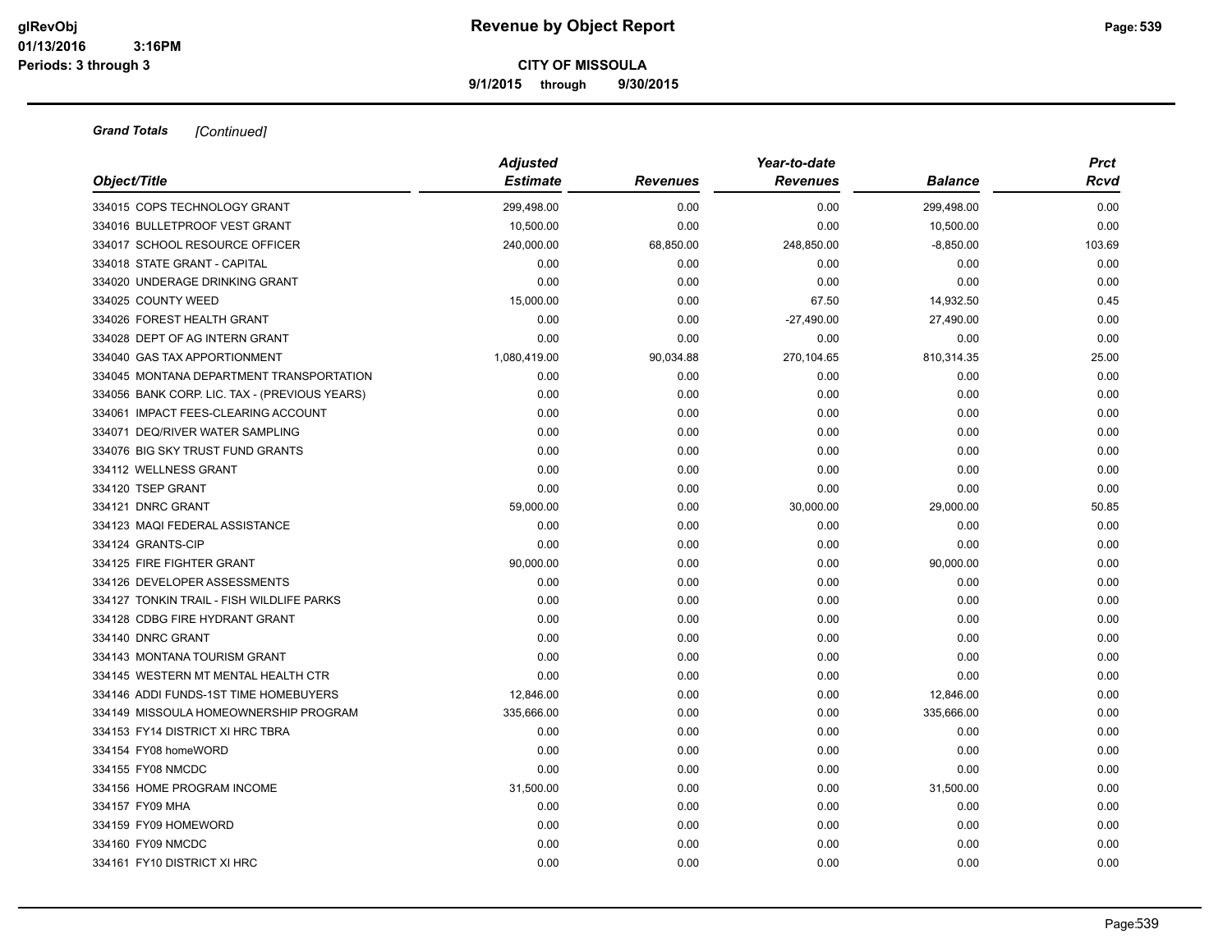**9/1/2015 through 9/30/2015**

|                                               | <b>Adjusted</b> |                 | Year-to-date    |                |             |  |
|-----------------------------------------------|-----------------|-----------------|-----------------|----------------|-------------|--|
| Object/Title                                  | <b>Estimate</b> | <b>Revenues</b> | <b>Revenues</b> | <b>Balance</b> | <b>Rcvd</b> |  |
| 334015 COPS TECHNOLOGY GRANT                  | 299,498.00      | 0.00            | 0.00            | 299,498.00     | 0.00        |  |
| 334016 BULLETPROOF VEST GRANT                 | 10,500.00       | 0.00            | 0.00            | 10,500.00      | 0.00        |  |
| 334017 SCHOOL RESOURCE OFFICER                | 240,000.00      | 68,850.00       | 248,850.00      | $-8,850.00$    | 103.69      |  |
| 334018 STATE GRANT - CAPITAL                  | 0.00            | 0.00            | 0.00            | 0.00           | 0.00        |  |
| 334020 UNDERAGE DRINKING GRANT                | 0.00            | 0.00            | 0.00            | 0.00           | 0.00        |  |
| 334025 COUNTY WEED                            | 15,000.00       | 0.00            | 67.50           | 14,932.50      | 0.45        |  |
| 334026 FOREST HEALTH GRANT                    | 0.00            | 0.00            | $-27,490.00$    | 27,490.00      | 0.00        |  |
| 334028 DEPT OF AG INTERN GRANT                | 0.00            | 0.00            | 0.00            | 0.00           | 0.00        |  |
| 334040 GAS TAX APPORTIONMENT                  | 1,080,419.00    | 90,034.88       | 270,104.65      | 810,314.35     | 25.00       |  |
| 334045 MONTANA DEPARTMENT TRANSPORTATION      | 0.00            | 0.00            | 0.00            | 0.00           | 0.00        |  |
| 334056 BANK CORP. LIC. TAX - (PREVIOUS YEARS) | 0.00            | 0.00            | 0.00            | 0.00           | 0.00        |  |
| 334061 IMPACT FEES-CLEARING ACCOUNT           | 0.00            | 0.00            | 0.00            | 0.00           | 0.00        |  |
| 334071 DEQ/RIVER WATER SAMPLING               | 0.00            | 0.00            | 0.00            | 0.00           | 0.00        |  |
| 334076 BIG SKY TRUST FUND GRANTS              | 0.00            | 0.00            | 0.00            | 0.00           | 0.00        |  |
| 334112 WELLNESS GRANT                         | 0.00            | 0.00            | 0.00            | 0.00           | 0.00        |  |
| 334120 TSEP GRANT                             | 0.00            | 0.00            | 0.00            | 0.00           | 0.00        |  |
| 334121 DNRC GRANT                             | 59,000.00       | 0.00            | 30,000.00       | 29,000.00      | 50.85       |  |
| 334123 MAQI FEDERAL ASSISTANCE                | 0.00            | 0.00            | 0.00            | 0.00           | 0.00        |  |
| 334124 GRANTS-CIP                             | 0.00            | 0.00            | 0.00            | 0.00           | 0.00        |  |
| 334125 FIRE FIGHTER GRANT                     | 90,000.00       | 0.00            | 0.00            | 90,000.00      | 0.00        |  |
| 334126 DEVELOPER ASSESSMENTS                  | 0.00            | 0.00            | 0.00            | 0.00           | 0.00        |  |
| 334127 TONKIN TRAIL - FISH WILDLIFE PARKS     | 0.00            | 0.00            | 0.00            | 0.00           | 0.00        |  |
| 334128 CDBG FIRE HYDRANT GRANT                | 0.00            | 0.00            | 0.00            | 0.00           | 0.00        |  |
| 334140 DNRC GRANT                             | 0.00            | 0.00            | 0.00            | 0.00           | 0.00        |  |
| 334143 MONTANA TOURISM GRANT                  | 0.00            | 0.00            | 0.00            | 0.00           | 0.00        |  |
| 334145 WESTERN MT MENTAL HEALTH CTR           | 0.00            | 0.00            | 0.00            | 0.00           | 0.00        |  |
| 334146 ADDI FUNDS-1ST TIME HOMEBUYERS         | 12,846.00       | 0.00            | 0.00            | 12,846.00      | 0.00        |  |
| 334149 MISSOULA HOMEOWNERSHIP PROGRAM         | 335,666.00      | 0.00            | 0.00            | 335,666.00     | 0.00        |  |
| 334153 FY14 DISTRICT XI HRC TBRA              | 0.00            | 0.00            | 0.00            | 0.00           | 0.00        |  |
| 334154 FY08 homeWORD                          | 0.00            | 0.00            | 0.00            | 0.00           | 0.00        |  |
| 334155 FY08 NMCDC                             | 0.00            | 0.00            | 0.00            | 0.00           | 0.00        |  |
| 334156 HOME PROGRAM INCOME                    | 31,500.00       | 0.00            | 0.00            | 31,500.00      | 0.00        |  |
| 334157 FY09 MHA                               | 0.00            | 0.00            | 0.00            | 0.00           | 0.00        |  |
| 334159 FY09 HOMEWORD                          | 0.00            | 0.00            | 0.00            | 0.00           | 0.00        |  |
| 334160 FY09 NMCDC                             | 0.00            | 0.00            | 0.00            | 0.00           | 0.00        |  |
| 334161 FY10 DISTRICT XI HRC                   | 0.00            | 0.00            | 0.00            | 0.00           | 0.00        |  |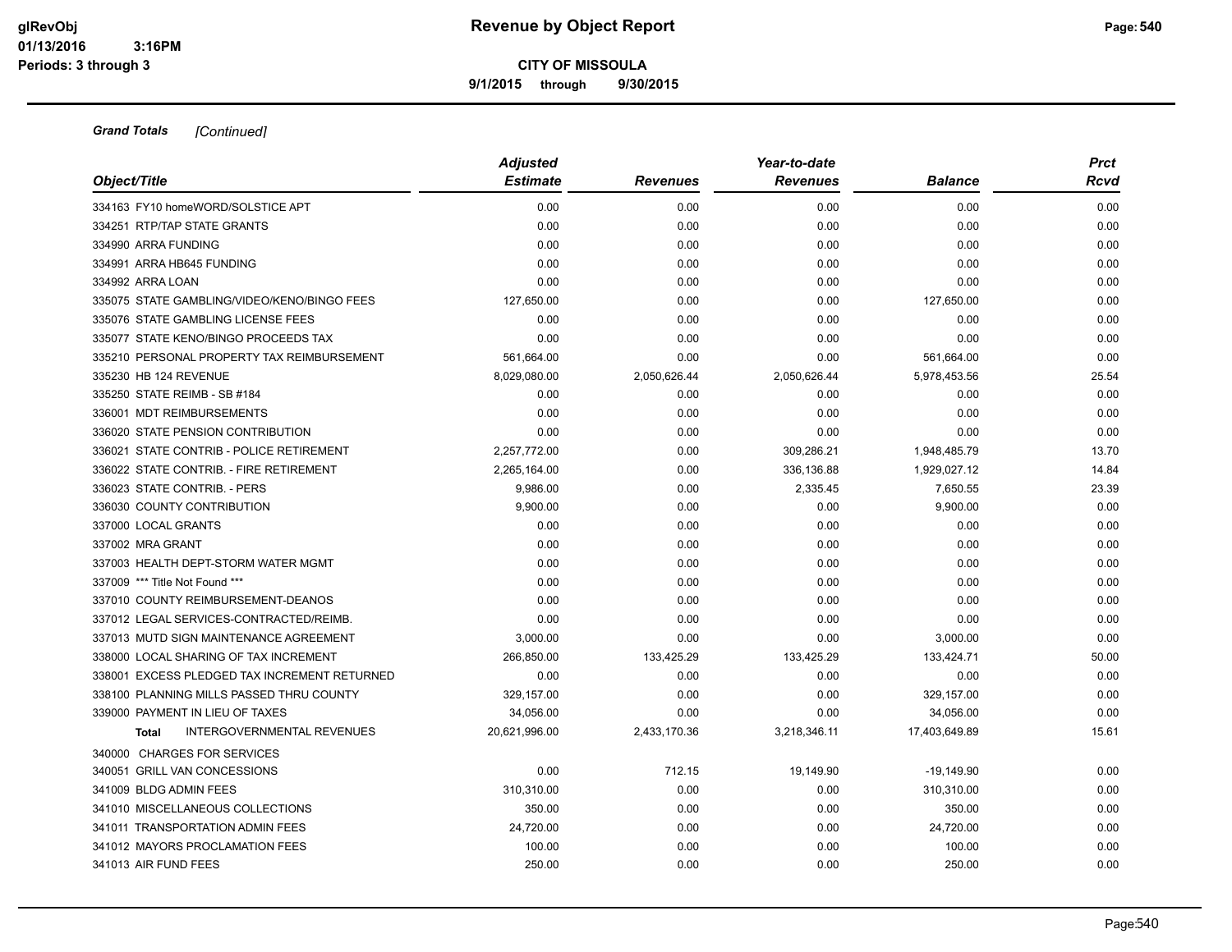**9/1/2015 through 9/30/2015**

| Object/Title                                      | <b>Adjusted</b> |                 | Year-to-date    |                | <b>Prct</b> |
|---------------------------------------------------|-----------------|-----------------|-----------------|----------------|-------------|
|                                                   | <b>Estimate</b> | <b>Revenues</b> | <b>Revenues</b> | <b>Balance</b> | Rcvd        |
| 334163 FY10 homeWORD/SOLSTICE APT                 | 0.00            | 0.00            | 0.00            | 0.00           | 0.00        |
| 334251 RTP/TAP STATE GRANTS                       | 0.00            | 0.00            | 0.00            | 0.00           | 0.00        |
| 334990 ARRA FUNDING                               | 0.00            | 0.00            | 0.00            | 0.00           | 0.00        |
| 334991 ARRA HB645 FUNDING                         | 0.00            | 0.00            | 0.00            | 0.00           | 0.00        |
| 334992 ARRA LOAN                                  | 0.00            | 0.00            | 0.00            | 0.00           | 0.00        |
| 335075 STATE GAMBLING/VIDEO/KENO/BINGO FEES       | 127,650.00      | 0.00            | 0.00            | 127,650.00     | 0.00        |
| 335076 STATE GAMBLING LICENSE FEES                | 0.00            | 0.00            | 0.00            | 0.00           | 0.00        |
| 335077 STATE KENO/BINGO PROCEEDS TAX              | 0.00            | 0.00            | 0.00            | 0.00           | 0.00        |
| 335210 PERSONAL PROPERTY TAX REIMBURSEMENT        | 561,664.00      | 0.00            | 0.00            | 561,664.00     | 0.00        |
| 335230 HB 124 REVENUE                             | 8,029,080.00    | 2,050,626.44    | 2,050,626.44    | 5,978,453.56   | 25.54       |
| 335250 STATE REIMB - SB #184                      | 0.00            | 0.00            | 0.00            | 0.00           | 0.00        |
| 336001 MDT REIMBURSEMENTS                         | 0.00            | 0.00            | 0.00            | 0.00           | 0.00        |
| 336020 STATE PENSION CONTRIBUTION                 | 0.00            | 0.00            | 0.00            | 0.00           | 0.00        |
| 336021 STATE CONTRIB - POLICE RETIREMENT          | 2,257,772.00    | 0.00            | 309,286.21      | 1,948,485.79   | 13.70       |
| 336022 STATE CONTRIB. - FIRE RETIREMENT           | 2,265,164.00    | 0.00            | 336,136.88      | 1,929,027.12   | 14.84       |
| 336023 STATE CONTRIB. - PERS                      | 9,986.00        | 0.00            | 2,335.45        | 7,650.55       | 23.39       |
| 336030 COUNTY CONTRIBUTION                        | 9,900.00        | 0.00            | 0.00            | 9,900.00       | 0.00        |
| 337000 LOCAL GRANTS                               | 0.00            | 0.00            | 0.00            | 0.00           | 0.00        |
| 337002 MRA GRANT                                  | 0.00            | 0.00            | 0.00            | 0.00           | 0.00        |
| 337003 HEALTH DEPT-STORM WATER MGMT               | 0.00            | 0.00            | 0.00            | 0.00           | 0.00        |
| 337009 *** Title Not Found ***                    | 0.00            | 0.00            | 0.00            | 0.00           | 0.00        |
| 337010 COUNTY REIMBURSEMENT-DEANOS                | 0.00            | 0.00            | 0.00            | 0.00           | 0.00        |
| 337012 LEGAL SERVICES-CONTRACTED/REIMB.           | 0.00            | 0.00            | 0.00            | 0.00           | 0.00        |
| 337013 MUTD SIGN MAINTENANCE AGREEMENT            | 3,000.00        | 0.00            | 0.00            | 3,000.00       | 0.00        |
| 338000 LOCAL SHARING OF TAX INCREMENT             | 266,850.00      | 133,425.29      | 133,425.29      | 133,424.71     | 50.00       |
| 338001 EXCESS PLEDGED TAX INCREMENT RETURNED      | 0.00            | 0.00            | 0.00            | 0.00           | 0.00        |
| 338100 PLANNING MILLS PASSED THRU COUNTY          | 329,157.00      | 0.00            | 0.00            | 329,157.00     | 0.00        |
| 339000 PAYMENT IN LIEU OF TAXES                   | 34,056.00       | 0.00            | 0.00            | 34,056.00      | 0.00        |
| <b>INTERGOVERNMENTAL REVENUES</b><br><b>Total</b> | 20,621,996.00   | 2,433,170.36    | 3,218,346.11    | 17,403,649.89  | 15.61       |
| 340000 CHARGES FOR SERVICES                       |                 |                 |                 |                |             |
| 340051 GRILL VAN CONCESSIONS                      | 0.00            | 712.15          | 19,149.90       | $-19,149.90$   | 0.00        |
| 341009 BLDG ADMIN FEES                            | 310,310.00      | 0.00            | 0.00            | 310,310.00     | 0.00        |
| 341010 MISCELLANEOUS COLLECTIONS                  | 350.00          | 0.00            | 0.00            | 350.00         | 0.00        |
| 341011 TRANSPORTATION ADMIN FEES                  | 24,720.00       | 0.00            | 0.00            | 24,720.00      | 0.00        |
| 341012 MAYORS PROCLAMATION FEES                   | 100.00          | 0.00            | 0.00            | 100.00         | 0.00        |
| 341013 AIR FUND FEES                              | 250.00          | 0.00            | 0.00            | 250.00         | 0.00        |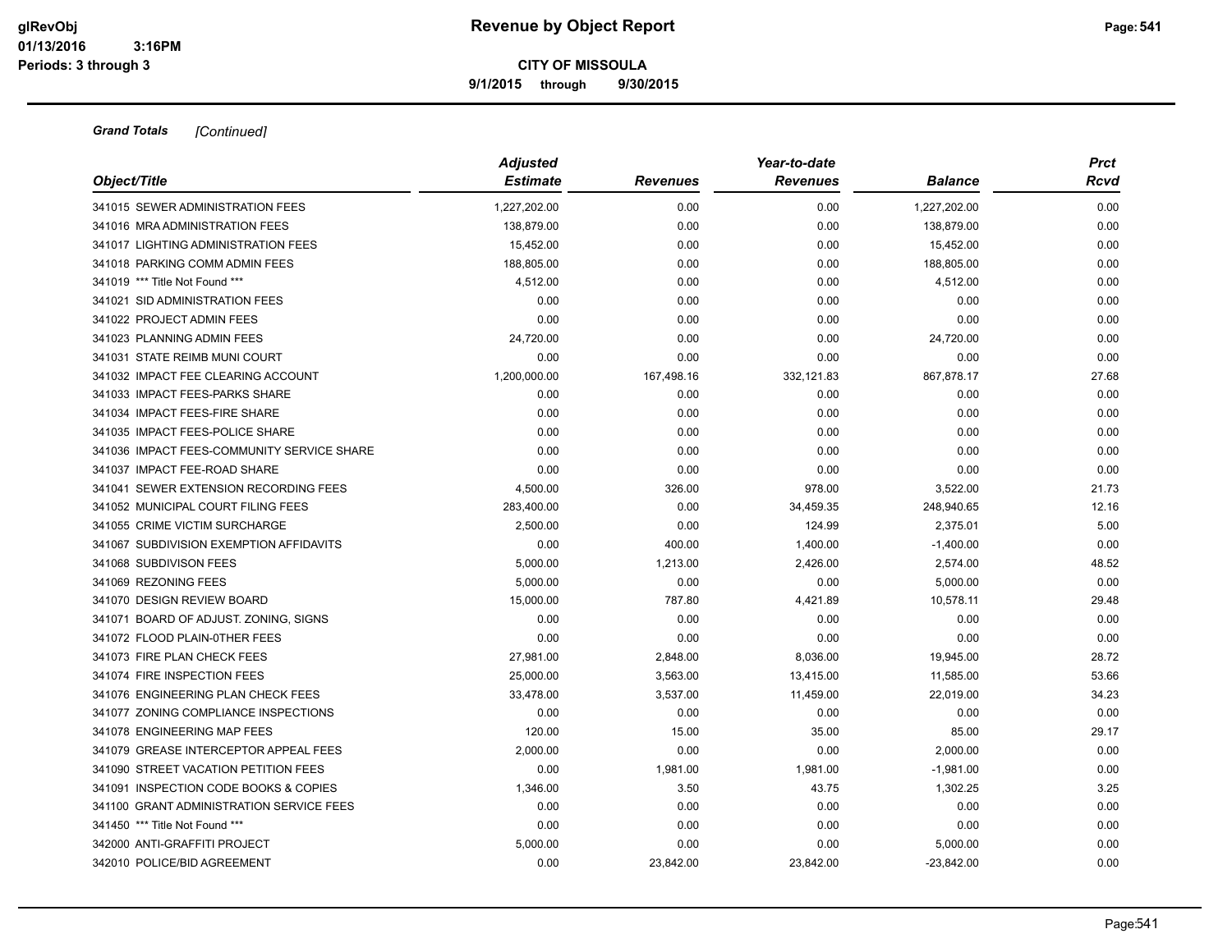**9/1/2015 through 9/30/2015**

|                                            | <b>Adjusted</b> |                 | Year-to-date    |                |       |  |  |
|--------------------------------------------|-----------------|-----------------|-----------------|----------------|-------|--|--|
| Object/Title                               | <b>Estimate</b> | <b>Revenues</b> | <b>Revenues</b> | <b>Balance</b> | Rcvd  |  |  |
| 341015 SEWER ADMINISTRATION FEES           | 1,227,202.00    | 0.00            | 0.00            | 1,227,202.00   | 0.00  |  |  |
| 341016 MRA ADMINISTRATION FEES             | 138,879.00      | 0.00            | 0.00            | 138,879.00     | 0.00  |  |  |
| 341017 LIGHTING ADMINISTRATION FEES        | 15,452.00       | 0.00            | 0.00            | 15,452.00      | 0.00  |  |  |
| 341018 PARKING COMM ADMIN FEES             | 188,805.00      | 0.00            | 0.00            | 188,805.00     | 0.00  |  |  |
| 341019 *** Title Not Found ***             | 4,512.00        | 0.00            | 0.00            | 4,512.00       | 0.00  |  |  |
| 341021 SID ADMINISTRATION FEES             | 0.00            | 0.00            | 0.00            | 0.00           | 0.00  |  |  |
| 341022 PROJECT ADMIN FEES                  | 0.00            | 0.00            | 0.00            | 0.00           | 0.00  |  |  |
| 341023 PLANNING ADMIN FEES                 | 24,720.00       | 0.00            | 0.00            | 24,720.00      | 0.00  |  |  |
| 341031 STATE REIMB MUNI COURT              | 0.00            | 0.00            | 0.00            | 0.00           | 0.00  |  |  |
| 341032 IMPACT FEE CLEARING ACCOUNT         | 1,200,000.00    | 167,498.16      | 332,121.83      | 867,878.17     | 27.68 |  |  |
| 341033 IMPACT FEES-PARKS SHARE             | 0.00            | 0.00            | 0.00            | 0.00           | 0.00  |  |  |
| 341034 IMPACT FEES-FIRE SHARE              | 0.00            | 0.00            | 0.00            | 0.00           | 0.00  |  |  |
| 341035 IMPACT FEES-POLICE SHARE            | 0.00            | 0.00            | 0.00            | 0.00           | 0.00  |  |  |
| 341036 IMPACT FEES-COMMUNITY SERVICE SHARE | 0.00            | 0.00            | 0.00            | 0.00           | 0.00  |  |  |
| 341037 IMPACT FEE-ROAD SHARE               | 0.00            | 0.00            | 0.00            | 0.00           | 0.00  |  |  |
| 341041 SEWER EXTENSION RECORDING FEES      | 4,500.00        | 326.00          | 978.00          | 3,522.00       | 21.73 |  |  |
| 341052 MUNICIPAL COURT FILING FEES         | 283,400.00      | 0.00            | 34,459.35       | 248,940.65     | 12.16 |  |  |
| 341055 CRIME VICTIM SURCHARGE              | 2,500.00        | 0.00            | 124.99          | 2,375.01       | 5.00  |  |  |
| 341067 SUBDIVISION EXEMPTION AFFIDAVITS    | 0.00            | 400.00          | 1,400.00        | $-1,400.00$    | 0.00  |  |  |
| 341068 SUBDIVISON FEES                     | 5,000.00        | 1,213.00        | 2,426.00        | 2,574.00       | 48.52 |  |  |
| 341069 REZONING FEES                       | 5,000.00        | 0.00            | 0.00            | 5,000.00       | 0.00  |  |  |
| 341070 DESIGN REVIEW BOARD                 | 15,000.00       | 787.80          | 4,421.89        | 10,578.11      | 29.48 |  |  |
| 341071 BOARD OF ADJUST, ZONING, SIGNS      | 0.00            | 0.00            | 0.00            | 0.00           | 0.00  |  |  |
| 341072 FLOOD PLAIN-0THER FEES              | 0.00            | 0.00            | 0.00            | 0.00           | 0.00  |  |  |
| 341073 FIRE PLAN CHECK FEES                | 27,981.00       | 2,848.00        | 8,036.00        | 19,945.00      | 28.72 |  |  |
| 341074 FIRE INSPECTION FEES                | 25,000.00       | 3,563.00        | 13,415.00       | 11,585.00      | 53.66 |  |  |
| 341076 ENGINEERING PLAN CHECK FEES         | 33,478.00       | 3,537.00        | 11,459.00       | 22,019.00      | 34.23 |  |  |
| 341077 ZONING COMPLIANCE INSPECTIONS       | 0.00            | 0.00            | 0.00            | 0.00           | 0.00  |  |  |
| 341078 ENGINEERING MAP FEES                | 120.00          | 15.00           | 35.00           | 85.00          | 29.17 |  |  |
| 341079 GREASE INTERCEPTOR APPEAL FEES      | 2,000.00        | 0.00            | 0.00            | 2,000.00       | 0.00  |  |  |
| 341090 STREET VACATION PETITION FEES       | 0.00            | 1,981.00        | 1,981.00        | $-1,981.00$    | 0.00  |  |  |
| 341091 INSPECTION CODE BOOKS & COPIES      | 1,346.00        | 3.50            | 43.75           | 1,302.25       | 3.25  |  |  |
| 341100 GRANT ADMINISTRATION SERVICE FEES   | 0.00            | 0.00            | 0.00            | 0.00           | 0.00  |  |  |
| 341450 *** Title Not Found ***             | 0.00            | 0.00            | 0.00            | 0.00           | 0.00  |  |  |
| 342000 ANTI-GRAFFITI PROJECT               | 5,000.00        | 0.00            | 0.00            | 5,000.00       | 0.00  |  |  |
| 342010 POLICE/BID AGREEMENT                | 0.00            | 23,842.00       | 23,842.00       | $-23,842.00$   | 0.00  |  |  |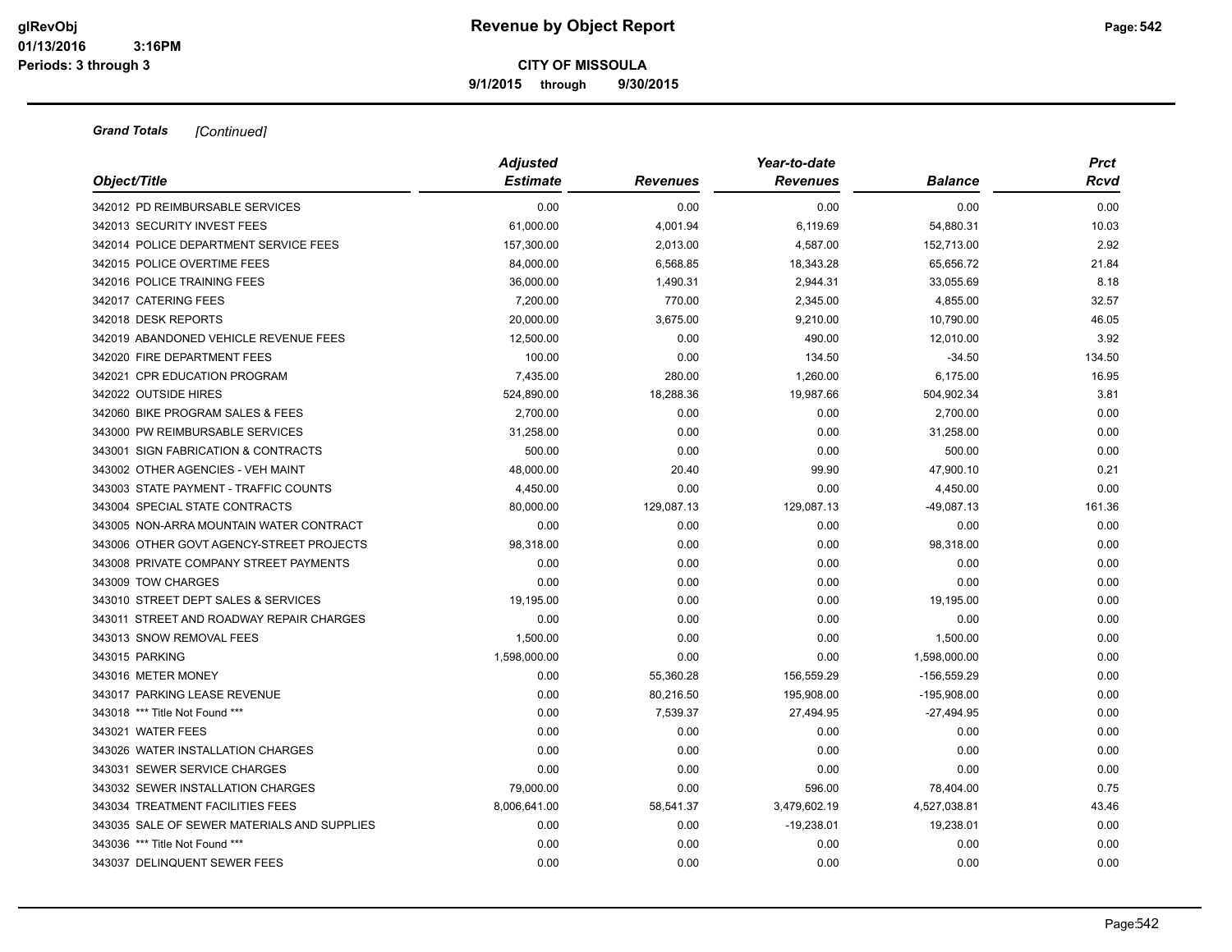**9/1/2015 through 9/30/2015**

|                                             | <b>Adjusted</b> |                 | <b>Prct</b>     |                |        |
|---------------------------------------------|-----------------|-----------------|-----------------|----------------|--------|
| Object/Title                                | <b>Estimate</b> | <b>Revenues</b> | <b>Revenues</b> | <b>Balance</b> | Rcvd   |
| 342012 PD REIMBURSABLE SERVICES             | 0.00            | 0.00            | 0.00            | 0.00           | 0.00   |
| 342013 SECURITY INVEST FEES                 | 61,000.00       | 4,001.94        | 6,119.69        | 54,880.31      | 10.03  |
| 342014 POLICE DEPARTMENT SERVICE FEES       | 157,300.00      | 2,013.00        | 4,587.00        | 152,713.00     | 2.92   |
| 342015 POLICE OVERTIME FEES                 | 84,000.00       | 6,568.85        | 18,343.28       | 65,656.72      | 21.84  |
| 342016 POLICE TRAINING FEES                 | 36,000.00       | 1,490.31        | 2,944.31        | 33,055.69      | 8.18   |
| 342017 CATERING FEES                        | 7,200.00        | 770.00          | 2,345.00        | 4,855.00       | 32.57  |
| 342018 DESK REPORTS                         | 20,000.00       | 3,675.00        | 9,210.00        | 10,790.00      | 46.05  |
| 342019 ABANDONED VEHICLE REVENUE FEES       | 12,500.00       | 0.00            | 490.00          | 12,010.00      | 3.92   |
| 342020 FIRE DEPARTMENT FEES                 | 100.00          | 0.00            | 134.50          | $-34.50$       | 134.50 |
| 342021 CPR EDUCATION PROGRAM                | 7,435.00        | 280.00          | 1,260.00        | 6,175.00       | 16.95  |
| 342022 OUTSIDE HIRES                        | 524,890.00      | 18,288.36       | 19,987.66       | 504,902.34     | 3.81   |
| 342060 BIKE PROGRAM SALES & FEES            | 2,700.00        | 0.00            | 0.00            | 2,700.00       | 0.00   |
| 343000 PW REIMBURSABLE SERVICES             | 31,258.00       | 0.00            | 0.00            | 31,258.00      | 0.00   |
| 343001 SIGN FABRICATION & CONTRACTS         | 500.00          | 0.00            | 0.00            | 500.00         | 0.00   |
| 343002 OTHER AGENCIES - VEH MAINT           | 48,000.00       | 20.40           | 99.90           | 47,900.10      | 0.21   |
| 343003 STATE PAYMENT - TRAFFIC COUNTS       | 4,450.00        | 0.00            | 0.00            | 4,450.00       | 0.00   |
| 343004 SPECIAL STATE CONTRACTS              | 80,000.00       | 129,087.13      | 129,087.13      | -49,087.13     | 161.36 |
| 343005 NON-ARRA MOUNTAIN WATER CONTRACT     | 0.00            | 0.00            | 0.00            | 0.00           | 0.00   |
| 343006 OTHER GOVT AGENCY-STREET PROJECTS    | 98,318.00       | 0.00            | 0.00            | 98,318.00      | 0.00   |
| 343008 PRIVATE COMPANY STREET PAYMENTS      | 0.00            | 0.00            | 0.00            | 0.00           | 0.00   |
| 343009 TOW CHARGES                          | 0.00            | 0.00            | 0.00            | 0.00           | 0.00   |
| 343010 STREET DEPT SALES & SERVICES         | 19,195.00       | 0.00            | 0.00            | 19,195.00      | 0.00   |
| 343011 STREET AND ROADWAY REPAIR CHARGES    | 0.00            | 0.00            | 0.00            | 0.00           | 0.00   |
| 343013 SNOW REMOVAL FEES                    | 1,500.00        | 0.00            | 0.00            | 1,500.00       | 0.00   |
| 343015 PARKING                              | 1,598,000.00    | 0.00            | 0.00            | 1,598,000.00   | 0.00   |
| 343016 METER MONEY                          | 0.00            | 55,360.28       | 156,559.29      | $-156,559.29$  | 0.00   |
| 343017 PARKING LEASE REVENUE                | 0.00            | 80,216.50       | 195,908.00      | $-195,908.00$  | 0.00   |
| 343018 *** Title Not Found ***              | 0.00            | 7,539.37        | 27,494.95       | $-27,494.95$   | 0.00   |
| 343021 WATER FEES                           | 0.00            | 0.00            | 0.00            | 0.00           | 0.00   |
| 343026 WATER INSTALLATION CHARGES           | 0.00            | 0.00            | 0.00            | 0.00           | 0.00   |
| 343031 SEWER SERVICE CHARGES                | 0.00            | 0.00            | 0.00            | 0.00           | 0.00   |
| 343032 SEWER INSTALLATION CHARGES           | 79,000.00       | 0.00            | 596.00          | 78,404.00      | 0.75   |
| 343034 TREATMENT FACILITIES FEES            | 8,006,641.00    | 58,541.37       | 3,479,602.19    | 4,527,038.81   | 43.46  |
| 343035 SALE OF SEWER MATERIALS AND SUPPLIES | 0.00            | 0.00            | $-19,238.01$    | 19,238.01      | 0.00   |
| 343036 *** Title Not Found ***              | 0.00            | 0.00            | 0.00            | 0.00           | 0.00   |
| 343037 DELINQUENT SEWER FEES                | 0.00            | 0.00            | 0.00            | 0.00           | 0.00   |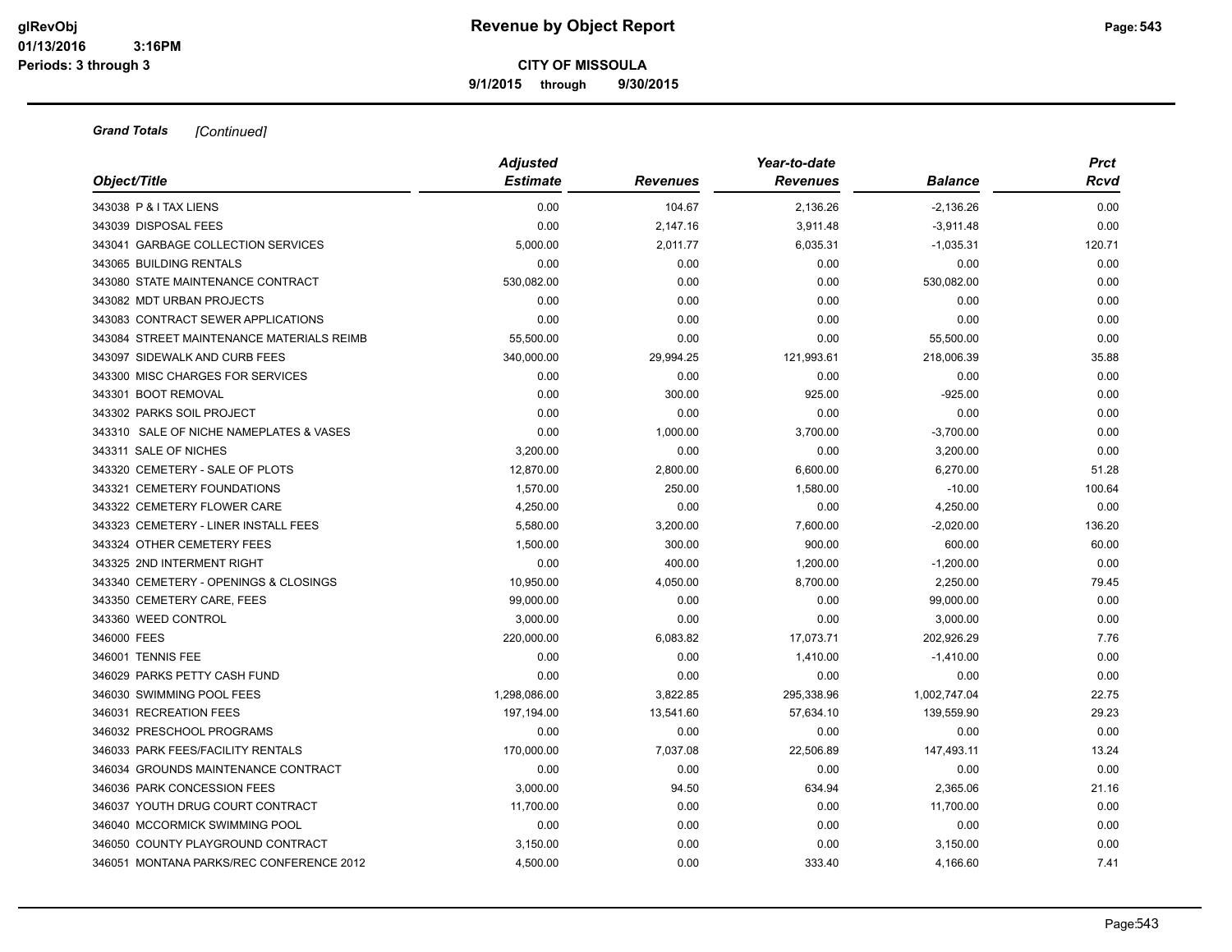**9/1/2015 through 9/30/2015**

| Object/Title                              | <b>Adjusted</b><br><b>Estimate</b> | Revenues  | Year-to-date<br><b>Revenues</b> | <b>Balance</b> | <b>Prct</b><br>Rcvd |
|-------------------------------------------|------------------------------------|-----------|---------------------------------|----------------|---------------------|
| 343038 P & I TAX LIENS                    | 0.00                               | 104.67    | 2,136.26                        | $-2,136.26$    | 0.00                |
| 343039 DISPOSAL FEES                      | 0.00                               | 2,147.16  | 3,911.48                        | $-3,911.48$    | 0.00                |
| 343041 GARBAGE COLLECTION SERVICES        | 5,000.00                           | 2,011.77  | 6,035.31                        | $-1,035.31$    | 120.71              |
| 343065 BUILDING RENTALS                   | 0.00                               | 0.00      | 0.00                            | 0.00           | 0.00                |
| 343080 STATE MAINTENANCE CONTRACT         | 530,082.00                         | 0.00      | 0.00                            | 530,082.00     | 0.00                |
| 343082 MDT URBAN PROJECTS                 | 0.00                               | 0.00      | 0.00                            | 0.00           | 0.00                |
| 343083 CONTRACT SEWER APPLICATIONS        | 0.00                               | 0.00      | 0.00                            | 0.00           | 0.00                |
| 343084 STREET MAINTENANCE MATERIALS REIMB | 55,500.00                          | 0.00      | 0.00                            | 55,500.00      | 0.00                |
| 343097 SIDEWALK AND CURB FEES             | 340,000.00                         | 29,994.25 | 121,993.61                      | 218,006.39     | 35.88               |
| 343300 MISC CHARGES FOR SERVICES          | 0.00                               | 0.00      | 0.00                            | 0.00           | 0.00                |
| 343301 BOOT REMOVAL                       | 0.00                               | 300.00    | 925.00                          | $-925.00$      | 0.00                |
| 343302 PARKS SOIL PROJECT                 | 0.00                               | 0.00      | 0.00                            | 0.00           | 0.00                |
| 343310 SALE OF NICHE NAMEPLATES & VASES   | 0.00                               | 1,000.00  | 3,700.00                        | $-3,700.00$    | 0.00                |
| 343311 SALE OF NICHES                     | 3,200.00                           | 0.00      | 0.00                            | 3,200.00       | 0.00                |
| 343320 CEMETERY - SALE OF PLOTS           | 12,870.00                          | 2,800.00  | 6,600.00                        | 6,270.00       | 51.28               |
| 343321 CEMETERY FOUNDATIONS               | 1,570.00                           | 250.00    | 1,580.00                        | $-10.00$       | 100.64              |
| 343322 CEMETERY FLOWER CARE               | 4,250.00                           | 0.00      | 0.00                            | 4,250.00       | 0.00                |
| 343323 CEMETERY - LINER INSTALL FEES      | 5,580.00                           | 3,200.00  | 7,600.00                        | $-2,020.00$    | 136.20              |
| 343324 OTHER CEMETERY FEES                | 1,500.00                           | 300.00    | 900.00                          | 600.00         | 60.00               |
| 343325 2ND INTERMENT RIGHT                | 0.00                               | 400.00    | 1,200.00                        | $-1,200.00$    | 0.00                |
| 343340 CEMETERY - OPENINGS & CLOSINGS     | 10,950.00                          | 4,050.00  | 8,700.00                        | 2,250.00       | 79.45               |
| 343350 CEMETERY CARE, FEES                | 99,000.00                          | 0.00      | 0.00                            | 99,000.00      | 0.00                |
| 343360 WEED CONTROL                       | 3,000.00                           | 0.00      | 0.00                            | 3,000.00       | 0.00                |
| 346000 FEES                               | 220,000.00                         | 6,083.82  | 17,073.71                       | 202,926.29     | 7.76                |
| 346001 TENNIS FEE                         | 0.00                               | 0.00      | 1,410.00                        | $-1,410.00$    | 0.00                |
| 346029 PARKS PETTY CASH FUND              | 0.00                               | 0.00      | 0.00                            | 0.00           | 0.00                |
| 346030 SWIMMING POOL FEES                 | 1,298,086.00                       | 3,822.85  | 295,338.96                      | 1,002,747.04   | 22.75               |
| 346031 RECREATION FEES                    | 197,194.00                         | 13,541.60 | 57,634.10                       | 139,559.90     | 29.23               |
| 346032 PRESCHOOL PROGRAMS                 | 0.00                               | 0.00      | 0.00                            | 0.00           | 0.00                |
| 346033 PARK FEES/FACILITY RENTALS         | 170,000.00                         | 7,037.08  | 22,506.89                       | 147,493.11     | 13.24               |
| 346034 GROUNDS MAINTENANCE CONTRACT       | 0.00                               | 0.00      | 0.00                            | 0.00           | 0.00                |
| 346036 PARK CONCESSION FEES               | 3,000.00                           | 94.50     | 634.94                          | 2,365.06       | 21.16               |
| 346037 YOUTH DRUG COURT CONTRACT          | 11,700.00                          | 0.00      | 0.00                            | 11,700.00      | 0.00                |
| 346040 MCCORMICK SWIMMING POOL            | 0.00                               | 0.00      | 0.00                            | 0.00           | 0.00                |
| 346050 COUNTY PLAYGROUND CONTRACT         | 3,150.00                           | 0.00      | 0.00                            | 3,150.00       | 0.00                |
| 346051 MONTANA PARKS/REC CONFERENCE 2012  | 4,500.00                           | 0.00      | 333.40                          | 4,166.60       | 7.41                |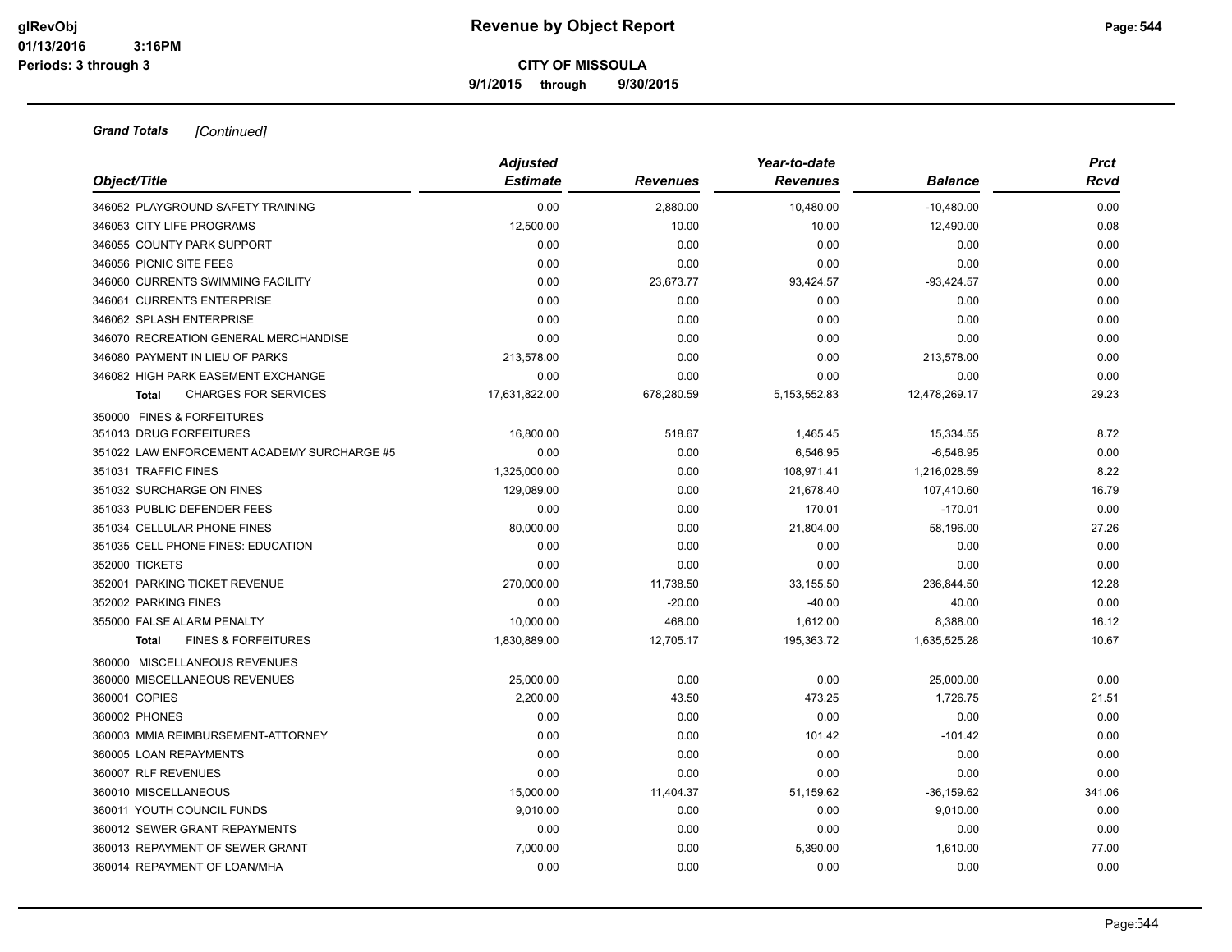**9/1/2015 through 9/30/2015**

| Object/Title                                   | <b>Adjusted</b><br><b>Estimate</b> | <b>Revenues</b> | Year-to-date<br><b>Revenues</b> | Balance       | <b>Prct</b><br>Rcvd |
|------------------------------------------------|------------------------------------|-----------------|---------------------------------|---------------|---------------------|
| 346052 PLAYGROUND SAFETY TRAINING              | 0.00                               | 2,880.00        | 10,480.00                       |               | 0.00                |
|                                                |                                    |                 |                                 | $-10,480.00$  | 0.08                |
| 346053 CITY LIFE PROGRAMS                      | 12,500.00                          | 10.00           | 10.00                           | 12,490.00     |                     |
| 346055 COUNTY PARK SUPPORT                     | 0.00                               | 0.00            | 0.00                            | 0.00          | 0.00                |
| 346056 PICNIC SITE FEES                        | 0.00                               | 0.00            | 0.00                            | 0.00          | 0.00                |
| 346060 CURRENTS SWIMMING FACILITY              | 0.00                               | 23,673.77       | 93,424.57                       | $-93,424.57$  | 0.00                |
| 346061 CURRENTS ENTERPRISE                     | 0.00                               | 0.00            | 0.00                            | 0.00          | 0.00                |
| 346062 SPLASH ENTERPRISE                       | 0.00                               | 0.00            | 0.00                            | 0.00          | 0.00                |
| 346070 RECREATION GENERAL MERCHANDISE          | 0.00                               | 0.00            | 0.00                            | 0.00          | 0.00                |
| 346080 PAYMENT IN LIEU OF PARKS                | 213,578.00                         | 0.00            | 0.00                            | 213,578.00    | 0.00                |
| 346082 HIGH PARK EASEMENT EXCHANGE             | 0.00                               | 0.00            | 0.00                            | 0.00          | 0.00                |
| <b>CHARGES FOR SERVICES</b><br>Total           | 17,631,822.00                      | 678,280.59      | 5,153,552.83                    | 12,478,269.17 | 29.23               |
| 350000 FINES & FORFEITURES                     |                                    |                 |                                 |               |                     |
| 351013 DRUG FORFEITURES                        | 16,800.00                          | 518.67          | 1,465.45                        | 15,334.55     | 8.72                |
| 351022 LAW ENFORCEMENT ACADEMY SURCHARGE #5    | 0.00                               | 0.00            | 6,546.95                        | $-6,546.95$   | 0.00                |
| 351031 TRAFFIC FINES                           | 1,325,000.00                       | 0.00            | 108,971.41                      | 1,216,028.59  | 8.22                |
| 351032 SURCHARGE ON FINES                      | 129,089.00                         | 0.00            | 21,678.40                       | 107,410.60    | 16.79               |
| 351033 PUBLIC DEFENDER FEES                    | 0.00                               | 0.00            | 170.01                          | $-170.01$     | 0.00                |
| 351034 CELLULAR PHONE FINES                    | 80,000.00                          | 0.00            | 21,804.00                       | 58.196.00     | 27.26               |
| 351035 CELL PHONE FINES: EDUCATION             | 0.00                               | 0.00            | 0.00                            | 0.00          | 0.00                |
| 352000 TICKETS                                 | 0.00                               | 0.00            | 0.00                            | 0.00          | 0.00                |
| 352001 PARKING TICKET REVENUE                  | 270,000.00                         | 11,738.50       | 33,155.50                       | 236,844.50    | 12.28               |
| 352002 PARKING FINES                           | 0.00                               | $-20.00$        | $-40.00$                        | 40.00         | 0.00                |
| 355000 FALSE ALARM PENALTY                     | 10.000.00                          | 468.00          | 1,612.00                        | 8,388.00      | 16.12               |
| <b>FINES &amp; FORFEITURES</b><br><b>Total</b> | 1,830,889.00                       | 12,705.17       | 195,363.72                      | 1,635,525.28  | 10.67               |
| 360000 MISCELLANEOUS REVENUES                  |                                    |                 |                                 |               |                     |
| 360000 MISCELLANEOUS REVENUES                  | 25,000.00                          | 0.00            | 0.00                            | 25,000.00     | 0.00                |
| 360001 COPIES                                  | 2.200.00                           | 43.50           | 473.25                          | 1,726.75      | 21.51               |
| 360002 PHONES                                  | 0.00                               | 0.00            | 0.00                            | 0.00          | 0.00                |
| 360003 MMIA REIMBURSEMENT-ATTORNEY             | 0.00                               | 0.00            | 101.42                          | $-101.42$     | 0.00                |
| 360005 LOAN REPAYMENTS                         | 0.00                               | 0.00            | 0.00                            | 0.00          | 0.00                |
| 360007 RLF REVENUES                            | 0.00                               | 0.00            | 0.00                            | 0.00          | 0.00                |
| 360010 MISCELLANEOUS                           | 15,000.00                          | 11,404.37       | 51,159.62                       | $-36,159.62$  | 341.06              |
| 360011 YOUTH COUNCIL FUNDS                     | 9,010.00                           | 0.00            | 0.00                            | 9,010.00      | 0.00                |
| 360012 SEWER GRANT REPAYMENTS                  | 0.00                               | 0.00            | 0.00                            | 0.00          | 0.00                |
| 360013 REPAYMENT OF SEWER GRANT                | 7,000.00                           | 0.00            | 5,390.00                        | 1,610.00      | 77.00               |
| 360014 REPAYMENT OF LOAN/MHA                   | 0.00                               | 0.00            | 0.00                            | 0.00          | 0.00                |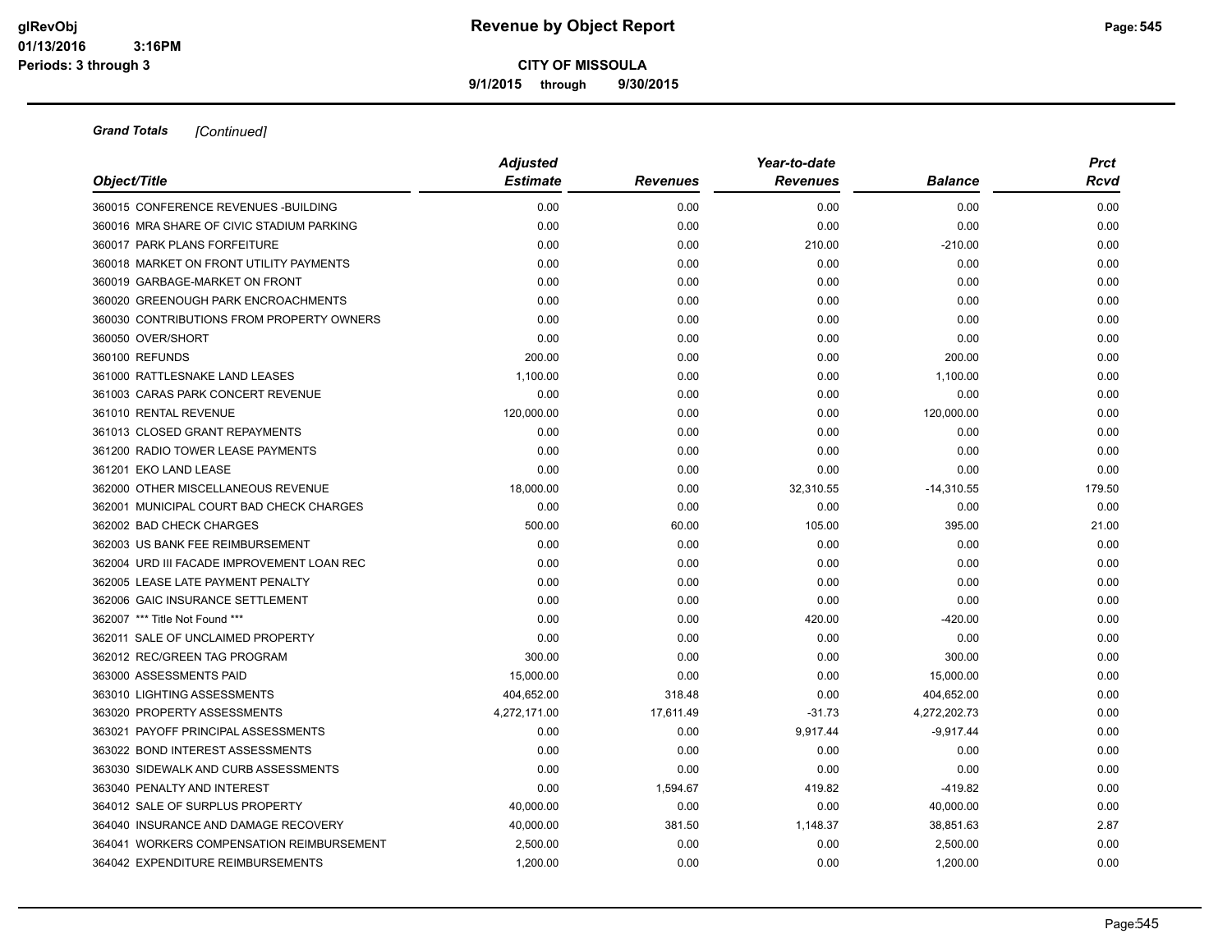**9/1/2015 through 9/30/2015**

|                                            | <b>Adjusted</b> |                 | Year-to-date    |                |        |  |  |
|--------------------------------------------|-----------------|-----------------|-----------------|----------------|--------|--|--|
| Object/Title                               | <b>Estimate</b> | <b>Revenues</b> | <b>Revenues</b> | <b>Balance</b> | Rcvd   |  |  |
| 360015 CONFERENCE REVENUES - BUILDING      | 0.00            | 0.00            | 0.00            | 0.00           | 0.00   |  |  |
| 360016 MRA SHARE OF CIVIC STADIUM PARKING  | 0.00            | 0.00            | 0.00            | 0.00           | 0.00   |  |  |
| 360017 PARK PLANS FORFEITURE               | 0.00            | 0.00            | 210.00          | $-210.00$      | 0.00   |  |  |
| 360018 MARKET ON FRONT UTILITY PAYMENTS    | 0.00            | 0.00            | 0.00            | 0.00           | 0.00   |  |  |
| 360019 GARBAGE-MARKET ON FRONT             | 0.00            | 0.00            | 0.00            | 0.00           | 0.00   |  |  |
| 360020 GREENOUGH PARK ENCROACHMENTS        | 0.00            | 0.00            | 0.00            | 0.00           | 0.00   |  |  |
| 360030 CONTRIBUTIONS FROM PROPERTY OWNERS  | 0.00            | 0.00            | 0.00            | 0.00           | 0.00   |  |  |
| 360050 OVER/SHORT                          | 0.00            | 0.00            | 0.00            | 0.00           | 0.00   |  |  |
| 360100 REFUNDS                             | 200.00          | 0.00            | 0.00            | 200.00         | 0.00   |  |  |
| 361000 RATTLESNAKE LAND LEASES             | 1,100.00        | 0.00            | 0.00            | 1,100.00       | 0.00   |  |  |
| 361003 CARAS PARK CONCERT REVENUE          | 0.00            | 0.00            | 0.00            | 0.00           | 0.00   |  |  |
| 361010 RENTAL REVENUE                      | 120,000.00      | 0.00            | 0.00            | 120,000.00     | 0.00   |  |  |
| 361013 CLOSED GRANT REPAYMENTS             | 0.00            | 0.00            | 0.00            | 0.00           | 0.00   |  |  |
| 361200 RADIO TOWER LEASE PAYMENTS          | 0.00            | 0.00            | 0.00            | 0.00           | 0.00   |  |  |
| 361201 EKO LAND LEASE                      | 0.00            | 0.00            | 0.00            | 0.00           | 0.00   |  |  |
| 362000 OTHER MISCELLANEOUS REVENUE         | 18,000.00       | 0.00            | 32,310.55       | $-14,310.55$   | 179.50 |  |  |
| 362001 MUNICIPAL COURT BAD CHECK CHARGES   | 0.00            | 0.00            | 0.00            | 0.00           | 0.00   |  |  |
| 362002 BAD CHECK CHARGES                   | 500.00          | 60.00           | 105.00          | 395.00         | 21.00  |  |  |
| 362003 US BANK FEE REIMBURSEMENT           | 0.00            | 0.00            | 0.00            | 0.00           | 0.00   |  |  |
| 362004 URD III FACADE IMPROVEMENT LOAN REC | 0.00            | 0.00            | 0.00            | 0.00           | 0.00   |  |  |
| 362005 LEASE LATE PAYMENT PENALTY          | 0.00            | 0.00            | 0.00            | 0.00           | 0.00   |  |  |
| 362006 GAIC INSURANCE SETTLEMENT           | 0.00            | 0.00            | 0.00            | 0.00           | 0.00   |  |  |
| 362007 *** Title Not Found ***             | 0.00            | 0.00            | 420.00          | $-420.00$      | 0.00   |  |  |
| 362011 SALE OF UNCLAIMED PROPERTY          | 0.00            | 0.00            | 0.00            | 0.00           | 0.00   |  |  |
| 362012 REC/GREEN TAG PROGRAM               | 300.00          | 0.00            | 0.00            | 300.00         | 0.00   |  |  |
| 363000 ASSESSMENTS PAID                    | 15,000.00       | 0.00            | 0.00            | 15,000.00      | 0.00   |  |  |
| 363010 LIGHTING ASSESSMENTS                | 404,652.00      | 318.48          | 0.00            | 404,652.00     | 0.00   |  |  |
| 363020 PROPERTY ASSESSMENTS                | 4,272,171.00    | 17,611.49       | $-31.73$        | 4,272,202.73   | 0.00   |  |  |
| 363021 PAYOFF PRINCIPAL ASSESSMENTS        | 0.00            | 0.00            | 9,917.44        | $-9,917.44$    | 0.00   |  |  |
| 363022 BOND INTEREST ASSESSMENTS           | 0.00            | 0.00            | 0.00            | 0.00           | 0.00   |  |  |
| 363030 SIDEWALK AND CURB ASSESSMENTS       | 0.00            | 0.00            | 0.00            | 0.00           | 0.00   |  |  |
| 363040 PENALTY AND INTEREST                | 0.00            | 1,594.67        | 419.82          | $-419.82$      | 0.00   |  |  |
| 364012 SALE OF SURPLUS PROPERTY            | 40,000.00       | 0.00            | 0.00            | 40,000.00      | 0.00   |  |  |
| 364040 INSURANCE AND DAMAGE RECOVERY       | 40,000.00       | 381.50          | 1,148.37        | 38,851.63      | 2.87   |  |  |
| 364041 WORKERS COMPENSATION REIMBURSEMENT  | 2,500.00        | 0.00            | 0.00            | 2,500.00       | 0.00   |  |  |
| 364042 EXPENDITURE REIMBURSEMENTS          | 1,200.00        | 0.00            | 0.00            | 1,200.00       | 0.00   |  |  |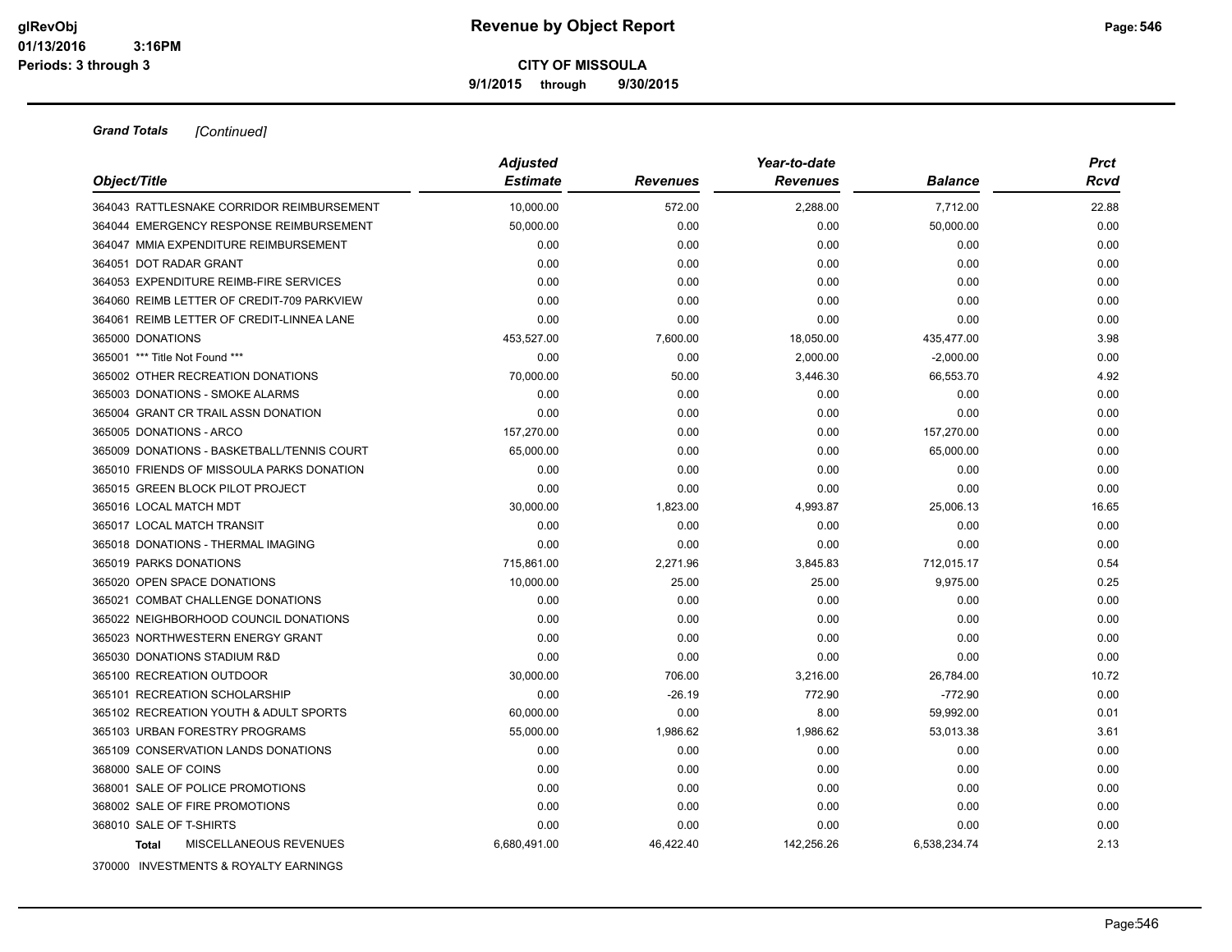**9/1/2015 through 9/30/2015**

|                                            | <b>Adjusted</b> |                 | Year-to-date    |                | <b>Prct</b> |
|--------------------------------------------|-----------------|-----------------|-----------------|----------------|-------------|
| Object/Title                               | <b>Estimate</b> | <b>Revenues</b> | <b>Revenues</b> | <b>Balance</b> | Rcvd        |
| 364043 RATTLESNAKE CORRIDOR REIMBURSEMENT  | 10,000.00       | 572.00          | 2,288.00        | 7,712.00       | 22.88       |
| 364044 EMERGENCY RESPONSE REIMBURSEMENT    | 50.000.00       | 0.00            | 0.00            | 50,000.00      | 0.00        |
| 364047 MMIA EXPENDITURE REIMBURSEMENT      | 0.00            | 0.00            | 0.00            | 0.00           | 0.00        |
| 364051 DOT RADAR GRANT                     | 0.00            | 0.00            | 0.00            | 0.00           | 0.00        |
| 364053 EXPENDITURE REIMB-FIRE SERVICES     | 0.00            | 0.00            | 0.00            | 0.00           | 0.00        |
| 364060 REIMB LETTER OF CREDIT-709 PARKVIEW | 0.00            | 0.00            | 0.00            | 0.00           | 0.00        |
| 364061 REIMB LETTER OF CREDIT-LINNEA LANE  | 0.00            | 0.00            | 0.00            | 0.00           | 0.00        |
| 365000 DONATIONS                           | 453,527.00      | 7,600.00        | 18,050.00       | 435,477.00     | 3.98        |
| 365001 *** Title Not Found ***             | 0.00            | 0.00            | 2,000.00        | $-2,000.00$    | 0.00        |
| 365002 OTHER RECREATION DONATIONS          | 70,000.00       | 50.00           | 3,446.30        | 66,553.70      | 4.92        |
| 365003 DONATIONS - SMOKE ALARMS            | 0.00            | 0.00            | 0.00            | 0.00           | 0.00        |
| 365004 GRANT CR TRAIL ASSN DONATION        | 0.00            | 0.00            | 0.00            | 0.00           | 0.00        |
| 365005 DONATIONS - ARCO                    | 157,270.00      | 0.00            | 0.00            | 157,270.00     | 0.00        |
| 365009 DONATIONS - BASKETBALL/TENNIS COURT | 65,000.00       | 0.00            | 0.00            | 65,000.00      | 0.00        |
| 365010 FRIENDS OF MISSOULA PARKS DONATION  | 0.00            | 0.00            | 0.00            | 0.00           | 0.00        |
| 365015 GREEN BLOCK PILOT PROJECT           | 0.00            | 0.00            | 0.00            | 0.00           | 0.00        |
| 365016 LOCAL MATCH MDT                     | 30,000.00       | 1,823.00        | 4,993.87        | 25,006.13      | 16.65       |
| 365017 LOCAL MATCH TRANSIT                 | 0.00            | 0.00            | 0.00            | 0.00           | 0.00        |
| 365018 DONATIONS - THERMAL IMAGING         | 0.00            | 0.00            | 0.00            | 0.00           | 0.00        |
| 365019 PARKS DONATIONS                     | 715,861.00      | 2,271.96        | 3,845.83        | 712,015.17     | 0.54        |
| 365020 OPEN SPACE DONATIONS                | 10.000.00       | 25.00           | 25.00           | 9,975.00       | 0.25        |
| 365021 COMBAT CHALLENGE DONATIONS          | 0.00            | 0.00            | 0.00            | 0.00           | 0.00        |
| 365022 NEIGHBORHOOD COUNCIL DONATIONS      | 0.00            | 0.00            | 0.00            | 0.00           | 0.00        |
| 365023 NORTHWESTERN ENERGY GRANT           | 0.00            | 0.00            | 0.00            | 0.00           | 0.00        |
| 365030 DONATIONS STADIUM R&D               | 0.00            | 0.00            | 0.00            | 0.00           | 0.00        |
| 365100 RECREATION OUTDOOR                  | 30,000.00       | 706.00          | 3,216.00        | 26,784.00      | 10.72       |
| 365101 RECREATION SCHOLARSHIP              | 0.00            | $-26.19$        | 772.90          | $-772.90$      | 0.00        |
| 365102 RECREATION YOUTH & ADULT SPORTS     | 60,000.00       | 0.00            | 8.00            | 59,992.00      | 0.01        |
| 365103 URBAN FORESTRY PROGRAMS             | 55,000.00       | 1,986.62        | 1,986.62        | 53,013.38      | 3.61        |
| 365109 CONSERVATION LANDS DONATIONS        | 0.00            | 0.00            | 0.00            | 0.00           | 0.00        |
| 368000 SALE OF COINS                       | 0.00            | 0.00            | 0.00            | 0.00           | 0.00        |
| 368001 SALE OF POLICE PROMOTIONS           | 0.00            | 0.00            | 0.00            | 0.00           | 0.00        |
| 368002 SALE OF FIRE PROMOTIONS             | 0.00            | 0.00            | 0.00            | 0.00           | 0.00        |
| 368010 SALE OF T-SHIRTS                    | 0.00            | 0.00            | 0.00            | 0.00           | 0.00        |
| MISCELLANEOUS REVENUES<br><b>Total</b>     | 6,680,491.00    | 46,422.40       | 142,256.26      | 6,538,234.74   | 2.13        |
| 370000 INVESTMENTS & ROYALTY EARNINGS      |                 |                 |                 |                |             |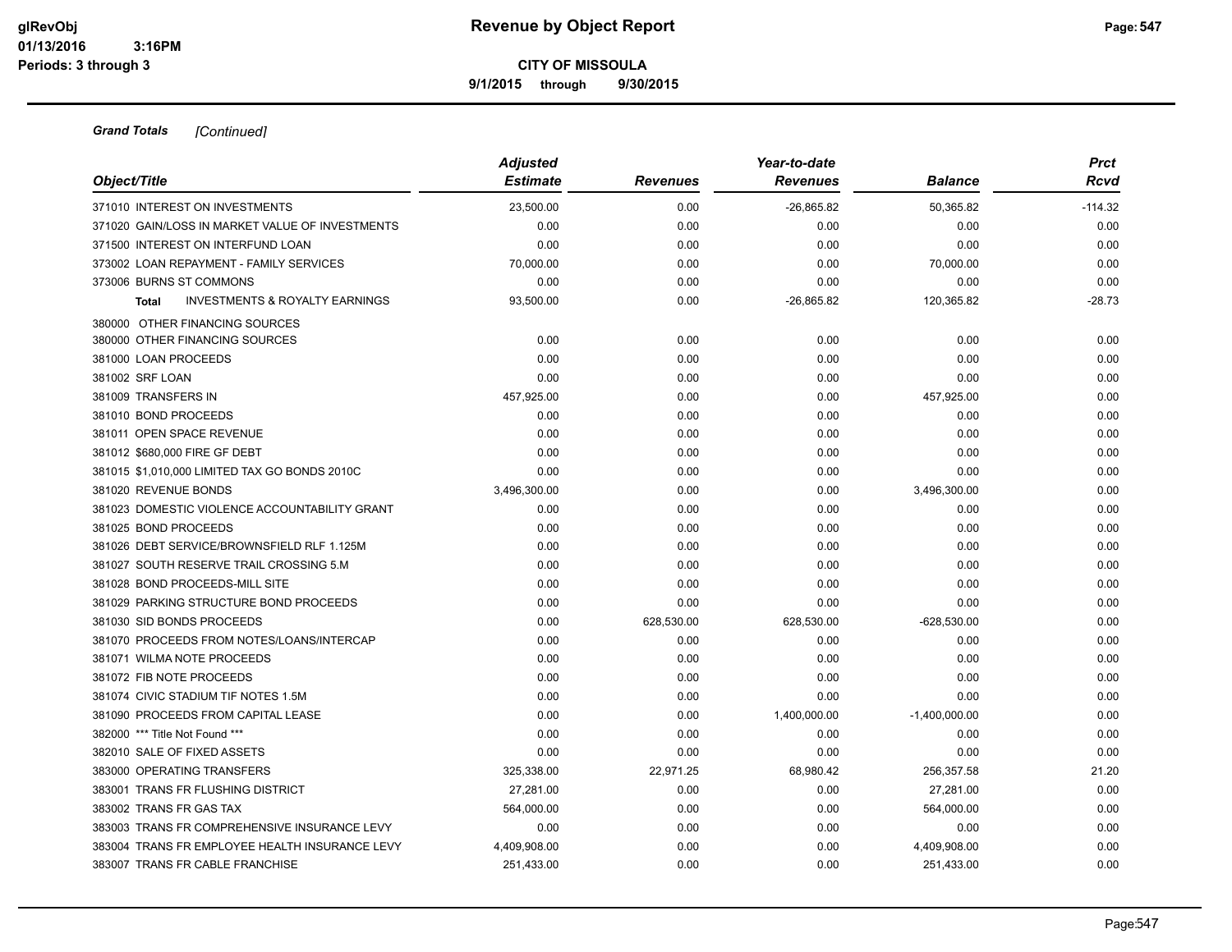**9/1/2015 through 9/30/2015**

| Object/Title                                              | <b>Adjusted</b><br><b>Estimate</b> | <b>Revenues</b> | Year-to-date<br><b>Revenues</b> | <b>Balance</b>    | <b>Prct</b><br>Rcvd |
|-----------------------------------------------------------|------------------------------------|-----------------|---------------------------------|-------------------|---------------------|
| 371010 INTEREST ON INVESTMENTS                            | 23.500.00                          |                 |                                 |                   |                     |
| 371020 GAIN/LOSS IN MARKET VALUE OF INVESTMENTS           | 0.00                               | 0.00<br>0.00    | $-26,865.82$<br>0.00            | 50,365.82<br>0.00 | $-114.32$<br>0.00   |
| 371500 INTEREST ON INTERFUND LOAN                         | 0.00                               | 0.00            | 0.00                            | 0.00              | 0.00                |
| 373002 LOAN REPAYMENT - FAMILY SERVICES                   | 70,000.00                          | 0.00            | 0.00                            | 70,000.00         | 0.00                |
| 373006 BURNS ST COMMONS                                   | 0.00                               | 0.00            | 0.00                            | 0.00              | 0.00                |
| <b>INVESTMENTS &amp; ROYALTY EARNINGS</b><br><b>Total</b> | 93,500.00                          | 0.00            | $-26,865.82$                    | 120,365.82        | $-28.73$            |
|                                                           |                                    |                 |                                 |                   |                     |
| 380000 OTHER FINANCING SOURCES                            |                                    |                 |                                 |                   |                     |
| 380000 OTHER FINANCING SOURCES                            | 0.00                               | 0.00            | 0.00                            | 0.00              | 0.00                |
| 381000 LOAN PROCEEDS                                      | 0.00                               | 0.00            | 0.00                            | 0.00              | 0.00                |
| 381002 SRF LOAN                                           | 0.00                               | 0.00            | 0.00                            | 0.00              | 0.00                |
| 381009 TRANSFERS IN                                       | 457,925.00                         | 0.00            | 0.00                            | 457,925.00        | 0.00                |
| 381010 BOND PROCEEDS                                      | 0.00                               | 0.00            | 0.00                            | 0.00              | 0.00                |
| 381011 OPEN SPACE REVENUE                                 | 0.00                               | 0.00            | 0.00                            | 0.00              | 0.00                |
| 381012 \$680,000 FIRE GF DEBT                             | 0.00                               | 0.00            | 0.00                            | 0.00              | 0.00                |
| 381015 \$1,010,000 LIMITED TAX GO BONDS 2010C             | 0.00                               | 0.00            | 0.00                            | 0.00              | 0.00                |
| 381020 REVENUE BONDS                                      | 3,496,300.00                       | 0.00            | 0.00                            | 3,496,300.00      | 0.00                |
| 381023 DOMESTIC VIOLENCE ACCOUNTABILITY GRANT             | 0.00                               | 0.00            | 0.00                            | 0.00              | 0.00                |
| 381025 BOND PROCEEDS                                      | 0.00                               | 0.00            | 0.00                            | 0.00              | 0.00                |
| 381026 DEBT SERVICE/BROWNSFIELD RLF 1.125M                | 0.00                               | 0.00            | 0.00                            | 0.00              | 0.00                |
| 381027 SOUTH RESERVE TRAIL CROSSING 5.M                   | 0.00                               | 0.00            | 0.00                            | 0.00              | 0.00                |
| 381028 BOND PROCEEDS-MILL SITE                            | 0.00                               | 0.00            | 0.00                            | 0.00              | 0.00                |
| 381029 PARKING STRUCTURE BOND PROCEEDS                    | 0.00                               | 0.00            | 0.00                            | 0.00              | 0.00                |
| 381030 SID BONDS PROCEEDS                                 | 0.00                               | 628,530.00      | 628,530.00                      | $-628,530.00$     | 0.00                |
| 381070 PROCEEDS FROM NOTES/LOANS/INTERCAP                 | 0.00                               | 0.00            | 0.00                            | 0.00              | 0.00                |
| 381071 WILMA NOTE PROCEEDS                                | 0.00                               | 0.00            | 0.00                            | 0.00              | 0.00                |
| 381072 FIB NOTE PROCEEDS                                  | 0.00                               | 0.00            | 0.00                            | 0.00              | 0.00                |
| 381074 CIVIC STADIUM TIF NOTES 1.5M                       | 0.00                               | 0.00            | 0.00                            | 0.00              | 0.00                |
| 381090 PROCEEDS FROM CAPITAL LEASE                        | 0.00                               | 0.00            | 1,400,000.00                    | $-1,400,000.00$   | 0.00                |
| 382000 *** Title Not Found ***                            | 0.00                               | 0.00            | 0.00                            | 0.00              | 0.00                |
| 382010 SALE OF FIXED ASSETS                               | 0.00                               | 0.00            | 0.00                            | 0.00              | 0.00                |
| 383000 OPERATING TRANSFERS                                | 325,338.00                         | 22,971.25       | 68,980.42                       | 256,357.58        | 21.20               |
| 383001 TRANS FR FLUSHING DISTRICT                         | 27,281.00                          | 0.00            | 0.00                            | 27,281.00         | 0.00                |
| 383002 TRANS FR GAS TAX                                   | 564,000.00                         | 0.00            | 0.00                            | 564,000.00        | 0.00                |
| 383003 TRANS FR COMPREHENSIVE INSURANCE LEVY              | 0.00                               | 0.00            | 0.00                            | 0.00              | 0.00                |
| 383004 TRANS FR EMPLOYEE HEALTH INSURANCE LEVY            | 4,409,908.00                       | 0.00            | 0.00                            | 4,409,908.00      | 0.00                |
| 383007 TRANS FR CABLE FRANCHISE                           | 251,433.00                         | 0.00            | 0.00                            | 251,433.00        | 0.00                |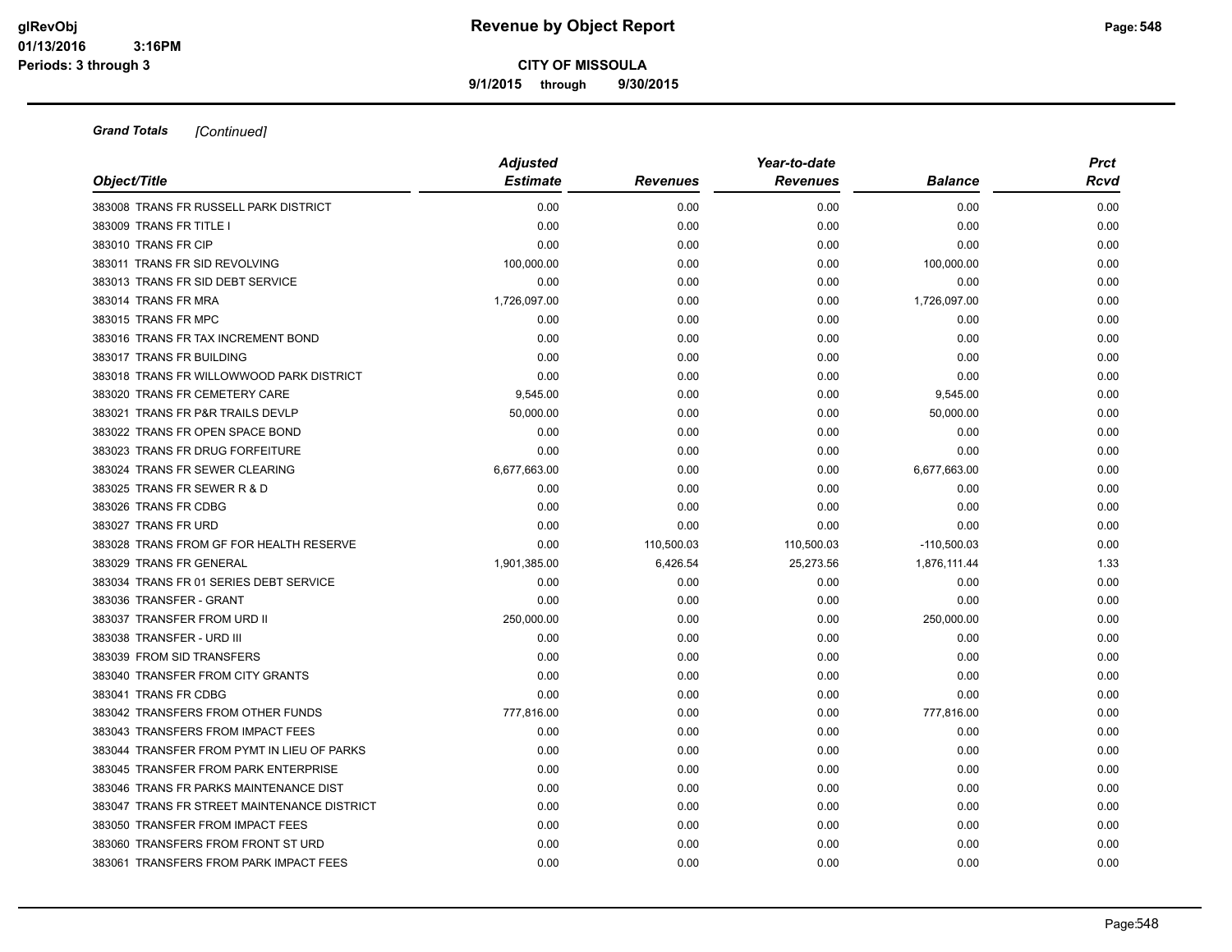**9/1/2015 through 9/30/2015**

|                                             | <b>Adjusted</b> |                 | <b>Prct</b>     |                |      |
|---------------------------------------------|-----------------|-----------------|-----------------|----------------|------|
| Object/Title                                | <b>Estimate</b> | <b>Revenues</b> | <b>Revenues</b> | <b>Balance</b> | Rcvd |
| 383008 TRANS FR RUSSELL PARK DISTRICT       | 0.00            | 0.00            | 0.00            | 0.00           | 0.00 |
| 383009 TRANS FR TITLE I                     | 0.00            | 0.00            | 0.00            | 0.00           | 0.00 |
| 383010 TRANS FR CIP                         | 0.00            | 0.00            | 0.00            | 0.00           | 0.00 |
| 383011 TRANS FR SID REVOLVING               | 100,000.00      | 0.00            | 0.00            | 100,000.00     | 0.00 |
| 383013 TRANS FR SID DEBT SERVICE            | 0.00            | 0.00            | 0.00            | 0.00           | 0.00 |
| 383014 TRANS FR MRA                         | 1,726,097.00    | 0.00            | 0.00            | 1,726,097.00   | 0.00 |
| 383015 TRANS FR MPC                         | 0.00            | 0.00            | 0.00            | 0.00           | 0.00 |
| 383016 TRANS FR TAX INCREMENT BOND          | 0.00            | 0.00            | 0.00            | 0.00           | 0.00 |
| 383017 TRANS FR BUILDING                    | 0.00            | 0.00            | 0.00            | 0.00           | 0.00 |
| 383018 TRANS FR WILLOWWOOD PARK DISTRICT    | 0.00            | 0.00            | 0.00            | 0.00           | 0.00 |
| 383020 TRANS FR CEMETERY CARE               | 9,545.00        | 0.00            | 0.00            | 9,545.00       | 0.00 |
| 383021 TRANS FR P&R TRAILS DEVLP            | 50,000.00       | 0.00            | 0.00            | 50,000.00      | 0.00 |
| 383022 TRANS FR OPEN SPACE BOND             | 0.00            | 0.00            | 0.00            | 0.00           | 0.00 |
| 383023 TRANS FR DRUG FORFEITURE             | 0.00            | 0.00            | 0.00            | 0.00           | 0.00 |
| 383024 TRANS FR SEWER CLEARING              | 6,677,663.00    | 0.00            | 0.00            | 6,677,663.00   | 0.00 |
| 383025 TRANS FR SEWER R & D                 | 0.00            | 0.00            | 0.00            | 0.00           | 0.00 |
| 383026 TRANS FR CDBG                        | 0.00            | 0.00            | 0.00            | 0.00           | 0.00 |
| 383027 TRANS FR URD                         | 0.00            | 0.00            | 0.00            | 0.00           | 0.00 |
| 383028 TRANS FROM GF FOR HEALTH RESERVE     | 0.00            | 110,500.03      | 110,500.03      | $-110,500.03$  | 0.00 |
| 383029 TRANS FR GENERAL                     | 1,901,385.00    | 6,426.54        | 25,273.56       | 1,876,111.44   | 1.33 |
| 383034 TRANS FR 01 SERIES DEBT SERVICE      | 0.00            | 0.00            | 0.00            | 0.00           | 0.00 |
| 383036 TRANSFER - GRANT                     | 0.00            | 0.00            | 0.00            | 0.00           | 0.00 |
| 383037 TRANSFER FROM URD II                 | 250,000.00      | 0.00            | 0.00            | 250,000.00     | 0.00 |
| 383038 TRANSFER - URD III                   | 0.00            | 0.00            | 0.00            | 0.00           | 0.00 |
| 383039 FROM SID TRANSFERS                   | 0.00            | 0.00            | 0.00            | 0.00           | 0.00 |
| 383040 TRANSFER FROM CITY GRANTS            | 0.00            | 0.00            | 0.00            | 0.00           | 0.00 |
| 383041 TRANS FR CDBG                        | 0.00            | 0.00            | 0.00            | 0.00           | 0.00 |
| 383042 TRANSFERS FROM OTHER FUNDS           | 777,816.00      | 0.00            | 0.00            | 777,816.00     | 0.00 |
| 383043 TRANSFERS FROM IMPACT FEES           | 0.00            | 0.00            | 0.00            | 0.00           | 0.00 |
| 383044 TRANSFER FROM PYMT IN LIEU OF PARKS  | 0.00            | 0.00            | 0.00            | 0.00           | 0.00 |
| 383045 TRANSFER FROM PARK ENTERPRISE        | 0.00            | 0.00            | 0.00            | 0.00           | 0.00 |
| 383046 TRANS FR PARKS MAINTENANCE DIST      | 0.00            | 0.00            | 0.00            | 0.00           | 0.00 |
| 383047 TRANS FR STREET MAINTENANCE DISTRICT | 0.00            | 0.00            | 0.00            | 0.00           | 0.00 |
| 383050 TRANSFER FROM IMPACT FEES            | 0.00            | 0.00            | 0.00            | 0.00           | 0.00 |
| 383060 TRANSFERS FROM FRONT ST URD          | 0.00            | 0.00            | 0.00            | 0.00           | 0.00 |
| 383061 TRANSFERS FROM PARK IMPACT FEES      | 0.00            | 0.00            | 0.00            | 0.00           | 0.00 |